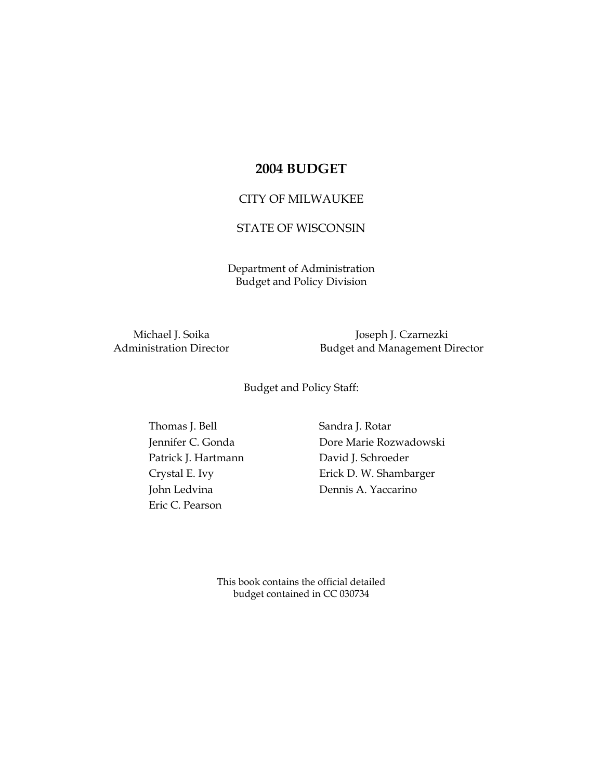## **2004 BUDGET**

## CITY OF MILWAUKEE

## STATE OF WISCONSIN

Department of Administration Budget and Policy Division

Michael J. Soika Joseph J. Czarnezki Administration Director **Budget and Management Director** 

Budget and Policy Staff:

Thomas J. Bell Sandra J. Rotar Patrick J. Hartmann David J. Schroeder Eric C. Pearson

Jennifer C. Gonda Dore Marie Rozwadowski Crystal E. Ivy **Erick D. W. Shambarger** John Ledvina Dennis A. Yaccarino

> This book contains the official detailed budget contained in CC 030734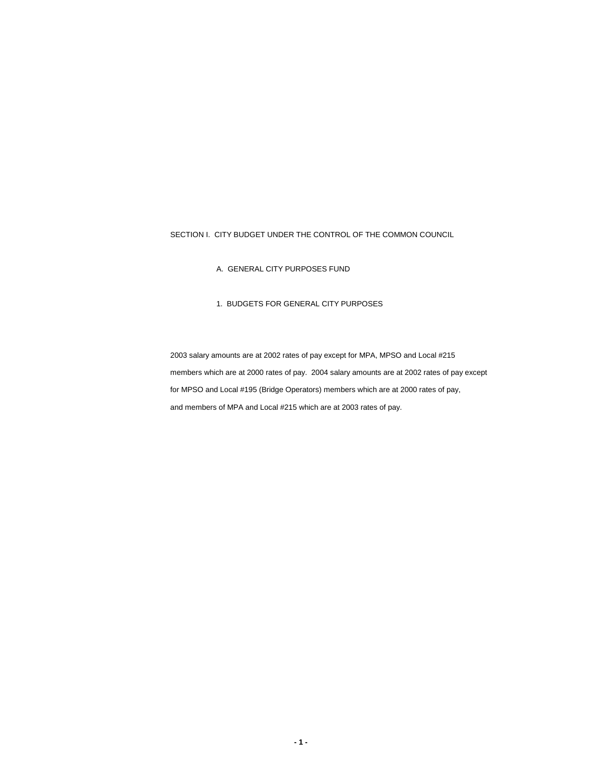SECTION I. CITY BUDGET UNDER THE CONTROL OF THE COMMON COUNCIL

A. GENERAL CITY PURPOSES FUND

## 1. BUDGETS FOR GENERAL CITY PURPOSES

2003 salary amounts are at 2002 rates of pay except for MPA, MPSO and Local #215 members which are at 2000 rates of pay. 2004 salary amounts are at 2002 rates of pay except for MPSO and Local #195 (Bridge Operators) members which are at 2000 rates of pay, and members of MPA and Local #215 which are at 2003 rates of pay.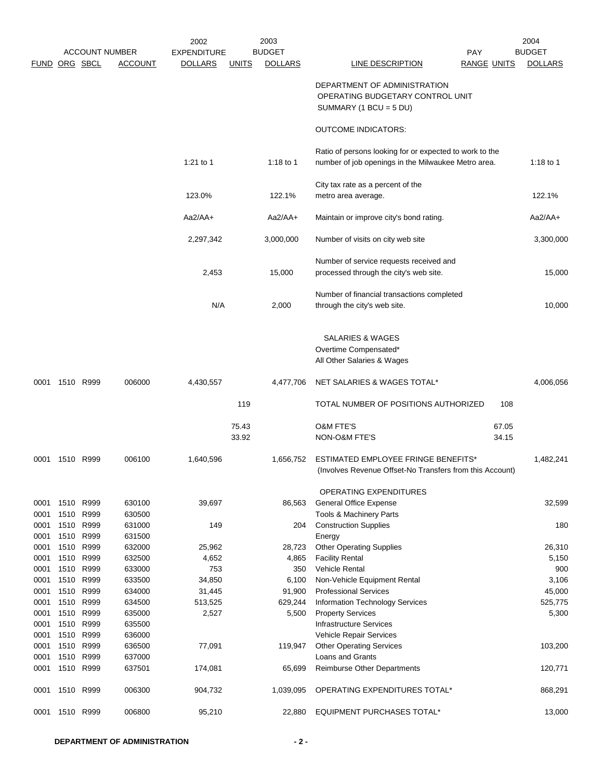|               |                   |                       |                  | 2002               |              | 2003           |                                                                                                                |                    | 2004           |
|---------------|-------------------|-----------------------|------------------|--------------------|--------------|----------------|----------------------------------------------------------------------------------------------------------------|--------------------|----------------|
|               |                   | <b>ACCOUNT NUMBER</b> |                  | <b>EXPENDITURE</b> |              | <b>BUDGET</b>  |                                                                                                                | <b>PAY</b>         | <b>BUDGET</b>  |
| FUND ORG SBCL |                   |                       | <b>ACCOUNT</b>   | <b>DOLLARS</b>     | <b>UNITS</b> | <b>DOLLARS</b> | <b>LINE DESCRIPTION</b>                                                                                        | <b>RANGE UNITS</b> | <b>DOLLARS</b> |
|               |                   |                       |                  |                    |              |                | DEPARTMENT OF ADMINISTRATION<br>OPERATING BUDGETARY CONTROL UNIT<br>SUMMARY (1 BCU = $5$ DU)                   |                    |                |
|               |                   |                       |                  |                    |              |                | <b>OUTCOME INDICATORS:</b>                                                                                     |                    |                |
|               |                   |                       |                  |                    |              |                |                                                                                                                |                    |                |
|               |                   |                       |                  | 1:21 to 1          |              | 1:18 to 1      | Ratio of persons looking for or expected to work to the<br>number of job openings in the Milwaukee Metro area. |                    | 1:18 to 1      |
|               |                   |                       |                  |                    |              |                | City tax rate as a percent of the                                                                              |                    |                |
|               |                   |                       |                  | 123.0%             |              | 122.1%         | metro area average.                                                                                            |                    | 122.1%         |
|               |                   |                       |                  | $Aa2/AA+$          |              | $Aa2/AA+$      | Maintain or improve city's bond rating.                                                                        |                    | $Aa2/AA+$      |
|               |                   |                       |                  | 2,297,342          |              | 3,000,000      | Number of visits on city web site                                                                              |                    | 3,300,000      |
|               |                   |                       |                  |                    |              |                | Number of service requests received and                                                                        |                    |                |
|               |                   |                       |                  | 2,453              |              | 15,000         | processed through the city's web site.                                                                         |                    | 15,000         |
|               |                   |                       |                  |                    |              |                | Number of financial transactions completed                                                                     |                    |                |
|               |                   |                       |                  | N/A                |              | 2,000          | through the city's web site.                                                                                   |                    | 10,000         |
|               |                   |                       |                  |                    |              |                | <b>SALARIES &amp; WAGES</b>                                                                                    |                    |                |
|               |                   |                       |                  |                    |              |                | Overtime Compensated*                                                                                          |                    |                |
|               |                   |                       |                  |                    |              |                | All Other Salaries & Wages                                                                                     |                    |                |
| 0001          | 1510 R999         |                       | 006000           | 4,430,557          |              | 4,477,706      | NET SALARIES & WAGES TOTAL*                                                                                    |                    | 4,006,056      |
|               |                   |                       |                  |                    | 119          |                | TOTAL NUMBER OF POSITIONS AUTHORIZED                                                                           | 108                |                |
|               |                   |                       |                  |                    | 75.43        |                | <b>O&amp;M FTE'S</b>                                                                                           | 67.05              |                |
|               |                   |                       |                  |                    | 33.92        |                | NON-O&M FTE'S                                                                                                  | 34.15              |                |
| 0001          | 1510 R999         |                       | 006100           | 1,640,596          |              | 1,656,752      | <b>ESTIMATED EMPLOYEE FRINGE BENEFITS*</b><br>(Involves Revenue Offset-No Transfers from this Account)         |                    | 1,482,241      |
|               |                   |                       |                  |                    |              |                | OPERATING EXPENDITURES                                                                                         |                    |                |
| 0001          | 1510              | R999                  | 630100           | 39,697             |              | 86,563         | General Office Expense                                                                                         |                    | 32,599         |
| 0001          | 1510              | R999                  | 630500           |                    |              |                | Tools & Machinery Parts                                                                                        |                    |                |
| 0001<br>0001  | 1510<br>1510 R999 | R999                  | 631000<br>631500 | 149                |              | 204            | <b>Construction Supplies</b><br>Energy                                                                         |                    | 180            |
| 0001          | 1510              | R999                  | 632000           | 25,962             |              | 28,723         | <b>Other Operating Supplies</b>                                                                                |                    | 26,310         |
| 0001          | 1510              | R999                  | 632500           | 4,652              |              | 4,865          | <b>Facility Rental</b>                                                                                         |                    | 5,150          |
| 0001          | 1510              | R999                  | 633000           | 753                |              | 350            | Vehicle Rental                                                                                                 |                    | 900            |
| 0001          | 1510              | R999                  | 633500           | 34,850             |              | 6,100          | Non-Vehicle Equipment Rental                                                                                   |                    | 3,106          |
| 0001          | 1510              | R999                  | 634000           | 31,445             |              | 91,900         | <b>Professional Services</b>                                                                                   |                    | 45,000         |
| 0001          | 1510              | R999                  | 634500           | 513,525            |              | 629,244        | <b>Information Technology Services</b>                                                                         |                    | 525,775        |
| 0001          | 1510              | R999                  | 635000           | 2,527              |              | 5,500          | <b>Property Services</b>                                                                                       |                    | 5,300          |
| 0001          | 1510              | R999                  | 635500           |                    |              |                | <b>Infrastructure Services</b>                                                                                 |                    |                |
| 0001          | 1510              | R999                  | 636000           |                    |              |                | Vehicle Repair Services                                                                                        |                    |                |
| 0001          | 1510              | R999                  | 636500           | 77,091             |              | 119,947        | <b>Other Operating Services</b>                                                                                |                    | 103,200        |
| 0001          | 1510              | R999                  | 637000           |                    |              |                | Loans and Grants                                                                                               |                    |                |
| 0001          | 1510              | R999                  | 637501           | 174,081            |              | 65,699         | Reimburse Other Departments                                                                                    |                    | 120,771        |
| 0001          | 1510 R999         |                       | 006300           | 904,732            |              | 1,039,095      | OPERATING EXPENDITURES TOTAL*                                                                                  |                    | 868,291        |
| 0001          | 1510 R999         |                       | 006800           | 95,210             |              | 22,880         | EQUIPMENT PURCHASES TOTAL*                                                                                     |                    | 13,000         |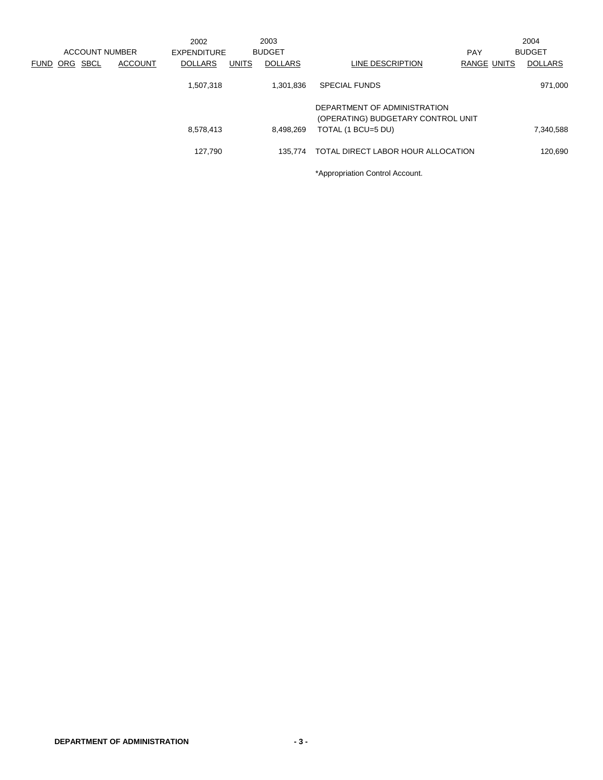|      |     |                |                | 2002           |              | 2003           |                                                                    |                    | 2004           |
|------|-----|----------------|----------------|----------------|--------------|----------------|--------------------------------------------------------------------|--------------------|----------------|
|      |     | ACCOUNT NUMBER |                | EXPENDITURE    |              | <b>BUDGET</b>  |                                                                    | <b>PAY</b>         | <b>BUDGET</b>  |
| FUND | ORG | <b>SBCL</b>    | <b>ACCOUNT</b> | <b>DOLLARS</b> | <b>UNITS</b> | <b>DOLLARS</b> | LINE DESCRIPTION                                                   | <b>RANGE UNITS</b> | <b>DOLLARS</b> |
|      |     |                |                | 1,507,318      |              | 1,301,836      | <b>SPECIAL FUNDS</b>                                               |                    | 971,000        |
|      |     |                |                |                |              |                | DEPARTMENT OF ADMINISTRATION<br>(OPERATING) BUDGETARY CONTROL UNIT |                    |                |
|      |     |                |                | 8,578,413      |              | 8.498.269      | TOTAL (1 BCU=5 DU)                                                 |                    | 7,340,588      |
|      |     |                |                | 127.790        |              | 135.774        | TOTAL DIRECT LABOR HOUR ALLOCATION                                 |                    | 120.690        |
|      |     |                |                |                |              |                | *Appropriation Control Account.                                    |                    |                |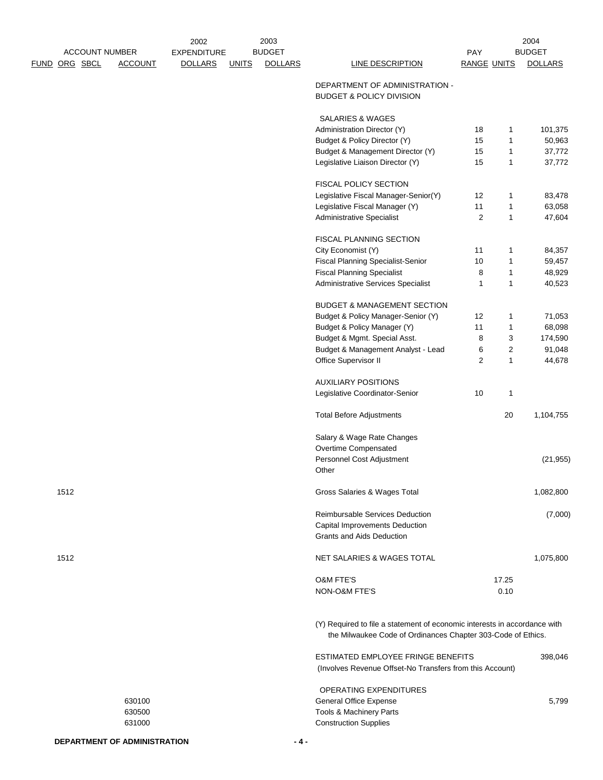|                      |      | <b>ACCOUNT NUMBER</b> |                | 2002<br><b>EXPENDITURE</b> |              | 2003<br><b>BUDGET</b> |                                                                                                                                           | PAY                |              | 2004<br><b>BUDGET</b> |
|----------------------|------|-----------------------|----------------|----------------------------|--------------|-----------------------|-------------------------------------------------------------------------------------------------------------------------------------------|--------------------|--------------|-----------------------|
| <u>FUND ORG SBCL</u> |      |                       | <b>ACCOUNT</b> | <b>DOLLARS</b>             | <b>UNITS</b> | <b>DOLLARS</b>        | LINE DESCRIPTION                                                                                                                          | <b>RANGE UNITS</b> |              | <b>DOLLARS</b>        |
|                      |      |                       |                |                            |              |                       | DEPARTMENT OF ADMINISTRATION -<br><b>BUDGET &amp; POLICY DIVISION</b>                                                                     |                    |              |                       |
|                      |      |                       |                |                            |              |                       | <b>SALARIES &amp; WAGES</b>                                                                                                               |                    |              |                       |
|                      |      |                       |                |                            |              |                       | Administration Director (Y)                                                                                                               | 18                 | 1            | 101,375               |
|                      |      |                       |                |                            |              |                       | Budget & Policy Director (Y)                                                                                                              | 15                 | 1            | 50,963                |
|                      |      |                       |                |                            |              |                       | Budget & Management Director (Y)                                                                                                          | 15                 | 1            | 37,772                |
|                      |      |                       |                |                            |              |                       | Legislative Liaison Director (Y)                                                                                                          | 15                 | 1            | 37,772                |
|                      |      |                       |                |                            |              |                       | FISCAL POLICY SECTION                                                                                                                     |                    |              |                       |
|                      |      |                       |                |                            |              |                       | Legislative Fiscal Manager-Senior(Y)                                                                                                      | 12                 | 1            | 83,478                |
|                      |      |                       |                |                            |              |                       | Legislative Fiscal Manager (Y)                                                                                                            | 11                 | $\mathbf{1}$ | 63,058                |
|                      |      |                       |                |                            |              |                       | <b>Administrative Specialist</b>                                                                                                          | $\overline{c}$     | $\mathbf{1}$ | 47,604                |
|                      |      |                       |                |                            |              |                       | FISCAL PLANNING SECTION                                                                                                                   |                    |              |                       |
|                      |      |                       |                |                            |              |                       | City Economist (Y)                                                                                                                        | 11                 | 1            | 84,357                |
|                      |      |                       |                |                            |              |                       | <b>Fiscal Planning Specialist-Senior</b>                                                                                                  | 10                 | 1            | 59,457                |
|                      |      |                       |                |                            |              |                       | <b>Fiscal Planning Specialist</b>                                                                                                         | 8                  | $\mathbf{1}$ | 48,929                |
|                      |      |                       |                |                            |              |                       | Administrative Services Specialist                                                                                                        | 1                  | 1            | 40,523                |
|                      |      |                       |                |                            |              |                       | <b>BUDGET &amp; MANAGEMENT SECTION</b>                                                                                                    |                    |              |                       |
|                      |      |                       |                |                            |              |                       | Budget & Policy Manager-Senior (Y)                                                                                                        | 12                 | 1            | 71,053                |
|                      |      |                       |                |                            |              |                       | Budget & Policy Manager (Y)                                                                                                               | 11                 | 1            | 68,098                |
|                      |      |                       |                |                            |              |                       | Budget & Mgmt. Special Asst.                                                                                                              | 8                  | 3            | 174,590               |
|                      |      |                       |                |                            |              |                       | Budget & Management Analyst - Lead                                                                                                        | 6                  | 2            | 91,048                |
|                      |      |                       |                |                            |              |                       | Office Supervisor II                                                                                                                      | 2                  | $\mathbf{1}$ | 44,678                |
|                      |      |                       |                |                            |              |                       |                                                                                                                                           |                    |              |                       |
|                      |      |                       |                |                            |              |                       | <b>AUXILIARY POSITIONS</b>                                                                                                                |                    |              |                       |
|                      |      |                       |                |                            |              |                       | Legislative Coordinator-Senior                                                                                                            | 10                 | $\mathbf{1}$ |                       |
|                      |      |                       |                |                            |              |                       | <b>Total Before Adjustments</b>                                                                                                           |                    | 20           | 1,104,755             |
|                      |      |                       |                |                            |              |                       | Salary & Wage Rate Changes                                                                                                                |                    |              |                       |
|                      |      |                       |                |                            |              |                       | Overtime Compensated                                                                                                                      |                    |              |                       |
|                      |      |                       |                |                            |              |                       | Personnel Cost Adjustment<br>Other                                                                                                        |                    |              | (21, 955)             |
|                      | 1512 |                       |                |                            |              |                       | Gross Salaries & Wages Total                                                                                                              |                    |              | 1,082,800             |
|                      |      |                       |                |                            |              |                       | Reimbursable Services Deduction<br><b>Capital Improvements Deduction</b>                                                                  |                    |              | (7,000)               |
|                      |      |                       |                |                            |              |                       | <b>Grants and Aids Deduction</b>                                                                                                          |                    |              |                       |
|                      | 1512 |                       |                |                            |              |                       | <b>NET SALARIES &amp; WAGES TOTAL</b>                                                                                                     |                    |              | 1,075,800             |
|                      |      |                       |                |                            |              |                       | <b>O&amp;M FTE'S</b>                                                                                                                      |                    | 17.25        |                       |
|                      |      |                       |                |                            |              |                       | NON-O&M FTE'S                                                                                                                             |                    | 0.10         |                       |
|                      |      |                       |                |                            |              |                       | (Y) Required to file a statement of economic interests in accordance with<br>the Milwaukee Code of Ordinances Chapter 303-Code of Ethics. |                    |              |                       |
|                      |      |                       |                |                            |              |                       | ESTIMATED EMPLOYEE FRINGE BENEFITS<br>(Involves Revenue Offset-No Transfers from this Account)                                            |                    |              | 398,046               |
|                      |      |                       |                |                            |              |                       | OPERATING EXPENDITURES                                                                                                                    |                    |              |                       |
|                      |      |                       | 630100         |                            |              |                       | General Office Expense                                                                                                                    |                    |              | 5,799                 |
|                      |      |                       | 630500         |                            |              |                       | Tools & Machinery Parts                                                                                                                   |                    |              |                       |
|                      |      |                       | 631000         |                            |              |                       | <b>Construction Supplies</b>                                                                                                              |                    |              |                       |
|                      |      |                       |                |                            |              |                       |                                                                                                                                           |                    |              |                       |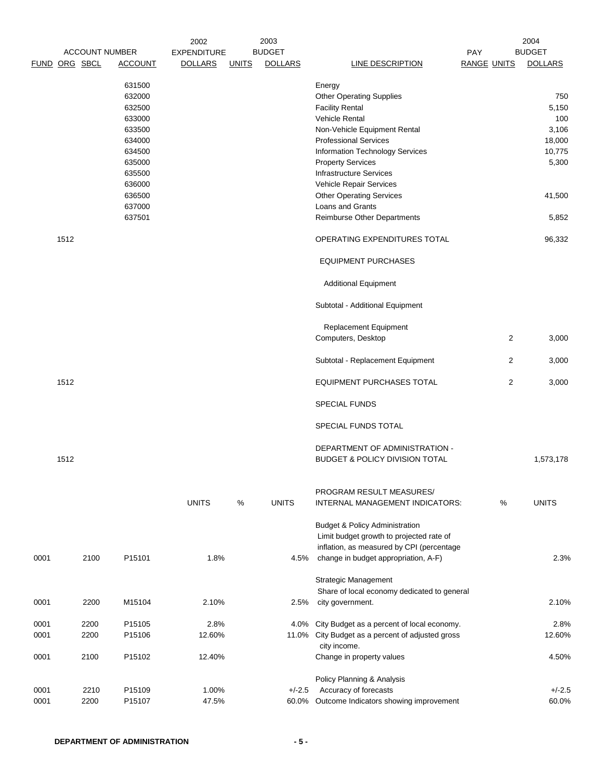|               |      |      |                       | 2002               |              | 2003           |                                                             |                    | 2004           |
|---------------|------|------|-----------------------|--------------------|--------------|----------------|-------------------------------------------------------------|--------------------|----------------|
|               |      |      | <b>ACCOUNT NUMBER</b> | <b>EXPENDITURE</b> |              | <b>BUDGET</b>  |                                                             | PAY                | <b>BUDGET</b>  |
| FUND ORG SBCL |      |      | <b>ACCOUNT</b>        | <b>DOLLARS</b>     | <b>UNITS</b> | <b>DOLLARS</b> | <b>LINE DESCRIPTION</b>                                     | <b>RANGE UNITS</b> | <b>DOLLARS</b> |
|               |      |      | 631500                |                    |              |                | Energy                                                      |                    |                |
|               |      |      | 632000                |                    |              |                | <b>Other Operating Supplies</b>                             |                    | 750            |
|               |      |      | 632500                |                    |              |                | <b>Facility Rental</b>                                      |                    | 5,150          |
|               |      |      | 633000                |                    |              |                | <b>Vehicle Rental</b>                                       |                    | 100            |
|               |      |      | 633500                |                    |              |                | Non-Vehicle Equipment Rental                                |                    | 3,106          |
|               |      |      | 634000                |                    |              |                | <b>Professional Services</b>                                |                    | 18,000         |
|               |      |      | 634500                |                    |              |                | Information Technology Services                             |                    | 10,775         |
|               |      |      | 635000                |                    |              |                | <b>Property Services</b>                                    |                    | 5,300          |
|               |      |      | 635500                |                    |              |                | <b>Infrastructure Services</b>                              |                    |                |
|               |      |      | 636000                |                    |              |                | Vehicle Repair Services                                     |                    |                |
|               |      |      | 636500                |                    |              |                | <b>Other Operating Services</b>                             |                    | 41,500         |
|               |      |      | 637000                |                    |              |                | Loans and Grants                                            |                    |                |
|               |      |      | 637501                |                    |              |                | Reimburse Other Departments                                 |                    | 5,852          |
|               | 1512 |      |                       |                    |              |                | OPERATING EXPENDITURES TOTAL                                |                    | 96,332         |
|               |      |      |                       |                    |              |                |                                                             |                    |                |
|               |      |      |                       |                    |              |                | <b>EQUIPMENT PURCHASES</b>                                  |                    |                |
|               |      |      |                       |                    |              |                | <b>Additional Equipment</b>                                 |                    |                |
|               |      |      |                       |                    |              |                | Subtotal - Additional Equipment                             |                    |                |
|               |      |      |                       |                    |              |                | <b>Replacement Equipment</b>                                |                    |                |
|               |      |      |                       |                    |              |                | Computers, Desktop                                          | 2                  | 3,000          |
|               |      |      |                       |                    |              |                | Subtotal - Replacement Equipment                            | 2                  | 3,000          |
|               | 1512 |      |                       |                    |              |                | <b>EQUIPMENT PURCHASES TOTAL</b>                            | 2                  | 3,000          |
|               |      |      |                       |                    |              |                | <b>SPECIAL FUNDS</b>                                        |                    |                |
|               |      |      |                       |                    |              |                | SPECIAL FUNDS TOTAL                                         |                    |                |
|               |      |      |                       |                    |              |                | DEPARTMENT OF ADMINISTRATION -                              |                    |                |
|               | 1512 |      |                       |                    |              |                | <b>BUDGET &amp; POLICY DIVISION TOTAL</b>                   |                    | 1,573,178      |
|               |      |      |                       |                    |              |                |                                                             |                    |                |
|               |      |      |                       | <b>UNITS</b>       | %            | <b>UNITS</b>   | PROGRAM RESULT MEASURES/<br>INTERNAL MANAGEMENT INDICATORS: | %                  | <b>UNITS</b>   |
|               |      |      |                       |                    |              |                | <b>Budget &amp; Policy Administration</b>                   |                    |                |
|               |      |      |                       |                    |              |                | Limit budget growth to projected rate of                    |                    |                |
|               |      |      |                       |                    |              |                | inflation, as measured by CPI (percentage                   |                    |                |
| 0001          |      | 2100 | P15101                | 1.8%               |              | 4.5%           | change in budget appropriation, A-F)                        |                    | 2.3%           |
|               |      |      |                       |                    |              |                |                                                             |                    |                |
|               |      |      |                       |                    |              |                | Strategic Management                                        |                    |                |
|               |      |      |                       |                    |              |                | Share of local economy dedicated to general                 |                    |                |
| 0001          |      | 2200 | M15104                | 2.10%              |              | 2.5%           | city government.                                            |                    | 2.10%          |
| 0001          |      | 2200 | P15105                | 2.8%               |              | 4.0%           | City Budget as a percent of local economy.                  |                    | 2.8%           |
| 0001          |      | 2200 | P15106                | 12.60%             |              |                | 11.0% City Budget as a percent of adjusted gross            |                    | 12.60%         |
|               |      |      |                       |                    |              |                | city income.                                                |                    |                |
| 0001          |      | 2100 | P15102                | 12.40%             |              |                | Change in property values                                   |                    | 4.50%          |
|               |      |      |                       |                    |              |                |                                                             |                    |                |
|               |      |      |                       |                    |              |                | Policy Planning & Analysis                                  |                    |                |
| 0001          |      | 2210 | P15109                | 1.00%              |              | $+/-2.5$       | Accuracy of forecasts                                       |                    | $+/-2.5$       |
| 0001          |      | 2200 | P15107                | 47.5%              |              |                | 60.0% Outcome Indicators showing improvement                |                    | 60.0%          |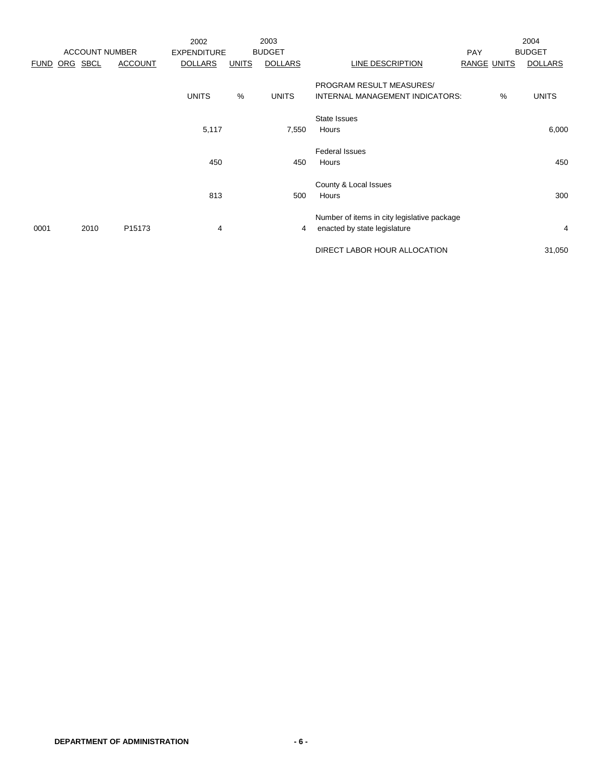|             |          |                       |                    | 2002               |              | 2003           |                                                             |                    |   | 2004           |
|-------------|----------|-----------------------|--------------------|--------------------|--------------|----------------|-------------------------------------------------------------|--------------------|---|----------------|
|             |          | <b>ACCOUNT NUMBER</b> |                    | <b>EXPENDITURE</b> |              | <b>BUDGET</b>  |                                                             | PAY                |   | <b>BUDGET</b>  |
| <b>FUND</b> | ORG SBCL |                       | <b>ACCOUNT</b>     | <b>DOLLARS</b>     | <b>UNITS</b> | <b>DOLLARS</b> | LINE DESCRIPTION                                            | <b>RANGE UNITS</b> |   | <b>DOLLARS</b> |
|             |          |                       |                    | <b>UNITS</b>       | %            | <b>UNITS</b>   | PROGRAM RESULT MEASURES/<br>INTERNAL MANAGEMENT INDICATORS: |                    | % | <b>UNITS</b>   |
|             |          |                       |                    |                    |              |                | State Issues                                                |                    |   |                |
|             |          |                       |                    | 5,117              |              | 7,550          | Hours                                                       |                    |   | 6,000          |
|             |          |                       |                    |                    |              |                | <b>Federal Issues</b>                                       |                    |   |                |
|             |          |                       |                    | 450                |              | 450            | Hours                                                       |                    |   | 450            |
|             |          |                       |                    |                    |              |                | County & Local Issues                                       |                    |   |                |
|             |          |                       |                    | 813                |              | 500            | Hours                                                       |                    |   | 300            |
|             |          |                       |                    |                    |              |                | Number of items in city legislative package                 |                    |   |                |
| 0001        |          | 2010                  | P <sub>15173</sub> | 4                  |              | 4              | enacted by state legislature                                |                    |   | 4              |
|             |          |                       |                    |                    |              |                | DIRECT LABOR HOUR ALLOCATION                                |                    |   | 31,050         |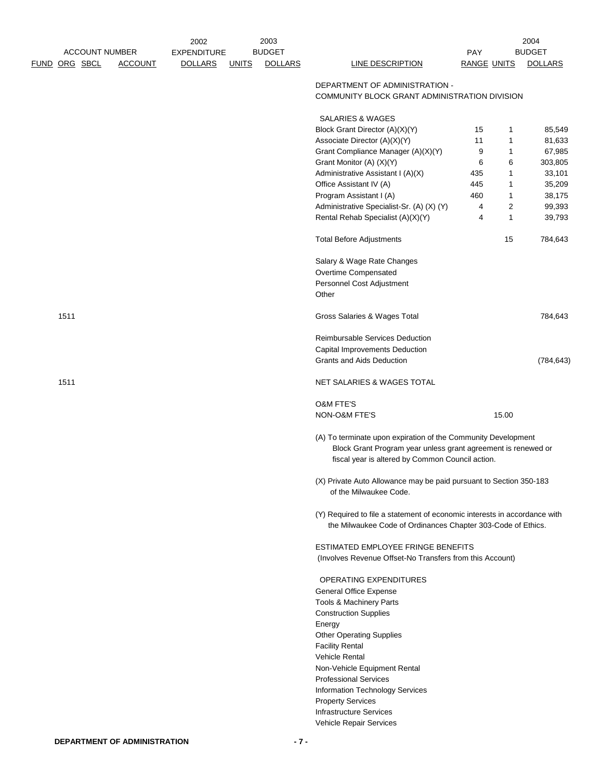|               |      | <b>ACCOUNT NUMBER</b> |                | 2002<br><b>EXPENDITURE</b> |              | 2003<br><b>BUDGET</b> |                                                                                                                                                                                    | <b>PAY</b>         |                              | 2004<br><b>BUDGET</b> |
|---------------|------|-----------------------|----------------|----------------------------|--------------|-----------------------|------------------------------------------------------------------------------------------------------------------------------------------------------------------------------------|--------------------|------------------------------|-----------------------|
| FUND ORG SBCL |      |                       | <b>ACCOUNT</b> | <b>DOLLARS</b>             | <b>UNITS</b> | <b>DOLLARS</b>        | LINE DESCRIPTION                                                                                                                                                                   | <b>RANGE UNITS</b> |                              | <b>DOLLARS</b>        |
|               |      |                       |                |                            |              |                       | DEPARTMENT OF ADMINISTRATION -<br>COMMUNITY BLOCK GRANT ADMINISTRATION DIVISION                                                                                                    |                    |                              |                       |
|               |      |                       |                |                            |              |                       | <b>SALARIES &amp; WAGES</b>                                                                                                                                                        |                    |                              |                       |
|               |      |                       |                |                            |              |                       | Block Grant Director (A)(X)(Y)                                                                                                                                                     | 15                 | 1                            | 85,549                |
|               |      |                       |                |                            |              |                       | Associate Director (A)(X)(Y)                                                                                                                                                       | 11                 | 1                            | 81,633                |
|               |      |                       |                |                            |              |                       | Grant Compliance Manager (A)(X)(Y)                                                                                                                                                 | 9                  | 1                            | 67,985                |
|               |      |                       |                |                            |              |                       | Grant Monitor (A) (X)(Y)                                                                                                                                                           | 6                  | 6                            | 303,805               |
|               |      |                       |                |                            |              |                       | Administrative Assistant I (A)(X)                                                                                                                                                  | 435                | $\mathbf{1}$                 | 33,101                |
|               |      |                       |                |                            |              |                       | Office Assistant IV (A)                                                                                                                                                            | 445                | $\mathbf{1}$                 | 35,209                |
|               |      |                       |                |                            |              |                       | Program Assistant I (A)                                                                                                                                                            | 460                | 1                            | 38,175                |
|               |      |                       |                |                            |              |                       | Administrative Specialist-Sr. (A) (X) (Y)<br>Rental Rehab Specialist (A)(X)(Y)                                                                                                     | 4<br>4             | $\overline{\mathbf{c}}$<br>1 | 99,393<br>39,793      |
|               |      |                       |                |                            |              |                       |                                                                                                                                                                                    |                    |                              |                       |
|               |      |                       |                |                            |              |                       | <b>Total Before Adjustments</b>                                                                                                                                                    |                    | 15                           | 784,643               |
|               |      |                       |                |                            |              |                       | Salary & Wage Rate Changes                                                                                                                                                         |                    |                              |                       |
|               |      |                       |                |                            |              |                       | Overtime Compensated                                                                                                                                                               |                    |                              |                       |
|               |      |                       |                |                            |              |                       | Personnel Cost Adjustment                                                                                                                                                          |                    |                              |                       |
|               |      |                       |                |                            |              |                       | Other                                                                                                                                                                              |                    |                              |                       |
|               | 1511 |                       |                |                            |              |                       | Gross Salaries & Wages Total                                                                                                                                                       |                    |                              | 784,643               |
|               |      |                       |                |                            |              |                       | Reimbursable Services Deduction                                                                                                                                                    |                    |                              |                       |
|               |      |                       |                |                            |              |                       | Capital Improvements Deduction                                                                                                                                                     |                    |                              |                       |
|               |      |                       |                |                            |              |                       | Grants and Aids Deduction                                                                                                                                                          |                    |                              | (784, 643)            |
|               | 1511 |                       |                |                            |              |                       | NET SALARIES & WAGES TOTAL                                                                                                                                                         |                    |                              |                       |
|               |      |                       |                |                            |              |                       | <b>O&amp;M FTE'S</b>                                                                                                                                                               |                    |                              |                       |
|               |      |                       |                |                            |              |                       | NON-O&M FTE'S                                                                                                                                                                      |                    | 15.00                        |                       |
|               |      |                       |                |                            |              |                       | (A) To terminate upon expiration of the Community Development<br>Block Grant Program year unless grant agreement is renewed or<br>fiscal year is altered by Common Council action. |                    |                              |                       |
|               |      |                       |                |                            |              |                       | (X) Private Auto Allowance may be paid pursuant to Section 350-183<br>of the Milwaukee Code.                                                                                       |                    |                              |                       |
|               |      |                       |                |                            |              |                       | (Y) Required to file a statement of economic interests in accordance with<br>the Milwaukee Code of Ordinances Chapter 303-Code of Ethics.                                          |                    |                              |                       |
|               |      |                       |                |                            |              |                       | ESTIMATED EMPLOYEE FRINGE BENEFITS                                                                                                                                                 |                    |                              |                       |
|               |      |                       |                |                            |              |                       | (Involves Revenue Offset-No Transfers from this Account)                                                                                                                           |                    |                              |                       |
|               |      |                       |                |                            |              |                       | OPERATING EXPENDITURES                                                                                                                                                             |                    |                              |                       |
|               |      |                       |                |                            |              |                       | General Office Expense                                                                                                                                                             |                    |                              |                       |
|               |      |                       |                |                            |              |                       | Tools & Machinery Parts                                                                                                                                                            |                    |                              |                       |
|               |      |                       |                |                            |              |                       | <b>Construction Supplies</b>                                                                                                                                                       |                    |                              |                       |
|               |      |                       |                |                            |              |                       | Energy                                                                                                                                                                             |                    |                              |                       |
|               |      |                       |                |                            |              |                       | <b>Other Operating Supplies</b>                                                                                                                                                    |                    |                              |                       |
|               |      |                       |                |                            |              |                       | <b>Facility Rental</b>                                                                                                                                                             |                    |                              |                       |
|               |      |                       |                |                            |              |                       | Vehicle Rental                                                                                                                                                                     |                    |                              |                       |
|               |      |                       |                |                            |              |                       | Non-Vehicle Equipment Rental                                                                                                                                                       |                    |                              |                       |
|               |      |                       |                |                            |              |                       | <b>Professional Services</b>                                                                                                                                                       |                    |                              |                       |
|               |      |                       |                |                            |              |                       | Information Technology Services                                                                                                                                                    |                    |                              |                       |
|               |      |                       |                |                            |              |                       | <b>Property Services</b><br><b>Infrastructure Services</b>                                                                                                                         |                    |                              |                       |
|               |      |                       |                |                            |              |                       | Vehicle Repair Services                                                                                                                                                            |                    |                              |                       |
|               |      |                       |                |                            |              |                       |                                                                                                                                                                                    |                    |                              |                       |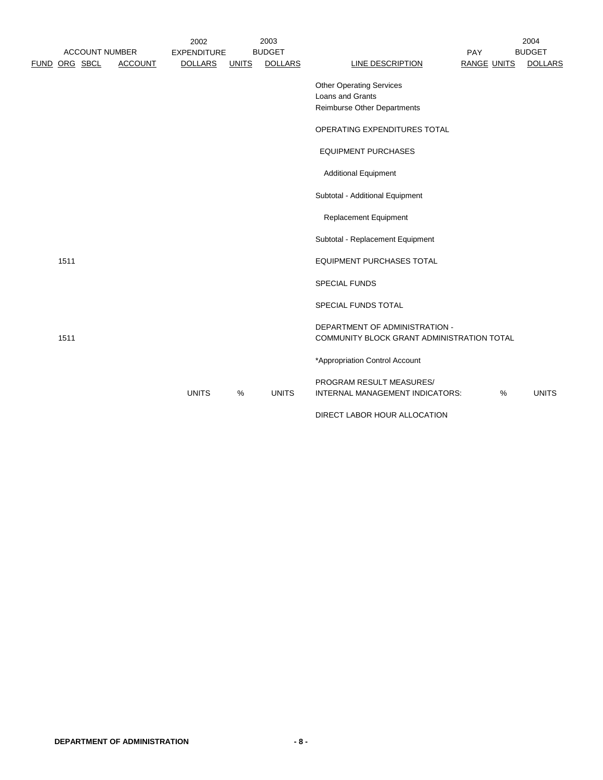|      | <b>ACCOUNT NUMBER</b> |                | 2002<br><b>EXPENDITURE</b> |       | 2003<br><b>BUDGET</b> |                                                                                    | PAY                |   | 2004<br><b>BUDGET</b> |
|------|-----------------------|----------------|----------------------------|-------|-----------------------|------------------------------------------------------------------------------------|--------------------|---|-----------------------|
|      | FUND ORG SBCL         | <b>ACCOUNT</b> | <b>DOLLARS</b>             | UNITS | <b>DOLLARS</b>        | LINE DESCRIPTION                                                                   | <b>RANGE UNITS</b> |   | <b>DOLLARS</b>        |
|      |                       |                |                            |       |                       | <b>Other Operating Services</b><br>Loans and Grants<br>Reimburse Other Departments |                    |   |                       |
|      |                       |                |                            |       |                       | OPERATING EXPENDITURES TOTAL                                                       |                    |   |                       |
|      |                       |                |                            |       |                       | <b>EQUIPMENT PURCHASES</b>                                                         |                    |   |                       |
|      |                       |                |                            |       |                       | <b>Additional Equipment</b>                                                        |                    |   |                       |
|      |                       |                |                            |       |                       | Subtotal - Additional Equipment                                                    |                    |   |                       |
|      |                       |                |                            |       |                       | <b>Replacement Equipment</b>                                                       |                    |   |                       |
|      |                       |                |                            |       |                       | Subtotal - Replacement Equipment                                                   |                    |   |                       |
| 1511 |                       |                |                            |       |                       | <b>EQUIPMENT PURCHASES TOTAL</b>                                                   |                    |   |                       |
|      |                       |                |                            |       |                       | <b>SPECIAL FUNDS</b>                                                               |                    |   |                       |
|      |                       |                |                            |       |                       | SPECIAL FUNDS TOTAL                                                                |                    |   |                       |
| 1511 |                       |                |                            |       |                       | DEPARTMENT OF ADMINISTRATION -<br>COMMUNITY BLOCK GRANT ADMINISTRATION TOTAL       |                    |   |                       |
|      |                       |                |                            |       |                       | *Appropriation Control Account                                                     |                    |   |                       |
|      |                       |                | <b>UNITS</b>               | %     | <b>UNITS</b>          | PROGRAM RESULT MEASURES/<br>INTERNAL MANAGEMENT INDICATORS:                        |                    | % | <b>UNITS</b>          |
|      |                       |                |                            |       |                       | DIRECT LABOR HOUR ALLOCATION                                                       |                    |   |                       |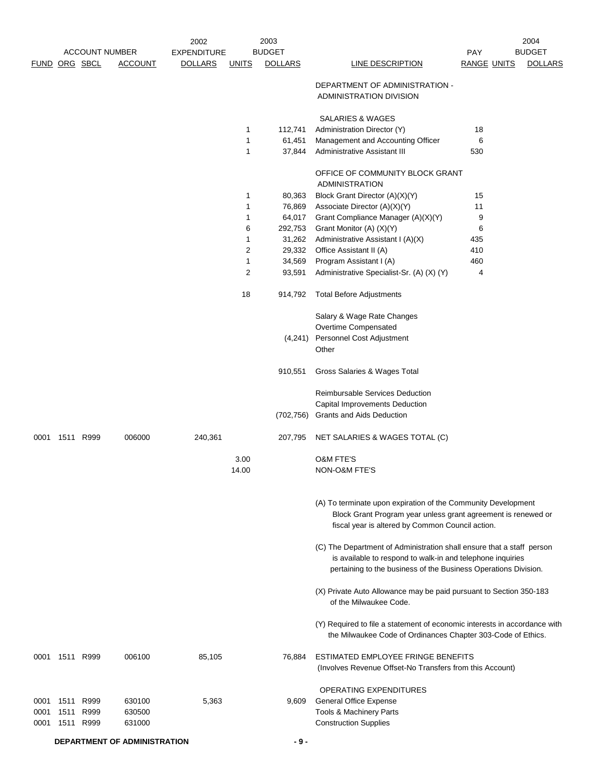|               |                |                       |                | 2002               |              | 2003           |                                                                                                                                                                                                        |                    | 2004           |
|---------------|----------------|-----------------------|----------------|--------------------|--------------|----------------|--------------------------------------------------------------------------------------------------------------------------------------------------------------------------------------------------------|--------------------|----------------|
|               |                | <b>ACCOUNT NUMBER</b> |                | <b>EXPENDITURE</b> |              | <b>BUDGET</b>  | LINE DESCRIPTION                                                                                                                                                                                       | <b>PAY</b>         | <b>BUDGET</b>  |
| FUND ORG SBCL |                |                       | <b>ACCOUNT</b> | <b>DOLLARS</b>     | <b>UNITS</b> | <b>DOLLARS</b> |                                                                                                                                                                                                        | <b>RANGE UNITS</b> | <b>DOLLARS</b> |
|               |                |                       |                |                    |              |                | DEPARTMENT OF ADMINISTRATION -<br>ADMINISTRATION DIVISION                                                                                                                                              |                    |                |
|               |                |                       |                |                    |              |                | <b>SALARIES &amp; WAGES</b>                                                                                                                                                                            |                    |                |
|               |                |                       |                |                    | 1            | 112,741        | Administration Director (Y)                                                                                                                                                                            | 18                 |                |
|               |                |                       |                |                    | 1            | 61,451         | Management and Accounting Officer                                                                                                                                                                      | 6                  |                |
|               |                |                       |                |                    | 1            | 37,844         | Administrative Assistant III                                                                                                                                                                           | 530                |                |
|               |                |                       |                |                    |              |                | OFFICE OF COMMUNITY BLOCK GRANT<br><b>ADMINISTRATION</b>                                                                                                                                               |                    |                |
|               |                |                       |                |                    | 1            | 80,363         | Block Grant Director (A)(X)(Y)                                                                                                                                                                         | 15                 |                |
|               |                |                       |                |                    | 1            | 76,869         | Associate Director (A)(X)(Y)                                                                                                                                                                           | 11                 |                |
|               |                |                       |                |                    | 1            | 64,017         | Grant Compliance Manager (A)(X)(Y)                                                                                                                                                                     | 9                  |                |
|               |                |                       |                |                    | 6            | 292,753        | Grant Monitor (A) (X)(Y)                                                                                                                                                                               | 6                  |                |
|               |                |                       |                |                    | 1            | 31,262         | Administrative Assistant I (A)(X)                                                                                                                                                                      | 435                |                |
|               |                |                       |                |                    | 2            | 29,332         | Office Assistant II (A)                                                                                                                                                                                | 410                |                |
|               |                |                       |                |                    | 1            | 34,569         | Program Assistant I (A)                                                                                                                                                                                | 460                |                |
|               |                |                       |                |                    | 2            | 93,591         | Administrative Specialist-Sr. (A) (X) (Y)                                                                                                                                                              | 4                  |                |
|               |                |                       |                |                    | 18           | 914,792        | <b>Total Before Adjustments</b>                                                                                                                                                                        |                    |                |
|               |                |                       |                |                    |              |                | Salary & Wage Rate Changes                                                                                                                                                                             |                    |                |
|               |                |                       |                |                    |              |                | Overtime Compensated                                                                                                                                                                                   |                    |                |
|               |                |                       |                |                    |              | (4,241)        | Personnel Cost Adjustment                                                                                                                                                                              |                    |                |
|               |                |                       |                |                    |              |                | Other                                                                                                                                                                                                  |                    |                |
|               |                |                       |                |                    |              | 910,551        | Gross Salaries & Wages Total                                                                                                                                                                           |                    |                |
|               |                |                       |                |                    |              |                | Reimbursable Services Deduction                                                                                                                                                                        |                    |                |
|               |                |                       |                |                    |              |                | Capital Improvements Deduction                                                                                                                                                                         |                    |                |
|               |                |                       |                |                    |              | (702, 756)     | <b>Grants and Aids Deduction</b>                                                                                                                                                                       |                    |                |
| 0001          |                | 1511 R999             | 006000         | 240,361            |              | 207,795        | NET SALARIES & WAGES TOTAL (C)                                                                                                                                                                         |                    |                |
|               |                |                       |                |                    |              |                |                                                                                                                                                                                                        |                    |                |
|               |                |                       |                |                    | 3.00         |                | <b>O&amp;M FTE'S</b>                                                                                                                                                                                   |                    |                |
|               |                |                       |                |                    | 14.00        |                | <b>NON-O&amp;M FTE'S</b>                                                                                                                                                                               |                    |                |
|               |                |                       |                |                    |              |                | (A) To terminate upon expiration of the Community Development<br>Block Grant Program year unless grant agreement is renewed or<br>fiscal year is altered by Common Council action.                     |                    |                |
|               |                |                       |                |                    |              |                | (C) The Department of Administration shall ensure that a staff person<br>is available to respond to walk-in and telephone inquiries<br>pertaining to the business of the Business Operations Division. |                    |                |
|               |                |                       |                |                    |              |                | (X) Private Auto Allowance may be paid pursuant to Section 350-183<br>of the Milwaukee Code.                                                                                                           |                    |                |
|               |                |                       |                |                    |              |                | (Y) Required to file a statement of economic interests in accordance with<br>the Milwaukee Code of Ordinances Chapter 303-Code of Ethics.                                                              |                    |                |
|               | 0001 1511 R999 |                       | 006100         | 85,105             |              | 76,884         | ESTIMATED EMPLOYEE FRINGE BENEFITS<br>(Involves Revenue Offset-No Transfers from this Account)                                                                                                         |                    |                |
|               |                |                       |                |                    |              |                | OPERATING EXPENDITURES                                                                                                                                                                                 |                    |                |
| 0001          | 1511           | R999                  | 630100         | 5,363              |              | 9,609          | <b>General Office Expense</b>                                                                                                                                                                          |                    |                |
| 0001          | 1511           | R999                  | 630500         |                    |              |                | Tools & Machinery Parts                                                                                                                                                                                |                    |                |
| 0001          | 1511           | R999                  | 631000         |                    |              |                | <b>Construction Supplies</b>                                                                                                                                                                           |                    |                |
|               |                |                       |                |                    |              |                |                                                                                                                                                                                                        |                    |                |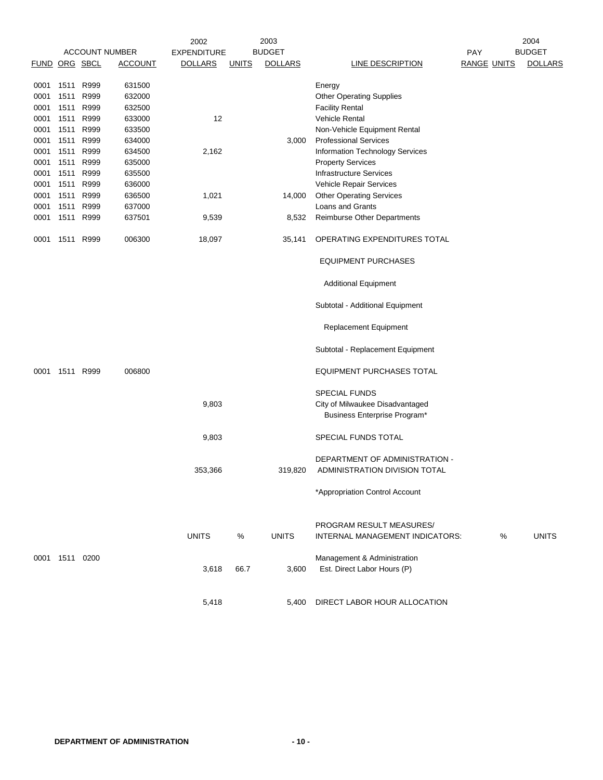|               |                | <b>ACCOUNT NUMBER</b> |                | 2002               |              | 2003<br><b>BUDGET</b> |                                        |                    | 2004<br><b>BUDGET</b> |
|---------------|----------------|-----------------------|----------------|--------------------|--------------|-----------------------|----------------------------------------|--------------------|-----------------------|
|               |                |                       |                | <b>EXPENDITURE</b> |              |                       |                                        | <b>PAY</b>         |                       |
| FUND ORG SBCL |                |                       | <b>ACCOUNT</b> | <b>DOLLARS</b>     | <b>UNITS</b> | <b>DOLLARS</b>        | <b>LINE DESCRIPTION</b>                | <b>RANGE UNITS</b> | <b>DOLLARS</b>        |
| 0001          | 1511           | R999                  | 631500         |                    |              |                       | Energy                                 |                    |                       |
| 0001          | 1511           | R999                  | 632000         |                    |              |                       | <b>Other Operating Supplies</b>        |                    |                       |
| 0001          | 1511           | R999                  | 632500         |                    |              |                       | <b>Facility Rental</b>                 |                    |                       |
| 0001          | 1511           | R999                  | 633000         | 12                 |              |                       | <b>Vehicle Rental</b>                  |                    |                       |
| 0001          | 1511           | R999                  | 633500         |                    |              |                       | Non-Vehicle Equipment Rental           |                    |                       |
| 0001          | 1511           | R999                  | 634000         |                    |              | 3,000                 | <b>Professional Services</b>           |                    |                       |
| 0001          | 1511           | R999                  | 634500         | 2,162              |              |                       | <b>Information Technology Services</b> |                    |                       |
| 0001          | 1511           | R999                  | 635000         |                    |              |                       | <b>Property Services</b>               |                    |                       |
| 0001          | 1511 R999      |                       | 635500         |                    |              |                       | <b>Infrastructure Services</b>         |                    |                       |
| 0001          | 1511           | R999                  | 636000         |                    |              |                       | Vehicle Repair Services                |                    |                       |
| 0001          | 1511           | R999                  | 636500         | 1,021              |              | 14,000                | <b>Other Operating Services</b>        |                    |                       |
| 0001          | 1511           | R999                  | 637000         |                    |              |                       | Loans and Grants                       |                    |                       |
| 0001          | 1511           | R999                  | 637501         | 9,539              |              | 8,532                 | Reimburse Other Departments            |                    |                       |
|               |                |                       |                |                    |              |                       |                                        |                    |                       |
| 0001          | 1511           | R999                  | 006300         | 18,097             |              | 35,141                | OPERATING EXPENDITURES TOTAL           |                    |                       |
|               |                |                       |                |                    |              |                       | <b>EQUIPMENT PURCHASES</b>             |                    |                       |
|               |                |                       |                |                    |              |                       | <b>Additional Equipment</b>            |                    |                       |
|               |                |                       |                |                    |              |                       | Subtotal - Additional Equipment        |                    |                       |
|               |                |                       |                |                    |              |                       | <b>Replacement Equipment</b>           |                    |                       |
|               |                |                       |                |                    |              |                       | Subtotal - Replacement Equipment       |                    |                       |
| 0001          | 1511 R999      |                       | 006800         |                    |              |                       | <b>EQUIPMENT PURCHASES TOTAL</b>       |                    |                       |
|               |                |                       |                |                    |              |                       |                                        |                    |                       |
|               |                |                       |                |                    |              |                       | <b>SPECIAL FUNDS</b>                   |                    |                       |
|               |                |                       |                | 9,803              |              |                       | City of Milwaukee Disadvantaged        |                    |                       |
|               |                |                       |                |                    |              |                       | Business Enterprise Program*           |                    |                       |
|               |                |                       |                | 9,803              |              |                       | SPECIAL FUNDS TOTAL                    |                    |                       |
|               |                |                       |                |                    |              |                       | DEPARTMENT OF ADMINISTRATION -         |                    |                       |
|               |                |                       |                | 353,366            |              | 319,820               | ADMINISTRATION DIVISION TOTAL          |                    |                       |
|               |                |                       |                |                    |              |                       |                                        |                    |                       |
|               |                |                       |                |                    |              |                       | *Appropriation Control Account         |                    |                       |
|               |                |                       |                |                    |              |                       |                                        |                    |                       |
|               |                |                       |                |                    |              |                       | PROGRAM RESULT MEASURES/               |                    |                       |
|               |                |                       |                | <b>UNITS</b>       | ℅            | <b>UNITS</b>          | INTERNAL MANAGEMENT INDICATORS:        | %                  | <b>UNITS</b>          |
|               |                |                       |                |                    |              |                       |                                        |                    |                       |
|               | 0001 1511 0200 |                       |                |                    |              |                       | Management & Administration            |                    |                       |
|               |                |                       |                | 3,618              | 66.7         | 3,600                 | Est. Direct Labor Hours (P)            |                    |                       |
|               |                |                       |                |                    |              |                       |                                        |                    |                       |
|               |                |                       |                |                    |              |                       |                                        |                    |                       |
|               |                |                       |                | 5,418              |              | 5,400                 | DIRECT LABOR HOUR ALLOCATION           |                    |                       |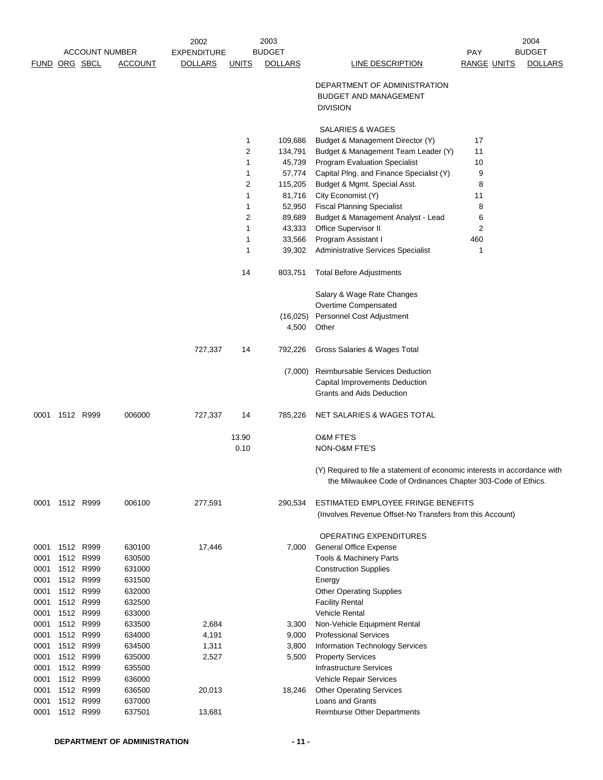|               |                |                   |                       | 2002               |              | 2003           |                                                                                                                                           |                    | 2004           |
|---------------|----------------|-------------------|-----------------------|--------------------|--------------|----------------|-------------------------------------------------------------------------------------------------------------------------------------------|--------------------|----------------|
|               |                |                   | <b>ACCOUNT NUMBER</b> | <b>EXPENDITURE</b> |              | <b>BUDGET</b>  |                                                                                                                                           | PAY                | <b>BUDGET</b>  |
| FUND ORG SBCL |                |                   | <b>ACCOUNT</b>        | <b>DOLLARS</b>     | <u>UNITS</u> | <b>DOLLARS</b> | <b>LINE DESCRIPTION</b>                                                                                                                   | <b>RANGE UNITS</b> | <b>DOLLARS</b> |
|               |                |                   |                       |                    |              |                | DEPARTMENT OF ADMINISTRATION                                                                                                              |                    |                |
|               |                |                   |                       |                    |              |                | <b>BUDGET AND MANAGEMENT</b>                                                                                                              |                    |                |
|               |                |                   |                       |                    |              |                | <b>DIVISION</b>                                                                                                                           |                    |                |
|               |                |                   |                       |                    |              |                | <b>SALARIES &amp; WAGES</b>                                                                                                               |                    |                |
|               |                |                   |                       |                    | 1            | 109,686        | Budget & Management Director (Y)                                                                                                          | 17                 |                |
|               |                |                   |                       |                    | 2            | 134,791        | Budget & Management Team Leader (Y)                                                                                                       | 11                 |                |
|               |                |                   |                       |                    | 1            | 45,739         | <b>Program Evaluation Specialist</b>                                                                                                      | 10                 |                |
|               |                |                   |                       |                    | 1            | 57,774         | Capital Plng. and Finance Specialist (Y)                                                                                                  | 9                  |                |
|               |                |                   |                       |                    | 2            | 115,205        | Budget & Mgmt. Special Asst.                                                                                                              | 8                  |                |
|               |                |                   |                       |                    | 1            | 81,716         | City Economist (Y)                                                                                                                        | 11                 |                |
|               |                |                   |                       |                    | 1            | 52,950         | <b>Fiscal Planning Specialist</b>                                                                                                         | 8                  |                |
|               |                |                   |                       |                    | 2            | 89,689         | Budget & Management Analyst - Lead                                                                                                        | 6                  |                |
|               |                |                   |                       |                    | 1            | 43,333         | Office Supervisor II                                                                                                                      | 2                  |                |
|               |                |                   |                       |                    | 1            | 33,566         | Program Assistant I                                                                                                                       | 460                |                |
|               |                |                   |                       |                    | 1            | 39,302         | <b>Administrative Services Specialist</b>                                                                                                 | 1                  |                |
|               |                |                   |                       |                    | 14           | 803,751        | <b>Total Before Adjustments</b>                                                                                                           |                    |                |
|               |                |                   |                       |                    |              |                | Salary & Wage Rate Changes                                                                                                                |                    |                |
|               |                |                   |                       |                    |              |                | Overtime Compensated                                                                                                                      |                    |                |
|               |                |                   |                       |                    |              | (16, 025)      | Personnel Cost Adjustment                                                                                                                 |                    |                |
|               |                |                   |                       |                    |              | 4,500          | Other                                                                                                                                     |                    |                |
|               |                |                   |                       | 727,337            | 14           | 792,226        | Gross Salaries & Wages Total                                                                                                              |                    |                |
|               |                |                   |                       |                    |              | (7,000)        | Reimbursable Services Deduction                                                                                                           |                    |                |
|               |                |                   |                       |                    |              |                | Capital Improvements Deduction                                                                                                            |                    |                |
|               |                |                   |                       |                    |              |                | Grants and Aids Deduction                                                                                                                 |                    |                |
| 0001          |                | 1512 R999         | 006000                | 727,337            | 14           | 785,226        | NET SALARIES & WAGES TOTAL                                                                                                                |                    |                |
|               |                |                   |                       |                    | 13.90        |                | O&M FTE'S                                                                                                                                 |                    |                |
|               |                |                   |                       |                    | 0.10         |                | NON-O&M FTE'S                                                                                                                             |                    |                |
|               |                |                   |                       |                    |              |                | (Y) Required to file a statement of economic interests in accordance with<br>the Milwaukee Code of Ordinances Chapter 303-Code of Ethics. |                    |                |
|               | 0001 1512 R999 |                   | 006100                | 277,591            |              | 290,534        | ESTIMATED EMPLOYEE FRINGE BENEFITS<br>(Involves Revenue Offset-No Transfers from this Account)                                            |                    |                |
|               |                |                   |                       |                    |              |                | <b>OPERATING EXPENDITURES</b>                                                                                                             |                    |                |
| 0001          |                | 1512 R999         | 630100                | 17,446             |              | 7,000          | General Office Expense                                                                                                                    |                    |                |
| 0001          |                | 1512 R999         | 630500                |                    |              |                | Tools & Machinery Parts                                                                                                                   |                    |                |
| 0001          |                | 1512 R999         | 631000                |                    |              |                | <b>Construction Supplies</b>                                                                                                              |                    |                |
| 0001          |                | 1512 R999         | 631500                |                    |              |                | Energy                                                                                                                                    |                    |                |
| 0001          |                | 1512 R999         | 632000                |                    |              |                | <b>Other Operating Supplies</b>                                                                                                           |                    |                |
| 0001          | 1512           | R999              | 632500                |                    |              |                | <b>Facility Rental</b>                                                                                                                    |                    |                |
| 0001          |                | 1512 R999         | 633000                |                    |              |                | Vehicle Rental                                                                                                                            |                    |                |
| 0001          |                | 1512 R999         | 633500                | 2,684              |              | 3,300          | Non-Vehicle Equipment Rental                                                                                                              |                    |                |
| 0001          |                | 1512 R999         | 634000                | 4,191              |              | 9,000          | <b>Professional Services</b>                                                                                                              |                    |                |
| 0001<br>0001  | 1512           | R999<br>1512 R999 | 634500<br>635000      | 1,311<br>2,527     |              | 3,800<br>5,500 | Information Technology Services<br><b>Property Services</b>                                                                               |                    |                |
| 0001          |                | 1512 R999         | 635500                |                    |              |                | <b>Infrastructure Services</b>                                                                                                            |                    |                |
| 0001          |                | 1512 R999         | 636000                |                    |              |                | Vehicle Repair Services                                                                                                                   |                    |                |
| 0001          |                | 1512 R999         | 636500                | 20,013             |              | 18,246         | <b>Other Operating Services</b>                                                                                                           |                    |                |
| 0001          |                | 1512 R999         | 637000                |                    |              |                | Loans and Grants                                                                                                                          |                    |                |
| 0001          |                | 1512 R999         | 637501                | 13,681             |              |                | <b>Reimburse Other Departments</b>                                                                                                        |                    |                |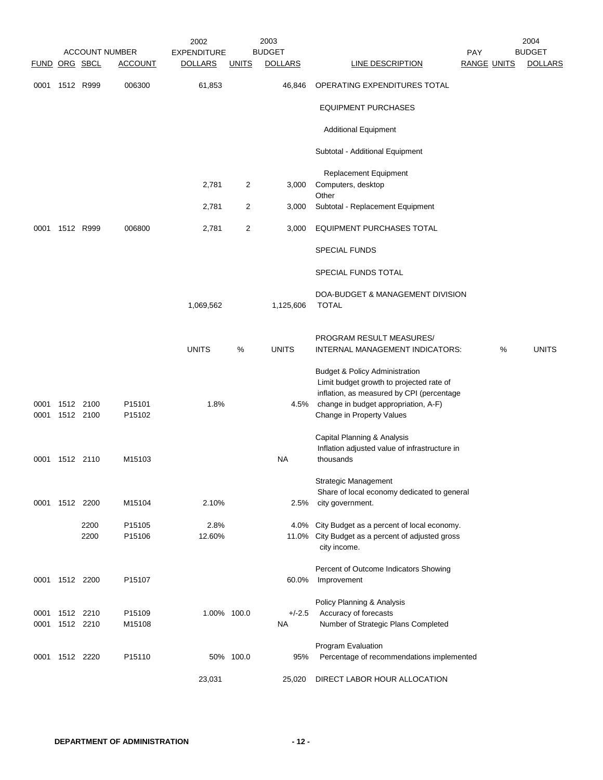|               |                        |              | <b>ACCOUNT NUMBER</b> | 2002<br><b>EXPENDITURE</b> |                | 2003<br><b>BUDGET</b> |                                                                                                                                                                                                         | <b>PAY</b>         | 2004<br><b>BUDGET</b> |
|---------------|------------------------|--------------|-----------------------|----------------------------|----------------|-----------------------|---------------------------------------------------------------------------------------------------------------------------------------------------------------------------------------------------------|--------------------|-----------------------|
| FUND ORG SBCL |                        |              | <b>ACCOUNT</b>        | <b>DOLLARS</b>             | <b>UNITS</b>   | <b>DOLLARS</b>        | <b>LINE DESCRIPTION</b>                                                                                                                                                                                 | <b>RANGE UNITS</b> | <b>DOLLARS</b>        |
| 0001          |                        | 1512 R999    | 006300                | 61,853                     |                | 46,846                | OPERATING EXPENDITURES TOTAL                                                                                                                                                                            |                    |                       |
|               |                        |              |                       |                            |                |                       | <b>EQUIPMENT PURCHASES</b>                                                                                                                                                                              |                    |                       |
|               |                        |              |                       |                            |                |                       | <b>Additional Equipment</b>                                                                                                                                                                             |                    |                       |
|               |                        |              |                       |                            |                |                       | Subtotal - Additional Equipment                                                                                                                                                                         |                    |                       |
|               |                        |              |                       | 2,781                      | 2              | 3,000                 | Replacement Equipment<br>Computers, desktop                                                                                                                                                             |                    |                       |
|               |                        |              |                       | 2,781                      | $\overline{2}$ | 3,000                 | Other<br>Subtotal - Replacement Equipment                                                                                                                                                               |                    |                       |
| 0001          |                        | 1512 R999    | 006800                | 2,781                      | $\overline{2}$ | 3,000                 | <b>EQUIPMENT PURCHASES TOTAL</b>                                                                                                                                                                        |                    |                       |
|               |                        |              |                       |                            |                |                       | <b>SPECIAL FUNDS</b>                                                                                                                                                                                    |                    |                       |
|               |                        |              |                       |                            |                |                       | SPECIAL FUNDS TOTAL                                                                                                                                                                                     |                    |                       |
|               |                        |              |                       | 1,069,562                  |                | 1,125,606             | DOA-BUDGET & MANAGEMENT DIVISION<br><b>TOTAL</b>                                                                                                                                                        |                    |                       |
|               |                        |              |                       | <b>UNITS</b>               | %              | <b>UNITS</b>          | PROGRAM RESULT MEASURES/<br>INTERNAL MANAGEMENT INDICATORS:                                                                                                                                             | %                  | <b>UNITS</b>          |
| 0001<br>0001  | 1512 2100<br>1512 2100 |              | P15101<br>P15102      | 1.8%                       |                | 4.5%                  | <b>Budget &amp; Policy Administration</b><br>Limit budget growth to projected rate of<br>inflation, as measured by CPI (percentage<br>change in budget appropriation, A-F)<br>Change in Property Values |                    |                       |
| 0001          | 1512 2110              |              | M15103                |                            |                | <b>NA</b>             | Capital Planning & Analysis<br>Inflation adjusted value of infrastructure in<br>thousands                                                                                                               |                    |                       |
|               |                        |              |                       |                            |                |                       | Strategic Management<br>Share of local economy dedicated to general                                                                                                                                     |                    |                       |
|               | 0001 1512 2200         |              | M15104                | 2.10%                      |                | 2.5%                  | city government.                                                                                                                                                                                        |                    |                       |
|               |                        | 2200<br>2200 | P15105<br>P15106      | 2.8%<br>12.60%             |                |                       | 4.0% City Budget as a percent of local economy.<br>11.0% City Budget as a percent of adjusted gross<br>city income.                                                                                     |                    |                       |
| 0001          | 1512 2200              |              | P15107                |                            |                | 60.0%                 | Percent of Outcome Indicators Showing<br>Improvement                                                                                                                                                    |                    |                       |
| 0001<br>0001  | 1512 2210<br>1512 2210 |              | P15109<br>M15108      | 1.00% 100.0                |                | $+/-2.5$<br><b>NA</b> | Policy Planning & Analysis<br>Accuracy of forecasts<br>Number of Strategic Plans Completed                                                                                                              |                    |                       |
| 0001          | 1512 2220              |              | P <sub>15110</sub>    |                            | 50% 100.0      | 95%                   | Program Evaluation<br>Percentage of recommendations implemented                                                                                                                                         |                    |                       |
|               |                        |              |                       | 23,031                     |                | 25,020                | DIRECT LABOR HOUR ALLOCATION                                                                                                                                                                            |                    |                       |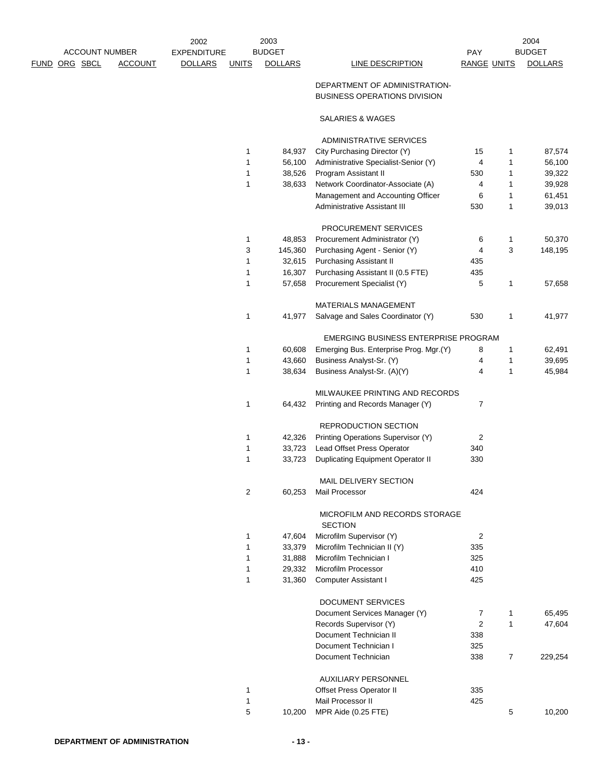| <b>ACCOUNT NUMBER</b> |                | 2002<br><b>EXPENDITURE</b> |              | 2003<br><b>BUDGET</b> |                                                                      | PAY                |                | 2004<br><b>BUDGET</b> |
|-----------------------|----------------|----------------------------|--------------|-----------------------|----------------------------------------------------------------------|--------------------|----------------|-----------------------|
| <u>FUND ORG SBCL</u>  | <b>ACCOUNT</b> | <b>DOLLARS</b>             | <b>UNITS</b> | <b>DOLLARS</b>        | LINE DESCRIPTION                                                     | <b>RANGE UNITS</b> |                | <b>DOLLARS</b>        |
|                       |                |                            |              |                       |                                                                      |                    |                |                       |
|                       |                |                            |              |                       | DEPARTMENT OF ADMINISTRATION-<br><b>BUSINESS OPERATIONS DIVISION</b> |                    |                |                       |
|                       |                |                            |              |                       | SALARIES & WAGES                                                     |                    |                |                       |
|                       |                |                            |              |                       | <b>ADMINISTRATIVE SERVICES</b>                                       |                    |                |                       |
|                       |                |                            | 1            | 84,937                | City Purchasing Director (Y)                                         | 15                 | 1              | 87,574                |
|                       |                |                            | 1            | 56,100                | Administrative Specialist-Senior (Y)                                 | 4                  | 1              | 56,100                |
|                       |                |                            | 1            | 38,526                | Program Assistant II                                                 | 530                | 1              | 39,322                |
|                       |                |                            | 1            | 38,633                | Network Coordinator-Associate (A)                                    | 4                  | 1              | 39,928                |
|                       |                |                            |              |                       | Management and Accounting Officer                                    | 6                  | 1              | 61,451                |
|                       |                |                            |              |                       | Administrative Assistant III                                         | 530                | 1              | 39,013                |
|                       |                |                            |              |                       | PROCUREMENT SERVICES                                                 |                    |                |                       |
|                       |                |                            | $\mathbf{1}$ | 48,853                | Procurement Administrator (Y)                                        | 6                  | 1              | 50,370                |
|                       |                |                            | 3            | 145,360               | Purchasing Agent - Senior (Y)                                        | 4                  | 3              | 148,195               |
|                       |                |                            | 1            | 32,615                | <b>Purchasing Assistant II</b>                                       | 435                |                |                       |
|                       |                |                            | $\mathbf{1}$ | 16,307                | Purchasing Assistant II (0.5 FTE)                                    | 435                |                |                       |
|                       |                |                            | $\mathbf{1}$ | 57,658                | Procurement Specialist (Y)                                           | 5                  | 1              | 57,658                |
|                       |                |                            |              |                       | <b>MATERIALS MANAGEMENT</b>                                          |                    |                |                       |
|                       |                |                            | $\mathbf{1}$ | 41,977                | Salvage and Sales Coordinator (Y)                                    | 530                | 1              | 41,977                |
|                       |                |                            |              |                       | EMERGING BUSINESS ENTERPRISE PROGRAM                                 |                    |                |                       |
|                       |                |                            | 1            | 60,608                | Emerging Bus. Enterprise Prog. Mgr.(Y)                               | 8                  | 1              | 62,491                |
|                       |                |                            | 1            | 43,660                | Business Analyst-Sr. (Y)                                             | 4                  | 1              | 39,695                |
|                       |                |                            | 1            | 38,634                | Business Analyst-Sr. (A)(Y)                                          | 4                  | $\mathbf{1}$   | 45,984                |
|                       |                |                            |              |                       | MILWAUKEE PRINTING AND RECORDS                                       |                    |                |                       |
|                       |                |                            | 1            | 64,432                | Printing and Records Manager (Y)                                     | 7                  |                |                       |
|                       |                |                            |              |                       | <b>REPRODUCTION SECTION</b>                                          |                    |                |                       |
|                       |                |                            | 1            | 42,326                | Printing Operations Supervisor (Y)                                   | 2                  |                |                       |
|                       |                |                            | 1            | 33,723                | Lead Offset Press Operator                                           | 340                |                |                       |
|                       |                |                            | $\mathbf{1}$ | 33,723                | <b>Duplicating Equipment Operator II</b>                             | 330                |                |                       |
|                       |                |                            |              |                       | MAIL DELIVERY SECTION                                                |                    |                |                       |
|                       |                |                            | 2            | 60,253                | Mail Processor                                                       | 424                |                |                       |
|                       |                |                            |              |                       | MICROFILM AND RECORDS STORAGE<br><b>SECTION</b>                      |                    |                |                       |
|                       |                |                            | 1            | 47,604                | Microfilm Supervisor (Y)                                             | $\overline{2}$     |                |                       |
|                       |                |                            | 1            | 33,379                | Microfilm Technician II (Y)                                          | 335                |                |                       |
|                       |                |                            | 1            | 31,888                | Microfilm Technician I                                               | 325                |                |                       |
|                       |                |                            | 1            | 29,332                | Microfilm Processor                                                  | 410                |                |                       |
|                       |                |                            | $\mathbf{1}$ | 31,360                | <b>Computer Assistant I</b>                                          | 425                |                |                       |
|                       |                |                            |              |                       | <b>DOCUMENT SERVICES</b>                                             |                    |                |                       |
|                       |                |                            |              |                       | Document Services Manager (Y)                                        | 7                  | 1              | 65,495                |
|                       |                |                            |              |                       | Records Supervisor (Y)                                               | $\overline{2}$     | 1              | 47,604                |
|                       |                |                            |              |                       | Document Technician II                                               | 338                |                |                       |
|                       |                |                            |              |                       | Document Technician I                                                | 325                |                |                       |
|                       |                |                            |              |                       | Document Technician                                                  | 338                | $\overline{7}$ | 229,254               |
|                       |                |                            |              |                       | <b>AUXILIARY PERSONNEL</b>                                           |                    |                |                       |
|                       |                |                            | 1            |                       | Offset Press Operator II                                             | 335                |                |                       |
|                       |                |                            | 1            |                       | Mail Processor II                                                    | 425                |                |                       |
|                       |                |                            | 5            | 10,200                | MPR Aide (0.25 FTE)                                                  |                    | 5              | 10,200                |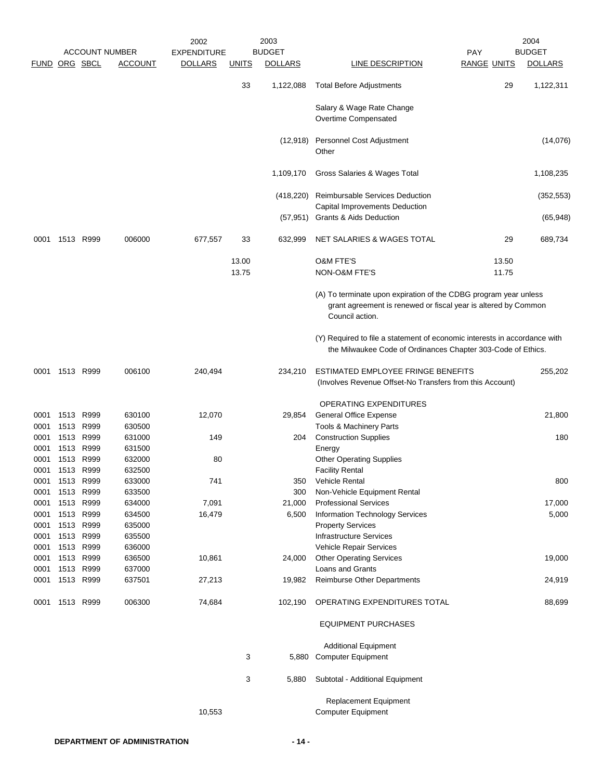|              |              |              |                       | 2002               |              | 2003            |                                                                                                                                                       |                    |       | 2004           |
|--------------|--------------|--------------|-----------------------|--------------------|--------------|-----------------|-------------------------------------------------------------------------------------------------------------------------------------------------------|--------------------|-------|----------------|
|              |              |              | <b>ACCOUNT NUMBER</b> | <b>EXPENDITURE</b> |              | <b>BUDGET</b>   |                                                                                                                                                       | <b>PAY</b>         |       | <b>BUDGET</b>  |
| <b>FUND</b>  |              | ORG SBCL     | <b>ACCOUNT</b>        | <b>DOLLARS</b>     | <b>UNITS</b> | <b>DOLLARS</b>  | LINE DESCRIPTION                                                                                                                                      | <b>RANGE UNITS</b> |       | <b>DOLLARS</b> |
|              |              |              |                       |                    | 33           | 1,122,088       | <b>Total Before Adjustments</b>                                                                                                                       |                    | 29    | 1,122,311      |
|              |              |              |                       |                    |              |                 | Salary & Wage Rate Change<br>Overtime Compensated                                                                                                     |                    |       |                |
|              |              |              |                       |                    |              | (12, 918)       | Personnel Cost Adjustment<br>Other                                                                                                                    |                    |       | (14,076)       |
|              |              |              |                       |                    |              | 1,109,170       | Gross Salaries & Wages Total                                                                                                                          |                    |       | 1,108,235      |
|              |              |              |                       |                    |              | (418, 220)      | Reimbursable Services Deduction<br>Capital Improvements Deduction                                                                                     |                    |       | (352, 553)     |
|              |              |              |                       |                    |              | (57, 951)       | <b>Grants &amp; Aids Deduction</b>                                                                                                                    |                    |       | (65, 948)      |
| 0001         |              | 1513 R999    | 006000                | 677,557            | 33           | 632,999         | NET SALARIES & WAGES TOTAL                                                                                                                            |                    | 29    | 689,734        |
|              |              |              |                       |                    | 13.00        |                 | <b>O&amp;M FTE'S</b><br><b>NON-O&amp;M FTE'S</b>                                                                                                      |                    | 13.50 |                |
|              |              |              |                       |                    | 13.75        |                 |                                                                                                                                                       |                    | 11.75 |                |
|              |              |              |                       |                    |              |                 | (A) To terminate upon expiration of the CDBG program year unless<br>grant agreement is renewed or fiscal year is altered by Common<br>Council action. |                    |       |                |
|              |              |              |                       |                    |              |                 | (Y) Required to file a statement of economic interests in accordance with<br>the Milwaukee Code of Ordinances Chapter 303-Code of Ethics.             |                    |       |                |
| 0001         | 1513 R999    |              | 006100                | 240,494            |              | 234,210         | ESTIMATED EMPLOYEE FRINGE BENEFITS<br>(Involves Revenue Offset-No Transfers from this Account)                                                        |                    |       | 255,202        |
|              |              |              |                       |                    |              |                 | OPERATING EXPENDITURES                                                                                                                                |                    |       |                |
| 0001         | 1513         | R999         | 630100                | 12,070             |              | 29,854          | General Office Expense                                                                                                                                |                    |       | 21,800         |
| 0001         | 1513         | R999         | 630500                |                    |              |                 | Tools & Machinery Parts                                                                                                                               |                    |       |                |
| 0001         | 1513         | R999         | 631000                | 149                |              | 204             | <b>Construction Supplies</b>                                                                                                                          |                    |       | 180            |
| 0001         |              | 1513 R999    | 631500                |                    |              |                 | Energy                                                                                                                                                |                    |       |                |
| 0001         | 1513         | R999         | 632000                | 80                 |              |                 | <b>Other Operating Supplies</b>                                                                                                                       |                    |       |                |
| 0001         |              | 1513 R999    | 632500                |                    |              |                 | <b>Facility Rental</b>                                                                                                                                |                    |       |                |
| 0001         | 1513         | R999         | 633000                | 741                |              | 350             | Vehicle Rental                                                                                                                                        |                    |       | 800            |
| 0001         | 1513         | R999<br>R999 | 633500                |                    |              | 300             | Non-Vehicle Equipment Rental                                                                                                                          |                    |       | 17,000         |
| 0001<br>0001 | 1513<br>1513 | R999         | 634000<br>634500      | 7,091<br>16,479    |              | 21,000<br>6,500 | <b>Professional Services</b><br>Information Technology Services                                                                                       |                    |       | 5,000          |
| 0001         |              | 1513 R999    | 635000                |                    |              |                 | <b>Property Services</b>                                                                                                                              |                    |       |                |
| 0001         |              | 1513 R999    | 635500                |                    |              |                 | <b>Infrastructure Services</b>                                                                                                                        |                    |       |                |
| 0001         |              | 1513 R999    | 636000                |                    |              |                 | Vehicle Repair Services                                                                                                                               |                    |       |                |
| 0001         |              | 1513 R999    | 636500                | 10,861             |              | 24,000          | <b>Other Operating Services</b>                                                                                                                       |                    |       | 19,000         |
| 0001         |              | 1513 R999    | 637000                |                    |              |                 | Loans and Grants                                                                                                                                      |                    |       |                |
| 0001         |              | 1513 R999    | 637501                | 27,213             |              | 19,982          | Reimburse Other Departments                                                                                                                           |                    |       | 24,919         |
| 0001         | 1513         | R999         | 006300                | 74,684             |              | 102,190         | OPERATING EXPENDITURES TOTAL                                                                                                                          |                    |       | 88,699         |
|              |              |              |                       |                    |              |                 | <b>EQUIPMENT PURCHASES</b>                                                                                                                            |                    |       |                |
|              |              |              |                       |                    |              |                 | <b>Additional Equipment</b>                                                                                                                           |                    |       |                |
|              |              |              |                       |                    | 3            |                 | 5,880 Computer Equipment                                                                                                                              |                    |       |                |
|              |              |              |                       |                    | 3            | 5,880           | Subtotal - Additional Equipment                                                                                                                       |                    |       |                |
|              |              |              |                       | 10,553             |              |                 | <b>Replacement Equipment</b><br><b>Computer Equipment</b>                                                                                             |                    |       |                |
|              |              |              |                       |                    |              |                 |                                                                                                                                                       |                    |       |                |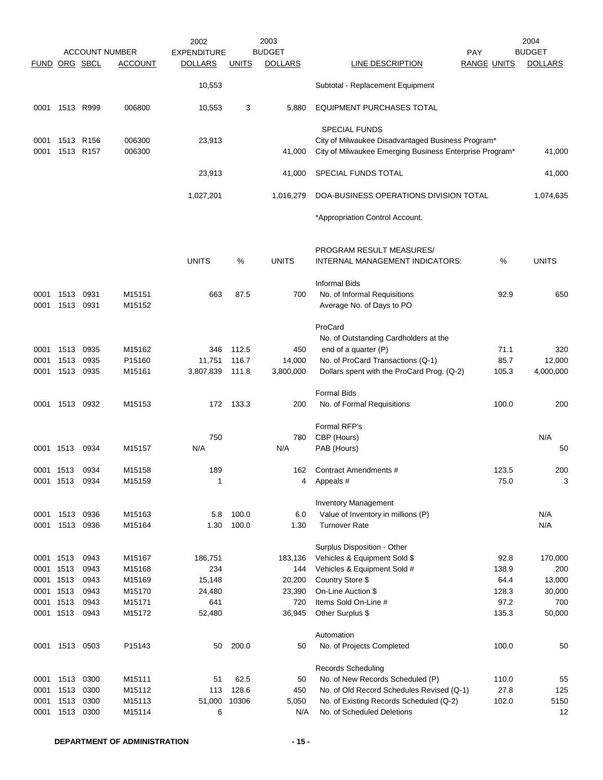|               |                |           |                       | 2002               |              | 2003           |                                                                                                              |                    | 2004           |
|---------------|----------------|-----------|-----------------------|--------------------|--------------|----------------|--------------------------------------------------------------------------------------------------------------|--------------------|----------------|
|               |                |           | <b>ACCOUNT NUMBER</b> | <b>EXPENDITURE</b> |              | <b>BUDGET</b>  |                                                                                                              | <b>PAY</b>         | <b>BUDGET</b>  |
| FUND ORG SBCL |                |           | ACCOUNT               | <b>DOLLARS</b>     | <b>UNITS</b> | <b>DOLLARS</b> | LINE DESCRIPTION                                                                                             | <b>RANGE UNITS</b> | <b>DOLLARS</b> |
|               |                |           |                       | 10,553             |              |                | Subtotal - Replacement Equipment                                                                             |                    |                |
| 0001          | 1513 R999      |           | 006800                | 10,553             | 3            | 5,880          | EQUIPMENT PURCHASES TOTAL                                                                                    |                    |                |
|               |                |           |                       |                    |              |                | <b>SPECIAL FUNDS</b>                                                                                         |                    |                |
| 0001<br>0001  | 1513 R156      | 1513 R157 | 006300<br>006300      | 23,913             |              | 41,000         | City of Milwaukee Disadvantaged Business Program*<br>City of Milwaukee Emerging Business Enterprise Program* |                    | 41,000         |
|               |                |           |                       | 23,913             |              | 41,000         | SPECIAL FUNDS TOTAL                                                                                          |                    | 41,000         |
|               |                |           |                       | 1,027,201          |              | 1,016,279      | DOA-BUSINESS OPERATIONS DIVISION TOTAL                                                                       |                    | 1,074,635      |
|               |                |           |                       |                    |              |                | *Appropriation Control Account.                                                                              |                    |                |
|               |                |           |                       |                    |              |                | PROGRAM RESULT MEASURES/                                                                                     |                    |                |
|               |                |           |                       | <b>UNITS</b>       | %            | <b>UNITS</b>   | INTERNAL MANAGEMENT INDICATORS:                                                                              | %                  | <b>UNITS</b>   |
|               |                |           |                       |                    |              |                | <b>Informal Bids</b>                                                                                         |                    |                |
| 0001          | 1513           | 0931      | M15151                | 663                | 87.5         | 700            | No. of Informal Requisitions                                                                                 | 92.9               | 650            |
| 0001          | 1513           | 0931      | M15152                |                    |              |                | Average No. of Days to PO                                                                                    |                    |                |
|               |                |           |                       |                    |              |                | ProCard                                                                                                      |                    |                |
|               |                |           |                       |                    |              |                | No. of Outstanding Cardholders at the                                                                        |                    |                |
| 0001          | 1513           | 0935      | M15162                | 346                | 112.5        | 450            | end of a quarter (P)                                                                                         | 71.1               | 320            |
| 0001          | 1513           | 0935      | P15160                | 11,751             | 116.7        | 14,000         | No. of ProCard Transactions (Q-1)                                                                            | 85.7               | 12,000         |
| 0001          | 1513           | 0935      | M15161                | 3,807,839          | 111.8        | 3,800,000      | Dollars spent with the ProCard Prog. (Q-2)                                                                   | 105.3              | 4,000,000      |
|               |                |           |                       |                    |              |                | <b>Formal Bids</b>                                                                                           |                    |                |
| 0001          | 1513 0932      |           | M15153                | 172                | 133.3        | 200            | No. of Formal Requisitions                                                                                   | 100.0              | 200            |
|               |                |           |                       |                    |              |                | Formal RFP's                                                                                                 |                    |                |
|               |                |           |                       | 750                |              | 780            | CBP (Hours)                                                                                                  |                    | N/A            |
| 0001 1513     |                | 0934      | M15157                | N/A                |              | N/A            | PAB (Hours)                                                                                                  |                    | 50             |
| 0001 1513     |                | 0934      | M15158                | 189                |              | 162            | Contract Amendments #                                                                                        | 123.5              | 200            |
|               | 0001 1513      | 0934      | M15159                | 1                  |              | 4              | Appeals #                                                                                                    | 75.0               | 3              |
|               |                |           |                       |                    |              |                | <b>Inventory Management</b>                                                                                  |                    |                |
| 0001          | 1513           | 0936      | M15163                | 5.8                | 100.0        | 6.0            | Value of Inventory in millions (P)                                                                           |                    | N/A            |
| 0001          | 1513           | 0936      | M15164                | 1.30               | 100.0        | 1.30           | <b>Turnover Rate</b>                                                                                         |                    | N/A            |
|               |                |           |                       |                    |              |                | Surplus Disposition - Other                                                                                  |                    |                |
| 0001 1513     |                | 0943      | M15167                | 186,751            |              | 183,136        | Vehicles & Equipment Sold \$                                                                                 | 92.8               | 170,000        |
| 0001 1513     |                | 0943      | M15168                | 234                |              | 144            | Vehicles & Equipment Sold #                                                                                  | 138.9              | 200            |
| 0001 1513     |                | 0943      | M15169                | 15,148             |              | 20,200         | Country Store \$                                                                                             | 64.4               | 13,000         |
| 0001 1513     |                | 0943      | M15170                | 24,480             |              | 23,390         | On-Line Auction \$                                                                                           | 128.3              | 30,000         |
| 0001 1513     |                | 0943      | M15171                | 641                |              | 720            | Items Sold On-Line #                                                                                         | 97.2               | 700            |
| 0001 1513     |                | 0943      | M15172                | 52,480             |              | 36,945         | Other Surplus \$                                                                                             | 135.3              | 50,000         |
|               |                |           |                       |                    |              |                | Automation                                                                                                   |                    |                |
|               | 0001 1513 0503 |           | P15143                | 50                 | 200.0        | 50             | No. of Projects Completed                                                                                    | 100.0              | 50             |
|               |                |           |                       |                    |              |                | <b>Records Scheduling</b>                                                                                    |                    |                |
| 0001          | 1513           | 0300      | M15111                | 51                 | 62.5         | 50             | No. of New Records Scheduled (P)                                                                             | 110.0              | 55             |
| 0001          | 1513           | 0300      | M15112                | 113                | 128.6        | 450            | No. of Old Record Schedules Revised (Q-1)                                                                    | 27.8               | 125            |
| 0001          | 1513           | 0300      | M15113                | 51,000             | 10306        | 5,050          | No. of Existing Records Scheduled (Q-2)                                                                      | 102.0              | 5150           |
| 0001          | 1513           | 0300      | M15114                | 6                  |              | N/A            | No. of Scheduled Deletions                                                                                   |                    | 12             |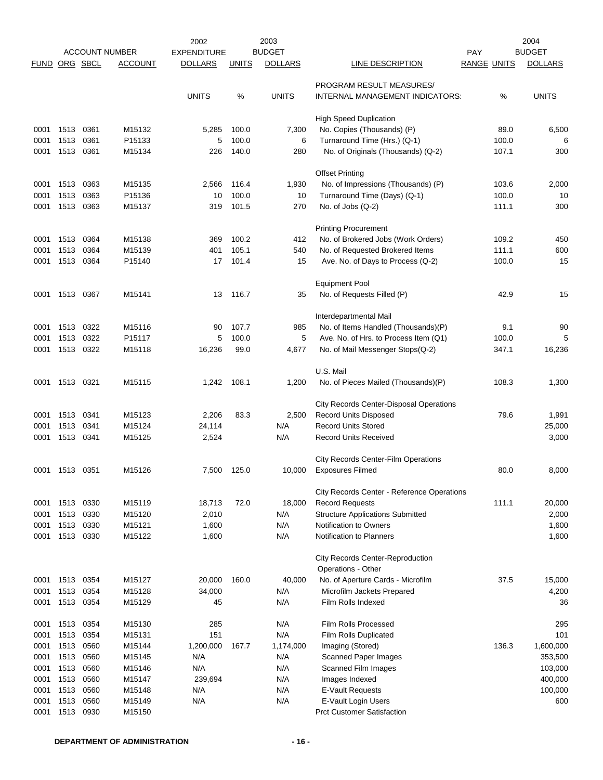|                      |                   |      |                       | 2002               |              | 2003           |                                                          |                    | 2004           |
|----------------------|-------------------|------|-----------------------|--------------------|--------------|----------------|----------------------------------------------------------|--------------------|----------------|
|                      |                   |      | <b>ACCOUNT NUMBER</b> | <b>EXPENDITURE</b> |              | <b>BUDGET</b>  |                                                          | <b>PAY</b>         | <b>BUDGET</b>  |
| <b>FUND ORG SBCL</b> |                   |      | <b>ACCOUNT</b>        | <b>DOLLARS</b>     | <b>UNITS</b> | <b>DOLLARS</b> | LINE DESCRIPTION                                         | <b>RANGE UNITS</b> | <b>DOLLARS</b> |
|                      |                   |      |                       |                    |              |                | PROGRAM RESULT MEASURES/                                 |                    |                |
|                      |                   |      |                       | <b>UNITS</b>       | %            | <b>UNITS</b>   | INTERNAL MANAGEMENT INDICATORS:                          | %                  | <b>UNITS</b>   |
|                      |                   |      |                       |                    |              |                |                                                          |                    |                |
|                      |                   |      |                       |                    |              |                | <b>High Speed Duplication</b>                            |                    |                |
| 0001                 | 1513              | 0361 | M15132                | 5,285              | 100.0        | 7,300          | No. Copies (Thousands) (P)                               | 89.0               | 6,500          |
| 0001                 | 1513              | 0361 | P15133                | 5                  | 100.0        | 6              | Turnaround Time (Hrs.) (Q-1)                             | 100.0              | 6              |
| 0001                 | 1513              | 0361 | M15134                | 226                | 140.0        | 280            | No. of Originals (Thousands) (Q-2)                       | 107.1              | 300            |
|                      |                   |      |                       |                    |              |                | <b>Offset Printing</b>                                   |                    |                |
| 0001                 | 1513              | 0363 | M15135                | 2,566              | 116.4        | 1,930          | No. of Impressions (Thousands) (P)                       | 103.6              | 2,000          |
| 0001                 | 1513              | 0363 | P15136                | 10                 | 100.0        | 10             | Turnaround Time (Days) (Q-1)                             | 100.0              | 10             |
| 0001                 | 1513              | 0363 | M15137                | 319                | 101.5        | 270            | No. of Jobs (Q-2)                                        | 111.1              | 300            |
|                      |                   |      |                       |                    |              |                |                                                          |                    |                |
|                      |                   |      |                       |                    |              |                | <b>Printing Procurement</b>                              |                    |                |
| 0001                 | 1513              | 0364 | M15138                | 369                | 100.2        | 412            | No. of Brokered Jobs (Work Orders)                       | 109.2              | 450            |
| 0001                 | 1513              | 0364 | M15139                | 401                | 105.1        | 540            | No. of Requested Brokered Items                          | 111.1              | 600            |
| 0001                 | 1513              | 0364 | P15140                | 17                 | 101.4        | 15             | Ave. No. of Days to Process (Q-2)                        | 100.0              | 15             |
|                      |                   |      |                       |                    |              |                | <b>Equipment Pool</b>                                    |                    |                |
| 0001                 | 1513              | 0367 | M15141                | 13                 | 116.7        | 35             | No. of Requests Filled (P)                               | 42.9               | 15             |
|                      |                   |      |                       |                    |              |                |                                                          |                    |                |
|                      |                   |      |                       |                    |              |                | Interdepartmental Mail                                   |                    |                |
| 0001                 | 1513              | 0322 | M15116                | 90                 | 107.7        | 985            | No. of Items Handled (Thousands)(P)                      | 9.1                | 90             |
| 0001                 | 1513              | 0322 | P15117                | 5                  | 100.0        | 5              | Ave. No. of Hrs. to Process Item (Q1)                    | 100.0              | 5              |
| 0001                 | 1513 0322         |      | M15118                | 16,236             | 99.0         | 4,677          | No. of Mail Messenger Stops(Q-2)                         | 347.1              | 16,236         |
|                      |                   |      |                       |                    |              |                | U.S. Mail                                                |                    |                |
| 0001                 | 1513              | 0321 | M15115                | 1,242              | 108.1        | 1,200          | No. of Pieces Mailed (Thousands)(P)                      | 108.3              | 1,300          |
|                      |                   |      |                       |                    |              |                |                                                          |                    |                |
|                      |                   |      |                       |                    |              |                | City Records Center-Disposal Operations                  |                    |                |
| 0001                 | 1513              | 0341 | M15123                | 2,206              | 83.3         | 2,500          | <b>Record Units Disposed</b>                             | 79.6               | 1,991          |
| 0001                 | 1513              | 0341 | M15124                | 24,114             |              | N/A            | <b>Record Units Stored</b>                               |                    | 25,000         |
| 0001                 | 1513              | 0341 | M15125                | 2,524              |              | N/A            | <b>Record Units Received</b>                             |                    | 3,000          |
|                      |                   |      |                       |                    |              |                | City Records Center-Film Operations                      |                    |                |
|                      | 0001 1513 0351    |      | M15126                | 7,500              | 125.0        | 10.000         | <b>Exposures Filmed</b>                                  | 80.0               | 8,000          |
|                      |                   |      |                       |                    |              |                |                                                          |                    |                |
|                      |                   |      |                       |                    |              |                | City Records Center - Reference Operations               |                    |                |
| 0001                 | 1513              | 0330 | M15119                | 18,713             | 72.0         | 18,000         | <b>Record Requests</b>                                   | 111.1              | 20,000         |
| 0001                 | 1513              | 0330 | M15120                | 2,010              |              | N/A            | <b>Structure Applications Submitted</b>                  |                    | 2,000          |
| 0001                 | 1513              | 0330 | M15121                | 1,600              |              | N/A            | Notification to Owners                                   |                    | 1,600          |
| 0001                 | 1513              | 0330 | M15122                | 1,600              |              | N/A            | <b>Notification to Planners</b>                          |                    | 1,600          |
|                      |                   |      |                       |                    |              |                | <b>City Records Center-Reproduction</b>                  |                    |                |
|                      |                   |      |                       |                    |              |                | Operations - Other                                       |                    |                |
| 0001                 | 1513              | 0354 | M15127                | 20,000             | 160.0        | 40,000         | No. of Aperture Cards - Microfilm                        | 37.5               | 15,000         |
| 0001                 | 1513              | 0354 | M15128                | 34,000             |              | N/A            | Microfilm Jackets Prepared                               |                    | 4,200          |
| 0001                 | 1513              | 0354 | M15129                | 45                 |              | N/A            | Film Rolls Indexed                                       |                    | 36             |
|                      |                   |      |                       |                    |              |                |                                                          |                    |                |
| 0001                 | 1513              | 0354 | M15130                | 285                |              | N/A            | Film Rolls Processed                                     |                    | 295            |
| 0001                 | 1513              | 0354 | M15131                | 151                |              | N/A            | Film Rolls Duplicated                                    |                    | 101            |
| 0001                 | 1513              | 0560 | M15144                | 1,200,000          | 167.7        | 1,174,000      | Imaging (Stored)                                         | 136.3              | 1,600,000      |
| 0001                 | 1513              | 0560 | M15145                | N/A                |              | N/A            | <b>Scanned Paper Images</b>                              |                    | 353,500        |
| 0001                 | 1513              | 0560 | M15146                | N/A                |              | N/A            | Scanned Film Images                                      |                    | 103,000        |
| 0001                 | 1513              | 0560 | M15147                | 239,694            |              | N/A            | Images Indexed                                           |                    | 400,000        |
| 0001                 | 1513              | 0560 | M15148                | N/A                |              | N/A            | <b>E-Vault Requests</b>                                  |                    | 100,000        |
| 0001<br>0001         | 1513<br>1513 0930 | 0560 | M15149<br>M15150      | N/A                |              | N/A            | E-Vault Login Users<br><b>Prct Customer Satisfaction</b> |                    | 600            |
|                      |                   |      |                       |                    |              |                |                                                          |                    |                |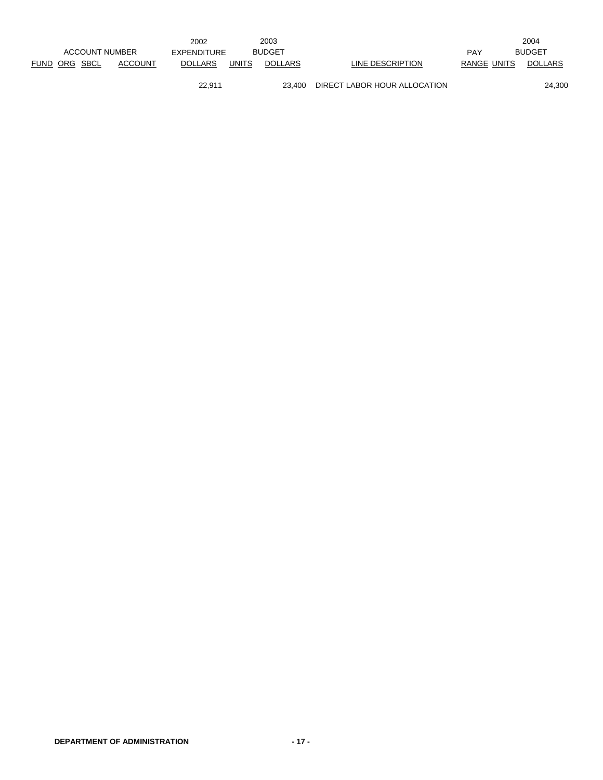|                                 | 2002                           | 2003           |                  |             | 2004           |
|---------------------------------|--------------------------------|----------------|------------------|-------------|----------------|
| ACCOUNT NUMBER                  | EXPENDITURE                    | <b>BUDGET</b>  |                  | <b>PAY</b>  | <b>BUDGET</b>  |
| FUND ORG SBCL<br><b>ACCOUNT</b> | <b>UNITS</b><br><b>DOLLARS</b> | <b>DOLLARS</b> | LINE DESCRIPTION | RANGE UNITS | <b>DOLLARS</b> |

22,911 23,400 DIRECT LABOR HOUR ALLOCATION 24,300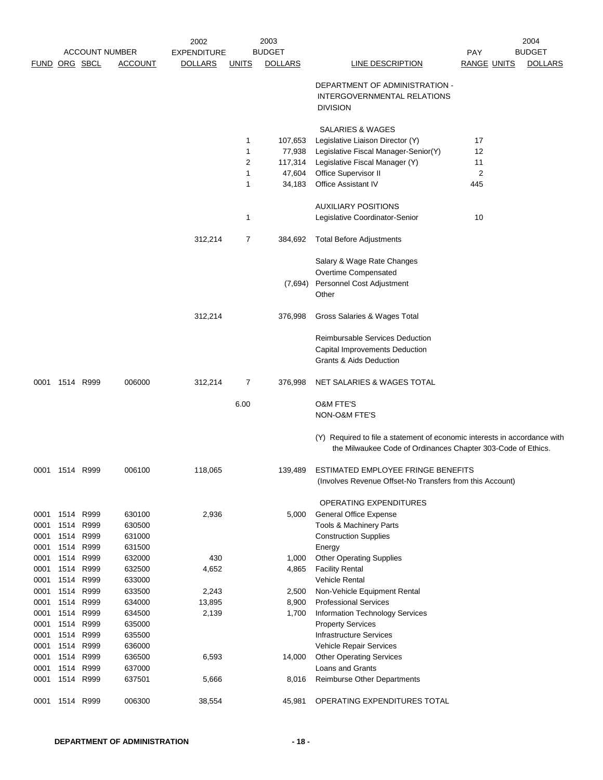|                      |                |                       |                  | 2002           |              | 2003           |                                                                                                                                           |                    | 2004           |
|----------------------|----------------|-----------------------|------------------|----------------|--------------|----------------|-------------------------------------------------------------------------------------------------------------------------------------------|--------------------|----------------|
|                      |                | <b>ACCOUNT NUMBER</b> |                  | EXPENDITURE    |              | <b>BUDGET</b>  |                                                                                                                                           | PAY                | <b>BUDGET</b>  |
| <b>FUND ORG SBCL</b> |                |                       | <b>ACCOUNT</b>   | <b>DOLLARS</b> | <u>UNITS</u> | <b>DOLLARS</b> | <b>LINE DESCRIPTION</b>                                                                                                                   | <b>RANGE UNITS</b> | <b>DOLLARS</b> |
|                      |                |                       |                  |                |              |                | DEPARTMENT OF ADMINISTRATION -<br>INTERGOVERNMENTAL RELATIONS<br><b>DIVISION</b>                                                          |                    |                |
|                      |                |                       |                  |                |              |                |                                                                                                                                           |                    |                |
|                      |                |                       |                  |                | $\mathbf{1}$ | 107,653        | SALARIES & WAGES<br>Legislative Liaison Director (Y)                                                                                      | 17                 |                |
|                      |                |                       |                  |                | 1            | 77,938         | Legislative Fiscal Manager-Senior(Y)                                                                                                      | 12                 |                |
|                      |                |                       |                  |                | 2            | 117,314        | Legislative Fiscal Manager (Y)                                                                                                            | 11                 |                |
|                      |                |                       |                  |                | 1            | 47,604         | Office Supervisor II                                                                                                                      | $\overline{2}$     |                |
|                      |                |                       |                  |                | 1            | 34,183         | Office Assistant IV                                                                                                                       | 445                |                |
|                      |                |                       |                  |                |              |                |                                                                                                                                           |                    |                |
|                      |                |                       |                  |                |              |                | <b>AUXILIARY POSITIONS</b>                                                                                                                |                    |                |
|                      |                |                       |                  |                | 1            |                | Legislative Coordinator-Senior                                                                                                            | 10                 |                |
|                      |                |                       |                  | 312,214        | 7            | 384,692        | <b>Total Before Adjustments</b>                                                                                                           |                    |                |
|                      |                |                       |                  |                |              |                | Salary & Wage Rate Changes                                                                                                                |                    |                |
|                      |                |                       |                  |                |              |                | Overtime Compensated                                                                                                                      |                    |                |
|                      |                |                       |                  |                |              | (7,694)        | Personnel Cost Adjustment                                                                                                                 |                    |                |
|                      |                |                       |                  |                |              |                | Other                                                                                                                                     |                    |                |
|                      |                |                       |                  | 312,214        |              | 376,998        | Gross Salaries & Wages Total                                                                                                              |                    |                |
|                      |                |                       |                  |                |              |                |                                                                                                                                           |                    |                |
|                      |                |                       |                  |                |              |                | Reimbursable Services Deduction                                                                                                           |                    |                |
|                      |                |                       |                  |                |              |                | Capital Improvements Deduction                                                                                                            |                    |                |
|                      |                |                       |                  |                |              |                | Grants & Aids Deduction                                                                                                                   |                    |                |
| 0001                 | 1514 R999      |                       | 006000           | 312,214        | 7            | 376,998        | NET SALARIES & WAGES TOTAL                                                                                                                |                    |                |
|                      |                |                       |                  |                | 6.00         |                | O&M FTE'S<br>NON-O&M FTE'S                                                                                                                |                    |                |
|                      |                |                       |                  |                |              |                |                                                                                                                                           |                    |                |
|                      |                |                       |                  |                |              |                | (Y) Required to file a statement of economic interests in accordance with<br>the Milwaukee Code of Ordinances Chapter 303-Code of Ethics. |                    |                |
|                      | 0001 1514 R999 |                       | 006100           | 118,065        |              | 139,489        | ESTIMATED EMPLOYEE FRINGE BENEFITS<br>(Involves Revenue Offset-No Transfers from this Account)                                            |                    |                |
|                      |                |                       |                  |                |              |                | OPERATING EXPENDITURES                                                                                                                    |                    |                |
| 0001                 | 1514 R999      |                       | 630100           | 2,936          |              | 5,000          | <b>General Office Expense</b>                                                                                                             |                    |                |
| 0001                 | 1514           | R999                  | 630500           |                |              |                | Tools & Machinery Parts                                                                                                                   |                    |                |
| 0001                 |                | 1514 R999             | 631000           |                |              |                | <b>Construction Supplies</b>                                                                                                              |                    |                |
| 0001                 | 1514           | R999                  | 631500           |                |              |                | Energy                                                                                                                                    |                    |                |
| 0001                 | 1514           | R999                  | 632000           | 430            |              | 1,000          | <b>Other Operating Supplies</b>                                                                                                           |                    |                |
| 0001                 | 1514           | R999                  | 632500           | 4,652          |              | 4,865          | <b>Facility Rental</b>                                                                                                                    |                    |                |
| 0001                 | 1514 R999      |                       | 633000           |                |              |                | <b>Vehicle Rental</b>                                                                                                                     |                    |                |
| 0001                 | 1514           | R999                  | 633500           | 2,243          |              | 2,500          | Non-Vehicle Equipment Rental                                                                                                              |                    |                |
| 0001                 | 1514           | R999                  | 634000           | 13,895         |              | 8,900          | <b>Professional Services</b>                                                                                                              |                    |                |
| 0001                 | 1514           | R999                  | 634500           | 2,139          |              | 1,700          | Information Technology Services                                                                                                           |                    |                |
| 0001                 | 1514           | R999                  | 635000           |                |              |                | <b>Property Services</b>                                                                                                                  |                    |                |
| 0001                 | 1514           | R999                  | 635500           |                |              |                | <b>Infrastructure Services</b>                                                                                                            |                    |                |
| 0001                 | 1514           | R999                  | 636000           |                |              |                | Vehicle Repair Services                                                                                                                   |                    |                |
| 0001<br>0001         | 1514           | 1514 R999<br>R999     | 636500<br>637000 | 6,593          |              | 14,000         | <b>Other Operating Services</b><br>Loans and Grants                                                                                       |                    |                |
| 0001                 |                | 1514 R999             | 637501           | 5,666          |              | 8,016          | <b>Reimburse Other Departments</b>                                                                                                        |                    |                |
| 0001                 | 1514           | R999                  | 006300           | 38,554         |              | 45,981         | OPERATING EXPENDITURES TOTAL                                                                                                              |                    |                |
|                      |                |                       |                  |                |              |                |                                                                                                                                           |                    |                |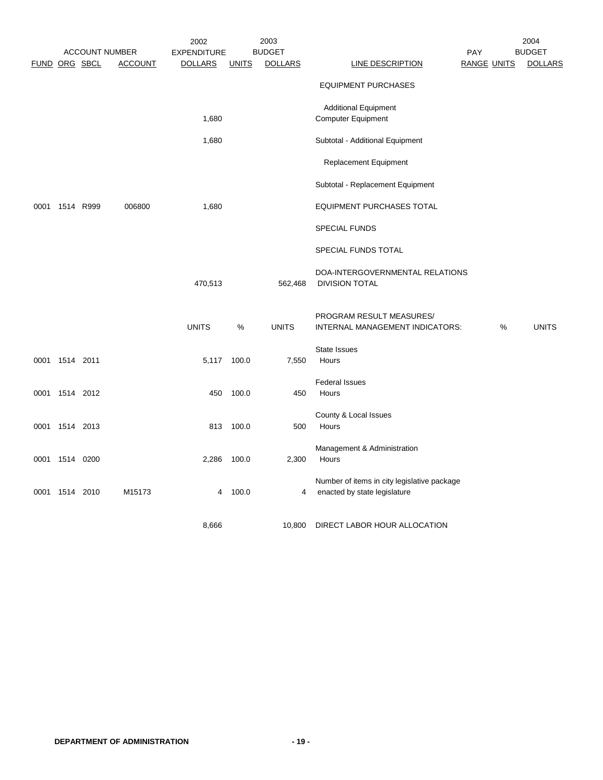|      |                |                                        |                | 2002                                 |              | 2003                            |                                                                             |                           |   | 2004                            |
|------|----------------|----------------------------------------|----------------|--------------------------------------|--------------|---------------------------------|-----------------------------------------------------------------------------|---------------------------|---|---------------------------------|
|      |                | <b>ACCOUNT NUMBER</b><br>FUND ORG SBCL | <b>ACCOUNT</b> | <b>EXPENDITURE</b><br><u>DOLLARS</u> | <b>UNITS</b> | <b>BUDGET</b><br><b>DOLLARS</b> | <b>LINE DESCRIPTION</b>                                                     | PAY<br><b>RANGE UNITS</b> |   | <b>BUDGET</b><br><b>DOLLARS</b> |
|      |                |                                        |                |                                      |              |                                 |                                                                             |                           |   |                                 |
|      |                |                                        |                |                                      |              |                                 | <b>EQUIPMENT PURCHASES</b>                                                  |                           |   |                                 |
|      |                |                                        |                |                                      |              |                                 | <b>Additional Equipment</b>                                                 |                           |   |                                 |
|      |                |                                        |                | 1,680                                |              |                                 | <b>Computer Equipment</b>                                                   |                           |   |                                 |
|      |                |                                        |                | 1,680                                |              |                                 | Subtotal - Additional Equipment                                             |                           |   |                                 |
|      |                |                                        |                |                                      |              |                                 | Replacement Equipment                                                       |                           |   |                                 |
|      |                |                                        |                |                                      |              |                                 | Subtotal - Replacement Equipment                                            |                           |   |                                 |
| 0001 | 1514 R999      |                                        | 006800         | 1,680                                |              |                                 | <b>EQUIPMENT PURCHASES TOTAL</b>                                            |                           |   |                                 |
|      |                |                                        |                |                                      |              |                                 | <b>SPECIAL FUNDS</b>                                                        |                           |   |                                 |
|      |                |                                        |                |                                      |              |                                 | SPECIAL FUNDS TOTAL                                                         |                           |   |                                 |
|      |                |                                        |                | 470,513                              |              | 562,468                         | DOA-INTERGOVERNMENTAL RELATIONS<br><b>DIVISION TOTAL</b>                    |                           |   |                                 |
|      |                |                                        |                | <b>UNITS</b>                         | %            | <b>UNITS</b>                    | PROGRAM RESULT MEASURES/<br>INTERNAL MANAGEMENT INDICATORS:                 |                           | % | <b>UNITS</b>                    |
|      | 0001 1514 2011 |                                        |                |                                      | 5,117 100.0  | 7,550                           | <b>State Issues</b><br>Hours                                                |                           |   |                                 |
|      | 0001 1514 2012 |                                        |                | 450                                  | 100.0        | 450                             | <b>Federal Issues</b><br>Hours                                              |                           |   |                                 |
|      |                |                                        |                |                                      |              |                                 | County & Local Issues                                                       |                           |   |                                 |
|      | 0001 1514 2013 |                                        |                | 813                                  | 100.0        | 500                             | Hours                                                                       |                           |   |                                 |
|      | 0001 1514 0200 |                                        |                | 2,286                                | 100.0        | 2,300                           | Management & Administration<br>Hours                                        |                           |   |                                 |
|      | 0001 1514 2010 |                                        | M15173         | 4                                    | 100.0        | 4                               | Number of items in city legislative package<br>enacted by state legislature |                           |   |                                 |
|      |                |                                        |                | 8,666                                |              | 10,800                          | DIRECT LABOR HOUR ALLOCATION                                                |                           |   |                                 |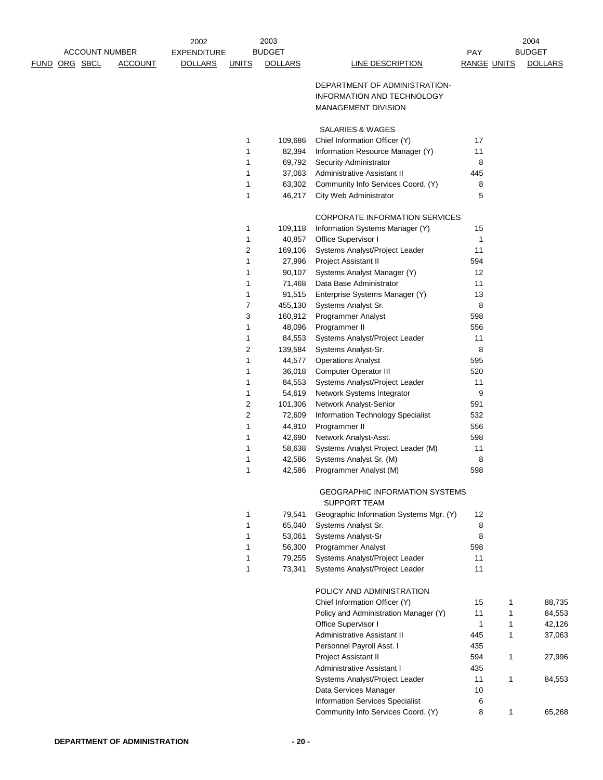|  |                       |                | 2002               |              | 2003             |                                                              |                     | 2004           |
|--|-----------------------|----------------|--------------------|--------------|------------------|--------------------------------------------------------------|---------------------|----------------|
|  | <b>ACCOUNT NUMBER</b> |                | <b>EXPENDITURE</b> |              | <b>BUDGET</b>    |                                                              | PAY                 | <b>BUDGET</b>  |
|  | <u>FUND ORG SBCL</u>  | <b>ACCOUNT</b> | <b>DOLLARS</b>     | <b>UNITS</b> | <b>DOLLARS</b>   | <b>LINE DESCRIPTION</b>                                      | <b>RANGE UNITS</b>  | <b>DOLLARS</b> |
|  |                       |                |                    |              |                  | DEPARTMENT OF ADMINISTRATION-                                |                     |                |
|  |                       |                |                    |              |                  | INFORMATION AND TECHNOLOGY                                   |                     |                |
|  |                       |                |                    |              |                  | <b>MANAGEMENT DIVISION</b>                                   |                     |                |
|  |                       |                |                    |              |                  |                                                              |                     |                |
|  |                       |                |                    |              |                  | SALARIES & WAGES                                             |                     |                |
|  |                       |                |                    | 1            | 109,686          | Chief Information Officer (Y)                                | 17                  |                |
|  |                       |                |                    | 1            | 82,394           | Information Resource Manager (Y)                             | 11                  |                |
|  |                       |                |                    | 1            | 69,792           | Security Administrator                                       | 8                   |                |
|  |                       |                |                    | 1            | 37,063           | Administrative Assistant II                                  | 445                 |                |
|  |                       |                |                    | 1            | 63,302           | Community Info Services Coord. (Y)                           | 8                   |                |
|  |                       |                |                    | 1            | 46,217           | City Web Administrator                                       | 5                   |                |
|  |                       |                |                    |              |                  | <b>CORPORATE INFORMATION SERVICES</b>                        |                     |                |
|  |                       |                |                    | 1            | 109,118          | Information Systems Manager (Y)                              | 15                  |                |
|  |                       |                |                    | 1            | 40,857           | Office Supervisor I                                          | 1                   |                |
|  |                       |                |                    | 2            | 169,106          | Systems Analyst/Project Leader                               | 11                  |                |
|  |                       |                |                    | 1            | 27,996           | Project Assistant II                                         | 594                 |                |
|  |                       |                |                    | 1            | 90,107           | Systems Analyst Manager (Y)                                  | 12                  |                |
|  |                       |                |                    | 1            | 71,468           | Data Base Administrator                                      | 11                  |                |
|  |                       |                |                    | 1            | 91,515           | Enterprise Systems Manager (Y)                               | 13                  |                |
|  |                       |                |                    | 7            | 455,130          | Systems Analyst Sr.                                          | 8                   |                |
|  |                       |                |                    | 3            | 160,912          | <b>Programmer Analyst</b>                                    | 598                 |                |
|  |                       |                |                    | 1            | 48,096           | Programmer II                                                | 556                 |                |
|  |                       |                |                    | 1            | 84,553           | Systems Analyst/Project Leader                               | 11                  |                |
|  |                       |                |                    | 2            | 139,584          | Systems Analyst-Sr.                                          | 8                   |                |
|  |                       |                |                    | 1            | 44,577           | <b>Operations Analyst</b>                                    | 595                 |                |
|  |                       |                |                    | 1            | 36,018<br>84,553 | <b>Computer Operator III</b>                                 | 520                 |                |
|  |                       |                |                    | 1<br>1       | 54,619           | Systems Analyst/Project Leader<br>Network Systems Integrator | 11<br>9             |                |
|  |                       |                |                    | 2            | 101,306          | Network Analyst-Senior                                       | 591                 |                |
|  |                       |                |                    | 2            | 72,609           | Information Technology Specialist                            | 532                 |                |
|  |                       |                |                    | 1            | 44,910           | Programmer II                                                | 556                 |                |
|  |                       |                |                    | 1            | 42,690           | Network Analyst-Asst.                                        | 598                 |                |
|  |                       |                |                    | 1            | 58,638           | Systems Analyst Project Leader (M)                           | 11                  |                |
|  |                       |                |                    | 1            | 42,586           | Systems Analyst Sr. (M)                                      | 8                   |                |
|  |                       |                |                    | 1            | 42,586           | Programmer Analyst (M)                                       | 598                 |                |
|  |                       |                |                    |              |                  | <b>GEOGRAPHIC INFORMATION SYSTEMS</b>                        |                     |                |
|  |                       |                |                    |              |                  | <b>SUPPORT TEAM</b>                                          |                     |                |
|  |                       |                |                    | 1            | 79,541           | Geographic Information Systems Mgr. (Y)                      | 12                  |                |
|  |                       |                |                    | 1            | 65,040           | Systems Analyst Sr.                                          | 8                   |                |
|  |                       |                |                    | 1            | 53,061           | Systems Analyst-Sr                                           | 8                   |                |
|  |                       |                |                    | 1<br>1       | 56,300           | <b>Programmer Analyst</b><br>Systems Analyst/Project Leader  | 598<br>11           |                |
|  |                       |                |                    | 1            | 79,255<br>73,341 | Systems Analyst/Project Leader                               | 11                  |                |
|  |                       |                |                    |              |                  |                                                              |                     |                |
|  |                       |                |                    |              |                  | POLICY AND ADMINISTRATION                                    |                     |                |
|  |                       |                |                    |              |                  | Chief Information Officer (Y)                                | 15<br>1             | 88,735         |
|  |                       |                |                    |              |                  | Policy and Administration Manager (Y)                        | 11<br>$\mathbf{1}$  | 84,553         |
|  |                       |                |                    |              |                  | Office Supervisor I                                          | 1<br>1              | 42,126         |
|  |                       |                |                    |              |                  | Administrative Assistant II                                  | 1<br>445            | 37,063         |
|  |                       |                |                    |              |                  | Personnel Payroll Asst. I                                    | 435<br>$\mathbf{1}$ |                |
|  |                       |                |                    |              |                  | Project Assistant II<br><b>Administrative Assistant I</b>    | 594<br>435          | 27,996         |
|  |                       |                |                    |              |                  | Systems Analyst/Project Leader                               | 11<br>1             | 84,553         |
|  |                       |                |                    |              |                  | Data Services Manager                                        | 10                  |                |
|  |                       |                |                    |              |                  | <b>Information Services Specialist</b>                       | 6                   |                |
|  |                       |                |                    |              |                  | Community Info Services Coord. (Y)                           | 8<br>$\mathbf{1}$   | 65,268         |
|  |                       |                |                    |              |                  |                                                              |                     |                |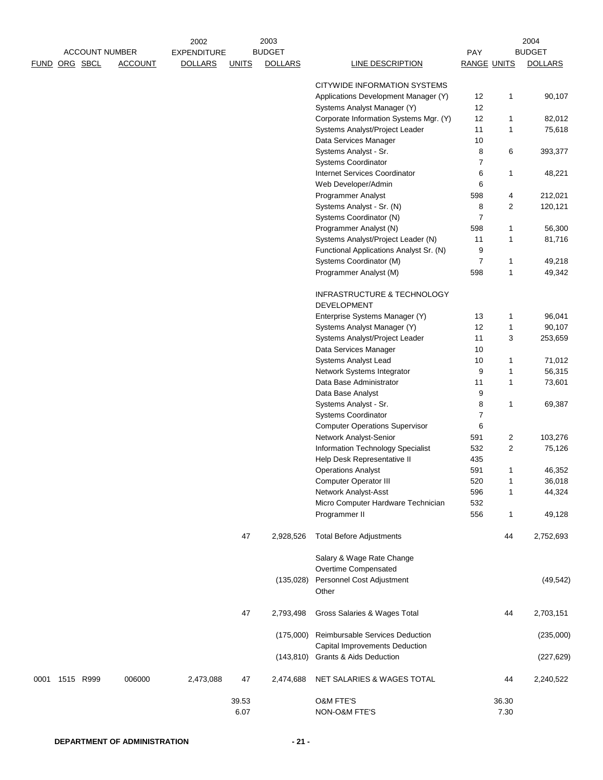|      | <b>ACCOUNT NUMBER</b> |                | 2002<br><b>EXPENDITURE</b> |               | 2003<br><b>BUDGET</b> |                                                                     | PAY            |                     | 2004<br><b>BUDGET</b> |
|------|-----------------------|----------------|----------------------------|---------------|-----------------------|---------------------------------------------------------------------|----------------|---------------------|-----------------------|
|      | FUND ORG SBCL         | <b>ACCOUNT</b> | <b>DOLLARS</b>             | <b>UNITS</b>  | <b>DOLLARS</b>        | <b>LINE DESCRIPTION</b>                                             | RANGE UNITS    |                     | <b>DOLLARS</b>        |
|      |                       |                |                            |               |                       | CITYWIDE INFORMATION SYSTEMS                                        |                |                     |                       |
|      |                       |                |                            |               |                       | Applications Development Manager (Y)<br>Systems Analyst Manager (Y) | 12<br>12       | 1                   | 90,107                |
|      |                       |                |                            |               |                       | Corporate Information Systems Mgr. (Y)                              | 12             | 1                   | 82,012                |
|      |                       |                |                            |               |                       | Systems Analyst/Project Leader                                      | 11             | 1                   | 75,618                |
|      |                       |                |                            |               |                       | Data Services Manager                                               | $10$           |                     |                       |
|      |                       |                |                            |               |                       | Systems Analyst - Sr.                                               | 8              | 6                   | 393,377               |
|      |                       |                |                            |               |                       | Systems Coordinator                                                 | $\overline{7}$ |                     |                       |
|      |                       |                |                            |               |                       | Internet Services Coordinator                                       | 6              | 1                   | 48,221                |
|      |                       |                |                            |               |                       | Web Developer/Admin<br>Programmer Analyst                           | 6<br>598       | 4                   | 212,021               |
|      |                       |                |                            |               |                       | Systems Analyst - Sr. (N)                                           | 8              | 2                   | 120,121               |
|      |                       |                |                            |               |                       | Systems Coordinator (N)                                             | 7              |                     |                       |
|      |                       |                |                            |               |                       | Programmer Analyst (N)                                              | 598            | 1                   | 56,300                |
|      |                       |                |                            |               |                       | Systems Analyst/Project Leader (N)                                  | 11             | 1                   | 81,716                |
|      |                       |                |                            |               |                       | Functional Applications Analyst Sr. (N)                             | 9              |                     |                       |
|      |                       |                |                            |               |                       | Systems Coordinator (M)                                             | $\overline{7}$ | 1                   | 49,218                |
|      |                       |                |                            |               |                       | Programmer Analyst (M)                                              | 598            | 1                   | 49,342                |
|      |                       |                |                            |               |                       | INFRASTRUCTURE & TECHNOLOGY                                         |                |                     |                       |
|      |                       |                |                            |               |                       | <b>DEVELOPMENT</b>                                                  |                |                     |                       |
|      |                       |                |                            |               |                       | Enterprise Systems Manager (Y)                                      | 13             | 1                   | 96,041                |
|      |                       |                |                            |               |                       | Systems Analyst Manager (Y)<br>Systems Analyst/Project Leader       | 12<br>11       | 1<br>3              | 90,107<br>253,659     |
|      |                       |                |                            |               |                       | Data Services Manager                                               | 10             |                     |                       |
|      |                       |                |                            |               |                       | Systems Analyst Lead                                                | 10             | 1                   | 71,012                |
|      |                       |                |                            |               |                       | Network Systems Integrator                                          | 9              | 1                   | 56,315                |
|      |                       |                |                            |               |                       | Data Base Administrator                                             | 11             | 1                   | 73,601                |
|      |                       |                |                            |               |                       | Data Base Analyst                                                   | 9              |                     |                       |
|      |                       |                |                            |               |                       | Systems Analyst - Sr.                                               | 8              | 1                   | 69,387                |
|      |                       |                |                            |               |                       | Systems Coordinator                                                 | $\overline{7}$ |                     |                       |
|      |                       |                |                            |               |                       | <b>Computer Operations Supervisor</b>                               | 6              |                     |                       |
|      |                       |                |                            |               |                       | Network Analyst-Senior<br>Information Technology Specialist         | 591<br>532     | 2<br>$\overline{c}$ | 103,276<br>75,126     |
|      |                       |                |                            |               |                       | Help Desk Representative II                                         | 435            |                     |                       |
|      |                       |                |                            |               |                       | <b>Operations Analyst</b>                                           | 591            | 1                   | 46,352                |
|      |                       |                |                            |               |                       | <b>Computer Operator III</b>                                        | 520            | 1                   | 36,018                |
|      |                       |                |                            |               |                       | Network Analyst-Asst                                                | 596            | 1                   | 44,324                |
|      |                       |                |                            |               |                       | Micro Computer Hardware Technician                                  | 532            |                     |                       |
|      |                       |                |                            |               |                       | Programmer II                                                       | 556            | 1                   | 49,128                |
|      |                       |                |                            | 47            | 2,928,526             | <b>Total Before Adjustments</b>                                     |                | 44                  | 2,752,693             |
|      |                       |                |                            |               |                       | Salary & Wage Rate Change                                           |                |                     |                       |
|      |                       |                |                            |               |                       | Overtime Compensated                                                |                |                     |                       |
|      |                       |                |                            |               | (135, 028)            | Personnel Cost Adjustment<br>Other                                  |                |                     | (49, 542)             |
|      |                       |                |                            | 47            | 2,793,498             | Gross Salaries & Wages Total                                        |                | 44                  | 2,703,151             |
|      |                       |                |                            |               | (175,000)             | Reimbursable Services Deduction                                     |                |                     | (235,000)             |
|      |                       |                |                            |               |                       | Capital Improvements Deduction<br>(143,810) Grants & Aids Deduction |                |                     | (227, 629)            |
| 0001 | 1515 R999             | 006000         | 2,473,088                  | 47            | 2,474,688             | NET SALARIES & WAGES TOTAL                                          |                | 44                  | 2,240,522             |
|      |                       |                |                            | 39.53<br>6.07 |                       | O&M FTE'S<br>NON-O&M FTE'S                                          |                | 36.30<br>7.30       |                       |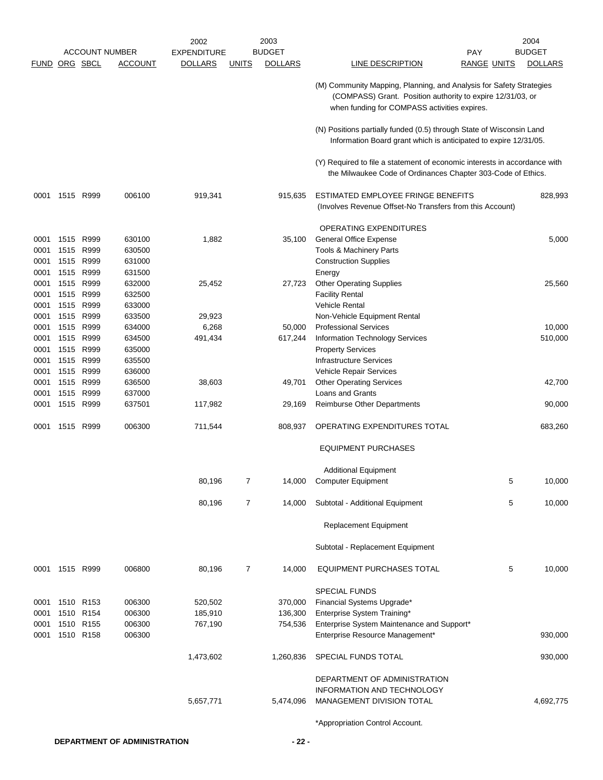|                      |                |           |                       | 2002               |              | 2003           |                                                                                                                                                                                   |   | 2004           |
|----------------------|----------------|-----------|-----------------------|--------------------|--------------|----------------|-----------------------------------------------------------------------------------------------------------------------------------------------------------------------------------|---|----------------|
|                      |                |           | <b>ACCOUNT NUMBER</b> | <b>EXPENDITURE</b> |              | <b>BUDGET</b>  | PAY                                                                                                                                                                               |   | <b>BUDGET</b>  |
| <b>FUND ORG SBCL</b> |                |           | <b>ACCOUNT</b>        | <b>DOLLARS</b>     | <u>UNITS</u> | <b>DOLLARS</b> | <b>LINE DESCRIPTION</b><br><u>RANGE UNITS</u>                                                                                                                                     |   | <b>DOLLARS</b> |
|                      |                |           |                       |                    |              |                | (M) Community Mapping, Planning, and Analysis for Safety Strategies<br>(COMPASS) Grant. Position authority to expire 12/31/03, or<br>when funding for COMPASS activities expires. |   |                |
|                      |                |           |                       |                    |              |                | (N) Positions partially funded (0.5) through State of Wisconsin Land<br>Information Board grant which is anticipated to expire 12/31/05.                                          |   |                |
|                      |                |           |                       |                    |              |                | (Y) Required to file a statement of economic interests in accordance with<br>the Milwaukee Code of Ordinances Chapter 303-Code of Ethics.                                         |   |                |
| 0001                 |                | 1515 R999 | 006100                | 919,341            |              | 915,635        | ESTIMATED EMPLOYEE FRINGE BENEFITS<br>(Involves Revenue Offset-No Transfers from this Account)                                                                                    |   | 828,993        |
|                      |                |           |                       |                    |              |                | OPERATING EXPENDITURES                                                                                                                                                            |   |                |
| 0001                 |                | 1515 R999 | 630100                | 1,882              |              | 35,100         | <b>General Office Expense</b>                                                                                                                                                     |   | 5,000          |
| 0001                 | 1515           | R999      | 630500                |                    |              |                | Tools & Machinery Parts                                                                                                                                                           |   |                |
| 0001                 |                | 1515 R999 | 631000                |                    |              |                | <b>Construction Supplies</b>                                                                                                                                                      |   |                |
| 0001                 |                | 1515 R999 | 631500                |                    |              |                | Energy                                                                                                                                                                            |   |                |
| 0001                 |                | 1515 R999 | 632000                | 25,452             |              | 27,723         | <b>Other Operating Supplies</b>                                                                                                                                                   |   | 25,560         |
| 0001                 |                | 1515 R999 | 632500                |                    |              |                | <b>Facility Rental</b>                                                                                                                                                            |   |                |
| 0001                 |                | 1515 R999 | 633000                |                    |              |                | <b>Vehicle Rental</b>                                                                                                                                                             |   |                |
| 0001                 | 1515           | R999      | 633500                | 29,923             |              |                | Non-Vehicle Equipment Rental                                                                                                                                                      |   |                |
| 0001                 |                | 1515 R999 | 634000                | 6,268              |              | 50,000         | <b>Professional Services</b>                                                                                                                                                      |   | 10,000         |
| 0001                 | 1515           | R999      | 634500                | 491,434            |              | 617,244        | <b>Information Technology Services</b>                                                                                                                                            |   | 510,000        |
| 0001                 | 1515           | R999      | 635000                |                    |              |                | <b>Property Services</b>                                                                                                                                                          |   |                |
| 0001                 |                | 1515 R999 | 635500                |                    |              |                | Infrastructure Services                                                                                                                                                           |   |                |
| 0001                 |                | 1515 R999 | 636000                |                    |              |                | Vehicle Repair Services                                                                                                                                                           |   |                |
| 0001                 |                | 1515 R999 | 636500                | 38,603             |              | 49,701         | <b>Other Operating Services</b>                                                                                                                                                   |   | 42,700         |
| 0001                 |                | 1515 R999 | 637000                |                    |              |                | Loans and Grants                                                                                                                                                                  |   |                |
| 0001                 | 1515           | R999      | 637501                | 117,982            |              | 29,169         | <b>Reimburse Other Departments</b>                                                                                                                                                |   | 90,000         |
| 0001                 |                | 1515 R999 | 006300                | 711,544            |              | 808,937        | OPERATING EXPENDITURES TOTAL                                                                                                                                                      |   | 683,260        |
|                      |                |           |                       |                    |              |                | <b>EQUIPMENT PURCHASES</b>                                                                                                                                                        |   |                |
|                      |                |           |                       |                    |              |                | <b>Additional Equipment</b>                                                                                                                                                       |   |                |
|                      |                |           |                       | 80,196             |              | 14,000         | <b>Computer Equipment</b>                                                                                                                                                         | 5 | 10,000         |
|                      |                |           |                       | 80,196             | 7            | 14,000         | Subtotal - Additional Equipment                                                                                                                                                   | 5 | 10,000         |
|                      |                |           |                       |                    |              |                | <b>Replacement Equipment</b>                                                                                                                                                      |   |                |
|                      |                |           |                       |                    |              |                | Subtotal - Replacement Equipment                                                                                                                                                  |   |                |
|                      | 0001 1515 R999 |           | 006800                | 80,196             | 7            | 14,000         | EQUIPMENT PURCHASES TOTAL                                                                                                                                                         | 5 | 10,000         |
|                      |                |           |                       |                    |              |                | <b>SPECIAL FUNDS</b>                                                                                                                                                              |   |                |
| 0001                 |                | 1510 R153 | 006300                | 520,502            |              | 370,000        | Financial Systems Upgrade*                                                                                                                                                        |   |                |
| 0001                 |                | 1510 R154 | 006300                | 185,910            |              | 136,300        | Enterprise System Training*                                                                                                                                                       |   |                |
| 0001                 |                | 1510 R155 | 006300                | 767,190            |              | 754,536        | Enterprise System Maintenance and Support*                                                                                                                                        |   |                |
| 0001                 |                | 1510 R158 | 006300                |                    |              |                | Enterprise Resource Management*                                                                                                                                                   |   | 930,000        |
|                      |                |           |                       | 1,473,602          |              | 1,260,836      | SPECIAL FUNDS TOTAL                                                                                                                                                               |   | 930,000        |
|                      |                |           |                       |                    |              |                | DEPARTMENT OF ADMINISTRATION                                                                                                                                                      |   |                |
|                      |                |           |                       | 5,657,771          |              | 5,474,096      | <b>INFORMATION AND TECHNOLOGY</b><br>MANAGEMENT DIVISION TOTAL                                                                                                                    |   | 4,692,775      |
|                      |                |           |                       |                    |              |                | *Appropriation Control Account.                                                                                                                                                   |   |                |
|                      |                |           |                       |                    |              |                |                                                                                                                                                                                   |   |                |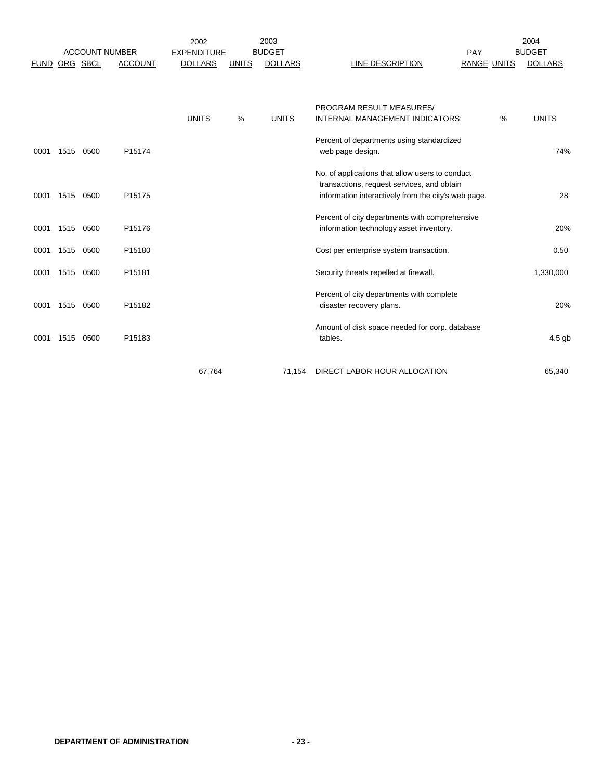|             |      |                                   |                | 2002                                 |              | 2003                            |                                                                                                                                                      |                           |   | 2004<br><b>BUDGET</b> |
|-------------|------|-----------------------------------|----------------|--------------------------------------|--------------|---------------------------------|------------------------------------------------------------------------------------------------------------------------------------------------------|---------------------------|---|-----------------------|
| <b>FUND</b> |      | <b>ACCOUNT NUMBER</b><br>ORG SBCL | <b>ACCOUNT</b> | <b>EXPENDITURE</b><br><b>DOLLARS</b> | <b>UNITS</b> | <b>BUDGET</b><br><b>DOLLARS</b> | LINE DESCRIPTION                                                                                                                                     | PAY<br><b>RANGE UNITS</b> |   | <b>DOLLARS</b>        |
|             |      |                                   |                |                                      |              |                                 |                                                                                                                                                      |                           |   |                       |
|             |      |                                   |                | <b>UNITS</b>                         | %            | <b>UNITS</b>                    | <b>PROGRAM RESULT MEASURES/</b><br>INTERNAL MANAGEMENT INDICATORS:                                                                                   |                           | % | <b>UNITS</b>          |
| 0001        | 1515 | 0500                              | P15174         |                                      |              |                                 | Percent of departments using standardized<br>web page design.                                                                                        |                           |   | 74%                   |
| 0001        | 1515 | 0500                              | P15175         |                                      |              |                                 | No. of applications that allow users to conduct<br>transactions, request services, and obtain<br>information interactively from the city's web page. |                           |   | 28                    |
| 0001        | 1515 | 0500                              | P15176         |                                      |              |                                 | Percent of city departments with comprehensive<br>information technology asset inventory.                                                            |                           |   | 20%                   |
| 0001        | 1515 | 0500                              | P15180         |                                      |              |                                 | Cost per enterprise system transaction.                                                                                                              |                           |   | 0.50                  |
| 0001        | 1515 | 0500                              | P15181         |                                      |              |                                 | Security threats repelled at firewall.                                                                                                               |                           |   | 1,330,000             |
| 0001        | 1515 | 0500                              | P15182         |                                      |              |                                 | Percent of city departments with complete<br>disaster recovery plans.                                                                                |                           |   | 20%                   |
| 0001        | 1515 | 0500                              | P15183         |                                      |              |                                 | Amount of disk space needed for corp. database<br>tables.                                                                                            |                           |   | 4.5 gb                |
|             |      |                                   |                | 67,764                               |              | 71,154                          | DIRECT LABOR HOUR ALLOCATION                                                                                                                         |                           |   | 65,340                |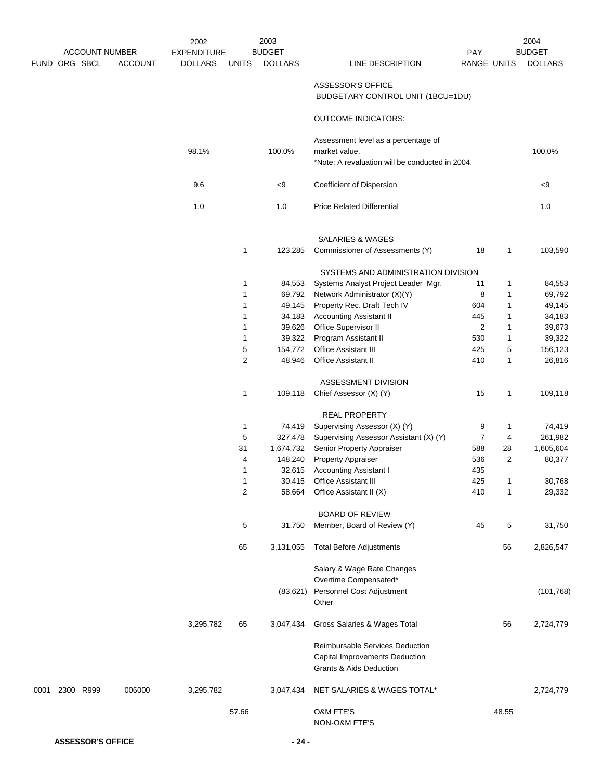|      |               | <b>ACCOUNT NUMBER</b> |                | 2002               |              | 2003<br><b>BUDGET</b> |                                                                   |                |       | 2004<br><b>BUDGET</b> |
|------|---------------|-----------------------|----------------|--------------------|--------------|-----------------------|-------------------------------------------------------------------|----------------|-------|-----------------------|
|      |               |                       |                | <b>EXPENDITURE</b> |              |                       |                                                                   | <b>PAY</b>     |       |                       |
|      | FUND ORG SBCL |                       | <b>ACCOUNT</b> | <b>DOLLARS</b>     | <b>UNITS</b> | <b>DOLLARS</b>        | LINE DESCRIPTION                                                  | RANGE UNITS    |       | <b>DOLLARS</b>        |
|      |               |                       |                |                    |              |                       | ASSESSOR'S OFFICE                                                 |                |       |                       |
|      |               |                       |                |                    |              |                       | BUDGETARY CONTROL UNIT (1BCU=1DU)                                 |                |       |                       |
|      |               |                       |                |                    |              |                       | <b>OUTCOME INDICATORS:</b>                                        |                |       |                       |
|      |               |                       |                |                    |              |                       | Assessment level as a percentage of                               |                |       |                       |
|      |               |                       |                | 98.1%              |              | 100.0%                | market value.                                                     |                |       | 100.0%                |
|      |               |                       |                |                    |              |                       | *Note: A revaluation will be conducted in 2004.                   |                |       |                       |
|      |               |                       |                | 9.6                |              | < 9                   | Coefficient of Dispersion                                         |                |       | < 9                   |
|      |               |                       |                | 1.0                |              | 1.0                   | <b>Price Related Differential</b>                                 |                |       | 1.0                   |
|      |               |                       |                |                    |              |                       |                                                                   |                |       |                       |
|      |               |                       |                |                    |              |                       | <b>SALARIES &amp; WAGES</b>                                       |                |       |                       |
|      |               |                       |                |                    | 1            | 123,285               | Commissioner of Assessments (Y)                                   | 18             | 1     | 103,590               |
|      |               |                       |                |                    |              |                       | SYSTEMS AND ADMINISTRATION DIVISION                               |                |       |                       |
|      |               |                       |                |                    | 1            | 84,553                | Systems Analyst Project Leader Mgr.                               | 11             | 1     | 84,553                |
|      |               |                       |                |                    | 1            | 69,792                | Network Administrator (X)(Y)                                      | 8              | 1     | 69,792                |
|      |               |                       |                |                    | 1            | 49,145                | Property Rec. Draft Tech IV                                       | 604            | 1     | 49,145                |
|      |               |                       |                |                    | 1            | 34,183                | <b>Accounting Assistant II</b>                                    | 445            | 1     | 34,183                |
|      |               |                       |                |                    | 1            | 39,626                | Office Supervisor II                                              | $\overline{2}$ | 1     | 39,673                |
|      |               |                       |                |                    | 1            | 39,322                | Program Assistant II                                              | 530            | 1     | 39,322                |
|      |               |                       |                |                    | 5            | 154,772               | Office Assistant III                                              | 425            | 5     | 156,123               |
|      |               |                       |                |                    | 2            | 48,946                | Office Assistant II                                               | 410            | 1     | 26,816                |
|      |               |                       |                |                    |              |                       | ASSESSMENT DIVISION                                               |                |       |                       |
|      |               |                       |                |                    | 1            | 109,118               | Chief Assessor (X) (Y)                                            | 15             | 1     | 109,118               |
|      |               |                       |                |                    |              |                       | REAL PROPERTY                                                     |                |       |                       |
|      |               |                       |                |                    | 1            | 74,419                | Supervising Assessor (X) (Y)                                      | 9              | 1     | 74,419                |
|      |               |                       |                |                    | 5            | 327,478               | Supervising Assessor Assistant (X) (Y)                            | $\overline{7}$ | 4     | 261,982               |
|      |               |                       |                |                    | 31           | 1,674,732             | Senior Property Appraiser                                         | 588            | 28    | 1,605,604             |
|      |               |                       |                |                    | 4            | 148,240               | Property Appraiser                                                | 536            | 2     | 80,377                |
|      |               |                       |                |                    | 1            | 32,615                | <b>Accounting Assistant I</b>                                     | 435            |       |                       |
|      |               |                       |                |                    | 1            | 30,415                | Office Assistant III                                              | 425            | 1     | 30,768                |
|      |               |                       |                |                    | 2            | 58,664                | Office Assistant II (X)                                           | 410            | 1     | 29,332                |
|      |               |                       |                |                    |              |                       | <b>BOARD OF REVIEW</b>                                            |                |       |                       |
|      |               |                       |                |                    | 5            | 31,750                | Member, Board of Review (Y)                                       | 45             | 5     | 31,750                |
|      |               |                       |                |                    |              |                       |                                                                   |                |       |                       |
|      |               |                       |                |                    | 65           | 3,131,055             | <b>Total Before Adjustments</b>                                   |                | 56    | 2,826,547             |
|      |               |                       |                |                    |              |                       | Salary & Wage Rate Changes                                        |                |       |                       |
|      |               |                       |                |                    |              |                       | Overtime Compensated*                                             |                |       |                       |
|      |               |                       |                |                    |              | (83, 621)             | Personnel Cost Adjustment<br>Other                                |                |       | (101, 768)            |
|      |               |                       |                |                    |              |                       |                                                                   |                |       |                       |
|      |               |                       |                | 3,295,782          | 65           | 3,047,434             | Gross Salaries & Wages Total                                      |                | 56    | 2,724,779             |
|      |               |                       |                |                    |              |                       | Reimbursable Services Deduction<br>Capital Improvements Deduction |                |       |                       |
|      |               |                       |                |                    |              |                       | Grants & Aids Deduction                                           |                |       |                       |
| 0001 |               | 2300 R999             | 006000         | 3,295,782          |              | 3,047,434             | NET SALARIES & WAGES TOTAL*                                       |                |       | 2,724,779             |
|      |               |                       |                |                    | 57.66        |                       | <b>O&amp;M FTE'S</b><br>NON-O&M FTE'S                             |                | 48.55 |                       |
|      |               |                       |                |                    |              |                       |                                                                   |                |       |                       |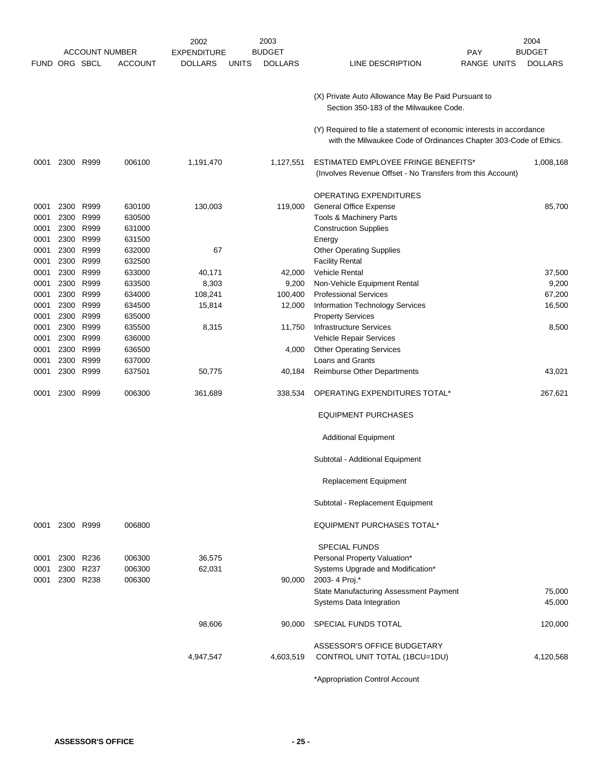|               |           |           |                       | 2002               |              | 2003           |                                                                                                                                           | 2004           |
|---------------|-----------|-----------|-----------------------|--------------------|--------------|----------------|-------------------------------------------------------------------------------------------------------------------------------------------|----------------|
|               |           |           | <b>ACCOUNT NUMBER</b> | <b>EXPENDITURE</b> |              | <b>BUDGET</b>  | <b>PAY</b>                                                                                                                                | <b>BUDGET</b>  |
| FUND ORG SBCL |           |           | <b>ACCOUNT</b>        | <b>DOLLARS</b>     | <b>UNITS</b> | <b>DOLLARS</b> | LINE DESCRIPTION<br>RANGE UNITS                                                                                                           | <b>DOLLARS</b> |
|               |           |           |                       |                    |              |                | (X) Private Auto Allowance May Be Paid Pursuant to<br>Section 350-183 of the Milwaukee Code.                                              |                |
|               |           |           |                       |                    |              |                | (Y) Required to file a statement of economic interests in accordance<br>with the Milwaukee Code of Ordinances Chapter 303-Code of Ethics. |                |
| 0001          |           | 2300 R999 | 006100                | 1,191,470          |              | 1,127,551      | ESTIMATED EMPLOYEE FRINGE BENEFITS*<br>(Involves Revenue Offset - No Transfers from this Account)                                         | 1,008,168      |
|               |           |           |                       |                    |              |                | <b>OPERATING EXPENDITURES</b>                                                                                                             |                |
| 0001          | 2300      | R999      | 630100                | 130,003            |              | 119,000        | <b>General Office Expense</b>                                                                                                             | 85,700         |
| 0001          | 2300      | R999      | 630500                |                    |              |                | Tools & Machinery Parts                                                                                                                   |                |
| 0001          | 2300      | R999      | 631000                |                    |              |                | <b>Construction Supplies</b>                                                                                                              |                |
| 0001          | 2300      | R999      | 631500                |                    |              |                | Energy                                                                                                                                    |                |
| 0001          | 2300      | R999      | 632000                | 67                 |              |                | <b>Other Operating Supplies</b>                                                                                                           |                |
| 0001          | 2300      | R999      | 632500                |                    |              |                | <b>Facility Rental</b>                                                                                                                    |                |
| 0001          | 2300      | R999      | 633000                | 40,171             |              | 42,000         | <b>Vehicle Rental</b>                                                                                                                     | 37,500         |
| 0001          | 2300      | R999      | 633500                | 8,303              |              | 9,200          | Non-Vehicle Equipment Rental                                                                                                              | 9,200          |
| 0001          | 2300      | R999      | 634000                | 108,241            |              | 100,400        | <b>Professional Services</b>                                                                                                              | 67,200         |
| 0001          | 2300      | R999      | 634500                | 15,814             |              | 12,000         | Information Technology Services                                                                                                           | 16,500         |
| 0001          | 2300      | R999      | 635000                |                    |              |                | <b>Property Services</b>                                                                                                                  |                |
| 0001          | 2300      | R999      | 635500                | 8,315              |              | 11,750         | <b>Infrastructure Services</b>                                                                                                            | 8,500          |
| 0001          | 2300      | R999      | 636000                |                    |              |                | Vehicle Repair Services                                                                                                                   |                |
| 0001          | 2300      | R999      | 636500                |                    |              | 4,000          | <b>Other Operating Services</b>                                                                                                           |                |
| 0001          | 2300      | R999      | 637000                |                    |              |                | Loans and Grants                                                                                                                          |                |
| 0001          | 2300      | R999      | 637501                | 50,775             |              | 40,184         | Reimburse Other Departments                                                                                                               | 43,021         |
| 0001          | 2300      | R999      | 006300                | 361,689            |              | 338,534        | OPERATING EXPENDITURES TOTAL*                                                                                                             | 267,621        |
|               |           |           |                       |                    |              |                | <b>EQUIPMENT PURCHASES</b>                                                                                                                |                |
|               |           |           |                       |                    |              |                | <b>Additional Equipment</b>                                                                                                               |                |
|               |           |           |                       |                    |              |                | Subtotal - Additional Equipment                                                                                                           |                |
|               |           |           |                       |                    |              |                | <b>Replacement Equipment</b>                                                                                                              |                |
|               |           |           |                       |                    |              |                | Subtotal - Replacement Equipment                                                                                                          |                |
| 0001          | 2300 R999 |           | 006800                |                    |              |                | <b>EQUIPMENT PURCHASES TOTAL*</b>                                                                                                         |                |
|               |           |           |                       |                    |              |                | <b>SPECIAL FUNDS</b>                                                                                                                      |                |
| 0001          |           | 2300 R236 | 006300                | 36,575             |              |                | Personal Property Valuation*                                                                                                              |                |
| 0001          |           | 2300 R237 | 006300                | 62,031             |              |                | Systems Upgrade and Modification*                                                                                                         |                |
| 0001          | 2300 R238 |           | 006300                |                    |              | 90,000         | 2003-4 Proj.*                                                                                                                             |                |
|               |           |           |                       |                    |              |                | State Manufacturing Assessment Payment                                                                                                    | 75,000         |
|               |           |           |                       |                    |              |                | Systems Data Integration                                                                                                                  | 45,000         |
|               |           |           |                       | 98,606             |              | 90,000         | SPECIAL FUNDS TOTAL                                                                                                                       | 120,000        |
|               |           |           |                       |                    |              |                | ASSESSOR'S OFFICE BUDGETARY                                                                                                               |                |
|               |           |           |                       | 4,947,547          |              | 4,603,519      | CONTROL UNIT TOTAL (1BCU=1DU)                                                                                                             | 4,120,568      |
|               |           |           |                       |                    |              |                | *Appropriation Control Account                                                                                                            |                |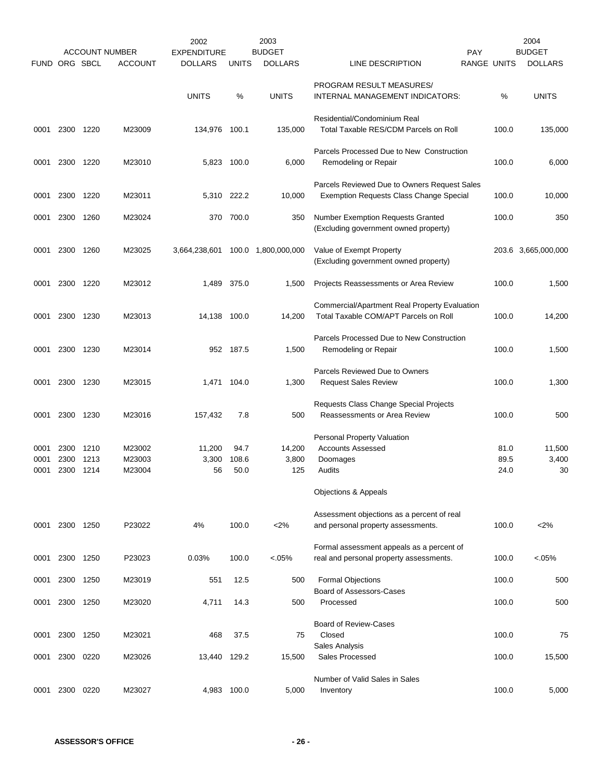|               |              |              | <b>ACCOUNT NUMBER</b> | 2002<br><b>EXPENDITURE</b> |               | 2003<br><b>BUDGET</b> |                                                                                         | PAY                |              | 2004<br><b>BUDGET</b> |
|---------------|--------------|--------------|-----------------------|----------------------------|---------------|-----------------------|-----------------------------------------------------------------------------------------|--------------------|--------------|-----------------------|
| FUND ORG SBCL |              |              | <b>ACCOUNT</b>        | <b>DOLLARS</b>             | <b>UNITS</b>  | <b>DOLLARS</b>        | LINE DESCRIPTION                                                                        | <b>RANGE UNITS</b> |              | <b>DOLLARS</b>        |
|               |              |              |                       | <b>UNITS</b>               | %             | <b>UNITS</b>          | PROGRAM RESULT MEASURES/<br>INTERNAL MANAGEMENT INDICATORS:                             |                    | %            | <b>UNITS</b>          |
| 0001          | 2300         | 1220         | M23009                | 134,976 100.1              |               | 135,000               | Residential/Condominium Real<br>Total Taxable RES/CDM Parcels on Roll                   |                    | 100.0        | 135,000               |
| 0001          | 2300         | 1220         | M23010                |                            | 5,823 100.0   | 6,000                 | Parcels Processed Due to New Construction<br>Remodeling or Repair                       |                    | 100.0        | 6,000                 |
| 0001          | 2300         | 1220         | M23011                |                            | 5,310 222.2   | 10,000                | Parcels Reviewed Due to Owners Request Sales<br>Exemption Requests Class Change Special |                    | 100.0        | 10,000                |
| 0001          | 2300         | 1260         | M23024                |                            | 370 700.0     | 350                   | <b>Number Exemption Requests Granted</b><br>(Excluding government owned property)       |                    | 100.0        | 350                   |
| 0001          | 2300         | 1260         | M23025                | 3,664,238,601              |               | 100.0 1,800,000,000   | Value of Exempt Property<br>(Excluding government owned property)                       |                    |              | 203.6 3,665,000,000   |
| 0001          | 2300         | 1220         | M23012                | 1,489                      | 375.0         | 1,500                 | Projects Reassessments or Area Review                                                   |                    | 100.0        | 1,500                 |
| 0001          | 2300         | 1230         | M23013                | 14,138 100.0               |               | 14.200                | Commercial/Apartment Real Property Evaluation<br>Total Taxable COM/APT Parcels on Roll  |                    | 100.0        | 14,200                |
| 0001          | 2300 1230    |              | M23014                |                            | 952 187.5     | 1,500                 | Parcels Processed Due to New Construction<br>Remodeling or Repair                       |                    | 100.0        | 1,500                 |
| 0001          | 2300         | 1230         | M23015                |                            | 1,471 104.0   | 1,300                 | Parcels Reviewed Due to Owners<br><b>Request Sales Review</b>                           |                    | 100.0        | 1,300                 |
| 0001          | 2300         | 1230         | M23016                | 157,432                    | 7.8           | 500                   | Requests Class Change Special Projects<br><b>Reassessments or Area Review</b>           |                    | 100.0        | 500                   |
| 0001          | 2300         | 1210         | M23002                | 11,200                     | 94.7          | 14,200                | <b>Personal Property Valuation</b><br><b>Accounts Assessed</b>                          |                    | 81.0         | 11,500                |
| 0001<br>0001  | 2300<br>2300 | 1213<br>1214 | M23003<br>M23004      | 3,300<br>56                | 108.6<br>50.0 | 3,800<br>125          | Doomages<br>Audits                                                                      |                    | 89.5<br>24.0 | 3,400<br>30           |
|               |              |              |                       |                            |               |                       | Objections & Appeals                                                                    |                    |              |                       |
| 0001          | 2300 1250    |              | P23022                | 4%                         | 100.0         | 2%                    | Assessment objections as a percent of real<br>and personal property assessments.        |                    | 100.0        | 2%                    |
| 0001          | 2300         | 1250         | P23023                | 0.03%                      | 100.0         | $< 05\%$              | Formal assessment appeals as a percent of<br>real and personal property assessments.    |                    | 100.0        | $<0.05\%$             |
| 0001          | 2300 1250    |              | M23019                | 551                        | 12.5          | 500                   | <b>Formal Objections</b>                                                                |                    | 100.0        | 500                   |
| 0001          | 2300         | 1250         | M23020                | 4,711                      | 14.3          | 500                   | Board of Assessors-Cases<br>Processed                                                   |                    | 100.0        | 500                   |
| 0001          | 2300         | 1250         | M23021                | 468                        | 37.5          | 75                    | <b>Board of Review-Cases</b><br>Closed<br>Sales Analysis                                |                    | 100.0        | 75                    |
| 0001          | 2300 0220    |              | M23026                | 13,440 129.2               |               | 15,500                | Sales Processed                                                                         |                    | 100.0        | 15,500                |
| 0001          | 2300         | 0220         | M23027                |                            | 4,983 100.0   | 5,000                 | Number of Valid Sales in Sales<br>Inventory                                             |                    | 100.0        | 5,000                 |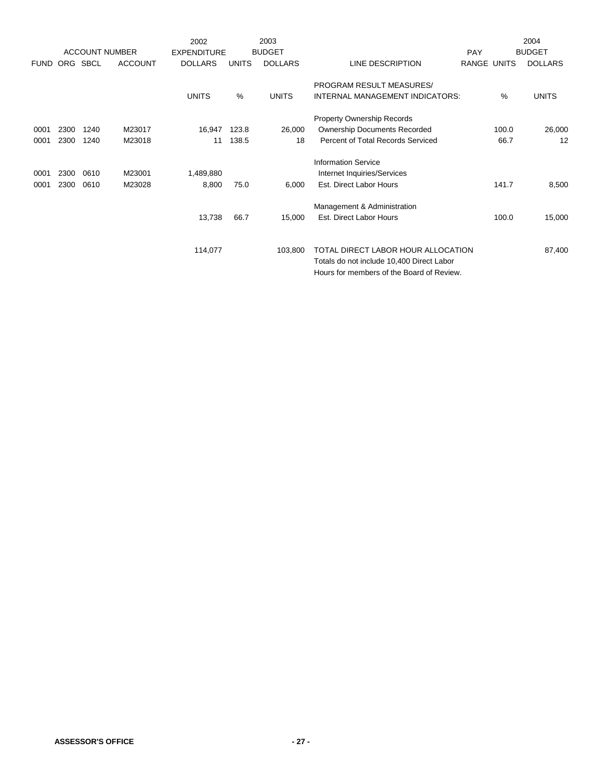|             |      |             |                       | 2002               |              | 2003           |                                           |             |       | 2004           |
|-------------|------|-------------|-----------------------|--------------------|--------------|----------------|-------------------------------------------|-------------|-------|----------------|
|             |      |             | <b>ACCOUNT NUMBER</b> | <b>EXPENDITURE</b> |              | <b>BUDGET</b>  |                                           | PAY         |       | <b>BUDGET</b>  |
| <b>FUND</b> | ORG  | <b>SBCL</b> | <b>ACCOUNT</b>        | <b>DOLLARS</b>     | <b>UNITS</b> | <b>DOLLARS</b> | LINE DESCRIPTION                          | RANGE UNITS |       | <b>DOLLARS</b> |
|             |      |             |                       |                    |              |                | PROGRAM RESULT MEASURES/                  |             |       |                |
|             |      |             |                       | <b>UNITS</b>       | %            | <b>UNITS</b>   | INTERNAL MANAGEMENT INDICATORS:           |             | %     | <b>UNITS</b>   |
|             |      |             |                       |                    |              |                | Property Ownership Records                |             |       |                |
| 0001        | 2300 | 1240        | M23017                | 16,947             | 123.8        | 26,000         | <b>Ownership Documents Recorded</b>       |             | 100.0 | 26,000         |
| 0001        | 2300 | 1240        | M23018                | 11                 | 138.5        | 18             | Percent of Total Records Serviced         |             | 66.7  | 12             |
|             |      |             |                       |                    |              |                | <b>Information Service</b>                |             |       |                |
| 0001        | 2300 | 0610        | M23001                | 1,489,880          |              |                | Internet Inquiries/Services               |             |       |                |
| 0001        | 2300 | 0610        | M23028                | 8,800              | 75.0         | 6,000          | Est. Direct Labor Hours                   |             | 141.7 | 8,500          |
|             |      |             |                       |                    |              |                | Management & Administration               |             |       |                |
|             |      |             |                       | 13,738             | 66.7         | 15,000         | Est. Direct Labor Hours                   |             | 100.0 | 15,000         |
|             |      |             |                       |                    |              |                |                                           |             |       |                |
|             |      |             |                       | 114,077            |              | 103,800        | TOTAL DIRECT LABOR HOUR ALLOCATION        |             |       | 87,400         |
|             |      |             |                       |                    |              |                | Totals do not include 10,400 Direct Labor |             |       |                |
|             |      |             |                       |                    |              |                | Hours for members of the Board of Review. |             |       |                |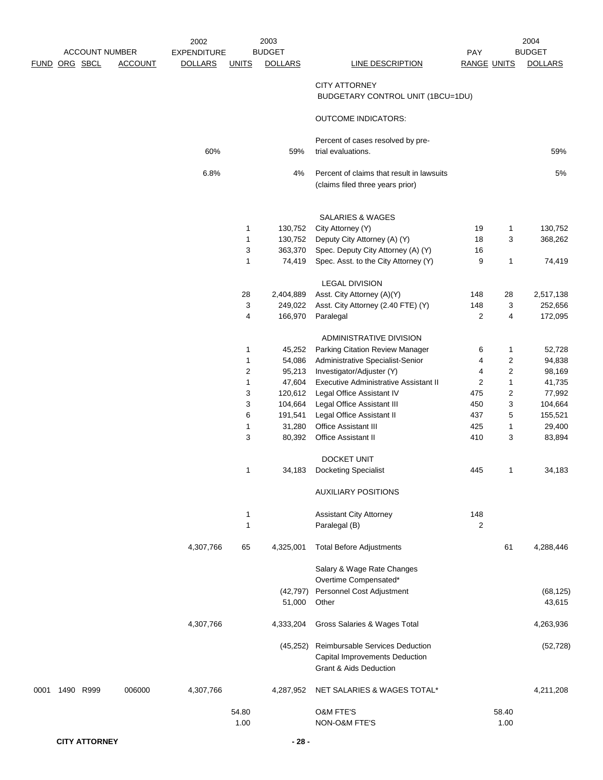|               | <b>ACCOUNT NUMBER</b> |                | 2002<br><b>EXPENDITURE</b> |                | 2003<br><b>BUDGET</b> |                                                                                                               | PAY                |                  | 2004<br><b>BUDGET</b> |
|---------------|-----------------------|----------------|----------------------------|----------------|-----------------------|---------------------------------------------------------------------------------------------------------------|--------------------|------------------|-----------------------|
| FUND ORG SBCL |                       | <b>ACCOUNT</b> | <b>DOLLARS</b>             | <b>UNITS</b>   | <b>DOLLARS</b>        | <b>LINE DESCRIPTION</b>                                                                                       | <b>RANGE UNITS</b> |                  | <b>DOLLARS</b>        |
|               |                       |                |                            |                |                       | <b>CITY ATTORNEY</b><br>BUDGETARY CONTROL UNIT (1BCU=1DU)                                                     |                    |                  |                       |
|               |                       |                |                            |                |                       | <b>OUTCOME INDICATORS:</b>                                                                                    |                    |                  |                       |
|               |                       |                | 60%                        |                | 59%                   | Percent of cases resolved by pre-<br>trial evaluations.                                                       |                    |                  | 59%                   |
|               |                       |                | 6.8%                       |                | 4%                    | Percent of claims that result in lawsuits<br>(claims filed three years prior)                                 |                    |                  | 5%                    |
|               |                       |                |                            |                |                       | SALARIES & WAGES                                                                                              |                    |                  |                       |
|               |                       |                |                            | 1              | 130,752               | City Attorney (Y)                                                                                             | 19                 | $\mathbf{1}$     | 130,752               |
|               |                       |                |                            | $\mathbf{1}$   | 130,752               | Deputy City Attorney (A) (Y)                                                                                  | 18                 | 3                | 368,262               |
|               |                       |                |                            | 3              | 363,370               | Spec. Deputy City Attorney (A) (Y)                                                                            | 16                 |                  |                       |
|               |                       |                |                            | 1              | 74,419                | Spec. Asst. to the City Attorney (Y)                                                                          | 9                  | 1                | 74,419                |
|               |                       |                |                            |                |                       | <b>LEGAL DIVISION</b>                                                                                         |                    |                  |                       |
|               |                       |                |                            | 28             | 2,404,889             | Asst. City Attorney (A)(Y)                                                                                    | 148                | 28               | 2,517,138             |
|               |                       |                |                            | 3              | 249,022               | Asst. City Attorney (2.40 FTE) (Y)                                                                            | 148                | 3                | 252,656               |
|               |                       |                |                            | 4              | 166,970               | Paralegal                                                                                                     | 2                  | 4                | 172,095               |
|               |                       |                |                            |                |                       | ADMINISTRATIVE DIVISION                                                                                       |                    |                  |                       |
|               |                       |                |                            | 1              | 45,252                | Parking Citation Review Manager                                                                               | 6                  | 1                | 52,728                |
|               |                       |                |                            | $\mathbf{1}$   | 54,086                | Administrative Specialist-Senior                                                                              | 4                  | 2                | 94,838                |
|               |                       |                |                            | $\overline{c}$ | 95,213                | Investigator/Adjuster (Y)                                                                                     | 4                  | $\boldsymbol{2}$ | 98,169                |
|               |                       |                |                            | $\mathbf{1}$   | 47,604                | <b>Executive Administrative Assistant II</b>                                                                  | $\overline{c}$     | $\mathbf{1}$     | 41,735                |
|               |                       |                |                            | 3              | 120,612               | Legal Office Assistant IV                                                                                     | 475                | $\boldsymbol{2}$ | 77,992                |
|               |                       |                |                            | 3              | 104,664               | Legal Office Assistant III                                                                                    | 450                | 3                | 104,664               |
|               |                       |                |                            | 6              | 191,541               | Legal Office Assistant II                                                                                     | 437                | 5                | 155,521               |
|               |                       |                |                            | $\mathbf{1}$   | 31,280                | Office Assistant III                                                                                          | 425                | 1                | 29,400                |
|               |                       |                |                            | 3              | 80,392                | Office Assistant II                                                                                           | 410                | 3                | 83,894                |
|               |                       |                |                            |                |                       | <b>DOCKET UNIT</b>                                                                                            |                    |                  |                       |
|               |                       |                |                            | 1              | 34,183                | <b>Docketing Specialist</b>                                                                                   | 445                | 1                | 34,183                |
|               |                       |                |                            |                |                       | <b>AUXILIARY POSITIONS</b>                                                                                    |                    |                  |                       |
|               |                       |                |                            | 1              |                       | <b>Assistant City Attorney</b>                                                                                | 148                |                  |                       |
|               |                       |                |                            | 1              |                       | Paralegal (B)                                                                                                 | 2                  |                  |                       |
|               |                       |                | 4,307,766                  | 65             | 4,325,001             | <b>Total Before Adjustments</b>                                                                               |                    | 61               | 4,288,446             |
|               |                       |                |                            |                |                       | Salary & Wage Rate Changes<br>Overtime Compensated*                                                           |                    |                  |                       |
|               |                       |                |                            |                | (42, 797)             | Personnel Cost Adjustment                                                                                     |                    |                  | (68, 125)             |
|               |                       |                |                            |                | 51,000                | Other                                                                                                         |                    |                  | 43,615                |
|               |                       |                | 4,307,766                  |                | 4,333,204             | Gross Salaries & Wages Total                                                                                  |                    |                  | 4,263,936             |
|               |                       |                |                            |                | (45, 252)             | Reimbursable Services Deduction<br><b>Capital Improvements Deduction</b><br><b>Grant &amp; Aids Deduction</b> |                    |                  | (52, 728)             |
| 0001          | 1490 R999             | 006000         | 4,307,766                  |                | 4,287,952             | NET SALARIES & WAGES TOTAL*                                                                                   |                    |                  | 4,211,208             |
|               |                       |                |                            | 54.80<br>1.00  |                       | O&M FTE'S<br>NON-O&M FTE'S                                                                                    |                    | 58.40<br>1.00    |                       |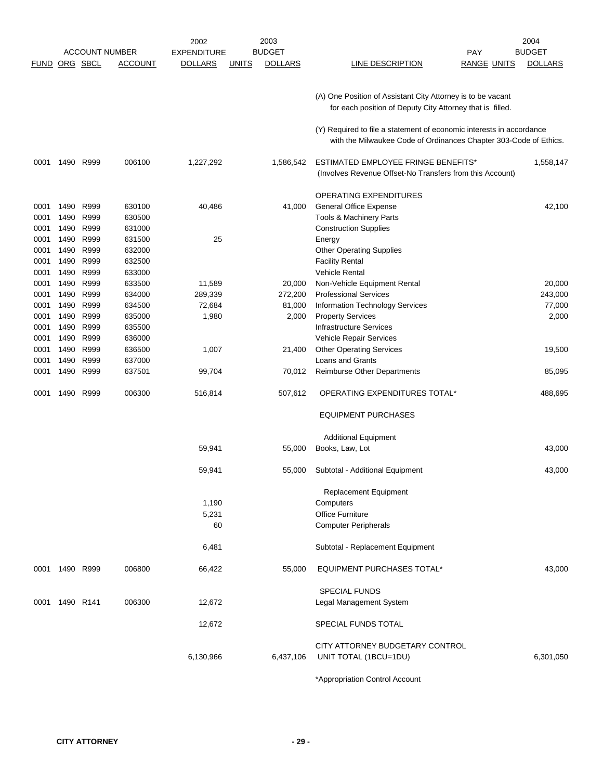|             |           |           |                       | 2002               |              | 2003           | 2004                                                                                                                     |                |  |  |
|-------------|-----------|-----------|-----------------------|--------------------|--------------|----------------|--------------------------------------------------------------------------------------------------------------------------|----------------|--|--|
|             |           |           | <b>ACCOUNT NUMBER</b> | <b>EXPENDITURE</b> |              | <b>BUDGET</b>  | PAY                                                                                                                      | <b>BUDGET</b>  |  |  |
| <b>FUND</b> | ORG SBCL  |           | <b>ACCOUNT</b>        | <b>DOLLARS</b>     | <b>UNITS</b> | <b>DOLLARS</b> | LINE DESCRIPTION<br><b>RANGE UNITS</b>                                                                                   | <b>DOLLARS</b> |  |  |
|             |           |           |                       |                    |              |                |                                                                                                                          |                |  |  |
|             |           |           |                       |                    |              |                |                                                                                                                          |                |  |  |
|             |           |           |                       |                    |              |                | (A) One Position of Assistant City Attorney is to be vacant<br>for each position of Deputy City Attorney that is filled. |                |  |  |
|             |           |           |                       |                    |              |                |                                                                                                                          |                |  |  |
|             |           |           |                       |                    |              |                | (Y) Required to file a statement of economic interests in accordance                                                     |                |  |  |
|             |           |           |                       |                    |              |                | with the Milwaukee Code of Ordinances Chapter 303-Code of Ethics.                                                        |                |  |  |
|             |           |           |                       |                    |              |                |                                                                                                                          |                |  |  |
| 0001        |           | 1490 R999 | 006100                | 1,227,292          |              | 1,586,542      | <b>ESTIMATED EMPLOYEE FRINGE BENEFITS*</b>                                                                               | 1,558,147      |  |  |
|             |           |           |                       |                    |              |                | (Involves Revenue Offset-No Transfers from this Account)                                                                 |                |  |  |
|             |           |           |                       |                    |              |                |                                                                                                                          |                |  |  |
|             |           |           |                       |                    |              |                | OPERATING EXPENDITURES                                                                                                   |                |  |  |
| 0001        | 1490      | R999      | 630100                | 40,486             |              | 41,000         | <b>General Office Expense</b>                                                                                            | 42,100         |  |  |
| 0001        | 1490      | R999      | 630500                |                    |              |                | Tools & Machinery Parts                                                                                                  |                |  |  |
| 0001        | 1490      | R999      | 631000                |                    |              |                | <b>Construction Supplies</b>                                                                                             |                |  |  |
| 0001        | 1490      | R999      | 631500                | 25                 |              |                | Energy                                                                                                                   |                |  |  |
| 0001        |           | 1490 R999 | 632000                |                    |              |                | <b>Other Operating Supplies</b>                                                                                          |                |  |  |
| 0001        | 1490      | R999      | 632500                |                    |              |                | <b>Facility Rental</b>                                                                                                   |                |  |  |
| 0001        | 1490      | R999      | 633000                |                    |              |                | <b>Vehicle Rental</b>                                                                                                    |                |  |  |
| 0001        | 1490      | R999      | 633500                | 11,589             |              | 20,000         | Non-Vehicle Equipment Rental                                                                                             | 20,000         |  |  |
| 0001        | 1490      | R999      | 634000                | 289,339            |              | 272,200        | <b>Professional Services</b>                                                                                             | 243,000        |  |  |
| 0001        | 1490      | R999      | 634500                | 72,684             |              | 81,000         | Information Technology Services                                                                                          | 77,000         |  |  |
| 0001        | 1490      | R999      | 635000                | 1,980              |              | 2,000          | <b>Property Services</b>                                                                                                 | 2,000          |  |  |
| 0001        | 1490      | R999      | 635500                |                    |              |                | <b>Infrastructure Services</b>                                                                                           |                |  |  |
| 0001        | 1490      | R999      | 636000                |                    |              |                | Vehicle Repair Services                                                                                                  |                |  |  |
| 0001        | 1490      | R999      | 636500                | 1,007              |              | 21,400         | <b>Other Operating Services</b>                                                                                          | 19,500         |  |  |
| 0001        | 1490      | R999      | 637000                |                    |              |                | Loans and Grants                                                                                                         |                |  |  |
| 0001        |           | 1490 R999 | 637501                | 99,704             |              | 70,012         | <b>Reimburse Other Departments</b>                                                                                       | 85,095         |  |  |
| 0001        |           | 1490 R999 | 006300                | 516,814            |              | 507,612        | OPERATING EXPENDITURES TOTAL*                                                                                            | 488,695        |  |  |
|             |           |           |                       |                    |              |                |                                                                                                                          |                |  |  |
|             |           |           |                       |                    |              |                | <b>EQUIPMENT PURCHASES</b>                                                                                               |                |  |  |
|             |           |           |                       |                    |              |                |                                                                                                                          |                |  |  |
|             |           |           |                       |                    |              |                | <b>Additional Equipment</b>                                                                                              |                |  |  |
|             |           |           |                       | 59,941             |              | 55,000         | Books, Law, Lot                                                                                                          | 43,000         |  |  |
|             |           |           |                       |                    |              |                |                                                                                                                          |                |  |  |
|             |           |           |                       | 59,941             |              | 55,000         | Subtotal - Additional Equipment                                                                                          | 43,000         |  |  |
|             |           |           |                       |                    |              |                |                                                                                                                          |                |  |  |
|             |           |           |                       |                    |              |                | Replacement Equipment                                                                                                    |                |  |  |
|             |           |           |                       | 1,190              |              |                | Computers                                                                                                                |                |  |  |
|             |           |           |                       | 5,231              |              |                | <b>Office Furniture</b>                                                                                                  |                |  |  |
|             |           |           |                       | 60                 |              |                | <b>Computer Peripherals</b>                                                                                              |                |  |  |
|             |           |           |                       |                    |              |                |                                                                                                                          |                |  |  |
|             |           |           |                       | 6,481              |              |                | Subtotal - Replacement Equipment                                                                                         |                |  |  |
|             |           |           |                       |                    |              |                |                                                                                                                          |                |  |  |
| 0001        | 1490 R999 |           | 006800                | 66,422             |              | 55,000         | EQUIPMENT PURCHASES TOTAL*                                                                                               | 43,000         |  |  |
|             |           |           |                       |                    |              |                |                                                                                                                          |                |  |  |
|             |           |           |                       |                    |              |                | <b>SPECIAL FUNDS</b>                                                                                                     |                |  |  |
| 0001        | 1490 R141 |           | 006300                | 12,672             |              |                | Legal Management System                                                                                                  |                |  |  |
|             |           |           |                       |                    |              |                |                                                                                                                          |                |  |  |
|             |           |           |                       | 12,672             |              |                | SPECIAL FUNDS TOTAL                                                                                                      |                |  |  |
|             |           |           |                       |                    |              |                | CITY ATTORNEY BUDGETARY CONTROL                                                                                          |                |  |  |
|             |           |           |                       | 6,130,966          |              | 6,437,106      | UNIT TOTAL (1BCU=1DU)                                                                                                    | 6,301,050      |  |  |
|             |           |           |                       |                    |              |                |                                                                                                                          |                |  |  |
|             |           |           |                       |                    |              |                |                                                                                                                          |                |  |  |

\*Appropriation Control Account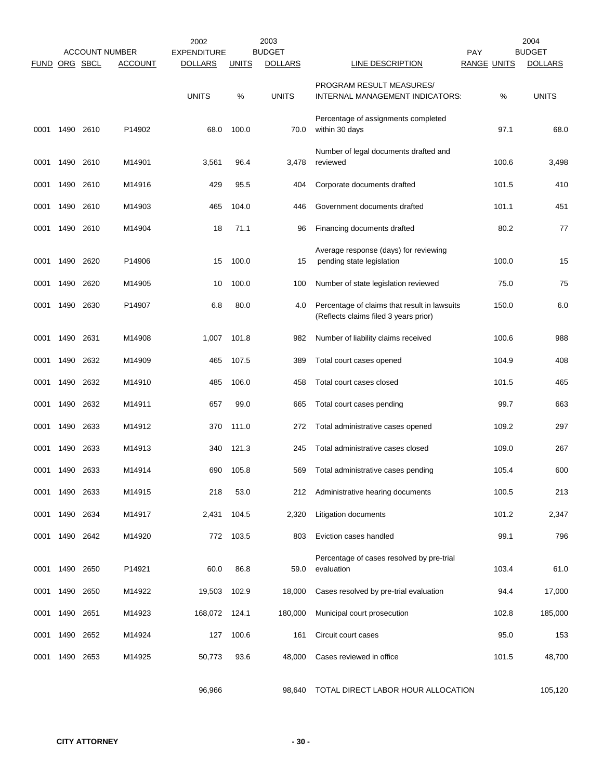|                      |      |           | <b>ACCOUNT NUMBER</b> | 2002<br><b>EXPENDITURE</b> |              | 2003<br><b>BUDGET</b> |                                                                                       | <b>PAY</b>         | 2004<br><b>BUDGET</b> |
|----------------------|------|-----------|-----------------------|----------------------------|--------------|-----------------------|---------------------------------------------------------------------------------------|--------------------|-----------------------|
| <b>FUND ORG SBCL</b> |      |           | <b>ACCOUNT</b>        | <b>DOLLARS</b>             | <u>UNITS</u> | <b>DOLLARS</b>        | LINE DESCRIPTION                                                                      | <b>RANGE UNITS</b> | <b>DOLLARS</b>        |
|                      |      |           |                       | <b>UNITS</b>               | %            | <b>UNITS</b>          | PROGRAM RESULT MEASURES/<br>INTERNAL MANAGEMENT INDICATORS:                           | %                  | <b>UNITS</b>          |
| 0001                 | 1490 | 2610      | P14902                | 68.0                       | 100.0        | 70.0                  | Percentage of assignments completed<br>within 30 days                                 | 97.1               | 68.0                  |
| 0001                 |      | 1490 2610 | M14901                | 3,561                      | 96.4         | 3,478                 | Number of legal documents drafted and<br>reviewed                                     | 100.6              | 3,498                 |
| 0001                 |      | 1490 2610 | M14916                | 429                        | 95.5         | 404                   | Corporate documents drafted                                                           | 101.5              | 410                   |
| 0001                 | 1490 | 2610      | M14903                | 465                        | 104.0        | 446                   | Government documents drafted                                                          | 101.1              | 451                   |
| 0001                 | 1490 | 2610      | M14904                | 18                         | 71.1         | 96                    | Financing documents drafted                                                           | 80.2               | 77                    |
| 0001                 | 1490 | 2620      | P14906                | 15                         | 100.0        | 15                    | Average response (days) for reviewing<br>pending state legislation                    | 100.0              | 15                    |
| 0001                 | 1490 | 2620      | M14905                | 10                         | 100.0        | 100                   | Number of state legislation reviewed                                                  | 75.0               | 75                    |
| 0001                 | 1490 | 2630      | P14907                | 6.8                        | 80.0         | 4.0                   | Percentage of claims that result in lawsuits<br>(Reflects claims filed 3 years prior) | 150.0              | 6.0                   |
| 0001                 | 1490 | 2631      | M14908                | 1,007                      | 101.8        | 982                   | Number of liability claims received                                                   | 100.6              | 988                   |
| 0001                 | 1490 | 2632      | M14909                | 465                        | 107.5        | 389                   | Total court cases opened                                                              | 104.9              | 408                   |
| 0001                 | 1490 | 2632      | M14910                | 485                        | 106.0        | 458                   | Total court cases closed                                                              | 101.5              | 465                   |
| 0001                 |      | 1490 2632 | M14911                | 657                        | 99.0         | 665                   | Total court cases pending                                                             | 99.7               | 663                   |
| 0001                 | 1490 | 2633      | M14912                | 370                        | 111.0        | 272                   | Total administrative cases opened                                                     | 109.2              | 297                   |
| 0001                 | 1490 | 2633      | M14913                | 340                        | 121.3        | 245                   | Total administrative cases closed                                                     | 109.0              | 267                   |
| 0001                 | 1490 | 2633      | M14914                | 690                        | 105.8        | 569                   | Total administrative cases pending                                                    | 105.4              | 600                   |
| 0001                 |      | 1490 2633 | M14915                | 218                        | 53.0         | 212                   | Administrative hearing documents                                                      | 100.5              | 213                   |
| 0001                 |      | 1490 2634 | M14917                | 2,431                      | 104.5        | 2,320                 | Litigation documents                                                                  | 101.2              | 2,347                 |
| 0001                 |      | 1490 2642 | M14920                | 772                        | 103.5        | 803                   | Eviction cases handled                                                                | 99.1               | 796                   |
| 0001                 |      | 1490 2650 | P14921                | 60.0                       | 86.8         | 59.0                  | Percentage of cases resolved by pre-trial<br>evaluation                               | 103.4              | 61.0                  |
| 0001                 | 1490 | 2650      | M14922                | 19,503                     | 102.9        | 18,000                | Cases resolved by pre-trial evaluation                                                | 94.4               | 17,000                |
| 0001                 | 1490 | 2651      | M14923                | 168,072                    | 124.1        | 180,000               | Municipal court prosecution                                                           | 102.8              | 185,000               |
| 0001                 | 1490 | 2652      | M14924                | 127                        | 100.6        | 161                   | Circuit court cases                                                                   | 95.0               | 153                   |
| 0001                 |      | 1490 2653 | M14925                | 50,773                     | 93.6         | 48,000                | Cases reviewed in office                                                              | 101.5              | 48,700                |
|                      |      |           |                       | 96,966                     |              | 98,640                | TOTAL DIRECT LABOR HOUR ALLOCATION                                                    |                    | 105,120               |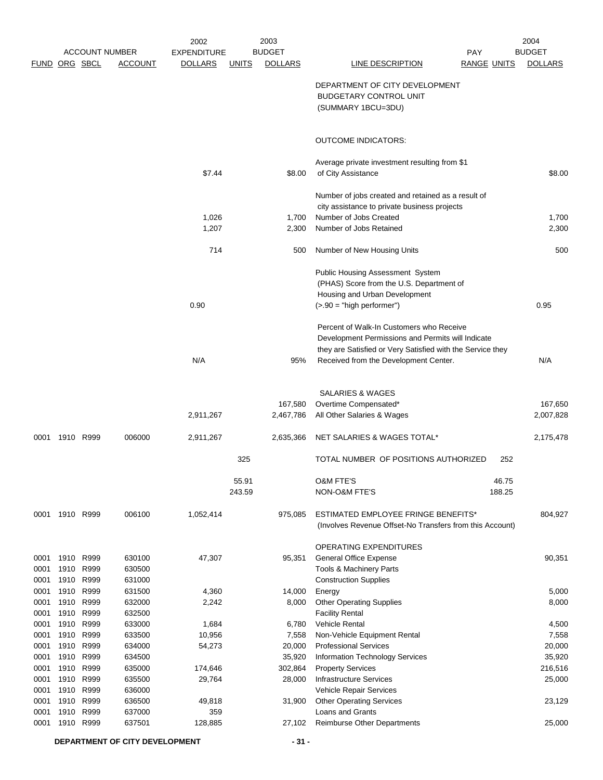|              |                |                       | 2002             | 2003               |                                |                                                              | 2004               |                  |  |
|--------------|----------------|-----------------------|------------------|--------------------|--------------------------------|--------------------------------------------------------------|--------------------|------------------|--|
|              |                | <b>ACCOUNT NUMBER</b> |                  | <b>EXPENDITURE</b> | <b>BUDGET</b>                  | <b>PAY</b>                                                   |                    | <b>BUDGET</b>    |  |
|              |                | FUND ORG SBCL         | <b>ACCOUNT</b>   | <b>DOLLARS</b>     | <b>DOLLARS</b><br><b>UNITS</b> | <b>LINE DESCRIPTION</b>                                      | <b>RANGE UNITS</b> | <b>DOLLARS</b>   |  |
|              |                |                       |                  |                    |                                |                                                              |                    |                  |  |
|              |                |                       |                  |                    |                                | DEPARTMENT OF CITY DEVELOPMENT                               |                    |                  |  |
|              |                |                       |                  |                    |                                | <b>BUDGETARY CONTROL UNIT</b>                                |                    |                  |  |
|              |                |                       |                  |                    |                                | (SUMMARY 1BCU=3DU)                                           |                    |                  |  |
|              |                |                       |                  |                    |                                | <b>OUTCOME INDICATORS:</b>                                   |                    |                  |  |
|              |                |                       |                  |                    |                                | Average private investment resulting from \$1                |                    |                  |  |
|              |                |                       |                  | \$7.44             | \$8.00                         | of City Assistance                                           |                    | \$8.00           |  |
|              |                |                       |                  |                    |                                | Number of jobs created and retained as a result of           |                    |                  |  |
|              |                |                       |                  |                    |                                | city assistance to private business projects                 |                    |                  |  |
|              |                |                       |                  | 1,026              | 1,700                          | Number of Jobs Created                                       |                    | 1,700            |  |
|              |                |                       |                  | 1,207              | 2,300                          | Number of Jobs Retained                                      |                    | 2,300            |  |
|              |                |                       |                  | 714                | 500                            | Number of New Housing Units                                  |                    | 500              |  |
|              |                |                       |                  |                    |                                | <b>Public Housing Assessment System</b>                      |                    |                  |  |
|              |                |                       |                  |                    |                                | (PHAS) Score from the U.S. Department of                     |                    |                  |  |
|              |                |                       |                  |                    |                                | Housing and Urban Development                                |                    |                  |  |
|              |                |                       |                  | 0.90               |                                | $(> 90 = "high performance")$                                |                    | 0.95             |  |
|              |                |                       |                  |                    |                                | Percent of Walk-In Customers who Receive                     |                    |                  |  |
|              |                |                       |                  |                    |                                | Development Permissions and Permits will Indicate            |                    |                  |  |
|              |                |                       |                  |                    |                                | they are Satisfied or Very Satisfied with the Service they   |                    |                  |  |
|              |                |                       |                  | N/A                | 95%                            | Received from the Development Center.                        |                    | N/A              |  |
|              |                |                       |                  |                    |                                |                                                              |                    |                  |  |
|              |                |                       |                  |                    |                                | SALARIES & WAGES                                             |                    |                  |  |
|              |                |                       |                  |                    | 167,580                        | Overtime Compensated*                                        |                    | 167,650          |  |
|              |                |                       |                  | 2,911,267          | 2,467,786                      | All Other Salaries & Wages                                   |                    | 2,007,828        |  |
|              | 0001 1910 R999 |                       | 006000           | 2,911,267          | 2,635,366                      | NET SALARIES & WAGES TOTAL*                                  |                    | 2,175,478        |  |
|              |                |                       |                  |                    | 325                            | TOTAL NUMBER OF POSITIONS AUTHORIZED                         | 252                |                  |  |
|              |                |                       |                  |                    | 55.91                          | <b>O&amp;M FTE'S</b>                                         | 46.75              |                  |  |
|              |                |                       |                  |                    | 243.59                         | NON-O&M FTE'S                                                | 188.25             |                  |  |
|              | 0001 1910 R999 |                       | 006100           | 1,052,414          | 975,085                        | <b>ESTIMATED EMPLOYEE FRINGE BENEFITS*</b>                   |                    | 804,927          |  |
|              |                |                       |                  |                    |                                | (Involves Revenue Offset-No Transfers from this Account)     |                    |                  |  |
|              |                |                       |                  |                    |                                | OPERATING EXPENDITURES                                       |                    |                  |  |
| 0001         | 1910           | R999                  | 630100           | 47,307             | 95,351                         | General Office Expense                                       |                    | 90,351           |  |
| 0001         | 1910           | R999                  | 630500           |                    |                                | Tools & Machinery Parts                                      |                    |                  |  |
| 0001         | 1910           | R999                  | 631000           |                    |                                | <b>Construction Supplies</b>                                 |                    |                  |  |
| 0001         | 1910           | R999                  | 631500           | 4,360              | 14,000                         | Energy                                                       |                    | 5,000            |  |
| 0001         | 1910           | R999                  | 632000           | 2,242              | 8,000                          | <b>Other Operating Supplies</b>                              |                    | 8,000            |  |
| 0001         | 1910           | R999                  | 632500           |                    |                                | <b>Facility Rental</b>                                       |                    |                  |  |
| 0001         | 1910<br>1910   | R999<br>R999          | 633000<br>633500 | 1,684              | 6,780                          | Vehicle Rental                                               |                    | 4,500            |  |
| 0001         | 1910           | R999                  | 634000           | 10,956             | 7,558                          | Non-Vehicle Equipment Rental<br><b>Professional Services</b> |                    | 7,558            |  |
| 0001<br>0001 | 1910           | R999                  | 634500           | 54,273             | 20,000<br>35,920               | Information Technology Services                              |                    | 20,000<br>35,920 |  |
| 0001         | 1910           | R999                  | 635000           | 174,646            | 302,864                        | <b>Property Services</b>                                     |                    | 216,516          |  |
| 0001         | 1910           | R999                  | 635500           | 29,764             | 28,000                         | <b>Infrastructure Services</b>                               |                    | 25,000           |  |
| 0001         | 1910 R999      |                       | 636000           |                    |                                | Vehicle Repair Services                                      |                    |                  |  |
| 0001         | 1910           | R999                  | 636500           | 49,818             | 31,900                         | <b>Other Operating Services</b>                              |                    | 23,129           |  |
| 0001         | 1910           | R999                  | 637000           | 359                |                                | <b>Loans and Grants</b>                                      |                    |                  |  |
| 0001         | 1910 R999      |                       | 637501           | 128,885            | 27,102                         | Reimburse Other Departments                                  |                    | 25,000           |  |
|              |                |                       |                  |                    |                                |                                                              |                    |                  |  |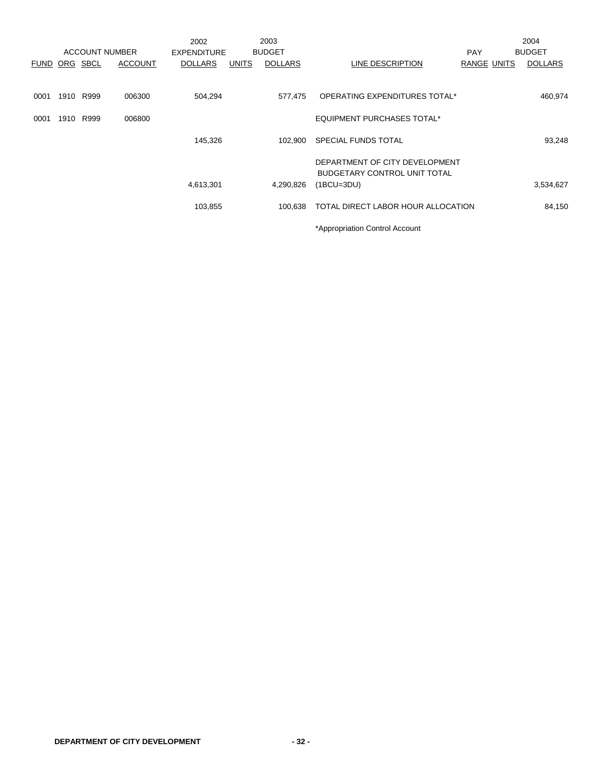|               |      |                       |                | 2002               |              | 2003           |                                    |             | 2004           |
|---------------|------|-----------------------|----------------|--------------------|--------------|----------------|------------------------------------|-------------|----------------|
|               |      | <b>ACCOUNT NUMBER</b> |                | <b>EXPENDITURE</b> |              | <b>BUDGET</b>  |                                    | <b>PAY</b>  | <b>BUDGET</b>  |
| FUND ORG SBCL |      |                       | <b>ACCOUNT</b> | <b>DOLLARS</b>     | <b>UNITS</b> | <b>DOLLARS</b> | LINE DESCRIPTION                   | RANGE UNITS | <b>DOLLARS</b> |
|               |      |                       |                |                    |              |                |                                    |             |                |
| 0001          | 1910 | R999                  | 006300         | 504,294            |              | 577.475        | OPERATING EXPENDITURES TOTAL*      |             | 460,974        |
| 0001          | 1910 | R999                  | 006800         |                    |              |                | <b>EQUIPMENT PURCHASES TOTAL*</b>  |             |                |
|               |      |                       |                | 145,326            |              | 102.900        | <b>SPECIAL FUNDS TOTAL</b>         |             | 93,248         |
|               |      |                       |                |                    |              |                | DEPARTMENT OF CITY DEVELOPMENT     |             |                |
|               |      |                       |                |                    |              |                | BUDGETARY CONTROL UNIT TOTAL       |             |                |
|               |      |                       |                | 4,613,301          |              | 4,290,826      | $(1BCU=3DU)$                       |             | 3,534,627      |
|               |      |                       |                | 103,855            |              | 100.638        | TOTAL DIRECT LABOR HOUR ALLOCATION |             | 84,150         |
|               |      |                       |                |                    |              |                | *Appropriation Control Account     |             |                |

**DEPARTMENT OF CITY DEVELOPMENT - 32 -**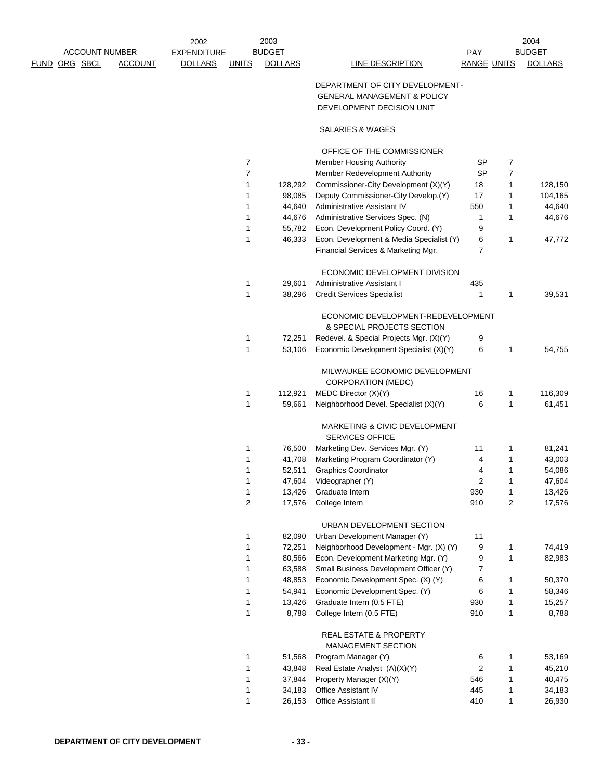|  | <b>ACCOUNT NUMBER</b> |                | <b>EXPENDITURE</b> |                | <b>BUDGET</b>    |                                                                                                        | PAY                     |                              | <b>BUDGET</b>      |
|--|-----------------------|----------------|--------------------|----------------|------------------|--------------------------------------------------------------------------------------------------------|-------------------------|------------------------------|--------------------|
|  | <u>FUND ORG SBCL</u>  | <b>ACCOUNT</b> | <b>DOLLARS</b>     | <b>UNITS</b>   | <b>DOLLARS</b>   | LINE DESCRIPTION                                                                                       | <b>RANGE UNITS</b>      |                              | <b>DOLLARS</b>     |
|  |                       |                |                    |                |                  | DEPARTMENT OF CITY DEVELOPMENT-<br><b>GENERAL MANAGEMENT &amp; POLICY</b><br>DEVELOPMENT DECISION UNIT |                         |                              |                    |
|  |                       |                |                    |                |                  | SALARIES & WAGES                                                                                       |                         |                              |                    |
|  |                       |                |                    |                |                  | OFFICE OF THE COMMISSIONER                                                                             |                         |                              |                    |
|  |                       |                |                    | 7              |                  | <b>Member Housing Authority</b>                                                                        | <b>SP</b>               | 7                            |                    |
|  |                       |                |                    | $\overline{7}$ |                  | Member Redevelopment Authority                                                                         | <b>SP</b>               | $\overline{7}$               |                    |
|  |                       |                |                    | 1              | 128,292          | Commissioner-City Development (X)(Y)                                                                   | 18<br>17                | $\mathbf{1}$<br>$\mathbf{1}$ | 128,150<br>104,165 |
|  |                       |                |                    | 1<br>1         | 98,085<br>44,640 | Deputy Commissioner-City Develop.(Y)<br>Administrative Assistant IV                                    | 550                     | $\mathbf{1}$                 | 44,640             |
|  |                       |                |                    | 1              | 44,676           | Administrative Services Spec. (N)                                                                      | 1                       | $\mathbf{1}$                 | 44,676             |
|  |                       |                |                    | 1              | 55,782           | Econ. Development Policy Coord. (Y)                                                                    | 9                       |                              |                    |
|  |                       |                |                    | 1              | 46,333           | Econ. Development & Media Specialist (Y)                                                               | 6                       | $\mathbf{1}$                 | 47,772             |
|  |                       |                |                    |                |                  | Financial Services & Marketing Mgr.                                                                    | 7                       |                              |                    |
|  |                       |                |                    |                |                  | ECONOMIC DEVELOPMENT DIVISION                                                                          |                         |                              |                    |
|  |                       |                |                    | 1              | 29,601           | Administrative Assistant I                                                                             | 435                     |                              |                    |
|  |                       |                |                    | 1              | 38,296           | <b>Credit Services Specialist</b>                                                                      | 1                       | $\mathbf{1}$                 | 39,531             |
|  |                       |                |                    |                |                  | ECONOMIC DEVELOPMENT-REDEVELOPMENT<br>& SPECIAL PROJECTS SECTION                                       |                         |                              |                    |
|  |                       |                |                    | 1              | 72,251           | Redevel. & Special Projects Mgr. (X)(Y)                                                                | 9                       |                              |                    |
|  |                       |                |                    | 1              | 53,106           | Economic Development Specialist (X)(Y)                                                                 | 6                       | 1                            | 54,755             |
|  |                       |                |                    |                |                  | MILWAUKEE ECONOMIC DEVELOPMENT<br><b>CORPORATION (MEDC)</b>                                            |                         |                              |                    |
|  |                       |                |                    | 1              | 112,921          | MEDC Director (X)(Y)                                                                                   | 16                      | 1                            | 116,309            |
|  |                       |                |                    | 1              | 59,661           | Neighborhood Devel. Specialist (X)(Y)                                                                  | 6                       | $\mathbf{1}$                 | 61,451             |
|  |                       |                |                    |                |                  | MARKETING & CIVIC DEVELOPMENT<br><b>SERVICES OFFICE</b>                                                |                         |                              |                    |
|  |                       |                |                    | 1              | 76,500           | Marketing Dev. Services Mgr. (Y)                                                                       | 11                      | 1                            | 81,241             |
|  |                       |                |                    | 1              | 41,708           | Marketing Program Coordinator (Y)                                                                      | 4                       | $\mathbf{1}$                 | 43,003             |
|  |                       |                |                    | 1              | 52,511           | <b>Graphics Coordinator</b>                                                                            | 4                       | $\mathbf{1}$                 | 54,086             |
|  |                       |                |                    | 1              | 47,604           | Videographer (Y)                                                                                       | 2                       | $\mathbf{1}$                 | 47,604             |
|  |                       |                |                    | 1<br>2         | 13,426<br>17,576 | Graduate Intern<br>College Intern                                                                      | 930<br>910              | 1<br>$\overline{c}$          | 13,426<br>17,576   |
|  |                       |                |                    |                |                  |                                                                                                        |                         |                              |                    |
|  |                       |                |                    |                |                  | URBAN DEVELOPMENT SECTION                                                                              |                         |                              |                    |
|  |                       |                |                    | 1              | 82,090           | Urban Development Manager (Y)                                                                          | 11                      |                              |                    |
|  |                       |                |                    | 1              | 72,251           | Neighborhood Development - Mgr. (X) (Y)                                                                | 9                       | $\mathbf{1}$                 | 74,419             |
|  |                       |                |                    | 1              | 80,566           | Econ. Development Marketing Mgr. (Y)                                                                   | 9                       | $\mathbf{1}$                 | 82,983             |
|  |                       |                |                    | 1<br>1         | 63,588           | Small Business Development Officer (Y)                                                                 | 7<br>6                  | 1                            |                    |
|  |                       |                |                    | 1              | 48,853<br>54,941 | Economic Development Spec. (X) (Y)<br>Economic Development Spec. (Y)                                   | 6                       | $\mathbf{1}$                 | 50,370<br>58,346   |
|  |                       |                |                    | 1              | 13,426           | Graduate Intern (0.5 FTE)                                                                              | 930                     | $\mathbf{1}$                 | 15,257             |
|  |                       |                |                    | 1              | 8,788            | College Intern (0.5 FTE)                                                                               | 910                     | $\mathbf{1}$                 | 8,788              |
|  |                       |                |                    |                |                  | <b>REAL ESTATE &amp; PROPERTY</b><br>MANAGEMENT SECTION                                                |                         |                              |                    |
|  |                       |                |                    | 1              | 51,568           | Program Manager (Y)                                                                                    | 6                       | 1                            | 53,169             |
|  |                       |                |                    | 1              | 43,848           | Real Estate Analyst (A)(X)(Y)                                                                          | $\overline{\mathbf{c}}$ | $\mathbf{1}$                 | 45,210             |
|  |                       |                |                    | 1              | 37,844           | Property Manager (X)(Y)                                                                                | 546                     | $\mathbf{1}$                 | 40,475             |
|  |                       |                |                    | 1              | 34,183           | Office Assistant IV                                                                                    | 445                     | $\mathbf{1}$                 | 34,183             |
|  |                       |                |                    | 1              | 26,153           | Office Assistant II                                                                                    | 410                     | $\mathbf{1}$                 | 26,930             |
|  |                       |                |                    |                |                  |                                                                                                        |                         |                              |                    |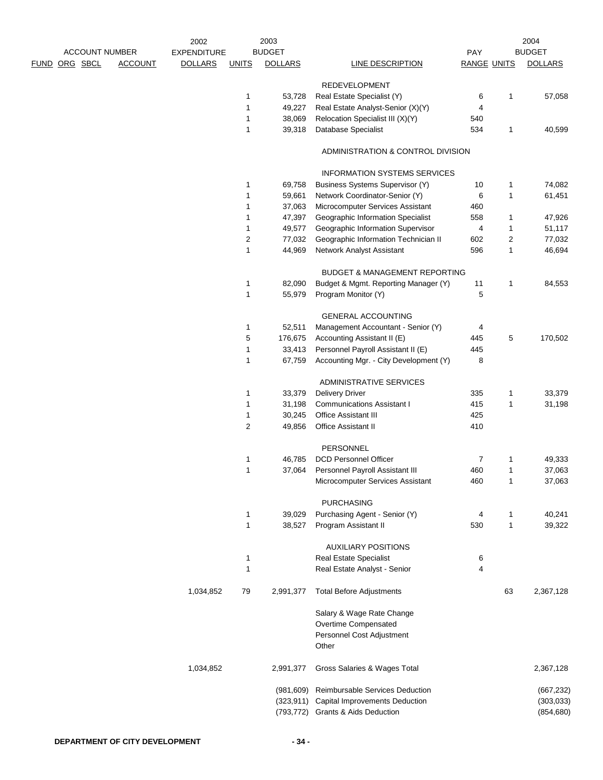|                       |                | 2002               |                | 2003           |                                                                                         |                    |              | 2004           |
|-----------------------|----------------|--------------------|----------------|----------------|-----------------------------------------------------------------------------------------|--------------------|--------------|----------------|
| <b>ACCOUNT NUMBER</b> |                | <b>EXPENDITURE</b> |                | <b>BUDGET</b>  |                                                                                         | PAY                |              | <b>BUDGET</b>  |
| <u>FUND ORG SBCL</u>  | <b>ACCOUNT</b> | <b>DOLLARS</b>     | <b>UNITS</b>   | <b>DOLLARS</b> | LINE DESCRIPTION                                                                        | <b>RANGE UNITS</b> |              | <b>DOLLARS</b> |
|                       |                |                    |                |                | <b>REDEVELOPMENT</b>                                                                    |                    |              |                |
|                       |                |                    | 1              | 53,728         | Real Estate Specialist (Y)                                                              | 6                  | 1            | 57,058         |
|                       |                |                    | 1              | 49,227         | Real Estate Analyst-Senior (X)(Y)                                                       | 4                  |              |                |
|                       |                |                    | 1              | 38,069         | Relocation Specialist III (X)(Y)                                                        | 540                |              |                |
|                       |                |                    | 1              | 39,318         | Database Specialist                                                                     | 534                | 1            | 40,599         |
|                       |                |                    |                |                | ADMINISTRATION & CONTROL DIVISION                                                       |                    |              |                |
|                       |                |                    |                |                | <b>INFORMATION SYSTEMS SERVICES</b>                                                     |                    |              |                |
|                       |                |                    |                |                |                                                                                         |                    |              |                |
|                       |                |                    | 1              | 69,758         | <b>Business Systems Supervisor (Y)</b>                                                  | 10                 | 1            | 74,082         |
|                       |                |                    | 1              | 59,661         | Network Coordinator-Senior (Y)                                                          | 6                  | 1            | 61,451         |
|                       |                |                    | 1              | 37,063         | Microcomputer Services Assistant                                                        | 460                |              |                |
|                       |                |                    | 1              | 47,397         | Geographic Information Specialist                                                       | 558                | 1            | 47,926         |
|                       |                |                    | 1              | 49,577         | Geographic Information Supervisor                                                       | 4                  | 1            | 51,117         |
|                       |                |                    | 2              | 77,032         | Geographic Information Technician II                                                    | 602                | 2            | 77,032         |
|                       |                |                    | 1              | 44,969         | Network Analyst Assistant                                                               | 596                | 1            | 46,694         |
|                       |                |                    |                |                | <b>BUDGET &amp; MANAGEMENT REPORTING</b>                                                |                    |              |                |
|                       |                |                    | 1              | 82,090         | Budget & Mgmt. Reporting Manager (Y)                                                    | 11                 | 1            | 84,553         |
|                       |                |                    | 1              | 55,979         | Program Monitor (Y)                                                                     | 5                  |              |                |
|                       |                |                    |                |                | <b>GENERAL ACCOUNTING</b>                                                               |                    |              |                |
|                       |                |                    | 1              | 52,511         | Management Accountant - Senior (Y)                                                      | 4                  |              |                |
|                       |                |                    | 5              | 176,675        | Accounting Assistant II (E)                                                             | 445                | 5            | 170,502        |
|                       |                |                    | 1              | 33,413         | Personnel Payroll Assistant II (E)                                                      | 445                |              |                |
|                       |                |                    | 1              | 67,759         | Accounting Mgr. - City Development (Y)                                                  | 8                  |              |                |
|                       |                |                    |                |                |                                                                                         |                    |              |                |
|                       |                |                    |                |                | ADMINISTRATIVE SERVICES                                                                 |                    |              |                |
|                       |                |                    | 1              | 33,379         | <b>Delivery Driver</b>                                                                  | 335                | 1            | 33,379         |
|                       |                |                    | 1              | 31,198         | <b>Communications Assistant I</b>                                                       | 415                | $\mathbf{1}$ | 31,198         |
|                       |                |                    | 1              | 30,245         | Office Assistant III                                                                    | 425                |              |                |
|                       |                |                    | $\overline{2}$ | 49,856         | Office Assistant II                                                                     | 410                |              |                |
|                       |                |                    |                |                | PERSONNEL                                                                               |                    |              |                |
|                       |                |                    | 1              | 46,785         | <b>DCD Personnel Officer</b>                                                            | 7                  | 1            | 49,333         |
|                       |                |                    | 1              | 37,064         | Personnel Payroll Assistant III                                                         | 460                | 1            | 37,063         |
|                       |                |                    |                |                | Microcomputer Services Assistant                                                        | 460                | $\mathbf{1}$ | 37,063         |
|                       |                |                    |                |                | <b>PURCHASING</b>                                                                       |                    |              |                |
|                       |                |                    | 1              | 39,029         | Purchasing Agent - Senior (Y)                                                           | 4                  | 1            | 40,241         |
|                       |                |                    | 1              | 38,527         | Program Assistant II                                                                    | 530                | $\mathbf{1}$ | 39,322         |
|                       |                |                    |                |                | <b>AUXILIARY POSITIONS</b>                                                              |                    |              |                |
|                       |                |                    | 1              |                | <b>Real Estate Specialist</b>                                                           | 6                  |              |                |
|                       |                |                    | 1              |                | Real Estate Analyst - Senior                                                            | 4                  |              |                |
|                       |                | 1,034,852          | 79             | 2,991,377      | <b>Total Before Adjustments</b>                                                         |                    | 63           | 2,367,128      |
|                       |                |                    |                |                | Salary & Wage Rate Change<br>Overtime Compensated<br>Personnel Cost Adjustment<br>Other |                    |              |                |
|                       |                | 1,034,852          |                | 2,991,377      | Gross Salaries & Wages Total                                                            |                    |              | 2,367,128      |
|                       |                |                    |                | (981, 609)     | Reimbursable Services Deduction                                                         |                    |              | (667, 232)     |
|                       |                |                    |                | (323, 911)     | <b>Capital Improvements Deduction</b>                                                   |                    |              | (303,033)      |
|                       |                |                    |                | (793, 772)     | <b>Grants &amp; Aids Deduction</b>                                                      |                    |              | (854, 680)     |
|                       |                |                    |                |                |                                                                                         |                    |              |                |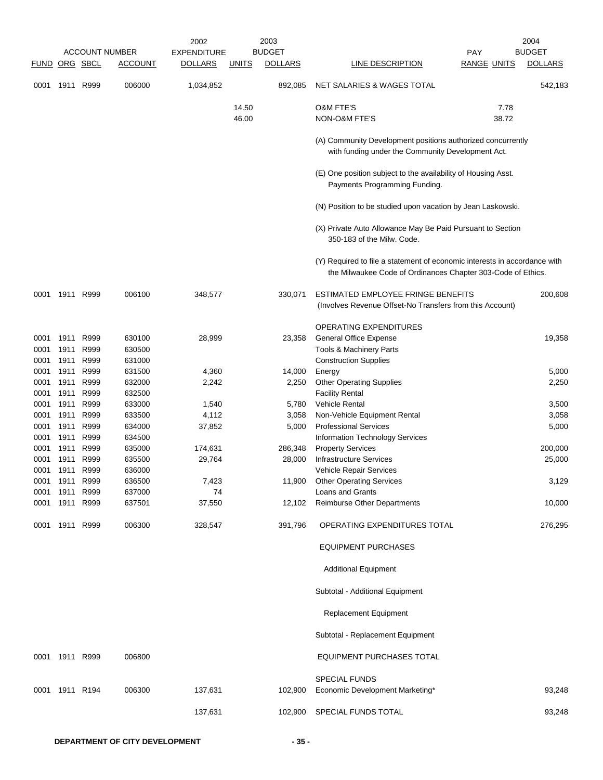|              |                |              | <b>ACCOUNT NUMBER</b> | 2002<br><b>EXPENDITURE</b> |                | 2003<br><b>BUDGET</b> |                                                                                                                                           | <b>PAY</b>         | 2004<br><b>BUDGET</b> |
|--------------|----------------|--------------|-----------------------|----------------------------|----------------|-----------------------|-------------------------------------------------------------------------------------------------------------------------------------------|--------------------|-----------------------|
| <b>FUND</b>  | ORG SBCL       |              | <b>ACCOUNT</b>        | <b>DOLLARS</b>             | <b>UNITS</b>   | <b>DOLLARS</b>        | LINE DESCRIPTION                                                                                                                          | <b>RANGE UNITS</b> | <b>DOLLARS</b>        |
| 0001         | 1911           | R999         | 006000                | 1,034,852                  |                | 892,085               | NET SALARIES & WAGES TOTAL                                                                                                                |                    | 542,183               |
|              |                |              |                       |                            | 14.50<br>46.00 |                       | <b>O&amp;M FTE'S</b><br>NON-O&M FTE'S                                                                                                     | 7.78<br>38.72      |                       |
|              |                |              |                       |                            |                |                       | (A) Community Development positions authorized concurrently<br>with funding under the Community Development Act.                          |                    |                       |
|              |                |              |                       |                            |                |                       | (E) One position subject to the availability of Housing Asst.<br>Payments Programming Funding.                                            |                    |                       |
|              |                |              |                       |                            |                |                       | (N) Position to be studied upon vacation by Jean Laskowski.                                                                               |                    |                       |
|              |                |              |                       |                            |                |                       | (X) Private Auto Allowance May Be Paid Pursuant to Section<br>350-183 of the Milw. Code.                                                  |                    |                       |
|              |                |              |                       |                            |                |                       | (Y) Required to file a statement of economic interests in accordance with<br>the Milwaukee Code of Ordinances Chapter 303-Code of Ethics. |                    |                       |
| 0001         | 1911           | R999         | 006100                | 348,577                    |                | 330,071               | ESTIMATED EMPLOYEE FRINGE BENEFITS<br>(Involves Revenue Offset-No Transfers from this Account)                                            |                    | 200,608               |
|              |                |              |                       |                            |                |                       | OPERATING EXPENDITURES                                                                                                                    |                    |                       |
| 0001<br>0001 | 1911<br>1911   | R999<br>R999 | 630100<br>630500      | 28,999                     |                | 23,358                | <b>General Office Expense</b><br>Tools & Machinery Parts                                                                                  |                    | 19,358                |
| 0001         | 1911           | R999         | 631000                |                            |                |                       | <b>Construction Supplies</b>                                                                                                              |                    |                       |
| 0001         | 1911           | R999         | 631500                | 4,360                      |                | 14,000                | Energy                                                                                                                                    |                    | 5,000                 |
| 0001         | 1911           | R999         | 632000                | 2,242                      |                | 2,250                 | <b>Other Operating Supplies</b>                                                                                                           |                    | 2,250                 |
| 0001         | 1911           | R999         | 632500                |                            |                |                       | <b>Facility Rental</b>                                                                                                                    |                    |                       |
| 0001         | 1911           | R999         | 633000                | 1,540                      |                | 5,780                 | <b>Vehicle Rental</b>                                                                                                                     |                    | 3,500                 |
| 0001         | 1911           | R999         | 633500                | 4,112                      |                | 3,058                 | Non-Vehicle Equipment Rental                                                                                                              |                    | 3,058                 |
| 0001         | 1911           | R999         | 634000                | 37,852                     |                | 5,000                 | <b>Professional Services</b>                                                                                                              |                    | 5,000                 |
| 0001<br>0001 | 1911<br>1911   | R999<br>R999 | 634500<br>635000      | 174,631                    |                | 286,348               | Information Technology Services<br><b>Property Services</b>                                                                               |                    | 200,000               |
| 0001         | 1911           | R999         | 635500                | 29,764                     |                | 28,000                | <b>Infrastructure Services</b>                                                                                                            |                    | 25,000                |
| 0001         | 1911           | R999         | 636000                |                            |                |                       | <b>Vehicle Repair Services</b>                                                                                                            |                    |                       |
| 0001         | 1911           | R999         | 636500                | 7,423                      |                | 11,900                | <b>Other Operating Services</b>                                                                                                           |                    | 3,129                 |
| 0001         | 1911           | R999         | 637000                | 74                         |                |                       | <b>Loans and Grants</b>                                                                                                                   |                    |                       |
| 0001         | 1911           | R999         | 637501                | 37,550                     |                | 12,102                | Reimburse Other Departments                                                                                                               |                    | 10,000                |
| 0001         | 1911 R999      |              | 006300                | 328,547                    |                | 391,796               | OPERATING EXPENDITURES TOTAL                                                                                                              |                    | 276,295               |
|              |                |              |                       |                            |                |                       | <b>EQUIPMENT PURCHASES</b>                                                                                                                |                    |                       |
|              |                |              |                       |                            |                |                       | <b>Additional Equipment</b>                                                                                                               |                    |                       |
|              |                |              |                       |                            |                |                       | Subtotal - Additional Equipment                                                                                                           |                    |                       |
|              |                |              |                       |                            |                |                       | Replacement Equipment                                                                                                                     |                    |                       |
|              |                |              |                       |                            |                |                       | Subtotal - Replacement Equipment                                                                                                          |                    |                       |
|              | 0001 1911 R999 |              | 006800                |                            |                |                       | EQUIPMENT PURCHASES TOTAL                                                                                                                 |                    |                       |
|              |                |              |                       |                            |                |                       | <b>SPECIAL FUNDS</b>                                                                                                                      |                    |                       |
|              | 0001 1911 R194 |              | 006300                | 137,631                    |                | 102,900               | Economic Development Marketing*                                                                                                           |                    | 93,248                |
|              |                |              |                       | 137,631                    |                | 102,900               | SPECIAL FUNDS TOTAL                                                                                                                       |                    | 93,248                |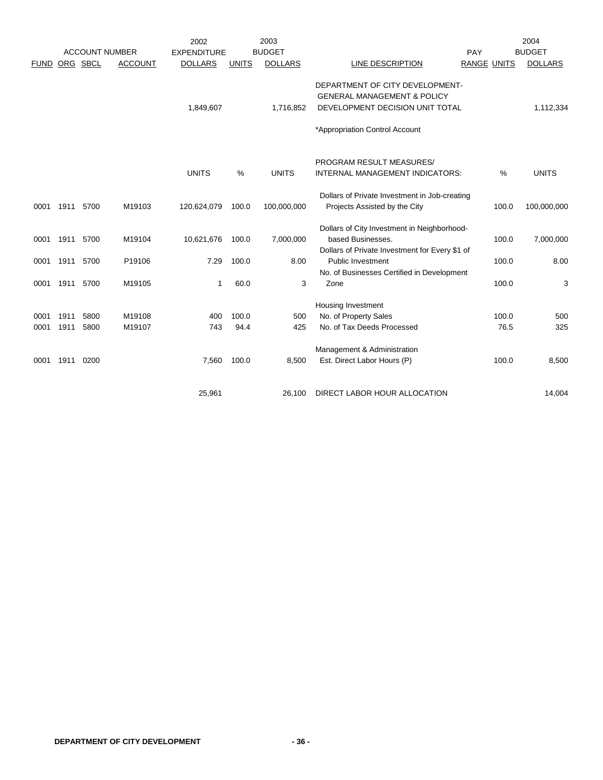|             |           | <b>ACCOUNT NUMBER</b> |                | 2002               |               | 2003<br><b>BUDGET</b> |                                                |             | 2004<br><b>BUDGET</b> |
|-------------|-----------|-----------------------|----------------|--------------------|---------------|-----------------------|------------------------------------------------|-------------|-----------------------|
|             |           |                       | <b>ACCOUNT</b> | <b>EXPENDITURE</b> |               |                       | <b>LINE DESCRIPTION</b>                        | PAY         |                       |
| <b>FUND</b> |           | ORG SBCL              |                | <b>DOLLARS</b>     | <b>UNITS</b>  | <b>DOLLARS</b>        |                                                | RANGE UNITS | <b>DOLLARS</b>        |
|             |           |                       |                |                    |               |                       | DEPARTMENT OF CITY DEVELOPMENT-                |             |                       |
|             |           |                       |                |                    |               |                       | <b>GENERAL MANAGEMENT &amp; POLICY</b>         |             |                       |
|             |           |                       |                | 1,849,607          |               | 1,716,852             | DEVELOPMENT DECISION UNIT TOTAL                |             | 1,112,334             |
|             |           |                       |                |                    |               |                       | *Appropriation Control Account                 |             |                       |
|             |           |                       |                |                    |               |                       |                                                |             |                       |
|             |           |                       |                |                    |               |                       | PROGRAM RESULT MEASURES/                       |             |                       |
|             |           |                       |                | <b>UNITS</b>       | $\frac{0}{0}$ | <b>UNITS</b>          | INTERNAL MANAGEMENT INDICATORS:                | $\%$        | <b>UNITS</b>          |
|             |           |                       |                |                    |               |                       | Dollars of Private Investment in Job-creating  |             |                       |
| 0001        | 1911 5700 |                       | M19103         | 120,624,079        | 100.0         | 100,000,000           | Projects Assisted by the City                  | 100.0       | 100,000,000           |
|             |           |                       |                |                    |               |                       | Dollars of City Investment in Neighborhood-    |             |                       |
| 0001        | 1911      | 5700                  | M19104         | 10,621,676         | 100.0         | 7,000,000             | based Businesses.                              | 100.0       | 7,000,000             |
|             |           |                       |                |                    |               |                       | Dollars of Private Investment for Every \$1 of |             |                       |
| 0001        | 1911      | 5700                  | P19106         | 7.29               | 100.0         | 8.00                  | <b>Public Investment</b>                       | 100.0       | 8.00                  |
|             |           |                       |                |                    |               |                       | No. of Businesses Certified in Development     |             |                       |
| 0001        | 1911      | 5700                  | M19105         | 1                  | 60.0          | 3                     | Zone                                           | 100.0       | 3                     |
|             |           |                       |                |                    |               |                       | <b>Housing Investment</b>                      |             |                       |
| 0001        | 1911      | 5800                  | M19108         | 400                | 100.0         | 500                   | No. of Property Sales                          | 100.0       | 500                   |
| 0001        | 1911      | 5800                  | M19107         | 743                | 94.4          | 425                   | No. of Tax Deeds Processed                     | 76.5        | 325                   |
|             |           |                       |                |                    |               |                       | Management & Administration                    |             |                       |
| 0001        | 1911      | 0200                  |                | 7,560              | 100.0         | 8,500                 | Est. Direct Labor Hours (P)                    | 100.0       | 8,500                 |
|             |           |                       |                |                    |               |                       |                                                |             |                       |
|             |           |                       |                | 25,961             |               | 26,100                | DIRECT LABOR HOUR ALLOCATION                   |             | 14,004                |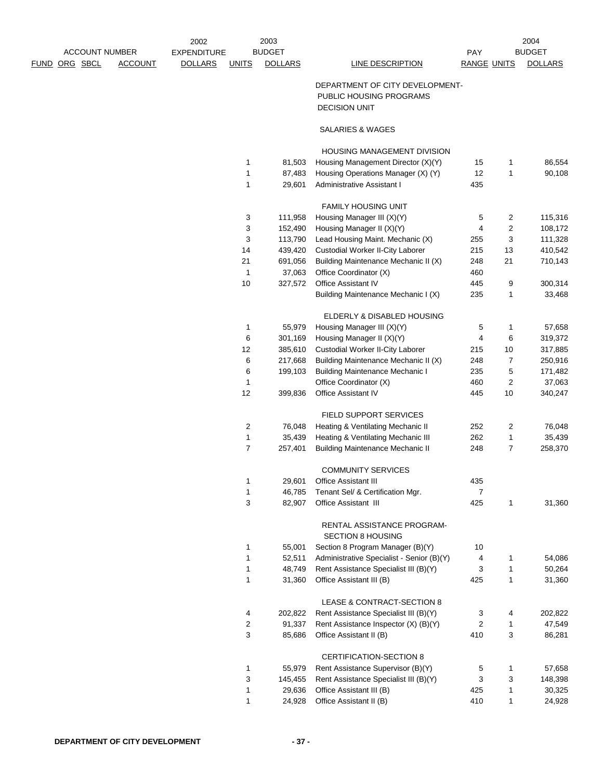| <b>ACCOUNT NUMBER</b> |                | 2002               |                | 2003<br><b>BUDGET</b> |                                                                                    |                    |              | 2004<br><b>BUDGET</b> |
|-----------------------|----------------|--------------------|----------------|-----------------------|------------------------------------------------------------------------------------|--------------------|--------------|-----------------------|
| ORG SBCL              |                | <b>EXPENDITURE</b> |                | <b>DOLLARS</b>        |                                                                                    | PAY                |              | <b>DOLLARS</b>        |
| FUND                  | <b>ACCOUNT</b> | <b>DOLLARS</b>     | <b>UNITS</b>   |                       | <b>LINE DESCRIPTION</b>                                                            | <b>RANGE UNITS</b> |              |                       |
|                       |                |                    |                |                       | DEPARTMENT OF CITY DEVELOPMENT-<br>PUBLIC HOUSING PROGRAMS<br><b>DECISION UNIT</b> |                    |              |                       |
|                       |                |                    |                |                       | SALARIES & WAGES                                                                   |                    |              |                       |
|                       |                |                    |                |                       | <b>HOUSING MANAGEMENT DIVISION</b>                                                 |                    |              |                       |
|                       |                |                    | 1              | 81,503                | Housing Management Director (X)(Y)                                                 | 15                 | 1            | 86,554                |
|                       |                |                    | 1              | 87,483                | Housing Operations Manager (X) (Y)                                                 | 12                 | 1            | 90,108                |
|                       |                |                    | 1              | 29,601                | Administrative Assistant I                                                         | 435                |              |                       |
|                       |                |                    |                |                       | <b>FAMILY HOUSING UNIT</b>                                                         |                    |              |                       |
|                       |                |                    | 3              | 111,958               | Housing Manager III (X)(Y)                                                         | 5                  | 2            | 115,316               |
|                       |                |                    | 3              | 152,490               | Housing Manager II (X)(Y)                                                          | 4                  | 2            | 108,172               |
|                       |                |                    | 3              | 113,790               | Lead Housing Maint. Mechanic (X)                                                   | 255                | 3            | 111,328               |
|                       |                |                    | 14             | 439,420               | <b>Custodial Worker II-City Laborer</b>                                            | 215                | 13           | 410,542               |
|                       |                |                    | 21             | 691,056               | Building Maintenance Mechanic II (X)                                               | 248                | 21           | 710,143               |
|                       |                |                    | $\mathbf{1}$   | 37,063                | Office Coordinator (X)                                                             | 460                |              |                       |
|                       |                |                    | $10$           | 327,572               | Office Assistant IV                                                                | 445                | 9            | 300,314               |
|                       |                |                    |                |                       | Building Maintenance Mechanic I (X)                                                | 235                | 1            | 33,468                |
|                       |                |                    |                |                       | ELDERLY & DISABLED HOUSING                                                         |                    |              |                       |
|                       |                |                    | 1              | 55,979                | Housing Manager III (X)(Y)                                                         | 5                  | 1            | 57,658                |
|                       |                |                    | 6              | 301,169               | Housing Manager II (X)(Y)                                                          | 4                  | 6            | 319,372               |
|                       |                |                    | 12             | 385,610               | <b>Custodial Worker II-City Laborer</b>                                            | 215                | 10           | 317,885               |
|                       |                |                    | 6              | 217,668               | Building Maintenance Mechanic II (X)                                               | 248                | 7            | 250,916               |
|                       |                |                    | 6              | 199,103               | <b>Building Maintenance Mechanic I</b>                                             | 235                | 5            | 171,482               |
|                       |                |                    | 1              |                       | Office Coordinator (X)                                                             | 460                | 2            | 37,063                |
|                       |                |                    | 12             | 399,836               | Office Assistant IV                                                                | 445                | 10           | 340,247               |
|                       |                |                    |                |                       | FIELD SUPPORT SERVICES                                                             |                    |              |                       |
|                       |                |                    | 2              | 76,048                | Heating & Ventilating Mechanic II                                                  | 252                | 2            | 76,048                |
|                       |                |                    | $\mathbf{1}$   | 35,439                | Heating & Ventilating Mechanic III                                                 | 262                | $\mathbf{1}$ | 35,439                |
|                       |                |                    | $\overline{7}$ | 257,401               | <b>Building Maintenance Mechanic II</b>                                            | 248                | 7            | 258,370               |
|                       |                |                    |                |                       | <b>COMMUNITY SERVICES</b>                                                          |                    |              |                       |
|                       |                |                    | 1              | 29,601                | Office Assistant III                                                               | 435                |              |                       |
|                       |                |                    | $\mathbf{1}$   | 46,785                | Tenant Sel/ & Certification Mgr.                                                   | $\overline{7}$     |              |                       |
|                       |                |                    | 3              | 82,907                | <b>Office Assistant III</b>                                                        | 425                | 1            | 31,360                |
|                       |                |                    |                |                       | RENTAL ASSISTANCE PROGRAM-<br><b>SECTION 8 HOUSING</b>                             |                    |              |                       |
|                       |                |                    | 1              | 55,001                | Section 8 Program Manager (B)(Y)                                                   | 10                 |              |                       |
|                       |                |                    | 1              | 52,511                | Administrative Specialist - Senior (B)(Y)                                          | 4                  | 1            | 54,086                |
|                       |                |                    | 1              | 48,749                | Rent Assistance Specialist III (B)(Y)                                              | 3                  | 1            | 50,264                |
|                       |                |                    | $\mathbf{1}$   | 31,360                | Office Assistant III (B)                                                           | 425                | 1            | 31,360                |
|                       |                |                    |                |                       | LEASE & CONTRACT-SECTION 8                                                         |                    |              |                       |
|                       |                |                    | 4              | 202,822               | Rent Assistance Specialist III (B)(Y)                                              | 3                  | 4            | 202,822               |
|                       |                |                    | 2              | 91,337                | Rent Assistance Inspector (X) (B)(Y)                                               | $\boldsymbol{2}$   | 1            | 47,549                |
|                       |                |                    | 3              | 85,686                | Office Assistant II (B)                                                            | 410                | 3            | 86,281                |
|                       |                |                    |                |                       | CERTIFICATION-SECTION 8                                                            |                    |              |                       |
|                       |                |                    | 1              | 55,979                | Rent Assistance Supervisor (B)(Y)                                                  | 5                  | 1            | 57,658                |
|                       |                |                    | 3              | 145,455               | Rent Assistance Specialist III (B)(Y)                                              | 3                  | 3            | 148,398               |
|                       |                |                    | $\mathbf{1}$   | 29,636                | Office Assistant III (B)                                                           | 425                | 1            | 30,325                |
|                       |                |                    | 1              | 24,928                | Office Assistant II (B)                                                            | 410                | 1            | 24,928                |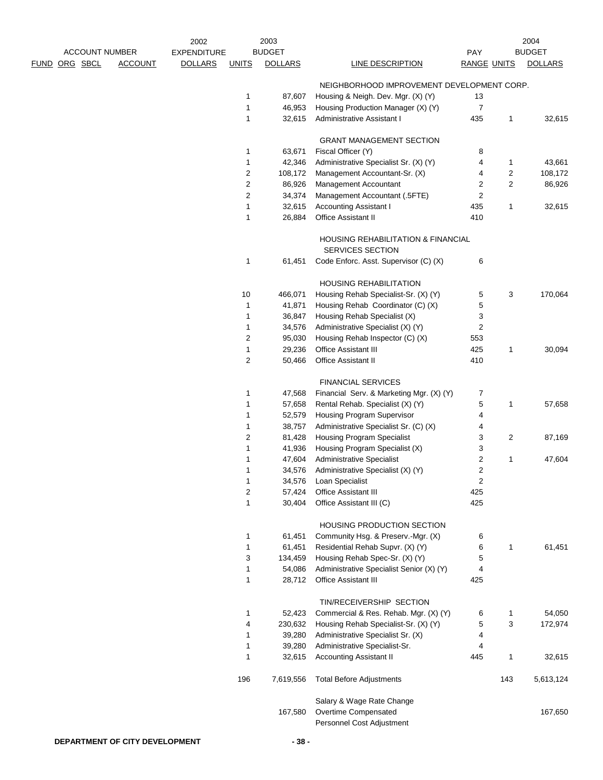| <b>ACCOUNT NUMBER</b> |                | 2002<br><b>EXPENDITURE</b> |                | 2003<br><b>BUDGET</b> |                                                                   | PAY                |                         | 2004<br><b>BUDGET</b> |
|-----------------------|----------------|----------------------------|----------------|-----------------------|-------------------------------------------------------------------|--------------------|-------------------------|-----------------------|
| <u>FUND ORG SBCL</u>  | <b>ACCOUNT</b> | <b>DOLLARS</b>             | <b>UNITS</b>   | <b>DOLLARS</b>        | <b>LINE DESCRIPTION</b>                                           | <b>RANGE UNITS</b> |                         | <b>DOLLARS</b>        |
|                       |                |                            |                |                       | NEIGHBORHOOD IMPROVEMENT DEVELOPMENT CORP.                        |                    |                         |                       |
|                       |                |                            | 1              | 87,607                | Housing & Neigh. Dev. Mgr. (X) (Y)                                | 13                 |                         |                       |
|                       |                |                            | 1              | 46,953                | Housing Production Manager (X) (Y)                                | $\overline{7}$     |                         |                       |
|                       |                |                            | 1              | 32,615                | Administrative Assistant I                                        | 435                | $\mathbf{1}$            | 32,615                |
|                       |                |                            |                |                       | <b>GRANT MANAGEMENT SECTION</b>                                   |                    |                         |                       |
|                       |                |                            | 1              | 63,671                | Fiscal Officer (Y)                                                | 8                  |                         |                       |
|                       |                |                            | 1              | 42,346                | Administrative Specialist Sr. (X) (Y)                             | 4                  | 1                       | 43,661                |
|                       |                |                            | 2              | 108,172               | Management Accountant-Sr. (X)                                     | 4                  | $\overline{c}$          | 108,172               |
|                       |                |                            | $\overline{c}$ | 86,926                | Management Accountant                                             | 2                  | $\overline{\mathbf{c}}$ | 86,926                |
|                       |                |                            | $\overline{c}$ | 34,374                | Management Accountant (.5FTE)                                     | 2                  |                         |                       |
|                       |                |                            | 1              | 32,615                | <b>Accounting Assistant I</b>                                     | 435                | $\mathbf{1}$            | 32,615                |
|                       |                |                            | 1              | 26,884                | Office Assistant II                                               | 410                |                         |                       |
|                       |                |                            |                |                       | <b>HOUSING REHABILITATION &amp; FINANCIAL</b><br>SERVICES SECTION |                    |                         |                       |
|                       |                |                            | 1              | 61,451                | Code Enforc. Asst. Supervisor (C) (X)                             | 6                  |                         |                       |
|                       |                |                            |                |                       | <b>HOUSING REHABILITATION</b>                                     |                    |                         |                       |
|                       |                |                            | 10             | 466,071               | Housing Rehab Specialist-Sr. (X) (Y)                              | 5                  | 3                       | 170,064               |
|                       |                |                            | $\mathbf{1}$   | 41,871                | Housing Rehab Coordinator (C) (X)                                 | 5                  |                         |                       |
|                       |                |                            | 1              | 36,847                | Housing Rehab Specialist (X)                                      | 3                  |                         |                       |
|                       |                |                            | 1              | 34,576                | Administrative Specialist (X) (Y)                                 | 2                  |                         |                       |
|                       |                |                            | 2              | 95,030                | Housing Rehab Inspector (C) (X)                                   | 553                |                         |                       |
|                       |                |                            | 1              | 29,236                | Office Assistant III                                              | 425                | 1                       | 30,094                |
|                       |                |                            | $\overline{c}$ | 50,466                | <b>Office Assistant II</b>                                        | 410                |                         |                       |
|                       |                |                            |                |                       | <b>FINANCIAL SERVICES</b>                                         |                    |                         |                       |
|                       |                |                            | 1              | 47,568                | Financial Serv. & Marketing Mgr. (X) (Y)                          | 7                  |                         |                       |
|                       |                |                            | 1              | 57,658                | Rental Rehab. Specialist (X) (Y)                                  | 5                  | 1                       | 57,658                |
|                       |                |                            | 1              | 52,579                | Housing Program Supervisor                                        | 4                  |                         |                       |
|                       |                |                            | 1              | 38,757                | Administrative Specialist Sr. (C) (X)                             | 4                  |                         |                       |
|                       |                |                            | $\overline{c}$ | 81,428                | <b>Housing Program Specialist</b>                                 | 3                  | $\overline{2}$          | 87,169                |
|                       |                |                            | 1              | 41,936                | Housing Program Specialist (X)                                    | 3                  |                         |                       |
|                       |                |                            | 1              | 47,604                | <b>Administrative Specialist</b>                                  | 2                  | 1                       | 47,604                |
|                       |                |                            | 1              | 34,576                | Administrative Specialist (X) (Y)                                 | 2                  |                         |                       |
|                       |                |                            | 1              | 34,576                | Loan Specialist                                                   | 2                  |                         |                       |
|                       |                |                            | $\overline{c}$ | 57,424                | Office Assistant III                                              | 425                |                         |                       |
|                       |                |                            | $\mathbf{1}$   | 30,404                | Office Assistant III (C)                                          | 425                |                         |                       |
|                       |                |                            |                |                       | HOUSING PRODUCTION SECTION                                        |                    |                         |                       |
|                       |                |                            | 1              | 61,451                | Community Hsg. & Preserv.-Mgr. (X)                                | 6                  |                         |                       |
|                       |                |                            | 1              | 61,451                | Residential Rehab Supvr. (X) (Y)                                  | 6                  | 1                       | 61,451                |
|                       |                |                            | 3              | 134,459               | Housing Rehab Spec-Sr. (X) (Y)                                    | 5                  |                         |                       |
|                       |                |                            | 1              | 54,086                | Administrative Specialist Senior (X) (Y)                          | 4                  |                         |                       |
|                       |                |                            | 1              | 28,712                | Office Assistant III                                              | 425                |                         |                       |
|                       |                |                            |                |                       | TIN/RECEIVERSHIP SECTION                                          |                    |                         |                       |
|                       |                |                            | $\mathbf{1}$   | 52,423                | Commercial & Res. Rehab. Mgr. (X) (Y)                             | 6                  | 1                       | 54,050                |
|                       |                |                            | 4              | 230,632               | Housing Rehab Specialist-Sr. (X) (Y)                              | 5                  | 3                       | 172,974               |
|                       |                |                            | 1              | 39,280                | Administrative Specialist Sr. (X)                                 | 4                  |                         |                       |
|                       |                |                            | 1              | 39,280                | Administrative Specialist-Sr.                                     | 4                  |                         |                       |
|                       |                |                            | 1              | 32,615                | <b>Accounting Assistant II</b>                                    | 445                | $\mathbf{1}$            | 32,615                |
|                       |                |                            | 196            | 7,619,556             | <b>Total Before Adjustments</b>                                   |                    | 143                     | 5,613,124             |
|                       |                |                            |                |                       | Salary & Wage Rate Change                                         |                    |                         |                       |
|                       |                |                            |                | 167,580               | Overtime Compensated                                              |                    |                         | 167,650               |
|                       |                |                            |                |                       | Personnel Cost Adjustment                                         |                    |                         |                       |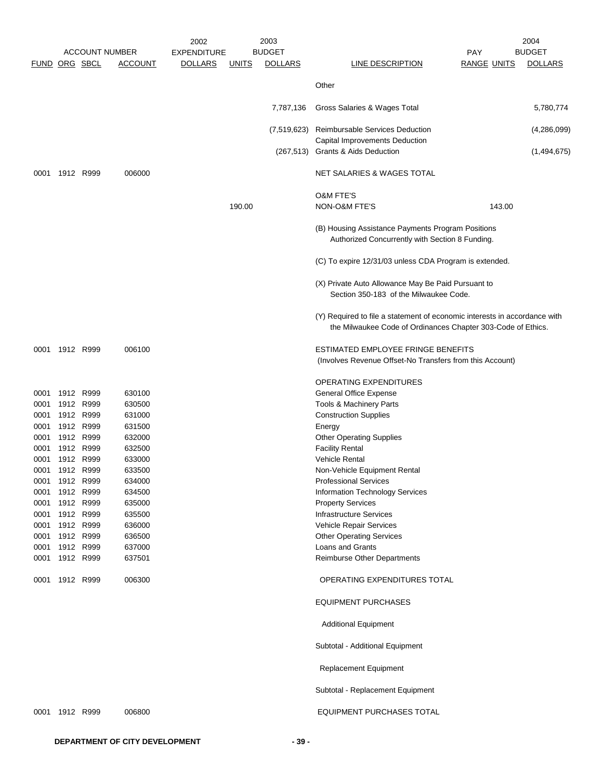|                      |           |                       |                  | 2002               |              | 2003           |                                                                                                                                           |                    | 2004           |
|----------------------|-----------|-----------------------|------------------|--------------------|--------------|----------------|-------------------------------------------------------------------------------------------------------------------------------------------|--------------------|----------------|
|                      |           | <b>ACCOUNT NUMBER</b> |                  | <b>EXPENDITURE</b> |              | <b>BUDGET</b>  |                                                                                                                                           | PAY                | <b>BUDGET</b>  |
| <b>FUND ORG SBCL</b> |           |                       | <b>ACCOUNT</b>   | <b>DOLLARS</b>     | <u>UNITS</u> | <b>DOLLARS</b> | <b>LINE DESCRIPTION</b>                                                                                                                   | <b>RANGE UNITS</b> | <b>DOLLARS</b> |
|                      |           |                       |                  |                    |              |                | Other                                                                                                                                     |                    |                |
|                      |           |                       |                  |                    |              | 7,787,136      | Gross Salaries & Wages Total                                                                                                              |                    | 5,780,774      |
|                      |           |                       |                  |                    |              | (7,519,623)    | Reimbursable Services Deduction                                                                                                           |                    | (4,286,099)    |
|                      |           |                       |                  |                    |              |                | Capital Improvements Deduction<br>(267,513) Grants & Aids Deduction                                                                       |                    | (1,494,675)    |
| 0001                 | 1912 R999 |                       | 006000           |                    |              |                | NET SALARIES & WAGES TOTAL                                                                                                                |                    |                |
|                      |           |                       |                  |                    |              |                | <b>O&amp;M FTE'S</b>                                                                                                                      |                    |                |
|                      |           |                       |                  |                    | 190.00       |                | NON-O&M FTE'S                                                                                                                             | 143.00             |                |
|                      |           |                       |                  |                    |              |                | (B) Housing Assistance Payments Program Positions<br>Authorized Concurrently with Section 8 Funding.                                      |                    |                |
|                      |           |                       |                  |                    |              |                | (C) To expire 12/31/03 unless CDA Program is extended.                                                                                    |                    |                |
|                      |           |                       |                  |                    |              |                | (X) Private Auto Allowance May Be Paid Pursuant to<br>Section 350-183 of the Milwaukee Code.                                              |                    |                |
|                      |           |                       |                  |                    |              |                | (Y) Required to file a statement of economic interests in accordance with<br>the Milwaukee Code of Ordinances Chapter 303-Code of Ethics. |                    |                |
| 0001                 | 1912 R999 |                       | 006100           |                    |              |                | ESTIMATED EMPLOYEE FRINGE BENEFITS<br>(Involves Revenue Offset-No Transfers from this Account)                                            |                    |                |
|                      |           |                       |                  |                    |              |                | OPERATING EXPENDITURES                                                                                                                    |                    |                |
| 0001                 | 1912 R999 |                       | 630100           |                    |              |                | General Office Expense                                                                                                                    |                    |                |
| 0001                 | 1912 R999 |                       | 630500           |                    |              |                | Tools & Machinery Parts                                                                                                                   |                    |                |
| 0001                 | 1912 R999 |                       | 631000           |                    |              |                | <b>Construction Supplies</b>                                                                                                              |                    |                |
| 0001                 | 1912 R999 |                       | 631500           |                    |              |                | Energy                                                                                                                                    |                    |                |
| 0001                 | 1912 R999 |                       | 632000           |                    |              |                | <b>Other Operating Supplies</b>                                                                                                           |                    |                |
| 0001                 | 1912 R999 |                       | 632500           |                    |              |                | <b>Facility Rental</b>                                                                                                                    |                    |                |
| 0001                 |           | 1912 R999             | 633000<br>633500 |                    |              |                | <b>Vehicle Rental</b>                                                                                                                     |                    |                |
| 0001<br>0001         | 1912 R999 | 1912 R999             | 634000           |                    |              |                | Non-Vehicle Equipment Rental<br><b>Professional Services</b>                                                                              |                    |                |
| 0001                 | 1912 R999 |                       | 634500           |                    |              |                | <b>Information Technology Services</b>                                                                                                    |                    |                |
| 0001                 | 1912 R999 |                       | 635000           |                    |              |                | <b>Property Services</b>                                                                                                                  |                    |                |
| 0001                 | 1912 R999 |                       | 635500           |                    |              |                | <b>Infrastructure Services</b>                                                                                                            |                    |                |
| 0001                 | 1912 R999 |                       | 636000           |                    |              |                | Vehicle Repair Services                                                                                                                   |                    |                |
| 0001                 | 1912 R999 |                       | 636500           |                    |              |                | <b>Other Operating Services</b>                                                                                                           |                    |                |
| 0001                 | 1912 R999 |                       | 637000           |                    |              |                | Loans and Grants                                                                                                                          |                    |                |
| 0001                 | 1912 R999 |                       | 637501           |                    |              |                | Reimburse Other Departments                                                                                                               |                    |                |
| 0001                 | 1912 R999 |                       | 006300           |                    |              |                | OPERATING EXPENDITURES TOTAL                                                                                                              |                    |                |
|                      |           |                       |                  |                    |              |                | <b>EQUIPMENT PURCHASES</b>                                                                                                                |                    |                |
|                      |           |                       |                  |                    |              |                | <b>Additional Equipment</b>                                                                                                               |                    |                |
|                      |           |                       |                  |                    |              |                | Subtotal - Additional Equipment                                                                                                           |                    |                |
|                      |           |                       |                  |                    |              |                | Replacement Equipment                                                                                                                     |                    |                |
|                      |           |                       |                  |                    |              |                | Subtotal - Replacement Equipment                                                                                                          |                    |                |
| 0001                 | 1912 R999 |                       | 006800           |                    |              |                | EQUIPMENT PURCHASES TOTAL                                                                                                                 |                    |                |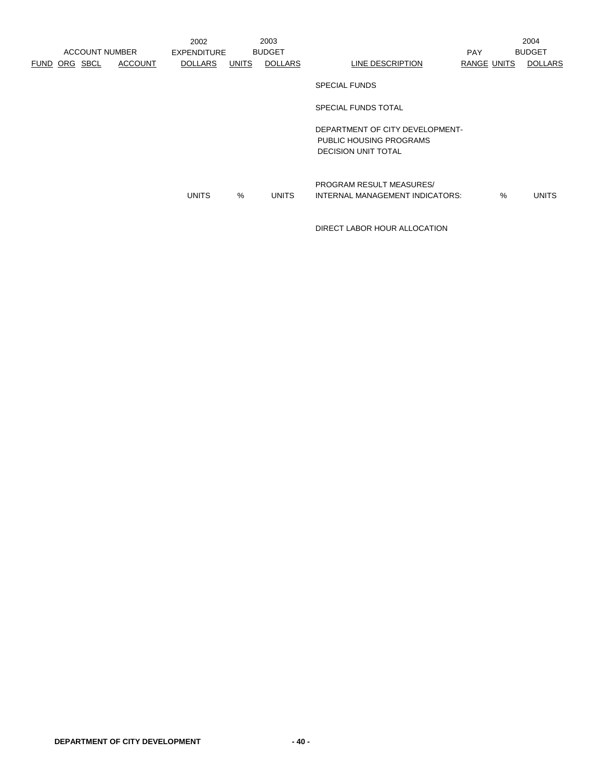|                      | <b>ACCOUNT NUMBER</b> |                | 2002<br><b>EXPENDITURE</b> |       | 2003<br><b>BUDGET</b> |                                                                                          | <b>PAY</b>         |   | 2004<br><b>BUDGET</b> |
|----------------------|-----------------------|----------------|----------------------------|-------|-----------------------|------------------------------------------------------------------------------------------|--------------------|---|-----------------------|
| <b>FUND ORG SBCL</b> |                       | <b>ACCOUNT</b> | <b>DOLLARS</b>             | UNITS | <b>DOLLARS</b>        | LINE DESCRIPTION                                                                         | <b>RANGE UNITS</b> |   | <b>DOLLARS</b>        |
|                      |                       |                |                            |       |                       | <b>SPECIAL FUNDS</b>                                                                     |                    |   |                       |
|                      |                       |                |                            |       |                       | SPECIAL FUNDS TOTAL                                                                      |                    |   |                       |
|                      |                       |                |                            |       |                       | DEPARTMENT OF CITY DEVELOPMENT-<br>PUBLIC HOUSING PROGRAMS<br><b>DECISION UNIT TOTAL</b> |                    |   |                       |
|                      |                       |                | <b>UNITS</b>               | %     | <b>UNITS</b>          | <b>PROGRAM RESULT MEASURES/</b><br>INTERNAL MANAGEMENT INDICATORS:                       |                    | % | <b>UNITS</b>          |

DIRECT LABOR HOUR ALLOCATION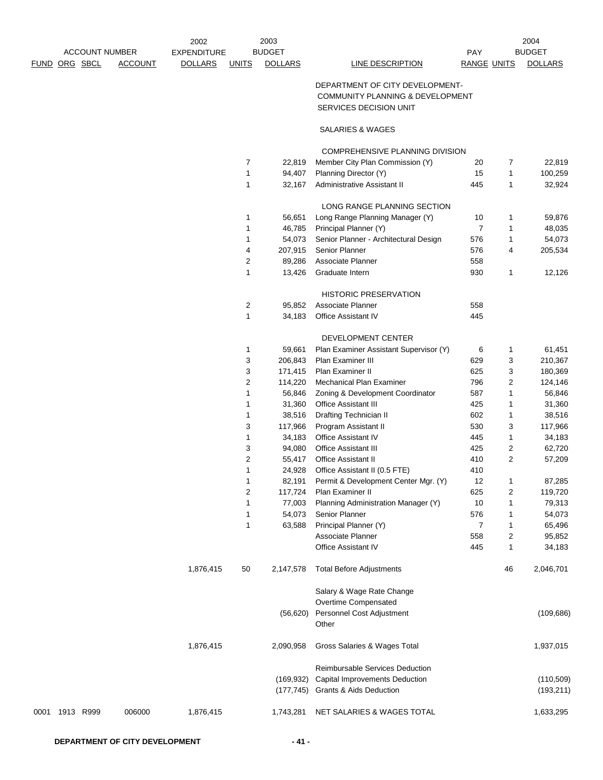|                   |                       |                | 2003<br>2002<br><b>BUDGET</b> |                |                |                                        | 2004               |    |                |
|-------------------|-----------------------|----------------|-------------------------------|----------------|----------------|----------------------------------------|--------------------|----|----------------|
|                   | <b>ACCOUNT NUMBER</b> |                | <b>EXPENDITURE</b>            |                |                |                                        | PAY                |    | <b>BUDGET</b>  |
| FUND ORG SBCL     |                       | <b>ACCOUNT</b> | <b>DOLLARS</b>                | <b>UNITS</b>   | <b>DOLLARS</b> | LINE DESCRIPTION                       | <b>RANGE UNITS</b> |    | <b>DOLLARS</b> |
|                   |                       |                |                               |                |                | DEPARTMENT OF CITY DEVELOPMENT-        |                    |    |                |
|                   |                       |                |                               |                |                | COMMUNITY PLANNING & DEVELOPMENT       |                    |    |                |
|                   |                       |                |                               |                |                | SERVICES DECISION UNIT                 |                    |    |                |
|                   |                       |                |                               |                |                | <b>SALARIES &amp; WAGES</b>            |                    |    |                |
|                   |                       |                |                               |                |                | COMPREHENSIVE PLANNING DIVISION        |                    |    |                |
|                   |                       |                |                               | $\overline{7}$ | 22,819         | Member City Plan Commission (Y)        | 20                 | 7  | 22,819         |
|                   |                       |                |                               | $\mathbf{1}$   | 94,407         | Planning Director (Y)                  | 15                 | 1  | 100,259        |
|                   |                       |                |                               | 1              | 32,167         | Administrative Assistant II            | 445                | 1  | 32,924         |
|                   |                       |                |                               |                |                | LONG RANGE PLANNING SECTION            |                    |    |                |
|                   |                       |                |                               | 1              | 56,651         | Long Range Planning Manager (Y)        | 10                 | 1  | 59,876         |
|                   |                       |                |                               | 1              | 46,785         | Principal Planner (Y)                  | 7                  | 1  | 48,035         |
|                   |                       |                |                               | 1              | 54,073         | Senior Planner - Architectural Design  | 576                | 1  | 54,073         |
|                   |                       |                |                               | 4              | 207,915        | Senior Planner                         | 576                | 4  | 205,534        |
|                   |                       |                |                               | 2              | 89,286         | Associate Planner                      | 558                |    |                |
|                   |                       |                |                               | $\mathbf{1}$   | 13,426         | Graduate Intern                        | 930                | 1  | 12,126         |
|                   |                       |                |                               |                |                | <b>HISTORIC PRESERVATION</b>           |                    |    |                |
|                   |                       |                |                               | 2              | 95,852         | Associate Planner                      | 558                |    |                |
|                   |                       |                |                               | 1              | 34,183         | Office Assistant IV                    | 445                |    |                |
|                   |                       |                |                               |                |                | DEVELOPMENT CENTER                     |                    |    |                |
|                   |                       |                |                               | 1              | 59,661         | Plan Examiner Assistant Supervisor (Y) | 6                  | 1  | 61,451         |
|                   |                       |                |                               | 3              | 206,843        | Plan Examiner III                      | 629                | 3  | 210,367        |
|                   |                       |                |                               | 3              | 171,415        | Plan Examiner II                       | 625                | 3  | 180,369        |
|                   |                       |                |                               | 2              | 114,220        | Mechanical Plan Examiner               | 796                | 2  | 124,146        |
|                   |                       |                |                               | $\mathbf{1}$   | 56,846         | Zoning & Development Coordinator       | 587                | 1  | 56,846         |
|                   |                       |                |                               | 1              | 31,360         | Office Assistant III                   | 425                | 1  | 31,360         |
|                   |                       |                |                               | 1              | 38,516         | <b>Drafting Technician II</b>          | 602                | 1  | 38,516         |
|                   |                       |                |                               | 3              | 117,966        | Program Assistant II                   | 530                | 3  | 117,966        |
|                   |                       |                |                               | 1              | 34,183         | Office Assistant IV                    | 445                | 1  | 34,183         |
|                   |                       |                |                               | 3              | 94,080         | Office Assistant III                   | 425                | 2  | 62,720         |
|                   |                       |                |                               | 2              | 55,417         | <b>Office Assistant II</b>             | 410                | 2  | 57,209         |
|                   |                       |                |                               | 1              | 24,928         | Office Assistant II (0.5 FTE)          | 410                |    |                |
|                   |                       |                |                               | 1              | 82,191         | Permit & Development Center Mgr. (Y)   | 12                 | 1  | 87,285         |
|                   |                       |                |                               | 2              | 117,724        | Plan Examiner II                       | 625                | 2  | 119,720        |
|                   |                       |                |                               | 1              | 77,003         | Planning Administration Manager (Y)    | 10                 | 1  | 79,313         |
|                   |                       |                |                               | 1              | 54,073         | Senior Planner                         | 576                | 1  | 54,073         |
|                   |                       |                |                               | 1              | 63,588         | Principal Planner (Y)                  | 7                  | 1  | 65,496         |
|                   |                       |                |                               |                |                | Associate Planner                      | 558                | 2  | 95,852         |
|                   |                       |                |                               |                |                | Office Assistant IV                    | 445                | 1  | 34,183         |
|                   |                       |                | 1,876,415                     | 50             | 2,147,578      | <b>Total Before Adjustments</b>        |                    | 46 | 2,046,701      |
|                   |                       |                |                               |                |                | Salary & Wage Rate Change              |                    |    |                |
|                   |                       |                |                               |                |                | Overtime Compensated                   |                    |    |                |
|                   |                       |                |                               |                | (56, 620)      | Personnel Cost Adjustment<br>Other     |                    |    | (109, 686)     |
|                   |                       |                | 1,876,415                     |                | 2,090,958      | Gross Salaries & Wages Total           |                    |    | 1,937,015      |
|                   |                       |                |                               |                |                | Reimbursable Services Deduction        |                    |    |                |
|                   |                       |                |                               |                | (169, 932)     | Capital Improvements Deduction         |                    |    | (110, 509)     |
|                   |                       |                |                               |                | (177, 745)     | <b>Grants &amp; Aids Deduction</b>     |                    |    | (193, 211)     |
| 1913 R999<br>0001 |                       | 006000         | 1,876,415                     |                | 1,743,281      | NET SALARIES & WAGES TOTAL             |                    |    | 1,633,295      |
|                   |                       |                |                               |                |                |                                        |                    |    |                |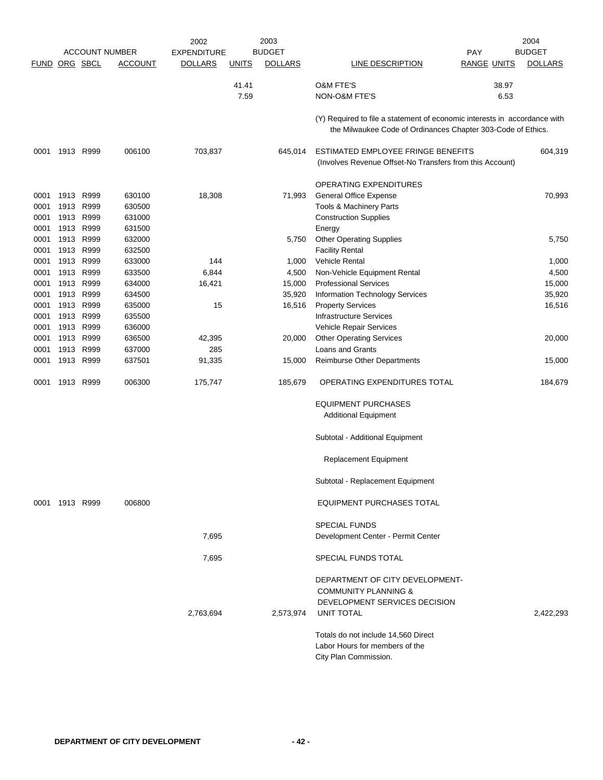|                      |                |              | <b>ACCOUNT NUMBER</b> | 2002<br><b>EXPENDITURE</b> |              | 2003<br><b>BUDGET</b> |                                                                                                                                           | <b>PAY</b>         | 2004<br><b>BUDGET</b> |
|----------------------|----------------|--------------|-----------------------|----------------------------|--------------|-----------------------|-------------------------------------------------------------------------------------------------------------------------------------------|--------------------|-----------------------|
| <b>FUND ORG SBCL</b> |                |              | <b>ACCOUNT</b>        | <b>DOLLARS</b>             | <b>UNITS</b> | <b>DOLLARS</b>        | <b>LINE DESCRIPTION</b>                                                                                                                   | <b>RANGE UNITS</b> | <b>DOLLARS</b>        |
|                      |                |              |                       |                            | 41.41        |                       | <b>O&amp;M FTE'S</b>                                                                                                                      | 38.97              |                       |
|                      |                |              |                       |                            | 7.59         |                       | NON-O&M FTE'S                                                                                                                             | 6.53               |                       |
|                      |                |              |                       |                            |              |                       |                                                                                                                                           |                    |                       |
|                      |                |              |                       |                            |              |                       | (Y) Required to file a statement of economic interests in accordance with<br>the Milwaukee Code of Ordinances Chapter 303-Code of Ethics. |                    |                       |
| 0001                 |                | 1913 R999    | 006100                | 703,837                    |              | 645,014               | ESTIMATED EMPLOYEE FRINGE BENEFITS<br>(Involves Revenue Offset-No Transfers from this Account)                                            |                    | 604,319               |
|                      |                |              |                       |                            |              |                       | <b>OPERATING EXPENDITURES</b>                                                                                                             |                    |                       |
| 0001                 | 1913           | R999         | 630100                | 18,308                     |              | 71,993                | General Office Expense                                                                                                                    |                    | 70,993                |
| 0001                 |                | 1913 R999    | 630500                |                            |              |                       | Tools & Machinery Parts                                                                                                                   |                    |                       |
| 0001                 | 1913           | R999         | 631000                |                            |              |                       | <b>Construction Supplies</b>                                                                                                              |                    |                       |
| 0001                 | 1913           | R999         | 631500                |                            |              |                       | Energy                                                                                                                                    |                    |                       |
| 0001                 | 1913           | R999         | 632000                |                            |              | 5,750                 | <b>Other Operating Supplies</b>                                                                                                           |                    | 5,750                 |
| 0001                 |                | 1913 R999    | 632500                |                            |              |                       | <b>Facility Rental</b>                                                                                                                    |                    |                       |
| 0001                 |                | 1913 R999    | 633000                | 144                        |              | 1,000                 | Vehicle Rental                                                                                                                            |                    | 1,000                 |
| 0001                 | 1913           | R999         | 633500                | 6,844                      |              | 4,500                 | Non-Vehicle Equipment Rental                                                                                                              |                    | 4,500                 |
| 0001<br>0001         | 1913<br>1913   | R999<br>R999 | 634000<br>634500      | 16,421                     |              | 15,000<br>35,920      | <b>Professional Services</b>                                                                                                              |                    | 15,000<br>35,920      |
| 0001                 | 1913           | R999         | 635000                | 15                         |              | 16,516                | Information Technology Services<br><b>Property Services</b>                                                                               |                    | 16,516                |
| 0001                 | 1913           | R999         | 635500                |                            |              |                       | <b>Infrastructure Services</b>                                                                                                            |                    |                       |
| 0001                 |                | 1913 R999    | 636000                |                            |              |                       | Vehicle Repair Services                                                                                                                   |                    |                       |
| 0001                 | 1913           | R999         | 636500                | 42,395                     |              | 20,000                | <b>Other Operating Services</b>                                                                                                           |                    | 20,000                |
| 0001                 | 1913           | R999         | 637000                | 285                        |              |                       | <b>Loans and Grants</b>                                                                                                                   |                    |                       |
| 0001                 |                | 1913 R999    | 637501                | 91,335                     |              | 15,000                | <b>Reimburse Other Departments</b>                                                                                                        |                    | 15,000                |
| 0001                 | 1913           | R999         | 006300                | 175,747                    |              | 185,679               | OPERATING EXPENDITURES TOTAL                                                                                                              |                    | 184,679               |
|                      |                |              |                       |                            |              |                       | <b>EQUIPMENT PURCHASES</b>                                                                                                                |                    |                       |
|                      |                |              |                       |                            |              |                       | <b>Additional Equipment</b>                                                                                                               |                    |                       |
|                      |                |              |                       |                            |              |                       | Subtotal - Additional Equipment                                                                                                           |                    |                       |
|                      |                |              |                       |                            |              |                       | <b>Replacement Equipment</b>                                                                                                              |                    |                       |
|                      |                |              |                       |                            |              |                       | Subtotal - Replacement Equipment                                                                                                          |                    |                       |
|                      | 0001 1913 R999 |              | 006800                |                            |              |                       | EQUIPMENT PURCHASES TOTAL                                                                                                                 |                    |                       |
|                      |                |              |                       |                            |              |                       | <b>SPECIAL FUNDS</b>                                                                                                                      |                    |                       |
|                      |                |              |                       | 7,695                      |              |                       | Development Center - Permit Center                                                                                                        |                    |                       |
|                      |                |              |                       | 7,695                      |              |                       | SPECIAL FUNDS TOTAL                                                                                                                       |                    |                       |
|                      |                |              |                       | 2,763,694                  |              | 2,573,974             | DEPARTMENT OF CITY DEVELOPMENT-<br><b>COMMUNITY PLANNING &amp;</b><br>DEVELOPMENT SERVICES DECISION<br><b>UNIT TOTAL</b>                  |                    | 2.422.293             |
|                      |                |              |                       |                            |              |                       | Totals do not include 14,560 Direct<br>Labor Hours for members of the<br>City Plan Commission.                                            |                    |                       |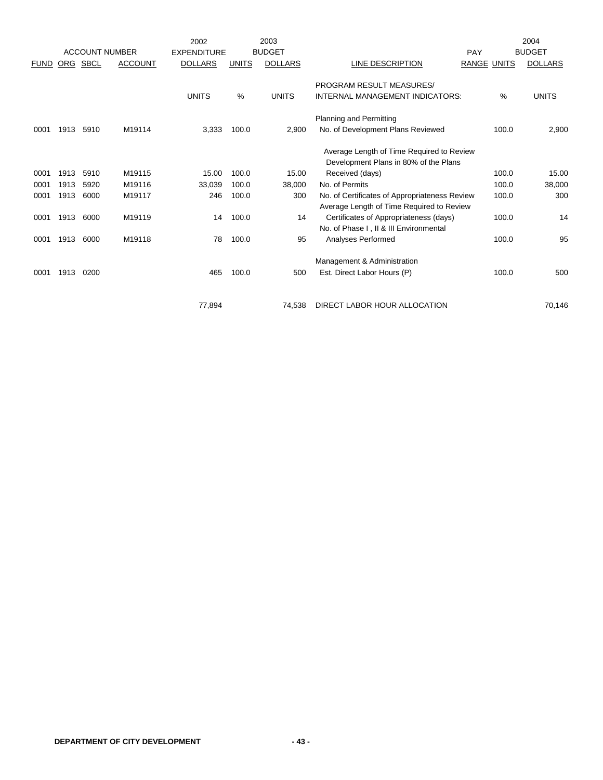|             |      |                       |                | 2002               |               | 2003           |                                                                                            |                    | 2004           |
|-------------|------|-----------------------|----------------|--------------------|---------------|----------------|--------------------------------------------------------------------------------------------|--------------------|----------------|
|             |      | <b>ACCOUNT NUMBER</b> |                | <b>EXPENDITURE</b> |               | <b>BUDGET</b>  |                                                                                            | PAY                | <b>BUDGET</b>  |
| <b>FUND</b> | ORG  | SBCL                  | <b>ACCOUNT</b> | <b>DOLLARS</b>     | <b>UNITS</b>  | <b>DOLLARS</b> | LINE DESCRIPTION                                                                           | <b>RANGE UNITS</b> | <b>DOLLARS</b> |
|             |      |                       |                |                    |               |                | <b>PROGRAM RESULT MEASURES/</b>                                                            |                    |                |
|             |      |                       |                | <b>UNITS</b>       | $\frac{0}{0}$ | <b>UNITS</b>   | INTERNAL MANAGEMENT INDICATORS:                                                            | %                  | <b>UNITS</b>   |
|             |      |                       |                |                    |               |                | Planning and Permitting                                                                    |                    |                |
| 0001        | 1913 | 5910                  | M19114         | 3,333              | 100.0         | 2,900          | No. of Development Plans Reviewed                                                          | 100.0              | 2,900          |
|             |      |                       |                |                    |               |                | Average Length of Time Required to Review                                                  |                    |                |
|             |      |                       |                |                    |               |                | Development Plans in 80% of the Plans                                                      |                    |                |
| 0001        | 1913 | 5910                  | M19115         | 15.00              | 100.0         | 15.00          | Received (days)                                                                            | 100.0              | 15.00          |
| 0001        | 1913 | 5920                  | M19116         | 33,039             | 100.0         | 38,000         | No. of Permits                                                                             | 100.0              | 38,000         |
| 0001        | 1913 | 6000                  | M19117         | 246                | 100.0         | 300            | No. of Certificates of Appropriateness Review<br>Average Length of Time Required to Review | 100.0              | 300            |
| 0001        | 1913 | 6000                  | M19119         | 14                 | 100.0         | 14             | Certificates of Appropriateness (days)                                                     | 100.0              | 14             |
|             |      |                       |                |                    |               |                | No. of Phase I, II & III Environmental                                                     |                    |                |
| 0001        | 1913 | 6000                  | M19118         | 78                 | 100.0         | 95             | Analyses Performed                                                                         | 100.0              | 95             |
|             |      |                       |                |                    |               |                | Management & Administration                                                                |                    |                |
| 0001        | 1913 | 0200                  |                | 465                | 100.0         | 500            | Est. Direct Labor Hours (P)                                                                | 100.0              | 500            |
|             |      |                       |                |                    |               |                |                                                                                            |                    |                |
|             |      |                       |                | 77,894             |               | 74,538         | DIRECT LABOR HOUR ALLOCATION                                                               |                    | 70,146         |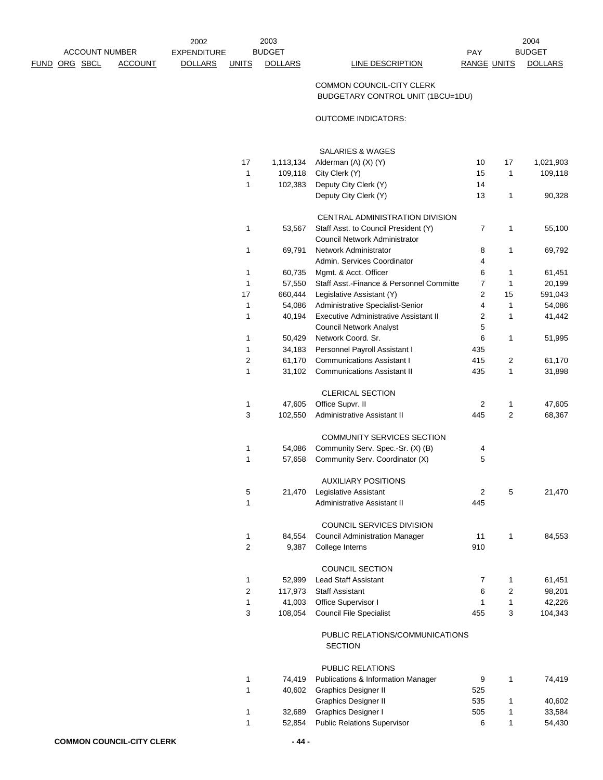2002 EXPENDITURE PAY ACCOUNT NUMBER FUND ORG SBCL ACCOUNT DOLLARS UNITS DOLLARS LINE DESCRIPTION RANGE UNITS DOLLARS 2003 2004

## PAY BUDGET

## COMMON COUNCIL-CITY CLERK BUDGETARY CONTROL UNIT (1BCU=1DU)

## OUTCOME INDICATORS:

|    |           | SALARIES & WAGES                             |                |                |           |
|----|-----------|----------------------------------------------|----------------|----------------|-----------|
| 17 | 1,113,134 | Alderman (A) (X) (Y)                         | 10             | 17             | 1,021,903 |
| 1  | 109,118   | City Clerk (Y)                               | 15             | 1              | 109,118   |
| 1  | 102,383   | Deputy City Clerk (Y)                        | 14             |                |           |
|    |           | Deputy City Clerk (Y)                        | 13             | 1              | 90,328    |
|    |           | CENTRAL ADMINISTRATION DIVISION              |                |                |           |
| 1  | 53,567    | Staff Asst. to Council President (Y)         | 7              | 1              | 55,100    |
|    |           | Council Network Administrator                |                |                |           |
| 1  | 69,791    | Network Administrator                        | 8              | 1              | 69,792    |
|    |           | Admin. Services Coordinator                  | 4              |                |           |
| 1  | 60,735    | Mgmt. & Acct. Officer                        | 6              | 1              | 61,451    |
| 1  | 57,550    | Staff Asst.-Finance & Personnel Committe     | 7              | 1              | 20,199    |
| 17 | 660,444   | Legislative Assistant (Y)                    | 2              | 15             | 591,043   |
| 1  | 54,086    | Administrative Specialist-Senior             | 4              | 1              | 54,086    |
| 1  | 40,194    | <b>Executive Administrative Assistant II</b> | 2              | 1              | 41,442    |
|    |           | <b>Council Network Analyst</b>               | 5              |                |           |
| 1  | 50,429    | Network Coord. Sr.                           | 6              | 1              | 51,995    |
| 1  | 34,183    | Personnel Payroll Assistant I                | 435            |                |           |
| 2  | 61,170    | <b>Communications Assistant I</b>            | 415            | 2              | 61,170    |
| 1  | 31,102    | <b>Communications Assistant II</b>           | 435            | 1              | 31,898    |
|    |           | <b>CLERICAL SECTION</b>                      |                |                |           |
| 1  | 47,605    | Office Supvr. II                             | 2              | 1              | 47,605    |
| 3  | 102,550   | Administrative Assistant II                  | 445            | $\overline{2}$ | 68,367    |
|    |           | COMMUNITY SERVICES SECTION                   |                |                |           |
| 1  | 54,086    | Community Serv. Spec.-Sr. (X) (B)            | 4              |                |           |
| 1  | 57,658    | Community Serv. Coordinator (X)              | 5              |                |           |
|    |           | <b>AUXILIARY POSITIONS</b>                   |                |                |           |
| 5  | 21,470    | Legislative Assistant                        | 2              | 5              | 21,470    |
| 1  |           | <b>Administrative Assistant II</b>           | 445            |                |           |
|    |           | COUNCIL SERVICES DIVISION                    |                |                |           |
| 1  | 84,554    | <b>Council Administration Manager</b>        | 11             | 1              | 84,553    |
| 2  | 9,387     | College Interns                              | 910            |                |           |
|    |           | COUNCIL SECTION                              |                |                |           |
| 1  | 52,999    | <b>Lead Staff Assistant</b>                  | $\overline{7}$ | 1              | 61,451    |
| 2  | 117,973   | <b>Staff Assistant</b>                       | 6              | 2              | 98,201    |
| 1  | 41,003    | Office Supervisor I                          | 1              | 1              | 42,226    |
| 3  | 108,054   | <b>Council File Specialist</b>               | 455            | 3              | 104,343   |
|    |           | PUBLIC RELATIONS/COMMUNICATIONS<br>SECTION   |                |                |           |
|    |           | PUBLIC RELATIONS                             |                |                |           |
|    |           | 74.419 Publications & Information Manager    | 9              |                | 74.419    |

| 74.419 |                                    | 9                                             | 74.419 |
|--------|------------------------------------|-----------------------------------------------|--------|
| 40.602 | Graphics Designer II               | 525                                           |        |
|        | <b>Graphics Designer II</b>        | 535                                           | 40.602 |
| 32.689 | <b>Graphics Designer I</b>         | 505                                           | 33.584 |
| 52.854 | <b>Public Relations Supervisor</b> |                                               | 54.430 |
|        |                                    | <b>Publications &amp; Information Manager</b> |        |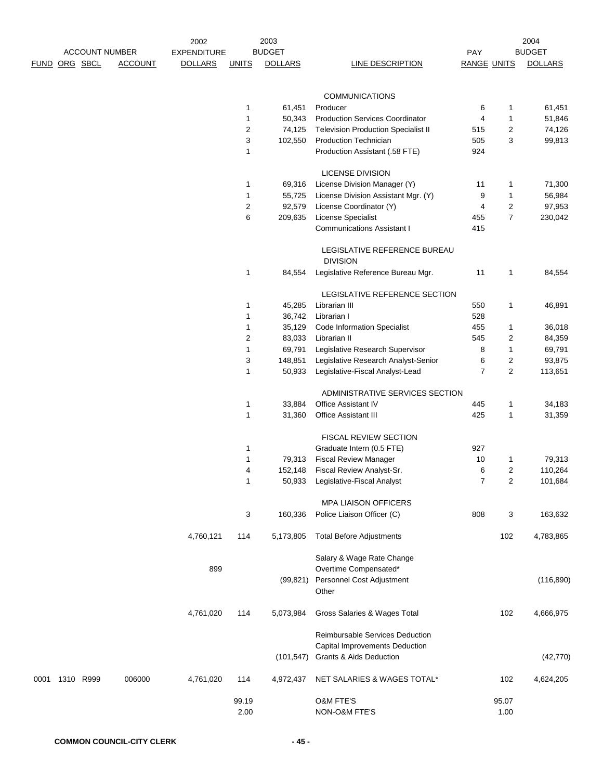|      |               |           |                                         | 2002               |              | 2003           |                                                                   |                           |                | 2004                            |
|------|---------------|-----------|-----------------------------------------|--------------------|--------------|----------------|-------------------------------------------------------------------|---------------------------|----------------|---------------------------------|
|      |               |           | <b>ACCOUNT NUMBER</b><br><b>ACCOUNT</b> | <b>EXPENDITURE</b> |              | <b>BUDGET</b>  | <b>LINE DESCRIPTION</b>                                           | PAY<br><b>RANGE UNITS</b> |                | <b>BUDGET</b><br><b>DOLLARS</b> |
|      | FUND ORG SBCL |           |                                         | <b>DOLLARS</b>     | <b>UNITS</b> | <b>DOLLARS</b> |                                                                   |                           |                |                                 |
|      |               |           |                                         |                    |              |                | <b>COMMUNICATIONS</b>                                             |                           |                |                                 |
|      |               |           |                                         |                    | 1            | 61,451         | Producer                                                          | 6                         | 1              | 61,451                          |
|      |               |           |                                         |                    | 1            | 50,343         | <b>Production Services Coordinator</b>                            | 4                         | 1              | 51,846                          |
|      |               |           |                                         |                    | 2            | 74,125         | <b>Television Production Specialist II</b>                        | 515                       | $\overline{c}$ | 74,126                          |
|      |               |           |                                         |                    | 3            | 102,550        | <b>Production Technician</b>                                      | 505                       | 3              | 99,813                          |
|      |               |           |                                         |                    | 1            |                | Production Assistant (.58 FTE)                                    | 924                       |                |                                 |
|      |               |           |                                         |                    |              |                | <b>LICENSE DIVISION</b>                                           |                           |                |                                 |
|      |               |           |                                         |                    | 1            | 69,316         | License Division Manager (Y)                                      | 11                        | 1              | 71,300                          |
|      |               |           |                                         |                    | 1            | 55,725         | License Division Assistant Mgr. (Y)                               | 9                         | 1              | 56,984                          |
|      |               |           |                                         |                    | 2            | 92,579         | License Coordinator (Y)                                           | $\overline{4}$            | $\overline{c}$ | 97,953                          |
|      |               |           |                                         |                    | 6            | 209,635        | License Specialist                                                | 455                       | $\overline{7}$ | 230,042                         |
|      |               |           |                                         |                    |              |                | <b>Communications Assistant I</b>                                 | 415                       |                |                                 |
|      |               |           |                                         |                    |              |                | LEGISLATIVE REFERENCE BUREAU<br><b>DIVISION</b>                   |                           |                |                                 |
|      |               |           |                                         |                    | 1            | 84,554         | Legislative Reference Bureau Mgr.                                 | 11                        | 1              | 84,554                          |
|      |               |           |                                         |                    |              |                | LEGISLATIVE REFERENCE SECTION                                     |                           |                |                                 |
|      |               |           |                                         |                    | 1            | 45,285         | Librarian III                                                     | 550                       | 1              | 46,891                          |
|      |               |           |                                         |                    | 1            | 36,742         | Librarian I                                                       | 528                       |                |                                 |
|      |               |           |                                         |                    | 1            | 35,129         | Code Information Specialist                                       | 455                       | 1              | 36,018                          |
|      |               |           |                                         |                    | 2            | 83,033         | Librarian II                                                      | 545                       | 2              | 84,359                          |
|      |               |           |                                         |                    | 1            | 69,791         | Legislative Research Supervisor                                   | 8                         | 1              | 69,791                          |
|      |               |           |                                         |                    | 3            | 148,851        | Legislative Research Analyst-Senior                               | 6                         | $\overline{c}$ | 93,875                          |
|      |               |           |                                         |                    | 1            | 50,933         | Legislative-Fiscal Analyst-Lead                                   | $\overline{7}$            | $\overline{c}$ | 113,651                         |
|      |               |           |                                         |                    |              |                | ADMINISTRATIVE SERVICES SECTION                                   |                           |                |                                 |
|      |               |           |                                         |                    | 1            | 33,884         | Office Assistant IV                                               | 445                       | 1              | 34,183                          |
|      |               |           |                                         |                    | 1            | 31,360         | Office Assistant III                                              | 425                       | 1              | 31,359                          |
|      |               |           |                                         |                    |              |                | FISCAL REVIEW SECTION                                             |                           |                |                                 |
|      |               |           |                                         |                    | 1            |                | Graduate Intern (0.5 FTE)                                         | 927                       |                |                                 |
|      |               |           |                                         |                    | 1            | 79,313         | <b>Fiscal Review Manager</b>                                      | 10                        | 1              | 79,313                          |
|      |               |           |                                         |                    | 4            | 152,148        | Fiscal Review Analyst-Sr.                                         | 6                         | $\overline{2}$ | 110,264                         |
|      |               |           |                                         |                    | 1            |                | 50,933 Legislative-Fiscal Analyst                                 | 7                         | 2              | 101,684                         |
|      |               |           |                                         |                    |              |                | <b>MPA LIAISON OFFICERS</b>                                       |                           |                |                                 |
|      |               |           |                                         |                    | 3            | 160,336        | Police Liaison Officer (C)                                        | 808                       | 3              | 163,632                         |
|      |               |           |                                         | 4,760,121          | 114          | 5,173,805      | <b>Total Before Adjustments</b>                                   |                           | 102            | 4,783,865                       |
|      |               |           |                                         | 899                |              |                | Salary & Wage Rate Change<br>Overtime Compensated*                |                           |                |                                 |
|      |               |           |                                         |                    |              | (99, 821)      | Personnel Cost Adjustment<br>Other                                |                           |                | (116, 890)                      |
|      |               |           |                                         | 4,761,020          | 114          | 5,073,984      | Gross Salaries & Wages Total                                      |                           | 102            | 4,666,975                       |
|      |               |           |                                         |                    |              |                | Reimbursable Services Deduction<br>Capital Improvements Deduction |                           |                |                                 |
|      |               |           |                                         |                    |              | (101, 547)     | Grants & Aids Deduction                                           |                           |                | (42, 770)                       |
| 0001 |               | 1310 R999 | 006000                                  | 4,761,020          | 114          | 4,972,437      | NET SALARIES & WAGES TOTAL*                                       |                           | 102            | 4,624,205                       |
|      |               |           |                                         |                    | 99.19        |                | <b>O&amp;M FTE'S</b>                                              |                           | 95.07          |                                 |
|      |               |           |                                         |                    | 2.00         |                | NON-O&M FTE'S                                                     |                           | 1.00           |                                 |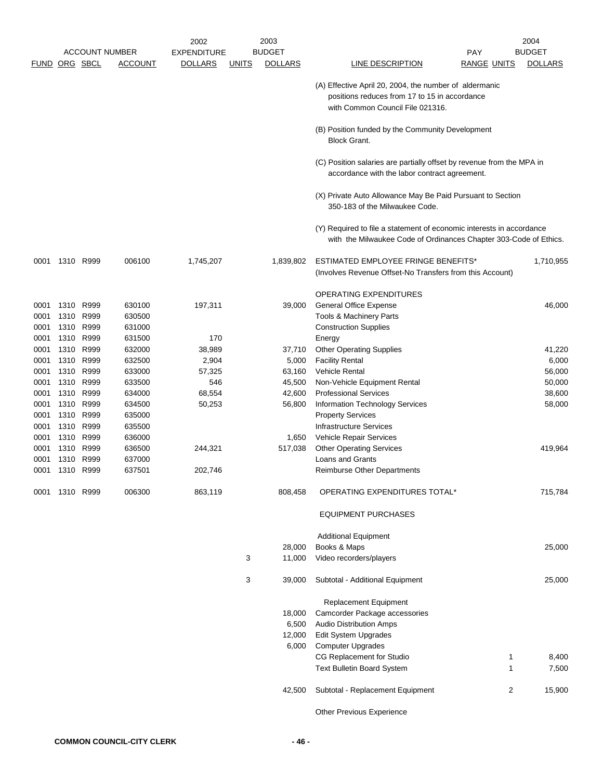|              |              |               |                       | 2002               |       | 2003             |                                                                                                                                             |                    | 2004            |
|--------------|--------------|---------------|-----------------------|--------------------|-------|------------------|---------------------------------------------------------------------------------------------------------------------------------------------|--------------------|-----------------|
|              |              |               | <b>ACCOUNT NUMBER</b> | <b>EXPENDITURE</b> |       | <b>BUDGET</b>    |                                                                                                                                             | <b>PAY</b>         | <b>BUDGET</b>   |
|              |              | FUND ORG SBCL | <b>ACCOUNT</b>        | <b>DOLLARS</b>     | UNITS | <b>DOLLARS</b>   | <b>LINE DESCRIPTION</b>                                                                                                                     | <b>RANGE UNITS</b> | <b>DOLLARS</b>  |
|              |              |               |                       |                    |       |                  | (A) Effective April 20, 2004, the number of aldermanic<br>positions reduces from 17 to 15 in accordance<br>with Common Council File 021316. |                    |                 |
|              |              |               |                       |                    |       |                  |                                                                                                                                             |                    |                 |
|              |              |               |                       |                    |       |                  | (B) Position funded by the Community Development<br><b>Block Grant.</b>                                                                     |                    |                 |
|              |              |               |                       |                    |       |                  | (C) Position salaries are partially offset by revenue from the MPA in<br>accordance with the labor contract agreement.                      |                    |                 |
|              |              |               |                       |                    |       |                  | (X) Private Auto Allowance May Be Paid Pursuant to Section<br>350-183 of the Milwaukee Code.                                                |                    |                 |
|              |              |               |                       |                    |       |                  | (Y) Required to file a statement of economic interests in accordance<br>with the Milwaukee Code of Ordinances Chapter 303-Code of Ethics.   |                    |                 |
| 0001         |              | 1310 R999     | 006100                | 1,745,207          |       | 1,839,802        | ESTIMATED EMPLOYEE FRINGE BENEFITS*<br>(Involves Revenue Offset-No Transfers from this Account)                                             |                    | 1,710,955       |
|              |              |               |                       |                    |       |                  | <b>OPERATING EXPENDITURES</b>                                                                                                               |                    |                 |
| 0001         |              | 1310 R999     | 630100                | 197,311            |       | 39,000           | <b>General Office Expense</b>                                                                                                               |                    | 46,000          |
| 0001         |              | 1310 R999     | 630500                |                    |       |                  | Tools & Machinery Parts                                                                                                                     |                    |                 |
| 0001         | 1310         | R999          | 631000                |                    |       |                  | <b>Construction Supplies</b>                                                                                                                |                    |                 |
| 0001         | 1310         | R999          | 631500                | 170                |       |                  | Energy                                                                                                                                      |                    |                 |
| 0001         | 1310         | R999          | 632000                | 38,989             |       | 37,710           | <b>Other Operating Supplies</b>                                                                                                             |                    | 41,220          |
| 0001<br>0001 | 1310<br>1310 | R999<br>R999  | 632500<br>633000      | 2,904              |       | 5,000            | <b>Facility Rental</b><br>Vehicle Rental                                                                                                    |                    | 6,000<br>56,000 |
| 0001         |              | 1310 R999     | 633500                | 57,325<br>546      |       | 63,160<br>45,500 | Non-Vehicle Equipment Rental                                                                                                                |                    | 50,000          |
| 0001         |              | 1310 R999     | 634000                | 68,554             |       | 42,600           | <b>Professional Services</b>                                                                                                                |                    | 38,600          |
| 0001         | 1310         | R999          | 634500                | 50,253             |       | 56,800           | Information Technology Services                                                                                                             |                    | 58,000          |
| 0001         |              | 1310 R999     | 635000                |                    |       |                  | <b>Property Services</b>                                                                                                                    |                    |                 |
| 0001         | 1310         | R999          | 635500                |                    |       |                  | <b>Infrastructure Services</b>                                                                                                              |                    |                 |
| 0001         | 1310         | R999          | 636000                |                    |       | 1,650            | Vehicle Repair Services                                                                                                                     |                    |                 |
| 0001         | 1310         | R999          | 636500                | 244,321            |       | 517,038          | <b>Other Operating Services</b>                                                                                                             |                    | 419,964         |
| 0001         | 1310         | R999          | 637000                |                    |       |                  | Loans and Grants                                                                                                                            |                    |                 |
| 0001         |              | 1310 R999     | 637501                | 202,746            |       |                  | <b>Reimburse Other Departments</b>                                                                                                          |                    |                 |
| 0001         |              | 1310 R999     | 006300                | 863,119            |       | 808,458          | OPERATING EXPENDITURES TOTAL*                                                                                                               |                    | 715,784         |
|              |              |               |                       |                    |       |                  | <b>EQUIPMENT PURCHASES</b>                                                                                                                  |                    |                 |
|              |              |               |                       |                    |       |                  | <b>Additional Equipment</b>                                                                                                                 |                    |                 |
|              |              |               |                       |                    |       | 28,000           | Books & Maps                                                                                                                                |                    | 25,000          |
|              |              |               |                       |                    | 3     | 11,000           | Video recorders/players                                                                                                                     |                    |                 |
|              |              |               |                       |                    | 3     | 39,000           | Subtotal - Additional Equipment                                                                                                             |                    | 25,000          |
|              |              |               |                       |                    |       |                  | Replacement Equipment                                                                                                                       |                    |                 |
|              |              |               |                       |                    |       | 18,000           | Camcorder Package accessories                                                                                                               |                    |                 |
|              |              |               |                       |                    |       | 6,500            | <b>Audio Distribution Amps</b>                                                                                                              |                    |                 |
|              |              |               |                       |                    |       | 12,000           | Edit System Upgrades                                                                                                                        |                    |                 |
|              |              |               |                       |                    |       | 6,000            | <b>Computer Upgrades</b>                                                                                                                    |                    |                 |
|              |              |               |                       |                    |       |                  | CG Replacement for Studio                                                                                                                   | 1                  | 8,400           |
|              |              |               |                       |                    |       |                  | <b>Text Bulletin Board System</b>                                                                                                           | 1                  | 7,500           |
|              |              |               |                       |                    |       | 42,500           | Subtotal - Replacement Equipment                                                                                                            | 2                  | 15,900          |
|              |              |               |                       |                    |       |                  | Other Previous Experience                                                                                                                   |                    |                 |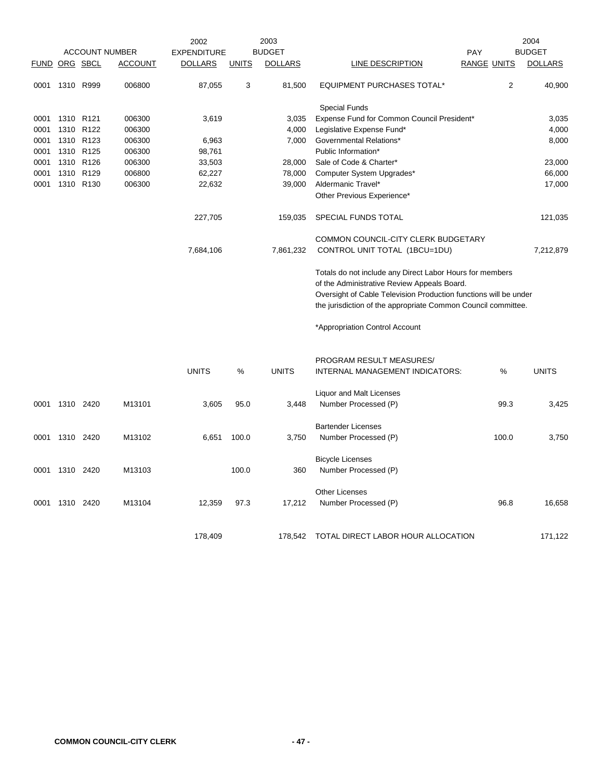|      |                      |                  | 2002                  |                    | 2003         | 2004           |                                                                  |                    |                |                |
|------|----------------------|------------------|-----------------------|--------------------|--------------|----------------|------------------------------------------------------------------|--------------------|----------------|----------------|
|      |                      |                  | <b>ACCOUNT NUMBER</b> | <b>EXPENDITURE</b> |              | <b>BUDGET</b>  |                                                                  | <b>PAY</b>         |                | <b>BUDGET</b>  |
|      | <b>FUND ORG SBCL</b> |                  | <b>ACCOUNT</b>        | <b>DOLLARS</b>     | <b>UNITS</b> | <b>DOLLARS</b> | <b>LINE DESCRIPTION</b>                                          | <b>RANGE UNITS</b> |                | <b>DOLLARS</b> |
| 0001 | 1310 R999            |                  | 006800                | 87,055             | 3            | 81,500         | <b>EQUIPMENT PURCHASES TOTAL*</b>                                |                    | $\overline{2}$ | 40,900         |
|      |                      |                  |                       |                    |              |                | <b>Special Funds</b>                                             |                    |                |                |
| 0001 | 1310 R121            |                  | 006300                | 3,619              |              | 3,035          | Expense Fund for Common Council President*                       |                    |                | 3,035          |
| 0001 | 1310                 | R <sub>122</sub> | 006300                |                    |              | 4,000          | Legislative Expense Fund*                                        |                    |                | 4,000          |
| 0001 |                      | 1310 R123        | 006300                | 6,963              |              | 7,000          | Governmental Relations*                                          |                    |                | 8,000          |
| 0001 |                      | 1310 R125        | 006300                | 98,761             |              |                | Public Information*                                              |                    |                |                |
| 0001 |                      | 1310 R126        | 006300                | 33,503             |              | 28,000         | Sale of Code & Charter*                                          |                    |                | 23,000         |
| 0001 |                      | 1310 R129        | 006800                | 62,227             |              | 78,000         | Computer System Upgrades*                                        |                    |                | 66,000         |
| 0001 |                      | 1310 R130        | 006300                | 22,632             |              | 39,000         | Aldermanic Travel*                                               |                    |                | 17,000         |
|      |                      |                  |                       |                    |              |                | Other Previous Experience*                                       |                    |                |                |
|      |                      |                  |                       | 227,705            |              | 159,035        | SPECIAL FUNDS TOTAL                                              |                    |                | 121,035        |
|      |                      |                  |                       |                    |              |                | COMMON COUNCIL-CITY CLERK BUDGETARY                              |                    |                |                |
|      |                      |                  |                       | 7,684,106          |              | 7,861,232      | CONTROL UNIT TOTAL (1BCU=1DU)                                    |                    |                | 7,212,879      |
|      |                      |                  |                       |                    |              |                | Totals do not include any Direct Labor Hours for members         |                    |                |                |
|      |                      |                  |                       |                    |              |                | of the Administrative Review Appeals Board.                      |                    |                |                |
|      |                      |                  |                       |                    |              |                | Oversight of Cable Television Production functions will be under |                    |                |                |
|      |                      |                  |                       |                    |              |                | the jurisdiction of the appropriate Common Council committee.    |                    |                |                |
|      |                      |                  |                       |                    |              |                | *Appropriation Control Account                                   |                    |                |                |
|      |                      |                  |                       |                    |              |                | PROGRAM RESULT MEASURES/                                         |                    |                |                |
|      |                      |                  |                       | <b>UNITS</b>       | %            | <b>UNITS</b>   | INTERNAL MANAGEMENT INDICATORS:                                  |                    | %              | <b>UNITS</b>   |
|      |                      |                  |                       |                    |              |                |                                                                  |                    |                |                |
|      |                      |                  |                       |                    |              |                | Liquor and Malt Licenses                                         |                    |                |                |
| 0001 | 1310 2420            |                  | M13101                | 3,605              | 95.0         | 3,448          | Number Processed (P)                                             |                    | 99.3           | 3,425          |
|      |                      |                  |                       |                    |              |                | <b>Bartender Licenses</b>                                        |                    |                |                |
| 0001 | 1310 2420            |                  | M13102                | 6,651              | 100.0        | 3,750          | Number Processed (P)                                             |                    | 100.0          | 3,750          |
|      |                      |                  |                       |                    |              |                | <b>Bicycle Licenses</b>                                          |                    |                |                |
| 0001 | 1310 2420            |                  | M13103                |                    | 100.0        | 360            | Number Processed (P)                                             |                    |                |                |
|      |                      |                  |                       |                    |              |                | <b>Other Licenses</b>                                            |                    |                |                |
| 0001 | 1310 2420            |                  | M13104                | 12,359             | 97.3         | 17,212         | Number Processed (P)                                             |                    | 96.8           | 16,658         |
|      |                      |                  |                       |                    |              |                |                                                                  |                    |                |                |
|      |                      |                  |                       | 178,409            |              | 178,542        | TOTAL DIRECT LABOR HOUR ALLOCATION                               |                    |                | 171,122        |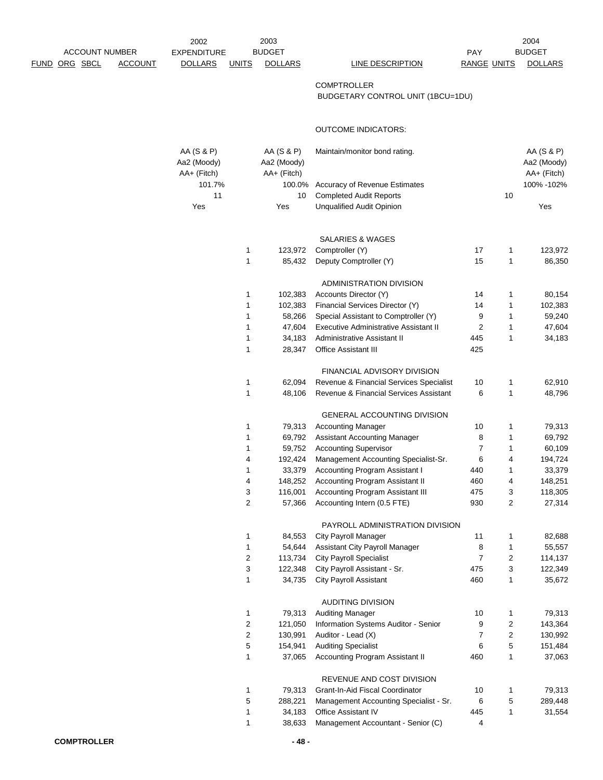| <b>ACCOUNT NUMBER</b>                  | 2002<br><b>EXPENDITURE</b>               |                     | 2003<br><b>BUDGET</b>                    |                                                                     | PAY                 |                              | 2004<br><b>BUDGET</b>                    |
|----------------------------------------|------------------------------------------|---------------------|------------------------------------------|---------------------------------------------------------------------|---------------------|------------------------------|------------------------------------------|
| <u>FUND ORG SBCL</u><br><b>ACCOUNT</b> | <b>DOLLARS</b>                           | <b>UNITS</b>        | <b>DOLLARS</b>                           | LINE DESCRIPTION                                                    | <b>RANGE UNITS</b>  |                              | <b>DOLLARS</b>                           |
|                                        |                                          |                     |                                          | <b>COMPTROLLER</b><br>BUDGETARY CONTROL UNIT (1BCU=1DU)             |                     |                              |                                          |
|                                        |                                          |                     |                                          | <b>OUTCOME INDICATORS:</b>                                          |                     |                              |                                          |
|                                        | AA (S & P)<br>Aa2 (Moody)<br>AA+ (Fitch) |                     | AA (S & P)<br>Aa2 (Moody)<br>AA+ (Fitch) | Maintain/monitor bond rating.                                       |                     |                              | AA (S & P)<br>Aa2 (Moody)<br>AA+ (Fitch) |
|                                        | 101.7%                                   |                     | 100.0%                                   | Accuracy of Revenue Estimates                                       |                     |                              | 100% - 102%                              |
|                                        | 11<br>Yes                                |                     | 10<br>Yes                                | <b>Completed Audit Reports</b><br><b>Unqualified Audit Opinion</b>  |                     | 10                           | Yes                                      |
|                                        |                                          |                     |                                          | SALARIES & WAGES                                                    |                     |                              |                                          |
|                                        |                                          | 1                   | 123,972                                  | Comptroller (Y)                                                     | 17                  | 1                            | 123,972                                  |
|                                        |                                          | 1                   | 85,432                                   | Deputy Comptroller (Y)                                              | 15                  | 1                            | 86,350                                   |
|                                        |                                          |                     |                                          | ADMINISTRATION DIVISION                                             |                     |                              |                                          |
|                                        |                                          | 1                   | 102,383                                  | Accounts Director (Y)                                               | 14                  | 1                            | 80,154                                   |
|                                        |                                          | 1                   | 102,383                                  | Financial Services Director (Y)                                     | 14                  | 1                            | 102,383                                  |
|                                        |                                          | 1                   | 58,266                                   | Special Assistant to Comptroller (Y)                                | 9                   | 1                            | 59,240                                   |
|                                        |                                          | 1                   | 47,604                                   | Executive Administrative Assistant II                               | $\overline{2}$      | 1                            | 47,604                                   |
|                                        |                                          | 1                   | 34,183                                   | Administrative Assistant II                                         | 445                 | 1                            | 34,183                                   |
|                                        |                                          | 1                   | 28,347                                   | <b>Office Assistant III</b>                                         | 425                 |                              |                                          |
|                                        |                                          |                     |                                          | FINANCIAL ADVISORY DIVISION                                         |                     |                              |                                          |
|                                        |                                          | 1                   | 62,094                                   | Revenue & Financial Services Specialist                             | 10                  | 1                            | 62,910                                   |
|                                        |                                          | 1                   | 48,106                                   | Revenue & Financial Services Assistant                              | 6                   | 1                            | 48,796                                   |
|                                        |                                          |                     |                                          |                                                                     |                     |                              |                                          |
|                                        |                                          |                     |                                          | GENERAL ACCOUNTING DIVISION                                         |                     |                              |                                          |
|                                        |                                          | 1                   | 79,313                                   | <b>Accounting Manager</b>                                           | 10                  | 1                            | 79,313                                   |
|                                        |                                          | 1<br>1              | 69,792<br>59,752                         | <b>Assistant Accounting Manager</b><br><b>Accounting Supervisor</b> | 8<br>$\overline{7}$ | 1<br>1                       | 69,792<br>60,109                         |
|                                        |                                          | 4                   | 192,424                                  | Management Accounting Specialist-Sr.                                | 6                   | 4                            | 194,724                                  |
|                                        |                                          | 1                   | 33,379                                   | Accounting Program Assistant I                                      | 440                 | 1                            | 33,379                                   |
|                                        |                                          | 4                   | 148,252                                  | Accounting Program Assistant II                                     | 460                 | 4                            | 148,251                                  |
|                                        |                                          | 3                   | 116,001                                  | <b>Accounting Program Assistant III</b>                             | 475                 | 3                            | 118,305                                  |
|                                        |                                          | $\overline{2}$      | 57,366                                   | Accounting Intern (0.5 FTE)                                         | 930                 | $\overline{2}$               | 27,314                                   |
|                                        |                                          |                     |                                          |                                                                     |                     |                              |                                          |
|                                        |                                          |                     | 84,553                                   | PAYROLL ADMINISTRATION DIVISION                                     |                     |                              |                                          |
|                                        |                                          | 1<br>1              | 54,644                                   | <b>City Payroll Manager</b><br>Assistant City Payroll Manager       | 11                  | 1<br>$\mathbf{1}$            | 82,688<br>55,557                         |
|                                        |                                          | 2                   | 113,734                                  | <b>City Payroll Specialist</b>                                      | 8<br>$\overline{7}$ | 2                            | 114,137                                  |
|                                        |                                          | 3                   | 122,348                                  | City Payroll Assistant - Sr.                                        | 475                 | 3                            | 122,349                                  |
|                                        |                                          | 1                   | 34,735                                   | <b>City Payroll Assistant</b>                                       | 460                 | 1                            | 35,672                                   |
|                                        |                                          |                     |                                          |                                                                     |                     |                              |                                          |
|                                        |                                          |                     |                                          | <b>AUDITING DIVISION</b>                                            |                     |                              |                                          |
|                                        |                                          | 1                   | 79,313                                   | <b>Auditing Manager</b>                                             | 10                  | 1                            | 79,313                                   |
|                                        |                                          | 2<br>$\overline{c}$ | 121,050<br>130,991                       | Information Systems Auditor - Senior                                | 9<br>$\overline{7}$ | 2<br>$\overline{\mathbf{c}}$ | 143,364                                  |
|                                        |                                          | 5                   | 154,941                                  | Auditor - Lead (X)<br><b>Auditing Specialist</b>                    | 6                   | 5                            | 130,992<br>151,484                       |
|                                        |                                          | 1                   | 37,065                                   | Accounting Program Assistant II                                     | 460                 | 1                            | 37,063                                   |
|                                        |                                          |                     |                                          |                                                                     |                     |                              |                                          |
|                                        |                                          |                     |                                          | REVENUE AND COST DIVISION                                           |                     |                              |                                          |
|                                        |                                          | 1                   | 79,313                                   | Grant-In-Aid Fiscal Coordinator                                     | 10                  | 1                            | 79,313                                   |
|                                        |                                          | 5                   | 288,221                                  | Management Accounting Specialist - Sr.                              | 6                   | 5                            | 289,448                                  |
|                                        |                                          | 1                   | 34,183                                   | Office Assistant IV                                                 | 445                 | 1                            | 31,554                                   |
|                                        |                                          | 1                   | 38,633                                   | Management Accountant - Senior (C)                                  | 4                   |                              |                                          |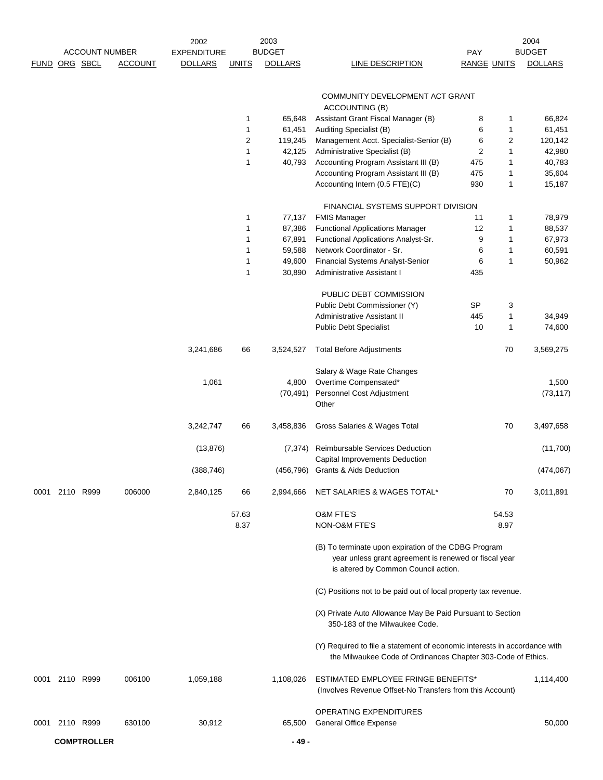|                |                       |                | 2002               |               | 2003           |                                                                                                                                           |                    |                | 2004           |
|----------------|-----------------------|----------------|--------------------|---------------|----------------|-------------------------------------------------------------------------------------------------------------------------------------------|--------------------|----------------|----------------|
|                | <b>ACCOUNT NUMBER</b> |                | <b>EXPENDITURE</b> |               | <b>BUDGET</b>  |                                                                                                                                           | PAY                |                | <b>BUDGET</b>  |
| FUND ORG SBCL  |                       | <b>ACCOUNT</b> | <b>DOLLARS</b>     | <b>UNITS</b>  | <b>DOLLARS</b> | <b>LINE DESCRIPTION</b>                                                                                                                   | <b>RANGE UNITS</b> |                | <b>DOLLARS</b> |
|                |                       |                |                    |               |                |                                                                                                                                           |                    |                |                |
|                |                       |                |                    |               |                | COMMUNITY DEVELOPMENT ACT GRANT                                                                                                           |                    |                |                |
|                |                       |                |                    |               |                | <b>ACCOUNTING (B)</b>                                                                                                                     |                    |                |                |
|                |                       |                |                    | 1             | 65,648         | Assistant Grant Fiscal Manager (B)                                                                                                        | 8                  | 1              | 66,824         |
|                |                       |                |                    | 1             | 61,451         | Auditing Specialist (B)                                                                                                                   | 6                  | 1              | 61,451         |
|                |                       |                |                    | 2             | 119,245        | Management Acct. Specialist-Senior (B)                                                                                                    | 6                  | $\overline{c}$ | 120,142        |
|                |                       |                |                    | 1             | 42,125         | Administrative Specialist (B)                                                                                                             | $\overline{c}$     | 1              | 42,980         |
|                |                       |                |                    | $\mathbf{1}$  | 40,793         | Accounting Program Assistant III (B)                                                                                                      | 475                | 1              | 40,783         |
|                |                       |                |                    |               |                | Accounting Program Assistant III (B)                                                                                                      | 475                | 1              | 35,604         |
|                |                       |                |                    |               |                | Accounting Intern (0.5 FTE)(C)                                                                                                            | 930                | 1              | 15,187         |
|                |                       |                |                    |               |                |                                                                                                                                           |                    |                |                |
|                |                       |                |                    |               |                | FINANCIAL SYSTEMS SUPPORT DIVISION                                                                                                        |                    |                |                |
|                |                       |                |                    | 1             | 77,137         | <b>FMIS Manager</b>                                                                                                                       | 11                 | 1              | 78,979         |
|                |                       |                |                    | 1             | 87,386         | <b>Functional Applications Manager</b>                                                                                                    | 12                 | 1              | 88,537         |
|                |                       |                |                    | 1             | 67,891         | Functional Applications Analyst-Sr.                                                                                                       | 9                  | 1              | 67,973         |
|                |                       |                |                    | 1             | 59,588         | Network Coordinator - Sr.                                                                                                                 | 6                  | 1              | 60,591         |
|                |                       |                |                    | 1             | 49,600         | Financial Systems Analyst-Senior                                                                                                          | 6                  | 1              | 50,962         |
|                |                       |                |                    | 1             | 30,890         | Administrative Assistant I                                                                                                                | 435                |                |                |
|                |                       |                |                    |               |                |                                                                                                                                           |                    |                |                |
|                |                       |                |                    |               |                | PUBLIC DEBT COMMISSION                                                                                                                    |                    |                |                |
|                |                       |                |                    |               |                | Public Debt Commissioner (Y)                                                                                                              | SP                 | 3              |                |
|                |                       |                |                    |               |                | Administrative Assistant II                                                                                                               | 445                | 1              | 34,949         |
|                |                       |                |                    |               |                | <b>Public Debt Specialist</b>                                                                                                             | 10                 | 1              | 74,600         |
|                |                       |                | 3,241,686          | 66            | 3,524,527      | <b>Total Before Adjustments</b>                                                                                                           |                    | 70             | 3,569,275      |
|                |                       |                |                    |               |                |                                                                                                                                           |                    |                |                |
|                |                       |                |                    |               |                | Salary & Wage Rate Changes                                                                                                                |                    |                |                |
|                |                       |                | 1,061              |               | 4,800          | Overtime Compensated*                                                                                                                     |                    |                | 1,500          |
|                |                       |                |                    |               | (70, 491)      | Personnel Cost Adjustment                                                                                                                 |                    |                | (73, 117)      |
|                |                       |                |                    |               |                | Other                                                                                                                                     |                    |                |                |
|                |                       |                |                    |               |                |                                                                                                                                           |                    |                |                |
|                |                       |                | 3,242,747          | 66            | 3,458,836      | Gross Salaries & Wages Total                                                                                                              |                    | 70             | 3,497,658      |
|                |                       |                | (13, 876)          |               | (7, 374)       | Reimbursable Services Deduction                                                                                                           |                    |                | (11,700)       |
|                |                       |                |                    |               |                | Capital Improvements Deduction                                                                                                            |                    |                |                |
|                |                       |                | (388, 746)         |               | (456, 796)     | <b>Grants &amp; Aids Deduction</b>                                                                                                        |                    |                | (474, 067)     |
|                |                       |                |                    |               |                |                                                                                                                                           |                    |                |                |
| 0001 2110 R999 |                       | 006000         | 2,840,125          | 66            | 2,994,666      | NET SALARIES & WAGES TOTAL*                                                                                                               |                    | 70             | 3,011,891      |
|                |                       |                |                    |               |                |                                                                                                                                           |                    |                |                |
|                |                       |                |                    | 57.63<br>8.37 |                | <b>O&amp;M FTE'S</b><br>NON-O&M FTE'S                                                                                                     |                    | 54.53          |                |
|                |                       |                |                    |               |                |                                                                                                                                           |                    | 8.97           |                |
|                |                       |                |                    |               |                | (B) To terminate upon expiration of the CDBG Program                                                                                      |                    |                |                |
|                |                       |                |                    |               |                | year unless grant agreement is renewed or fiscal year                                                                                     |                    |                |                |
|                |                       |                |                    |               |                | is altered by Common Council action.                                                                                                      |                    |                |                |
|                |                       |                |                    |               |                |                                                                                                                                           |                    |                |                |
|                |                       |                |                    |               |                | (C) Positions not to be paid out of local property tax revenue.                                                                           |                    |                |                |
|                |                       |                |                    |               |                | (X) Private Auto Allowance May Be Paid Pursuant to Section                                                                                |                    |                |                |
|                |                       |                |                    |               |                | 350-183 of the Milwaukee Code.                                                                                                            |                    |                |                |
|                |                       |                |                    |               |                |                                                                                                                                           |                    |                |                |
|                |                       |                |                    |               |                | (Y) Required to file a statement of economic interests in accordance with<br>the Milwaukee Code of Ordinances Chapter 303-Code of Ethics. |                    |                |                |
| 0001 2110 R999 |                       | 006100         | 1,059,188          |               | 1,108,026      | ESTIMATED EMPLOYEE FRINGE BENEFITS*                                                                                                       |                    |                | 1,114,400      |
|                |                       |                |                    |               |                | (Involves Revenue Offset-No Transfers from this Account)                                                                                  |                    |                |                |
|                |                       |                |                    |               |                |                                                                                                                                           |                    |                |                |
|                |                       |                |                    |               |                | OPERATING EXPENDITURES                                                                                                                    |                    |                |                |
| 0001 2110 R999 |                       | 630100         | 30,912             |               | 65,500         | <b>General Office Expense</b>                                                                                                             |                    |                | 50,000         |
|                | <b>COMPTROLLER</b>    |                |                    |               |                |                                                                                                                                           |                    |                |                |
|                |                       |                |                    |               | - 49 -         |                                                                                                                                           |                    |                |                |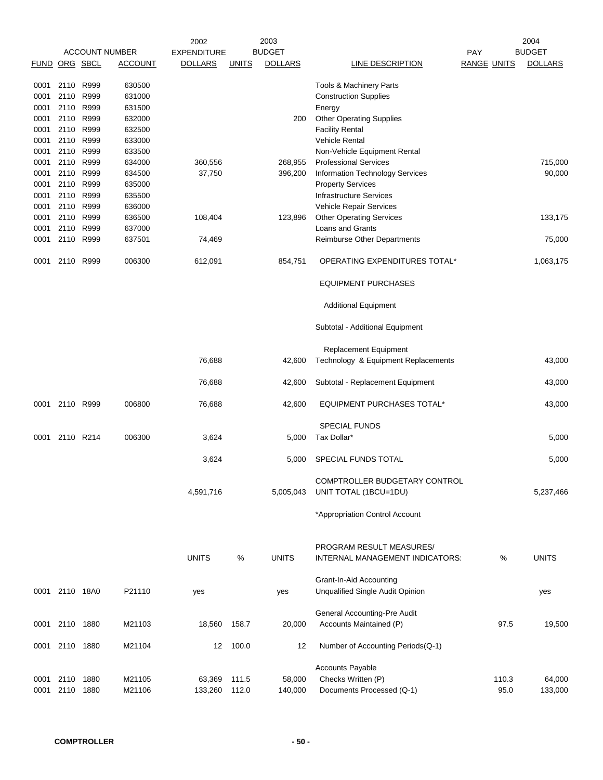|                      |                |      |                       | 2002               |              | 2003           |                                         |                    | 2004           |
|----------------------|----------------|------|-----------------------|--------------------|--------------|----------------|-----------------------------------------|--------------------|----------------|
|                      |                |      | <b>ACCOUNT NUMBER</b> | <b>EXPENDITURE</b> |              | <b>BUDGET</b>  |                                         | <b>PAY</b>         | <b>BUDGET</b>  |
| <b>FUND ORG SBCL</b> |                |      | <b>ACCOUNT</b>        | <b>DOLLARS</b>     | <b>UNITS</b> | <b>DOLLARS</b> | LINE DESCRIPTION                        | <b>RANGE UNITS</b> | <b>DOLLARS</b> |
|                      |                |      |                       |                    |              |                |                                         |                    |                |
| 0001                 | 2110 R999      |      | 630500                |                    |              |                | Tools & Machinery Parts                 |                    |                |
| 0001                 | 2110 R999      |      | 631000                |                    |              |                | <b>Construction Supplies</b>            |                    |                |
| 0001                 | 2110           | R999 | 631500                |                    |              |                | Energy                                  |                    |                |
| 0001                 | 2110 R999      |      | 632000                |                    |              | 200            | <b>Other Operating Supplies</b>         |                    |                |
| 0001                 | 2110 R999      |      | 632500                |                    |              |                | <b>Facility Rental</b>                  |                    |                |
| 0001                 | 2110           | R999 | 633000                |                    |              |                | Vehicle Rental                          |                    |                |
| 0001                 | 2110           | R999 | 633500                |                    |              |                | Non-Vehicle Equipment Rental            |                    |                |
| 0001                 | 2110 R999      |      | 634000                | 360,556            |              | 268,955        | <b>Professional Services</b>            |                    | 715,000        |
| 0001                 | 2110 R999      |      | 634500                | 37,750             |              | 396,200        | Information Technology Services         |                    | 90,000         |
| 0001                 | 2110           | R999 | 635000                |                    |              |                | <b>Property Services</b>                |                    |                |
| 0001                 | 2110           | R999 | 635500                |                    |              |                | <b>Infrastructure Services</b>          |                    |                |
| 0001                 | 2110           | R999 | 636000                |                    |              |                | Vehicle Repair Services                 |                    |                |
| 0001                 | 2110           | R999 | 636500                | 108,404            |              | 123,896        | <b>Other Operating Services</b>         |                    | 133,175        |
| 0001                 | 2110           | R999 | 637000                |                    |              |                | Loans and Grants                        |                    |                |
| 0001                 | 2110 R999      |      | 637501                | 74,469             |              |                | Reimburse Other Departments             |                    | 75,000         |
| 0001                 | 2110           | R999 | 006300                | 612,091            |              | 854,751        | OPERATING EXPENDITURES TOTAL*           |                    | 1,063,175      |
|                      |                |      |                       |                    |              |                | <b>EQUIPMENT PURCHASES</b>              |                    |                |
|                      |                |      |                       |                    |              |                | <b>Additional Equipment</b>             |                    |                |
|                      |                |      |                       |                    |              |                | Subtotal - Additional Equipment         |                    |                |
|                      |                |      |                       |                    |              |                | Replacement Equipment                   |                    |                |
|                      |                |      |                       | 76,688             |              | 42,600         | Technology & Equipment Replacements     |                    | 43,000         |
|                      |                |      |                       | 76,688             |              | 42,600         | Subtotal - Replacement Equipment        |                    | 43,000         |
| 0001                 | 2110 R999      |      | 006800                | 76,688             |              | 42,600         | <b>EQUIPMENT PURCHASES TOTAL*</b>       |                    | 43,000         |
|                      |                |      |                       |                    |              |                | <b>SPECIAL FUNDS</b>                    |                    |                |
| 0001                 | 2110 R214      |      | 006300                | 3,624              |              | 5,000          | Tax Dollar*                             |                    | 5,000          |
|                      |                |      |                       |                    |              |                |                                         |                    |                |
|                      |                |      |                       | 3,624              |              | 5,000          | SPECIAL FUNDS TOTAL                     |                    | 5,000          |
|                      |                |      |                       |                    |              |                | COMPTROLLER BUDGETARY CONTROL           |                    |                |
|                      |                |      |                       | 4,591,716          |              | 5,005,043      | UNIT TOTAL (1BCU=1DU)                   |                    | 5,237,466      |
|                      |                |      |                       |                    |              |                |                                         |                    |                |
|                      |                |      |                       |                    |              |                | *Appropriation Control Account          |                    |                |
|                      |                |      |                       |                    |              |                | PROGRAM RESULT MEASURES/                |                    |                |
|                      |                |      |                       |                    |              | <b>UNITS</b>   |                                         |                    |                |
|                      |                |      |                       | <b>UNITS</b>       | $\%$         |                | INTERNAL MANAGEMENT INDICATORS:         | $\%$               | <b>UNITS</b>   |
|                      |                |      |                       |                    |              |                | <b>Grant-In-Aid Accounting</b>          |                    |                |
|                      | 0001 2110 18A0 |      | P21110                | yes                |              | yes            | <b>Unqualified Single Audit Opinion</b> |                    | yes            |
|                      |                |      |                       |                    |              |                |                                         |                    |                |
|                      |                |      |                       |                    |              |                | General Accounting-Pre Audit            |                    |                |
|                      | 0001 2110 1880 |      | M21103                | 18,560             | 158.7        | 20,000         | Accounts Maintained (P)                 | 97.5               | 19,500         |
|                      | 0001 2110 1880 |      | M21104                | 12                 | 100.0        | 12             | Number of Accounting Periods(Q-1)       |                    |                |
|                      |                |      |                       |                    |              |                | <b>Accounts Payable</b>                 |                    |                |
| 0001                 | 2110           | 1880 | M21105                | 63,369             | 111.5        | 58,000         | Checks Written (P)                      | 110.3              | 64,000         |
|                      | 2110           | 1880 | M21106                |                    |              |                |                                         | 95.0               |                |
| 0001                 |                |      |                       | 133,260            | 112.0        | 140,000        | Documents Processed (Q-1)               |                    | 133,000        |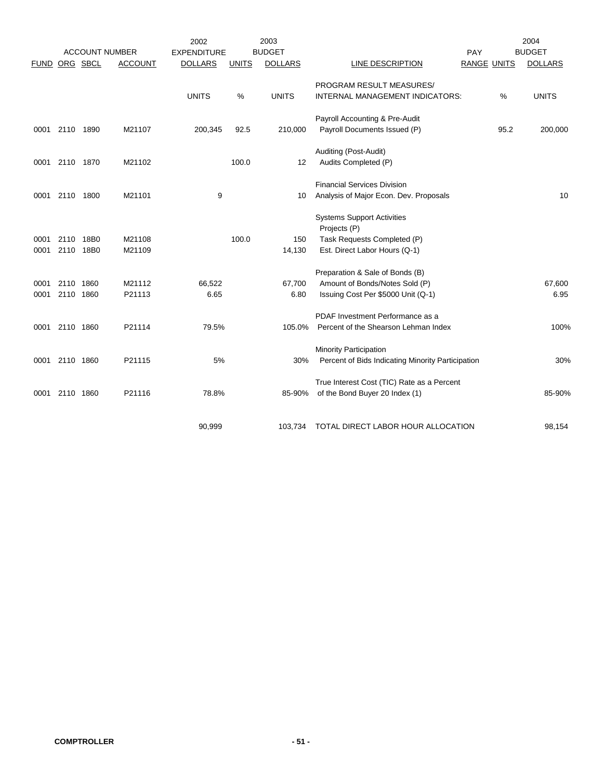|             |           |           |                       | 2002               |              | 2003           |                                                   |                    | 2004           |
|-------------|-----------|-----------|-----------------------|--------------------|--------------|----------------|---------------------------------------------------|--------------------|----------------|
|             |           |           | <b>ACCOUNT NUMBER</b> | <b>EXPENDITURE</b> |              | <b>BUDGET</b>  |                                                   | PAY                | <b>BUDGET</b>  |
| <b>FUND</b> |           | ORG SBCL  | <b>ACCOUNT</b>        | <b>DOLLARS</b>     | <b>UNITS</b> | <b>DOLLARS</b> | LINE DESCRIPTION                                  | <b>RANGE UNITS</b> | <b>DOLLARS</b> |
|             |           |           |                       |                    |              |                | PROGRAM RESULT MEASURES/                          |                    |                |
|             |           |           |                       | <b>UNITS</b>       | %            | <b>UNITS</b>   | INTERNAL MANAGEMENT INDICATORS:                   | %                  | <b>UNITS</b>   |
|             |           |           |                       |                    |              |                | Payroll Accounting & Pre-Audit                    |                    |                |
| 0001        | 2110 1890 |           | M21107                | 200,345            | 92.5         | 210,000        | Payroll Documents Issued (P)                      | 95.2               | 200,000        |
|             |           |           |                       |                    |              |                | Auditing (Post-Audit)                             |                    |                |
| 0001        | 2110 1870 |           | M21102                |                    | 100.0        | 12             | Audits Completed (P)                              |                    |                |
|             |           |           |                       |                    |              |                | <b>Financial Services Division</b>                |                    |                |
| 0001        | 2110      | 1800      | M21101                | 9                  |              | 10             | Analysis of Major Econ. Dev. Proposals            |                    | 10             |
|             |           |           |                       |                    |              |                | <b>Systems Support Activities</b>                 |                    |                |
|             |           |           |                       |                    |              |                | Projects (P)                                      |                    |                |
| 0001        | 2110 18B0 |           | M21108                |                    | 100.0        | 150            | Task Requests Completed (P)                       |                    |                |
| 0001        |           | 2110 18B0 | M21109                |                    |              | 14,130         | Est. Direct Labor Hours (Q-1)                     |                    |                |
|             |           |           |                       |                    |              |                | Preparation & Sale of Bonds (B)                   |                    |                |
| 0001        | 2110      | 1860      | M21112                | 66,522             |              | 67,700         | Amount of Bonds/Notes Sold (P)                    |                    | 67,600         |
| 0001        | 2110 1860 |           | P21113                | 6.65               |              | 6.80           | Issuing Cost Per \$5000 Unit (Q-1)                |                    | 6.95           |
|             |           |           |                       |                    |              |                | PDAF Investment Performance as a                  |                    |                |
| 0001        | 2110 1860 |           | P21114                | 79.5%              |              | 105.0%         | Percent of the Shearson Lehman Index              |                    | 100%           |
|             |           |           |                       |                    |              |                | <b>Minority Participation</b>                     |                    |                |
| 0001        | 2110 1860 |           | P21115                | 5%                 |              | 30%            | Percent of Bids Indicating Minority Participation |                    | 30%            |
|             |           |           |                       |                    |              |                | True Interest Cost (TIC) Rate as a Percent        |                    |                |
| 0001        | 2110 1860 |           | P21116                | 78.8%              |              | 85-90%         | of the Bond Buyer 20 Index (1)                    |                    | 85-90%         |
|             |           |           |                       |                    |              |                |                                                   |                    |                |
|             |           |           |                       | 90,999             |              | 103,734        | TOTAL DIRECT LABOR HOUR ALLOCATION                |                    | 98,154         |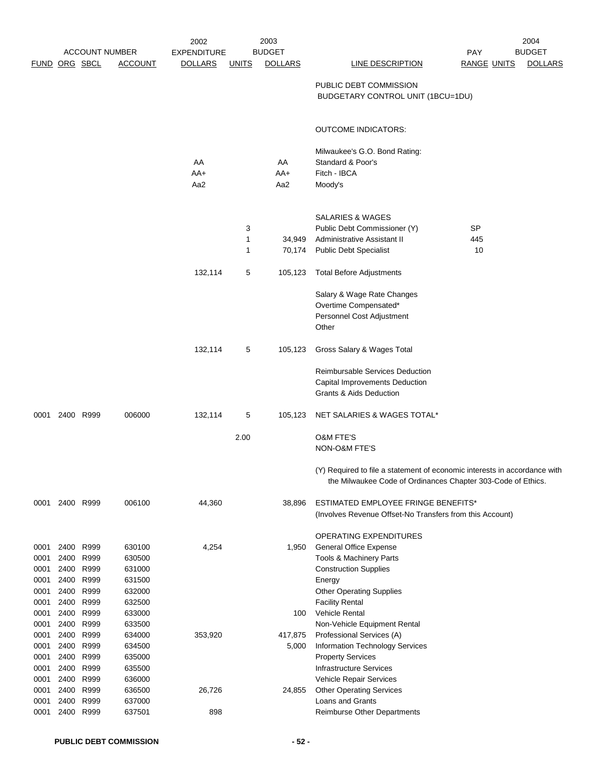|              |                |                       |                  | 2002           |              | 2003             |                                                                                                                                           |                    | 2004           |
|--------------|----------------|-----------------------|------------------|----------------|--------------|------------------|-------------------------------------------------------------------------------------------------------------------------------------------|--------------------|----------------|
|              |                | <b>ACCOUNT NUMBER</b> |                  | EXPENDITURE    |              | <b>BUDGET</b>    |                                                                                                                                           | <b>PAY</b>         | <b>BUDGET</b>  |
|              |                | FUND ORG SBCL         | <b>ACCOUNT</b>   | <b>DOLLARS</b> | <u>UNITS</u> | <b>DOLLARS</b>   | LINE DESCRIPTION                                                                                                                          | <b>RANGE UNITS</b> | <b>DOLLARS</b> |
|              |                |                       |                  |                |              |                  | PUBLIC DEBT COMMISSION<br>BUDGETARY CONTROL UNIT (1BCU=1DU)                                                                               |                    |                |
|              |                |                       |                  |                |              |                  | <b>OUTCOME INDICATORS:</b>                                                                                                                |                    |                |
|              |                |                       |                  | AA<br>$AA+$    |              | AA<br>AA+        | Milwaukee's G.O. Bond Rating:<br>Standard & Poor's<br>Fitch - IBCA                                                                        |                    |                |
|              |                |                       |                  | Aa2            |              | Aa2              | Moody's                                                                                                                                   |                    |                |
|              |                |                       |                  |                | 3            |                  | <b>SALARIES &amp; WAGES</b><br>Public Debt Commissioner (Y)                                                                               | SP                 |                |
|              |                |                       |                  |                | 1<br>1       | 34,949<br>70,174 | Administrative Assistant II<br><b>Public Debt Specialist</b>                                                                              | 445<br>10          |                |
|              |                |                       |                  | 132,114        | 5            | 105,123          | <b>Total Before Adjustments</b>                                                                                                           |                    |                |
|              |                |                       |                  |                |              |                  | Salary & Wage Rate Changes<br>Overtime Compensated*<br>Personnel Cost Adjustment<br>Other                                                 |                    |                |
|              |                |                       |                  | 132,114        | 5            | 105,123          | Gross Salary & Wages Total                                                                                                                |                    |                |
|              |                |                       |                  |                |              |                  | Reimbursable Services Deduction<br>Capital Improvements Deduction<br><b>Grants &amp; Aids Deduction</b>                                   |                    |                |
|              | 0001 2400 R999 |                       | 006000           | 132,114        | 5            | 105,123          | NET SALARIES & WAGES TOTAL*                                                                                                               |                    |                |
|              |                |                       |                  |                | 2.00         |                  | <b>O&amp;M FTE'S</b><br>NON-O&M FTE'S                                                                                                     |                    |                |
|              |                |                       |                  |                |              |                  | (Y) Required to file a statement of economic interests in accordance with<br>the Milwaukee Code of Ordinances Chapter 303-Code of Ethics. |                    |                |
| 0001         | 2400 R999      |                       | 006100           | 44,360         |              | 38,896           | <b>ESTIMATED EMPLOYEE FRINGE BENEFITS*</b><br>(Involves Revenue Offset-No Transfers from this Account)                                    |                    |                |
|              |                |                       |                  |                |              |                  | OPERATING EXPENDITURES                                                                                                                    |                    |                |
| 0001         | 2400           | R999                  | 630100           | 4,254          |              | 1,950            | <b>General Office Expense</b>                                                                                                             |                    |                |
| 0001         | 2400           | R999                  | 630500           |                |              |                  | Tools & Machinery Parts                                                                                                                   |                    |                |
| 0001<br>0001 | 2400<br>2400   | R999<br>R999          | 631000<br>631500 |                |              |                  | <b>Construction Supplies</b><br>Energy                                                                                                    |                    |                |
| 0001         | 2400           | R999                  | 632000           |                |              |                  | <b>Other Operating Supplies</b>                                                                                                           |                    |                |
| 0001         | 2400           | R999                  | 632500           |                |              |                  | <b>Facility Rental</b>                                                                                                                    |                    |                |
| 0001         | 2400           | R999                  | 633000           |                |              | 100              | <b>Vehicle Rental</b>                                                                                                                     |                    |                |
| 0001         | 2400           | R999                  | 633500           |                |              |                  | Non-Vehicle Equipment Rental                                                                                                              |                    |                |
| 0001         | 2400           | R999                  | 634000           | 353,920        |              | 417,875          | Professional Services (A)                                                                                                                 |                    |                |
| 0001         | 2400           | R999                  | 634500           |                |              | 5,000            | Information Technology Services                                                                                                           |                    |                |
| 0001         | 2400           | R999                  | 635000           |                |              |                  | <b>Property Services</b>                                                                                                                  |                    |                |
| 0001<br>0001 | 2400<br>2400   | R999<br>R999          | 635500<br>636000 |                |              |                  | <b>Infrastructure Services</b><br>Vehicle Repair Services                                                                                 |                    |                |
| 0001         | 2400           | R999                  | 636500           | 26,726         |              | 24,855           | <b>Other Operating Services</b>                                                                                                           |                    |                |
| 0001         | 2400           | R999                  | 637000           |                |              |                  | Loans and Grants                                                                                                                          |                    |                |
| 0001         | 2400           | R999                  | 637501           | 898            |              |                  | <b>Reimburse Other Departments</b>                                                                                                        |                    |                |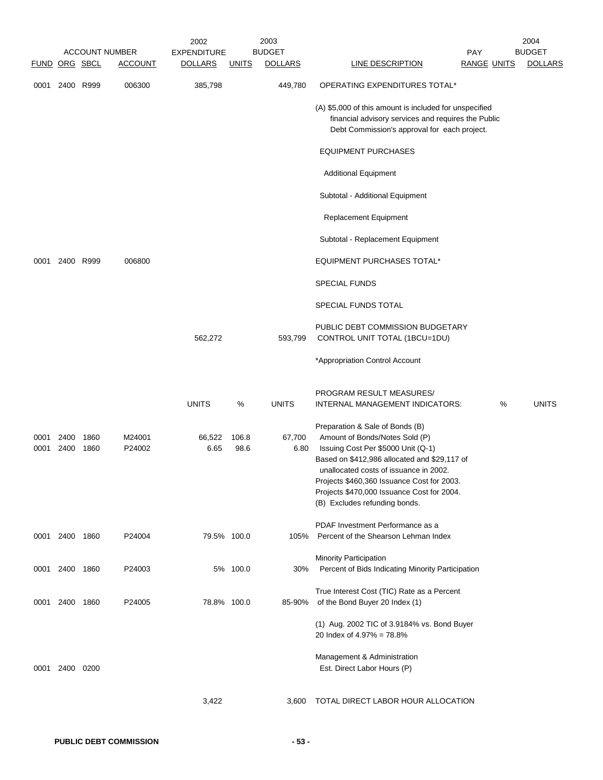|               |                |              | <b>ACCOUNT NUMBER</b> | 2002<br><b>EXPENDITURE</b> |               | 2003<br><b>BUDGET</b> | <b>PAY</b>                                                                                                                                                                                                                                                                                                                     |   | 2004<br><b>BUDGET</b> |
|---------------|----------------|--------------|-----------------------|----------------------------|---------------|-----------------------|--------------------------------------------------------------------------------------------------------------------------------------------------------------------------------------------------------------------------------------------------------------------------------------------------------------------------------|---|-----------------------|
| FUND ORG SBCL |                |              | <b>ACCOUNT</b>        | <b>DOLLARS</b>             | <b>UNITS</b>  | <b>DOLLARS</b>        | LINE DESCRIPTION<br><b>RANGE UNITS</b>                                                                                                                                                                                                                                                                                         |   | <b>DOLLARS</b>        |
|               | 0001 2400 R999 |              | 006300                | 385,798                    |               | 449,780               | OPERATING EXPENDITURES TOTAL*                                                                                                                                                                                                                                                                                                  |   |                       |
|               |                |              |                       |                            |               |                       | (A) \$5,000 of this amount is included for unspecified<br>financial advisory services and requires the Public<br>Debt Commission's approval for each project.                                                                                                                                                                  |   |                       |
|               |                |              |                       |                            |               |                       | <b>EQUIPMENT PURCHASES</b>                                                                                                                                                                                                                                                                                                     |   |                       |
|               |                |              |                       |                            |               |                       | <b>Additional Equipment</b>                                                                                                                                                                                                                                                                                                    |   |                       |
|               |                |              |                       |                            |               |                       | Subtotal - Additional Equipment                                                                                                                                                                                                                                                                                                |   |                       |
|               |                |              |                       |                            |               |                       | Replacement Equipment                                                                                                                                                                                                                                                                                                          |   |                       |
|               |                |              |                       |                            |               |                       | Subtotal - Replacement Equipment                                                                                                                                                                                                                                                                                               |   |                       |
| 0001          | 2400 R999      |              | 006800                |                            |               |                       | <b>EQUIPMENT PURCHASES TOTAL*</b>                                                                                                                                                                                                                                                                                              |   |                       |
|               |                |              |                       |                            |               |                       | <b>SPECIAL FUNDS</b>                                                                                                                                                                                                                                                                                                           |   |                       |
|               |                |              |                       |                            |               |                       | SPECIAL FUNDS TOTAL                                                                                                                                                                                                                                                                                                            |   |                       |
|               |                |              |                       | 562,272                    |               | 593,799               | PUBLIC DEBT COMMISSION BUDGETARY<br>CONTROL UNIT TOTAL (1BCU=1DU)                                                                                                                                                                                                                                                              |   |                       |
|               |                |              |                       |                            |               |                       | *Appropriation Control Account                                                                                                                                                                                                                                                                                                 |   |                       |
|               |                |              |                       | <b>UNITS</b>               | $\%$          | <b>UNITS</b>          | PROGRAM RESULT MEASURES/<br>INTERNAL MANAGEMENT INDICATORS:                                                                                                                                                                                                                                                                    | % | <b>UNITS</b>          |
| 0001<br>0001  | 2400<br>2400   | 1860<br>1860 | M24001<br>P24002      | 66,522<br>6.65             | 106.8<br>98.6 | 67,700<br>6.80        | Preparation & Sale of Bonds (B)<br>Amount of Bonds/Notes Sold (P)<br>Issuing Cost Per \$5000 Unit (Q-1)<br>Based on \$412,986 allocated and \$29,117 of<br>unallocated costs of issuance in 2002.<br>Projects \$460,360 Issuance Cost for 2003.<br>Projects \$470,000 Issuance Cost for 2004.<br>(B) Excludes refunding bonds. |   |                       |
|               | 0001 2400 1860 |              | P24004                | 79.5% 100.0                |               | 105%                  | PDAF Investment Performance as a<br>Percent of the Shearson Lehman Index                                                                                                                                                                                                                                                       |   |                       |
|               | 0001 2400 1860 |              | P24003                |                            | 5% 100.0      | 30%                   | Minority Participation<br>Percent of Bids Indicating Minority Participation                                                                                                                                                                                                                                                    |   |                       |
| 0001          | 2400 1860      |              | P24005                | 78.8% 100.0                |               | 85-90%                | True Interest Cost (TIC) Rate as a Percent<br>of the Bond Buyer 20 Index (1)                                                                                                                                                                                                                                                   |   |                       |
|               |                |              |                       |                            |               |                       | (1) Aug. 2002 TIC of 3.9184% vs. Bond Buyer<br>20 Index of 4.97% = 78.8%                                                                                                                                                                                                                                                       |   |                       |
|               | 0001 2400 0200 |              |                       |                            |               |                       | Management & Administration<br>Est. Direct Labor Hours (P)                                                                                                                                                                                                                                                                     |   |                       |
|               |                |              |                       | 3,422                      |               | 3,600                 | TOTAL DIRECT LABOR HOUR ALLOCATION                                                                                                                                                                                                                                                                                             |   |                       |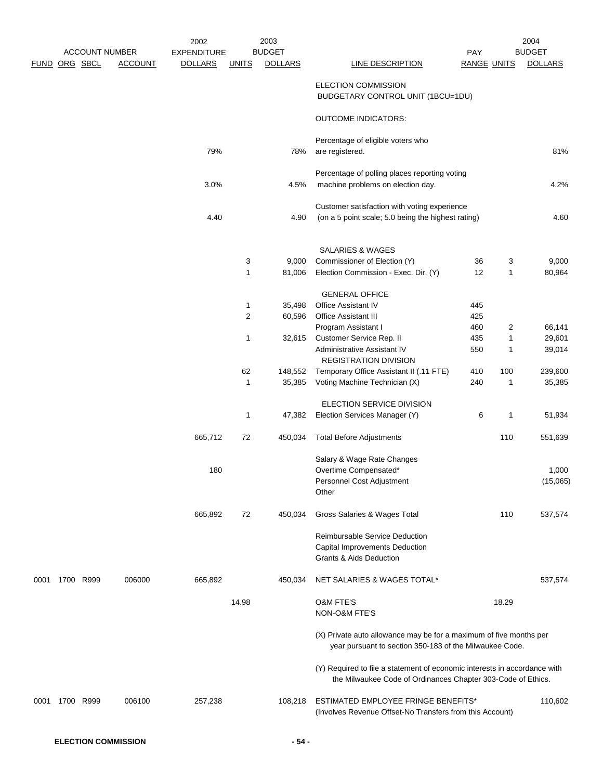|      |               |                       |                | 2002               |                | 2003              |                                                                                                                                           |                    |                | 2004              |
|------|---------------|-----------------------|----------------|--------------------|----------------|-------------------|-------------------------------------------------------------------------------------------------------------------------------------------|--------------------|----------------|-------------------|
|      |               | <b>ACCOUNT NUMBER</b> |                | <b>EXPENDITURE</b> |                | <b>BUDGET</b>     |                                                                                                                                           | PAY                |                | <b>BUDGET</b>     |
|      | FUND ORG SBCL |                       | <b>ACCOUNT</b> | <b>DOLLARS</b>     | <b>UNITS</b>   | <b>DOLLARS</b>    | <b>LINE DESCRIPTION</b>                                                                                                                   | <b>RANGE UNITS</b> |                | <b>DOLLARS</b>    |
|      |               |                       |                |                    |                |                   | ELECTION COMMISSION<br>BUDGETARY CONTROL UNIT (1BCU=1DU)                                                                                  |                    |                |                   |
|      |               |                       |                |                    |                |                   | <b>OUTCOME INDICATORS:</b>                                                                                                                |                    |                |                   |
|      |               |                       |                |                    |                |                   | Percentage of eligible voters who                                                                                                         |                    |                |                   |
|      |               |                       |                | 79%                |                | 78%               | are registered.                                                                                                                           |                    |                | 81%               |
|      |               |                       |                |                    |                |                   | Percentage of polling places reporting voting                                                                                             |                    |                |                   |
|      |               |                       |                | 3.0%               |                | 4.5%              | machine problems on election day.                                                                                                         |                    |                | 4.2%              |
|      |               |                       |                |                    |                |                   |                                                                                                                                           |                    |                |                   |
|      |               |                       |                | 4.40               |                | 4.90              | Customer satisfaction with voting experience<br>(on a 5 point scale; 5.0 being the highest rating)                                        |                    |                | 4.60              |
|      |               |                       |                |                    |                |                   |                                                                                                                                           |                    |                |                   |
|      |               |                       |                |                    |                |                   |                                                                                                                                           |                    |                |                   |
|      |               |                       |                |                    |                |                   | <b>SALARIES &amp; WAGES</b>                                                                                                               |                    |                |                   |
|      |               |                       |                |                    | 3<br>1         | 9,000<br>81,006   | Commissioner of Election (Y)<br>Election Commission - Exec. Dir. (Y)                                                                      | 36<br>12           | 3<br>1         | 9,000<br>80,964   |
|      |               |                       |                |                    |                |                   |                                                                                                                                           |                    |                |                   |
|      |               |                       |                |                    |                |                   | <b>GENERAL OFFICE</b>                                                                                                                     |                    |                |                   |
|      |               |                       |                |                    | 1              | 35,498            | <b>Office Assistant IV</b>                                                                                                                | 445                |                |                   |
|      |               |                       |                |                    | $\overline{c}$ | 60,596            | Office Assistant III                                                                                                                      | 425                |                |                   |
|      |               |                       |                |                    |                |                   | Program Assistant I                                                                                                                       | 460                | $\overline{c}$ | 66,141            |
|      |               |                       |                |                    | 1              | 32,615            | Customer Service Rep. II                                                                                                                  | 435                | 1              | 29,601            |
|      |               |                       |                |                    |                |                   | Administrative Assistant IV                                                                                                               | 550                | 1              | 39,014            |
|      |               |                       |                |                    |                |                   | <b>REGISTRATION DIVISION</b>                                                                                                              | 410                | 100            |                   |
|      |               |                       |                |                    | 62<br>1        | 148,552<br>35,385 | Temporary Office Assistant II (.11 FTE)<br>Voting Machine Technician (X)                                                                  | 240                | 1              | 239,600<br>35,385 |
|      |               |                       |                |                    |                |                   |                                                                                                                                           |                    |                |                   |
|      |               |                       |                |                    |                |                   | ELECTION SERVICE DIVISION                                                                                                                 |                    |                |                   |
|      |               |                       |                |                    | $\mathbf{1}$   | 47,382            | Election Services Manager (Y)                                                                                                             | 6                  | 1              | 51,934            |
|      |               |                       |                | 665,712            | 72             | 450,034           | <b>Total Before Adjustments</b>                                                                                                           |                    | 110            | 551,639           |
|      |               |                       |                |                    |                |                   | Salary & Wage Rate Changes                                                                                                                |                    |                |                   |
|      |               |                       |                | 180                |                |                   | Overtime Compensated*                                                                                                                     |                    |                | 1,000             |
|      |               |                       |                |                    |                |                   | Personnel Cost Adjustment                                                                                                                 |                    |                | (15,065)          |
|      |               |                       |                |                    |                |                   | Other                                                                                                                                     |                    |                |                   |
|      |               |                       |                | 665,892            | 72             | 450,034           | Gross Salaries & Wages Total                                                                                                              |                    | 110            | 537,574           |
|      |               |                       |                |                    |                |                   |                                                                                                                                           |                    |                |                   |
|      |               |                       |                |                    |                |                   | Reimbursable Service Deduction<br>Capital Improvements Deduction                                                                          |                    |                |                   |
|      |               |                       |                |                    |                |                   | Grants & Aids Deduction                                                                                                                   |                    |                |                   |
| 0001 | 1700 R999     |                       | 006000         | 665,892            |                | 450,034           | NET SALARIES & WAGES TOTAL*                                                                                                               |                    |                | 537,574           |
|      |               |                       |                |                    |                |                   |                                                                                                                                           |                    |                |                   |
|      |               |                       |                |                    | 14.98          |                   | <b>O&amp;M FTE'S</b><br>NON-O&M FTE'S                                                                                                     |                    | 18.29          |                   |
|      |               |                       |                |                    |                |                   |                                                                                                                                           |                    |                |                   |
|      |               |                       |                |                    |                |                   | (X) Private auto allowance may be for a maximum of five months per<br>year pursuant to section 350-183 of the Milwaukee Code.             |                    |                |                   |
|      |               |                       |                |                    |                |                   | (Y) Required to file a statement of economic interests in accordance with<br>the Milwaukee Code of Ordinances Chapter 303-Code of Ethics. |                    |                |                   |
| 0001 | 1700 R999     |                       | 006100         | 257,238            |                | 108,218           | ESTIMATED EMPLOYEE FRINGE BENEFITS*                                                                                                       |                    |                | 110,602           |
|      |               |                       |                |                    |                |                   | (Involves Revenue Offset-No Transfers from this Account)                                                                                  |                    |                |                   |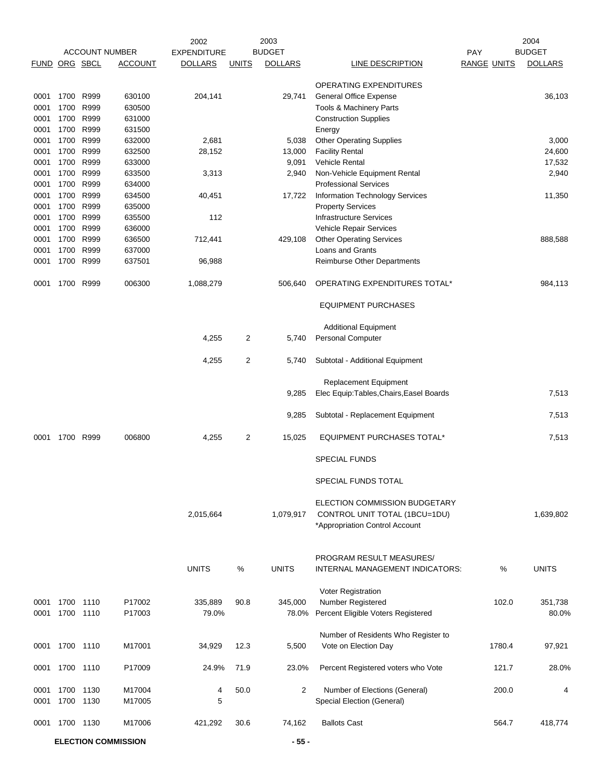|               |                   |      |                            | 2002               |                | 2003           |                                                         |                    | 2004           |
|---------------|-------------------|------|----------------------------|--------------------|----------------|----------------|---------------------------------------------------------|--------------------|----------------|
|               |                   |      | <b>ACCOUNT NUMBER</b>      | <b>EXPENDITURE</b> |                | <b>BUDGET</b>  |                                                         | <b>PAY</b>         | <b>BUDGET</b>  |
| FUND ORG SBCL |                   |      | ACCOUNT                    | <b>DOLLARS</b>     | <b>UNITS</b>   | <b>DOLLARS</b> | LINE DESCRIPTION                                        | <b>RANGE UNITS</b> | <b>DOLLARS</b> |
|               |                   |      |                            |                    |                |                |                                                         |                    |                |
| 0001          | 1700 R999         |      | 630100                     | 204,141            |                | 29,741         | OPERATING EXPENDITURES<br><b>General Office Expense</b> |                    | 36,103         |
| 0001          | 1700              | R999 | 630500                     |                    |                |                | Tools & Machinery Parts                                 |                    |                |
| 0001          | 1700              | R999 | 631000                     |                    |                |                |                                                         |                    |                |
|               | 1700              | R999 |                            |                    |                |                | <b>Construction Supplies</b>                            |                    |                |
| 0001          |                   | R999 | 631500                     |                    |                |                | Energy                                                  |                    |                |
| 0001          | 1700              |      | 632000                     | 2,681              |                | 5,038          | <b>Other Operating Supplies</b>                         |                    | 3,000          |
| 0001          | 1700              | R999 | 632500                     | 28,152             |                | 13,000         | <b>Facility Rental</b>                                  |                    | 24,600         |
| 0001          | 1700<br>1700 R999 | R999 | 633000                     |                    |                | 9,091          | <b>Vehicle Rental</b>                                   |                    | 17,532         |
| 0001          |                   |      | 633500                     | 3,313              |                | 2,940          | Non-Vehicle Equipment Rental                            |                    | 2,940          |
| 0001          | 1700              | R999 | 634000                     |                    |                |                | <b>Professional Services</b>                            |                    |                |
| 0001          | 1700              | R999 | 634500                     | 40,451             |                | 17,722         | <b>Information Technology Services</b>                  |                    | 11,350         |
| 0001          | 1700              | R999 | 635000                     |                    |                |                | <b>Property Services</b>                                |                    |                |
| 0001          | 1700              | R999 | 635500                     | 112                |                |                | <b>Infrastructure Services</b>                          |                    |                |
| 0001          | 1700              | R999 | 636000                     |                    |                |                | Vehicle Repair Services                                 |                    |                |
| 0001          | 1700              | R999 | 636500                     | 712,441            |                | 429,108        | <b>Other Operating Services</b>                         |                    | 888,588        |
| 0001          | 1700              | R999 | 637000                     |                    |                |                | Loans and Grants                                        |                    |                |
| 0001          | 1700              | R999 | 637501                     | 96,988             |                |                | <b>Reimburse Other Departments</b>                      |                    |                |
| 0001          | 1700              | R999 | 006300                     | 1,088,279          |                | 506,640        | OPERATING EXPENDITURES TOTAL*                           |                    | 984,113        |
|               |                   |      |                            |                    |                |                | <b>EQUIPMENT PURCHASES</b>                              |                    |                |
|               |                   |      |                            |                    |                |                | <b>Additional Equipment</b>                             |                    |                |
|               |                   |      |                            | 4,255              | 2              | 5,740          | <b>Personal Computer</b>                                |                    |                |
|               |                   |      |                            |                    |                |                |                                                         |                    |                |
|               |                   |      |                            | 4,255              | $\overline{c}$ | 5,740          | Subtotal - Additional Equipment                         |                    |                |
|               |                   |      |                            |                    |                |                | <b>Replacement Equipment</b>                            |                    |                |
|               |                   |      |                            |                    |                | 9,285          | Elec Equip: Tables, Chairs, Easel Boards                |                    | 7,513          |
|               |                   |      |                            |                    |                |                |                                                         |                    |                |
|               |                   |      |                            |                    |                | 9,285          | Subtotal - Replacement Equipment                        |                    | 7,513          |
|               |                   |      |                            |                    |                |                |                                                         |                    |                |
| 0001          | 1700              | R999 | 006800                     | 4,255              | 2              | 15,025         | <b>EQUIPMENT PURCHASES TOTAL*</b>                       |                    | 7,513          |
|               |                   |      |                            |                    |                |                | <b>SPECIAL FUNDS</b>                                    |                    |                |
|               |                   |      |                            |                    |                |                | SPECIAL FUNDS TOTAL                                     |                    |                |
|               |                   |      |                            |                    |                |                | ELECTION COMMISSION BUDGETARY                           |                    |                |
|               |                   |      |                            | 2,015,664          |                | 1,079,917      | CONTROL UNIT TOTAL (1BCU=1DU)                           |                    | 1,639,802      |
|               |                   |      |                            |                    |                |                | *Appropriation Control Account                          |                    |                |
|               |                   |      |                            |                    |                |                |                                                         |                    |                |
|               |                   |      |                            |                    |                |                |                                                         |                    |                |
|               |                   |      |                            |                    |                |                | PROGRAM RESULT MEASURES/                                |                    |                |
|               |                   |      |                            | <b>UNITS</b>       | %              | <b>UNITS</b>   | <b>INTERNAL MANAGEMENT INDICATORS:</b>                  | %                  | <b>UNITS</b>   |
|               |                   |      |                            |                    |                |                |                                                         |                    |                |
|               |                   |      |                            |                    |                |                | Voter Registration                                      |                    |                |
| 0001          | 1700              | 1110 | P17002                     | 335,889            | 90.8           | 345,000        | Number Registered                                       | 102.0              | 351,738        |
| 0001          | 1700 1110         |      | P17003                     | 79.0%              |                | 78.0%          | Percent Eligible Voters Registered                      |                    | 80.0%          |
|               |                   |      |                            |                    |                |                |                                                         |                    |                |
|               |                   |      |                            |                    |                |                | Number of Residents Who Register to                     |                    |                |
| 0001          | 1700 1110         |      | M17001                     | 34,929             | 12.3           | 5,500          | Vote on Election Day                                    | 1780.4             | 97,921         |
| 0001          | 1700 1110         |      | P17009                     | 24.9%              | 71.9           | 23.0%          | Percent Registered voters who Vote                      | 121.7              | 28.0%          |
|               |                   |      |                            |                    |                |                |                                                         |                    |                |
| 0001          | 1700 1130         |      | M17004                     | 4                  | 50.0           | $\overline{2}$ | Number of Elections (General)                           | 200.0              | 4              |
| 0001          | 1700              | 1130 | M17005                     | 5                  |                |                | Special Election (General)                              |                    |                |
|               |                   |      |                            |                    |                |                |                                                         |                    |                |
| 0001          | 1700 1130         |      | M17006                     | 421,292            | 30.6           | 74,162         | <b>Ballots Cast</b>                                     | 564.7              | 418,774        |
|               |                   |      |                            |                    |                |                |                                                         |                    |                |
|               |                   |      | <b>ELECTION COMMISSION</b> |                    |                | $-55-$         |                                                         |                    |                |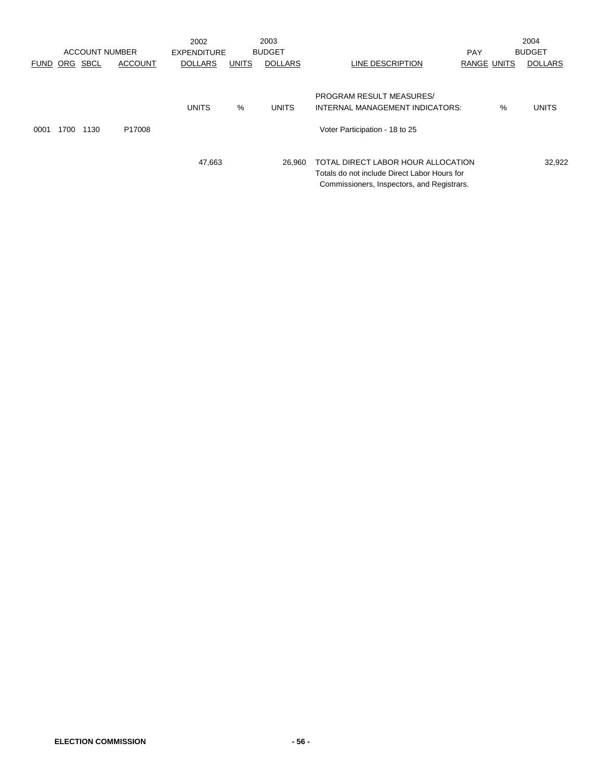|             |          | <b>ACCOUNT NUMBER</b> |                | 2002               |              | 2003           |                                                                                                                                  |                    |      | 2004           |
|-------------|----------|-----------------------|----------------|--------------------|--------------|----------------|----------------------------------------------------------------------------------------------------------------------------------|--------------------|------|----------------|
|             |          |                       |                | <b>EXPENDITURE</b> |              | <b>BUDGET</b>  |                                                                                                                                  | <b>PAY</b>         |      | <b>BUDGET</b>  |
| <b>FUND</b> | ORG SBCL |                       | <b>ACCOUNT</b> | <b>DOLLARS</b>     | <b>UNITS</b> | <b>DOLLARS</b> | LINE DESCRIPTION                                                                                                                 | <b>RANGE UNITS</b> |      | <b>DOLLARS</b> |
| 0001        | 1700     | 1130                  | P17008         | <b>UNITS</b>       | %            | <b>UNITS</b>   | PROGRAM RESULT MEASURES/<br>INTERNAL MANAGEMENT INDICATORS:<br>Voter Participation - 18 to 25                                    |                    | $\%$ | UNITS          |
|             |          |                       |                | 47,663             |              | 26.960         | TOTAL DIRECT LABOR HOUR ALLOCATION<br>Totals do not include Direct Labor Hours for<br>Commissioners, Inspectors, and Registrars. |                    |      | 32,922         |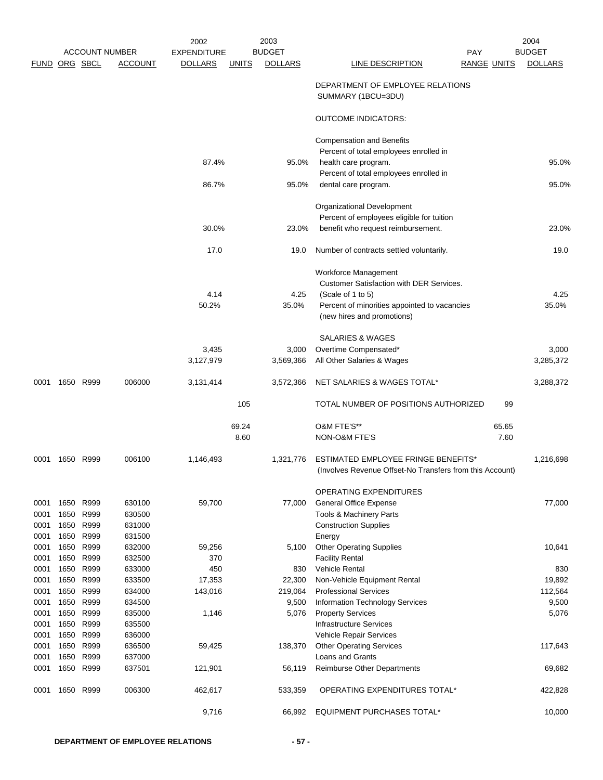|               |      |           |                       | 2002               |              | 2003           |                                                          |                    | 2004           |
|---------------|------|-----------|-----------------------|--------------------|--------------|----------------|----------------------------------------------------------|--------------------|----------------|
|               |      |           | <b>ACCOUNT NUMBER</b> | <b>EXPENDITURE</b> |              | <b>BUDGET</b>  | <b>PAY</b>                                               |                    | <b>BUDGET</b>  |
| FUND ORG SBCL |      |           | <b>ACCOUNT</b>        | <b>DOLLARS</b>     | <b>UNITS</b> | <b>DOLLARS</b> | LINE DESCRIPTION                                         | <b>RANGE UNITS</b> | <b>DOLLARS</b> |
|               |      |           |                       |                    |              |                | DEPARTMENT OF EMPLOYEE RELATIONS<br>SUMMARY (1BCU=3DU)   |                    |                |
|               |      |           |                       |                    |              |                | <b>OUTCOME INDICATORS:</b>                               |                    |                |
|               |      |           |                       |                    |              |                | <b>Compensation and Benefits</b>                         |                    |                |
|               |      |           |                       |                    |              |                | Percent of total employees enrolled in                   |                    |                |
|               |      |           |                       | 87.4%              |              | 95.0%          | health care program.                                     |                    | 95.0%          |
|               |      |           |                       |                    |              |                | Percent of total employees enrolled in                   |                    |                |
|               |      |           |                       | 86.7%              |              | 95.0%          | dental care program.                                     |                    | 95.0%          |
|               |      |           |                       |                    |              |                | Organizational Development                               |                    |                |
|               |      |           |                       |                    |              |                | Percent of employees eligible for tuition                |                    |                |
|               |      |           |                       | 30.0%              |              | 23.0%          | benefit who request reimbursement.                       |                    | 23.0%          |
|               |      |           |                       | 17.0               |              | 19.0           | Number of contracts settled voluntarily.                 |                    | 19.0           |
|               |      |           |                       |                    |              |                |                                                          |                    |                |
|               |      |           |                       |                    |              |                | Workforce Management                                     |                    |                |
|               |      |           |                       |                    |              |                | <b>Customer Satisfaction with DER Services.</b>          |                    |                |
|               |      |           |                       | 4.14               |              | 4.25           | (Scale of 1 to 5)                                        |                    | 4.25           |
|               |      |           |                       | 50.2%              |              | 35.0%          | Percent of minorities appointed to vacancies             |                    | 35.0%          |
|               |      |           |                       |                    |              |                | (new hires and promotions)                               |                    |                |
|               |      |           |                       |                    |              |                | <b>SALARIES &amp; WAGES</b>                              |                    |                |
|               |      |           |                       | 3,435              |              | 3,000          | Overtime Compensated*                                    |                    | 3,000          |
|               |      |           |                       | 3,127,979          |              | 3,569,366      | All Other Salaries & Wages                               |                    | 3,285,372      |
| 0001          | 1650 | R999      | 006000                | 3,131,414          |              | 3,572,366      | NET SALARIES & WAGES TOTAL*                              |                    | 3,288,372      |
|               |      |           |                       |                    | 105          |                | TOTAL NUMBER OF POSITIONS AUTHORIZED                     | 99                 |                |
|               |      |           |                       |                    | 69.24        |                | O&M FTE'S**                                              | 65.65              |                |
|               |      |           |                       |                    | 8.60         |                | <b>NON-O&amp;M FTE'S</b>                                 | 7.60               |                |
| 0001          | 1650 | R999      | 006100                | 1,146,493          |              | 1,321,776      | ESTIMATED EMPLOYEE FRINGE BENEFITS*                      |                    | 1,216,698      |
|               |      |           |                       |                    |              |                | (Involves Revenue Offset-No Transfers from this Account) |                    |                |
|               |      |           |                       |                    |              |                | <b>OPERATING EXPENDITURES</b>                            |                    |                |
| 0001          | 1650 | R999      | 630100                | 59,700             |              | 77,000         | <b>General Office Expense</b>                            |                    | 77,000         |
| 0001          | 1650 | R999      | 630500                |                    |              |                | Tools & Machinery Parts                                  |                    |                |
| 0001          | 1650 | R999      | 631000                |                    |              |                | <b>Construction Supplies</b>                             |                    |                |
| 0001          | 1650 | R999      | 631500                |                    |              |                | Energy                                                   |                    |                |
| 0001          | 1650 | R999      | 632000                | 59,256             |              | 5,100          | <b>Other Operating Supplies</b>                          |                    | 10,641         |
| 0001          |      | 1650 R999 | 632500                | 370                |              |                | <b>Facility Rental</b>                                   |                    |                |
| 0001          | 1650 | R999      | 633000                | 450                |              | 830            | Vehicle Rental                                           |                    | 830            |
| 0001          | 1650 | R999      | 633500                | 17,353             |              | 22,300         | Non-Vehicle Equipment Rental                             |                    | 19,892         |
| 0001          | 1650 | R999      | 634000                | 143,016            |              | 219,064        | <b>Professional Services</b>                             |                    | 112,564        |
| 0001          | 1650 | R999      | 634500                |                    |              | 9,500          | Information Technology Services                          |                    | 9,500          |
| 0001          | 1650 | R999      | 635000                | 1,146              |              | 5,076          | <b>Property Services</b>                                 |                    | 5,076          |
| 0001          | 1650 | R999      | 635500                |                    |              |                | <b>Infrastructure Services</b>                           |                    |                |
| 0001          | 1650 | R999      | 636000                |                    |              |                | Vehicle Repair Services                                  |                    |                |
| 0001          | 1650 | R999      | 636500                | 59,425             |              | 138,370        | <b>Other Operating Services</b>                          |                    | 117,643        |
| 0001          | 1650 | R999      | 637000                |                    |              |                | Loans and Grants                                         |                    |                |
| 0001          | 1650 | R999      | 637501                | 121,901            |              | 56,119         | <b>Reimburse Other Departments</b>                       |                    | 69,682         |
| 0001          | 1650 | R999      | 006300                | 462,617            |              | 533,359        | OPERATING EXPENDITURES TOTAL*                            |                    | 422,828        |
|               |      |           |                       | 9,716              |              | 66,992         | <b>EQUIPMENT PURCHASES TOTAL*</b>                        |                    | 10,000         |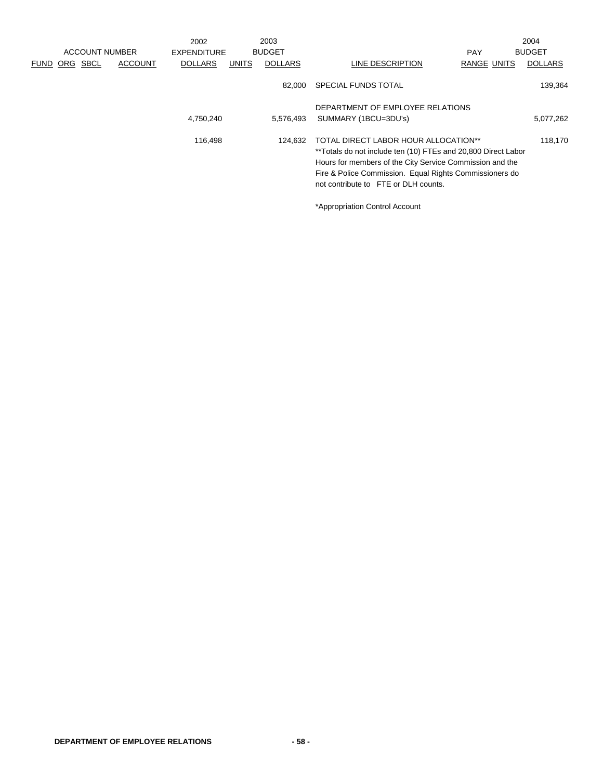|                  |                       | 2002               |              | 2003           |                                                                                                                                                                                                                                                                      |                    | 2004           |
|------------------|-----------------------|--------------------|--------------|----------------|----------------------------------------------------------------------------------------------------------------------------------------------------------------------------------------------------------------------------------------------------------------------|--------------------|----------------|
|                  | <b>ACCOUNT NUMBER</b> | <b>EXPENDITURE</b> |              | <b>BUDGET</b>  |                                                                                                                                                                                                                                                                      | <b>PAY</b>         | <b>BUDGET</b>  |
| SBCL<br>FUND ORG | <b>ACCOUNT</b>        | <b>DOLLARS</b>     | <b>UNITS</b> | <b>DOLLARS</b> | LINE DESCRIPTION                                                                                                                                                                                                                                                     | <b>RANGE UNITS</b> | <b>DOLLARS</b> |
|                  |                       |                    |              | 82.000         | <b>SPECIAL FUNDS TOTAL</b>                                                                                                                                                                                                                                           |                    | 139,364        |
|                  |                       |                    |              |                | DEPARTMENT OF EMPLOYEE RELATIONS                                                                                                                                                                                                                                     |                    |                |
|                  |                       | 4,750,240          |              | 5,576,493      | SUMMARY (1BCU=3DU's)                                                                                                                                                                                                                                                 |                    | 5,077,262      |
|                  |                       | 116.498            |              | 124.632        | TOTAL DIRECT LABOR HOUR ALLOCATION**<br>**Totals do not include ten (10) FTEs and 20,800 Direct Labor<br>Hours for members of the City Service Commission and the<br>Fire & Police Commission. Equal Rights Commissioners do<br>not contribute to FTE or DLH counts. |                    | 118.170        |

\*Appropriation Control Account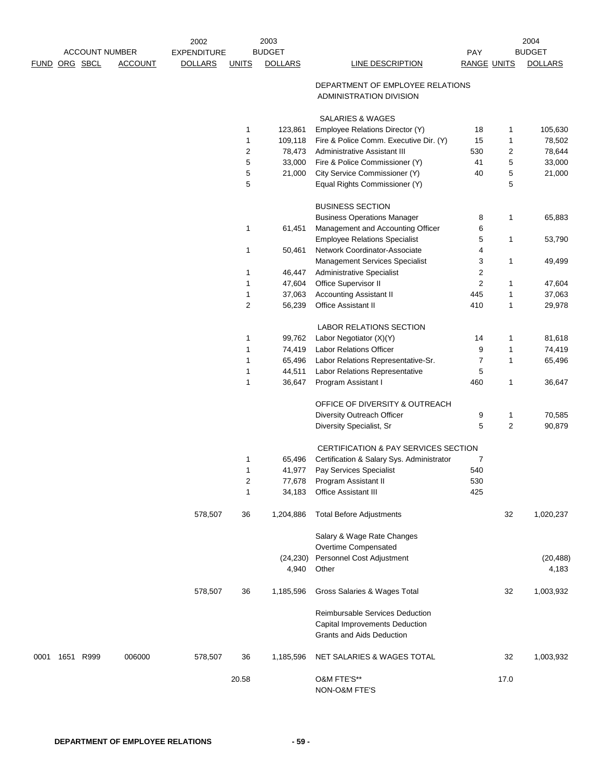| <b>ACCOUNT NUMBER</b> |               | 2003<br>2002<br><b>BUDGET</b><br><b>EXPENDITURE</b> |                |                |                  |                |                                                                                                       | 2004               |                |                |
|-----------------------|---------------|-----------------------------------------------------|----------------|----------------|------------------|----------------|-------------------------------------------------------------------------------------------------------|--------------------|----------------|----------------|
|                       |               |                                                     |                |                |                  |                |                                                                                                       | PAY                |                | <b>BUDGET</b>  |
|                       | FUND ORG SBCL |                                                     | <b>ACCOUNT</b> | <b>DOLLARS</b> | <b>UNITS</b>     | <b>DOLLARS</b> | LINE DESCRIPTION                                                                                      | <b>RANGE UNITS</b> |                | <b>DOLLARS</b> |
|                       |               |                                                     |                |                |                  |                | DEPARTMENT OF EMPLOYEE RELATIONS<br>ADMINISTRATION DIVISION                                           |                    |                |                |
|                       |               |                                                     |                |                |                  |                | <b>SALARIES &amp; WAGES</b>                                                                           |                    |                |                |
|                       |               |                                                     |                |                | 1                | 123,861        | Employee Relations Director (Y)                                                                       | 18                 | 1              | 105,630        |
|                       |               |                                                     |                |                | 1                | 109,118        | Fire & Police Comm. Executive Dir. (Y)                                                                | 15                 | $\mathbf{1}$   | 78,502         |
|                       |               |                                                     |                |                | $\boldsymbol{2}$ | 78,473         | Administrative Assistant III                                                                          | 530                | 2              | 78,644         |
|                       |               |                                                     |                |                | 5                | 33,000         | Fire & Police Commissioner (Y)                                                                        | 41                 | 5              | 33,000         |
|                       |               |                                                     |                |                | 5                | 21,000         | City Service Commissioner (Y)                                                                         | 40                 | 5              | 21,000         |
|                       |               |                                                     |                |                | 5                |                | Equal Rights Commissioner (Y)                                                                         |                    | 5              |                |
|                       |               |                                                     |                |                |                  |                | <b>BUSINESS SECTION</b>                                                                               |                    |                |                |
|                       |               |                                                     |                |                |                  |                | <b>Business Operations Manager</b>                                                                    | 8                  | $\mathbf{1}$   | 65,883         |
|                       |               |                                                     |                |                | $\mathbf{1}$     | 61,451         | Management and Accounting Officer                                                                     | 6                  |                |                |
|                       |               |                                                     |                |                |                  |                | <b>Employee Relations Specialist</b>                                                                  | 5                  | $\mathbf{1}$   | 53,790         |
|                       |               |                                                     |                |                | 1                | 50,461         | Network Coordinator-Associate                                                                         | 4                  |                |                |
|                       |               |                                                     |                |                |                  |                | <b>Management Services Specialist</b>                                                                 | 3                  | $\mathbf{1}$   | 49,499         |
|                       |               |                                                     |                |                | 1                | 46,447         | <b>Administrative Specialist</b>                                                                      | 2                  |                |                |
|                       |               |                                                     |                |                | 1                | 47,604         | Office Supervisor II                                                                                  | $\overline{c}$     | 1              | 47,604         |
|                       |               |                                                     |                |                | $\mathbf{1}$     | 37,063         | <b>Accounting Assistant II</b>                                                                        | 445                | 1              | 37,063         |
|                       |               |                                                     |                |                | $\overline{2}$   |                | Office Assistant II                                                                                   | 410                | $\mathbf{1}$   | 29,978         |
|                       |               |                                                     |                |                |                  | 56,239         |                                                                                                       |                    |                |                |
|                       |               |                                                     |                |                |                  |                | LABOR RELATIONS SECTION                                                                               |                    |                |                |
|                       |               |                                                     |                |                | 1                | 99,762         | Labor Negotiator (X)(Y)                                                                               | 14                 | 1              | 81,618         |
|                       |               |                                                     |                |                | 1                | 74,419         | Labor Relations Officer                                                                               | 9                  | $\mathbf{1}$   | 74,419         |
|                       |               |                                                     |                |                | 1                | 65,496         | Labor Relations Representative-Sr.                                                                    | $\overline{7}$     | $\mathbf{1}$   | 65,496         |
|                       |               |                                                     |                |                | 1                | 44,511         | Labor Relations Representative                                                                        | 5                  |                |                |
|                       |               |                                                     |                |                | 1                | 36,647         | Program Assistant I                                                                                   | 460                | 1              | 36,647         |
|                       |               |                                                     |                |                |                  |                | OFFICE OF DIVERSITY & OUTREACH                                                                        |                    |                |                |
|                       |               |                                                     |                |                |                  |                | Diversity Outreach Officer                                                                            | 9                  | $\mathbf{1}$   | 70,585         |
|                       |               |                                                     |                |                |                  |                | Diversity Specialist, Sr                                                                              | 5                  | $\overline{2}$ | 90,879         |
|                       |               |                                                     |                |                |                  |                | CERTIFICATION & PAY SERVICES SECTION                                                                  |                    |                |                |
|                       |               |                                                     |                |                | 1                | 65,496         | Certification & Salary Sys. Administrator                                                             | 7                  |                |                |
|                       |               |                                                     |                |                | $\mathbf{1}$     | 41,977         | Pay Services Specialist                                                                               | 540                |                |                |
|                       |               |                                                     |                |                | $\overline{c}$   | 77,678         | Program Assistant II                                                                                  | 530                |                |                |
|                       |               |                                                     |                |                | 1                | 34,183         | Office Assistant III                                                                                  | 425                |                |                |
|                       |               |                                                     |                | 578,507        | 36               | 1,204,886      | <b>Total Before Adjustments</b>                                                                       |                    | 32             | 1,020,237      |
|                       |               |                                                     |                |                |                  |                | Salary & Wage Rate Changes                                                                            |                    |                |                |
|                       |               |                                                     |                |                |                  |                | Overtime Compensated                                                                                  |                    |                |                |
|                       |               |                                                     |                |                |                  | (24, 230)      | Personnel Cost Adjustment                                                                             |                    |                | (20, 488)      |
|                       |               |                                                     |                |                |                  | 4,940          | Other                                                                                                 |                    |                | 4,183          |
|                       |               |                                                     |                | 578,507        | 36               | 1,185,596      | Gross Salaries & Wages Total                                                                          |                    | 32             | 1,003,932      |
|                       |               |                                                     |                |                |                  |                | Reimbursable Services Deduction<br>Capital Improvements Deduction<br><b>Grants and Aids Deduction</b> |                    |                |                |
| 0001                  |               | 1651 R999                                           | 006000         | 578,507        | 36               | 1,185,596      | NET SALARIES & WAGES TOTAL                                                                            |                    | 32             | 1,003,932      |
|                       |               |                                                     |                |                | 20.58            |                | O&M FTE'S**<br>NON-O&M FTE'S                                                                          |                    | 17.0           |                |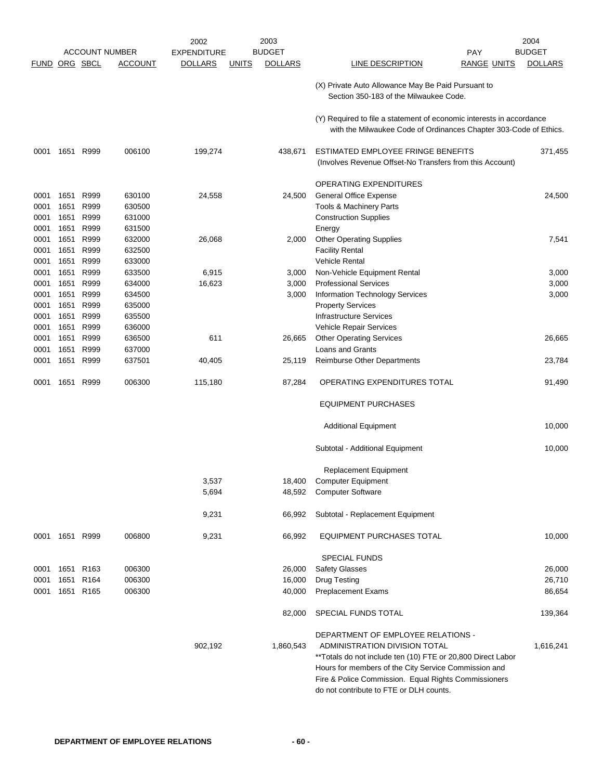|               |                |                  |                       | 2002               |              | 2003           |                                                                                                                                           | 2004           |
|---------------|----------------|------------------|-----------------------|--------------------|--------------|----------------|-------------------------------------------------------------------------------------------------------------------------------------------|----------------|
|               |                |                  | <b>ACCOUNT NUMBER</b> | <b>EXPENDITURE</b> |              | <b>BUDGET</b>  | <b>PAY</b>                                                                                                                                | <b>BUDGET</b>  |
| FUND ORG SBCL |                |                  | ACCOUNT               | <b>DOLLARS</b>     | <b>UNITS</b> | <b>DOLLARS</b> | LINE DESCRIPTION<br><b>RANGE UNITS</b>                                                                                                    | <b>DOLLARS</b> |
|               |                |                  |                       |                    |              |                | (X) Private Auto Allowance May Be Paid Pursuant to<br>Section 350-183 of the Milwaukee Code.                                              |                |
|               |                |                  |                       |                    |              |                | (Y) Required to file a statement of economic interests in accordance<br>with the Milwaukee Code of Ordinances Chapter 303-Code of Ethics. |                |
| 0001          | 1651           | R999             | 006100                | 199,274            |              | 438,671        | ESTIMATED EMPLOYEE FRINGE BENEFITS<br>(Involves Revenue Offset-No Transfers from this Account)                                            | 371,455        |
|               |                |                  |                       |                    |              |                | OPERATING EXPENDITURES                                                                                                                    |                |
| 0001          | 1651           | R999             | 630100                | 24,558             |              | 24,500         | General Office Expense                                                                                                                    | 24,500         |
| 0001          | 1651           | R999             | 630500                |                    |              |                | Tools & Machinery Parts                                                                                                                   |                |
| 0001          | 1651           | R999             | 631000                |                    |              |                | <b>Construction Supplies</b>                                                                                                              |                |
| 0001          | 1651           | R999             | 631500                |                    |              |                | Energy                                                                                                                                    |                |
| 0001          | 1651           | R999             | 632000                | 26,068             |              | 2,000          | <b>Other Operating Supplies</b>                                                                                                           | 7,541          |
| 0001          | 1651           | R999             | 632500                |                    |              |                | <b>Facility Rental</b>                                                                                                                    |                |
| 0001          | 1651           | R999             | 633000                |                    |              |                | <b>Vehicle Rental</b>                                                                                                                     |                |
| 0001          | 1651           | R999             | 633500                | 6,915              |              | 3,000          | Non-Vehicle Equipment Rental                                                                                                              | 3,000          |
| 0001          | 1651           | R999             | 634000                | 16,623             |              | 3,000          | <b>Professional Services</b>                                                                                                              | 3,000          |
| 0001          | 1651           | R999             | 634500                |                    |              | 3,000          | Information Technology Services                                                                                                           | 3,000          |
| 0001          | 1651           | R999             | 635000                |                    |              |                | <b>Property Services</b>                                                                                                                  |                |
| 0001          | 1651           | R999             | 635500                |                    |              |                | <b>Infrastructure Services</b>                                                                                                            |                |
| 0001          | 1651           | R999             | 636000                |                    |              |                | Vehicle Repair Services                                                                                                                   |                |
| 0001          | 1651           | R999             | 636500                | 611                |              | 26,665         | <b>Other Operating Services</b>                                                                                                           | 26,665         |
| 0001<br>0001  | 1651<br>1651   | R999<br>R999     | 637000<br>637501      | 40,405             |              | 25,119         | <b>Loans and Grants</b><br>Reimburse Other Departments                                                                                    | 23,784         |
|               |                |                  |                       |                    |              |                |                                                                                                                                           |                |
| 0001          | 1651           | R999             | 006300                | 115,180            |              | 87,284         | OPERATING EXPENDITURES TOTAL                                                                                                              | 91,490         |
|               |                |                  |                       |                    |              |                | <b>EQUIPMENT PURCHASES</b>                                                                                                                |                |
|               |                |                  |                       |                    |              |                | <b>Additional Equipment</b>                                                                                                               | 10,000         |
|               |                |                  |                       |                    |              |                | Subtotal - Additional Equipment                                                                                                           | 10,000         |
|               |                |                  |                       |                    |              |                | Replacement Equipment                                                                                                                     |                |
|               |                |                  |                       | 3,537              |              | 18,400         | <b>Computer Equipment</b>                                                                                                                 |                |
|               |                |                  |                       | 5,694              |              | 48,592         | <b>Computer Software</b>                                                                                                                  |                |
|               |                |                  |                       | 9,231              |              | 66,992         | Subtotal - Replacement Equipment                                                                                                          |                |
|               | 0001 1651 R999 |                  | 006800                | 9,231              |              | 66,992         | EQUIPMENT PURCHASES TOTAL                                                                                                                 | 10,000         |
|               |                |                  |                       |                    |              |                | <b>SPECIAL FUNDS</b>                                                                                                                      |                |
| 0001          | 1651           | R <sub>163</sub> | 006300                |                    |              | 26,000         | <b>Safety Glasses</b>                                                                                                                     | 26,000         |
| 0001          | 1651           | R <sub>164</sub> | 006300                |                    |              | 16,000         | <b>Drug Testing</b>                                                                                                                       | 26,710         |
| 0001          |                | 1651 R165        | 006300                |                    |              | 40,000         | <b>Preplacement Exams</b>                                                                                                                 | 86,654         |
|               |                |                  |                       |                    |              | 82,000         | SPECIAL FUNDS TOTAL                                                                                                                       | 139,364        |
|               |                |                  |                       |                    |              |                | DEPARTMENT OF EMPLOYEE RELATIONS -                                                                                                        |                |
|               |                |                  |                       | 902,192            |              | 1,860,543      | ADMINISTRATION DIVISION TOTAL                                                                                                             | 1,616,241      |
|               |                |                  |                       |                    |              |                | **Totals do not include ten (10) FTE or 20,800 Direct Labor                                                                               |                |
|               |                |                  |                       |                    |              |                | Hours for members of the City Service Commission and                                                                                      |                |
|               |                |                  |                       |                    |              |                | Fire & Police Commission. Equal Rights Commissioners                                                                                      |                |
|               |                |                  |                       |                    |              |                | do not contribute to FTE or DLH counts.                                                                                                   |                |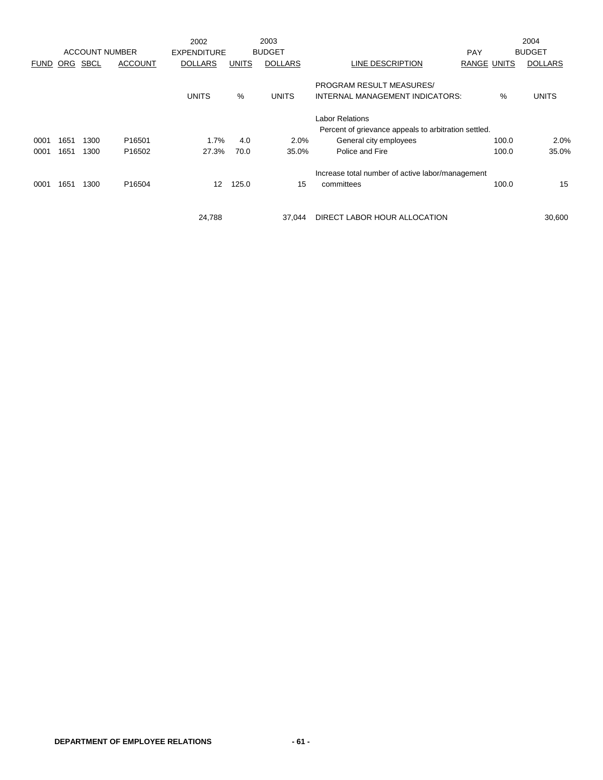|             |            | <b>ACCOUNT NUMBER</b> |                    | 2002<br><b>EXPENDITURE</b> |              | 2003<br><b>BUDGET</b> |                                                             | <b>PAY</b>         | 2004<br><b>BUDGET</b> |
|-------------|------------|-----------------------|--------------------|----------------------------|--------------|-----------------------|-------------------------------------------------------------|--------------------|-----------------------|
| <b>FUND</b> | <b>ORG</b> | <b>SBCL</b>           | <b>ACCOUNT</b>     | <b>DOLLARS</b>             | <b>UNITS</b> | <b>DOLLARS</b>        | LINE DESCRIPTION                                            | <b>RANGE UNITS</b> | <b>DOLLARS</b>        |
|             |            |                       |                    | <b>UNITS</b>               | %            | <b>UNITS</b>          | PROGRAM RESULT MEASURES/<br>INTERNAL MANAGEMENT INDICATORS: | %                  | <b>UNITS</b>          |
|             |            |                       |                    |                            |              |                       | <b>Labor Relations</b>                                      |                    |                       |
|             |            |                       |                    |                            |              |                       | Percent of grievance appeals to arbitration settled.        |                    |                       |
| 0001        | 1651       | 1300                  | P <sub>16501</sub> | 1.7%                       | 4.0          | 2.0%                  | General city employees                                      | 100.0              | 2.0%                  |
| 0001        | 1651       | 1300                  | P <sub>16502</sub> | 27.3%                      | 70.0         | 35.0%                 | Police and Fire                                             | 100.0              | 35.0%                 |
|             |            |                       |                    |                            |              |                       | Increase total number of active labor/management            |                    |                       |
| 0001        | 1651       | 1300                  | P16504             | 12                         | 125.0        | 15                    | committees                                                  | 100.0              | 15                    |
|             |            |                       |                    |                            |              |                       |                                                             |                    |                       |
|             |            |                       |                    | 24,788                     |              | 37.044                | DIRECT LABOR HOUR ALLOCATION                                |                    | 30,600                |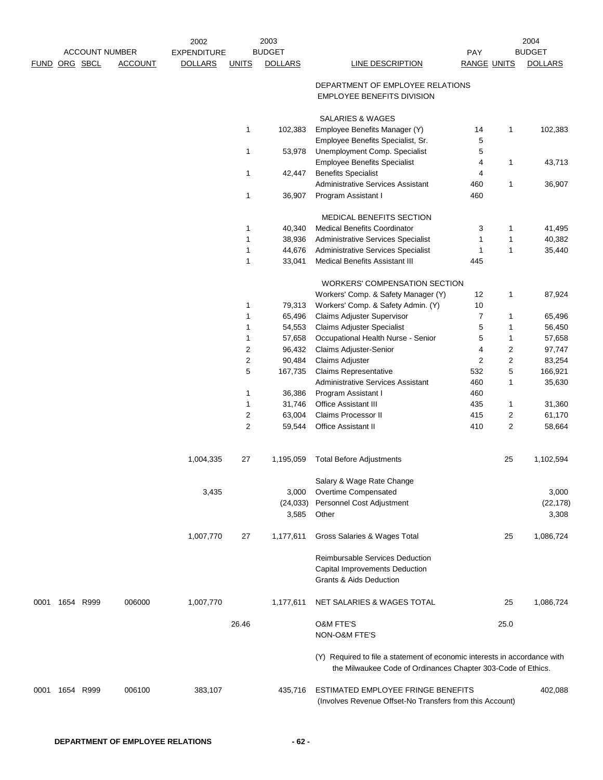|               |           | <b>ACCOUNT NUMBER</b> |                | 2002<br><b>EXPENDITURE</b> |                         | 2003<br><b>BUDGET</b> |                                                                                                                                           | PAY                     |                         | 2004<br><b>BUDGET</b> |
|---------------|-----------|-----------------------|----------------|----------------------------|-------------------------|-----------------------|-------------------------------------------------------------------------------------------------------------------------------------------|-------------------------|-------------------------|-----------------------|
| FUND ORG SBCL |           |                       | <b>ACCOUNT</b> | <b>DOLLARS</b>             | <b>UNITS</b>            | <b>DOLLARS</b>        | <b>LINE DESCRIPTION</b>                                                                                                                   | <b>RANGE UNITS</b>      |                         | <b>DOLLARS</b>        |
|               |           |                       |                |                            |                         |                       | DEPARTMENT OF EMPLOYEE RELATIONS<br>EMPLOYEE BENEFITS DIVISION                                                                            |                         |                         |                       |
|               |           |                       |                |                            | $\mathbf{1}$            | 102,383               | <b>SALARIES &amp; WAGES</b><br>Employee Benefits Manager (Y)                                                                              | 14                      | 1                       | 102,383               |
|               |           |                       |                |                            | 1                       | 53,978                | Employee Benefits Specialist, Sr.<br>Unemployment Comp. Specialist                                                                        | 5<br>5                  |                         |                       |
|               |           |                       |                |                            | 1                       | 42,447                | <b>Employee Benefits Specialist</b><br><b>Benefits Specialist</b>                                                                         | 4<br>4                  | 1                       | 43,713                |
|               |           |                       |                |                            | 1                       | 36,907                | <b>Administrative Services Assistant</b><br>Program Assistant I                                                                           | 460<br>460              | 1                       | 36,907                |
|               |           |                       |                |                            |                         |                       | MEDICAL BENEFITS SECTION                                                                                                                  |                         |                         |                       |
|               |           |                       |                |                            | $\mathbf{1}$            | 40,340                | <b>Medical Benefits Coordinator</b>                                                                                                       | 3                       | 1                       | 41,495                |
|               |           |                       |                |                            | 1                       | 38,936                | Administrative Services Specialist                                                                                                        | 1                       | 1                       | 40,382                |
|               |           |                       |                |                            | 1                       | 44,676                | Administrative Services Specialist                                                                                                        | $\mathbf{1}$            | 1                       | 35,440                |
|               |           |                       |                |                            | 1                       | 33,041                | <b>Medical Benefits Assistant III</b>                                                                                                     | 445                     |                         |                       |
|               |           |                       |                |                            |                         |                       | <b>WORKERS' COMPENSATION SECTION</b>                                                                                                      |                         |                         |                       |
|               |           |                       |                |                            |                         |                       | Workers' Comp. & Safety Manager (Y)                                                                                                       | 12                      | 1                       | 87,924                |
|               |           |                       |                |                            | 1                       | 79,313                | Workers' Comp. & Safety Admin. (Y)                                                                                                        | 10                      |                         |                       |
|               |           |                       |                |                            | 1                       | 65,496                | Claims Adjuster Supervisor                                                                                                                | $\overline{7}$          | 1                       | 65,496                |
|               |           |                       |                |                            | 1                       | 54,553                | <b>Claims Adjuster Specialist</b>                                                                                                         | 5                       | 1                       | 56,450                |
|               |           |                       |                |                            | 1                       | 57,658                | Occupational Health Nurse - Senior                                                                                                        | 5                       | 1                       | 57,658                |
|               |           |                       |                |                            | 2                       | 96,432                | Claims Adjuster-Senior                                                                                                                    | 4                       | 2                       | 97,747                |
|               |           |                       |                |                            | $\overline{\mathbf{c}}$ | 90,484                | Claims Adjuster                                                                                                                           | $\overline{\mathbf{c}}$ | $\overline{\mathbf{c}}$ | 83,254                |
|               |           |                       |                |                            | 5                       | 167,735               | Claims Representative                                                                                                                     | 532                     | 5                       | 166,921               |
|               |           |                       |                |                            |                         |                       | <b>Administrative Services Assistant</b>                                                                                                  | 460                     | 1                       | 35,630                |
|               |           |                       |                |                            | 1                       | 36,386                | Program Assistant I                                                                                                                       | 460                     |                         |                       |
|               |           |                       |                |                            | 1                       | 31,746                | Office Assistant III                                                                                                                      | 435                     | 1                       | 31,360                |
|               |           |                       |                |                            | 2                       | 63,004                | Claims Processor II                                                                                                                       | 415                     | 2                       | 61,170                |
|               |           |                       |                |                            | $\overline{c}$          | 59,544                | Office Assistant II                                                                                                                       | 410                     | 2                       | 58,664                |
|               |           |                       |                | 1,004,335                  | 27                      | 1,195,059             | <b>Total Before Adjustments</b>                                                                                                           |                         | 25                      | 1,102,594             |
|               |           |                       |                |                            |                         |                       | Salary & Wage Rate Change                                                                                                                 |                         |                         |                       |
|               |           |                       |                | 3,435                      |                         | 3,000                 | Overtime Compensated                                                                                                                      |                         |                         | 3,000                 |
|               |           |                       |                |                            |                         | (24, 033)             | Personnel Cost Adjustment                                                                                                                 |                         |                         | (22, 178)             |
|               |           |                       |                |                            |                         | 3,585                 | Other                                                                                                                                     |                         |                         | 3,308                 |
|               |           |                       |                | 1,007,770                  | 27                      | 1,177,611             | Gross Salaries & Wages Total                                                                                                              |                         | 25                      | 1,086,724             |
|               |           |                       |                |                            |                         |                       | Reimbursable Services Deduction<br>Capital Improvements Deduction                                                                         |                         |                         |                       |
|               |           |                       |                |                            |                         |                       | Grants & Aids Deduction                                                                                                                   |                         |                         |                       |
| 0001          | 1654 R999 |                       | 006000         | 1,007,770                  |                         | 1,177,611             | NET SALARIES & WAGES TOTAL                                                                                                                |                         | 25                      | 1,086,724             |
|               |           |                       |                |                            | 26.46                   |                       | O&M FTE'S                                                                                                                                 |                         | 25.0                    |                       |
|               |           |                       |                |                            |                         |                       | NON-O&M FTE'S                                                                                                                             |                         |                         |                       |
|               |           |                       |                |                            |                         |                       | (Y) Required to file a statement of economic interests in accordance with<br>the Milwaukee Code of Ordinances Chapter 303-Code of Ethics. |                         |                         |                       |
| 0001          | 1654 R999 |                       | 006100         | 383,107                    |                         | 435,716               | ESTIMATED EMPLOYEE FRINGE BENEFITS<br>(Involves Revenue Offset-No Transfers from this Account)                                            |                         |                         | 402,088               |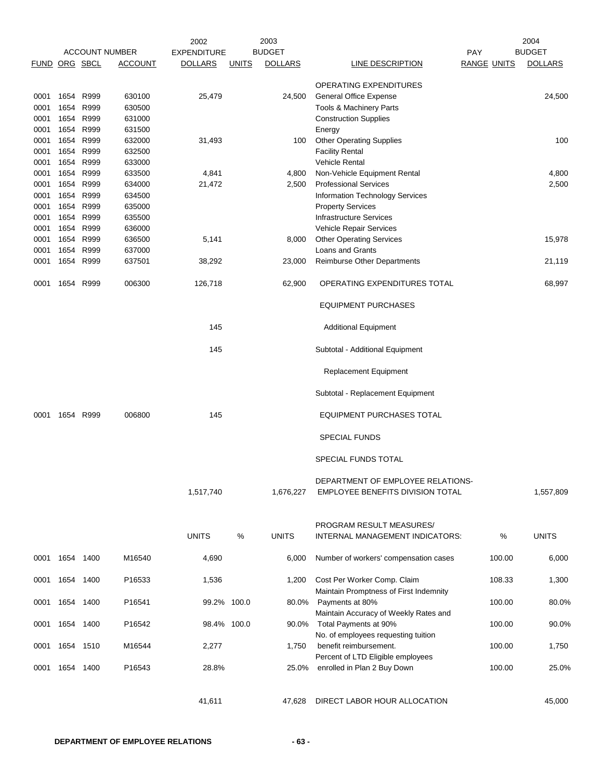|                      |           |      |                       | 2002               |              | 2003           |                                                                       |                    | 2004           |
|----------------------|-----------|------|-----------------------|--------------------|--------------|----------------|-----------------------------------------------------------------------|--------------------|----------------|
|                      |           |      | <b>ACCOUNT NUMBER</b> | <b>EXPENDITURE</b> |              | <b>BUDGET</b>  |                                                                       | <b>PAY</b>         | <b>BUDGET</b>  |
| <b>FUND ORG SBCL</b> |           |      | <b>ACCOUNT</b>        | <b>DOLLARS</b>     | <b>UNITS</b> | <b>DOLLARS</b> | LINE DESCRIPTION                                                      | <b>RANGE UNITS</b> | <b>DOLLARS</b> |
|                      |           |      |                       |                    |              |                | OPERATING EXPENDITURES                                                |                    |                |
| 0001                 | 1654      | R999 | 630100                | 25,479             |              | 24,500         | <b>General Office Expense</b>                                         |                    | 24,500         |
| 0001                 | 1654      | R999 | 630500                |                    |              |                | Tools & Machinery Parts                                               |                    |                |
| 0001                 | 1654      | R999 | 631000                |                    |              |                | <b>Construction Supplies</b>                                          |                    |                |
| 0001                 | 1654      | R999 | 631500                |                    |              |                | Energy                                                                |                    |                |
| 0001                 | 1654      | R999 | 632000                | 31,493             |              | 100            | Other Operating Supplies                                              |                    | 100            |
| 0001                 | 1654 R999 |      | 632500                |                    |              |                | <b>Facility Rental</b>                                                |                    |                |
| 0001                 | 1654 R999 |      | 633000                |                    |              |                | <b>Vehicle Rental</b>                                                 |                    |                |
| 0001                 | 1654      | R999 | 633500                | 4,841              |              | 4,800          | Non-Vehicle Equipment Rental                                          |                    | 4,800          |
| 0001                 | 1654      | R999 | 634000                | 21,472             |              | 2,500          | <b>Professional Services</b>                                          |                    | 2,500          |
|                      | 1654      | R999 | 634500                |                    |              |                |                                                                       |                    |                |
| 0001                 |           |      |                       |                    |              |                | Information Technology Services                                       |                    |                |
| 0001                 | 1654      | R999 | 635000                |                    |              |                | <b>Property Services</b>                                              |                    |                |
| 0001                 | 1654      | R999 | 635500                |                    |              |                | <b>Infrastructure Services</b>                                        |                    |                |
| 0001                 | 1654      | R999 | 636000                |                    |              |                | Vehicle Repair Services                                               |                    |                |
| 0001                 | 1654      | R999 | 636500                | 5,141              |              | 8,000          | <b>Other Operating Services</b>                                       |                    | 15,978         |
| 0001                 | 1654      | R999 | 637000                |                    |              |                | Loans and Grants                                                      |                    |                |
| 0001                 | 1654      | R999 | 637501                | 38,292             |              | 23,000         | <b>Reimburse Other Departments</b>                                    |                    | 21,119         |
| 0001                 | 1654      | R999 | 006300                | 126,718            |              | 62,900         | OPERATING EXPENDITURES TOTAL                                          |                    | 68,997         |
|                      |           |      |                       |                    |              |                | <b>EQUIPMENT PURCHASES</b>                                            |                    |                |
|                      |           |      |                       | 145                |              |                | <b>Additional Equipment</b>                                           |                    |                |
|                      |           |      |                       | 145                |              |                | Subtotal - Additional Equipment                                       |                    |                |
|                      |           |      |                       |                    |              |                | Replacement Equipment                                                 |                    |                |
|                      |           |      |                       |                    |              |                | Subtotal - Replacement Equipment                                      |                    |                |
| 0001                 | 1654      | R999 | 006800                | 145                |              |                | <b>EQUIPMENT PURCHASES TOTAL</b>                                      |                    |                |
|                      |           |      |                       |                    |              |                | <b>SPECIAL FUNDS</b>                                                  |                    |                |
|                      |           |      |                       |                    |              |                | SPECIAL FUNDS TOTAL                                                   |                    |                |
|                      |           |      |                       |                    |              |                | DEPARTMENT OF EMPLOYEE RELATIONS-                                     |                    |                |
|                      |           |      |                       | 1,517,740          |              | 1,676,227      | EMPLOYEE BENEFITS DIVISION TOTAL                                      |                    | 1,557,809      |
|                      |           |      |                       |                    |              |                | PROGRAM RESULT MEASURES/                                              |                    |                |
|                      |           |      |                       | <b>UNITS</b>       | %            | <b>UNITS</b>   | <b>INTERNAL MANAGEMENT INDICATORS:</b>                                | %                  | <b>UNITS</b>   |
| 0001                 | 1654 1400 |      | M16540                | 4,690              |              | 6,000          | Number of workers' compensation cases                                 | 100.00             | 6,000          |
| 0001                 | 1654 1400 |      | P16533                | 1,536              |              | 1,200          | Cost Per Worker Comp. Claim<br>Maintain Promptness of First Indemnity | 108.33             | 1,300          |
| 0001                 | 1654 1400 |      | P16541                | 99.2% 100.0        |              | 80.0%          | Payments at 80%<br>Maintain Accuracy of Weekly Rates and              | 100.00             | 80.0%          |
| 0001                 | 1654 1400 |      | P16542                | 98.4% 100.0        |              | 90.0%          | Total Payments at 90%<br>No. of employees requesting tuition          | 100.00             | 90.0%          |
| 0001                 | 1654 1510 |      | M16544                | 2,277              |              | 1,750          | benefit reimbursement.<br>Percent of LTD Eligible employees           | 100.00             | 1,750          |
| 0001                 | 1654 1400 |      | P16543                | 28.8%              |              | 25.0%          | enrolled in Plan 2 Buy Down                                           | 100.00             | 25.0%          |
|                      |           |      |                       | 41,611             |              | 47,628         | DIRECT LABOR HOUR ALLOCATION                                          |                    | 45,000         |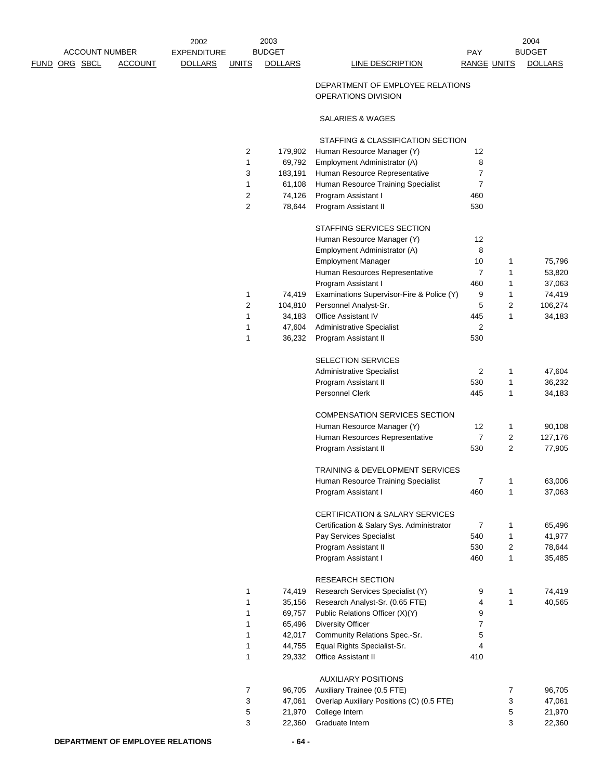|                                                                 | 2002                                                 | 2003                            |                                                               |                           |                | 2004                            |
|-----------------------------------------------------------------|------------------------------------------------------|---------------------------------|---------------------------------------------------------------|---------------------------|----------------|---------------------------------|
| <b>ACCOUNT NUMBER</b><br><u>FUND ORG SBCL</u><br><b>ACCOUNT</b> | <b>EXPENDITURE</b><br><b>DOLLARS</b><br><b>UNITS</b> | <b>BUDGET</b><br><b>DOLLARS</b> | LINE DESCRIPTION                                              | PAY<br><b>RANGE UNITS</b> |                | <b>BUDGET</b><br><b>DOLLARS</b> |
|                                                                 |                                                      |                                 |                                                               |                           |                |                                 |
|                                                                 |                                                      |                                 | DEPARTMENT OF EMPLOYEE RELATIONS<br>OPERATIONS DIVISION       |                           |                |                                 |
|                                                                 |                                                      |                                 | SALARIES & WAGES                                              |                           |                |                                 |
|                                                                 |                                                      |                                 | STAFFING & CLASSIFICATION SECTION                             |                           |                |                                 |
|                                                                 | 2<br>1                                               | 179,902                         | Human Resource Manager (Y)                                    | 12<br>8                   |                |                                 |
|                                                                 | 3                                                    | 69,792<br>183,191               | Employment Administrator (A)<br>Human Resource Representative | $\overline{7}$            |                |                                 |
|                                                                 | 1                                                    | 61,108                          | Human Resource Training Specialist                            | $\overline{7}$            |                |                                 |
|                                                                 | $\overline{c}$                                       | 74,126                          | Program Assistant I                                           | 460                       |                |                                 |
|                                                                 | $\overline{2}$                                       | 78,644                          | Program Assistant II                                          | 530                       |                |                                 |
|                                                                 |                                                      |                                 | STAFFING SERVICES SECTION                                     |                           |                |                                 |
|                                                                 |                                                      |                                 | Human Resource Manager (Y)                                    | 12                        |                |                                 |
|                                                                 |                                                      |                                 | Employment Administrator (A)                                  | 8                         |                |                                 |
|                                                                 |                                                      |                                 | <b>Employment Manager</b>                                     | 10                        | $\mathbf{1}$   | 75,796                          |
|                                                                 |                                                      |                                 | Human Resources Representative                                | $\overline{7}$            | $\mathbf{1}$   | 53,820                          |
|                                                                 |                                                      |                                 | Program Assistant I                                           | 460                       | 1              | 37,063                          |
|                                                                 | 1                                                    | 74,419                          | Examinations Supervisor-Fire & Police (Y)                     | 9                         | 1              | 74,419                          |
|                                                                 | $\overline{2}$                                       | 104,810                         | Personnel Analyst-Sr.                                         | 5                         | $\overline{2}$ | 106,274                         |
|                                                                 | 1                                                    | 34,183                          | <b>Office Assistant IV</b>                                    | 445                       | 1              | 34,183                          |
|                                                                 | 1                                                    | 47,604                          | <b>Administrative Specialist</b>                              | $\overline{2}$            |                |                                 |
|                                                                 | 1                                                    | 36,232                          | Program Assistant II                                          | 530                       |                |                                 |
|                                                                 |                                                      |                                 | SELECTION SERVICES                                            |                           |                |                                 |
|                                                                 |                                                      |                                 | <b>Administrative Specialist</b>                              | 2                         | $\mathbf{1}$   | 47,604                          |
|                                                                 |                                                      |                                 | Program Assistant II                                          | 530                       | $\mathbf{1}$   | 36,232                          |
|                                                                 |                                                      |                                 | Personnel Clerk                                               | 445                       | 1              | 34,183                          |
|                                                                 |                                                      |                                 | COMPENSATION SERVICES SECTION                                 |                           |                |                                 |
|                                                                 |                                                      |                                 | Human Resource Manager (Y)                                    | 12                        | $\mathbf{1}$   | 90,108                          |
|                                                                 |                                                      |                                 | Human Resources Representative                                | $\overline{7}$            | 2              | 127,176                         |
|                                                                 |                                                      |                                 | Program Assistant II                                          | 530                       | $\overline{2}$ | 77,905                          |
|                                                                 |                                                      |                                 | <b>TRAINING &amp; DEVELOPMENT SERVICES</b>                    |                           |                |                                 |
|                                                                 |                                                      |                                 | Human Resource Training Specialist                            | $\overline{7}$            | 1              | 63,006                          |
|                                                                 |                                                      |                                 | Program Assistant I                                           | 460                       | 1              | 37,063                          |
|                                                                 |                                                      |                                 | CERTIFICATION & SALARY SERVICES                               |                           |                |                                 |
|                                                                 |                                                      |                                 | Certification & Salary Sys. Administrator                     | $\overline{7}$            | 1              | 65,496                          |
|                                                                 |                                                      |                                 | Pay Services Specialist                                       | 540                       | $\mathbf{1}$   | 41,977                          |
|                                                                 |                                                      |                                 | Program Assistant II                                          | 530                       | 2              | 78,644                          |
|                                                                 |                                                      |                                 | Program Assistant I                                           | 460                       | 1              | 35,485                          |
|                                                                 |                                                      |                                 | <b>RESEARCH SECTION</b>                                       |                           |                |                                 |
|                                                                 | 1                                                    | 74,419                          | Research Services Specialist (Y)                              | 9                         | $\mathbf{1}$   | 74,419                          |
|                                                                 | 1                                                    | 35,156                          | Research Analyst-Sr. (0.65 FTE)                               | 4                         | 1              | 40,565                          |
|                                                                 | 1                                                    | 69,757                          | Public Relations Officer (X)(Y)                               | 9                         |                |                                 |
|                                                                 | 1                                                    | 65,496                          | <b>Diversity Officer</b>                                      | $\overline{7}$            |                |                                 |
|                                                                 | 1                                                    | 42,017                          | Community Relations Spec.-Sr.                                 | 5                         |                |                                 |
|                                                                 | 1<br>1                                               | 44,755<br>29,332                | Equal Rights Specialist-Sr.<br>Office Assistant II            | 4<br>410                  |                |                                 |
|                                                                 |                                                      |                                 |                                                               |                           |                |                                 |
|                                                                 | 7                                                    | 96,705                          | <b>AUXILIARY POSITIONS</b><br>Auxiliary Trainee (0.5 FTE)     |                           | 7              | 96,705                          |
|                                                                 | 3                                                    | 47,061                          | Overlap Auxiliary Positions (C) (0.5 FTE)                     |                           | 3              | 47,061                          |
|                                                                 | 5                                                    | 21,970                          | College Intern                                                |                           | 5              | 21,970                          |
|                                                                 | 3                                                    | 22,360                          | Graduate Intern                                               |                           | 3              | 22,360                          |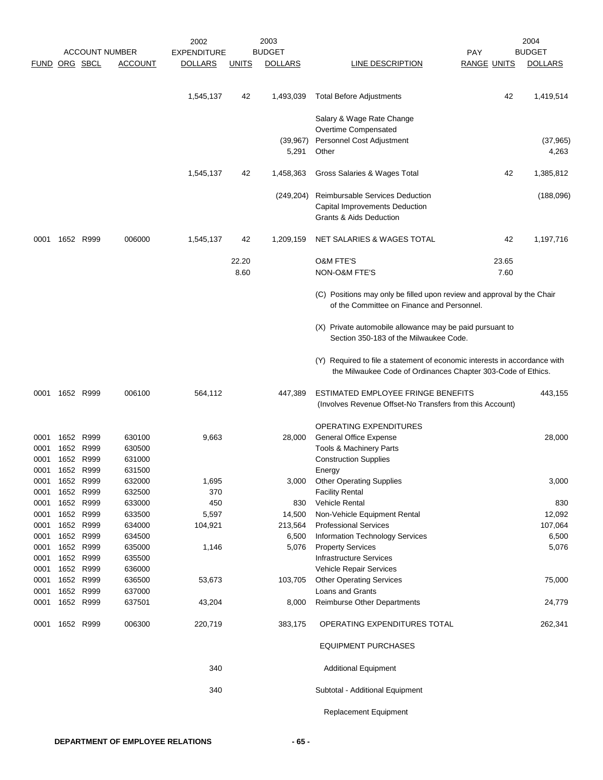|                      |           |           |                       | 2002               |              | 2003               |                                                                                                                                           |                    | 2004               |
|----------------------|-----------|-----------|-----------------------|--------------------|--------------|--------------------|-------------------------------------------------------------------------------------------------------------------------------------------|--------------------|--------------------|
|                      |           |           | <b>ACCOUNT NUMBER</b> | <b>EXPENDITURE</b> |              | <b>BUDGET</b>      |                                                                                                                                           | <b>PAY</b>         | <b>BUDGET</b>      |
| <b>FUND ORG SBCL</b> |           |           | <b>ACCOUNT</b>        | <b>DOLLARS</b>     | <u>UNITS</u> | <b>DOLLARS</b>     | LINE DESCRIPTION                                                                                                                          | <b>RANGE UNITS</b> | <b>DOLLARS</b>     |
|                      |           |           |                       |                    |              |                    |                                                                                                                                           |                    |                    |
|                      |           |           |                       | 1,545,137          | 42           | 1,493,039          | <b>Total Before Adjustments</b>                                                                                                           | 42                 | 1,419,514          |
|                      |           |           |                       |                    |              |                    | Salary & Wage Rate Change                                                                                                                 |                    |                    |
|                      |           |           |                       |                    |              |                    | Overtime Compensated                                                                                                                      |                    |                    |
|                      |           |           |                       |                    |              | (39, 967)<br>5,291 | Personnel Cost Adjustment<br>Other                                                                                                        |                    | (37, 965)<br>4,263 |
|                      |           |           |                       | 1,545,137          | 42           | 1,458,363          | Gross Salaries & Wages Total                                                                                                              | 42                 | 1,385,812          |
|                      |           |           |                       |                    |              |                    |                                                                                                                                           |                    |                    |
|                      |           |           |                       |                    |              | (249, 204)         | <b>Reimbursable Services Deduction</b><br>Capital Improvements Deduction<br>Grants & Aids Deduction                                       |                    | (188,096)          |
| 0001                 |           | 1652 R999 | 006000                | 1,545,137          | 42           | 1,209,159          | NET SALARIES & WAGES TOTAL                                                                                                                | 42                 | 1,197,716          |
|                      |           |           |                       |                    | 22.20        |                    | <b>O&amp;M FTE'S</b>                                                                                                                      | 23.65              |                    |
|                      |           |           |                       |                    | 8.60         |                    | NON-O&M FTE'S                                                                                                                             | 7.60               |                    |
|                      |           |           |                       |                    |              |                    | (C) Positions may only be filled upon review and approval by the Chair<br>of the Committee on Finance and Personnel.                      |                    |                    |
|                      |           |           |                       |                    |              |                    | (X) Private automobile allowance may be paid pursuant to<br>Section 350-183 of the Milwaukee Code.                                        |                    |                    |
|                      |           |           |                       |                    |              |                    | (Y) Required to file a statement of economic interests in accordance with<br>the Milwaukee Code of Ordinances Chapter 303-Code of Ethics. |                    |                    |
| 0001                 |           | 1652 R999 | 006100                | 564,112            |              | 447,389            | ESTIMATED EMPLOYEE FRINGE BENEFITS<br>(Involves Revenue Offset-No Transfers from this Account)                                            |                    | 443,155            |
|                      |           |           |                       |                    |              |                    | OPERATING EXPENDITURES                                                                                                                    |                    |                    |
| 0001                 |           | 1652 R999 | 630100                | 9,663              |              | 28,000             | <b>General Office Expense</b>                                                                                                             |                    | 28,000             |
| 0001                 |           | 1652 R999 | 630500                |                    |              |                    | <b>Tools &amp; Machinery Parts</b>                                                                                                        |                    |                    |
| 0001                 |           | 1652 R999 | 631000                |                    |              |                    | <b>Construction Supplies</b>                                                                                                              |                    |                    |
| 0001                 |           | 1652 R999 | 631500                |                    |              |                    | Energy                                                                                                                                    |                    |                    |
| 0001                 | 1652 R999 |           | 632000                | 1,695              |              | 3,000              | <b>Other Operating Supplies</b>                                                                                                           |                    | 3,000              |
| 0001                 |           | 1652 R999 | 632500                | 370                |              |                    | <b>Facility Rental</b>                                                                                                                    |                    |                    |
| 0001                 |           | 1652 R999 | 633000                | 450                |              | 830                | Vehicle Rental                                                                                                                            |                    | 830                |
| 0001                 |           | 1652 R999 | 633500                | 5,597              |              | 14,500             | Non-Vehicle Equipment Rental                                                                                                              |                    | 12,092             |
| 0001                 |           | 1652 R999 | 634000                | 104,921            |              | 213,564            | <b>Professional Services</b>                                                                                                              |                    | 107,064            |
| 0001                 |           | 1652 R999 | 634500                |                    |              | 6,500              | <b>Information Technology Services</b>                                                                                                    |                    | 6,500              |
| 0001                 |           | 1652 R999 | 635000                | 1,146              |              | 5,076              | <b>Property Services</b>                                                                                                                  |                    | 5,076              |
| 0001                 |           | 1652 R999 | 635500                |                    |              |                    | <b>Infrastructure Services</b>                                                                                                            |                    |                    |
| 0001                 |           | 1652 R999 | 636000                |                    |              |                    | Vehicle Repair Services                                                                                                                   |                    |                    |
| 0001                 |           | 1652 R999 | 636500                | 53,673             |              | 103,705            | <b>Other Operating Services</b>                                                                                                           |                    | 75,000             |
| 0001                 |           | 1652 R999 | 637000                |                    |              |                    | Loans and Grants                                                                                                                          |                    |                    |
| 0001                 |           | 1652 R999 | 637501                | 43,204             |              | 8,000              | <b>Reimburse Other Departments</b>                                                                                                        |                    | 24,779             |
| 0001                 | 1652 R999 |           | 006300                | 220,719            |              | 383,175            | OPERATING EXPENDITURES TOTAL                                                                                                              |                    | 262,341            |
|                      |           |           |                       |                    |              |                    | <b>EQUIPMENT PURCHASES</b>                                                                                                                |                    |                    |
|                      |           |           |                       | 340                |              |                    | <b>Additional Equipment</b>                                                                                                               |                    |                    |
|                      |           |           |                       | 340                |              |                    | Subtotal - Additional Equipment                                                                                                           |                    |                    |
|                      |           |           |                       |                    |              |                    | Replacement Equipment                                                                                                                     |                    |                    |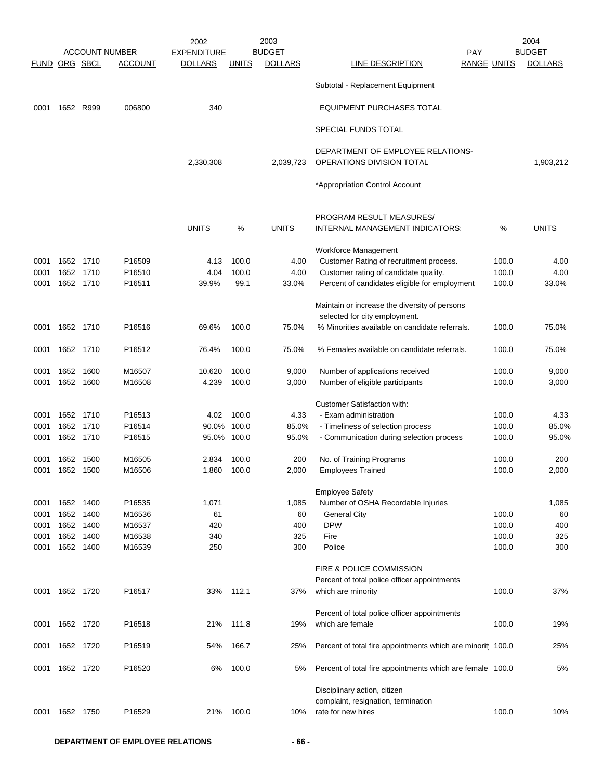|               |           |           |                       | 2002               |              | 2003           |                                                                                |                    | 2004           |
|---------------|-----------|-----------|-----------------------|--------------------|--------------|----------------|--------------------------------------------------------------------------------|--------------------|----------------|
|               |           |           | <b>ACCOUNT NUMBER</b> | <b>EXPENDITURE</b> |              | <b>BUDGET</b>  | <b>PAY</b>                                                                     |                    | <b>BUDGET</b>  |
| FUND ORG SBCL |           |           | <b>ACCOUNT</b>        | <b>DOLLARS</b>     | <u>UNITS</u> | <b>DOLLARS</b> | LINE DESCRIPTION                                                               | <b>RANGE UNITS</b> | <b>DOLLARS</b> |
|               |           |           |                       |                    |              |                | Subtotal - Replacement Equipment                                               |                    |                |
| 0001          | 1652 R999 |           | 006800                | 340                |              |                | <b>EQUIPMENT PURCHASES TOTAL</b>                                               |                    |                |
|               |           |           |                       |                    |              |                | SPECIAL FUNDS TOTAL                                                            |                    |                |
|               |           |           |                       | 2,330,308          |              | 2,039,723      | DEPARTMENT OF EMPLOYEE RELATIONS-<br>OPERATIONS DIVISION TOTAL                 |                    | 1,903,212      |
|               |           |           |                       |                    |              |                | *Appropriation Control Account                                                 |                    |                |
|               |           |           |                       |                    |              |                | PROGRAM RESULT MEASURES/                                                       |                    |                |
|               |           |           |                       | <b>UNITS</b>       | %            | <b>UNITS</b>   | INTERNAL MANAGEMENT INDICATORS:                                                | %                  | <b>UNITS</b>   |
|               |           |           |                       |                    |              |                | Workforce Management                                                           |                    |                |
| 0001          | 1652 1710 |           | P16509                | 4.13               | 100.0        | 4.00           | Customer Rating of recruitment process.                                        | 100.0              | 4.00           |
| 0001          | 1652      | 1710      | P16510                | 4.04               | 100.0        | 4.00           | Customer rating of candidate quality.                                          | 100.0              | 4.00           |
| 0001          | 1652      | 1710      | P16511                | 39.9%              | 99.1         | 33.0%          | Percent of candidates eligible for employment                                  | 100.0              | 33.0%          |
|               |           |           |                       |                    |              |                | Maintain or increase the diversity of persons<br>selected for city employment. |                    |                |
| 0001          | 1652 1710 |           | P16516                | 69.6%              | 100.0        | 75.0%          | % Minorities available on candidate referrals.                                 | 100.0              | 75.0%          |
| 0001          | 1652 1710 |           | P16512                | 76.4%              | 100.0        | 75.0%          | % Females available on candidate referrals.                                    | 100.0              | 75.0%          |
| 0001          | 1652      | 1600      | M16507                | 10,620             | 100.0        | 9,000          | Number of applications received                                                | 100.0              | 9,000          |
| 0001          | 1652 1600 |           | M16508                | 4,239              | 100.0        | 3,000          | Number of eligible participants                                                | 100.0              | 3,000          |
|               |           |           |                       |                    |              |                | <b>Customer Satisfaction with:</b>                                             |                    |                |
| 0001          | 1652 1710 |           | P16513                | 4.02               | 100.0        | 4.33           | - Exam administration                                                          | 100.0              | 4.33           |
| 0001          |           | 1652 1710 | P16514                | 90.0%              | 100.0        | 85.0%          | - Timeliness of selection process                                              | 100.0              | 85.0%          |
| 0001          | 1652 1710 |           | P16515                | 95.0% 100.0        |              | 95.0%          | - Communication during selection process                                       | 100.0              | 95.0%          |
| 0001          | 1652      | 1500      | M16505                | 2,834              | 100.0        | 200            | No. of Training Programs                                                       | 100.0              | 200            |
| 0001          | 1652 1500 |           | M16506                | 1,860              | 100.0        | 2,000          | <b>Employees Trained</b>                                                       | 100.0              | 2,000          |
|               |           |           |                       |                    |              |                | <b>Employee Safety</b>                                                         |                    |                |
| 0001          | 1652 1400 |           | P16535                | 1,071              |              | 1,085          | Number of OSHA Recordable Injuries                                             |                    | 1,085          |
| 0001          | 1652      | 1400      | M16536                | 61                 |              | 60             | <b>General City</b>                                                            | 100.0              | 60             |
| 0001          | 1652 1400 |           | M16537                | 420                |              | 400            | <b>DPW</b>                                                                     | 100.0              | 400            |
| 0001          | 1652 1400 |           | M16538                | 340                |              | 325            | Fire                                                                           | 100.0              | 325            |
| 0001          |           | 1652 1400 | M16539                | 250                |              | 300            | Police                                                                         | 100.0              | 300            |
|               |           |           |                       |                    |              |                | FIRE & POLICE COMMISSION                                                       |                    |                |
|               |           |           |                       |                    |              |                | Percent of total police officer appointments                                   |                    |                |
| 0001          | 1652 1720 |           | P16517                | 33%                | 112.1        | 37%            | which are minority                                                             | 100.0              | 37%            |
|               |           |           |                       |                    |              |                | Percent of total police officer appointments                                   |                    |                |
| 0001          | 1652 1720 |           | P16518                | 21%                | 111.8        | 19%            | which are female                                                               | 100.0              | 19%            |
| 0001          | 1652 1720 |           | P16519                | 54%                | 166.7        | 25%            | Percent of total fire appointments which are minorit 100.0                     |                    | 25%            |
| 0001          | 1652 1720 |           | P16520                | 6%                 | 100.0        | 5%             | Percent of total fire appointments which are female 100.0                      |                    | 5%             |
|               |           |           |                       |                    |              |                | Disciplinary action, citizen                                                   |                    |                |
| 0001          | 1652 1750 |           | P16529                | 21%                | 100.0        | 10%            | complaint, resignation, termination<br>rate for new hires                      | 100.0              | 10%            |
|               |           |           |                       |                    |              |                |                                                                                |                    |                |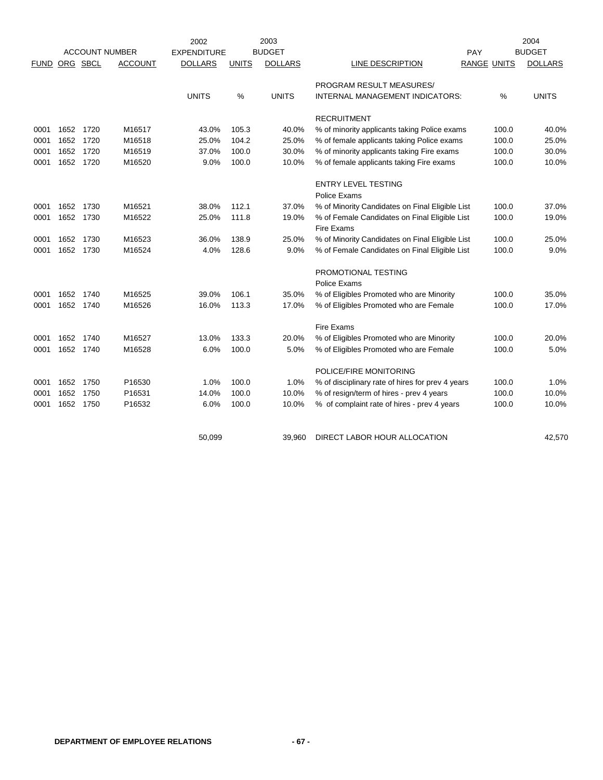|             |           |      |                       | 2002               |              | 2003           |                                                             |                    |       | 2004           |
|-------------|-----------|------|-----------------------|--------------------|--------------|----------------|-------------------------------------------------------------|--------------------|-------|----------------|
|             |           |      | <b>ACCOUNT NUMBER</b> | <b>EXPENDITURE</b> |              | <b>BUDGET</b>  |                                                             | PAY                |       | <b>BUDGET</b>  |
| <b>FUND</b> | ORG SBCL  |      | <b>ACCOUNT</b>        | <b>DOLLARS</b>     | <b>UNITS</b> | <b>DOLLARS</b> | LINE DESCRIPTION                                            | <b>RANGE UNITS</b> |       | <b>DOLLARS</b> |
|             |           |      |                       |                    |              |                | PROGRAM RESULT MEASURES/                                    |                    |       |                |
|             |           |      |                       | <b>UNITS</b>       | %            | <b>UNITS</b>   | INTERNAL MANAGEMENT INDICATORS:                             |                    | %     | <b>UNITS</b>   |
|             |           |      |                       |                    |              |                | <b>RECRUITMENT</b>                                          |                    |       |                |
| 0001        | 1652 1720 |      | M16517                | 43.0%              | 105.3        | 40.0%          | % of minority applicants taking Police exams                |                    | 100.0 | 40.0%          |
| 0001        | 1652 1720 |      | M16518                | 25.0%              | 104.2        | 25.0%          | % of female applicants taking Police exams                  |                    | 100.0 | 25.0%          |
| 0001        | 1652 1720 |      | M16519                | 37.0%              | 100.0        | 30.0%          | % of minority applicants taking Fire exams                  |                    | 100.0 | 30.0%          |
| 0001        | 1652 1720 |      | M16520                | 9.0%               | 100.0        | 10.0%          | % of female applicants taking Fire exams                    |                    | 100.0 | 10.0%          |
|             |           |      |                       |                    |              |                | <b>ENTRY LEVEL TESTING</b>                                  |                    |       |                |
|             |           |      |                       |                    |              |                | Police Exams                                                |                    |       |                |
| 0001        | 1652 1730 |      | M16521                | 38.0%              | 112.1        | 37.0%          | % of Minority Candidates on Final Eligible List             |                    | 100.0 | 37.0%          |
| 0001        | 1652 1730 |      | M16522                | 25.0%              | 111.8        | 19.0%          | % of Female Candidates on Final Eligible List<br>Fire Exams |                    | 100.0 | 19.0%          |
| 0001        | 1652 1730 |      | M16523                | 36.0%              | 138.9        | 25.0%          | % of Minority Candidates on Final Eligible List             |                    | 100.0 | 25.0%          |
| 0001        | 1652 1730 |      | M16524                | 4.0%               | 128.6        | 9.0%           | % of Female Candidates on Final Eligible List               |                    | 100.0 | 9.0%           |
|             |           |      |                       |                    |              |                | PROMOTIONAL TESTING                                         |                    |       |                |
|             |           |      |                       |                    |              |                | Police Exams                                                |                    |       |                |
| 0001        | 1652 1740 |      | M16525                | 39.0%              | 106.1        | 35.0%          | % of Eligibles Promoted who are Minority                    |                    | 100.0 | 35.0%          |
| 0001        | 1652 1740 |      | M16526                | 16.0%              | 113.3        | 17.0%          | % of Eligibles Promoted who are Female                      |                    | 100.0 | 17.0%          |
|             |           |      |                       |                    |              |                | Fire Exams                                                  |                    |       |                |
| 0001        | 1652      | 1740 | M16527                | 13.0%              | 133.3        | 20.0%          | % of Eligibles Promoted who are Minority                    |                    | 100.0 | 20.0%          |
| 0001        | 1652      | 1740 | M16528                | 6.0%               | 100.0        | 5.0%           | % of Eligibles Promoted who are Female                      |                    | 100.0 | 5.0%           |
|             |           |      |                       |                    |              |                | POLICE/FIRE MONITORING                                      |                    |       |                |
| 0001        | 1652      | 1750 | P16530                | 1.0%               | 100.0        | 1.0%           | % of disciplinary rate of hires for prev 4 years            |                    | 100.0 | 1.0%           |
| 0001        | 1652      | 1750 | P16531                | 14.0%              | 100.0        | 10.0%          | % of resign/term of hires - prev 4 years                    |                    | 100.0 | 10.0%          |
| 0001        | 1652      | 1750 | P16532                | 6.0%               | 100.0        | 10.0%          | % of complaint rate of hires - prev 4 years                 |                    | 100.0 | 10.0%          |
|             |           |      |                       | 50,099             |              | 39.960         | DIRECT LABOR HOUR ALLOCATION                                |                    |       | 42,570         |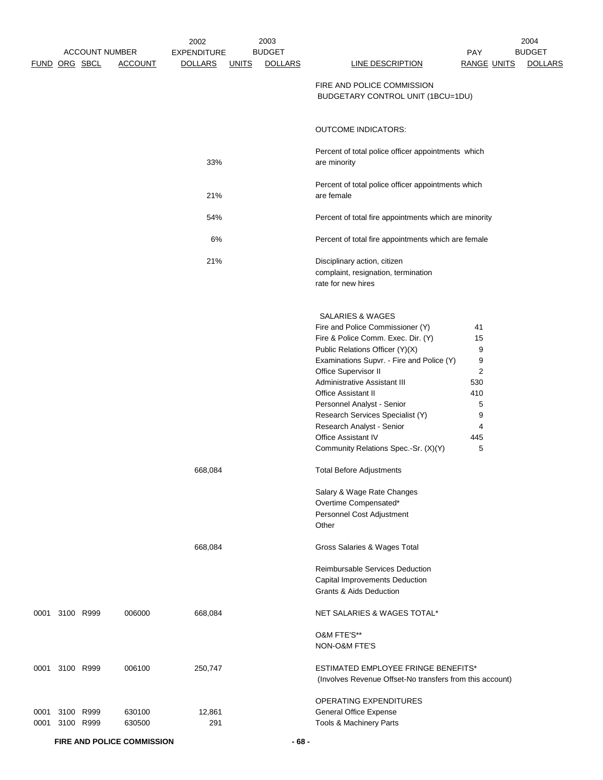|      |               | <b>ACCOUNT NUMBER</b> |                | 2002<br><b>EXPENDITURE</b> |              | 2003<br><b>BUDGET</b> |                                                                                                       | <b>PAY</b>         | 2004<br><b>BUDGET</b> |
|------|---------------|-----------------------|----------------|----------------------------|--------------|-----------------------|-------------------------------------------------------------------------------------------------------|--------------------|-----------------------|
|      | FUND ORG SBCL |                       | <b>ACCOUNT</b> | <b>DOLLARS</b>             | <u>UNITS</u> | <b>DOLLARS</b>        | LINE DESCRIPTION                                                                                      | <b>RANGE UNITS</b> | <b>DOLLARS</b>        |
|      |               |                       |                |                            |              |                       | FIRE AND POLICE COMMISSION<br>BUDGETARY CONTROL UNIT (1BCU=1DU)                                       |                    |                       |
|      |               |                       |                |                            |              |                       | <b>OUTCOME INDICATORS:</b>                                                                            |                    |                       |
|      |               |                       |                | 33%                        |              |                       | Percent of total police officer appointments which<br>are minority                                    |                    |                       |
|      |               |                       |                | 21%                        |              |                       | Percent of total police officer appointments which<br>are female                                      |                    |                       |
|      |               |                       |                | 54%                        |              |                       | Percent of total fire appointments which are minority                                                 |                    |                       |
|      |               |                       |                | 6%                         |              |                       | Percent of total fire appointments which are female                                                   |                    |                       |
|      |               |                       |                | 21%                        |              |                       | Disciplinary action, citizen<br>complaint, resignation, termination<br>rate for new hires             |                    |                       |
|      |               |                       |                |                            |              |                       | <b>SALARIES &amp; WAGES</b><br>Fire and Police Commissioner (Y)<br>Fire & Police Comm. Exec. Dir. (Y) | 41<br>15           |                       |
|      |               |                       |                |                            |              |                       | Public Relations Officer (Y)(X)<br>Examinations Supvr. - Fire and Police (Y)                          | 9<br>9             |                       |
|      |               |                       |                |                            |              |                       | Office Supervisor II                                                                                  | $\overline{c}$     |                       |
|      |               |                       |                |                            |              |                       | Administrative Assistant III<br><b>Office Assistant II</b>                                            | 530<br>410         |                       |
|      |               |                       |                |                            |              |                       | Personnel Analyst - Senior                                                                            | 5                  |                       |
|      |               |                       |                |                            |              |                       | Research Services Specialist (Y)                                                                      | 9                  |                       |
|      |               |                       |                |                            |              |                       | Research Analyst - Senior                                                                             | 4                  |                       |
|      |               |                       |                |                            |              |                       | Office Assistant IV<br>Community Relations Spec.-Sr. (X)(Y)                                           | 445<br>5           |                       |
|      |               |                       |                | 668,084                    |              |                       | <b>Total Before Adjustments</b>                                                                       |                    |                       |
|      |               |                       |                |                            |              |                       | Salary & Wage Rate Changes                                                                            |                    |                       |
|      |               |                       |                |                            |              |                       | Overtime Compensated*                                                                                 |                    |                       |
|      |               |                       |                |                            |              |                       | Personnel Cost Adjustment                                                                             |                    |                       |
|      |               |                       |                |                            |              |                       | Other                                                                                                 |                    |                       |
|      |               |                       |                | 668,084                    |              |                       | Gross Salaries & Wages Total                                                                          |                    |                       |
|      |               |                       |                |                            |              |                       | <b>Reimbursable Services Deduction</b>                                                                |                    |                       |
|      |               |                       |                |                            |              |                       | Capital Improvements Deduction                                                                        |                    |                       |
|      |               |                       |                |                            |              |                       | Grants & Aids Deduction                                                                               |                    |                       |
| 0001 | 3100 R999     |                       | 006000         | 668,084                    |              |                       | NET SALARIES & WAGES TOTAL*                                                                           |                    |                       |
|      |               |                       |                |                            |              |                       | O&M FTE'S**                                                                                           |                    |                       |
|      |               |                       |                |                            |              |                       | NON-O&M FTE'S                                                                                         |                    |                       |
| 0001 | 3100 R999     |                       | 006100         | 250,747                    |              |                       | <b>ESTIMATED EMPLOYEE FRINGE BENEFITS*</b>                                                            |                    |                       |
|      |               |                       |                |                            |              |                       | (Involves Revenue Offset-No transfers from this account)                                              |                    |                       |
|      |               |                       |                |                            |              |                       | OPERATING EXPENDITURES                                                                                |                    |                       |
| 0001 | 3100 R999     |                       | 630100         | 12,861                     |              |                       | General Office Expense                                                                                |                    |                       |
| 0001 | 3100 R999     |                       | 630500         | 291                        |              |                       | Tools & Machinery Parts                                                                               |                    |                       |

**FIRE AND POLICE COMMISSION - 68 -**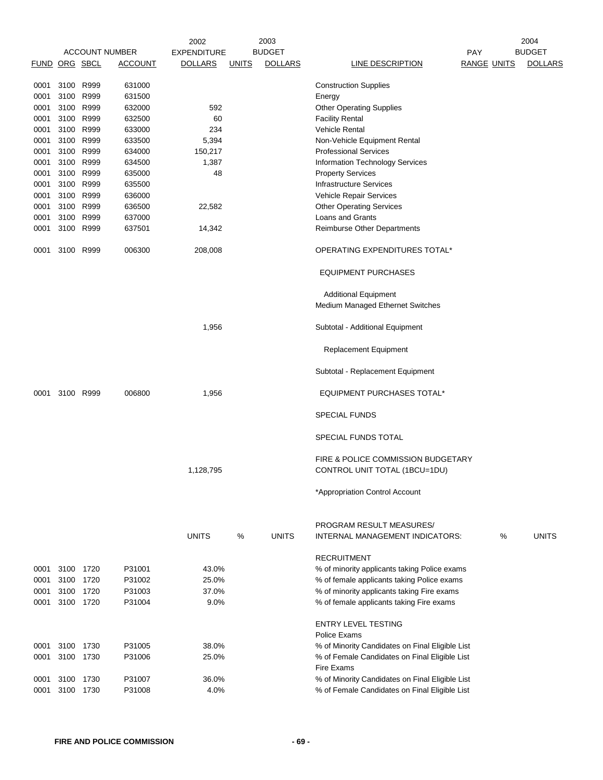|               |           |      |                       | 2002               |              | 2003           |                                                 |                    | 2004           |
|---------------|-----------|------|-----------------------|--------------------|--------------|----------------|-------------------------------------------------|--------------------|----------------|
|               |           |      | <b>ACCOUNT NUMBER</b> | <b>EXPENDITURE</b> |              | <b>BUDGET</b>  |                                                 | <b>PAY</b>         | <b>BUDGET</b>  |
| FUND ORG SBCL |           |      | <b>ACCOUNT</b>        | <b>DOLLARS</b>     | <u>UNITS</u> | <b>DOLLARS</b> | LINE DESCRIPTION                                | <b>RANGE UNITS</b> | <b>DOLLARS</b> |
|               |           |      |                       |                    |              |                |                                                 |                    |                |
| 0001          | 3100 R999 |      | 631000                |                    |              |                | <b>Construction Supplies</b>                    |                    |                |
| 0001          | 3100 R999 |      | 631500                |                    |              |                | Energy                                          |                    |                |
| 0001          | 3100 R999 |      | 632000                | 592                |              |                | <b>Other Operating Supplies</b>                 |                    |                |
| 0001          | 3100 R999 |      | 632500                | 60                 |              |                | <b>Facility Rental</b>                          |                    |                |
| 0001          | 3100 R999 |      | 633000                | 234                |              |                | <b>Vehicle Rental</b>                           |                    |                |
| 0001          | 3100 R999 |      | 633500                | 5,394              |              |                | Non-Vehicle Equipment Rental                    |                    |                |
| 0001          | 3100 R999 |      | 634000                | 150,217            |              |                | <b>Professional Services</b>                    |                    |                |
| 0001          | 3100 R999 |      | 634500                | 1,387              |              |                | <b>Information Technology Services</b>          |                    |                |
| 0001          | 3100 R999 |      | 635000                | 48                 |              |                | <b>Property Services</b>                        |                    |                |
| 0001          | 3100      | R999 | 635500                |                    |              |                | <b>Infrastructure Services</b>                  |                    |                |
| 0001          | 3100 R999 |      | 636000                |                    |              |                | Vehicle Repair Services                         |                    |                |
| 0001          | 3100 R999 |      | 636500                | 22,582             |              |                | <b>Other Operating Services</b>                 |                    |                |
| 0001          | 3100 R999 |      | 637000                |                    |              |                | Loans and Grants                                |                    |                |
|               | 3100 R999 |      |                       |                    |              |                |                                                 |                    |                |
| 0001          |           |      | 637501                | 14,342             |              |                | Reimburse Other Departments                     |                    |                |
| 0001          | 3100 R999 |      | 006300                | 208,008            |              |                | OPERATING EXPENDITURES TOTAL*                   |                    |                |
|               |           |      |                       |                    |              |                | <b>EQUIPMENT PURCHASES</b>                      |                    |                |
|               |           |      |                       |                    |              |                | <b>Additional Equipment</b>                     |                    |                |
|               |           |      |                       |                    |              |                | Medium Managed Ethernet Switches                |                    |                |
|               |           |      |                       | 1,956              |              |                | Subtotal - Additional Equipment                 |                    |                |
|               |           |      |                       |                    |              |                | Replacement Equipment                           |                    |                |
|               |           |      |                       |                    |              |                | Subtotal - Replacement Equipment                |                    |                |
| 0001          | 3100 R999 |      | 006800                | 1,956              |              |                | <b>EQUIPMENT PURCHASES TOTAL*</b>               |                    |                |
|               |           |      |                       |                    |              |                | <b>SPECIAL FUNDS</b>                            |                    |                |
|               |           |      |                       |                    |              |                | SPECIAL FUNDS TOTAL                             |                    |                |
|               |           |      |                       |                    |              |                | FIRE & POLICE COMMISSION BUDGETARY              |                    |                |
|               |           |      |                       | 1,128,795          |              |                | CONTROL UNIT TOTAL (1BCU=1DU)                   |                    |                |
|               |           |      |                       |                    |              |                | *Appropriation Control Account                  |                    |                |
|               |           |      |                       |                    |              |                | PROGRAM RESULT MEASURES/                        |                    |                |
|               |           |      |                       | <b>UNITS</b>       | %            | <b>UNITS</b>   | INTERNAL MANAGEMENT INDICATORS:                 | %                  | <b>UNITS</b>   |
|               |           |      |                       |                    |              |                | <b>RECRUITMENT</b>                              |                    |                |
| 0001          | 3100 1720 |      | P31001                | 43.0%              |              |                | % of minority applicants taking Police exams    |                    |                |
| 0001          | 3100 1720 |      | P31002                | 25.0%              |              |                | % of female applicants taking Police exams      |                    |                |
| 0001          | 3100 1720 |      | P31003                | 37.0%              |              |                | % of minority applicants taking Fire exams      |                    |                |
| 0001          | 3100 1720 |      | P31004                | 9.0%               |              |                | % of female applicants taking Fire exams        |                    |                |
|               |           |      |                       |                    |              |                |                                                 |                    |                |
|               |           |      |                       |                    |              |                | <b>ENTRY LEVEL TESTING</b>                      |                    |                |
|               |           |      |                       |                    |              |                | Police Exams                                    |                    |                |
| 0001          | 3100 1730 |      | P31005                | 38.0%              |              |                | % of Minority Candidates on Final Eligible List |                    |                |
| 0001          | 3100      | 1730 | P31006                | 25.0%              |              |                | % of Female Candidates on Final Eligible List   |                    |                |
|               |           |      |                       |                    |              |                | Fire Exams                                      |                    |                |
| 0001          | 3100 1730 |      | P31007                | 36.0%              |              |                | % of Minority Candidates on Final Eligible List |                    |                |
| 0001          | 3100 1730 |      | P31008                | 4.0%               |              |                | % of Female Candidates on Final Eligible List   |                    |                |
|               |           |      |                       |                    |              |                |                                                 |                    |                |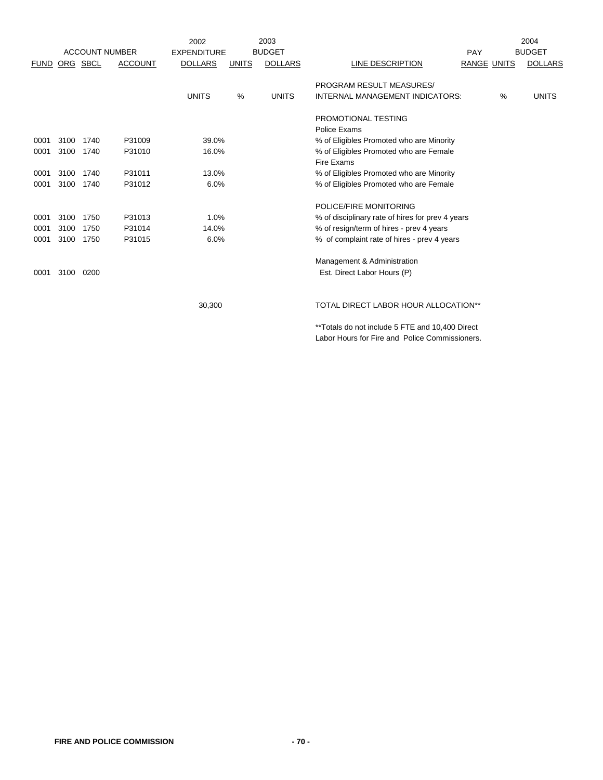|             |      |          |                       | 2002               |               | 2003           |                                                  |                    | 2004           |
|-------------|------|----------|-----------------------|--------------------|---------------|----------------|--------------------------------------------------|--------------------|----------------|
|             |      |          | <b>ACCOUNT NUMBER</b> | <b>EXPENDITURE</b> |               | <b>BUDGET</b>  |                                                  | PAY                | <b>BUDGET</b>  |
| <b>FUND</b> |      | ORG SBCL | <b>ACCOUNT</b>        | <b>DOLLARS</b>     | <b>UNITS</b>  | <b>DOLLARS</b> | LINE DESCRIPTION                                 | <b>RANGE UNITS</b> | <b>DOLLARS</b> |
|             |      |          |                       |                    |               |                | PROGRAM RESULT MEASURES/                         |                    |                |
|             |      |          |                       | <b>UNITS</b>       | $\frac{0}{0}$ | <b>UNITS</b>   | INTERNAL MANAGEMENT INDICATORS:                  | $\%$               | <b>UNITS</b>   |
|             |      |          |                       |                    |               |                | PROMOTIONAL TESTING                              |                    |                |
|             |      |          |                       |                    |               |                | Police Exams                                     |                    |                |
| 0001        | 3100 | 1740     | P31009                | 39.0%              |               |                | % of Eligibles Promoted who are Minority         |                    |                |
| 0001        | 3100 | 1740     | P31010                | 16.0%              |               |                | % of Eligibles Promoted who are Female           |                    |                |
|             |      |          |                       |                    |               |                | Fire Exams                                       |                    |                |
| 0001        | 3100 | 1740     | P31011                | 13.0%              |               |                | % of Eligibles Promoted who are Minority         |                    |                |
| 0001        | 3100 | 1740     | P31012                | 6.0%               |               |                | % of Eligibles Promoted who are Female           |                    |                |
|             |      |          |                       |                    |               |                | POLICE/FIRE MONITORING                           |                    |                |
| 0001        | 3100 | 1750     | P31013                | 1.0%               |               |                | % of disciplinary rate of hires for prev 4 years |                    |                |
| 0001        | 3100 | 1750     | P31014                | 14.0%              |               |                | % of resign/term of hires - prev 4 years         |                    |                |
| 0001        | 3100 | 1750     | P31015                | 6.0%               |               |                | % of complaint rate of hires - prev 4 years      |                    |                |
|             |      |          |                       |                    |               |                | Management & Administration                      |                    |                |
| 0001        | 3100 | 0200     |                       |                    |               |                | Est. Direct Labor Hours (P)                      |                    |                |
|             |      |          |                       |                    |               |                |                                                  |                    |                |
|             |      |          |                       | 30,300             |               |                | <b>TOTAL DIRECT LABOR HOUR ALLOCATION**</b>      |                    |                |

\*\*Totals do not include 5 FTE and 10,400 Direct Labor Hours for Fire and Police Commissioners.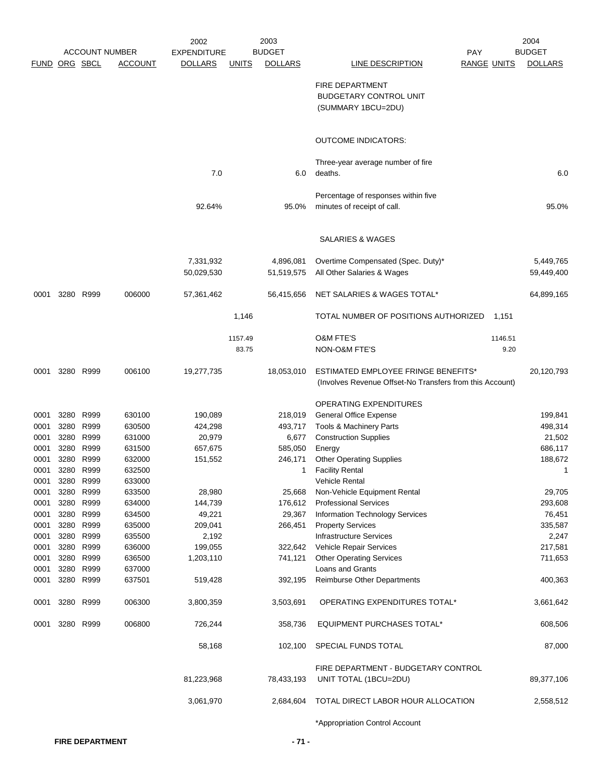|                      |           |                       |                | 2003<br>2002       |              |                | 2004                                                     |                    |         |                |
|----------------------|-----------|-----------------------|----------------|--------------------|--------------|----------------|----------------------------------------------------------|--------------------|---------|----------------|
|                      |           | <b>ACCOUNT NUMBER</b> |                | <b>EXPENDITURE</b> |              | <b>BUDGET</b>  |                                                          | PAY                |         | <b>BUDGET</b>  |
| <b>FUND ORG SBCL</b> |           |                       | <b>ACCOUNT</b> | <b>DOLLARS</b>     | <u>UNITS</u> | <b>DOLLARS</b> | <b>LINE DESCRIPTION</b>                                  | <b>RANGE UNITS</b> |         | <b>DOLLARS</b> |
|                      |           |                       |                |                    |              |                | <b>FIRE DEPARTMENT</b>                                   |                    |         |                |
|                      |           |                       |                |                    |              |                | <b>BUDGETARY CONTROL UNIT</b>                            |                    |         |                |
|                      |           |                       |                |                    |              |                | (SUMMARY 1BCU=2DU)                                       |                    |         |                |
|                      |           |                       |                |                    |              |                |                                                          |                    |         |                |
|                      |           |                       |                |                    |              |                | <b>OUTCOME INDICATORS:</b>                               |                    |         |                |
|                      |           |                       |                |                    |              |                |                                                          |                    |         |                |
|                      |           |                       |                | 7.0                |              | 6.0            | Three-year average number of fire<br>deaths.             |                    |         | 6.0            |
|                      |           |                       |                |                    |              |                |                                                          |                    |         |                |
|                      |           |                       |                |                    |              |                | Percentage of responses within five                      |                    |         |                |
|                      |           |                       |                | 92.64%             |              | 95.0%          | minutes of receipt of call.                              |                    |         | 95.0%          |
|                      |           |                       |                |                    |              |                |                                                          |                    |         |                |
|                      |           |                       |                |                    |              |                | SALARIES & WAGES                                         |                    |         |                |
|                      |           |                       |                | 7,331,932          |              | 4,896,081      | Overtime Compensated (Spec. Duty)*                       |                    |         | 5,449,765      |
|                      |           |                       |                | 50,029,530         |              | 51,519,575     | All Other Salaries & Wages                               |                    |         | 59,449,400     |
| 0001                 |           | 3280 R999             | 006000         | 57,361,462         |              | 56,415,656     | NET SALARIES & WAGES TOTAL*                              |                    |         | 64,899,165     |
|                      |           |                       |                |                    | 1,146        |                | TOTAL NUMBER OF POSITIONS AUTHORIZED                     |                    | 1,151   |                |
|                      |           |                       |                |                    | 1157.49      |                | <b>O&amp;M FTE'S</b>                                     |                    | 1146.51 |                |
|                      |           |                       |                |                    | 83.75        |                | NON-O&M FTE'S                                            |                    | 9.20    |                |
| 0001                 | 3280 R999 |                       | 006100         | 19,277,735         |              | 18,053,010     | <b>ESTIMATED EMPLOYEE FRINGE BENEFITS*</b>               |                    |         | 20,120,793     |
|                      |           |                       |                |                    |              |                | (Involves Revenue Offset-No Transfers from this Account) |                    |         |                |
|                      |           |                       |                |                    |              |                | OPERATING EXPENDITURES                                   |                    |         |                |
| 0001                 | 3280 R999 |                       | 630100         | 190,089            |              | 218,019        | <b>General Office Expense</b>                            |                    |         | 199,841        |
| 0001                 | 3280 R999 |                       | 630500         | 424,298            |              | 493,717        | Tools & Machinery Parts                                  |                    |         | 498,314        |
| 0001                 |           | 3280 R999             | 631000         | 20,979             |              | 6,677          | <b>Construction Supplies</b>                             |                    |         | 21,502         |
| 0001                 | 3280 R999 |                       | 631500         | 657,675            |              | 585,050        | Energy                                                   |                    |         | 686,117        |
| 0001                 |           | 3280 R999             | 632000         | 151,552            |              | 246,171        | <b>Other Operating Supplies</b>                          |                    |         | 188,672        |
| 0001                 | 3280 R999 |                       | 632500         |                    |              | 1              | <b>Facility Rental</b>                                   |                    |         | 1              |
| 0001                 |           | 3280 R999             | 633000         |                    |              |                | Vehicle Rental                                           |                    |         |                |
| 0001                 | 3280 R999 |                       | 633500         | 28,980             |              | 25,668         | Non-Vehicle Equipment Rental                             |                    |         | 29,705         |
| 0001                 | 3280 R999 |                       | 634000         | 144,739            |              | 176,612        | <b>Professional Services</b>                             |                    |         | 293,608        |
| 0001                 | 3280 R999 |                       | 634500         | 49,221             |              | 29,367         | <b>Information Technology Services</b>                   |                    |         | 76,451         |
| 0001                 | 3280 R999 |                       | 635000         | 209,041            |              | 266,451        | <b>Property Services</b>                                 |                    |         | 335,587        |
| 0001                 | 3280 R999 |                       | 635500         | 2,192              |              |                | <b>Infrastructure Services</b>                           |                    |         | 2,247          |
| 0001                 | 3280 R999 |                       | 636000         | 199,055            |              | 322,642        | Vehicle Repair Services                                  |                    |         | 217,581        |
| 0001                 | 3280 R999 |                       | 636500         | 1,203,110          |              | 741,121        | <b>Other Operating Services</b>                          |                    |         | 711,653        |
| 0001                 | 3280 R999 |                       | 637000         |                    |              |                | Loans and Grants                                         |                    |         |                |
| 0001                 | 3280 R999 |                       | 637501         | 519,428            |              | 392,195        | <b>Reimburse Other Departments</b>                       |                    |         | 400,363        |
| 0001                 | 3280 R999 |                       | 006300         | 3,800,359          |              | 3,503,691      | OPERATING EXPENDITURES TOTAL*                            |                    |         | 3,661,642      |
| 0001                 | 3280 R999 |                       | 006800         | 726,244            |              | 358,736        | <b>EQUIPMENT PURCHASES TOTAL*</b>                        |                    |         | 608,506        |
|                      |           |                       |                | 58,168             |              | 102,100        | SPECIAL FUNDS TOTAL                                      |                    |         | 87,000         |
|                      |           |                       |                |                    |              |                | FIRE DEPARTMENT - BUDGETARY CONTROL                      |                    |         |                |
|                      |           |                       |                | 81,223,968         |              | 78,433,193     | UNIT TOTAL (1BCU=2DU)                                    |                    |         | 89,377,106     |
|                      |           |                       |                | 3,061,970          |              | 2,684,604      | TOTAL DIRECT LABOR HOUR ALLOCATION                       |                    |         | 2,558,512      |
|                      |           |                       |                |                    |              |                | *Appropriation Control Account                           |                    |         |                |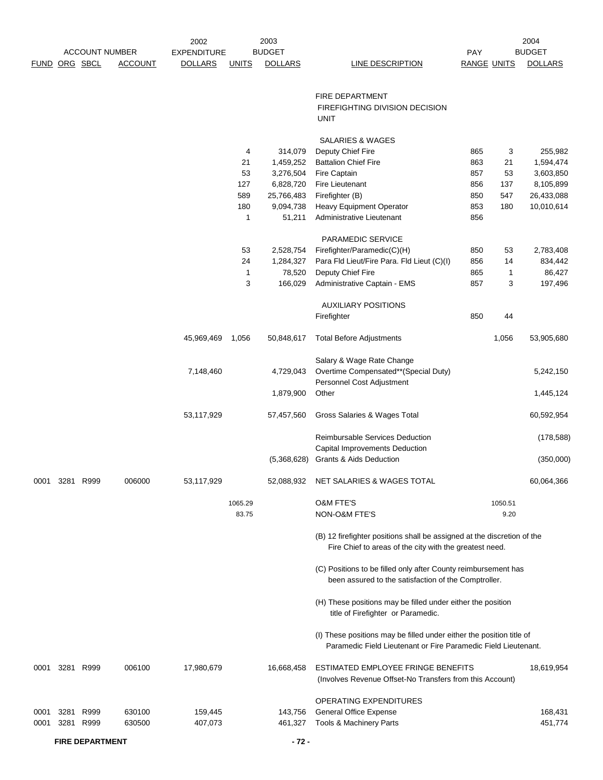|               |           |                       |                | 2002               |              | 2003           |                                                                                                                                        |                    |         | 2004           |
|---------------|-----------|-----------------------|----------------|--------------------|--------------|----------------|----------------------------------------------------------------------------------------------------------------------------------------|--------------------|---------|----------------|
|               |           | <b>ACCOUNT NUMBER</b> |                | <b>EXPENDITURE</b> |              | <b>BUDGET</b>  |                                                                                                                                        | <b>PAY</b>         |         | <b>BUDGET</b>  |
| FUND ORG SBCL |           |                       | <b>ACCOUNT</b> | <b>DOLLARS</b>     | <b>UNITS</b> | <b>DOLLARS</b> | <b>LINE DESCRIPTION</b>                                                                                                                | <b>RANGE UNITS</b> |         | <b>DOLLARS</b> |
|               |           |                       |                |                    |              |                | <b>FIRE DEPARTMENT</b>                                                                                                                 |                    |         |                |
|               |           |                       |                |                    |              |                | FIREFIGHTING DIVISION DECISION<br><b>UNIT</b>                                                                                          |                    |         |                |
|               |           |                       |                |                    |              |                | <b>SALARIES &amp; WAGES</b>                                                                                                            |                    |         |                |
|               |           |                       |                |                    | 4            | 314,079        | Deputy Chief Fire                                                                                                                      | 865                | 3       | 255,982        |
|               |           |                       |                |                    | 21           | 1,459,252      | <b>Battalion Chief Fire</b>                                                                                                            | 863                | 21      | 1,594,474      |
|               |           |                       |                |                    | 53           | 3,276,504      | Fire Captain                                                                                                                           | 857                | 53      | 3,603,850      |
|               |           |                       |                |                    | 127          | 6,828,720      | Fire Lieutenant                                                                                                                        | 856                | 137     | 8,105,899      |
|               |           |                       |                |                    | 589          | 25,766,483     | Firefighter (B)                                                                                                                        | 850                | 547     | 26,433,088     |
|               |           |                       |                |                    | 180          | 9,094,738      | Heavy Equipment Operator                                                                                                               | 853                | 180     | 10,010,614     |
|               |           |                       |                |                    | 1            | 51,211         | Administrative Lieutenant                                                                                                              | 856                |         |                |
|               |           |                       |                |                    |              |                | PARAMEDIC SERVICE                                                                                                                      |                    |         |                |
|               |           |                       |                |                    | 53           | 2,528,754      | Firefighter/Paramedic(C)(H)                                                                                                            | 850                | 53      | 2,783,408      |
|               |           |                       |                |                    | 24           | 1,284,327      | Para Fld Lieut/Fire Para. Fld Lieut (C)(I)                                                                                             | 856                | 14      | 834,442        |
|               |           |                       |                |                    | $\mathbf{1}$ | 78,520         | Deputy Chief Fire                                                                                                                      | 865                | 1       | 86,427         |
|               |           |                       |                |                    | 3            | 166,029        | Administrative Captain - EMS                                                                                                           | 857                | 3       | 197,496        |
|               |           |                       |                |                    |              |                | <b>AUXILIARY POSITIONS</b>                                                                                                             |                    |         |                |
|               |           |                       |                |                    |              |                | Firefighter                                                                                                                            | 850                | 44      |                |
|               |           |                       |                | 45,969,469         | 1,056        | 50,848,617     | <b>Total Before Adjustments</b>                                                                                                        |                    | 1,056   | 53,905,680     |
|               |           |                       |                |                    |              |                | Salary & Wage Rate Change                                                                                                              |                    |         |                |
|               |           |                       |                | 7,148,460          |              | 4,729,043      | Overtime Compensated**(Special Duty)                                                                                                   |                    |         | 5,242,150      |
|               |           |                       |                |                    |              | 1,879,900      | Personnel Cost Adjustment<br>Other                                                                                                     |                    |         | 1,445,124      |
|               |           |                       |                | 53,117,929         |              | 57,457,560     | Gross Salaries & Wages Total                                                                                                           |                    |         | 60,592,954     |
|               |           |                       |                |                    |              |                | <b>Reimbursable Services Deduction</b>                                                                                                 |                    |         | (178, 588)     |
|               |           |                       |                |                    |              |                | <b>Capital Improvements Deduction</b>                                                                                                  |                    |         |                |
|               |           |                       |                |                    |              | (5,368,628)    | <b>Grants &amp; Aids Deduction</b>                                                                                                     |                    |         | (350,000)      |
| 0001          | 3281 R999 |                       | 006000         | 53,117,929         |              | 52,088,932     | NET SALARIES & WAGES TOTAL                                                                                                             |                    |         | 60,064,366     |
|               |           |                       |                |                    | 1065.29      |                | O&M FTE'S                                                                                                                              |                    | 1050.51 |                |
|               |           |                       |                |                    | 83.75        |                | NON-O&M FTE'S                                                                                                                          |                    | 9.20    |                |
|               |           |                       |                |                    |              |                | (B) 12 firefighter positions shall be assigned at the discretion of the<br>Fire Chief to areas of the city with the greatest need.     |                    |         |                |
|               |           |                       |                |                    |              |                | (C) Positions to be filled only after County reimbursement has<br>been assured to the satisfaction of the Comptroller.                 |                    |         |                |
|               |           |                       |                |                    |              |                | (H) These positions may be filled under either the position<br>title of Firefighter or Paramedic.                                      |                    |         |                |
|               |           |                       |                |                    |              |                | (I) These positions may be filled under either the position title of<br>Paramedic Field Lieutenant or Fire Paramedic Field Lieutenant. |                    |         |                |
| 0001          |           | 3281 R999             | 006100         | 17,980,679         |              | 16,668,458     | ESTIMATED EMPLOYEE FRINGE BENEFITS<br>(Involves Revenue Offset-No Transfers from this Account)                                         |                    |         | 18,619,954     |
|               |           |                       |                |                    |              |                | OPERATING EXPENDITURES                                                                                                                 |                    |         |                |
| 0001          | 3281      | R999                  | 630100         | 159,445            |              | 143,756        | General Office Expense                                                                                                                 |                    |         | 168,431        |
| 0001          | 3281      | R999                  | 630500         | 407,073            |              | 461,327        | Tools & Machinery Parts                                                                                                                |                    |         | 451,774        |
|               |           |                       |                |                    |              |                |                                                                                                                                        |                    |         |                |

**FIRE DEPARTMENT - 72 -**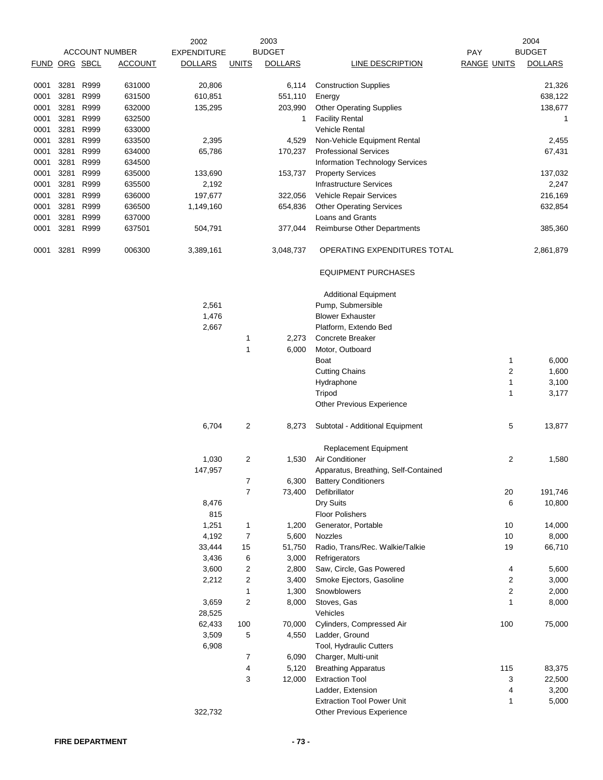|      |          |      |                       | 2002               |                | 2003           |                                        |                    |              | 2004           |
|------|----------|------|-----------------------|--------------------|----------------|----------------|----------------------------------------|--------------------|--------------|----------------|
|      |          |      | <b>ACCOUNT NUMBER</b> | <b>EXPENDITURE</b> |                | <b>BUDGET</b>  |                                        | PAY                |              | <b>BUDGET</b>  |
| FUND | ORG SBCL |      | <b>ACCOUNT</b>        | <b>DOLLARS</b>     | <b>UNITS</b>   | <b>DOLLARS</b> | <b>LINE DESCRIPTION</b>                | <b>RANGE UNITS</b> |              | <b>DOLLARS</b> |
| 0001 | 3281     | R999 | 631000                | 20,806             |                | 6,114          | <b>Construction Supplies</b>           |                    |              | 21,326         |
| 0001 | 3281     | R999 | 631500                | 610,851            |                | 551,110        | Energy                                 |                    |              | 638,122        |
| 0001 | 3281     | R999 | 632000                | 135,295            |                | 203,990        | <b>Other Operating Supplies</b>        |                    |              | 138,677        |
| 0001 | 3281     | R999 | 632500                |                    |                | 1              | <b>Facility Rental</b>                 |                    |              | 1              |
| 0001 | 3281     | R999 | 633000                |                    |                |                | <b>Vehicle Rental</b>                  |                    |              |                |
| 0001 | 3281     | R999 | 633500                | 2,395              |                | 4,529          | Non-Vehicle Equipment Rental           |                    |              | 2,455          |
| 0001 | 3281     | R999 | 634000                | 65,786             |                | 170,237        | <b>Professional Services</b>           |                    |              | 67,431         |
| 0001 | 3281     | R999 | 634500                |                    |                |                | <b>Information Technology Services</b> |                    |              |                |
| 0001 | 3281     | R999 | 635000                | 133,690            |                | 153,737        | <b>Property Services</b>               |                    |              | 137,032        |
| 0001 | 3281     | R999 | 635500                | 2,192              |                |                | <b>Infrastructure Services</b>         |                    |              | 2,247          |
| 0001 | 3281     | R999 | 636000                | 197,677            |                | 322,056        | Vehicle Repair Services                |                    |              | 216,169        |
| 0001 | 3281     | R999 | 636500                | 1,149,160          |                | 654,836        | <b>Other Operating Services</b>        |                    |              | 632,854        |
|      |          |      |                       |                    |                |                |                                        |                    |              |                |
| 0001 | 3281     | R999 | 637000                |                    |                |                | Loans and Grants                       |                    |              |                |
| 0001 | 3281     | R999 | 637501                | 504,791            |                | 377,044        | <b>Reimburse Other Departments</b>     |                    |              | 385,360        |
| 0001 | 3281     | R999 | 006300                | 3,389,161          |                | 3,048,737      | OPERATING EXPENDITURES TOTAL           |                    |              | 2,861,879      |
|      |          |      |                       |                    |                |                | <b>EQUIPMENT PURCHASES</b>             |                    |              |                |
|      |          |      |                       |                    |                |                | <b>Additional Equipment</b>            |                    |              |                |
|      |          |      |                       | 2,561              |                |                | Pump, Submersible                      |                    |              |                |
|      |          |      |                       | 1,476              |                |                | <b>Blower Exhauster</b>                |                    |              |                |
|      |          |      |                       | 2,667              |                |                | Platform, Extendo Bed                  |                    |              |                |
|      |          |      |                       |                    | 1              | 2,273          | Concrete Breaker                       |                    |              |                |
|      |          |      |                       |                    | 1              | 6,000          | Motor, Outboard                        |                    |              |                |
|      |          |      |                       |                    |                |                | Boat                                   |                    | 1            | 6,000          |
|      |          |      |                       |                    |                |                | <b>Cutting Chains</b>                  |                    | 2            | 1,600          |
|      |          |      |                       |                    |                |                | Hydraphone                             |                    | 1            | 3,100          |
|      |          |      |                       |                    |                |                | Tripod                                 |                    | 1            | 3,177          |
|      |          |      |                       |                    |                |                | Other Previous Experience              |                    |              |                |
|      |          |      |                       | 6,704              | 2              | 8,273          | Subtotal - Additional Equipment        |                    | 5            | 13,877         |
|      |          |      |                       |                    |                |                | Replacement Equipment                  |                    |              |                |
|      |          |      |                       |                    |                |                | Air Conditioner                        |                    | $\mathbf{2}$ |                |
|      |          |      |                       | 1,030              | 2              | 1,530          |                                        |                    |              | 1,580          |
|      |          |      |                       | 147,957            |                |                | Apparatus, Breathing, Self-Contained   |                    |              |                |
|      |          |      |                       |                    |                |                | 6,300 Battery Conditioners             |                    |              |                |
|      |          |      |                       |                    | $\overline{7}$ | 73,400         | Defibrillator                          |                    | 20           | 191,746        |
|      |          |      |                       | 8,476              |                |                | Dry Suits                              |                    | 6            | 10,800         |
|      |          |      |                       | 815                |                |                | <b>Floor Polishers</b>                 |                    |              |                |
|      |          |      |                       | 1,251              | 1              | 1,200          | Generator, Portable                    |                    | 10           | 14,000         |
|      |          |      |                       | 4,192              | 7              | 5,600          | Nozzles                                |                    | 10           | 8,000          |
|      |          |      |                       | 33,444             | 15             | 51,750         | Radio, Trans/Rec. Walkie/Talkie        |                    | 19           | 66,710         |
|      |          |      |                       | 3,436              | 6              | 3,000          | Refrigerators                          |                    |              |                |
|      |          |      |                       | 3,600              | 2              | 2,800          | Saw, Circle, Gas Powered               |                    | 4            | 5,600          |
|      |          |      |                       | 2,212              | 2              | 3,400          | Smoke Ejectors, Gasoline               |                    | 2            | 3,000          |
|      |          |      |                       |                    | 1              | 1,300          | Snowblowers                            |                    | 2            | 2,000          |
|      |          |      |                       | 3,659              | 2              | 8,000          | Stoves, Gas                            |                    | 1            | 8,000          |
|      |          |      |                       | 28,525             |                |                | Vehicles                               |                    |              |                |
|      |          |      |                       | 62,433             | 100            | 70,000         | Cylinders, Compressed Air              |                    | 100          | 75,000         |
|      |          |      |                       | 3,509              | 5              | 4,550          | Ladder, Ground                         |                    |              |                |
|      |          |      |                       | 6,908              |                |                | Tool, Hydraulic Cutters                |                    |              |                |
|      |          |      |                       |                    | 7              | 6,090          | Charger, Multi-unit                    |                    |              |                |
|      |          |      |                       |                    | 4              | 5,120          | <b>Breathing Apparatus</b>             |                    | 115          | 83,375         |
|      |          |      |                       |                    | 3              | 12,000         | <b>Extraction Tool</b>                 |                    | 3            | 22,500         |
|      |          |      |                       |                    |                |                | Ladder, Extension                      |                    | 4            | 3,200          |
|      |          |      |                       |                    |                |                | <b>Extraction Tool Power Unit</b>      |                    | 1            | 5,000          |
|      |          |      |                       | 322,732            |                |                | Other Previous Experience              |                    |              |                |
|      |          |      |                       |                    |                |                |                                        |                    |              |                |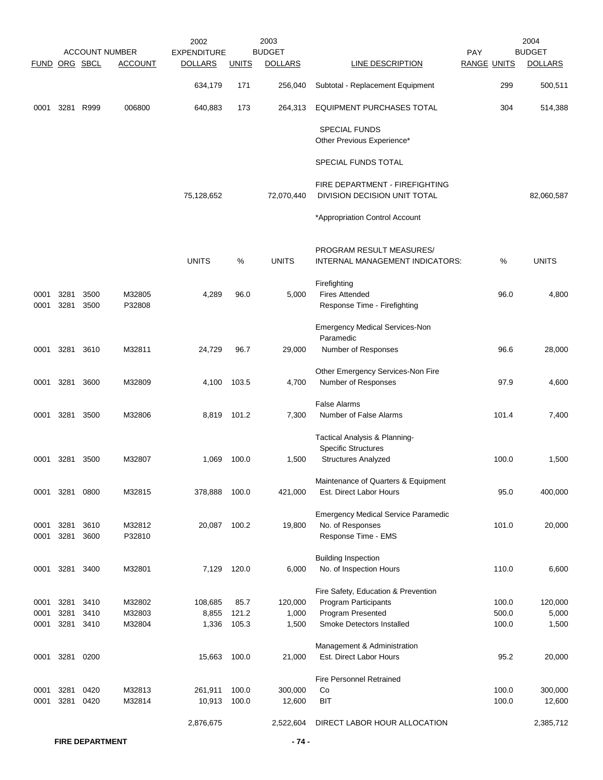|               |              |              |                       | 2002               |                | 2003              |                                                                |                    | 2004              |
|---------------|--------------|--------------|-----------------------|--------------------|----------------|-------------------|----------------------------------------------------------------|--------------------|-------------------|
|               |              |              | <b>ACCOUNT NUMBER</b> | <b>EXPENDITURE</b> |                | <b>BUDGET</b>     |                                                                | PAY                | <b>BUDGET</b>     |
| FUND ORG SBCL |              |              | <b>ACCOUNT</b>        | <b>DOLLARS</b>     | <b>UNITS</b>   | <b>DOLLARS</b>    | LINE DESCRIPTION                                               | <b>RANGE UNITS</b> | <b>DOLLARS</b>    |
|               |              |              |                       | 634,179            | 171            | 256,040           | Subtotal - Replacement Equipment                               | 299                | 500,511           |
| 0001          |              | 3281 R999    | 006800                | 640,883            | 173            | 264,313           | <b>EQUIPMENT PURCHASES TOTAL</b>                               | 304                | 514,388           |
|               |              |              |                       |                    |                |                   | <b>SPECIAL FUNDS</b><br>Other Previous Experience*             |                    |                   |
|               |              |              |                       |                    |                |                   | SPECIAL FUNDS TOTAL                                            |                    |                   |
|               |              |              |                       | 75,128,652         |                | 72,070,440        | FIRE DEPARTMENT - FIREFIGHTING<br>DIVISION DECISION UNIT TOTAL |                    | 82,060,587        |
|               |              |              |                       |                    |                |                   | *Appropriation Control Account                                 |                    |                   |
|               |              |              |                       | <b>UNITS</b>       | %              | <b>UNITS</b>      | PROGRAM RESULT MEASURES/<br>INTERNAL MANAGEMENT INDICATORS:    | %                  | <b>UNITS</b>      |
| 0001          | 3281         | 3500         | M32805                | 4,289              | 96.0           | 5,000             | Firefighting<br><b>Fires Attended</b>                          | 96.0               | 4,800             |
| 0001          | 3281         | 3500         | P32808                |                    |                |                   | Response Time - Firefighting                                   |                    |                   |
|               |              |              |                       |                    |                |                   | <b>Emergency Medical Services-Non</b><br>Paramedic             |                    |                   |
| 0001          |              | 3281 3610    | M32811                | 24,729             | 96.7           | 29,000            | Number of Responses                                            | 96.6               | 28,000            |
| 0001          | 3281 3600    |              | M32809                | 4,100              | 103.5          | 4,700             | Other Emergency Services-Non Fire<br>Number of Responses       | 97.9               | 4,600             |
| 0001          | 3281 3500    |              | M32806                | 8,819              | 101.2          | 7,300             | <b>False Alarms</b><br>Number of False Alarms                  | 101.4              | 7,400             |
|               |              |              |                       |                    |                |                   | Tactical Analysis & Planning-<br><b>Specific Structures</b>    |                    |                   |
| 0001          | 3281         | 3500         | M32807                | 1,069              | 100.0          | 1,500             | <b>Structures Analyzed</b>                                     | 100.0              | 1,500             |
| 0001          | 3281         | 0800         | M32815                | 378,888            | 100.0          | 421,000           | Maintenance of Quarters & Equipment<br>Est. Direct Labor Hours | 95.0               | 400,000           |
|               |              |              |                       |                    |                |                   | <b>Emergency Medical Service Paramedic</b>                     |                    |                   |
| 0001<br>0001  | 3281<br>3281 | 3610<br>3600 | M32812<br>P32810      | 20,087             | 100.2          | 19,800            | No. of Responses<br>Response Time - EMS                        | 101.0              | 20,000            |
| 0001          |              | 3281 3400    | M32801                | 7,129              | 120.0          | 6,000             | <b>Building Inspection</b><br>No. of Inspection Hours          | 110.0              | 6,600             |
|               |              |              |                       |                    |                |                   | Fire Safety, Education & Prevention                            |                    |                   |
| 0001          | 3281         | 3410         | M32802                | 108,685            | 85.7           | 120,000           | <b>Program Participants</b>                                    | 100.0              | 120,000           |
| 0001          | 3281         | 3410         | M32803                | 8,855              | 121.2          | 1,000             | Program Presented                                              | 500.0              | 5,000             |
| 0001          | 3281         | 3410         | M32804                | 1,336              | 105.3          | 1,500             | Smoke Detectors Installed                                      | 100.0              | 1,500             |
|               |              |              |                       |                    |                |                   | Management & Administration                                    |                    |                   |
| 0001          | 3281         | 0200         |                       | 15,663             | 100.0          | 21,000            | Est. Direct Labor Hours                                        | 95.2               | 20,000            |
|               |              |              |                       |                    |                |                   | <b>Fire Personnel Retrained</b>                                |                    |                   |
| 0001<br>0001  | 3281<br>3281 | 0420<br>0420 | M32813<br>M32814      | 261,911<br>10,913  | 100.0<br>100.0 | 300,000<br>12,600 | Co<br><b>BIT</b>                                               | 100.0<br>100.0     | 300,000<br>12,600 |
|               |              |              |                       | 2,876,675          |                | 2,522,604         | DIRECT LABOR HOUR ALLOCATION                                   |                    | 2,385,712         |
|               |              |              |                       |                    |                |                   |                                                                |                    |                   |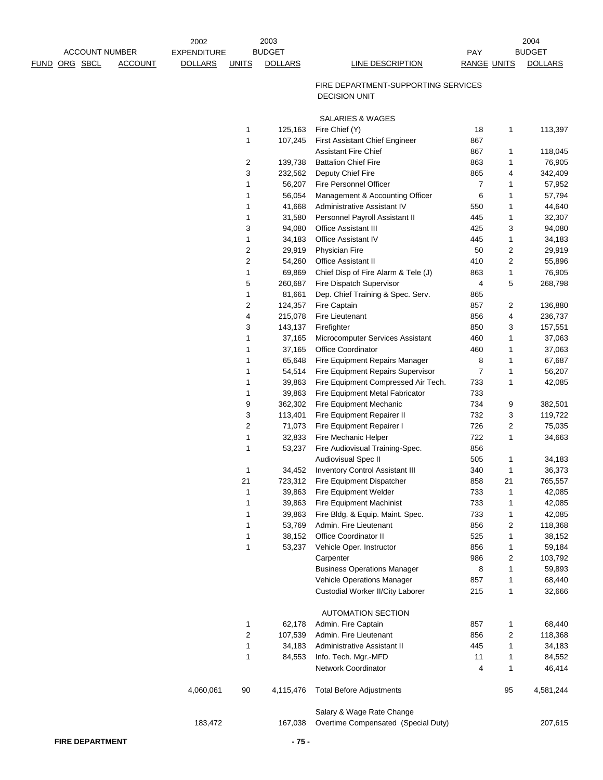|             |                            | 2003<br>2002       |              |                  |                                                             |                    | 2004                |                   |
|-------------|----------------------------|--------------------|--------------|------------------|-------------------------------------------------------------|--------------------|---------------------|-------------------|
|             | <b>ACCOUNT NUMBER</b>      | <b>EXPENDITURE</b> |              | <b>BUDGET</b>    |                                                             | PAY                |                     | <b>BUDGET</b>     |
| <b>FUND</b> | ORG SBCL<br><b>ACCOUNT</b> | <b>DOLLARS</b>     | <b>UNITS</b> | <b>DOLLARS</b>   | <b>LINE DESCRIPTION</b>                                     | <b>RANGE UNITS</b> |                     | <b>DOLLARS</b>    |
|             |                            |                    |              |                  | FIRE DEPARTMENT-SUPPORTING SERVICES<br><b>DECISION UNIT</b> |                    |                     |                   |
|             |                            |                    |              |                  | SALARIES & WAGES                                            |                    |                     |                   |
|             |                            |                    | 1            | 125,163          | Fire Chief (Y)                                              | 18                 | $\mathbf{1}$        | 113,397           |
|             |                            |                    | 1            | 107,245          | <b>First Assistant Chief Engineer</b>                       | 867                |                     |                   |
|             |                            |                    |              |                  | <b>Assistant Fire Chief</b>                                 | 867                | 1                   | 118,045           |
|             |                            |                    | 2            | 139,738          | <b>Battalion Chief Fire</b>                                 | 863                | 1                   | 76,905            |
|             |                            |                    | 3            | 232,562          | Deputy Chief Fire                                           | 865                | 4                   | 342,409           |
|             |                            |                    | 1            | 56,207           | Fire Personnel Officer                                      | $\overline{7}$     | 1                   | 57,952            |
|             |                            |                    | 1            | 56,054           | Management & Accounting Officer                             | 6                  | 1                   | 57,794            |
|             |                            |                    | 1            | 41,668           | Administrative Assistant IV                                 | 550                | 1                   | 44,640            |
|             |                            |                    | 1            | 31,580           | Personnel Payroll Assistant II                              | 445                | 1                   | 32,307            |
|             |                            |                    | 3            | 94,080           | <b>Office Assistant III</b><br><b>Office Assistant IV</b>   | 425<br>445         | 3                   | 94,080            |
|             |                            |                    | 1<br>2       | 34,183<br>29,919 | <b>Physician Fire</b>                                       | 50                 | 1<br>$\overline{c}$ | 34,183<br>29,919  |
|             |                            |                    | 2            | 54,260           | <b>Office Assistant II</b>                                  | 410                | 2                   | 55,896            |
|             |                            |                    | 1            | 69,869           | Chief Disp of Fire Alarm & Tele (J)                         | 863                | 1                   | 76,905            |
|             |                            |                    | 5            | 260,687          | Fire Dispatch Supervisor                                    | 4                  | 5                   | 268,798           |
|             |                            |                    | 1            | 81,661           | Dep. Chief Training & Spec. Serv.                           | 865                |                     |                   |
|             |                            |                    | 2            | 124,357          | Fire Captain                                                | 857                | 2                   | 136,880           |
|             |                            |                    | 4            | 215,078          | Fire Lieutenant                                             | 856                | 4                   | 236,737           |
|             |                            |                    | 3            | 143,137          | Firefighter                                                 | 850                | 3                   | 157,551           |
|             |                            |                    | 1            | 37,165           | Microcomputer Services Assistant                            | 460                | 1                   | 37,063            |
|             |                            |                    | 1            | 37,165           | Office Coordinator                                          | 460                | 1                   | 37,063            |
|             |                            |                    | 1            | 65,648           | Fire Equipment Repairs Manager                              | 8                  | 1                   | 67,687            |
|             |                            |                    | 1            | 54,514           | Fire Equipment Repairs Supervisor                           | 7                  | 1                   | 56,207            |
|             |                            |                    | 1            | 39,863           | Fire Equipment Compressed Air Tech.                         | 733                | 1                   | 42,085            |
|             |                            |                    | 1            | 39,863           | Fire Equipment Metal Fabricator                             | 733                |                     |                   |
|             |                            |                    | 9            | 362,302          | Fire Equipment Mechanic                                     | 734                | 9                   | 382,501           |
|             |                            |                    | 3            | 113,401          | Fire Equipment Repairer II                                  | 732                | 3                   | 119,722           |
|             |                            |                    | 2            | 71,073           | Fire Equipment Repairer I                                   | 726                | 2                   | 75,035            |
|             |                            |                    | 1            | 32,833           | Fire Mechanic Helper                                        | 722                | 1                   | 34,663            |
|             |                            |                    | 1            | 53,237           | Fire Audiovisual Training-Spec.                             | 856                |                     |                   |
|             |                            |                    |              |                  | Audiovisual Spec II                                         | 505                | 1                   | 34,183            |
|             |                            |                    | 1            | 34,452           | <b>Inventory Control Assistant III</b>                      | 340                | 1                   | 36,373            |
|             |                            |                    | 21           |                  | 723,312 Fire Equipment Dispatcher                           | 858                | 21                  | 765,557           |
|             |                            |                    | 1            | 39,863           | Fire Equipment Welder                                       | 733                | 1                   | 42,085            |
|             |                            |                    | 1            | 39,863           | <b>Fire Equipment Machinist</b>                             | 733                | 1                   | 42,085            |
|             |                            |                    | 1            | 39,863           | Fire Bldg. & Equip. Maint. Spec.                            | 733                | 1                   | 42,085            |
|             |                            |                    | 1            | 53,769           | Admin. Fire Lieutenant                                      | 856                | 2                   | 118,368           |
|             |                            |                    | 1            | 38,152           | Office Coordinator II                                       | 525                | 1                   | 38,152            |
|             |                            |                    | 1            | 53,237           | Vehicle Oper. Instructor                                    | 856                | 1                   | 59,184            |
|             |                            |                    |              |                  | Carpenter<br><b>Business Operations Manager</b>             | 986<br>8           | 2<br>1              | 103,792<br>59,893 |
|             |                            |                    |              |                  | Vehicle Operations Manager                                  | 857                | 1                   | 68,440            |
|             |                            |                    |              |                  | Custodial Worker II/City Laborer                            | 215                | 1                   | 32,666            |
|             |                            |                    |              |                  |                                                             |                    |                     |                   |
|             |                            |                    |              |                  | <b>AUTOMATION SECTION</b>                                   |                    |                     |                   |
|             |                            |                    | 1            | 62,178           | Admin. Fire Captain                                         | 857                | 1                   | 68,440            |
|             |                            |                    | 2            | 107,539          | Admin. Fire Lieutenant                                      | 856                | 2                   | 118,368           |
|             |                            |                    | 1            | 34,183           | Administrative Assistant II                                 | 445                | 1                   | 34,183            |
|             |                            |                    | 1            | 84,553           | Info. Tech. Mgr.-MFD                                        | 11                 | 1                   | 84,552            |
|             |                            |                    |              |                  | Network Coordinator                                         | 4                  | 1                   | 46,414            |
|             |                            | 4,060,061          | 90           | 4,115,476        | <b>Total Before Adjustments</b>                             |                    | 95                  | 4,581,244         |
|             |                            |                    |              |                  | Salary & Wage Rate Change                                   |                    |                     |                   |
|             |                            | 183,472            |              | 167,038          | Overtime Compensated (Special Duty)                         |                    |                     | 207,615           |
|             |                            |                    |              |                  |                                                             |                    |                     |                   |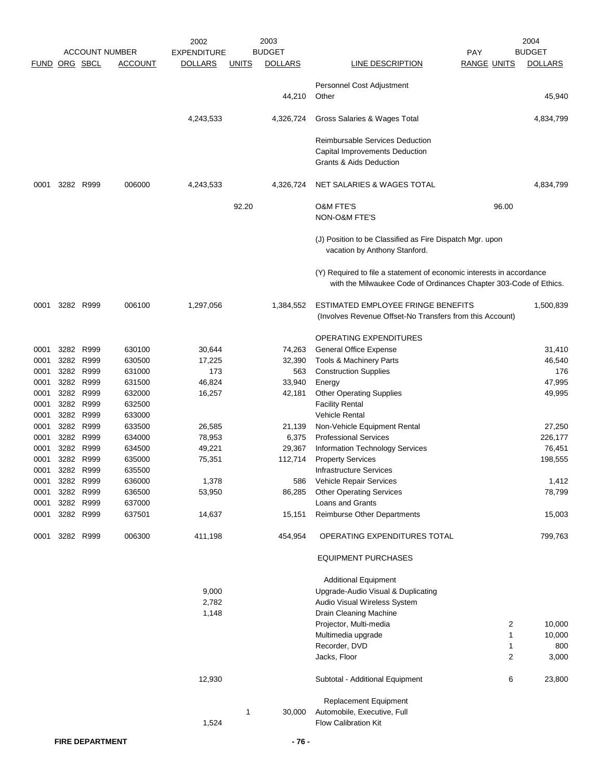| <b>BUDGET</b><br><b>BUDGET</b><br><b>ACCOUNT NUMBER</b><br>FUND ORG SBCL<br><b>ACCOUNT</b><br><b>DOLLARS</b><br><b>DOLLARS</b><br>LINE DESCRIPTION<br><b>RANGE UNITS</b><br><b>DOLLARS</b><br><u>UNITS</u><br>Personnel Cost Adjustment<br>44,210<br>Other<br>4,243,533<br>4,326,724<br>Gross Salaries & Wages Total<br><b>Reimbursable Services Deduction</b><br>Capital Improvements Deduction<br><b>Grants &amp; Aids Deduction</b><br>3282 R999<br>006000<br>4,243,533<br>4,326,724<br>NET SALARIES & WAGES TOTAL<br>0001<br><b>O&amp;M FTE'S</b><br>92.20<br>96.00<br>NON-O&M FTE'S<br>(J) Position to be Classified as Fire Dispatch Mgr. upon<br>vacation by Anthony Stanford.<br>(Y) Required to file a statement of economic interests in accordance<br>with the Milwaukee Code of Ordinances Chapter 303-Code of Ethics.<br>ESTIMATED EMPLOYEE FRINGE BENEFITS<br>3282 R999<br>006100<br>1,297,056<br>1,384,552<br>0001<br>(Involves Revenue Offset-No Transfers from this Account)<br><b>OPERATING EXPENDITURES</b><br>3282 R999<br>630100<br>30,644<br>74,263<br><b>General Office Expense</b><br>0001<br>3282 R999<br>0001<br>630500<br>17,225<br>32,390<br>Tools & Machinery Parts<br>3282 R999<br>173<br>563<br>0001<br>631000<br><b>Construction Supplies</b><br>3282 R999<br>46,824<br>33,940<br>0001<br>631500<br>Energy<br>3282 R999<br>632000<br><b>Other Operating Supplies</b><br>0001<br>16,257<br>42,181<br>3282 R999<br><b>Facility Rental</b><br>0001<br>632500<br>3282 R999<br>633000<br><b>Vehicle Rental</b><br>0001<br>3282 R999<br>0001<br>633500<br>26,585<br>Non-Vehicle Equipment Rental<br>21,139<br>3282 R999<br><b>Professional Services</b><br>0001<br>634000<br>78,953<br>6,375<br>226,177<br>3282 R999<br>0001<br>634500<br>49,221<br>29,367<br><b>Information Technology Services</b><br>76,451<br>3282<br>R999<br>112,714<br>198,555<br>0001<br>635000<br>75,351<br><b>Property Services</b><br>3282 R999<br>0001<br>635500<br><b>Infrastructure Services</b><br>3282 R999<br>1,378<br>636000<br>Vehicle Repair Services<br>0001<br>586<br>3282 R999<br>636500<br>53,950<br><b>Other Operating Services</b><br>0001<br>86,285<br>3282 R999<br>Loans and Grants<br>0001<br>637000<br>3282 R999<br>15,151<br>Reimburse Other Departments<br>0001<br>637501<br>14,637<br>006300<br>411,198<br>454,954<br>3282 R999<br>OPERATING EXPENDITURES TOTAL<br>0001<br><b>EQUIPMENT PURCHASES</b><br><b>Additional Equipment</b><br>9,000<br>Upgrade-Audio Visual & Duplicating<br>2,782<br>Audio Visual Wireless System<br>1,148<br>Drain Cleaning Machine<br>$\overline{2}$<br>Projector, Multi-media<br>Multimedia upgrade<br>1<br>Recorder, DVD<br>1<br>$\overline{c}$<br>Jacks, Floor<br>12,930<br>Subtotal - Additional Equipment<br>6<br>Replacement Equipment<br>Automobile, Executive, Full<br>1<br>30,000<br>1,524<br><b>Flow Calibration Kit</b> |  |  | 2002               | 2003 |            | 2004      |
|-------------------------------------------------------------------------------------------------------------------------------------------------------------------------------------------------------------------------------------------------------------------------------------------------------------------------------------------------------------------------------------------------------------------------------------------------------------------------------------------------------------------------------------------------------------------------------------------------------------------------------------------------------------------------------------------------------------------------------------------------------------------------------------------------------------------------------------------------------------------------------------------------------------------------------------------------------------------------------------------------------------------------------------------------------------------------------------------------------------------------------------------------------------------------------------------------------------------------------------------------------------------------------------------------------------------------------------------------------------------------------------------------------------------------------------------------------------------------------------------------------------------------------------------------------------------------------------------------------------------------------------------------------------------------------------------------------------------------------------------------------------------------------------------------------------------------------------------------------------------------------------------------------------------------------------------------------------------------------------------------------------------------------------------------------------------------------------------------------------------------------------------------------------------------------------------------------------------------------------------------------------------------------------------------------------------------------------------------------------------------------------------------------------------------------------------------------------------------------------------------------------------------------------------------------------------------------------------------------------------------------------------------------------------------------------------------------------------------------------------------------------------------------------------------------------------------------------------------------------------------------------------|--|--|--------------------|------|------------|-----------|
|                                                                                                                                                                                                                                                                                                                                                                                                                                                                                                                                                                                                                                                                                                                                                                                                                                                                                                                                                                                                                                                                                                                                                                                                                                                                                                                                                                                                                                                                                                                                                                                                                                                                                                                                                                                                                                                                                                                                                                                                                                                                                                                                                                                                                                                                                                                                                                                                                                                                                                                                                                                                                                                                                                                                                                                                                                                                                           |  |  | <b>EXPENDITURE</b> |      | <b>PAY</b> |           |
|                                                                                                                                                                                                                                                                                                                                                                                                                                                                                                                                                                                                                                                                                                                                                                                                                                                                                                                                                                                                                                                                                                                                                                                                                                                                                                                                                                                                                                                                                                                                                                                                                                                                                                                                                                                                                                                                                                                                                                                                                                                                                                                                                                                                                                                                                                                                                                                                                                                                                                                                                                                                                                                                                                                                                                                                                                                                                           |  |  |                    |      |            |           |
|                                                                                                                                                                                                                                                                                                                                                                                                                                                                                                                                                                                                                                                                                                                                                                                                                                                                                                                                                                                                                                                                                                                                                                                                                                                                                                                                                                                                                                                                                                                                                                                                                                                                                                                                                                                                                                                                                                                                                                                                                                                                                                                                                                                                                                                                                                                                                                                                                                                                                                                                                                                                                                                                                                                                                                                                                                                                                           |  |  |                    |      |            | 45,940    |
|                                                                                                                                                                                                                                                                                                                                                                                                                                                                                                                                                                                                                                                                                                                                                                                                                                                                                                                                                                                                                                                                                                                                                                                                                                                                                                                                                                                                                                                                                                                                                                                                                                                                                                                                                                                                                                                                                                                                                                                                                                                                                                                                                                                                                                                                                                                                                                                                                                                                                                                                                                                                                                                                                                                                                                                                                                                                                           |  |  |                    |      |            | 4,834,799 |
|                                                                                                                                                                                                                                                                                                                                                                                                                                                                                                                                                                                                                                                                                                                                                                                                                                                                                                                                                                                                                                                                                                                                                                                                                                                                                                                                                                                                                                                                                                                                                                                                                                                                                                                                                                                                                                                                                                                                                                                                                                                                                                                                                                                                                                                                                                                                                                                                                                                                                                                                                                                                                                                                                                                                                                                                                                                                                           |  |  |                    |      |            |           |
|                                                                                                                                                                                                                                                                                                                                                                                                                                                                                                                                                                                                                                                                                                                                                                                                                                                                                                                                                                                                                                                                                                                                                                                                                                                                                                                                                                                                                                                                                                                                                                                                                                                                                                                                                                                                                                                                                                                                                                                                                                                                                                                                                                                                                                                                                                                                                                                                                                                                                                                                                                                                                                                                                                                                                                                                                                                                                           |  |  |                    |      |            | 4,834,799 |
|                                                                                                                                                                                                                                                                                                                                                                                                                                                                                                                                                                                                                                                                                                                                                                                                                                                                                                                                                                                                                                                                                                                                                                                                                                                                                                                                                                                                                                                                                                                                                                                                                                                                                                                                                                                                                                                                                                                                                                                                                                                                                                                                                                                                                                                                                                                                                                                                                                                                                                                                                                                                                                                                                                                                                                                                                                                                                           |  |  |                    |      |            |           |
|                                                                                                                                                                                                                                                                                                                                                                                                                                                                                                                                                                                                                                                                                                                                                                                                                                                                                                                                                                                                                                                                                                                                                                                                                                                                                                                                                                                                                                                                                                                                                                                                                                                                                                                                                                                                                                                                                                                                                                                                                                                                                                                                                                                                                                                                                                                                                                                                                                                                                                                                                                                                                                                                                                                                                                                                                                                                                           |  |  |                    |      |            |           |
|                                                                                                                                                                                                                                                                                                                                                                                                                                                                                                                                                                                                                                                                                                                                                                                                                                                                                                                                                                                                                                                                                                                                                                                                                                                                                                                                                                                                                                                                                                                                                                                                                                                                                                                                                                                                                                                                                                                                                                                                                                                                                                                                                                                                                                                                                                                                                                                                                                                                                                                                                                                                                                                                                                                                                                                                                                                                                           |  |  |                    |      |            |           |
|                                                                                                                                                                                                                                                                                                                                                                                                                                                                                                                                                                                                                                                                                                                                                                                                                                                                                                                                                                                                                                                                                                                                                                                                                                                                                                                                                                                                                                                                                                                                                                                                                                                                                                                                                                                                                                                                                                                                                                                                                                                                                                                                                                                                                                                                                                                                                                                                                                                                                                                                                                                                                                                                                                                                                                                                                                                                                           |  |  |                    |      |            | 1,500,839 |
|                                                                                                                                                                                                                                                                                                                                                                                                                                                                                                                                                                                                                                                                                                                                                                                                                                                                                                                                                                                                                                                                                                                                                                                                                                                                                                                                                                                                                                                                                                                                                                                                                                                                                                                                                                                                                                                                                                                                                                                                                                                                                                                                                                                                                                                                                                                                                                                                                                                                                                                                                                                                                                                                                                                                                                                                                                                                                           |  |  |                    |      |            |           |
|                                                                                                                                                                                                                                                                                                                                                                                                                                                                                                                                                                                                                                                                                                                                                                                                                                                                                                                                                                                                                                                                                                                                                                                                                                                                                                                                                                                                                                                                                                                                                                                                                                                                                                                                                                                                                                                                                                                                                                                                                                                                                                                                                                                                                                                                                                                                                                                                                                                                                                                                                                                                                                                                                                                                                                                                                                                                                           |  |  |                    |      |            | 31,410    |
|                                                                                                                                                                                                                                                                                                                                                                                                                                                                                                                                                                                                                                                                                                                                                                                                                                                                                                                                                                                                                                                                                                                                                                                                                                                                                                                                                                                                                                                                                                                                                                                                                                                                                                                                                                                                                                                                                                                                                                                                                                                                                                                                                                                                                                                                                                                                                                                                                                                                                                                                                                                                                                                                                                                                                                                                                                                                                           |  |  |                    |      |            | 46,540    |
|                                                                                                                                                                                                                                                                                                                                                                                                                                                                                                                                                                                                                                                                                                                                                                                                                                                                                                                                                                                                                                                                                                                                                                                                                                                                                                                                                                                                                                                                                                                                                                                                                                                                                                                                                                                                                                                                                                                                                                                                                                                                                                                                                                                                                                                                                                                                                                                                                                                                                                                                                                                                                                                                                                                                                                                                                                                                                           |  |  |                    |      |            | 176       |
|                                                                                                                                                                                                                                                                                                                                                                                                                                                                                                                                                                                                                                                                                                                                                                                                                                                                                                                                                                                                                                                                                                                                                                                                                                                                                                                                                                                                                                                                                                                                                                                                                                                                                                                                                                                                                                                                                                                                                                                                                                                                                                                                                                                                                                                                                                                                                                                                                                                                                                                                                                                                                                                                                                                                                                                                                                                                                           |  |  |                    |      |            | 47,995    |
|                                                                                                                                                                                                                                                                                                                                                                                                                                                                                                                                                                                                                                                                                                                                                                                                                                                                                                                                                                                                                                                                                                                                                                                                                                                                                                                                                                                                                                                                                                                                                                                                                                                                                                                                                                                                                                                                                                                                                                                                                                                                                                                                                                                                                                                                                                                                                                                                                                                                                                                                                                                                                                                                                                                                                                                                                                                                                           |  |  |                    |      |            | 49,995    |
|                                                                                                                                                                                                                                                                                                                                                                                                                                                                                                                                                                                                                                                                                                                                                                                                                                                                                                                                                                                                                                                                                                                                                                                                                                                                                                                                                                                                                                                                                                                                                                                                                                                                                                                                                                                                                                                                                                                                                                                                                                                                                                                                                                                                                                                                                                                                                                                                                                                                                                                                                                                                                                                                                                                                                                                                                                                                                           |  |  |                    |      |            |           |
|                                                                                                                                                                                                                                                                                                                                                                                                                                                                                                                                                                                                                                                                                                                                                                                                                                                                                                                                                                                                                                                                                                                                                                                                                                                                                                                                                                                                                                                                                                                                                                                                                                                                                                                                                                                                                                                                                                                                                                                                                                                                                                                                                                                                                                                                                                                                                                                                                                                                                                                                                                                                                                                                                                                                                                                                                                                                                           |  |  |                    |      |            |           |
|                                                                                                                                                                                                                                                                                                                                                                                                                                                                                                                                                                                                                                                                                                                                                                                                                                                                                                                                                                                                                                                                                                                                                                                                                                                                                                                                                                                                                                                                                                                                                                                                                                                                                                                                                                                                                                                                                                                                                                                                                                                                                                                                                                                                                                                                                                                                                                                                                                                                                                                                                                                                                                                                                                                                                                                                                                                                                           |  |  |                    |      |            | 27,250    |
|                                                                                                                                                                                                                                                                                                                                                                                                                                                                                                                                                                                                                                                                                                                                                                                                                                                                                                                                                                                                                                                                                                                                                                                                                                                                                                                                                                                                                                                                                                                                                                                                                                                                                                                                                                                                                                                                                                                                                                                                                                                                                                                                                                                                                                                                                                                                                                                                                                                                                                                                                                                                                                                                                                                                                                                                                                                                                           |  |  |                    |      |            |           |
|                                                                                                                                                                                                                                                                                                                                                                                                                                                                                                                                                                                                                                                                                                                                                                                                                                                                                                                                                                                                                                                                                                                                                                                                                                                                                                                                                                                                                                                                                                                                                                                                                                                                                                                                                                                                                                                                                                                                                                                                                                                                                                                                                                                                                                                                                                                                                                                                                                                                                                                                                                                                                                                                                                                                                                                                                                                                                           |  |  |                    |      |            |           |
|                                                                                                                                                                                                                                                                                                                                                                                                                                                                                                                                                                                                                                                                                                                                                                                                                                                                                                                                                                                                                                                                                                                                                                                                                                                                                                                                                                                                                                                                                                                                                                                                                                                                                                                                                                                                                                                                                                                                                                                                                                                                                                                                                                                                                                                                                                                                                                                                                                                                                                                                                                                                                                                                                                                                                                                                                                                                                           |  |  |                    |      |            |           |
|                                                                                                                                                                                                                                                                                                                                                                                                                                                                                                                                                                                                                                                                                                                                                                                                                                                                                                                                                                                                                                                                                                                                                                                                                                                                                                                                                                                                                                                                                                                                                                                                                                                                                                                                                                                                                                                                                                                                                                                                                                                                                                                                                                                                                                                                                                                                                                                                                                                                                                                                                                                                                                                                                                                                                                                                                                                                                           |  |  |                    |      |            | 1,412     |
|                                                                                                                                                                                                                                                                                                                                                                                                                                                                                                                                                                                                                                                                                                                                                                                                                                                                                                                                                                                                                                                                                                                                                                                                                                                                                                                                                                                                                                                                                                                                                                                                                                                                                                                                                                                                                                                                                                                                                                                                                                                                                                                                                                                                                                                                                                                                                                                                                                                                                                                                                                                                                                                                                                                                                                                                                                                                                           |  |  |                    |      |            | 78,799    |
|                                                                                                                                                                                                                                                                                                                                                                                                                                                                                                                                                                                                                                                                                                                                                                                                                                                                                                                                                                                                                                                                                                                                                                                                                                                                                                                                                                                                                                                                                                                                                                                                                                                                                                                                                                                                                                                                                                                                                                                                                                                                                                                                                                                                                                                                                                                                                                                                                                                                                                                                                                                                                                                                                                                                                                                                                                                                                           |  |  |                    |      |            |           |
|                                                                                                                                                                                                                                                                                                                                                                                                                                                                                                                                                                                                                                                                                                                                                                                                                                                                                                                                                                                                                                                                                                                                                                                                                                                                                                                                                                                                                                                                                                                                                                                                                                                                                                                                                                                                                                                                                                                                                                                                                                                                                                                                                                                                                                                                                                                                                                                                                                                                                                                                                                                                                                                                                                                                                                                                                                                                                           |  |  |                    |      |            | 15,003    |
|                                                                                                                                                                                                                                                                                                                                                                                                                                                                                                                                                                                                                                                                                                                                                                                                                                                                                                                                                                                                                                                                                                                                                                                                                                                                                                                                                                                                                                                                                                                                                                                                                                                                                                                                                                                                                                                                                                                                                                                                                                                                                                                                                                                                                                                                                                                                                                                                                                                                                                                                                                                                                                                                                                                                                                                                                                                                                           |  |  |                    |      |            | 799,763   |
|                                                                                                                                                                                                                                                                                                                                                                                                                                                                                                                                                                                                                                                                                                                                                                                                                                                                                                                                                                                                                                                                                                                                                                                                                                                                                                                                                                                                                                                                                                                                                                                                                                                                                                                                                                                                                                                                                                                                                                                                                                                                                                                                                                                                                                                                                                                                                                                                                                                                                                                                                                                                                                                                                                                                                                                                                                                                                           |  |  |                    |      |            |           |
|                                                                                                                                                                                                                                                                                                                                                                                                                                                                                                                                                                                                                                                                                                                                                                                                                                                                                                                                                                                                                                                                                                                                                                                                                                                                                                                                                                                                                                                                                                                                                                                                                                                                                                                                                                                                                                                                                                                                                                                                                                                                                                                                                                                                                                                                                                                                                                                                                                                                                                                                                                                                                                                                                                                                                                                                                                                                                           |  |  |                    |      |            |           |
|                                                                                                                                                                                                                                                                                                                                                                                                                                                                                                                                                                                                                                                                                                                                                                                                                                                                                                                                                                                                                                                                                                                                                                                                                                                                                                                                                                                                                                                                                                                                                                                                                                                                                                                                                                                                                                                                                                                                                                                                                                                                                                                                                                                                                                                                                                                                                                                                                                                                                                                                                                                                                                                                                                                                                                                                                                                                                           |  |  |                    |      |            |           |
|                                                                                                                                                                                                                                                                                                                                                                                                                                                                                                                                                                                                                                                                                                                                                                                                                                                                                                                                                                                                                                                                                                                                                                                                                                                                                                                                                                                                                                                                                                                                                                                                                                                                                                                                                                                                                                                                                                                                                                                                                                                                                                                                                                                                                                                                                                                                                                                                                                                                                                                                                                                                                                                                                                                                                                                                                                                                                           |  |  |                    |      |            |           |
|                                                                                                                                                                                                                                                                                                                                                                                                                                                                                                                                                                                                                                                                                                                                                                                                                                                                                                                                                                                                                                                                                                                                                                                                                                                                                                                                                                                                                                                                                                                                                                                                                                                                                                                                                                                                                                                                                                                                                                                                                                                                                                                                                                                                                                                                                                                                                                                                                                                                                                                                                                                                                                                                                                                                                                                                                                                                                           |  |  |                    |      |            |           |
|                                                                                                                                                                                                                                                                                                                                                                                                                                                                                                                                                                                                                                                                                                                                                                                                                                                                                                                                                                                                                                                                                                                                                                                                                                                                                                                                                                                                                                                                                                                                                                                                                                                                                                                                                                                                                                                                                                                                                                                                                                                                                                                                                                                                                                                                                                                                                                                                                                                                                                                                                                                                                                                                                                                                                                                                                                                                                           |  |  |                    |      |            | 10,000    |
|                                                                                                                                                                                                                                                                                                                                                                                                                                                                                                                                                                                                                                                                                                                                                                                                                                                                                                                                                                                                                                                                                                                                                                                                                                                                                                                                                                                                                                                                                                                                                                                                                                                                                                                                                                                                                                                                                                                                                                                                                                                                                                                                                                                                                                                                                                                                                                                                                                                                                                                                                                                                                                                                                                                                                                                                                                                                                           |  |  |                    |      |            | 10,000    |
|                                                                                                                                                                                                                                                                                                                                                                                                                                                                                                                                                                                                                                                                                                                                                                                                                                                                                                                                                                                                                                                                                                                                                                                                                                                                                                                                                                                                                                                                                                                                                                                                                                                                                                                                                                                                                                                                                                                                                                                                                                                                                                                                                                                                                                                                                                                                                                                                                                                                                                                                                                                                                                                                                                                                                                                                                                                                                           |  |  |                    |      |            | 800       |
|                                                                                                                                                                                                                                                                                                                                                                                                                                                                                                                                                                                                                                                                                                                                                                                                                                                                                                                                                                                                                                                                                                                                                                                                                                                                                                                                                                                                                                                                                                                                                                                                                                                                                                                                                                                                                                                                                                                                                                                                                                                                                                                                                                                                                                                                                                                                                                                                                                                                                                                                                                                                                                                                                                                                                                                                                                                                                           |  |  |                    |      |            | 3,000     |
|                                                                                                                                                                                                                                                                                                                                                                                                                                                                                                                                                                                                                                                                                                                                                                                                                                                                                                                                                                                                                                                                                                                                                                                                                                                                                                                                                                                                                                                                                                                                                                                                                                                                                                                                                                                                                                                                                                                                                                                                                                                                                                                                                                                                                                                                                                                                                                                                                                                                                                                                                                                                                                                                                                                                                                                                                                                                                           |  |  |                    |      |            | 23,800    |
|                                                                                                                                                                                                                                                                                                                                                                                                                                                                                                                                                                                                                                                                                                                                                                                                                                                                                                                                                                                                                                                                                                                                                                                                                                                                                                                                                                                                                                                                                                                                                                                                                                                                                                                                                                                                                                                                                                                                                                                                                                                                                                                                                                                                                                                                                                                                                                                                                                                                                                                                                                                                                                                                                                                                                                                                                                                                                           |  |  |                    |      |            |           |
|                                                                                                                                                                                                                                                                                                                                                                                                                                                                                                                                                                                                                                                                                                                                                                                                                                                                                                                                                                                                                                                                                                                                                                                                                                                                                                                                                                                                                                                                                                                                                                                                                                                                                                                                                                                                                                                                                                                                                                                                                                                                                                                                                                                                                                                                                                                                                                                                                                                                                                                                                                                                                                                                                                                                                                                                                                                                                           |  |  |                    |      |            |           |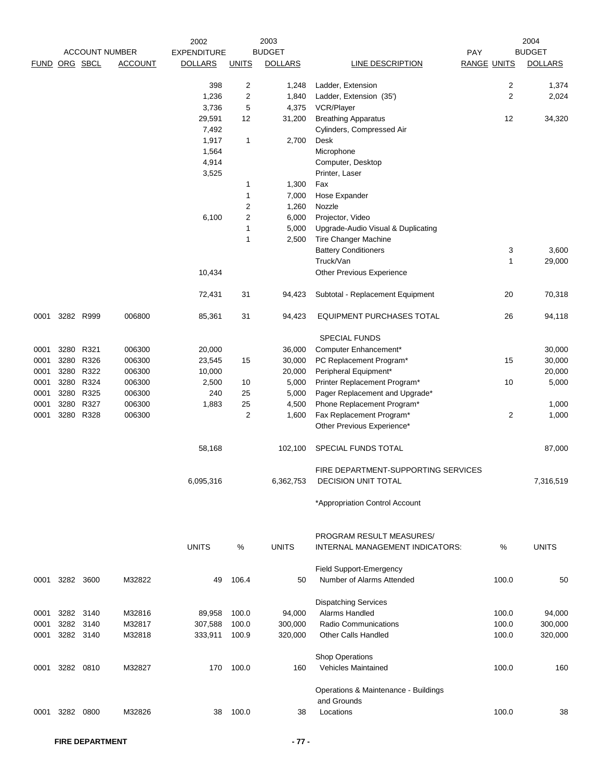|               |                |           | <b>ACCOUNT NUMBER</b> | 2002<br><b>EXPENDITURE</b> |                | 2003<br><b>BUDGET</b> |                                      | PAY                | 2004<br><b>BUDGET</b> |
|---------------|----------------|-----------|-----------------------|----------------------------|----------------|-----------------------|--------------------------------------|--------------------|-----------------------|
| FUND ORG SBCL |                |           | <b>ACCOUNT</b>        | <b>DOLLARS</b>             | <b>UNITS</b>   | <b>DOLLARS</b>        | <b>LINE DESCRIPTION</b>              | <b>RANGE UNITS</b> | <b>DOLLARS</b>        |
|               |                |           |                       | 398                        | 2              | 1,248                 | Ladder, Extension                    | 2                  | 1,374                 |
|               |                |           |                       | 1,236                      | $\overline{c}$ | 1,840                 | Ladder, Extension (35')              | $\overline{2}$     | 2,024                 |
|               |                |           |                       | 3,736                      | 5              | 4,375                 | VCR/Player                           |                    |                       |
|               |                |           |                       | 29,591                     | 12             | 31,200                | <b>Breathing Apparatus</b>           | 12                 | 34,320                |
|               |                |           |                       | 7,492                      |                |                       | Cylinders, Compressed Air            |                    |                       |
|               |                |           |                       | 1,917                      | $\mathbf{1}$   | 2,700                 | Desk                                 |                    |                       |
|               |                |           |                       | 1,564                      |                |                       | Microphone                           |                    |                       |
|               |                |           |                       | 4,914                      |                |                       | Computer, Desktop                    |                    |                       |
|               |                |           |                       | 3,525                      |                |                       | Printer, Laser                       |                    |                       |
|               |                |           |                       |                            | 1              | 1,300                 | Fax                                  |                    |                       |
|               |                |           |                       |                            | 1              | 7,000                 | Hose Expander                        |                    |                       |
|               |                |           |                       |                            | 2              | 1,260                 | Nozzle                               |                    |                       |
|               |                |           |                       | 6,100                      | $\overline{c}$ | 6,000                 | Projector, Video                     |                    |                       |
|               |                |           |                       |                            | $\mathbf{1}$   | 5,000                 | Upgrade-Audio Visual & Duplicating   |                    |                       |
|               |                |           |                       |                            | 1              | 2,500                 | Tire Changer Machine                 |                    |                       |
|               |                |           |                       |                            |                |                       | <b>Battery Conditioners</b>          | 3                  | 3,600                 |
|               |                |           |                       |                            |                |                       | Truck/Van                            | 1                  | 29,000                |
|               |                |           |                       | 10,434                     |                |                       | Other Previous Experience            |                    |                       |
|               |                |           |                       | 72,431                     | 31             | 94,423                | Subtotal - Replacement Equipment     | 20                 | 70,318                |
| 0001          |                | 3282 R999 | 006800                | 85,361                     | 31             | 94,423                | EQUIPMENT PURCHASES TOTAL            | 26                 | 94,118                |
|               |                |           |                       |                            |                |                       | <b>SPECIAL FUNDS</b>                 |                    |                       |
| 0001          | 3280           | R321      | 006300                | 20,000                     |                | 36,000                | Computer Enhancement*                |                    | 30,000                |
| 0001          | 3280           | R326      | 006300                | 23,545                     | 15             | 30,000                | PC Replacement Program*              | 15                 | 30,000                |
| 0001          | 3280           | R322      | 006300                | 10,000                     |                | 20,000                | Peripheral Equipment*                |                    | 20,000                |
| 0001          | 3280           | R324      | 006300                | 2,500                      | 10             | 5,000                 | Printer Replacement Program*         | 10                 | 5,000                 |
| 0001          | 3280           | R325      | 006300                | 240                        | 25             | 5,000                 | Pager Replacement and Upgrade*       |                    |                       |
| 0001          | 3280           | R327      | 006300                | 1,883                      | 25             | 4,500                 | Phone Replacement Program*           |                    | 1,000                 |
| 0001          | 3280           | R328      | 006300                |                            | $\overline{c}$ | 1,600                 | Fax Replacement Program*             | $\overline{2}$     | 1,000                 |
|               |                |           |                       |                            |                |                       | Other Previous Experience*           |                    |                       |
|               |                |           |                       | 58,168                     |                | 102,100               | SPECIAL FUNDS TOTAL                  |                    | 87,000                |
|               |                |           |                       |                            |                |                       | FIRE DEPARTMENT-SUPPORTING SERVICES  |                    |                       |
|               |                |           |                       | 6,095,316                  |                | 6,362,753             | <b>DECISION UNIT TOTAL</b>           |                    | 7,316,519             |
|               |                |           |                       |                            |                |                       | *Appropriation Control Account       |                    |                       |
|               |                |           |                       |                            |                |                       | PROGRAM RESULT MEASURES/             |                    |                       |
|               |                |           |                       | <b>UNITS</b>               | %              | <b>UNITS</b>          | INTERNAL MANAGEMENT INDICATORS:      | %                  | <b>UNITS</b>          |
|               |                |           |                       |                            |                |                       | Field Support-Emergency              |                    |                       |
| 0001          | 3282 3600      |           | M32822                | 49                         | 106.4          | 50                    | Number of Alarms Attended            | 100.0              | 50                    |
|               |                |           |                       |                            |                |                       | <b>Dispatching Services</b>          |                    |                       |
| 0001          |                | 3282 3140 | M32816                | 89,958                     | 100.0          | 94,000                | Alarms Handled                       | 100.0              | 94,000                |
| 0001          | 3282 3140      |           | M32817                | 307,588                    | 100.0          | 300,000               | Radio Communications                 | 100.0              | 300,000               |
| 0001          | 3282 3140      |           | M32818                | 333,911                    | 100.9          | 320,000               | <b>Other Calls Handled</b>           | 100.0              | 320,000               |
|               |                |           |                       |                            |                |                       | Shop Operations                      |                    |                       |
| 0001          |                | 3282 0810 | M32827                | 170                        | 100.0          | 160                   | Vehicles Maintained                  | 100.0              | 160                   |
|               |                |           |                       |                            |                |                       | Operations & Maintenance - Buildings |                    |                       |
|               |                |           |                       |                            |                |                       | and Grounds                          |                    |                       |
|               | 0001 3282 0800 |           | M32826                | 38                         | 100.0          | 38                    | Locations                            | 100.0              | 38                    |
|               |                |           |                       |                            |                |                       |                                      |                    |                       |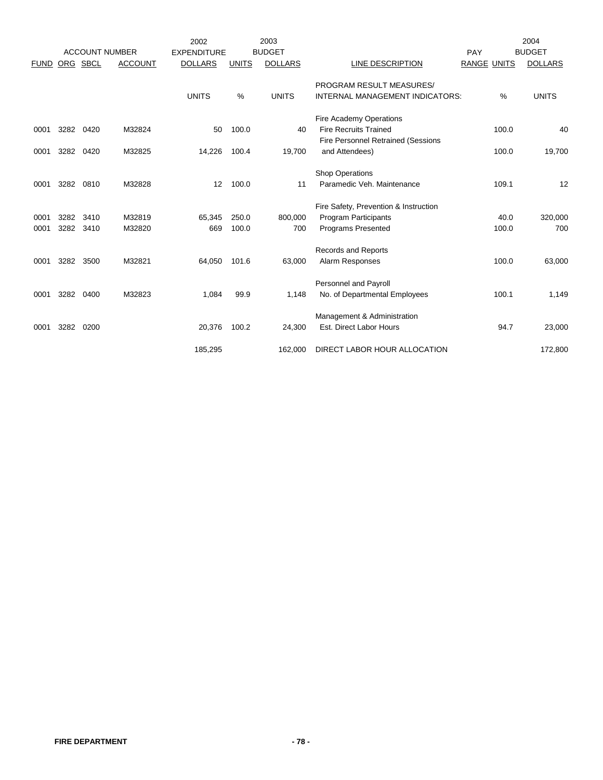|             |           |                       |                | 2002               |              | 2003           |                                           |             |       | 2004           |
|-------------|-----------|-----------------------|----------------|--------------------|--------------|----------------|-------------------------------------------|-------------|-------|----------------|
|             |           | <b>ACCOUNT NUMBER</b> |                | <b>EXPENDITURE</b> |              | <b>BUDGET</b>  |                                           | PAY         |       | <b>BUDGET</b>  |
| <b>FUND</b> | ORG SBCL  |                       | <b>ACCOUNT</b> | <b>DOLLARS</b>     | <b>UNITS</b> | <b>DOLLARS</b> | LINE DESCRIPTION                          | RANGE UNITS |       | <b>DOLLARS</b> |
|             |           |                       |                |                    |              |                | PROGRAM RESULT MEASURES/                  |             |       |                |
|             |           |                       |                | <b>UNITS</b>       | %            | <b>UNITS</b>   | INTERNAL MANAGEMENT INDICATORS:           |             | %     | <b>UNITS</b>   |
|             |           |                       |                |                    |              |                | Fire Academy Operations                   |             |       |                |
| 0001        | 3282      | 0420                  | M32824         | 50                 | 100.0        | 40             | <b>Fire Recruits Trained</b>              |             | 100.0 | 40             |
|             |           |                       |                |                    |              |                | <b>Fire Personnel Retrained (Sessions</b> |             |       |                |
| 0001        | 3282      | 0420                  | M32825         | 14,226             | 100.4        | 19,700         | and Attendees)                            |             | 100.0 | 19,700         |
|             |           |                       |                |                    |              |                |                                           |             |       |                |
|             |           |                       |                |                    |              |                | <b>Shop Operations</b>                    |             |       |                |
| 0001        | 3282      | 0810                  | M32828         | $12 \overline{ }$  | 100.0        | 11             | Paramedic Veh. Maintenance                |             | 109.1 | 12             |
|             |           |                       |                |                    |              |                | Fire Safety, Prevention & Instruction     |             |       |                |
| 0001        | 3282      | 3410                  | M32819         | 65,345             | 250.0        | 800,000        | <b>Program Participants</b>               |             | 40.0  | 320,000        |
| 0001        | 3282 3410 |                       | M32820         | 669                | 100.0        | 700            | <b>Programs Presented</b>                 |             | 100.0 | 700            |
|             |           |                       |                |                    |              |                |                                           |             |       |                |
|             |           |                       |                |                    |              |                | Records and Reports                       |             |       |                |
| 0001        | 3282      | 3500                  | M32821         | 64,050             | 101.6        | 63,000         | Alarm Responses                           |             | 100.0 | 63,000         |
|             |           |                       |                |                    |              |                | <b>Personnel and Payroll</b>              |             |       |                |
| 0001        | 3282      | 0400                  | M32823         | 1,084              | 99.9         | 1,148          | No. of Departmental Employees             |             | 100.1 | 1,149          |
|             |           |                       |                |                    |              |                | Management & Administration               |             |       |                |
| 0001        | 3282      | 0200                  |                | 20,376             | 100.2        | 24,300         | Est. Direct Labor Hours                   |             | 94.7  | 23,000         |
|             |           |                       |                |                    |              |                |                                           |             |       |                |
|             |           |                       |                | 185,295            |              | 162,000        | DIRECT LABOR HOUR ALLOCATION              |             |       | 172,800        |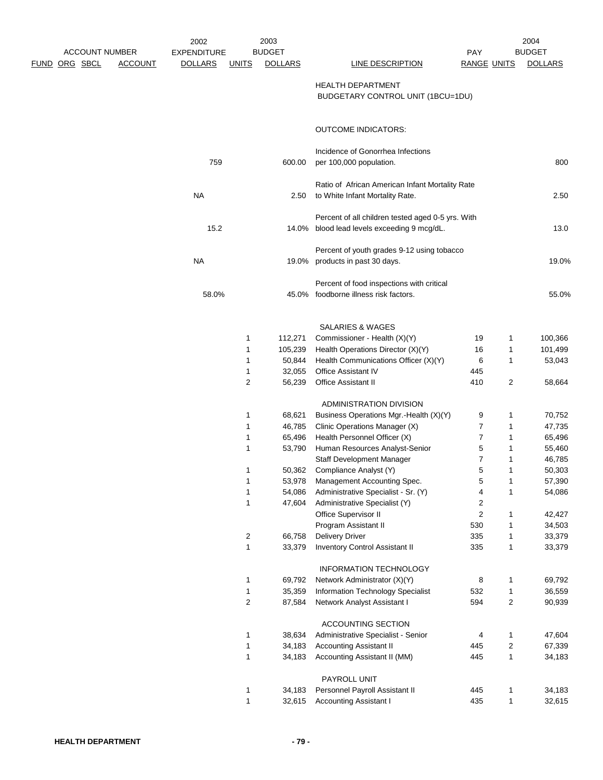| <b>ACCOUNT NUMBER</b> |                | 2002<br><b>EXPENDITURE</b> |                | 2003<br><b>BUDGET</b> |                                                                                                  | <b>PAY</b>              |                         | 2004<br><b>BUDGET</b> |
|-----------------------|----------------|----------------------------|----------------|-----------------------|--------------------------------------------------------------------------------------------------|-------------------------|-------------------------|-----------------------|
| <b>FUND ORG SBCL</b>  | <b>ACCOUNT</b> | <b>DOLLARS</b>             | <b>UNITS</b>   | <b>DOLLARS</b>        | LINE DESCRIPTION                                                                                 | <b>RANGE UNITS</b>      |                         | <b>DOLLARS</b>        |
|                       |                |                            |                |                       | <b>HEALTH DEPARTMENT</b><br>BUDGETARY CONTROL UNIT (1BCU=1DU)                                    |                         |                         |                       |
|                       |                |                            |                |                       | <b>OUTCOME INDICATORS:</b>                                                                       |                         |                         |                       |
|                       |                | 759                        |                | 600.00                | Incidence of Gonorrhea Infections<br>per 100,000 population.                                     |                         |                         | 800                   |
|                       |                | <b>NA</b>                  |                | 2.50                  | Ratio of African American Infant Mortality Rate<br>to White Infant Mortality Rate.               |                         |                         | 2.50                  |
|                       |                | 15.2                       |                |                       | Percent of all children tested aged 0-5 yrs. With<br>14.0% blood lead levels exceeding 9 mcg/dL. |                         |                         | 13.0                  |
|                       |                | <b>NA</b>                  |                |                       | Percent of youth grades 9-12 using tobacco<br>19.0% products in past 30 days.                    |                         |                         | 19.0%                 |
|                       |                | 58.0%                      |                |                       | Percent of food inspections with critical<br>45.0% foodborne illness risk factors.               |                         |                         | 55.0%                 |
|                       |                |                            |                |                       | <b>SALARIES &amp; WAGES</b>                                                                      |                         |                         |                       |
|                       |                |                            | 1              | 112,271               | Commissioner - Health (X)(Y)                                                                     | 19                      | 1                       | 100,366               |
|                       |                |                            | 1              | 105,239               | Health Operations Director (X)(Y)                                                                | 16                      | 1                       | 101,499               |
|                       |                |                            | 1              | 50,844                | Health Communications Officer (X)(Y)                                                             | 6                       | 1                       | 53,043                |
|                       |                |                            | 1              | 32,055                | Office Assistant IV                                                                              | 445                     |                         |                       |
|                       |                |                            | 2              | 56,239                | <b>Office Assistant II</b>                                                                       | 410                     | 2                       | 58,664                |
|                       |                |                            |                |                       | ADMINISTRATION DIVISION                                                                          |                         |                         |                       |
|                       |                |                            | 1              | 68,621                | Business Operations Mgr.-Health (X)(Y)                                                           | 9                       | 1                       | 70,752                |
|                       |                |                            | 1              | 46,785                | Clinic Operations Manager (X)                                                                    | 7                       | 1                       | 47,735                |
|                       |                |                            | 1              | 65,496                | Health Personnel Officer (X)                                                                     | $\overline{7}$          | 1                       | 65,496                |
|                       |                |                            | 1              | 53,790                | Human Resources Analyst-Senior                                                                   | 5                       | $\mathbf{1}$            | 55,460                |
|                       |                |                            |                |                       | Staff Development Manager                                                                        | $\overline{7}$          | 1                       | 46,785                |
|                       |                |                            | 1              | 50,362                | Compliance Analyst (Y)                                                                           | 5                       | $\mathbf{1}$            | 50,303                |
|                       |                |                            | 1              | 53,978                | Management Accounting Spec.                                                                      | 5                       | 1                       | 57,390                |
|                       |                |                            | 1              | 54,086                | Administrative Specialist - Sr. (Y)                                                              | 4                       | 1                       | 54,086                |
|                       |                |                            | 1              | 47,604                | Administrative Specialist (Y)                                                                    | $\overline{\mathbf{c}}$ |                         |                       |
|                       |                |                            |                |                       | Office Supervisor II                                                                             | $\mathbf 2$             | 1                       | 42,427                |
|                       |                |                            |                |                       | Program Assistant II                                                                             | 530                     | $\mathbf{1}$            | 34,503                |
|                       |                |                            | $\overline{c}$ | 66,758                | <b>Delivery Driver</b>                                                                           | 335                     | 1                       | 33,379                |
|                       |                |                            | $\mathbf{1}$   | 33,379                | <b>Inventory Control Assistant II</b>                                                            | 335                     | 1                       | 33,379                |
|                       |                |                            |                |                       | <b>INFORMATION TECHNOLOGY</b>                                                                    |                         |                         |                       |
|                       |                |                            | 1              | 69,792                | Network Administrator (X)(Y)                                                                     | 8                       | 1                       | 69,792                |
|                       |                |                            | 1              | 35,359                | Information Technology Specialist                                                                | 532                     | $\mathbf{1}$            | 36,559                |
|                       |                |                            | $\overline{c}$ | 87,584                | Network Analyst Assistant I                                                                      | 594                     | 2                       | 90,939                |
|                       |                |                            |                |                       | ACCOUNTING SECTION                                                                               |                         |                         |                       |
|                       |                |                            | 1              | 38,634                | Administrative Specialist - Senior                                                               | 4                       | $\mathbf{1}$            | 47,604                |
|                       |                |                            | 1              | 34,183                | <b>Accounting Assistant II</b>                                                                   | 445                     | $\overline{\mathbf{c}}$ | 67,339                |
|                       |                |                            | 1              | 34,183                | Accounting Assistant II (MM)                                                                     | 445                     | $\mathbf{1}$            | 34,183                |
|                       |                |                            |                |                       | PAYROLL UNIT                                                                                     |                         |                         |                       |
|                       |                |                            | 1              | 34,183                | Personnel Payroll Assistant II                                                                   | 445                     | 1                       | 34,183                |
|                       |                |                            | $\mathbf{1}$   | 32,615                | <b>Accounting Assistant I</b>                                                                    | 435                     | 1                       | 32,615                |
|                       |                |                            |                |                       |                                                                                                  |                         |                         |                       |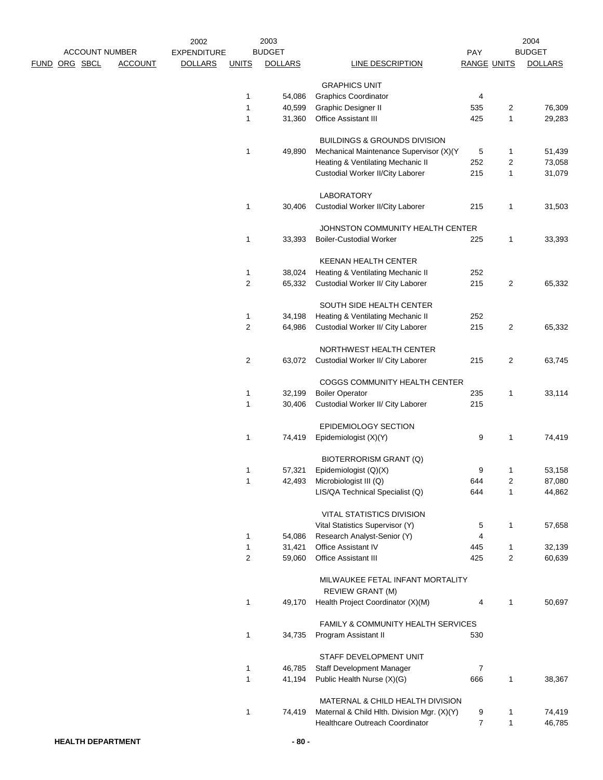|  | <b>ACCOUNT NUMBER</b> |                | 2002               |              | 2003<br><b>BUDGET</b> |                                             |                         |                | 2004<br><b>BUDGET</b> |
|--|-----------------------|----------------|--------------------|--------------|-----------------------|---------------------------------------------|-------------------------|----------------|-----------------------|
|  |                       |                | <b>EXPENDITURE</b> |              |                       | <b>LINE DESCRIPTION</b>                     | PAY                     |                |                       |
|  | <u>FUND ORG SBCL</u>  | <b>ACCOUNT</b> | <b>DOLLARS</b>     | <b>UNITS</b> | <b>DOLLARS</b>        |                                             | <b>RANGE UNITS</b>      |                | <b>DOLLARS</b>        |
|  |                       |                |                    |              |                       | <b>GRAPHICS UNIT</b>                        |                         |                |                       |
|  |                       |                |                    | 1            | 54,086                | <b>Graphics Coordinator</b>                 | 4                       |                |                       |
|  |                       |                |                    | 1            | 40,599                | Graphic Designer II                         | 535                     | 2              | 76,309                |
|  |                       |                |                    | $\mathbf{1}$ | 31,360                | Office Assistant III                        | 425                     | 1              | 29,283                |
|  |                       |                |                    |              |                       |                                             |                         |                |                       |
|  |                       |                |                    |              |                       | <b>BUILDINGS &amp; GROUNDS DIVISION</b>     |                         |                |                       |
|  |                       |                |                    | 1            | 49,890                | Mechanical Maintenance Supervisor (X)(Y     | 5                       | 1              | 51,439                |
|  |                       |                |                    |              |                       | Heating & Ventilating Mechanic II           | 252                     | 2              | 73,058                |
|  |                       |                |                    |              |                       | Custodial Worker II/City Laborer            | 215                     | 1              | 31,079                |
|  |                       |                |                    |              |                       |                                             |                         |                |                       |
|  |                       |                |                    |              |                       | LABORATORY                                  |                         |                |                       |
|  |                       |                |                    | 1            | 30,406                | Custodial Worker II/City Laborer            | 215                     | 1              | 31,503                |
|  |                       |                |                    |              |                       |                                             |                         |                |                       |
|  |                       |                |                    |              |                       | JOHNSTON COMMUNITY HEALTH CENTER            |                         |                |                       |
|  |                       |                |                    | 1            | 33,393                | <b>Boiler-Custodial Worker</b>              | 225                     | 1              | 33,393                |
|  |                       |                |                    |              |                       |                                             |                         |                |                       |
|  |                       |                |                    |              |                       | KEENAN HEALTH CENTER                        |                         |                |                       |
|  |                       |                |                    | 1            | 38,024                | Heating & Ventilating Mechanic II           | 252                     |                |                       |
|  |                       |                |                    |              |                       |                                             | 215                     |                |                       |
|  |                       |                |                    | 2            | 65,332                | Custodial Worker II/ City Laborer           |                         | 2              | 65,332                |
|  |                       |                |                    |              |                       | SOUTH SIDE HEALTH CENTER                    |                         |                |                       |
|  |                       |                |                    |              |                       |                                             | 252                     |                |                       |
|  |                       |                |                    | 1            | 34,198                | Heating & Ventilating Mechanic II           |                         |                |                       |
|  |                       |                |                    | 2            | 64,986                | Custodial Worker II/ City Laborer           | 215                     | $\overline{2}$ | 65,332                |
|  |                       |                |                    |              |                       | NORTHWEST HEALTH CENTER                     |                         |                |                       |
|  |                       |                |                    |              |                       |                                             |                         |                |                       |
|  |                       |                |                    | 2            | 63,072                | Custodial Worker II/ City Laborer           | 215                     | 2              | 63,745                |
|  |                       |                |                    |              |                       |                                             |                         |                |                       |
|  |                       |                |                    |              |                       | COGGS COMMUNITY HEALTH CENTER               |                         |                |                       |
|  |                       |                |                    | 1            | 32,199                | <b>Boiler Operator</b>                      | 235                     | 1              | 33,114                |
|  |                       |                |                    | 1            | 30,406                | Custodial Worker II/ City Laborer           | 215                     |                |                       |
|  |                       |                |                    |              |                       |                                             |                         |                |                       |
|  |                       |                |                    |              |                       | EPIDEMIOLOGY SECTION                        |                         | 1              |                       |
|  |                       |                |                    | 1            | 74,419                | Epidemiologist (X)(Y)                       | 9                       |                | 74,419                |
|  |                       |                |                    |              |                       |                                             |                         |                |                       |
|  |                       |                |                    |              |                       | BIOTERRORISM GRANT (Q)                      |                         |                |                       |
|  |                       |                |                    | 1            | 57,321                | Epidemiologist (Q)(X)                       | 9                       | 1              | 53,158                |
|  |                       |                |                    | 1            | 42,493                | Microbiologist III (Q)                      | 644                     | 2              | 87,080                |
|  |                       |                |                    |              |                       | LIS/QA Technical Specialist (Q)             | 644                     | 1              | 44,862                |
|  |                       |                |                    |              |                       |                                             |                         |                |                       |
|  |                       |                |                    |              |                       | VITAL STATISTICS DIVISION                   |                         |                |                       |
|  |                       |                |                    |              |                       | Vital Statistics Supervisor (Y)             | 5                       | 1              | 57,658                |
|  |                       |                |                    | 1            | 54,086                | Research Analyst-Senior (Y)                 | $\overline{\mathbf{4}}$ |                |                       |
|  |                       |                |                    | 1            | 31,421                | Office Assistant IV                         | 445                     | 1              | 32,139                |
|  |                       |                |                    | 2            | 59,060                | Office Assistant III                        | 425                     | 2              | 60,639                |
|  |                       |                |                    |              |                       |                                             |                         |                |                       |
|  |                       |                |                    |              |                       | MILWAUKEE FETAL INFANT MORTALITY            |                         |                |                       |
|  |                       |                |                    |              |                       | REVIEW GRANT (M)                            |                         |                |                       |
|  |                       |                |                    | 1            | 49,170                | Health Project Coordinator (X)(M)           | 4                       | 1              | 50,697                |
|  |                       |                |                    |              |                       |                                             |                         |                |                       |
|  |                       |                |                    |              |                       | FAMILY & COMMUNITY HEALTH SERVICES          |                         |                |                       |
|  |                       |                |                    | 1            | 34,735                | Program Assistant II                        | 530                     |                |                       |
|  |                       |                |                    |              |                       |                                             |                         |                |                       |
|  |                       |                |                    |              |                       | STAFF DEVELOPMENT UNIT                      |                         |                |                       |
|  |                       |                |                    | 1            | 46,785                | Staff Development Manager                   | 7                       |                |                       |
|  |                       |                |                    | $\mathbf{1}$ | 41,194                | Public Health Nurse (X)(G)                  | 666                     | 1              | 38,367                |
|  |                       |                |                    |              |                       |                                             |                         |                |                       |
|  |                       |                |                    |              |                       | MATERNAL & CHILD HEALTH DIVISION            |                         |                |                       |
|  |                       |                |                    | 1            | 74,419                | Maternal & Child Hlth. Division Mgr. (X)(Y) | 9                       | 1              | 74,419                |
|  |                       |                |                    |              |                       | Healthcare Outreach Coordinator             | $\overline{7}$          | $\mathbf{1}$   | 46,785                |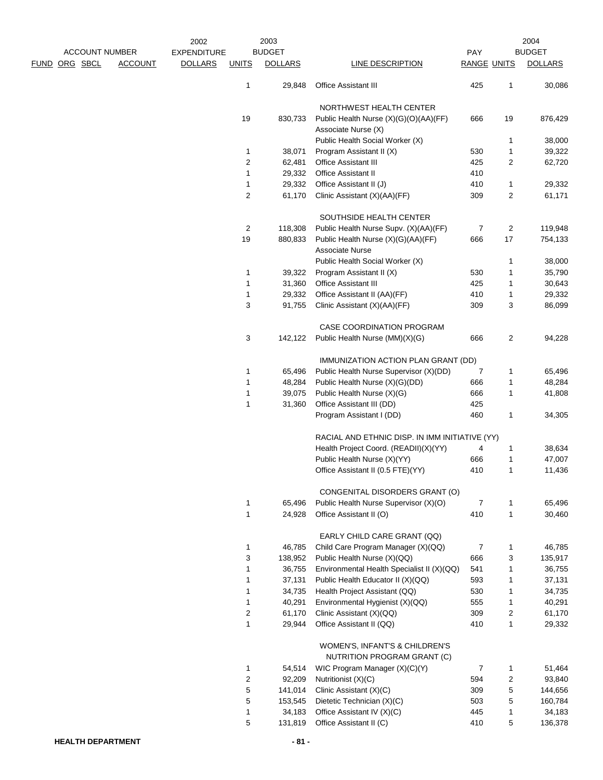|                                               |                | 2002                                 |                     | 2003                            |                                                               |                           |                         | 2004                            |
|-----------------------------------------------|----------------|--------------------------------------|---------------------|---------------------------------|---------------------------------------------------------------|---------------------------|-------------------------|---------------------------------|
| <b>ACCOUNT NUMBER</b><br><u>FUND ORG SBCL</u> | <b>ACCOUNT</b> | <b>EXPENDITURE</b><br><b>DOLLARS</b> | <b>UNITS</b>        | <b>BUDGET</b><br><b>DOLLARS</b> | LINE DESCRIPTION                                              | PAY<br><b>RANGE UNITS</b> |                         | <b>BUDGET</b><br><b>DOLLARS</b> |
|                                               |                |                                      |                     | 29,848                          | Office Assistant III                                          | 425                       |                         | 30,086                          |
|                                               |                |                                      | 1                   |                                 |                                                               |                           | 1                       |                                 |
|                                               |                |                                      |                     |                                 | NORTHWEST HEALTH CENTER                                       |                           |                         |                                 |
|                                               |                |                                      | 19                  | 830,733                         | Public Health Nurse (X)(G)(O)(AA)(FF)                         | 666                       | 19                      | 876,429                         |
|                                               |                |                                      |                     |                                 | Associate Nurse (X)                                           |                           |                         |                                 |
|                                               |                |                                      |                     |                                 | Public Health Social Worker (X)                               |                           | 1                       | 38,000                          |
|                                               |                |                                      | 1<br>$\overline{c}$ | 38,071<br>62,481                | Program Assistant II (X)<br><b>Office Assistant III</b>       | 530<br>425                | 1<br>2                  | 39,322<br>62,720                |
|                                               |                |                                      | 1                   | 29,332                          | <b>Office Assistant II</b>                                    | 410                       |                         |                                 |
|                                               |                |                                      | 1                   | 29,332                          | Office Assistant II (J)                                       | 410                       | 1                       | 29,332                          |
|                                               |                |                                      | 2                   | 61,170                          | Clinic Assistant (X)(AA)(FF)                                  | 309                       | 2                       | 61,171                          |
|                                               |                |                                      |                     |                                 | SOUTHSIDE HEALTH CENTER                                       |                           |                         |                                 |
|                                               |                |                                      | 2                   | 118,308                         | Public Health Nurse Supv. (X)(AA)(FF)                         | $\overline{7}$            | $\overline{\mathbf{c}}$ | 119,948                         |
|                                               |                |                                      | 19                  | 880,833                         | Public Health Nurse (X)(G)(AA)(FF)                            | 666                       | 17                      | 754,133                         |
|                                               |                |                                      |                     |                                 | <b>Associate Nurse</b>                                        |                           |                         |                                 |
|                                               |                |                                      |                     |                                 | Public Health Social Worker (X)                               |                           | 1                       | 38,000                          |
|                                               |                |                                      | 1                   | 39,322                          | Program Assistant II (X)                                      | 530                       | 1                       | 35,790                          |
|                                               |                |                                      | 1                   | 31,360                          | Office Assistant III                                          | 425                       | 1                       | 30,643                          |
|                                               |                |                                      | 1                   | 29,332                          | Office Assistant II (AA)(FF)                                  | 410                       | 1                       | 29,332                          |
|                                               |                |                                      | 3                   | 91,755                          | Clinic Assistant (X)(AA)(FF)                                  | 309                       | 3                       | 86,099                          |
|                                               |                |                                      |                     |                                 | CASE COORDINATION PROGRAM                                     |                           |                         |                                 |
|                                               |                |                                      | 3                   | 142,122                         | Public Health Nurse (MM)(X)(G)                                | 666                       | 2                       | 94,228                          |
|                                               |                |                                      |                     |                                 | IMMUNIZATION ACTION PLAN GRANT (DD)                           |                           |                         |                                 |
|                                               |                |                                      | 1                   | 65,496                          | Public Health Nurse Supervisor (X)(DD)                        | 7                         | 1                       | 65,496                          |
|                                               |                |                                      | 1                   | 48,284                          | Public Health Nurse (X)(G)(DD)                                | 666                       | 1                       | 48,284                          |
|                                               |                |                                      | 1                   | 39,075                          | Public Health Nurse (X)(G)                                    | 666                       | 1                       | 41,808                          |
|                                               |                |                                      | 1                   | 31,360                          | Office Assistant III (DD)                                     | 425                       |                         |                                 |
|                                               |                |                                      |                     |                                 | Program Assistant I (DD)                                      | 460                       | 1                       | 34,305                          |
|                                               |                |                                      |                     |                                 | RACIAL AND ETHNIC DISP. IN IMM INITIATIVE (YY)                |                           |                         |                                 |
|                                               |                |                                      |                     |                                 | Health Project Coord. (READII)(X)(YY)                         | 4                         | 1                       | 38,634                          |
|                                               |                |                                      |                     |                                 | Public Health Nurse (X)(YY)                                   | 666                       | 1                       | 47,007                          |
|                                               |                |                                      |                     |                                 | Office Assistant II (0.5 FTE)(YY)                             | 410                       | 1                       | 11,436                          |
|                                               |                |                                      |                     |                                 | CONGENITAL DISORDERS GRANT (O)                                |                           |                         |                                 |
|                                               |                |                                      | $\mathbf{1}$        | 65,496                          | Public Health Nurse Supervisor (X)(O)                         | $\overline{7}$            | 1                       | 65,496                          |
|                                               |                |                                      | 1                   | 24,928                          | Office Assistant II (O)                                       | 410                       | $\mathbf{1}$            | 30,460                          |
|                                               |                |                                      |                     |                                 | EARLY CHILD CARE GRANT (QQ)                                   |                           |                         |                                 |
|                                               |                |                                      | 1                   | 46,785                          | Child Care Program Manager (X)(QQ)                            | $\overline{7}$            | 1                       | 46,785                          |
|                                               |                |                                      | 3                   | 138,952                         | Public Health Nurse (X)(QQ)                                   | 666                       | 3                       | 135,917                         |
|                                               |                |                                      | 1                   | 36,755                          | Environmental Health Specialist II (X)(QQ)                    | 541                       | 1                       | 36,755                          |
|                                               |                |                                      | 1                   | 37,131                          | Public Health Educator II (X)(QQ)                             | 593                       | 1                       | 37,131                          |
|                                               |                |                                      | $\mathbf{1}$        | 34,735                          | Health Project Assistant (QQ)                                 | 530                       | 1                       | 34,735                          |
|                                               |                |                                      | 1                   | 40,291                          | Environmental Hygienist (X)(QQ)                               | 555                       | $\mathbf{1}$            | 40,291                          |
|                                               |                |                                      | 2                   | 61,170                          | Clinic Assistant (X)(QQ)                                      | 309                       | $\overline{c}$          | 61,170                          |
|                                               |                |                                      | 1                   | 29,944                          | Office Assistant II (QQ)                                      | 410                       | 1                       | 29,332                          |
|                                               |                |                                      |                     |                                 | WOMEN'S, INFANT'S & CHILDREN'S<br>NUTRITION PROGRAM GRANT (C) |                           |                         |                                 |
|                                               |                |                                      | 1                   | 54,514                          | WIC Program Manager (X)(C)(Y)                                 | 7                         | 1                       | 51,464                          |
|                                               |                |                                      | $\overline{c}$      | 92,209                          | Nutritionist (X)(C)                                           | 594                       | 2                       | 93,840                          |
|                                               |                |                                      | 5                   | 141,014                         | Clinic Assistant (X)(C)                                       | 309                       | 5                       | 144,656                         |
|                                               |                |                                      | 5                   | 153,545                         | Dietetic Technician (X)(C)                                    | 503                       | 5                       | 160,784                         |
|                                               |                |                                      | 1                   | 34,183                          | Office Assistant IV (X)(C)                                    | 445                       | 1                       | 34,183                          |
|                                               |                |                                      | 5                   | 131,819                         | Office Assistant II (C)                                       | 410                       | 5                       | 136,378                         |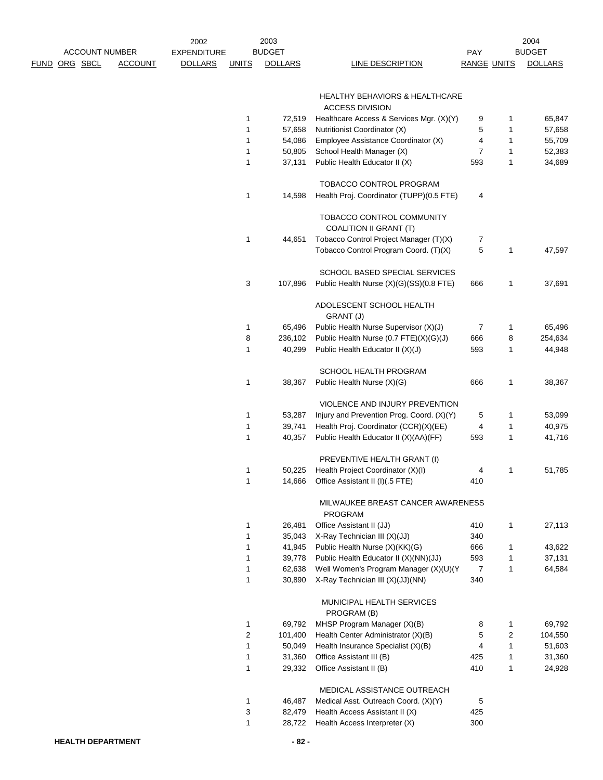|                      | <b>ACCOUNT NUMBER</b> |                | 2002<br><b>EXPENDITURE</b> |              | 2003<br><b>BUDGET</b> |                                                     | <b>PAY</b>         |                | 2004<br><b>BUDGET</b> |
|----------------------|-----------------------|----------------|----------------------------|--------------|-----------------------|-----------------------------------------------------|--------------------|----------------|-----------------------|
| <u>FUND ORG SBCL</u> |                       | <b>ACCOUNT</b> | <b>DOLLARS</b>             | <u>UNITS</u> | <b>DOLLARS</b>        | LINE DESCRIPTION                                    | <b>RANGE UNITS</b> |                | <b>DOLLARS</b>        |
|                      |                       |                |                            |              |                       |                                                     |                    |                |                       |
|                      |                       |                |                            |              |                       | HEALTHY BEHAVIORS & HEALTHCARE                      |                    |                |                       |
|                      |                       |                |                            |              |                       | <b>ACCESS DIVISION</b>                              |                    |                |                       |
|                      |                       |                |                            | 1            | 72,519                | Healthcare Access & Services Mgr. (X)(Y)            | 9                  | 1              | 65,847                |
|                      |                       |                |                            | 1            | 57,658                | Nutritionist Coordinator (X)                        | 5                  | 1              | 57,658                |
|                      |                       |                |                            | 1            | 54,086                | Employee Assistance Coordinator (X)                 | 4                  | 1              | 55,709                |
|                      |                       |                |                            | 1            | 50,805                | School Health Manager (X)                           | $\overline{7}$     | 1              | 52,383                |
|                      |                       |                |                            | $\mathbf{1}$ | 37,131                | Public Health Educator II (X)                       | 593                | 1              | 34,689                |
|                      |                       |                |                            |              |                       | TOBACCO CONTROL PROGRAM                             |                    |                |                       |
|                      |                       |                |                            | 1            | 14,598                | Health Proj. Coordinator (TUPP)(0.5 FTE)            | 4                  |                |                       |
|                      |                       |                |                            |              |                       | TOBACCO CONTROL COMMUNITY<br>COALITION II GRANT (T) |                    |                |                       |
|                      |                       |                |                            | 1            | 44,651                | Tobacco Control Project Manager (T)(X)              | 7                  |                |                       |
|                      |                       |                |                            |              |                       | Tobacco Control Program Coord. (T)(X)               | 5                  | 1              | 47,597                |
|                      |                       |                |                            |              |                       | SCHOOL BASED SPECIAL SERVICES                       |                    |                |                       |
|                      |                       |                |                            | 3            | 107,896               | Public Health Nurse (X)(G)(SS)(0.8 FTE)             | 666                | 1              | 37,691                |
|                      |                       |                |                            |              |                       | ADOLESCENT SCHOOL HEALTH<br>GRANT (J)               |                    |                |                       |
|                      |                       |                |                            | 1            | 65,496                | Public Health Nurse Supervisor (X)(J)               | 7                  | 1              | 65,496                |
|                      |                       |                |                            | 8            | 236,102               | Public Health Nurse (0.7 FTE)(X)(G)(J)              | 666                | 8              | 254,634               |
|                      |                       |                |                            | 1            | 40,299                | Public Health Educator II (X)(J)                    | 593                | 1              | 44,948                |
|                      |                       |                |                            |              |                       | SCHOOL HEALTH PROGRAM                               |                    |                |                       |
|                      |                       |                |                            | $\mathbf{1}$ | 38,367                | Public Health Nurse (X)(G)                          | 666                | 1              | 38,367                |
|                      |                       |                |                            |              |                       | VIOLENCE AND INJURY PREVENTION                      |                    |                |                       |
|                      |                       |                |                            | 1            | 53,287                | Injury and Prevention Prog. Coord. (X)(Y)           | 5                  | 1              | 53,099                |
|                      |                       |                |                            | 1            | 39,741                | Health Proj. Coordinator (CCR)(X)(EE)               | 4                  | 1              | 40,975                |
|                      |                       |                |                            | 1            | 40,357                | Public Health Educator II (X)(AA)(FF)               | 593                | 1              | 41,716                |
|                      |                       |                |                            |              |                       | PREVENTIVE HEALTH GRANT (I)                         |                    |                |                       |
|                      |                       |                |                            | 1            | 50,225                | Health Project Coordinator (X)(I)                   | 4                  | 1              | 51,785                |
|                      |                       |                |                            | 1            | 14,666                | Office Assistant II (I)(.5 FTE)                     | 410                |                |                       |
|                      |                       |                |                            |              |                       | MILWAUKEE BREAST CANCER AWARENESS<br><b>PROGRAM</b> |                    |                |                       |
|                      |                       |                |                            | 1            | 26,481                | Office Assistant II (JJ)                            | 410                | 1              | 27,113                |
|                      |                       |                |                            | 1            | 35,043                | X-Ray Technician III (X)(JJ)                        | 340                |                |                       |
|                      |                       |                |                            | 1            | 41,945                | Public Health Nurse (X)(KK)(G)                      | 666                | 1              | 43,622                |
|                      |                       |                |                            | 1            | 39,778                | Public Health Educator II (X)(NN)(JJ)               | 593                | 1              | 37,131                |
|                      |                       |                |                            | 1            | 62,638                | Well Women's Program Manager (X)(U)(Y               | $\overline{7}$     | 1              | 64,584                |
|                      |                       |                |                            | 1            | 30,890                | X-Ray Technician III (X)(JJ)(NN)                    | 340                |                |                       |
|                      |                       |                |                            |              |                       | MUNICIPAL HEALTH SERVICES<br>PROGRAM (B)            |                    |                |                       |
|                      |                       |                |                            | $\mathbf{1}$ | 69,792                | MHSP Program Manager (X)(B)                         | 8                  | 1              | 69,792                |
|                      |                       |                |                            | 2            | 101,400               | Health Center Administrator (X)(B)                  | 5                  | $\overline{c}$ | 104,550               |
|                      |                       |                |                            | $\mathbf{1}$ | 50,049                | Health Insurance Specialist (X)(B)                  | 4                  | $\mathbf{1}$   | 51,603                |
|                      |                       |                |                            | $\mathbf{1}$ | 31,360                | Office Assistant III (B)                            | 425                | 1              | 31,360                |
|                      |                       |                |                            | 1            | 29,332                | Office Assistant II (B)                             | 410                | 1              | 24,928                |
|                      |                       |                |                            |              |                       | MEDICAL ASSISTANCE OUTREACH                         |                    |                |                       |
|                      |                       |                |                            | 1            | 46,487                | Medical Asst. Outreach Coord. (X)(Y)                | 5                  |                |                       |
|                      |                       |                |                            | 3            | 82,479                | Health Access Assistant II (X)                      | 425                |                |                       |
|                      |                       |                |                            | $\mathbf{1}$ | 28,722                | Health Access Interpreter (X)                       | 300                |                |                       |
|                      |                       |                |                            |              |                       |                                                     |                    |                |                       |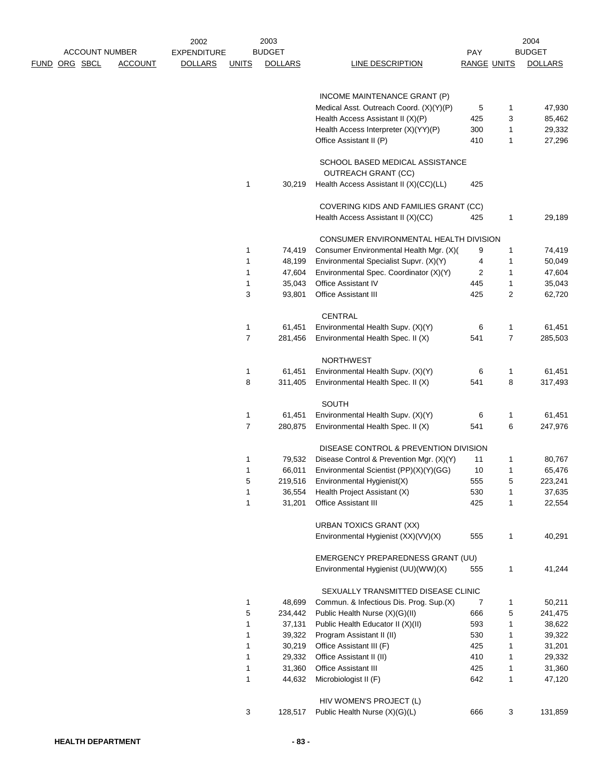|             |          |                       | 2002               |                | 2003             |                                                               |                    |                   | 2004             |
|-------------|----------|-----------------------|--------------------|----------------|------------------|---------------------------------------------------------------|--------------------|-------------------|------------------|
|             |          | <b>ACCOUNT NUMBER</b> | <b>EXPENDITURE</b> |                | <b>BUDGET</b>    |                                                               | <b>PAY</b>         |                   | <b>BUDGET</b>    |
| <b>FUND</b> | ORG SBCL | <b>ACCOUNT</b>        | <b>DOLLARS</b>     | <b>UNITS</b>   | <b>DOLLARS</b>   | <b>LINE DESCRIPTION</b>                                       | <b>RANGE UNITS</b> |                   | <b>DOLLARS</b>   |
|             |          |                       |                    |                |                  |                                                               |                    |                   |                  |
|             |          |                       |                    |                |                  | INCOME MAINTENANCE GRANT (P)                                  |                    |                   |                  |
|             |          |                       |                    |                |                  | Medical Asst. Outreach Coord. (X)(Y)(P)                       | 5                  | 1                 | 47,930           |
|             |          |                       |                    |                |                  | Health Access Assistant II (X)(P)                             | 425                | 3                 | 85,462           |
|             |          |                       |                    |                |                  | Health Access Interpreter (X)(YY)(P)                          | 300                | 1                 | 29,332           |
|             |          |                       |                    |                |                  | Office Assistant II (P)                                       | 410                | 1                 | 27,296           |
|             |          |                       |                    |                |                  | SCHOOL BASED MEDICAL ASSISTANCE<br><b>OUTREACH GRANT (CC)</b> |                    |                   |                  |
|             |          |                       |                    | 1              | 30,219           | Health Access Assistant II (X)(CC)(LL)                        | 425                |                   |                  |
|             |          |                       |                    |                |                  | COVERING KIDS AND FAMILIES GRANT (CC)                         |                    |                   |                  |
|             |          |                       |                    |                |                  | Health Access Assistant II (X)(CC)                            | 425                | 1                 | 29,189           |
|             |          |                       |                    |                |                  |                                                               |                    |                   |                  |
|             |          |                       |                    |                |                  | CONSUMER ENVIRONMENTAL HEALTH DIVISION                        |                    |                   |                  |
|             |          |                       |                    | 1              | 74,419           | Consumer Environmental Health Mgr. (X)(                       | 9                  | 1                 | 74,419           |
|             |          |                       |                    | 1              | 48,199           | Environmental Specialist Supvr. (X)(Y)                        | 4                  | 1                 | 50,049           |
|             |          |                       |                    | 1              | 47,604           | Environmental Spec. Coordinator (X)(Y)                        | 2                  | $\mathbf{1}$      | 47,604           |
|             |          |                       |                    | 1              | 35,043           | Office Assistant IV                                           | 445                | $\mathbf{1}$      | 35,043           |
|             |          |                       |                    | 3              | 93,801           | Office Assistant III                                          | 425                | 2                 | 62,720           |
|             |          |                       |                    |                |                  | CENTRAL                                                       |                    |                   |                  |
|             |          |                       |                    | 1              | 61,451           | Environmental Health Supv. (X)(Y)                             | 6                  | 1                 | 61,451           |
|             |          |                       |                    | $\overline{7}$ | 281,456          | Environmental Health Spec. II (X)                             | 541                | $\overline{7}$    | 285,503          |
|             |          |                       |                    |                |                  |                                                               |                    |                   |                  |
|             |          |                       |                    |                |                  | <b>NORTHWEST</b>                                              |                    |                   |                  |
|             |          |                       |                    | 1              | 61,451           | Environmental Health Supv. (X)(Y)                             | 6                  | $\mathbf{1}$      | 61,451           |
|             |          |                       |                    | 8              | 311,405          | Environmental Health Spec. II (X)                             | 541                | 8                 | 317,493          |
|             |          |                       |                    |                |                  | SOUTH                                                         |                    |                   |                  |
|             |          |                       |                    | 1              | 61,451           | Environmental Health Supv. (X)(Y)                             | 6                  | 1                 | 61,451           |
|             |          |                       |                    | $\overline{7}$ | 280,875          | Environmental Health Spec. II (X)                             | 541                | 6                 | 247,976          |
|             |          |                       |                    |                |                  | DISEASE CONTROL & PREVENTION DIVISION                         |                    |                   |                  |
|             |          |                       |                    | 1              | 79,532           | Disease Control & Prevention Mgr. (X)(Y)                      | 11                 | 1                 | 80,767           |
|             |          |                       |                    |                |                  |                                                               |                    |                   |                  |
|             |          |                       |                    | 1              | 66,011           | Environmental Scientist (PP)(X)(Y)(GG)                        | 10                 | 1                 | 65,476           |
|             |          |                       |                    | 5              | 219,516          | Environmental Hygienist(X)                                    | 555                | 5                 | 223,241          |
|             |          |                       |                    | 1<br>1         | 36,554<br>31,201 | Health Project Assistant (X)<br>Office Assistant III          | 530<br>425         | 1<br>$\mathbf{1}$ | 37,635<br>22,554 |
|             |          |                       |                    |                |                  |                                                               |                    |                   |                  |
|             |          |                       |                    |                |                  | <b>URBAN TOXICS GRANT (XX)</b>                                |                    |                   |                  |
|             |          |                       |                    |                |                  | Environmental Hygienist (XX)(VV)(X)                           | 555                | 1                 | 40,291           |
|             |          |                       |                    |                |                  | EMERGENCY PREPAREDNESS GRANT (UU)                             |                    |                   |                  |
|             |          |                       |                    |                |                  | Environmental Hygienist (UU)(WW)(X)                           | 555                | 1                 | 41,244           |
|             |          |                       |                    |                |                  | SEXUALLY TRANSMITTED DISEASE CLINIC                           |                    |                   |                  |
|             |          |                       |                    | 1              | 48,699           | Commun. & Infectious Dis. Prog. Sup.(X)                       | 7                  | 1                 | 50,211           |
|             |          |                       |                    | 5              | 234,442          | Public Health Nurse (X)(G)(II)                                | 666                | 5                 | 241,475          |
|             |          |                       |                    | 1              | 37,131           | Public Health Educator II (X)(II)                             | 593                | 1                 | 38,622           |
|             |          |                       |                    | 1              | 39,322           | Program Assistant II (II)                                     | 530                | 1                 | 39,322           |
|             |          |                       |                    | 1              | 30,219           | Office Assistant III (F)                                      | 425                | 1                 | 31,201           |
|             |          |                       |                    | 1              |                  |                                                               |                    |                   |                  |
|             |          |                       |                    |                | 29,332           | Office Assistant II (II)<br>Office Assistant III              | 410                | 1                 | 29,332           |
|             |          |                       |                    | 1              | 31,360           |                                                               | 425                | $\mathbf{1}$      | 31,360           |
|             |          |                       |                    | 1              | 44,632           | Microbiologist II (F)                                         | 642                | $\mathbf{1}$      | 47,120           |
|             |          |                       |                    |                |                  | HIV WOMEN'S PROJECT (L)                                       |                    |                   |                  |
|             |          |                       |                    | 3              | 128,517          | Public Health Nurse (X)(G)(L)                                 | 666                | 3                 | 131,859          |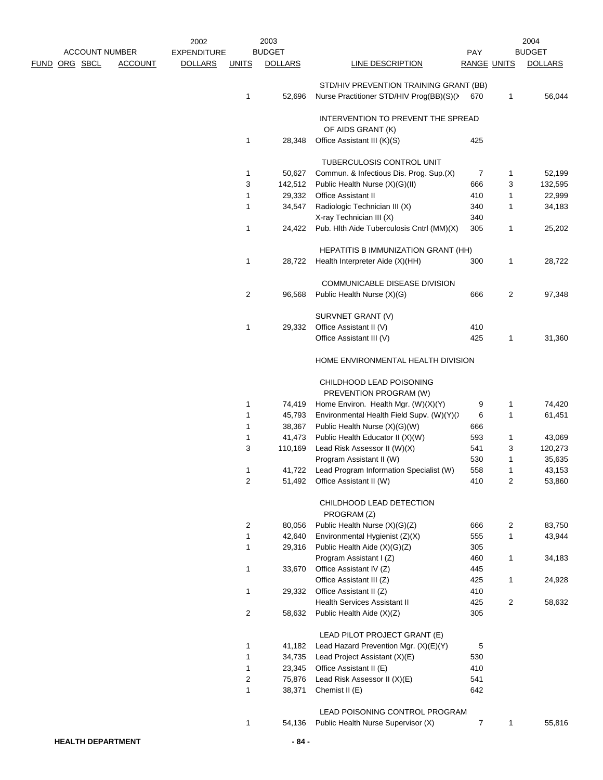|  |               |                       | 2002               |                | 2003           |                                                         |             |                | 2004           |
|--|---------------|-----------------------|--------------------|----------------|----------------|---------------------------------------------------------|-------------|----------------|----------------|
|  |               | <b>ACCOUNT NUMBER</b> | <b>EXPENDITURE</b> |                | <b>BUDGET</b>  |                                                         | <b>PAY</b>  |                | <b>BUDGET</b>  |
|  | FUND ORG SBCL | <b>ACCOUNT</b>        | <b>DOLLARS</b>     | <b>UNITS</b>   | <b>DOLLARS</b> | LINE DESCRIPTION                                        | RANGE UNITS |                | <b>DOLLARS</b> |
|  |               |                       |                    |                |                | STD/HIV PREVENTION TRAINING GRANT (BB)                  |             |                |                |
|  |               |                       |                    | 1              | 52,696         | Nurse Practitioner STD/HIV Prog(BB)(S)(>                | 670         | 1              | 56,044         |
|  |               |                       |                    |                |                | INTERVENTION TO PREVENT THE SPREAD<br>OF AIDS GRANT (K) |             |                |                |
|  |               |                       |                    | 1              | 28,348         | Office Assistant III (K)(S)                             | 425         |                |                |
|  |               |                       |                    |                |                | TUBERCULOSIS CONTROL UNIT                               |             |                |                |
|  |               |                       |                    | 1              | 50,627         | Commun. & Infectious Dis. Prog. Sup.(X)                 | 7           | 1              | 52,199         |
|  |               |                       |                    | 3              | 142,512        | Public Health Nurse (X)(G)(II)                          | 666         | 3              | 132,595        |
|  |               |                       |                    | 1              | 29,332         | Office Assistant II                                     | 410         | 1              | 22,999         |
|  |               |                       |                    | 1              | 34,547         | Radiologic Technician III (X)                           | 340         | 1              | 34,183         |
|  |               |                       |                    |                |                | X-ray Technician III (X)                                | 340         |                |                |
|  |               |                       |                    | 1              | 24,422         | Pub. Hlth Aide Tuberculosis Cntrl (MM)(X)               | 305         | 1              | 25,202         |
|  |               |                       |                    |                |                | HEPATITIS B IMMUNIZATION GRANT (HH)                     |             |                |                |
|  |               |                       |                    | 1              | 28,722         | Health Interpreter Aide (X)(HH)                         | 300         | 1              | 28,722         |
|  |               |                       |                    |                |                | <b>COMMUNICABLE DISEASE DIVISION</b>                    |             |                |                |
|  |               |                       |                    | 2              | 96,568         | Public Health Nurse (X)(G)                              | 666         | $\overline{2}$ | 97,348         |
|  |               |                       |                    |                |                | SURVNET GRANT (V)                                       |             |                |                |
|  |               |                       |                    | 1              | 29,332         | Office Assistant II (V)                                 | 410         |                |                |
|  |               |                       |                    |                |                | Office Assistant III (V)                                | 425         | 1              | 31,360         |
|  |               |                       |                    |                |                | HOME ENVIRONMENTAL HEALTH DIVISION                      |             |                |                |
|  |               |                       |                    |                |                | CHILDHOOD LEAD POISONING<br>PREVENTION PROGRAM (W)      |             |                |                |
|  |               |                       |                    | 1              | 74,419         | Home Environ. Health Mgr. (W)(X)(Y)                     | 9           | 1              | 74,420         |
|  |               |                       |                    | 1              | 45,793         | Environmental Health Field Supv. (W)(Y)()               | 6           | 1              | 61,451         |
|  |               |                       |                    | 1              | 38,367         | Public Health Nurse (X)(G)(W)                           | 666         |                |                |
|  |               |                       |                    | 1              | 41,473         | Public Health Educator II (X)(W)                        | 593         | 1              | 43,069         |
|  |               |                       |                    | 3              | 110,169        | Lead Risk Assessor II (W)(X)                            | 541         | 3              | 120,273        |
|  |               |                       |                    |                |                | Program Assistant II (W)                                | 530         | 1              | 35,635         |
|  |               |                       |                    | 1              | 41,722         | Lead Program Information Specialist (W)                 | 558         | 1              | 43,153         |
|  |               |                       |                    | 2              | 51,492         | Office Assistant II (W)                                 | 410         | 2              | 53,860         |
|  |               |                       |                    |                |                | CHILDHOOD LEAD DETECTION<br>PROGRAM (Z)                 |             |                |                |
|  |               |                       |                    | 2              | 80,056         | Public Health Nurse (X)(G)(Z)                           | 666         | 2              | 83,750         |
|  |               |                       |                    | 1              | 42,640         | Environmental Hygienist (Z)(X)                          | 555         | 1              | 43,944         |
|  |               |                       |                    | 1              | 29,316         | Public Health Aide (X)(G)(Z)                            | 305         |                |                |
|  |               |                       |                    |                |                | Program Assistant I (Z)                                 | 460         | 1              | 34,183         |
|  |               |                       |                    | 1              | 33,670         | Office Assistant IV (Z)                                 | 445         |                |                |
|  |               |                       |                    |                |                | Office Assistant III (Z)                                | 425         | 1              | 24,928         |
|  |               |                       |                    | 1              | 29,332         | Office Assistant II (Z)                                 | 410         |                |                |
|  |               |                       |                    |                |                | <b>Health Services Assistant II</b>                     | 425         | $\overline{2}$ | 58,632         |
|  |               |                       |                    | $\overline{2}$ | 58,632         | Public Health Aide (X)(Z)                               | 305         |                |                |
|  |               |                       |                    |                |                | LEAD PILOT PROJECT GRANT (E)                            |             |                |                |
|  |               |                       |                    | 1              | 41,182         | Lead Hazard Prevention Mgr. (X)(E)(Y)                   | 5           |                |                |
|  |               |                       |                    | 1              | 34,735         | Lead Project Assistant (X)(E)                           | 530         |                |                |
|  |               |                       |                    | 1              | 23,345         | Office Assistant II (E)                                 | 410         |                |                |
|  |               |                       |                    | 2              | 75,876         | Lead Risk Assessor II (X)(E)                            | 541         |                |                |
|  |               |                       |                    | 1              | 38,371         | Chemist II (E)                                          | 642         |                |                |
|  |               |                       |                    |                |                | LEAD POISONING CONTROL PROGRAM                          |             |                |                |
|  |               |                       |                    | $\mathbf{1}$   | 54,136         | Public Health Nurse Supervisor (X)                      | 7           | $\mathbf{1}$   | 55,816         |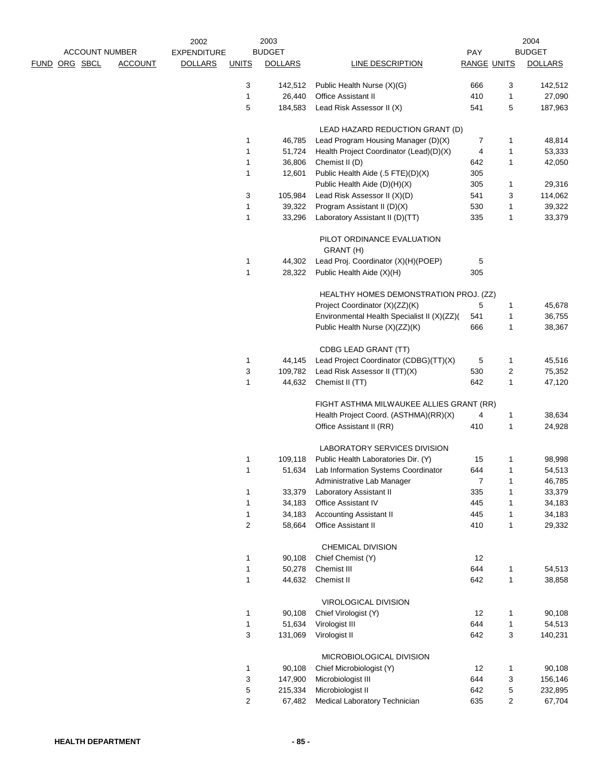|                       |                | 2002               |                | 2003           |                                             |                    |              | 2004           |
|-----------------------|----------------|--------------------|----------------|----------------|---------------------------------------------|--------------------|--------------|----------------|
| <b>ACCOUNT NUMBER</b> |                | <b>EXPENDITURE</b> |                | <b>BUDGET</b>  |                                             | PAY                |              | <b>BUDGET</b>  |
| ORG SBCL<br>FUND      | <b>ACCOUNT</b> | <b>DOLLARS</b>     | <b>UNITS</b>   | <b>DOLLARS</b> | LINE DESCRIPTION                            | <b>RANGE UNITS</b> |              | <b>DOLLARS</b> |
|                       |                |                    | 3              | 142,512        | Public Health Nurse (X)(G)                  | 666                | 3            | 142,512        |
|                       |                |                    | 1              | 26,440         | <b>Office Assistant II</b>                  | 410                | 1            | 27,090         |
|                       |                |                    | 5              | 184,583        | Lead Risk Assessor II (X)                   | 541                | 5            | 187,963        |
|                       |                |                    |                |                | LEAD HAZARD REDUCTION GRANT (D)             |                    |              |                |
|                       |                |                    | 1              | 46,785         | Lead Program Housing Manager (D)(X)         | 7                  | 1            | 48,814         |
|                       |                |                    | 1              | 51,724         | Health Project Coordinator (Lead)(D)(X)     | 4                  | 1            | 53,333         |
|                       |                |                    | 1              | 36,806         | Chemist II (D)                              | 642                | 1            | 42,050         |
|                       |                |                    | 1              | 12,601         | Public Health Aide (.5 FTE)(D)(X)           | 305                |              |                |
|                       |                |                    |                |                | Public Health Aide (D)(H)(X)                | 305                | 1            | 29,316         |
|                       |                |                    | 3              | 105,984        | Lead Risk Assessor II (X)(D)                | 541                | 3            | 114,062        |
|                       |                |                    | 1              | 39,322         | Program Assistant II (D)(X)                 | 530                | 1            | 39,322         |
|                       |                |                    | 1              | 33,296         | Laboratory Assistant II (D)(TT)             | 335                | $\mathbf{1}$ | 33,379         |
|                       |                |                    |                |                | PILOT ORDINANCE EVALUATION<br>GRANT (H)     |                    |              |                |
|                       |                |                    | 1              | 44,302         | Lead Proj. Coordinator (X)(H)(POEP)         | 5                  |              |                |
|                       |                |                    | 1              | 28,322         | Public Health Aide (X)(H)                   | 305                |              |                |
|                       |                |                    |                |                | HEALTHY HOMES DEMONSTRATION PROJ. (ZZ)      |                    |              |                |
|                       |                |                    |                |                | Project Coordinator (X)(ZZ)(K)              | 5                  | 1            | 45,678         |
|                       |                |                    |                |                | Environmental Health Specialist II (X)(ZZ)( | 541                | 1            | 36,755         |
|                       |                |                    |                |                | Public Health Nurse (X)(ZZ)(K)              | 666                | 1            | 38,367         |
|                       |                |                    |                |                | CDBG LEAD GRANT (TT)                        |                    |              |                |
|                       |                |                    | 1              | 44,145         | Lead Project Coordinator (CDBG)(TT)(X)      | 5                  | 1            | 45,516         |
|                       |                |                    | 3              | 109,782        | Lead Risk Assessor II (TT)(X)               | 530                | 2            | 75,352         |
|                       |                |                    | 1              | 44,632         | Chemist II (TT)                             | 642                | 1            | 47,120         |
|                       |                |                    |                |                | FIGHT ASTHMA MILWAUKEE ALLIES GRANT (RR)    |                    |              |                |
|                       |                |                    |                |                | Health Project Coord. (ASTHMA)(RR)(X)       | 4                  | 1            | 38,634         |
|                       |                |                    |                |                | Office Assistant II (RR)                    | 410                | 1            | 24,928         |
|                       |                |                    |                |                | LABORATORY SERVICES DIVISION                |                    |              |                |
|                       |                |                    | 1              | 109,118        | Public Health Laboratories Dir. (Y)         | 15                 | 1            | 98,998         |
|                       |                |                    | 1              | 51,634         | Lab Information Systems Coordinator         | 644                | 1            | 54,513         |
|                       |                |                    |                |                | Administrative Lab Manager                  | 7                  | 1            | 46,785         |
|                       |                |                    | 1              | 33,379         | Laboratory Assistant II                     | 335                | 1            | 33,379         |
|                       |                |                    | 1              | 34,183         | Office Assistant IV                         | 445                | 1            | 34,183         |
|                       |                |                    | 1              | 34,183         | <b>Accounting Assistant II</b>              | 445                | 1            | 34,183         |
|                       |                |                    | 2              | 58,664         | Office Assistant II                         | 410                | $\mathbf{1}$ | 29,332         |
|                       |                |                    |                |                | CHEMICAL DIVISION                           |                    |              |                |
|                       |                |                    | 1              | 90,108         | Chief Chemist (Y)                           | 12                 |              |                |
|                       |                |                    | 1              | 50,278         | Chemist III                                 | 644                | $\mathbf{1}$ | 54,513         |
|                       |                |                    | 1              | 44,632         | Chemist II                                  | 642                | $\mathbf{1}$ | 38,858         |
|                       |                |                    |                |                | VIROLOGICAL DIVISION                        |                    |              |                |
|                       |                |                    | 1              | 90,108         | Chief Virologist (Y)                        | 12                 | 1            | 90,108         |
|                       |                |                    | 1              | 51,634         | Virologist III                              | 644                | $\mathbf{1}$ | 54,513         |
|                       |                |                    | 3              | 131,069        | Virologist II                               | 642                | 3            | 140,231        |
|                       |                |                    |                |                | MICROBIOLOGICAL DIVISION                    |                    |              |                |
|                       |                |                    | 1              | 90,108         | Chief Microbiologist (Y)                    | 12                 | 1            | 90,108         |
|                       |                |                    | 3              | 147,900        | Microbiologist III                          | 644                | 3            | 156,146        |
|                       |                |                    | 5              | 215,334        | Microbiologist II                           | 642                | 5            | 232,895        |
|                       |                |                    | $\overline{c}$ | 67,482         | Medical Laboratory Technician               | 635                | 2            | 67,704         |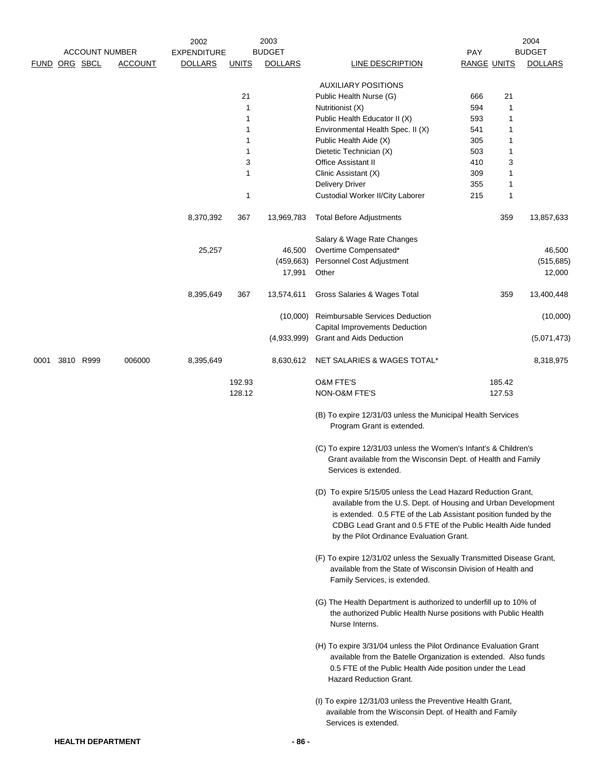|      | <b>ACCOUNT NUMBER</b> | 2002<br><b>EXPENDITURE</b> |                | 2003<br><b>BUDGET</b> |              | 2004<br><b>BUDGET</b><br>PAY |                                                                                                                                                                                                                                                                                                                 |                    |        |                |
|------|-----------------------|----------------------------|----------------|-----------------------|--------------|------------------------------|-----------------------------------------------------------------------------------------------------------------------------------------------------------------------------------------------------------------------------------------------------------------------------------------------------------------|--------------------|--------|----------------|
|      |                       | FUND ORG SBCL              | <b>ACCOUNT</b> | <b>DOLLARS</b>        | <b>UNITS</b> | <b>DOLLARS</b>               | <b>LINE DESCRIPTION</b>                                                                                                                                                                                                                                                                                         | <b>RANGE UNITS</b> |        | <b>DOLLARS</b> |
|      |                       |                            |                |                       |              |                              | <b>AUXILIARY POSITIONS</b>                                                                                                                                                                                                                                                                                      |                    |        |                |
|      |                       |                            |                |                       | 21           |                              | Public Health Nurse (G)                                                                                                                                                                                                                                                                                         | 666                | 21     |                |
|      |                       |                            |                |                       | $\mathbf{1}$ |                              | Nutritionist (X)                                                                                                                                                                                                                                                                                                | 594                | 1      |                |
|      |                       |                            |                |                       | 1            |                              | Public Health Educator II (X)                                                                                                                                                                                                                                                                                   | 593                | 1      |                |
|      |                       |                            |                |                       | 1            |                              | Environmental Health Spec. II (X)                                                                                                                                                                                                                                                                               | 541                | 1      |                |
|      |                       |                            |                |                       | 1            |                              | Public Health Aide (X)                                                                                                                                                                                                                                                                                          | 305                | 1      |                |
|      |                       |                            |                |                       | 1            |                              | Dietetic Technician (X)                                                                                                                                                                                                                                                                                         | 503                | 1      |                |
|      |                       |                            |                |                       | 3<br>1       |                              | <b>Office Assistant II</b>                                                                                                                                                                                                                                                                                      | 410<br>309         | 3<br>1 |                |
|      |                       |                            |                |                       |              |                              | Clinic Assistant (X)<br><b>Delivery Driver</b>                                                                                                                                                                                                                                                                  | 355                | 1      |                |
|      |                       |                            |                |                       | 1            |                              | Custodial Worker II/City Laborer                                                                                                                                                                                                                                                                                | 215                | 1      |                |
|      |                       |                            |                | 8,370,392             | 367          | 13,969,783                   | <b>Total Before Adjustments</b>                                                                                                                                                                                                                                                                                 |                    | 359    | 13,857,633     |
|      |                       |                            |                |                       |              |                              | Salary & Wage Rate Changes                                                                                                                                                                                                                                                                                      |                    |        |                |
|      |                       |                            |                | 25,257                |              | 46,500                       | Overtime Compensated*                                                                                                                                                                                                                                                                                           |                    |        | 46,500         |
|      |                       |                            |                |                       |              | (459, 663)                   | Personnel Cost Adjustment                                                                                                                                                                                                                                                                                       |                    |        | (515, 685)     |
|      |                       |                            |                |                       |              | 17,991                       | Other                                                                                                                                                                                                                                                                                                           |                    |        | 12,000         |
|      |                       |                            |                | 8,395,649             | 367          | 13,574,611                   | Gross Salaries & Wages Total                                                                                                                                                                                                                                                                                    |                    | 359    | 13,400,448     |
|      |                       |                            |                |                       |              | (10,000)                     | Reimbursable Services Deduction                                                                                                                                                                                                                                                                                 |                    |        | (10,000)       |
|      |                       |                            |                |                       |              | (4,933,999)                  | Capital Improvements Deduction<br><b>Grant and Aids Deduction</b>                                                                                                                                                                                                                                               |                    |        | (5,071,473)    |
| 0001 |                       | 3810 R999                  | 006000         | 8,395,649             |              | 8,630,612                    | NET SALARIES & WAGES TOTAL*                                                                                                                                                                                                                                                                                     |                    |        | 8,318,975      |
|      |                       |                            |                |                       | 192.93       |                              | <b>O&amp;M FTE'S</b>                                                                                                                                                                                                                                                                                            |                    | 185.42 |                |
|      |                       |                            |                |                       | 128.12       |                              | NON-O&M FTE'S                                                                                                                                                                                                                                                                                                   |                    | 127.53 |                |
|      |                       |                            |                |                       |              |                              | (B) To expire 12/31/03 unless the Municipal Health Services<br>Program Grant is extended.                                                                                                                                                                                                                       |                    |        |                |
|      |                       |                            |                |                       |              |                              | (C) To expire 12/31/03 unless the Women's Infant's & Children's<br>Grant available from the Wisconsin Dept. of Health and Family<br>Services is extended.                                                                                                                                                       |                    |        |                |
|      |                       |                            |                |                       |              |                              | (D) To expire 5/15/05 unless the Lead Hazard Reduction Grant,<br>available from the U.S. Dept. of Housing and Urban Development<br>is extended. 0.5 FTE of the Lab Assistant position funded by the<br>CDBG Lead Grant and 0.5 FTE of the Public Health Aide funded<br>by the Pilot Ordinance Evaluation Grant. |                    |        |                |
|      |                       |                            |                |                       |              |                              | (F) To expire 12/31/02 unless the Sexually Transmitted Disease Grant,<br>available from the State of Wisconsin Division of Health and<br>Family Services, is extended.                                                                                                                                          |                    |        |                |
|      |                       |                            |                |                       |              |                              | (G) The Health Department is authorized to underfill up to 10% of<br>the authorized Public Health Nurse positions with Public Health<br>Nurse Interns.                                                                                                                                                          |                    |        |                |
|      |                       |                            |                |                       |              |                              | (H) To expire 3/31/04 unless the Pilot Ordinance Evaluation Grant<br>available from the Batelle Organization is extended. Also funds<br>0.5 FTE of the Public Health Aide position under the Lead<br><b>Hazard Reduction Grant.</b>                                                                             |                    |        |                |
|      |                       |                            |                |                       |              |                              | (I) To expire 12/31/03 unless the Preventive Health Grant,<br>available from the Wisconsin Dept. of Health and Family<br>Services is extended.                                                                                                                                                                  |                    |        |                |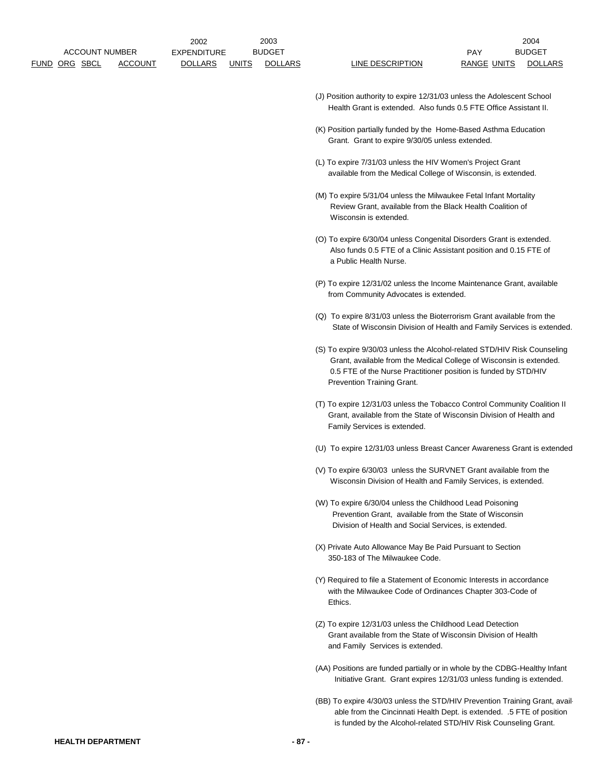- (J) Position authority to expire 12/31/03 unless the Adolescent School Health Grant is extended. Also funds 0.5 FTE Office Assistant II.
- (K) Position partially funded by the Home-Based Asthma Education Grant. Grant to expire 9/30/05 unless extended.
- (L) To expire 7/31/03 unless the HIV Women's Project Grant available from the Medical College of Wisconsin, is extended.
- (M) To expire 5/31/04 unless the Milwaukee Fetal Infant Mortality Review Grant, available from the Black Health Coalition of Wisconsin is extended.
- (O) To expire 6/30/04 unless Congenital Disorders Grant is extended. Also funds 0.5 FTE of a Clinic Assistant position and 0.15 FTE of a Public Health Nurse.
- (P) To expire 12/31/02 unless the Income Maintenance Grant, available from Community Advocates is extended.
- (Q) To expire 8/31/03 unless the Bioterrorism Grant available from the State of Wisconsin Division of Health and Family Services is extended.
- (S) To expire 9/30/03 unless the Alcohol-related STD/HIV Risk Counseling Grant, available from the Medical College of Wisconsin is extended. 0.5 FTE of the Nurse Practitioner position is funded by STD/HIV Prevention Training Grant.
- (T) To expire 12/31/03 unless the Tobacco Control Community Coalition II Grant, available from the State of Wisconsin Division of Health and Family Services is extended.
- (U) To expire 12/31/03 unless Breast Cancer Awareness Grant is extended.
- (V) To expire 6/30/03 unless the SURVNET Grant available from the Wisconsin Division of Health and Family Services, is extended.
- (W) To expire 6/30/04 unless the Childhood Lead Poisoning Prevention Grant, available from the State of Wisconsin Division of Health and Social Services, is extended.
- (X) Private Auto Allowance May Be Paid Pursuant to Section 350-183 of The Milwaukee Code.
- (Y) Required to file a Statement of Economic Interests in accordance with the Milwaukee Code of Ordinances Chapter 303-Code of Ethics.
- (Z) To expire 12/31/03 unless the Childhood Lead Detection Grant available from the State of Wisconsin Division of Health and Family Services is extended.
- (AA) Positions are funded partially or in whole by the CDBG-Healthy Infant Initiative Grant. Grant expires 12/31/03 unless funding is extended.
- (BB) To expire 4/30/03 unless the STD/HIV Prevention Training Grant, avail able from the Cincinnati Health Dept. is extended. .5 FTE of position is funded by the Alcohol-related STD/HIV Risk Counseling Grant.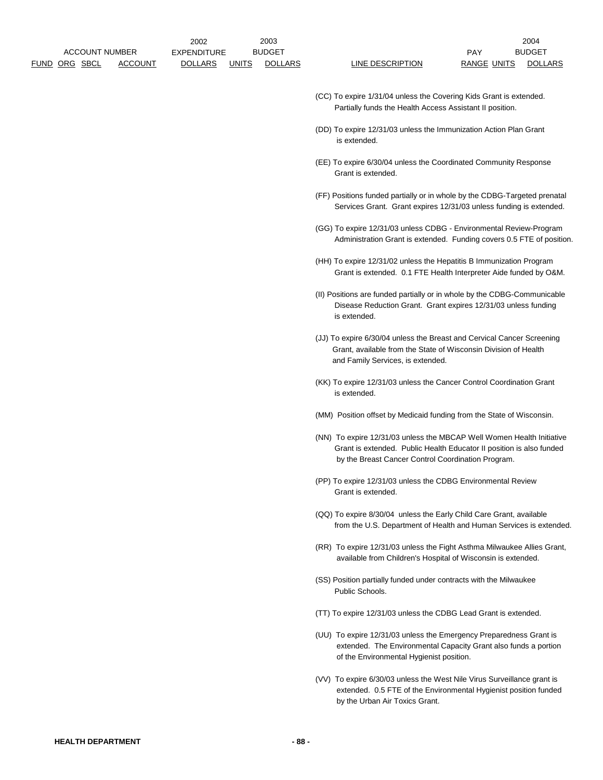- (CC) To expire 1/31/04 unless the Covering Kids Grant is extended. Partially funds the Health Access Assistant II position.
- (DD) To expire 12/31/03 unless the Immunization Action Plan Grant is extended.
- (EE) To expire 6/30/04 unless the Coordinated Community Response Grant is extended.
- (FF) Positions funded partially or in whole by the CDBG-Targeted prenatal Services Grant. Grant expires 12/31/03 unless funding is extended.
- (GG) To expire 12/31/03 unless CDBG Environmental Review-Program Administration Grant is extended. Funding covers 0.5 FTE of position.
- (HH) To expire 12/31/02 unless the Hepatitis B Immunization Program Grant is extended. 0.1 FTE Health Interpreter Aide funded by O&M.
- (II) Positions are funded partially or in whole by the CDBG-Communicable Disease Reduction Grant. Grant expires 12/31/03 unless funding is extended.
- (JJ) To expire 6/30/04 unless the Breast and Cervical Cancer Screening Grant, available from the State of Wisconsin Division of Health and Family Services, is extended.
- (KK) To expire 12/31/03 unless the Cancer Control Coordination Grant is extended.
- (MM) Position offset by Medicaid funding from the State of Wisconsin.
- (NN) To expire 12/31/03 unless the MBCAP Well Women Health Initiative Grant is extended. Public Health Educator II position is also funded by the Breast Cancer Control Coordination Program.
- (PP) To expire 12/31/03 unless the CDBG Environmental Review Grant is extended.
- (QQ) To expire 8/30/04 unless the Early Child Care Grant, available from the U.S. Department of Health and Human Services is extended.
- (RR) To expire 12/31/03 unless the Fight Asthma Milwaukee Allies Grant, available from Children's Hospital of Wisconsin is extended.
- (SS) Position partially funded under contracts with the Milwaukee Public Schools.
- (TT) To expire 12/31/03 unless the CDBG Lead Grant is extended.
- (UU) To expire 12/31/03 unless the Emergency Preparedness Grant is extended. The Environmental Capacity Grant also funds a portion of the Environmental Hygienist position.
- (VV) To expire 6/30/03 unless the West Nile Virus Surveillance grant is extended. 0.5 FTE of the Environmental Hygienist position funded by the Urban Air Toxics Grant.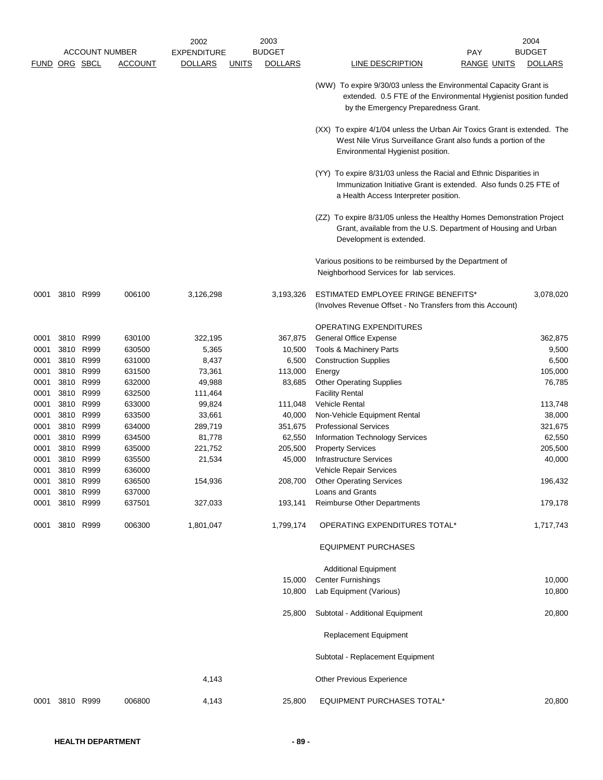|                      |      |           |                       | 2002               |              | 2003           |                                                                                                                                                                                  | 2004           |
|----------------------|------|-----------|-----------------------|--------------------|--------------|----------------|----------------------------------------------------------------------------------------------------------------------------------------------------------------------------------|----------------|
|                      |      |           | <b>ACCOUNT NUMBER</b> | <b>EXPENDITURE</b> |              | <b>BUDGET</b>  | PAY                                                                                                                                                                              | <b>BUDGET</b>  |
| <b>FUND ORG SBCL</b> |      |           | ACCOUNT               | <b>DOLLARS</b>     | <b>UNITS</b> | <b>DOLLARS</b> | LINE DESCRIPTION<br><b>RANGE UNITS</b>                                                                                                                                           | <b>DOLLARS</b> |
|                      |      |           |                       |                    |              |                | (WW) To expire 9/30/03 unless the Environmental Capacity Grant is<br>extended. 0.5 FTE of the Environmental Hygienist position funded<br>by the Emergency Preparedness Grant.    |                |
|                      |      |           |                       |                    |              |                | (XX) To expire 4/1/04 unless the Urban Air Toxics Grant is extended. The<br>West Nile Virus Surveillance Grant also funds a portion of the<br>Environmental Hygienist position.  |                |
|                      |      |           |                       |                    |              |                | (YY) To expire 8/31/03 unless the Racial and Ethnic Disparities in<br>Immunization Initiative Grant is extended. Also funds 0.25 FTE of<br>a Health Access Interpreter position. |                |
|                      |      |           |                       |                    |              |                | (ZZ) To expire 8/31/05 unless the Healthy Homes Demonstration Project<br>Grant, available from the U.S. Department of Housing and Urban<br>Development is extended.              |                |
|                      |      |           |                       |                    |              |                | Various positions to be reimbursed by the Department of<br>Neighborhood Services for lab services.                                                                               |                |
| 0001                 | 3810 | R999      | 006100                | 3,126,298          |              | 3,193,326      | ESTIMATED EMPLOYEE FRINGE BENEFITS*<br>(Involves Revenue Offset - No Transfers from this Account)                                                                                | 3,078,020      |
|                      |      |           |                       |                    |              |                | <b>OPERATING EXPENDITURES</b>                                                                                                                                                    |                |
| 0001                 | 3810 | R999      | 630100                | 322,195            |              | 367,875        | General Office Expense                                                                                                                                                           | 362,875        |
| 0001                 | 3810 | R999      | 630500                | 5,365              |              | 10,500         | Tools & Machinery Parts                                                                                                                                                          | 9,500          |
| 0001                 |      | 3810 R999 | 631000                | 8,437              |              | 6,500          | <b>Construction Supplies</b>                                                                                                                                                     | 6,500          |
| 0001                 |      | 3810 R999 | 631500                | 73,361             |              | 113,000        | Energy                                                                                                                                                                           | 105,000        |
| 0001                 | 3810 | R999      | 632000                | 49,988             |              | 83,685         | <b>Other Operating Supplies</b>                                                                                                                                                  | 76,785         |
| 0001                 | 3810 | R999      | 632500                | 111,464            |              |                | <b>Facility Rental</b>                                                                                                                                                           |                |
| 0001                 |      | 3810 R999 | 633000                | 99,824             |              | 111,048        | <b>Vehicle Rental</b>                                                                                                                                                            | 113,748        |
| 0001                 | 3810 | R999      | 633500                | 33,661             |              | 40,000         | Non-Vehicle Equipment Rental                                                                                                                                                     | 38,000         |
| 0001                 | 3810 | R999      | 634000                | 289,719            |              | 351,675        | <b>Professional Services</b>                                                                                                                                                     | 321,675        |
| 0001                 | 3810 | R999      | 634500                | 81,778             |              | 62,550         | Information Technology Services                                                                                                                                                  | 62,550         |
| 0001                 | 3810 | R999      | 635000                | 221,752            |              | 205,500        | <b>Property Services</b>                                                                                                                                                         | 205,500        |
| 0001                 | 3810 | R999      | 635500                | 21,534             |              | 45,000         | Infrastructure Services                                                                                                                                                          | 40,000         |
| 0001                 | 3810 | R999      | 636000                |                    |              |                | Vehicle Repair Services                                                                                                                                                          |                |
| 0001                 | 3810 | R999      | 636500                | 154,936            |              | 208,700        | <b>Other Operating Services</b>                                                                                                                                                  | 196,432        |
| 0001                 | 3810 | R999      | 637000                |                    |              |                | <b>Loans and Grants</b>                                                                                                                                                          |                |
| 0001                 | 3810 | R999      | 637501                | 327,033            |              | 193,141        | <b>Reimburse Other Departments</b>                                                                                                                                               | 179,178        |
| 0001                 |      | 3810 R999 | 006300                | 1,801,047          |              | 1,799,174      | OPERATING EXPENDITURES TOTAL*                                                                                                                                                    | 1,717,743      |
|                      |      |           |                       |                    |              |                | <b>EQUIPMENT PURCHASES</b>                                                                                                                                                       |                |
|                      |      |           |                       |                    |              |                | <b>Additional Equipment</b>                                                                                                                                                      |                |
|                      |      |           |                       |                    |              | 15,000         | <b>Center Furnishings</b>                                                                                                                                                        | 10,000         |
|                      |      |           |                       |                    |              | 10,800         | Lab Equipment (Various)                                                                                                                                                          | 10,800         |
|                      |      |           |                       |                    |              | 25,800         | Subtotal - Additional Equipment                                                                                                                                                  | 20,800         |
|                      |      |           |                       |                    |              |                | Replacement Equipment                                                                                                                                                            |                |
|                      |      |           |                       |                    |              |                | Subtotal - Replacement Equipment                                                                                                                                                 |                |
|                      |      |           |                       | 4,143              |              |                | Other Previous Experience                                                                                                                                                        |                |
| 0001                 |      | 3810 R999 | 006800                | 4,143              |              | 25,800         | EQUIPMENT PURCHASES TOTAL*                                                                                                                                                       | 20,800         |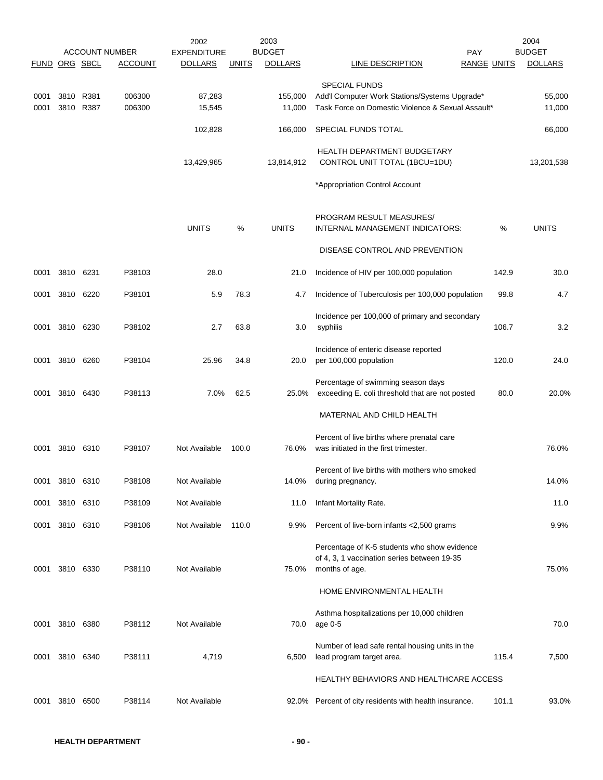| FUND ORG SBCL |           |           | <b>ACCOUNT NUMBER</b><br><b>ACCOUNT</b> | 2002<br><b>EXPENDITURE</b><br><b>DOLLARS</b> | <b>UNITS</b> | 2003<br><b>BUDGET</b><br><b>DOLLARS</b> | PAY<br><b>LINE DESCRIPTION</b>                                                                                | <b>RANGE UNITS</b> | 2004<br><b>BUDGET</b><br><b>DOLLARS</b> |
|---------------|-----------|-----------|-----------------------------------------|----------------------------------------------|--------------|-----------------------------------------|---------------------------------------------------------------------------------------------------------------|--------------------|-----------------------------------------|
|               |           |           |                                         |                                              |              |                                         | <b>SPECIAL FUNDS</b>                                                                                          |                    |                                         |
| 0001<br>0001  | 3810 R381 | 3810 R387 | 006300<br>006300                        | 87,283<br>15,545                             |              | 155.000<br>11,000                       | Add'l Computer Work Stations/Systems Upgrade*<br>Task Force on Domestic Violence & Sexual Assault*            |                    | 55,000<br>11,000                        |
|               |           |           |                                         | 102,828                                      |              | 166,000                                 | SPECIAL FUNDS TOTAL                                                                                           |                    | 66,000                                  |
|               |           |           |                                         | 13,429,965                                   |              | 13,814,912                              | <b>HEALTH DEPARTMENT BUDGETARY</b><br>CONTROL UNIT TOTAL (1BCU=1DU)                                           |                    | 13,201,538                              |
|               |           |           |                                         |                                              |              |                                         | *Appropriation Control Account                                                                                |                    |                                         |
|               |           |           |                                         | <b>UNITS</b>                                 | %            | <b>UNITS</b>                            | PROGRAM RESULT MEASURES/<br>INTERNAL MANAGEMENT INDICATORS:                                                   | %                  | <b>UNITS</b>                            |
|               |           |           |                                         |                                              |              |                                         | DISEASE CONTROL AND PREVENTION                                                                                |                    |                                         |
| 0001          | 3810      | 6231      | P38103                                  | 28.0                                         |              | 21.0                                    | Incidence of HIV per 100,000 population                                                                       | 142.9              | 30.0                                    |
| 0001          | 3810 6220 |           | P38101                                  | 5.9                                          | 78.3         | 4.7                                     | Incidence of Tuberculosis per 100,000 population                                                              | 99.8               | 4.7                                     |
| 0001          | 3810 6230 |           | P38102                                  | 2.7                                          | 63.8         | 3.0                                     | Incidence per 100,000 of primary and secondary<br>syphilis                                                    | 106.7              | 3.2                                     |
| 0001          | 3810 6260 |           | P38104                                  | 25.96                                        | 34.8         | 20.0                                    | Incidence of enteric disease reported<br>per 100,000 population                                               | 120.0              | 24.0                                    |
| 0001          | 3810 6430 |           | P38113                                  | 7.0%                                         | 62.5         | 25.0%                                   | Percentage of swimming season days<br>exceeding E. coli threshold that are not posted                         | 80.0               | 20.0%                                   |
|               |           |           |                                         |                                              |              |                                         | MATERNAL AND CHILD HEALTH                                                                                     |                    |                                         |
| 0001          | 3810 6310 |           | P38107                                  | Not Available                                | 100.0        | 76.0%                                   | Percent of live births where prenatal care<br>was initiated in the first trimester.                           |                    | 76.0%                                   |
| 0001          | 3810 6310 |           | P38108                                  | Not Available                                |              | 14.0%                                   | Percent of live births with mothers who smoked<br>during pregnancy.                                           |                    | 14.0%                                   |
| 0001          | 3810      | 6310      | P38109                                  | Not Available                                |              | 11.0                                    | Infant Mortality Rate.                                                                                        |                    | 11.0                                    |
| 0001          | 3810 6310 |           | P38106                                  | Not Available                                | 110.0        | 9.9%                                    | Percent of live-born infants <2,500 grams                                                                     |                    | 9.9%                                    |
| 0001          | 3810 6330 |           | P38110                                  | Not Available                                |              | 75.0%                                   | Percentage of K-5 students who show evidence<br>of 4, 3, 1 vaccination series between 19-35<br>months of age. |                    | 75.0%                                   |
|               |           |           |                                         |                                              |              |                                         | HOME ENVIRONMENTAL HEALTH                                                                                     |                    |                                         |
| 0001          | 3810 6380 |           | P38112                                  | Not Available                                |              | 70.0                                    | Asthma hospitalizations per 10,000 children<br>age 0-5                                                        |                    | 70.0                                    |
| 0001          | 3810 6340 |           | P38111                                  | 4,719                                        |              | 6,500                                   | Number of lead safe rental housing units in the<br>lead program target area.                                  | 115.4              | 7,500                                   |
|               |           |           |                                         |                                              |              |                                         | HEALTHY BEHAVIORS AND HEALTHCARE ACCESS                                                                       |                    |                                         |
| 0001          | 3810      | 6500      | P38114                                  | Not Available                                |              |                                         | 92.0% Percent of city residents with health insurance.                                                        | 101.1              | 93.0%                                   |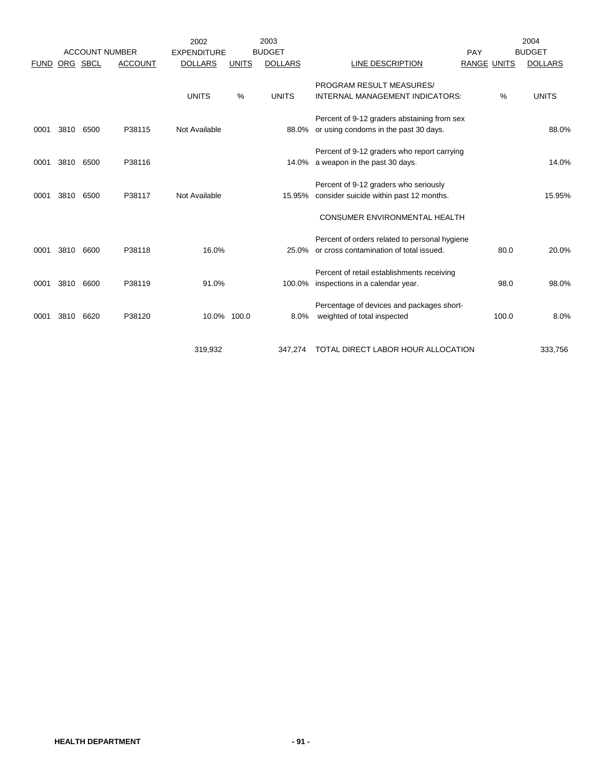|             |      |                       |                | 2002               |              | 2003           |                                                                                            |             |       | 2004           |
|-------------|------|-----------------------|----------------|--------------------|--------------|----------------|--------------------------------------------------------------------------------------------|-------------|-------|----------------|
|             |      | <b>ACCOUNT NUMBER</b> |                | <b>EXPENDITURE</b> |              | <b>BUDGET</b>  |                                                                                            | PAY         |       | <b>BUDGET</b>  |
| <b>FUND</b> |      | ORG SBCL              | <b>ACCOUNT</b> | <b>DOLLARS</b>     | <b>UNITS</b> | <b>DOLLARS</b> | LINE DESCRIPTION                                                                           | RANGE UNITS |       | <b>DOLLARS</b> |
|             |      |                       |                |                    |              |                | PROGRAM RESULT MEASURES/                                                                   |             |       |                |
|             |      |                       |                | <b>UNITS</b>       | %            | <b>UNITS</b>   | <b>INTERNAL MANAGEMENT INDICATORS:</b>                                                     |             | %     | <b>UNITS</b>   |
| 0001        | 3810 | 6500                  | P38115         | Not Available      |              |                | Percent of 9-12 graders abstaining from sex<br>88.0% or using condoms in the past 30 days. |             |       | 88.0%          |
|             |      |                       |                |                    |              |                |                                                                                            |             |       |                |
| 0001        | 3810 | 6500                  | P38116         |                    |              |                | Percent of 9-12 graders who report carrying<br>14.0% a weapon in the past 30 days.         |             |       | 14.0%          |
| 0001        | 3810 | 6500                  | P38117         | Not Available      |              | 15.95%         | Percent of 9-12 graders who seriously<br>consider suicide within past 12 months.           |             |       | 15.95%         |
|             |      |                       |                |                    |              |                | <b>CONSUMER ENVIRONMENTAL HEALTH</b>                                                       |             |       |                |
| 0001        | 3810 | 6600                  | P38118         | 16.0%              |              | 25.0%          | Percent of orders related to personal hygiene<br>or cross contamination of total issued.   |             | 80.0  | 20.0%          |
|             |      |                       |                |                    |              |                | Percent of retail establishments receiving                                                 |             |       |                |
| 0001        | 3810 | 6600                  | P38119         | 91.0%              |              | 100.0%         | inspections in a calendar year.                                                            |             | 98.0  | 98.0%          |
| 0001        | 3810 | 6620                  | P38120         | 10.0% 100.0        |              | 8.0%           | Percentage of devices and packages short-<br>weighted of total inspected                   |             | 100.0 | 8.0%           |
|             |      |                       |                | 319,932            |              | 347,274        | TOTAL DIRECT LABOR HOUR ALLOCATION                                                         |             |       | 333,756        |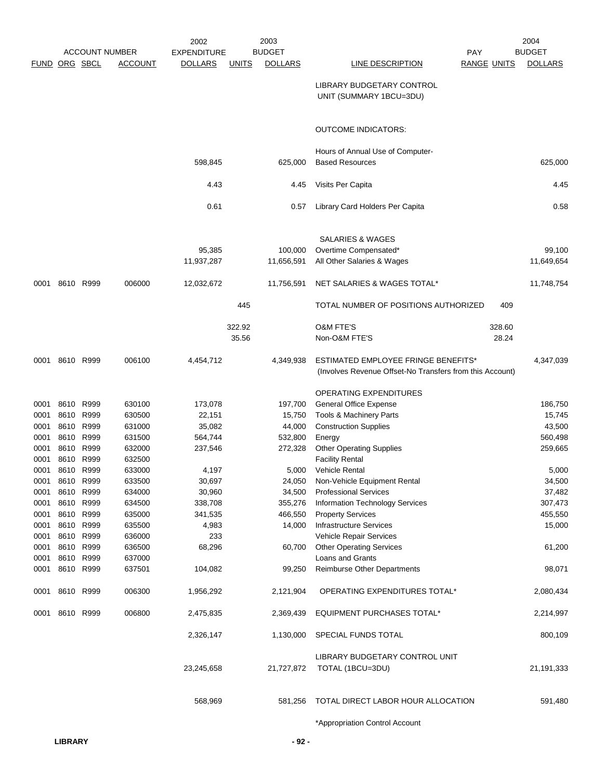|                      |                |           |                       | 2002               |              | 2003              |                                                                                                 |                    | 2004              |
|----------------------|----------------|-----------|-----------------------|--------------------|--------------|-------------------|-------------------------------------------------------------------------------------------------|--------------------|-------------------|
|                      |                |           | <b>ACCOUNT NUMBER</b> | <b>EXPENDITURE</b> |              | <b>BUDGET</b>     | <b>PAY</b>                                                                                      |                    | <b>BUDGET</b>     |
| <b>FUND ORG SBCL</b> |                |           | <b>ACCOUNT</b>        | <b>DOLLARS</b>     | <u>UNITS</u> | <b>DOLLARS</b>    | <b>LINE DESCRIPTION</b>                                                                         | <b>RANGE UNITS</b> | <b>DOLLARS</b>    |
|                      |                |           |                       |                    |              |                   | LIBRARY BUDGETARY CONTROL<br>UNIT (SUMMARY 1BCU=3DU)                                            |                    |                   |
|                      |                |           |                       |                    |              |                   | <b>OUTCOME INDICATORS:</b>                                                                      |                    |                   |
|                      |                |           |                       |                    |              |                   | Hours of Annual Use of Computer-                                                                |                    |                   |
|                      |                |           |                       | 598,845            |              | 625,000           | <b>Based Resources</b>                                                                          |                    | 625,000           |
|                      |                |           |                       | 4.43               |              | 4.45              | Visits Per Capita                                                                               |                    | 4.45              |
|                      |                |           |                       | 0.61               |              | 0.57              | Library Card Holders Per Capita                                                                 |                    | 0.58              |
|                      |                |           |                       |                    |              |                   | <b>SALARIES &amp; WAGES</b>                                                                     |                    |                   |
|                      |                |           |                       | 95,385             |              | 100,000           | Overtime Compensated*                                                                           |                    | 99,100            |
|                      |                |           |                       | 11,937,287         |              | 11,656,591        | All Other Salaries & Wages                                                                      |                    | 11,649,654        |
| 0001                 |                | 8610 R999 | 006000                | 12,032,672         |              | 11,756,591        | NET SALARIES & WAGES TOTAL*                                                                     |                    | 11,748,754        |
|                      |                |           |                       |                    | 445          |                   | TOTAL NUMBER OF POSITIONS AUTHORIZED                                                            | 409                |                   |
|                      |                |           |                       |                    | 322.92       |                   | <b>O&amp;M FTE'S</b>                                                                            | 328.60             |                   |
|                      |                |           |                       |                    | 35.56        |                   | Non-O&M FTE'S                                                                                   | 28.24              |                   |
| 0001                 |                | 8610 R999 | 006100                | 4,454,712          |              | 4,349,938         | ESTIMATED EMPLOYEE FRINGE BENEFITS*<br>(Involves Revenue Offset-No Transfers from this Account) |                    | 4,347,039         |
|                      |                |           |                       |                    |              |                   | OPERATING EXPENDITURES                                                                          |                    |                   |
| 0001                 | 8610 R999      |           | 630100                | 173,078            |              | 197,700           | <b>General Office Expense</b>                                                                   |                    | 186,750           |
| 0001                 |                | 8610 R999 | 630500                | 22,151             |              | 15,750            | Tools & Machinery Parts                                                                         |                    | 15,745            |
| 0001                 | 8610           | R999      | 631000                | 35,082             |              | 44,000            | <b>Construction Supplies</b>                                                                    |                    | 43,500            |
| 0001                 |                | 8610 R999 | 631500                | 564,744            |              | 532,800           | Energy                                                                                          |                    | 560,498           |
| 0001                 |                | 8610 R999 | 632000                | 237,546            |              | 272,328           | <b>Other Operating Supplies</b>                                                                 |                    | 259,665           |
| 0001                 | 8610           | R999      | 632500                |                    |              |                   | <b>Facility Rental</b>                                                                          |                    |                   |
| 0001                 | 8610 R999      |           | 633000                | 4,197              |              | 5,000             | <b>Vehicle Rental</b>                                                                           |                    | 5,000             |
| 0001                 |                | 8610 R999 | 633500                | 30,697             |              |                   | 24,050 Non-Vehicle Equipment Rental                                                             |                    | 34,500            |
| 0001<br>0001         | 8610 R999      | 8610 R999 | 634000<br>634500      | 30,960             |              | 34,500            | <b>Professional Services</b>                                                                    |                    | 37,482<br>307,473 |
| 0001                 | 8610 R999      |           | 635000                | 338,708            |              | 355,276           | Information Technology Services                                                                 |                    |                   |
| 0001                 | 8610 R999      |           | 635500                | 341,535<br>4,983   |              | 466,550<br>14,000 | <b>Property Services</b><br><b>Infrastructure Services</b>                                      |                    | 455,550<br>15,000 |
| 0001                 |                | 8610 R999 | 636000                | 233                |              |                   | Vehicle Repair Services                                                                         |                    |                   |
| 0001                 | 8610 R999      |           | 636500                | 68,296             |              | 60,700            | <b>Other Operating Services</b>                                                                 |                    | 61,200            |
| 0001                 | 8610 R999      |           | 637000                |                    |              |                   | Loans and Grants                                                                                |                    |                   |
| 0001                 | 8610 R999      |           | 637501                | 104,082            |              | 99,250            | Reimburse Other Departments                                                                     |                    | 98,071            |
| 0001                 | 8610 R999      |           | 006300                | 1,956,292          |              | 2,121,904         | OPERATING EXPENDITURES TOTAL*                                                                   |                    | 2,080,434         |
|                      | 0001 8610 R999 |           | 006800                | 2,475,835          |              | 2,369,439         | EQUIPMENT PURCHASES TOTAL*                                                                      |                    | 2,214,997         |
|                      |                |           |                       | 2,326,147          |              | 1,130,000         | SPECIAL FUNDS TOTAL                                                                             |                    | 800,109           |
|                      |                |           |                       | 23,245,658         |              | 21,727,872        | LIBRARY BUDGETARY CONTROL UNIT<br>TOTAL (1BCU=3DU)                                              |                    | 21,191,333        |
|                      |                |           |                       | 568,969            |              | 581,256           | TOTAL DIRECT LABOR HOUR ALLOCATION                                                              |                    | 591,480           |
|                      |                |           |                       |                    |              |                   | *Appropriation Control Account                                                                  |                    |                   |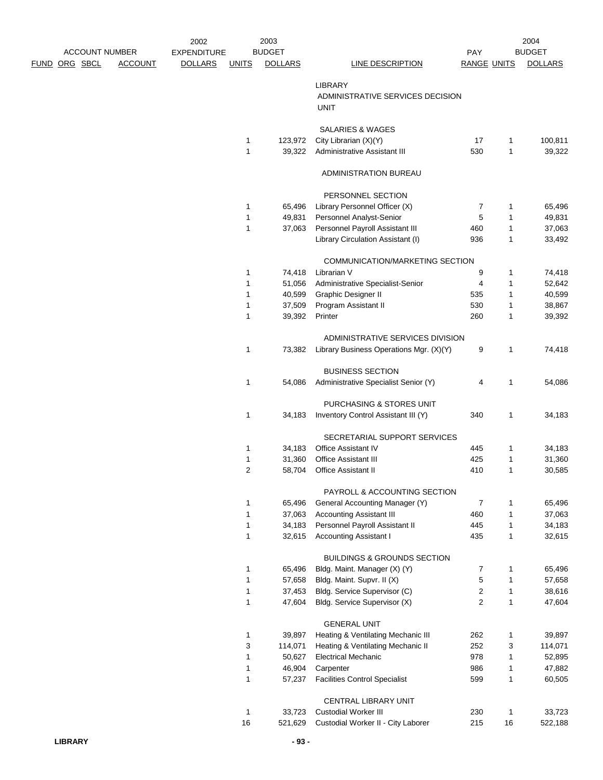| <b>ACCOUNT NUMBER</b> |                | 2002<br><b>EXPENDITURE</b> |                   | 2003<br><b>BUDGET</b> |                                                                             | PAY                |                              | 2004<br><b>BUDGET</b> |
|-----------------------|----------------|----------------------------|-------------------|-----------------------|-----------------------------------------------------------------------------|--------------------|------------------------------|-----------------------|
| <u>FUND ORG SBCL</u>  | <b>ACCOUNT</b> | <b>DOLLARS</b>             | <b>UNITS</b>      | <b>DOLLARS</b>        | <b>LINE DESCRIPTION</b>                                                     | <b>RANGE UNITS</b> |                              | <b>DOLLARS</b>        |
|                       |                |                            |                   |                       | <b>LIBRARY</b><br>ADMINISTRATIVE SERVICES DECISION<br><b>UNIT</b>           |                    |                              |                       |
|                       |                |                            |                   |                       | <b>SALARIES &amp; WAGES</b>                                                 |                    |                              |                       |
|                       |                |                            | 1                 | 123,972               | City Librarian (X)(Y)                                                       | 17                 | 1                            | 100,811               |
|                       |                |                            | 1                 | 39,322                | Administrative Assistant III                                                | 530                | $\mathbf{1}$                 | 39,322                |
|                       |                |                            |                   |                       | ADMINISTRATION BUREAU                                                       |                    |                              |                       |
|                       |                |                            |                   |                       | PERSONNEL SECTION                                                           |                    |                              |                       |
|                       |                |                            | 1                 | 65,496                | Library Personnel Officer (X)                                               | 7                  | 1                            | 65,496                |
|                       |                |                            | 1                 | 49,831                | Personnel Analyst-Senior                                                    | 5                  | $\mathbf{1}$                 | 49,831                |
|                       |                |                            | 1                 | 37,063                | Personnel Payroll Assistant III                                             | 460                | $\mathbf{1}$                 | 37,063                |
|                       |                |                            |                   |                       | Library Circulation Assistant (I)                                           | 936                | $\mathbf{1}$                 | 33,492                |
|                       |                |                            |                   |                       | COMMUNICATION/MARKETING SECTION                                             |                    |                              |                       |
|                       |                |                            | 1                 | 74,418                | Librarian V                                                                 | 9                  | 1                            | 74,418                |
|                       |                |                            | 1                 | 51,056                | Administrative Specialist-Senior                                            | 4                  | $\mathbf{1}$                 | 52,642                |
|                       |                |                            | 1                 | 40,599                | Graphic Designer II                                                         | 535                | $\mathbf{1}$                 | 40,599                |
|                       |                |                            | 1                 | 37,509                | Program Assistant II                                                        | 530                | 1                            | 38,867                |
|                       |                |                            | 1                 | 39,392                | Printer                                                                     | 260                | $\mathbf{1}$                 | 39,392                |
|                       |                |                            |                   |                       |                                                                             |                    |                              |                       |
|                       |                |                            | 1                 | 73,382                | ADMINISTRATIVE SERVICES DIVISION<br>Library Business Operations Mgr. (X)(Y) | 9                  | $\mathbf{1}$                 | 74,418                |
|                       |                |                            |                   |                       |                                                                             |                    |                              |                       |
|                       |                |                            |                   |                       | <b>BUSINESS SECTION</b>                                                     |                    |                              |                       |
|                       |                |                            | 1                 | 54,086                | Administrative Specialist Senior (Y)                                        | 4                  | 1                            | 54,086                |
|                       |                |                            |                   |                       | PURCHASING & STORES UNIT                                                    |                    |                              |                       |
|                       |                |                            | 1                 | 34,183                | Inventory Control Assistant III (Y)                                         | 340                | $\mathbf{1}$                 | 34,183                |
|                       |                |                            |                   |                       |                                                                             |                    |                              |                       |
|                       |                |                            | 1                 | 34,183                | SECRETARIAL SUPPORT SERVICES<br>Office Assistant IV                         | 445                | 1                            | 34,183                |
|                       |                |                            | 1                 | 31,360                | <b>Office Assistant III</b>                                                 | 425                | 1                            | 31,360                |
|                       |                |                            | 2                 | 58,704                | Office Assistant II                                                         | 410                | $\mathbf{1}$                 | 30,585                |
|                       |                |                            |                   |                       |                                                                             |                    |                              |                       |
|                       |                |                            |                   |                       | PAYROLL & ACCOUNTING SECTION                                                |                    |                              |                       |
|                       |                |                            | 1                 | 65,496                | General Accounting Manager (Y)                                              | $\overline{7}$     | 1                            | 65,496                |
|                       |                |                            | 1                 | 37,063                | <b>Accounting Assistant III</b><br>Personnel Payroll Assistant II           | 460<br>445         | $\mathbf{1}$<br>$\mathbf{1}$ | 37,063                |
|                       |                |                            | $\mathbf{1}$<br>1 | 34,183<br>32,615      | <b>Accounting Assistant I</b>                                               | 435                | $\mathbf{1}$                 | 34,183<br>32,615      |
|                       |                |                            |                   |                       |                                                                             |                    |                              |                       |
|                       |                |                            |                   |                       | <b>BUILDINGS &amp; GROUNDS SECTION</b>                                      |                    |                              |                       |
|                       |                |                            | 1                 | 65,496                | Bldg. Maint. Manager (X) (Y)                                                | 7                  | 1                            | 65,496                |
|                       |                |                            | 1                 | 57,658                | Bldg. Maint. Supvr. II (X)                                                  | 5                  | $\mathbf{1}$                 | 57,658                |
|                       |                |                            | 1                 | 37,453                | Bldg. Service Supervisor (C)                                                | 2                  | $\mathbf{1}$                 | 38,616                |
|                       |                |                            | 1                 | 47,604                | Bldg. Service Supervisor (X)                                                | 2                  | $\mathbf{1}$                 | 47,604                |
|                       |                |                            |                   |                       | <b>GENERAL UNIT</b>                                                         |                    |                              |                       |
|                       |                |                            | 1                 | 39,897                | Heating & Ventilating Mechanic III                                          | 262                | $\mathbf{1}$                 | 39,897                |
|                       |                |                            | 3                 | 114,071               | Heating & Ventilating Mechanic II                                           | 252                | 3                            | 114,071               |
|                       |                |                            | 1                 | 50,627                | <b>Electrical Mechanic</b>                                                  | 978                | $\mathbf{1}$                 | 52,895                |
|                       |                |                            | 1                 | 46,904                | Carpenter                                                                   | 986                | $\mathbf{1}$                 | 47,882                |
|                       |                |                            | 1                 | 57,237                | <b>Facilities Control Specialist</b>                                        | 599                | $\mathbf{1}$                 | 60,505                |
|                       |                |                            |                   |                       | CENTRAL LIBRARY UNIT                                                        |                    |                              |                       |
|                       |                |                            | 1                 | 33,723                | <b>Custodial Worker III</b>                                                 | 230                | $\mathbf{1}$                 | 33,723                |
|                       |                |                            | 16                | 521,629               | Custodial Worker II - City Laborer                                          | 215                | 16                           | 522,188               |
|                       |                |                            |                   |                       |                                                                             |                    |                              |                       |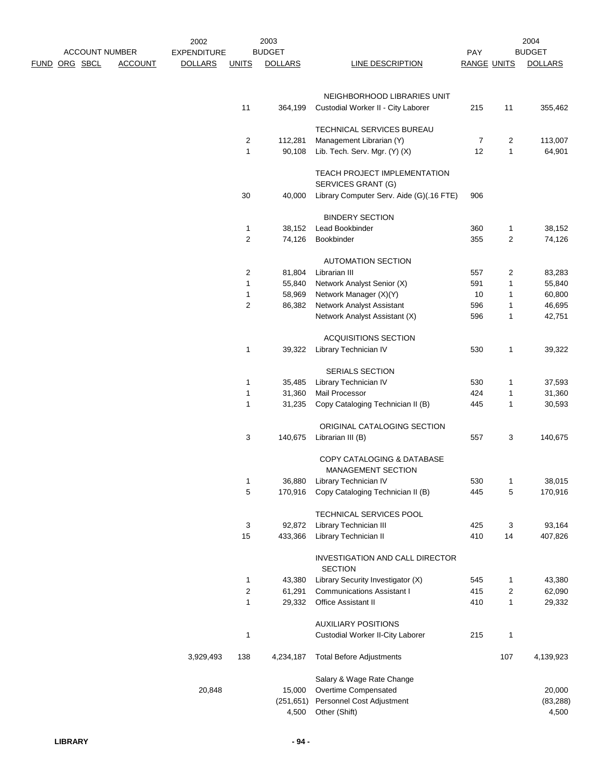|                      |                       |                | 2002               |                         | 2003           |                                                         |                    |              | 2004           |
|----------------------|-----------------------|----------------|--------------------|-------------------------|----------------|---------------------------------------------------------|--------------------|--------------|----------------|
|                      | <b>ACCOUNT NUMBER</b> |                | <b>EXPENDITURE</b> |                         | <b>BUDGET</b>  |                                                         | PAY                |              | <b>BUDGET</b>  |
| <b>FUND ORG SBCL</b> |                       | <b>ACCOUNT</b> | <b>DOLLARS</b>     | <b>UNITS</b>            | <b>DOLLARS</b> | LINE DESCRIPTION                                        | <b>RANGE UNITS</b> |              | <b>DOLLARS</b> |
|                      |                       |                |                    |                         |                | NEIGHBORHOOD LIBRARIES UNIT                             |                    |              |                |
|                      |                       |                |                    | 11                      | 364,199        | Custodial Worker II - City Laborer                      | 215                | 11           | 355,462        |
|                      |                       |                |                    |                         |                | TECHNICAL SERVICES BUREAU                               |                    |              |                |
|                      |                       |                |                    | $\overline{c}$          | 112,281        | Management Librarian (Y)                                | 7                  | 2            | 113,007        |
|                      |                       |                |                    | 1                       | 90,108         | Lib. Tech. Serv. Mgr. (Y) (X)                           | 12                 | $\mathbf{1}$ | 64,901         |
|                      |                       |                |                    |                         |                | TEACH PROJECT IMPLEMENTATION<br>SERVICES GRANT (G)      |                    |              |                |
|                      |                       |                |                    | 30                      | 40,000         | Library Computer Serv. Aide (G)(.16 FTE)                | 906                |              |                |
|                      |                       |                |                    |                         |                | <b>BINDERY SECTION</b>                                  |                    |              |                |
|                      |                       |                |                    | $\mathbf{1}$            | 38,152         | Lead Bookbinder                                         | 360                | 1            | 38,152         |
|                      |                       |                |                    | 2                       | 74,126         | Bookbinder                                              | 355                | 2            | 74,126         |
|                      |                       |                |                    |                         |                | <b>AUTOMATION SECTION</b>                               |                    |              |                |
|                      |                       |                |                    | $\overline{2}$          | 81,804         | Librarian III                                           | 557                | 2            | 83,283         |
|                      |                       |                |                    | 1                       | 55,840         | Network Analyst Senior (X)                              | 591                | 1            | 55,840         |
|                      |                       |                |                    | 1                       | 58,969         | Network Manager (X)(Y)                                  | 10                 | 1            | 60,800         |
|                      |                       |                |                    | $\overline{c}$          | 86,382         | <b>Network Analyst Assistant</b>                        | 596                | 1            | 46,695         |
|                      |                       |                |                    |                         |                | Network Analyst Assistant (X)                           | 596                | 1            | 42,751         |
|                      |                       |                |                    |                         |                | <b>ACQUISITIONS SECTION</b>                             |                    |              |                |
|                      |                       |                |                    | 1                       | 39,322         | Library Technician IV                                   | 530                | $\mathbf{1}$ | 39,322         |
|                      |                       |                |                    |                         |                | SERIALS SECTION                                         |                    |              |                |
|                      |                       |                |                    | 1                       | 35,485         | Library Technician IV                                   | 530                | 1            | 37,593         |
|                      |                       |                |                    | $\mathbf 1$             | 31,360         | Mail Processor                                          | 424                | 1            | 31,360         |
|                      |                       |                |                    | 1                       | 31,235         | Copy Cataloging Technician II (B)                       | 445                | 1            | 30,593         |
|                      |                       |                |                    |                         |                | ORIGINAL CATALOGING SECTION                             |                    |              |                |
|                      |                       |                |                    | 3                       | 140,675        | Librarian III (B)                                       | 557                | 3            | 140,675        |
|                      |                       |                |                    |                         |                | COPY CATALOGING & DATABASE<br><b>MANAGEMENT SECTION</b> |                    |              |                |
|                      |                       |                |                    | $\mathbf{1}$            | 36,880         | Library Technician IV                                   | 530                | $\mathbf{1}$ | 38,015         |
|                      |                       |                |                    | 5                       | 170,916        | Copy Cataloging Technician II (B)                       | 445                | 5            | 170,916        |
|                      |                       |                |                    |                         |                | TECHNICAL SERVICES POOL                                 |                    |              |                |
|                      |                       |                |                    | 3                       | 92,872         | Library Technician III                                  | 425                | 3            | 93,164         |
|                      |                       |                |                    | 15                      | 433,366        | Library Technician II                                   | 410                | 14           | 407,826        |
|                      |                       |                |                    |                         |                | INVESTIGATION AND CALL DIRECTOR<br><b>SECTION</b>       |                    |              |                |
|                      |                       |                |                    | $\mathbf{1}$            | 43,380         | Library Security Investigator (X)                       | 545                | 1            | 43,380         |
|                      |                       |                |                    | $\overline{\mathbf{c}}$ | 61,291         | <b>Communications Assistant I</b>                       | 415                | 2            | 62,090         |
|                      |                       |                |                    | $\mathbf{1}$            | 29,332         | Office Assistant II                                     | 410                | 1            | 29,332         |
|                      |                       |                |                    |                         |                | <b>AUXILIARY POSITIONS</b>                              |                    |              |                |
|                      |                       |                |                    | 1                       |                | Custodial Worker II-City Laborer                        | 215                | 1            |                |
|                      |                       |                | 3,929,493          | 138                     | 4,234,187      | <b>Total Before Adjustments</b>                         |                    | 107          | 4,139,923      |
|                      |                       |                |                    |                         |                | Salary & Wage Rate Change                               |                    |              |                |
|                      |                       |                | 20,848             |                         | 15,000         | Overtime Compensated                                    |                    |              | 20,000         |
|                      |                       |                |                    |                         | (251, 651)     | Personnel Cost Adjustment                               |                    |              | (83, 288)      |
|                      |                       |                |                    |                         | 4,500          | Other (Shift)                                           |                    |              | 4,500          |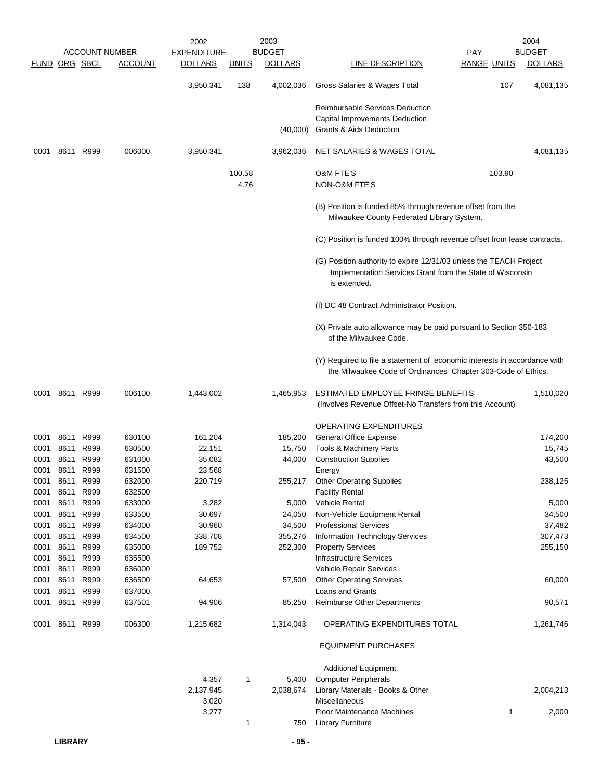|                      |           |           |                       | 2002               |              | 2003           |                                                                                                                                           |                    | 2004           |
|----------------------|-----------|-----------|-----------------------|--------------------|--------------|----------------|-------------------------------------------------------------------------------------------------------------------------------------------|--------------------|----------------|
|                      |           |           | <b>ACCOUNT NUMBER</b> | <b>EXPENDITURE</b> |              | <b>BUDGET</b>  |                                                                                                                                           | <b>PAY</b>         | <b>BUDGET</b>  |
| <b>FUND ORG SBCL</b> |           |           | <b>ACCOUNT</b>        | <b>DOLLARS</b>     | <u>UNITS</u> | <b>DOLLARS</b> | LINE DESCRIPTION                                                                                                                          | <b>RANGE UNITS</b> | <b>DOLLARS</b> |
|                      |           |           |                       | 3,950,341          | 138          | 4,002,036      | Gross Salaries & Wages Total                                                                                                              | 107                | 4,081,135      |
|                      |           |           |                       |                    |              |                | Reimbursable Services Deduction                                                                                                           |                    |                |
|                      |           |           |                       |                    |              |                | <b>Capital Improvements Deduction</b>                                                                                                     |                    |                |
|                      |           |           |                       |                    |              | (40,000)       | Grants & Aids Deduction                                                                                                                   |                    |                |
| 0001                 |           | 8611 R999 | 006000                | 3,950,341          |              | 3,962,036      | NET SALARIES & WAGES TOTAL                                                                                                                |                    | 4,081,135      |
|                      |           |           |                       |                    | 100.58       |                | <b>O&amp;M FTE'S</b>                                                                                                                      | 103.90             |                |
|                      |           |           |                       |                    | 4.76         |                | NON-O&M FTE'S                                                                                                                             |                    |                |
|                      |           |           |                       |                    |              |                | (B) Position is funded 85% through revenue offset from the<br>Milwaukee County Federated Library System.                                  |                    |                |
|                      |           |           |                       |                    |              |                | (C) Position is funded 100% through revenue offset from lease contracts.                                                                  |                    |                |
|                      |           |           |                       |                    |              |                | (G) Position authority to expire 12/31/03 unless the TEACH Project                                                                        |                    |                |
|                      |           |           |                       |                    |              |                | Implementation Services Grant from the State of Wisconsin<br>is extended.                                                                 |                    |                |
|                      |           |           |                       |                    |              |                | (I) DC 48 Contract Administrator Position.                                                                                                |                    |                |
|                      |           |           |                       |                    |              |                | (X) Private auto allowance may be paid pursuant to Section 350-183<br>of the Milwaukee Code.                                              |                    |                |
|                      |           |           |                       |                    |              |                | (Y) Required to file a statement of economic interests in accordance with<br>the Milwaukee Code of Ordinances Chapter 303-Code of Ethics. |                    |                |
| 0001                 | 8611 R999 |           | 006100                | 1,443,002          |              | 1,465,953      | ESTIMATED EMPLOYEE FRINGE BENEFITS<br>(Involves Revenue Offset-No Transfers from this Account)                                            |                    | 1,510,020      |
|                      |           |           |                       |                    |              |                | <b>OPERATING EXPENDITURES</b>                                                                                                             |                    |                |
| 0001                 | 8611      | R999      | 630100                | 161,204            |              | 185,200        | General Office Expense                                                                                                                    |                    | 174,200        |
| 0001                 | 8611      | R999      | 630500                | 22,151             |              | 15,750         | Tools & Machinery Parts                                                                                                                   |                    | 15,745         |
| 0001                 | 8611      | R999      | 631000                | 35,082             |              | 44,000         | <b>Construction Supplies</b>                                                                                                              |                    | 43,500         |
| 0001                 | 8611      | R999      | 631500                | 23,568             |              |                | Energy                                                                                                                                    |                    |                |
| 0001                 | 8611      | R999      | 632000                | 220,719            |              | 255,217        | <b>Other Operating Supplies</b>                                                                                                           |                    | 238,125        |
| 0001                 | 8611      | R999      | 632500                |                    |              |                | <b>Facility Rental</b>                                                                                                                    |                    |                |
| 0001                 | 8611      | R999      | 633000                | 3,282              |              | 5,000          | <b>Vehicle Rental</b>                                                                                                                     |                    | 5,000          |
| 0001                 | 8611      | R999      | 633500                | 30,697             |              | 24,050         | Non-Vehicle Equipment Rental                                                                                                              |                    | 34,500         |
| 0001                 | 8611      | R999      | 634000                | 30,960             |              | 34,500         | <b>Professional Services</b>                                                                                                              |                    | 37,482         |
| 0001                 | 8611      | R999      | 634500                | 338,708            |              | 355,276        | <b>Information Technology Services</b>                                                                                                    |                    | 307,473        |
| 0001                 | 8611      | R999      | 635000                | 189,752            |              | 252,300        | <b>Property Services</b>                                                                                                                  |                    | 255,150        |
| 0001                 | 8611      | R999      | 635500                |                    |              |                | <b>Infrastructure Services</b>                                                                                                            |                    |                |
| 0001                 | 8611      | R999      | 636000                |                    |              |                | Vehicle Repair Services                                                                                                                   |                    |                |
| 0001                 | 8611      | R999      | 636500                | 64,653             |              | 57,500         | <b>Other Operating Services</b>                                                                                                           |                    | 60,000         |
| 0001                 | 8611      | R999      | 637000                |                    |              |                | Loans and Grants                                                                                                                          |                    |                |
| 0001                 | 8611      | R999      | 637501                | 94,906             |              | 85,250         | Reimburse Other Departments                                                                                                               |                    | 90,571         |
| 0001                 | 8611      | R999      | 006300                | 1,215,682          |              | 1,314,043      | OPERATING EXPENDITURES TOTAL                                                                                                              |                    | 1,261,746      |
|                      |           |           |                       |                    |              |                | <b>EQUIPMENT PURCHASES</b>                                                                                                                |                    |                |
|                      |           |           |                       |                    |              |                | <b>Additional Equipment</b>                                                                                                               |                    |                |
|                      |           |           |                       | 4,357              | 1            | 5,400          | <b>Computer Peripherals</b>                                                                                                               |                    |                |
|                      |           |           |                       | 2,137,945          |              | 2,038,674      | Library Materials - Books & Other                                                                                                         |                    | 2,004,213      |
|                      |           |           |                       | 3,020              |              |                | Miscellaneous                                                                                                                             |                    |                |
|                      |           |           |                       | 3,277              |              |                | Floor Maintenance Machines                                                                                                                | $\mathbf{1}$       | 2,000          |
|                      |           |           |                       |                    | 1            | 750            | <b>Library Furniture</b>                                                                                                                  |                    |                |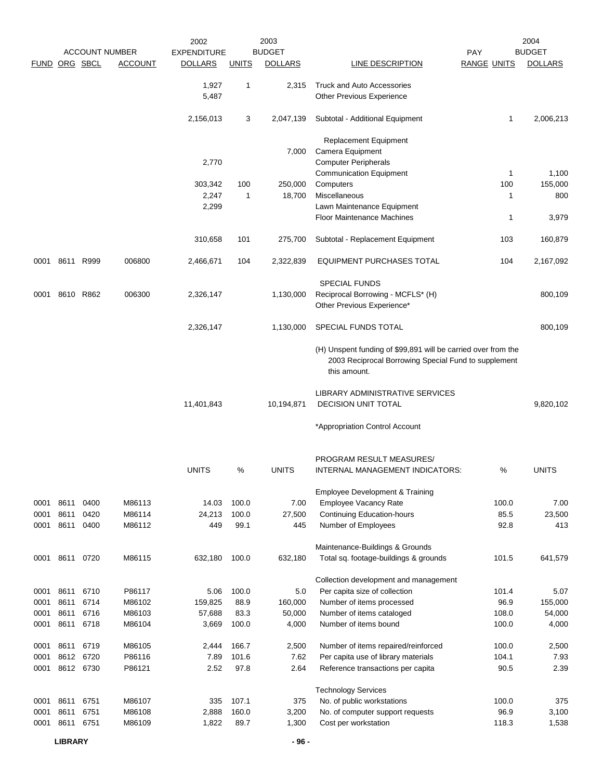|                      |              |           | <b>ACCOUNT NUMBER</b> | 2002<br><b>EXPENDITURE</b> |              | 2003<br><b>BUDGET</b> |                                                                                                                       | PAY                | 2004<br><b>BUDGET</b> |
|----------------------|--------------|-----------|-----------------------|----------------------------|--------------|-----------------------|-----------------------------------------------------------------------------------------------------------------------|--------------------|-----------------------|
| <b>FUND ORG SBCL</b> |              |           | <b>ACCOUNT</b>        | <b>DOLLARS</b>             | <b>UNITS</b> | <b>DOLLARS</b>        | <b>LINE DESCRIPTION</b>                                                                                               | <b>RANGE UNITS</b> | <b>DOLLARS</b>        |
|                      |              |           |                       |                            |              |                       |                                                                                                                       |                    |                       |
|                      |              |           |                       | 1,927                      | $\mathbf{1}$ | 2,315                 | <b>Truck and Auto Accessories</b>                                                                                     |                    |                       |
|                      |              |           |                       | 5,487                      |              |                       | Other Previous Experience                                                                                             |                    |                       |
|                      |              |           |                       | 2,156,013                  | 3            | 2,047,139             | Subtotal - Additional Equipment                                                                                       | 1                  | 2,006,213             |
|                      |              |           |                       |                            |              |                       | Replacement Equipment                                                                                                 |                    |                       |
|                      |              |           |                       |                            |              | 7,000                 | Camera Equipment                                                                                                      |                    |                       |
|                      |              |           |                       | 2,770                      |              |                       | <b>Computer Peripherals</b>                                                                                           |                    |                       |
|                      |              |           |                       |                            |              |                       | <b>Communication Equipment</b>                                                                                        | 1                  | 1,100                 |
|                      |              |           |                       | 303,342                    | 100          | 250,000               | Computers                                                                                                             | 100                | 155,000               |
|                      |              |           |                       | 2,247                      | $\mathbf{1}$ | 18,700                | Miscellaneous                                                                                                         | 1                  | 800                   |
|                      |              |           |                       | 2,299                      |              |                       | Lawn Maintenance Equipment                                                                                            |                    |                       |
|                      |              |           |                       |                            |              |                       | <b>Floor Maintenance Machines</b>                                                                                     | 1                  | 3,979                 |
|                      |              |           |                       | 310,658                    | 101          | 275,700               | Subtotal - Replacement Equipment                                                                                      | 103                | 160,879               |
| 0001                 |              | 8611 R999 | 006800                | 2,466,671                  | 104          | 2,322,839             | EQUIPMENT PURCHASES TOTAL                                                                                             | 104                | 2,167,092             |
|                      |              |           |                       |                            |              |                       | <b>SPECIAL FUNDS</b>                                                                                                  |                    |                       |
| 0001                 | 8610         | R862      | 006300                | 2,326,147                  |              | 1,130,000             | Reciprocal Borrowing - MCFLS* (H)                                                                                     |                    | 800,109               |
|                      |              |           |                       |                            |              |                       | Other Previous Experience*                                                                                            |                    |                       |
|                      |              |           |                       | 2,326,147                  |              | 1,130,000             | SPECIAL FUNDS TOTAL                                                                                                   |                    | 800,109               |
|                      |              |           |                       |                            |              |                       | (H) Unspent funding of \$99,891 will be carried over from the<br>2003 Reciprocal Borrowing Special Fund to supplement |                    |                       |
|                      |              |           |                       |                            |              |                       | this amount.                                                                                                          |                    |                       |
|                      |              |           |                       |                            |              |                       | LIBRARY ADMINISTRATIVE SERVICES                                                                                       |                    |                       |
|                      |              |           |                       | 11,401,843                 |              | 10,194,871            | <b>DECISION UNIT TOTAL</b>                                                                                            |                    | 9,820,102             |
|                      |              |           |                       |                            |              |                       | *Appropriation Control Account                                                                                        |                    |                       |
|                      |              |           |                       |                            |              |                       |                                                                                                                       |                    |                       |
|                      |              |           |                       |                            |              |                       | PROGRAM RESULT MEASURES/                                                                                              |                    |                       |
|                      |              |           |                       | <b>UNITS</b>               | ℅            | <b>UNITS</b>          | INTERNAL MANAGEMENT INDICATORS:                                                                                       | ℅                  | <b>UNITS</b>          |
|                      |              |           |                       |                            |              |                       | <b>Employee Development &amp; Training</b>                                                                            |                    |                       |
| 0001                 | 8611         | 0400      | M86113                | 14.03                      | 100.0        | 7.00                  | <b>Employee Vacancy Rate</b>                                                                                          | 100.0              | 7.00                  |
| 0001                 | 8611         | 0420      | M86114                | 24,213                     | 100.0        | 27,500                | <b>Continuing Education-hours</b>                                                                                     | 85.5               | 23,500                |
| 0001                 | 8611         | 0400      | M86112                | 449                        | 99.1         | 445                   | Number of Employees                                                                                                   | 92.8               | 413                   |
|                      |              |           |                       |                            |              |                       |                                                                                                                       |                    |                       |
|                      |              |           |                       |                            |              |                       | Maintenance-Buildings & Grounds                                                                                       |                    |                       |
| 0001                 | 8611 0720    |           | M86115                | 632,180                    | 100.0        | 632,180               | Total sq. footage-buildings & grounds                                                                                 | 101.5              | 641,579               |
|                      |              |           |                       |                            |              |                       | Collection development and management                                                                                 |                    |                       |
| 0001                 | 8611         | 6710      | P86117                | 5.06                       | 100.0        | 5.0                   | Per capita size of collection                                                                                         | 101.4              | 5.07                  |
| 0001                 | 8611         | 6714      | M86102                | 159,825                    | 88.9         | 160,000               | Number of items processed                                                                                             | 96.9               | 155,000               |
| 0001                 | 8611         | 6716      | M86103                | 57,688                     | 83.3         | 50,000                | Number of items cataloged                                                                                             | 108.0              | 54,000                |
| 0001                 |              | 8611 6718 | M86104                | 3,669                      | 100.0        | 4,000                 | Number of items bound                                                                                                 | 100.0              | 4,000                 |
| 0001                 | 8611         | 6719      | M86105                | 2,444                      | 166.7        | 2,500                 | Number of items repaired/reinforced                                                                                   | 100.0              | 2,500                 |
| 0001                 |              | 8612 6720 | P86116                | 7.89                       | 101.6        | 7.62                  | Per capita use of library materials                                                                                   | 104.1              | 7.93                  |
| 0001                 |              | 8612 6730 | P86121                | 2.52                       | 97.8         | 2.64                  | Reference transactions per capita                                                                                     | 90.5               | 2.39                  |
|                      |              |           |                       |                            |              |                       |                                                                                                                       |                    |                       |
|                      |              |           |                       |                            |              |                       | <b>Technology Services</b>                                                                                            |                    |                       |
| 0001                 | 8611         | 6751      | M86107                | 335                        | 107.1        | 375                   | No. of public workstations                                                                                            | 100.0              | 375                   |
| 0001                 | 8611<br>8611 | 6751      | M86108                | 2,888                      | 160.0        | 3,200                 | No. of computer support requests                                                                                      | 96.9               | 3,100                 |
| 0001                 |              | 6751      | M86109                | 1,822                      | 89.7         | 1,300                 | Cost per workstation                                                                                                  | 118.3              | 1,538                 |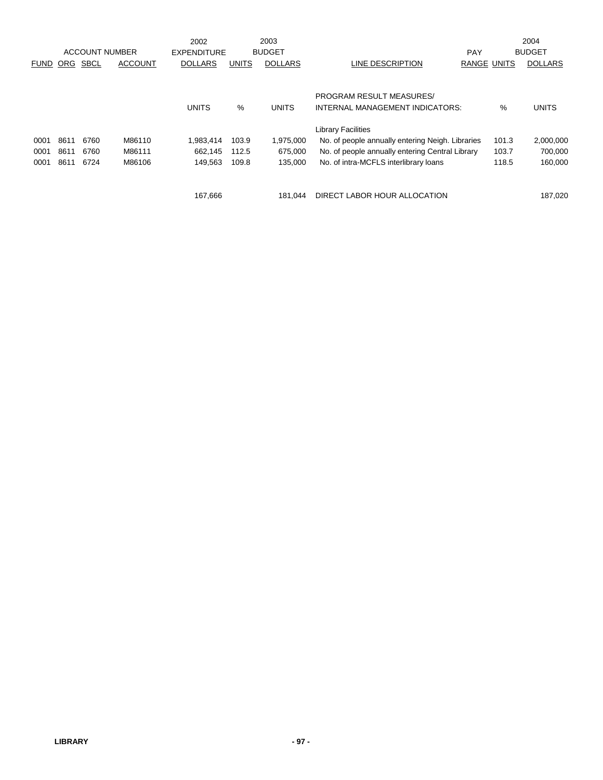|             |      |             |                       | 2002               |              | 2003           |                                                  |                    | 2004           |
|-------------|------|-------------|-----------------------|--------------------|--------------|----------------|--------------------------------------------------|--------------------|----------------|
|             |      |             | <b>ACCOUNT NUMBER</b> | <b>EXPENDITURE</b> |              | <b>BUDGET</b>  |                                                  | <b>PAY</b>         | <b>BUDGET</b>  |
| <b>FUND</b> | ORG  | <b>SBCL</b> | <b>ACCOUNT</b>        | <b>DOLLARS</b>     | <b>UNITS</b> | <b>DOLLARS</b> | LINE DESCRIPTION                                 | <b>RANGE UNITS</b> | <b>DOLLARS</b> |
|             |      |             |                       |                    |              |                |                                                  |                    |                |
|             |      |             |                       |                    |              |                | <b>PROGRAM RESULT MEASURES/</b>                  |                    |                |
|             |      |             |                       | <b>UNITS</b>       | %            | <b>UNITS</b>   | INTERNAL MANAGEMENT INDICATORS:                  | %                  | <b>UNITS</b>   |
|             |      |             |                       |                    |              |                | <b>Library Facilities</b>                        |                    |                |
| 0001        | 8611 | 6760        | M86110                | 1,983,414          | 103.9        | 1,975,000      | No. of people annually entering Neigh. Libraries | 101.3              | 2,000,000      |
| 0001        | 8611 | 6760        | M86111                | 662.145            | 112.5        | 675.000        | No. of people annually entering Central Library  | 103.7              | 700,000        |
| 0001        | 8611 | 6724        | M86106                | 149,563            | 109.8        | 135.000        | No. of intra-MCFLS interlibrary loans            | 118.5              | 160,000        |
|             |      |             |                       |                    |              |                |                                                  |                    |                |
|             |      |             |                       | 167,666            |              | 181.044        | DIRECT LABOR HOUR ALLOCATION                     |                    | 187,020        |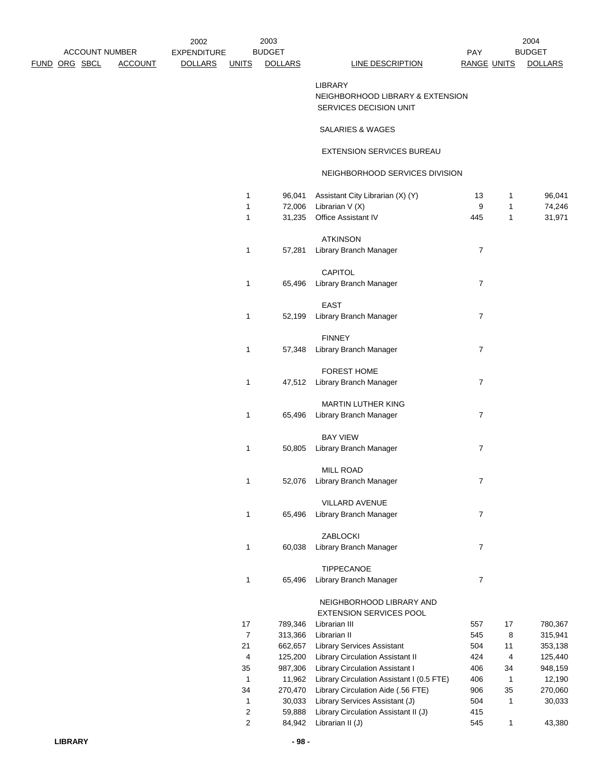| <b>ACCOUNT NUMBER</b> |                | 2002<br><b>EXPENDITURE</b> |                              | 2003<br><b>BUDGET</b> |                                                                              | <b>PAY</b>         |                              | 2004<br><b>BUDGET</b> |
|-----------------------|----------------|----------------------------|------------------------------|-----------------------|------------------------------------------------------------------------------|--------------------|------------------------------|-----------------------|
| <u>FUND ORG SBCL</u>  | <b>ACCOUNT</b> | <b>DOLLARS</b>             | <u>UNITS</u>                 | <b>DOLLARS</b>        | <b>LINE DESCRIPTION</b>                                                      | <b>RANGE UNITS</b> |                              | <b>DOLLARS</b>        |
|                       |                |                            |                              |                       | <b>LIBRARY</b><br>NEIGHBORHOOD LIBRARY & EXTENSION<br>SERVICES DECISION UNIT |                    |                              |                       |
|                       |                |                            |                              |                       | SALARIES & WAGES                                                             |                    |                              |                       |
|                       |                |                            |                              |                       | EXTENSION SERVICES BUREAU                                                    |                    |                              |                       |
|                       |                |                            |                              |                       | NEIGHBORHOOD SERVICES DIVISION                                               |                    |                              |                       |
|                       |                |                            | 1                            | 96,041                | Assistant City Librarian (X) (Y)                                             | 13<br>9            | 1                            | 96,041                |
|                       |                |                            | $\mathbf{1}$<br>$\mathbf{1}$ | 72,006<br>31,235      | Librarian V (X)<br>Office Assistant IV                                       | 445                | $\mathbf{1}$<br>$\mathbf{1}$ | 74,246<br>31,971      |
|                       |                |                            |                              |                       | <b>ATKINSON</b>                                                              |                    |                              |                       |
|                       |                |                            | $\mathbf{1}$                 | 57,281                | Library Branch Manager                                                       | 7                  |                              |                       |
|                       |                |                            |                              |                       |                                                                              |                    |                              |                       |
|                       |                |                            |                              |                       | CAPITOL                                                                      |                    |                              |                       |
|                       |                |                            | 1                            | 65,496                | Library Branch Manager                                                       | 7                  |                              |                       |
|                       |                |                            |                              |                       | <b>EAST</b>                                                                  |                    |                              |                       |
|                       |                |                            | 1                            | 52,199                | Library Branch Manager                                                       | $\overline{7}$     |                              |                       |
|                       |                |                            |                              |                       |                                                                              |                    |                              |                       |
|                       |                |                            |                              |                       | <b>FINNEY</b>                                                                |                    |                              |                       |
|                       |                |                            | 1                            | 57,348                | Library Branch Manager                                                       | $\overline{7}$     |                              |                       |
|                       |                |                            |                              |                       | <b>FOREST HOME</b>                                                           |                    |                              |                       |
|                       |                |                            | $\mathbf{1}$                 |                       | 47,512 Library Branch Manager                                                | 7                  |                              |                       |
|                       |                |                            |                              |                       |                                                                              |                    |                              |                       |
|                       |                |                            |                              |                       | MARTIN LUTHER KING                                                           |                    |                              |                       |
|                       |                |                            | $\mathbf{1}$                 |                       | 65,496 Library Branch Manager                                                | $\overline{7}$     |                              |                       |
|                       |                |                            |                              |                       | <b>BAY VIEW</b>                                                              |                    |                              |                       |
|                       |                |                            | $\mathbf{1}$                 | 50,805                | Library Branch Manager                                                       | $\overline{7}$     |                              |                       |
|                       |                |                            |                              |                       |                                                                              |                    |                              |                       |
|                       |                |                            | $\mathbf{1}$                 | 52,076                | <b>MILL ROAD</b><br>Library Branch Manager                                   | 7                  |                              |                       |
|                       |                |                            |                              |                       |                                                                              |                    |                              |                       |
|                       |                |                            |                              |                       | VILLARD AVENUE                                                               |                    |                              |                       |
|                       |                |                            | $\mathbf{1}$                 | 65,496                | Library Branch Manager                                                       | 7                  |                              |                       |
|                       |                |                            |                              |                       | ZABLOCKI                                                                     |                    |                              |                       |
|                       |                |                            | $\mathbf{1}$                 | 60,038                | Library Branch Manager                                                       | $\overline{7}$     |                              |                       |
|                       |                |                            |                              |                       |                                                                              |                    |                              |                       |
|                       |                |                            |                              |                       | TIPPECANOE                                                                   |                    |                              |                       |
|                       |                |                            | $\mathbf{1}$                 | 65,496                | Library Branch Manager                                                       | $\overline{7}$     |                              |                       |
|                       |                |                            |                              |                       | NEIGHBORHOOD LIBRARY AND<br>EXTENSION SERVICES POOL                          |                    |                              |                       |
|                       |                |                            | 17                           | 789,346               | Librarian III                                                                | 557                | 17                           | 780,367               |
|                       |                |                            | $\overline{7}$               | 313,366               | Librarian II                                                                 | 545                | 8                            | 315,941               |
|                       |                |                            | 21                           | 662,657               | <b>Library Services Assistant</b>                                            | 504                | 11                           | 353,138               |
|                       |                |                            | 4                            | 125,200               | Library Circulation Assistant II                                             | 424                | 4                            | 125,440               |
|                       |                |                            | 35<br>$\mathbf{1}$           | 987,306<br>11,962     | Library Circulation Assistant I<br>Library Circulation Assistant I (0.5 FTE) | 406<br>406         | 34<br>$\mathbf{1}$           | 948,159<br>12,190     |
|                       |                |                            | 34                           | 270,470               | Library Circulation Aide (.56 FTE)                                           | 906                | 35                           | 270,060               |
|                       |                |                            | $\mathbf{1}$                 | 30,033                | Library Services Assistant (J)                                               | 504                | $\mathbf{1}$                 | 30,033                |
|                       |                |                            | $\overline{2}$               | 59,888                | Library Circulation Assistant II (J)                                         | 415                |                              |                       |

2 84,942 Librarian II (J) 545 1 43,380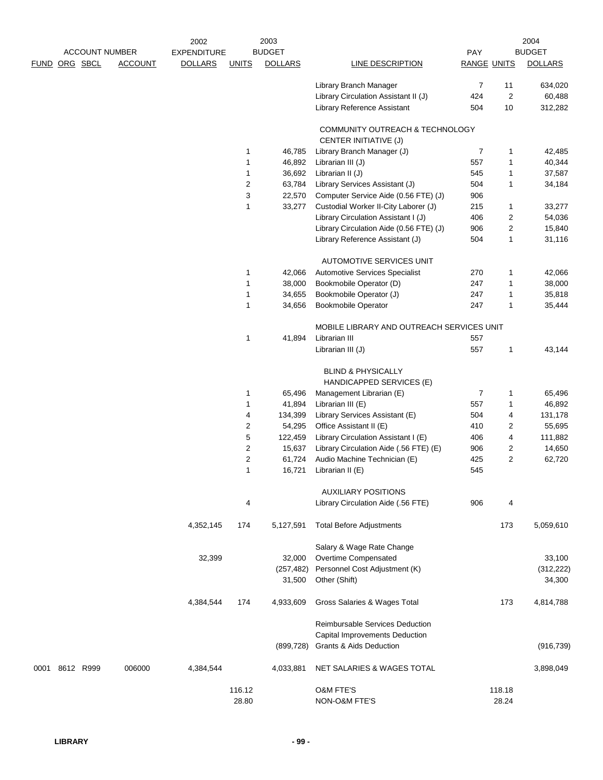|      |                       |                | 2002               |              | 2003           |                                                           |                    |                         | 2004           |
|------|-----------------------|----------------|--------------------|--------------|----------------|-----------------------------------------------------------|--------------------|-------------------------|----------------|
|      | <b>ACCOUNT NUMBER</b> |                | <b>EXPENDITURE</b> |              | <b>BUDGET</b>  |                                                           | <b>PAY</b>         |                         | <b>BUDGET</b>  |
|      | FUND ORG SBCL         | <b>ACCOUNT</b> | <b>DOLLARS</b>     | <b>UNITS</b> | <b>DOLLARS</b> | LINE DESCRIPTION                                          | <b>RANGE UNITS</b> |                         | <b>DOLLARS</b> |
|      |                       |                |                    |              |                | Library Branch Manager                                    | $\overline{7}$     | 11                      | 634,020        |
|      |                       |                |                    |              |                | Library Circulation Assistant II (J)                      | 424                | $\boldsymbol{2}$        | 60,488         |
|      |                       |                |                    |              |                | Library Reference Assistant                               | 504                | 10                      | 312,282        |
|      |                       |                |                    |              |                | COMMUNITY OUTREACH & TECHNOLOGY<br>CENTER INITIATIVE (J)  |                    |                         |                |
|      |                       |                |                    | 1            | 46,785         | Library Branch Manager (J)                                | $\overline{7}$     | 1                       | 42,485         |
|      |                       |                |                    | 1            | 46,892         | Librarian III (J)                                         | 557                | $\mathbf{1}$            | 40,344         |
|      |                       |                |                    | 1            | 36,692         | Librarian II (J)                                          | 545                | $\mathbf{1}$            | 37,587         |
|      |                       |                |                    | 2            | 63,784         | Library Services Assistant (J)                            | 504                | $\mathbf{1}$            | 34,184         |
|      |                       |                |                    | 3            | 22,570         | Computer Service Aide (0.56 FTE) (J)                      | 906                |                         |                |
|      |                       |                |                    | 1            | 33,277         | Custodial Worker II-City Laborer (J)                      | 215                | $\mathbf{1}$            | 33,277         |
|      |                       |                |                    |              |                | Library Circulation Assistant I (J)                       | 406                | $\overline{\mathbf{c}}$ | 54,036         |
|      |                       |                |                    |              |                | Library Circulation Aide (0.56 FTE) (J)                   | 906                | $\overline{2}$          | 15,840         |
|      |                       |                |                    |              |                | Library Reference Assistant (J)                           | 504                | $\mathbf{1}$            | 31,116         |
|      |                       |                |                    |              |                | AUTOMOTIVE SERVICES UNIT                                  |                    |                         |                |
|      |                       |                |                    | 1            | 42,066         | Automotive Services Specialist                            | 270                | 1                       | 42,066         |
|      |                       |                |                    | $\mathbf{1}$ | 38,000         | Bookmobile Operator (D)                                   | 247                | $\mathbf{1}$            | 38,000         |
|      |                       |                |                    | 1            | 34,655         | Bookmobile Operator (J)                                   | 247                | 1                       | 35,818         |
|      |                       |                |                    | 1            | 34,656         | <b>Bookmobile Operator</b>                                | 247                | 1                       | 35,444         |
|      |                       |                |                    |              |                | MOBILE LIBRARY AND OUTREACH SERVICES UNIT                 |                    |                         |                |
|      |                       |                |                    | 1            | 41,894         | Librarian III                                             | 557                |                         |                |
|      |                       |                |                    |              |                | Librarian III (J)                                         | 557                | 1                       | 43,144         |
|      |                       |                |                    |              |                | <b>BLIND &amp; PHYSICALLY</b><br>HANDICAPPED SERVICES (E) |                    |                         |                |
|      |                       |                |                    | 1            | 65,496         | Management Librarian (E)                                  | $\overline{7}$     | 1                       | 65,496         |
|      |                       |                |                    | 1            | 41,894         | Librarian III (E)                                         | 557                | $\mathbf{1}$            | 46,892         |
|      |                       |                |                    | 4            | 134,399        | Library Services Assistant (E)                            | 504                | 4                       | 131,178        |
|      |                       |                |                    | 2            | 54,295         | Office Assistant II (E)                                   | 410                | $\overline{2}$          | 55,695         |
|      |                       |                |                    | 5            | 122,459        | Library Circulation Assistant I (E)                       | 406                | 4                       | 111,882        |
|      |                       |                |                    | 2            | 15,637         | Library Circulation Aide (.56 FTE) (E)                    | 906                | $\overline{\mathbf{c}}$ | 14,650         |
|      |                       |                |                    | 2            | 61,724         | Audio Machine Technician (E)                              | 425                | $\overline{2}$          | 62,720         |
|      |                       |                |                    | 1            | 16,721         | Librarian II (E)                                          | 545                |                         |                |
|      |                       |                |                    |              |                | <b>AUXILIARY POSITIONS</b>                                |                    |                         |                |
|      |                       |                |                    | 4            |                | Library Circulation Aide (.56 FTE)                        | 906                | 4                       |                |
|      |                       |                | 4,352,145          | 174          | 5,127,591      | <b>Total Before Adjustments</b>                           |                    | 173                     | 5,059,610      |
|      |                       |                |                    |              |                | Salary & Wage Rate Change                                 |                    |                         |                |
|      |                       |                | 32,399             |              | 32,000         | Overtime Compensated                                      |                    |                         | 33,100         |
|      |                       |                |                    |              | (257, 482)     | Personnel Cost Adjustment (K)                             |                    |                         | (312, 222)     |
|      |                       |                |                    |              | 31,500         | Other (Shift)                                             |                    |                         | 34,300         |
|      |                       |                | 4,384,544          | 174          | 4,933,609      | Gross Salaries & Wages Total                              |                    | 173                     | 4,814,788      |
|      |                       |                |                    |              |                | Reimbursable Services Deduction                           |                    |                         |                |
|      |                       |                |                    |              |                | Capital Improvements Deduction                            |                    |                         |                |
|      |                       |                |                    |              | (899, 728)     | <b>Grants &amp; Aids Deduction</b>                        |                    |                         | (916, 739)     |
| 0001 | 8612 R999             | 006000         | 4,384,544          |              | 4,033,881      | NET SALARIES & WAGES TOTAL                                |                    |                         | 3,898,049      |
|      |                       |                |                    | 116.12       |                | O&M FTE'S                                                 |                    | 118.18                  |                |
|      |                       |                |                    | 28.80        |                | NON-O&M FTE'S                                             |                    | 28.24                   |                |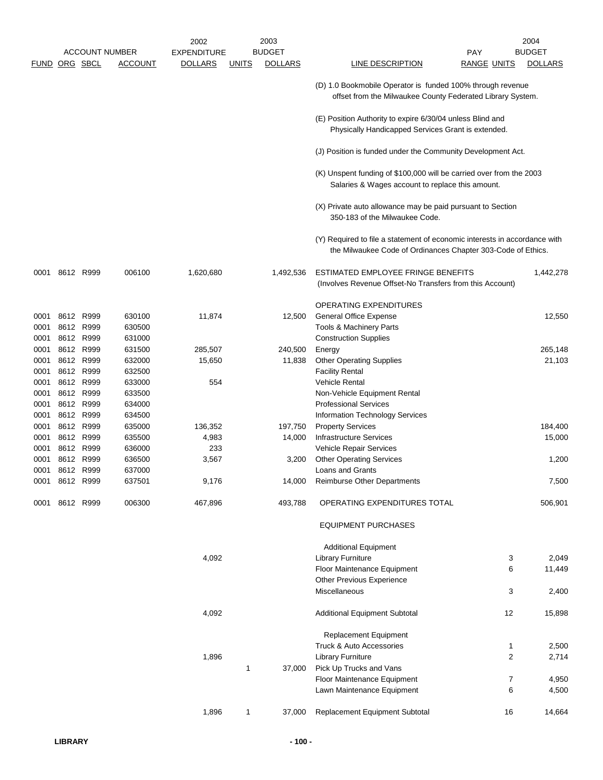|               |      |                        |                       | 2002               |              | 2003           |                                                                                                                                           |                    | 2004           |
|---------------|------|------------------------|-----------------------|--------------------|--------------|----------------|-------------------------------------------------------------------------------------------------------------------------------------------|--------------------|----------------|
|               |      |                        | <b>ACCOUNT NUMBER</b> | <b>EXPENDITURE</b> |              | <b>BUDGET</b>  | <b>PAY</b>                                                                                                                                |                    | <b>BUDGET</b>  |
| FUND ORG SBCL |      |                        | <b>ACCOUNT</b>        | <b>DOLLARS</b>     | <b>UNITS</b> | <b>DOLLARS</b> | LINE DESCRIPTION                                                                                                                          | <b>RANGE UNITS</b> | <b>DOLLARS</b> |
|               |      |                        |                       |                    |              |                | (D) 1.0 Bookmobile Operator is funded 100% through revenue<br>offset from the Milwaukee County Federated Library System.                  |                    |                |
|               |      |                        |                       |                    |              |                | (E) Position Authority to expire 6/30/04 unless Blind and<br>Physically Handicapped Services Grant is extended.                           |                    |                |
|               |      |                        |                       |                    |              |                | (J) Position is funded under the Community Development Act.                                                                               |                    |                |
|               |      |                        |                       |                    |              |                | (K) Unspent funding of \$100,000 will be carried over from the 2003<br>Salaries & Wages account to replace this amount.                   |                    |                |
|               |      |                        |                       |                    |              |                | (X) Private auto allowance may be paid pursuant to Section<br>350-183 of the Milwaukee Code.                                              |                    |                |
|               |      |                        |                       |                    |              |                | (Y) Required to file a statement of economic interests in accordance with<br>the Milwaukee Code of Ordinances Chapter 303-Code of Ethics. |                    |                |
| 0001          |      | 8612 R999              | 006100                | 1,620,680          |              | 1,492,536      | ESTIMATED EMPLOYEE FRINGE BENEFITS<br>(Involves Revenue Offset-No Transfers from this Account)                                            |                    | 1,442,278      |
|               |      |                        |                       |                    |              |                | <b>OPERATING EXPENDITURES</b>                                                                                                             |                    |                |
| 0001          |      | 8612 R999              | 630100                | 11,874             |              | 12,500         | <b>General Office Expense</b>                                                                                                             |                    | 12,550         |
| 0001          |      | 8612 R999              | 630500                |                    |              |                | Tools & Machinery Parts                                                                                                                   |                    |                |
| 0001          |      | 8612 R999              | 631000                |                    |              |                | <b>Construction Supplies</b>                                                                                                              |                    |                |
| 0001          |      | 8612 R999              | 631500                | 285,507            |              | 240,500        | Energy                                                                                                                                    |                    | 265,148        |
| 0001          |      | 8612 R999              | 632000                | 15,650             |              | 11,838         | <b>Other Operating Supplies</b>                                                                                                           |                    | 21,103         |
| 0001          |      | 8612 R999              | 632500                |                    |              |                | <b>Facility Rental</b>                                                                                                                    |                    |                |
| 0001          |      | 8612 R999              | 633000                | 554                |              |                | <b>Vehicle Rental</b>                                                                                                                     |                    |                |
| 0001          |      | 8612 R999              | 633500                |                    |              |                | Non-Vehicle Equipment Rental                                                                                                              |                    |                |
| 0001          |      | 8612 R999              | 634000                |                    |              |                | <b>Professional Services</b>                                                                                                              |                    |                |
| 0001          |      | 8612 R999              | 634500                |                    |              |                | Information Technology Services                                                                                                           |                    |                |
| 0001          | 8612 | R999                   | 635000                | 136,352            |              | 197,750        | <b>Property Services</b>                                                                                                                  |                    | 184,400        |
| 0001          |      | 8612 R999              | 635500                | 4,983              |              | 14,000         | <b>Infrastructure Services</b>                                                                                                            |                    | 15,000         |
| 0001          |      | 8612 R999              | 636000                | 233                |              |                | Vehicle Repair Services                                                                                                                   |                    |                |
| 0001<br>0001  |      | 8612 R999<br>8612 R999 | 636500<br>637000      | 3,567              |              | 3,200          | <b>Other Operating Services</b><br><b>Loans and Grants</b>                                                                                |                    | 1,200          |
|               |      | 0001 8612 R999         | 637501                | 9,176              |              | 14,000         | <b>Reimburse Other Departments</b>                                                                                                        |                    | 7,500          |
|               |      |                        |                       |                    |              |                |                                                                                                                                           |                    |                |
| 0001          |      | 8612 R999              | 006300                | 467,896            |              | 493,788        | OPERATING EXPENDITURES TOTAL                                                                                                              |                    | 506,901        |
|               |      |                        |                       |                    |              |                | <b>EQUIPMENT PURCHASES</b>                                                                                                                |                    |                |
|               |      |                        |                       |                    |              |                | <b>Additional Equipment</b>                                                                                                               |                    |                |
|               |      |                        |                       | 4,092              |              |                | <b>Library Furniture</b>                                                                                                                  | 3                  | 2,049          |
|               |      |                        |                       |                    |              |                | Floor Maintenance Equipment                                                                                                               | 6                  | 11,449         |
|               |      |                        |                       |                    |              |                | Other Previous Experience                                                                                                                 |                    |                |
|               |      |                        |                       |                    |              |                | Miscellaneous                                                                                                                             | 3                  | 2,400          |
|               |      |                        |                       | 4,092              |              |                | <b>Additional Equipment Subtotal</b>                                                                                                      | 12                 | 15,898         |
|               |      |                        |                       |                    |              |                | Replacement Equipment                                                                                                                     |                    |                |
|               |      |                        |                       |                    |              |                | Truck & Auto Accessories                                                                                                                  | 1                  | 2,500          |
|               |      |                        |                       | 1,896              |              |                | <b>Library Furniture</b>                                                                                                                  | 2                  | 2,714          |
|               |      |                        |                       |                    | 1            | 37,000         | Pick Up Trucks and Vans                                                                                                                   |                    |                |
|               |      |                        |                       |                    |              |                | Floor Maintenance Equipment                                                                                                               | 7                  | 4,950          |
|               |      |                        |                       |                    |              |                | Lawn Maintenance Equipment                                                                                                                | 6                  | 4,500          |
|               |      |                        |                       | 1,896              | 1            | 37,000         | Replacement Equipment Subtotal                                                                                                            | 16                 | 14,664         |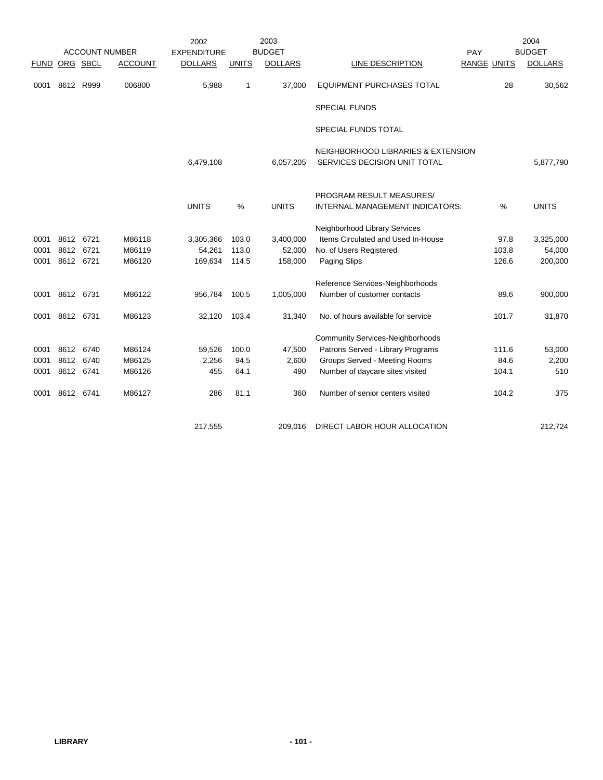|             |           |           |                       | 2002               |              | 2003           |                                                                    |             |       | 2004           |
|-------------|-----------|-----------|-----------------------|--------------------|--------------|----------------|--------------------------------------------------------------------|-------------|-------|----------------|
|             |           |           | <b>ACCOUNT NUMBER</b> | <b>EXPENDITURE</b> |              | <b>BUDGET</b>  |                                                                    | PAY         |       | <b>BUDGET</b>  |
| <b>FUND</b> |           | ORG SBCL  | <b>ACCOUNT</b>        | <b>DOLLARS</b>     | <b>UNITS</b> | <b>DOLLARS</b> | LINE DESCRIPTION                                                   | RANGE UNITS |       | <b>DOLLARS</b> |
| 0001        | 8612 R999 |           | 006800                | 5,988              | 1            | 37,000         | <b>EQUIPMENT PURCHASES TOTAL</b>                                   |             | 28    | 30,562         |
|             |           |           |                       |                    |              |                | <b>SPECIAL FUNDS</b>                                               |             |       |                |
|             |           |           |                       |                    |              |                | SPECIAL FUNDS TOTAL                                                |             |       |                |
|             |           |           |                       | 6,479,108          |              | 6,057,205      | NEIGHBORHOOD LIBRARIES & EXTENSION<br>SERVICES DECISION UNIT TOTAL |             |       | 5,877,790      |
|             |           |           |                       | <b>UNITS</b>       | %            | <b>UNITS</b>   | PROGRAM RESULT MEASURES/<br>INTERNAL MANAGEMENT INDICATORS:        |             | %     | <b>UNITS</b>   |
|             |           |           |                       |                    |              |                |                                                                    |             |       |                |
|             |           |           |                       |                    |              |                | Neighborhood Library Services                                      |             |       |                |
| 0001        | 8612      | 6721      | M86118                | 3,305,366          | 103.0        | 3,400,000      | Items Circulated and Used In-House                                 |             | 97.8  | 3,325,000      |
| 0001        | 8612      | 6721      | M86119                | 54,261             | 113.0        | 52,000         | No. of Users Registered                                            |             | 103.8 | 54,000         |
| 0001        | 8612 6721 |           | M86120                | 169,634            | 114.5        | 158,000        | Paging Slips                                                       |             | 126.6 | 200,000        |
|             |           |           |                       |                    |              |                | Reference Services-Neighborhoods                                   |             |       |                |
| 0001        | 8612 6731 |           | M86122                | 956,784            | 100.5        | 1,005,000      | Number of customer contacts                                        |             | 89.6  | 900,000        |
| 0001        | 8612 6731 |           | M86123                | 32,120             | 103.4        | 31,340         | No. of hours available for service                                 |             | 101.7 | 31,870         |
|             |           |           |                       |                    |              |                | <b>Community Services-Neighborhoods</b>                            |             |       |                |
| 0001        | 8612 6740 |           | M86124                | 59,526             | 100.0        | 47,500         | Patrons Served - Library Programs                                  |             | 111.6 | 53,000         |
| 0001        |           | 8612 6740 | M86125                | 2,256              | 94.5         | 2,600          | Groups Served - Meeting Rooms                                      |             | 84.6  | 2,200          |
| 0001        | 8612 6741 |           | M86126                | 455                | 64.1         | 490            | Number of daycare sites visited                                    |             | 104.1 | 510            |
| 0001        | 8612 6741 |           | M86127                | 286                | 81.1         | 360            | Number of senior centers visited                                   |             | 104.2 | 375            |
|             |           |           |                       | 217,555            |              | 209.016        | DIRECT LABOR HOUR ALLOCATION                                       |             |       | 212.724        |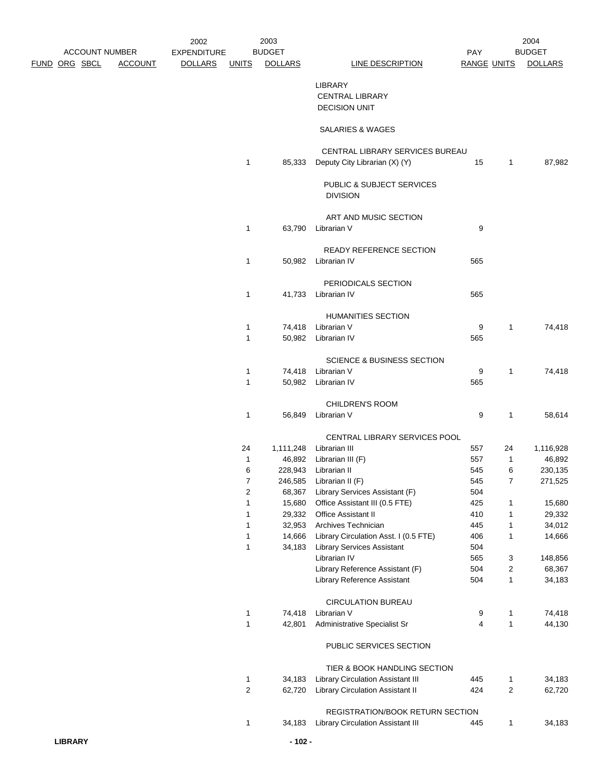|                |                       |                | 2002               |                                | 2003             |                                                                              |                    |                     | 2004              |
|----------------|-----------------------|----------------|--------------------|--------------------------------|------------------|------------------------------------------------------------------------------|--------------------|---------------------|-------------------|
|                | <b>ACCOUNT NUMBER</b> |                | <b>EXPENDITURE</b> |                                | <b>BUDGET</b>    |                                                                              | PAY                |                     | <b>BUDGET</b>     |
|                | <u>FUND ORG SBCL</u>  | <b>ACCOUNT</b> | <b>DOLLARS</b>     | <u>UNITS</u>                   | <b>DOLLARS</b>   | <b>LINE DESCRIPTION</b>                                                      | <b>RANGE UNITS</b> |                     | <b>DOLLARS</b>    |
|                |                       |                |                    |                                |                  | <b>LIBRARY</b>                                                               |                    |                     |                   |
|                |                       |                |                    |                                |                  |                                                                              |                    |                     |                   |
|                |                       |                |                    |                                |                  | <b>CENTRAL LIBRARY</b><br><b>DECISION UNIT</b>                               |                    |                     |                   |
|                |                       |                |                    |                                |                  |                                                                              |                    |                     |                   |
|                |                       |                |                    |                                |                  | SALARIES & WAGES                                                             |                    |                     |                   |
|                |                       |                |                    |                                |                  |                                                                              |                    |                     |                   |
|                |                       |                |                    |                                |                  | CENTRAL LIBRARY SERVICES BUREAU                                              |                    |                     |                   |
|                |                       |                |                    | $\mathbf{1}$                   | 85,333           | Deputy City Librarian (X) (Y)                                                | 15                 | $\mathbf{1}$        | 87,982            |
|                |                       |                |                    |                                |                  |                                                                              |                    |                     |                   |
|                |                       |                |                    |                                |                  | PUBLIC & SUBJECT SERVICES                                                    |                    |                     |                   |
|                |                       |                |                    |                                |                  | <b>DIVISION</b>                                                              |                    |                     |                   |
|                |                       |                |                    |                                |                  |                                                                              |                    |                     |                   |
|                |                       |                |                    |                                |                  | ART AND MUSIC SECTION                                                        |                    |                     |                   |
|                |                       |                |                    | $\mathbf{1}$                   |                  | 63,790 Librarian V                                                           | 9                  |                     |                   |
|                |                       |                |                    |                                |                  | READY REFERENCE SECTION                                                      |                    |                     |                   |
|                |                       |                |                    | 1                              |                  | 50,982 Librarian IV                                                          | 565                |                     |                   |
|                |                       |                |                    |                                |                  |                                                                              |                    |                     |                   |
|                |                       |                |                    |                                |                  | PERIODICALS SECTION                                                          |                    |                     |                   |
|                |                       |                |                    | $\mathbf{1}$                   |                  | 41,733 Librarian IV                                                          | 565                |                     |                   |
|                |                       |                |                    |                                |                  |                                                                              |                    |                     |                   |
|                |                       |                |                    |                                |                  | <b>HUMANITIES SECTION</b>                                                    |                    |                     |                   |
|                |                       |                |                    | 1                              |                  | 74,418 Librarian V                                                           | 9                  | 1                   | 74,418            |
|                |                       |                |                    | $\mathbf{1}$                   |                  | 50,982 Librarian IV                                                          | 565                |                     |                   |
|                |                       |                |                    |                                |                  |                                                                              |                    |                     |                   |
|                |                       |                |                    |                                |                  | <b>SCIENCE &amp; BUSINESS SECTION</b>                                        |                    |                     |                   |
|                |                       |                |                    | 1                              |                  | 74,418 Librarian V                                                           | 9                  | 1                   | 74,418            |
|                |                       |                |                    | 1                              |                  | 50,982 Librarian IV                                                          | 565                |                     |                   |
|                |                       |                |                    |                                |                  | CHILDREN'S ROOM                                                              |                    |                     |                   |
|                |                       |                |                    | 1                              |                  | 56,849 Librarian V                                                           | 9                  | 1                   | 58,614            |
|                |                       |                |                    |                                |                  |                                                                              |                    |                     |                   |
|                |                       |                |                    |                                |                  | CENTRAL LIBRARY SERVICES POOL                                                |                    |                     |                   |
|                |                       |                |                    | 24                             |                  | 1,111,248 Librarian III                                                      | 557                | 24                  | 1,116,928         |
|                |                       |                |                    | 1                              |                  | 46,892 Librarian III (F)                                                     | 557                | 1                   | 46,892            |
|                |                       |                |                    | 6                              |                  | 228,943 Librarian II                                                         | 545                | 6                   | 230,135           |
|                |                       |                |                    | $\overline{7}$                 | 246,585          | Librarian II (F)                                                             | 545                | $\overline{7}$      | 271,525           |
|                |                       |                |                    | 2                              | 68,367           | Library Services Assistant (F)                                               | 504                |                     |                   |
|                |                       |                |                    | 1                              | 15,680           | Office Assistant III (0.5 FTE)                                               | 425                | 1                   | 15,680            |
|                |                       |                |                    | 1                              | 29,332           | Office Assistant II                                                          | 410                | 1                   | 29,332            |
|                |                       |                |                    | $\mathbf{1}$                   | 32,953           | Archives Technician                                                          | 445                | 1                   | 34,012            |
|                |                       |                |                    | 1                              | 14,666           | Library Circulation Asst. I (0.5 FTE)                                        | 406                | 1                   | 14,666            |
|                |                       |                |                    | 1                              | 34,183           | <b>Library Services Assistant</b><br>Librarian IV                            | 504<br>565         |                     |                   |
|                |                       |                |                    |                                |                  | Library Reference Assistant (F)                                              | 504                | 3<br>2              | 148,856<br>68,367 |
|                |                       |                |                    |                                |                  | Library Reference Assistant                                                  | 504                | $\mathbf{1}$        | 34,183            |
|                |                       |                |                    |                                |                  |                                                                              |                    |                     |                   |
|                |                       |                |                    |                                |                  | <b>CIRCULATION BUREAU</b>                                                    |                    |                     |                   |
|                |                       |                |                    | 1                              | 74,418           | Librarian V                                                                  | 9                  | 1                   | 74,418            |
|                |                       |                |                    | 1                              | 42,801           | Administrative Specialist Sr                                                 | 4                  | $\mathbf{1}$        | 44,130            |
|                |                       |                |                    |                                |                  |                                                                              |                    |                     |                   |
|                |                       |                |                    |                                |                  | PUBLIC SERVICES SECTION                                                      |                    |                     |                   |
|                |                       |                |                    |                                |                  |                                                                              |                    |                     |                   |
|                |                       |                |                    |                                |                  | TIER & BOOK HANDLING SECTION                                                 |                    |                     |                   |
|                |                       |                |                    | $\mathbf{1}$<br>$\overline{c}$ | 34,183<br>62,720 | <b>Library Circulation Assistant III</b><br>Library Circulation Assistant II | 445<br>424         | 1<br>$\overline{2}$ | 34,183<br>62,720  |
|                |                       |                |                    |                                |                  |                                                                              |                    |                     |                   |
|                |                       |                |                    |                                |                  | REGISTRATION/BOOK RETURN SECTION                                             |                    |                     |                   |
|                |                       |                |                    | 1                              | 34,183           | Library Circulation Assistant III                                            | 445                | 1                   | 34,183            |
|                |                       |                |                    |                                |                  |                                                                              |                    |                     |                   |
| <b>LIBRARY</b> |                       |                |                    |                                | $-102 -$         |                                                                              |                    |                     |                   |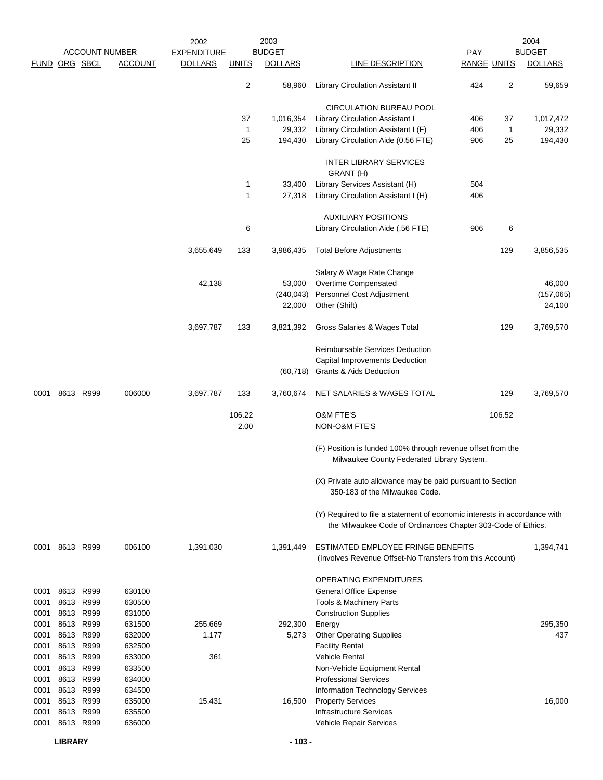|               |                |              |                       | 2002               |              | 2003           |                                                                                                                                           |                    |                | 2004           |
|---------------|----------------|--------------|-----------------------|--------------------|--------------|----------------|-------------------------------------------------------------------------------------------------------------------------------------------|--------------------|----------------|----------------|
|               |                |              | <b>ACCOUNT NUMBER</b> | <b>EXPENDITURE</b> |              | <b>BUDGET</b>  |                                                                                                                                           | PAY                |                | <b>BUDGET</b>  |
| FUND ORG SBCL |                |              | <b>ACCOUNT</b>        | <b>DOLLARS</b>     | <b>UNITS</b> | <b>DOLLARS</b> | <b>LINE DESCRIPTION</b>                                                                                                                   | <b>RANGE UNITS</b> |                | <b>DOLLARS</b> |
|               |                |              |                       |                    | 2            | 58,960         | <b>Library Circulation Assistant II</b>                                                                                                   | 424                | $\overline{2}$ | 59,659         |
|               |                |              |                       |                    |              |                | CIRCULATION BUREAU POOL                                                                                                                   |                    |                |                |
|               |                |              |                       |                    | 37           | 1,016,354      | <b>Library Circulation Assistant I</b>                                                                                                    | 406                | 37             | 1,017,472      |
|               |                |              |                       |                    | $\mathbf{1}$ | 29,332         | Library Circulation Assistant I (F)                                                                                                       | 406                | $\mathbf{1}$   | 29,332         |
|               |                |              |                       |                    | 25           | 194,430        | Library Circulation Aide (0.56 FTE)                                                                                                       | 906                | 25             | 194,430        |
|               |                |              |                       |                    |              |                | <b>INTER LIBRARY SERVICES</b><br>GRANT (H)                                                                                                |                    |                |                |
|               |                |              |                       |                    | $\mathbf{1}$ | 33,400         | Library Services Assistant (H)                                                                                                            | 504                |                |                |
|               |                |              |                       |                    | $\mathbf{1}$ | 27,318         | Library Circulation Assistant I (H)                                                                                                       | 406                |                |                |
|               |                |              |                       |                    |              |                | <b>AUXILIARY POSITIONS</b>                                                                                                                |                    |                |                |
|               |                |              |                       |                    | 6            |                | Library Circulation Aide (.56 FTE)                                                                                                        | 906                | 6              |                |
|               |                |              |                       | 3,655,649          | 133          | 3,986,435      | <b>Total Before Adjustments</b>                                                                                                           |                    | 129            | 3,856,535      |
|               |                |              |                       |                    |              |                | Salary & Wage Rate Change                                                                                                                 |                    |                |                |
|               |                |              |                       | 42,138             |              | 53,000         | Overtime Compensated                                                                                                                      |                    |                | 46,000         |
|               |                |              |                       |                    |              | (240, 043)     | Personnel Cost Adjustment                                                                                                                 |                    |                | (157,065)      |
|               |                |              |                       |                    |              | 22,000         | Other (Shift)                                                                                                                             |                    |                | 24,100         |
|               |                |              |                       | 3,697,787          | 133          | 3,821,392      | Gross Salaries & Wages Total                                                                                                              |                    | 129            | 3,769,570      |
|               |                |              |                       |                    |              |                | Reimbursable Services Deduction                                                                                                           |                    |                |                |
|               |                |              |                       |                    |              |                | <b>Capital Improvements Deduction</b>                                                                                                     |                    |                |                |
|               |                |              |                       |                    |              | (60, 718)      | <b>Grants &amp; Aids Deduction</b>                                                                                                        |                    |                |                |
| 0001          |                | 8613 R999    | 006000                | 3,697,787          | 133          | 3,760,674      | NET SALARIES & WAGES TOTAL                                                                                                                |                    | 129            | 3,769,570      |
|               |                |              |                       |                    | 106.22       |                | <b>O&amp;M FTE'S</b>                                                                                                                      |                    | 106.52         |                |
|               |                |              |                       |                    | 2.00         |                | <b>NON-O&amp;M FTE'S</b>                                                                                                                  |                    |                |                |
|               |                |              |                       |                    |              |                | (F) Position is funded 100% through revenue offset from the<br>Milwaukee County Federated Library System.                                 |                    |                |                |
|               |                |              |                       |                    |              |                | (X) Private auto allowance may be paid pursuant to Section<br>350-183 of the Milwaukee Code.                                              |                    |                |                |
|               |                |              |                       |                    |              |                | (Y) Required to file a statement of economic interests in accordance with<br>the Milwaukee Code of Ordinances Chapter 303-Code of Ethics. |                    |                |                |
|               | 0001 8613 R999 |              | 006100                | 1,391,030          |              | 1,391,449      | ESTIMATED EMPLOYEE FRINGE BENEFITS                                                                                                        |                    |                | 1,394,741      |
|               |                |              |                       |                    |              |                | (Involves Revenue Offset-No Transfers from this Account)                                                                                  |                    |                |                |
|               |                |              |                       |                    |              |                | <b>OPERATING EXPENDITURES</b>                                                                                                             |                    |                |                |
| 0001          |                | 8613 R999    | 630100                |                    |              |                | <b>General Office Expense</b>                                                                                                             |                    |                |                |
| 0001          |                | 8613 R999    | 630500                |                    |              |                | <b>Tools &amp; Machinery Parts</b>                                                                                                        |                    |                |                |
| 0001          |                | 8613 R999    | 631000                |                    |              |                | <b>Construction Supplies</b>                                                                                                              |                    |                |                |
| 0001          | 8613<br>8613   | R999<br>R999 | 631500<br>632000      | 255,669            |              | 292,300        | Energy                                                                                                                                    |                    |                | 295,350<br>437 |
| 0001<br>0001  |                | 8613 R999    | 632500                | 1,177              |              | 5,273          | <b>Other Operating Supplies</b><br><b>Facility Rental</b>                                                                                 |                    |                |                |
| 0001          |                | 8613 R999    | 633000                | 361                |              |                | <b>Vehicle Rental</b>                                                                                                                     |                    |                |                |
| 0001          |                | 8613 R999    | 633500                |                    |              |                | Non-Vehicle Equipment Rental                                                                                                              |                    |                |                |
| 0001          | 8613           | R999         | 634000                |                    |              |                | <b>Professional Services</b>                                                                                                              |                    |                |                |
| 0001          |                | 8613 R999    | 634500                |                    |              |                | Information Technology Services                                                                                                           |                    |                |                |
| 0001          | 8613           | R999         | 635000                | 15,431             |              | 16,500         | <b>Property Services</b>                                                                                                                  |                    |                | 16,000         |
| 0001          | 8613           | R999         | 635500                |                    |              |                | <b>Infrastructure Services</b>                                                                                                            |                    |                |                |
| 0001          |                | 8613 R999    | 636000                |                    |              |                | Vehicle Repair Services                                                                                                                   |                    |                |                |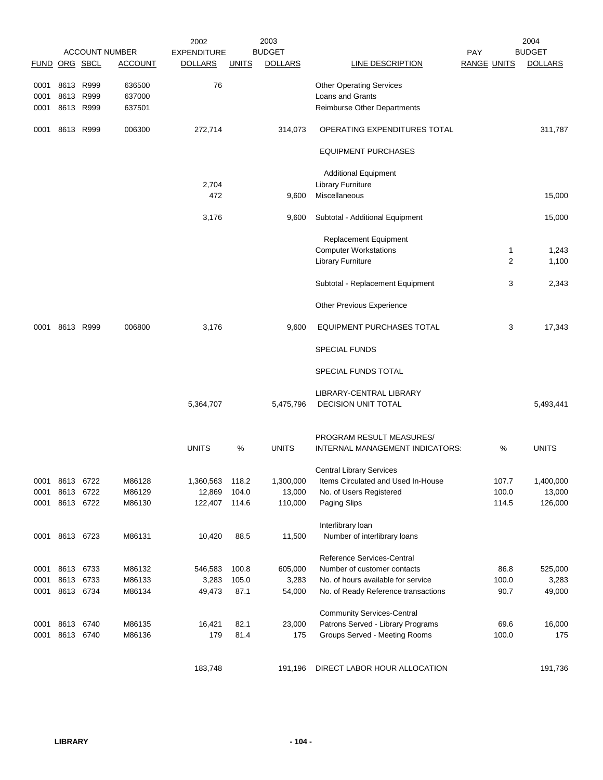| FUND ORG SBCL |                |      | <b>ACCOUNT NUMBER</b><br><b>ACCOUNT</b> | 2002<br><b>EXPENDITURE</b><br><b>DOLLARS</b> | <b>UNITS</b> | 2003<br><b>BUDGET</b><br><b>DOLLARS</b> | <b>LINE DESCRIPTION</b>             | <b>PAY</b><br><b>RANGE UNITS</b> |       | 2004<br><b>BUDGET</b><br><b>DOLLARS</b> |
|---------------|----------------|------|-----------------------------------------|----------------------------------------------|--------------|-----------------------------------------|-------------------------------------|----------------------------------|-------|-----------------------------------------|
| 0001          | 8613 R999      |      | 636500                                  | 76                                           |              |                                         | <b>Other Operating Services</b>     |                                  |       |                                         |
| 0001          | 8613 R999      |      | 637000                                  |                                              |              |                                         | <b>Loans and Grants</b>             |                                  |       |                                         |
| 0001          | 8613 R999      |      | 637501                                  |                                              |              |                                         | Reimburse Other Departments         |                                  |       |                                         |
| 0001          | 8613 R999      |      | 006300                                  | 272,714                                      |              | 314,073                                 | OPERATING EXPENDITURES TOTAL        |                                  |       | 311,787                                 |
|               |                |      |                                         |                                              |              |                                         | <b>EQUIPMENT PURCHASES</b>          |                                  |       |                                         |
|               |                |      |                                         |                                              |              |                                         | <b>Additional Equipment</b>         |                                  |       |                                         |
|               |                |      |                                         | 2,704                                        |              |                                         | <b>Library Furniture</b>            |                                  |       |                                         |
|               |                |      |                                         | 472                                          |              | 9,600                                   | Miscellaneous                       |                                  |       | 15,000                                  |
|               |                |      |                                         | 3,176                                        |              | 9,600                                   | Subtotal - Additional Equipment     |                                  |       | 15,000                                  |
|               |                |      |                                         |                                              |              |                                         | <b>Replacement Equipment</b>        |                                  |       |                                         |
|               |                |      |                                         |                                              |              |                                         | <b>Computer Workstations</b>        |                                  | 1     | 1,243                                   |
|               |                |      |                                         |                                              |              |                                         | <b>Library Furniture</b>            |                                  | 2     | 1,100                                   |
|               |                |      |                                         |                                              |              |                                         | Subtotal - Replacement Equipment    |                                  | 3     | 2,343                                   |
|               |                |      |                                         |                                              |              |                                         | Other Previous Experience           |                                  |       |                                         |
| 0001          | 8613 R999      |      | 006800                                  | 3,176                                        |              | 9,600                                   | EQUIPMENT PURCHASES TOTAL           |                                  | 3     | 17,343                                  |
|               |                |      |                                         |                                              |              |                                         | <b>SPECIAL FUNDS</b>                |                                  |       |                                         |
|               |                |      |                                         |                                              |              |                                         | SPECIAL FUNDS TOTAL                 |                                  |       |                                         |
|               |                |      |                                         |                                              |              |                                         | LIBRARY-CENTRAL LIBRARY             |                                  |       |                                         |
|               |                |      |                                         | 5,364,707                                    |              | 5,475,796                               | DECISION UNIT TOTAL                 |                                  |       | 5,493,441                               |
|               |                |      |                                         |                                              |              |                                         | PROGRAM RESULT MEASURES/            |                                  |       |                                         |
|               |                |      |                                         | <b>UNITS</b>                                 | ℅            | <b>UNITS</b>                            | INTERNAL MANAGEMENT INDICATORS:     |                                  | %     | <b>UNITS</b>                            |
|               |                |      |                                         |                                              |              |                                         | <b>Central Library Services</b>     |                                  |       |                                         |
| 0001          | 8613           | 6722 | M86128                                  | 1,360,563                                    | 118.2        | 1,300,000                               | Items Circulated and Used In-House  |                                  | 107.7 | 1,400,000                               |
| 0001          | 8613           | 6722 | M86129                                  | 12,869                                       | 104.0        | 13,000                                  | No. of Users Registered             |                                  | 100.0 | 13,000                                  |
| 0001          | 8613 6722      |      | M86130                                  | 122,407                                      | 114.6        | 110,000                                 | Paging Slips                        |                                  | 114.5 | 126,000                                 |
|               |                |      |                                         |                                              |              |                                         | Interlibrary loan                   |                                  |       |                                         |
|               | 0001 8613 6723 |      | M86131                                  | 10,420                                       | 88.5         | 11,500                                  | Number of interlibrary loans        |                                  |       |                                         |
|               |                |      |                                         |                                              |              |                                         | Reference Services-Central          |                                  |       |                                         |
| 0001          | 8613 6733      |      | M86132                                  | 546,583                                      | 100.8        | 605,000                                 | Number of customer contacts         |                                  | 86.8  | 525,000                                 |
| 0001          | 8613           | 6733 | M86133                                  | 3,283                                        | 105.0        | 3,283                                   | No. of hours available for service  |                                  | 100.0 | 3,283                                   |
| 0001          | 8613 6734      |      | M86134                                  | 49,473                                       | 87.1         | 54,000                                  | No. of Ready Reference transactions |                                  | 90.7  | 49,000                                  |
|               |                |      |                                         |                                              |              |                                         | <b>Community Services-Central</b>   |                                  |       |                                         |
| 0001          | 8613           | 6740 | M86135                                  | 16,421                                       | 82.1         | 23,000                                  | Patrons Served - Library Programs   |                                  | 69.6  | 16,000                                  |
| 0001          | 8613 6740      |      | M86136                                  | 179                                          | 81.4         | 175                                     | Groups Served - Meeting Rooms       |                                  | 100.0 | 175                                     |
|               |                |      |                                         | 183,748                                      |              | 191,196                                 | DIRECT LABOR HOUR ALLOCATION        |                                  |       | 191,736                                 |
|               |                |      |                                         |                                              |              |                                         |                                     |                                  |       |                                         |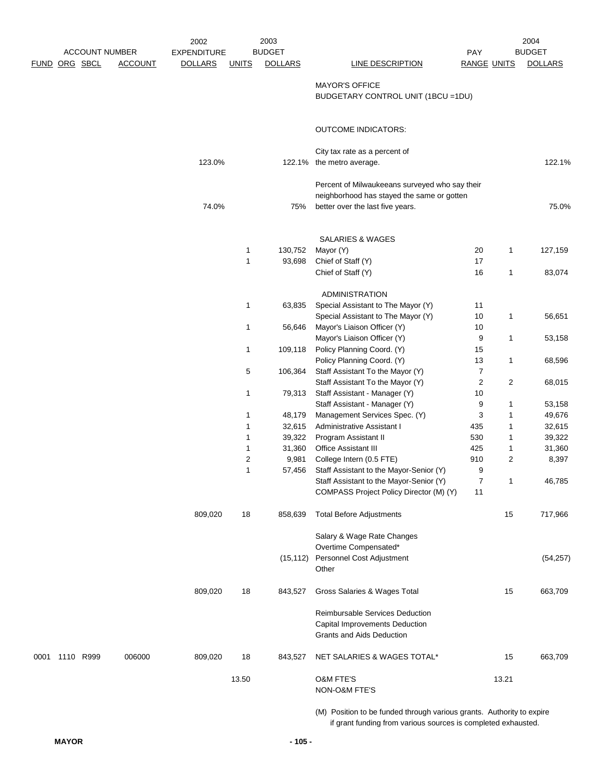|      |                      |                       | 2002               |              | 2003           |                                                                       |                    |                | 2004           |
|------|----------------------|-----------------------|--------------------|--------------|----------------|-----------------------------------------------------------------------|--------------------|----------------|----------------|
|      |                      | <b>ACCOUNT NUMBER</b> | <b>EXPENDITURE</b> |              | <b>BUDGET</b>  |                                                                       | <b>PAY</b>         |                | <b>BUDGET</b>  |
|      | <u>FUND ORG SBCL</u> | <b>ACCOUNT</b>        | <b>DOLLARS</b>     | <b>UNITS</b> | <b>DOLLARS</b> | <b>LINE DESCRIPTION</b>                                               | <b>RANGE UNITS</b> |                | <b>DOLLARS</b> |
|      |                      |                       |                    |              |                |                                                                       |                    |                |                |
|      |                      |                       |                    |              |                | <b>MAYOR'S OFFICE</b>                                                 |                    |                |                |
|      |                      |                       |                    |              |                | BUDGETARY CONTROL UNIT (1BCU = 1DU)                                   |                    |                |                |
|      |                      |                       |                    |              |                | <b>OUTCOME INDICATORS:</b>                                            |                    |                |                |
|      |                      |                       |                    |              |                |                                                                       |                    |                |                |
|      |                      |                       |                    |              |                | City tax rate as a percent of                                         |                    |                |                |
|      |                      |                       | 123.0%             |              |                | 122.1% the metro average.                                             |                    |                | 122.1%         |
|      |                      |                       |                    |              |                | Percent of Milwaukeeans surveyed who say their                        |                    |                |                |
|      |                      |                       |                    |              |                | neighborhood has stayed the same or gotten                            |                    |                |                |
|      |                      |                       | 74.0%              |              | 75%            | better over the last five years.                                      |                    |                | 75.0%          |
|      |                      |                       |                    |              |                |                                                                       |                    |                |                |
|      |                      |                       |                    |              |                | SALARIES & WAGES                                                      |                    |                |                |
|      |                      |                       |                    | 1            | 130,752        | Mayor (Y)                                                             | 20                 | $\mathbf{1}$   | 127,159        |
|      |                      |                       |                    | 1            | 93,698         | Chief of Staff (Y)                                                    | 17                 |                |                |
|      |                      |                       |                    |              |                | Chief of Staff (Y)                                                    | 16                 | 1              | 83,074         |
|      |                      |                       |                    |              |                |                                                                       |                    |                |                |
|      |                      |                       |                    |              |                | <b>ADMINISTRATION</b>                                                 |                    |                |                |
|      |                      |                       |                    | 1            | 63,835         | Special Assistant to The Mayor (Y)                                    | 11                 |                |                |
|      |                      |                       |                    |              |                | Special Assistant to The Mayor (Y)                                    | $10$               | 1              | 56,651         |
|      |                      |                       |                    | 1            | 56,646         | Mayor's Liaison Officer (Y)                                           | 10                 |                |                |
|      |                      |                       |                    |              |                | Mayor's Liaison Officer (Y)                                           | 9                  | $\mathbf{1}$   | 53,158         |
|      |                      |                       |                    | 1            | 109,118        | Policy Planning Coord. (Y)                                            | 15                 |                |                |
|      |                      |                       |                    |              |                | Policy Planning Coord. (Y)                                            | 13                 | $\mathbf{1}$   | 68,596         |
|      |                      |                       |                    | 5            | 106,364        | Staff Assistant To the Mayor (Y)                                      | $\overline{7}$     |                |                |
|      |                      |                       |                    |              |                | Staff Assistant To the Mayor (Y)                                      | $\overline{c}$     | $\overline{c}$ | 68,015         |
|      |                      |                       |                    | 1            | 79,313         | Staff Assistant - Manager (Y)                                         | $10$               |                |                |
|      |                      |                       |                    |              |                | Staff Assistant - Manager (Y)                                         | 9                  | 1              | 53,158         |
|      |                      |                       |                    | 1            | 48,179         | Management Services Spec. (Y)                                         | 3                  | 1              | 49,676         |
|      |                      |                       |                    | 1            | 32,615         | Administrative Assistant I                                            | 435                | 1              | 32,615         |
|      |                      |                       |                    | 1            | 39,322         | Program Assistant II                                                  | 530                | 1              | 39,322         |
|      |                      |                       |                    | 1            | 31,360         | <b>Office Assistant III</b>                                           | 425                | 1              | 31,360         |
|      |                      |                       |                    | 2            | 9,981          | College Intern (0.5 FTE)                                              | 910                | 2              | 8,397          |
|      |                      |                       |                    | 1            | 57,456         | Staff Assistant to the Mayor-Senior (Y)                               | 9                  |                |                |
|      |                      |                       |                    |              |                | Staff Assistant to the Mayor-Senior (Y)                               | 7                  | 1              | 46,785         |
|      |                      |                       |                    |              |                | COMPASS Project Policy Director (M) (Y)                               | 11                 |                |                |
|      |                      |                       | 809,020            | 18           | 858,639        | <b>Total Before Adjustments</b>                                       |                    | 15             | 717,966        |
|      |                      |                       |                    |              |                | Salary & Wage Rate Changes                                            |                    |                |                |
|      |                      |                       |                    |              |                | Overtime Compensated*                                                 |                    |                |                |
|      |                      |                       |                    |              | (15, 112)      | Personnel Cost Adjustment                                             |                    |                | (54, 257)      |
|      |                      |                       |                    |              |                | Other                                                                 |                    |                |                |
|      |                      |                       |                    |              |                |                                                                       |                    |                |                |
|      |                      |                       | 809,020            | 18           | 843,527        | Gross Salaries & Wages Total                                          |                    | 15             | 663,709        |
|      |                      |                       |                    |              |                | Reimbursable Services Deduction                                       |                    |                |                |
|      |                      |                       |                    |              |                | Capital Improvements Deduction                                        |                    |                |                |
|      |                      |                       |                    |              |                | Grants and Aids Deduction                                             |                    |                |                |
| 0001 | 1110 R999            | 006000                | 809,020            | 18           | 843,527        | NET SALARIES & WAGES TOTAL*                                           |                    | 15             | 663,709        |
|      |                      |                       |                    | 13.50        |                | O&M FTE'S                                                             |                    | 13.21          |                |
|      |                      |                       |                    |              |                | NON-O&M FTE'S                                                         |                    |                |                |
|      |                      |                       |                    |              |                |                                                                       |                    |                |                |
|      |                      |                       |                    |              |                | (M) Position to be funded through various grants. Authority to expire |                    |                |                |
|      |                      |                       |                    |              |                | if grant funding from various sources is completed exhausted.         |                    |                |                |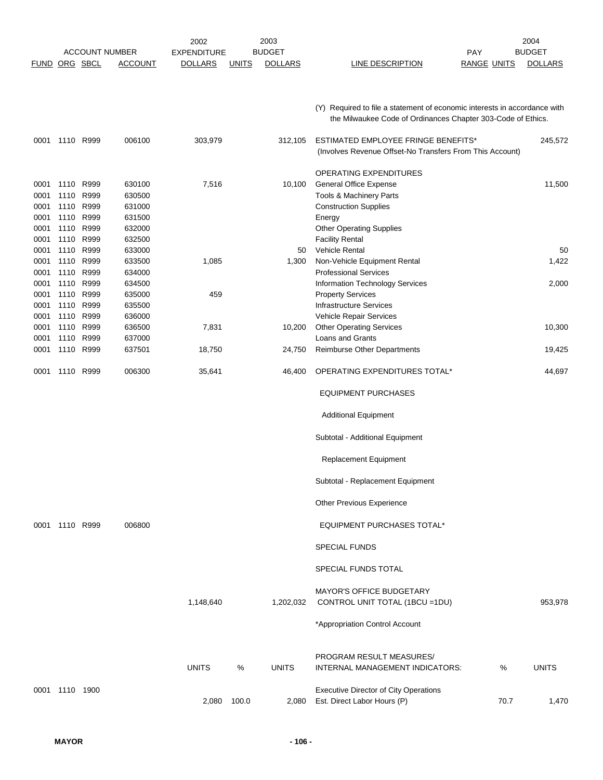| <b>FUND</b>                  | ORG SBCL                          | <b>ACCOUNT NUMBER</b> | <b>ACCOUNT</b>                       | 2002<br><b>EXPENDITURE</b><br><b>DOLLARS</b> | <b>UNITS</b> | 2003<br><b>BUDGET</b><br><b>DOLLARS</b> | <b>LINE DESCRIPTION</b>                                                                                                                   | <b>PAY</b><br><b>RANGE UNITS</b> | 2004<br><b>BUDGET</b><br><b>DOLLARS</b> |
|------------------------------|-----------------------------------|-----------------------|--------------------------------------|----------------------------------------------|--------------|-----------------------------------------|-------------------------------------------------------------------------------------------------------------------------------------------|----------------------------------|-----------------------------------------|
|                              |                                   |                       |                                      |                                              |              |                                         | (Y) Required to file a statement of economic interests in accordance with<br>the Milwaukee Code of Ordinances Chapter 303-Code of Ethics. |                                  |                                         |
| 0001                         | 1110 R999                         |                       | 006100                               | 303,979                                      |              | 312,105                                 | <b>ESTIMATED EMPLOYEE FRINGE BENEFITS*</b><br>(Involves Revenue Offset-No Transfers From This Account)                                    |                                  | 245,572                                 |
| 0001<br>0001<br>0001<br>0001 | 1110<br>1110<br>1110 R999<br>1110 | R999<br>R999<br>R999  | 630100<br>630500<br>631000<br>631500 | 7,516                                        |              | 10,100                                  | OPERATING EXPENDITURES<br><b>General Office Expense</b><br>Tools & Machinery Parts<br><b>Construction Supplies</b><br>Energy              |                                  | 11,500                                  |
| 0001<br>0001                 | 1110 R999<br>1110                 | R999                  | 632000<br>632500                     |                                              |              |                                         | <b>Other Operating Supplies</b><br><b>Facility Rental</b>                                                                                 |                                  |                                         |
| 0001<br>0001<br>0001         | 1110<br>1110<br>1110              | R999<br>R999<br>R999  | 633000<br>633500<br>634000           | 1,085                                        |              | 50<br>1,300                             | Vehicle Rental<br>Non-Vehicle Equipment Rental<br><b>Professional Services</b>                                                            |                                  | 50<br>1,422                             |
| 0001<br>0001<br>0001         | 1110<br>1110 R999<br>1110 R999    | R999                  | 634500<br>635000<br>635500           | 459                                          |              |                                         | Information Technology Services<br><b>Property Services</b><br><b>Infrastructure Services</b>                                             |                                  | 2,000                                   |
| 0001<br>0001                 | 1110<br>1110                      | R999<br>R999<br>R999  | 636000<br>636500<br>637000           | 7,831                                        |              | 10,200                                  | Vehicle Repair Services<br><b>Other Operating Services</b><br>Loans and Grants                                                            |                                  | 10,300                                  |
| 0001<br>0001                 | 1110<br>1110                      | R999                  | 637501                               | 18,750                                       |              | 24,750                                  | <b>Reimburse Other Departments</b>                                                                                                        |                                  | 19,425                                  |
| 0001                         | 1110 R999                         |                       | 006300                               | 35,641                                       |              | 46,400                                  | OPERATING EXPENDITURES TOTAL*                                                                                                             |                                  | 44,697                                  |
|                              |                                   |                       |                                      |                                              |              |                                         | <b>EQUIPMENT PURCHASES</b>                                                                                                                |                                  |                                         |
|                              |                                   |                       |                                      |                                              |              |                                         | <b>Additional Equipment</b>                                                                                                               |                                  |                                         |
|                              |                                   |                       |                                      |                                              |              |                                         | Subtotal - Additional Equipment                                                                                                           |                                  |                                         |
|                              |                                   |                       |                                      |                                              |              |                                         | Replacement Equipment                                                                                                                     |                                  |                                         |
|                              |                                   |                       |                                      |                                              |              |                                         | Subtotal - Replacement Equipment                                                                                                          |                                  |                                         |
|                              |                                   |                       |                                      |                                              |              |                                         | Other Previous Experience                                                                                                                 |                                  |                                         |
|                              | 0001 1110 R999                    |                       | 006800                               |                                              |              |                                         | EQUIPMENT PURCHASES TOTAL*                                                                                                                |                                  |                                         |
|                              |                                   |                       |                                      |                                              |              |                                         | <b>SPECIAL FUNDS</b>                                                                                                                      |                                  |                                         |
|                              |                                   |                       |                                      |                                              |              |                                         | SPECIAL FUNDS TOTAL                                                                                                                       |                                  |                                         |
|                              |                                   |                       |                                      | 1,148,640                                    |              | 1,202,032                               | <b>MAYOR'S OFFICE BUDGETARY</b><br>CONTROL UNIT TOTAL (1BCU = 1DU)                                                                        |                                  | 953,978                                 |
|                              |                                   |                       |                                      |                                              |              |                                         | *Appropriation Control Account                                                                                                            |                                  |                                         |
|                              |                                   |                       |                                      | <b>UNITS</b>                                 | %            | <b>UNITS</b>                            | PROGRAM RESULT MEASURES/<br>INTERNAL MANAGEMENT INDICATORS:                                                                               | %                                | <b>UNITS</b>                            |
|                              | 0001 1110 1900                    |                       |                                      | 2,080                                        | 100.0        | 2,080                                   | <b>Executive Director of City Operations</b><br>Est. Direct Labor Hours (P)                                                               | 70.7                             | 1,470                                   |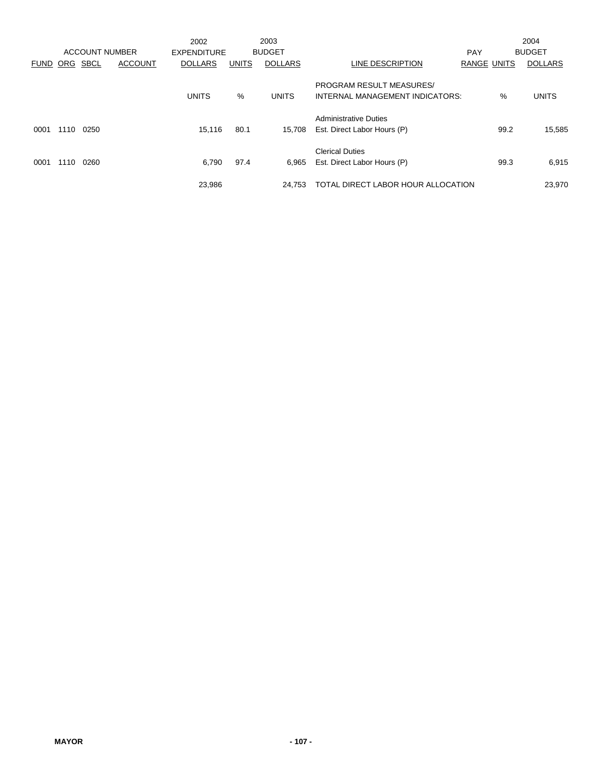|             |      | <b>ACCOUNT NUMBER</b> |                | 2002<br><b>EXPENDITURE</b> |              | 2003<br><b>BUDGET</b> |                                                                    | <b>PAY</b>         |      | 2004<br><b>BUDGET</b> |
|-------------|------|-----------------------|----------------|----------------------------|--------------|-----------------------|--------------------------------------------------------------------|--------------------|------|-----------------------|
| <b>FUND</b> | ORG  | <b>SBCL</b>           | <b>ACCOUNT</b> | <b>DOLLARS</b>             | <b>UNITS</b> | <b>DOLLARS</b>        | LINE DESCRIPTION                                                   | <b>RANGE UNITS</b> |      | <b>DOLLARS</b>        |
|             |      |                       |                | <b>UNITS</b>               | $\%$         | <b>UNITS</b>          | <b>PROGRAM RESULT MEASURES/</b><br>INTERNAL MANAGEMENT INDICATORS: |                    | $\%$ | <b>UNITS</b>          |
| 0001        | 1110 | 0250                  |                | 15,116                     | 80.1         | 15.708                | <b>Administrative Duties</b><br>Est. Direct Labor Hours (P)        |                    | 99.2 | 15,585                |
| 0001        | 1110 | 0260                  |                | 6,790                      | 97.4         | 6,965                 | <b>Clerical Duties</b><br>Est. Direct Labor Hours (P)              |                    | 99.3 | 6,915                 |
|             |      |                       |                | 23,986                     |              | 24.753                | TOTAL DIRECT LABOR HOUR ALLOCATION                                 |                    |      | 23,970                |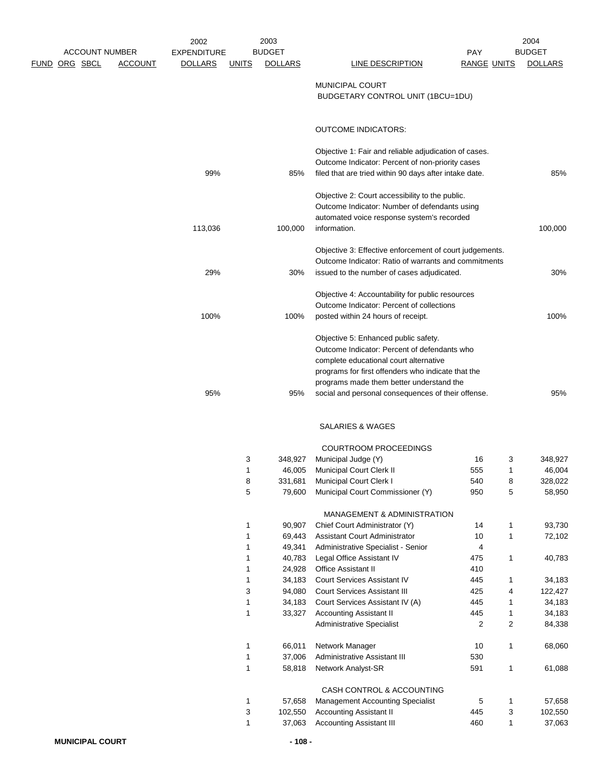|                                                                 | 2002                                 |              | 2003                            |                                                                   |                           |                   | 2004                            |
|-----------------------------------------------------------------|--------------------------------------|--------------|---------------------------------|-------------------------------------------------------------------|---------------------------|-------------------|---------------------------------|
| <b>ACCOUNT NUMBER</b><br><u>FUND ORG SBCL</u><br><b>ACCOUNT</b> | <b>EXPENDITURE</b><br><b>DOLLARS</b> |              | <b>BUDGET</b><br><b>DOLLARS</b> | LINE DESCRIPTION                                                  | <b>PAY</b><br>RANGE UNITS |                   | <b>BUDGET</b><br><b>DOLLARS</b> |
|                                                                 |                                      | <u>UNITS</u> |                                 |                                                                   |                           |                   |                                 |
|                                                                 |                                      |              |                                 | MUNICIPAL COURT                                                   |                           |                   |                                 |
|                                                                 |                                      |              |                                 | BUDGETARY CONTROL UNIT (1BCU=1DU)                                 |                           |                   |                                 |
|                                                                 |                                      |              |                                 |                                                                   |                           |                   |                                 |
|                                                                 |                                      |              |                                 | <b>OUTCOME INDICATORS:</b>                                        |                           |                   |                                 |
|                                                                 |                                      |              |                                 | Objective 1: Fair and reliable adjudication of cases.             |                           |                   |                                 |
|                                                                 |                                      |              |                                 | Outcome Indicator: Percent of non-priority cases                  |                           |                   |                                 |
|                                                                 | 99%                                  |              | 85%                             | filed that are tried within 90 days after intake date.            |                           |                   | 85%                             |
|                                                                 |                                      |              |                                 | Objective 2: Court accessibility to the public.                   |                           |                   |                                 |
|                                                                 |                                      |              |                                 | Outcome Indicator: Number of defendants using                     |                           |                   |                                 |
|                                                                 |                                      |              |                                 | automated voice response system's recorded                        |                           |                   |                                 |
|                                                                 | 113,036                              |              | 100,000                         | information.                                                      |                           |                   | 100,000                         |
|                                                                 |                                      |              |                                 | Objective 3: Effective enforcement of court judgements.           |                           |                   |                                 |
|                                                                 |                                      |              |                                 | Outcome Indicator: Ratio of warrants and commitments              |                           |                   |                                 |
|                                                                 | 29%                                  |              | 30%                             | issued to the number of cases adjudicated.                        |                           |                   | 30%                             |
|                                                                 |                                      |              |                                 | Objective 4: Accountability for public resources                  |                           |                   |                                 |
|                                                                 |                                      |              |                                 | Outcome Indicator: Percent of collections                         |                           |                   |                                 |
|                                                                 | 100%                                 |              | 100%                            | posted within 24 hours of receipt.                                |                           |                   | 100%                            |
|                                                                 |                                      |              |                                 | Objective 5: Enhanced public safety.                              |                           |                   |                                 |
|                                                                 |                                      |              |                                 | Outcome Indicator: Percent of defendants who                      |                           |                   |                                 |
|                                                                 |                                      |              |                                 | complete educational court alternative                            |                           |                   |                                 |
|                                                                 |                                      |              |                                 | programs for first offenders who indicate that the                |                           |                   |                                 |
|                                                                 | 95%                                  |              |                                 | programs made them better understand the                          |                           |                   | 95%                             |
|                                                                 |                                      |              | 95%                             | social and personal consequences of their offense.                |                           |                   |                                 |
|                                                                 |                                      |              |                                 | <b>SALARIES &amp; WAGES</b>                                       |                           |                   |                                 |
|                                                                 |                                      |              |                                 | <b>COURTROOM PROCEEDINGS</b>                                      |                           |                   |                                 |
|                                                                 |                                      | 3            | 348,927                         | Municipal Judge (Y)                                               | 16                        | 3                 | 348,927                         |
|                                                                 |                                      | 1            | 46,005                          | <b>Municipal Court Clerk II</b>                                   | 555                       | 1                 | 46,004                          |
|                                                                 |                                      | 8<br>5       | 331,681                         | Municipal Court Clerk I                                           | 540<br>950                | 8                 | 328,022<br>58,950               |
|                                                                 |                                      |              | 79,600                          | Municipal Court Commissioner (Y)                                  |                           | 5                 |                                 |
|                                                                 |                                      |              |                                 | MANAGEMENT & ADMINISTRATION                                       |                           |                   |                                 |
|                                                                 |                                      | 1            | 90,907                          | Chief Court Administrator (Y)                                     | 14                        | 1                 | 93,730                          |
|                                                                 |                                      | 1<br>1       | 69,443                          | <b>Assistant Court Administrator</b>                              | 10                        | 1                 | 72,102                          |
|                                                                 |                                      | 1            | 49,341<br>40,783                | Administrative Specialist - Senior<br>Legal Office Assistant IV   | 4<br>475                  | $\mathbf{1}$      | 40,783                          |
|                                                                 |                                      | 1            | 24,928                          | Office Assistant II                                               | 410                       |                   |                                 |
|                                                                 |                                      | 1            | 34,183                          | <b>Court Services Assistant IV</b>                                | 445                       | 1                 | 34,183                          |
|                                                                 |                                      | 3            | 94,080                          | <b>Court Services Assistant III</b>                               | 425                       | 4                 | 122,427                         |
|                                                                 |                                      | 1<br>1       | 34,183<br>33,327                | Court Services Assistant IV (A)<br><b>Accounting Assistant II</b> | 445<br>445                | 1<br>1            | 34,183<br>34,183                |
|                                                                 |                                      |              |                                 | <b>Administrative Specialist</b>                                  | 2                         | $\overline{c}$    | 84,338                          |
|                                                                 |                                      |              |                                 |                                                                   |                           |                   |                                 |
|                                                                 |                                      | 1<br>1       | 66,011<br>37,006                | Network Manager<br>Administrative Assistant III                   | 10<br>530                 | 1                 | 68,060                          |
|                                                                 |                                      | 1            | 58,818                          | Network Analyst-SR                                                | 591                       | $\mathbf{1}$      | 61,088                          |
|                                                                 |                                      |              |                                 |                                                                   |                           |                   |                                 |
|                                                                 |                                      |              |                                 | CASH CONTROL & ACCOUNTING                                         |                           |                   |                                 |
|                                                                 |                                      | 1            | 57,658                          | <b>Management Accounting Specialist</b>                           | 5                         | $\mathbf{1}$      | 57,658                          |
|                                                                 |                                      | 3<br>1       | 102,550<br>37,063               | <b>Accounting Assistant II</b><br><b>Accounting Assistant III</b> | 445<br>460                | 3<br>$\mathbf{1}$ | 102,550<br>37,063               |
|                                                                 |                                      |              |                                 |                                                                   |                           |                   |                                 |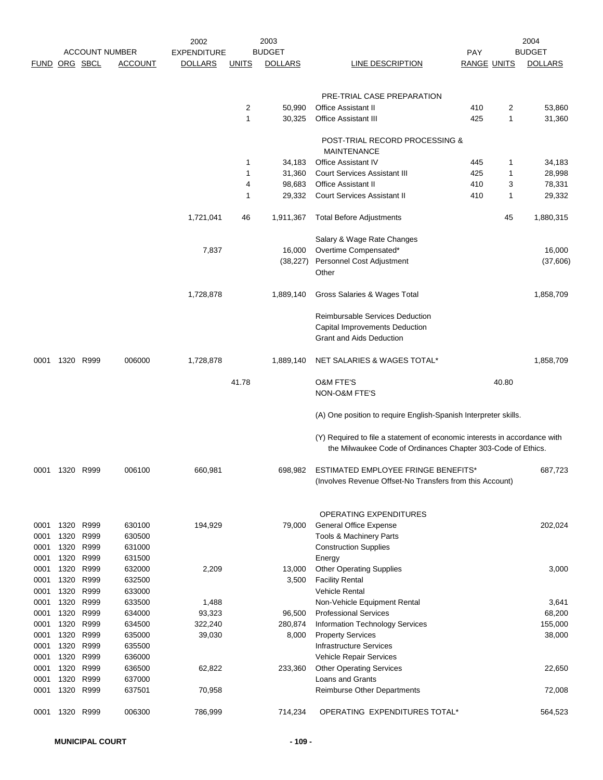|               |              |              | <b>ACCOUNT NUMBER</b> | 2002<br><b>EXPENDITURE</b> |                | 2003<br><b>BUDGET</b> |                                                                                                                                           | <b>PAY</b>         |                | 2004<br><b>BUDGET</b> |
|---------------|--------------|--------------|-----------------------|----------------------------|----------------|-----------------------|-------------------------------------------------------------------------------------------------------------------------------------------|--------------------|----------------|-----------------------|
| FUND ORG SBCL |              |              | <b>ACCOUNT</b>        | <b>DOLLARS</b>             | <b>UNITS</b>   | <b>DOLLARS</b>        | LINE DESCRIPTION                                                                                                                          | <b>RANGE UNITS</b> |                | <b>DOLLARS</b>        |
|               |              |              |                       |                            |                |                       |                                                                                                                                           |                    |                |                       |
|               |              |              |                       |                            |                |                       | PRE-TRIAL CASE PREPARATION                                                                                                                |                    |                |                       |
|               |              |              |                       |                            | $\overline{2}$ | 50,990                | <b>Office Assistant II</b>                                                                                                                | 410                | $\overline{2}$ | 53,860                |
|               |              |              |                       |                            | 1              | 30,325                | <b>Office Assistant III</b>                                                                                                               | 425                | 1              | 31,360                |
|               |              |              |                       |                            |                |                       |                                                                                                                                           |                    |                |                       |
|               |              |              |                       |                            |                |                       | POST-TRIAL RECORD PROCESSING &                                                                                                            |                    |                |                       |
|               |              |              |                       |                            | 1              | 34,183                | <b>MAINTENANCE</b><br><b>Office Assistant IV</b>                                                                                          | 445                | 1              | 34,183                |
|               |              |              |                       |                            | $\mathbf{1}$   | 31,360                | <b>Court Services Assistant III</b>                                                                                                       | 425                | 1              | 28,998                |
|               |              |              |                       |                            | 4              | 98,683                | <b>Office Assistant II</b>                                                                                                                | 410                | 3              | 78,331                |
|               |              |              |                       |                            | $\mathbf 1$    | 29,332                | <b>Court Services Assistant II</b>                                                                                                        | 410                | 1              | 29,332                |
|               |              |              |                       | 1,721,041                  | 46             | 1,911,367             | <b>Total Before Adjustments</b>                                                                                                           |                    | 45             | 1,880,315             |
|               |              |              |                       |                            |                |                       |                                                                                                                                           |                    |                |                       |
|               |              |              |                       |                            |                |                       | Salary & Wage Rate Changes                                                                                                                |                    |                |                       |
|               |              |              |                       | 7,837                      |                | 16,000                | Overtime Compensated*                                                                                                                     |                    |                | 16,000                |
|               |              |              |                       |                            |                | (38, 227)             | Personnel Cost Adjustment<br>Other                                                                                                        |                    |                | (37,606)              |
|               |              |              |                       |                            |                |                       |                                                                                                                                           |                    |                |                       |
|               |              |              |                       | 1,728,878                  |                | 1,889,140             | Gross Salaries & Wages Total                                                                                                              |                    |                | 1,858,709             |
|               |              |              |                       |                            |                |                       | <b>Reimbursable Services Deduction</b>                                                                                                    |                    |                |                       |
|               |              |              |                       |                            |                |                       | Capital Improvements Deduction                                                                                                            |                    |                |                       |
|               |              |              |                       |                            |                |                       | <b>Grant and Aids Deduction</b>                                                                                                           |                    |                |                       |
| 0001          | 1320 R999    |              | 006000                | 1,728,878                  |                | 1,889,140             | NET SALARIES & WAGES TOTAL*                                                                                                               |                    |                | 1,858,709             |
|               |              |              |                       |                            |                |                       |                                                                                                                                           |                    |                |                       |
|               |              |              |                       |                            | 41.78          |                       | <b>O&amp;M FTE'S</b><br>NON-O&M FTE'S                                                                                                     |                    | 40.80          |                       |
|               |              |              |                       |                            |                |                       |                                                                                                                                           |                    |                |                       |
|               |              |              |                       |                            |                |                       | (A) One position to require English-Spanish Interpreter skills.                                                                           |                    |                |                       |
|               |              |              |                       |                            |                |                       | (Y) Required to file a statement of economic interests in accordance with<br>the Milwaukee Code of Ordinances Chapter 303-Code of Ethics. |                    |                |                       |
| 0001          | 1320         | R999         | 006100                | 660,981                    |                | 698,982               | ESTIMATED EMPLOYEE FRINGE BENEFITS*                                                                                                       |                    |                | 687.723               |
|               |              |              |                       |                            |                |                       | (Involves Revenue Offset-No Transfers from this Account)                                                                                  |                    |                |                       |
|               |              |              |                       |                            |                |                       |                                                                                                                                           |                    |                |                       |
|               |              |              |                       |                            |                |                       |                                                                                                                                           |                    |                |                       |
| 0001          | 1320         | R999         | 630100                |                            |                |                       | OPERATING EXPENDITURES<br><b>General Office Expense</b>                                                                                   |                    |                | 202,024               |
| 0001          | 1320         | R999         | 630500                | 194,929                    |                | 79,000                | <b>Tools &amp; Machinery Parts</b>                                                                                                        |                    |                |                       |
| 0001          | 1320         | R999         | 631000                |                            |                |                       | <b>Construction Supplies</b>                                                                                                              |                    |                |                       |
| 0001          | 1320         | R999         | 631500                |                            |                |                       | Energy                                                                                                                                    |                    |                |                       |
| 0001          | 1320         | R999         | 632000                | 2,209                      |                | 13,000                | <b>Other Operating Supplies</b>                                                                                                           |                    |                | 3,000                 |
| 0001          | 1320         | R999         | 632500                |                            |                | 3,500                 | <b>Facility Rental</b>                                                                                                                    |                    |                |                       |
| 0001          | 1320         | R999         | 633000                |                            |                |                       | <b>Vehicle Rental</b>                                                                                                                     |                    |                |                       |
| 0001          | 1320         | R999         | 633500                | 1,488                      |                |                       | Non-Vehicle Equipment Rental                                                                                                              |                    |                | 3,641                 |
| 0001          | 1320         | R999         | 634000                | 93,323                     |                | 96,500                | <b>Professional Services</b>                                                                                                              |                    |                | 68,200                |
| 0001<br>0001  | 1320<br>1320 | R999<br>R999 | 634500<br>635000      | 322,240<br>39,030          |                | 280,874<br>8,000      | Information Technology Services<br><b>Property Services</b>                                                                               |                    |                | 155,000<br>38,000     |
| 0001          | 1320         | R999         | 635500                |                            |                |                       | <b>Infrastructure Services</b>                                                                                                            |                    |                |                       |
| 0001          | 1320         | R999         | 636000                |                            |                |                       | Vehicle Repair Services                                                                                                                   |                    |                |                       |
| 0001          | 1320         | R999         | 636500                | 62,822                     |                | 233,360               | <b>Other Operating Services</b>                                                                                                           |                    |                | 22,650                |
| 0001          | 1320         | R999         | 637000                |                            |                |                       | Loans and Grants                                                                                                                          |                    |                |                       |
| 0001          | 1320         | R999         | 637501                | 70,958                     |                |                       | Reimburse Other Departments                                                                                                               |                    |                | 72,008                |
| 0001          | 1320         | R999         | 006300                | 786,999                    |                | 714,234               | OPERATING EXPENDITURES TOTAL*                                                                                                             |                    |                | 564,523               |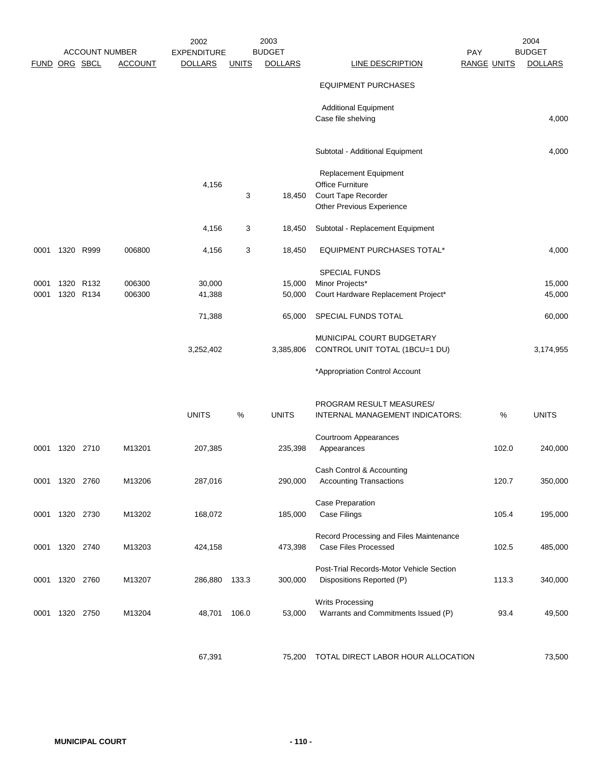|               | <b>ACCOUNT NUMBER</b> |           |                | 2002<br><b>EXPENDITURE</b> |              | 2003<br><b>BUDGET</b> |                                                                       | <b>PAY</b>         | 2004<br><b>BUDGET</b> |  |  |
|---------------|-----------------------|-----------|----------------|----------------------------|--------------|-----------------------|-----------------------------------------------------------------------|--------------------|-----------------------|--|--|
| FUND ORG SBCL |                       |           | <b>ACCOUNT</b> | <b>DOLLARS</b>             | <b>UNITS</b> | <b>DOLLARS</b>        | LINE DESCRIPTION                                                      | <b>RANGE UNITS</b> | <b>DOLLARS</b>        |  |  |
|               |                       |           |                |                            |              |                       |                                                                       |                    |                       |  |  |
|               |                       |           |                |                            |              |                       | <b>EQUIPMENT PURCHASES</b>                                            |                    |                       |  |  |
|               |                       |           |                |                            |              |                       | <b>Additional Equipment</b>                                           |                    |                       |  |  |
|               |                       |           |                |                            |              |                       | Case file shelving                                                    |                    | 4,000                 |  |  |
|               |                       |           |                |                            |              |                       |                                                                       |                    |                       |  |  |
|               |                       |           |                |                            |              |                       | Subtotal - Additional Equipment                                       |                    | 4,000                 |  |  |
|               |                       |           |                |                            |              |                       | Replacement Equipment                                                 |                    |                       |  |  |
|               |                       |           |                | 4,156                      |              |                       | Office Furniture                                                      |                    |                       |  |  |
|               |                       |           |                |                            | 3            | 18,450                | Court Tape Recorder                                                   |                    |                       |  |  |
|               |                       |           |                |                            |              |                       | Other Previous Experience                                             |                    |                       |  |  |
|               |                       |           |                | 4,156                      | 3            | 18,450                | Subtotal - Replacement Equipment                                      |                    |                       |  |  |
| 0001          | 1320 R999             |           | 006800         | 4,156                      | 3            | 18,450                | EQUIPMENT PURCHASES TOTAL*                                            |                    | 4,000                 |  |  |
|               |                       |           |                |                            |              |                       | <b>SPECIAL FUNDS</b>                                                  |                    |                       |  |  |
| 0001          |                       | 1320 R132 | 006300         | 30,000                     |              | 15,000                | Minor Projects*                                                       |                    | 15,000                |  |  |
| 0001          |                       | 1320 R134 | 006300         | 41,388                     |              | 50,000                | Court Hardware Replacement Project*                                   |                    | 45,000                |  |  |
|               |                       |           |                |                            |              |                       |                                                                       |                    |                       |  |  |
|               |                       |           |                | 71,388                     |              | 65,000                | SPECIAL FUNDS TOTAL                                                   |                    | 60,000                |  |  |
|               |                       |           |                |                            |              |                       | MUNICIPAL COURT BUDGETARY                                             |                    |                       |  |  |
|               |                       |           |                | 3,252,402                  |              | 3,385,806             | CONTROL UNIT TOTAL (1BCU=1 DU)                                        |                    | 3,174,955             |  |  |
|               |                       |           |                |                            |              |                       |                                                                       |                    |                       |  |  |
|               |                       |           |                |                            |              |                       | *Appropriation Control Account                                        |                    |                       |  |  |
|               |                       |           |                |                            |              |                       | PROGRAM RESULT MEASURES/                                              |                    |                       |  |  |
|               |                       |           |                | <b>UNITS</b>               | $\%$         | <b>UNITS</b>          | INTERNAL MANAGEMENT INDICATORS:                                       | $\%$               | <b>UNITS</b>          |  |  |
|               |                       |           |                |                            |              |                       |                                                                       |                    |                       |  |  |
|               |                       |           |                |                            |              |                       | Courtroom Appearances                                                 |                    |                       |  |  |
| 0001          | 1320 2710             |           | M13201         | 207,385                    |              | 235,398               | Appearances                                                           | 102.0              | 240,000               |  |  |
|               |                       |           |                |                            |              |                       | Cash Control & Accounting                                             |                    |                       |  |  |
|               | 0001 1320 2760        |           | M13206         | 287,016                    |              | 290,000               | <b>Accounting Transactions</b>                                        | 120.7              | 350,000               |  |  |
|               |                       |           |                |                            |              |                       |                                                                       |                    |                       |  |  |
|               |                       |           |                |                            |              |                       | Case Preparation                                                      |                    |                       |  |  |
|               | 0001 1320 2730        |           | M13202         | 168,072                    |              | 185,000               | Case Filings                                                          | 105.4              | 195,000               |  |  |
|               |                       |           |                |                            |              |                       | Record Processing and Files Maintenance                               |                    |                       |  |  |
|               | 0001 1320 2740        |           | M13203         | 424,158                    |              | 473,398               | Case Files Processed                                                  | 102.5              | 485,000               |  |  |
|               |                       |           |                |                            |              |                       |                                                                       |                    |                       |  |  |
|               |                       |           | M13207         |                            |              |                       | Post-Trial Records-Motor Vehicle Section<br>Dispositions Reported (P) |                    |                       |  |  |
| 0001          | 1320 2760             |           |                | 286,880                    | 133.3        | 300,000               |                                                                       | 113.3              | 340,000               |  |  |
|               |                       |           |                |                            |              |                       | <b>Writs Processing</b>                                               |                    |                       |  |  |
| 0001          | 1320 2750             |           | M13204         | 48,701                     | 106.0        | 53,000                | Warrants and Commitments Issued (P)                                   | 93.4               | 49,500                |  |  |
|               |                       |           |                |                            |              |                       |                                                                       |                    |                       |  |  |
|               |                       |           |                |                            |              |                       |                                                                       |                    |                       |  |  |
|               |                       |           |                | 67,391                     |              | 75,200                | TOTAL DIRECT LABOR HOUR ALLOCATION                                    |                    | 73,500                |  |  |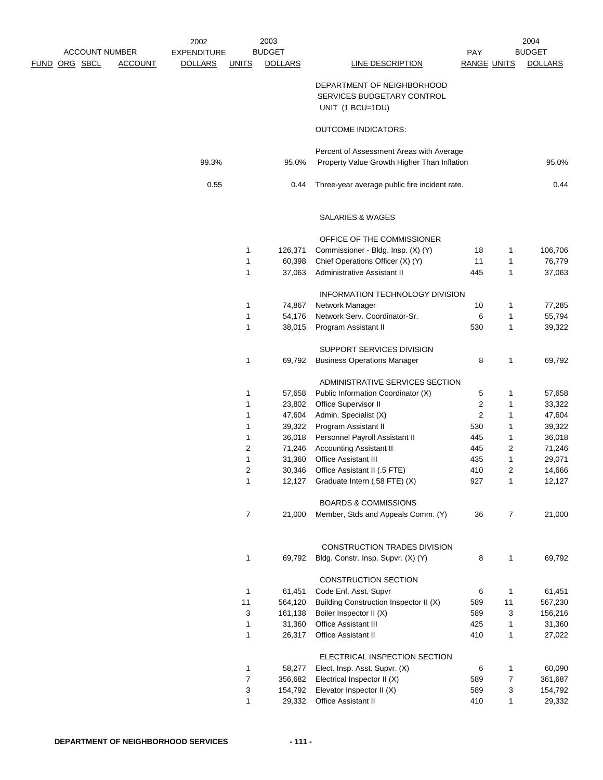| <b>ACCOUNT NUMBER</b> |                | 2002<br><b>EXPENDITURE</b> |                | 2003<br><b>BUDGET</b> |                                                                              | PAY                |                | 2004<br><b>BUDGET</b> |
|-----------------------|----------------|----------------------------|----------------|-----------------------|------------------------------------------------------------------------------|--------------------|----------------|-----------------------|
| <u>FUND ORG SBCL</u>  | <b>ACCOUNT</b> | <b>DOLLARS</b>             | <b>UNITS</b>   | <b>DOLLARS</b>        | <b>LINE DESCRIPTION</b>                                                      | <b>RANGE UNITS</b> |                | <b>DOLLARS</b>        |
|                       |                |                            |                |                       | DEPARTMENT OF NEIGHBORHOOD<br>SERVICES BUDGETARY CONTROL<br>UNIT (1 BCU=1DU) |                    |                |                       |
|                       |                |                            |                |                       | <b>OUTCOME INDICATORS:</b>                                                   |                    |                |                       |
|                       |                |                            |                |                       | Percent of Assessment Areas with Average                                     |                    |                |                       |
|                       |                | 99.3%                      |                | 95.0%                 | Property Value Growth Higher Than Inflation                                  |                    |                | 95.0%                 |
|                       |                | 0.55                       |                | 0.44                  | Three-year average public fire incident rate.                                |                    |                | 0.44                  |
|                       |                |                            |                |                       | SALARIES & WAGES                                                             |                    |                |                       |
|                       |                |                            |                |                       | OFFICE OF THE COMMISSIONER                                                   |                    |                |                       |
|                       |                |                            | 1              | 126,371               | Commissioner - Bldg. Insp. (X) (Y)                                           | 18                 | 1              | 106,706               |
|                       |                |                            | 1              | 60,398                | Chief Operations Officer (X) (Y)                                             | 11                 | 1              | 76,779                |
|                       |                |                            | 1              | 37,063                | Administrative Assistant II                                                  | 445                | $\mathbf{1}$   | 37,063                |
|                       |                |                            |                |                       | INFORMATION TECHNOLOGY DIVISION                                              |                    |                |                       |
|                       |                |                            | 1              | 74,867                | Network Manager                                                              | 10                 | 1              | 77,285                |
|                       |                |                            | 1              | 54,176                | Network Serv. Coordinator-Sr.                                                | 6                  | $\mathbf{1}$   | 55,794                |
|                       |                |                            | 1              | 38,015                | Program Assistant II                                                         | 530                | $\mathbf{1}$   | 39,322                |
|                       |                |                            |                |                       | SUPPORT SERVICES DIVISION                                                    |                    |                |                       |
|                       |                |                            | 1              | 69,792                | <b>Business Operations Manager</b>                                           | 8                  | 1              | 69,792                |
|                       |                |                            |                |                       | ADMINISTRATIVE SERVICES SECTION                                              |                    |                |                       |
|                       |                |                            | 1              | 57,658                | Public Information Coordinator (X)                                           | 5                  | 1              | 57,658                |
|                       |                |                            | 1              | 23,802                | Office Supervisor II                                                         | 2                  | $\mathbf{1}$   | 33,322                |
|                       |                |                            | 1              | 47,604                | Admin. Specialist (X)                                                        | 2                  | 1              | 47,604                |
|                       |                |                            | 1              | 39,322                | Program Assistant II                                                         | 530                | 1              | 39,322                |
|                       |                |                            | 1              | 36,018                | Personnel Payroll Assistant II                                               | 445                | 1              | 36,018                |
|                       |                |                            | 2              | 71,246                | <b>Accounting Assistant II</b>                                               | 445                | $\overline{c}$ | 71,246                |
|                       |                |                            | 1              | 31,360                | Office Assistant III                                                         | 435                | 1              | 29,071                |
|                       |                |                            | $\overline{c}$ | 30,346                | Office Assistant II (.5 FTE)                                                 | 410                | $\overline{c}$ | 14,666                |
|                       |                |                            | 1              | 12,127                | Graduate Intern (.58 FTE) (X)                                                | 927                | $\mathbf{1}$   | 12,127                |
|                       |                |                            |                |                       | <b>BOARDS &amp; COMMISSIONS</b>                                              |                    |                |                       |
|                       |                |                            | $\overline{7}$ | 21,000                | Member, Stds and Appeals Comm. (Y)                                           | 36                 | $\overline{7}$ | 21,000                |
|                       |                |                            |                |                       | CONSTRUCTION TRADES DIVISION                                                 |                    |                |                       |
|                       |                |                            | 1              | 69,792                | Bldg. Constr. Insp. Supvr. (X) (Y)                                           | 8                  | $\mathbf{1}$   | 69,792                |
|                       |                |                            |                |                       | <b>CONSTRUCTION SECTION</b>                                                  |                    |                |                       |
|                       |                |                            | 1              | 61,451                | Code Enf. Asst. Supvr                                                        | 6                  | 1              | 61,451                |
|                       |                |                            | 11             | 564,120               | Building Construction Inspector II (X)                                       | 589                | 11             | 567,230               |
|                       |                |                            | 3              | 161,138               | Boiler Inspector II (X)                                                      | 589                | 3              | 156,216               |
|                       |                |                            | $\mathbf{1}$   | 31,360                | Office Assistant III                                                         | 425                | $\mathbf{1}$   | 31,360                |
|                       |                |                            | 1              | 26,317                | Office Assistant II                                                          | 410                | $\mathbf{1}$   | 27,022                |
|                       |                |                            |                |                       | ELECTRICAL INSPECTION SECTION                                                |                    |                |                       |
|                       |                |                            | 1              | 58,277                | Elect. Insp. Asst. Supvr. (X)                                                | 6                  | 1              | 60,090                |
|                       |                |                            | $\overline{7}$ | 356,682               | Electrical Inspector II (X)                                                  | 589                | $\overline{7}$ | 361,687               |
|                       |                |                            | 3              | 154,792               | Elevator Inspector II (X)                                                    | 589                | 3              | 154,792               |
|                       |                |                            | 1              | 29,332                | Office Assistant II                                                          | 410                | $\mathbf{1}$   | 29,332                |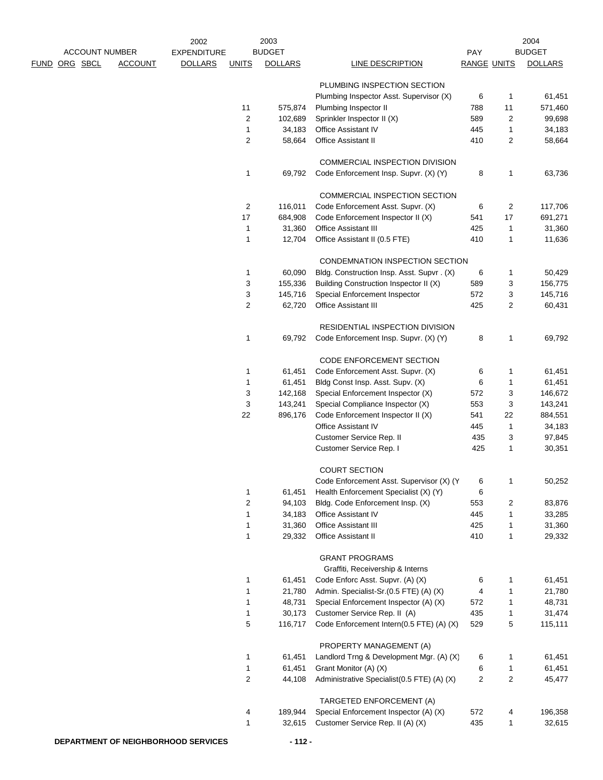| ACCOUNT NUMBER       |                | 2002<br><b>EXPENDITURE</b> |                | 2003<br><b>BUDGET</b> |                                                       | PAY                |                         | 2004<br><b>BUDGET</b> |
|----------------------|----------------|----------------------------|----------------|-----------------------|-------------------------------------------------------|--------------------|-------------------------|-----------------------|
| <u>FUND ORG SBCL</u> | <b>ACCOUNT</b> | <b>DOLLARS</b>             | <b>UNITS</b>   | <b>DOLLARS</b>        | LINE DESCRIPTION                                      | <b>RANGE UNITS</b> |                         | <b>DOLLARS</b>        |
|                      |                |                            |                |                       | PLUMBING INSPECTION SECTION                           |                    |                         |                       |
|                      |                |                            |                |                       | Plumbing Inspector Asst. Supervisor (X)               | 6                  | $\mathbf{1}$            | 61,451                |
|                      |                |                            | 11             | 575,874               | Plumbing Inspector II                                 | 788                | 11                      | 571,460               |
|                      |                |                            | 2              | 102,689               | Sprinkler Inspector II (X)                            | 589                | $\overline{2}$          | 99,698                |
|                      |                |                            | 1              | 34,183                | <b>Office Assistant IV</b>                            | 445                | $\mathbf{1}$            | 34,183                |
|                      |                |                            | 2              | 58,664                | <b>Office Assistant II</b>                            | 410                | 2                       | 58,664                |
|                      |                |                            |                |                       | <b>COMMERCIAL INSPECTION DIVISION</b>                 |                    |                         |                       |
|                      |                |                            | 1              | 69,792                | Code Enforcement Insp. Supvr. (X) (Y)                 | 8                  | 1                       | 63,736                |
|                      |                |                            |                |                       | COMMERCIAL INSPECTION SECTION                         |                    |                         |                       |
|                      |                |                            | 2              | 116,011               | Code Enforcement Asst. Supvr. (X)                     | 6                  | $\overline{\mathbf{c}}$ | 117,706               |
|                      |                |                            | 17             | 684,908               | Code Enforcement Inspector II (X)                     | 541                | 17                      | 691,271               |
|                      |                |                            | $\mathbf{1}$   | 31,360                | Office Assistant III                                  | 425                | $\mathbf{1}$            | 31,360                |
|                      |                |                            | 1              | 12,704                | Office Assistant II (0.5 FTE)                         | 410                | $\mathbf{1}$            | 11,636                |
|                      |                |                            |                |                       | CONDEMNATION INSPECTION SECTION                       |                    |                         |                       |
|                      |                |                            | $\mathbf{1}$   | 60,090                | Bldg. Construction Insp. Asst. Supvr. (X)             | 6                  | 1                       | 50,429                |
|                      |                |                            | 3              | 155,336               | Building Construction Inspector II (X)                | 589                | 3                       | 156,775               |
|                      |                |                            | 3<br>2         | 145,716<br>62,720     | Special Enforcement Inspector<br>Office Assistant III | 572<br>425         | 3<br>$\overline{c}$     | 145,716<br>60,431     |
|                      |                |                            |                |                       | RESIDENTIAL INSPECTION DIVISION                       |                    |                         |                       |
|                      |                |                            | 1              | 69,792                | Code Enforcement Insp. Supvr. (X) (Y)                 | 8                  | 1                       | 69,792                |
|                      |                |                            |                |                       | CODE ENFORCEMENT SECTION                              |                    |                         |                       |
|                      |                |                            | 1              | 61,451                | Code Enforcement Asst. Supvr. (X)                     | 6                  | $\mathbf{1}$            | 61,451                |
|                      |                |                            | 1              | 61,451                | Bldg Const Insp. Asst. Supv. (X)                      | 6                  | $\mathbf{1}$            | 61,451                |
|                      |                |                            | 3              | 142,168               | Special Enforcement Inspector (X)                     | 572                | 3                       | 146,672               |
|                      |                |                            | 3              | 143,241               | Special Compliance Inspector (X)                      | 553                | 3                       | 143,241               |
|                      |                |                            | 22             | 896,176               | Code Enforcement Inspector II (X)                     | 541                | 22                      | 884,551               |
|                      |                |                            |                |                       | <b>Office Assistant IV</b>                            | 445                | $\mathbf{1}$            | 34,183                |
|                      |                |                            |                |                       | Customer Service Rep. II                              | 435                | 3                       | 97,845                |
|                      |                |                            |                |                       | Customer Service Rep. I                               | 425                | 1                       | 30,351                |
|                      |                |                            |                |                       | <b>COURT SECTION</b>                                  |                    |                         |                       |
|                      |                |                            |                |                       | Code Enforcement Asst. Supervisor (X) (Y)             | 6                  | 1                       | 50,252                |
|                      |                |                            | 1              | 61,451                | Health Enforcement Specialist (X) (Y)                 | 6                  |                         |                       |
|                      |                |                            | $\overline{c}$ | 94,103                | Bldg. Code Enforcement Insp. (X)                      | 553                | 2                       | 83,876                |
|                      |                |                            | 1              | 34,183                | Office Assistant IV                                   | 445                | 1                       | 33,285                |
|                      |                |                            | 1              | 31,360                | Office Assistant III                                  | 425                | 1                       | 31,360                |
|                      |                |                            | 1              | 29,332                | <b>Office Assistant II</b>                            | 410                | $\mathbf{1}$            | 29,332                |
|                      |                |                            |                |                       | <b>GRANT PROGRAMS</b>                                 |                    |                         |                       |
|                      |                |                            |                |                       | Graffiti, Receivership & Interns                      |                    |                         |                       |
|                      |                |                            | 1              | 61,451                | Code Enforc Asst. Supvr. (A) (X)                      | 6                  | $\mathbf 1$             | 61,451                |
|                      |                |                            | 1              | 21,780                | Admin. Specialist-Sr.(0.5 FTE) (A) (X)                | 4                  | 1                       | 21,780                |
|                      |                |                            | 1              | 48,731                | Special Enforcement Inspector (A) (X)                 | 572                | $\mathbf{1}$            | 48,731                |
|                      |                |                            | 1              | 30,173                | Customer Service Rep. II (A)                          | 435                | 1                       | 31,474                |
|                      |                |                            | 5              | 116,717               | Code Enforcement Intern(0.5 FTE) (A) (X)              | 529                | 5                       | 115,111               |
|                      |                |                            |                |                       | PROPERTY MANAGEMENT (A)                               |                    |                         |                       |
|                      |                |                            | 1              | 61,451                | Landlord Trng & Development Mgr. (A) (X)              | 6                  | 1                       | 61,451                |
|                      |                |                            | 1              | 61,451                | Grant Monitor (A) (X)                                 | 6                  | 1                       | 61,451                |
|                      |                |                            | $\overline{2}$ | 44,108                | Administrative Specialist(0.5 FTE) (A) (X)            | $\overline{2}$     | $\overline{2}$          | 45,477                |
|                      |                |                            |                |                       | TARGETED ENFORCEMENT (A)                              |                    |                         |                       |
|                      |                |                            | 4              | 189,944               | Special Enforcement Inspector (A) (X)                 | 572                | 4                       | 196,358               |
|                      |                |                            | 1              | 32,615                | Customer Service Rep. II (A) (X)                      | 435                | $\mathbf{1}$            | 32,615                |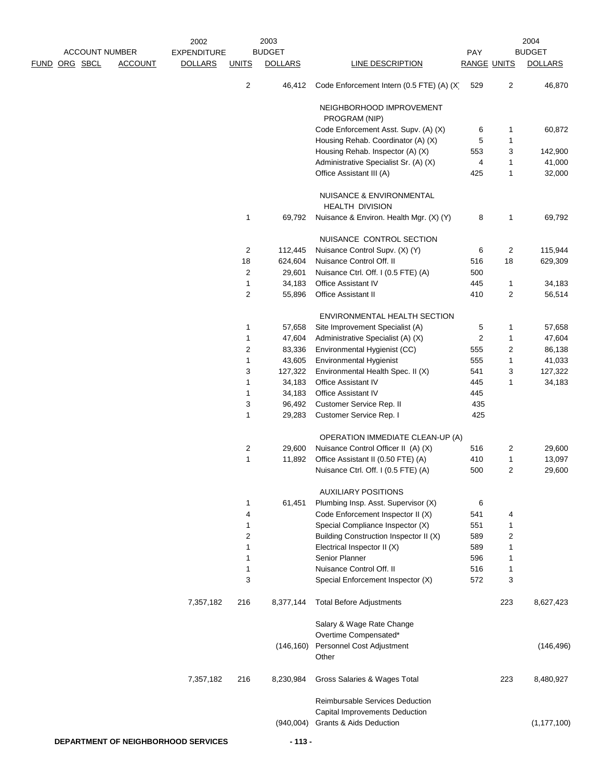| <b>ACCOUNT NUMBER</b> |                | 2002                                       | 2003<br><b>BUDGET</b> |                  |                                                               |                           | 2004<br><b>BUDGET</b> |                  |  |
|-----------------------|----------------|--------------------------------------------|-----------------------|------------------|---------------------------------------------------------------|---------------------------|-----------------------|------------------|--|
| <u>FUND ORG SBCL</u>  | <b>ACCOUNT</b> | <b>EXPENDITURE</b><br><b>DOLLARS</b>       | <b>UNITS</b>          | <b>DOLLARS</b>   | <b>LINE DESCRIPTION</b>                                       | PAY<br><b>RANGE UNITS</b> |                       | <b>DOLLARS</b>   |  |
|                       |                |                                            | $\overline{c}$        | 46,412           | Code Enforcement Intern (0.5 FTE) (A) (X)                     | 529                       | 2                     | 46,870           |  |
|                       |                |                                            |                       |                  | NEIGHBORHOOD IMPROVEMENT<br>PROGRAM (NIP)                     |                           |                       |                  |  |
|                       |                |                                            |                       |                  | Code Enforcement Asst. Supv. (A) (X)                          | 6                         | 1                     | 60,872           |  |
|                       |                |                                            |                       |                  | Housing Rehab. Coordinator (A) (X)                            | 5                         | $\mathbf{1}$          |                  |  |
|                       |                |                                            |                       |                  | Housing Rehab. Inspector (A) (X)                              | 553                       | 3                     | 142,900          |  |
|                       |                |                                            |                       |                  | Administrative Specialist Sr. (A) (X)                         | 4                         | $\mathbf{1}$          | 41,000           |  |
|                       |                |                                            |                       |                  | Office Assistant III (A)                                      | 425                       | 1                     | 32,000           |  |
|                       |                |                                            |                       |                  | NUISANCE & ENVIRONMENTAL<br><b>HEALTH DIVISION</b>            |                           |                       |                  |  |
|                       |                |                                            | 1                     | 69,792           | Nuisance & Environ. Health Mgr. (X) (Y)                       | 8                         | $\mathbf{1}$          | 69,792           |  |
|                       |                |                                            |                       |                  | NUISANCE CONTROL SECTION                                      |                           |                       |                  |  |
|                       |                |                                            | 2                     | 112,445          | Nuisance Control Supv. (X) (Y)                                | 6                         | 2                     | 115,944          |  |
|                       |                |                                            | 18                    | 624,604          | Nuisance Control Off. II                                      | 516                       | 18                    | 629,309          |  |
|                       |                |                                            | 2                     | 29,601           | Nuisance Ctrl. Off. I (0.5 FTE) (A)                           | 500                       |                       |                  |  |
|                       |                |                                            | 1<br>$\overline{2}$   | 34,183<br>55,896 | Office Assistant IV<br><b>Office Assistant II</b>             | 445<br>410                | 1<br>2                | 34,183<br>56,514 |  |
|                       |                |                                            |                       |                  |                                                               |                           |                       |                  |  |
|                       |                |                                            |                       |                  | ENVIRONMENTAL HEALTH SECTION                                  |                           |                       |                  |  |
|                       |                |                                            | 1                     | 57,658           | Site Improvement Specialist (A)                               | 5                         | $\mathbf{1}$          | 57,658           |  |
|                       |                |                                            | 1                     | 47,604           | Administrative Specialist (A) (X)                             | $\overline{\mathbf{c}}$   | $\mathbf{1}$          | 47,604           |  |
|                       |                |                                            | 2                     | 83,336           | Environmental Hygienist (CC)                                  | 555                       | 2                     | 86,138           |  |
|                       |                |                                            | 1                     | 43,605           | Environmental Hygienist                                       | 555                       | 1                     | 41,033           |  |
|                       |                |                                            | 3                     | 127,322          | Environmental Health Spec. II (X)                             | 541                       | 3                     | 127,322          |  |
|                       |                |                                            | 1<br>1                | 34,183           | <b>Office Assistant IV</b>                                    | 445<br>445                | 1                     | 34,183           |  |
|                       |                |                                            | 3                     | 34,183<br>96,492 | <b>Office Assistant IV</b><br>Customer Service Rep. II        | 435                       |                       |                  |  |
|                       |                |                                            | 1                     | 29,283           | Customer Service Rep. I                                       | 425                       |                       |                  |  |
|                       |                |                                            |                       |                  | OPERATION IMMEDIATE CLEAN-UP (A)                              |                           |                       |                  |  |
|                       |                |                                            | 2                     | 29,600           | Nuisance Control Officer II (A) (X)                           | 516                       | 2                     | 29,600           |  |
|                       |                |                                            | $\mathbf{1}$          | 11,892           | Office Assistant II (0.50 FTE) (A)                            | 410                       | 1                     | 13,097           |  |
|                       |                |                                            |                       |                  | Nuisance Ctrl. Off. I (0.5 FTE) (A)                           | 500                       | $\overline{c}$        | 29,600           |  |
|                       |                |                                            |                       |                  | <b>AUXILIARY POSITIONS</b>                                    |                           |                       |                  |  |
|                       |                |                                            | 1                     | 61,451           | Plumbing Insp. Asst. Supervisor (X)                           | 6                         |                       |                  |  |
|                       |                |                                            | 4                     |                  | Code Enforcement Inspector II (X)                             | 541                       | 4                     |                  |  |
|                       |                |                                            | 1                     |                  | Special Compliance Inspector (X)                              | 551                       | $\mathbf{1}$          |                  |  |
|                       |                |                                            | $\overline{2}$        |                  | Building Construction Inspector II (X)                        | 589                       | 2                     |                  |  |
|                       |                |                                            | 1                     |                  | Electrical Inspector II (X)                                   | 589                       | 1                     |                  |  |
|                       |                |                                            | 1                     |                  | Senior Planner                                                | 596                       | $\mathbf{1}$          |                  |  |
|                       |                |                                            | 1<br>3                |                  | Nuisance Control Off. II<br>Special Enforcement Inspector (X) | 516<br>572                | 1<br>3                |                  |  |
|                       |                | 7,357,182                                  | 216                   | 8,377,144        | <b>Total Before Adjustments</b>                               |                           | 223                   | 8,627,423        |  |
|                       |                |                                            |                       |                  | Salary & Wage Rate Change                                     |                           |                       |                  |  |
|                       |                |                                            |                       |                  | Overtime Compensated*                                         |                           |                       |                  |  |
|                       |                |                                            |                       |                  | (146,160) Personnel Cost Adjustment                           |                           |                       | (146, 496)       |  |
|                       |                |                                            |                       |                  | Other                                                         |                           |                       |                  |  |
|                       |                | 7,357,182                                  | 216                   | 8,230,984        | Gross Salaries & Wages Total                                  |                           | 223                   | 8,480,927        |  |
|                       |                |                                            |                       |                  | Reimbursable Services Deduction                               |                           |                       |                  |  |
|                       |                |                                            |                       |                  | Capital Improvements Deduction                                |                           |                       |                  |  |
|                       |                |                                            |                       |                  | (940,004) Grants & Aids Deduction                             |                           |                       | (1, 177, 100)    |  |
|                       |                | <b>DEPARTMENT OF NEIGHBORHOOD SERVICES</b> |                       | $-113-$          |                                                               |                           |                       |                  |  |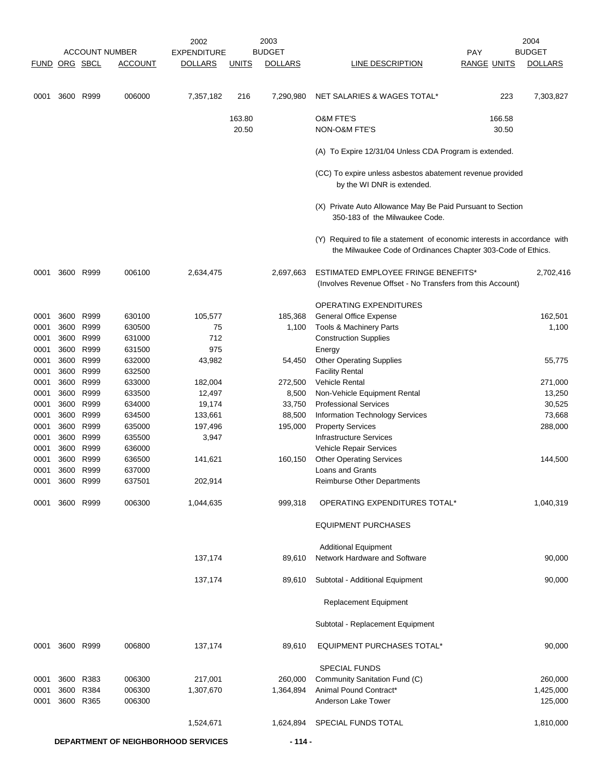|              |      |                        | <b>ACCOUNT NUMBER</b> | 2002<br><b>EXPENDITURE</b>                 |              | 2003<br><b>BUDGET</b> |                                                                                                                                           | <b>PAY</b>         | 2004<br><b>BUDGET</b> |
|--------------|------|------------------------|-----------------------|--------------------------------------------|--------------|-----------------------|-------------------------------------------------------------------------------------------------------------------------------------------|--------------------|-----------------------|
| <b>FUND</b>  |      | ORG SBCL               | <b>ACCOUNT</b>        | <b>DOLLARS</b>                             | <b>UNITS</b> | <b>DOLLARS</b>        | LINE DESCRIPTION                                                                                                                          | <b>RANGE UNITS</b> | <b>DOLLARS</b>        |
|              |      |                        |                       |                                            |              |                       |                                                                                                                                           |                    |                       |
| 0001         |      | 3600 R999              | 006000                | 7,357,182                                  | 216          | 7,290,980             | NET SALARIES & WAGES TOTAL*                                                                                                               | 223                | 7,303,827             |
|              |      |                        |                       |                                            | 163.80       |                       | <b>O&amp;M FTE'S</b>                                                                                                                      | 166.58             |                       |
|              |      |                        |                       |                                            | 20.50        |                       | NON-O&M FTE'S                                                                                                                             | 30.50              |                       |
|              |      |                        |                       |                                            |              |                       | (A) To Expire 12/31/04 Unless CDA Program is extended.                                                                                    |                    |                       |
|              |      |                        |                       |                                            |              |                       | (CC) To expire unless asbestos abatement revenue provided<br>by the WI DNR is extended.                                                   |                    |                       |
|              |      |                        |                       |                                            |              |                       | (X) Private Auto Allowance May Be Paid Pursuant to Section<br>350-183 of the Milwaukee Code.                                              |                    |                       |
|              |      |                        |                       |                                            |              |                       | (Y) Required to file a statement of economic interests in accordance with<br>the Milwaukee Code of Ordinances Chapter 303-Code of Ethics. |                    |                       |
| 0001         |      | 3600 R999              | 006100                | 2,634,475                                  |              | 2,697,663             | <b>ESTIMATED EMPLOYEE FRINGE BENEFITS*</b>                                                                                                |                    | 2,702,416             |
|              |      |                        |                       |                                            |              |                       | (Involves Revenue Offset - No Transfers from this Account)                                                                                |                    |                       |
|              |      |                        |                       |                                            |              |                       | OPERATING EXPENDITURES                                                                                                                    |                    |                       |
| 0001         |      | 3600 R999              | 630100                | 105,577                                    |              | 185,368               | <b>General Office Expense</b>                                                                                                             |                    | 162,501               |
| 0001         |      | 3600 R999              | 630500                | 75                                         |              | 1,100                 | Tools & Machinery Parts                                                                                                                   |                    | 1,100                 |
| 0001         |      | 3600 R999              | 631000                | 712                                        |              |                       | <b>Construction Supplies</b>                                                                                                              |                    |                       |
| 0001         |      | 3600 R999              | 631500                | 975                                        |              |                       | Energy                                                                                                                                    |                    |                       |
| 0001         |      | 3600 R999              | 632000                | 43,982                                     |              | 54,450                | <b>Other Operating Supplies</b>                                                                                                           |                    | 55,775                |
| 0001         | 3600 | R999                   | 632500                |                                            |              |                       | <b>Facility Rental</b>                                                                                                                    |                    |                       |
| 0001         | 3600 | R999                   | 633000                | 182,004                                    |              | 272,500               | Vehicle Rental                                                                                                                            |                    | 271,000               |
| 0001         |      | 3600 R999              | 633500                | 12,497                                     |              | 8,500                 | Non-Vehicle Equipment Rental                                                                                                              |                    | 13,250                |
| 0001<br>0001 |      | 3600 R999<br>3600 R999 | 634000<br>634500      | 19,174<br>133,661                          |              | 33,750<br>88,500      | <b>Professional Services</b><br>Information Technology Services                                                                           |                    | 30,525<br>73,668      |
| 0001         | 3600 | R999                   | 635000                | 197,496                                    |              | 195,000               | <b>Property Services</b>                                                                                                                  |                    | 288,000               |
| 0001         | 3600 | R999                   | 635500                | 3,947                                      |              |                       | <b>Infrastructure Services</b>                                                                                                            |                    |                       |
| 0001         | 3600 | R999                   | 636000                |                                            |              |                       | Vehicle Repair Services                                                                                                                   |                    |                       |
| 0001         | 3600 | R999                   | 636500                | 141,621                                    |              | 160,150               | <b>Other Operating Services</b>                                                                                                           |                    | 144,500               |
| 0001         | 3600 | R999                   | 637000                |                                            |              |                       | Loans and Grants                                                                                                                          |                    |                       |
| 0001         |      | 3600 R999              | 637501                | 202,914                                    |              |                       | <b>Reimburse Other Departments</b>                                                                                                        |                    |                       |
| 0001         |      | 3600 R999              | 006300                | 1,044,635                                  |              | 999,318               | OPERATING EXPENDITURES TOTAL*                                                                                                             |                    | 1,040,319             |
|              |      |                        |                       |                                            |              |                       | <b>EQUIPMENT PURCHASES</b>                                                                                                                |                    |                       |
|              |      |                        |                       |                                            |              |                       | <b>Additional Equipment</b>                                                                                                               |                    |                       |
|              |      |                        |                       | 137,174                                    |              | 89,610                | Network Hardware and Software                                                                                                             |                    | 90,000                |
|              |      |                        |                       | 137,174                                    |              | 89,610                | Subtotal - Additional Equipment                                                                                                           |                    | 90,000                |
|              |      |                        |                       |                                            |              |                       | <b>Replacement Equipment</b>                                                                                                              |                    |                       |
|              |      |                        |                       |                                            |              |                       | Subtotal - Replacement Equipment                                                                                                          |                    |                       |
| 0001         |      | 3600 R999              | 006800                | 137,174                                    |              | 89,610                | EQUIPMENT PURCHASES TOTAL*                                                                                                                |                    | 90,000                |
|              |      |                        |                       |                                            |              |                       | <b>SPECIAL FUNDS</b>                                                                                                                      |                    |                       |
| 0001         | 3600 | R383                   | 006300                | 217,001                                    |              | 260,000               | Community Sanitation Fund (C)                                                                                                             |                    | 260,000               |
| 0001         |      | 3600 R384              | 006300                | 1,307,670                                  |              | 1,364,894             | Animal Pound Contract*                                                                                                                    |                    | 1,425,000             |
| 0001         |      | 3600 R365              | 006300                |                                            |              |                       | Anderson Lake Tower                                                                                                                       |                    | 125,000               |
|              |      |                        |                       | 1,524,671                                  |              | 1,624,894             | SPECIAL FUNDS TOTAL                                                                                                                       |                    | 1,810,000             |
|              |      |                        |                       | <b>DEPARTMENT OF NEIGHBORHOOD SERVICES</b> |              | $-114-$               |                                                                                                                                           |                    |                       |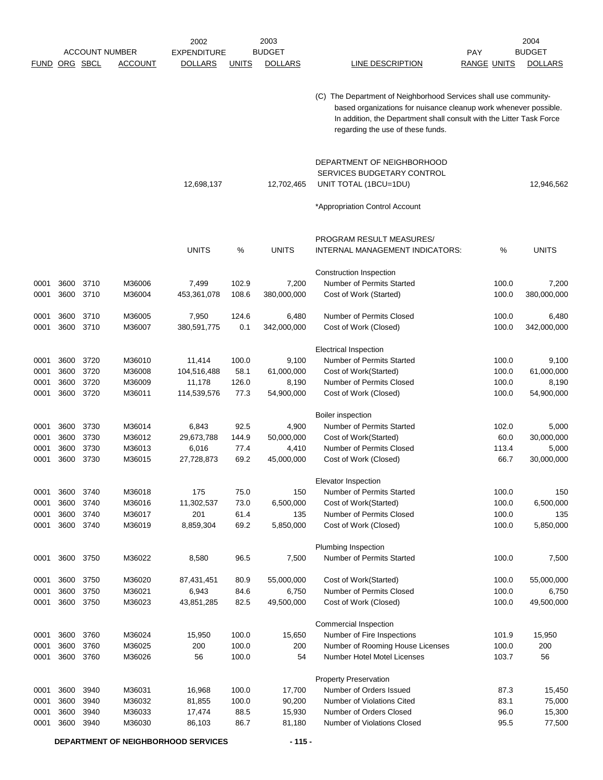|             |      |          |                       | 2002               |              | 2003           |                                                                                                                                                                                                                                                   |                    |       | 2004           |
|-------------|------|----------|-----------------------|--------------------|--------------|----------------|---------------------------------------------------------------------------------------------------------------------------------------------------------------------------------------------------------------------------------------------------|--------------------|-------|----------------|
|             |      |          | <b>ACCOUNT NUMBER</b> | <b>EXPENDITURE</b> |              | <b>BUDGET</b>  |                                                                                                                                                                                                                                                   | <b>PAY</b>         |       | <b>BUDGET</b>  |
| <b>FUND</b> |      | ORG SBCL | ACCOUNT               | <b>DOLLARS</b>     | <b>UNITS</b> | <b>DOLLARS</b> | <b>LINE DESCRIPTION</b>                                                                                                                                                                                                                           | <b>RANGE UNITS</b> |       | <b>DOLLARS</b> |
|             |      |          |                       |                    |              |                | (C) The Department of Neighborhood Services shall use community-<br>based organizations for nuisance cleanup work whenever possible.<br>In addition, the Department shall consult with the Litter Task Force<br>regarding the use of these funds. |                    |       |                |
|             |      |          |                       | 12,698,137         |              | 12,702,465     | DEPARTMENT OF NEIGHBORHOOD<br>SERVICES BUDGETARY CONTROL<br>UNIT TOTAL (1BCU=1DU)<br>*Appropriation Control Account                                                                                                                               |                    |       | 12,946,562     |
|             |      |          |                       | <b>UNITS</b>       | %            | <b>UNITS</b>   | PROGRAM RESULT MEASURES/<br><b>INTERNAL MANAGEMENT INDICATORS:</b>                                                                                                                                                                                |                    | %     | <b>UNITS</b>   |
|             |      |          |                       |                    |              |                | Construction Inspection                                                                                                                                                                                                                           |                    |       |                |
| 0001        | 3600 | 3710     | M36006                | 7,499              | 102.9        | 7,200          | Number of Permits Started                                                                                                                                                                                                                         |                    | 100.0 | 7,200          |
| 0001        | 3600 | 3710     | M36004                | 453,361,078        | 108.6        | 380,000,000    | Cost of Work (Started)                                                                                                                                                                                                                            |                    | 100.0 | 380,000,000    |
| 0001        | 3600 | 3710     | M36005                | 7,950              | 124.6        | 6,480          | Number of Permits Closed                                                                                                                                                                                                                          |                    | 100.0 | 6,480          |
| 0001        | 3600 | 3710     | M36007                | 380,591,775        | 0.1          | 342,000,000    | Cost of Work (Closed)                                                                                                                                                                                                                             |                    | 100.0 | 342,000,000    |
|             |      |          |                       |                    |              |                | <b>Electrical Inspection</b>                                                                                                                                                                                                                      |                    |       |                |
| 0001        | 3600 | 3720     | M36010                | 11,414             | 100.0        | 9,100          | Number of Permits Started                                                                                                                                                                                                                         |                    | 100.0 | 9,100          |
| 0001        | 3600 | 3720     | M36008                | 104,516,488        | 58.1         | 61,000,000     | Cost of Work(Started)                                                                                                                                                                                                                             |                    | 100.0 | 61,000,000     |
| 0001        | 3600 | 3720     | M36009                | 11,178             | 126.0        | 8,190          | Number of Permits Closed                                                                                                                                                                                                                          |                    | 100.0 | 8,190          |
| 0001        | 3600 | 3720     | M36011                | 114,539,576        | 77.3         | 54,900,000     | Cost of Work (Closed)                                                                                                                                                                                                                             |                    | 100.0 | 54,900,000     |
|             |      |          |                       |                    |              |                | Boiler inspection                                                                                                                                                                                                                                 |                    |       |                |
| 0001        | 3600 | 3730     | M36014                | 6,843              | 92.5         | 4,900          | <b>Number of Permits Started</b>                                                                                                                                                                                                                  |                    | 102.0 | 5,000          |
| 0001        | 3600 | 3730     | M36012                | 29,673,788         | 144.9        | 50,000,000     | Cost of Work(Started)                                                                                                                                                                                                                             |                    | 60.0  | 30,000,000     |
| 0001        | 3600 | 3730     | M36013                | 6,016              | 77.4         | 4,410          | <b>Number of Permits Closed</b>                                                                                                                                                                                                                   |                    | 113.4 | 5,000          |
| 0001        | 3600 | 3730     | M36015                | 27,728,873         | 69.2         | 45,000,000     | Cost of Work (Closed)                                                                                                                                                                                                                             |                    | 66.7  | 30,000,000     |
|             |      |          |                       |                    |              |                | Elevator Inspection                                                                                                                                                                                                                               |                    |       |                |
| 0001        | 3600 | 3740     | M36018                | 175                | 75.0         | 150            | Number of Permits Started                                                                                                                                                                                                                         |                    | 100.0 | 150            |
| 0001        | 3600 | 3740     | M36016                | 11,302,537         | 73.0         | 6,500,000      | Cost of Work(Started)                                                                                                                                                                                                                             |                    | 100.0 | 6,500,000      |
| 0001        | 3600 | 3740     | M36017                | 201                | 61.4         | 135            | Number of Permits Closed                                                                                                                                                                                                                          |                    | 100.0 | 135            |
| 0001        | 3600 | 3740     | M36019                | 8,859,304          | 69.2         | 5,850,000      | Cost of Work (Closed)                                                                                                                                                                                                                             |                    | 100.0 | 5,850,000      |
|             |      |          |                       |                    |              |                | Plumbing Inspection                                                                                                                                                                                                                               |                    |       |                |
| 0001        | 3600 | 3750     | M36022                | 8,580              | 96.5         | 7,500          | Number of Permits Started                                                                                                                                                                                                                         |                    | 100.0 | 7,500          |
| 0001        | 3600 | 3750     | M36020                | 87,431,451         | 80.9         | 55,000,000     | Cost of Work(Started)                                                                                                                                                                                                                             |                    | 100.0 | 55,000,000     |
| 0001        | 3600 | 3750     | M36021                | 6,943              | 84.6         | 6,750          | Number of Permits Closed                                                                                                                                                                                                                          |                    | 100.0 | 6,750          |
| 0001        | 3600 | 3750     | M36023                | 43,851,285         | 82.5         | 49,500,000     | Cost of Work (Closed)                                                                                                                                                                                                                             |                    | 100.0 | 49,500,000     |
|             |      |          |                       |                    |              |                | Commercial Inspection                                                                                                                                                                                                                             |                    |       |                |
| 0001        | 3600 | 3760     | M36024                | 15,950             | 100.0        | 15,650         | Number of Fire Inspections                                                                                                                                                                                                                        |                    | 101.9 | 15,950         |
| 0001        | 3600 | 3760     | M36025                | 200                | 100.0        | 200            | Number of Rooming House Licenses                                                                                                                                                                                                                  |                    | 100.0 | 200            |
| 0001        | 3600 | 3760     | M36026                | 56                 | 100.0        | 54             | Number Hotel Motel Licenses                                                                                                                                                                                                                       |                    | 103.7 | 56             |
|             |      |          |                       |                    |              |                | <b>Property Preservation</b>                                                                                                                                                                                                                      |                    |       |                |
| 0001        | 3600 | 3940     | M36031                | 16,968             | 100.0        | 17,700         | Number of Orders Issued                                                                                                                                                                                                                           |                    | 87.3  | 15,450         |
| 0001        | 3600 | 3940     | M36032                | 81,855             | 100.0        | 90,200         | Number of Violations Cited                                                                                                                                                                                                                        |                    | 83.1  | 75,000         |
| 0001        | 3600 | 3940     | M36033                | 17,474             | 88.5         | 15,930         | Number of Orders Closed                                                                                                                                                                                                                           |                    | 96.0  | 15,300         |
| 0001        | 3600 | 3940     | M36030                | 86,103             | 86.7         | 81,180         | Number of Violations Closed                                                                                                                                                                                                                       |                    | 95.5  | 77,500         |
|             |      |          |                       |                    |              |                |                                                                                                                                                                                                                                                   |                    |       |                |

**DEPARTMENT OF NEIGHBORHOOD SERVICES - 115 -**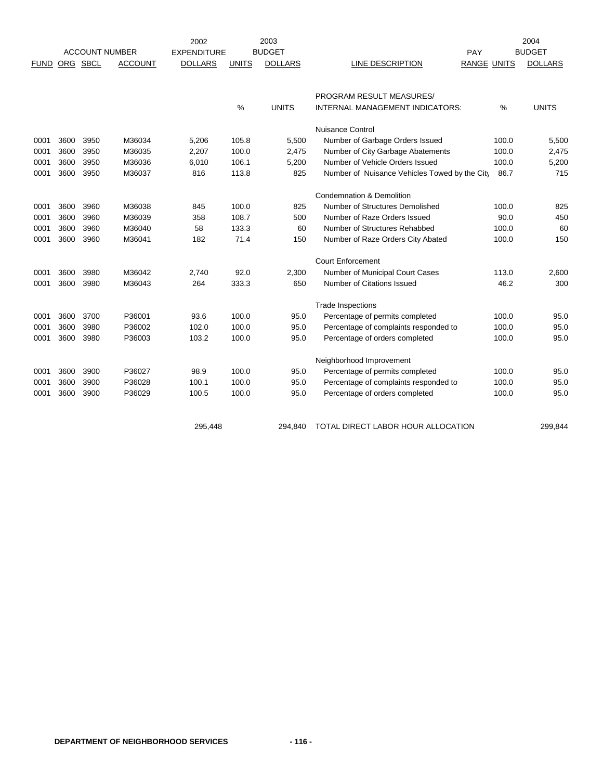|             |      |          |                       | 2003<br>2002       |              |                |                                               |             | 2004           |  |
|-------------|------|----------|-----------------------|--------------------|--------------|----------------|-----------------------------------------------|-------------|----------------|--|
|             |      |          | <b>ACCOUNT NUMBER</b> | <b>EXPENDITURE</b> |              | <b>BUDGET</b>  |                                               | PAY         | <b>BUDGET</b>  |  |
| <b>FUND</b> |      | ORG SBCL | <b>ACCOUNT</b>        | <b>DOLLARS</b>     | <b>UNITS</b> | <b>DOLLARS</b> | LINE DESCRIPTION                              | RANGE UNITS | <b>DOLLARS</b> |  |
|             |      |          |                       |                    |              |                |                                               |             |                |  |
|             |      |          |                       |                    |              |                | PROGRAM RESULT MEASURES/                      |             |                |  |
|             |      |          |                       |                    | $\%$         | <b>UNITS</b>   | INTERNAL MANAGEMENT INDICATORS:               | %           | <b>UNITS</b>   |  |
|             |      |          |                       |                    |              |                | <b>Nuisance Control</b>                       |             |                |  |
| 0001        | 3600 | 3950     | M36034                | 5,206              | 105.8        | 5,500          | Number of Garbage Orders Issued               | 100.0       | 5,500          |  |
| 0001        | 3600 | 3950     | M36035                | 2,207              | 100.0        | 2,475          | Number of City Garbage Abatements             | 100.0       | 2,475          |  |
| 0001        | 3600 | 3950     | M36036                | 6,010              | 106.1        | 5,200          | Number of Vehicle Orders Issued               | 100.0       | 5,200          |  |
| 0001        | 3600 | 3950     | M36037                | 816                | 113.8        | 825            | Number of Nuisance Vehicles Towed by the City | 86.7        | 715            |  |
|             |      |          |                       |                    |              |                | <b>Condemnation &amp; Demolition</b>          |             |                |  |
| 0001        | 3600 | 3960     | M36038                | 845                | 100.0        | 825            | Number of Structures Demolished               | 100.0       | 825            |  |
| 0001        | 3600 | 3960     | M36039                | 358                | 108.7        | 500            | Number of Raze Orders Issued                  | 90.0        | 450            |  |
| 0001        | 3600 | 3960     | M36040                | 58                 | 133.3        | 60             | Number of Structures Rehabbed                 | 100.0       | 60             |  |
| 0001        | 3600 | 3960     | M36041                | 182                | 71.4         | 150            | Number of Raze Orders City Abated             | 100.0       | 150            |  |
|             |      |          |                       |                    |              |                | <b>Court Enforcement</b>                      |             |                |  |
| 0001        | 3600 | 3980     | M36042                | 2,740              | 92.0         | 2,300          | Number of Municipal Court Cases               | 113.0       | 2,600          |  |
| 0001        | 3600 | 3980     | M36043                | 264                | 333.3        | 650            | Number of Citations Issued                    | 46.2        | 300            |  |
|             |      |          |                       |                    |              |                | <b>Trade Inspections</b>                      |             |                |  |
| 0001        | 3600 | 3700     | P36001                | 93.6               | 100.0        | 95.0           | Percentage of permits completed               | 100.0       | 95.0           |  |
| 0001        | 3600 | 3980     | P36002                | 102.0              | 100.0        | 95.0           | Percentage of complaints responded to         | 100.0       | 95.0           |  |
| 0001        | 3600 | 3980     | P36003                | 103.2              | 100.0        | 95.0           | Percentage of orders completed                | 100.0       | 95.0           |  |
|             |      |          |                       |                    |              |                | Neighborhood Improvement                      |             |                |  |
| 0001        | 3600 | 3900     | P36027                | 98.9               | 100.0        | 95.0           | Percentage of permits completed               | 100.0       | 95.0           |  |
| 0001        | 3600 | 3900     | P36028                | 100.1              | 100.0        | 95.0           | Percentage of complaints responded to         | 100.0       | 95.0           |  |
| 0001        | 3600 | 3900     | P36029                | 100.5              | 100.0        | 95.0           | Percentage of orders completed                | 100.0       | 95.0           |  |
|             |      |          |                       |                    |              |                |                                               |             |                |  |
|             |      |          |                       | 295,448            |              | 294.840        | TOTAL DIRECT LABOR HOUR ALLOCATION            |             | 299.844        |  |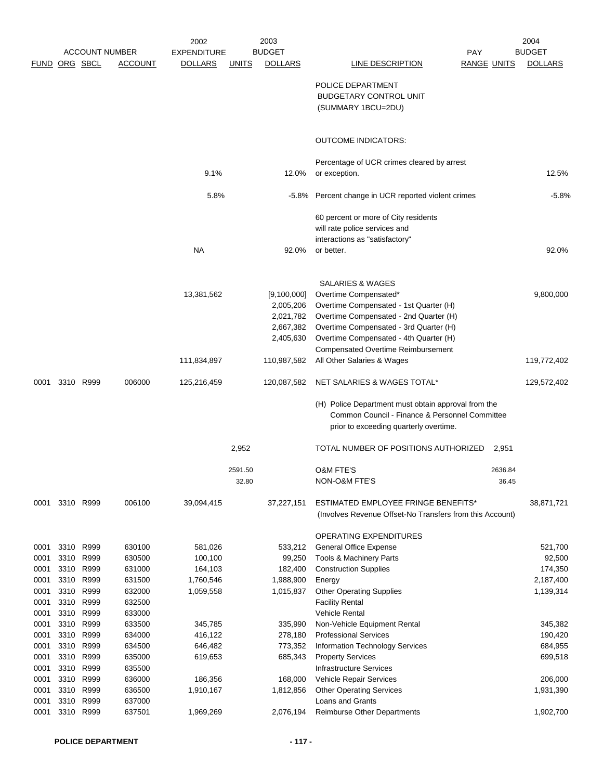|                      |      |                       |                  | 2002               |         | 2003               |                                                             |                    | 2004               |
|----------------------|------|-----------------------|------------------|--------------------|---------|--------------------|-------------------------------------------------------------|--------------------|--------------------|
|                      |      | <b>ACCOUNT NUMBER</b> |                  | <b>EXPENDITURE</b> |         | <b>BUDGET</b>      |                                                             | <b>PAY</b>         | <b>BUDGET</b>      |
| <b>FUND ORG SBCL</b> |      |                       | <b>ACCOUNT</b>   | <b>DOLLARS</b>     | UNITS   | <b>DOLLARS</b>     | <b>LINE DESCRIPTION</b>                                     | <b>RANGE UNITS</b> | <b>DOLLARS</b>     |
|                      |      |                       |                  |                    |         |                    |                                                             |                    |                    |
|                      |      |                       |                  |                    |         |                    | POLICE DEPARTMENT                                           |                    |                    |
|                      |      |                       |                  |                    |         |                    | <b>BUDGETARY CONTROL UNIT</b>                               |                    |                    |
|                      |      |                       |                  |                    |         |                    | (SUMMARY 1BCU=2DU)                                          |                    |                    |
|                      |      |                       |                  |                    |         |                    | <b>OUTCOME INDICATORS:</b>                                  |                    |                    |
|                      |      |                       |                  |                    |         |                    |                                                             |                    |                    |
|                      |      |                       |                  |                    |         |                    | Percentage of UCR crimes cleared by arrest                  |                    |                    |
|                      |      |                       |                  | 9.1%               |         | 12.0%              | or exception.                                               |                    | 12.5%              |
|                      |      |                       |                  | 5.8%               |         |                    | -5.8% Percent change in UCR reported violent crimes         |                    | $-5.8%$            |
|                      |      |                       |                  |                    |         |                    | 60 percent or more of City residents                        |                    |                    |
|                      |      |                       |                  |                    |         |                    | will rate police services and                               |                    |                    |
|                      |      |                       |                  |                    |         |                    | interactions as "satisfactory"                              |                    |                    |
|                      |      |                       |                  | <b>NA</b>          |         | 92.0%              | or better.                                                  |                    | 92.0%              |
|                      |      |                       |                  |                    |         |                    |                                                             |                    |                    |
|                      |      |                       |                  |                    |         |                    | <b>SALARIES &amp; WAGES</b>                                 |                    |                    |
|                      |      |                       |                  | 13,381,562         |         | [9,100,000]        | Overtime Compensated*                                       |                    | 9,800,000          |
|                      |      |                       |                  |                    |         | 2,005,206          | Overtime Compensated - 1st Quarter (H)                      |                    |                    |
|                      |      |                       |                  |                    |         | 2,021,782          | Overtime Compensated - 2nd Quarter (H)                      |                    |                    |
|                      |      |                       |                  |                    |         | 2,667,382          | Overtime Compensated - 3rd Quarter (H)                      |                    |                    |
|                      |      |                       |                  |                    |         | 2,405,630          | Overtime Compensated - 4th Quarter (H)                      |                    |                    |
|                      |      |                       |                  |                    |         |                    | <b>Compensated Overtime Reimbursement</b>                   |                    |                    |
|                      |      |                       |                  | 111,834,897        |         | 110,987,582        | All Other Salaries & Wages                                  |                    | 119,772,402        |
| 0001                 |      | 3310 R999             | 006000           | 125,216,459        |         | 120,087,582        | NET SALARIES & WAGES TOTAL*                                 |                    | 129,572,402        |
|                      |      |                       |                  |                    |         |                    | (H) Police Department must obtain approval from the         |                    |                    |
|                      |      |                       |                  |                    |         |                    | Common Council - Finance & Personnel Committee              |                    |                    |
|                      |      |                       |                  |                    |         |                    | prior to exceeding quarterly overtime.                      |                    |                    |
|                      |      |                       |                  |                    | 2,952   |                    | TOTAL NUMBER OF POSITIONS AUTHORIZED                        | 2,951              |                    |
|                      |      |                       |                  |                    | 2591.50 |                    | O&M FTE'S                                                   | 2636.84            |                    |
|                      |      |                       |                  |                    | 32.80   |                    | NON-O&M FTE'S                                               | 36.45              |                    |
| 0001                 |      | 3310 R999             | 006100           | 39,094,415         |         | 37,227,151         | <b>ESTIMATED EMPLOYEE FRINGE BENEFITS*</b>                  |                    | 38,871,721         |
|                      |      |                       |                  |                    |         |                    | (Involves Revenue Offset-No Transfers from this Account)    |                    |                    |
|                      |      |                       |                  |                    |         |                    | OPERATING EXPENDITURES                                      |                    |                    |
| 0001                 |      | 3310 R999             | 630100           | 581,026            |         | 533,212            | <b>General Office Expense</b>                               |                    | 521,700            |
| 0001                 | 3310 | R999                  | 630500           | 100,100            |         | 99,250             | <b>Tools &amp; Machinery Parts</b>                          |                    | 92,500             |
| 0001                 | 3310 | R999                  | 631000           | 164,103            |         | 182,400            | <b>Construction Supplies</b>                                |                    | 174,350            |
| 0001                 | 3310 | R999                  | 631500           | 1,760,546          |         | 1,988,900          | Energy                                                      |                    | 2,187,400          |
| 0001                 | 3310 | R999                  | 632000           | 1,059,558          |         | 1,015,837          | <b>Other Operating Supplies</b>                             |                    | 1,139,314          |
| 0001                 | 3310 | R999                  | 632500           |                    |         |                    | <b>Facility Rental</b>                                      |                    |                    |
| 0001                 | 3310 | R999                  | 633000           |                    |         |                    | <b>Vehicle Rental</b>                                       |                    |                    |
| 0001                 |      | 3310 R999             | 633500           | 345,785            |         | 335,990            | Non-Vehicle Equipment Rental                                |                    | 345,382            |
| 0001<br>0001         | 3310 | 3310 R999<br>R999     | 634000<br>634500 | 416,122            |         | 278,180            | <b>Professional Services</b>                                |                    | 190,420            |
| 0001                 | 3310 | R999                  | 635000           | 646,482<br>619,653 |         | 773,352<br>685,343 | Information Technology Services<br><b>Property Services</b> |                    | 684,955<br>699,518 |
| 0001                 | 3310 | R999                  | 635500           |                    |         |                    | <b>Infrastructure Services</b>                              |                    |                    |
| 0001                 | 3310 | R999                  | 636000           | 186,356            |         | 168,000            | Vehicle Repair Services                                     |                    | 206,000            |
| 0001                 | 3310 | R999                  | 636500           | 1,910,167          |         | 1,812,856          | <b>Other Operating Services</b>                             |                    | 1,931,390          |
| 0001                 |      | 3310 R999             | 637000           |                    |         |                    | Loans and Grants                                            |                    |                    |
| 0001                 |      | 3310 R999             | 637501           | 1,969,269          |         | 2,076,194          | Reimburse Other Departments                                 |                    | 1,902,700          |
|                      |      |                       |                  |                    |         |                    |                                                             |                    |                    |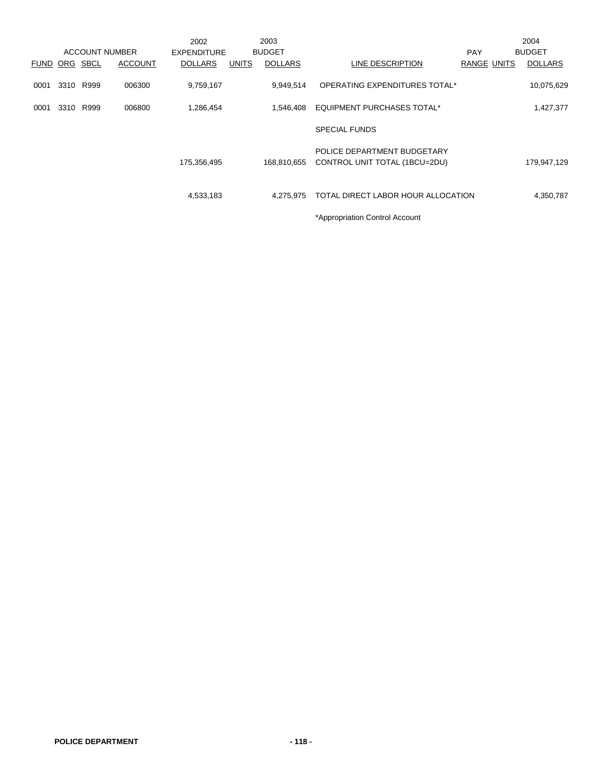|             |      |      |                       | 2002               |              | 2003           |                                                              |                    | 2004           |
|-------------|------|------|-----------------------|--------------------|--------------|----------------|--------------------------------------------------------------|--------------------|----------------|
|             |      |      | <b>ACCOUNT NUMBER</b> | <b>EXPENDITURE</b> |              | <b>BUDGET</b>  |                                                              | <b>PAY</b>         | <b>BUDGET</b>  |
| <b>FUND</b> | ORG  | SBCL | <b>ACCOUNT</b>        | <b>DOLLARS</b>     | <b>UNITS</b> | <b>DOLLARS</b> | LINE DESCRIPTION                                             | <b>RANGE UNITS</b> | <b>DOLLARS</b> |
| 0001        | 3310 | R999 | 006300                | 9,759,167          |              | 9,949,514      | OPERATING EXPENDITURES TOTAL*                                |                    | 10,075,629     |
| 0001        | 3310 | R999 | 006800                | 1,286,454          |              | 1,546,408      | <b>EQUIPMENT PURCHASES TOTAL*</b>                            |                    | 1,427,377      |
|             |      |      |                       |                    |              |                | <b>SPECIAL FUNDS</b>                                         |                    |                |
|             |      |      |                       | 175,356,495        |              | 168,810,655    | POLICE DEPARTMENT BUDGETARY<br>CONTROL UNIT TOTAL (1BCU=2DU) |                    | 179,947,129    |
|             |      |      |                       | 4,533,183          |              | 4.275.975      | TOTAL DIRECT LABOR HOUR ALLOCATION                           |                    | 4,350,787      |
|             |      |      |                       |                    |              |                | *Appropriation Control Account                               |                    |                |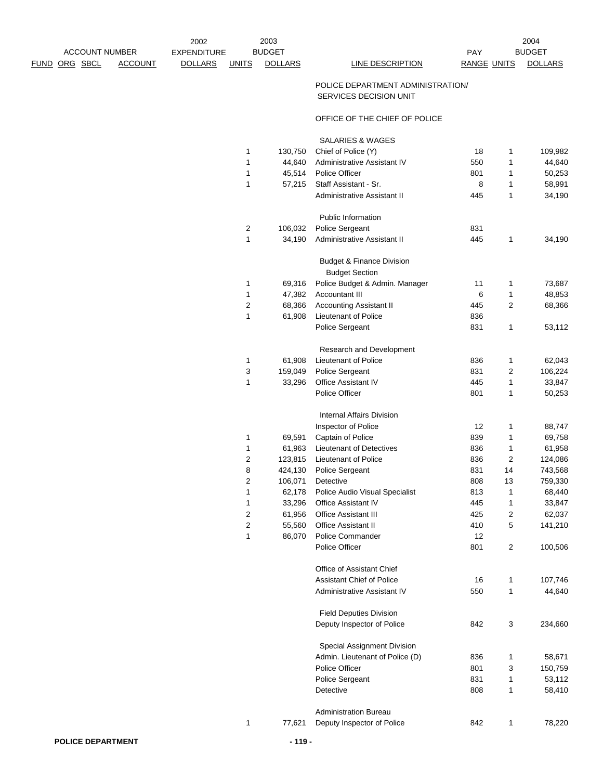|                       |                | 2002               |              | 2003           |                  |             | 2004          |
|-----------------------|----------------|--------------------|--------------|----------------|------------------|-------------|---------------|
| <b>ACCOUNT NUMBER</b> |                | <b>EXPENDITURE</b> |              | <b>BUDGET</b>  |                  | PAY         | <b>BUDGET</b> |
| FUND ORG SBCL         | <b>ACCOUNT</b> | <b>DOLLARS</b>     | <b>UNITS</b> | <b>DOLLARS</b> | LINE DESCRIPTION | RANGE UNITS | <b>DOLL</b>   |

**LINE DESCRIPTION BANGE UNITS DOLLARS** 

## POLICE DEPARTMENT ADMINISTRATION/ SERVICES DECISION UNIT

## OFFICE OF THE CHIEF OF POLICE

SALARIES & WAGES

| 1              | 130,750 | Chief of Police (Y)                                           | 18  | 1              | 109,982 |
|----------------|---------|---------------------------------------------------------------|-----|----------------|---------|
| 1              | 44,640  | Administrative Assistant IV                                   | 550 | 1              | 44,640  |
| 1              | 45,514  | <b>Police Officer</b>                                         | 801 | 1              | 50,253  |
| 1              | 57,215  | Staff Assistant - Sr.                                         | 8   | 1              | 58,991  |
|                |         | Administrative Assistant II                                   | 445 | 1              | 34,190  |
|                |         | <b>Public Information</b>                                     |     |                |         |
| 2              | 106,032 | Police Sergeant                                               | 831 |                |         |
| 1              | 34,190  | <b>Administrative Assistant II</b>                            | 445 | 1              | 34,190  |
|                |         | <b>Budget &amp; Finance Division</b><br><b>Budget Section</b> |     |                |         |
| 1              | 69,316  | Police Budget & Admin. Manager                                | 11  | $\mathbf{1}$   | 73,687  |
| 1              | 47,382  | <b>Accountant III</b>                                         | 6   | $\mathbf{1}$   | 48,853  |
| 2              | 68,366  | <b>Accounting Assistant II</b>                                | 445 | 2              | 68,366  |
| 1              | 61,908  | Lieutenant of Police                                          | 836 |                |         |
|                |         | <b>Police Sergeant</b>                                        | 831 | 1              | 53,112  |
|                |         | Research and Development                                      |     |                |         |
| 1              | 61,908  | Lieutenant of Police                                          | 836 | 1              | 62,043  |
| 3              | 159,049 | Police Sergeant                                               | 831 | 2              | 106,224 |
| 1              | 33,296  | <b>Office Assistant IV</b>                                    | 445 | $\mathbf{1}$   | 33,847  |
|                |         | Police Officer                                                | 801 | 1              | 50,253  |
|                |         | <b>Internal Affairs Division</b>                              |     |                |         |
|                |         | Inspector of Police                                           | 12  | 1              | 88,747  |
| 1              | 69,591  | Captain of Police                                             | 839 | 1              | 69,758  |
| 1              | 61,963  | Lieutenant of Detectives                                      | 836 | $\mathbf{1}$   | 61,958  |
| 2              | 123,815 | Lieutenant of Police                                          | 836 | $\overline{2}$ | 124,086 |
| 8              | 424,130 | Police Sergeant                                               | 831 | 14             | 743,568 |
| 2              | 106,071 | Detective                                                     | 808 | 13             | 759,330 |
| 1              | 62,178  | Police Audio Visual Specialist                                | 813 | 1              | 68,440  |
| 1              | 33,296  | <b>Office Assistant IV</b>                                    | 445 | $\mathbf{1}$   | 33,847  |
| 2              | 61,956  | <b>Office Assistant III</b>                                   | 425 | 2              | 62,037  |
| $\overline{c}$ | 55,560  | <b>Office Assistant II</b>                                    | 410 | 5              | 141,210 |
| 1              | 86,070  | Police Commander                                              | 12  |                |         |
|                |         | Police Officer                                                | 801 | 2              | 100,506 |
|                |         | Office of Assistant Chief                                     |     |                |         |
|                |         | <b>Assistant Chief of Police</b>                              | 16  | 1              | 107,746 |
|                |         | Administrative Assistant IV                                   | 550 | 1              | 44,640  |
|                |         | <b>Field Deputies Division</b>                                |     |                |         |
|                |         | Deputy Inspector of Police                                    | 842 | 3              | 234,660 |
|                |         | Special Assignment Division                                   |     |                |         |
|                |         | Admin. Lieutenant of Police (D)                               | 836 | 1              | 58,671  |
|                |         | Police Officer                                                | 801 | 3              | 150,759 |
|                |         | Police Sergeant                                               | 831 | 1              | 53,112  |
|                |         | Detective                                                     | 808 | 1              | 58,410  |
|                |         | <b>Administration Bureau</b>                                  |     |                |         |
| 1              | 77,621  | Deputy Inspector of Police                                    | 842 | 1              | 78,220  |
|                |         |                                                               |     |                |         |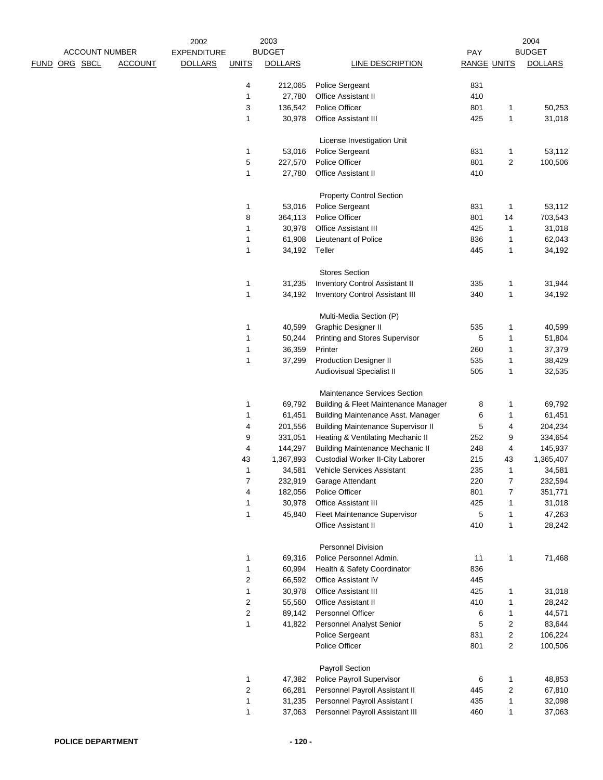| <b>ACCOUNT NUMBER</b> |                | 2002               |                         | 2003<br><b>BUDGET</b> |                                                 |                    |                | 2004           |
|-----------------------|----------------|--------------------|-------------------------|-----------------------|-------------------------------------------------|--------------------|----------------|----------------|
|                       |                | <b>EXPENDITURE</b> |                         |                       |                                                 | PAY                |                | <b>BUDGET</b>  |
| ORG SBCL<br>FUND      | <b>ACCOUNT</b> | <b>DOLLARS</b>     | <b>UNITS</b>            | <b>DOLLARS</b>        | <b>LINE DESCRIPTION</b>                         | <b>RANGE UNITS</b> |                | <b>DOLLARS</b> |
|                       |                |                    | 4                       | 212,065               | Police Sergeant                                 | 831                |                |                |
|                       |                |                    | $\mathbf{1}$            | 27,780                | Office Assistant II                             | 410                |                |                |
|                       |                |                    | 3                       | 136,542               | Police Officer                                  | 801                | 1              | 50,253         |
|                       |                |                    | 1                       | 30,978                | Office Assistant III                            | 425                | 1              | 31,018         |
|                       |                |                    |                         |                       | License Investigation Unit                      |                    |                |                |
|                       |                |                    | 1                       | 53,016                | Police Sergeant                                 | 831                | $\mathbf{1}$   | 53,112         |
|                       |                |                    | 5                       | 227,570               | Police Officer                                  | 801                | 2              | 100,506        |
|                       |                |                    | 1                       | 27,780                | Office Assistant II                             | 410                |                |                |
|                       |                |                    |                         |                       | <b>Property Control Section</b>                 |                    |                |                |
|                       |                |                    | 1                       | 53,016                | Police Sergeant                                 | 831                | 1              | 53,112         |
|                       |                |                    | 8                       | 364,113               | Police Officer                                  | 801                | 14             | 703,543        |
|                       |                |                    | $\mathbf{1}$            | 30,978                | Office Assistant III                            | 425                | 1              | 31,018         |
|                       |                |                    | 1                       | 61,908                | Lieutenant of Police                            | 836                | 1              | 62,043         |
|                       |                |                    | $\mathbf{1}$            | 34,192                | Teller                                          | 445                | 1              | 34,192         |
|                       |                |                    |                         |                       | <b>Stores Section</b>                           |                    |                |                |
|                       |                |                    | 1                       | 31,235                | <b>Inventory Control Assistant II</b>           | 335                | 1              | 31,944         |
|                       |                |                    | 1                       | 34,192                | <b>Inventory Control Assistant III</b>          | 340                | 1              | 34,192         |
|                       |                |                    |                         |                       |                                                 |                    |                |                |
|                       |                |                    |                         |                       | Multi-Media Section (P)                         |                    |                |                |
|                       |                |                    | 1                       | 40,599                | Graphic Designer II                             | 535                | 1              | 40,599         |
|                       |                |                    | 1                       | 50,244                | Printing and Stores Supervisor                  | 5                  | 1              | 51,804         |
|                       |                |                    | $\mathbf{1}$            | 36,359                | Printer                                         | 260                | 1              | 37,379         |
|                       |                |                    | $\mathbf{1}$            | 37,299                | <b>Production Designer II</b>                   | 535                | 1              | 38,429         |
|                       |                |                    |                         |                       | Audiovisual Specialist II                       | 505                | 1              | 32,535         |
|                       |                |                    |                         |                       | Maintenance Services Section                    |                    |                |                |
|                       |                |                    | 1                       | 69,792                | <b>Building &amp; Fleet Maintenance Manager</b> | 8                  | 1              | 69,792         |
|                       |                |                    | 1                       | 61,451                | Building Maintenance Asst. Manager              | 6                  | 1              | 61,451         |
|                       |                |                    | 4                       | 201,556               | <b>Building Maintenance Supervisor II</b>       | 5                  | 4              | 204,234        |
|                       |                |                    | 9                       | 331,051               | Heating & Ventilating Mechanic II               | 252                | 9              | 334,654        |
|                       |                |                    | 4                       | 144,297               | <b>Building Maintenance Mechanic II</b>         | 248                | 4              | 145,937        |
|                       |                |                    | 43                      | 1,367,893             | Custodial Worker II-City Laborer                | 215                | 43             | 1,365,407      |
|                       |                |                    | 1                       | 34,581                | <b>Vehicle Services Assistant</b>               | 235                | 1              | 34,581         |
|                       |                |                    | 7                       | 232,919               | Garage Attendant                                | 220                | 7              | 232,594        |
|                       |                |                    | 4                       | 182,056               | Police Officer                                  | 801                | $\overline{7}$ | 351,771        |
|                       |                |                    | $\mathbf{1}$            | 30,978                | Office Assistant III                            | 425                | 1              | 31,018         |
|                       |                |                    | $\mathbf{1}$            | 45,840                | Fleet Maintenance Supervisor                    | 5                  | $\mathbf{1}$   | 47,263         |
|                       |                |                    |                         |                       | Office Assistant II                             | 410                | $\mathbf{1}$   | 28,242         |
|                       |                |                    |                         |                       | <b>Personnel Division</b>                       |                    |                |                |
|                       |                |                    | 1                       | 69,316                | Police Personnel Admin.                         | 11                 | $\mathbf{1}$   | 71,468         |
|                       |                |                    | 1                       | 60,994                | Health & Safety Coordinator                     | 836                |                |                |
|                       |                |                    | 2                       | 66,592                | Office Assistant IV                             | 445                |                |                |
|                       |                |                    | 1                       | 30,978                | Office Assistant III                            | 425                | 1              | 31,018         |
|                       |                |                    | $\overline{\mathbf{c}}$ | 55,560                | Office Assistant II                             | 410                | 1              | 28,242         |
|                       |                |                    | $\boldsymbol{2}$        | 89,142                | Personnel Officer                               | 6                  | $\mathbf{1}$   | 44,571         |
|                       |                |                    | $\mathbf{1}$            | 41,822                | Personnel Analyst Senior                        | 5                  | 2              | 83,644         |
|                       |                |                    |                         |                       | Police Sergeant                                 | 831                | 2              | 106,224        |
|                       |                |                    |                         |                       | Police Officer                                  | 801                | $\overline{c}$ | 100,506        |
|                       |                |                    |                         |                       | Payroll Section                                 |                    |                |                |
|                       |                |                    | 1                       | 47,382                | Police Payroll Supervisor                       |                    | 1              | 48,853         |
|                       |                |                    |                         |                       |                                                 | 6                  |                |                |
|                       |                |                    | $\overline{\mathbf{c}}$ | 66,281                | Personnel Payroll Assistant II                  | 445                | 2              | 67,810         |
|                       |                |                    | $\mathbf{1}$            | 31,235                | Personnel Payroll Assistant I                   | 435                | 1              | 32,098         |
|                       |                |                    | $\mathbf{1}$            | 37,063                | Personnel Payroll Assistant III                 | 460                | $\mathbf{1}$   | 37,063         |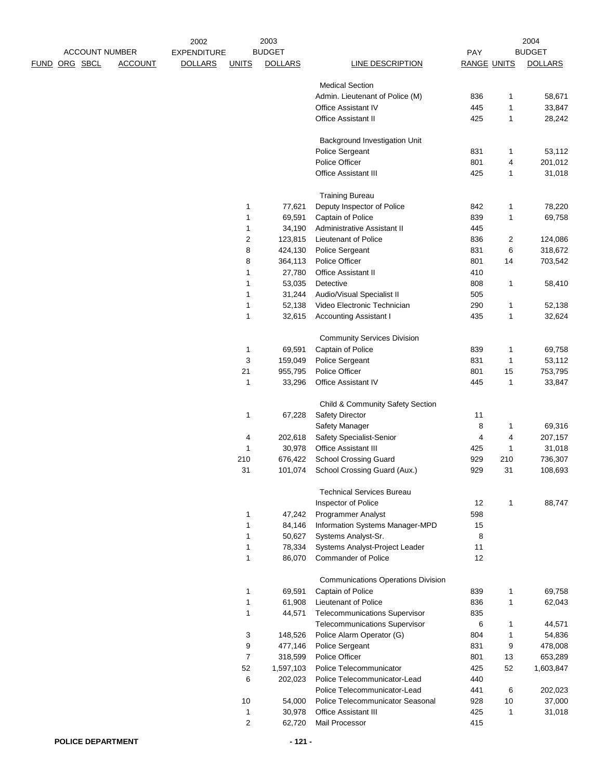|                                    | 2002                           | 2003           |                                                      |                    |     | 2004           |
|------------------------------------|--------------------------------|----------------|------------------------------------------------------|--------------------|-----|----------------|
| <b>ACCOUNT NUMBER</b>              | <b>EXPENDITURE</b>             | <b>BUDGET</b>  |                                                      | PAY                |     | <b>BUDGET</b>  |
| ORG SBCL<br><b>ACCOUNT</b><br>FUND | <b>DOLLARS</b><br><b>UNITS</b> | <b>DOLLARS</b> | <b>LINE DESCRIPTION</b>                              | <b>RANGE UNITS</b> |     | <b>DOLLARS</b> |
|                                    |                                |                |                                                      |                    |     |                |
|                                    |                                |                | <b>Medical Section</b>                               | 836                |     |                |
|                                    |                                |                | Admin. Lieutenant of Police (M)                      |                    | 1   | 58,671         |
|                                    |                                |                | Office Assistant IV                                  | 445                | 1   | 33,847         |
|                                    |                                |                | Office Assistant II                                  | 425                | 1   | 28,242         |
|                                    |                                |                | Background Investigation Unit                        |                    |     |                |
|                                    |                                |                | Police Sergeant                                      | 831                | 1   | 53,112         |
|                                    |                                |                | Police Officer                                       | 801                | 4   | 201,012        |
|                                    |                                |                | <b>Office Assistant III</b>                          | 425                | 1   | 31,018         |
|                                    |                                |                |                                                      |                    |     |                |
|                                    | 1                              | 77,621         | <b>Training Bureau</b><br>Deputy Inspector of Police | 842                | 1   | 78,220         |
|                                    | $\mathbf{1}$                   | 69,591         | Captain of Police                                    | 839                | 1   | 69,758         |
|                                    | 1                              | 34,190         | Administrative Assistant II                          | 445                |     |                |
|                                    | $\boldsymbol{2}$               | 123,815        | Lieutenant of Police                                 | 836                | 2   | 124,086        |
|                                    | 8                              | 424,130        | Police Sergeant                                      | 831                | 6   | 318,672        |
|                                    | 8                              | 364,113        | Police Officer                                       | 801                | 14  |                |
|                                    |                                |                |                                                      |                    |     | 703,542        |
|                                    | 1                              | 27,780         | Office Assistant II                                  | 410                |     |                |
|                                    | 1                              | 53,035         | Detective                                            | 808                | 1   | 58,410         |
|                                    | 1                              | 31,244         | Audio/Visual Specialist II                           | 505                |     |                |
|                                    | $\mathbf{1}$                   | 52,138         | Video Electronic Technician                          | 290                | 1   | 52,138         |
|                                    | 1                              | 32,615         | <b>Accounting Assistant I</b>                        | 435                | 1   | 32,624         |
|                                    |                                |                | <b>Community Services Division</b>                   |                    |     |                |
|                                    | $\mathbf 1$                    | 69,591         | Captain of Police                                    | 839                | 1   | 69,758         |
|                                    | 3                              | 159,049        | Police Sergeant                                      | 831                | 1   | 53,112         |
|                                    | 21                             | 955,795        | Police Officer                                       | 801                | 15  | 753,795        |
|                                    | $\mathbf{1}$                   | 33,296         | Office Assistant IV                                  | 445                | 1   | 33,847         |
|                                    |                                |                |                                                      |                    |     |                |
|                                    |                                |                | Child & Community Safety Section                     |                    |     |                |
|                                    | 1                              | 67,228         | <b>Safety Director</b>                               | 11                 |     |                |
|                                    |                                |                | Safety Manager                                       | 8                  | 1   | 69,316         |
|                                    | 4                              | 202,618        | Safety Specialist-Senior                             | 4                  | 4   | 207,157        |
|                                    | $\mathbf{1}$                   | 30,978         | Office Assistant III                                 | 425                | 1   | 31,018         |
|                                    | 210                            | 676,422        | <b>School Crossing Guard</b>                         | 929                | 210 | 736,307        |
|                                    | 31                             | 101,074        | School Crossing Guard (Aux.)                         | 929                | 31  | 108,693        |
|                                    |                                |                | <b>Technical Services Bureau</b>                     |                    |     |                |
|                                    |                                |                | Inspector of Police                                  | 12                 | 1   | 88,747         |
|                                    | 1                              | 47,242         | Programmer Analyst                                   | 598                |     |                |
|                                    | 1                              | 84,146         | Information Systems Manager-MPD                      | 15                 |     |                |
|                                    | 1                              | 50,627         | Systems Analyst-Sr.                                  | 8                  |     |                |
|                                    | 1                              | 78,334         | Systems Analyst-Project Leader                       | 11                 |     |                |
|                                    | $\mathbf{1}$                   | 86,070         | <b>Commander of Police</b>                           | 12                 |     |                |
|                                    |                                |                |                                                      |                    |     |                |
|                                    |                                |                | <b>Communications Operations Division</b>            |                    |     |                |
|                                    | $\mathbf{1}$                   | 69,591         | Captain of Police                                    | 839                | 1   | 69,758         |
|                                    | 1                              | 61,908         | Lieutenant of Police                                 | 836                | 1   | 62,043         |
|                                    | $\mathbf{1}$                   | 44,571         | <b>Telecommunications Supervisor</b>                 | 835                |     |                |
|                                    |                                |                | Telecommunications Supervisor                        | 6                  | 1   | 44,571         |
|                                    | 3                              | 148,526        | Police Alarm Operator (G)                            | 804                | 1   | 54,836         |
|                                    | 9                              | 477,146        | Police Sergeant                                      | 831                | 9   | 478,008        |
|                                    | $\overline{7}$                 | 318,599        | Police Officer                                       | 801                | 13  | 653,289        |
|                                    | 52                             | 1,597,103      | Police Telecommunicator                              | 425                | 52  | 1,603,847      |
|                                    | 6                              | 202,023        | Police Telecommunicator-Lead                         | 440                |     |                |
|                                    |                                |                | Police Telecommunicator-Lead                         | 441                | 6   | 202,023        |
|                                    | 10                             | 54,000         | Police Telecommunicator Seasonal                     | 928                | 10  | 37,000         |
|                                    | 1                              | 30,978         | <b>Office Assistant III</b>                          | 425                | 1   | 31,018         |
|                                    | $\overline{c}$                 | 62,720         | Mail Processor                                       | 415                |     |                |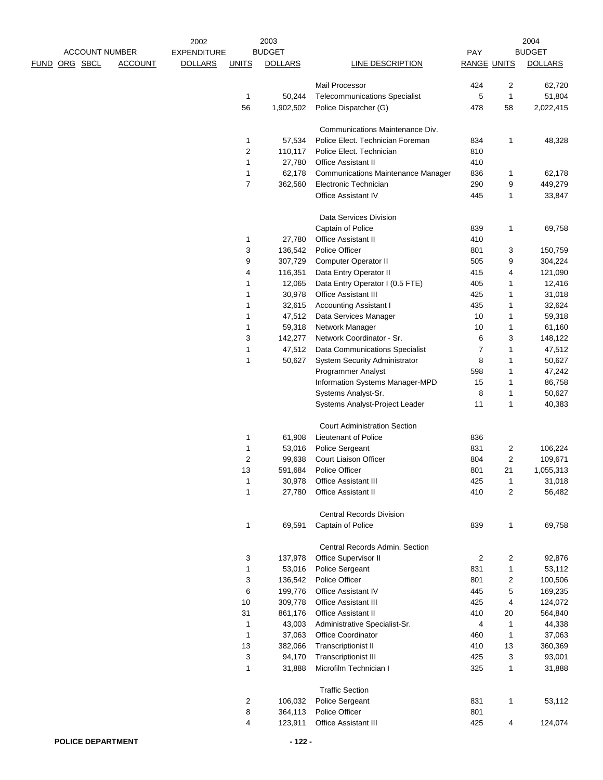|                       |                | 2002               |                              | 2003             |                                                      |                    |                | 2004              |
|-----------------------|----------------|--------------------|------------------------------|------------------|------------------------------------------------------|--------------------|----------------|-------------------|
| <b>ACCOUNT NUMBER</b> |                | <b>EXPENDITURE</b> |                              | <b>BUDGET</b>    |                                                      | PAY                |                | <b>BUDGET</b>     |
| ORG SBCL<br>FUND      | <b>ACCOUNT</b> | <b>DOLLARS</b>     | <b>UNITS</b>                 | <b>DOLLARS</b>   | LINE DESCRIPTION                                     | <b>RANGE UNITS</b> |                | <b>DOLLARS</b>    |
|                       |                |                    |                              |                  | <b>Mail Processor</b>                                | 424                | $\overline{2}$ | 62,720            |
|                       |                |                    | $\mathbf{1}$                 | 50,244           | <b>Telecommunications Specialist</b>                 | 5                  | 1              | 51,804            |
|                       |                |                    | 56                           | 1,902,502        | Police Dispatcher (G)                                | 478                | 58             | 2,022,415         |
|                       |                |                    |                              |                  |                                                      |                    |                |                   |
|                       |                |                    |                              |                  | Communications Maintenance Div.                      |                    |                |                   |
|                       |                |                    | 1                            | 57,534           | Police Elect. Technician Foreman                     | 834                | 1              | 48,328            |
|                       |                |                    | $\overline{c}$               | 110,117          | Police Elect. Technician                             | 810                |                |                   |
|                       |                |                    | 1                            | 27,780           | <b>Office Assistant II</b>                           | 410                |                |                   |
|                       |                |                    | 1                            | 62,178           | <b>Communications Maintenance Manager</b>            | 836                | 1              | 62,178            |
|                       |                |                    | $\overline{7}$               | 362,560          | Electronic Technician                                | 290                | 9              | 449,279           |
|                       |                |                    |                              |                  | Office Assistant IV                                  | 445                | 1              | 33,847            |
|                       |                |                    |                              |                  | Data Services Division                               |                    |                |                   |
|                       |                |                    |                              |                  | Captain of Police                                    | 839                | 1              | 69,758            |
|                       |                |                    | 1                            | 27,780           | Office Assistant II                                  | 410                |                |                   |
|                       |                |                    | 3                            | 136,542          | Police Officer                                       | 801                | 3              | 150,759           |
|                       |                |                    | 9                            | 307,729          | <b>Computer Operator II</b>                          | 505                | 9              | 304,224           |
|                       |                |                    | 4                            | 116,351          | Data Entry Operator II                               | 415                | 4              | 121,090           |
|                       |                |                    | 1                            | 12,065           | Data Entry Operator I (0.5 FTE)                      | 405                | 1              | 12,416            |
|                       |                |                    | 1                            | 30,978           | Office Assistant III                                 | 425                | 1              | 31,018            |
|                       |                |                    | 1                            | 32,615           | <b>Accounting Assistant I</b>                        | 435                | 1              | 32,624            |
|                       |                |                    | 1                            | 47,512           | Data Services Manager                                | 10                 | 1              | 59,318            |
|                       |                |                    | 1                            | 59,318           | Network Manager                                      | 10                 | 1              | 61,160            |
|                       |                |                    | 3                            | 142,277          | Network Coordinator - Sr.                            | 6                  | 3              | 148,122           |
|                       |                |                    | 1                            | 47,512           | Data Communications Specialist                       | $\overline{7}$     | 1              | 47,512            |
|                       |                |                    | 1                            | 50,627           | <b>System Security Administrator</b>                 | 8                  | 1              | 50,627            |
|                       |                |                    |                              |                  | Programmer Analyst                                   | 598                | 1              | 47,242            |
|                       |                |                    |                              |                  | Information Systems Manager-MPD                      | 15                 | 1              | 86,758            |
|                       |                |                    |                              |                  | Systems Analyst-Sr.                                  | 8                  | 1              | 50,627            |
|                       |                |                    |                              |                  | Systems Analyst-Project Leader                       | 11                 | 1              | 40,383            |
|                       |                |                    |                              |                  | <b>Court Administration Section</b>                  |                    |                |                   |
|                       |                |                    | 1                            | 61,908           | Lieutenant of Police                                 | 836                |                |                   |
|                       |                |                    | 1                            | 53,016           | Police Sergeant                                      | 831                | 2              | 106,224           |
|                       |                |                    | $\overline{\mathbf{c}}$      | 99,638           | Court Liaison Officer                                | 804                | 2              | 109,671           |
|                       |                |                    | 13                           | 591,684          | Police Officer                                       | 801                | 21             | 1,055,313         |
|                       |                |                    | 1                            | 30,978           | Office Assistant III                                 | 425                | 1              | 31,018            |
|                       |                |                    | $\mathbf{1}$                 | 27,780           | Office Assistant II                                  | 410                | 2              | 56,482            |
|                       |                |                    |                              |                  |                                                      |                    |                |                   |
|                       |                |                    | 1                            | 69,591           | <b>Central Records Division</b><br>Captain of Police | 839                | 1              | 69,758            |
|                       |                |                    |                              |                  |                                                      |                    |                |                   |
|                       |                |                    |                              |                  | Central Records Admin, Section                       |                    |                |                   |
|                       |                |                    | 3                            | 137,978          | Office Supervisor II                                 | 2                  | 2              | 92,876            |
|                       |                |                    | 1                            | 53,016           | Police Sergeant                                      | 831                | 1              | 53,112            |
|                       |                |                    | 3                            | 136,542          | Police Officer                                       | 801                | 2              | 100,506           |
|                       |                |                    | 6                            | 199,776          | Office Assistant IV                                  | 445                | 5              | 169,235           |
|                       |                |                    | 10                           | 309,778          | <b>Office Assistant III</b>                          | 425                | 4              | 124,072           |
|                       |                |                    | 31                           | 861,176          | Office Assistant II                                  | 410                | 20             | 564,840           |
|                       |                |                    | $\mathbf{1}$<br>$\mathbf{1}$ | 43,003<br>37,063 | Administrative Specialist-Sr.<br>Office Coordinator  | 4<br>460           | 1<br>1         | 44,338            |
|                       |                |                    | 13                           | 382,066          | <b>Transcriptionist II</b>                           | 410                | 13             | 37,063<br>360,369 |
|                       |                |                    | 3                            | 94,170           | <b>Transcriptionist III</b>                          | 425                | 3              | 93,001            |
|                       |                |                    | $\mathbf{1}$                 | 31,888           | Microfilm Technician I                               | 325                | 1              | 31,888            |
|                       |                |                    |                              |                  |                                                      |                    |                |                   |
|                       |                |                    |                              |                  | <b>Traffic Section</b>                               |                    |                |                   |
|                       |                |                    | 2                            | 106,032          | Police Sergeant                                      | 831                | 1              | 53,112            |
|                       |                |                    | 8                            | 364,113          | Police Officer                                       | 801                |                |                   |
|                       |                |                    | 4                            | 123,911          | Office Assistant III                                 | 425                | 4              | 124,074           |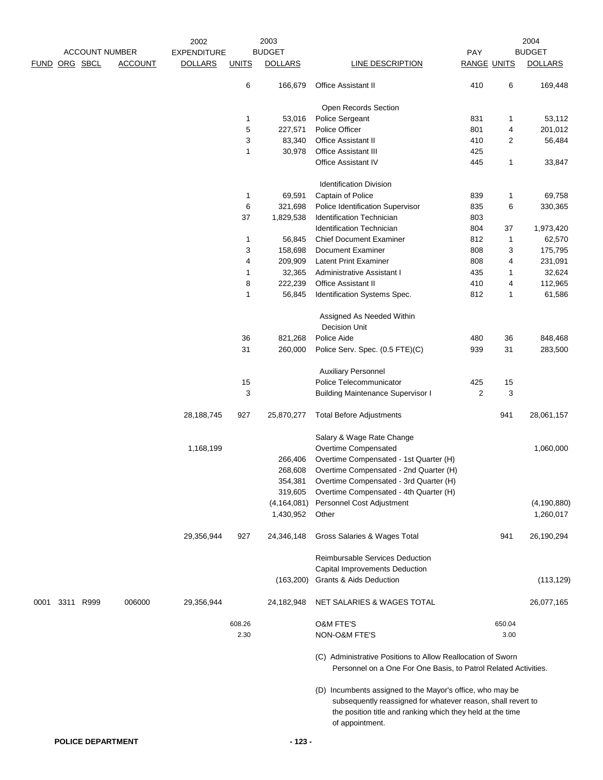|               |           |                          | 2002               |              | 2003           |                                                                                                                                                                                                            |                         |                | 2004           |
|---------------|-----------|--------------------------|--------------------|--------------|----------------|------------------------------------------------------------------------------------------------------------------------------------------------------------------------------------------------------------|-------------------------|----------------|----------------|
|               |           | <b>ACCOUNT NUMBER</b>    | <b>EXPENDITURE</b> |              | <b>BUDGET</b>  |                                                                                                                                                                                                            | PAY                     |                | <b>BUDGET</b>  |
| FUND ORG SBCL |           | <b>ACCOUNT</b>           | <b>DOLLARS</b>     | <b>UNITS</b> | <b>DOLLARS</b> | <b>LINE DESCRIPTION</b>                                                                                                                                                                                    | <b>RANGE UNITS</b>      |                | <b>DOLLARS</b> |
|               |           |                          |                    | 6            | 166,679        | <b>Office Assistant II</b>                                                                                                                                                                                 | 410                     | 6              | 169,448        |
|               |           |                          |                    |              |                | Open Records Section                                                                                                                                                                                       |                         |                |                |
|               |           |                          |                    | 1            | 53,016         | Police Sergeant                                                                                                                                                                                            | 831                     | 1              | 53,112         |
|               |           |                          |                    | $\,$ 5 $\,$  | 227,571        | Police Officer                                                                                                                                                                                             | 801                     | 4              | 201,012        |
|               |           |                          |                    | 3            | 83,340         | <b>Office Assistant II</b>                                                                                                                                                                                 | 410                     | $\overline{2}$ | 56,484         |
|               |           |                          |                    | $\mathbf{1}$ | 30,978         | Office Assistant III                                                                                                                                                                                       | 425                     |                |                |
|               |           |                          |                    |              |                | Office Assistant IV                                                                                                                                                                                        | 445                     | 1              | 33,847         |
|               |           |                          |                    |              |                | <b>Identification Division</b>                                                                                                                                                                             |                         |                |                |
|               |           |                          |                    | $\mathbf{1}$ | 69,591         | Captain of Police                                                                                                                                                                                          | 839                     | 1              | 69,758         |
|               |           |                          |                    | 6            | 321,698        | Police Identification Supervisor                                                                                                                                                                           | 835                     | 6              | 330,365        |
|               |           |                          |                    | 37           | 1,829,538      | <b>Identification Technician</b>                                                                                                                                                                           | 803                     |                |                |
|               |           |                          |                    |              |                | <b>Identification Technician</b>                                                                                                                                                                           | 804                     | 37             | 1,973,420      |
|               |           |                          |                    | $\mathbf 1$  | 56,845         | <b>Chief Document Examiner</b>                                                                                                                                                                             | 812                     | $\mathbf{1}$   | 62,570         |
|               |           |                          |                    | 3            | 158,698        | <b>Document Examiner</b>                                                                                                                                                                                   | 808                     | 3              | 175,795        |
|               |           |                          |                    | 4            | 209,909        | Latent Print Examiner                                                                                                                                                                                      | 808                     | 4              | 231,091        |
|               |           |                          |                    | $\mathbf{1}$ | 32,365         | <b>Administrative Assistant I</b>                                                                                                                                                                          | 435                     | 1              | 32,624         |
|               |           |                          |                    | 8            | 222,239        | <b>Office Assistant II</b>                                                                                                                                                                                 | 410                     | 4              | 112,965        |
|               |           |                          |                    | $\mathbf{1}$ | 56,845         | Identification Systems Spec.                                                                                                                                                                               | 812                     | 1              | 61,586         |
|               |           |                          |                    |              |                | Assigned As Needed Within<br><b>Decision Unit</b>                                                                                                                                                          |                         |                |                |
|               |           |                          |                    | 36           | 821,268        | Police Aide                                                                                                                                                                                                | 480                     | 36             | 848,468        |
|               |           |                          |                    | 31           | 260,000        | Police Serv. Spec. (0.5 FTE)(C)                                                                                                                                                                            | 939                     | 31             | 283,500        |
|               |           |                          |                    |              |                | <b>Auxiliary Personnel</b>                                                                                                                                                                                 |                         |                |                |
|               |           |                          |                    | 15           |                | Police Telecommunicator                                                                                                                                                                                    | 425                     | 15             |                |
|               |           |                          |                    | 3            |                | <b>Building Maintenance Supervisor I</b>                                                                                                                                                                   | $\overline{\mathbf{c}}$ | 3              |                |
|               |           |                          | 28, 188, 745       | 927          | 25,870,277     | <b>Total Before Adjustments</b>                                                                                                                                                                            |                         | 941            | 28,061,157     |
|               |           |                          |                    |              |                | Salary & Wage Rate Change                                                                                                                                                                                  |                         |                |                |
|               |           |                          | 1,168,199          |              |                | Overtime Compensated                                                                                                                                                                                       |                         |                | 1,060,000      |
|               |           |                          |                    |              | 266,406        | Overtime Compensated - 1st Quarter (H)                                                                                                                                                                     |                         |                |                |
|               |           |                          |                    |              | 268,608        | Overtime Compensated - 2nd Quarter (H)                                                                                                                                                                     |                         |                |                |
|               |           |                          |                    |              | 354,381        | Overtime Compensated - 3rd Quarter (H)                                                                                                                                                                     |                         |                |                |
|               |           |                          |                    |              | 319,605        | Overtime Compensated - 4th Quarter (H)                                                                                                                                                                     |                         |                |                |
|               |           |                          |                    |              | (4, 164, 081)  | Personnel Cost Adjustment                                                                                                                                                                                  |                         |                | (4, 190, 880)  |
|               |           |                          |                    |              | 1,430,952      | Other                                                                                                                                                                                                      |                         |                | 1,260,017      |
|               |           |                          | 29,356,944         | 927          | 24,346,148     | Gross Salaries & Wages Total                                                                                                                                                                               |                         | 941            | 26,190,294     |
|               |           |                          |                    |              |                | Reimbursable Services Deduction                                                                                                                                                                            |                         |                |                |
|               |           |                          |                    |              |                | Capital Improvements Deduction                                                                                                                                                                             |                         |                |                |
|               |           |                          |                    |              | (163, 200)     | Grants & Aids Deduction                                                                                                                                                                                    |                         |                | (113, 129)     |
| 0001          | 3311 R999 | 006000                   | 29,356,944         |              | 24,182,948     | NET SALARIES & WAGES TOTAL                                                                                                                                                                                 |                         |                | 26,077,165     |
|               |           |                          |                    | 608.26       |                | <b>O&amp;M FTE'S</b>                                                                                                                                                                                       |                         | 650.04         |                |
|               |           |                          |                    | 2.30         |                | NON-O&M FTE'S                                                                                                                                                                                              |                         | 3.00           |                |
|               |           |                          |                    |              |                | (C) Administrative Positions to Allow Reallocation of Sworn<br>Personnel on a One For One Basis, to Patrol Related Activities.                                                                             |                         |                |                |
|               |           |                          |                    |              |                | (D) Incumbents assigned to the Mayor's office, who may be<br>subsequently reassigned for whatever reason, shall revert to<br>the position title and ranking which they held at the time<br>of appointment. |                         |                |                |
|               |           |                          |                    |              |                |                                                                                                                                                                                                            |                         |                |                |
|               |           | <b>POLICE DEPARTMENT</b> |                    |              | $-123-$        |                                                                                                                                                                                                            |                         |                |                |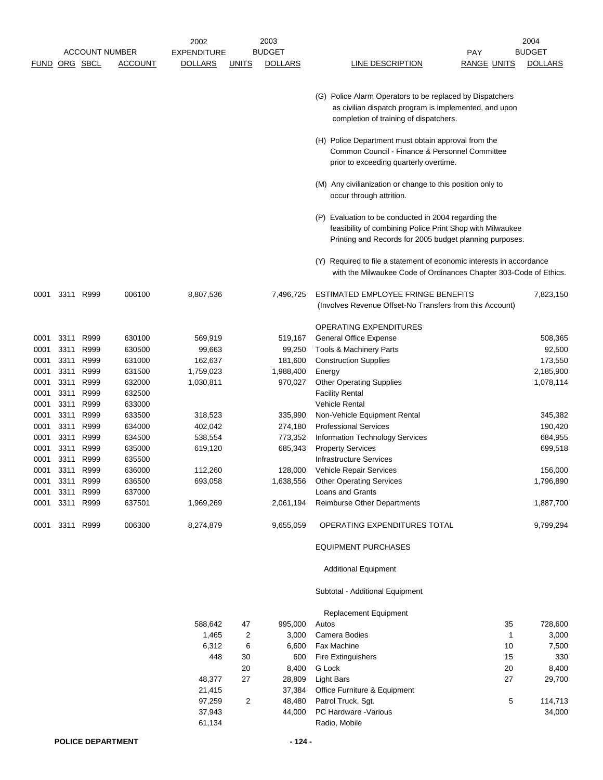|      |      |                      |                       | 2002               |                | 2003           |                                                                                                                                                                              | 2004           |
|------|------|----------------------|-----------------------|--------------------|----------------|----------------|------------------------------------------------------------------------------------------------------------------------------------------------------------------------------|----------------|
|      |      |                      | <b>ACCOUNT NUMBER</b> | <b>EXPENDITURE</b> |                | <b>BUDGET</b>  | <b>PAY</b>                                                                                                                                                                   | <b>BUDGET</b>  |
|      |      | <b>FUND ORG SBCL</b> | <b>ACCOUNT</b>        | <u>DOLLARS</u>     | <u>UNITS</u>   | <b>DOLLARS</b> | LINE DESCRIPTION<br><u>RANGE UNITS</u>                                                                                                                                       | <b>DOLLARS</b> |
|      |      |                      |                       |                    |                |                | (G) Police Alarm Operators to be replaced by Dispatchers<br>as civilian dispatch program is implemented, and upon<br>completion of training of dispatchers.                  |                |
|      |      |                      |                       |                    |                |                | (H) Police Department must obtain approval from the<br>Common Council - Finance & Personnel Committee<br>prior to exceeding quarterly overtime.                              |                |
|      |      |                      |                       |                    |                |                | (M) Any civilianization or change to this position only to<br>occur through attrition.                                                                                       |                |
|      |      |                      |                       |                    |                |                | (P) Evaluation to be conducted in 2004 regarding the<br>feasibility of combining Police Print Shop with Milwaukee<br>Printing and Records for 2005 budget planning purposes. |                |
|      |      |                      |                       |                    |                |                | (Y) Required to file a statement of economic interests in accordance<br>with the Milwaukee Code of Ordinances Chapter 303-Code of Ethics.                                    |                |
| 0001 |      | 3311 R999            | 006100                | 8,807,536          |                | 7,496,725      | ESTIMATED EMPLOYEE FRINGE BENEFITS<br>(Involves Revenue Offset-No Transfers from this Account)                                                                               | 7,823,150      |
|      |      |                      |                       |                    |                |                | OPERATING EXPENDITURES                                                                                                                                                       |                |
| 0001 | 3311 | R999                 | 630100                | 569,919            |                | 519,167        | General Office Expense                                                                                                                                                       | 508,365        |
| 0001 | 3311 | R999                 | 630500                | 99,663             |                | 99,250         | Tools & Machinery Parts                                                                                                                                                      | 92,500         |
| 0001 | 3311 | R999                 | 631000                | 162,637            |                | 181,600        | <b>Construction Supplies</b>                                                                                                                                                 | 173,550        |
| 0001 | 3311 | R999                 | 631500                | 1,759,023          |                | 1,988,400      | Energy                                                                                                                                                                       | 2,185,900      |
| 0001 | 3311 | R999                 | 632000                | 1,030,811          |                | 970,027        | <b>Other Operating Supplies</b>                                                                                                                                              | 1,078,114      |
| 0001 | 3311 | R999                 | 632500                |                    |                |                | <b>Facility Rental</b>                                                                                                                                                       |                |
| 0001 | 3311 | R999                 | 633000                |                    |                |                | <b>Vehicle Rental</b>                                                                                                                                                        |                |
| 0001 | 3311 | R999                 | 633500                | 318,523            |                | 335,990        | Non-Vehicle Equipment Rental                                                                                                                                                 | 345,382        |
| 0001 | 3311 | R999                 | 634000                | 402,042            |                | 274,180        | <b>Professional Services</b>                                                                                                                                                 | 190,420        |
| 0001 | 3311 | R999                 | 634500                | 538,554            |                | 773,352        | Information Technology Services                                                                                                                                              | 684,955        |
| 0001 | 3311 | R999                 | 635000                | 619,120            |                | 685,343        | <b>Property Services</b>                                                                                                                                                     | 699,518        |
| 0001 | 3311 | R999                 | 635500                |                    |                |                | <b>Infrastructure Services</b>                                                                                                                                               |                |
| 0001 | 3311 | R999                 | 636000                | 112,260            |                | 128,000        | Vehicle Repair Services                                                                                                                                                      | 156,000        |
| 0001 | 3311 | R999                 | 636500                | 693,058            |                | 1,638,556      | <b>Other Operating Services</b>                                                                                                                                              | 1,796,890      |
| 0001 |      | 3311 R999            | 637000                |                    |                |                | Loans and Grants                                                                                                                                                             |                |
| 0001 | 3311 | R999                 | 637501                | 1,969,269          |                | 2,061,194      | <b>Reimburse Other Departments</b>                                                                                                                                           | 1,887,700      |
|      |      | 0001 3311 R999       | 006300                | 8,274,879          |                | 9,655,059      | OPERATING EXPENDITURES TOTAL                                                                                                                                                 | 9,799,294      |
|      |      |                      |                       |                    |                |                |                                                                                                                                                                              |                |
|      |      |                      |                       |                    |                |                | <b>EQUIPMENT PURCHASES</b>                                                                                                                                                   |                |
|      |      |                      |                       |                    |                |                | <b>Additional Equipment</b>                                                                                                                                                  |                |
|      |      |                      |                       |                    |                |                | Subtotal - Additional Equipment                                                                                                                                              |                |
|      |      |                      |                       |                    |                |                | Replacement Equipment<br>35                                                                                                                                                  |                |
|      |      |                      |                       | 588,642            | 47             | 995,000        | Autos<br>$\mathbf{1}$                                                                                                                                                        | 728,600        |
|      |      |                      |                       | 1,465<br>6,312     | 2<br>6         | 3,000<br>6,600 | Camera Bodies<br>Fax Machine<br>10                                                                                                                                           | 3,000<br>7,500 |
|      |      |                      |                       | 448                | 30             | 600            | <b>Fire Extinguishers</b><br>15                                                                                                                                              | 330            |
|      |      |                      |                       |                    | 20             | 8,400          | G Lock<br>20                                                                                                                                                                 | 8,400          |
|      |      |                      |                       | 48,377             | 27             | 28,809         | <b>Light Bars</b><br>27                                                                                                                                                      | 29,700         |
|      |      |                      |                       | 21,415             |                | 37,384         | Office Furniture & Equipment                                                                                                                                                 |                |
|      |      |                      |                       | 97,259             | $\overline{c}$ | 48,480         | Patrol Truck, Sgt.<br>5                                                                                                                                                      | 114,713        |
|      |      |                      |                       | 37,943             |                | 44,000         | PC Hardware - Various                                                                                                                                                        | 34,000         |
|      |      |                      |                       | 61,134             |                |                | Radio, Mobile                                                                                                                                                                |                |
|      |      |                      |                       |                    |                |                |                                                                                                                                                                              |                |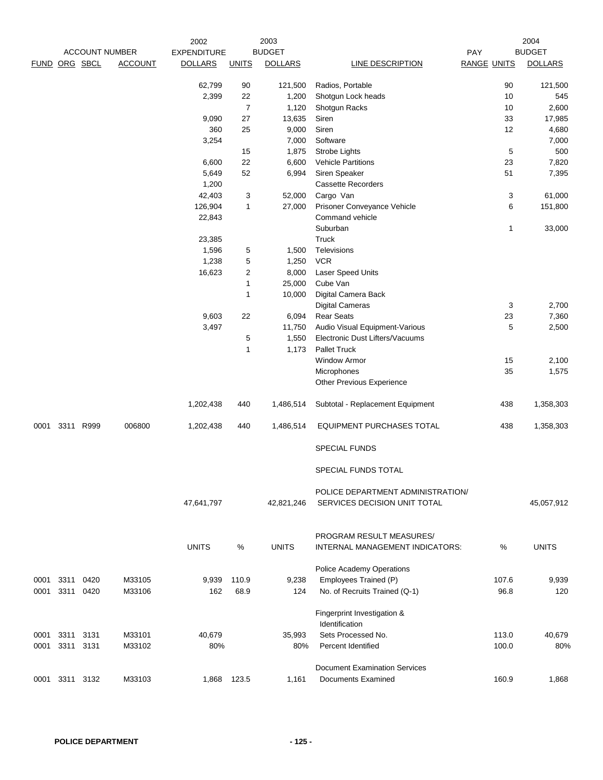|      |                |                       |                | 2002               |                | 2003           |                                               |                    | 2004           |
|------|----------------|-----------------------|----------------|--------------------|----------------|----------------|-----------------------------------------------|--------------------|----------------|
|      |                | <b>ACCOUNT NUMBER</b> |                | <b>EXPENDITURE</b> |                | <b>BUDGET</b>  |                                               | PAY                | <b>BUDGET</b>  |
|      | FUND ORG SBCL  |                       | <b>ACCOUNT</b> | <b>DOLLARS</b>     | <b>UNITS</b>   | <b>DOLLARS</b> | LINE DESCRIPTION                              | <b>RANGE UNITS</b> | <b>DOLLARS</b> |
|      |                |                       |                | 62,799             | 90             | 121,500        | Radios, Portable                              | 90                 | 121,500        |
|      |                |                       |                | 2,399              | 22             | 1,200          | Shotgun Lock heads                            | 10                 | 545            |
|      |                |                       |                |                    | $\overline{7}$ | 1,120          | Shotgun Racks                                 | 10                 | 2,600          |
|      |                |                       |                | 9,090              | 27             | 13,635         | Siren                                         | 33                 | 17,985         |
|      |                |                       |                | 360                | 25             | 9,000          | Siren                                         | 12                 | 4,680          |
|      |                |                       |                | 3,254              |                | 7,000          | Software                                      |                    | 7,000          |
|      |                |                       |                |                    | 15             | 1,875          | Strobe Lights                                 | 5                  | 500            |
|      |                |                       |                | 6,600              | 22             | 6,600          | <b>Vehicle Partitions</b>                     | 23                 | 7,820          |
|      |                |                       |                | 5,649              | 52             | 6,994          | Siren Speaker                                 | 51                 | 7,395          |
|      |                |                       |                |                    |                |                | <b>Cassette Recorders</b>                     |                    |                |
|      |                |                       |                | 1,200              |                |                |                                               |                    |                |
|      |                |                       |                | 42,403             | 3              | 52,000         | Cargo Van                                     | 3                  | 61,000         |
|      |                |                       |                | 126,904            | 1              | 27,000         | Prisoner Conveyance Vehicle                   | 6                  | 151,800        |
|      |                |                       |                | 22,843             |                |                | Command vehicle                               |                    |                |
|      |                |                       |                |                    |                |                | Suburban                                      | 1                  | 33,000         |
|      |                |                       |                | 23,385             |                |                | Truck                                         |                    |                |
|      |                |                       |                | 1,596              | 5              | 1,500          | <b>Televisions</b>                            |                    |                |
|      |                |                       |                | 1,238              | 5              | 1,250          | <b>VCR</b>                                    |                    |                |
|      |                |                       |                | 16,623             | 2              | 8,000          | Laser Speed Units                             |                    |                |
|      |                |                       |                |                    | 1              | 25,000         | Cube Van                                      |                    |                |
|      |                |                       |                |                    | 1              | 10,000         | Digital Camera Back                           |                    |                |
|      |                |                       |                |                    |                |                | <b>Digital Cameras</b>                        | 3                  | 2,700          |
|      |                |                       |                | 9,603              | 22             | 6,094          | <b>Rear Seats</b>                             | 23                 | 7,360          |
|      |                |                       |                | 3,497              |                | 11,750         | Audio Visual Equipment-Various                | 5                  | 2,500          |
|      |                |                       |                |                    | 5              | 1,550          | Electronic Dust Lifters/Vacuums               |                    |                |
|      |                |                       |                |                    | 1              | 1,173          | <b>Pallet Truck</b>                           |                    |                |
|      |                |                       |                |                    |                |                | <b>Window Armor</b>                           | 15                 | 2,100          |
|      |                |                       |                |                    |                |                | Microphones                                   | 35                 | 1,575          |
|      |                |                       |                |                    |                |                | Other Previous Experience                     |                    |                |
|      |                |                       |                | 1,202,438          | 440            | 1,486,514      | Subtotal - Replacement Equipment              | 438                | 1,358,303      |
| 0001 | 3311           | R999                  | 006800         | 1,202,438          | 440            | 1,486,514      | <b>EQUIPMENT PURCHASES TOTAL</b>              | 438                | 1,358,303      |
|      |                |                       |                |                    |                |                | <b>SPECIAL FUNDS</b>                          |                    |                |
|      |                |                       |                |                    |                |                | SPECIAL FUNDS TOTAL                           |                    |                |
|      |                |                       |                |                    |                |                | POLICE DEPARTMENT ADMINISTRATION/             |                    |                |
|      |                |                       |                | 47,641,797         |                | 42,821,246     | SERVICES DECISION UNIT TOTAL                  |                    | 45,057,912     |
|      |                |                       |                |                    |                |                | PROGRAM RESULT MEASURES/                      |                    |                |
|      |                |                       |                | <b>UNITS</b>       | %              | <b>UNITS</b>   | INTERNAL MANAGEMENT INDICATORS:               | %                  | <b>UNITS</b>   |
|      |                |                       |                |                    |                |                | Police Academy Operations                     |                    |                |
| 0001 | 3311           | 0420                  | M33105         | 9,939              | 110.9          | 9,238          | Employees Trained (P)                         | 107.6              | 9,939          |
| 0001 |                | 3311 0420             | M33106         | 162                | 68.9           | 124            | No. of Recruits Trained (Q-1)                 | 96.8               | 120            |
|      |                |                       |                |                    |                |                | Fingerprint Investigation &<br>Identification |                    |                |
| 0001 | 3311 3131      |                       | M33101         | 40,679             |                | 35,993         | Sets Processed No.                            | 113.0              | 40,679         |
| 0001 | 3311 3131      |                       | M33102         | 80%                |                | 80%            | <b>Percent Identified</b>                     | 100.0              | 80%            |
|      |                |                       |                |                    |                |                |                                               |                    |                |
|      |                |                       |                |                    |                |                | <b>Document Examination Services</b>          |                    |                |
|      | 0001 3311 3132 |                       | M33103         |                    | 1,868 123.5    | 1,161          | <b>Documents Examined</b>                     | 160.9              | 1,868          |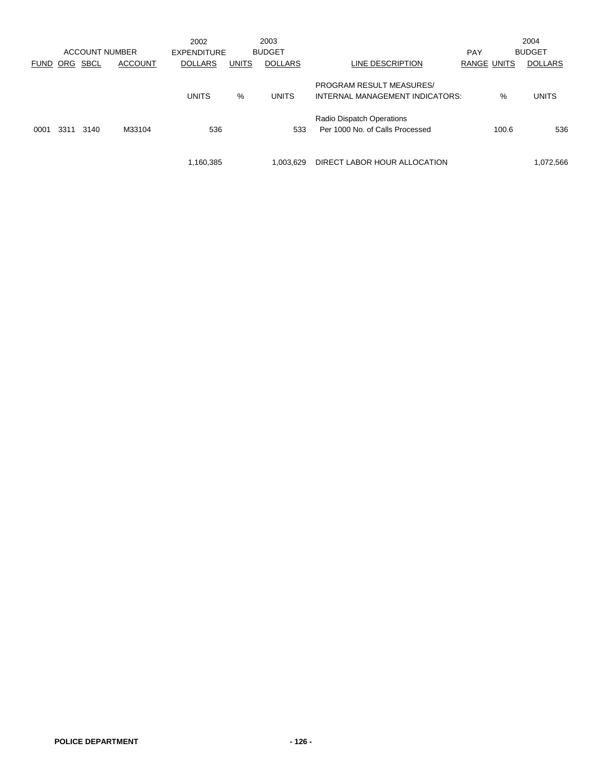|             |      |      |                       | 2002               |              | 2003           |                                                                    |                    |       | 2004           |
|-------------|------|------|-----------------------|--------------------|--------------|----------------|--------------------------------------------------------------------|--------------------|-------|----------------|
|             |      |      | <b>ACCOUNT NUMBER</b> | <b>EXPENDITURE</b> |              | <b>BUDGET</b>  |                                                                    | <b>PAY</b>         |       | <b>BUDGET</b>  |
| <b>FUND</b> | ORG  | SBCL | <b>ACCOUNT</b>        | <b>DOLLARS</b>     | <b>UNITS</b> | <b>DOLLARS</b> | LINE DESCRIPTION                                                   | <b>RANGE UNITS</b> |       | <b>DOLLARS</b> |
|             |      |      |                       | <b>UNITS</b>       | %            | <b>UNITS</b>   | <b>PROGRAM RESULT MEASURES/</b><br>INTERNAL MANAGEMENT INDICATORS: |                    | %     | <b>UNITS</b>   |
| 0001        | 3311 | 3140 | M33104                | 536                |              | 533            | Radio Dispatch Operations<br>Per 1000 No. of Calls Processed       |                    | 100.6 | 536            |
|             |      |      |                       | 1,160,385          |              | 1.003.629      | DIRECT LABOR HOUR ALLOCATION                                       |                    |       | 1,072,566      |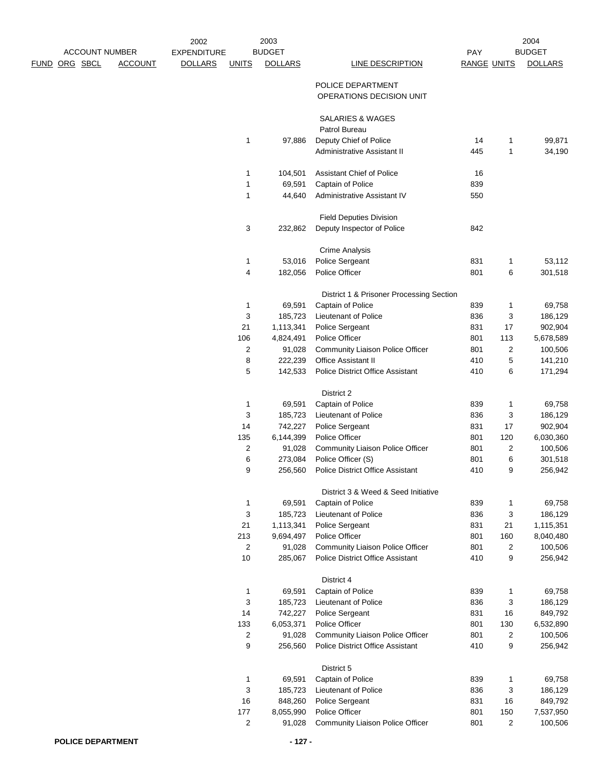|      |          |                       | 2002               |                | 2003           |                                          |                    |                | 2004           |
|------|----------|-----------------------|--------------------|----------------|----------------|------------------------------------------|--------------------|----------------|----------------|
|      |          | <b>ACCOUNT NUMBER</b> | <b>EXPENDITURE</b> |                | <b>BUDGET</b>  |                                          | PAY                |                | <b>BUDGET</b>  |
| FUND | ORG SBCL | <b>ACCOUNT</b>        | <b>DOLLARS</b>     | <b>UNITS</b>   | <b>DOLLARS</b> | <b>LINE DESCRIPTION</b>                  | <b>RANGE UNITS</b> |                | <b>DOLLARS</b> |
|      |          |                       |                    |                |                | POLICE DEPARTMENT                        |                    |                |                |
|      |          |                       |                    |                |                | OPERATIONS DECISION UNIT                 |                    |                |                |
|      |          |                       |                    |                |                | SALARIES & WAGES                         |                    |                |                |
|      |          |                       |                    |                |                | Patrol Bureau                            |                    |                |                |
|      |          |                       |                    | 1              | 97,886         | Deputy Chief of Police                   | 14                 | 1              | 99,871         |
|      |          |                       |                    |                |                | Administrative Assistant II              | 445                | 1              | 34,190         |
|      |          |                       |                    | 1              | 104,501        | <b>Assistant Chief of Police</b>         | 16                 |                |                |
|      |          |                       |                    | 1              | 69,591         | Captain of Police                        | 839                |                |                |
|      |          |                       |                    | 1              | 44,640         | Administrative Assistant IV              | 550                |                |                |
|      |          |                       |                    |                |                | <b>Field Deputies Division</b>           |                    |                |                |
|      |          |                       |                    | 3              | 232,862        | Deputy Inspector of Police               | 842                |                |                |
|      |          |                       |                    |                |                | <b>Crime Analysis</b>                    |                    |                |                |
|      |          |                       |                    | 1              | 53,016         | Police Sergeant                          | 831                | 1              | 53,112         |
|      |          |                       |                    | 4              | 182,056        | Police Officer                           | 801                | 6              | 301,518        |
|      |          |                       |                    |                |                | District 1 & Prisoner Processing Section |                    |                |                |
|      |          |                       |                    | 1              | 69,591         | Captain of Police                        | 839                | 1              | 69,758         |
|      |          |                       |                    | 3              | 185,723        | Lieutenant of Police                     | 836                | 3              | 186,129        |
|      |          |                       |                    | 21             | 1,113,341      | Police Sergeant                          | 831                | 17             | 902,904        |
|      |          |                       |                    | 106            | 4,824,491      | <b>Police Officer</b>                    | 801                | 113            | 5,678,589      |
|      |          |                       |                    | 2              | 91,028         | Community Liaison Police Officer         | 801                | 2              | 100,506        |
|      |          |                       |                    | 8              | 222,239        | <b>Office Assistant II</b>               | 410                | 5              | 141,210        |
|      |          |                       |                    | 5              | 142,533        | Police District Office Assistant         | 410                | 6              | 171,294        |
|      |          |                       |                    |                |                | District 2                               |                    |                |                |
|      |          |                       |                    | 1              | 69,591         | Captain of Police                        | 839                | 1              | 69,758         |
|      |          |                       |                    | 3              | 185,723        | Lieutenant of Police                     | 836                | 3              | 186,129        |
|      |          |                       |                    | 14             | 742,227        | Police Sergeant                          | 831                | 17             | 902,904        |
|      |          |                       |                    | 135            | 6,144,399      | Police Officer                           | 801                | 120            | 6,030,360      |
|      |          |                       |                    | 2              | 91,028         | Community Liaison Police Officer         | 801                | 2              | 100,506        |
|      |          |                       |                    | 6              | 273,084        | Police Officer (S)                       | 801                | 6              | 301,518        |
|      |          |                       |                    | 9              | 256,560        | <b>Police District Office Assistant</b>  | 410                | 9              | 256,942        |
|      |          |                       |                    |                |                | District 3 & Weed & Seed Initiative      |                    |                |                |
|      |          |                       |                    | 1              | 69,591         | Captain of Police                        | 839                | 1              | 69,758         |
|      |          |                       |                    | 3              | 185,723        | Lieutenant of Police                     | 836                | 3              | 186,129        |
|      |          |                       |                    | 21             | 1,113,341      | Police Sergeant                          | 831                | 21             | 1,115,351      |
|      |          |                       |                    | 213            | 9,694,497      | Police Officer                           | 801                | 160            | 8,040,480      |
|      |          |                       |                    | 2              | 91,028         | Community Liaison Police Officer         | 801                | $\overline{2}$ | 100,506        |
|      |          |                       |                    | 10             | 285,067        | Police District Office Assistant         | 410                | 9              | 256,942        |
|      |          |                       |                    |                |                | District 4                               |                    |                |                |
|      |          |                       |                    | 1              | 69,591         | Captain of Police                        | 839                | $\mathbf{1}$   | 69,758         |
|      |          |                       |                    | 3              | 185,723        | Lieutenant of Police                     | 836                | 3              | 186,129        |
|      |          |                       |                    | 14             | 742,227        | Police Sergeant                          | 831                | 16             | 849,792        |
|      |          |                       |                    | 133            | 6,053,371      | Police Officer                           | 801                | 130            | 6,532,890      |
|      |          |                       |                    | $\overline{2}$ | 91,028         | Community Liaison Police Officer         | 801                | $\overline{2}$ | 100,506        |
|      |          |                       |                    | 9              | 256,560        | Police District Office Assistant         | 410                | 9              | 256,942        |
|      |          |                       |                    |                |                | District 5                               |                    |                |                |
|      |          |                       |                    | 1              | 69,591         | Captain of Police                        | 839                | 1              | 69,758         |
|      |          |                       |                    | 3              | 185,723        | Lieutenant of Police                     | 836                | 3              | 186,129        |
|      |          |                       |                    | 16             | 848,260        | Police Sergeant                          | 831                | 16             | 849,792        |
|      |          |                       |                    | 177            | 8,055,990      | Police Officer                           | 801                | 150            | 7,537,950      |
|      |          |                       |                    | 2              | 91,028         | Community Liaison Police Officer         | 801                | 2              | 100,506        |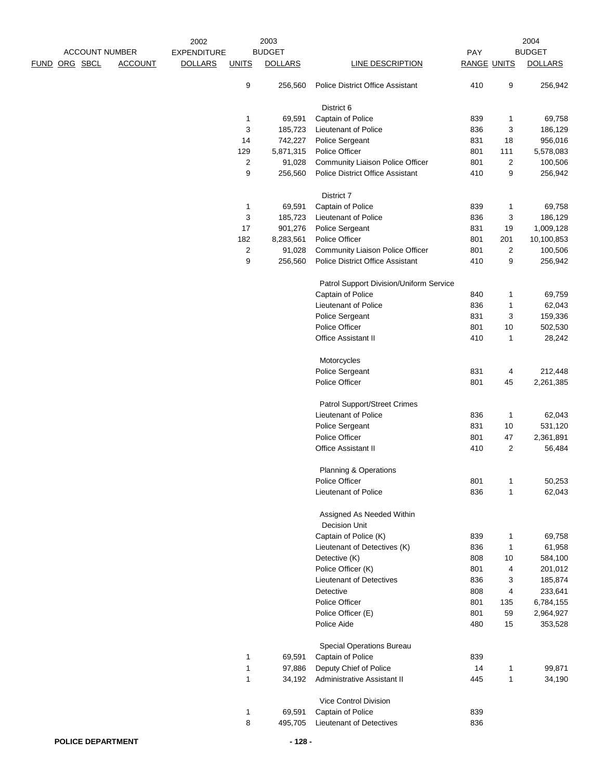| <b>ACCOUNT NUMBER</b> |                | 2003<br>2002       |              |                   |                                                    | 2004<br><b>BUDGET</b> |                  |                   |
|-----------------------|----------------|--------------------|--------------|-------------------|----------------------------------------------------|-----------------------|------------------|-------------------|
|                       |                | <b>EXPENDITURE</b> |              | <b>BUDGET</b>     |                                                    | PAY                   |                  |                   |
| FUND ORG SBCL         | <b>ACCOUNT</b> | <b>DOLLARS</b>     | <b>UNITS</b> | <b>DOLLARS</b>    | <b>LINE DESCRIPTION</b>                            | <b>RANGE UNITS</b>    |                  | <b>DOLLARS</b>    |
|                       |                |                    | 9            | 256,560           | <b>Police District Office Assistant</b>            | 410                   | 9                | 256,942           |
|                       |                |                    |              |                   | District 6                                         |                       |                  |                   |
|                       |                |                    | 1<br>3       | 69,591<br>185,723 | Captain of Police<br>Lieutenant of Police          | 839<br>836            | 1<br>3           | 69,758<br>186,129 |
|                       |                |                    | 14           | 742,227           | Police Sergeant                                    | 831                   | 18               | 956,016           |
|                       |                |                    | 129          | 5,871,315         | Police Officer                                     | 801                   | 111              | 5,578,083         |
|                       |                |                    | 2            | 91,028            | Community Liaison Police Officer                   | 801                   | $\boldsymbol{2}$ | 100,506           |
|                       |                |                    | 9            | 256,560           | Police District Office Assistant                   | 410                   | 9                | 256,942           |
|                       |                |                    |              |                   | District 7                                         |                       |                  |                   |
|                       |                |                    | 1            | 69,591            | Captain of Police                                  | 839                   | 1                | 69,758            |
|                       |                |                    | 3            | 185,723           | Lieutenant of Police                               | 836                   | 3                | 186,129           |
|                       |                |                    | 17           | 901,276           | Police Sergeant                                    | 831                   | 19               | 1,009,128         |
|                       |                |                    | 182          | 8,283,561         | Police Officer                                     | 801                   | 201              | 10,100,853        |
|                       |                |                    | 2            | 91,028            | Community Liaison Police Officer                   | 801                   | $\boldsymbol{2}$ | 100,506           |
|                       |                |                    | 9            | 256,560           | <b>Police District Office Assistant</b>            | 410                   | 9                | 256,942           |
|                       |                |                    |              |                   | Patrol Support Division/Uniform Service            |                       |                  |                   |
|                       |                |                    |              |                   | Captain of Police                                  | 840                   | 1                | 69,759            |
|                       |                |                    |              |                   | Lieutenant of Police                               | 836                   | 1                | 62,043            |
|                       |                |                    |              |                   | Police Sergeant                                    | 831                   | 3                | 159,336           |
|                       |                |                    |              |                   | Police Officer<br>Office Assistant II              | 801<br>410            | 10<br>1          | 502,530<br>28,242 |
|                       |                |                    |              |                   |                                                    |                       |                  |                   |
|                       |                |                    |              |                   | Motorcycles                                        |                       |                  |                   |
|                       |                |                    |              |                   | Police Sergeant                                    | 831                   | 4                | 212,448           |
|                       |                |                    |              |                   | Police Officer                                     | 801                   | 45               | 2,261,385         |
|                       |                |                    |              |                   | Patrol Support/Street Crimes                       |                       |                  |                   |
|                       |                |                    |              |                   | Lieutenant of Police                               | 836                   | 1                | 62,043            |
|                       |                |                    |              |                   | Police Sergeant                                    | 831                   | 10               | 531,120           |
|                       |                |                    |              |                   | Police Officer                                     | 801                   | 47               | 2,361,891         |
|                       |                |                    |              |                   | Office Assistant II                                | 410                   | 2                | 56,484            |
|                       |                |                    |              |                   | <b>Planning &amp; Operations</b><br>Police Officer |                       |                  |                   |
|                       |                |                    |              |                   | Lieutenant of Police                               | 801<br>836            | 1<br>1           | 50,253<br>62,043  |
|                       |                |                    |              |                   |                                                    |                       |                  |                   |
|                       |                |                    |              |                   | Assigned As Needed Within<br>Decision Unit         |                       |                  |                   |
|                       |                |                    |              |                   | Captain of Police (K)                              | 839                   | 1                | 69,758            |
|                       |                |                    |              |                   | Lieutenant of Detectives (K)                       | 836                   | $\mathbf{1}$     | 61,958            |
|                       |                |                    |              |                   | Detective (K)                                      | 808                   | $10$             | 584,100           |
|                       |                |                    |              |                   | Police Officer (K)                                 | 801                   | 4                | 201,012           |
|                       |                |                    |              |                   | Lieutenant of Detectives                           | 836                   | 3                | 185,874           |
|                       |                |                    |              |                   | Detective                                          | 808                   | 4                | 233,641           |
|                       |                |                    |              |                   | Police Officer                                     | 801                   | 135              | 6,784,155         |
|                       |                |                    |              |                   | Police Officer (E)                                 | 801                   | 59               | 2,964,927         |
|                       |                |                    |              |                   | Police Aide                                        | 480                   | 15               | 353,528           |
|                       |                |                    |              |                   | Special Operations Bureau                          |                       |                  |                   |
|                       |                |                    | 1            | 69,591            | Captain of Police                                  | 839                   |                  |                   |
|                       |                |                    | 1            | 97,886            | Deputy Chief of Police                             | 14                    | 1                | 99,871            |
|                       |                |                    | 1            | 34,192            | Administrative Assistant II                        | 445                   | $\mathbf{1}$     | 34,190            |
|                       |                |                    |              |                   | Vice Control Division                              |                       |                  |                   |
|                       |                |                    | 1            | 69,591            | Captain of Police                                  | 839                   |                  |                   |
|                       |                |                    | 8            | 495,705           | Lieutenant of Detectives                           | 836                   |                  |                   |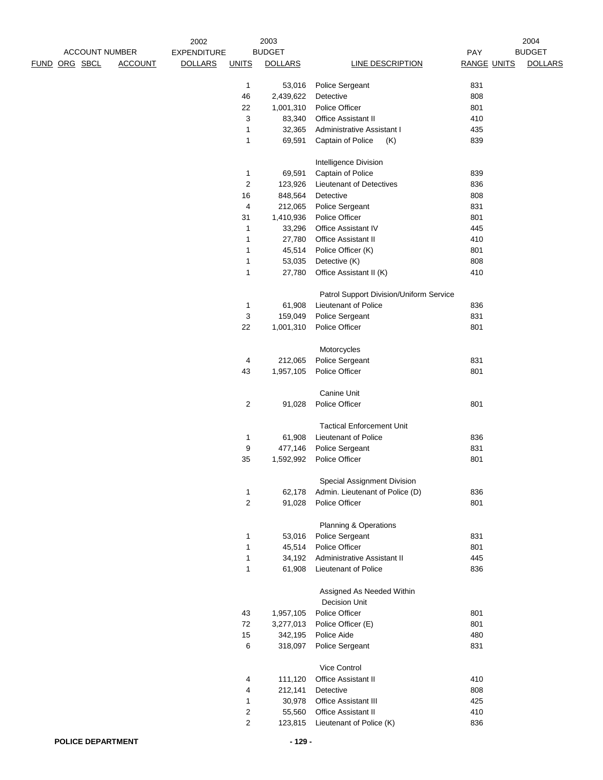|                       |                | 2002               |                | 2003           |                                         |                    | 2004           |
|-----------------------|----------------|--------------------|----------------|----------------|-----------------------------------------|--------------------|----------------|
| <b>ACCOUNT NUMBER</b> |                | <b>EXPENDITURE</b> |                | <b>BUDGET</b>  |                                         | PAY                | <b>BUDGET</b>  |
| FUND ORG SBCL         | <b>ACCOUNT</b> | <b>DOLLARS</b>     | <b>UNITS</b>   | <b>DOLLARS</b> | <b>LINE DESCRIPTION</b>                 | <b>RANGE UNITS</b> | <b>DOLLARS</b> |
|                       |                |                    |                |                |                                         |                    |                |
|                       |                |                    | $\mathbf{1}$   | 53,016         | Police Sergeant                         | 831                |                |
|                       |                |                    | 46             | 2,439,622      | Detective                               | 808                |                |
|                       |                |                    | 22             | 1,001,310      | Police Officer                          | 801                |                |
|                       |                |                    | 3              | 83,340         | Office Assistant II                     | 410                |                |
|                       |                |                    | $\mathbf{1}$   | 32,365         | <b>Administrative Assistant I</b>       | 435                |                |
|                       |                |                    | $\mathbf{1}$   | 69,591         | Captain of Police<br>(K)                | 839                |                |
|                       |                |                    |                |                |                                         |                    |                |
|                       |                |                    |                |                | Intelligence Division                   |                    |                |
|                       |                |                    | 1              | 69,591         | Captain of Police                       | 839                |                |
|                       |                |                    | $\overline{2}$ | 123,926        | Lieutenant of Detectives                | 836                |                |
|                       |                |                    | 16             | 848,564        | Detective                               | 808                |                |
|                       |                |                    | 4              | 212,065        | Police Sergeant                         | 831                |                |
|                       |                |                    | 31             | 1,410,936      | Police Officer                          | 801                |                |
|                       |                |                    | $\mathbf{1}$   | 33,296         | <b>Office Assistant IV</b>              | 445                |                |
|                       |                |                    | $\mathbf{1}$   | 27,780         | Office Assistant II                     | 410                |                |
|                       |                |                    | $\mathbf{1}$   | 45,514         | Police Officer (K)                      | 801                |                |
|                       |                |                    | $\mathbf{1}$   | 53,035         | Detective (K)                           | 808                |                |
|                       |                |                    | $\mathbf{1}$   | 27,780         | Office Assistant II (K)                 | 410                |                |
|                       |                |                    |                |                |                                         |                    |                |
|                       |                |                    |                |                | Patrol Support Division/Uniform Service |                    |                |
|                       |                |                    | 1              | 61,908         | Lieutenant of Police                    | 836                |                |
|                       |                |                    | 3              | 159,049        | Police Sergeant                         | 831                |                |
|                       |                |                    | 22             | 1,001,310      | Police Officer                          | 801                |                |
|                       |                |                    |                |                |                                         |                    |                |
|                       |                |                    |                |                | Motorcycles                             |                    |                |
|                       |                |                    | 4              | 212,065        | Police Sergeant                         | 831                |                |
|                       |                |                    | 43             | 1,957,105      | Police Officer                          | 801                |                |
|                       |                |                    |                |                |                                         |                    |                |
|                       |                |                    |                |                | Canine Unit                             |                    |                |
|                       |                |                    | $\overline{2}$ | 91,028         | Police Officer                          | 801                |                |
|                       |                |                    |                |                | <b>Tactical Enforcement Unit</b>        |                    |                |
|                       |                |                    | $\mathbf{1}$   | 61,908         | Lieutenant of Police                    | 836                |                |
|                       |                |                    | 9              | 477,146        | Police Sergeant                         | 831                |                |
|                       |                |                    | 35             | 1,592,992      | Police Officer                          | 801                |                |
|                       |                |                    |                |                |                                         |                    |                |
|                       |                |                    |                |                | Special Assignment Division             |                    |                |
|                       |                |                    | 1              | 62,178         | Admin. Lieutenant of Police (D)         | 836                |                |
|                       |                |                    | $\overline{2}$ | 91,028         | Police Officer                          | 801                |                |
|                       |                |                    |                |                |                                         |                    |                |
|                       |                |                    |                |                | Planning & Operations                   |                    |                |
|                       |                |                    | $\mathbf{1}$   | 53,016         | Police Sergeant                         | 831                |                |
|                       |                |                    | 1              | 45,514         | Police Officer                          | 801                |                |
|                       |                |                    | $\mathbf{1}$   | 34,192         | Administrative Assistant II             | 445                |                |
|                       |                |                    | $\mathbf{1}$   | 61,908         | Lieutenant of Police                    | 836                |                |
|                       |                |                    |                |                |                                         |                    |                |
|                       |                |                    |                |                | Assigned As Needed Within               |                    |                |
|                       |                |                    |                |                | Decision Unit                           |                    |                |
|                       |                |                    | 43             | 1,957,105      | Police Officer                          | 801                |                |
|                       |                |                    | 72             | 3,277,013      | Police Officer (E)                      | 801                |                |
|                       |                |                    | 15             | 342,195        | Police Aide                             | 480                |                |
|                       |                |                    | 6              | 318,097        | Police Sergeant                         | 831                |                |
|                       |                |                    |                |                |                                         |                    |                |
|                       |                |                    |                |                | Vice Control                            |                    |                |
|                       |                |                    | 4              | 111,120        | Office Assistant II                     | 410                |                |
|                       |                |                    | 4              | 212,141        | Detective                               | 808                |                |
|                       |                |                    | $\mathbf{1}$   | 30,978         | Office Assistant III                    | 425                |                |
|                       |                |                    | $\overline{2}$ | 55,560         | Office Assistant II                     | 410                |                |
|                       |                |                    | $\overline{2}$ | 123,815        | Lieutenant of Police (K)                | 836                |                |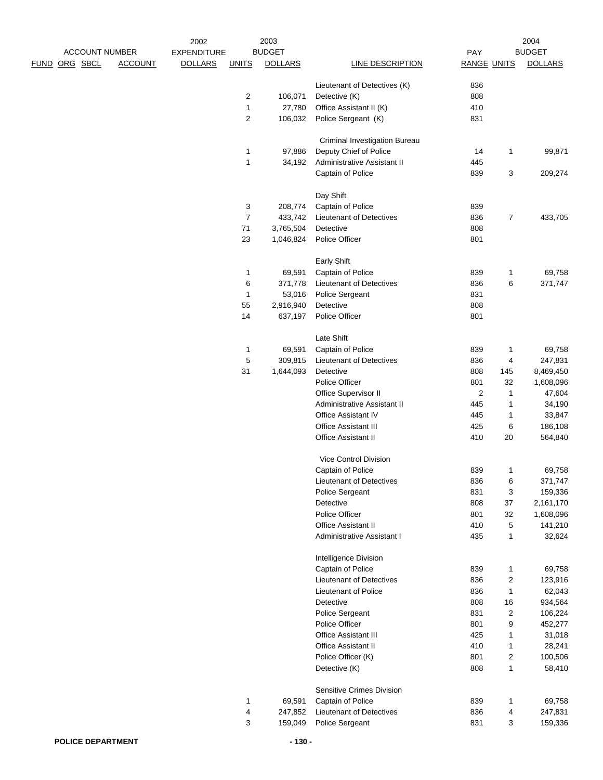|               | <b>ACCOUNT NUMBER</b> |                                      |                | 2003<br><b>BUDGET</b> |                                 | 2004<br><b>BUDGET</b><br>PAY |                |                |
|---------------|-----------------------|--------------------------------------|----------------|-----------------------|---------------------------------|------------------------------|----------------|----------------|
| FUND ORG SBCL | <b>ACCOUNT</b>        | <b>EXPENDITURE</b><br><b>DOLLARS</b> | <b>UNITS</b>   | <b>DOLLARS</b>        | <b>LINE DESCRIPTION</b>         | <b>RANGE UNITS</b>           |                | <b>DOLLARS</b> |
|               |                       |                                      |                |                       |                                 |                              |                |                |
|               |                       |                                      |                |                       | Lieutenant of Detectives (K)    | 836                          |                |                |
|               |                       |                                      | 2              | 106,071               | Detective (K)                   | 808                          |                |                |
|               |                       |                                      | 1              | 27,780                | Office Assistant II (K)         | 410                          |                |                |
|               |                       |                                      | 2              | 106,032               | Police Sergeant (K)             | 831                          |                |                |
|               |                       |                                      |                |                       | Criminal Investigation Bureau   |                              |                |                |
|               |                       |                                      | $\mathbf{1}$   | 97,886                | Deputy Chief of Police          | 14                           | 1              | 99,871         |
|               |                       |                                      | $\mathbf{1}$   | 34,192                | Administrative Assistant II     | 445                          |                |                |
|               |                       |                                      |                |                       | Captain of Police               | 839                          | 3              | 209,274        |
|               |                       |                                      |                |                       | Day Shift                       |                              |                |                |
|               |                       |                                      | 3              | 208,774               | Captain of Police               | 839                          |                |                |
|               |                       |                                      | $\overline{7}$ | 433,742               | <b>Lieutenant of Detectives</b> | 836                          | $\overline{7}$ | 433,705        |
|               |                       |                                      | $\bf 71$       | 3,765,504             | Detective                       | 808                          |                |                |
|               |                       |                                      | 23             | 1,046,824             | Police Officer                  | 801                          |                |                |
|               |                       |                                      |                |                       | <b>Early Shift</b>              |                              |                |                |
|               |                       |                                      | 1              | 69,591                | Captain of Police               | 839                          | 1              | 69,758         |
|               |                       |                                      | 6              | 371,778               | <b>Lieutenant of Detectives</b> | 836                          | 6              | 371,747        |
|               |                       |                                      | 1              | 53,016                | Police Sergeant                 | 831                          |                |                |
|               |                       |                                      | 55             | 2,916,940             | Detective                       | 808                          |                |                |
|               |                       |                                      | 14             | 637,197               | Police Officer                  | 801                          |                |                |
|               |                       |                                      |                |                       | Late Shift                      |                              |                |                |
|               |                       |                                      | 1              | 69,591                | Captain of Police               | 839                          | 1              | 69,758         |
|               |                       |                                      | 5              | 309,815               | Lieutenant of Detectives        | 836                          | 4              | 247,831        |
|               |                       |                                      | 31             | 1,644,093             | Detective                       | 808                          | 145            | 8,469,450      |
|               |                       |                                      |                |                       | Police Officer                  | 801                          | 32             | 1,608,096      |
|               |                       |                                      |                |                       | Office Supervisor II            | 2                            | 1              | 47,604         |
|               |                       |                                      |                |                       | Administrative Assistant II     | 445                          | 1              | 34,190         |
|               |                       |                                      |                |                       | <b>Office Assistant IV</b>      | 445                          | 1              | 33,847         |
|               |                       |                                      |                |                       | <b>Office Assistant III</b>     | 425                          | 6              | 186,108        |
|               |                       |                                      |                |                       | Office Assistant II             | 410                          | 20             | 564,840        |
|               |                       |                                      |                |                       | Vice Control Division           |                              |                |                |
|               |                       |                                      |                |                       | Captain of Police               | 839                          | 1              | 69,758         |
|               |                       |                                      |                |                       | Lieutenant of Detectives        | 836                          | 6              | 371,747        |
|               |                       |                                      |                |                       | Police Sergeant                 | 831                          | 3              | 159,336        |
|               |                       |                                      |                |                       | Detective                       | 808                          | 37             | 2,161,170      |
|               |                       |                                      |                |                       | Police Officer                  | 801                          | 32             | 1,608,096      |
|               |                       |                                      |                |                       | Office Assistant II             | 410                          | 5              | 141,210        |
|               |                       |                                      |                |                       | Administrative Assistant I      | 435                          | $\mathbf{1}$   | 32,624         |
|               |                       |                                      |                |                       | Intelligence Division           |                              |                |                |
|               |                       |                                      |                |                       | Captain of Police               | 839                          | $\mathbf{1}$   | 69,758         |
|               |                       |                                      |                |                       | Lieutenant of Detectives        | 836                          | 2              | 123,916        |
|               |                       |                                      |                |                       | <b>Lieutenant of Police</b>     | 836                          | $\mathbf{1}$   | 62,043         |
|               |                       |                                      |                |                       | Detective                       | 808                          | 16             | 934,564        |
|               |                       |                                      |                |                       | Police Sergeant                 | 831                          | $\overline{2}$ | 106,224        |
|               |                       |                                      |                |                       | Police Officer                  | 801                          | 9              | 452,277        |
|               |                       |                                      |                |                       | <b>Office Assistant III</b>     | 425                          | 1              | 31,018         |
|               |                       |                                      |                |                       | Office Assistant II             | 410                          | 1              | 28,241         |
|               |                       |                                      |                |                       | Police Officer (K)              | 801                          | 2              | 100,506        |
|               |                       |                                      |                |                       | Detective (K)                   | 808                          | 1              | 58,410         |
|               |                       |                                      |                |                       | Sensitive Crimes Division       |                              |                |                |
|               |                       |                                      | 1              | 69,591                | Captain of Police               | 839                          | 1              | 69,758         |
|               |                       |                                      | 4              | 247,852               | Lieutenant of Detectives        | 836                          | 4              | 247,831        |
|               |                       |                                      | 3              | 159,049               | Police Sergeant                 | 831                          | 3              | 159,336        |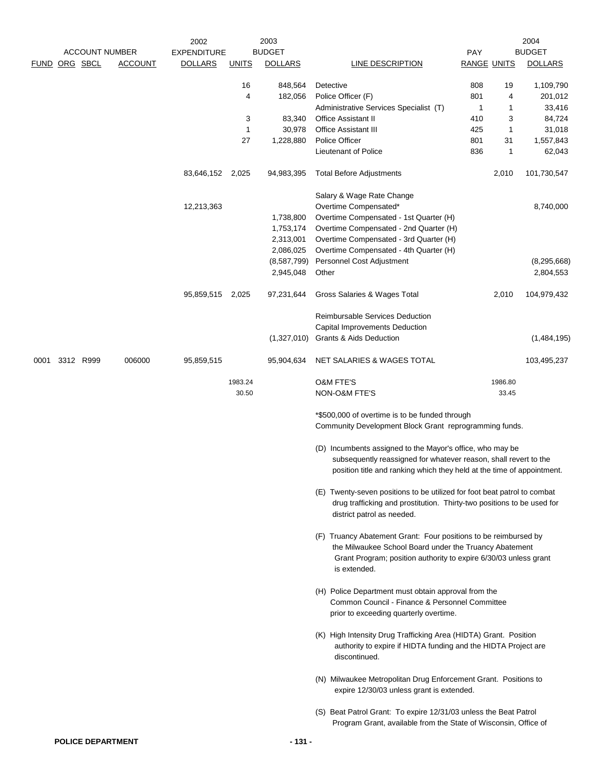|      | <b>ACCOUNT NUMBER</b><br>FUND ORG SBCL | <b>ACCOUNT</b> | 2002<br><b>EXPENDITURE</b><br><b>DOLLARS</b> | <b>UNITS</b>     | 2003<br><b>BUDGET</b><br><b>DOLLARS</b> | LINE DESCRIPTION                                                                                                                                                                                              | <b>PAY</b><br><b>RANGE UNITS</b> |                  | 2004<br><b>BUDGET</b><br><b>DOLLARS</b> |
|------|----------------------------------------|----------------|----------------------------------------------|------------------|-----------------------------------------|---------------------------------------------------------------------------------------------------------------------------------------------------------------------------------------------------------------|----------------------------------|------------------|-----------------------------------------|
|      |                                        |                |                                              | 16<br>4          | 848,564<br>182,056                      | Detective<br>Police Officer (F)                                                                                                                                                                               | 808<br>801                       | 19<br>4          | 1,109,790<br>201,012                    |
|      |                                        |                |                                              |                  |                                         | Administrative Services Specialist (T)                                                                                                                                                                        | 1                                | 1                | 33,416                                  |
|      |                                        |                |                                              | 3<br>1           | 83,340<br>30,978                        | <b>Office Assistant II</b><br><b>Office Assistant III</b>                                                                                                                                                     | 410<br>425                       | 3<br>1           | 84,724<br>31,018                        |
|      |                                        |                |                                              | 27               | 1,228,880                               | Police Officer                                                                                                                                                                                                | 801                              | 31               | 1,557,843                               |
|      |                                        |                |                                              |                  |                                         | Lieutenant of Police                                                                                                                                                                                          | 836                              | 1                | 62,043                                  |
|      |                                        |                | 83,646,152 2,025                             |                  | 94,983,395                              | <b>Total Before Adjustments</b>                                                                                                                                                                               |                                  | 2,010            | 101,730,547                             |
|      |                                        |                | 12,213,363                                   |                  | 1,738,800<br>1,753,174<br>2,313,001     | Salary & Wage Rate Change<br>Overtime Compensated*<br>Overtime Compensated - 1st Quarter (H)<br>Overtime Compensated - 2nd Quarter (H)<br>Overtime Compensated - 3rd Quarter (H)                              |                                  |                  | 8,740,000                               |
|      |                                        |                |                                              |                  | 2,086,025<br>(8,587,799)<br>2,945,048   | Overtime Compensated - 4th Quarter (H)<br>Personnel Cost Adjustment<br>Other                                                                                                                                  |                                  |                  | (8, 295, 668)<br>2,804,553              |
|      |                                        |                | 95,859,515                                   | 2,025            | 97,231,644                              | Gross Salaries & Wages Total                                                                                                                                                                                  |                                  | 2,010            | 104,979,432                             |
|      |                                        |                |                                              |                  |                                         | <b>Reimbursable Services Deduction</b><br>Capital Improvements Deduction                                                                                                                                      |                                  |                  |                                         |
|      |                                        |                |                                              |                  | (1,327,010)                             | <b>Grants &amp; Aids Deduction</b>                                                                                                                                                                            |                                  |                  | (1,484,195)                             |
| 0001 | 3312 R999                              | 006000         | 95,859,515                                   |                  | 95,904,634                              | NET SALARIES & WAGES TOTAL                                                                                                                                                                                    |                                  |                  | 103,495,237                             |
|      |                                        |                |                                              | 1983.24<br>30.50 |                                         | <b>O&amp;M FTE'S</b><br>NON-O&M FTE'S                                                                                                                                                                         |                                  | 1986.80<br>33.45 |                                         |
|      |                                        |                |                                              |                  |                                         | *\$500,000 of overtime is to be funded through<br>Community Development Block Grant reprogramming funds.                                                                                                      |                                  |                  |                                         |
|      |                                        |                |                                              |                  |                                         | (D) Incumbents assigned to the Mayor's office, who may be<br>subsequently reassigned for whatever reason, shall revert to the<br>position title and ranking which they held at the time of appointment.       |                                  |                  |                                         |
|      |                                        |                |                                              |                  |                                         | (E) Twenty-seven positions to be utilized for foot beat patrol to combat<br>drug trafficking and prostitution. Thirty-two positions to be used for<br>district patrol as needed.                              |                                  |                  |                                         |
|      |                                        |                |                                              |                  |                                         | (F) Truancy Abatement Grant: Four positions to be reimbursed by<br>the Milwaukee School Board under the Truancy Abatement<br>Grant Program; position authority to expire 6/30/03 unless grant<br>is extended. |                                  |                  |                                         |
|      |                                        |                |                                              |                  |                                         | (H) Police Department must obtain approval from the<br>Common Council - Finance & Personnel Committee<br>prior to exceeding quarterly overtime.                                                               |                                  |                  |                                         |
|      |                                        |                |                                              |                  |                                         | (K) High Intensity Drug Trafficking Area (HIDTA) Grant. Position<br>authority to expire if HIDTA funding and the HIDTA Project are<br>discontinued.                                                           |                                  |                  |                                         |
|      |                                        |                |                                              |                  |                                         | (N) Milwaukee Metropolitan Drug Enforcement Grant. Positions to<br>expire 12/30/03 unless grant is extended.                                                                                                  |                                  |                  |                                         |
|      |                                        |                |                                              |                  |                                         | (S) Beat Patrol Grant: To expire 12/31/03 unless the Beat Patrol<br>Program Grant, available from the State of Wisconsin, Office of                                                                           |                                  |                  |                                         |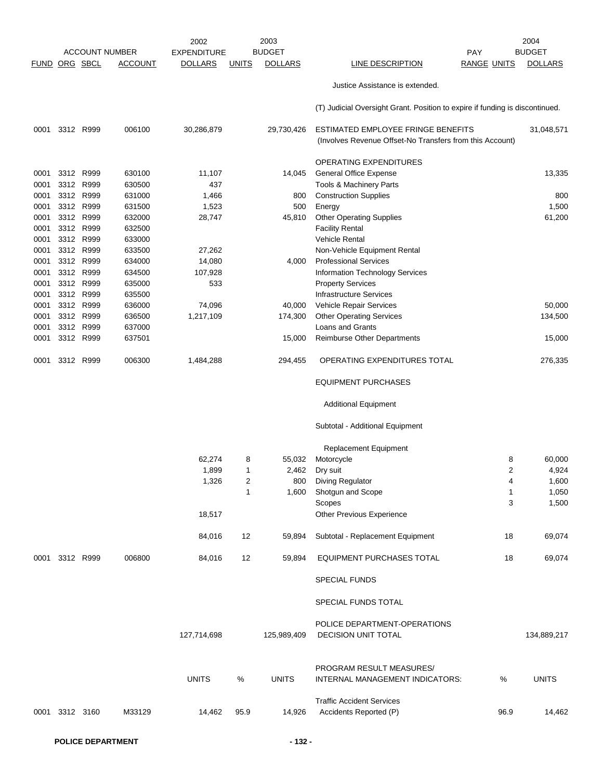|                      |                |                        |                       | 2002               |              | 2003           |                                                                                                |                    | 2004           |
|----------------------|----------------|------------------------|-----------------------|--------------------|--------------|----------------|------------------------------------------------------------------------------------------------|--------------------|----------------|
|                      |                |                        | <b>ACCOUNT NUMBER</b> | <b>EXPENDITURE</b> |              | <b>BUDGET</b>  |                                                                                                | PAY                | <b>BUDGET</b>  |
| <b>FUND ORG SBCL</b> |                |                        | <b>ACCOUNT</b>        | <b>DOLLARS</b>     | <b>UNITS</b> | <b>DOLLARS</b> | LINE DESCRIPTION                                                                               | <b>RANGE UNITS</b> | <b>DOLLARS</b> |
|                      |                |                        |                       |                    |              |                | Justice Assistance is extended.                                                                |                    |                |
|                      |                |                        |                       |                    |              |                | (T) Judicial Oversight Grant. Position to expire if funding is discontinued.                   |                    |                |
| 0001                 |                | 3312 R999              | 006100                | 30,286,879         |              | 29,730,426     | ESTIMATED EMPLOYEE FRINGE BENEFITS<br>(Involves Revenue Offset-No Transfers from this Account) |                    | 31,048,571     |
|                      |                |                        |                       |                    |              |                | <b>OPERATING EXPENDITURES</b>                                                                  |                    |                |
| 0001                 |                | 3312 R999              | 630100                | 11,107             |              | 14,045         | <b>General Office Expense</b>                                                                  |                    | 13,335         |
| 0001                 |                | 3312 R999              | 630500                | 437                |              |                | Tools & Machinery Parts                                                                        |                    |                |
| 0001                 |                | 3312 R999              | 631000                | 1,466              |              | 800            | <b>Construction Supplies</b>                                                                   |                    | 800            |
| 0001                 |                | 3312 R999              | 631500                | 1,523              |              | 500            | Energy                                                                                         |                    | 1,500          |
| 0001                 |                | 3312 R999              | 632000                | 28,747             |              | 45,810         | <b>Other Operating Supplies</b>                                                                |                    | 61,200         |
| 0001                 |                | 3312 R999              | 632500                |                    |              |                | <b>Facility Rental</b>                                                                         |                    |                |
| 0001                 |                | 3312 R999              | 633000                |                    |              |                | <b>Vehicle Rental</b>                                                                          |                    |                |
| 0001                 |                | 3312 R999              | 633500                | 27,262             |              |                | Non-Vehicle Equipment Rental                                                                   |                    |                |
| 0001                 |                | 3312 R999              | 634000                | 14,080             |              | 4,000          | <b>Professional Services</b>                                                                   |                    |                |
| 0001                 |                | 3312 R999              | 634500                | 107,928            |              |                | Information Technology Services                                                                |                    |                |
| 0001                 |                | 3312 R999              | 635000                | 533                |              |                | <b>Property Services</b>                                                                       |                    |                |
| 0001                 |                | 3312 R999              | 635500                |                    |              |                | <b>Infrastructure Services</b>                                                                 |                    |                |
| 0001                 |                | 3312 R999              | 636000                | 74,096             |              | 40,000         | Vehicle Repair Services                                                                        |                    | 50,000         |
| 0001                 |                | 3312 R999              | 636500                | 1,217,109          |              | 174,300        | <b>Other Operating Services</b>                                                                |                    | 134,500        |
| 0001<br>0001         |                | 3312 R999<br>3312 R999 | 637000<br>637501      |                    |              | 15,000         | Loans and Grants<br>Reimburse Other Departments                                                |                    | 15,000         |
| 0001                 |                | 3312 R999              | 006300                | 1,484,288          |              | 294,455        | OPERATING EXPENDITURES TOTAL                                                                   |                    | 276,335        |
|                      |                |                        |                       |                    |              |                | <b>EQUIPMENT PURCHASES</b>                                                                     |                    |                |
|                      |                |                        |                       |                    |              |                |                                                                                                |                    |                |
|                      |                |                        |                       |                    |              |                | <b>Additional Equipment</b>                                                                    |                    |                |
|                      |                |                        |                       |                    |              |                | Subtotal - Additional Equipment                                                                |                    |                |
|                      |                |                        |                       |                    |              |                | <b>Replacement Equipment</b>                                                                   |                    |                |
|                      |                |                        |                       | 62,274             | 8            | 55,032         | Motorcycle                                                                                     | 8                  | 60,000         |
|                      |                |                        |                       | 1,899              | 1            | 2,462          | Dry suit                                                                                       | 2                  | 4,924          |
|                      |                |                        |                       | 1,326              | 2            | 800            | Diving Regulator                                                                               | 4                  | 1,600          |
|                      |                |                        |                       |                    | 1            | 1,600          | Shotgun and Scope                                                                              | $\mathbf{1}$       | 1,050          |
|                      |                |                        |                       |                    |              |                | Scopes                                                                                         | 3                  | 1,500          |
|                      |                |                        |                       | 18,517             |              |                | Other Previous Experience                                                                      |                    |                |
|                      |                |                        |                       | 84,016             | 12           | 59,894         | Subtotal - Replacement Equipment                                                               | 18                 | 69,074         |
|                      | 0001 3312 R999 |                        | 006800                | 84,016             | 12           | 59,894         | <b>EQUIPMENT PURCHASES TOTAL</b>                                                               | 18                 | 69,074         |
|                      |                |                        |                       |                    |              |                | <b>SPECIAL FUNDS</b>                                                                           |                    |                |
|                      |                |                        |                       |                    |              |                | SPECIAL FUNDS TOTAL                                                                            |                    |                |
|                      |                |                        |                       |                    |              |                |                                                                                                |                    |                |
|                      |                |                        |                       | 127,714,698        |              |                | POLICE DEPARTMENT-OPERATIONS<br>DECISION UNIT TOTAL                                            |                    | 134,889,217    |
|                      |                |                        |                       |                    |              | 125,989,409    |                                                                                                |                    |                |
|                      |                |                        |                       |                    |              |                | PROGRAM RESULT MEASURES/                                                                       |                    |                |
|                      |                |                        |                       | <b>UNITS</b>       | $\%$         | <b>UNITS</b>   | INTERNAL MANAGEMENT INDICATORS:                                                                | %                  | <b>UNITS</b>   |
|                      |                |                        |                       |                    |              |                | <b>Traffic Accident Services</b>                                                               |                    |                |
|                      | 0001 3312 3160 |                        | M33129                | 14,462             | 95.9         | 14,926         | Accidents Reported (P)                                                                         | 96.9               | 14,462         |
|                      |                |                        |                       |                    |              |                |                                                                                                |                    |                |
|                      |                |                        |                       |                    |              |                |                                                                                                |                    |                |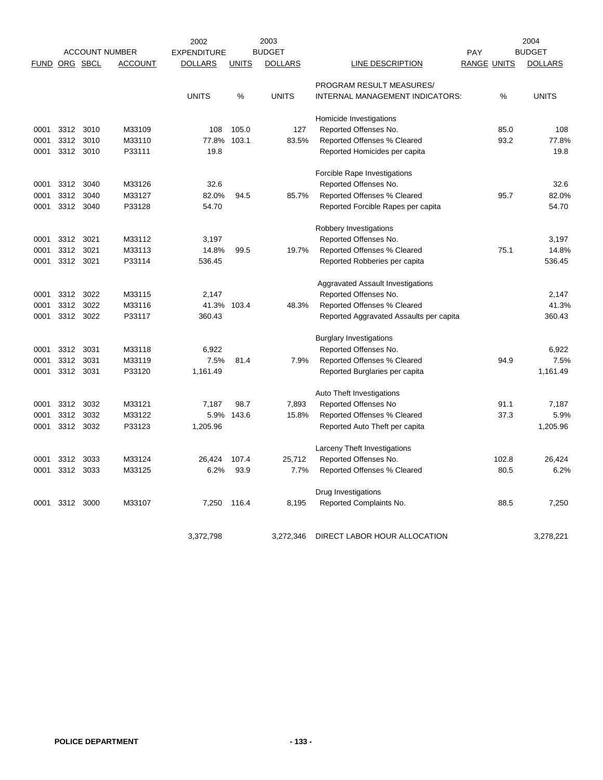|               |           |           |                       | 2002               |              | 2003           |                                         |             |       | 2004           |
|---------------|-----------|-----------|-----------------------|--------------------|--------------|----------------|-----------------------------------------|-------------|-------|----------------|
|               |           |           | <b>ACCOUNT NUMBER</b> | <b>EXPENDITURE</b> |              | <b>BUDGET</b>  |                                         | PAY         |       | <b>BUDGET</b>  |
| FUND ORG SBCL |           |           | <b>ACCOUNT</b>        | <b>DOLLARS</b>     | <b>UNITS</b> | <b>DOLLARS</b> | LINE DESCRIPTION                        | RANGE UNITS |       | <b>DOLLARS</b> |
|               |           |           |                       |                    |              |                | PROGRAM RESULT MEASURES/                |             |       |                |
|               |           |           |                       | <b>UNITS</b>       | %            | <b>UNITS</b>   | INTERNAL MANAGEMENT INDICATORS:         |             | %     | <b>UNITS</b>   |
|               |           |           |                       |                    |              |                | Homicide Investigations                 |             |       |                |
| 0001          | 3312      | 3010      | M33109                | 108                | 105.0        | 127            | Reported Offenses No.                   |             | 85.0  | 108            |
| 0001          | 3312      | 3010      | M33110                | 77.8%              | 103.1        | 83.5%          | Reported Offenses % Cleared             |             | 93.2  | 77.8%          |
| 0001          |           | 3312 3010 | P33111                | 19.8               |              |                | Reported Homicides per capita           |             |       | 19.8           |
|               |           |           |                       |                    |              |                | Forcible Rape Investigations            |             |       |                |
| 0001          | 3312      | 3040      | M33126                | 32.6               |              |                | Reported Offenses No.                   |             |       | 32.6           |
| 0001          | 3312      | 3040      | M33127                | 82.0%              | 94.5         | 85.7%          | Reported Offenses % Cleared             |             | 95.7  | 82.0%          |
| 0001          |           | 3312 3040 | P33128                | 54.70              |              |                | Reported Forcible Rapes per capita      |             |       | 54.70          |
|               |           |           |                       |                    |              |                | Robbery Investigations                  |             |       |                |
| 0001          | 3312      | 3021      | M33112                | 3,197              |              |                | Reported Offenses No.                   |             |       | 3,197          |
| 0001          | 3312      | 3021      | M33113                | 14.8%              | 99.5         | 19.7%          | Reported Offenses % Cleared             |             | 75.1  | 14.8%          |
| 0001          | 3312 3021 |           | P33114                | 536.45             |              |                | Reported Robberies per capita           |             |       | 536.45         |
|               |           |           |                       |                    |              |                | Aggravated Assault Investigations       |             |       |                |
| 0001          | 3312      | 3022      | M33115                | 2,147              |              |                | Reported Offenses No.                   |             |       | 2,147          |
| 0001          | 3312      | 3022      | M33116                | 41.3%              | 103.4        | 48.3%          | Reported Offenses % Cleared             |             |       | 41.3%          |
| 0001          | 3312      | 3022      | P33117                | 360.43             |              |                | Reported Aggravated Assaults per capita |             |       | 360.43         |
|               |           |           |                       |                    |              |                | <b>Burglary Investigations</b>          |             |       |                |
| 0001          | 3312      | 3031      | M33118                | 6,922              |              |                | Reported Offenses No.                   |             |       | 6,922          |
| 0001          | 3312      | 3031      | M33119                | 7.5%               | 81.4         | 7.9%           | Reported Offenses % Cleared             |             | 94.9  | 7.5%           |
| 0001          | 3312      | 3031      | P33120                | 1,161.49           |              |                | Reported Burglaries per capita          |             |       | 1,161.49       |
|               |           |           |                       |                    |              |                | Auto Theft Investigations               |             |       |                |
| 0001          | 3312      | 3032      | M33121                | 7,187              | 98.7         | 7,893          | <b>Reported Offenses No</b>             |             | 91.1  | 7,187          |
| 0001          | 3312      | 3032      | M33122                | 5.9%               | 143.6        | 15.8%          | Reported Offenses % Cleared             |             | 37.3  | 5.9%           |
| 0001          | 3312      | 3032      | P33123                | 1,205.96           |              |                | Reported Auto Theft per capita          |             |       | 1,205.96       |
|               |           |           |                       |                    |              |                | Larceny Theft Investigations            |             |       |                |
| 0001          | 3312      | 3033      | M33124                | 26,424             | 107.4        | 25,712         | Reported Offenses No.                   |             | 102.8 | 26,424         |
| 0001          |           | 3312 3033 | M33125                | 6.2%               | 93.9         | 7.7%           | Reported Offenses % Cleared             |             | 80.5  | 6.2%           |
|               |           |           |                       |                    |              |                | Drug Investigations                     |             |       |                |
| 0001          | 3312      | 3000      | M33107                | 7,250              | 116.4        | 8,195          | Reported Complaints No.                 |             | 88.5  | 7,250          |
|               |           |           |                       |                    |              |                |                                         |             |       |                |
|               |           |           |                       | 3,372,798          |              | 3,272,346      | DIRECT LABOR HOUR ALLOCATION            |             |       | 3,278,221      |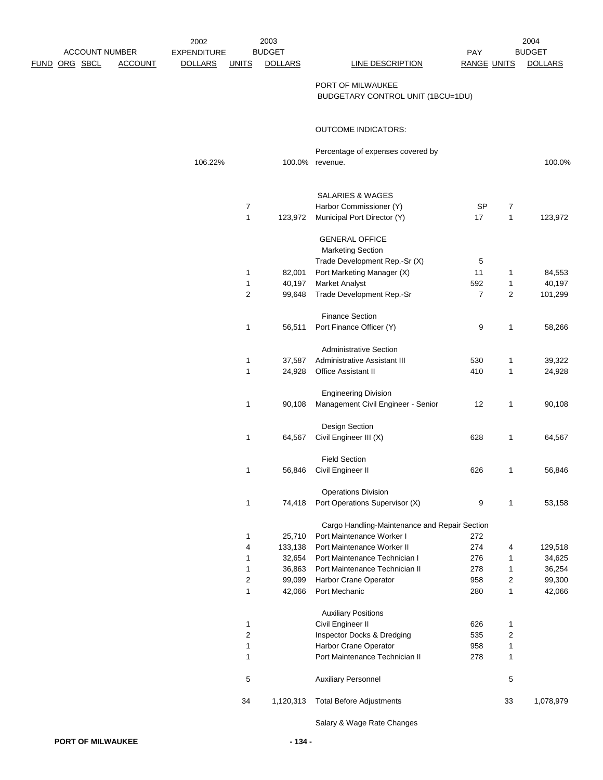|                       |                | 2002               |                | 2003           |                                               |                    |                | 2004           |
|-----------------------|----------------|--------------------|----------------|----------------|-----------------------------------------------|--------------------|----------------|----------------|
| <b>ACCOUNT NUMBER</b> |                | <b>EXPENDITURE</b> |                | <b>BUDGET</b>  |                                               | <b>PAY</b>         |                | <b>BUDGET</b>  |
| <u>FUND ORG SBCL</u>  | <b>ACCOUNT</b> | <b>DOLLARS</b>     | <b>UNITS</b>   | <b>DOLLARS</b> | <b>LINE DESCRIPTION</b>                       | <b>RANGE UNITS</b> |                | <b>DOLLARS</b> |
|                       |                |                    |                |                | PORT OF MILWAUKEE                             |                    |                |                |
|                       |                |                    |                |                |                                               |                    |                |                |
|                       |                |                    |                |                | BUDGETARY CONTROL UNIT (1BCU=1DU)             |                    |                |                |
|                       |                |                    |                |                | <b>OUTCOME INDICATORS:</b>                    |                    |                |                |
|                       |                |                    |                |                | Percentage of expenses covered by             |                    |                |                |
|                       |                | 106.22%            |                | 100.0%         | revenue.                                      |                    |                | 100.0%         |
|                       |                |                    |                |                |                                               |                    |                |                |
|                       |                |                    |                |                | <b>SALARIES &amp; WAGES</b>                   |                    |                |                |
|                       |                |                    | 7              |                | Harbor Commissioner (Y)                       | <b>SP</b>          | $\overline{7}$ |                |
|                       |                |                    | $\mathbf{1}$   | 123,972        | Municipal Port Director (Y)                   | 17                 | $\mathbf{1}$   | 123,972        |
|                       |                |                    |                |                | <b>GENERAL OFFICE</b>                         |                    |                |                |
|                       |                |                    |                |                | <b>Marketing Section</b>                      |                    |                |                |
|                       |                |                    |                |                | Trade Development Rep.-Sr (X)                 | 5                  |                |                |
|                       |                |                    | 1              | 82,001         | Port Marketing Manager (X)                    | 11                 | 1              | 84,553         |
|                       |                |                    | $\mathbf{1}$   | 40,197         | Market Analyst                                | 592                | 1              | 40,197         |
|                       |                |                    | $\overline{2}$ | 99,648         | Trade Development Rep.-Sr                     | $\overline{7}$     | $\overline{2}$ | 101,299        |
|                       |                |                    |                |                | <b>Finance Section</b>                        |                    |                |                |
|                       |                |                    | 1              | 56,511         | Port Finance Officer (Y)                      | 9                  | $\mathbf{1}$   | 58,266         |
|                       |                |                    |                |                | <b>Administrative Section</b>                 |                    |                |                |
|                       |                |                    | 1              | 37,587         | Administrative Assistant III                  | 530                | 1              | 39,322         |
|                       |                |                    | $\mathbf{1}$   | 24,928         | Office Assistant II                           | 410                | $\mathbf{1}$   | 24,928         |
|                       |                |                    |                |                | <b>Engineering Division</b>                   |                    |                |                |
|                       |                |                    | 1              | 90,108         | Management Civil Engineer - Senior            | 12                 | $\mathbf{1}$   | 90,108         |
|                       |                |                    |                |                | Design Section                                |                    |                |                |
|                       |                |                    | 1              | 64,567         | Civil Engineer III (X)                        | 628                | 1              | 64,567         |
|                       |                |                    |                |                | <b>Field Section</b>                          |                    |                |                |
|                       |                |                    | 1              | 56,846         | Civil Engineer II                             | 626                | $\mathbf{1}$   | 56,846         |
|                       |                |                    |                |                | <b>Operations Division</b>                    |                    |                |                |
|                       |                |                    | 1              | 74,418         | Port Operations Supervisor (X)                | 9                  | $\mathbf{1}$   | 53,158         |
|                       |                |                    |                |                | Cargo Handling-Maintenance and Repair Section |                    |                |                |
|                       |                |                    | 1              | 25,710         | Port Maintenance Worker I                     | 272                |                |                |
|                       |                |                    | 4              | 133,138        | Port Maintenance Worker II                    | 274                | 4              | 129,518        |
|                       |                |                    | 1              | 32,654         | Port Maintenance Technician I                 | 276                | $\mathbf{1}$   | 34,625         |
|                       |                |                    | 1              | 36,863         | Port Maintenance Technician II                | 278                | $\mathbf{1}$   | 36,254         |
|                       |                |                    | $\overline{c}$ | 99,099         | Harbor Crane Operator                         | 958                | $\overline{c}$ | 99,300         |
|                       |                |                    | 1              | 42,066         | Port Mechanic                                 | 280                | $\mathbf{1}$   | 42,066         |
|                       |                |                    |                |                | <b>Auxiliary Positions</b>                    |                    |                |                |
|                       |                |                    | $\mathbf{1}$   |                | Civil Engineer II                             | 626                | $\mathbf{1}$   |                |
|                       |                |                    | $\mathbf 2$    |                | Inspector Docks & Dredging                    | 535                | $\sqrt{2}$     |                |
|                       |                |                    | $\mathbf{1}$   |                | Harbor Crane Operator                         | 958                | $\mathbf{1}$   |                |
|                       |                |                    | 1              |                | Port Maintenance Technician II                | 278                | $\mathbf{1}$   |                |
|                       |                |                    | 5              |                | <b>Auxiliary Personnel</b>                    |                    | $\sqrt{5}$     |                |
|                       |                |                    | 34             | 1,120,313      | <b>Total Before Adjustments</b>               |                    | 33             | 1,078,979      |
|                       |                |                    |                |                |                                               |                    |                |                |

Salary & Wage Rate Changes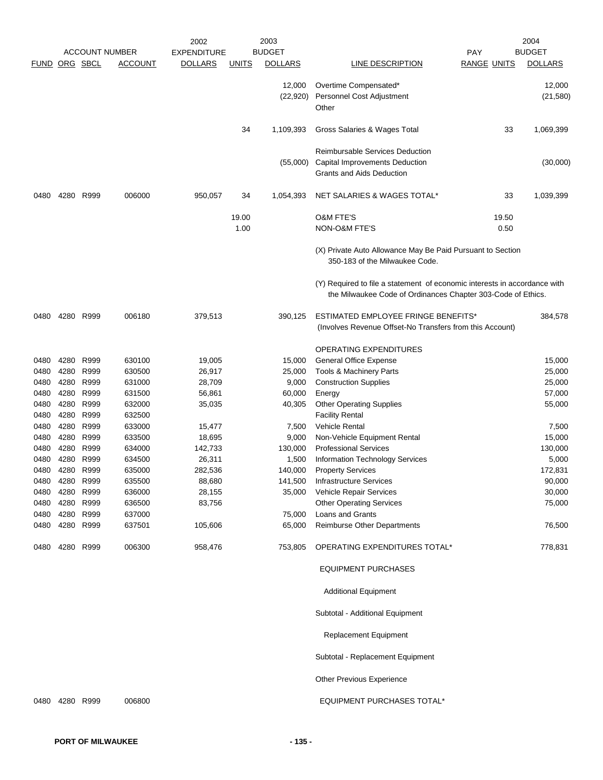|              |              |              |                       | 2002               |               | 2003                |                                                                                                                                           |                    | 2004                |
|--------------|--------------|--------------|-----------------------|--------------------|---------------|---------------------|-------------------------------------------------------------------------------------------------------------------------------------------|--------------------|---------------------|
|              |              |              | <b>ACCOUNT NUMBER</b> | <b>EXPENDITURE</b> |               | <b>BUDGET</b>       |                                                                                                                                           | <b>PAY</b>         | <b>BUDGET</b>       |
| <b>FUND</b>  | ORG SBCL     |              | <b>ACCOUNT</b>        | <b>DOLLARS</b>     | <b>UNITS</b>  | <b>DOLLARS</b>      | LINE DESCRIPTION                                                                                                                          | <b>RANGE UNITS</b> | <b>DOLLARS</b>      |
|              |              |              |                       |                    |               | 12,000<br>(22, 920) | Overtime Compensated*<br>Personnel Cost Adjustment<br>Other                                                                               |                    | 12,000<br>(21, 580) |
|              |              |              |                       |                    | 34            | 1,109,393           | Gross Salaries & Wages Total                                                                                                              | 33                 | 1,069,399           |
|              |              |              |                       |                    |               | (55,000)            | <b>Reimbursable Services Deduction</b><br>Capital Improvements Deduction<br><b>Grants and Aids Deduction</b>                              |                    | (30,000)            |
| 0480         | 4280         | R999         | 006000                | 950,057            | 34            | 1,054,393           | NET SALARIES & WAGES TOTAL*                                                                                                               | 33                 | 1,039,399           |
|              |              |              |                       |                    | 19.00<br>1.00 |                     | <b>O&amp;M FTE'S</b><br><b>NON-O&amp;M FTE'S</b>                                                                                          | 19.50<br>0.50      |                     |
|              |              |              |                       |                    |               |                     | (X) Private Auto Allowance May Be Paid Pursuant to Section<br>350-183 of the Milwaukee Code.                                              |                    |                     |
|              |              |              |                       |                    |               |                     | (Y) Required to file a statement of economic interests in accordance with<br>the Milwaukee Code of Ordinances Chapter 303-Code of Ethics. |                    |                     |
| 0480         | 4280         | R999         | 006180                | 379,513            |               | 390,125             | <b>ESTIMATED EMPLOYEE FRINGE BENEFITS*</b><br>(Involves Revenue Offset-No Transfers from this Account)                                    |                    | 384,578             |
|              |              |              |                       |                    |               |                     | OPERATING EXPENDITURES                                                                                                                    |                    |                     |
| 0480         | 4280         | R999         | 630100                | 19,005             |               | 15,000              | General Office Expense                                                                                                                    |                    | 15,000              |
| 0480         | 4280         | R999         | 630500                | 26,917             |               | 25,000              | Tools & Machinery Parts                                                                                                                   |                    | 25,000              |
| 0480         | 4280         | R999         | 631000                | 28,709             |               | 9,000               | <b>Construction Supplies</b>                                                                                                              |                    | 25,000              |
| 0480         | 4280         | R999         | 631500                | 56,861             |               | 60,000              | Energy                                                                                                                                    |                    | 57,000              |
| 0480         | 4280         | R999         | 632000                | 35,035             |               | 40,305              | <b>Other Operating Supplies</b>                                                                                                           |                    | 55,000              |
| 0480         | 4280         | R999         | 632500                |                    |               |                     | <b>Facility Rental</b>                                                                                                                    |                    |                     |
| 0480         | 4280         | R999         | 633000                | 15,477             |               | 7,500               | <b>Vehicle Rental</b>                                                                                                                     |                    | 7,500               |
| 0480         | 4280         | R999         | 633500                | 18,695             |               | 9,000               | Non-Vehicle Equipment Rental                                                                                                              |                    | 15,000              |
| 0480         | 4280         | R999         | 634000                | 142,733            |               | 130,000             | <b>Professional Services</b>                                                                                                              |                    | 130,000             |
| 0480         | 4280         | R999         | 634500                | 26,311             |               | 1,500               | Information Technology Services                                                                                                           |                    | 5,000               |
| 0480         | 4280         | R999         | 635000                | 282,536            |               | 140,000             | <b>Property Services</b>                                                                                                                  |                    | 172,831             |
| 0480         | 4280         | R999         | 635500                | 88,680             |               | 141,500             | Infrastructure Services                                                                                                                   |                    | 90,000              |
| 0480<br>0480 | 4280<br>4280 | R999<br>R999 | 636000<br>636500      | 28,155<br>83,756   |               | 35,000              | Vehicle Repair Services<br><b>Other Operating Services</b>                                                                                |                    | 30,000<br>75,000    |
| 0480         | 4280 R999    |              | 637000                |                    |               | 75,000              | Loans and Grants                                                                                                                          |                    |                     |
| 0480         | 4280         | R999         | 637501                | 105,606            |               | 65,000              | <b>Reimburse Other Departments</b>                                                                                                        |                    | 76,500              |
| 0480         | 4280 R999    |              | 006300                | 958,476            |               | 753,805             | OPERATING EXPENDITURES TOTAL*                                                                                                             |                    | 778,831             |
|              |              |              |                       |                    |               |                     | <b>EQUIPMENT PURCHASES</b>                                                                                                                |                    |                     |
|              |              |              |                       |                    |               |                     | <b>Additional Equipment</b>                                                                                                               |                    |                     |
|              |              |              |                       |                    |               |                     | Subtotal - Additional Equipment                                                                                                           |                    |                     |
|              |              |              |                       |                    |               |                     | <b>Replacement Equipment</b>                                                                                                              |                    |                     |
|              |              |              |                       |                    |               |                     | Subtotal - Replacement Equipment                                                                                                          |                    |                     |
|              |              |              |                       |                    |               |                     | Other Previous Experience                                                                                                                 |                    |                     |
| 0480         | 4280 R999    |              | 006800                |                    |               |                     | <b>EQUIPMENT PURCHASES TOTAL*</b>                                                                                                         |                    |                     |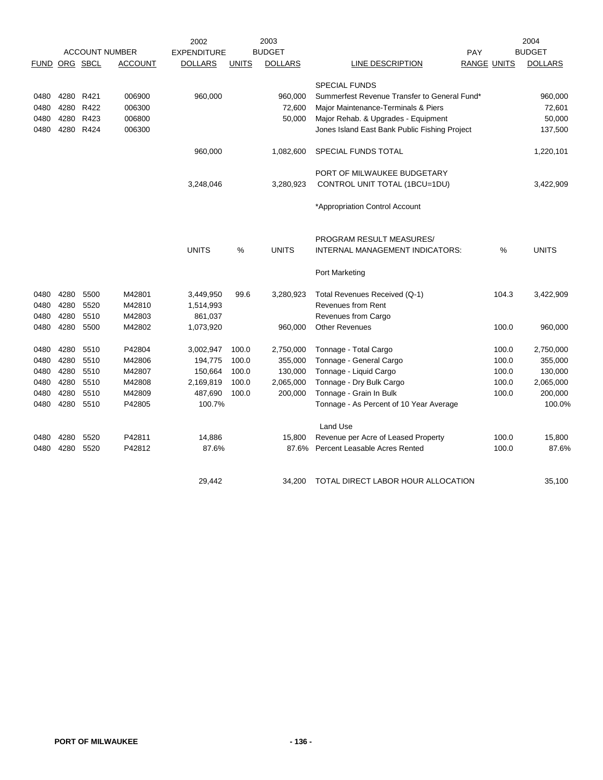|               |      |           | <b>ACCOUNT NUMBER</b> | 2002<br><b>EXPENDITURE</b> |              | 2003<br><b>BUDGET</b> |                                               | PAY |                    | 2004<br><b>BUDGET</b> |
|---------------|------|-----------|-----------------------|----------------------------|--------------|-----------------------|-----------------------------------------------|-----|--------------------|-----------------------|
| FUND ORG SBCL |      |           | <b>ACCOUNT</b>        | <b>DOLLARS</b>             | <b>UNITS</b> | <b>DOLLARS</b>        | LINE DESCRIPTION                              |     | <b>RANGE UNITS</b> | <b>DOLLARS</b>        |
|               |      |           |                       |                            |              |                       | <b>SPECIAL FUNDS</b>                          |     |                    |                       |
| 0480          | 4280 | R421      | 006900                | 960,000                    |              | 960,000               | Summerfest Revenue Transfer to General Fund*  |     |                    | 960,000               |
| 0480          |      | 4280 R422 | 006300                |                            |              | 72,600                | Major Maintenance-Terminals & Piers           |     |                    | 72,601                |
| 0480          |      | 4280 R423 | 006800                |                            |              | 50,000                | Major Rehab. & Upgrades - Equipment           |     |                    | 50,000                |
| 0480          |      | 4280 R424 | 006300                |                            |              |                       | Jones Island East Bank Public Fishing Project |     |                    | 137,500               |
|               |      |           |                       | 960,000                    |              | 1,082,600             | SPECIAL FUNDS TOTAL                           |     |                    | 1,220,101             |
|               |      |           |                       |                            |              |                       | PORT OF MILWAUKEE BUDGETARY                   |     |                    |                       |
|               |      |           |                       | 3,248,046                  |              | 3,280,923             | CONTROL UNIT TOTAL (1BCU=1DU)                 |     |                    | 3,422,909             |
|               |      |           |                       |                            |              |                       | *Appropriation Control Account                |     |                    |                       |
|               |      |           |                       |                            |              |                       | <b>PROGRAM RESULT MEASURES/</b>               |     |                    |                       |
|               |      |           |                       | <b>UNITS</b>               | %            | <b>UNITS</b>          | INTERNAL MANAGEMENT INDICATORS:               |     | %                  | <b>UNITS</b>          |
|               |      |           |                       |                            |              |                       | Port Marketing                                |     |                    |                       |
| 0480          | 4280 | 5500      | M42801                | 3,449,950                  | 99.6         | 3,280,923             | Total Revenues Received (Q-1)                 |     | 104.3              | 3,422,909             |
| 0480          | 4280 | 5520      | M42810                | 1,514,993                  |              |                       | Revenues from Rent                            |     |                    |                       |
| 0480          | 4280 | 5510      | M42803                | 861,037                    |              |                       | Revenues from Cargo                           |     |                    |                       |
| 0480          | 4280 | 5500      | M42802                | 1,073,920                  |              | 960,000               | <b>Other Revenues</b>                         |     | 100.0              | 960,000               |
| 0480          | 4280 | 5510      | P42804                | 3,002,947                  | 100.0        | 2,750,000             | Tonnage - Total Cargo                         |     | 100.0              | 2,750,000             |
| 0480          | 4280 | 5510      | M42806                | 194,775                    | 100.0        | 355,000               | Tonnage - General Cargo                       |     | 100.0              | 355,000               |
| 0480          | 4280 | 5510      | M42807                | 150,664                    | 100.0        | 130,000               | Tonnage - Liquid Cargo                        |     | 100.0              | 130,000               |
| 0480          | 4280 | 5510      | M42808                | 2,169,819                  | 100.0        | 2,065,000             | Tonnage - Dry Bulk Cargo                      |     | 100.0              | 2,065,000             |
| 0480          | 4280 | 5510      | M42809                | 487,690                    | 100.0        | 200,000               | Tonnage - Grain In Bulk                       |     | 100.0              | 200,000               |
| 0480          |      | 4280 5510 | P42805                | 100.7%                     |              |                       | Tonnage - As Percent of 10 Year Average       |     |                    | 100.0%                |
|               |      |           |                       |                            |              |                       | <b>Land Use</b>                               |     |                    |                       |
| 0480          | 4280 | 5520      | P42811                | 14,886                     |              | 15,800                | Revenue per Acre of Leased Property           |     | 100.0              | 15,800                |
| 0480          | 4280 | 5520      | P42812                | 87.6%                      |              | 87.6%                 | Percent Leasable Acres Rented                 |     | 100.0              | 87.6%                 |
|               |      |           |                       | 29.442                     |              | 34.200                | TOTAL DIRECT LABOR HOUR ALLOCATION            |     |                    | 35.100                |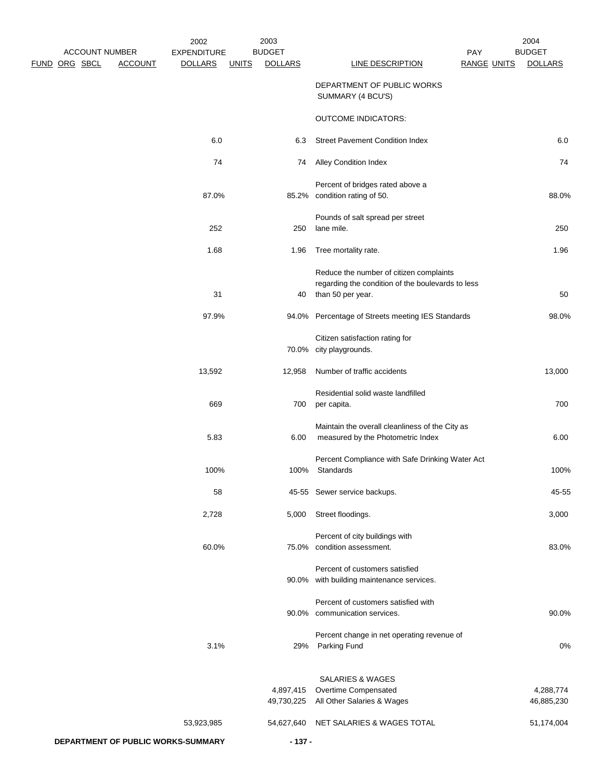|                                                          | 2002                                 |              | 2003                            |                                                                                                                   |                                  | 2004                            |
|----------------------------------------------------------|--------------------------------------|--------------|---------------------------------|-------------------------------------------------------------------------------------------------------------------|----------------------------------|---------------------------------|
| <b>ACCOUNT NUMBER</b><br>FUND ORG SBCL<br><b>ACCOUNT</b> | <b>EXPENDITURE</b><br><b>DOLLARS</b> | <b>UNITS</b> | <b>BUDGET</b><br><b>DOLLARS</b> | <b>LINE DESCRIPTION</b>                                                                                           | <b>PAY</b><br><b>RANGE UNITS</b> | <b>BUDGET</b><br><b>DOLLARS</b> |
|                                                          |                                      |              |                                 | DEPARTMENT OF PUBLIC WORKS<br>SUMMARY (4 BCU'S)                                                                   |                                  |                                 |
|                                                          |                                      |              |                                 | <b>OUTCOME INDICATORS:</b>                                                                                        |                                  |                                 |
|                                                          | 6.0                                  |              | 6.3                             | <b>Street Pavement Condition Index</b>                                                                            |                                  | 6.0                             |
|                                                          | 74                                   |              | 74                              | <b>Alley Condition Index</b>                                                                                      |                                  | 74                              |
|                                                          | 87.0%                                |              |                                 | Percent of bridges rated above a<br>85.2% condition rating of 50.                                                 |                                  | 88.0%                           |
|                                                          | 252                                  |              | 250                             | Pounds of salt spread per street<br>lane mile.                                                                    |                                  | 250                             |
|                                                          | 1.68                                 |              | 1.96                            | Tree mortality rate.                                                                                              |                                  | 1.96                            |
|                                                          | 31                                   |              | 40                              | Reduce the number of citizen complaints<br>regarding the condition of the boulevards to less<br>than 50 per year. |                                  | 50                              |
|                                                          | 97.9%                                |              |                                 | 94.0% Percentage of Streets meeting IES Standards                                                                 |                                  | 98.0%                           |
|                                                          |                                      |              |                                 | Citizen satisfaction rating for<br>70.0% city playgrounds.                                                        |                                  |                                 |
|                                                          | 13,592                               |              | 12,958                          | Number of traffic accidents                                                                                       |                                  | 13,000                          |
|                                                          | 669                                  |              | 700                             | Residential solid waste landfilled<br>per capita.                                                                 |                                  | 700                             |
|                                                          | 5.83                                 |              | 6.00                            | Maintain the overall cleanliness of the City as<br>measured by the Photometric Index                              |                                  | 6.00                            |
|                                                          | 100%                                 |              | 100%                            | Percent Compliance with Safe Drinking Water Act<br>Standards                                                      |                                  | 100%                            |
|                                                          | 58                                   |              |                                 | 45-55 Sewer service backups.                                                                                      |                                  | 45-55                           |
|                                                          | 2,728                                |              | 5,000                           | Street floodings.                                                                                                 |                                  | 3,000                           |
|                                                          | 60.0%                                |              |                                 | Percent of city buildings with<br>75.0% condition assessment.                                                     |                                  | 83.0%                           |
|                                                          |                                      |              |                                 | Percent of customers satisfied<br>90.0% with building maintenance services.                                       |                                  |                                 |
|                                                          |                                      |              |                                 | Percent of customers satisfied with<br>90.0% communication services.                                              |                                  | 90.0%                           |
|                                                          | 3.1%                                 |              | 29%                             | Percent change in net operating revenue of<br>Parking Fund                                                        |                                  | 0%                              |
|                                                          |                                      |              | 4,897,415<br>49,730,225         | SALARIES & WAGES<br>Overtime Compensated<br>All Other Salaries & Wages                                            |                                  | 4,288,774<br>46,885,230         |
|                                                          | 53,923,985                           |              |                                 | 54,627,640 NET SALARIES & WAGES TOTAL                                                                             |                                  | 51,174,004                      |
| DEPARTMENT OF PUBLIC WORKS-SUMMARY                       |                                      |              | $-137 -$                        |                                                                                                                   |                                  |                                 |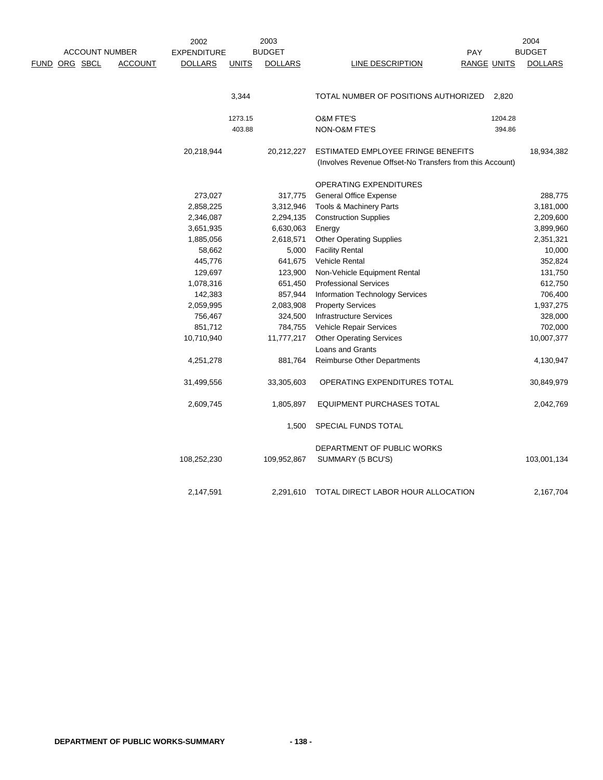| <b>ACCOUNT NUMBER</b> |                | 2002<br><b>EXPENDITURE</b> |              | 2003<br><b>BUDGET</b> |                                                          | <b>PAY</b>         | 2004<br><b>BUDGET</b> |
|-----------------------|----------------|----------------------------|--------------|-----------------------|----------------------------------------------------------|--------------------|-----------------------|
| <u>FUND ORG SBCL</u>  | <b>ACCOUNT</b> | <b>DOLLARS</b>             | <b>UNITS</b> | <b>DOLLARS</b>        | LINE DESCRIPTION                                         | <b>RANGE UNITS</b> | <b>DOLLARS</b>        |
|                       |                |                            |              |                       |                                                          |                    |                       |
|                       |                |                            | 3,344        |                       | TOTAL NUMBER OF POSITIONS AUTHORIZED                     | 2,820              |                       |
|                       |                |                            | 1273.15      |                       | <b>O&amp;M FTE'S</b>                                     | 1204.28            |                       |
|                       |                |                            | 403.88       |                       | NON-O&M FTE'S                                            | 394.86             |                       |
|                       |                | 20,218,944                 |              | 20,212,227            | ESTIMATED EMPLOYEE FRINGE BENEFITS                       |                    | 18,934,382            |
|                       |                |                            |              |                       | (Involves Revenue Offset-No Transfers from this Account) |                    |                       |
|                       |                |                            |              |                       | OPERATING EXPENDITURES                                   |                    |                       |
|                       |                | 273,027                    |              | 317,775               | <b>General Office Expense</b>                            |                    | 288,775               |
|                       |                | 2,858,225                  |              | 3,312,946             | Tools & Machinery Parts                                  |                    | 3,181,000             |
|                       |                | 2,346,087                  |              | 2,294,135             | <b>Construction Supplies</b>                             |                    | 2,209,600             |
|                       |                | 3,651,935                  |              | 6,630,063             | Energy                                                   |                    | 3,899,960             |
|                       |                | 1,885,056                  |              | 2,618,571             | <b>Other Operating Supplies</b>                          |                    | 2,351,321             |
|                       |                | 58,662                     |              | 5,000                 | <b>Facility Rental</b>                                   |                    | 10,000                |
|                       |                | 445,776                    |              | 641,675               | Vehicle Rental                                           |                    | 352,824               |
|                       |                | 129,697                    |              | 123,900               | Non-Vehicle Equipment Rental                             |                    | 131,750               |
|                       |                | 1,078,316                  |              | 651,450               | <b>Professional Services</b>                             |                    | 612,750               |
|                       |                | 142,383                    |              | 857,944               | Information Technology Services                          |                    | 706,400               |
|                       |                | 2,059,995                  |              | 2,083,908             | <b>Property Services</b>                                 |                    | 1,937,275             |
|                       |                | 756,467                    |              | 324,500               | <b>Infrastructure Services</b>                           |                    | 328,000               |
|                       |                | 851,712                    |              | 784,755               | Vehicle Repair Services                                  |                    | 702,000               |
|                       |                | 10,710,940                 |              | 11,777,217            | <b>Other Operating Services</b>                          |                    | 10,007,377            |
|                       |                |                            |              |                       | Loans and Grants                                         |                    |                       |
|                       |                | 4,251,278                  |              | 881,764               | <b>Reimburse Other Departments</b>                       |                    | 4,130,947             |
|                       |                | 31,499,556                 |              | 33,305,603            | OPERATING EXPENDITURES TOTAL                             |                    | 30,849,979            |
|                       |                | 2,609,745                  |              | 1,805,897             | <b>EQUIPMENT PURCHASES TOTAL</b>                         |                    | 2,042,769             |
|                       |                |                            |              | 1,500                 | SPECIAL FUNDS TOTAL                                      |                    |                       |
|                       |                |                            |              |                       | DEPARTMENT OF PUBLIC WORKS                               |                    |                       |
|                       |                | 108,252,230                |              | 109,952,867           | SUMMARY (5 BCU'S)                                        |                    | 103,001,134           |
|                       |                | 2,147,591                  |              | 2,291,610             | TOTAL DIRECT LABOR HOUR ALLOCATION                       |                    | 2,167,704             |
|                       |                |                            |              |                       |                                                          |                    |                       |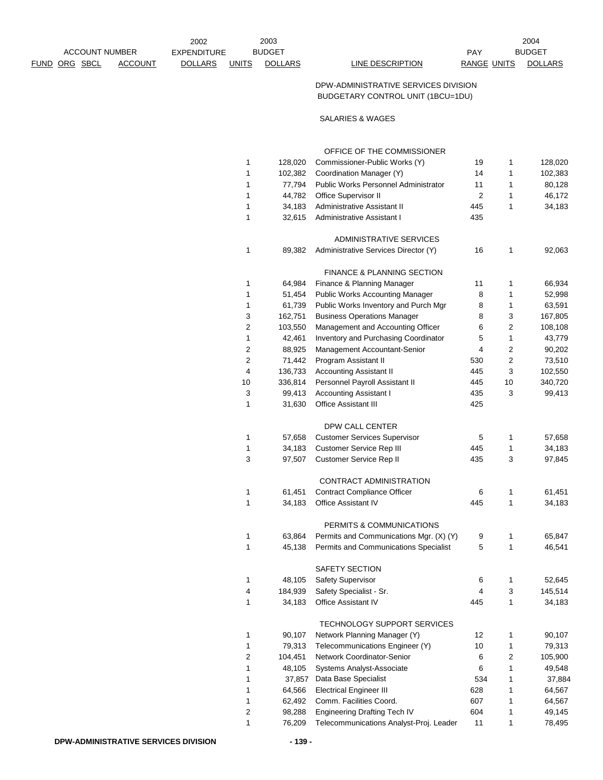|                |         | 2002           |              | 2003           |                  |             | 2004          |
|----------------|---------|----------------|--------------|----------------|------------------|-------------|---------------|
| ACCOUNT NUMBER |         | EXPENDITURE    |              | <b>BUDGET</b>  |                  | PAY         | <b>BUDGET</b> |
| FUND ORG SBCL  | ACCOUNT | <b>DOLLARS</b> | <b>UNITS</b> | <b>DOLLARS</b> | LINE DESCRIPTION | RANGE UNITS | <b>DOLL</b>   |

EXPENDITURE PAY <u>Funits dollars or the description or angenists dollars contain</u>

## DPW-ADMINISTRATIVE SERVICES DIVISION BUDGETARY CONTROL UNIT (1BCU=1DU)

SALARIES & WAGES

|                |         | OFFICE OF THE COMMISSIONER                  |                |    |         |
|----------------|---------|---------------------------------------------|----------------|----|---------|
| 1              | 128,020 | Commissioner-Public Works (Y)               | 19             | 1  | 128,020 |
| 1              | 102,382 | Coordination Manager (Y)                    | 14             | 1  | 102,383 |
| 1              | 77,794  | <b>Public Works Personnel Administrator</b> | 11             | 1  | 80,128  |
| 1              | 44,782  | Office Supervisor II                        | $\overline{2}$ | 1  | 46,172  |
| 1              | 34,183  | Administrative Assistant II                 | 445            | 1  | 34,183  |
| 1              | 32,615  | Administrative Assistant I                  | 435            |    |         |
|                |         | ADMINISTRATIVE SERVICES                     |                |    |         |
| 1              | 89,382  | Administrative Services Director (Y)        | 16             | 1  | 92,063  |
|                |         | <b>FINANCE &amp; PLANNING SECTION</b>       |                |    |         |
| 1              | 64,984  | Finance & Planning Manager                  | 11             | 1  | 66,934  |
| 1              | 51,454  | Public Works Accounting Manager             | 8              | 1  | 52,998  |
| 1              | 61,739  | Public Works Inventory and Purch Mgr        | 8              | 1  | 63,591  |
| 3              | 162,751 | <b>Business Operations Manager</b>          | 8              | 3  | 167,805 |
| 2              | 103,550 | Management and Accounting Officer           | 6              | 2  | 108,108 |
| 1              | 42,461  | Inventory and Purchasing Coordinator        | 5              | 1  | 43,779  |
| 2              | 88,925  | Management Accountant-Senior                | 4              | 2  | 90,202  |
| $\overline{c}$ | 71,442  | Program Assistant II                        | 530            | 2  | 73,510  |
| 4              | 136,733 | <b>Accounting Assistant II</b>              | 445            | 3  | 102,550 |
| 10             | 336,814 | Personnel Payroll Assistant II              | 445            | 10 | 340,720 |
| 3              | 99,413  | <b>Accounting Assistant I</b>               | 435            | 3  | 99,413  |
| 1              | 31,630  | <b>Office Assistant III</b>                 | 425            |    |         |
|                |         | DPW CALL CENTER                             |                |    |         |
| 1              | 57,658  | <b>Customer Services Supervisor</b>         | 5              | 1  | 57,658  |
| 1              | 34,183  | Customer Service Rep III                    | 445            | 1  | 34,183  |
| 3              | 97,507  | Customer Service Rep II                     | 435            | 3  | 97,845  |
|                |         | CONTRACT ADMINISTRATION                     |                |    |         |
| 1              | 61,451  | <b>Contract Compliance Officer</b>          | 6              | 1  | 61,451  |
| 1              | 34,183  | <b>Office Assistant IV</b>                  | 445            | 1  | 34,183  |
|                |         | PERMITS & COMMUNICATIONS                    |                |    |         |
| 1              | 63,864  | Permits and Communications Mgr. (X) (Y)     | 9              | 1  | 65,847  |
| 1              | 45,138  | Permits and Communications Specialist       | 5              | 1  | 46,541  |
|                |         | SAFETY SECTION                              |                |    |         |
| 1              | 48,105  | Safety Supervisor                           | 6              | 1  | 52,645  |
| 4              | 184,939 | Safety Specialist - Sr.                     | 4              | 3  | 145,514 |
| 1              | 34,183  | Office Assistant IV                         | 445            | 1  | 34,183  |
|                |         | TECHNOLOGY SUPPORT SERVICES                 |                |    |         |
| 1              | 90,107  | Network Planning Manager (Y)                | 12             | 1  | 90,107  |
| 1              | 79,313  | Telecommunications Engineer (Y)             | 10             | 1  | 79,313  |
| 2              | 104,451 | Network Coordinator-Senior                  | 6              | 2  | 105,900 |
| 1              | 48,105  | Systems Analyst-Associate                   | 6              | 1  | 49,548  |
| 1              | 37,857  | Data Base Specialist                        | 534            | 1  | 37,884  |
| 1              | 64,566  | <b>Electrical Engineer III</b>              | 628            | 1  | 64,567  |
| 1              | 62,492  | Comm. Facilities Coord.                     | 607            | 1  | 64,567  |
| 2              | 98,288  | Engineering Drafting Tech IV                | 604            | 1  | 49,145  |
| 1              | 76,209  | Telecommunications Analyst-Proj. Leader     | 11             | 1  | 78,495  |
|                |         |                                             |                |    |         |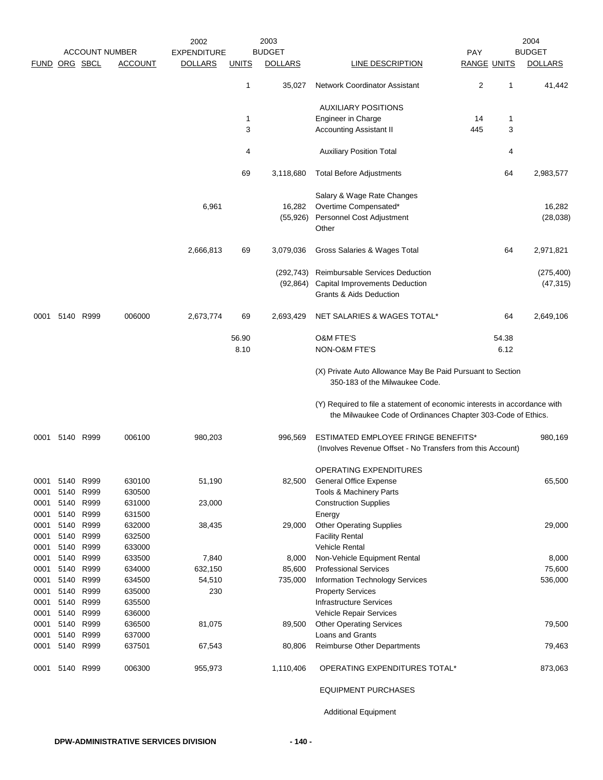|                      |      |           | <b>ACCOUNT NUMBER</b> | 2002<br><b>EXPENDITURE</b> |              | 2003<br><b>BUDGET</b> |                                                                                                                                           | <b>PAY</b>         |       | 2004<br><b>BUDGET</b> |
|----------------------|------|-----------|-----------------------|----------------------------|--------------|-----------------------|-------------------------------------------------------------------------------------------------------------------------------------------|--------------------|-------|-----------------------|
| <b>FUND ORG SBCL</b> |      |           | <b>ACCOUNT</b>        | <b>DOLLARS</b>             | <u>UNITS</u> | <b>DOLLARS</b>        | LINE DESCRIPTION                                                                                                                          | <b>RANGE UNITS</b> |       | <b>DOLLARS</b>        |
|                      |      |           |                       |                            | 1            | 35,027                | <b>Network Coordinator Assistant</b>                                                                                                      | 2                  | 1     | 41,442                |
|                      |      |           |                       |                            |              |                       | <b>AUXILIARY POSITIONS</b>                                                                                                                |                    |       |                       |
|                      |      |           |                       |                            | 1            |                       | Engineer in Charge                                                                                                                        | 14                 | 1     |                       |
|                      |      |           |                       |                            | 3            |                       | <b>Accounting Assistant II</b>                                                                                                            | 445                | 3     |                       |
|                      |      |           |                       |                            | 4            |                       | <b>Auxiliary Position Total</b>                                                                                                           |                    | 4     |                       |
|                      |      |           |                       |                            | 69           | 3,118,680             | <b>Total Before Adjustments</b>                                                                                                           |                    | 64    | 2,983,577             |
|                      |      |           |                       |                            |              |                       | Salary & Wage Rate Changes                                                                                                                |                    |       |                       |
|                      |      |           |                       | 6,961                      |              | 16,282                | Overtime Compensated*                                                                                                                     |                    |       | 16,282                |
|                      |      |           |                       |                            |              | (55,926)              | Personnel Cost Adjustment                                                                                                                 |                    |       | (28, 038)             |
|                      |      |           |                       |                            |              |                       | Other                                                                                                                                     |                    |       |                       |
|                      |      |           |                       | 2,666,813                  | 69           | 3,079,036             | Gross Salaries & Wages Total                                                                                                              |                    | 64    | 2,971,821             |
|                      |      |           |                       |                            |              | (292,743)             | Reimbursable Services Deduction                                                                                                           |                    |       | (275, 400)            |
|                      |      |           |                       |                            |              | (92,864)              | Capital Improvements Deduction                                                                                                            |                    |       | (47, 315)             |
|                      |      |           |                       |                            |              |                       | Grants & Aids Deduction                                                                                                                   |                    |       |                       |
| 0001                 |      | 5140 R999 | 006000                | 2,673,774                  | 69           | 2,693,429             | NET SALARIES & WAGES TOTAL*                                                                                                               |                    | 64    | 2,649,106             |
|                      |      |           |                       |                            | 56.90        |                       | <b>O&amp;M FTE'S</b>                                                                                                                      |                    | 54.38 |                       |
|                      |      |           |                       |                            | 8.10         |                       | NON-O&M FTE'S                                                                                                                             |                    | 6.12  |                       |
|                      |      |           |                       |                            |              |                       | (X) Private Auto Allowance May Be Paid Pursuant to Section<br>350-183 of the Milwaukee Code.                                              |                    |       |                       |
|                      |      |           |                       |                            |              |                       | (Y) Required to file a statement of economic interests in accordance with<br>the Milwaukee Code of Ordinances Chapter 303-Code of Ethics. |                    |       |                       |
| 0001                 |      | 5140 R999 | 006100                | 980,203                    |              | 996,569               | ESTIMATED EMPLOYEE FRINGE BENEFITS*                                                                                                       |                    |       | 980,169               |
|                      |      |           |                       |                            |              |                       | (Involves Revenue Offset - No Transfers from this Account)                                                                                |                    |       |                       |
|                      |      |           |                       |                            |              |                       | <b>OPERATING EXPENDITURES</b>                                                                                                             |                    |       |                       |
| 0001                 | 5140 | R999      | 630100                | 51,190                     |              | 82,500                | <b>General Office Expense</b>                                                                                                             |                    |       | 65,500                |
| 0001                 | 5140 | R999      | 630500                |                            |              |                       | Tools & Machinery Parts                                                                                                                   |                    |       |                       |
| 0001                 | 5140 | R999      | 631000                | 23,000                     |              |                       | <b>Construction Supplies</b>                                                                                                              |                    |       |                       |
| 0001                 | 5140 | R999      | 631500                |                            |              |                       | Energy                                                                                                                                    |                    |       |                       |
| 0001                 | 5140 | R999      | 632000                | 38,435                     |              | 29,000                | <b>Other Operating Supplies</b>                                                                                                           |                    |       | 29,000                |
| 0001                 | 5140 | R999      | 632500                |                            |              |                       | <b>Facility Rental</b>                                                                                                                    |                    |       |                       |
| 0001                 | 5140 | R999      | 633000                |                            |              |                       | Vehicle Rental                                                                                                                            |                    |       |                       |
| 0001                 | 5140 | R999      | 633500                | 7,840                      |              | 8,000                 | Non-Vehicle Equipment Rental                                                                                                              |                    |       | 8,000                 |
| 0001                 |      | 5140 R999 | 634000                | 632,150                    |              | 85,600                | <b>Professional Services</b>                                                                                                              |                    |       | 75,600                |
| 0001                 |      | 5140 R999 | 634500                | 54,510                     |              | 735,000               | Information Technology Services                                                                                                           |                    |       | 536,000               |
| 0001                 | 5140 | R999      | 635000                | 230                        |              |                       | <b>Property Services</b>                                                                                                                  |                    |       |                       |
| 0001                 | 5140 | R999      | 635500                |                            |              |                       | <b>Infrastructure Services</b>                                                                                                            |                    |       |                       |
| 0001                 | 5140 | R999      | 636000                |                            |              |                       | Vehicle Repair Services                                                                                                                   |                    |       |                       |
| 0001                 | 5140 | R999      | 636500                | 81,075                     |              | 89,500                | <b>Other Operating Services</b>                                                                                                           |                    |       | 79,500                |
| 0001                 | 5140 | R999      | 637000                |                            |              |                       | Loans and Grants                                                                                                                          |                    |       |                       |
| 0001                 | 5140 | R999      | 637501                | 67,543                     |              | 80,806                | Reimburse Other Departments                                                                                                               |                    |       | 79,463                |
| 0001                 |      | 5140 R999 | 006300                | 955,973                    |              | 1,110,406             | OPERATING EXPENDITURES TOTAL*                                                                                                             |                    |       | 873,063               |
|                      |      |           |                       |                            |              |                       | <b>EQUIPMENT PURCHASES</b>                                                                                                                |                    |       |                       |

Additional Equipment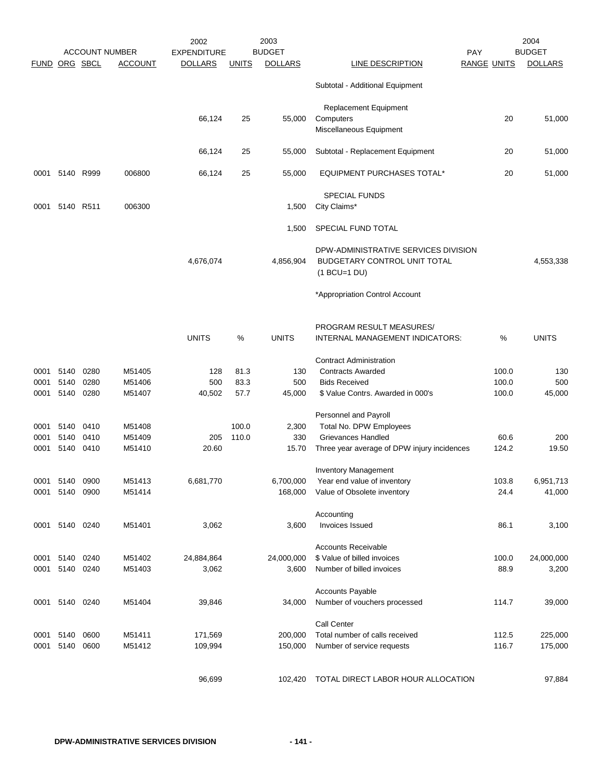|               |              |              | <b>ACCOUNT NUMBER</b> | 2002<br><b>EXPENDITURE</b> |              | 2003<br><b>BUDGET</b> |                                                                                        | <b>PAY</b>         |                | 2004<br><b>BUDGET</b> |
|---------------|--------------|--------------|-----------------------|----------------------------|--------------|-----------------------|----------------------------------------------------------------------------------------|--------------------|----------------|-----------------------|
| FUND ORG SBCL |              |              | <b>ACCOUNT</b>        | <b>DOLLARS</b>             | <b>UNITS</b> | <b>DOLLARS</b>        | LINE DESCRIPTION                                                                       | <b>RANGE UNITS</b> |                | <b>DOLLARS</b>        |
|               |              |              |                       |                            |              |                       | Subtotal - Additional Equipment                                                        |                    |                |                       |
|               |              |              |                       | 66,124                     | 25           | 55,000                | <b>Replacement Equipment</b><br>Computers                                              |                    | 20             | 51,000                |
|               |              |              |                       |                            |              |                       | Miscellaneous Equipment                                                                |                    |                |                       |
|               |              |              |                       | 66,124                     | 25           | 55,000                | Subtotal - Replacement Equipment                                                       |                    | 20             | 51,000                |
| 0001          | 5140 R999    |              | 006800                | 66,124                     | 25           | 55,000                | <b>EQUIPMENT PURCHASES TOTAL*</b>                                                      |                    | 20             | 51,000                |
| 0001          | 5140 R511    |              | 006300                |                            |              | 1,500                 | SPECIAL FUNDS<br>City Claims*                                                          |                    |                |                       |
|               |              |              |                       |                            |              | 1,500                 | SPECIAL FUND TOTAL                                                                     |                    |                |                       |
|               |              |              |                       | 4,676,074                  |              | 4,856,904             | DPW-ADMINISTRATIVE SERVICES DIVISION<br>BUDGETARY CONTROL UNIT TOTAL<br>$(1$ BCU=1 DU) |                    |                | 4,553,338             |
|               |              |              |                       |                            |              |                       | *Appropriation Control Account                                                         |                    |                |                       |
|               |              |              |                       | <b>UNITS</b>               | $\%$         | <b>UNITS</b>          | PROGRAM RESULT MEASURES/<br>INTERNAL MANAGEMENT INDICATORS:                            |                    | %              | <b>UNITS</b>          |
|               |              |              |                       |                            |              |                       | <b>Contract Administration</b>                                                         |                    |                |                       |
| 0001          | 5140         | 0280         | M51405                | 128                        | 81.3         | 130                   | <b>Contracts Awarded</b>                                                               |                    | 100.0          | 130                   |
| 0001<br>0001  | 5140<br>5140 | 0280<br>0280 | M51406<br>M51407      | 500<br>40,502              | 83.3<br>57.7 | 500<br>45,000         | <b>Bids Received</b><br>\$ Value Contrs. Awarded in 000's                              |                    | 100.0<br>100.0 | 500<br>45,000         |
|               |              |              |                       |                            |              |                       | Personnel and Payroll                                                                  |                    |                |                       |
| 0001          | 5140         | 0410         | M51408                |                            | 100.0        | 2,300                 | Total No. DPW Employees                                                                |                    |                |                       |
| 0001          | 5140         | 0410         | M51409                | 205                        | 110.0        | 330                   | Grievances Handled                                                                     |                    | 60.6           | 200                   |
| 0001          | 5140 0410    |              | M51410                | 20.60                      |              | 15.70                 | Three year average of DPW injury incidences                                            |                    | 124.2          | 19.50                 |
|               |              |              |                       |                            |              |                       | <b>Inventory Management</b>                                                            |                    |                |                       |
| 0001          | 5140         | 0900         | M51413                | 6,681,770                  |              | 6,700,000             | Year end value of inventory                                                            |                    | 103.8          | 6,951,713             |
| 0001          | 5140         | 0900         | M51414                |                            |              | 168,000               | Value of Obsolete inventory                                                            |                    | 24.4           | 41,000                |
| 0001          | 5140 0240    |              | M51401                | 3,062                      |              | 3,600                 | Accounting<br><b>Invoices Issued</b>                                                   |                    | 86.1           | 3,100                 |
|               |              |              |                       |                            |              |                       | <b>Accounts Receivable</b>                                                             |                    |                |                       |
| 0001          | 5140         | 0240         | M51402                | 24,884,864                 |              | 24,000,000            | \$ Value of billed invoices                                                            |                    | 100.0          | 24,000,000            |
| 0001          | 5140 0240    |              | M51403                | 3,062                      |              | 3,600                 | Number of billed invoices                                                              |                    | 88.9           | 3,200                 |
|               |              |              |                       |                            |              |                       | <b>Accounts Payable</b>                                                                |                    |                |                       |
| 0001          | 5140 0240    |              | M51404                | 39,846                     |              | 34,000                | Number of vouchers processed                                                           |                    | 114.7          | 39,000                |
|               |              |              |                       |                            |              |                       | Call Center                                                                            |                    |                |                       |
| 0001<br>0001  | 5140<br>5140 | 0600<br>0600 | M51411<br>M51412      | 171,569<br>109,994         |              | 200,000<br>150,000    | Total number of calls received<br>Number of service requests                           |                    | 112.5<br>116.7 | 225,000<br>175,000    |
|               |              |              |                       |                            |              |                       |                                                                                        |                    |                |                       |
|               |              |              |                       | 96,699                     |              | 102,420               | TOTAL DIRECT LABOR HOUR ALLOCATION                                                     |                    |                | 97,884                |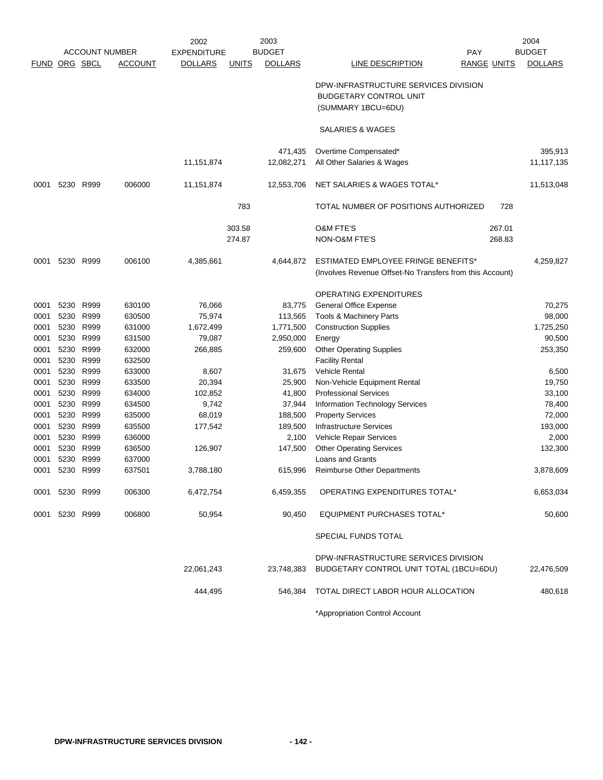|             | <b>ACCOUNT NUMBER</b> |           | 2002<br>2003                        |                |              |                | 2004                                                                                            |                |
|-------------|-----------------------|-----------|-------------------------------------|----------------|--------------|----------------|-------------------------------------------------------------------------------------------------|----------------|
|             |                       |           | <b>BUDGET</b><br><b>EXPENDITURE</b> |                |              | <b>PAY</b>     | <b>BUDGET</b>                                                                                   |                |
| <b>FUND</b> |                       | ORG SBCL  | <b>ACCOUNT</b>                      | <b>DOLLARS</b> | <b>UNITS</b> | <b>DOLLARS</b> | LINE DESCRIPTION<br><b>RANGE UNITS</b>                                                          | <b>DOLLARS</b> |
|             |                       |           |                                     |                |              |                | DPW-INFRASTRUCTURE SERVICES DIVISION<br><b>BUDGETARY CONTROL UNIT</b><br>(SUMMARY 1BCU=6DU)     |                |
|             |                       |           |                                     |                |              |                | SALARIES & WAGES                                                                                |                |
|             |                       |           |                                     |                |              | 471,435        | Overtime Compensated*                                                                           | 395,913        |
|             |                       |           |                                     | 11,151,874     |              | 12,082,271     | All Other Salaries & Wages                                                                      | 11,117,135     |
| 0001        | 5230                  | R999      | 006000                              | 11,151,874     |              | 12,553,706     | NET SALARIES & WAGES TOTAL*                                                                     | 11,513,048     |
|             |                       |           |                                     |                | 783          |                | TOTAL NUMBER OF POSITIONS AUTHORIZED<br>728                                                     |                |
|             |                       |           |                                     |                | 303.58       |                | <b>O&amp;M FTE'S</b><br>267.01                                                                  |                |
|             |                       |           |                                     |                | 274.87       |                | NON-O&M FTE'S<br>268.83                                                                         |                |
| 0001        | 5230                  | R999      | 006100                              | 4,385,661      |              | 4,644,872      | ESTIMATED EMPLOYEE FRINGE BENEFITS*<br>(Involves Revenue Offset-No Transfers from this Account) | 4,259,827      |
|             |                       |           |                                     |                |              |                | OPERATING EXPENDITURES                                                                          |                |
| 0001        | 5230                  | R999      | 630100                              | 76,066         |              | 83,775         | General Office Expense                                                                          | 70,275         |
| 0001        | 5230                  | R999      | 630500                              | 75,974         |              | 113,565        | Tools & Machinery Parts                                                                         | 98,000         |
| 0001        | 5230                  | R999      | 631000                              | 1,672,499      |              | 1,771,500      | <b>Construction Supplies</b>                                                                    | 1,725,250      |
| 0001        | 5230                  | R999      | 631500                              | 79,087         |              | 2,950,000      | Energy                                                                                          | 90,500         |
| 0001        | 5230                  | R999      | 632000                              | 266,885        |              | 259,600        | <b>Other Operating Supplies</b>                                                                 | 253,350        |
| 0001        | 5230                  | R999      | 632500                              |                |              |                | <b>Facility Rental</b>                                                                          |                |
| 0001        | 5230                  | R999      | 633000                              | 8,607          |              | 31,675         | Vehicle Rental                                                                                  | 6,500          |
| 0001        | 5230                  | R999      | 633500                              | 20,394         |              | 25,900         | Non-Vehicle Equipment Rental                                                                    | 19,750         |
| 0001        | 5230                  | R999      | 634000                              | 102,852        |              | 41,800         | <b>Professional Services</b>                                                                    | 33,100         |
| 0001        | 5230                  | R999      | 634500                              | 9,742          |              | 37,944         | Information Technology Services                                                                 | 78,400         |
| 0001        | 5230                  | R999      | 635000                              | 68,019         |              | 188,500        | <b>Property Services</b>                                                                        | 72,000         |
| 0001        | 5230                  | R999      | 635500                              | 177,542        |              | 189,500        | <b>Infrastructure Services</b>                                                                  | 193,000        |
| 0001        | 5230                  | R999      | 636000                              |                |              | 2,100          | Vehicle Repair Services                                                                         | 2,000          |
| 0001        | 5230                  | R999      | 636500                              | 126,907        |              | 147,500        | <b>Other Operating Services</b>                                                                 | 132,300        |
| 0001        | 5230                  | R999      | 637000                              |                |              |                | <b>Loans and Grants</b>                                                                         |                |
| 0001        |                       | 5230 R999 | 637501                              | 3,788,180      |              | 615,996        | <b>Reimburse Other Departments</b>                                                              | 3,878,609      |
| 0001        |                       | 5230 R999 | 006300                              | 6,472,754      |              | 6,459,355      | OPERATING EXPENDITURES TOTAL*                                                                   | 6,653,034      |
| 0001        |                       | 5230 R999 | 006800                              | 50,954         |              | 90,450         | <b>EQUIPMENT PURCHASES TOTAL*</b>                                                               | 50,600         |
|             |                       |           |                                     |                |              |                | SPECIAL FUNDS TOTAL                                                                             |                |
|             |                       |           |                                     |                |              |                | DPW-INFRASTRUCTURE SERVICES DIVISION                                                            |                |
|             |                       |           |                                     | 22,061,243     |              | 23,748,383     | BUDGETARY CONTROL UNIT TOTAL (1BCU=6DU)                                                         | 22,476,509     |
|             |                       |           |                                     | 444,495        |              | 546,384        | TOTAL DIRECT LABOR HOUR ALLOCATION                                                              | 480,618        |
|             |                       |           |                                     |                |              |                | *Appropriation Control Account                                                                  |                |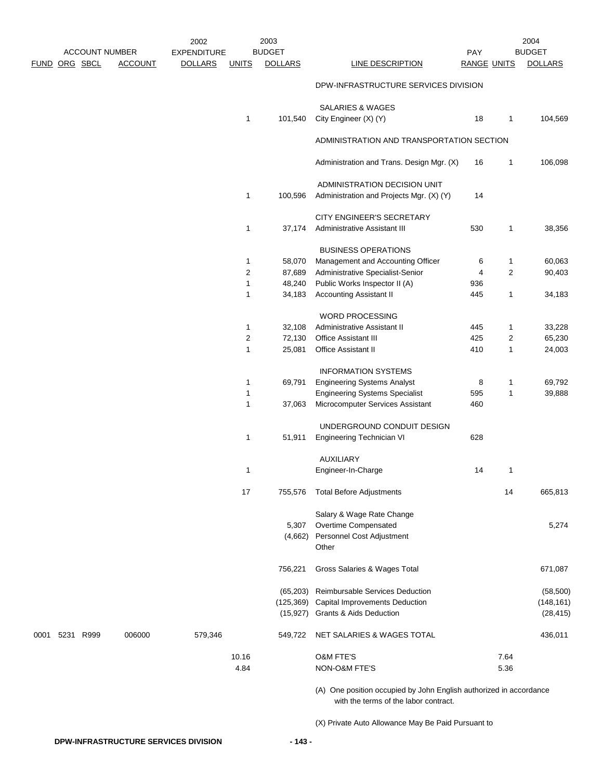|      |               |           | <b>ACCOUNT NUMBER</b> | 2002<br><b>EXPENDITURE</b> |              | 2003<br><b>BUDGET</b> |                                                                          | <b>PAY</b>         |                | 2004<br><b>BUDGET</b> |
|------|---------------|-----------|-----------------------|----------------------------|--------------|-----------------------|--------------------------------------------------------------------------|--------------------|----------------|-----------------------|
|      | FUND ORG SBCL |           | <b>ACCOUNT</b>        | <b>DOLLARS</b>             | <b>UNITS</b> | <b>DOLLARS</b>        | <b>LINE DESCRIPTION</b>                                                  | <b>RANGE UNITS</b> |                | <b>DOLLARS</b>        |
|      |               |           |                       |                            |              |                       | DPW-INFRASTRUCTURE SERVICES DIVISION                                     |                    |                |                       |
|      |               |           |                       |                            | 1            | 101,540               | <b>SALARIES &amp; WAGES</b><br>City Engineer (X) (Y)                     | 18                 | 1              | 104,569               |
|      |               |           |                       |                            |              |                       | ADMINISTRATION AND TRANSPORTATION SECTION                                |                    |                |                       |
|      |               |           |                       |                            |              |                       | Administration and Trans. Design Mgr. (X)                                | 16                 | 1              | 106,098               |
|      |               |           |                       |                            | $\mathbf{1}$ | 100,596               | ADMINISTRATION DECISION UNIT<br>Administration and Projects Mgr. (X) (Y) | 14                 |                |                       |
|      |               |           |                       |                            |              |                       | CITY ENGINEER'S SECRETARY                                                |                    |                |                       |
|      |               |           |                       |                            | $\mathbf{1}$ | 37,174                | Administrative Assistant III                                             | 530                | 1              | 38,356                |
|      |               |           |                       |                            |              |                       | <b>BUSINESS OPERATIONS</b>                                               |                    |                |                       |
|      |               |           |                       |                            | $\mathbf{1}$ | 58,070                | Management and Accounting Officer                                        | 6                  | 1              | 60,063                |
|      |               |           |                       |                            | 2            | 87,689                | Administrative Specialist-Senior                                         | 4                  | $\overline{2}$ | 90,403                |
|      |               |           |                       |                            | 1            | 48,240                | Public Works Inspector II (A)                                            | 936                |                |                       |
|      |               |           |                       |                            | 1            | 34,183                | <b>Accounting Assistant II</b>                                           | 445                | 1              | 34,183                |
|      |               |           |                       |                            |              |                       | <b>WORD PROCESSING</b>                                                   |                    |                |                       |
|      |               |           |                       |                            | 1            | 32,108                | Administrative Assistant II                                              | 445                | 1              | 33,228                |
|      |               |           |                       |                            | 2            | 72,130                | Office Assistant III                                                     | 425                | 2              | 65,230                |
|      |               |           |                       |                            | 1            | 25,081                | <b>Office Assistant II</b>                                               | 410                | 1              | 24,003                |
|      |               |           |                       |                            |              |                       | <b>INFORMATION SYSTEMS</b>                                               |                    |                |                       |
|      |               |           |                       |                            | 1            | 69,791                | <b>Engineering Systems Analyst</b>                                       | 8                  | 1              | 69,792                |
|      |               |           |                       |                            | $\mathbf{1}$ |                       | <b>Engineering Systems Specialist</b>                                    | 595                | 1              | 39,888                |
|      |               |           |                       |                            | $\mathbf{1}$ | 37,063                | Microcomputer Services Assistant                                         | 460                |                |                       |
|      |               |           |                       |                            |              |                       | UNDERGROUND CONDUIT DESIGN                                               |                    |                |                       |
|      |               |           |                       |                            | $\mathbf{1}$ | 51,911                | Engineering Technician VI                                                | 628                |                |                       |
|      |               |           |                       |                            |              |                       | <b>AUXILIARY</b>                                                         |                    |                |                       |
|      |               |           |                       |                            | 1            |                       | Engineer-In-Charge                                                       | 14                 | 1              |                       |
|      |               |           |                       |                            | 17           | 755,576               | <b>Total Before Adjustments</b>                                          |                    | 14             | 665,813               |
|      |               |           |                       |                            |              |                       | Salary & Wage Rate Change                                                |                    |                |                       |
|      |               |           |                       |                            |              | 5,307                 | Overtime Compensated                                                     |                    |                | 5,274                 |
|      |               |           |                       |                            |              | (4,662)               | Personnel Cost Adjustment<br>Other                                       |                    |                |                       |
|      |               |           |                       |                            |              | 756,221               | Gross Salaries & Wages Total                                             |                    |                | 671,087               |
|      |               |           |                       |                            |              | (65, 203)             | Reimbursable Services Deduction                                          |                    |                | (58, 500)             |
|      |               |           |                       |                            |              | (125, 369)            | Capital Improvements Deduction                                           |                    |                | (148, 161)            |
|      |               |           |                       |                            |              | (15, 927)             | Grants & Aids Deduction                                                  |                    |                | (28, 415)             |
| 0001 |               | 5231 R999 | 006000                | 579,346                    |              | 549,722               | NET SALARIES & WAGES TOTAL                                               |                    |                | 436,011               |
|      |               |           |                       |                            | 10.16        |                       | O&M FTE'S                                                                |                    | 7.64           |                       |
|      |               |           |                       |                            | 4.84         |                       | NON-O&M FTE'S                                                            |                    | 5.36           |                       |
|      |               |           |                       |                            |              |                       |                                                                          |                    |                |                       |

(A) One position occupied by John English authorized in accordance with the terms of the labor contract.

(X) Private Auto Allowance May Be Paid Pursuant to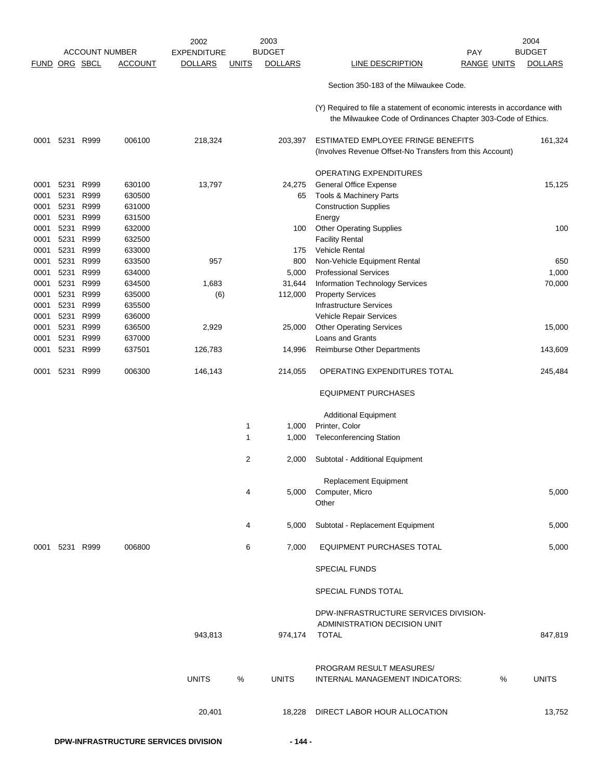|                      |      |           |                       | 2002               | 2003          |                |                                                                                                                                           |   | 2004           |
|----------------------|------|-----------|-----------------------|--------------------|---------------|----------------|-------------------------------------------------------------------------------------------------------------------------------------------|---|----------------|
|                      |      |           | <b>ACCOUNT NUMBER</b> | <b>EXPENDITURE</b> | <b>BUDGET</b> |                | <b>PAY</b>                                                                                                                                |   | <b>BUDGET</b>  |
| <b>FUND ORG SBCL</b> |      |           | <b>ACCOUNT</b>        | <b>DOLLARS</b>     | <u>UNITS</u>  | <b>DOLLARS</b> | <b>LINE DESCRIPTION</b><br><b>RANGE UNITS</b>                                                                                             |   | <b>DOLLARS</b> |
|                      |      |           |                       |                    |               |                | Section 350-183 of the Milwaukee Code.                                                                                                    |   |                |
|                      |      |           |                       |                    |               |                | (Y) Required to file a statement of economic interests in accordance with<br>the Milwaukee Code of Ordinances Chapter 303-Code of Ethics. |   |                |
| 0001                 |      | 5231 R999 | 006100                | 218,324            |               | 203,397        | ESTIMATED EMPLOYEE FRINGE BENEFITS<br>(Involves Revenue Offset-No Transfers from this Account)                                            |   | 161,324        |
|                      |      |           |                       |                    |               |                | OPERATING EXPENDITURES                                                                                                                    |   |                |
| 0001                 | 5231 | R999      | 630100                | 13,797             |               | 24,275         | <b>General Office Expense</b>                                                                                                             |   | 15,125         |
| 0001                 | 5231 | R999      | 630500                |                    |               | 65             | Tools & Machinery Parts                                                                                                                   |   |                |
| 0001                 |      | 5231 R999 | 631000                |                    |               |                | <b>Construction Supplies</b>                                                                                                              |   |                |
| 0001                 |      | 5231 R999 | 631500                |                    |               |                | Energy                                                                                                                                    |   |                |
| 0001                 | 5231 | R999      | 632000                |                    |               | 100            | <b>Other Operating Supplies</b>                                                                                                           |   | 100            |
| 0001                 | 5231 | R999      | 632500                |                    |               |                | <b>Facility Rental</b>                                                                                                                    |   |                |
| 0001                 |      | 5231 R999 | 633000                |                    |               | 175            | Vehicle Rental                                                                                                                            |   |                |
| 0001                 | 5231 | R999      | 633500                | 957                |               | 800            | Non-Vehicle Equipment Rental                                                                                                              |   | 650            |
| 0001                 | 5231 | R999      | 634000                |                    |               | 5,000          | <b>Professional Services</b>                                                                                                              |   | 1,000          |
| 0001                 | 5231 | R999      | 634500                | 1,683              |               | 31,644         | Information Technology Services                                                                                                           |   | 70,000         |
| 0001                 |      | 5231 R999 | 635000                | (6)                |               | 112,000        | <b>Property Services</b>                                                                                                                  |   |                |
| 0001                 |      | 5231 R999 | 635500                |                    |               |                | <b>Infrastructure Services</b>                                                                                                            |   |                |
| 0001                 | 5231 | R999      | 636000                |                    |               |                | Vehicle Repair Services                                                                                                                   |   |                |
| 0001                 | 5231 | R999      | 636500                | 2,929              |               | 25,000         | <b>Other Operating Services</b>                                                                                                           |   | 15,000         |
| 0001                 |      | 5231 R999 | 637000                |                    |               |                | Loans and Grants                                                                                                                          |   |                |
| 0001                 | 5231 | R999      | 637501                | 126,783            |               | 14,996         | <b>Reimburse Other Departments</b>                                                                                                        |   | 143,609        |
| 0001                 |      | 5231 R999 | 006300                | 146,143            |               | 214,055        | OPERATING EXPENDITURES TOTAL                                                                                                              |   | 245,484        |
|                      |      |           |                       |                    |               |                | <b>EQUIPMENT PURCHASES</b>                                                                                                                |   |                |
|                      |      |           |                       |                    |               |                | <b>Additional Equipment</b>                                                                                                               |   |                |
|                      |      |           |                       |                    | 1             | 1,000          | Printer, Color                                                                                                                            |   |                |
|                      |      |           |                       |                    | 1             | 1,000          | <b>Teleconferencing Station</b>                                                                                                           |   |                |
|                      |      |           |                       |                    | 2             | 2,000          | Subtotal - Additional Equipment                                                                                                           |   |                |
|                      |      |           |                       |                    |               |                | <b>Replacement Equipment</b>                                                                                                              |   |                |
|                      |      |           |                       |                    | 4             |                | 5,000 Computer, Micro                                                                                                                     |   | 5,000          |
|                      |      |           |                       |                    |               |                | Other                                                                                                                                     |   |                |
|                      |      |           |                       |                    | 4             | 5,000          | Subtotal - Replacement Equipment                                                                                                          |   | 5,000          |
| 0001                 |      | 5231 R999 | 006800                |                    | 6             | 7,000          | <b>EQUIPMENT PURCHASES TOTAL</b>                                                                                                          |   | 5,000          |
|                      |      |           |                       |                    |               |                | <b>SPECIAL FUNDS</b>                                                                                                                      |   |                |
|                      |      |           |                       |                    |               |                | SPECIAL FUNDS TOTAL                                                                                                                       |   |                |
|                      |      |           |                       |                    |               |                | DPW-INFRASTRUCTURE SERVICES DIVISION-                                                                                                     |   |                |
|                      |      |           |                       | 943,813            |               | 974,174        | ADMINISTRATION DECISION UNIT<br>TOTAL                                                                                                     |   | 847,819        |
|                      |      |           |                       | <b>UNITS</b>       | %             | <b>UNITS</b>   | PROGRAM RESULT MEASURES/<br>INTERNAL MANAGEMENT INDICATORS:                                                                               | % | <b>UNITS</b>   |
|                      |      |           |                       | 20,401             |               | 18,228         | DIRECT LABOR HOUR ALLOCATION                                                                                                              |   | 13,752         |
|                      |      |           |                       |                    |               |                |                                                                                                                                           |   |                |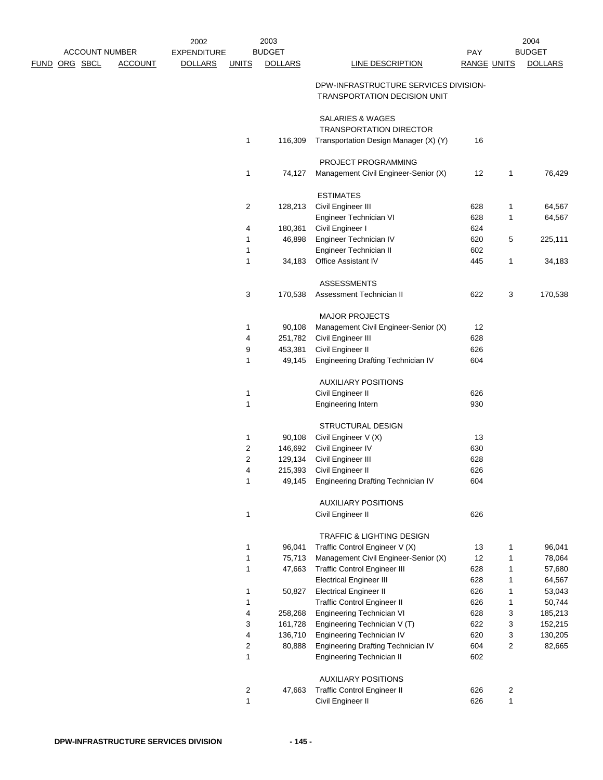| <b>ACCOUNT NUMBER</b> |                | 2002<br><b>EXPENDITURE</b> |                         | 2003<br><b>BUDGET</b> |                                                                              | PAY                |                | 2004<br><b>BUDGET</b> |
|-----------------------|----------------|----------------------------|-------------------------|-----------------------|------------------------------------------------------------------------------|--------------------|----------------|-----------------------|
| <u>FUND ORG SBCL</u>  | <b>ACCOUNT</b> | <b>DOLLARS</b>             | <b>UNITS</b>            | <b>DOLLARS</b>        | LINE DESCRIPTION                                                             | <b>RANGE UNITS</b> |                | <b>DOLLARS</b>        |
|                       |                |                            |                         |                       | DPW-INFRASTRUCTURE SERVICES DIVISION-<br><b>TRANSPORTATION DECISION UNIT</b> |                    |                |                       |
|                       |                |                            |                         |                       | <b>SALARIES &amp; WAGES</b><br><b>TRANSPORTATION DIRECTOR</b>                |                    |                |                       |
|                       |                |                            | 1                       | 116,309               | Transportation Design Manager (X) (Y)                                        | 16                 |                |                       |
|                       |                |                            |                         |                       | PROJECT PROGRAMMING                                                          |                    |                |                       |
|                       |                |                            | 1                       | 74,127                | Management Civil Engineer-Senior (X)                                         | 12                 | 1              | 76,429                |
|                       |                |                            |                         |                       | <b>ESTIMATES</b>                                                             |                    |                |                       |
|                       |                |                            | 2                       | 128,213               | Civil Engineer III                                                           | 628                | $\mathbf{1}$   | 64,567                |
|                       |                |                            |                         |                       | Engineer Technician VI                                                       | 628                | 1              | 64,567                |
|                       |                |                            | 4                       | 180,361               | Civil Engineer I                                                             | 624                |                |                       |
|                       |                |                            | $\mathbf{1}$            | 46,898                | Engineer Technician IV                                                       | 620                | 5              | 225,111               |
|                       |                |                            | 1                       |                       | Engineer Technician II                                                       | 602                |                |                       |
|                       |                |                            | 1                       | 34,183                | Office Assistant IV                                                          | 445                | $\mathbf{1}$   | 34,183                |
|                       |                |                            |                         |                       | <b>ASSESSMENTS</b>                                                           |                    |                |                       |
|                       |                |                            | 3                       | 170,538               | Assessment Technician II                                                     | 622                | 3              | 170,538               |
|                       |                |                            |                         |                       | <b>MAJOR PROJECTS</b>                                                        |                    |                |                       |
|                       |                |                            | 1                       | 90,108                | Management Civil Engineer-Senior (X)                                         | 12                 |                |                       |
|                       |                |                            | 4                       | 251,782               | Civil Engineer III                                                           | 628                |                |                       |
|                       |                |                            | 9                       | 453,381               | Civil Engineer II                                                            | 626                |                |                       |
|                       |                |                            | 1                       | 49,145                | Engineering Drafting Technician IV                                           | 604                |                |                       |
|                       |                |                            |                         |                       | <b>AUXILIARY POSITIONS</b>                                                   |                    |                |                       |
|                       |                |                            | 1                       |                       | Civil Engineer II                                                            | 626                |                |                       |
|                       |                |                            | 1                       |                       | <b>Engineering Intern</b>                                                    | 930                |                |                       |
|                       |                |                            |                         |                       | STRUCTURAL DESIGN                                                            |                    |                |                       |
|                       |                |                            | 1                       | 90,108                | Civil Engineer V (X)                                                         | 13                 |                |                       |
|                       |                |                            | $\overline{\mathbf{c}}$ | 146,692               | Civil Engineer IV                                                            | 630                |                |                       |
|                       |                |                            | 2                       | 129,134               | Civil Engineer III                                                           | 628                |                |                       |
|                       |                |                            | 4                       | 215,393               | Civil Engineer II                                                            | 626                |                |                       |
|                       |                |                            | $\mathbf{1}$            | 49,145                | Engineering Drafting Technician IV                                           | 604                |                |                       |
|                       |                |                            |                         |                       | <b>AUXILIARY POSITIONS</b>                                                   |                    |                |                       |
|                       |                |                            | 1                       |                       | Civil Engineer II                                                            | 626                |                |                       |
|                       |                |                            |                         |                       | TRAFFIC & LIGHTING DESIGN                                                    |                    |                |                       |
|                       |                |                            | 1                       | 96,041                | Traffic Control Engineer V (X)                                               | 13                 | 1              | 96,041                |
|                       |                |                            | 1                       | 75,713                | Management Civil Engineer-Senior (X)                                         | 12                 | 1              | 78,064                |
|                       |                |                            | 1                       | 47,663                | <b>Traffic Control Engineer III</b>                                          | 628                | 1              | 57,680                |
|                       |                |                            |                         |                       | <b>Electrical Engineer III</b>                                               | 628                | 1              | 64,567                |
|                       |                |                            | 1                       | 50,827                | <b>Electrical Engineer II</b>                                                | 626                | 1              | 53,043                |
|                       |                |                            | 1                       |                       | <b>Traffic Control Engineer II</b>                                           | 626                | 1              | 50,744                |
|                       |                |                            | 4<br>3                  | 258,268<br>161,728    | Engineering Technician VI                                                    | 628<br>622         | 3<br>3         | 185,213               |
|                       |                |                            | 4                       | 136,710               | Engineering Technician V (T)<br>Engineering Technician IV                    | 620                | 3              | 152,215<br>130,205    |
|                       |                |                            | $\overline{2}$          | 80,888                | Engineering Drafting Technician IV                                           | 604                | $\overline{2}$ | 82,665                |
|                       |                |                            | 1                       |                       | Engineering Technician II                                                    | 602                |                |                       |
|                       |                |                            |                         |                       | <b>AUXILIARY POSITIONS</b>                                                   |                    |                |                       |
|                       |                |                            | $\overline{\mathbf{c}}$ | 47,663                | <b>Traffic Control Engineer II</b>                                           | 626                | 2              |                       |
|                       |                |                            | $\mathbf{1}$            |                       | Civil Engineer II                                                            | 626                | $\mathbf{1}$   |                       |
|                       |                |                            |                         |                       |                                                                              |                    |                |                       |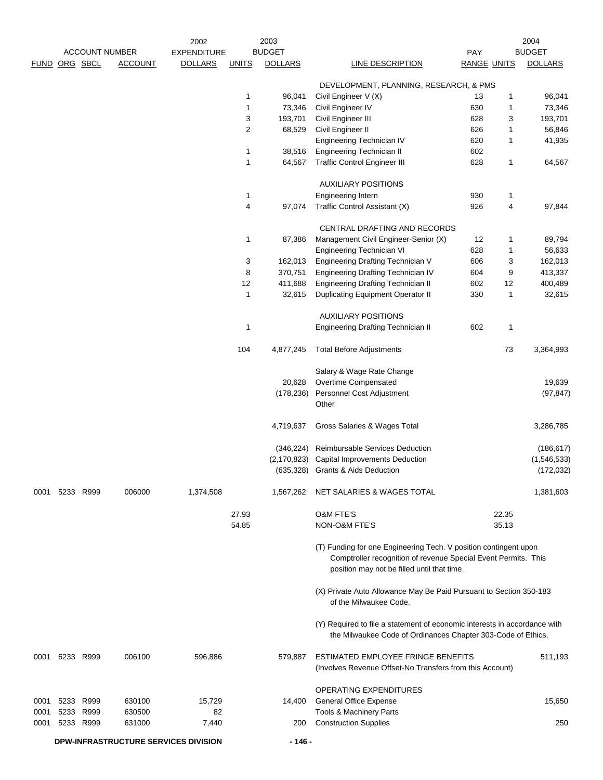|      |               | <b>ACCOUNT NUMBER</b> |                                      | 2002<br><b>EXPENDITURE</b> |                | 2003<br><b>BUDGET</b> |                                                                                                                                                                                   | PAY                |       | 2004<br><b>BUDGET</b> |
|------|---------------|-----------------------|--------------------------------------|----------------------------|----------------|-----------------------|-----------------------------------------------------------------------------------------------------------------------------------------------------------------------------------|--------------------|-------|-----------------------|
|      | FUND ORG SBCL |                       | <b>ACCOUNT</b>                       | <b>DOLLARS</b>             | <b>UNITS</b>   | <b>DOLLARS</b>        | LINE DESCRIPTION                                                                                                                                                                  | <b>RANGE UNITS</b> |       | <b>DOLLARS</b>        |
|      |               |                       |                                      |                            |                |                       | DEVELOPMENT, PLANNING, RESEARCH, & PMS                                                                                                                                            |                    |       |                       |
|      |               |                       |                                      |                            | $\mathbf{1}$   | 96,041                | Civil Engineer V (X)                                                                                                                                                              | 13                 | 1     | 96,041                |
|      |               |                       |                                      |                            | $\mathbf{1}$   | 73,346                | Civil Engineer IV                                                                                                                                                                 | 630                | 1     | 73,346                |
|      |               |                       |                                      |                            | 3              | 193,701               | Civil Engineer III                                                                                                                                                                | 628                | 3     | 193,701               |
|      |               |                       |                                      |                            | $\overline{2}$ | 68,529                | Civil Engineer II                                                                                                                                                                 | 626                | 1     | 56,846                |
|      |               |                       |                                      |                            |                |                       | Engineering Technician IV                                                                                                                                                         | 620                | 1     | 41,935                |
|      |               |                       |                                      |                            | $\mathbf 1$    | 38,516                | <b>Engineering Technician II</b>                                                                                                                                                  | 602                |       |                       |
|      |               |                       |                                      |                            | $\mathbf{1}$   | 64,567                | <b>Traffic Control Engineer III</b>                                                                                                                                               | 628                | 1     | 64,567                |
|      |               |                       |                                      |                            |                |                       | <b>AUXILIARY POSITIONS</b>                                                                                                                                                        |                    |       |                       |
|      |               |                       |                                      |                            | $\mathbf 1$    |                       | Engineering Intern                                                                                                                                                                | 930                | 1     |                       |
|      |               |                       |                                      |                            | 4              | 97,074                | Traffic Control Assistant (X)                                                                                                                                                     | 926                | 4     | 97,844                |
|      |               |                       |                                      |                            |                |                       | CENTRAL DRAFTING AND RECORDS                                                                                                                                                      |                    |       |                       |
|      |               |                       |                                      |                            | $\mathbf{1}$   | 87,386                | Management Civil Engineer-Senior (X)                                                                                                                                              | 12                 | 1     | 89,794                |
|      |               |                       |                                      |                            |                |                       | Engineering Technician VI                                                                                                                                                         | 628                | 1     | 56,633                |
|      |               |                       |                                      |                            | 3              | 162,013               | Engineering Drafting Technician V                                                                                                                                                 | 606                | 3     | 162,013               |
|      |               |                       |                                      |                            | 8              | 370,751               | Engineering Drafting Technician IV                                                                                                                                                | 604                | 9     | 413,337               |
|      |               |                       |                                      |                            | 12             | 411,688               | <b>Engineering Drafting Technician II</b>                                                                                                                                         | 602                | 12    | 400,489               |
|      |               |                       |                                      |                            | $\mathbf{1}$   | 32,615                | <b>Duplicating Equipment Operator II</b>                                                                                                                                          | 330                | 1     | 32,615                |
|      |               |                       |                                      |                            |                |                       | <b>AUXILIARY POSITIONS</b>                                                                                                                                                        |                    |       |                       |
|      |               |                       |                                      |                            | $\mathbf{1}$   |                       | <b>Engineering Drafting Technician II</b>                                                                                                                                         | 602                | 1     |                       |
|      |               |                       |                                      |                            | 104            | 4,877,245             | <b>Total Before Adjustments</b>                                                                                                                                                   |                    | 73    | 3,364,993             |
|      |               |                       |                                      |                            |                |                       | Salary & Wage Rate Change                                                                                                                                                         |                    |       |                       |
|      |               |                       |                                      |                            |                | 20,628                | Overtime Compensated                                                                                                                                                              |                    |       | 19,639                |
|      |               |                       |                                      |                            |                | (178, 236)            | Personnel Cost Adjustment                                                                                                                                                         |                    |       | (97, 847)             |
|      |               |                       |                                      |                            |                |                       | Other                                                                                                                                                                             |                    |       |                       |
|      |               |                       |                                      |                            |                | 4,719,637             | Gross Salaries & Wages Total                                                                                                                                                      |                    |       | 3,286,785             |
|      |               |                       |                                      |                            |                | (346,224)             | Reimbursable Services Deduction                                                                                                                                                   |                    |       | (186, 617)            |
|      |               |                       |                                      |                            |                | (2, 170, 823)         | <b>Capital Improvements Deduction</b>                                                                                                                                             |                    |       | (1,546,533)           |
|      |               |                       |                                      |                            |                |                       | (635,328) Grants & Aids Deduction                                                                                                                                                 |                    |       | (172, 032)            |
| 0001 |               | 5233 R999             | 006000                               | 1,374,508                  |                | 1,567,262             | NET SALARIES & WAGES TOTAL                                                                                                                                                        |                    |       | 1.381.603             |
|      |               |                       |                                      |                            | 27.93          |                       | <b>O&amp;M FTE'S</b>                                                                                                                                                              |                    | 22.35 |                       |
|      |               |                       |                                      |                            | 54.85          |                       | NON-O&M FTE'S                                                                                                                                                                     |                    | 35.13 |                       |
|      |               |                       |                                      |                            |                |                       | (T) Funding for one Engineering Tech. V position contingent upon<br>Comptroller recognition of revenue Special Event Permits. This<br>position may not be filled until that time. |                    |       |                       |
|      |               |                       |                                      |                            |                |                       | (X) Private Auto Allowance May Be Paid Pursuant to Section 350-183<br>of the Milwaukee Code.                                                                                      |                    |       |                       |
|      |               |                       |                                      |                            |                |                       | (Y) Required to file a statement of economic interests in accordance with<br>the Milwaukee Code of Ordinances Chapter 303-Code of Ethics.                                         |                    |       |                       |
| 0001 |               | 5233 R999             | 006100                               | 596,886                    |                | 579,887               | ESTIMATED EMPLOYEE FRINGE BENEFITS<br>(Involves Revenue Offset-No Transfers from this Account)                                                                                    |                    |       | 511,193               |
|      |               |                       |                                      |                            |                |                       | <b>OPERATING EXPENDITURES</b>                                                                                                                                                     |                    |       |                       |
| 0001 |               | 5233 R999             | 630100                               | 15,729                     |                | 14,400                | <b>General Office Expense</b>                                                                                                                                                     |                    |       | 15,650                |
| 0001 |               | 5233 R999             | 630500                               | 82                         |                |                       | Tools & Machinery Parts                                                                                                                                                           |                    |       |                       |
| 0001 |               | 5233 R999             | 631000                               | 7,440                      |                | 200                   | <b>Construction Supplies</b>                                                                                                                                                      |                    |       | 250                   |
|      |               |                       | DPW-INFRASTRUCTURE SERVICES DIVISION |                            |                | - 146 -               |                                                                                                                                                                                   |                    |       |                       |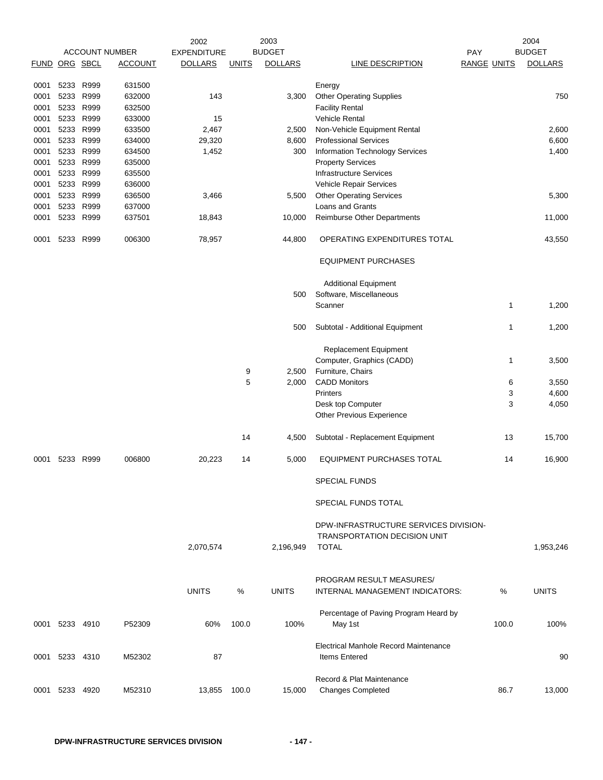|               |                |      |                       | 2002               |              | 2003           |                                                               |                    | 2004           |
|---------------|----------------|------|-----------------------|--------------------|--------------|----------------|---------------------------------------------------------------|--------------------|----------------|
|               |                |      | <b>ACCOUNT NUMBER</b> | <b>EXPENDITURE</b> |              | <b>BUDGET</b>  |                                                               | PAY                | <b>BUDGET</b>  |
| FUND ORG SBCL |                |      | <b>ACCOUNT</b>        | <b>DOLLARS</b>     | <b>UNITS</b> | <b>DOLLARS</b> | <b>LINE DESCRIPTION</b>                                       | <b>RANGE UNITS</b> | <b>DOLLARS</b> |
| 0001          | 5233           | R999 | 631500                |                    |              |                |                                                               |                    |                |
| 0001          | 5233 R999      |      | 632000                | 143                |              | 3,300          | Energy<br><b>Other Operating Supplies</b>                     |                    | 750            |
| 0001          | 5233 R999      |      | 632500                |                    |              |                | <b>Facility Rental</b>                                        |                    |                |
| 0001          | 5233 R999      |      | 633000                | 15                 |              |                | <b>Vehicle Rental</b>                                         |                    |                |
| 0001          | 5233 R999      |      | 633500                | 2,467              |              | 2,500          | Non-Vehicle Equipment Rental                                  |                    | 2,600          |
| 0001          | 5233 R999      |      | 634000                | 29,320             |              | 8,600          | <b>Professional Services</b>                                  |                    | 6,600          |
| 0001          | 5233 R999      |      | 634500                | 1,452              |              | 300            | <b>Information Technology Services</b>                        |                    | 1,400          |
| 0001          | 5233 R999      |      | 635000                |                    |              |                | <b>Property Services</b>                                      |                    |                |
| 0001          | 5233 R999      |      | 635500                |                    |              |                | <b>Infrastructure Services</b>                                |                    |                |
| 0001          | 5233 R999      |      | 636000                |                    |              |                | Vehicle Repair Services                                       |                    |                |
| 0001          | 5233           | R999 | 636500                | 3,466              |              | 5,500          | <b>Other Operating Services</b>                               |                    | 5,300          |
|               | 5233 R999      |      | 637000                |                    |              |                | Loans and Grants                                              |                    |                |
| 0001          |                |      |                       |                    |              |                |                                                               |                    |                |
| 0001          | 5233 R999      |      | 637501                | 18,843             |              | 10,000         | Reimburse Other Departments                                   |                    | 11,000         |
| 0001          | 5233 R999      |      | 006300                | 78,957             |              | 44,800         | OPERATING EXPENDITURES TOTAL                                  |                    | 43,550         |
|               |                |      |                       |                    |              |                | <b>EQUIPMENT PURCHASES</b>                                    |                    |                |
|               |                |      |                       |                    |              |                | <b>Additional Equipment</b>                                   |                    |                |
|               |                |      |                       |                    |              | 500            | Software, Miscellaneous                                       |                    |                |
|               |                |      |                       |                    |              |                | Scanner                                                       | 1                  | 1,200          |
|               |                |      |                       |                    |              | 500            | Subtotal - Additional Equipment                               | 1                  | 1,200          |
|               |                |      |                       |                    |              |                | <b>Replacement Equipment</b>                                  |                    |                |
|               |                |      |                       |                    |              |                | Computer, Graphics (CADD)                                     | 1                  | 3,500          |
|               |                |      |                       |                    | 9            | 2,500          | Furniture, Chairs                                             |                    |                |
|               |                |      |                       |                    | 5            | 2,000          | <b>CADD Monitors</b>                                          | 6                  | 3,550          |
|               |                |      |                       |                    |              |                | Printers                                                      | 3                  | 4,600          |
|               |                |      |                       |                    |              |                | Desk top Computer                                             | 3                  | 4,050          |
|               |                |      |                       |                    |              |                | Other Previous Experience                                     |                    |                |
|               |                |      |                       |                    | 14           | 4,500          | Subtotal - Replacement Equipment                              | 13                 | 15,700         |
| 0001          | 5233           | R999 | 006800                | 20,223             | 14           | 5,000          | <b>EQUIPMENT PURCHASES TOTAL</b>                              | 14                 | 16,900         |
|               |                |      |                       |                    |              |                | SPECIAL FUNDS                                                 |                    |                |
|               |                |      |                       |                    |              |                | SPECIAL FUNDS TOTAL                                           |                    |                |
|               |                |      |                       |                    |              |                | DPW-INFRASTRUCTURE SERVICES DIVISION-                         |                    |                |
|               |                |      |                       |                    |              |                | <b>TRANSPORTATION DECISION UNIT</b>                           |                    |                |
|               |                |      |                       | 2,070,574          |              | 2,196,949      | <b>TOTAL</b>                                                  |                    | 1,953,246      |
|               |                |      |                       |                    |              |                |                                                               |                    |                |
|               |                |      |                       |                    |              |                | PROGRAM RESULT MEASURES/                                      |                    |                |
|               |                |      |                       | <b>UNITS</b>       | $\%$         | <b>UNITS</b>   | <b>INTERNAL MANAGEMENT INDICATORS:</b>                        | %                  | <b>UNITS</b>   |
|               |                |      |                       |                    |              |                |                                                               |                    |                |
|               |                |      |                       |                    |              |                | Percentage of Paving Program Heard by                         |                    |                |
| 0001          | 5233 4910      |      | P52309                | 60%                | 100.0        | 100%           | May 1st                                                       | 100.0              | 100%           |
|               |                |      |                       |                    |              |                |                                                               |                    |                |
|               |                |      |                       |                    |              |                | Electrical Manhole Record Maintenance<br><b>Items Entered</b> |                    |                |
| 0001          | 5233 4310      |      | M52302                | 87                 |              |                |                                                               |                    | 90             |
|               |                |      |                       |                    |              |                | Record & Plat Maintenance                                     |                    |                |
|               | 0001 5233 4920 |      | M52310                | 13,855 100.0       |              | 15,000         | <b>Changes Completed</b>                                      | 86.7               | 13,000         |
|               |                |      |                       |                    |              |                |                                                               |                    |                |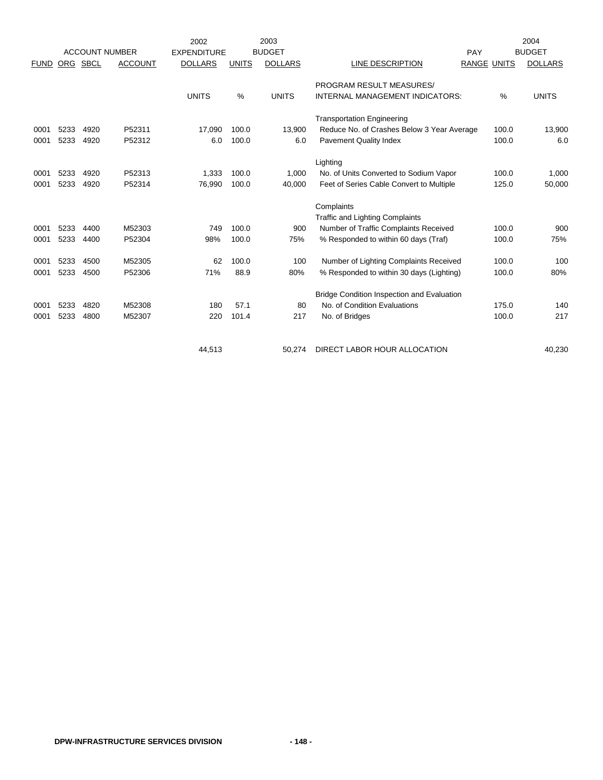|             |      |                       |                | 2002               |              | 2003           |                                                   |                    |       | 2004<br><b>BUDGET</b> |  |
|-------------|------|-----------------------|----------------|--------------------|--------------|----------------|---------------------------------------------------|--------------------|-------|-----------------------|--|
|             |      | <b>ACCOUNT NUMBER</b> |                | <b>EXPENDITURE</b> |              | <b>BUDGET</b>  |                                                   | PAY                |       |                       |  |
| <b>FUND</b> | ORG  | SBCL                  | <b>ACCOUNT</b> | <b>DOLLARS</b>     | <b>UNITS</b> | <b>DOLLARS</b> | LINE DESCRIPTION                                  | <b>RANGE UNITS</b> |       | <b>DOLLARS</b>        |  |
|             |      |                       |                |                    |              |                | PROGRAM RESULT MEASURES/                          |                    |       |                       |  |
|             |      |                       |                | <b>UNITS</b>       | %            | <b>UNITS</b>   | <b>INTERNAL MANAGEMENT INDICATORS:</b>            |                    | $\%$  | <b>UNITS</b>          |  |
|             |      |                       |                |                    |              |                | <b>Transportation Engineering</b>                 |                    |       |                       |  |
| 0001        | 5233 | 4920                  | P52311         | 17,090             | 100.0        | 13.900         | Reduce No. of Crashes Below 3 Year Average        |                    | 100.0 | 13,900                |  |
| 0001        | 5233 | 4920                  | P52312         | 6.0                | 100.0        | 6.0            | <b>Pavement Quality Index</b>                     |                    | 100.0 | 6.0                   |  |
|             |      |                       |                |                    |              |                | Lighting                                          |                    |       |                       |  |
| 0001        | 5233 | 4920                  | P52313         | 1,333              | 100.0        | 1,000          | No. of Units Converted to Sodium Vapor            |                    | 100.0 | 1,000                 |  |
| 0001        | 5233 | 4920                  | P52314         | 76,990             | 100.0        | 40,000         | Feet of Series Cable Convert to Multiple          |                    | 125.0 | 50,000                |  |
|             |      |                       |                |                    |              |                | Complaints                                        |                    |       |                       |  |
|             |      |                       |                |                    |              |                | <b>Traffic and Lighting Complaints</b>            |                    |       |                       |  |
| 0001        | 5233 | 4400                  | M52303         | 749                | 100.0        | 900            | Number of Traffic Complaints Received             |                    | 100.0 | 900                   |  |
| 0001        | 5233 | 4400                  | P52304         | 98%                | 100.0        | 75%            | % Responded to within 60 days (Traf)              |                    | 100.0 | 75%                   |  |
| 0001        | 5233 | 4500                  | M52305         | 62                 | 100.0        | 100            | Number of Lighting Complaints Received            |                    | 100.0 | 100                   |  |
| 0001        | 5233 | 4500                  | P52306         | 71%                | 88.9         | 80%            | % Responded to within 30 days (Lighting)          |                    | 100.0 | 80%                   |  |
|             |      |                       |                |                    |              |                | <b>Bridge Condition Inspection and Evaluation</b> |                    |       |                       |  |
| 0001        | 5233 | 4820                  | M52308         | 180                | 57.1         | 80             | No. of Condition Evaluations                      |                    | 175.0 | 140                   |  |
| 0001        | 5233 | 4800                  | M52307         | 220                | 101.4        | 217            | No. of Bridges                                    |                    | 100.0 | 217                   |  |
|             |      |                       |                |                    |              |                |                                                   |                    |       | 40,230                |  |
|             |      |                       |                | 44,513             |              | 50,274         | DIRECT LABOR HOUR ALLOCATION                      |                    |       |                       |  |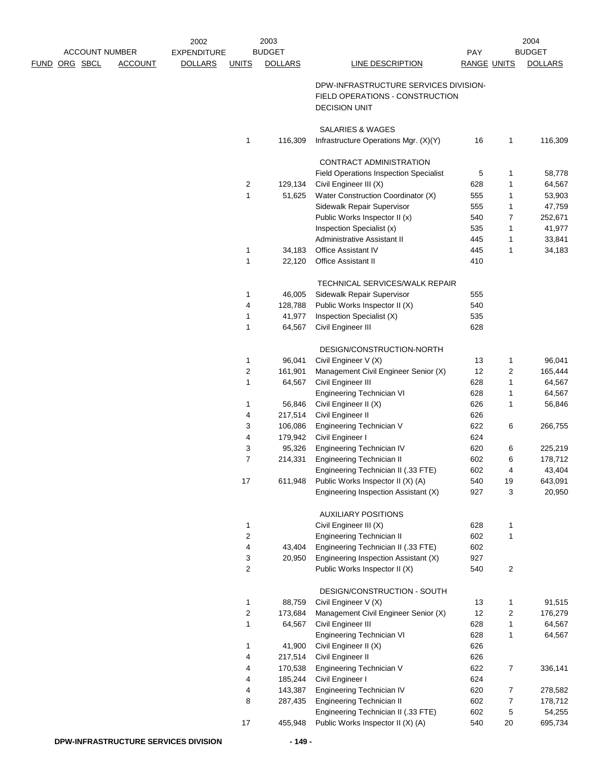|                       |                | 2002               |                         | 2003              |                                                                          |                    |                         | 2004              |
|-----------------------|----------------|--------------------|-------------------------|-------------------|--------------------------------------------------------------------------|--------------------|-------------------------|-------------------|
| <b>ACCOUNT NUMBER</b> |                | <b>EXPENDITURE</b> |                         | <b>BUDGET</b>     |                                                                          | <b>PAY</b>         |                         | <b>BUDGET</b>     |
| FUND ORG SBCL         | <b>ACCOUNT</b> | <b>DOLLARS</b>     | <b>UNITS</b>            | <b>DOLLARS</b>    | <b>LINE DESCRIPTION</b>                                                  | <b>RANGE UNITS</b> |                         | <b>DOLLARS</b>    |
|                       |                |                    |                         |                   | DPW-INFRASTRUCTURE SERVICES DIVISION-<br>FIELD OPERATIONS - CONSTRUCTION |                    |                         |                   |
|                       |                |                    |                         |                   | <b>DECISION UNIT</b>                                                     |                    |                         |                   |
|                       |                |                    |                         |                   | <b>SALARIES &amp; WAGES</b>                                              |                    |                         |                   |
|                       |                |                    | 1                       | 116,309           | Infrastructure Operations Mgr. (X)(Y)                                    | 16                 | 1                       | 116,309           |
|                       |                |                    |                         |                   | <b>CONTRACT ADMINISTRATION</b>                                           |                    |                         |                   |
|                       |                |                    |                         |                   | <b>Field Operations Inspection Specialist</b>                            | 5                  | 1                       | 58,778            |
|                       |                |                    | 2                       | 129,134           | Civil Engineer III (X)                                                   | 628                | 1                       | 64,567            |
|                       |                |                    | 1                       | 51,625            | Water Construction Coordinator (X)                                       | 555                | 1                       | 53,903            |
|                       |                |                    |                         |                   | Sidewalk Repair Supervisor                                               | 555                | 1                       | 47,759            |
|                       |                |                    |                         |                   | Public Works Inspector II (x)                                            | 540                | $\overline{7}$          | 252,671           |
|                       |                |                    |                         |                   | Inspection Specialist (x)                                                | 535                | 1                       | 41,977            |
|                       |                |                    |                         |                   | Administrative Assistant II                                              | 445<br>445         | 1<br>1                  | 33,841            |
|                       |                |                    | 1<br>1                  | 34,183<br>22,120  | <b>Office Assistant IV</b><br><b>Office Assistant II</b>                 | 410                |                         | 34,183            |
|                       |                |                    |                         |                   |                                                                          |                    |                         |                   |
|                       |                |                    |                         |                   | TECHNICAL SERVICES/WALK REPAIR                                           |                    |                         |                   |
|                       |                |                    | 1                       | 46,005            | Sidewalk Repair Supervisor                                               | 555                |                         |                   |
|                       |                |                    | 4                       | 128,788           | Public Works Inspector II (X)                                            | 540                |                         |                   |
|                       |                |                    | 1<br>1                  | 41,977<br>64,567  | Inspection Specialist (X)<br>Civil Engineer III                          | 535<br>628         |                         |                   |
|                       |                |                    |                         |                   |                                                                          |                    |                         |                   |
|                       |                |                    |                         |                   | DESIGN/CONSTRUCTION-NORTH                                                |                    |                         |                   |
|                       |                |                    | 1                       | 96,041            | Civil Engineer V (X)                                                     | 13                 | $\mathbf{1}$            | 96,041            |
|                       |                |                    | $\overline{c}$          | 161,901<br>64,567 | Management Civil Engineer Senior (X)                                     | 12<br>628          | $\overline{\mathbf{c}}$ | 165,444<br>64,567 |
|                       |                |                    | 1                       |                   | Civil Engineer III<br>Engineering Technician VI                          | 628                | 1<br>1                  | 64,567            |
|                       |                |                    | 1                       | 56,846            | Civil Engineer II (X)                                                    | 626                | 1                       | 56,846            |
|                       |                |                    | 4                       | 217,514           | Civil Engineer II                                                        | 626                |                         |                   |
|                       |                |                    | 3                       | 106,086           | Engineering Technician V                                                 | 622                | 6                       | 266,755           |
|                       |                |                    | 4                       | 179,942           | Civil Engineer I                                                         | 624                |                         |                   |
|                       |                |                    | 3                       | 95,326            | Engineering Technician IV                                                | 620                | 6                       | 225,219           |
|                       |                |                    | 7                       | 214,331           | <b>Engineering Technician II</b>                                         | 602                | 6                       | 178,712           |
|                       |                |                    |                         |                   | Engineering Technician II (.33 FTE)                                      | 602                | 4                       | 43,404            |
|                       |                |                    | 17                      | 611,948           | Public Works Inspector II (X) (A)                                        | 540                | 19                      | 643,091           |
|                       |                |                    |                         |                   | Engineering Inspection Assistant (X)                                     | 927                | 3                       | 20,950            |
|                       |                |                    |                         |                   | <b>AUXILIARY POSITIONS</b>                                               |                    |                         |                   |
|                       |                |                    | $\mathbf{1}$            |                   | Civil Engineer III (X)                                                   | 628                | $\mathbf{1}$            |                   |
|                       |                |                    | 2                       |                   | <b>Engineering Technician II</b>                                         | 602                | $\mathbf{1}$            |                   |
|                       |                |                    | $\overline{4}$          | 43,404            | Engineering Technician II (.33 FTE)                                      | 602                |                         |                   |
|                       |                |                    | 3                       | 20,950            | Engineering Inspection Assistant (X)                                     | 927                |                         |                   |
|                       |                |                    | $\overline{c}$          |                   | Public Works Inspector II (X)                                            | 540                | $\overline{c}$          |                   |
|                       |                |                    |                         |                   | DESIGN/CONSTRUCTION - SOUTH                                              |                    |                         |                   |
|                       |                |                    | $\mathbf{1}$            | 88,759            | Civil Engineer V (X)                                                     | 13                 | 1                       | 91,515            |
|                       |                |                    | $\overline{\mathbf{c}}$ | 173,684           | Management Civil Engineer Senior (X)                                     | 12                 | $\overline{\mathbf{c}}$ | 176,279           |
|                       |                |                    | 1                       | 64,567            | Civil Engineer III                                                       | 628                | $\mathbf{1}$            | 64,567            |
|                       |                |                    |                         |                   | Engineering Technician VI                                                | 628                | $\mathbf{1}$            | 64,567            |
|                       |                |                    | 1                       | 41,900            | Civil Engineer II (X)                                                    | 626                |                         |                   |
|                       |                |                    | 4                       | 217,514           | Civil Engineer II                                                        | 626                |                         |                   |
|                       |                |                    | 4                       | 170,538           | Engineering Technician V                                                 | 622                | $\overline{7}$          | 336,141           |
|                       |                |                    | 4                       | 185,244           | Civil Engineer I                                                         | 624                |                         |                   |
|                       |                |                    | 4                       | 143,387           | Engineering Technician IV                                                | 620                | 7                       | 278,582           |
|                       |                |                    | 8                       | 287,435           | Engineering Technician II<br>Engineering Technician II (.33 FTE)         | 602<br>602         | 7<br>5                  | 178,712<br>54,255 |
|                       |                |                    | 17                      | 455,948           | Public Works Inspector II (X) (A)                                        | 540                | 20                      | 695,734           |
|                       |                |                    |                         |                   |                                                                          |                    |                         |                   |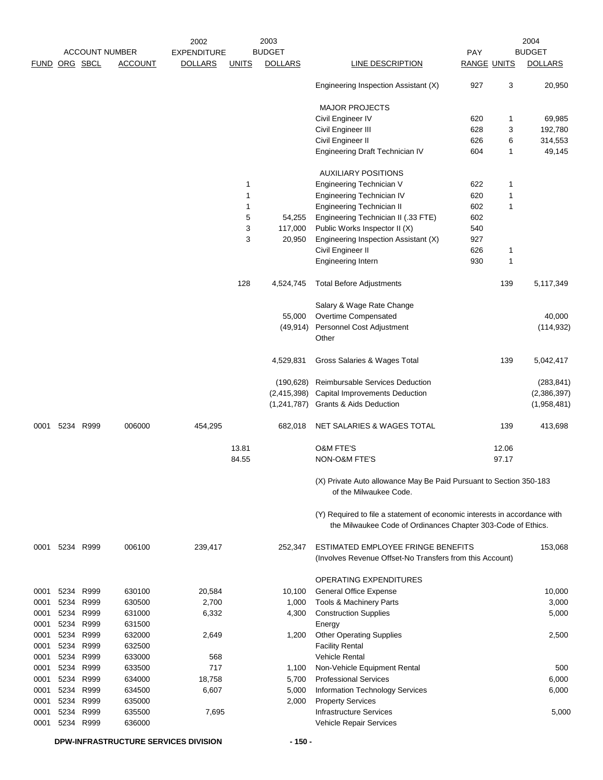|               |      |           |                       | 2002               |              | 2003           |                                                                                                                                           |                    |       | 2004           |
|---------------|------|-----------|-----------------------|--------------------|--------------|----------------|-------------------------------------------------------------------------------------------------------------------------------------------|--------------------|-------|----------------|
|               |      |           | <b>ACCOUNT NUMBER</b> | <b>EXPENDITURE</b> |              | <b>BUDGET</b>  |                                                                                                                                           | PAY                |       | <b>BUDGET</b>  |
| FUND ORG SBCL |      |           | <b>ACCOUNT</b>        | <b>DOLLARS</b>     | <b>UNITS</b> | <b>DOLLARS</b> | LINE DESCRIPTION                                                                                                                          | <b>RANGE UNITS</b> |       | <b>DOLLARS</b> |
|               |      |           |                       |                    |              |                | Engineering Inspection Assistant (X)                                                                                                      | 927                | 3     | 20,950         |
|               |      |           |                       |                    |              |                | <b>MAJOR PROJECTS</b>                                                                                                                     |                    |       |                |
|               |      |           |                       |                    |              |                | Civil Engineer IV                                                                                                                         | 620                | 1     | 69,985         |
|               |      |           |                       |                    |              |                | Civil Engineer III                                                                                                                        | 628                | 3     | 192,780        |
|               |      |           |                       |                    |              |                | Civil Engineer II                                                                                                                         | 626                | 6     | 314,553        |
|               |      |           |                       |                    |              |                | Engineering Draft Technician IV                                                                                                           | 604                | 1     | 49,145         |
|               |      |           |                       |                    |              |                | <b>AUXILIARY POSITIONS</b>                                                                                                                |                    |       |                |
|               |      |           |                       |                    | 1            |                | Engineering Technician V                                                                                                                  | 622                | 1     |                |
|               |      |           |                       |                    | $\mathbf{1}$ |                | Engineering Technician IV                                                                                                                 | 620                | 1     |                |
|               |      |           |                       |                    | $\mathbf{1}$ |                | <b>Engineering Technician II</b>                                                                                                          | 602                | 1     |                |
|               |      |           |                       |                    | 5            | 54,255         | Engineering Technician II (.33 FTE)                                                                                                       | 602                |       |                |
|               |      |           |                       |                    | 3            | 117,000        | Public Works Inspector II (X)                                                                                                             | 540                |       |                |
|               |      |           |                       |                    | 3            | 20,950         | Engineering Inspection Assistant (X)                                                                                                      | 927                |       |                |
|               |      |           |                       |                    |              |                | Civil Engineer II                                                                                                                         | 626                | 1     |                |
|               |      |           |                       |                    |              |                | Engineering Intern                                                                                                                        | 930                | 1     |                |
|               |      |           |                       |                    | 128          | 4,524,745      | <b>Total Before Adjustments</b>                                                                                                           |                    | 139   | 5,117,349      |
|               |      |           |                       |                    |              |                | Salary & Wage Rate Change                                                                                                                 |                    |       |                |
|               |      |           |                       |                    |              | 55,000         | Overtime Compensated                                                                                                                      |                    |       | 40,000         |
|               |      |           |                       |                    |              | (49, 914)      | Personnel Cost Adjustment                                                                                                                 |                    |       | (114, 932)     |
|               |      |           |                       |                    |              |                | Other                                                                                                                                     |                    |       |                |
|               |      |           |                       |                    |              | 4,529,831      | Gross Salaries & Wages Total                                                                                                              |                    | 139   | 5,042,417      |
|               |      |           |                       |                    |              | (190, 628)     | Reimbursable Services Deduction                                                                                                           |                    |       | (283, 841)     |
|               |      |           |                       |                    |              | (2,415,398)    | <b>Capital Improvements Deduction</b>                                                                                                     |                    |       | (2,386,397)    |
|               |      |           |                       |                    |              | (1,241,787)    | <b>Grants &amp; Aids Deduction</b>                                                                                                        |                    |       | (1,958,481)    |
| 0001          |      | 5234 R999 | 006000                | 454,295            |              | 682,018        | NET SALARIES & WAGES TOTAL                                                                                                                |                    | 139   | 413,698        |
|               |      |           |                       |                    | 13.81        |                | <b>O&amp;M FTE'S</b>                                                                                                                      |                    | 12.06 |                |
|               |      |           |                       |                    | 84.55        |                | <b>NON-O&amp;M FTE'S</b>                                                                                                                  |                    | 97.17 |                |
|               |      |           |                       |                    |              |                | (X) Private Auto allowance May Be Paid Pursuant to Section 350-183<br>of the Milwaukee Code.                                              |                    |       |                |
|               |      |           |                       |                    |              |                | (Y) Required to file a statement of economic interests in accordance with<br>the Milwaukee Code of Ordinances Chapter 303-Code of Ethics. |                    |       |                |
| 0001          |      | 5234 R999 | 006100                | 239,417            |              | 252,347        | ESTIMATED EMPLOYEE FRINGE BENEFITS                                                                                                        |                    |       | 153,068        |
|               |      |           |                       |                    |              |                | (Involves Revenue Offset-No Transfers from this Account)                                                                                  |                    |       |                |
|               |      |           |                       |                    |              |                | OPERATING EXPENDITURES                                                                                                                    |                    |       |                |
| 0001          | 5234 | R999      | 630100                | 20,584             |              | 10,100         | General Office Expense                                                                                                                    |                    |       | 10,000         |
| 0001          | 5234 | R999      | 630500                | 2,700              |              | 1,000          | Tools & Machinery Parts                                                                                                                   |                    |       | 3,000          |
| 0001          | 5234 | R999      | 631000                | 6,332              |              | 4,300          | <b>Construction Supplies</b>                                                                                                              |                    |       | 5,000          |
| 0001          | 5234 | R999      | 631500                |                    |              |                | Energy                                                                                                                                    |                    |       |                |
| 0001          | 5234 | R999      | 632000                | 2,649              |              | 1,200          | <b>Other Operating Supplies</b>                                                                                                           |                    |       | 2,500          |
| 0001          | 5234 | R999      | 632500                |                    |              |                | <b>Facility Rental</b>                                                                                                                    |                    |       |                |
| 0001          | 5234 | R999      | 633000                | 568                |              |                | <b>Vehicle Rental</b>                                                                                                                     |                    |       |                |
| 0001          | 5234 | R999      | 633500                | 717                |              | 1,100          | Non-Vehicle Equipment Rental                                                                                                              |                    |       | 500            |
| 0001          | 5234 | R999      | 634000                | 18,758             |              | 5,700          | <b>Professional Services</b>                                                                                                              |                    |       | 6,000          |
| 0001          |      | 5234 R999 | 634500                | 6,607              |              | 5,000          | Information Technology Services                                                                                                           |                    |       | 6,000          |
| 0001          | 5234 | R999      | 635000                |                    |              | 2,000          | <b>Property Services</b>                                                                                                                  |                    |       |                |
| 0001          | 5234 | R999      | 635500                | 7,695              |              |                | <b>Infrastructure Services</b>                                                                                                            |                    |       | 5,000          |
| 0001          |      | 5234 R999 | 636000                |                    |              |                | Vehicle Repair Services                                                                                                                   |                    |       |                |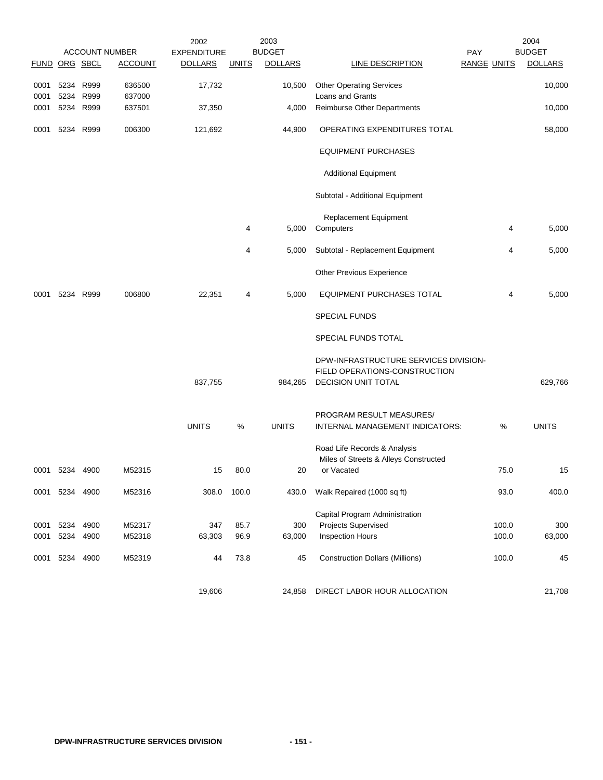|               |                |                       |                  | 2002               |              | 2003           |                                                                        |                    | 2004           |
|---------------|----------------|-----------------------|------------------|--------------------|--------------|----------------|------------------------------------------------------------------------|--------------------|----------------|
|               |                | <b>ACCOUNT NUMBER</b> |                  | <b>EXPENDITURE</b> |              | <b>BUDGET</b>  |                                                                        | PAY                | <b>BUDGET</b>  |
| FUND ORG SBCL |                |                       | <b>ACCOUNT</b>   | <b>DOLLARS</b>     | <b>UNITS</b> | <b>DOLLARS</b> | LINE DESCRIPTION                                                       | <b>RANGE UNITS</b> | <b>DOLLARS</b> |
| 0001<br>0001  | 5234<br>5234   | R999<br>R999          | 636500<br>637000 | 17,732             |              | 10,500         | <b>Other Operating Services</b><br>Loans and Grants                    |                    | 10,000         |
| 0001          |                | 5234 R999             | 637501           | 37,350             |              | 4,000          | Reimburse Other Departments                                            |                    | 10,000         |
|               |                |                       |                  |                    |              |                |                                                                        |                    |                |
| 0001          |                | 5234 R999             | 006300           | 121,692            |              | 44,900         | OPERATING EXPENDITURES TOTAL                                           |                    | 58,000         |
|               |                |                       |                  |                    |              |                | <b>EQUIPMENT PURCHASES</b>                                             |                    |                |
|               |                |                       |                  |                    |              |                | <b>Additional Equipment</b>                                            |                    |                |
|               |                |                       |                  |                    |              |                | Subtotal - Additional Equipment                                        |                    |                |
|               |                |                       |                  |                    | 4            | 5,000          | Replacement Equipment<br>Computers                                     | 4                  | 5,000          |
|               |                |                       |                  |                    | 4            | 5,000          | Subtotal - Replacement Equipment                                       | 4                  | 5,000          |
|               |                |                       |                  |                    |              |                | Other Previous Experience                                              |                    |                |
| 0001          |                | 5234 R999             | 006800           | 22,351             | 4            | 5,000          | <b>EQUIPMENT PURCHASES TOTAL</b>                                       | 4                  | 5,000          |
|               |                |                       |                  |                    |              |                | <b>SPECIAL FUNDS</b>                                                   |                    |                |
|               |                |                       |                  |                    |              |                | SPECIAL FUNDS TOTAL                                                    |                    |                |
|               |                |                       |                  |                    |              |                | DPW-INFRASTRUCTURE SERVICES DIVISION-<br>FIELD OPERATIONS-CONSTRUCTION |                    |                |
|               |                |                       |                  | 837,755            |              | 984,265        | <b>DECISION UNIT TOTAL</b>                                             |                    | 629,766        |
|               |                |                       |                  |                    |              |                | PROGRAM RESULT MEASURES/                                               |                    |                |
|               |                |                       |                  | <b>UNITS</b>       | $\%$         | <b>UNITS</b>   | INTERNAL MANAGEMENT INDICATORS:                                        | $\%$               | <b>UNITS</b>   |
|               |                |                       |                  |                    |              |                | Road Life Records & Analysis                                           |                    |                |
|               |                |                       |                  |                    |              |                | Miles of Streets & Alleys Constructed                                  |                    |                |
| 0001          | 5234           | 4900                  | M52315           | 15                 | 80.0         | 20             | or Vacated                                                             | 75.0               | 15             |
|               | 0001 5234 4900 |                       | M52316           | 308.0              | 100.0        | 430.0          | Walk Repaired (1000 sq ft)                                             | 93.0               | 400.0          |
|               |                |                       |                  |                    |              |                | Capital Program Administration                                         |                    |                |
| 0001          | 5234 4900      |                       | M52317           | 347                | 85.7         | 300            | Projects Supervised                                                    | 100.0              | 300            |
| 0001          | 5234           | 4900                  | M52318           | 63,303             | 96.9         | 63,000         | <b>Inspection Hours</b>                                                | 100.0              | 63,000         |
| 0001          |                | 5234 4900             | M52319           | 44                 | 73.8         | 45             | <b>Construction Dollars (Millions)</b>                                 | 100.0              | 45             |
|               |                |                       |                  | 19,606             |              | 24,858         | DIRECT LABOR HOUR ALLOCATION                                           |                    | 21,708         |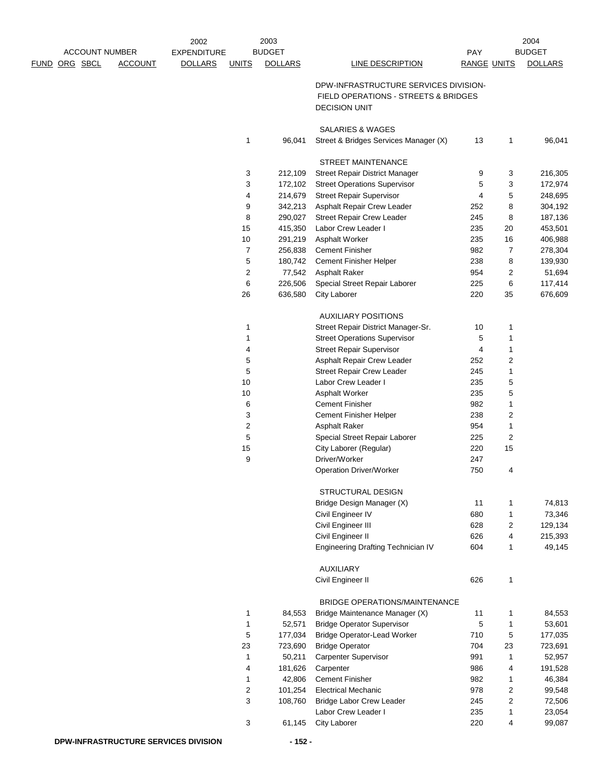|                                        | 2002               |              | 2003           |                                           |                    |                | 2004           |
|----------------------------------------|--------------------|--------------|----------------|-------------------------------------------|--------------------|----------------|----------------|
| <b>ACCOUNT NUMBER</b>                  | <b>EXPENDITURE</b> |              | <b>BUDGET</b>  |                                           | PAY                |                | <b>BUDGET</b>  |
| <u>FUND ORG SBCL</u><br><b>ACCOUNT</b> | <b>DOLLARS</b>     | <b>UNITS</b> | <b>DOLLARS</b> | <b>LINE DESCRIPTION</b>                   | <b>RANGE UNITS</b> |                | <b>DOLLARS</b> |
|                                        |                    |              |                | DPW-INFRASTRUCTURE SERVICES DIVISION-     |                    |                |                |
|                                        |                    |              |                | FIELD OPERATIONS - STREETS & BRIDGES      |                    |                |                |
|                                        |                    |              |                | <b>DECISION UNIT</b>                      |                    |                |                |
|                                        |                    |              |                |                                           |                    |                |                |
|                                        |                    |              |                | <b>SALARIES &amp; WAGES</b>               |                    |                |                |
|                                        |                    | 1            | 96,041         | Street & Bridges Services Manager (X)     | 13                 | 1              | 96,041         |
|                                        |                    |              |                | STREET MAINTENANCE                        |                    |                |                |
|                                        |                    | 3            | 212,109        | Street Repair District Manager            | 9                  | 3              | 216,305        |
|                                        |                    | 3            | 172,102        | <b>Street Operations Supervisor</b>       | 5                  | 3              | 172,974        |
|                                        |                    | 4            | 214,679        | <b>Street Repair Supervisor</b>           | 4                  | 5              | 248,695        |
|                                        |                    | 9            | 342,213        | Asphalt Repair Crew Leader                | 252                | 8              | 304,192        |
|                                        |                    | 8            | 290,027        | <b>Street Repair Crew Leader</b>          | 245                | 8              | 187,136        |
|                                        |                    | 15           | 415,350        | Labor Crew Leader I                       | 235                | 20             | 453,501        |
|                                        |                    | $10$         | 291,219        | Asphalt Worker                            | 235                | 16             | 406,988        |
|                                        |                    | 7            | 256,838        | <b>Cement Finisher</b>                    | 982                | $\overline{7}$ | 278,304        |
|                                        |                    | 5            | 180,742        | Cement Finisher Helper                    | 238                | 8              | 139,930        |
|                                        |                    | 2            | 77,542         | <b>Asphalt Raker</b>                      | 954                | 2              | 51,694         |
|                                        |                    | 6            | 226,506        | Special Street Repair Laborer             | 225                | 6              | 117,414        |
|                                        |                    | 26           | 636,580        | City Laborer                              | 220                | 35             | 676,609        |
|                                        |                    |              |                | <b>AUXILIARY POSITIONS</b>                |                    |                |                |
|                                        |                    | 1            |                | Street Repair District Manager-Sr.        | 10                 | 1              |                |
|                                        |                    | 1            |                | <b>Street Operations Supervisor</b>       | 5                  | 1              |                |
|                                        |                    | 4            |                | <b>Street Repair Supervisor</b>           | 4                  | 1              |                |
|                                        |                    | 5            |                | Asphalt Repair Crew Leader                | 252                | 2              |                |
|                                        |                    | 5            |                | <b>Street Repair Crew Leader</b>          | 245                | 1              |                |
|                                        |                    | 10           |                | Labor Crew Leader I                       | 235                | 5              |                |
|                                        |                    | $10$         |                | Asphalt Worker                            | 235                | 5              |                |
|                                        |                    | 6            |                | <b>Cement Finisher</b>                    | 982                | 1              |                |
|                                        |                    | 3            |                | Cement Finisher Helper                    | 238                | 2              |                |
|                                        |                    | 2            |                | <b>Asphalt Raker</b>                      | 954                | 1              |                |
|                                        |                    | 5            |                | Special Street Repair Laborer             | 225                | 2              |                |
|                                        |                    | 15           |                | City Laborer (Regular)                    | 220                | 15             |                |
|                                        |                    | 9            |                | Driver/Worker                             | 247                |                |                |
|                                        |                    |              |                | Operation Driver/Worker                   | 750                | 4              |                |
|                                        |                    |              |                | STRUCTURAL DESIGN                         |                    |                |                |
|                                        |                    |              |                | Bridge Design Manager (X)                 | 11                 | 1              | 74,813         |
|                                        |                    |              |                | Civil Engineer IV                         | 680                | 1              | 73,346         |
|                                        |                    |              |                | Civil Engineer III                        | 628                | 2              | 129,134        |
|                                        |                    |              |                | Civil Engineer II                         | 626                | 4              | 215,393        |
|                                        |                    |              |                | <b>Engineering Drafting Technician IV</b> | 604                | 1              | 49,145         |
|                                        |                    |              |                |                                           |                    |                |                |
|                                        |                    |              |                | <b>AUXILIARY</b><br>Civil Engineer II     | 626                | 1              |                |
|                                        |                    |              |                |                                           |                    |                |                |
|                                        |                    |              |                | BRIDGE OPERATIONS/MAINTENANCE             |                    |                |                |
|                                        |                    | 1            | 84,553         | Bridge Maintenance Manager (X)            | 11                 | 1              | 84,553         |
|                                        |                    | 1            | 52,571         | <b>Bridge Operator Supervisor</b>         | 5                  | 1              | 53,601         |
|                                        |                    | 5            | 177,034        | <b>Bridge Operator-Lead Worker</b>        | 710                | $\,$ 5 $\,$    | 177,035        |
|                                        |                    | 23           | 723,690        | <b>Bridge Operator</b>                    | 704                | 23             | 723,691        |
|                                        |                    | 1            | 50,211         | <b>Carpenter Supervisor</b>               | 991                | 1              | 52,957         |
|                                        |                    | 4            | 181,626        | Carpenter                                 | 986                | 4              | 191,528        |
|                                        |                    | 1            | 42,806         | <b>Cement Finisher</b>                    | 982                | 1              | 46,384         |
|                                        |                    | 2            | 101,254        | <b>Electrical Mechanic</b>                | 978                | 2              | 99,548         |
|                                        |                    | 3            | 108,760        | <b>Bridge Labor Crew Leader</b>           | 245                | 2              | 72,506         |
|                                        |                    |              |                | Labor Crew Leader I                       | 235                | 1              | 23,054         |
|                                        |                    | 3            | 61,145         | <b>City Laborer</b>                       | 220                | 4              | 99,087         |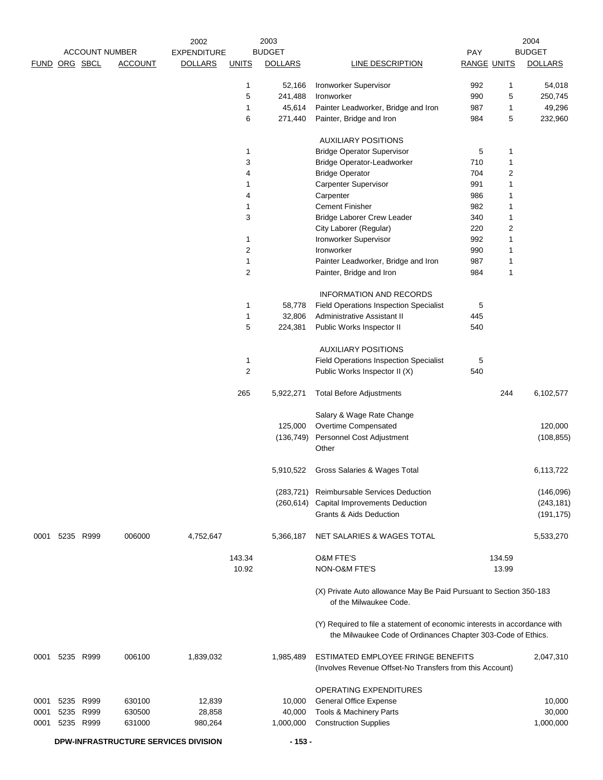| <b>ACCOUNT NUMBER</b><br><b>BUDGET</b><br><b>BUDGET</b><br><b>EXPENDITURE</b><br>PAY<br>FUND ORG SBCL<br><b>ACCOUNT</b><br><b>DOLLARS</b><br><b>DOLLARS</b><br><b>DOLLARS</b><br><b>UNITS</b><br><b>LINE DESCRIPTION</b><br><b>RANGE UNITS</b><br>Ironworker Supervisor<br>992<br>54,018<br>1<br>52,166<br>1<br>5<br>241,488<br>990<br>5<br>250,745<br>Ironworker<br>Painter Leadworker, Bridge and Iron<br>987<br>49,296<br>1<br>45,614<br>1<br>Painter, Bridge and Iron<br>984<br>5<br>232,960<br>6<br>271,440<br><b>AUXILIARY POSITIONS</b><br><b>Bridge Operator Supervisor</b><br>5<br>1<br>1<br>3<br><b>Bridge Operator-Leadworker</b><br>710<br>1<br>704<br>2<br>4<br><b>Bridge Operator</b><br><b>Carpenter Supervisor</b><br>991<br>1<br>1<br>Carpenter<br>986<br>4<br>1<br><b>Cement Finisher</b><br>982<br>1<br>1<br>3<br>340<br>1<br><b>Bridge Laborer Crew Leader</b><br>2<br>City Laborer (Regular)<br>220<br>Ironworker Supervisor<br>992<br>1<br>1<br>2<br>990<br>Ironworker<br>1<br>Painter Leadworker, Bridge and Iron<br>987<br>1<br>1<br>2<br>984<br>1<br>Painter, Bridge and Iron<br><b>INFORMATION AND RECORDS</b><br>5<br>1<br>58,778<br><b>Field Operations Inspection Specialist</b><br>445<br>1<br>32,806<br>Administrative Assistant II<br>5<br>540<br>224,381<br>Public Works Inspector II<br><b>AUXILIARY POSITIONS</b><br>Field Operations Inspection Specialist<br>5<br>1<br>2<br>Public Works Inspector II (X)<br>540<br>265<br>244<br>6,102,577<br>5,922,271<br><b>Total Before Adjustments</b><br>Salary & Wage Rate Change<br>Overtime Compensated<br>120,000<br>125,000<br>Personnel Cost Adjustment<br>(136, 749)<br>(108, 855)<br>Other<br>6,113,722<br>5,910,522<br>Gross Salaries & Wages Total<br><b>Reimbursable Services Deduction</b><br>(146,096)<br>(283,721)<br>Capital Improvements Deduction<br>(243, 181)<br>(260, 614)<br><b>Grants &amp; Aids Deduction</b><br>(191, 175)<br>4,752,647<br>0001 5235 R999<br>006000<br>5,366,187<br>NET SALARIES & WAGES TOTAL<br>5,533,270<br>143.34<br><b>O&amp;M FTE'S</b><br>134.59<br>10.92<br>NON-O&M FTE'S<br>13.99<br>(X) Private Auto allowance May Be Paid Pursuant to Section 350-183<br>of the Milwaukee Code.<br>(Y) Required to file a statement of economic interests in accordance with<br>the Milwaukee Code of Ordinances Chapter 303-Code of Ethics.<br>1,839,032<br>ESTIMATED EMPLOYEE FRINGE BENEFITS<br>2,047,310<br>0001 5235 R999<br>006100<br>1,985,489<br>(Involves Revenue Offset-No Transfers from this Account)<br>OPERATING EXPENDITURES<br>5235<br>R999<br>630100<br>12,839<br><b>General Office Expense</b><br>10,000<br>0001<br>10,000<br>5235<br>R999<br>Tools & Machinery Parts<br>30,000<br>0001<br>630500<br>28,858<br>40,000<br><b>Construction Supplies</b><br>1,000,000<br>5235 R999<br>631000<br>980,264<br>1,000,000<br>0001<br>DPW-INFRASTRUCTURE SERVICES DIVISION<br>$-153 -$ |  |  | 2002 | 2003 |  | 2004 |
|---------------------------------------------------------------------------------------------------------------------------------------------------------------------------------------------------------------------------------------------------------------------------------------------------------------------------------------------------------------------------------------------------------------------------------------------------------------------------------------------------------------------------------------------------------------------------------------------------------------------------------------------------------------------------------------------------------------------------------------------------------------------------------------------------------------------------------------------------------------------------------------------------------------------------------------------------------------------------------------------------------------------------------------------------------------------------------------------------------------------------------------------------------------------------------------------------------------------------------------------------------------------------------------------------------------------------------------------------------------------------------------------------------------------------------------------------------------------------------------------------------------------------------------------------------------------------------------------------------------------------------------------------------------------------------------------------------------------------------------------------------------------------------------------------------------------------------------------------------------------------------------------------------------------------------------------------------------------------------------------------------------------------------------------------------------------------------------------------------------------------------------------------------------------------------------------------------------------------------------------------------------------------------------------------------------------------------------------------------------------------------------------------------------------------------------------------------------------------------------------------------------------------------------------------------------------------------------------------------------------------------------------------------------------------------------------------------------------------------------------------------------------------------------------------------------------------------------------------------------------------------------------------------------|--|--|------|------|--|------|
|                                                                                                                                                                                                                                                                                                                                                                                                                                                                                                                                                                                                                                                                                                                                                                                                                                                                                                                                                                                                                                                                                                                                                                                                                                                                                                                                                                                                                                                                                                                                                                                                                                                                                                                                                                                                                                                                                                                                                                                                                                                                                                                                                                                                                                                                                                                                                                                                                                                                                                                                                                                                                                                                                                                                                                                                                                                                                                               |  |  |      |      |  |      |
|                                                                                                                                                                                                                                                                                                                                                                                                                                                                                                                                                                                                                                                                                                                                                                                                                                                                                                                                                                                                                                                                                                                                                                                                                                                                                                                                                                                                                                                                                                                                                                                                                                                                                                                                                                                                                                                                                                                                                                                                                                                                                                                                                                                                                                                                                                                                                                                                                                                                                                                                                                                                                                                                                                                                                                                                                                                                                                               |  |  |      |      |  |      |
|                                                                                                                                                                                                                                                                                                                                                                                                                                                                                                                                                                                                                                                                                                                                                                                                                                                                                                                                                                                                                                                                                                                                                                                                                                                                                                                                                                                                                                                                                                                                                                                                                                                                                                                                                                                                                                                                                                                                                                                                                                                                                                                                                                                                                                                                                                                                                                                                                                                                                                                                                                                                                                                                                                                                                                                                                                                                                                               |  |  |      |      |  |      |
|                                                                                                                                                                                                                                                                                                                                                                                                                                                                                                                                                                                                                                                                                                                                                                                                                                                                                                                                                                                                                                                                                                                                                                                                                                                                                                                                                                                                                                                                                                                                                                                                                                                                                                                                                                                                                                                                                                                                                                                                                                                                                                                                                                                                                                                                                                                                                                                                                                                                                                                                                                                                                                                                                                                                                                                                                                                                                                               |  |  |      |      |  |      |
|                                                                                                                                                                                                                                                                                                                                                                                                                                                                                                                                                                                                                                                                                                                                                                                                                                                                                                                                                                                                                                                                                                                                                                                                                                                                                                                                                                                                                                                                                                                                                                                                                                                                                                                                                                                                                                                                                                                                                                                                                                                                                                                                                                                                                                                                                                                                                                                                                                                                                                                                                                                                                                                                                                                                                                                                                                                                                                               |  |  |      |      |  |      |
|                                                                                                                                                                                                                                                                                                                                                                                                                                                                                                                                                                                                                                                                                                                                                                                                                                                                                                                                                                                                                                                                                                                                                                                                                                                                                                                                                                                                                                                                                                                                                                                                                                                                                                                                                                                                                                                                                                                                                                                                                                                                                                                                                                                                                                                                                                                                                                                                                                                                                                                                                                                                                                                                                                                                                                                                                                                                                                               |  |  |      |      |  |      |
|                                                                                                                                                                                                                                                                                                                                                                                                                                                                                                                                                                                                                                                                                                                                                                                                                                                                                                                                                                                                                                                                                                                                                                                                                                                                                                                                                                                                                                                                                                                                                                                                                                                                                                                                                                                                                                                                                                                                                                                                                                                                                                                                                                                                                                                                                                                                                                                                                                                                                                                                                                                                                                                                                                                                                                                                                                                                                                               |  |  |      |      |  |      |
|                                                                                                                                                                                                                                                                                                                                                                                                                                                                                                                                                                                                                                                                                                                                                                                                                                                                                                                                                                                                                                                                                                                                                                                                                                                                                                                                                                                                                                                                                                                                                                                                                                                                                                                                                                                                                                                                                                                                                                                                                                                                                                                                                                                                                                                                                                                                                                                                                                                                                                                                                                                                                                                                                                                                                                                                                                                                                                               |  |  |      |      |  |      |
|                                                                                                                                                                                                                                                                                                                                                                                                                                                                                                                                                                                                                                                                                                                                                                                                                                                                                                                                                                                                                                                                                                                                                                                                                                                                                                                                                                                                                                                                                                                                                                                                                                                                                                                                                                                                                                                                                                                                                                                                                                                                                                                                                                                                                                                                                                                                                                                                                                                                                                                                                                                                                                                                                                                                                                                                                                                                                                               |  |  |      |      |  |      |
|                                                                                                                                                                                                                                                                                                                                                                                                                                                                                                                                                                                                                                                                                                                                                                                                                                                                                                                                                                                                                                                                                                                                                                                                                                                                                                                                                                                                                                                                                                                                                                                                                                                                                                                                                                                                                                                                                                                                                                                                                                                                                                                                                                                                                                                                                                                                                                                                                                                                                                                                                                                                                                                                                                                                                                                                                                                                                                               |  |  |      |      |  |      |
|                                                                                                                                                                                                                                                                                                                                                                                                                                                                                                                                                                                                                                                                                                                                                                                                                                                                                                                                                                                                                                                                                                                                                                                                                                                                                                                                                                                                                                                                                                                                                                                                                                                                                                                                                                                                                                                                                                                                                                                                                                                                                                                                                                                                                                                                                                                                                                                                                                                                                                                                                                                                                                                                                                                                                                                                                                                                                                               |  |  |      |      |  |      |
|                                                                                                                                                                                                                                                                                                                                                                                                                                                                                                                                                                                                                                                                                                                                                                                                                                                                                                                                                                                                                                                                                                                                                                                                                                                                                                                                                                                                                                                                                                                                                                                                                                                                                                                                                                                                                                                                                                                                                                                                                                                                                                                                                                                                                                                                                                                                                                                                                                                                                                                                                                                                                                                                                                                                                                                                                                                                                                               |  |  |      |      |  |      |
|                                                                                                                                                                                                                                                                                                                                                                                                                                                                                                                                                                                                                                                                                                                                                                                                                                                                                                                                                                                                                                                                                                                                                                                                                                                                                                                                                                                                                                                                                                                                                                                                                                                                                                                                                                                                                                                                                                                                                                                                                                                                                                                                                                                                                                                                                                                                                                                                                                                                                                                                                                                                                                                                                                                                                                                                                                                                                                               |  |  |      |      |  |      |
|                                                                                                                                                                                                                                                                                                                                                                                                                                                                                                                                                                                                                                                                                                                                                                                                                                                                                                                                                                                                                                                                                                                                                                                                                                                                                                                                                                                                                                                                                                                                                                                                                                                                                                                                                                                                                                                                                                                                                                                                                                                                                                                                                                                                                                                                                                                                                                                                                                                                                                                                                                                                                                                                                                                                                                                                                                                                                                               |  |  |      |      |  |      |
|                                                                                                                                                                                                                                                                                                                                                                                                                                                                                                                                                                                                                                                                                                                                                                                                                                                                                                                                                                                                                                                                                                                                                                                                                                                                                                                                                                                                                                                                                                                                                                                                                                                                                                                                                                                                                                                                                                                                                                                                                                                                                                                                                                                                                                                                                                                                                                                                                                                                                                                                                                                                                                                                                                                                                                                                                                                                                                               |  |  |      |      |  |      |
|                                                                                                                                                                                                                                                                                                                                                                                                                                                                                                                                                                                                                                                                                                                                                                                                                                                                                                                                                                                                                                                                                                                                                                                                                                                                                                                                                                                                                                                                                                                                                                                                                                                                                                                                                                                                                                                                                                                                                                                                                                                                                                                                                                                                                                                                                                                                                                                                                                                                                                                                                                                                                                                                                                                                                                                                                                                                                                               |  |  |      |      |  |      |
|                                                                                                                                                                                                                                                                                                                                                                                                                                                                                                                                                                                                                                                                                                                                                                                                                                                                                                                                                                                                                                                                                                                                                                                                                                                                                                                                                                                                                                                                                                                                                                                                                                                                                                                                                                                                                                                                                                                                                                                                                                                                                                                                                                                                                                                                                                                                                                                                                                                                                                                                                                                                                                                                                                                                                                                                                                                                                                               |  |  |      |      |  |      |
|                                                                                                                                                                                                                                                                                                                                                                                                                                                                                                                                                                                                                                                                                                                                                                                                                                                                                                                                                                                                                                                                                                                                                                                                                                                                                                                                                                                                                                                                                                                                                                                                                                                                                                                                                                                                                                                                                                                                                                                                                                                                                                                                                                                                                                                                                                                                                                                                                                                                                                                                                                                                                                                                                                                                                                                                                                                                                                               |  |  |      |      |  |      |
|                                                                                                                                                                                                                                                                                                                                                                                                                                                                                                                                                                                                                                                                                                                                                                                                                                                                                                                                                                                                                                                                                                                                                                                                                                                                                                                                                                                                                                                                                                                                                                                                                                                                                                                                                                                                                                                                                                                                                                                                                                                                                                                                                                                                                                                                                                                                                                                                                                                                                                                                                                                                                                                                                                                                                                                                                                                                                                               |  |  |      |      |  |      |
|                                                                                                                                                                                                                                                                                                                                                                                                                                                                                                                                                                                                                                                                                                                                                                                                                                                                                                                                                                                                                                                                                                                                                                                                                                                                                                                                                                                                                                                                                                                                                                                                                                                                                                                                                                                                                                                                                                                                                                                                                                                                                                                                                                                                                                                                                                                                                                                                                                                                                                                                                                                                                                                                                                                                                                                                                                                                                                               |  |  |      |      |  |      |
|                                                                                                                                                                                                                                                                                                                                                                                                                                                                                                                                                                                                                                                                                                                                                                                                                                                                                                                                                                                                                                                                                                                                                                                                                                                                                                                                                                                                                                                                                                                                                                                                                                                                                                                                                                                                                                                                                                                                                                                                                                                                                                                                                                                                                                                                                                                                                                                                                                                                                                                                                                                                                                                                                                                                                                                                                                                                                                               |  |  |      |      |  |      |
|                                                                                                                                                                                                                                                                                                                                                                                                                                                                                                                                                                                                                                                                                                                                                                                                                                                                                                                                                                                                                                                                                                                                                                                                                                                                                                                                                                                                                                                                                                                                                                                                                                                                                                                                                                                                                                                                                                                                                                                                                                                                                                                                                                                                                                                                                                                                                                                                                                                                                                                                                                                                                                                                                                                                                                                                                                                                                                               |  |  |      |      |  |      |
|                                                                                                                                                                                                                                                                                                                                                                                                                                                                                                                                                                                                                                                                                                                                                                                                                                                                                                                                                                                                                                                                                                                                                                                                                                                                                                                                                                                                                                                                                                                                                                                                                                                                                                                                                                                                                                                                                                                                                                                                                                                                                                                                                                                                                                                                                                                                                                                                                                                                                                                                                                                                                                                                                                                                                                                                                                                                                                               |  |  |      |      |  |      |
|                                                                                                                                                                                                                                                                                                                                                                                                                                                                                                                                                                                                                                                                                                                                                                                                                                                                                                                                                                                                                                                                                                                                                                                                                                                                                                                                                                                                                                                                                                                                                                                                                                                                                                                                                                                                                                                                                                                                                                                                                                                                                                                                                                                                                                                                                                                                                                                                                                                                                                                                                                                                                                                                                                                                                                                                                                                                                                               |  |  |      |      |  |      |
|                                                                                                                                                                                                                                                                                                                                                                                                                                                                                                                                                                                                                                                                                                                                                                                                                                                                                                                                                                                                                                                                                                                                                                                                                                                                                                                                                                                                                                                                                                                                                                                                                                                                                                                                                                                                                                                                                                                                                                                                                                                                                                                                                                                                                                                                                                                                                                                                                                                                                                                                                                                                                                                                                                                                                                                                                                                                                                               |  |  |      |      |  |      |
|                                                                                                                                                                                                                                                                                                                                                                                                                                                                                                                                                                                                                                                                                                                                                                                                                                                                                                                                                                                                                                                                                                                                                                                                                                                                                                                                                                                                                                                                                                                                                                                                                                                                                                                                                                                                                                                                                                                                                                                                                                                                                                                                                                                                                                                                                                                                                                                                                                                                                                                                                                                                                                                                                                                                                                                                                                                                                                               |  |  |      |      |  |      |
|                                                                                                                                                                                                                                                                                                                                                                                                                                                                                                                                                                                                                                                                                                                                                                                                                                                                                                                                                                                                                                                                                                                                                                                                                                                                                                                                                                                                                                                                                                                                                                                                                                                                                                                                                                                                                                                                                                                                                                                                                                                                                                                                                                                                                                                                                                                                                                                                                                                                                                                                                                                                                                                                                                                                                                                                                                                                                                               |  |  |      |      |  |      |
|                                                                                                                                                                                                                                                                                                                                                                                                                                                                                                                                                                                                                                                                                                                                                                                                                                                                                                                                                                                                                                                                                                                                                                                                                                                                                                                                                                                                                                                                                                                                                                                                                                                                                                                                                                                                                                                                                                                                                                                                                                                                                                                                                                                                                                                                                                                                                                                                                                                                                                                                                                                                                                                                                                                                                                                                                                                                                                               |  |  |      |      |  |      |
|                                                                                                                                                                                                                                                                                                                                                                                                                                                                                                                                                                                                                                                                                                                                                                                                                                                                                                                                                                                                                                                                                                                                                                                                                                                                                                                                                                                                                                                                                                                                                                                                                                                                                                                                                                                                                                                                                                                                                                                                                                                                                                                                                                                                                                                                                                                                                                                                                                                                                                                                                                                                                                                                                                                                                                                                                                                                                                               |  |  |      |      |  |      |
|                                                                                                                                                                                                                                                                                                                                                                                                                                                                                                                                                                                                                                                                                                                                                                                                                                                                                                                                                                                                                                                                                                                                                                                                                                                                                                                                                                                                                                                                                                                                                                                                                                                                                                                                                                                                                                                                                                                                                                                                                                                                                                                                                                                                                                                                                                                                                                                                                                                                                                                                                                                                                                                                                                                                                                                                                                                                                                               |  |  |      |      |  |      |
|                                                                                                                                                                                                                                                                                                                                                                                                                                                                                                                                                                                                                                                                                                                                                                                                                                                                                                                                                                                                                                                                                                                                                                                                                                                                                                                                                                                                                                                                                                                                                                                                                                                                                                                                                                                                                                                                                                                                                                                                                                                                                                                                                                                                                                                                                                                                                                                                                                                                                                                                                                                                                                                                                                                                                                                                                                                                                                               |  |  |      |      |  |      |
|                                                                                                                                                                                                                                                                                                                                                                                                                                                                                                                                                                                                                                                                                                                                                                                                                                                                                                                                                                                                                                                                                                                                                                                                                                                                                                                                                                                                                                                                                                                                                                                                                                                                                                                                                                                                                                                                                                                                                                                                                                                                                                                                                                                                                                                                                                                                                                                                                                                                                                                                                                                                                                                                                                                                                                                                                                                                                                               |  |  |      |      |  |      |
|                                                                                                                                                                                                                                                                                                                                                                                                                                                                                                                                                                                                                                                                                                                                                                                                                                                                                                                                                                                                                                                                                                                                                                                                                                                                                                                                                                                                                                                                                                                                                                                                                                                                                                                                                                                                                                                                                                                                                                                                                                                                                                                                                                                                                                                                                                                                                                                                                                                                                                                                                                                                                                                                                                                                                                                                                                                                                                               |  |  |      |      |  |      |
|                                                                                                                                                                                                                                                                                                                                                                                                                                                                                                                                                                                                                                                                                                                                                                                                                                                                                                                                                                                                                                                                                                                                                                                                                                                                                                                                                                                                                                                                                                                                                                                                                                                                                                                                                                                                                                                                                                                                                                                                                                                                                                                                                                                                                                                                                                                                                                                                                                                                                                                                                                                                                                                                                                                                                                                                                                                                                                               |  |  |      |      |  |      |
|                                                                                                                                                                                                                                                                                                                                                                                                                                                                                                                                                                                                                                                                                                                                                                                                                                                                                                                                                                                                                                                                                                                                                                                                                                                                                                                                                                                                                                                                                                                                                                                                                                                                                                                                                                                                                                                                                                                                                                                                                                                                                                                                                                                                                                                                                                                                                                                                                                                                                                                                                                                                                                                                                                                                                                                                                                                                                                               |  |  |      |      |  |      |
|                                                                                                                                                                                                                                                                                                                                                                                                                                                                                                                                                                                                                                                                                                                                                                                                                                                                                                                                                                                                                                                                                                                                                                                                                                                                                                                                                                                                                                                                                                                                                                                                                                                                                                                                                                                                                                                                                                                                                                                                                                                                                                                                                                                                                                                                                                                                                                                                                                                                                                                                                                                                                                                                                                                                                                                                                                                                                                               |  |  |      |      |  |      |
|                                                                                                                                                                                                                                                                                                                                                                                                                                                                                                                                                                                                                                                                                                                                                                                                                                                                                                                                                                                                                                                                                                                                                                                                                                                                                                                                                                                                                                                                                                                                                                                                                                                                                                                                                                                                                                                                                                                                                                                                                                                                                                                                                                                                                                                                                                                                                                                                                                                                                                                                                                                                                                                                                                                                                                                                                                                                                                               |  |  |      |      |  |      |
|                                                                                                                                                                                                                                                                                                                                                                                                                                                                                                                                                                                                                                                                                                                                                                                                                                                                                                                                                                                                                                                                                                                                                                                                                                                                                                                                                                                                                                                                                                                                                                                                                                                                                                                                                                                                                                                                                                                                                                                                                                                                                                                                                                                                                                                                                                                                                                                                                                                                                                                                                                                                                                                                                                                                                                                                                                                                                                               |  |  |      |      |  |      |
|                                                                                                                                                                                                                                                                                                                                                                                                                                                                                                                                                                                                                                                                                                                                                                                                                                                                                                                                                                                                                                                                                                                                                                                                                                                                                                                                                                                                                                                                                                                                                                                                                                                                                                                                                                                                                                                                                                                                                                                                                                                                                                                                                                                                                                                                                                                                                                                                                                                                                                                                                                                                                                                                                                                                                                                                                                                                                                               |  |  |      |      |  |      |
|                                                                                                                                                                                                                                                                                                                                                                                                                                                                                                                                                                                                                                                                                                                                                                                                                                                                                                                                                                                                                                                                                                                                                                                                                                                                                                                                                                                                                                                                                                                                                                                                                                                                                                                                                                                                                                                                                                                                                                                                                                                                                                                                                                                                                                                                                                                                                                                                                                                                                                                                                                                                                                                                                                                                                                                                                                                                                                               |  |  |      |      |  |      |
|                                                                                                                                                                                                                                                                                                                                                                                                                                                                                                                                                                                                                                                                                                                                                                                                                                                                                                                                                                                                                                                                                                                                                                                                                                                                                                                                                                                                                                                                                                                                                                                                                                                                                                                                                                                                                                                                                                                                                                                                                                                                                                                                                                                                                                                                                                                                                                                                                                                                                                                                                                                                                                                                                                                                                                                                                                                                                                               |  |  |      |      |  |      |
|                                                                                                                                                                                                                                                                                                                                                                                                                                                                                                                                                                                                                                                                                                                                                                                                                                                                                                                                                                                                                                                                                                                                                                                                                                                                                                                                                                                                                                                                                                                                                                                                                                                                                                                                                                                                                                                                                                                                                                                                                                                                                                                                                                                                                                                                                                                                                                                                                                                                                                                                                                                                                                                                                                                                                                                                                                                                                                               |  |  |      |      |  |      |
|                                                                                                                                                                                                                                                                                                                                                                                                                                                                                                                                                                                                                                                                                                                                                                                                                                                                                                                                                                                                                                                                                                                                                                                                                                                                                                                                                                                                                                                                                                                                                                                                                                                                                                                                                                                                                                                                                                                                                                                                                                                                                                                                                                                                                                                                                                                                                                                                                                                                                                                                                                                                                                                                                                                                                                                                                                                                                                               |  |  |      |      |  |      |
|                                                                                                                                                                                                                                                                                                                                                                                                                                                                                                                                                                                                                                                                                                                                                                                                                                                                                                                                                                                                                                                                                                                                                                                                                                                                                                                                                                                                                                                                                                                                                                                                                                                                                                                                                                                                                                                                                                                                                                                                                                                                                                                                                                                                                                                                                                                                                                                                                                                                                                                                                                                                                                                                                                                                                                                                                                                                                                               |  |  |      |      |  |      |
|                                                                                                                                                                                                                                                                                                                                                                                                                                                                                                                                                                                                                                                                                                                                                                                                                                                                                                                                                                                                                                                                                                                                                                                                                                                                                                                                                                                                                                                                                                                                                                                                                                                                                                                                                                                                                                                                                                                                                                                                                                                                                                                                                                                                                                                                                                                                                                                                                                                                                                                                                                                                                                                                                                                                                                                                                                                                                                               |  |  |      |      |  |      |
|                                                                                                                                                                                                                                                                                                                                                                                                                                                                                                                                                                                                                                                                                                                                                                                                                                                                                                                                                                                                                                                                                                                                                                                                                                                                                                                                                                                                                                                                                                                                                                                                                                                                                                                                                                                                                                                                                                                                                                                                                                                                                                                                                                                                                                                                                                                                                                                                                                                                                                                                                                                                                                                                                                                                                                                                                                                                                                               |  |  |      |      |  |      |
|                                                                                                                                                                                                                                                                                                                                                                                                                                                                                                                                                                                                                                                                                                                                                                                                                                                                                                                                                                                                                                                                                                                                                                                                                                                                                                                                                                                                                                                                                                                                                                                                                                                                                                                                                                                                                                                                                                                                                                                                                                                                                                                                                                                                                                                                                                                                                                                                                                                                                                                                                                                                                                                                                                                                                                                                                                                                                                               |  |  |      |      |  |      |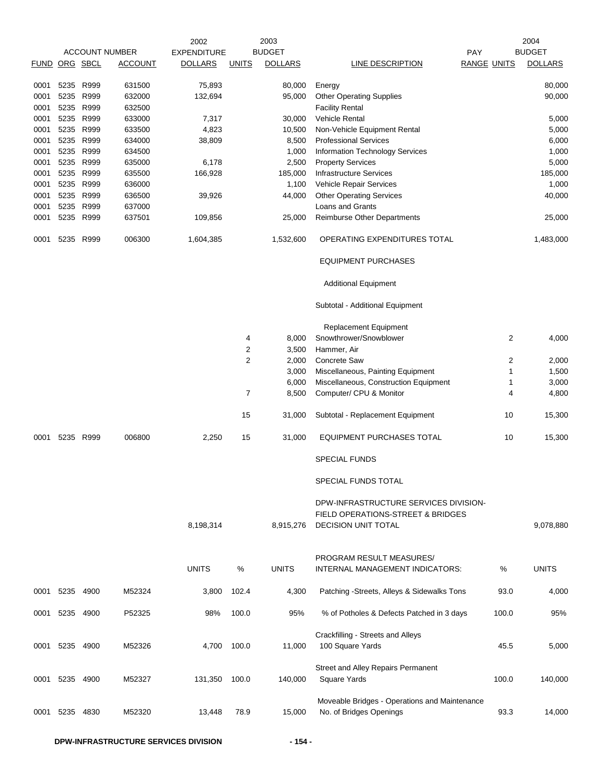|               |                        |      |                       | 2002               |                | 2003             |                                                                                                              |                    | 2004             |
|---------------|------------------------|------|-----------------------|--------------------|----------------|------------------|--------------------------------------------------------------------------------------------------------------|--------------------|------------------|
|               |                        |      | <b>ACCOUNT NUMBER</b> | <b>EXPENDITURE</b> |                | <b>BUDGET</b>    |                                                                                                              | PAY                | <b>BUDGET</b>    |
| FUND ORG SBCL |                        |      | <b>ACCOUNT</b>        | <b>DOLLARS</b>     | <b>UNITS</b>   | <b>DOLLARS</b>   | LINE DESCRIPTION                                                                                             | <b>RANGE UNITS</b> | <b>DOLLARS</b>   |
|               |                        |      |                       |                    |                |                  |                                                                                                              |                    |                  |
| 0001          | 5235 R999<br>5235 R999 |      | 631500<br>632000      | 75,893<br>132,694  |                | 80,000<br>95,000 | Energy                                                                                                       |                    | 80,000<br>90,000 |
| 0001<br>0001  | 5235 R999              |      | 632500                |                    |                |                  | <b>Other Operating Supplies</b><br><b>Facility Rental</b>                                                    |                    |                  |
| 0001          | 5235                   | R999 | 633000                | 7,317              |                | 30,000           | Vehicle Rental                                                                                               |                    | 5,000            |
| 0001          | 5235 R999              |      | 633500                | 4,823              |                | 10,500           | Non-Vehicle Equipment Rental                                                                                 |                    | 5,000            |
| 0001          | 5235 R999              |      | 634000                | 38,809             |                | 8,500            | <b>Professional Services</b>                                                                                 |                    | 6,000            |
| 0001          | 5235 R999              |      | 634500                |                    |                | 1,000            | <b>Information Technology Services</b>                                                                       |                    | 1,000            |
| 0001          | 5235 R999              |      | 635000                | 6,178              |                | 2,500            | <b>Property Services</b>                                                                                     |                    | 5,000            |
| 0001          | 5235 R999              |      | 635500                | 166,928            |                | 185,000          | <b>Infrastructure Services</b>                                                                               |                    | 185,000          |
| 0001          | 5235 R999              |      | 636000                |                    |                | 1,100            | Vehicle Repair Services                                                                                      |                    | 1,000            |
| 0001          | 5235 R999              |      | 636500                | 39,926             |                | 44,000           | <b>Other Operating Services</b>                                                                              |                    | 40,000           |
| 0001          | 5235                   | R999 | 637000                |                    |                |                  | Loans and Grants                                                                                             |                    |                  |
| 0001          | 5235 R999              |      | 637501                | 109,856            |                | 25,000           | <b>Reimburse Other Departments</b>                                                                           |                    | 25,000           |
| 0001          | 5235                   | R999 | 006300                | 1,604,385          |                | 1,532,600        | OPERATING EXPENDITURES TOTAL                                                                                 |                    | 1,483,000        |
|               |                        |      |                       |                    |                |                  | <b>EQUIPMENT PURCHASES</b>                                                                                   |                    |                  |
|               |                        |      |                       |                    |                |                  | <b>Additional Equipment</b>                                                                                  |                    |                  |
|               |                        |      |                       |                    |                |                  | Subtotal - Additional Equipment                                                                              |                    |                  |
|               |                        |      |                       |                    |                |                  | <b>Replacement Equipment</b>                                                                                 |                    |                  |
|               |                        |      |                       |                    | 4              | 8,000            | Snowthrower/Snowblower                                                                                       | 2                  | 4,000            |
|               |                        |      |                       |                    | $\overline{2}$ | 3,500            | Hammer, Air                                                                                                  |                    |                  |
|               |                        |      |                       |                    | $\overline{2}$ | 2,000            | Concrete Saw                                                                                                 | 2                  | 2,000            |
|               |                        |      |                       |                    |                | 3,000            | Miscellaneous, Painting Equipment                                                                            | 1                  | 1,500            |
|               |                        |      |                       |                    |                | 6,000            | Miscellaneous, Construction Equipment                                                                        | 1                  | 3,000            |
|               |                        |      |                       |                    | 7              | 8,500            | Computer/ CPU & Monitor                                                                                      | 4                  | 4,800            |
|               |                        |      |                       |                    | 15             | 31,000           | Subtotal - Replacement Equipment                                                                             | 10                 | 15,300           |
| 0001          | 5235                   | R999 | 006800                | 2,250              | 15             | 31,000           | EQUIPMENT PURCHASES TOTAL                                                                                    | 10                 | 15,300           |
|               |                        |      |                       |                    |                |                  | <b>SPECIAL FUNDS</b>                                                                                         |                    |                  |
|               |                        |      |                       |                    |                |                  | SPECIAL FUNDS TOTAL                                                                                          |                    |                  |
|               |                        |      |                       | 8,198,314          |                | 8,915,276        | DPW-INFRASTRUCTURE SERVICES DIVISION-<br><b>FIELD OPERATIONS-STREET &amp; BRIDGES</b><br>DECISION UNIT TOTAL |                    | 9,078,880        |
|               |                        |      |                       |                    |                |                  |                                                                                                              |                    |                  |
|               |                        |      |                       |                    |                |                  | PROGRAM RESULT MEASURES/                                                                                     |                    |                  |
|               |                        |      |                       | <b>UNITS</b>       | ℅              | <b>UNITS</b>     | INTERNAL MANAGEMENT INDICATORS:                                                                              | %                  | <b>UNITS</b>     |
| 0001          | 5235                   | 4900 | M52324                | 3,800              | 102.4          | 4,300            | Patching -Streets, Alleys & Sidewalks Tons                                                                   | 93.0               | 4,000            |
| 0001          | 5235 4900              |      | P52325                | 98%                | 100.0          | 95%              | % of Potholes & Defects Patched in 3 days                                                                    | 100.0              | 95%              |
| 0001          | 5235 4900              |      | M52326                | 4,700              | 100.0          | 11,000           | Crackfilling - Streets and Alleys<br>100 Square Yards                                                        | 45.5               | 5,000            |
|               |                        |      |                       |                    |                |                  |                                                                                                              |                    |                  |
| 0001          | 5235                   | 4900 | M52327                | 131,350            | 100.0          | 140,000          | Street and Alley Repairs Permanent<br>Square Yards                                                           | 100.0              | 140,000          |
|               |                        |      |                       |                    |                |                  |                                                                                                              |                    |                  |
| 0001          | 5235                   | 4830 | M52320                | 13,448             | 78.9           | 15,000           | Moveable Bridges - Operations and Maintenance<br>No. of Bridges Openings                                     | 93.3               | 14,000           |
|               |                        |      |                       |                    |                |                  |                                                                                                              |                    |                  |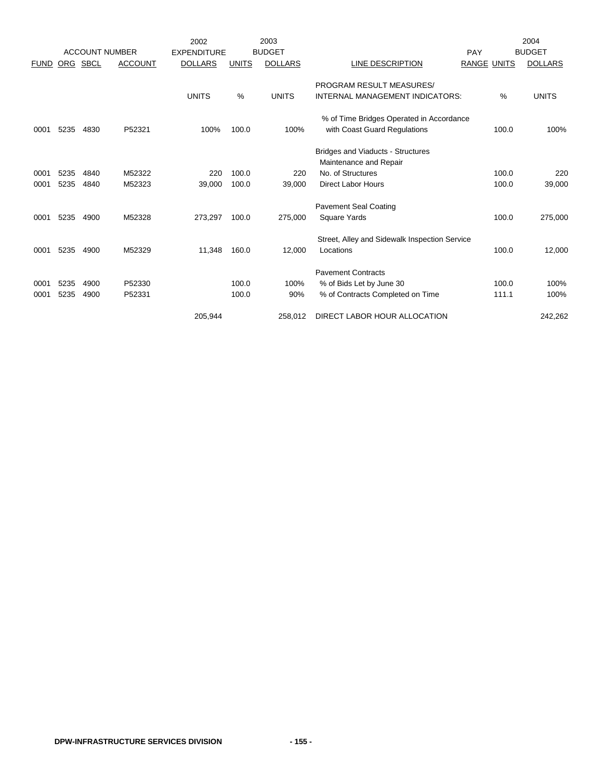|             |      |                       |                | 2002               |              | 2003           |                                               |                    | 2004           |
|-------------|------|-----------------------|----------------|--------------------|--------------|----------------|-----------------------------------------------|--------------------|----------------|
|             |      | <b>ACCOUNT NUMBER</b> |                | <b>EXPENDITURE</b> |              | <b>BUDGET</b>  |                                               | PAY                | <b>BUDGET</b>  |
| <b>FUND</b> |      | ORG SBCL              | <b>ACCOUNT</b> | <b>DOLLARS</b>     | <b>UNITS</b> | <b>DOLLARS</b> | LINE DESCRIPTION                              | <b>RANGE UNITS</b> | <b>DOLLARS</b> |
|             |      |                       |                |                    |              |                | PROGRAM RESULT MEASURES/                      |                    |                |
|             |      |                       |                | <b>UNITS</b>       | %            | <b>UNITS</b>   | <b>INTERNAL MANAGEMENT INDICATORS:</b>        | $\frac{0}{0}$      | <b>UNITS</b>   |
|             |      |                       |                |                    |              |                | % of Time Bridges Operated in Accordance      |                    |                |
| 0001        | 5235 | 4830                  | P52321         | 100%               | 100.0        | 100%           | with Coast Guard Regulations                  | 100.0              | 100%           |
|             |      |                       |                |                    |              |                | Bridges and Viaducts - Structures             |                    |                |
|             |      |                       |                |                    |              |                | Maintenance and Repair                        |                    |                |
| 0001        | 5235 | 4840                  | M52322         | 220                | 100.0        | 220            | No. of Structures                             | 100.0              | 220            |
| 0001        | 5235 | 4840                  | M52323         | 39,000             | 100.0        | 39,000         | <b>Direct Labor Hours</b>                     | 100.0              | 39,000         |
|             |      |                       |                |                    |              |                | <b>Pavement Seal Coating</b>                  |                    |                |
| 0001        | 5235 | 4900                  | M52328         | 273,297            | 100.0        | 275,000        | <b>Square Yards</b>                           | 100.0              | 275,000        |
|             |      |                       |                |                    |              |                | Street, Alley and Sidewalk Inspection Service |                    |                |
| 0001        | 5235 | 4900                  | M52329         | 11,348             | 160.0        | 12,000         | Locations                                     | 100.0              | 12,000         |
|             |      |                       |                |                    |              |                | <b>Pavement Contracts</b>                     |                    |                |
| 0001        | 5235 | 4900                  | P52330         |                    | 100.0        | 100%           | % of Bids Let by June 30                      | 100.0              | 100%           |
| 0001        | 5235 | 4900                  | P52331         |                    | 100.0        | 90%            | % of Contracts Completed on Time              | 111.1              | 100%           |
|             |      |                       |                | 205.944            |              | 258.012        | DIRECT LABOR HOUR ALLOCATION                  |                    | 242,262        |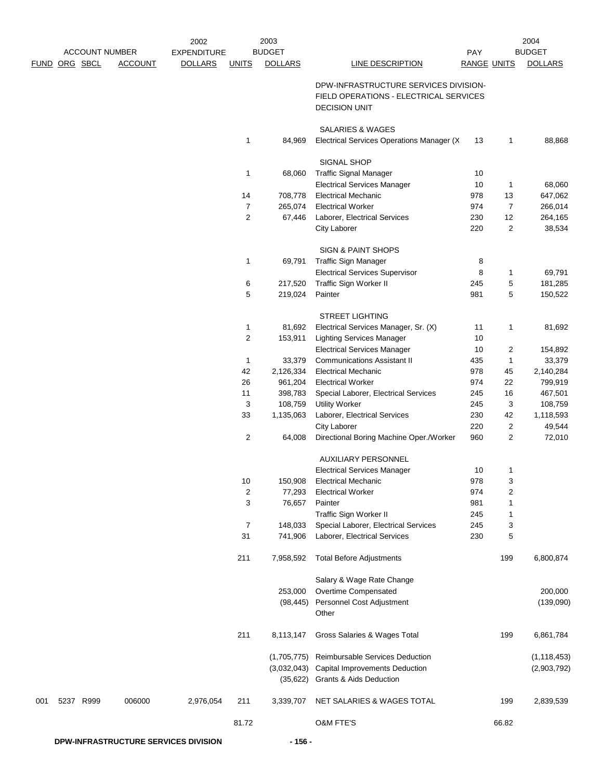|     |                      | <b>ACCOUNT NUMBER</b> |                | 2002<br><b>EXPENDITURE</b> |                    | 2003<br><b>BUDGET</b> |                                                                                                         | PAY                |                         | 2004<br><b>BUDGET</b> |
|-----|----------------------|-----------------------|----------------|----------------------------|--------------------|-----------------------|---------------------------------------------------------------------------------------------------------|--------------------|-------------------------|-----------------------|
|     | <u>FUND ORG SBCL</u> |                       | <b>ACCOUNT</b> | <b>DOLLARS</b>             | <b>UNITS</b>       | <b>DOLLARS</b>        | <b>LINE DESCRIPTION</b>                                                                                 | <b>RANGE UNITS</b> |                         | <b>DOLLARS</b>        |
|     |                      |                       |                |                            |                    |                       | DPW-INFRASTRUCTURE SERVICES DIVISION-<br>FIELD OPERATIONS - ELECTRICAL SERVICES<br><b>DECISION UNIT</b> |                    |                         |                       |
|     |                      |                       |                |                            | 1                  | 84,969                | <b>SALARIES &amp; WAGES</b><br>Electrical Services Operations Manager (X                                | 13                 | 1                       | 88,868                |
|     |                      |                       |                |                            |                    |                       | SIGNAL SHOP                                                                                             |                    |                         |                       |
|     |                      |                       |                |                            | 1                  | 68,060                | <b>Traffic Signal Manager</b>                                                                           | 10                 |                         |                       |
|     |                      |                       |                |                            |                    |                       | <b>Electrical Services Manager</b>                                                                      | 10                 | 1                       | 68,060                |
|     |                      |                       |                |                            | 14                 | 708,778               | <b>Electrical Mechanic</b>                                                                              | 978                | 13                      | 647,062               |
|     |                      |                       |                |                            | 7                  | 265,074               | <b>Electrical Worker</b>                                                                                | 974                | $\overline{7}$          | 266,014               |
|     |                      |                       |                |                            | $\overline{2}$     | 67,446                | Laborer, Electrical Services<br>City Laborer                                                            | 230<br>220         | 12<br>$\overline{c}$    | 264,165<br>38,534     |
|     |                      |                       |                |                            |                    |                       | <b>SIGN &amp; PAINT SHOPS</b>                                                                           |                    |                         |                       |
|     |                      |                       |                |                            | 1                  | 69,791                | Traffic Sign Manager                                                                                    | 8                  |                         |                       |
|     |                      |                       |                |                            |                    |                       | <b>Electrical Services Supervisor</b>                                                                   | 8                  | 1                       | 69,791                |
|     |                      |                       |                |                            | 6                  | 217,520               | Traffic Sign Worker II                                                                                  | 245                | 5                       | 181,285               |
|     |                      |                       |                |                            | 5                  | 219,024               | Painter                                                                                                 | 981                | 5                       | 150,522               |
|     |                      |                       |                |                            |                    |                       | <b>STREET LIGHTING</b>                                                                                  |                    |                         |                       |
|     |                      |                       |                |                            | 1                  | 81,692                | Electrical Services Manager, Sr. (X)                                                                    | 11                 | $\mathbf{1}$            | 81,692                |
|     |                      |                       |                |                            | $\overline{2}$     | 153,911               | <b>Lighting Services Manager</b>                                                                        | 10                 |                         |                       |
|     |                      |                       |                |                            |                    |                       | <b>Electrical Services Manager</b><br><b>Communications Assistant II</b>                                | 10                 | 2                       | 154,892               |
|     |                      |                       |                |                            | $\mathbf{1}$<br>42 | 33,379<br>2,126,334   | <b>Electrical Mechanic</b>                                                                              | 435<br>978         | 1<br>45                 | 33,379<br>2,140,284   |
|     |                      |                       |                |                            | 26                 | 961,204               | <b>Electrical Worker</b>                                                                                | 974                | 22                      | 799,919               |
|     |                      |                       |                |                            | 11                 | 398,783               | Special Laborer, Electrical Services                                                                    | 245                | 16                      | 467,501               |
|     |                      |                       |                |                            | 3                  | 108,759               | <b>Utility Worker</b>                                                                                   | 245                | 3                       | 108,759               |
|     |                      |                       |                |                            | 33                 | 1,135,063             | Laborer, Electrical Services                                                                            | 230                | 42                      | 1,118,593             |
|     |                      |                       |                |                            | 2                  | 64,008                | <b>City Laborer</b><br>Directional Boring Machine Oper./Worker                                          | 220<br>960         | $\boldsymbol{2}$<br>2   | 49,544<br>72,010      |
|     |                      |                       |                |                            |                    |                       | <b>AUXILIARY PERSONNEL</b>                                                                              |                    |                         |                       |
|     |                      |                       |                |                            |                    |                       | <b>Electrical Services Manager</b>                                                                      | 10                 | 1                       |                       |
|     |                      |                       |                |                            | 10                 | 150,908               | <b>Electrical Mechanic</b>                                                                              | 978                | 3                       |                       |
|     |                      |                       |                |                            | 2                  | 77,293                | <b>Electrical Worker</b>                                                                                | 974                | $\overline{\mathbf{c}}$ |                       |
|     |                      |                       |                |                            | 3                  | 76,657                | Painter                                                                                                 | 981                | 1                       |                       |
|     |                      |                       |                |                            |                    |                       | Traffic Sign Worker II                                                                                  | 245                | 1                       |                       |
|     |                      |                       |                |                            | 7<br>31            | 148,033<br>741,906    | Special Laborer, Electrical Services<br>Laborer, Electrical Services                                    | 245<br>230         | 3<br>5                  |                       |
|     |                      |                       |                |                            | 211                | 7,958,592             | <b>Total Before Adjustments</b>                                                                         |                    | 199                     | 6,800,874             |
|     |                      |                       |                |                            |                    |                       |                                                                                                         |                    |                         |                       |
|     |                      |                       |                |                            |                    |                       | Salary & Wage Rate Change                                                                               |                    |                         |                       |
|     |                      |                       |                |                            |                    | 253,000<br>(98, 445)  | Overtime Compensated<br>Personnel Cost Adjustment                                                       |                    |                         | 200,000<br>(139,090)  |
|     |                      |                       |                |                            |                    |                       | Other                                                                                                   |                    |                         |                       |
|     |                      |                       |                |                            | 211                | 8,113,147             | Gross Salaries & Wages Total                                                                            |                    | 199                     | 6,861,784             |
|     |                      |                       |                |                            |                    |                       | (1,705,775) Reimbursable Services Deduction                                                             |                    |                         | (1, 118, 453)         |
|     |                      |                       |                |                            |                    | (3,032,043)           | <b>Capital Improvements Deduction</b>                                                                   |                    |                         | (2,903,792)           |
|     |                      |                       |                |                            |                    | (35, 622)             | <b>Grants &amp; Aids Deduction</b>                                                                      |                    |                         |                       |
| 001 |                      | 5237 R999             | 006000         | 2,976,054                  | 211                | 3,339,707             | NET SALARIES & WAGES TOTAL                                                                              |                    | 199                     | 2,839,539             |
|     |                      |                       |                |                            | 81.72              |                       | <b>O&amp;M FTE'S</b>                                                                                    |                    | 66.82                   |                       |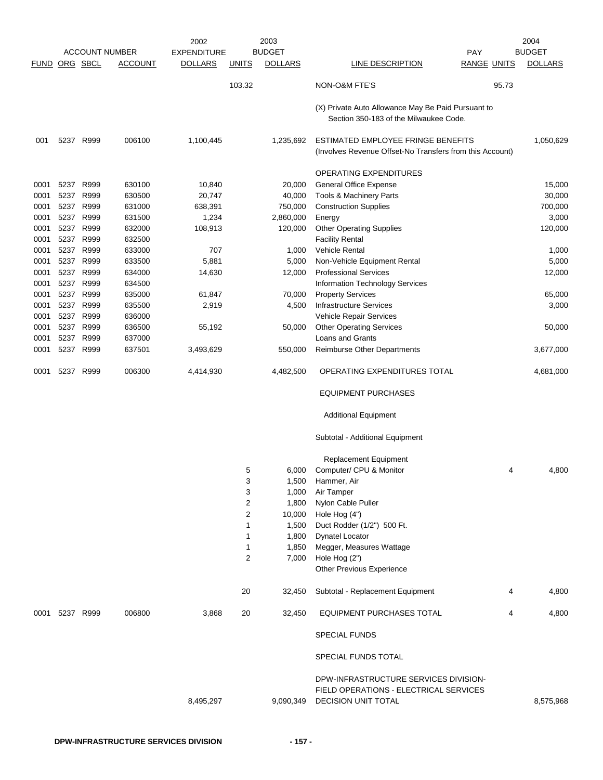|               |           |           |                       | 2002               |                | 2003           |                                                                                                               |                    | 2004           |
|---------------|-----------|-----------|-----------------------|--------------------|----------------|----------------|---------------------------------------------------------------------------------------------------------------|--------------------|----------------|
|               |           |           | <b>ACCOUNT NUMBER</b> | <b>EXPENDITURE</b> |                | <b>BUDGET</b>  | <b>PAY</b>                                                                                                    |                    | <b>BUDGET</b>  |
| FUND ORG SBCL |           |           | ACCOUNT               | <b>DOLLARS</b>     | <b>UNITS</b>   | <b>DOLLARS</b> | LINE DESCRIPTION                                                                                              | <b>RANGE UNITS</b> | <b>DOLLARS</b> |
|               |           |           |                       |                    | 103.32         |                | NON-O&M FTE'S                                                                                                 | 95.73              |                |
|               |           |           |                       |                    |                |                | (X) Private Auto Allowance May Be Paid Pursuant to<br>Section 350-183 of the Milwaukee Code.                  |                    |                |
| 001           |           | 5237 R999 | 006100                | 1,100,445          |                | 1,235,692      | ESTIMATED EMPLOYEE FRINGE BENEFITS<br>(Involves Revenue Offset-No Transfers from this Account)                |                    | 1,050,629      |
|               |           |           |                       |                    |                |                | OPERATING EXPENDITURES                                                                                        |                    |                |
| 0001          | 5237      | R999      | 630100                | 10,840             |                | 20,000         | General Office Expense                                                                                        |                    | 15,000         |
| 0001          | 5237      | R999      | 630500                | 20,747             |                | 40,000         | Tools & Machinery Parts                                                                                       |                    | 30,000         |
| 0001          | 5237      | R999      | 631000                | 638,391            |                | 750,000        | <b>Construction Supplies</b>                                                                                  |                    | 700,000        |
| 0001          | 5237      | R999      | 631500                | 1,234              |                | 2,860,000      | Energy                                                                                                        |                    | 3,000          |
| 0001          |           | 5237 R999 | 632000                | 108,913            |                | 120,000        | <b>Other Operating Supplies</b>                                                                               |                    | 120,000        |
| 0001          |           | 5237 R999 | 632500                |                    |                |                | <b>Facility Rental</b>                                                                                        |                    |                |
| 0001          | 5237      | R999      | 633000                | 707                |                | 1,000          | <b>Vehicle Rental</b>                                                                                         |                    | 1,000          |
| 0001          | 5237      | R999      | 633500                | 5,881              |                | 5,000          | Non-Vehicle Equipment Rental                                                                                  |                    | 5,000          |
| 0001          | 5237      | R999      | 634000                | 14,630             |                | 12,000         | <b>Professional Services</b>                                                                                  |                    | 12,000         |
| 0001          | 5237      | R999      | 634500                |                    |                |                | Information Technology Services                                                                               |                    |                |
| 0001          | 5237      | R999      | 635000                | 61,847             |                | 70,000         | <b>Property Services</b>                                                                                      |                    | 65,000         |
| 0001          |           | 5237 R999 | 635500                | 2,919              |                | 4,500          | <b>Infrastructure Services</b>                                                                                |                    | 3,000          |
| 0001          |           | 5237 R999 | 636000                |                    |                |                | Vehicle Repair Services                                                                                       |                    |                |
| 0001          |           | 5237 R999 | 636500                | 55,192             |                | 50,000         | <b>Other Operating Services</b>                                                                               |                    | 50,000         |
| 0001          | 5237      | R999      | 637000                |                    |                |                | <b>Loans and Grants</b>                                                                                       |                    |                |
|               | 5237      | R999      | 637501                |                    |                |                |                                                                                                               |                    |                |
| 0001          |           |           |                       | 3,493,629          |                | 550,000        | <b>Reimburse Other Departments</b>                                                                            |                    | 3,677,000      |
| 0001          | 5237      | R999      | 006300                | 4,414,930          |                | 4,482,500      | OPERATING EXPENDITURES TOTAL                                                                                  |                    | 4,681,000      |
|               |           |           |                       |                    |                |                | <b>EQUIPMENT PURCHASES</b>                                                                                    |                    |                |
|               |           |           |                       |                    |                |                | <b>Additional Equipment</b>                                                                                   |                    |                |
|               |           |           |                       |                    |                |                | Subtotal - Additional Equipment                                                                               |                    |                |
|               |           |           |                       |                    |                |                | Replacement Equipment                                                                                         |                    |                |
|               |           |           |                       |                    | 5              | 6,000          | Computer/ CPU & Monitor                                                                                       | 4                  | 4,800          |
|               |           |           |                       |                    | 3              | 1,500          | Hammer, Air                                                                                                   |                    |                |
|               |           |           |                       |                    | 3              | 1,000          | Air Tamper                                                                                                    |                    |                |
|               |           |           |                       |                    | 2              | 1,800          | Nylon Cable Puller                                                                                            |                    |                |
|               |           |           |                       |                    | $\overline{c}$ | 10,000         | Hole Hog (4")                                                                                                 |                    |                |
|               |           |           |                       |                    | 1              | 1,500          | Duct Rodder (1/2") 500 Ft.                                                                                    |                    |                |
|               |           |           |                       |                    | 1              | 1,800          | <b>Dynatel Locator</b>                                                                                        |                    |                |
|               |           |           |                       |                    | 1              | 1,850          | Megger, Measures Wattage                                                                                      |                    |                |
|               |           |           |                       |                    | 2              | 7,000          | Hole Hog (2")                                                                                                 |                    |                |
|               |           |           |                       |                    |                |                | Other Previous Experience                                                                                     |                    |                |
|               |           |           |                       |                    | 20             | 32,450         | Subtotal - Replacement Equipment                                                                              | 4                  | 4,800          |
| 0001          | 5237 R999 |           | 006800                | 3,868              | 20             | 32,450         | <b>EQUIPMENT PURCHASES TOTAL</b>                                                                              | 4                  | 4,800          |
|               |           |           |                       |                    |                |                | <b>SPECIAL FUNDS</b>                                                                                          |                    |                |
|               |           |           |                       |                    |                |                | SPECIAL FUNDS TOTAL                                                                                           |                    |                |
|               |           |           |                       | 8,495,297          |                | 9,090,349      | DPW-INFRASTRUCTURE SERVICES DIVISION-<br>FIELD OPERATIONS - ELECTRICAL SERVICES<br><b>DECISION UNIT TOTAL</b> |                    | 8,575,968      |
|               |           |           |                       |                    |                |                |                                                                                                               |                    |                |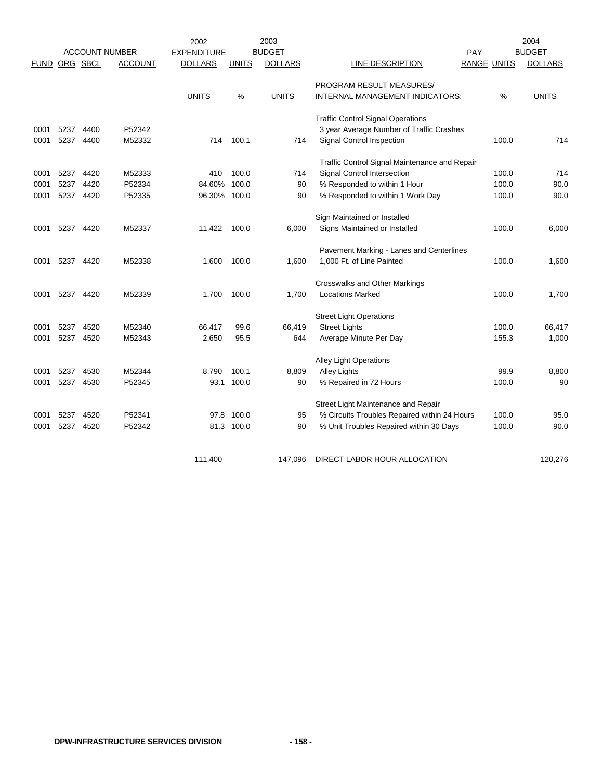|             |          |           | <b>ACCOUNT NUMBER</b> | 2002<br><b>EXPENDITURE</b> |              | 2003<br><b>BUDGET</b> |                                               | PAY                | 2004<br><b>BUDGET</b> |
|-------------|----------|-----------|-----------------------|----------------------------|--------------|-----------------------|-----------------------------------------------|--------------------|-----------------------|
| <b>FUND</b> | ORG SBCL |           | <b>ACCOUNT</b>        | <b>DOLLARS</b>             | <b>UNITS</b> | <b>DOLLARS</b>        | LINE DESCRIPTION                              | <b>RANGE UNITS</b> | <b>DOLLARS</b>        |
|             |          |           |                       |                            |              |                       |                                               |                    |                       |
|             |          |           |                       |                            |              |                       | PROGRAM RESULT MEASURES/                      |                    |                       |
|             |          |           |                       | <b>UNITS</b>               | $\%$         | <b>UNITS</b>          | INTERNAL MANAGEMENT INDICATORS:               | %                  | <b>UNITS</b>          |
|             |          |           |                       |                            |              |                       | <b>Traffic Control Signal Operations</b>      |                    |                       |
| 0001        | 5237     | 4400      | P52342                |                            |              |                       | 3 year Average Number of Traffic Crashes      |                    |                       |
| 0001        | 5237     | 4400      | M52332                | 714                        | 100.1        | 714                   | Signal Control Inspection                     | 100.0              | 714                   |
|             |          |           |                       |                            |              |                       | Traffic Control Signal Maintenance and Repair |                    |                       |
| 0001        | 5237     | 4420      | M52333                | 410                        | 100.0        | 714                   | Signal Control Intersection                   | 100.0              | 714                   |
| 0001        | 5237     | 4420      | P52334                | 84.60%                     | 100.0        | 90                    | % Responded to within 1 Hour                  | 100.0              | 90.0                  |
| 0001        | 5237     | 4420      | P52335                | 96.30%                     | 100.0        | 90                    | % Responded to within 1 Work Day              | 100.0              | 90.0                  |
|             |          |           |                       |                            |              |                       | Sign Maintained or Installed                  |                    |                       |
| 0001        |          | 5237 4420 | M52337                | 11,422                     | 100.0        | 6,000                 | Signs Maintained or Installed                 | 100.0              | 6,000                 |
|             |          |           |                       |                            |              |                       | Pavement Marking - Lanes and Centerlines      |                    |                       |
| 0001        | 5237     | 4420      | M52338                | 1,600                      | 100.0        | 1,600                 | 1,000 Ft. of Line Painted                     | 100.0              | 1,600                 |
|             |          |           |                       |                            |              |                       |                                               |                    |                       |
|             |          |           |                       |                            |              |                       | <b>Crosswalks and Other Markings</b>          |                    |                       |
| 0001        |          | 5237 4420 | M52339                | 1,700                      | 100.0        | 1,700                 | <b>Locations Marked</b>                       | 100.0              | 1,700                 |
|             |          |           |                       |                            |              |                       | <b>Street Light Operations</b>                |                    |                       |
| 0001        | 5237     | 4520      | M52340                | 66,417                     | 99.6         | 66,419                | <b>Street Lights</b>                          | 100.0              | 66,417                |
| 0001        | 5237     | 4520      | M52343                | 2,650                      | 95.5         | 644                   | Average Minute Per Day                        | 155.3              | 1,000                 |
|             |          |           |                       |                            |              |                       | <b>Alley Light Operations</b>                 |                    |                       |
| 0001        | 5237     | 4530      | M52344                | 8,790                      | 100.1        | 8,809                 | <b>Alley Lights</b>                           | 99.9               | 8,800                 |
| 0001        | 5237     | 4530      | P52345                | 93.1                       | 100.0        | 90                    | % Repaired in 72 Hours                        | 100.0              | 90                    |
|             |          |           |                       |                            |              |                       | Street Light Maintenance and Repair           |                    |                       |
| 0001        | 5237     | 4520      | P52341                | 97.8                       | 100.0        | 95                    | % Circuits Troubles Repaired within 24 Hours  | 100.0              | 95.0                  |
| 0001        | 5237     | 4520      | P52342                |                            | 81.3 100.0   | 90                    | % Unit Troubles Repaired within 30 Days       | 100.0              | 90.0                  |
|             |          |           |                       |                            |              |                       |                                               |                    |                       |
|             |          |           |                       | 111,400                    |              | 147,096               | DIRECT LABOR HOUR ALLOCATION                  |                    | 120,276               |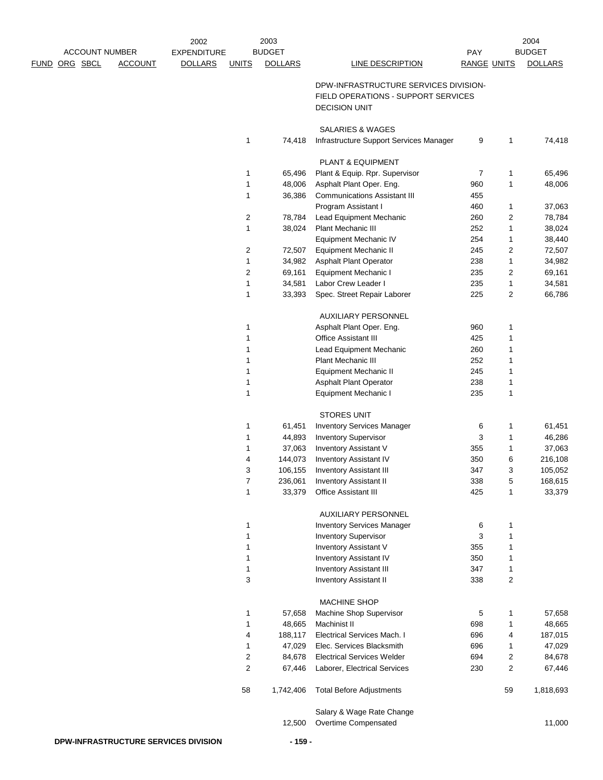|                                 | 2002               |                | 2003           |                                         |                    |                | 2004           |
|---------------------------------|--------------------|----------------|----------------|-----------------------------------------|--------------------|----------------|----------------|
| <b>ACCOUNT NUMBER</b>           | <b>EXPENDITURE</b> |                | <b>BUDGET</b>  |                                         | <b>PAY</b>         |                | <b>BUDGET</b>  |
| FUND ORG SBCL<br><b>ACCOUNT</b> | <b>DOLLARS</b>     | <b>UNITS</b>   | <b>DOLLARS</b> | <b>LINE DESCRIPTION</b>                 | <b>RANGE UNITS</b> |                | <b>DOLLARS</b> |
|                                 |                    |                |                | DPW-INFRASTRUCTURE SERVICES DIVISION-   |                    |                |                |
|                                 |                    |                |                | FIELD OPERATIONS - SUPPORT SERVICES     |                    |                |                |
|                                 |                    |                |                | <b>DECISION UNIT</b>                    |                    |                |                |
|                                 |                    |                |                |                                         |                    |                |                |
|                                 |                    |                |                | SALARIES & WAGES                        |                    |                |                |
|                                 |                    | 1              | 74,418         | Infrastructure Support Services Manager | 9                  | 1              | 74,418         |
|                                 |                    |                |                |                                         |                    |                |                |
|                                 |                    |                |                | PLANT & EQUIPMENT                       |                    |                |                |
|                                 |                    | 1              | 65,496         | Plant & Equip. Rpr. Supervisor          | $\overline{7}$     | 1              | 65,496         |
|                                 |                    | 1              | 48,006         | Asphalt Plant Oper. Eng.                | 960                | 1              | 48,006         |
|                                 |                    | 1              | 36,386         | <b>Communications Assistant III</b>     | 455                |                |                |
|                                 |                    |                |                | Program Assistant I                     | 460                | 1              | 37,063         |
|                                 |                    | $\overline{2}$ | 78,784         | Lead Equipment Mechanic                 | 260                | 2              | 78,784         |
|                                 |                    | 1              | 38,024         | <b>Plant Mechanic III</b>               | 252                | 1              | 38,024         |
|                                 |                    |                |                | Equipment Mechanic IV                   | 254                | 1              | 38,440         |
|                                 |                    | 2              | 72,507         | <b>Equipment Mechanic II</b>            | 245                | 2              | 72,507         |
|                                 |                    | 1              | 34,982         | <b>Asphalt Plant Operator</b>           | 238                | $\mathbf{1}$   | 34,982         |
|                                 |                    | 2              | 69,161         | Equipment Mechanic I                    | 235                | 2              | 69,161         |
|                                 |                    | 1              | 34,581         | Labor Crew Leader I                     | 235                | 1              | 34,581         |
|                                 |                    | 1              | 33,393         | Spec. Street Repair Laborer             | 225                | 2              | 66,786         |
|                                 |                    |                |                |                                         |                    |                |                |
|                                 |                    |                |                | AUXILIARY PERSONNEL                     |                    |                |                |
|                                 |                    | 1              |                | Asphalt Plant Oper. Eng.                | 960                | 1              |                |
|                                 |                    | 1              |                | Office Assistant III                    | 425                | 1              |                |
|                                 |                    | 1              |                | Lead Equipment Mechanic                 | 260                | 1              |                |
|                                 |                    | 1              |                | Plant Mechanic III                      | 252                | 1              |                |
|                                 |                    | 1              |                | Equipment Mechanic II                   | 245                | 1              |                |
|                                 |                    | 1              |                | <b>Asphalt Plant Operator</b>           | 238                | 1              |                |
|                                 |                    | 1              |                | Equipment Mechanic I                    | 235                | 1              |                |
|                                 |                    |                |                |                                         |                    |                |                |
|                                 |                    |                |                | <b>STORES UNIT</b>                      |                    |                |                |
|                                 |                    | 1              | 61,451         | <b>Inventory Services Manager</b>       | 6                  | 1              | 61,451         |
|                                 |                    | 1              | 44,893         | <b>Inventory Supervisor</b>             | 3                  | 1              | 46,286         |
|                                 |                    | 1              | 37,063         | Inventory Assistant V                   | 355                | 1              | 37,063         |
|                                 |                    | 4              | 144,073        | <b>Inventory Assistant IV</b>           | 350                | 6              | 216,108        |
|                                 |                    | 3              | 106,155        | <b>Inventory Assistant III</b>          | 347                | 3              | 105,052        |
|                                 |                    | 7              | 236,061        | <b>Inventory Assistant II</b>           | 338                | 5              | 168,615        |
|                                 |                    | 1              | 33,379         | Office Assistant III                    | 425                | 1              | 33,379         |
|                                 |                    |                |                |                                         |                    |                |                |
|                                 |                    |                |                | AUXILIARY PERSONNEL                     |                    |                |                |
|                                 |                    | 1              |                | <b>Inventory Services Manager</b>       | 6                  | $\mathbf{1}$   |                |
|                                 |                    | 1              |                | <b>Inventory Supervisor</b>             | 3                  | 1              |                |
|                                 |                    | 1              |                | <b>Inventory Assistant V</b>            | 355                | 1              |                |
|                                 |                    | 1              |                | <b>Inventory Assistant IV</b>           | 350                | 1              |                |
|                                 |                    | 1              |                | <b>Inventory Assistant III</b>          | 347                | $\mathbf{1}$   |                |
|                                 |                    | 3              |                | <b>Inventory Assistant II</b>           | 338                | $\sqrt{2}$     |                |
|                                 |                    |                |                |                                         |                    |                |                |
|                                 |                    |                |                | <b>MACHINE SHOP</b>                     |                    |                |                |
|                                 |                    | 1              | 57,658         | Machine Shop Supervisor                 | 5                  | 1              | 57,658         |
|                                 |                    | 1              | 48,665         | Machinist II                            | 698                | 1              | 48,665         |
|                                 |                    | 4              | 188,117        | <b>Electrical Services Mach. I</b>      | 696                | 4              | 187,015        |
|                                 |                    | 1              | 47,029         | Elec. Services Blacksmith               | 696                | 1              | 47,029         |
|                                 |                    | 2              | 84,678         | <b>Electrical Services Welder</b>       | 694                | 2              | 84,678         |
|                                 |                    | $\overline{c}$ | 67,446         | Laborer, Electrical Services            | 230                | $\overline{c}$ | 67,446         |
|                                 |                    |                |                |                                         |                    |                |                |
|                                 |                    | 58             | 1,742,406      | <b>Total Before Adjustments</b>         |                    | 59             | 1,818,693      |
|                                 |                    |                |                |                                         |                    |                |                |
|                                 |                    |                |                | Salary & Wage Rate Change               |                    |                |                |
|                                 |                    |                | 12,500         | Overtime Compensated                    |                    |                | 11,000         |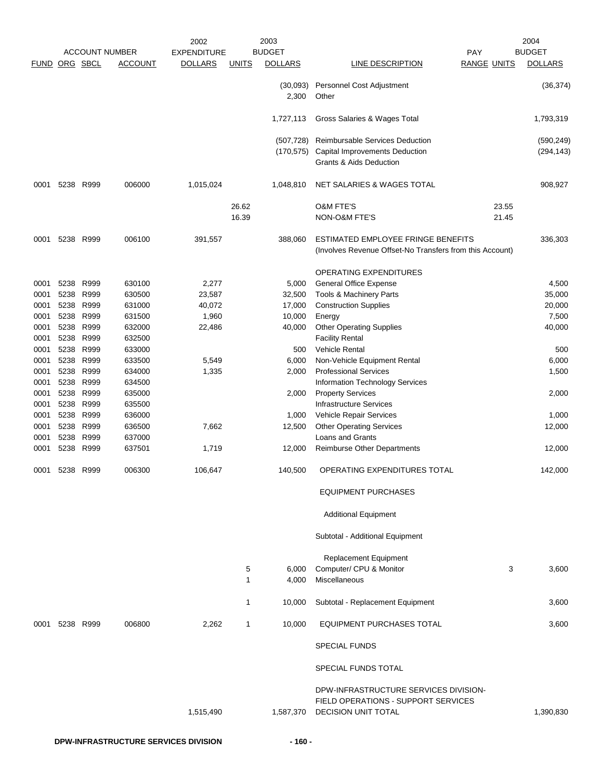|                      |      |                        |                       | 2002               |              | 2003              |                                                                                                |                    | 2004           |
|----------------------|------|------------------------|-----------------------|--------------------|--------------|-------------------|------------------------------------------------------------------------------------------------|--------------------|----------------|
|                      |      |                        | <b>ACCOUNT NUMBER</b> | <b>EXPENDITURE</b> |              | <b>BUDGET</b>     |                                                                                                | PAY                | <b>BUDGET</b>  |
| <b>FUND ORG SBCL</b> |      |                        | <b>ACCOUNT</b>        | <b>DOLLARS</b>     | <b>UNITS</b> | <b>DOLLARS</b>    | LINE DESCRIPTION                                                                               | <b>RANGE UNITS</b> | <b>DOLLARS</b> |
|                      |      |                        |                       |                    |              | (30,093)<br>2,300 | Personnel Cost Adjustment<br>Other                                                             |                    | (36, 374)      |
|                      |      |                        |                       |                    |              | 1,727,113         | Gross Salaries & Wages Total                                                                   |                    | 1,793,319      |
|                      |      |                        |                       |                    |              | (507, 728)        | <b>Reimbursable Services Deduction</b>                                                         |                    | (590, 249)     |
|                      |      |                        |                       |                    |              | (170, 575)        | Capital Improvements Deduction<br>Grants & Aids Deduction                                      |                    | (294, 143)     |
| 0001                 |      | 5238 R999              | 006000                | 1,015,024          |              | 1,048,810         | NET SALARIES & WAGES TOTAL                                                                     |                    | 908,927        |
|                      |      |                        |                       |                    | 26.62        |                   | <b>O&amp;M FTE'S</b>                                                                           | 23.55              |                |
|                      |      |                        |                       |                    | 16.39        |                   | NON-O&M FTE'S                                                                                  | 21.45              |                |
| 0001                 |      | 5238 R999              | 006100                | 391,557            |              | 388,060           | ESTIMATED EMPLOYEE FRINGE BENEFITS<br>(Involves Revenue Offset-No Transfers from this Account) |                    | 336,303        |
|                      |      |                        |                       |                    |              |                   | <b>OPERATING EXPENDITURES</b>                                                                  |                    |                |
| 0001                 | 5238 | R999                   | 630100                | 2,277              |              | 5,000             | <b>General Office Expense</b>                                                                  |                    | 4,500          |
| 0001                 | 5238 | R999                   | 630500                | 23,587             |              | 32,500            | Tools & Machinery Parts                                                                        |                    | 35,000         |
| 0001                 | 5238 | R999                   | 631000                | 40,072             |              | 17,000            | <b>Construction Supplies</b>                                                                   |                    | 20,000         |
| 0001                 |      | 5238 R999              | 631500                | 1,960              |              | 10,000            | Energy                                                                                         |                    | 7,500          |
| 0001                 |      | 5238 R999              | 632000                | 22,486             |              | 40,000            | <b>Other Operating Supplies</b>                                                                |                    | 40,000         |
| 0001                 |      | 5238 R999              | 632500                |                    |              |                   | <b>Facility Rental</b>                                                                         |                    |                |
| 0001                 | 5238 | R999                   | 633000                |                    |              | 500               | Vehicle Rental                                                                                 |                    | 500            |
| 0001                 | 5238 | R999                   | 633500                | 5,549              |              | 6,000             | Non-Vehicle Equipment Rental                                                                   |                    | 6,000          |
| 0001                 |      | 5238 R999              | 634000                | 1,335              |              | 2,000             | <b>Professional Services</b>                                                                   |                    | 1,500          |
| 0001                 | 5238 | R999                   | 634500                |                    |              |                   | Information Technology Services                                                                |                    |                |
| 0001<br>0001         |      | 5238 R999<br>5238 R999 | 635000<br>635500      |                    |              | 2,000             | <b>Property Services</b><br><b>Infrastructure Services</b>                                     |                    | 2,000          |
| 0001                 |      | 5238 R999              | 636000                |                    |              | 1,000             | Vehicle Repair Services                                                                        |                    | 1,000          |
| 0001                 | 5238 | R999                   | 636500                | 7,662              |              | 12,500            | <b>Other Operating Services</b>                                                                |                    | 12,000         |
| 0001                 | 5238 | R999                   | 637000                |                    |              |                   | <b>Loans and Grants</b>                                                                        |                    |                |
| 0001                 | 5238 | R999                   | 637501                | 1,719              |              | 12,000            | <b>Reimburse Other Departments</b>                                                             |                    | 12,000         |
| 0001                 |      | 5238 R999              | 006300                | 106,647            |              | 140,500           | OPERATING EXPENDITURES TOTAL                                                                   |                    | 142,000        |
|                      |      |                        |                       |                    |              |                   | <b>EQUIPMENT PURCHASES</b>                                                                     |                    |                |
|                      |      |                        |                       |                    |              |                   | <b>Additional Equipment</b>                                                                    |                    |                |
|                      |      |                        |                       |                    |              |                   | Subtotal - Additional Equipment                                                                |                    |                |
|                      |      |                        |                       |                    |              |                   | <b>Replacement Equipment</b>                                                                   |                    |                |
|                      |      |                        |                       |                    | 5            | 6,000             | Computer/ CPU & Monitor                                                                        | 3                  | 3,600          |
|                      |      |                        |                       |                    | $\mathbf{1}$ | 4,000             | Miscellaneous                                                                                  |                    |                |
|                      |      |                        |                       |                    | 1            | 10,000            | Subtotal - Replacement Equipment                                                               |                    | 3,600          |
|                      |      | 5238 R999              | 006800                | 2,262              | 1            | 10,000            | <b>EQUIPMENT PURCHASES TOTAL</b>                                                               |                    |                |
| 0001                 |      |                        |                       |                    |              |                   |                                                                                                |                    | 3,600          |
|                      |      |                        |                       |                    |              |                   | <b>SPECIAL FUNDS</b>                                                                           |                    |                |
|                      |      |                        |                       |                    |              |                   | SPECIAL FUNDS TOTAL                                                                            |                    |                |
|                      |      |                        |                       |                    |              |                   | DPW-INFRASTRUCTURE SERVICES DIVISION-                                                          |                    |                |
|                      |      |                        |                       |                    |              |                   | FIELD OPERATIONS - SUPPORT SERVICES                                                            |                    |                |
|                      |      |                        |                       | 1,515,490          |              | 1,587,370         | <b>DECISION UNIT TOTAL</b>                                                                     |                    | 1,390,830      |
|                      |      |                        |                       |                    |              |                   |                                                                                                |                    |                |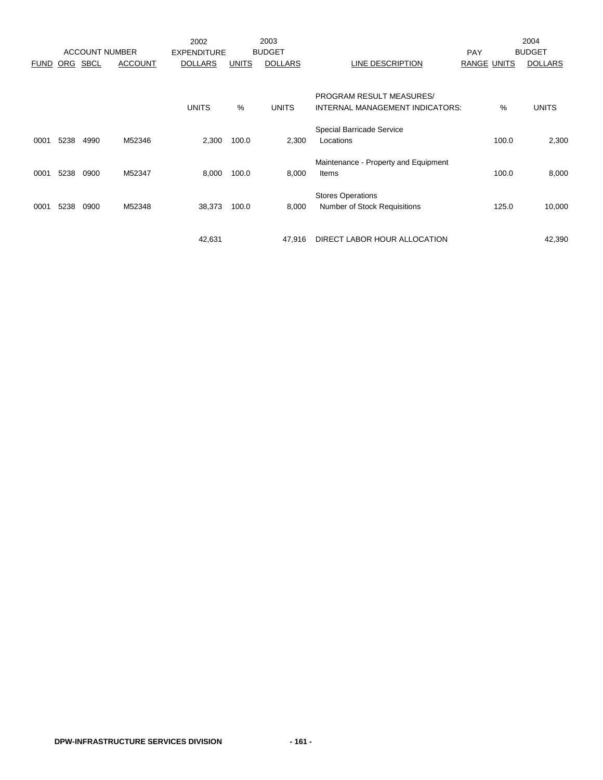|             |      |                       |                | 2002               |              | 2003           |                                      |                    |       | 2004           |
|-------------|------|-----------------------|----------------|--------------------|--------------|----------------|--------------------------------------|--------------------|-------|----------------|
|             |      | <b>ACCOUNT NUMBER</b> |                | <b>EXPENDITURE</b> |              | <b>BUDGET</b>  |                                      | <b>PAY</b>         |       | <b>BUDGET</b>  |
| <b>FUND</b> | ORG  | <b>SBCL</b>           | <b>ACCOUNT</b> | <b>DOLLARS</b>     | <b>UNITS</b> | <b>DOLLARS</b> | LINE DESCRIPTION                     | <b>RANGE UNITS</b> |       | <b>DOLLARS</b> |
|             |      |                       |                |                    |              |                |                                      |                    |       |                |
|             |      |                       |                |                    |              |                | PROGRAM RESULT MEASURES/             |                    |       |                |
|             |      |                       |                | <b>UNITS</b>       | %            | <b>UNITS</b>   | INTERNAL MANAGEMENT INDICATORS:      |                    | %     | <b>UNITS</b>   |
|             |      |                       |                |                    |              |                | Special Barricade Service            |                    |       |                |
| 0001        | 5238 | 4990                  | M52346         | 2,300              | 100.0        | 2,300          | Locations                            |                    | 100.0 | 2,300          |
|             |      |                       |                |                    |              |                | Maintenance - Property and Equipment |                    |       |                |
| 0001        | 5238 | 0900                  | M52347         | 8,000              | 100.0        | 8,000          | Items                                |                    | 100.0 | 8,000          |
|             |      |                       |                |                    |              |                | <b>Stores Operations</b>             |                    |       |                |
| 0001        | 5238 | 0900                  | M52348         | 38,373             | 100.0        | 8,000          | <b>Number of Stock Requisitions</b>  |                    | 125.0 | 10,000         |
|             |      |                       |                |                    |              |                |                                      |                    |       |                |
|             |      |                       |                | 42,631             |              | 47.916         | DIRECT LABOR HOUR ALLOCATION         |                    |       | 42,390         |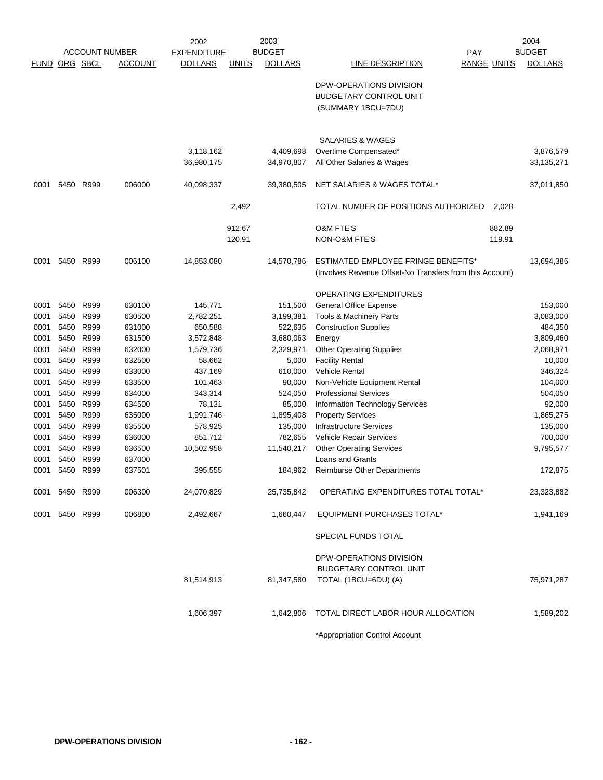|             |           |           |                       | 2002               |              | 2003           |                                                                                |                    |        | 2004           |
|-------------|-----------|-----------|-----------------------|--------------------|--------------|----------------|--------------------------------------------------------------------------------|--------------------|--------|----------------|
|             |           |           | <b>ACCOUNT NUMBER</b> | <b>EXPENDITURE</b> |              | <b>BUDGET</b>  |                                                                                | <b>PAY</b>         |        | <b>BUDGET</b>  |
| <b>FUND</b> | ORG SBCL  |           | <b>ACCOUNT</b>        | <b>DOLLARS</b>     | <b>UNITS</b> | <b>DOLLARS</b> | LINE DESCRIPTION                                                               | <b>RANGE UNITS</b> |        | <b>DOLLARS</b> |
|             |           |           |                       |                    |              |                | DPW-OPERATIONS DIVISION<br><b>BUDGETARY CONTROL UNIT</b><br>(SUMMARY 1BCU=7DU) |                    |        |                |
|             |           |           |                       |                    |              |                |                                                                                |                    |        |                |
|             |           |           |                       |                    |              |                | <b>SALARIES &amp; WAGES</b>                                                    |                    |        |                |
|             |           |           |                       | 3,118,162          |              | 4,409,698      | Overtime Compensated*                                                          |                    |        | 3,876,579      |
|             |           |           |                       | 36,980,175         |              | 34,970,807     | All Other Salaries & Wages                                                     |                    |        | 33,135,271     |
| 0001        | 5450      | R999      | 006000                | 40,098,337         |              | 39,380,505     | NET SALARIES & WAGES TOTAL*                                                    |                    |        | 37,011,850     |
|             |           |           |                       |                    | 2,492        |                | TOTAL NUMBER OF POSITIONS AUTHORIZED                                           |                    | 2,028  |                |
|             |           |           |                       |                    | 912.67       |                | <b>O&amp;M FTE'S</b>                                                           |                    | 882.89 |                |
|             |           |           |                       |                    | 120.91       |                | NON-O&M FTE'S                                                                  |                    | 119.91 |                |
| 0001        | 5450      | R999      | 006100                | 14,853,080         |              | 14,570,786     | <b>ESTIMATED EMPLOYEE FRINGE BENEFITS*</b>                                     |                    |        | 13,694,386     |
|             |           |           |                       |                    |              |                | (Involves Revenue Offset-No Transfers from this Account)                       |                    |        |                |
|             |           |           |                       |                    |              |                | <b>OPERATING EXPENDITURES</b>                                                  |                    |        |                |
| 0001        | 5450      | R999      | 630100                | 145,771            |              | 151,500        | <b>General Office Expense</b>                                                  |                    |        | 153,000        |
| 0001        | 5450      | R999      | 630500                | 2,782,251          |              | 3,199,381      | <b>Tools &amp; Machinery Parts</b>                                             |                    |        | 3,083,000      |
| 0001        |           | 5450 R999 | 631000                | 650,588            |              | 522,635        | <b>Construction Supplies</b>                                                   |                    |        | 484,350        |
| 0001        | 5450      | R999      | 631500                | 3,572,848          |              | 3,680,063      | Energy                                                                         |                    |        | 3,809,460      |
| 0001        | 5450      | R999      | 632000                | 1,579,736          |              | 2,329,971      | <b>Other Operating Supplies</b>                                                |                    |        | 2,068,971      |
| 0001        | 5450      | R999      | 632500                | 58,662             |              | 5,000          | <b>Facility Rental</b>                                                         |                    |        | 10,000         |
| 0001        | 5450      | R999      | 633000                | 437,169            |              | 610,000        | <b>Vehicle Rental</b>                                                          |                    |        | 346,324        |
| 0001        | 5450      | R999      | 633500                | 101,463            |              | 90,000         | Non-Vehicle Equipment Rental                                                   |                    |        | 104,000        |
| 0001        | 5450      | R999      | 634000                | 343,314            |              | 524,050        | <b>Professional Services</b>                                                   |                    |        | 504,050        |
| 0001        | 5450      | R999      | 634500                | 78,131             |              | 85,000         | <b>Information Technology Services</b>                                         |                    |        | 92,000         |
| 0001        | 5450      | R999      | 635000                | 1,991,746          |              | 1,895,408      | <b>Property Services</b>                                                       |                    |        | 1,865,275      |
| 0001        | 5450      | R999      | 635500                | 578,925            |              | 135,000        | <b>Infrastructure Services</b>                                                 |                    |        | 135,000        |
| 0001        | 5450      | R999      | 636000                | 851,712            |              | 782,655        | Vehicle Repair Services                                                        |                    |        | 700,000        |
| 0001        | 5450      | R999      | 636500                | 10,502,958         |              | 11,540,217     | <b>Other Operating Services</b>                                                |                    |        | 9,795,577      |
| 0001        | 5450      | R999      | 637000                |                    |              |                | Loans and Grants                                                               |                    |        |                |
| 0001        | 5450      | R999      | 637501                | 395,555            |              | 184,962        | <b>Reimburse Other Departments</b>                                             |                    |        | 172,875        |
| 0001        | 5450 R999 |           | 006300                | 24,070,829         |              | 25,735,842     | OPERATING EXPENDITURES TOTAL TOTAL*                                            |                    |        | 23,323,882     |
| 0001        |           | 5450 R999 | 006800                | 2,492,667          |              | 1,660,447      | EQUIPMENT PURCHASES TOTAL*                                                     |                    |        | 1,941,169      |
|             |           |           |                       |                    |              |                | SPECIAL FUNDS TOTAL                                                            |                    |        |                |
|             |           |           |                       |                    |              |                | DPW-OPERATIONS DIVISION                                                        |                    |        |                |
|             |           |           |                       |                    |              |                | <b>BUDGETARY CONTROL UNIT</b>                                                  |                    |        |                |
|             |           |           |                       | 81,514,913         |              | 81,347,580     | TOTAL (1BCU=6DU) (A)                                                           |                    |        | 75,971,287     |
|             |           |           |                       | 1,606,397          |              | 1,642,806      | TOTAL DIRECT LABOR HOUR ALLOCATION                                             |                    |        | 1,589,202      |
|             |           |           |                       |                    |              |                |                                                                                |                    |        |                |
|             |           |           |                       |                    |              |                | *Appropriation Control Account                                                 |                    |        |                |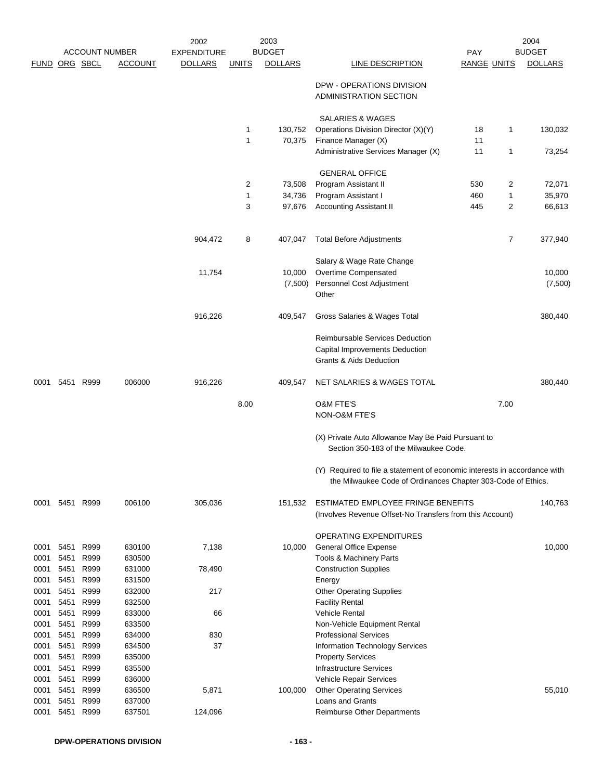|              |              |                       |                  | 2002               |                | 2003           |                                                                                                                                           |                    |                | 2004           |
|--------------|--------------|-----------------------|------------------|--------------------|----------------|----------------|-------------------------------------------------------------------------------------------------------------------------------------------|--------------------|----------------|----------------|
|              |              | <b>ACCOUNT NUMBER</b> |                  | <b>EXPENDITURE</b> |                | <b>BUDGET</b>  |                                                                                                                                           | <b>PAY</b>         |                | <b>BUDGET</b>  |
|              |              | <b>FUND ORG SBCL</b>  | <b>ACCOUNT</b>   | <b>DOLLARS</b>     | <b>UNITS</b>   | <b>DOLLARS</b> | LINE DESCRIPTION                                                                                                                          | <b>RANGE UNITS</b> |                | <b>DOLLARS</b> |
|              |              |                       |                  |                    |                |                | DPW - OPERATIONS DIVISION<br>ADMINISTRATION SECTION                                                                                       |                    |                |                |
|              |              |                       |                  |                    |                |                | SALARIES & WAGES                                                                                                                          |                    |                |                |
|              |              |                       |                  |                    | $\mathbf 1$    | 130,752        | Operations Division Director (X)(Y)                                                                                                       | 18                 | 1              | 130,032        |
|              |              |                       |                  |                    | $\mathbf{1}$   | 70,375         | Finance Manager (X)                                                                                                                       | 11                 |                |                |
|              |              |                       |                  |                    |                |                | Administrative Services Manager (X)                                                                                                       | 11                 | 1              | 73,254         |
|              |              |                       |                  |                    |                |                | <b>GENERAL OFFICE</b>                                                                                                                     |                    |                |                |
|              |              |                       |                  |                    | $\overline{c}$ | 73,508         | Program Assistant II                                                                                                                      | 530                | 2              | 72,071         |
|              |              |                       |                  |                    | $\mathbf{1}$   | 34,736         | Program Assistant I                                                                                                                       | 460                | 1              | 35,970         |
|              |              |                       |                  |                    | 3              | 97,676         | <b>Accounting Assistant II</b>                                                                                                            | 445                | $\overline{c}$ | 66,613         |
|              |              |                       |                  | 904,472            | 8              | 407,047        | <b>Total Before Adjustments</b>                                                                                                           |                    | $\overline{7}$ | 377,940        |
|              |              |                       |                  |                    |                |                | Salary & Wage Rate Change                                                                                                                 |                    |                |                |
|              |              |                       |                  | 11,754             |                | 10,000         | Overtime Compensated                                                                                                                      |                    |                | 10,000         |
|              |              |                       |                  |                    |                | (7,500)        | Personnel Cost Adjustment<br>Other                                                                                                        |                    |                | (7,500)        |
|              |              |                       |                  | 916,226            |                | 409,547        | Gross Salaries & Wages Total                                                                                                              |                    |                | 380,440        |
|              |              |                       |                  |                    |                |                | <b>Reimbursable Services Deduction</b><br><b>Capital Improvements Deduction</b><br>Grants & Aids Deduction                                |                    |                |                |
| 0001         |              | 5451 R999             | 006000           | 916,226            |                | 409,547        | NET SALARIES & WAGES TOTAL                                                                                                                |                    |                | 380,440        |
|              |              |                       |                  |                    | 8.00           |                | <b>O&amp;M FTE'S</b>                                                                                                                      |                    | 7.00           |                |
|              |              |                       |                  |                    |                |                | NON-O&M FTE'S                                                                                                                             |                    |                |                |
|              |              |                       |                  |                    |                |                | (X) Private Auto Allowance May Be Paid Pursuant to<br>Section 350-183 of the Milwaukee Code.                                              |                    |                |                |
|              |              |                       |                  |                    |                |                | (Y) Required to file a statement of economic interests in accordance with<br>the Milwaukee Code of Ordinances Chapter 303-Code of Ethics. |                    |                |                |
| 0001         | 5451         | R999                  | 006100           | 305,036            |                | 151,532        | ESTIMATED EMPLOYEE FRINGE BENEFITS<br>(Involves Revenue Offset-No Transfers from this Account)                                            |                    |                | 140,763        |
|              |              |                       |                  |                    |                |                | <b>OPERATING EXPENDITURES</b>                                                                                                             |                    |                |                |
| 0001         | 5451         | R999                  | 630100           | 7,138              |                | 10,000         | <b>General Office Expense</b>                                                                                                             |                    |                | 10,000         |
| 0001         | 5451         | R999                  | 630500           |                    |                |                | <b>Tools &amp; Machinery Parts</b>                                                                                                        |                    |                |                |
| 0001         | 5451         | R999                  | 631000           | 78,490             |                |                | <b>Construction Supplies</b>                                                                                                              |                    |                |                |
| 0001         | 5451         | R999                  | 631500           |                    |                |                | Energy                                                                                                                                    |                    |                |                |
| 0001<br>0001 | 5451<br>5451 | R999<br>R999          | 632000<br>632500 | 217                |                |                | <b>Other Operating Supplies</b><br><b>Facility Rental</b>                                                                                 |                    |                |                |
| 0001         | 5451         | R999                  | 633000           | 66                 |                |                | <b>Vehicle Rental</b>                                                                                                                     |                    |                |                |
| 0001         | 5451         | R999                  | 633500           |                    |                |                | Non-Vehicle Equipment Rental                                                                                                              |                    |                |                |
| 0001         | 5451         | R999                  | 634000           | 830                |                |                | <b>Professional Services</b>                                                                                                              |                    |                |                |
| 0001         | 5451         | R999                  | 634500           | 37                 |                |                | Information Technology Services                                                                                                           |                    |                |                |
| 0001         | 5451         | R999                  | 635000           |                    |                |                | <b>Property Services</b>                                                                                                                  |                    |                |                |
| 0001         | 5451         | R999                  | 635500           |                    |                |                | <b>Infrastructure Services</b>                                                                                                            |                    |                |                |
| 0001         | 5451         | R999                  | 636000           |                    |                |                | Vehicle Repair Services                                                                                                                   |                    |                |                |
| 0001         | 5451         | R999                  | 636500           | 5,871              |                | 100,000        | <b>Other Operating Services</b>                                                                                                           |                    |                | 55,010         |
| 0001<br>0001 | 5451<br>5451 | R999<br>R999          | 637000<br>637501 | 124,096            |                |                | Loans and Grants<br><b>Reimburse Other Departments</b>                                                                                    |                    |                |                |
|              |              |                       |                  |                    |                |                |                                                                                                                                           |                    |                |                |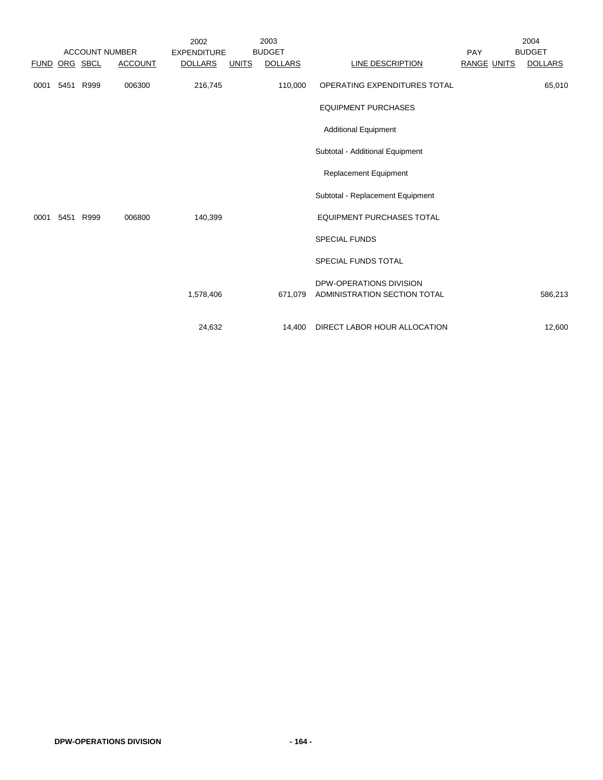|             |          | <b>ACCOUNT NUMBER</b> |                | 2002<br><b>EXPENDITURE</b> |              | 2003<br><b>BUDGET</b> |                                                         | PAY                | 2004<br><b>BUDGET</b> |
|-------------|----------|-----------------------|----------------|----------------------------|--------------|-----------------------|---------------------------------------------------------|--------------------|-----------------------|
| <b>FUND</b> | ORG SBCL |                       | <b>ACCOUNT</b> | <b>DOLLARS</b>             | <u>UNITS</u> | <b>DOLLARS</b>        | <b>LINE DESCRIPTION</b>                                 | <b>RANGE UNITS</b> | <b>DOLLARS</b>        |
| 0001        | 5451     | R999                  | 006300         | 216,745                    |              | 110,000               | OPERATING EXPENDITURES TOTAL                            |                    | 65,010                |
|             |          |                       |                |                            |              |                       | <b>EQUIPMENT PURCHASES</b>                              |                    |                       |
|             |          |                       |                |                            |              |                       | <b>Additional Equipment</b>                             |                    |                       |
|             |          |                       |                |                            |              |                       | Subtotal - Additional Equipment                         |                    |                       |
|             |          |                       |                |                            |              |                       | <b>Replacement Equipment</b>                            |                    |                       |
|             |          |                       |                |                            |              |                       | Subtotal - Replacement Equipment                        |                    |                       |
| 0001        | 5451     | R999                  | 006800         | 140,399                    |              |                       | <b>EQUIPMENT PURCHASES TOTAL</b>                        |                    |                       |
|             |          |                       |                |                            |              |                       | <b>SPECIAL FUNDS</b>                                    |                    |                       |
|             |          |                       |                |                            |              |                       | SPECIAL FUNDS TOTAL                                     |                    |                       |
|             |          |                       |                | 1,578,406                  |              | 671,079               | DPW-OPERATIONS DIVISION<br>ADMINISTRATION SECTION TOTAL |                    | 586,213               |
|             |          |                       |                | 24,632                     |              | 14,400                | DIRECT LABOR HOUR ALLOCATION                            |                    | 12,600                |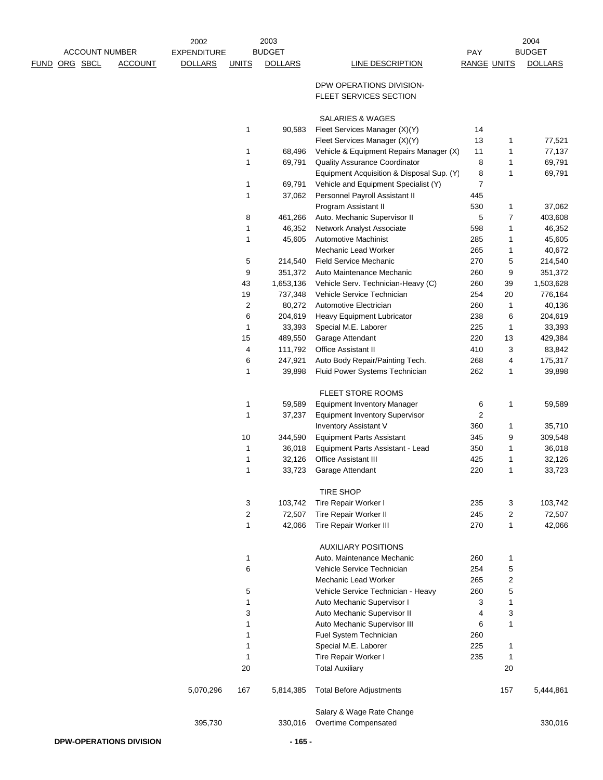|      |          |                       | 2002               |                | 2003             |                                                                          |                         |                | 2004             |
|------|----------|-----------------------|--------------------|----------------|------------------|--------------------------------------------------------------------------|-------------------------|----------------|------------------|
|      |          | <b>ACCOUNT NUMBER</b> | <b>EXPENDITURE</b> |                | <b>BUDGET</b>    |                                                                          | PAY                     |                | <b>BUDGET</b>    |
| FUND | ORG SBCL | <b>ACCOUNT</b>        | <b>DOLLARS</b>     | <b>UNITS</b>   | <b>DOLLARS</b>   | LINE DESCRIPTION                                                         | <b>RANGE UNITS</b>      |                | <b>DOLLARS</b>   |
|      |          |                       |                    |                |                  | DPW OPERATIONS DIVISION-                                                 |                         |                |                  |
|      |          |                       |                    |                |                  | FLEET SERVICES SECTION                                                   |                         |                |                  |
|      |          |                       |                    |                |                  |                                                                          |                         |                |                  |
|      |          |                       |                    |                |                  | SALARIES & WAGES                                                         |                         |                |                  |
|      |          |                       |                    | 1              | 90,583           | Fleet Services Manager (X)(Y)                                            | 14                      |                |                  |
|      |          |                       |                    |                |                  | Fleet Services Manager (X)(Y)                                            | 13<br>11                | 1<br>1         | 77,521           |
|      |          |                       |                    | 1<br>1         | 68,496<br>69,791 | Vehicle & Equipment Repairs Manager (X)<br>Quality Assurance Coordinator | 8                       | 1              | 77,137<br>69,791 |
|      |          |                       |                    |                |                  | Equipment Acquisition & Disposal Sup. (Y)                                | 8                       | 1              | 69,791           |
|      |          |                       |                    | 1              | 69,791           | Vehicle and Equipment Specialist (Y)                                     | 7                       |                |                  |
|      |          |                       |                    | 1              | 37,062           | Personnel Payroll Assistant II                                           | 445                     |                |                  |
|      |          |                       |                    |                |                  | Program Assistant II                                                     | 530                     | 1              | 37,062           |
|      |          |                       |                    | 8              | 461,266          | Auto. Mechanic Supervisor II                                             | 5                       | $\overline{7}$ | 403,608          |
|      |          |                       |                    | 1              | 46,352           | Network Analyst Associate                                                | 598                     | 1              | 46,352           |
|      |          |                       |                    | 1              | 45,605           | <b>Automotive Machinist</b>                                              | 285                     | 1              | 45,605           |
|      |          |                       |                    |                |                  | Mechanic Lead Worker                                                     | 265                     | 1              | 40,672           |
|      |          |                       |                    | 5              | 214,540          | Field Service Mechanic                                                   | 270                     | 5              | 214,540          |
|      |          |                       |                    | 9              | 351,372          | Auto Maintenance Mechanic                                                | 260                     | 9              | 351,372          |
|      |          |                       |                    | 43             | 1,653,136        | Vehicle Serv. Technician-Heavy (C)                                       | 260                     | 39             | 1,503,628        |
|      |          |                       |                    | 19             | 737,348          | Vehicle Service Technician                                               | 254                     | 20             | 776,164          |
|      |          |                       |                    | $\overline{c}$ | 80,272           | Automotive Electrician                                                   | 260                     | 1              | 40,136           |
|      |          |                       |                    | 6              | 204,619          | <b>Heavy Equipment Lubricator</b>                                        | 238                     | 6              | 204,619          |
|      |          |                       |                    | 1              | 33,393           | Special M.E. Laborer                                                     | 225                     | 1              | 33,393           |
|      |          |                       |                    | 15             | 489,550          | Garage Attendant                                                         | 220                     | 13             | 429,384          |
|      |          |                       |                    | 4              | 111,792          | Office Assistant II                                                      | 410                     | 3              | 83,842           |
|      |          |                       |                    | 6              | 247,921          | Auto Body Repair/Painting Tech.                                          | 268                     | 4              | 175,317          |
|      |          |                       |                    | 1              | 39,898           | Fluid Power Systems Technician                                           | 262                     | 1              | 39,898           |
|      |          |                       |                    |                |                  | FLEET STORE ROOMS                                                        |                         |                |                  |
|      |          |                       |                    | 1              | 59,589           | <b>Equipment Inventory Manager</b>                                       | 6                       | 1              | 59,589           |
|      |          |                       |                    | 1              | 37,237           | <b>Equipment Inventory Supervisor</b>                                    | $\overline{\mathbf{c}}$ |                |                  |
|      |          |                       |                    |                |                  | <b>Inventory Assistant V</b>                                             | 360                     | 1              | 35,710           |
|      |          |                       |                    | 10             | 344,590          | <b>Equipment Parts Assistant</b>                                         | 345                     | 9              | 309,548          |
|      |          |                       |                    | 1              | 36,018           | Equipment Parts Assistant - Lead                                         | 350                     | 1              | 36,018           |
|      |          |                       |                    | 1              | 32,126           | <b>Office Assistant III</b>                                              | 425                     | 1              | 32,126           |
|      |          |                       |                    | 1              | 33,723           | Garage Attendant                                                         | 220                     | 1              | 33,723           |
|      |          |                       |                    |                |                  | TIRE SHOP                                                                |                         |                |                  |
|      |          |                       |                    | 3              | 103,742          | Tire Repair Worker I                                                     | 235                     | 3              | 103,742          |
|      |          |                       |                    | $\overline{c}$ | 72,507           | Tire Repair Worker II                                                    | 245                     | 2              | 72,507           |
|      |          |                       |                    | 1              | 42,066           | Tire Repair Worker III                                                   | 270                     | 1              | 42,066           |
|      |          |                       |                    |                |                  | <b>AUXILIARY POSITIONS</b>                                               |                         |                |                  |
|      |          |                       |                    | 1              |                  | Auto, Maintenance Mechanic                                               | 260                     | 1              |                  |
|      |          |                       |                    | 6              |                  | Vehicle Service Technician                                               | 254                     | 5              |                  |
|      |          |                       |                    |                |                  | Mechanic Lead Worker                                                     | 265                     | 2              |                  |
|      |          |                       |                    | 5              |                  | Vehicle Service Technician - Heavy                                       | 260                     | 5              |                  |
|      |          |                       |                    | 1              |                  | Auto Mechanic Supervisor I                                               | 3                       | $\mathbf{1}$   |                  |
|      |          |                       |                    | 3              |                  | Auto Mechanic Supervisor II                                              | 4                       | 3              |                  |
|      |          |                       |                    | 1              |                  | Auto Mechanic Supervisor III                                             | 6                       | 1              |                  |
|      |          |                       |                    | 1              |                  | Fuel System Technician                                                   | 260                     |                |                  |
|      |          |                       |                    | $\mathbf{1}$   |                  | Special M.E. Laborer                                                     | 225                     | 1              |                  |
|      |          |                       |                    | 1              |                  | Tire Repair Worker I                                                     | 235                     | $\mathbf{1}$   |                  |
|      |          |                       |                    | 20             |                  | <b>Total Auxiliary</b>                                                   |                         | 20             |                  |
|      |          |                       | 5,070,296          | 167            | 5,814,385        | <b>Total Before Adjustments</b>                                          |                         | 157            | 5,444,861        |
|      |          |                       |                    |                |                  | Salary & Wage Rate Change                                                |                         |                |                  |
|      |          |                       | 395,730            |                | 330,016          | Overtime Compensated                                                     |                         |                | 330,016          |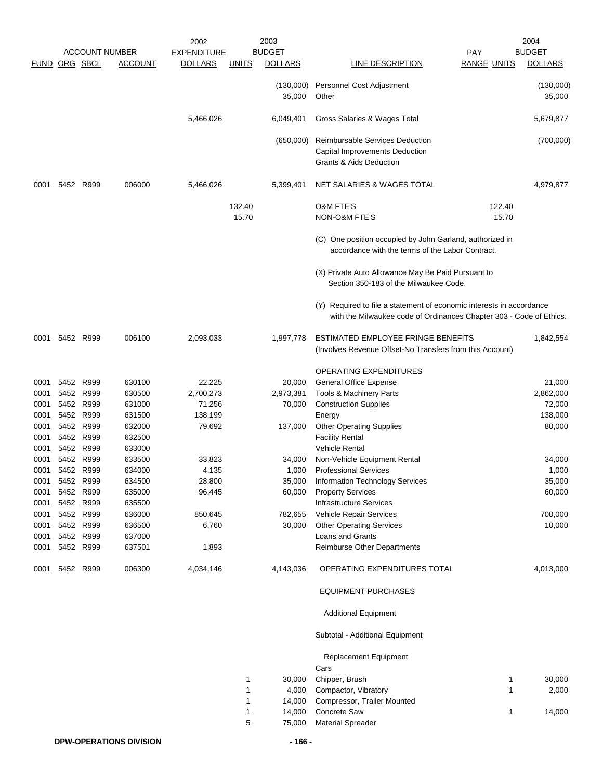|                      |           |                        |                       | 2002               |              | 2003                |                                                                                                                                             |                    | 2004                |
|----------------------|-----------|------------------------|-----------------------|--------------------|--------------|---------------------|---------------------------------------------------------------------------------------------------------------------------------------------|--------------------|---------------------|
|                      |           |                        | <b>ACCOUNT NUMBER</b> | <b>EXPENDITURE</b> |              | <b>BUDGET</b>       |                                                                                                                                             | <b>PAY</b>         | <b>BUDGET</b>       |
| <b>FUND ORG SBCL</b> |           |                        | <b>ACCOUNT</b>        | <b>DOLLARS</b>     | <b>UNITS</b> | <b>DOLLARS</b>      | <b>LINE DESCRIPTION</b>                                                                                                                     | <b>RANGE UNITS</b> | <b>DOLLARS</b>      |
|                      |           |                        |                       |                    |              | (130,000)<br>35,000 | Personnel Cost Adjustment<br>Other                                                                                                          |                    | (130,000)<br>35,000 |
|                      |           |                        |                       | 5,466,026          |              | 6,049,401           | Gross Salaries & Wages Total                                                                                                                |                    | 5,679,877           |
|                      |           |                        |                       |                    |              | (650,000)           | Reimbursable Services Deduction<br>Capital Improvements Deduction<br>Grants & Aids Deduction                                                |                    | (700,000)           |
| 0001                 | 5452 R999 |                        | 006000                | 5,466,026          |              | 5,399,401           | NET SALARIES & WAGES TOTAL                                                                                                                  |                    | 4,979,877           |
|                      |           |                        |                       |                    | 132.40       |                     | <b>O&amp;M FTE'S</b>                                                                                                                        | 122.40             |                     |
|                      |           |                        |                       |                    | 15.70        |                     | <b>NON-O&amp;M FTE'S</b>                                                                                                                    | 15.70              |                     |
|                      |           |                        |                       |                    |              |                     | (C) One position occupied by John Garland, authorized in<br>accordance with the terms of the Labor Contract.                                |                    |                     |
|                      |           |                        |                       |                    |              |                     | (X) Private Auto Allowance May Be Paid Pursuant to<br>Section 350-183 of the Milwaukee Code.                                                |                    |                     |
|                      |           |                        |                       |                    |              |                     | (Y) Required to file a statement of economic interests in accordance<br>with the Milwaukee code of Ordinances Chapter 303 - Code of Ethics. |                    |                     |
| 0001                 |           | 5452 R999              | 006100                | 2,093,033          |              | 1,997,778           | ESTIMATED EMPLOYEE FRINGE BENEFITS<br>(Involves Revenue Offset-No Transfers from this Account)                                              |                    | 1,842,554           |
|                      |           |                        |                       |                    |              |                     | <b>OPERATING EXPENDITURES</b>                                                                                                               |                    |                     |
| 0001                 |           | 5452 R999              | 630100                | 22,225             |              | 20,000              | General Office Expense                                                                                                                      |                    | 21,000              |
| 0001                 | 5452      | R999                   | 630500                | 2,700,273          |              | 2,973,381           | Tools & Machinery Parts                                                                                                                     |                    | 2,862,000           |
| 0001                 | 5452 R999 |                        | 631000                | 71,256             |              | 70,000              | <b>Construction Supplies</b>                                                                                                                |                    | 72,000              |
| 0001                 | 5452 R999 |                        | 631500                | 138,199            |              |                     | Energy                                                                                                                                      |                    | 138,000             |
| 0001                 |           | 5452 R999              | 632000                | 79,692             |              | 137,000             | <b>Other Operating Supplies</b>                                                                                                             |                    | 80,000              |
| 0001                 |           | 5452 R999              | 632500                |                    |              |                     | <b>Facility Rental</b><br><b>Vehicle Rental</b>                                                                                             |                    |                     |
| 0001<br>0001         |           | 5452 R999<br>5452 R999 | 633000<br>633500      | 33,823             |              | 34,000              | Non-Vehicle Equipment Rental                                                                                                                |                    | 34,000              |
| 0001                 |           | 5452 R999              | 634000                | 4,135              |              | 1,000               | <b>Professional Services</b>                                                                                                                |                    | 1,000               |
| 0001                 | 5452 R999 |                        | 634500                | 28,800             |              | 35,000              | Information Technology Services                                                                                                             |                    | 35,000              |
| 0001                 | 5452 R999 |                        | 635000                | 96,445             |              | 60,000              | <b>Property Services</b>                                                                                                                    |                    | 60,000              |
| 0001                 | 5452 R999 |                        | 635500                |                    |              |                     | <b>Infrastructure Services</b>                                                                                                              |                    |                     |
| 0001                 |           | 5452 R999              | 636000                | 850,645            |              | 782,655             | Vehicle Repair Services                                                                                                                     |                    | 700,000             |
| 0001                 |           | 5452 R999              | 636500                | 6,760              |              | 30,000              | <b>Other Operating Services</b>                                                                                                             |                    | 10,000              |
| 0001                 |           | 5452 R999              | 637000                |                    |              |                     | Loans and Grants                                                                                                                            |                    |                     |
| 0001                 |           | 5452 R999              | 637501                | 1,893              |              |                     | <b>Reimburse Other Departments</b>                                                                                                          |                    |                     |
| 0001                 |           | 5452 R999              | 006300                | 4,034,146          |              | 4,143,036           | OPERATING EXPENDITURES TOTAL                                                                                                                |                    | 4,013,000           |
|                      |           |                        |                       |                    |              |                     | <b>EQUIPMENT PURCHASES</b>                                                                                                                  |                    |                     |
|                      |           |                        |                       |                    |              |                     | <b>Additional Equipment</b>                                                                                                                 |                    |                     |
|                      |           |                        |                       |                    |              |                     | Subtotal - Additional Equipment                                                                                                             |                    |                     |
|                      |           |                        |                       |                    |              |                     | Replacement Equipment<br>Cars                                                                                                               |                    |                     |
|                      |           |                        |                       |                    | 1            | 30,000              | Chipper, Brush                                                                                                                              | 1                  | 30,000              |
|                      |           |                        |                       |                    | 1            | 4,000               | Compactor, Vibratory                                                                                                                        | $\mathbf{1}$       | 2,000               |
|                      |           |                        |                       |                    | $\mathbf{1}$ | 14,000              | Compressor, Trailer Mounted                                                                                                                 |                    |                     |
|                      |           |                        |                       |                    | $\mathbf{1}$ | 14,000              | Concrete Saw                                                                                                                                | 1                  | 14,000              |
|                      |           |                        |                       |                    | 5            | 75,000              | <b>Material Spreader</b>                                                                                                                    |                    |                     |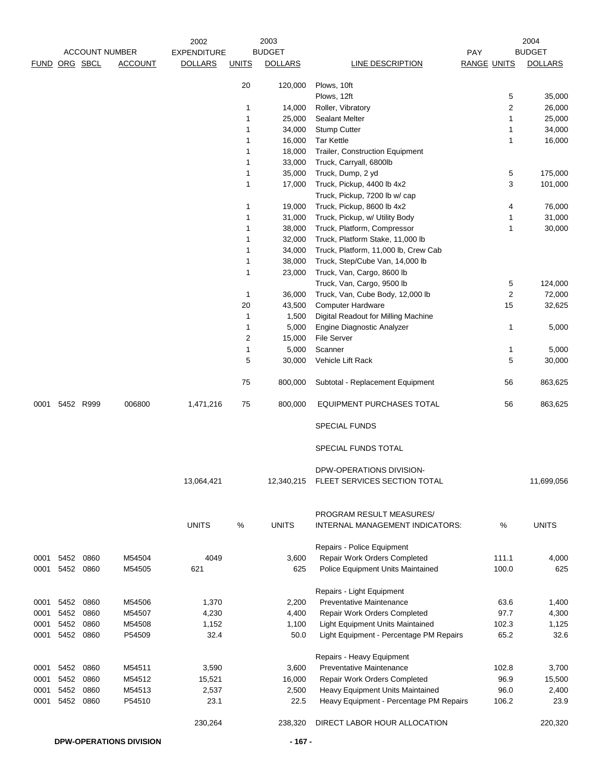|               | <b>ACCOUNT NUMBER</b> |      |                                | 2003<br>2002<br><b>BUDGET</b><br><b>EXPENDITURE</b> |              |                  |                                                              | 2004<br><b>BUDGET</b><br>PAY |                  |
|---------------|-----------------------|------|--------------------------------|-----------------------------------------------------|--------------|------------------|--------------------------------------------------------------|------------------------------|------------------|
| FUND ORG SBCL |                       |      | <b>ACCOUNT</b>                 | <b>DOLLARS</b>                                      | <b>UNITS</b> | <b>DOLLARS</b>   | <b>LINE DESCRIPTION</b>                                      | <b>RANGE UNITS</b>           | <b>DOLLARS</b>   |
|               |                       |      |                                |                                                     |              |                  |                                                              |                              |                  |
|               |                       |      |                                |                                                     | 20           | 120,000          | Plows, 10ft                                                  |                              |                  |
|               |                       |      |                                |                                                     |              |                  | Plows, 12ft                                                  | 5                            | 35,000           |
|               |                       |      |                                |                                                     | 1            | 14,000           | Roller, Vibratory                                            | 2                            | 26,000           |
|               |                       |      |                                |                                                     | 1            | 25,000           | <b>Sealant Melter</b>                                        | 1                            | 25,000           |
|               |                       |      |                                |                                                     | 1            | 34,000           | <b>Stump Cutter</b>                                          | 1                            | 34,000           |
|               |                       |      |                                |                                                     | 1            | 16,000           | <b>Tar Kettle</b>                                            | 1                            | 16,000           |
|               |                       |      |                                |                                                     | 1            | 18,000           | Trailer, Construction Equipment                              |                              |                  |
|               |                       |      |                                |                                                     | 1            | 33,000           | Truck, Carryall, 6800lb                                      |                              |                  |
|               |                       |      |                                |                                                     | 1            | 35,000           | Truck, Dump, 2 yd                                            | 5                            | 175,000          |
|               |                       |      |                                |                                                     | 1            | 17,000           | Truck, Pickup, 4400 lb 4x2                                   | 3                            | 101,000          |
|               |                       |      |                                |                                                     | 1            |                  | Truck, Pickup, 7200 lb w/ cap                                | 4                            |                  |
|               |                       |      |                                |                                                     | 1            | 19,000<br>31,000 | Truck, Pickup, 8600 lb 4x2<br>Truck, Pickup, w/ Utility Body | 1                            | 76,000<br>31,000 |
|               |                       |      |                                |                                                     | 1            | 38,000           | Truck, Platform, Compressor                                  | 1                            | 30,000           |
|               |                       |      |                                |                                                     | 1            | 32,000           | Truck, Platform Stake, 11,000 lb                             |                              |                  |
|               |                       |      |                                |                                                     | 1            | 34,000           | Truck, Platform, 11,000 lb, Crew Cab                         |                              |                  |
|               |                       |      |                                |                                                     | 1            | 38,000           | Truck, Step/Cube Van, 14,000 lb                              |                              |                  |
|               |                       |      |                                |                                                     | 1            | 23,000           | Truck, Van, Cargo, 8600 lb                                   |                              |                  |
|               |                       |      |                                |                                                     |              |                  | Truck, Van, Cargo, 9500 lb                                   | 5                            | 124,000          |
|               |                       |      |                                |                                                     | 1            | 36,000           | Truck, Van, Cube Body, 12,000 lb                             | 2                            | 72,000           |
|               |                       |      |                                |                                                     | 20           | 43,500           | <b>Computer Hardware</b>                                     | 15                           | 32,625           |
|               |                       |      |                                |                                                     | 1            | 1,500            | Digital Readout for Milling Machine                          |                              |                  |
|               |                       |      |                                |                                                     | 1            | 5,000            | Engine Diagnostic Analyzer                                   | 1                            | 5,000            |
|               |                       |      |                                |                                                     | 2            | 15,000           | <b>File Server</b>                                           |                              |                  |
|               |                       |      |                                |                                                     | 1            | 5,000            | Scanner                                                      | 1                            | 5,000            |
|               |                       |      |                                |                                                     | 5            | 30,000           | Vehicle Lift Rack                                            | 5                            | 30,000           |
|               |                       |      |                                |                                                     | 75           | 800,000          | Subtotal - Replacement Equipment                             | 56                           | 863,625          |
|               | 0001 5452 R999        |      | 006800                         | 1,471,216                                           | 75           | 800,000          | EQUIPMENT PURCHASES TOTAL                                    | 56                           | 863,625          |
|               |                       |      |                                |                                                     |              |                  | <b>SPECIAL FUNDS</b>                                         |                              |                  |
|               |                       |      |                                |                                                     |              |                  | SPECIAL FUNDS TOTAL                                          |                              |                  |
|               |                       |      |                                |                                                     |              |                  | DPW-OPERATIONS DIVISION-                                     |                              |                  |
|               |                       |      |                                | 13,064,421                                          |              | 12,340,215       | FLEET SERVICES SECTION TOTAL                                 |                              | 11,699,056       |
|               |                       |      |                                |                                                     |              |                  |                                                              |                              |                  |
|               |                       |      |                                |                                                     |              |                  | PROGRAM RESULT MEASURES/                                     |                              |                  |
|               |                       |      |                                | <b>UNITS</b>                                        | %            | <b>UNITS</b>     | INTERNAL MANAGEMENT INDICATORS:                              | %                            | <b>UNITS</b>     |
|               |                       |      |                                |                                                     |              |                  | Repairs - Police Equipment                                   |                              |                  |
|               | 0001 5452 0860        |      | M54504                         | 4049                                                |              | 3,600            | Repair Work Orders Completed                                 | 111.1                        | 4,000            |
|               | 0001 5452             | 0860 | M54505                         | 621                                                 |              | 625              | Police Equipment Units Maintained                            | 100.0                        | 625              |
|               |                       |      |                                |                                                     |              |                  | Repairs - Light Equipment                                    |                              |                  |
|               | 0001 5452 0860        |      | M54506                         | 1,370                                               |              | 2,200            | <b>Preventative Maintenance</b>                              | 63.6                         | 1,400            |
| 0001          | 5452                  | 0860 | M54507                         | 4,230                                               |              | 4,400            | Repair Work Orders Completed                                 | 97.7                         | 4,300            |
| 0001          | 5452                  | 0860 | M54508                         | 1,152                                               |              | 1,100            | <b>Light Equipment Units Maintained</b>                      | 102.3                        | 1,125            |
| 0001          | 5452 0860             |      | P54509                         | 32.4                                                |              | 50.0             | Light Equipment - Percentage PM Repairs                      | 65.2                         | 32.6             |
|               |                       |      |                                |                                                     |              |                  | Repairs - Heavy Equipment                                    |                              |                  |
| 0001          | 5452                  | 0860 | M54511                         | 3,590                                               |              | 3,600            | Preventative Maintenance                                     | 102.8                        | 3,700            |
| 0001          | 5452                  | 0860 | M54512                         | 15,521                                              |              | 16,000           | Repair Work Orders Completed                                 | 96.9                         | 15,500           |
| 0001          | 5452                  | 0860 | M54513                         | 2,537                                               |              | 2,500            | Heavy Equipment Units Maintained                             | 96.0                         | 2,400            |
| 0001          | 5452                  | 0860 | P54510                         | 23.1                                                |              | 22.5             | Heavy Equipment - Percentage PM Repairs                      | 106.2                        | 23.9             |
|               |                       |      |                                | 230,264                                             |              | 238,320          | DIRECT LABOR HOUR ALLOCATION                                 |                              | 220,320          |
|               |                       |      | <b>DPW-OPERATIONS DIVISION</b> |                                                     |              | $-167 -$         |                                                              |                              |                  |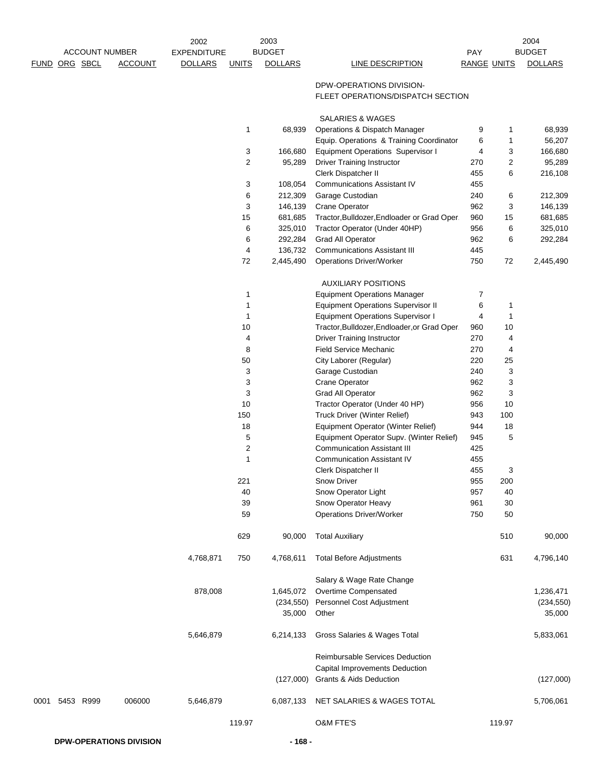|                |                       | 2002               |              | 2003               |                                                                              |                    |         | 2004               |
|----------------|-----------------------|--------------------|--------------|--------------------|------------------------------------------------------------------------------|--------------------|---------|--------------------|
|                | <b>ACCOUNT NUMBER</b> | <b>EXPENDITURE</b> |              | <b>BUDGET</b>      |                                                                              | PAY                |         | <b>BUDGET</b>      |
| FUND ORG SBCL  | <b>ACCOUNT</b>        | <b>DOLLARS</b>     | <b>UNITS</b> | <b>DOLLARS</b>     | <b>LINE DESCRIPTION</b>                                                      | <b>RANGE UNITS</b> |         | <b>DOLLARS</b>     |
|                |                       |                    |              |                    | DPW-OPERATIONS DIVISION-<br>FLEET OPERATIONS/DISPATCH SECTION                |                    |         |                    |
|                |                       |                    |              |                    | <b>SALARIES &amp; WAGES</b>                                                  |                    |         |                    |
|                |                       |                    | 1            | 68,939             | Operations & Dispatch Manager                                                | 9                  | 1       | 68,939             |
|                |                       |                    |              |                    | Equip. Operations & Training Coordinator                                     | 6                  | 1       | 56,207             |
|                |                       |                    | 3            | 166,680            | <b>Equipment Operations Supervisor I</b>                                     | 4                  | 3       | 166,680            |
|                |                       |                    | 2            | 95,289             | <b>Driver Training Instructor</b>                                            | 270                | 2       | 95,289             |
|                |                       |                    |              |                    | Clerk Dispatcher II                                                          | 455                | 6       | 216,108            |
|                |                       |                    | 3            | 108,054            | <b>Communications Assistant IV</b>                                           | 455                |         |                    |
|                |                       |                    | 6            | 212,309            | Garage Custodian                                                             | 240                | 6       | 212,309            |
|                |                       |                    | 3<br>15      | 146,139<br>681,685 | <b>Crane Operator</b>                                                        | 962<br>960         | 3<br>15 | 146,139<br>681,685 |
|                |                       |                    | 6            | 325,010            | Tractor, Bulldozer, Endloader or Grad Oper.<br>Tractor Operator (Under 40HP) | 956                | 6       | 325,010            |
|                |                       |                    | 6            | 292,284            | <b>Grad All Operator</b>                                                     | 962                | 6       | 292,284            |
|                |                       |                    | 4            | 136,732            | <b>Communications Assistant III</b>                                          | 445                |         |                    |
|                |                       |                    | 72           | 2,445,490          | <b>Operations Driver/Worker</b>                                              | 750                | 72      | 2,445,490          |
|                |                       |                    |              |                    |                                                                              |                    |         |                    |
|                |                       |                    |              |                    | <b>AUXILIARY POSITIONS</b>                                                   |                    |         |                    |
|                |                       |                    | 1            |                    | <b>Equipment Operations Manager</b>                                          | 7                  |         |                    |
|                |                       |                    | $\mathbf{1}$ |                    | <b>Equipment Operations Supervisor II</b>                                    | 6                  | 1       |                    |
|                |                       |                    | $\mathbf{1}$ |                    | <b>Equipment Operations Supervisor I</b>                                     | 4                  | 1       |                    |
|                |                       |                    | 10           |                    | Tractor, Bulldozer, Endloader, or Grad Oper.                                 | 960                | 10      |                    |
|                |                       |                    | 4            |                    | <b>Driver Training Instructor</b>                                            | 270                | 4       |                    |
|                |                       |                    | 8            |                    | Field Service Mechanic                                                       | 270                | 4       |                    |
|                |                       |                    | 50           |                    | City Laborer (Regular)                                                       | 220                | 25      |                    |
|                |                       |                    | 3            |                    | Garage Custodian                                                             | 240                | 3       |                    |
|                |                       |                    | 3<br>3       |                    | Crane Operator<br>Grad All Operator                                          | 962<br>962         | 3<br>3  |                    |
|                |                       |                    | 10           |                    | Tractor Operator (Under 40 HP)                                               | 956                | 10      |                    |
|                |                       |                    | 150          |                    | Truck Driver (Winter Relief)                                                 | 943                | 100     |                    |
|                |                       |                    | 18           |                    | Equipment Operator (Winter Relief)                                           | 944                | 18      |                    |
|                |                       |                    | 5            |                    | Equipment Operator Supv. (Winter Relief)                                     | 945                | 5       |                    |
|                |                       |                    | 2            |                    | <b>Communication Assistant III</b>                                           | 425                |         |                    |
|                |                       |                    | 1            |                    | <b>Communication Assistant IV</b>                                            | 455                |         |                    |
|                |                       |                    |              |                    | Clerk Dispatcher II                                                          | 455                | 3       |                    |
|                |                       |                    | 221          |                    | Snow Driver                                                                  | 955                | 200     |                    |
|                |                       |                    | 40           |                    | Snow Operator Light                                                          | 957                | 40      |                    |
|                |                       |                    | 39           |                    | Snow Operator Heavy                                                          | 961                | 30      |                    |
|                |                       |                    | 59           |                    | <b>Operations Driver/Worker</b>                                              | 750                | 50      |                    |
|                |                       |                    | 629          | 90,000             | <b>Total Auxiliary</b>                                                       |                    | 510     | 90,000             |
|                |                       | 4,768,871          | 750          | 4,768,611          | <b>Total Before Adjustments</b>                                              |                    | 631     | 4,796,140          |
|                |                       |                    |              |                    | Salary & Wage Rate Change                                                    |                    |         |                    |
|                |                       | 878,008            |              | 1,645,072          | Overtime Compensated                                                         |                    |         | 1,236,471          |
|                |                       |                    |              | (234, 550)         | Personnel Cost Adjustment                                                    |                    |         | (234, 550)         |
|                |                       |                    |              | 35,000             | Other                                                                        |                    |         | 35,000             |
|                |                       | 5,646,879          |              | 6,214,133          | Gross Salaries & Wages Total                                                 |                    |         | 5,833,061          |
|                |                       |                    |              |                    | Reimbursable Services Deduction                                              |                    |         |                    |
|                |                       |                    |              |                    | <b>Capital Improvements Deduction</b><br>Grants & Aids Deduction             |                    |         |                    |
|                |                       |                    |              | (127,000)          |                                                                              |                    |         | (127,000)          |
| 0001 5453 R999 | 006000                | 5,646,879          |              | 6,087,133          | NET SALARIES & WAGES TOTAL                                                   |                    |         | 5,706,061          |
|                |                       |                    | 119.97       |                    | <b>O&amp;M FTE'S</b>                                                         |                    | 119.97  |                    |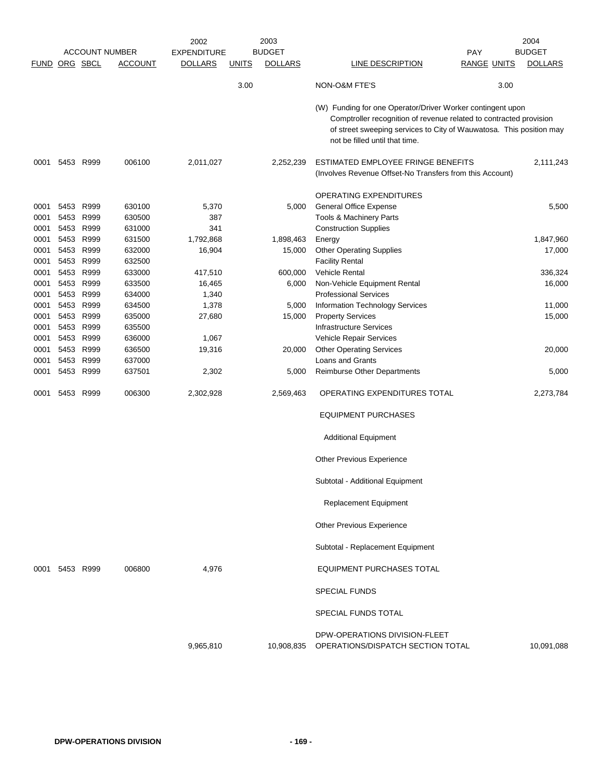|               |           | <b>ACCOUNT NUMBER</b> |                | 2002<br><b>EXPENDITURE</b> |              | 2003<br><b>BUDGET</b> |                                                                                                                                                                                                                                           | <b>PAY</b>         | 2004<br><b>BUDGET</b> |
|---------------|-----------|-----------------------|----------------|----------------------------|--------------|-----------------------|-------------------------------------------------------------------------------------------------------------------------------------------------------------------------------------------------------------------------------------------|--------------------|-----------------------|
| FUND ORG SBCL |           |                       | <b>ACCOUNT</b> | <b>DOLLARS</b>             | <b>UNITS</b> | <b>DOLLARS</b>        | LINE DESCRIPTION                                                                                                                                                                                                                          | <b>RANGE UNITS</b> | <b>DOLLARS</b>        |
|               |           |                       |                |                            |              |                       |                                                                                                                                                                                                                                           |                    |                       |
|               |           |                       |                |                            | 3.00         |                       | NON-O&M FTE'S                                                                                                                                                                                                                             | 3.00               |                       |
|               |           |                       |                |                            |              |                       | (W) Funding for one Operator/Driver Worker contingent upon<br>Comptroller recognition of revenue related to contracted provision<br>of street sweeping services to City of Wauwatosa. This position may<br>not be filled until that time. |                    |                       |
| 0001          | 5453      | R999                  | 006100         | 2,011,027                  |              | 2,252,239             | ESTIMATED EMPLOYEE FRINGE BENEFITS<br>(Involves Revenue Offset-No Transfers from this Account)                                                                                                                                            |                    | 2,111,243             |
|               |           |                       |                |                            |              |                       | <b>OPERATING EXPENDITURES</b>                                                                                                                                                                                                             |                    |                       |
| 0001          | 5453      | R999                  | 630100         | 5,370                      |              | 5,000                 | <b>General Office Expense</b>                                                                                                                                                                                                             |                    | 5,500                 |
| 0001          | 5453      | R999                  | 630500         | 387                        |              |                       | Tools & Machinery Parts                                                                                                                                                                                                                   |                    |                       |
| 0001          | 5453 R999 |                       | 631000         | 341                        |              |                       | <b>Construction Supplies</b>                                                                                                                                                                                                              |                    |                       |
| 0001          | 5453 R999 |                       | 631500         | 1,792,868                  |              | 1,898,463             | Energy                                                                                                                                                                                                                                    |                    | 1,847,960             |
| 0001          | 5453 R999 |                       | 632000         | 16,904                     |              | 15,000                | <b>Other Operating Supplies</b>                                                                                                                                                                                                           |                    | 17,000                |
| 0001          | 5453      | R999                  | 632500         |                            |              |                       | <b>Facility Rental</b>                                                                                                                                                                                                                    |                    |                       |
| 0001          | 5453      | R999                  | 633000         | 417,510                    |              | 600,000               | <b>Vehicle Rental</b>                                                                                                                                                                                                                     |                    | 336,324               |
|               |           |                       |                |                            |              |                       |                                                                                                                                                                                                                                           |                    |                       |
| 0001          | 5453      | R999                  | 633500         | 16,465                     |              | 6,000                 | Non-Vehicle Equipment Rental                                                                                                                                                                                                              |                    | 16,000                |
| 0001          | 5453      | R999                  | 634000         | 1,340                      |              |                       | <b>Professional Services</b>                                                                                                                                                                                                              |                    |                       |
| 0001          | 5453 R999 |                       | 634500         | 1,378                      |              | 5,000                 | Information Technology Services                                                                                                                                                                                                           |                    | 11,000                |
| 0001          | 5453      | R999                  | 635000         | 27,680                     |              | 15,000                | <b>Property Services</b>                                                                                                                                                                                                                  |                    | 15,000                |
| 0001          | 5453 R999 |                       | 635500         |                            |              |                       | <b>Infrastructure Services</b>                                                                                                                                                                                                            |                    |                       |
| 0001          | 5453 R999 |                       | 636000         | 1,067                      |              |                       | Vehicle Repair Services                                                                                                                                                                                                                   |                    |                       |
| 0001          | 5453 R999 |                       | 636500         | 19,316                     |              | 20,000                | <b>Other Operating Services</b>                                                                                                                                                                                                           |                    | 20,000                |
| 0001          | 5453      | R999                  | 637000         |                            |              |                       | Loans and Grants                                                                                                                                                                                                                          |                    |                       |
| 0001          | 5453 R999 |                       | 637501         | 2,302                      |              | 5,000                 | Reimburse Other Departments                                                                                                                                                                                                               |                    | 5,000                 |
| 0001          | 5453      | R999                  | 006300         | 2,302,928                  |              | 2,569,463             | OPERATING EXPENDITURES TOTAL                                                                                                                                                                                                              |                    | 2,273,784             |
|               |           |                       |                |                            |              |                       | <b>EQUIPMENT PURCHASES</b>                                                                                                                                                                                                                |                    |                       |
|               |           |                       |                |                            |              |                       | <b>Additional Equipment</b>                                                                                                                                                                                                               |                    |                       |
|               |           |                       |                |                            |              |                       | <b>Other Previous Experience</b>                                                                                                                                                                                                          |                    |                       |
|               |           |                       |                |                            |              |                       | Subtotal - Additional Equipment                                                                                                                                                                                                           |                    |                       |
|               |           |                       |                |                            |              |                       | <b>Replacement Equipment</b>                                                                                                                                                                                                              |                    |                       |
|               |           |                       |                |                            |              |                       | Other Previous Experience                                                                                                                                                                                                                 |                    |                       |
|               |           |                       |                |                            |              |                       | Subtotal - Replacement Equipment                                                                                                                                                                                                          |                    |                       |
| 0001          | 5453 R999 |                       | 006800         | 4,976                      |              |                       | <b>EQUIPMENT PURCHASES TOTAL</b>                                                                                                                                                                                                          |                    |                       |
|               |           |                       |                |                            |              |                       | <b>SPECIAL FUNDS</b>                                                                                                                                                                                                                      |                    |                       |
|               |           |                       |                |                            |              |                       | SPECIAL FUNDS TOTAL                                                                                                                                                                                                                       |                    |                       |
|               |           |                       |                | 9,965,810                  |              | 10,908,835            | DPW-OPERATIONS DIVISION-FLEET<br>OPERATIONS/DISPATCH SECTION TOTAL                                                                                                                                                                        |                    | 10,091,088            |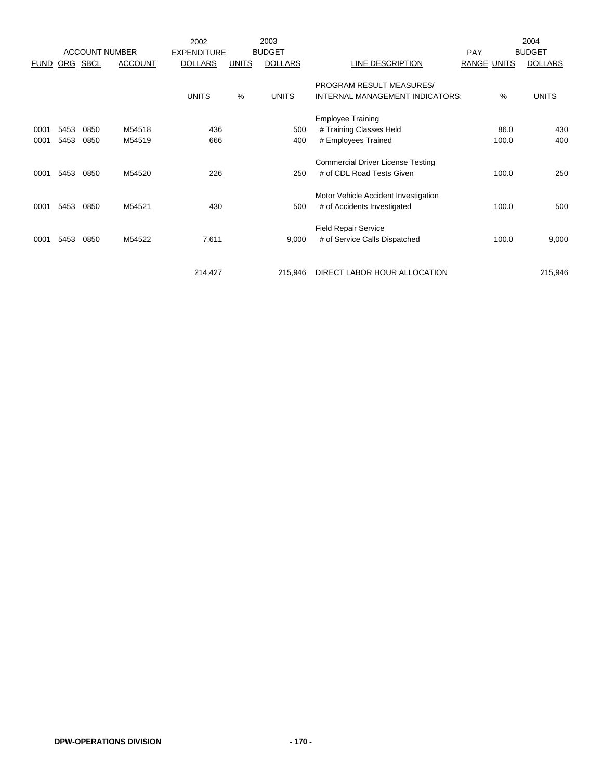|             |      | <b>ACCOUNT NUMBER</b> |                | 2002<br><b>EXPENDITURE</b> |              | 2003<br><b>BUDGET</b> |                                          | <b>PAY</b>         |       | 2004<br><b>BUDGET</b> |
|-------------|------|-----------------------|----------------|----------------------------|--------------|-----------------------|------------------------------------------|--------------------|-------|-----------------------|
| <b>FUND</b> | ORG  | SBCL                  | <b>ACCOUNT</b> | <b>DOLLARS</b>             | <b>UNITS</b> | <b>DOLLARS</b>        | LINE DESCRIPTION                         | <b>RANGE UNITS</b> |       | <b>DOLLARS</b>        |
|             |      |                       |                |                            |              |                       | PROGRAM RESULT MEASURES/                 |                    |       |                       |
|             |      |                       |                | <b>UNITS</b>               | %            | <b>UNITS</b>          | INTERNAL MANAGEMENT INDICATORS:          |                    | %     | <b>UNITS</b>          |
|             |      |                       |                |                            |              |                       | <b>Employee Training</b>                 |                    |       |                       |
| 0001        | 5453 | 0850                  | M54518         | 436                        |              | 500                   | # Training Classes Held                  |                    | 86.0  | 430                   |
| 0001        | 5453 | 0850                  | M54519         | 666                        |              | 400                   | # Employees Trained                      |                    | 100.0 | 400                   |
|             |      |                       |                |                            |              |                       | <b>Commercial Driver License Testing</b> |                    |       |                       |
| 0001        | 5453 | 0850                  | M54520         | 226                        |              | 250                   | # of CDL Road Tests Given                |                    | 100.0 | 250                   |
|             |      |                       |                |                            |              |                       | Motor Vehicle Accident Investigation     |                    |       |                       |
| 0001        | 5453 | 0850                  | M54521         | 430                        |              | 500                   | # of Accidents Investigated              |                    | 100.0 | 500                   |
|             |      |                       |                |                            |              |                       | <b>Field Repair Service</b>              |                    |       |                       |
| 0001        | 5453 | 0850                  | M54522         | 7,611                      |              | 9,000                 | # of Service Calls Dispatched            |                    | 100.0 | 9,000                 |
|             |      |                       |                |                            |              |                       |                                          |                    |       |                       |
|             |      |                       |                | 214,427                    |              | 215,946               | DIRECT LABOR HOUR ALLOCATION             |                    |       | 215,946               |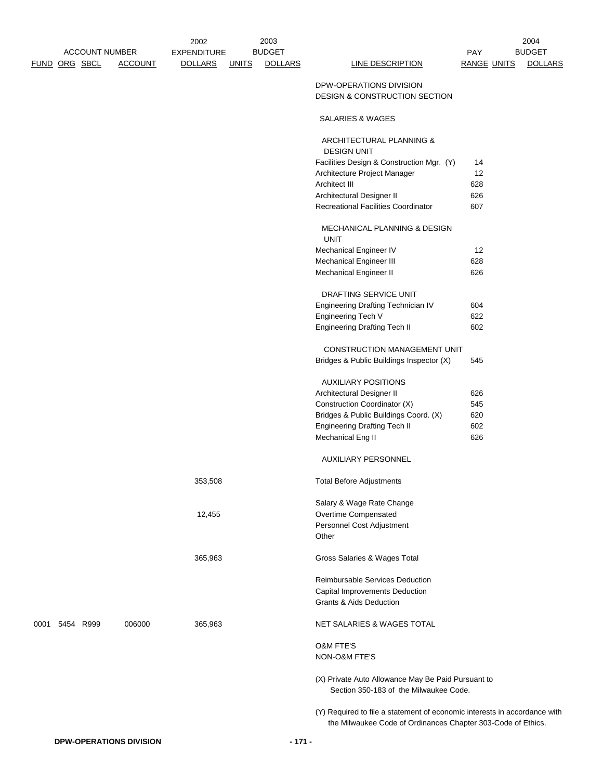|               |                       |                | 2002               |              | 2003           |                                                                           |                    | 2004           |
|---------------|-----------------------|----------------|--------------------|--------------|----------------|---------------------------------------------------------------------------|--------------------|----------------|
|               | <b>ACCOUNT NUMBER</b> |                | <b>EXPENDITURE</b> |              | <b>BUDGET</b>  |                                                                           | <b>PAY</b>         | <b>BUDGET</b>  |
| FUND ORG SBCL |                       | <b>ACCOUNT</b> | <b>DOLLARS</b>     | <b>UNITS</b> | <b>DOLLARS</b> | <b>LINE DESCRIPTION</b>                                                   | <b>RANGE UNITS</b> | <b>DOLLARS</b> |
|               |                       |                |                    |              |                | DPW-OPERATIONS DIVISION<br>DESIGN & CONSTRUCTION SECTION                  |                    |                |
|               |                       |                |                    |              |                | SALARIES & WAGES                                                          |                    |                |
|               |                       |                |                    |              |                | ARCHITECTURAL PLANNING &<br><b>DESIGN UNIT</b>                            |                    |                |
|               |                       |                |                    |              |                | Facilities Design & Construction Mgr. (Y)                                 | 14                 |                |
|               |                       |                |                    |              |                | Architecture Project Manager                                              | 12                 |                |
|               |                       |                |                    |              |                | Architect III                                                             | 628                |                |
|               |                       |                |                    |              |                | Architectural Designer II                                                 | 626                |                |
|               |                       |                |                    |              |                | <b>Recreational Facilities Coordinator</b>                                | 607                |                |
|               |                       |                |                    |              |                | MECHANICAL PLANNING & DESIGN<br><b>UNIT</b>                               |                    |                |
|               |                       |                |                    |              |                | Mechanical Engineer IV                                                    | 12                 |                |
|               |                       |                |                    |              |                | <b>Mechanical Engineer III</b>                                            | 628                |                |
|               |                       |                |                    |              |                | <b>Mechanical Engineer II</b>                                             | 626                |                |
|               |                       |                |                    |              |                | <b>DRAFTING SERVICE UNIT</b>                                              |                    |                |
|               |                       |                |                    |              |                | Engineering Drafting Technician IV                                        | 604                |                |
|               |                       |                |                    |              |                | Engineering Tech V                                                        | 622                |                |
|               |                       |                |                    |              |                | <b>Engineering Drafting Tech II</b>                                       | 602                |                |
|               |                       |                |                    |              |                | CONSTRUCTION MANAGEMENT UNIT                                              |                    |                |
|               |                       |                |                    |              |                | Bridges & Public Buildings Inspector (X)                                  | 545                |                |
|               |                       |                |                    |              |                | <b>AUXILIARY POSITIONS</b>                                                |                    |                |
|               |                       |                |                    |              |                | Architectural Designer II                                                 | 626                |                |
|               |                       |                |                    |              |                | Construction Coordinator (X)                                              | 545                |                |
|               |                       |                |                    |              |                | Bridges & Public Buildings Coord. (X)                                     | 620                |                |
|               |                       |                |                    |              |                | <b>Engineering Drafting Tech II</b>                                       | 602                |                |
|               |                       |                |                    |              |                | Mechanical Eng II                                                         | 626                |                |
|               |                       |                |                    |              |                | <b>AUXILIARY PERSONNEL</b>                                                |                    |                |
|               |                       |                | 353,508            |              |                | <b>Total Before Adjustments</b>                                           |                    |                |
|               |                       |                |                    |              |                | Salary & Wage Rate Change                                                 |                    |                |
|               |                       |                | 12,455             |              |                | Overtime Compensated                                                      |                    |                |
|               |                       |                |                    |              |                | Personnel Cost Adjustment                                                 |                    |                |
|               |                       |                |                    |              |                | Other                                                                     |                    |                |
|               |                       |                | 365,963            |              |                | Gross Salaries & Wages Total                                              |                    |                |
|               |                       |                |                    |              |                | Reimbursable Services Deduction                                           |                    |                |
|               |                       |                |                    |              |                | Capital Improvements Deduction                                            |                    |                |
|               |                       |                |                    |              |                | Grants & Aids Deduction                                                   |                    |                |
| 0001          | 5454 R999             | 006000         | 365,963            |              |                | NET SALARIES & WAGES TOTAL                                                |                    |                |
|               |                       |                |                    |              |                | <b>O&amp;M FTE'S</b>                                                      |                    |                |
|               |                       |                |                    |              |                | NON-O&M FTE'S                                                             |                    |                |
|               |                       |                |                    |              |                | (X) Private Auto Allowance May Be Paid Pursuant to                        |                    |                |
|               |                       |                |                    |              |                | Section 350-183 of the Milwaukee Code.                                    |                    |                |
|               |                       |                |                    |              |                | (Y) Required to file a statement of economic interests in accordance with |                    |                |
|               |                       |                |                    |              |                | the Milwaukee Code of Ordinances Chapter 303-Code of Ethics.              |                    |                |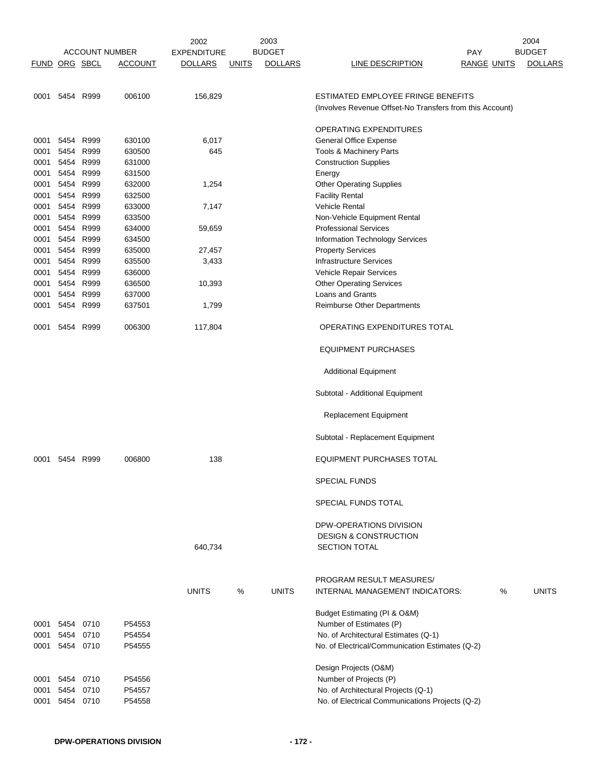|               |                        |                       |                  | 2002               |              | 2003           |                                                                                        |                    | 2004           |
|---------------|------------------------|-----------------------|------------------|--------------------|--------------|----------------|----------------------------------------------------------------------------------------|--------------------|----------------|
|               |                        | <b>ACCOUNT NUMBER</b> |                  | <b>EXPENDITURE</b> |              | <b>BUDGET</b>  | <b>PAY</b>                                                                             |                    | <b>BUDGET</b>  |
| FUND ORG SBCL |                        |                       | <b>ACCOUNT</b>   | <b>DOLLARS</b>     | <b>UNITS</b> | <b>DOLLARS</b> | LINE DESCRIPTION                                                                       | <b>RANGE UNITS</b> | <b>DOLLARS</b> |
|               |                        |                       |                  |                    |              |                |                                                                                        |                    |                |
|               |                        |                       |                  |                    |              |                |                                                                                        |                    |                |
|               | 0001 5454 R999         |                       | 006100           | 156,829            |              |                | ESTIMATED EMPLOYEE FRINGE BENEFITS                                                     |                    |                |
|               |                        |                       |                  |                    |              |                | (Involves Revenue Offset-No Transfers from this Account)                               |                    |                |
|               |                        |                       |                  |                    |              |                |                                                                                        |                    |                |
|               |                        |                       |                  |                    |              |                | <b>OPERATING EXPENDITURES</b>                                                          |                    |                |
| 0001          | 5454                   | R999                  | 630100           | 6,017              |              |                | General Office Expense                                                                 |                    |                |
| 0001          | 5454                   | R999                  | 630500           | 645                |              |                | Tools & Machinery Parts                                                                |                    |                |
| 0001          | 5454                   | R999                  | 631000           |                    |              |                | <b>Construction Supplies</b>                                                           |                    |                |
| 0001          | 5454                   | R999                  | 631500           |                    |              |                | Energy                                                                                 |                    |                |
| 0001          | 5454                   | R999                  | 632000           | 1,254              |              |                | <b>Other Operating Supplies</b>                                                        |                    |                |
| 0001          | 5454                   | R999                  | 632500           |                    |              |                | <b>Facility Rental</b>                                                                 |                    |                |
| 0001          | 5454                   | R999                  | 633000           | 7,147              |              |                | Vehicle Rental                                                                         |                    |                |
| 0001          | 5454                   | R999                  | 633500           |                    |              |                | Non-Vehicle Equipment Rental                                                           |                    |                |
| 0001          | 5454                   | R999                  | 634000           | 59,659             |              |                | <b>Professional Services</b>                                                           |                    |                |
| 0001          | 5454                   | R999                  | 634500           |                    |              |                | <b>Information Technology Services</b>                                                 |                    |                |
| 0001          | 5454                   | R999                  | 635000           | 27,457             |              |                | <b>Property Services</b>                                                               |                    |                |
| 0001          | 5454                   | R999                  | 635500           | 3,433              |              |                | <b>Infrastructure Services</b>                                                         |                    |                |
| 0001          | 5454                   | R999                  | 636000           |                    |              |                | Vehicle Repair Services                                                                |                    |                |
| 0001          | 5454                   | R999                  | 636500           | 10,393             |              |                | <b>Other Operating Services</b>                                                        |                    |                |
| 0001          | 5454                   | R999                  | 637000           |                    |              |                | Loans and Grants                                                                       |                    |                |
| 0001          | 5454                   | R999                  | 637501           | 1,799              |              |                | Reimburse Other Departments                                                            |                    |                |
| 0001          |                        | 5454 R999             | 006300           | 117,804            |              |                | OPERATING EXPENDITURES TOTAL                                                           |                    |                |
|               |                        |                       |                  |                    |              |                | <b>EQUIPMENT PURCHASES</b>                                                             |                    |                |
|               |                        |                       |                  |                    |              |                | <b>Additional Equipment</b>                                                            |                    |                |
|               |                        |                       |                  |                    |              |                | Subtotal - Additional Equipment                                                        |                    |                |
|               |                        |                       |                  |                    |              |                | Replacement Equipment                                                                  |                    |                |
|               |                        |                       |                  |                    |              |                | Subtotal - Replacement Equipment                                                       |                    |                |
| 0001          | 5454                   | R999                  | 006800           | 138                |              |                | <b>EQUIPMENT PURCHASES TOTAL</b><br>SPECIAL FUNDS                                      |                    |                |
|               |                        |                       |                  |                    |              |                | <b>SPECIAL FUNDS TOTAL</b>                                                             |                    |                |
|               |                        |                       |                  |                    |              |                |                                                                                        |                    |                |
|               |                        |                       |                  |                    |              |                | DPW-OPERATIONS DIVISION                                                                |                    |                |
|               |                        |                       |                  |                    |              |                | DESIGN & CONSTRUCTION                                                                  |                    |                |
|               |                        |                       |                  | 640,734            |              |                | <b>SECTION TOTAL</b>                                                                   |                    |                |
|               |                        |                       |                  |                    |              |                |                                                                                        |                    |                |
|               |                        |                       |                  |                    |              |                |                                                                                        |                    |                |
|               |                        |                       |                  |                    |              |                | PROGRAM RESULT MEASURES/                                                               |                    |                |
|               |                        |                       |                  | <b>UNITS</b>       | ℅            | <b>UNITS</b>   | INTERNAL MANAGEMENT INDICATORS:                                                        | %                  | <b>UNITS</b>   |
|               |                        |                       |                  |                    |              |                |                                                                                        |                    |                |
|               |                        |                       |                  |                    |              |                | Budget Estimating (PI & O&M)                                                           |                    |                |
|               | 0001 5454              | 0710                  | P54553           |                    |              |                | Number of Estimates (P)                                                                |                    |                |
| 0001          | 5454 0710              |                       | P54554           |                    |              |                | No. of Architectural Estimates (Q-1)                                                   |                    |                |
|               | 0001 5454 0710         |                       | P54555           |                    |              |                | No. of Electrical/Communication Estimates (Q-2)                                        |                    |                |
|               |                        |                       |                  |                    |              |                |                                                                                        |                    |                |
|               |                        |                       |                  |                    |              |                | Design Projects (O&M)                                                                  |                    |                |
| 0001          | 0001 5454 0710<br>5454 |                       | P54556           |                    |              |                | Number of Projects (P)                                                                 |                    |                |
| 0001          | 5454 0710              | 0710                  | P54557<br>P54558 |                    |              |                | No. of Architectural Projects (Q-1)<br>No. of Electrical Communications Projects (Q-2) |                    |                |
|               |                        |                       |                  |                    |              |                |                                                                                        |                    |                |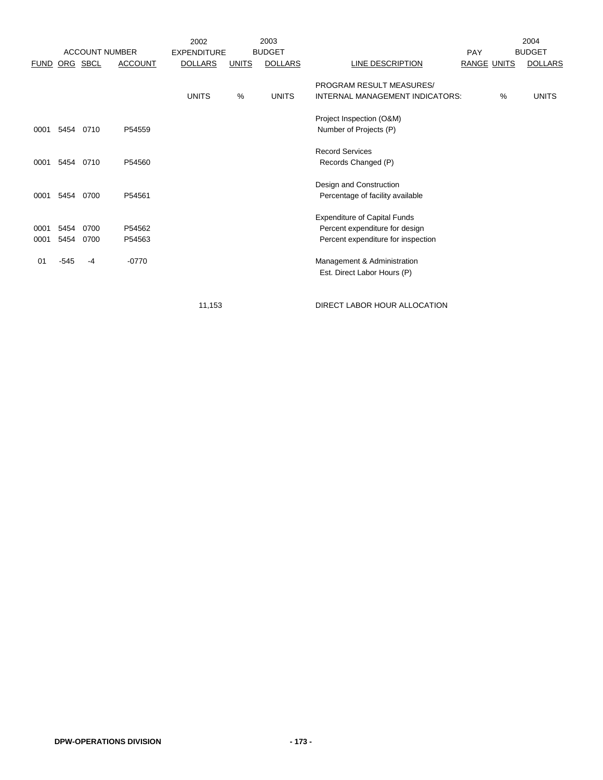|              |              |              |                                         | 2002                                 |              | 2003                            |                                                                                                             |                           |   | 2004                            |
|--------------|--------------|--------------|-----------------------------------------|--------------------------------------|--------------|---------------------------------|-------------------------------------------------------------------------------------------------------------|---------------------------|---|---------------------------------|
| <b>FUND</b>  |              | ORG SBCL     | <b>ACCOUNT NUMBER</b><br><b>ACCOUNT</b> | <b>EXPENDITURE</b><br><b>DOLLARS</b> | <b>UNITS</b> | <b>BUDGET</b><br><b>DOLLARS</b> | LINE DESCRIPTION                                                                                            | PAY<br><b>RANGE UNITS</b> |   | <b>BUDGET</b><br><b>DOLLARS</b> |
|              |              |              |                                         | <b>UNITS</b>                         | %            | <b>UNITS</b>                    | PROGRAM RESULT MEASURES/<br>INTERNAL MANAGEMENT INDICATORS:                                                 |                           | % | <b>UNITS</b>                    |
| 0001         | 5454         | 0710         | P54559                                  |                                      |              |                                 | Project Inspection (O&M)<br>Number of Projects (P)                                                          |                           |   |                                 |
| 0001         | 5454         | 0710         | P54560                                  |                                      |              |                                 | <b>Record Services</b><br>Records Changed (P)                                                               |                           |   |                                 |
| 0001         | 5454         | 0700         | P54561                                  |                                      |              |                                 | Design and Construction<br>Percentage of facility available                                                 |                           |   |                                 |
| 0001<br>0001 | 5454<br>5454 | 0700<br>0700 | P54562<br>P54563                        |                                      |              |                                 | <b>Expenditure of Capital Funds</b><br>Percent expenditure for design<br>Percent expenditure for inspection |                           |   |                                 |
| 01           | -545         | -4           | $-0770$                                 |                                      |              |                                 | Management & Administration<br>Est. Direct Labor Hours (P)                                                  |                           |   |                                 |

11,153 DIRECT LABOR HOUR ALLOCATION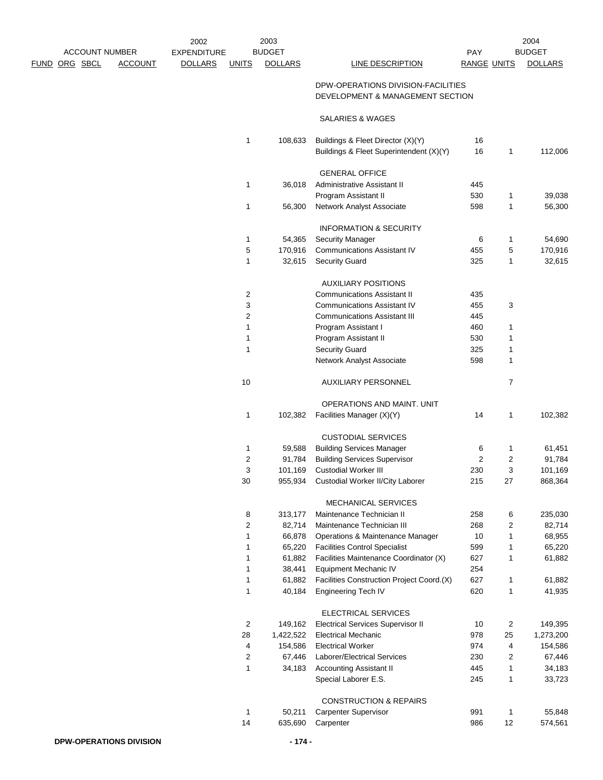|      |          |                       | 2002               |                | 2003           |                                                                  |                         |                | 2004             |
|------|----------|-----------------------|--------------------|----------------|----------------|------------------------------------------------------------------|-------------------------|----------------|------------------|
|      |          | <b>ACCOUNT NUMBER</b> | <b>EXPENDITURE</b> |                | <b>BUDGET</b>  |                                                                  | PAY                     |                | <b>BUDGET</b>    |
| FUND | ORG SBCL | <b>ACCOUNT</b>        | <b>DOLLARS</b>     | <b>UNITS</b>   | <b>DOLLARS</b> | <b>LINE DESCRIPTION</b>                                          | <b>RANGE UNITS</b>      |                | <b>DOLLARS</b>   |
|      |          |                       |                    |                |                | DPW-OPERATIONS DIVISION-FACILITIES                               |                         |                |                  |
|      |          |                       |                    |                |                | DEVELOPMENT & MANAGEMENT SECTION                                 |                         |                |                  |
|      |          |                       |                    |                |                |                                                                  |                         |                |                  |
|      |          |                       |                    |                |                | SALARIES & WAGES                                                 |                         |                |                  |
|      |          |                       |                    | 1              | 108,633        | Buildings & Fleet Director (X)(Y)                                | 16                      |                |                  |
|      |          |                       |                    |                |                | Buildings & Fleet Superintendent (X)(Y)                          | 16                      | 1              | 112,006          |
|      |          |                       |                    |                |                |                                                                  |                         |                |                  |
|      |          |                       |                    |                |                | <b>GENERAL OFFICE</b>                                            |                         |                |                  |
|      |          |                       |                    | 1              | 36,018         | Administrative Assistant II                                      | 445<br>530              |                |                  |
|      |          |                       |                    | 1              | 56,300         | Program Assistant II<br>Network Analyst Associate                | 598                     | 1<br>1         | 39,038<br>56,300 |
|      |          |                       |                    |                |                |                                                                  |                         |                |                  |
|      |          |                       |                    |                |                | <b>INFORMATION &amp; SECURITY</b>                                |                         |                |                  |
|      |          |                       |                    | 1              | 54,365         | <b>Security Manager</b>                                          | 6                       | 1              | 54,690           |
|      |          |                       |                    | 5              | 170,916        | <b>Communications Assistant IV</b>                               | 455                     | 5              | 170,916          |
|      |          |                       |                    | $\mathbf{1}$   | 32,615         | <b>Security Guard</b>                                            | 325                     | 1              | 32,615           |
|      |          |                       |                    |                |                |                                                                  |                         |                |                  |
|      |          |                       |                    | 2              |                | <b>AUXILIARY POSITIONS</b><br><b>Communications Assistant II</b> | 435                     |                |                  |
|      |          |                       |                    | 3              |                | <b>Communications Assistant IV</b>                               | 455                     | 3              |                  |
|      |          |                       |                    | 2              |                | <b>Communications Assistant III</b>                              | 445                     |                |                  |
|      |          |                       |                    | 1              |                | Program Assistant I                                              | 460                     | 1              |                  |
|      |          |                       |                    | 1              |                | Program Assistant II                                             | 530                     | 1              |                  |
|      |          |                       |                    | 1              |                | <b>Security Guard</b>                                            | 325                     | 1              |                  |
|      |          |                       |                    |                |                | Network Analyst Associate                                        | 598                     | 1              |                  |
|      |          |                       |                    |                |                |                                                                  |                         |                |                  |
|      |          |                       |                    | 10             |                | <b>AUXILIARY PERSONNEL</b>                                       |                         | $\overline{7}$ |                  |
|      |          |                       |                    |                |                | OPERATIONS AND MAINT. UNIT                                       |                         |                |                  |
|      |          |                       |                    | 1              | 102,382        | Facilities Manager (X)(Y)                                        | 14                      | $\mathbf{1}$   | 102,382          |
|      |          |                       |                    |                |                |                                                                  |                         |                |                  |
|      |          |                       |                    |                |                | <b>CUSTODIAL SERVICES</b>                                        |                         |                |                  |
|      |          |                       |                    | 1              | 59,588         | <b>Building Services Manager</b>                                 | 6                       | 1              | 61,451           |
|      |          |                       |                    | $\overline{c}$ | 91,784         | <b>Building Services Supervisor</b>                              | $\overline{\mathbf{c}}$ | 2              | 91,784           |
|      |          |                       |                    | 3              | 101,169        | <b>Custodial Worker III</b>                                      | 230                     | 3              | 101,169          |
|      |          |                       |                    | $30\,$         | 955,934        | Custodial Worker II/City Laborer                                 | 215                     | 27             | 868,364          |
|      |          |                       |                    |                |                | <b>MECHANICAL SERVICES</b>                                       |                         |                |                  |
|      |          |                       |                    | 8              | 313,177        | Maintenance Technician II                                        | 258                     | 6              | 235,030          |
|      |          |                       |                    | 2              | 82,714         | Maintenance Technician III                                       | 268                     | 2              | 82,714           |
|      |          |                       |                    | 1              | 66,878         | Operations & Maintenance Manager                                 | 10                      | $\mathbf{1}$   | 68,955           |
|      |          |                       |                    | 1              | 65,220         | <b>Facilities Control Specialist</b>                             | 599                     | 1              | 65,220           |
|      |          |                       |                    | 1              | 61,882         | Facilities Maintenance Coordinator (X)                           | 627                     | 1              | 61,882           |
|      |          |                       |                    | 1              | 38,441         | Equipment Mechanic IV                                            | 254                     |                |                  |
|      |          |                       |                    | 1              | 61,882         | Facilities Construction Project Coord.(X)                        | 627                     | $\mathbf{1}$   | 61,882           |
|      |          |                       |                    | 1              | 40,184         | Engineering Tech IV                                              | 620                     | $\mathbf{1}$   | 41,935           |
|      |          |                       |                    |                |                |                                                                  |                         |                |                  |
|      |          |                       |                    |                |                | ELECTRICAL SERVICES                                              |                         |                |                  |
|      |          |                       |                    | $\overline{c}$ | 149,162        | <b>Electrical Services Supervisor II</b>                         | 10                      | 2              | 149,395          |
|      |          |                       |                    | 28             | 1,422,522      | <b>Electrical Mechanic</b>                                       | 978                     | 25             | 1,273,200        |
|      |          |                       |                    | 4              | 154,586        | <b>Electrical Worker</b>                                         | 974                     | 4              | 154,586          |
|      |          |                       |                    | $\overline{2}$ | 67,446         | Laborer/Electrical Services                                      | 230                     | 2              | 67,446           |
|      |          |                       |                    | $\mathbf{1}$   | 34,183         | <b>Accounting Assistant II</b>                                   | 445                     | $\mathbf{1}$   | 34,183           |
|      |          |                       |                    |                |                | Special Laborer E.S.                                             | 245                     | $\mathbf{1}$   | 33,723           |
|      |          |                       |                    |                |                | <b>CONSTRUCTION &amp; REPAIRS</b>                                |                         |                |                  |
|      |          |                       |                    | $\mathbf{1}$   | 50,211         | <b>Carpenter Supervisor</b>                                      | 991                     | 1              | 55,848           |
|      |          |                       |                    | 14             | 635,690        | Carpenter                                                        | 986                     | 12             | 574,561          |
|      |          |                       |                    |                |                |                                                                  |                         |                |                  |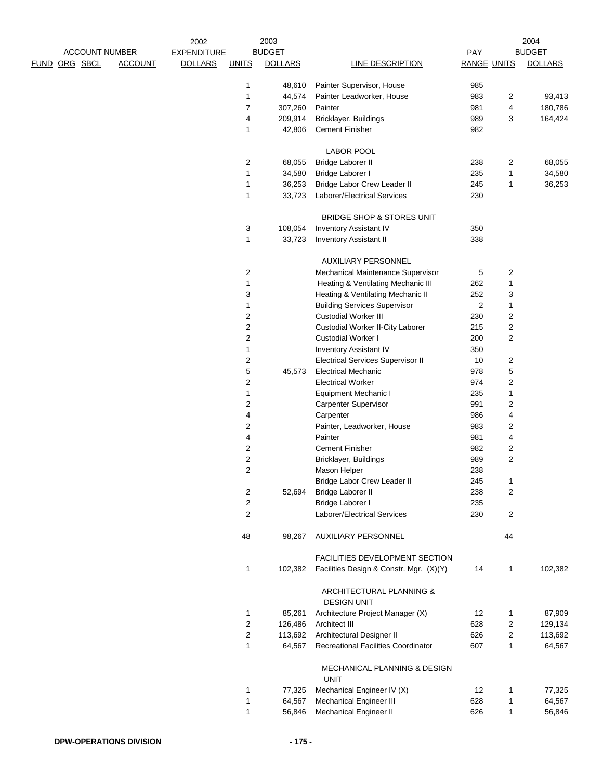|                      |                       |                | 2002               |                         | 2003           |                                                                        |                         |                  | 2004           |
|----------------------|-----------------------|----------------|--------------------|-------------------------|----------------|------------------------------------------------------------------------|-------------------------|------------------|----------------|
|                      | <b>ACCOUNT NUMBER</b> |                | <b>EXPENDITURE</b> |                         | <b>BUDGET</b>  |                                                                        | PAY                     |                  | <b>BUDGET</b>  |
| <u>FUND ORG SBCL</u> |                       | <b>ACCOUNT</b> | <b>DOLLARS</b>     | <b>UNITS</b>            | <b>DOLLARS</b> | <b>LINE DESCRIPTION</b>                                                | <b>RANGE UNITS</b>      |                  | <b>DOLLARS</b> |
|                      |                       |                |                    | 1                       | 48,610         | Painter Supervisor, House                                              | 985                     |                  |                |
|                      |                       |                |                    | 1                       | 44,574         | Painter Leadworker, House                                              | 983                     | 2                | 93,413         |
|                      |                       |                |                    | 7                       | 307,260        | Painter                                                                | 981                     | 4                | 180,786        |
|                      |                       |                |                    | 4                       | 209,914        | Bricklayer, Buildings                                                  | 989                     | 3                | 164,424        |
|                      |                       |                |                    | 1                       | 42,806         | <b>Cement Finisher</b>                                                 | 982                     |                  |                |
|                      |                       |                |                    |                         |                |                                                                        |                         |                  |                |
|                      |                       |                |                    |                         |                | <b>LABOR POOL</b>                                                      |                         |                  |                |
|                      |                       |                |                    | $\overline{2}$          | 68,055         | Bridge Laborer II                                                      | 238                     | 2                | 68,055         |
|                      |                       |                |                    | 1                       | 34,580         | Bridge Laborer I                                                       | 235                     | 1                | 34,580         |
|                      |                       |                |                    | 1                       | 36,253         | Bridge Labor Crew Leader II                                            | 245                     | 1                | 36,253         |
|                      |                       |                |                    | 1                       | 33,723         | Laborer/Electrical Services                                            | 230                     |                  |                |
|                      |                       |                |                    |                         |                |                                                                        |                         |                  |                |
|                      |                       |                |                    |                         |                | BRIDGE SHOP & STORES UNIT                                              |                         |                  |                |
|                      |                       |                |                    | 3                       | 108,054        | <b>Inventory Assistant IV</b>                                          | 350                     |                  |                |
|                      |                       |                |                    | 1                       | 33,723         | <b>Inventory Assistant II</b>                                          | 338                     |                  |                |
|                      |                       |                |                    |                         |                |                                                                        |                         |                  |                |
|                      |                       |                |                    |                         |                | AUXILIARY PERSONNEL                                                    |                         |                  |                |
|                      |                       |                |                    | 2                       |                | Mechanical Maintenance Supervisor                                      | 5                       | 2                |                |
|                      |                       |                |                    | 1                       |                | Heating & Ventilating Mechanic III                                     | 262                     | 1                |                |
|                      |                       |                |                    | 3                       |                | Heating & Ventilating Mechanic II                                      | 252                     | 3                |                |
|                      |                       |                |                    | 1                       |                | <b>Building Services Supervisor</b>                                    | $\overline{\mathbf{c}}$ | 1                |                |
|                      |                       |                |                    | 2                       |                | <b>Custodial Worker III</b>                                            | 230                     | 2                |                |
|                      |                       |                |                    | $\overline{c}$          |                | Custodial Worker II-City Laborer                                       | 215                     | 2                |                |
|                      |                       |                |                    | 2<br>1                  |                | <b>Custodial Worker I</b>                                              | 200<br>350              | 2                |                |
|                      |                       |                |                    | $\overline{c}$          |                | <b>Inventory Assistant IV</b>                                          | 10                      |                  |                |
|                      |                       |                |                    | 5                       | 45,573         | <b>Electrical Services Supervisor II</b><br><b>Electrical Mechanic</b> | 978                     | 2<br>$\,$ 5 $\,$ |                |
|                      |                       |                |                    | 2                       |                | <b>Electrical Worker</b>                                               | 974                     | $\overline{c}$   |                |
|                      |                       |                |                    | 1                       |                |                                                                        | 235                     |                  |                |
|                      |                       |                |                    |                         |                | Equipment Mechanic I                                                   | 991                     | 1                |                |
|                      |                       |                |                    | 2<br>4                  |                | <b>Carpenter Supervisor</b><br>Carpenter                               | 986                     | 2                |                |
|                      |                       |                |                    |                         |                |                                                                        | 983                     | 4                |                |
|                      |                       |                |                    | 2<br>4                  |                | Painter, Leadworker, House<br>Painter                                  | 981                     | 2<br>4           |                |
|                      |                       |                |                    | $\overline{\mathbf{c}}$ |                | <b>Cement Finisher</b>                                                 | 982                     | 2                |                |
|                      |                       |                |                    | 2                       |                | Bricklayer, Buildings                                                  | 989                     | $\overline{c}$   |                |
|                      |                       |                |                    | $\overline{c}$          |                | Mason Helper                                                           | 238                     |                  |                |
|                      |                       |                |                    |                         |                | Bridge Labor Crew Leader II                                            | 245                     | $\mathbf{1}$     |                |
|                      |                       |                |                    | 2                       | 52,694         | <b>Bridge Laborer II</b>                                               | 238                     | 2                |                |
|                      |                       |                |                    | 2                       |                | Bridge Laborer I                                                       | 235                     |                  |                |
|                      |                       |                |                    | 2                       |                | Laborer/Electrical Services                                            | 230                     | 2                |                |
|                      |                       |                |                    |                         |                |                                                                        |                         |                  |                |
|                      |                       |                |                    | 48                      | 98,267         | AUXILIARY PERSONNEL                                                    |                         | 44               |                |
|                      |                       |                |                    |                         |                |                                                                        |                         |                  |                |
|                      |                       |                |                    |                         |                | FACILITIES DEVELOPMENT SECTION                                         |                         |                  |                |
|                      |                       |                |                    | 1                       | 102,382        | Facilities Design & Constr. Mgr. (X)(Y)                                | 14                      | 1                | 102,382        |
|                      |                       |                |                    |                         |                |                                                                        |                         |                  |                |
|                      |                       |                |                    |                         |                | ARCHITECTURAL PLANNING &                                               |                         |                  |                |
|                      |                       |                |                    |                         |                | <b>DESIGN UNIT</b>                                                     |                         |                  |                |
|                      |                       |                |                    | 1                       | 85,261         | Architecture Project Manager (X)                                       | 12                      | 1                | 87,909         |
|                      |                       |                |                    | $\overline{\mathbf{c}}$ | 126,486        | Architect III                                                          | 628                     | 2                | 129,134        |
|                      |                       |                |                    | 2                       | 113,692        | Architectural Designer II                                              | 626                     | 2                | 113,692        |
|                      |                       |                |                    | $\mathbf{1}$            | 64,567         | <b>Recreational Facilities Coordinator</b>                             | 607                     | 1                | 64,567         |
|                      |                       |                |                    |                         |                | MECHANICAL PLANNING & DESIGN                                           |                         |                  |                |
|                      |                       |                |                    |                         |                | <b>UNIT</b>                                                            |                         |                  |                |
|                      |                       |                |                    | 1                       | 77,325         | Mechanical Engineer IV (X)                                             | 12                      | 1                | 77,325         |
|                      |                       |                |                    | 1                       | 64,567         | <b>Mechanical Engineer III</b>                                         | 628                     | $\mathbf{1}$     | 64,567         |
|                      |                       |                |                    | $\mathbf{1}$            | 56,846         | Mechanical Engineer II                                                 | 626                     | $\mathbf{1}$     | 56,846         |
|                      |                       |                |                    |                         |                |                                                                        |                         |                  |                |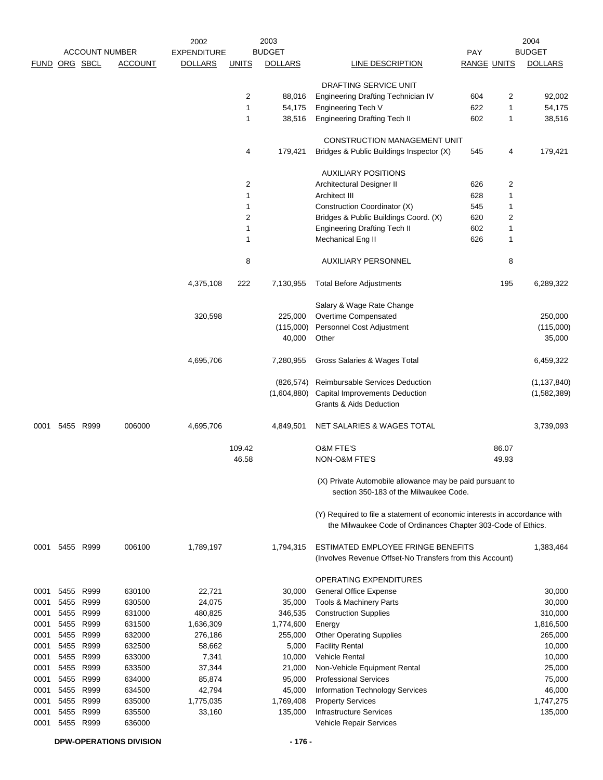|               |      | <b>ACCOUNT NUMBER</b> |                | 2002                                 |                              | 2003<br><b>BUDGET</b> |                                                                                                                                           |                           |                         | 2004<br><b>BUDGET</b> |
|---------------|------|-----------------------|----------------|--------------------------------------|------------------------------|-----------------------|-------------------------------------------------------------------------------------------------------------------------------------------|---------------------------|-------------------------|-----------------------|
| FUND ORG SBCL |      |                       | <b>ACCOUNT</b> | <b>EXPENDITURE</b><br><b>DOLLARS</b> | <b>UNITS</b>                 | <b>DOLLARS</b>        | LINE DESCRIPTION                                                                                                                          | PAY<br><b>RANGE UNITS</b> |                         | <b>DOLLARS</b>        |
|               |      |                       |                |                                      |                              |                       |                                                                                                                                           |                           |                         |                       |
|               |      |                       |                |                                      |                              |                       | DRAFTING SERVICE UNIT                                                                                                                     |                           |                         |                       |
|               |      |                       |                |                                      | $\overline{2}$               | 88,016                | Engineering Drafting Technician IV                                                                                                        | 604                       | $\overline{c}$          | 92,002                |
|               |      |                       |                |                                      | $\mathbf{1}$                 | 54,175                | Engineering Tech V                                                                                                                        | 622                       | 1                       | 54,175                |
|               |      |                       |                |                                      | $\mathbf{1}$                 | 38,516                | <b>Engineering Drafting Tech II</b>                                                                                                       | 602                       | 1                       | 38,516                |
|               |      |                       |                |                                      |                              |                       | CONSTRUCTION MANAGEMENT UNIT                                                                                                              |                           |                         |                       |
|               |      |                       |                |                                      | 4                            | 179,421               | Bridges & Public Buildings Inspector (X)                                                                                                  | 545                       | 4                       | 179,421               |
|               |      |                       |                |                                      |                              |                       |                                                                                                                                           |                           |                         |                       |
|               |      |                       |                |                                      |                              |                       | <b>AUXILIARY POSITIONS</b>                                                                                                                |                           |                         |                       |
|               |      |                       |                |                                      | $\overline{2}$               |                       | Architectural Designer II                                                                                                                 | 626                       | 2                       |                       |
|               |      |                       |                |                                      | $\mathbf{1}$                 |                       | Architect III                                                                                                                             | 628                       | 1                       |                       |
|               |      |                       |                |                                      | $\mathbf{1}$                 |                       | Construction Coordinator (X)                                                                                                              | 545                       | 1                       |                       |
|               |      |                       |                |                                      | $\overline{2}$               |                       | Bridges & Public Buildings Coord. (X)                                                                                                     | 620                       | $\overline{\mathbf{c}}$ |                       |
|               |      |                       |                |                                      | $\mathbf{1}$<br>$\mathbf{1}$ |                       | <b>Engineering Drafting Tech II</b>                                                                                                       | 602<br>626                | 1                       |                       |
|               |      |                       |                |                                      |                              |                       | Mechanical Eng II                                                                                                                         |                           | 1                       |                       |
|               |      |                       |                |                                      | 8                            |                       | <b>AUXILIARY PERSONNEL</b>                                                                                                                |                           | 8                       |                       |
|               |      |                       |                | 4,375,108                            | 222                          | 7,130,955             | <b>Total Before Adjustments</b>                                                                                                           |                           | 195                     | 6,289,322             |
|               |      |                       |                |                                      |                              |                       | Salary & Wage Rate Change                                                                                                                 |                           |                         |                       |
|               |      |                       |                | 320,598                              |                              | 225,000               | Overtime Compensated                                                                                                                      |                           |                         | 250,000               |
|               |      |                       |                |                                      |                              | (115,000)             | Personnel Cost Adjustment                                                                                                                 |                           |                         | (115,000)             |
|               |      |                       |                |                                      |                              | 40,000                | Other                                                                                                                                     |                           |                         | 35,000                |
|               |      |                       |                | 4,695,706                            |                              | 7,280,955             | Gross Salaries & Wages Total                                                                                                              |                           |                         | 6,459,322             |
|               |      |                       |                |                                      |                              | (826,574)             | Reimbursable Services Deduction                                                                                                           |                           |                         | (1, 137, 840)         |
|               |      |                       |                |                                      |                              | (1,604,880)           | <b>Capital Improvements Deduction</b>                                                                                                     |                           |                         | (1,582,389)           |
|               |      |                       |                |                                      |                              |                       | <b>Grants &amp; Aids Deduction</b>                                                                                                        |                           |                         |                       |
| 0001          |      | 5455 R999             | 006000         | 4,695,706                            |                              | 4,849,501             | NET SALARIES & WAGES TOTAL                                                                                                                |                           |                         | 3,739,093             |
|               |      |                       |                |                                      | 109.42                       |                       | O&M FTE'S                                                                                                                                 |                           | 86.07                   |                       |
|               |      |                       |                |                                      | 46.58                        |                       | NON-O&M FTE'S                                                                                                                             |                           | 49.93                   |                       |
|               |      |                       |                |                                      |                              |                       | (X) Private Automobile allowance may be paid pursuant to<br>section 350-183 of the Milwaukee Code.                                        |                           |                         |                       |
|               |      |                       |                |                                      |                              |                       | (Y) Required to file a statement of economic interests in accordance with<br>the Milwaukee Code of Ordinances Chapter 303-Code of Ethics. |                           |                         |                       |
| 0001          |      | 5455 R999             | 006100         | 1,789,197                            |                              | 1,794,315             | ESTIMATED EMPLOYEE FRINGE BENEFITS                                                                                                        |                           |                         | 1,383,464             |
|               |      |                       |                |                                      |                              |                       | (Involves Revenue Offset-No Transfers from this Account)                                                                                  |                           |                         |                       |
|               |      |                       |                |                                      |                              |                       | <b>OPERATING EXPENDITURES</b>                                                                                                             |                           |                         |                       |
| 0001          | 5455 | R999                  | 630100         | 22,721                               |                              | 30,000                | <b>General Office Expense</b>                                                                                                             |                           |                         | 30,000                |
| 0001          | 5455 | R999                  | 630500         | 24,075                               |                              | 35,000                | Tools & Machinery Parts                                                                                                                   |                           |                         | 30,000                |
| 0001          | 5455 | R999                  | 631000         | 480,825                              |                              | 346,535               | <b>Construction Supplies</b>                                                                                                              |                           |                         | 310,000               |
| 0001          | 5455 | R999                  | 631500         | 1,636,309                            |                              | 1,774,600             | Energy                                                                                                                                    |                           |                         | 1,816,500             |
| 0001          | 5455 | R999                  | 632000         | 276,186                              |                              | 255,000               | <b>Other Operating Supplies</b>                                                                                                           |                           |                         | 265,000               |
| 0001          |      | 5455 R999             | 632500         | 58,662                               |                              | 5,000                 | <b>Facility Rental</b>                                                                                                                    |                           |                         | 10,000                |
| 0001          | 5455 | R999                  | 633000         | 7,341                                |                              | 10,000                | <b>Vehicle Rental</b>                                                                                                                     |                           |                         | 10,000                |
| 0001          | 5455 | R999                  | 633500         | 37,344                               |                              | 21,000                | Non-Vehicle Equipment Rental                                                                                                              |                           |                         | 25,000                |
| 0001          | 5455 | R999                  | 634000         | 85,874                               |                              | 95,000                | <b>Professional Services</b>                                                                                                              |                           |                         | 75,000                |
| 0001          | 5455 | R999                  | 634500         | 42,794                               |                              | 45,000                | Information Technology Services                                                                                                           |                           |                         | 46,000                |
| 0001          | 5455 | R999                  | 635000         | 1,775,035                            |                              | 1,769,408             | <b>Property Services</b>                                                                                                                  |                           |                         | 1,747,275             |
| 0001          |      | 5455 R999             | 635500         | 33,160                               |                              | 135,000               | <b>Infrastructure Services</b>                                                                                                            |                           |                         | 135,000               |
| 0001          |      | 5455 R999             | 636000         |                                      |                              |                       | Vehicle Repair Services                                                                                                                   |                           |                         |                       |

**DPW-OPERATIONS DIVISION - 176 -**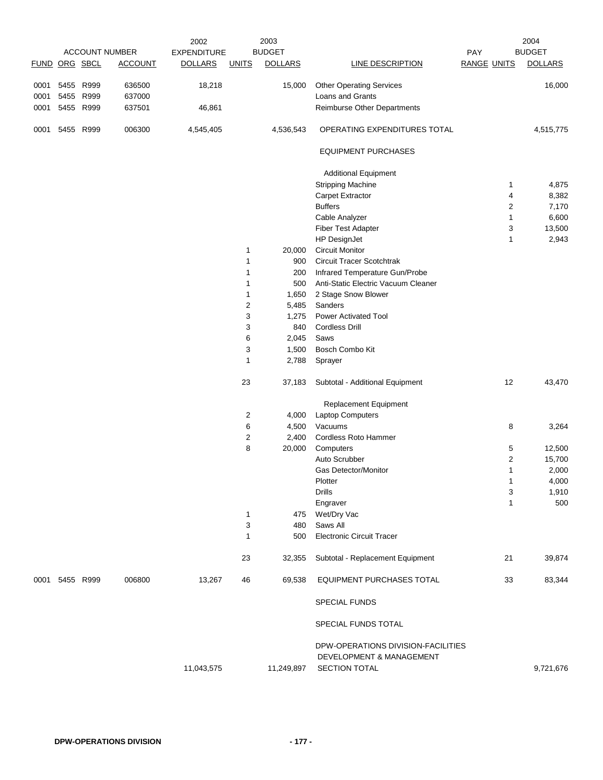|               |                   |           |                       | 2002               |                         | 2003           |                                                     |                    | 2004           |
|---------------|-------------------|-----------|-----------------------|--------------------|-------------------------|----------------|-----------------------------------------------------|--------------------|----------------|
|               |                   |           | <b>ACCOUNT NUMBER</b> | <b>EXPENDITURE</b> |                         | <b>BUDGET</b>  |                                                     | <b>PAY</b>         | <b>BUDGET</b>  |
| FUND ORG SBCL |                   |           | <b>ACCOUNT</b>        | <b>DOLLARS</b>     | <b>UNITS</b>            | <b>DOLLARS</b> | LINE DESCRIPTION                                    | <b>RANGE UNITS</b> | <b>DOLLARS</b> |
| 0001<br>0001  | 5455 R999<br>5455 | R999      | 636500<br>637000      | 18,218             |                         | 15,000         | <b>Other Operating Services</b><br>Loans and Grants |                    | 16,000         |
| 0001          |                   | 5455 R999 | 637501                | 46,861             |                         |                | Reimburse Other Departments                         |                    |                |
| 0001          |                   | 5455 R999 | 006300                | 4,545,405          |                         | 4,536,543      | OPERATING EXPENDITURES TOTAL                        |                    | 4,515,775      |
|               |                   |           |                       |                    |                         |                | <b>EQUIPMENT PURCHASES</b>                          |                    |                |
|               |                   |           |                       |                    |                         |                | <b>Additional Equipment</b>                         |                    |                |
|               |                   |           |                       |                    |                         |                | <b>Stripping Machine</b>                            | 1                  | 4,875          |
|               |                   |           |                       |                    |                         |                | <b>Carpet Extractor</b>                             | 4                  | 8,382          |
|               |                   |           |                       |                    |                         |                | <b>Buffers</b>                                      | 2                  | 7,170          |
|               |                   |           |                       |                    |                         |                | Cable Analyzer                                      | 1                  | 6,600          |
|               |                   |           |                       |                    |                         |                | <b>Fiber Test Adapter</b>                           | 3                  | 13,500         |
|               |                   |           |                       |                    |                         |                | HP DesignJet                                        | 1                  | 2,943          |
|               |                   |           |                       |                    | 1                       | 20,000         | <b>Circuit Monitor</b>                              |                    |                |
|               |                   |           |                       |                    | 1                       | 900            | <b>Circuit Tracer Scotchtrak</b>                    |                    |                |
|               |                   |           |                       |                    | $\mathbf{1}$            | 200            | Infrared Temperature Gun/Probe                      |                    |                |
|               |                   |           |                       |                    | 1                       | 500            | Anti-Static Electric Vacuum Cleaner                 |                    |                |
|               |                   |           |                       |                    | 1                       | 1,650          | 2 Stage Snow Blower                                 |                    |                |
|               |                   |           |                       |                    | $\overline{2}$          | 5,485          | Sanders                                             |                    |                |
|               |                   |           |                       |                    | 3                       | 1,275          | <b>Power Activated Tool</b>                         |                    |                |
|               |                   |           |                       |                    | 3                       | 840            | <b>Cordless Drill</b>                               |                    |                |
|               |                   |           |                       |                    | 6                       | 2,045          | Saws                                                |                    |                |
|               |                   |           |                       |                    | 3                       | 1,500          | Bosch Combo Kit                                     |                    |                |
|               |                   |           |                       |                    | $\mathbf{1}$            | 2,788          | Sprayer                                             |                    |                |
|               |                   |           |                       |                    | 23                      | 37,183         | Subtotal - Additional Equipment                     | 12                 | 43,470         |
|               |                   |           |                       |                    |                         |                | Replacement Equipment                               |                    |                |
|               |                   |           |                       |                    | $\overline{2}$          | 4,000          | Laptop Computers                                    |                    |                |
|               |                   |           |                       |                    | 6                       | 4,500          | Vacuums                                             | 8                  | 3,264          |
|               |                   |           |                       |                    | $\overline{\mathbf{c}}$ | 2,400          | Cordless Roto Hammer                                |                    |                |
|               |                   |           |                       |                    | 8                       | 20,000         | Computers                                           | 5                  | 12,500         |
|               |                   |           |                       |                    |                         |                | Auto Scrubber                                       | 2                  | 15,700         |
|               |                   |           |                       |                    |                         |                | Gas Detector/Monitor                                | 1                  | 2,000          |
|               |                   |           |                       |                    |                         |                | Plotter                                             | 1                  | 4,000          |
|               |                   |           |                       |                    |                         |                | <b>Drills</b>                                       | 3                  | 1,910          |
|               |                   |           |                       |                    |                         |                | Engraver                                            | $\mathbf{1}$       | 500            |
|               |                   |           |                       |                    | $\mathbf{1}$            | 475            | Wet/Dry Vac                                         |                    |                |
|               |                   |           |                       |                    | 3                       | 480            | Saws All                                            |                    |                |
|               |                   |           |                       |                    | $\mathbf{1}$            | 500            | <b>Electronic Circuit Tracer</b>                    |                    |                |
|               |                   |           |                       |                    | 23                      | 32,355         | Subtotal - Replacement Equipment                    | 21                 | 39,874         |
| 0001          |                   | 5455 R999 | 006800                | 13,267             | 46                      | 69,538         | <b>EQUIPMENT PURCHASES TOTAL</b>                    | 33                 | 83,344         |
|               |                   |           |                       |                    |                         |                | <b>SPECIAL FUNDS</b>                                |                    |                |
|               |                   |           |                       |                    |                         |                | SPECIAL FUNDS TOTAL                                 |                    |                |
|               |                   |           |                       |                    |                         |                | DPW-OPERATIONS DIVISION-FACILITIES                  |                    |                |
|               |                   |           |                       |                    |                         |                | DEVELOPMENT & MANAGEMENT                            |                    |                |
|               |                   |           |                       | 11,043,575         |                         | 11,249,897     | SECTION TOTAL                                       |                    | 9,721,676      |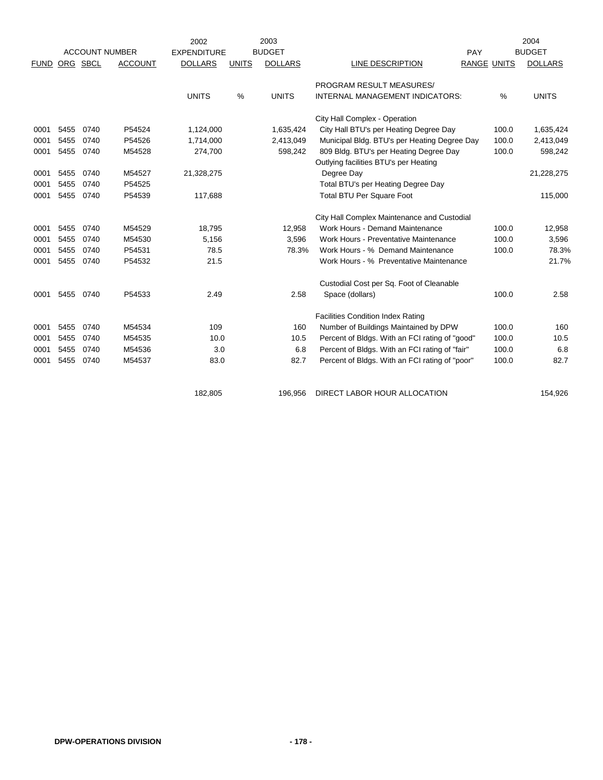|             |      |          |                       | 2002               |               | 2003           |                                                |             |       | 2004           |
|-------------|------|----------|-----------------------|--------------------|---------------|----------------|------------------------------------------------|-------------|-------|----------------|
|             |      |          | <b>ACCOUNT NUMBER</b> | <b>EXPENDITURE</b> |               | <b>BUDGET</b>  |                                                | PAY         |       | <b>BUDGET</b>  |
| <b>FUND</b> |      | ORG SBCL | <b>ACCOUNT</b>        | <b>DOLLARS</b>     | <b>UNITS</b>  | <b>DOLLARS</b> | <b>LINE DESCRIPTION</b>                        | RANGE UNITS |       | <b>DOLLARS</b> |
|             |      |          |                       |                    |               |                | PROGRAM RESULT MEASURES/                       |             |       |                |
|             |      |          |                       | <b>UNITS</b>       | $\frac{0}{0}$ | <b>UNITS</b>   | INTERNAL MANAGEMENT INDICATORS:                |             | %     | <b>UNITS</b>   |
|             |      |          |                       |                    |               |                | City Hall Complex - Operation                  |             |       |                |
| 0001        | 5455 | 0740     | P54524                | 1,124,000          |               | 1,635,424      | City Hall BTU's per Heating Degree Day         |             | 100.0 | 1,635,424      |
| 0001        | 5455 | 0740     | P54526                | 1,714,000          |               | 2,413,049      | Municipal Bldg. BTU's per Heating Degree Day   |             | 100.0 | 2,413,049      |
| 0001        | 5455 | 0740     | M54528                | 274,700            |               | 598,242        | 809 Bldg. BTU's per Heating Degree Day         |             | 100.0 | 598,242        |
|             |      |          |                       |                    |               |                | Outlying facilities BTU's per Heating          |             |       |                |
| 0001        | 5455 | 0740     | M54527                | 21,328,275         |               |                | Degree Day                                     |             |       | 21,228,275     |
| 0001        | 5455 | 0740     | P54525                |                    |               |                | Total BTU's per Heating Degree Day             |             |       |                |
| 0001        | 5455 | 0740     | P54539                | 117,688            |               |                | <b>Total BTU Per Square Foot</b>               |             |       | 115,000        |
|             |      |          |                       |                    |               |                | City Hall Complex Maintenance and Custodial    |             |       |                |
| 0001        | 5455 | 0740     | M54529                | 18.795             |               | 12,958         | Work Hours - Demand Maintenance                |             | 100.0 | 12,958         |
| 0001        | 5455 | 0740     | M54530                | 5,156              |               | 3,596          | Work Hours - Preventative Maintenance          |             | 100.0 | 3,596          |
| 0001        | 5455 | 0740     | P54531                | 78.5               |               | 78.3%          | Work Hours - % Demand Maintenance              |             | 100.0 | 78.3%          |
| 0001        | 5455 | 0740     | P54532                | 21.5               |               |                | Work Hours - % Preventative Maintenance        |             |       | 21.7%          |
|             |      |          |                       |                    |               |                | Custodial Cost per Sq. Foot of Cleanable       |             |       |                |
| 0001        | 5455 | 0740     | P54533                | 2.49               |               | 2.58           | Space (dollars)                                |             | 100.0 | 2.58           |
|             |      |          |                       |                    |               |                | <b>Facilities Condition Index Rating</b>       |             |       |                |
| 0001        | 5455 | 0740     | M54534                | 109                |               | 160            | Number of Buildings Maintained by DPW          |             | 100.0 | 160            |
| 0001        | 5455 | 0740     | M54535                | 10.0               |               | 10.5           | Percent of Bldgs. With an FCI rating of "good" |             | 100.0 | 10.5           |
| 0001        | 5455 | 0740     | M54536                | 3.0                |               | 6.8            | Percent of Bldgs. With an FCI rating of "fair" |             | 100.0 | 6.8            |
| 0001        | 5455 | 0740     | M54537                | 83.0               |               | 82.7           | Percent of Bldgs. With an FCI rating of "poor" |             | 100.0 | 82.7           |
|             |      |          |                       |                    |               |                |                                                |             |       |                |
|             |      |          |                       | 182,805            |               | 196,956        | DIRECT LABOR HOUR ALLOCATION                   |             |       | 154,926        |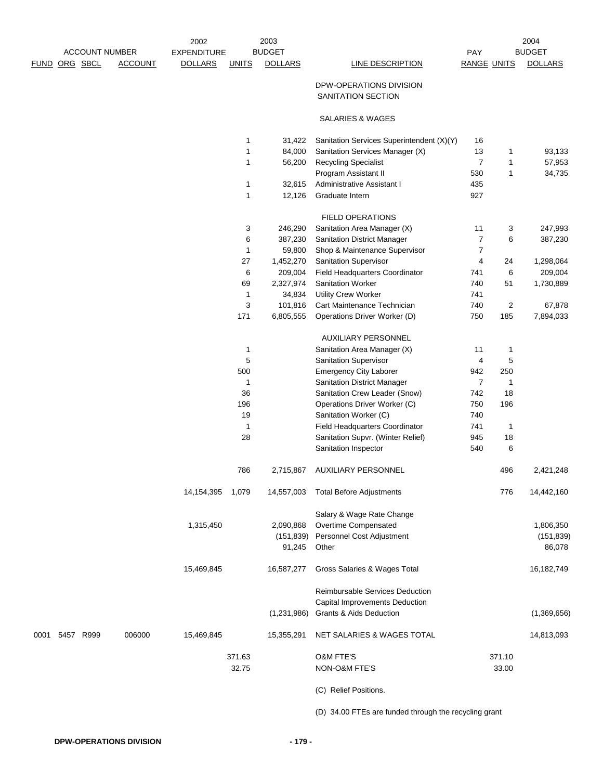| <b>ACCOUNT NUMBER</b> |           | 2003<br>2002<br><b>BUDGET</b><br><b>EXPENDITURE</b> |                |              | 2004<br><b>BUDGET</b><br>PAY |                                               |                         |              |                |
|-----------------------|-----------|-----------------------------------------------------|----------------|--------------|------------------------------|-----------------------------------------------|-------------------------|--------------|----------------|
| FUND ORG SBCL         |           | <b>ACCOUNT</b>                                      | <b>DOLLARS</b> | <b>UNITS</b> | <b>DOLLARS</b>               | <b>LINE DESCRIPTION</b>                       | <b>RANGE UNITS</b>      |              | <b>DOLLARS</b> |
|                       |           |                                                     |                |              |                              | DPW-OPERATIONS DIVISION<br>SANITATION SECTION |                         |              |                |
|                       |           |                                                     |                |              |                              | SALARIES & WAGES                              |                         |              |                |
|                       |           |                                                     |                | 1            | 31,422                       | Sanitation Services Superintendent (X)(Y)     | 16                      |              |                |
|                       |           |                                                     |                | $\mathbf{1}$ | 84,000                       | Sanitation Services Manager (X)               | 13                      | 1            | 93,133         |
|                       |           |                                                     |                | 1            | 56,200                       | <b>Recycling Specialist</b>                   | $\overline{7}$          | $\mathbf{1}$ | 57,953         |
|                       |           |                                                     |                |              |                              | Program Assistant II                          | 530                     | 1            | 34,735         |
|                       |           |                                                     |                | $\mathbf{1}$ | 32,615                       | <b>Administrative Assistant I</b>             | 435                     |              |                |
|                       |           |                                                     |                | 1            | 12,126                       | Graduate Intern                               | 927                     |              |                |
|                       |           |                                                     |                |              |                              | FIELD OPERATIONS                              |                         |              |                |
|                       |           |                                                     |                | 3            | 246,290                      | Sanitation Area Manager (X)                   | 11                      | 3            | 247,993        |
|                       |           |                                                     |                | 6            | 387,230                      | Sanitation District Manager                   | $\overline{7}$          | 6            | 387,230        |
|                       |           |                                                     |                | 1            | 59,800                       | Shop & Maintenance Supervisor                 | $\overline{7}$          |              |                |
|                       |           |                                                     |                | 27           | 1,452,270                    | <b>Sanitation Supervisor</b>                  | 4                       | 24           | 1,298,064      |
|                       |           |                                                     |                | 6            | 209,004                      | Field Headquarters Coordinator                | 741                     | 6            | 209,004        |
|                       |           |                                                     |                | 69           | 2,327,974                    | <b>Sanitation Worker</b>                      | 740                     | 51           | 1,730,889      |
|                       |           |                                                     |                | $\mathbf{1}$ | 34,834                       | <b>Utility Crew Worker</b>                    | 741                     |              |                |
|                       |           |                                                     |                | 3            | 101,816                      | Cart Maintenance Technician                   | 740                     | 2            | 67,878         |
|                       |           |                                                     |                | 171          | 6,805,555                    | Operations Driver Worker (D)                  | 750                     | 185          | 7,894,033      |
|                       |           |                                                     |                |              |                              | <b>AUXILIARY PERSONNEL</b>                    |                         |              |                |
|                       |           |                                                     |                | 1            |                              | Sanitation Area Manager (X)                   | 11                      | 1            |                |
|                       |           |                                                     |                | 5            |                              | <b>Sanitation Supervisor</b>                  | $\overline{\mathbf{4}}$ | 5            |                |
|                       |           |                                                     |                | 500          |                              | <b>Emergency City Laborer</b>                 | 942                     | 250          |                |
|                       |           |                                                     |                | 1            |                              | Sanitation District Manager                   | $\overline{7}$          | 1            |                |
|                       |           |                                                     |                | 36           |                              | Sanitation Crew Leader (Snow)                 | 742                     | 18           |                |
|                       |           |                                                     |                | 196          |                              | Operations Driver Worker (C)                  | 750                     | 196          |                |
|                       |           |                                                     |                | 19           |                              | Sanitation Worker (C)                         | 740                     |              |                |
|                       |           |                                                     |                | 1            |                              | Field Headquarters Coordinator                | 741                     | $\mathbf{1}$ |                |
|                       |           |                                                     |                | 28           |                              | Sanitation Supvr. (Winter Relief)             | 945                     | 18           |                |
|                       |           |                                                     |                |              |                              | Sanitation Inspector                          | 540                     | 6            |                |
|                       |           |                                                     |                | 786          | 2,715,867                    | <b>AUXILIARY PERSONNEL</b>                    |                         | 496          | 2,421,248      |
|                       |           |                                                     | 14,154,395     | 1,079        | 14,557,003                   | <b>Total Before Adjustments</b>               |                         | 776          | 14,442,160     |
|                       |           |                                                     |                |              |                              | Salary & Wage Rate Change                     |                         |              |                |
|                       |           |                                                     | 1,315,450      |              | 2,090,868                    | Overtime Compensated                          |                         |              | 1,806,350      |
|                       |           |                                                     |                |              | (151, 839)                   | Personnel Cost Adjustment                     |                         |              | (151, 839)     |
|                       |           |                                                     |                |              | 91,245                       | Other                                         |                         |              | 86,078         |
|                       |           |                                                     | 15,469,845     |              | 16,587,277                   | Gross Salaries & Wages Total                  |                         |              | 16,182,749     |
|                       |           |                                                     |                |              |                              | Reimbursable Services Deduction               |                         |              |                |
|                       |           |                                                     |                |              |                              | Capital Improvements Deduction                |                         |              |                |
|                       |           |                                                     |                |              | (1,231,986)                  | Grants & Aids Deduction                       |                         |              | (1,369,656)    |
| 0001                  | 5457 R999 | 006000                                              | 15,469,845     |              | 15,355,291                   | NET SALARIES & WAGES TOTAL                    |                         |              | 14,813,093     |
|                       |           |                                                     |                |              |                              |                                               |                         |              |                |
|                       |           |                                                     |                | 371.63       |                              | O&M FTE'S                                     |                         | 371.10       |                |
|                       |           |                                                     |                | 32.75        |                              | NON-O&M FTE'S                                 |                         | 33.00        |                |
|                       |           |                                                     |                |              |                              | (C) Relief Positions.                         |                         |              |                |
|                       |           |                                                     |                |              |                              |                                               |                         |              |                |

(D) 34.00 FTEs are funded through the recycling grant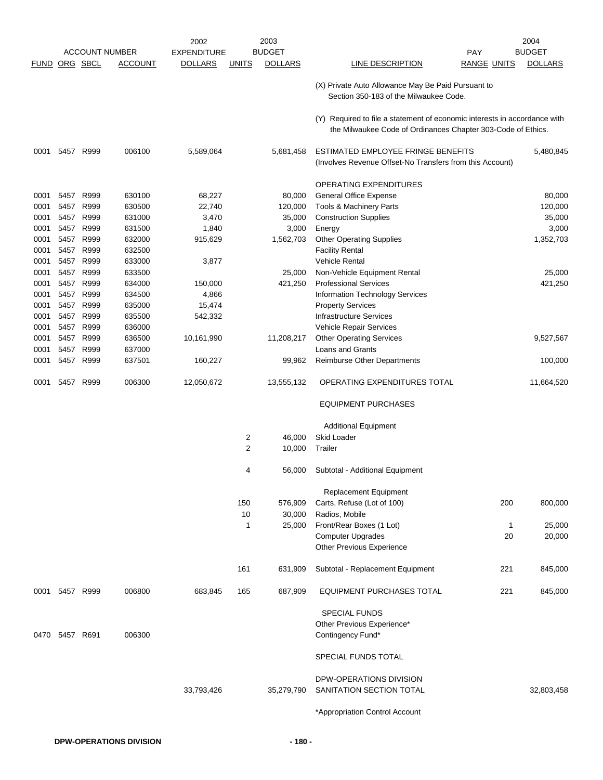|      |                |                      |                       | 2002               |                | 2003           |                                                                                                                                           |                    | 2004           |
|------|----------------|----------------------|-----------------------|--------------------|----------------|----------------|-------------------------------------------------------------------------------------------------------------------------------------------|--------------------|----------------|
|      |                |                      | <b>ACCOUNT NUMBER</b> | <b>EXPENDITURE</b> |                | <b>BUDGET</b>  |                                                                                                                                           | <b>PAY</b>         | <b>BUDGET</b>  |
|      |                | <b>FUND ORG SBCL</b> | ACCOUNT               | <b>DOLLARS</b>     | <b>UNITS</b>   | <b>DOLLARS</b> | LINE DESCRIPTION                                                                                                                          | <b>RANGE UNITS</b> | <b>DOLLARS</b> |
|      |                |                      |                       |                    |                |                | (X) Private Auto Allowance May Be Paid Pursuant to<br>Section 350-183 of the Milwaukee Code.                                              |                    |                |
|      |                |                      |                       |                    |                |                | (Y) Required to file a statement of economic interests in accordance with<br>the Milwaukee Code of Ordinances Chapter 303-Code of Ethics. |                    |                |
| 0001 |                | 5457 R999            | 006100                | 5,589,064          |                | 5,681,458      | ESTIMATED EMPLOYEE FRINGE BENEFITS<br>(Involves Revenue Offset-No Transfers from this Account)                                            |                    | 5,480,845      |
|      |                |                      |                       |                    |                |                | OPERATING EXPENDITURES                                                                                                                    |                    |                |
| 0001 | 5457           | R999                 | 630100                | 68,227             |                | 80,000         | <b>General Office Expense</b>                                                                                                             |                    | 80,000         |
| 0001 | 5457           | R999                 | 630500                | 22,740             |                | 120,000        | Tools & Machinery Parts                                                                                                                   |                    | 120,000        |
| 0001 | 5457           | R999                 | 631000                | 3,470              |                | 35,000         | <b>Construction Supplies</b>                                                                                                              |                    | 35,000         |
| 0001 | 5457           | R999                 | 631500                | 1,840              |                | 3,000          | Energy                                                                                                                                    |                    | 3,000          |
| 0001 | 5457           | R999                 | 632000                | 915,629            |                | 1,562,703      | <b>Other Operating Supplies</b>                                                                                                           |                    | 1,352,703      |
| 0001 | 5457           | R999                 | 632500                |                    |                |                | <b>Facility Rental</b>                                                                                                                    |                    |                |
| 0001 | 5457           | R999                 | 633000                | 3,877              |                |                | Vehicle Rental                                                                                                                            |                    |                |
| 0001 | 5457           | R999                 | 633500                |                    |                | 25,000         | Non-Vehicle Equipment Rental                                                                                                              |                    | 25,000         |
| 0001 | 5457           | R999                 | 634000                | 150,000            |                | 421,250        | <b>Professional Services</b>                                                                                                              |                    | 421,250        |
| 0001 |                | 5457 R999            | 634500                | 4,866              |                |                | Information Technology Services                                                                                                           |                    |                |
| 0001 |                | 5457 R999            | 635000                | 15,474             |                |                | <b>Property Services</b>                                                                                                                  |                    |                |
| 0001 | 5457           | R999                 | 635500                | 542,332            |                |                | <b>Infrastructure Services</b>                                                                                                            |                    |                |
| 0001 | 5457           | R999                 | 636000                |                    |                |                | Vehicle Repair Services                                                                                                                   |                    |                |
| 0001 | 5457           | R999                 | 636500                | 10,161,990         |                | 11,208,217     | <b>Other Operating Services</b>                                                                                                           |                    | 9,527,567      |
| 0001 | 5457           | R999                 | 637000                |                    |                |                | Loans and Grants                                                                                                                          |                    |                |
| 0001 | 5457           | R999                 | 637501                | 160,227            |                | 99,962         | Reimburse Other Departments                                                                                                               |                    | 100,000        |
|      |                |                      |                       |                    |                |                |                                                                                                                                           |                    |                |
| 0001 |                | 5457 R999            | 006300                | 12,050,672         |                | 13,555,132     | OPERATING EXPENDITURES TOTAL                                                                                                              |                    | 11,664,520     |
|      |                |                      |                       |                    |                |                | <b>EQUIPMENT PURCHASES</b>                                                                                                                |                    |                |
|      |                |                      |                       |                    |                |                | <b>Additional Equipment</b>                                                                                                               |                    |                |
|      |                |                      |                       |                    | 2              | 46,000         | <b>Skid Loader</b>                                                                                                                        |                    |                |
|      |                |                      |                       |                    | $\overline{2}$ | 10,000         | Trailer                                                                                                                                   |                    |                |
|      |                |                      |                       |                    | 4              | 56,000         | Subtotal - Additional Equipment                                                                                                           |                    |                |
|      |                |                      |                       |                    |                |                | <b>Replacement Equipment</b>                                                                                                              |                    |                |
|      |                |                      |                       |                    | 150            | 576,909        | Carts, Refuse (Lot of 100)                                                                                                                | 200                | 800,000        |
|      |                |                      |                       |                    | 10             | 30,000         | Radios, Mobile                                                                                                                            |                    |                |
|      |                |                      |                       |                    | 1              | 25,000         | Front/Rear Boxes (1 Lot)                                                                                                                  | $\mathbf{1}$       | 25,000         |
|      |                |                      |                       |                    |                |                | <b>Computer Upgrades</b>                                                                                                                  | 20                 | 20,000         |
|      |                |                      |                       |                    |                |                | <b>Other Previous Experience</b>                                                                                                          |                    |                |
|      |                |                      |                       |                    | 161            | 631,909        | Subtotal - Replacement Equipment                                                                                                          | 221                | 845,000        |
| 0001 |                | 5457 R999            | 006800                | 683,845            | 165            | 687,909        | EQUIPMENT PURCHASES TOTAL                                                                                                                 | 221                | 845,000        |
|      |                |                      |                       |                    |                |                | <b>SPECIAL FUNDS</b>                                                                                                                      |                    |                |
|      |                |                      |                       |                    |                |                | Other Previous Experience*                                                                                                                |                    |                |
|      | 0470 5457 R691 |                      | 006300                |                    |                |                | Contingency Fund*                                                                                                                         |                    |                |
|      |                |                      |                       |                    |                |                | SPECIAL FUNDS TOTAL                                                                                                                       |                    |                |
|      |                |                      |                       |                    |                |                | DPW-OPERATIONS DIVISION                                                                                                                   |                    |                |
|      |                |                      |                       | 33,793,426         |                | 35,279,790     | SANITATION SECTION TOTAL                                                                                                                  |                    | 32,803,458     |
|      |                |                      |                       |                    |                |                |                                                                                                                                           |                    |                |
|      |                |                      |                       |                    |                |                | *Appropriation Control Account                                                                                                            |                    |                |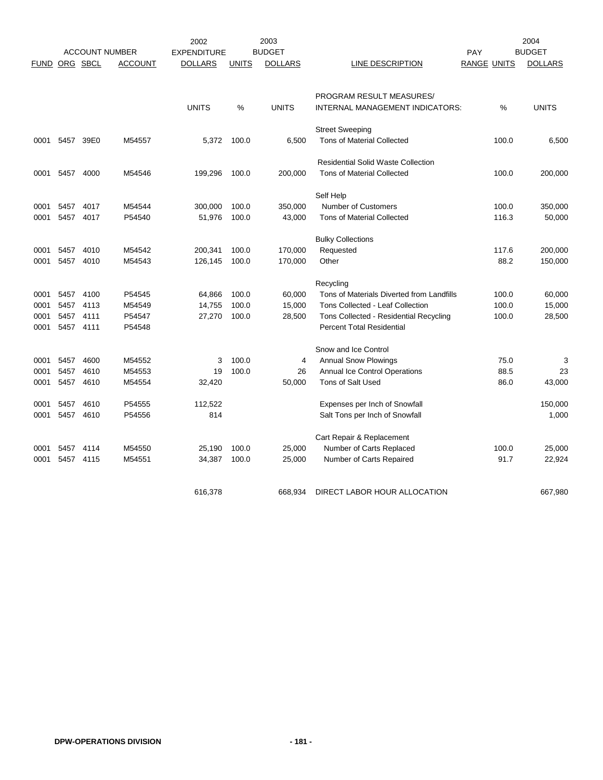|             | <b>ACCOUNT NUMBER</b> |           | 2003<br>2002<br><b>BUDGET</b><br><b>EXPENDITURE</b> |                |              |                |                                                                    |                           | 2004<br><b>BUDGET</b> |                |
|-------------|-----------------------|-----------|-----------------------------------------------------|----------------|--------------|----------------|--------------------------------------------------------------------|---------------------------|-----------------------|----------------|
| <b>FUND</b> |                       | ORG SBCL  | <b>ACCOUNT</b>                                      | <b>DOLLARS</b> | <b>UNITS</b> | <b>DOLLARS</b> | LINE DESCRIPTION                                                   | PAY<br><b>RANGE UNITS</b> |                       | <b>DOLLARS</b> |
|             |                       |           |                                                     |                |              |                |                                                                    |                           |                       |                |
|             |                       |           |                                                     |                |              |                |                                                                    |                           |                       |                |
|             |                       |           |                                                     | <b>UNITS</b>   | %            | <b>UNITS</b>   | PROGRAM RESULT MEASURES/<br><b>INTERNAL MANAGEMENT INDICATORS:</b> |                           | %                     | <b>UNITS</b>   |
|             |                       |           |                                                     |                |              |                |                                                                    |                           |                       |                |
|             |                       |           |                                                     |                |              |                | <b>Street Sweeping</b>                                             |                           |                       |                |
| 0001        | 5457                  | 39E0      | M54557                                              | 5.372          | 100.0        | 6.500          | <b>Tons of Material Collected</b>                                  |                           | 100.0                 | 6,500          |
|             |                       |           |                                                     |                |              |                | <b>Residential Solid Waste Collection</b>                          |                           |                       |                |
| 0001        | 5457                  | 4000      | M54546                                              | 199,296        | 100.0        | 200,000        | <b>Tons of Material Collected</b>                                  |                           | 100.0                 | 200,000        |
|             |                       |           |                                                     |                |              |                |                                                                    |                           |                       |                |
|             |                       |           |                                                     |                |              |                | Self Help                                                          |                           |                       |                |
| 0001        | 5457                  | 4017      | M54544                                              | 300,000        | 100.0        | 350,000        | <b>Number of Customers</b>                                         |                           | 100.0                 | 350,000        |
| 0001        | 5457                  | 4017      | P54540                                              | 51,976         | 100.0        | 43,000         | <b>Tons of Material Collected</b>                                  |                           | 116.3                 | 50,000         |
|             |                       |           |                                                     |                |              |                | <b>Bulky Collections</b>                                           |                           |                       |                |
| 0001        | 5457                  | 4010      | M54542                                              | 200,341        | 100.0        | 170,000        | Requested                                                          |                           | 117.6                 | 200,000        |
| 0001        | 5457                  | 4010      | M54543                                              | 126,145        | 100.0        | 170,000        | Other                                                              |                           | 88.2                  | 150,000        |
|             |                       |           |                                                     |                |              |                |                                                                    |                           |                       |                |
|             |                       |           |                                                     |                |              |                | Recycling                                                          |                           |                       |                |
| 0001        | 5457                  | 4100      | P54545                                              | 64,866         | 100.0        | 60,000         | Tons of Materials Diverted from Landfills                          |                           | 100.0                 | 60,000         |
| 0001        | 5457                  | 4113      | M54549                                              | 14,755         | 100.0        | 15,000         | Tons Collected - Leaf Collection                                   |                           | 100.0                 | 15,000         |
| 0001        | 5457                  | 4111      | P54547                                              | 27,270         | 100.0        | 28,500         | Tons Collected - Residential Recycling                             |                           | 100.0                 | 28,500         |
| 0001        | 5457 4111             |           | P54548                                              |                |              |                | <b>Percent Total Residential</b>                                   |                           |                       |                |
|             |                       |           |                                                     |                |              |                | Snow and Ice Control                                               |                           |                       |                |
| 0001        | 5457                  | 4600      | M54552                                              | 3              | 100.0        | 4              | <b>Annual Snow Plowings</b>                                        |                           | 75.0                  | 3              |
| 0001        | 5457                  | 4610      | M54553                                              | 19             | 100.0        | 26             | Annual Ice Control Operations                                      |                           | 88.5                  | 23             |
| 0001        | 5457                  | 4610      | M54554                                              | 32,420         |              | 50,000         | Tons of Salt Used                                                  |                           | 86.0                  | 43,000         |
| 0001        | 5457                  | 4610      | P54555                                              | 112,522        |              |                | Expenses per Inch of Snowfall                                      |                           |                       | 150,000        |
| 0001        |                       | 5457 4610 | P54556                                              | 814            |              |                | Salt Tons per Inch of Snowfall                                     |                           |                       | 1,000          |
|             |                       |           |                                                     |                |              |                |                                                                    |                           |                       |                |
|             |                       |           |                                                     |                |              |                | Cart Repair & Replacement                                          |                           |                       |                |
| 0001        | 5457                  | 4114      | M54550                                              | 25,190         | 100.0        | 25,000         | Number of Carts Replaced                                           |                           | 100.0                 | 25,000         |
| 0001        | 5457                  | 4115      | M54551                                              | 34,387         | 100.0        | 25,000         | Number of Carts Repaired                                           |                           | 91.7                  | 22,924         |
|             |                       |           |                                                     |                |              |                |                                                                    |                           |                       |                |
|             |                       |           |                                                     | 616,378        |              | 668.934        | DIRECT LABOR HOUR ALLOCATION                                       |                           |                       | 667,980        |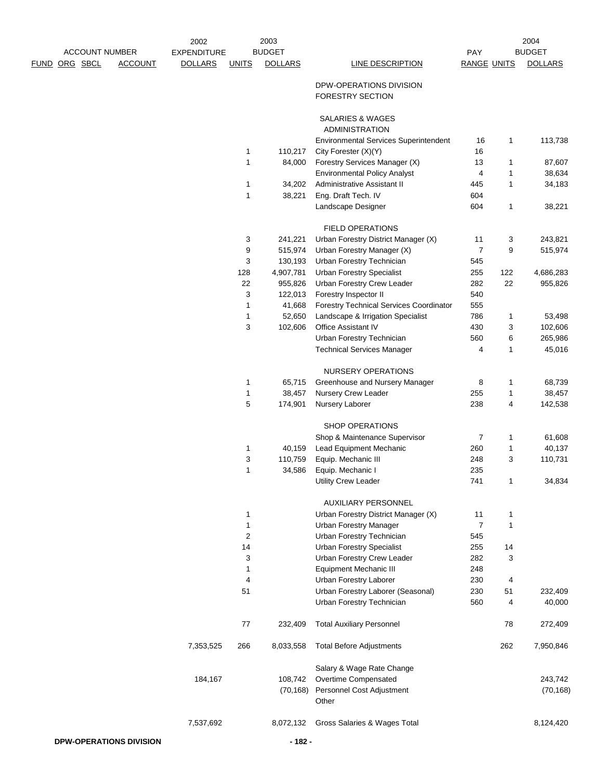|      |                       |                | 2002               |              | 2003           |                                                            |                      |     | 2004           |
|------|-----------------------|----------------|--------------------|--------------|----------------|------------------------------------------------------------|----------------------|-----|----------------|
|      | <b>ACCOUNT NUMBER</b> |                | <b>EXPENDITURE</b> |              | <b>BUDGET</b>  |                                                            | PAY                  |     | <b>BUDGET</b>  |
| FUND | ORG SBCL              | <b>ACCOUNT</b> | <b>DOLLARS</b>     | <b>UNITS</b> | <b>DOLLARS</b> | <b>LINE DESCRIPTION</b>                                    | <b>RANGE UNITS</b>   |     | <b>DOLLARS</b> |
|      |                       |                |                    |              |                | DPW-OPERATIONS DIVISION<br>FORESTRY SECTION                |                      |     |                |
|      |                       |                |                    |              |                | <b>SALARIES &amp; WAGES</b><br><b>ADMINISTRATION</b>       |                      |     |                |
|      |                       |                |                    |              | 110,217        | <b>Environmental Services Superintendent</b>               | 16<br>16             | 1   | 113,738        |
|      |                       |                |                    | 1<br>1       | 84,000         | City Forester (X)(Y)<br>Forestry Services Manager (X)      | 13                   | 1   | 87,607         |
|      |                       |                |                    |              |                | <b>Environmental Policy Analyst</b>                        | 4                    | 1   | 38,634         |
|      |                       |                |                    | 1            | 34,202         | Administrative Assistant II                                | 445                  | 1   | 34,183         |
|      |                       |                |                    | 1            | 38,221         | Eng. Draft Tech. IV                                        | 604                  |     |                |
|      |                       |                |                    |              |                | Landscape Designer                                         | 604                  | 1   | 38,221         |
|      |                       |                |                    |              |                | <b>FIELD OPERATIONS</b>                                    |                      |     |                |
|      |                       |                |                    | 3            | 241,221        | Urban Forestry District Manager (X)                        | 11                   | 3   | 243,821        |
|      |                       |                |                    | 9            | 515,974        | Urban Forestry Manager (X)                                 | $\overline{7}$       | 9   | 515,974        |
|      |                       |                |                    | 3            | 130,193        | Urban Forestry Technician                                  | 545                  |     |                |
|      |                       |                |                    | 128          | 4,907,781      | <b>Urban Forestry Specialist</b>                           | 255                  | 122 | 4,686,283      |
|      |                       |                |                    | 22           | 955,826        | Urban Forestry Crew Leader                                 | 282                  | 22  | 955,826        |
|      |                       |                |                    | 3            | 122,013        | Forestry Inspector II                                      | 540                  |     |                |
|      |                       |                |                    | 1            | 41,668         | <b>Forestry Technical Services Coordinator</b>             | 555                  |     |                |
|      |                       |                |                    | 1            | 52,650         | Landscape & Irrigation Specialist                          | 786                  | 1   | 53,498         |
|      |                       |                |                    | 3            | 102,606        | Office Assistant IV                                        | 430                  | 3   | 102,606        |
|      |                       |                |                    |              |                | Urban Forestry Technician                                  | 560                  | 6   | 265,986        |
|      |                       |                |                    |              |                | <b>Technical Services Manager</b>                          | 4                    | 1   | 45,016         |
|      |                       |                |                    |              |                | NURSERY OPERATIONS                                         |                      |     |                |
|      |                       |                |                    | 1            | 65,715         | Greenhouse and Nursery Manager                             | 8                    | 1   | 68,739         |
|      |                       |                |                    | 1            | 38,457         | Nursery Crew Leader                                        | 255                  | 1   | 38,457         |
|      |                       |                |                    | 5            | 174,901        | Nursery Laborer                                            | 238                  | 4   | 142,538        |
|      |                       |                |                    |              |                | SHOP OPERATIONS                                            |                      |     |                |
|      |                       |                |                    |              |                | Shop & Maintenance Supervisor                              | 7                    | 1   | 61,608         |
|      |                       |                |                    | 1            | 40,159         | Lead Equipment Mechanic                                    | 260                  | 1   | 40,137         |
|      |                       |                |                    | 3            | 110,759        | Equip. Mechanic III                                        | 248                  | 3   | 110,731        |
|      |                       |                |                    | $\mathbf{1}$ | 34,586         | Equip. Mechanic I<br>Utility Crew Leader                   | 235<br>741           |     | 34,834         |
|      |                       |                |                    |              |                |                                                            |                      |     |                |
|      |                       |                |                    |              |                | <b>AUXILIARY PERSONNEL</b>                                 |                      |     |                |
|      |                       |                |                    | 1            |                | Urban Forestry District Manager (X)                        | 11<br>$\overline{7}$ | 1   |                |
|      |                       |                |                    | 1<br>2       |                | <b>Urban Forestry Manager</b><br>Urban Forestry Technician | 545                  | 1   |                |
|      |                       |                |                    | 14           |                | <b>Urban Forestry Specialist</b>                           | 255                  | 14  |                |
|      |                       |                |                    | 3            |                | Urban Forestry Crew Leader                                 | 282                  | 3   |                |
|      |                       |                |                    | 1            |                | Equipment Mechanic III                                     | 248                  |     |                |
|      |                       |                |                    | 4            |                | Urban Forestry Laborer                                     | 230                  | 4   |                |
|      |                       |                |                    | 51           |                | Urban Forestry Laborer (Seasonal)                          | 230                  | 51  | 232,409        |
|      |                       |                |                    |              |                | Urban Forestry Technician                                  | 560                  | 4   | 40,000         |
|      |                       |                |                    | 77           | 232,409        | <b>Total Auxiliary Personnel</b>                           |                      | 78  | 272,409        |
|      |                       |                | 7,353,525          | 266          | 8,033,558      | <b>Total Before Adjustments</b>                            |                      | 262 | 7,950,846      |
|      |                       |                |                    |              |                | Salary & Wage Rate Change                                  |                      |     |                |
|      |                       |                | 184,167            |              | 108,742        | Overtime Compensated                                       |                      |     | 243,742        |
|      |                       |                |                    |              | (70, 168)      | Personnel Cost Adjustment<br>Other                         |                      |     | (70, 168)      |
|      |                       |                | 7,537,692          |              | 8,072,132      | Gross Salaries & Wages Total                               |                      |     | 8,124,420      |
|      |                       |                |                    |              |                |                                                            |                      |     |                |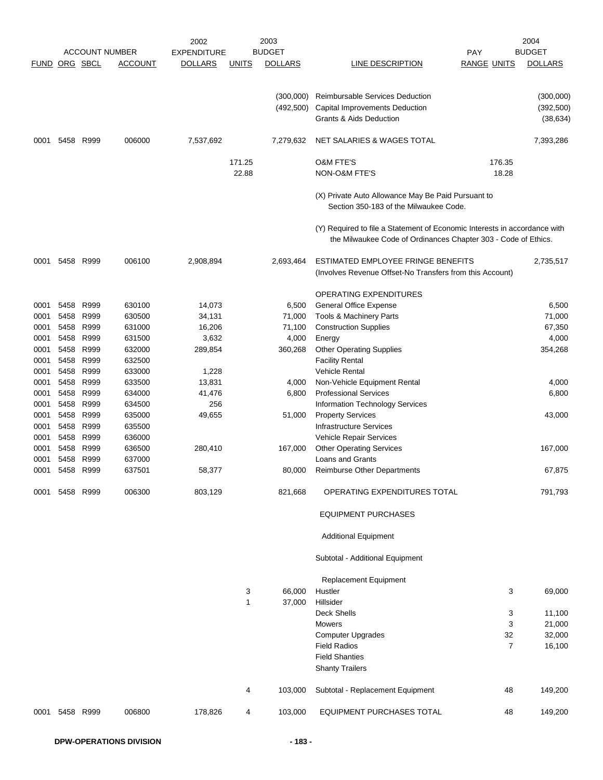|               |              |                   | <b>ACCOUNT NUMBER</b> | 2002<br><b>EXPENDITURE</b> |              | 2003<br><b>BUDGET</b> |                                                                                                                                             | <b>PAY</b>         | 2004<br><b>BUDGET</b> |
|---------------|--------------|-------------------|-----------------------|----------------------------|--------------|-----------------------|---------------------------------------------------------------------------------------------------------------------------------------------|--------------------|-----------------------|
| FUND ORG SBCL |              |                   | <b>ACCOUNT</b>        | <b>DOLLARS</b>             | <b>UNITS</b> | <b>DOLLARS</b>        | LINE DESCRIPTION                                                                                                                            | <b>RANGE UNITS</b> | <b>DOLLARS</b>        |
|               |              |                   |                       |                            |              |                       |                                                                                                                                             |                    |                       |
|               |              |                   |                       |                            |              | (300,000)             | Reimbursable Services Deduction                                                                                                             |                    | (300,000)             |
|               |              |                   |                       |                            |              | (492, 500)            | Capital Improvements Deduction                                                                                                              |                    | (392, 500)            |
|               |              |                   |                       |                            |              |                       | Grants & Aids Deduction                                                                                                                     |                    | (38, 634)             |
| 0001          | 5458         | R999              | 006000                | 7,537,692                  |              | 7,279,632             | NET SALARIES & WAGES TOTAL                                                                                                                  |                    | 7,393,286             |
|               |              |                   |                       |                            | 171.25       |                       | <b>O&amp;M FTE'S</b>                                                                                                                        | 176.35             |                       |
|               |              |                   |                       |                            | 22.88        |                       | NON-O&M FTE'S                                                                                                                               | 18.28              |                       |
|               |              |                   |                       |                            |              |                       |                                                                                                                                             |                    |                       |
|               |              |                   |                       |                            |              |                       | (X) Private Auto Allowance May Be Paid Pursuant to<br>Section 350-183 of the Milwaukee Code.                                                |                    |                       |
|               |              |                   |                       |                            |              |                       | (Y) Required to file a Statement of Economic Interests in accordance with<br>the Milwaukee Code of Ordinances Chapter 303 - Code of Ethics. |                    |                       |
| 0001          |              | 5458 R999         | 006100                | 2,908,894                  |              | 2,693,464             | ESTIMATED EMPLOYEE FRINGE BENEFITS                                                                                                          |                    | 2,735,517             |
|               |              |                   |                       |                            |              |                       | (Involves Revenue Offset-No Transfers from this Account)                                                                                    |                    |                       |
|               |              |                   |                       |                            |              |                       |                                                                                                                                             |                    |                       |
| 0001          | 5458         |                   |                       |                            |              |                       | <b>OPERATING EXPENDITURES</b>                                                                                                               |                    |                       |
|               |              | R999<br>R999      | 630100                | 14,073                     |              | 6,500<br>71,000       | <b>General Office Expense</b>                                                                                                               |                    | 6,500                 |
| 0001          | 5458         |                   | 630500                | 34,131                     |              |                       | Tools & Machinery Parts                                                                                                                     |                    | 71,000                |
| 0001          | 5458         | R999              | 631000                | 16,206                     |              | 71,100                | <b>Construction Supplies</b>                                                                                                                |                    | 67,350                |
| 0001          | 5458         | R999<br>5458 R999 | 631500                | 3,632                      |              | 4,000                 | Energy                                                                                                                                      |                    | 4,000                 |
| 0001          |              |                   | 632000                | 289,854                    |              | 360,268               | <b>Other Operating Supplies</b>                                                                                                             |                    | 354,268               |
| 0001          | 5458         | R999              | 632500                |                            |              |                       | <b>Facility Rental</b>                                                                                                                      |                    |                       |
| 0001          |              | 5458 R999         | 633000                | 1,228                      |              |                       | Vehicle Rental                                                                                                                              |                    |                       |
| 0001          | 5458<br>5458 | R999              | 633500                | 13,831                     |              | 4,000                 | Non-Vehicle Equipment Rental                                                                                                                |                    | 4,000                 |
| 0001<br>0001  | 5458         | R999<br>R999      | 634000<br>634500      | 41,476<br>256              |              | 6,800                 | <b>Professional Services</b><br>Information Technology Services                                                                             |                    | 6,800                 |
| 0001          | 5458         | R999              | 635000                | 49,655                     |              | 51,000                | <b>Property Services</b>                                                                                                                    |                    | 43,000                |
|               | 5458         | R999              | 635500                |                            |              |                       | <b>Infrastructure Services</b>                                                                                                              |                    |                       |
| 0001<br>0001  | 5458         | R999              | 636000                |                            |              |                       | Vehicle Repair Services                                                                                                                     |                    |                       |
| 0001          | 5458         | R999              | 636500                | 280,410                    |              | 167,000               | <b>Other Operating Services</b>                                                                                                             |                    | 167,000               |
| 0001          | 5458         | R999              | 637000                |                            |              |                       | <b>Loans and Grants</b>                                                                                                                     |                    |                       |
| 0001          | 5458         | R999              | 637501                | 58,377                     |              | 80,000                | <b>Reimburse Other Departments</b>                                                                                                          |                    | 67.875                |
|               |              |                   |                       |                            |              |                       |                                                                                                                                             |                    |                       |
| 0001          |              | 5458 R999         | 006300                | 803,129                    |              | 821,668               | OPERATING EXPENDITURES TOTAL                                                                                                                |                    | 791,793               |
|               |              |                   |                       |                            |              |                       | <b>EQUIPMENT PURCHASES</b>                                                                                                                  |                    |                       |
|               |              |                   |                       |                            |              |                       | <b>Additional Equipment</b>                                                                                                                 |                    |                       |
|               |              |                   |                       |                            |              |                       | Subtotal - Additional Equipment                                                                                                             |                    |                       |
|               |              |                   |                       |                            |              |                       | <b>Replacement Equipment</b>                                                                                                                |                    |                       |
|               |              |                   |                       |                            | 3            | 66,000                | Hustler                                                                                                                                     | 3                  | 69,000                |
|               |              |                   |                       |                            | 1            | 37,000                | Hillsider                                                                                                                                   |                    |                       |
|               |              |                   |                       |                            |              |                       | <b>Deck Shells</b>                                                                                                                          | 3                  | 11,100                |
|               |              |                   |                       |                            |              |                       | <b>Mowers</b>                                                                                                                               | 3                  | 21,000                |
|               |              |                   |                       |                            |              |                       | <b>Computer Upgrades</b>                                                                                                                    | 32                 | 32,000                |
|               |              |                   |                       |                            |              |                       | <b>Field Radios</b>                                                                                                                         | $\overline{7}$     | 16,100                |
|               |              |                   |                       |                            |              |                       | <b>Field Shanties</b>                                                                                                                       |                    |                       |
|               |              |                   |                       |                            |              |                       | <b>Shanty Trailers</b>                                                                                                                      |                    |                       |
|               |              |                   |                       |                            | 4            | 103,000               | Subtotal - Replacement Equipment                                                                                                            | 48                 | 149,200               |
| 0001          |              | 5458 R999         | 006800                | 178,826                    | 4            | 103,000               | <b>EQUIPMENT PURCHASES TOTAL</b>                                                                                                            | 48                 | 149,200               |
|               |              |                   |                       |                            |              |                       |                                                                                                                                             |                    |                       |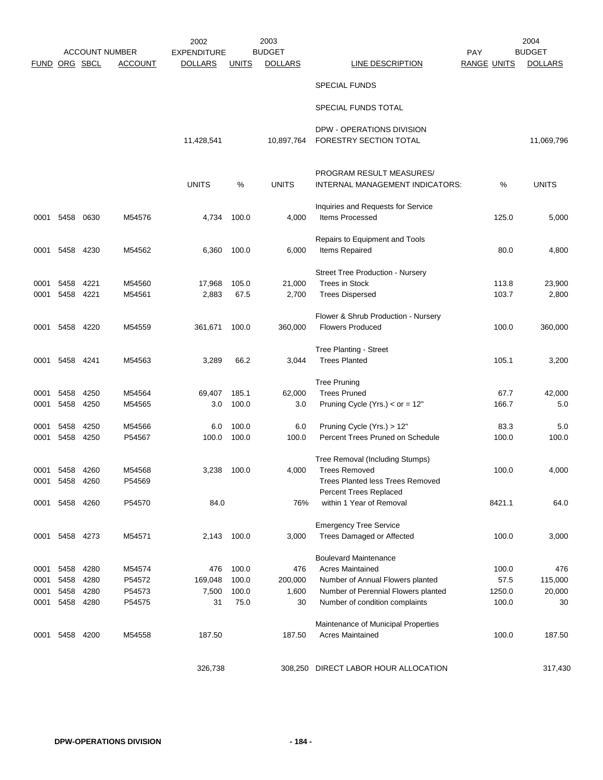|                      | <b>ACCOUNT NUMBER</b> |           | 2002           |                    | 2003         |                |                                         | 2004               |        |                |
|----------------------|-----------------------|-----------|----------------|--------------------|--------------|----------------|-----------------------------------------|--------------------|--------|----------------|
|                      |                       |           | <b>ACCOUNT</b> | <b>EXPENDITURE</b> |              | <b>BUDGET</b>  |                                         | <b>PAY</b>         |        | <b>BUDGET</b>  |
| <b>FUND ORG SBCL</b> |                       |           |                | <b>DOLLARS</b>     | <b>UNITS</b> | <b>DOLLARS</b> | LINE DESCRIPTION                        | <b>RANGE UNITS</b> |        | <b>DOLLARS</b> |
|                      |                       |           |                |                    |              |                | <b>SPECIAL FUNDS</b>                    |                    |        |                |
|                      |                       |           |                |                    |              |                | SPECIAL FUNDS TOTAL                     |                    |        |                |
|                      |                       |           |                |                    |              |                | DPW - OPERATIONS DIVISION               |                    |        |                |
|                      |                       |           |                | 11,428,541         |              | 10,897,764     | FORESTRY SECTION TOTAL                  |                    |        | 11,069,796     |
|                      |                       |           |                |                    |              |                | PROGRAM RESULT MEASURES/                |                    |        |                |
|                      |                       |           |                | <b>UNITS</b>       | %            | <b>UNITS</b>   | INTERNAL MANAGEMENT INDICATORS:         |                    | %      | <b>UNITS</b>   |
|                      |                       |           |                |                    |              |                | Inquiries and Requests for Service      |                    |        |                |
| 0001                 | 5458                  | 0630      | M54576         | 4,734              | 100.0        | 4,000          | Items Processed                         |                    | 125.0  | 5,000          |
|                      |                       |           |                |                    |              |                | Repairs to Equipment and Tools          |                    |        |                |
| 0001                 | 5458                  | 4230      | M54562         | 6,360              | 100.0        | 6,000          | Items Repaired                          |                    | 80.0   | 4,800          |
|                      |                       |           |                |                    |              |                | Street Tree Production - Nursery        |                    |        |                |
| 0001                 | 5458                  | 4221      | M54560         | 17,968             | 105.0        | 21,000         | <b>Trees in Stock</b>                   |                    | 113.8  | 23,900         |
| 0001                 | 5458                  | 4221      | M54561         | 2,883              | 67.5         | 2,700          | <b>Trees Dispersed</b>                  |                    | 103.7  | 2,800          |
|                      |                       |           |                |                    |              |                | Flower & Shrub Production - Nursery     |                    |        |                |
| 0001                 | 5458                  | 4220      | M54559         | 361,671            | 100.0        | 360,000        | <b>Flowers Produced</b>                 |                    | 100.0  | 360,000        |
|                      |                       |           |                |                    |              |                | Tree Planting - Street                  |                    |        |                |
| 0001                 | 5458                  | 4241      | M54563         | 3,289              | 66.2         | 3,044          | <b>Trees Planted</b>                    |                    | 105.1  | 3,200          |
|                      |                       |           |                |                    |              |                | <b>Tree Pruning</b>                     |                    |        |                |
| 0001                 | 5458                  | 4250      | M54564         | 69,407             | 185.1        | 62,000         | <b>Trees Pruned</b>                     |                    | 67.7   | 42,000         |
| 0001                 | 5458                  | 4250      | M54565         | 3.0                | 100.0        | 3.0            | Pruning Cycle (Yrs.) < $or = 12"$       |                    | 166.7  | 5.0            |
| 0001                 | 5458                  | 4250      | M54566         | 6.0                | 100.0        | 6.0            | Pruning Cycle (Yrs.) > 12"              |                    | 83.3   | 5.0            |
| 0001                 | 5458                  | 4250      | P54567         | 100.0              | 100.0        | 100.0          | Percent Trees Pruned on Schedule        |                    | 100.0  | 100.0          |
|                      |                       |           |                |                    |              |                | Tree Removal (Including Stumps)         |                    |        |                |
| 0001                 | 5458                  | 4260      | M54568         | 3,238              | 100.0        | 4,000          | <b>Trees Removed</b>                    |                    | 100.0  | 4,000          |
|                      | 0001 5458             | 4260      | P54569         |                    |              |                | <b>Trees Planted less Trees Removed</b> |                    |        |                |
|                      |                       |           |                |                    |              |                | Percent Trees Replaced                  |                    |        |                |
| 0001                 |                       | 5458 4260 | P54570         | 84.0               |              | 76%            | within 1 Year of Removal                |                    | 8421.1 | 64.0           |
|                      |                       |           |                |                    |              |                | <b>Emergency Tree Service</b>           |                    |        |                |
|                      | 0001 5458 4273        |           | M54571         | 2,143              | 100.0        | 3,000          | Trees Damaged or Affected               |                    | 100.0  | 3,000          |
|                      |                       |           |                |                    |              |                | <b>Boulevard Maintenance</b>            |                    |        |                |
| 0001                 | 5458                  | 4280      | M54574         | 476                | 100.0        | 476            | <b>Acres Maintained</b>                 |                    | 100.0  | 476            |
| 0001                 | 5458                  | 4280      | P54572         | 169,048            | 100.0        | 200,000        | Number of Annual Flowers planted        |                    | 57.5   | 115,000        |
| 0001                 | 5458                  | 4280      | P54573         | 7,500              | 100.0        | 1,600          | Number of Perennial Flowers planted     |                    | 1250.0 | 20,000         |
| 0001                 | 5458 4280             |           | P54575         | 31                 | 75.0         | 30             | Number of condition complaints          |                    | 100.0  | 30             |
|                      |                       |           |                |                    |              |                | Maintenance of Municipal Properties     |                    |        |                |
| 0001                 | 5458                  | 4200      | M54558         | 187.50             |              | 187.50         | <b>Acres Maintained</b>                 |                    | 100.0  | 187.50         |
|                      |                       |           |                |                    |              |                |                                         |                    |        |                |
|                      |                       |           |                | 326,738            |              |                | 308,250 DIRECT LABOR HOUR ALLOCATION    |                    |        | 317,430        |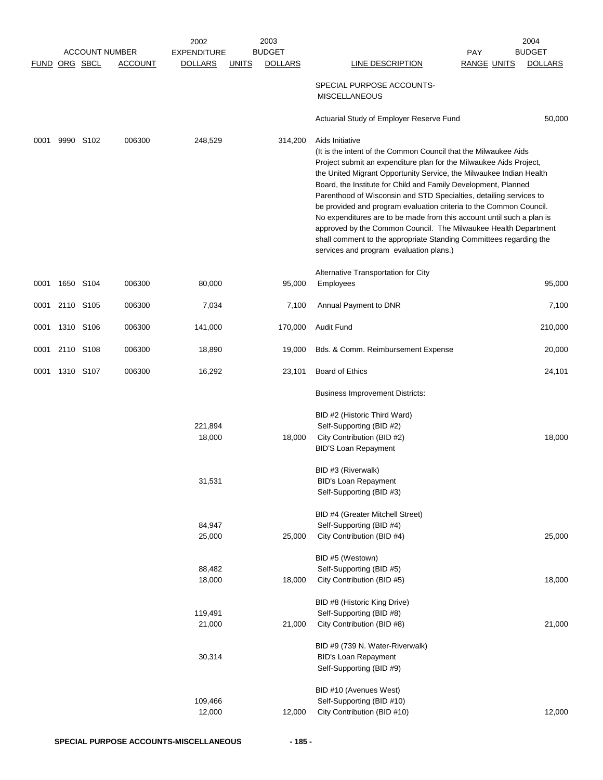|               |           |                       | 2002               | 2003                           |                                                                                                                                                                                                                                                                                                                                                                                                                                                                                                                                                                                                                                                                                         |                    | 2004           |
|---------------|-----------|-----------------------|--------------------|--------------------------------|-----------------------------------------------------------------------------------------------------------------------------------------------------------------------------------------------------------------------------------------------------------------------------------------------------------------------------------------------------------------------------------------------------------------------------------------------------------------------------------------------------------------------------------------------------------------------------------------------------------------------------------------------------------------------------------------|--------------------|----------------|
|               |           | <b>ACCOUNT NUMBER</b> | <b>EXPENDITURE</b> | <b>BUDGET</b>                  |                                                                                                                                                                                                                                                                                                                                                                                                                                                                                                                                                                                                                                                                                         | PAY                | <b>BUDGET</b>  |
| FUND ORG SBCL |           | <b>ACCOUNT</b>        | <b>DOLLARS</b>     | <b>DOLLARS</b><br><b>UNITS</b> | LINE DESCRIPTION                                                                                                                                                                                                                                                                                                                                                                                                                                                                                                                                                                                                                                                                        | <b>RANGE UNITS</b> | <b>DOLLARS</b> |
|               |           |                       |                    |                                | SPECIAL PURPOSE ACCOUNTS-<br><b>MISCELLANEOUS</b>                                                                                                                                                                                                                                                                                                                                                                                                                                                                                                                                                                                                                                       |                    |                |
|               |           |                       |                    |                                | Actuarial Study of Employer Reserve Fund                                                                                                                                                                                                                                                                                                                                                                                                                                                                                                                                                                                                                                                |                    | 50,000         |
| 0001          | 9990 S102 | 006300                | 248,529            | 314,200                        | Aids Initiative                                                                                                                                                                                                                                                                                                                                                                                                                                                                                                                                                                                                                                                                         |                    |                |
|               |           |                       |                    |                                | (It is the intent of the Common Council that the Milwaukee Aids<br>Project submit an expenditure plan for the Milwaukee Aids Project,<br>the United Migrant Opportunity Service, the Milwaukee Indian Health<br>Board, the Institute for Child and Family Development, Planned<br>Parenthood of Wisconsin and STD Specialties, detailing services to<br>be provided and program evaluation criteria to the Common Council.<br>No expenditures are to be made from this account until such a plan is<br>approved by the Common Council. The Milwaukee Health Department<br>shall comment to the appropriate Standing Committees regarding the<br>services and program evaluation plans.) |                    |                |
|               |           |                       |                    |                                | Alternative Transportation for City                                                                                                                                                                                                                                                                                                                                                                                                                                                                                                                                                                                                                                                     |                    |                |
| 0001          | 1650 S104 | 006300                | 80,000             | 95,000                         | Employees                                                                                                                                                                                                                                                                                                                                                                                                                                                                                                                                                                                                                                                                               |                    | 95,000         |
| 0001          | 2110 S105 | 006300                | 7,034              | 7,100                          | Annual Payment to DNR                                                                                                                                                                                                                                                                                                                                                                                                                                                                                                                                                                                                                                                                   |                    | 7,100          |
| 0001          | 1310 S106 | 006300                | 141,000            | 170,000                        | Audit Fund                                                                                                                                                                                                                                                                                                                                                                                                                                                                                                                                                                                                                                                                              |                    | 210,000        |
| 0001          | 2110 S108 | 006300                | 18,890             | 19,000                         | Bds. & Comm. Reimbursement Expense                                                                                                                                                                                                                                                                                                                                                                                                                                                                                                                                                                                                                                                      |                    | 20,000         |
| 0001          | 1310 S107 | 006300                | 16,292             | 23,101                         | <b>Board of Ethics</b>                                                                                                                                                                                                                                                                                                                                                                                                                                                                                                                                                                                                                                                                  |                    | 24,101         |
|               |           |                       |                    |                                | <b>Business Improvement Districts:</b>                                                                                                                                                                                                                                                                                                                                                                                                                                                                                                                                                                                                                                                  |                    |                |
|               |           |                       | 221,894<br>18,000  | 18,000                         | BID #2 (Historic Third Ward)<br>Self-Supporting (BID #2)<br>City Contribution (BID #2)<br><b>BID'S Loan Repayment</b>                                                                                                                                                                                                                                                                                                                                                                                                                                                                                                                                                                   |                    | 18,000         |
|               |           |                       | 31,531             |                                | BID #3 (Riverwalk)<br><b>BID's Loan Repayment</b><br>Self-Supporting (BID #3)                                                                                                                                                                                                                                                                                                                                                                                                                                                                                                                                                                                                           |                    |                |
|               |           |                       |                    |                                | BID #4 (Greater Mitchell Street)                                                                                                                                                                                                                                                                                                                                                                                                                                                                                                                                                                                                                                                        |                    |                |
|               |           |                       | 84,947             |                                | Self-Supporting (BID #4)                                                                                                                                                                                                                                                                                                                                                                                                                                                                                                                                                                                                                                                                |                    |                |
|               |           |                       | 25,000             | 25,000                         | City Contribution (BID #4)                                                                                                                                                                                                                                                                                                                                                                                                                                                                                                                                                                                                                                                              |                    | 25,000         |
|               |           |                       | 88,482             |                                | BID #5 (Westown)<br>Self-Supporting (BID #5)                                                                                                                                                                                                                                                                                                                                                                                                                                                                                                                                                                                                                                            |                    |                |
|               |           |                       | 18,000             | 18,000                         | City Contribution (BID #5)                                                                                                                                                                                                                                                                                                                                                                                                                                                                                                                                                                                                                                                              |                    | 18,000         |
|               |           |                       |                    |                                | BID #8 (Historic King Drive)                                                                                                                                                                                                                                                                                                                                                                                                                                                                                                                                                                                                                                                            |                    |                |
|               |           |                       | 119,491            |                                | Self-Supporting (BID #8)                                                                                                                                                                                                                                                                                                                                                                                                                                                                                                                                                                                                                                                                |                    |                |
|               |           |                       | 21,000             | 21,000                         | City Contribution (BID #8)                                                                                                                                                                                                                                                                                                                                                                                                                                                                                                                                                                                                                                                              |                    | 21,000         |
|               |           |                       |                    |                                | BID #9 (739 N. Water-Riverwalk)                                                                                                                                                                                                                                                                                                                                                                                                                                                                                                                                                                                                                                                         |                    |                |
|               |           |                       | 30,314             |                                | <b>BID's Loan Repayment</b><br>Self-Supporting (BID #9)                                                                                                                                                                                                                                                                                                                                                                                                                                                                                                                                                                                                                                 |                    |                |
|               |           |                       |                    |                                | BID #10 (Avenues West)                                                                                                                                                                                                                                                                                                                                                                                                                                                                                                                                                                                                                                                                  |                    |                |
|               |           |                       | 109,466            |                                | Self-Supporting (BID #10)                                                                                                                                                                                                                                                                                                                                                                                                                                                                                                                                                                                                                                                               |                    |                |
|               |           |                       | 12,000             | 12,000                         | City Contribution (BID #10)                                                                                                                                                                                                                                                                                                                                                                                                                                                                                                                                                                                                                                                             |                    | 12,000         |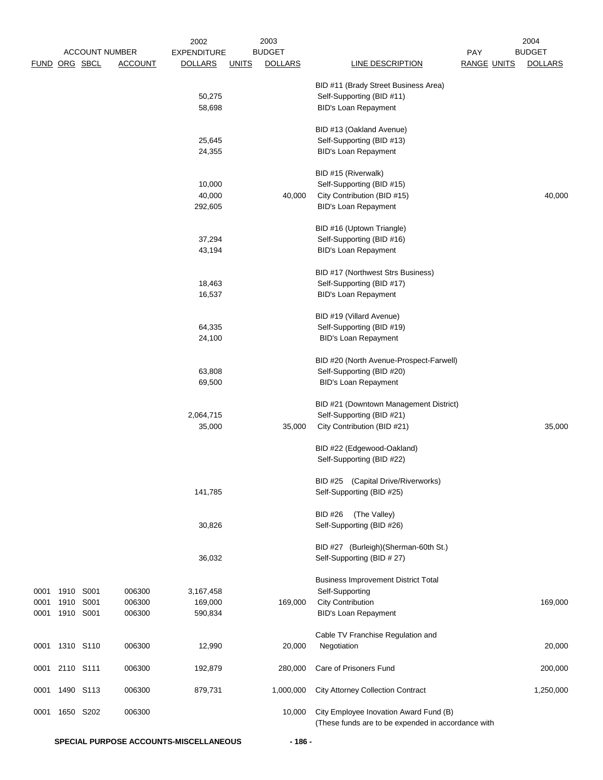|               |                |                       |                | 2002               |              | 2003           |                                                    |                    | 2004           |
|---------------|----------------|-----------------------|----------------|--------------------|--------------|----------------|----------------------------------------------------|--------------------|----------------|
|               |                | <b>ACCOUNT NUMBER</b> |                | <b>EXPENDITURE</b> |              | <b>BUDGET</b>  |                                                    | PAY                | <b>BUDGET</b>  |
| FUND ORG SBCL |                |                       | <b>ACCOUNT</b> | <b>DOLLARS</b>     | <b>UNITS</b> | <b>DOLLARS</b> | LINE DESCRIPTION                                   | <b>RANGE UNITS</b> | <b>DOLLARS</b> |
|               |                |                       |                |                    |              |                |                                                    |                    |                |
|               |                |                       |                |                    |              |                | BID #11 (Brady Street Business Area)               |                    |                |
|               |                |                       |                | 50,275             |              |                | Self-Supporting (BID #11)                          |                    |                |
|               |                |                       |                | 58,698             |              |                | <b>BID's Loan Repayment</b>                        |                    |                |
|               |                |                       |                |                    |              |                | BID #13 (Oakland Avenue)                           |                    |                |
|               |                |                       |                |                    |              |                |                                                    |                    |                |
|               |                |                       |                | 25,645             |              |                | Self-Supporting (BID #13)                          |                    |                |
|               |                |                       |                | 24,355             |              |                | <b>BID's Loan Repayment</b>                        |                    |                |
|               |                |                       |                |                    |              |                | BID #15 (Riverwalk)                                |                    |                |
|               |                |                       |                | 10,000             |              |                | Self-Supporting (BID #15)                          |                    |                |
|               |                |                       |                | 40,000             |              | 40,000         | City Contribution (BID #15)                        |                    | 40,000         |
|               |                |                       |                | 292,605            |              |                | <b>BID's Loan Repayment</b>                        |                    |                |
|               |                |                       |                |                    |              |                |                                                    |                    |                |
|               |                |                       |                |                    |              |                | BID #16 (Uptown Triangle)                          |                    |                |
|               |                |                       |                | 37,294             |              |                | Self-Supporting (BID #16)                          |                    |                |
|               |                |                       |                | 43,194             |              |                | <b>BID's Loan Repayment</b>                        |                    |                |
|               |                |                       |                |                    |              |                |                                                    |                    |                |
|               |                |                       |                |                    |              |                | BID #17 (Northwest Strs Business)                  |                    |                |
|               |                |                       |                | 18,463             |              |                | Self-Supporting (BID #17)                          |                    |                |
|               |                |                       |                | 16,537             |              |                | <b>BID's Loan Repayment</b>                        |                    |                |
|               |                |                       |                |                    |              |                |                                                    |                    |                |
|               |                |                       |                |                    |              |                | BID #19 (Villard Avenue)                           |                    |                |
|               |                |                       |                | 64,335             |              |                | Self-Supporting (BID #19)                          |                    |                |
|               |                |                       |                | 24,100             |              |                | <b>BID's Loan Repayment</b>                        |                    |                |
|               |                |                       |                |                    |              |                |                                                    |                    |                |
|               |                |                       |                |                    |              |                | BID #20 (North Avenue-Prospect-Farwell)            |                    |                |
|               |                |                       |                | 63,808             |              |                | Self-Supporting (BID #20)                          |                    |                |
|               |                |                       |                | 69,500             |              |                | <b>BID's Loan Repayment</b>                        |                    |                |
|               |                |                       |                |                    |              |                | BID #21 (Downtown Management District)             |                    |                |
|               |                |                       |                |                    |              |                |                                                    |                    |                |
|               |                |                       |                | 2,064,715          |              |                | Self-Supporting (BID #21)                          |                    |                |
|               |                |                       |                | 35,000             |              | 35,000         | City Contribution (BID #21)                        |                    | 35,000         |
|               |                |                       |                |                    |              |                | BID #22 (Edgewood-Oakland)                         |                    |                |
|               |                |                       |                |                    |              |                | Self-Supporting (BID #22)                          |                    |                |
|               |                |                       |                |                    |              |                |                                                    |                    |                |
|               |                |                       |                |                    |              |                | BID #25 (Capital Drive/Riverworks)                 |                    |                |
|               |                |                       |                | 141,785            |              |                | Self-Supporting (BID #25)                          |                    |                |
|               |                |                       |                |                    |              |                |                                                    |                    |                |
|               |                |                       |                |                    |              |                | <b>BID #26</b><br>(The Valley)                     |                    |                |
|               |                |                       |                | 30,826             |              |                | Self-Supporting (BID #26)                          |                    |                |
|               |                |                       |                |                    |              |                |                                                    |                    |                |
|               |                |                       |                |                    |              |                | BID #27 (Burleigh) (Sherman-60th St.)              |                    |                |
|               |                |                       |                | 36,032             |              |                | Self-Supporting (BID # 27)                         |                    |                |
|               |                |                       |                |                    |              |                |                                                    |                    |                |
|               |                |                       |                |                    |              |                | <b>Business Improvement District Total</b>         |                    |                |
| 0001          | 1910           | S001                  | 006300         | 3,167,458          |              |                | Self-Supporting                                    |                    |                |
| 0001          | 1910           | S001                  | 006300         | 169,000            |              | 169,000        | <b>City Contribution</b>                           |                    | 169,000        |
| 0001          | 1910           | S001                  | 006300         | 590,834            |              |                | <b>BID's Loan Repayment</b>                        |                    |                |
|               |                |                       |                |                    |              |                |                                                    |                    |                |
|               |                |                       |                |                    |              |                | Cable TV Franchise Regulation and                  |                    |                |
|               | 0001 1310 S110 |                       | 006300         | 12,990             |              | 20,000         | Negotiation                                        |                    | 20,000         |
|               |                |                       |                |                    |              |                |                                                    |                    |                |
| 0001          | 2110 S111      |                       | 006300         | 192,879            |              | 280,000        | Care of Prisoners Fund                             |                    | 200,000        |
| 0001          |                | 1490 S113             | 006300         | 879,731            |              | 1,000,000      | <b>City Attorney Collection Contract</b>           |                    | 1,250,000      |
|               |                |                       |                |                    |              |                |                                                    |                    |                |
| 0001          | 1650 S202      |                       | 006300         |                    |              | 10,000         | City Employee Inovation Award Fund (B)             |                    |                |
|               |                |                       |                |                    |              |                | (These funds are to be expended in accordance with |                    |                |

**SPECIAL PURPOSE ACCOUNTS-MISCELLANEOUS - 186 -**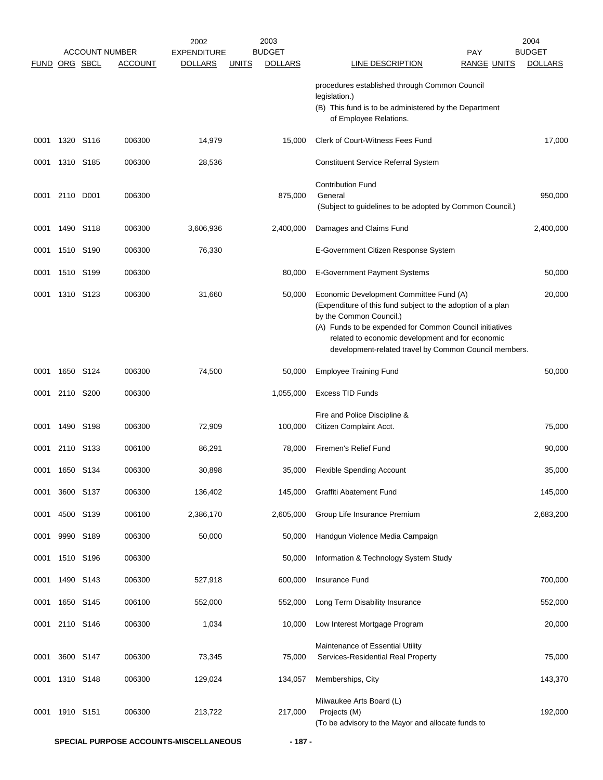|             |                |           |                       | 2002               |              | 2003           |                                                                                                                                                                                                                                                                                                           |                    | 2004           |
|-------------|----------------|-----------|-----------------------|--------------------|--------------|----------------|-----------------------------------------------------------------------------------------------------------------------------------------------------------------------------------------------------------------------------------------------------------------------------------------------------------|--------------------|----------------|
|             |                |           | <b>ACCOUNT NUMBER</b> | <b>EXPENDITURE</b> |              | <b>BUDGET</b>  |                                                                                                                                                                                                                                                                                                           | <b>PAY</b>         | <b>BUDGET</b>  |
| <b>FUND</b> |                | ORG SBCL  | ACCOUNT               | <b>DOLLARS</b>     | <b>UNITS</b> | <b>DOLLARS</b> | LINE DESCRIPTION                                                                                                                                                                                                                                                                                          | <b>RANGE UNITS</b> | <b>DOLLARS</b> |
|             |                |           |                       |                    |              |                | procedures established through Common Council<br>legislation.)<br>(B) This fund is to be administered by the Department<br>of Employee Relations.                                                                                                                                                         |                    |                |
| 0001        |                | 1320 S116 | 006300                | 14,979             |              | 15,000         | Clerk of Court-Witness Fees Fund                                                                                                                                                                                                                                                                          |                    | 17,000         |
| 0001        |                | 1310 S185 | 006300                | 28,536             |              |                | <b>Constituent Service Referral System</b>                                                                                                                                                                                                                                                                |                    |                |
| 0001        | 2110 D001      |           | 006300                |                    |              | 875,000        | <b>Contribution Fund</b><br>General<br>(Subject to guidelines to be adopted by Common Council.)                                                                                                                                                                                                           |                    | 950,000        |
| 0001        |                | 1490 S118 | 006300                | 3,606,936          |              | 2,400,000      | Damages and Claims Fund                                                                                                                                                                                                                                                                                   |                    | 2,400,000      |
| 0001        | 1510 S190      |           | 006300                | 76,330             |              |                | E-Government Citizen Response System                                                                                                                                                                                                                                                                      |                    |                |
| 0001        |                | 1510 S199 | 006300                |                    |              | 80,000         | <b>E-Government Payment Systems</b>                                                                                                                                                                                                                                                                       |                    | 50,000         |
| 0001        |                | 1310 S123 | 006300                | 31,660             |              | 50,000         | Economic Development Committee Fund (A)<br>(Expenditure of this fund subject to the adoption of a plan<br>by the Common Council.)<br>(A) Funds to be expended for Common Council initiatives<br>related to economic development and for economic<br>development-related travel by Common Council members. |                    | 20,000         |
| 0001        |                | 1650 S124 | 006300                | 74,500             |              | 50,000         | <b>Employee Training Fund</b>                                                                                                                                                                                                                                                                             |                    | 50,000         |
| 0001        | 2110 S200      |           | 006300                |                    |              | 1,055,000      | <b>Excess TID Funds</b>                                                                                                                                                                                                                                                                                   |                    |                |
| 0001        | 1490           | S198      | 006300                | 72,909             |              | 100,000        | Fire and Police Discipline &<br>Citizen Complaint Acct.                                                                                                                                                                                                                                                   |                    | 75,000         |
| 0001        | 2110           | S133      | 006100                | 86,291             |              | 78,000         | Firemen's Relief Fund                                                                                                                                                                                                                                                                                     |                    | 90,000         |
| 0001        | 1650 S134      |           | 006300                | 30,898             |              | 35,000         | <b>Flexible Spending Account</b>                                                                                                                                                                                                                                                                          |                    | 35,000         |
| 0001        |                | 3600 S137 | 006300                | 136,402            |              | 145,000        | Graffiti Abatement Fund                                                                                                                                                                                                                                                                                   |                    | 145,000        |
| 0001        |                | 4500 S139 | 006100                | 2,386,170          |              | 2,605,000      | Group Life Insurance Premium                                                                                                                                                                                                                                                                              |                    | 2,683,200      |
| 0001        |                | 9990 S189 | 006300                | 50,000             |              | 50,000         | Handgun Violence Media Campaign                                                                                                                                                                                                                                                                           |                    |                |
| 0001        |                | 1510 S196 | 006300                |                    |              | 50,000         | Information & Technology System Study                                                                                                                                                                                                                                                                     |                    |                |
| 0001        |                | 1490 S143 | 006300                | 527,918            |              | 600,000        | Insurance Fund                                                                                                                                                                                                                                                                                            |                    | 700,000        |
| 0001        |                | 1650 S145 | 006100                | 552,000            |              | 552,000        | Long Term Disability Insurance                                                                                                                                                                                                                                                                            |                    | 552,000        |
|             | 0001 2110 S146 |           | 006300                | 1,034              |              | 10,000         | Low Interest Mortgage Program                                                                                                                                                                                                                                                                             |                    | 20,000         |
| 0001        |                | 3600 S147 | 006300                | 73,345             |              | 75,000         | Maintenance of Essential Utility<br>Services-Residential Real Property                                                                                                                                                                                                                                    |                    | 75,000         |
| 0001        |                | 1310 S148 | 006300                | 129,024            |              | 134,057        | Memberships, City                                                                                                                                                                                                                                                                                         |                    | 143,370        |
| 0001        |                | 1910 S151 | 006300                | 213,722            |              | 217,000        | Milwaukee Arts Board (L)<br>Projects (M)<br>(To be advisory to the Mayor and allocate funds to                                                                                                                                                                                                            |                    | 192,000        |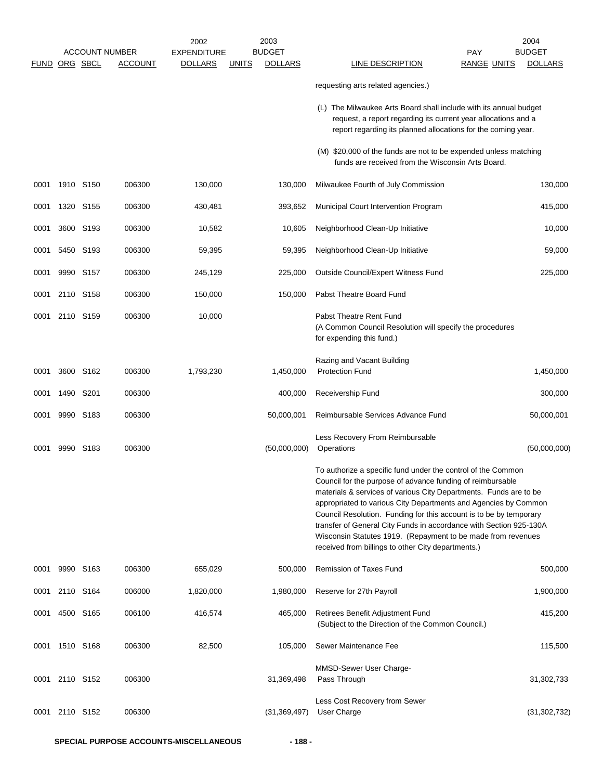|                      |                |           |                                         | 2002                                 | 2003                                            |                                                                                                                                                                                                                                                                                                                                                                                                                                                                                                                                      |                                  | 2004                            |
|----------------------|----------------|-----------|-----------------------------------------|--------------------------------------|-------------------------------------------------|--------------------------------------------------------------------------------------------------------------------------------------------------------------------------------------------------------------------------------------------------------------------------------------------------------------------------------------------------------------------------------------------------------------------------------------------------------------------------------------------------------------------------------------|----------------------------------|---------------------------------|
| <b>FUND ORG SBCL</b> |                |           | <b>ACCOUNT NUMBER</b><br><b>ACCOUNT</b> | <b>EXPENDITURE</b><br><b>DOLLARS</b> | <b>BUDGET</b><br><b>DOLLARS</b><br><u>UNITS</u> | LINE DESCRIPTION                                                                                                                                                                                                                                                                                                                                                                                                                                                                                                                     | <b>PAY</b><br><b>RANGE UNITS</b> | <b>BUDGET</b><br><b>DOLLARS</b> |
|                      |                |           |                                         |                                      |                                                 | requesting arts related agencies.)                                                                                                                                                                                                                                                                                                                                                                                                                                                                                                   |                                  |                                 |
|                      |                |           |                                         |                                      |                                                 | (L) The Milwaukee Arts Board shall include with its annual budget<br>request, a report regarding its current year allocations and a<br>report regarding its planned allocations for the coming year.                                                                                                                                                                                                                                                                                                                                 |                                  |                                 |
|                      |                |           |                                         |                                      |                                                 | (M) \$20,000 of the funds are not to be expended unless matching<br>funds are received from the Wisconsin Arts Board.                                                                                                                                                                                                                                                                                                                                                                                                                |                                  |                                 |
| 0001                 |                | 1910 S150 | 006300                                  | 130,000                              | 130,000                                         | Milwaukee Fourth of July Commission                                                                                                                                                                                                                                                                                                                                                                                                                                                                                                  |                                  | 130,000                         |
| 0001                 | 1320 S155      |           | 006300                                  | 430,481                              | 393,652                                         | Municipal Court Intervention Program                                                                                                                                                                                                                                                                                                                                                                                                                                                                                                 |                                  | 415,000                         |
| 0001                 |                | 3600 S193 | 006300                                  | 10,582                               | 10,605                                          | Neighborhood Clean-Up Initiative                                                                                                                                                                                                                                                                                                                                                                                                                                                                                                     |                                  | 10,000                          |
| 0001                 |                | 5450 S193 | 006300                                  | 59,395                               | 59,395                                          | Neighborhood Clean-Up Initiative                                                                                                                                                                                                                                                                                                                                                                                                                                                                                                     |                                  | 59,000                          |
| 0001                 |                | 9990 S157 | 006300                                  | 245,129                              | 225,000                                         | Outside Council/Expert Witness Fund                                                                                                                                                                                                                                                                                                                                                                                                                                                                                                  |                                  | 225,000                         |
| 0001                 | 2110 S158      |           | 006300                                  | 150,000                              | 150,000                                         | Pabst Theatre Board Fund                                                                                                                                                                                                                                                                                                                                                                                                                                                                                                             |                                  |                                 |
| 0001                 | 2110 S159      |           | 006300                                  | 10,000                               |                                                 | Pabst Theatre Rent Fund<br>(A Common Council Resolution will specify the procedures<br>for expending this fund.)                                                                                                                                                                                                                                                                                                                                                                                                                     |                                  |                                 |
| 0001                 |                | 3600 S162 | 006300                                  | 1,793,230                            | 1,450,000                                       | Razing and Vacant Building<br><b>Protection Fund</b>                                                                                                                                                                                                                                                                                                                                                                                                                                                                                 |                                  | 1,450,000                       |
| 0001                 | 1490           | S201      | 006300                                  |                                      | 400,000                                         | Receivership Fund                                                                                                                                                                                                                                                                                                                                                                                                                                                                                                                    |                                  | 300,000                         |
| 0001                 |                | 9990 S183 | 006300                                  |                                      | 50,000,001                                      | Reimbursable Services Advance Fund                                                                                                                                                                                                                                                                                                                                                                                                                                                                                                   |                                  | 50,000,001                      |
| 0001                 |                | 9990 S183 | 006300                                  |                                      | (50,000,000)                                    | Less Recovery From Reimbursable<br>Operations                                                                                                                                                                                                                                                                                                                                                                                                                                                                                        |                                  | (50,000,000)                    |
|                      |                |           |                                         |                                      |                                                 | To authorize a specific fund under the control of the Common<br>Council for the purpose of advance funding of reimbursable<br>materials & services of various City Departments. Funds are to be<br>appropriated to various City Departments and Agencies by Common<br>Council Resolution. Funding for this account is to be by temporary<br>transfer of General City Funds in accordance with Section 925-130A<br>Wisconsin Statutes 1919. (Repayment to be made from revenues<br>received from billings to other City departments.) |                                  |                                 |
| 0001                 |                | 9990 S163 | 006300                                  | 655,029                              | 500,000                                         | Remission of Taxes Fund                                                                                                                                                                                                                                                                                                                                                                                                                                                                                                              |                                  | 500,000                         |
|                      | 0001 2110 S164 |           | 006000                                  | 1,820,000                            | 1,980,000                                       | Reserve for 27th Payroll                                                                                                                                                                                                                                                                                                                                                                                                                                                                                                             |                                  | 1,900,000                       |
|                      | 0001 4500 S165 |           | 006100                                  | 416,574                              | 465,000                                         | Retirees Benefit Adjustment Fund<br>(Subject to the Direction of the Common Council.)                                                                                                                                                                                                                                                                                                                                                                                                                                                |                                  | 415,200                         |
| 0001                 | 1510 S168      |           | 006300                                  | 82,500                               | 105,000                                         | Sewer Maintenance Fee                                                                                                                                                                                                                                                                                                                                                                                                                                                                                                                |                                  | 115,500                         |
|                      | 0001 2110 S152 |           | 006300                                  |                                      | 31,369,498                                      | MMSD-Sewer User Charge-<br>Pass Through                                                                                                                                                                                                                                                                                                                                                                                                                                                                                              |                                  | 31,302,733                      |
|                      | 0001 2110 S152 |           | 006300                                  |                                      | (31, 369, 497)                                  | Less Cost Recovery from Sewer<br>User Charge                                                                                                                                                                                                                                                                                                                                                                                                                                                                                         |                                  | (31, 302, 732)                  |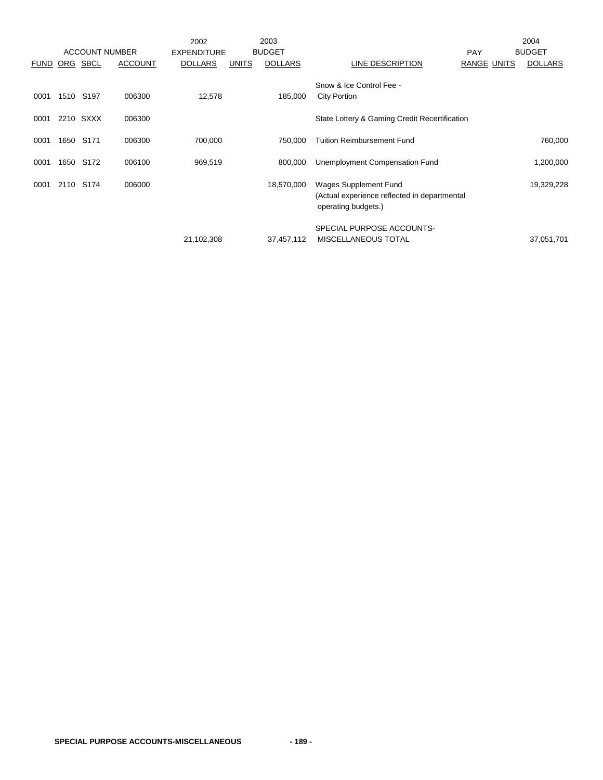|              |          |                               |                  | 2002               |              | 2003           |                                                                                                  |             | 2004           |
|--------------|----------|-------------------------------|------------------|--------------------|--------------|----------------|--------------------------------------------------------------------------------------------------|-------------|----------------|
|              |          | <b>ACCOUNT NUMBER</b>         |                  | <b>EXPENDITURE</b> |              | <b>BUDGET</b>  |                                                                                                  | <b>PAY</b>  | <b>BUDGET</b>  |
| <b>FUND</b>  | ORG SBCL |                               | <b>ACCOUNT</b>   | <b>DOLLARS</b>     | <b>UNITS</b> | <b>DOLLARS</b> | LINE DESCRIPTION                                                                                 | RANGE UNITS | <b>DOLLARS</b> |
| 0001<br>0001 | 1510     | S <sub>197</sub><br>2210 SXXX | 006300<br>006300 | 12,578             |              | 185,000        | Snow & Ice Control Fee -<br><b>City Portion</b><br>State Lottery & Gaming Credit Recertification |             |                |
|              |          |                               |                  |                    |              |                |                                                                                                  |             |                |
| 0001         | 1650     | S171                          | 006300           | 700,000            |              | 750,000        | <b>Tuition Reimbursement Fund</b>                                                                |             | 760,000        |
| 0001         | 1650     | S172                          | 006100           | 969,519            |              | 800,000        | Unemployment Compensation Fund                                                                   |             | 1,200,000      |
| 0001         | 2110     | S <sub>174</sub>              | 006000           |                    |              | 18,570,000     | Wages Supplement Fund<br>(Actual experience reflected in departmental<br>operating budgets.)     |             | 19,329,228     |
|              |          |                               |                  | 21,102,308         |              | 37,457,112     | SPECIAL PURPOSE ACCOUNTS-<br><b>MISCELLANEOUS TOTAL</b>                                          |             | 37,051,701     |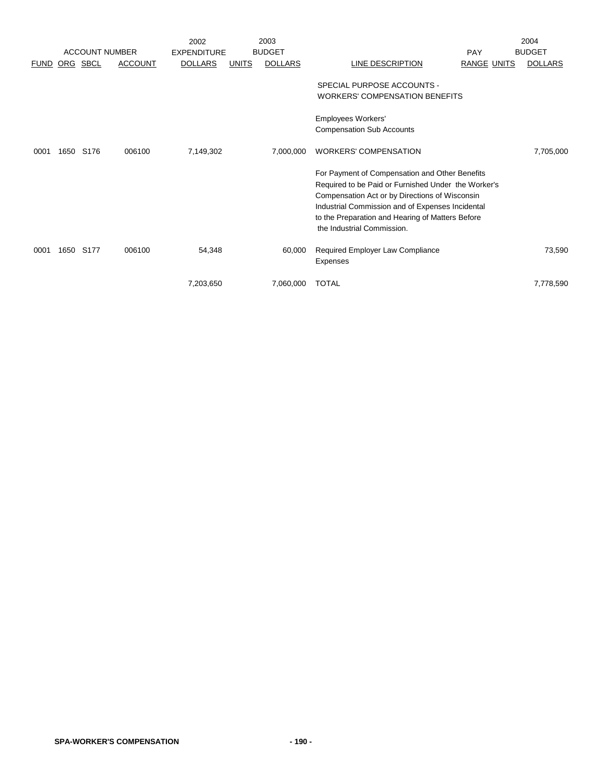|             |      |                       |                | 2002               |              | 2003           |                                                     |             | 2004           |
|-------------|------|-----------------------|----------------|--------------------|--------------|----------------|-----------------------------------------------------|-------------|----------------|
|             |      | <b>ACCOUNT NUMBER</b> |                | <b>EXPENDITURE</b> |              | <b>BUDGET</b>  |                                                     | PAY         | <b>BUDGET</b>  |
| <b>FUND</b> |      | ORG SBCL              | <b>ACCOUNT</b> | <b>DOLLARS</b>     | <b>UNITS</b> | <b>DOLLARS</b> | LINE DESCRIPTION                                    | RANGE UNITS | <b>DOLLARS</b> |
|             |      |                       |                |                    |              |                | SPECIAL PURPOSE ACCOUNTS -                          |             |                |
|             |      |                       |                |                    |              |                | <b>WORKERS' COMPENSATION BENEFITS</b>               |             |                |
|             |      |                       |                |                    |              |                | Employees Workers'                                  |             |                |
|             |      |                       |                |                    |              |                | <b>Compensation Sub Accounts</b>                    |             |                |
| 0001        | 1650 | S176                  | 006100         | 7,149,302          |              | 7,000,000      | <b>WORKERS' COMPENSATION</b>                        |             | 7,705,000      |
|             |      |                       |                |                    |              |                | For Payment of Compensation and Other Benefits      |             |                |
|             |      |                       |                |                    |              |                | Required to be Paid or Furnished Under the Worker's |             |                |
|             |      |                       |                |                    |              |                | Compensation Act or by Directions of Wisconsin      |             |                |
|             |      |                       |                |                    |              |                | Industrial Commission and of Expenses Incidental    |             |                |
|             |      |                       |                |                    |              |                | to the Preparation and Hearing of Matters Before    |             |                |
|             |      |                       |                |                    |              |                | the Industrial Commission.                          |             |                |
| 0001        | 1650 | S177                  | 006100         | 54,348             |              | 60,000         | Required Employer Law Compliance                    |             | 73,590         |
|             |      |                       |                |                    |              |                | Expenses                                            |             |                |
|             |      |                       |                | 7,203,650          |              | 7,060,000      | <b>TOTAL</b>                                        |             | 7,778,590      |
|             |      |                       |                |                    |              |                |                                                     |             |                |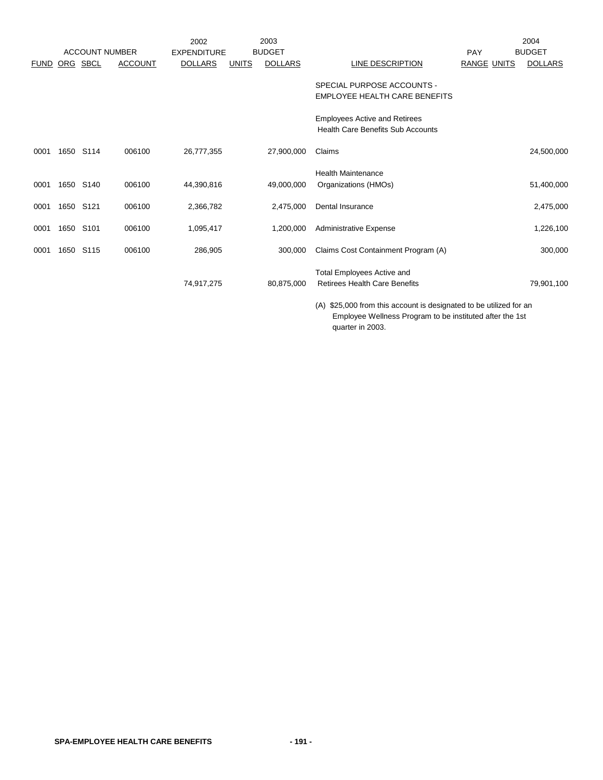|             |      |                       |                | 2002               |              | 2003           |                                                                                  |                    | 2004           |
|-------------|------|-----------------------|----------------|--------------------|--------------|----------------|----------------------------------------------------------------------------------|--------------------|----------------|
|             |      | <b>ACCOUNT NUMBER</b> |                | <b>EXPENDITURE</b> |              | <b>BUDGET</b>  |                                                                                  | PAY                | <b>BUDGET</b>  |
| <b>FUND</b> |      | ORG SBCL              | <b>ACCOUNT</b> | <b>DOLLARS</b>     | <b>UNITS</b> | <b>DOLLARS</b> | LINE DESCRIPTION                                                                 | <b>RANGE UNITS</b> | <b>DOLLARS</b> |
|             |      |                       |                |                    |              |                | SPECIAL PURPOSE ACCOUNTS -<br>EMPLOYEE HEALTH CARE BENEFITS                      |                    |                |
|             |      |                       |                |                    |              |                | <b>Employees Active and Retirees</b><br><b>Health Care Benefits Sub Accounts</b> |                    |                |
| 0001        | 1650 | S114                  | 006100         | 26,777,355         |              | 27,900,000     | Claims                                                                           |                    | 24,500,000     |
| 0001        | 1650 | S140                  | 006100         | 44,390,816         |              | 49,000,000     | <b>Health Maintenance</b><br>Organizations (HMOs)                                |                    | 51,400,000     |
| 0001        | 1650 | S121                  | 006100         | 2,366,782          |              | 2,475,000      | Dental Insurance                                                                 |                    | 2,475,000      |
| 0001        | 1650 | S <sub>101</sub>      | 006100         | 1,095,417          |              | 1,200,000      | <b>Administrative Expense</b>                                                    |                    | 1,226,100      |
| 0001        | 1650 | S115                  | 006100         | 286,905            |              | 300,000        | Claims Cost Containment Program (A)                                              |                    | 300,000        |
|             |      |                       |                | 74,917,275         |              | 80,875,000     | <b>Total Employees Active and</b><br><b>Retirees Health Care Benefits</b>        |                    | 79,901,100     |

(A) \$25,000 from this account is designated to be utilized for an Employee Wellness Program to be instituted after the 1st quarter in 2003.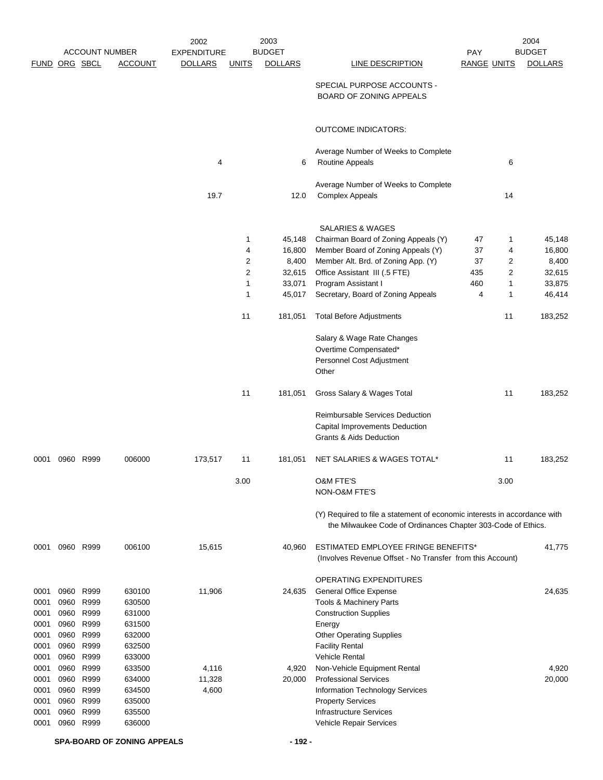|               |      |           |                       | 2002               |                | 2003           |                                                                                                                                           |                    |              | 2004           |
|---------------|------|-----------|-----------------------|--------------------|----------------|----------------|-------------------------------------------------------------------------------------------------------------------------------------------|--------------------|--------------|----------------|
|               |      |           | <b>ACCOUNT NUMBER</b> | <b>EXPENDITURE</b> |                | <b>BUDGET</b>  |                                                                                                                                           | PAY                |              | <b>BUDGET</b>  |
| FUND ORG SBCL |      |           | <b>ACCOUNT</b>        | <b>DOLLARS</b>     | <b>UNITS</b>   | <b>DOLLARS</b> | LINE DESCRIPTION                                                                                                                          | <b>RANGE UNITS</b> |              | <b>DOLLARS</b> |
|               |      |           |                       |                    |                |                | SPECIAL PURPOSE ACCOUNTS -<br><b>BOARD OF ZONING APPEALS</b>                                                                              |                    |              |                |
|               |      |           |                       |                    |                |                | <b>OUTCOME INDICATORS:</b>                                                                                                                |                    |              |                |
|               |      |           |                       |                    |                |                |                                                                                                                                           |                    |              |                |
|               |      |           |                       | 4                  |                | 6              | Average Number of Weeks to Complete<br><b>Routine Appeals</b>                                                                             |                    | 6            |                |
|               |      |           |                       |                    |                |                | Average Number of Weeks to Complete                                                                                                       |                    |              |                |
|               |      |           |                       | 19.7               |                | 12.0           | <b>Complex Appeals</b>                                                                                                                    |                    | 14           |                |
|               |      |           |                       |                    |                |                | <b>SALARIES &amp; WAGES</b>                                                                                                               |                    |              |                |
|               |      |           |                       |                    | 1              | 45,148         | Chairman Board of Zoning Appeals (Y)                                                                                                      | 47                 | 1            | 45,148         |
|               |      |           |                       |                    | 4              | 16,800         | Member Board of Zoning Appeals (Y)                                                                                                        | 37                 | 4            | 16,800         |
|               |      |           |                       |                    | $\overline{2}$ | 8,400          | Member Alt. Brd. of Zoning App. (Y)                                                                                                       | 37                 | 2            | 8,400          |
|               |      |           |                       |                    | 2              | 32,615         | Office Assistant III (.5 FTE)                                                                                                             | 435                | 2            | 32,615         |
|               |      |           |                       |                    | 1              | 33,071         | Program Assistant I                                                                                                                       | 460                | $\mathbf{1}$ | 33,875         |
|               |      |           |                       |                    | 1              | 45,017         | Secretary, Board of Zoning Appeals                                                                                                        | 4                  | 1            | 46,414         |
|               |      |           |                       |                    | 11             | 181,051        | <b>Total Before Adjustments</b>                                                                                                           |                    | 11           | 183,252        |
|               |      |           |                       |                    |                |                | Salary & Wage Rate Changes                                                                                                                |                    |              |                |
|               |      |           |                       |                    |                |                | Overtime Compensated*<br>Personnel Cost Adjustment                                                                                        |                    |              |                |
|               |      |           |                       |                    |                |                | Other                                                                                                                                     |                    |              |                |
|               |      |           |                       |                    | 11             | 181,051        | Gross Salary & Wages Total                                                                                                                |                    | 11           | 183,252        |
|               |      |           |                       |                    |                |                | Reimbursable Services Deduction<br>Capital Improvements Deduction<br>Grants & Aids Deduction                                              |                    |              |                |
| 0001          | 0960 | R999      | 006000                | 173,517            | 11             | 181,051        | NET SALARIES & WAGES TOTAL*                                                                                                               |                    | 11           | 183,252        |
|               |      |           |                       |                    | 3.00           |                | O&M FTE'S<br>NON-O&M FTE'S                                                                                                                |                    | 3.00         |                |
|               |      |           |                       |                    |                |                | (Y) Required to file a statement of economic interests in accordance with<br>the Milwaukee Code of Ordinances Chapter 303-Code of Ethics. |                    |              |                |
| 0001          |      | 0960 R999 | 006100                | 15,615             |                | 40,960         | ESTIMATED EMPLOYEE FRINGE BENEFITS*<br>(Involves Revenue Offset - No Transfer from this Account)                                          |                    |              | 41,775         |
|               |      | 0960 R999 | 630100                |                    |                |                | OPERATING EXPENDITURES<br><b>General Office Expense</b>                                                                                   |                    |              |                |
| 0001<br>0001  | 0960 | R999      | 630500                | 11,906             |                | 24,635         | Tools & Machinery Parts                                                                                                                   |                    |              | 24,635         |
| 0001          | 0960 | R999      | 631000                |                    |                |                | <b>Construction Supplies</b>                                                                                                              |                    |              |                |
| 0001          |      | 0960 R999 | 631500                |                    |                |                | Energy                                                                                                                                    |                    |              |                |
| 0001          | 0960 | R999      | 632000                |                    |                |                | <b>Other Operating Supplies</b>                                                                                                           |                    |              |                |
| 0001          | 0960 | R999      | 632500                |                    |                |                | <b>Facility Rental</b>                                                                                                                    |                    |              |                |
| 0001          |      | 0960 R999 | 633000                |                    |                |                | Vehicle Rental                                                                                                                            |                    |              |                |
| 0001          | 0960 | R999      | 633500                | 4,116              |                | 4,920          | Non-Vehicle Equipment Rental                                                                                                              |                    |              | 4,920          |
| 0001          | 0960 | R999      | 634000                | 11,328             |                | 20,000         | <b>Professional Services</b>                                                                                                              |                    |              | 20,000         |
| 0001          |      | 0960 R999 | 634500                | 4,600              |                |                | Information Technology Services                                                                                                           |                    |              |                |
| 0001          |      | 0960 R999 | 635000                |                    |                |                | <b>Property Services</b>                                                                                                                  |                    |              |                |
| 0001          | 0960 | R999      | 635500                |                    |                |                | <b>Infrastructure Services</b>                                                                                                            |                    |              |                |
| 0001          |      | 0960 R999 | 636000                |                    |                |                | Vehicle Repair Services                                                                                                                   |                    |              |                |
|               |      |           |                       |                    |                |                |                                                                                                                                           |                    |              |                |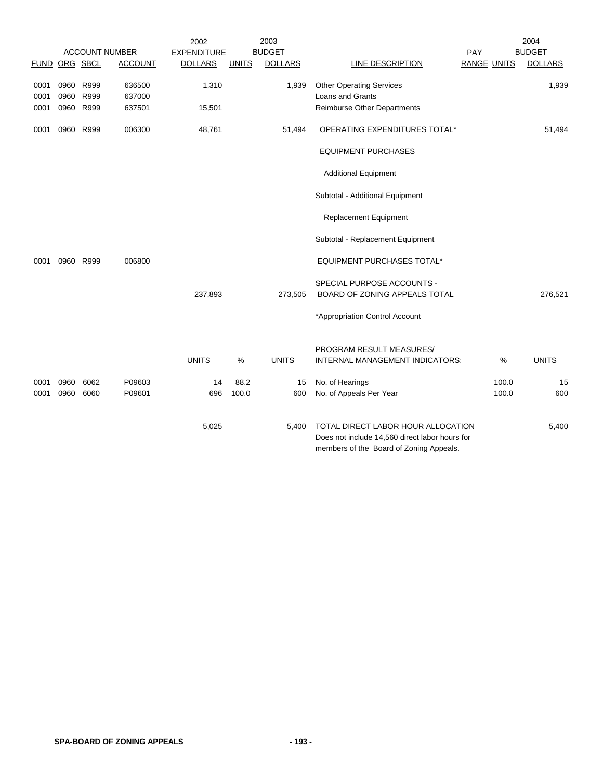|                      |                   |                   | <b>ACCOUNT NUMBER</b>      | 2002<br><b>EXPENDITURE</b> |              | 2003<br><b>BUDGET</b> |                                                                                                                                 | PAY                | 2004<br><b>BUDGET</b> |
|----------------------|-------------------|-------------------|----------------------------|----------------------------|--------------|-----------------------|---------------------------------------------------------------------------------------------------------------------------------|--------------------|-----------------------|
| <b>FUND</b>          |                   | ORG SBCL          | <b>ACCOUNT</b>             | <b>DOLLARS</b>             | <b>UNITS</b> | <b>DOLLARS</b>        | LINE DESCRIPTION                                                                                                                | <b>RANGE UNITS</b> | <b>DOLLARS</b>        |
| 0001<br>0001<br>0001 | 0960 R999<br>0960 | R999<br>0960 R999 | 636500<br>637000<br>637501 | 1,310<br>15,501            |              | 1,939                 | <b>Other Operating Services</b><br>Loans and Grants<br><b>Reimburse Other Departments</b>                                       |                    | 1,939                 |
| 0001                 | 0960 R999         |                   | 006300                     | 48,761                     |              | 51,494                | OPERATING EXPENDITURES TOTAL*                                                                                                   |                    | 51,494                |
|                      |                   |                   |                            |                            |              |                       | <b>EQUIPMENT PURCHASES</b>                                                                                                      |                    |                       |
|                      |                   |                   |                            |                            |              |                       | <b>Additional Equipment</b>                                                                                                     |                    |                       |
|                      |                   |                   |                            |                            |              |                       | Subtotal - Additional Equipment                                                                                                 |                    |                       |
|                      |                   |                   |                            |                            |              |                       | <b>Replacement Equipment</b>                                                                                                    |                    |                       |
|                      |                   |                   |                            |                            |              |                       | Subtotal - Replacement Equipment                                                                                                |                    |                       |
| 0001                 |                   | 0960 R999         | 006800                     |                            |              |                       | <b>EQUIPMENT PURCHASES TOTAL*</b>                                                                                               |                    |                       |
|                      |                   |                   |                            | 237,893                    |              | 273,505               | SPECIAL PURPOSE ACCOUNTS -<br>BOARD OF ZONING APPEALS TOTAL                                                                     |                    | 276,521               |
|                      |                   |                   |                            |                            |              |                       | *Appropriation Control Account                                                                                                  |                    |                       |
|                      |                   |                   |                            | <b>UNITS</b>               | %            | <b>UNITS</b>          | PROGRAM RESULT MEASURES/<br>INTERNAL MANAGEMENT INDICATORS:                                                                     | %                  | <b>UNITS</b>          |
| 0001                 | 0960              | 6062              | P09603                     | 14                         | 88.2         | 15                    | No. of Hearings                                                                                                                 | 100.0              | 15                    |
| 0001                 | 0960              | 6060              | P09601                     | 696                        | 100.0        | 600                   | No. of Appeals Per Year                                                                                                         | 100.0              | 600                   |
|                      |                   |                   |                            | 5,025                      |              | 5,400                 | TOTAL DIRECT LABOR HOUR ALLOCATION<br>Does not include 14,560 direct labor hours for<br>members of the Board of Zoning Appeals. |                    | 5,400                 |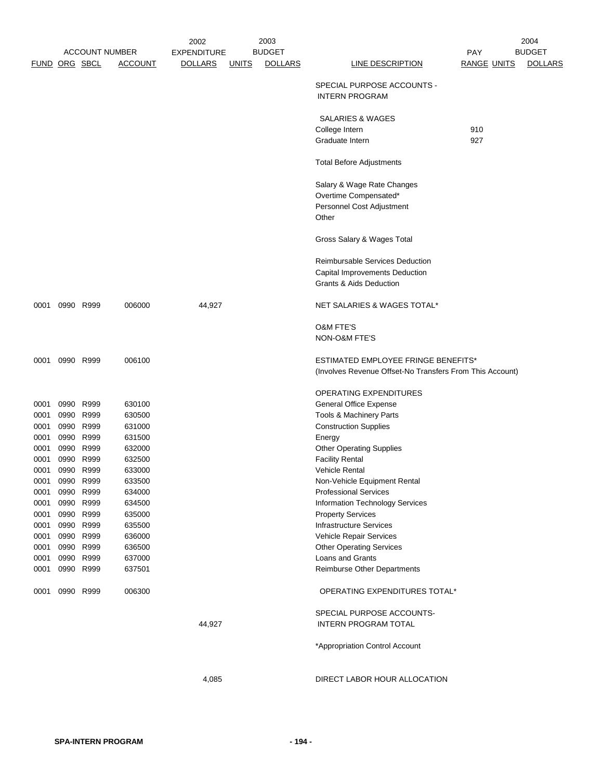|      |                |               | <b>ACCOUNT NUMBER</b> | 2002<br><b>EXPENDITURE</b> |              | 2003<br><b>BUDGET</b> |                                                          | <b>PAY</b>         | 2004<br><b>BUDGET</b> |
|------|----------------|---------------|-----------------------|----------------------------|--------------|-----------------------|----------------------------------------------------------|--------------------|-----------------------|
|      |                |               |                       |                            |              |                       |                                                          |                    |                       |
|      |                | FUND ORG SBCL | <b>ACCOUNT</b>        | <b>DOLLARS</b>             | <u>UNITS</u> | <b>DOLLARS</b>        | <b>LINE DESCRIPTION</b>                                  | <b>RANGE UNITS</b> | <b>DOLLARS</b>        |
|      |                |               |                       |                            |              |                       | SPECIAL PURPOSE ACCOUNTS -<br><b>INTERN PROGRAM</b>      |                    |                       |
|      |                |               |                       |                            |              |                       | <b>SALARIES &amp; WAGES</b>                              |                    |                       |
|      |                |               |                       |                            |              |                       | College Intern                                           | 910                |                       |
|      |                |               |                       |                            |              |                       | Graduate Intern                                          | 927                |                       |
|      |                |               |                       |                            |              |                       | <b>Total Before Adjustments</b>                          |                    |                       |
|      |                |               |                       |                            |              |                       | Salary & Wage Rate Changes                               |                    |                       |
|      |                |               |                       |                            |              |                       | Overtime Compensated*                                    |                    |                       |
|      |                |               |                       |                            |              |                       | Personnel Cost Adjustment                                |                    |                       |
|      |                |               |                       |                            |              |                       | Other                                                    |                    |                       |
|      |                |               |                       |                            |              |                       | Gross Salary & Wages Total                               |                    |                       |
|      |                |               |                       |                            |              |                       |                                                          |                    |                       |
|      |                |               |                       |                            |              |                       | Reimbursable Services Deduction                          |                    |                       |
|      |                |               |                       |                            |              |                       | Capital Improvements Deduction                           |                    |                       |
|      |                |               |                       |                            |              |                       | <b>Grants &amp; Aids Deduction</b>                       |                    |                       |
|      | 0001 0990 R999 |               | 006000                | 44,927                     |              |                       | NET SALARIES & WAGES TOTAL*                              |                    |                       |
|      |                |               |                       |                            |              |                       | <b>O&amp;M FTE'S</b>                                     |                    |                       |
|      |                |               |                       |                            |              |                       | NON-O&M FTE'S                                            |                    |                       |
|      |                |               |                       |                            |              |                       |                                                          |                    |                       |
|      | 0001 0990 R999 |               | 006100                |                            |              |                       | ESTIMATED EMPLOYEE FRINGE BENEFITS*                      |                    |                       |
|      |                |               |                       |                            |              |                       | (Involves Revenue Offset-No Transfers From This Account) |                    |                       |
|      |                |               |                       |                            |              |                       | OPERATING EXPENDITURES                                   |                    |                       |
| 0001 |                | 0990 R999     | 630100                |                            |              |                       | <b>General Office Expense</b>                            |                    |                       |
| 0001 | 0990           | R999          | 630500                |                            |              |                       | Tools & Machinery Parts                                  |                    |                       |
| 0001 | 0990           | R999          | 631000                |                            |              |                       | <b>Construction Supplies</b>                             |                    |                       |
| 0001 |                | 0990 R999     | 631500                |                            |              |                       | Energy                                                   |                    |                       |
| 0001 | 0990           | R999          | 632000                |                            |              |                       | <b>Other Operating Supplies</b>                          |                    |                       |
| 0001 | 0990           | R999          | 632500                |                            |              |                       | <b>Facility Rental</b>                                   |                    |                       |
| 0001 |                | 0990 R999     | 633000                |                            |              |                       | <b>Vehicle Rental</b>                                    |                    |                       |
|      | 0001 0990 R999 |               | 633500                |                            |              |                       | Non-Vehicle Equipment Rental                             |                    |                       |
| 0001 | 0990 R999      |               | 634000                |                            |              |                       | <b>Professional Services</b>                             |                    |                       |
| 0001 | 0990 R999      |               | 634500                |                            |              |                       | <b>Information Technology Services</b>                   |                    |                       |
|      | 0001 0990 R999 |               | 635000                |                            |              |                       | <b>Property Services</b>                                 |                    |                       |
| 0001 | 0990 R999      |               | 635500                |                            |              |                       | <b>Infrastructure Services</b>                           |                    |                       |
| 0001 | 0990           | R999          | 636000                |                            |              |                       | Vehicle Repair Services                                  |                    |                       |
| 0001 | 0990 R999      |               | 636500                |                            |              |                       | <b>Other Operating Services</b>                          |                    |                       |
|      | 0001 0990 R999 |               | 637000                |                            |              |                       | Loans and Grants                                         |                    |                       |
|      | 0001 0990 R999 |               | 637501                |                            |              |                       | Reimburse Other Departments                              |                    |                       |
| 0001 | 0990 R999      |               | 006300                |                            |              |                       | OPERATING EXPENDITURES TOTAL*                            |                    |                       |
|      |                |               |                       |                            |              |                       | SPECIAL PURPOSE ACCOUNTS-                                |                    |                       |
|      |                |               |                       | 44,927                     |              |                       | <b>INTERN PROGRAM TOTAL</b>                              |                    |                       |
|      |                |               |                       |                            |              |                       |                                                          |                    |                       |
|      |                |               |                       |                            |              |                       | *Appropriation Control Account                           |                    |                       |
|      |                |               |                       |                            |              |                       |                                                          |                    |                       |
|      |                |               |                       | 4,085                      |              |                       | DIRECT LABOR HOUR ALLOCATION                             |                    |                       |
|      |                |               |                       |                            |              |                       |                                                          |                    |                       |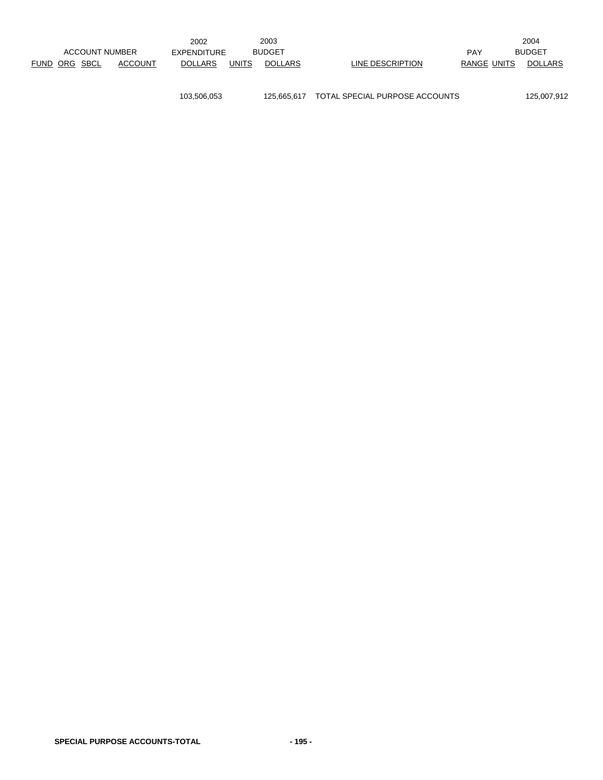|                         |         | 2002               |       | 2003           |                  |                    |               | 2004           |
|-------------------------|---------|--------------------|-------|----------------|------------------|--------------------|---------------|----------------|
| <b>ACCOUNT NUMBER</b>   |         | <b>EXPENDITURE</b> |       | <b>BUDGET</b>  |                  | <b>PAY</b>         | <b>BUDGET</b> |                |
| <b>FUND</b><br>ORG SBCL | ACCOUNT | <b>DOLLARS</b>     | UNITS | <b>DOLLARS</b> | LINE DESCRIPTION | <b>RANGE UNITS</b> |               | <b>DOLLARS</b> |
|                         |         |                    |       |                |                  |                    |               |                |

103,506,053 125,665,617 TOTAL SPECIAL PURPOSE ACCOUNTS 125,007,912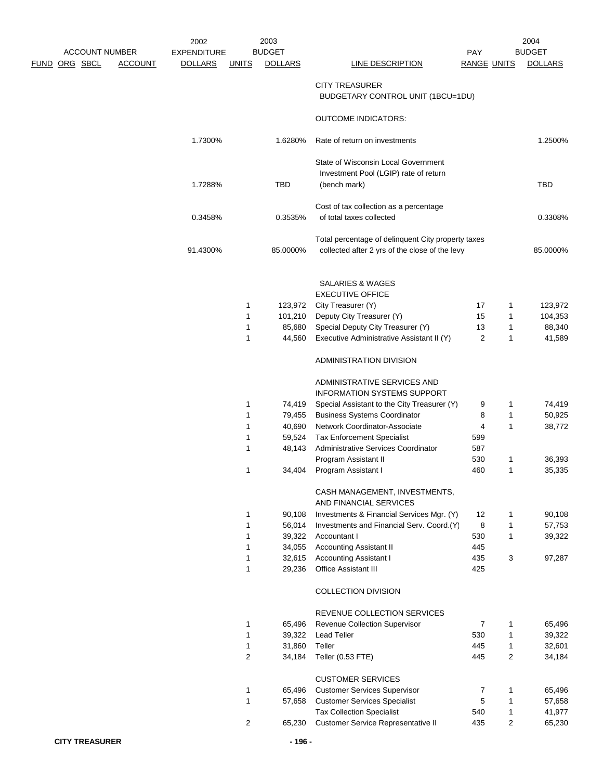|  |                      |                       | 2002               |              | 2003             |                                                                     |                    |                | 2004           |
|--|----------------------|-----------------------|--------------------|--------------|------------------|---------------------------------------------------------------------|--------------------|----------------|----------------|
|  |                      | <b>ACCOUNT NUMBER</b> | <b>EXPENDITURE</b> |              | <b>BUDGET</b>    |                                                                     | <b>PAY</b>         |                | <b>BUDGET</b>  |
|  | <u>FUND ORG SBCL</u> | <b>ACCOUNT</b>        | <b>DOLLARS</b>     | <b>UNITS</b> | <b>DOLLARS</b>   | LINE DESCRIPTION                                                    | <b>RANGE UNITS</b> |                | <b>DOLLARS</b> |
|  |                      |                       |                    |              |                  | <b>CITY TREASURER</b>                                               |                    |                |                |
|  |                      |                       |                    |              |                  | BUDGETARY CONTROL UNIT (1BCU=1DU)                                   |                    |                |                |
|  |                      |                       |                    |              |                  | <b>OUTCOME INDICATORS:</b>                                          |                    |                |                |
|  |                      |                       | 1.7300%            |              | 1.6280%          | Rate of return on investments                                       |                    |                | 1.2500%        |
|  |                      |                       |                    |              |                  | State of Wisconsin Local Government                                 |                    |                |                |
|  |                      |                       |                    |              |                  | Investment Pool (LGIP) rate of return                               |                    |                |                |
|  |                      |                       | 1.7288%            |              | TBD              | (bench mark)                                                        |                    |                | TBD            |
|  |                      |                       |                    |              |                  | Cost of tax collection as a percentage                              |                    |                |                |
|  |                      |                       | 0.3458%            |              | 0.3535%          | of total taxes collected                                            |                    |                | 0.3308%        |
|  |                      |                       |                    |              |                  | Total percentage of delinquent City property taxes                  |                    |                |                |
|  |                      |                       | 91.4300%           |              | 85.0000%         | collected after 2 yrs of the close of the levy                      |                    |                | 85.0000%       |
|  |                      |                       |                    |              |                  | SALARIES & WAGES                                                    |                    |                |                |
|  |                      |                       |                    |              |                  | <b>EXECUTIVE OFFICE</b>                                             |                    |                |                |
|  |                      |                       |                    | 1            | 123,972          | City Treasurer (Y)                                                  | 17                 | 1              | 123,972        |
|  |                      |                       |                    | 1            | 101,210          | Deputy City Treasurer (Y)                                           | 15                 | 1              | 104,353        |
|  |                      |                       |                    | 1            | 85,680           | Special Deputy City Treasurer (Y)                                   | 13                 | 1              | 88,340         |
|  |                      |                       |                    | $\mathbf{1}$ | 44,560           | Executive Administrative Assistant II (Y)                           | $\overline{2}$     | 1              | 41,589         |
|  |                      |                       |                    |              |                  | ADMINISTRATION DIVISION                                             |                    |                |                |
|  |                      |                       |                    |              |                  | ADMINISTRATIVE SERVICES AND                                         |                    |                |                |
|  |                      |                       |                    |              |                  | <b>INFORMATION SYSTEMS SUPPORT</b>                                  |                    |                |                |
|  |                      |                       |                    | 1            | 74,419           | Special Assistant to the City Treasurer (Y)                         | 9                  | 1              | 74,419         |
|  |                      |                       |                    | 1            | 79,455           | <b>Business Systems Coordinator</b>                                 | 8                  | 1              | 50,925         |
|  |                      |                       |                    | $\mathbf{1}$ | 40,690           | Network Coordinator-Associate                                       | 4                  | 1              | 38,772         |
|  |                      |                       |                    | 1            | 59,524           | <b>Tax Enforcement Specialist</b>                                   | 599                |                |                |
|  |                      |                       |                    | 1            | 48,143           | Administrative Services Coordinator                                 | 587                |                |                |
|  |                      |                       |                    |              |                  | Program Assistant II                                                | 530                | 1              | 36,393         |
|  |                      |                       |                    | 1            | 34,404           | Program Assistant I                                                 | 460                | 1              | 35,335         |
|  |                      |                       |                    |              |                  | CASH MANAGEMENT, INVESTMENTS,                                       |                    |                |                |
|  |                      |                       |                    |              |                  | AND FINANCIAL SERVICES<br>Investments & Financial Services Mgr. (Y) |                    |                |                |
|  |                      |                       |                    | 1<br>1       | 90,108<br>56,014 | Investments and Financial Serv. Coord.(Y)                           | 12<br>8            | 1<br>1         | 90,108         |
|  |                      |                       |                    | 1            | 39,322           | Accountant I                                                        | 530                | 1              | 57,753         |
|  |                      |                       |                    | $\mathbf{1}$ | 34,055           | <b>Accounting Assistant II</b>                                      | 445                |                | 39,322         |
|  |                      |                       |                    | 1            | 32,615           | <b>Accounting Assistant I</b>                                       | 435                | 3              | 97,287         |
|  |                      |                       |                    | $\mathbf{1}$ | 29,236           | Office Assistant III                                                | 425                |                |                |
|  |                      |                       |                    |              |                  | COLLECTION DIVISION                                                 |                    |                |                |
|  |                      |                       |                    |              |                  | REVENUE COLLECTION SERVICES                                         |                    |                |                |
|  |                      |                       |                    | 1            | 65,496           | Revenue Collection Supervisor                                       | $\overline{7}$     | 1              | 65,496         |
|  |                      |                       |                    | 1            | 39,322           | <b>Lead Teller</b>                                                  | 530                | $\mathbf{1}$   | 39,322         |
|  |                      |                       |                    | $\mathbf{1}$ | 31,860           | Teller                                                              | 445                | 1              | 32,601         |
|  |                      |                       |                    | 2            | 34,184           | Teller (0.53 FTE)                                                   | 445                | $\overline{c}$ | 34,184         |
|  |                      |                       |                    |              |                  | <b>CUSTOMER SERVICES</b>                                            |                    |                |                |
|  |                      |                       |                    | 1            | 65,496           | <b>Customer Services Supervisor</b>                                 | 7                  | 1              | 65,496         |
|  |                      |                       |                    | 1            | 57,658           | <b>Customer Services Specialist</b>                                 | 5                  | 1              | 57,658         |
|  |                      |                       |                    |              |                  | <b>Tax Collection Specialist</b>                                    | 540                | 1              | 41,977         |
|  |                      |                       |                    | 2            | 65,230           | Customer Service Representative II                                  | 435                | 2              | 65,230         |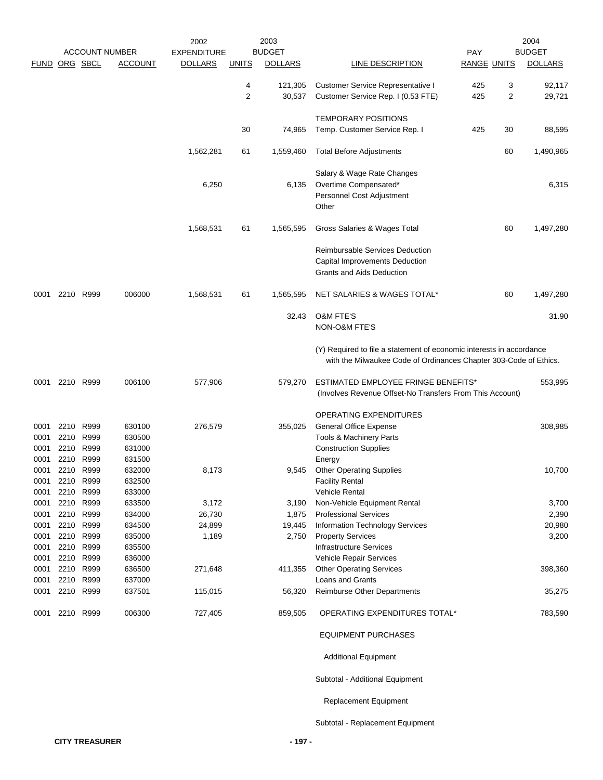|                      |                      |                           |                            | 2002               |              | 2003              |                                                                                                                                           |                    |        | 2004             |
|----------------------|----------------------|---------------------------|----------------------------|--------------------|--------------|-------------------|-------------------------------------------------------------------------------------------------------------------------------------------|--------------------|--------|------------------|
|                      |                      |                           | <b>ACCOUNT NUMBER</b>      | <b>EXPENDITURE</b> |              | <b>BUDGET</b>     |                                                                                                                                           | <b>PAY</b>         |        | <b>BUDGET</b>    |
| FUND ORG SBCL        |                      |                           | <b>ACCOUNT</b>             | <b>DOLLARS</b>     | <b>UNITS</b> | <b>DOLLARS</b>    | LINE DESCRIPTION                                                                                                                          | <b>RANGE UNITS</b> |        | <b>DOLLARS</b>   |
|                      |                      |                           |                            |                    | 4<br>2       | 121,305<br>30,537 | <b>Customer Service Representative I</b><br>Customer Service Rep. I (0.53 FTE)                                                            | 425<br>425         | 3<br>2 | 92,117<br>29,721 |
|                      |                      |                           |                            |                    | 30           | 74,965            | <b>TEMPORARY POSITIONS</b><br>Temp. Customer Service Rep. I                                                                               | 425                | 30     | 88,595           |
|                      |                      |                           |                            | 1,562,281          | 61           | 1,559,460         | <b>Total Before Adjustments</b>                                                                                                           |                    | 60     | 1,490,965        |
|                      |                      |                           |                            |                    |              |                   |                                                                                                                                           |                    |        |                  |
|                      |                      |                           |                            | 6,250              |              | 6,135             | Salary & Wage Rate Changes<br>Overtime Compensated*<br>Personnel Cost Adjustment<br>Other                                                 |                    |        | 6,315            |
|                      |                      |                           |                            | 1,568,531          | 61           | 1,565,595         | Gross Salaries & Wages Total                                                                                                              |                    | 60     | 1,497,280        |
|                      |                      |                           |                            |                    |              |                   | <b>Reimbursable Services Deduction</b><br>Capital Improvements Deduction<br><b>Grants and Aids Deduction</b>                              |                    |        |                  |
| 0001                 |                      | 2210 R999                 | 006000                     | 1,568,531          | 61           | 1,565,595         | NET SALARIES & WAGES TOTAL*                                                                                                               |                    | 60     | 1,497,280        |
|                      |                      |                           |                            |                    |              | 32.43             | <b>O&amp;M FTE'S</b><br>NON-O&M FTE'S                                                                                                     |                    |        | 31.90            |
|                      |                      |                           |                            |                    |              |                   | (Y) Required to file a statement of economic interests in accordance<br>with the Milwaukee Code of Ordinances Chapter 303-Code of Ethics. |                    |        |                  |
| 0001                 |                      | 2210 R999                 | 006100                     | 577,906            |              | 579,270           | ESTIMATED EMPLOYEE FRINGE BENEFITS*<br>(Involves Revenue Offset-No Transfers From This Account)                                           |                    |        | 553,995          |
| 0001<br>0001<br>0001 | 2210<br>2210<br>2210 | R999<br>R999<br>R999      | 630100<br>630500<br>631000 | 276,579            |              | 355,025           | OPERATING EXPENDITURES<br>General Office Expense<br>Tools & Machinery Parts<br><b>Construction Supplies</b>                               |                    |        | 308,985          |
| 0001<br>0001<br>0001 | 2210<br>2210         | R999<br>2210 R999<br>R999 | 631500<br>632000<br>632500 | 8,173              |              | 9,545             | Energy<br><b>Other Operating Supplies</b><br><b>Facility Rental</b>                                                                       |                    |        | 10,700           |
| 0001<br>0001         | 2210                 | R999<br>2210 R999         | 633000<br>633500           | 3,172              |              | 3,190             | <b>Vehicle Rental</b><br>Non-Vehicle Equipment Rental                                                                                     |                    |        | 3,700            |
| 0001                 | 2210 R999            |                           | 634000                     | 26,730             |              | 1,875             | <b>Professional Services</b>                                                                                                              |                    |        | 2,390            |
| 0001                 |                      | 2210 R999                 | 634500                     | 24,899             |              | 19,445            | Information Technology Services                                                                                                           |                    |        | 20,980           |
| 0001                 |                      | 2210 R999                 | 635000                     | 1,189              |              | 2,750             | <b>Property Services</b>                                                                                                                  |                    |        | 3,200            |
| 0001                 |                      | 2210 R999                 | 635500                     |                    |              |                   | <b>Infrastructure Services</b>                                                                                                            |                    |        |                  |
| 0001                 |                      | 2210 R999                 | 636000                     |                    |              |                   | Vehicle Repair Services                                                                                                                   |                    |        |                  |
| 0001<br>0001         |                      | 2210 R999<br>2210 R999    | 636500<br>637000           | 271,648            |              | 411,355           | <b>Other Operating Services</b><br>Loans and Grants                                                                                       |                    |        | 398,360          |
| 0001                 |                      | 2210 R999                 | 637501                     | 115,015            |              | 56,320            | Reimburse Other Departments                                                                                                               |                    |        | 35,275           |
| 0001                 | 2210                 | R999                      | 006300                     | 727,405            |              | 859,505           | OPERATING EXPENDITURES TOTAL*                                                                                                             |                    |        | 783,590          |
|                      |                      |                           |                            |                    |              |                   | <b>EQUIPMENT PURCHASES</b>                                                                                                                |                    |        |                  |
|                      |                      |                           |                            |                    |              |                   | <b>Additional Equipment</b>                                                                                                               |                    |        |                  |
|                      |                      |                           |                            |                    |              |                   | Subtotal - Additional Equipment                                                                                                           |                    |        |                  |
|                      |                      |                           |                            |                    |              |                   | <b>Replacement Equipment</b>                                                                                                              |                    |        |                  |

Subtotal - Replacement Equipment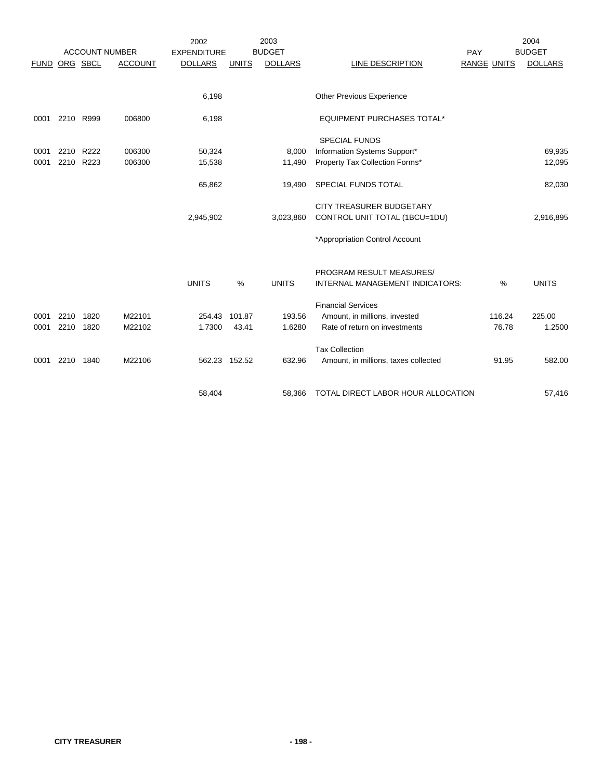|             |           |           |                       | 2002               |              | 2003           |                                        |                    | 2004           |
|-------------|-----------|-----------|-----------------------|--------------------|--------------|----------------|----------------------------------------|--------------------|----------------|
|             |           |           | <b>ACCOUNT NUMBER</b> | <b>EXPENDITURE</b> |              | <b>BUDGET</b>  |                                        | PAY                | <b>BUDGET</b>  |
| <b>FUND</b> | ORG SBCL  |           | <b>ACCOUNT</b>        | <b>DOLLARS</b>     | <b>UNITS</b> | <b>DOLLARS</b> | LINE DESCRIPTION                       | <b>RANGE UNITS</b> | <b>DOLLARS</b> |
|             |           |           |                       |                    |              |                |                                        |                    |                |
|             |           |           |                       | 6,198              |              |                | Other Previous Experience              |                    |                |
| 0001        |           | 2210 R999 | 006800                | 6,198              |              |                | <b>EQUIPMENT PURCHASES TOTAL*</b>      |                    |                |
|             |           |           |                       |                    |              |                | <b>SPECIAL FUNDS</b>                   |                    |                |
| 0001        | 2210      | R222      | 006300                | 50,324             |              | 8,000          | Information Systems Support*           |                    | 69,935         |
| 0001        | 2210      | R223      | 006300                | 15,538             |              | 11,490         | Property Tax Collection Forms*         |                    | 12,095         |
|             |           |           |                       | 65,862             |              | 19,490         | SPECIAL FUNDS TOTAL                    |                    | 82,030         |
|             |           |           |                       |                    |              |                | <b>CITY TREASURER BUDGETARY</b>        |                    |                |
|             |           |           |                       | 2,945,902          |              | 3,023,860      | CONTROL UNIT TOTAL (1BCU=1DU)          |                    | 2,916,895      |
|             |           |           |                       |                    |              |                | *Appropriation Control Account         |                    |                |
|             |           |           |                       |                    |              |                | PROGRAM RESULT MEASURES/               |                    |                |
|             |           |           |                       | <b>UNITS</b>       | %            | <b>UNITS</b>   | <b>INTERNAL MANAGEMENT INDICATORS:</b> | $\%$               | <b>UNITS</b>   |
|             |           |           |                       |                    |              |                | <b>Financial Services</b>              |                    |                |
| 0001        | 2210      | 1820      | M22101                | 254.43             | 101.87       | 193.56         | Amount, in millions, invested          | 116.24             | 225.00         |
| 0001        | 2210 1820 |           | M22102                | 1.7300             | 43.41        | 1.6280         | Rate of return on investments          | 76.78              | 1.2500         |
|             |           |           |                       |                    |              |                |                                        |                    |                |
|             |           |           |                       |                    |              |                | <b>Tax Collection</b>                  |                    |                |
| 0001        |           | 2210 1840 | M22106                | 562.23 152.52      |              | 632.96         | Amount, in millions, taxes collected   | 91.95              | 582.00         |
|             |           |           |                       |                    |              |                |                                        |                    |                |
|             |           |           |                       | 58,404             |              | 58.366         | TOTAL DIRECT LABOR HOUR ALLOCATION     |                    | 57,416         |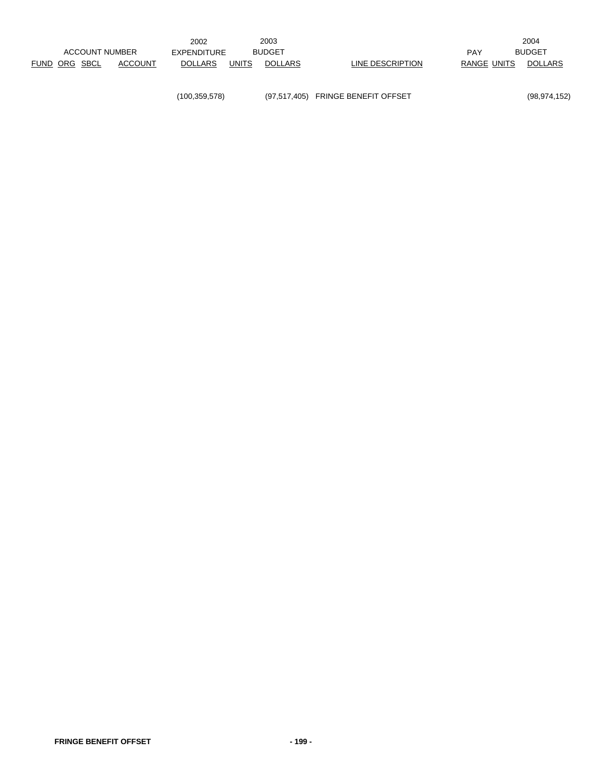|                      |                       |         | 2002           |              | 2003           |                  |             | 2004           |
|----------------------|-----------------------|---------|----------------|--------------|----------------|------------------|-------------|----------------|
|                      | <b>ACCOUNT NUMBER</b> |         | EXPENDITURE    |              | <b>BUDGET</b>  |                  | PAY         | <b>BUDGET</b>  |
| <b>FUND ORG SBCL</b> |                       | ACCOUNT | <b>DOLLARS</b> | <b>UNITS</b> | <b>DOLLARS</b> | LINE DESCRIPTION | RANGE UNITS | <b>DOLLARS</b> |
|                      |                       |         |                |              |                |                  |             |                |

(100,359,578) (97,517,405) FRINGE BENEFIT OFFSET (98,974,152)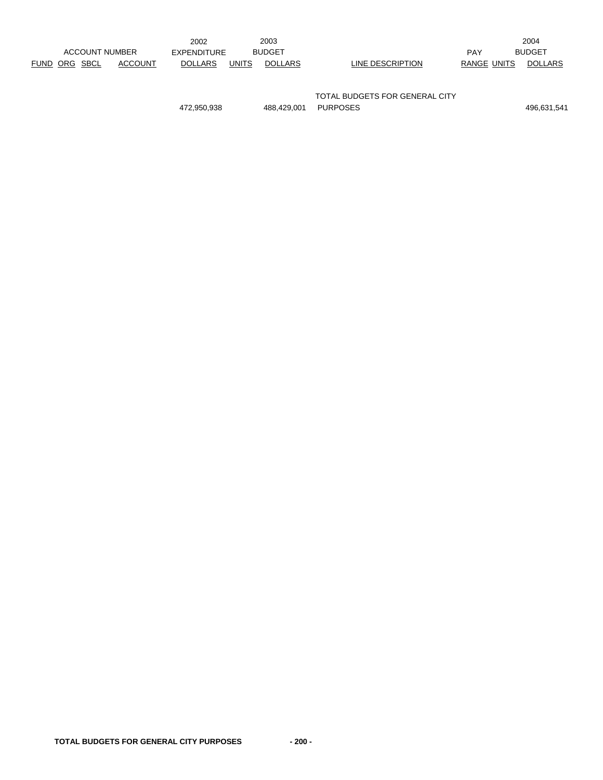|                       |                | 2002           |              | 2003          |                  |             | 2004           |
|-----------------------|----------------|----------------|--------------|---------------|------------------|-------------|----------------|
| <b>ACCOUNT NUMBER</b> |                | EXPENDITURE    |              | <b>BUDGET</b> |                  | PAY         | <b>BUDGET</b>  |
| FUND ORG SBCL         | <b>ACCOUNT</b> | <b>DOLLARS</b> | <b>UNITS</b> | DOLLARS       | LINE DESCRIPTION | RANGE UNITS | <b>DOLLARS</b> |

TOTAL BUDGETS FOR GENERAL CITY 472,950,938 488,429,001 PURPOSES 496,631,541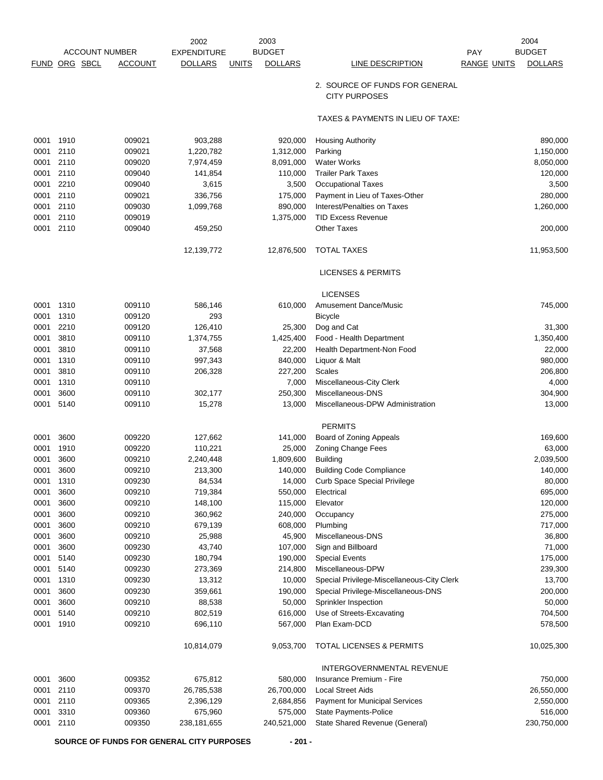|               |      |                       | 2002               |              | 2003           |                                                        |                    | 2004           |
|---------------|------|-----------------------|--------------------|--------------|----------------|--------------------------------------------------------|--------------------|----------------|
|               |      | <b>ACCOUNT NUMBER</b> | <b>EXPENDITURE</b> |              | <b>BUDGET</b>  |                                                        | <b>PAY</b>         | <b>BUDGET</b>  |
| FUND ORG SBCL |      | <b>ACCOUNT</b>        | <b>DOLLARS</b>     | <b>UNITS</b> | <b>DOLLARS</b> | LINE DESCRIPTION                                       | <b>RANGE UNITS</b> | <b>DOLLARS</b> |
|               |      |                       |                    |              |                | 2. SOURCE OF FUNDS FOR GENERAL<br><b>CITY PURPOSES</b> |                    |                |
|               |      |                       |                    |              |                | TAXES & PAYMENTS IN LIEU OF TAXE:                      |                    |                |
| 0001          | 1910 | 009021                | 903,288            |              | 920,000        | <b>Housing Authority</b>                               |                    | 890,000        |
| 0001          | 2110 | 009021                | 1,220,782          |              | 1,312,000      | Parking                                                |                    | 1,150,000      |
| 0001          | 2110 | 009020                | 7,974,459          |              | 8,091,000      | <b>Water Works</b>                                     |                    | 8,050,000      |
| 0001          | 2110 | 009040                | 141,854            |              | 110,000        | <b>Trailer Park Taxes</b>                              |                    | 120,000        |
| 0001          | 2210 | 009040                | 3,615              |              | 3,500          | <b>Occupational Taxes</b>                              |                    | 3,500          |
| 0001          | 2110 | 009021                | 336,756            |              | 175,000        | Payment in Lieu of Taxes-Other                         |                    | 280,000        |
| 0001          | 2110 | 009030                | 1,099,768          |              | 890,000        | Interest/Penalties on Taxes                            |                    | 1,260,000      |
| 0001          | 2110 | 009019                |                    |              | 1,375,000      | <b>TID Excess Revenue</b>                              |                    |                |
| 0001          | 2110 | 009040                | 459,250            |              |                | <b>Other Taxes</b>                                     |                    | 200,000        |
|               |      |                       | 12,139,772         |              | 12,876,500     | <b>TOTAL TAXES</b>                                     |                    | 11,953,500     |
|               |      |                       |                    |              |                | <b>LICENSES &amp; PERMITS</b>                          |                    |                |
|               |      |                       |                    |              |                | <b>LICENSES</b>                                        |                    |                |
| 0001          | 1310 | 009110                | 586,146            |              | 610,000        | <b>Amusement Dance/Music</b>                           |                    | 745,000        |
| 0001          | 1310 | 009120                | 293                |              |                | <b>Bicycle</b>                                         |                    |                |
| 0001          | 2210 | 009120                | 126,410            |              | 25,300         | Dog and Cat                                            |                    | 31,300         |
| 0001          | 3810 | 009110                | 1,374,755          |              | 1,425,400      | Food - Health Department                               |                    | 1,350,400      |
| 0001          | 3810 | 009110                | 37,568             |              | 22,200         | Health Department-Non Food                             |                    | 22,000         |
| 0001          | 1310 | 009110                | 997,343            |              | 840,000        | Liquor & Malt                                          |                    | 980,000        |
| 0001          | 3810 | 009110                | 206,328            |              | 227,200        | <b>Scales</b>                                          |                    | 206,800        |
| 0001          | 1310 | 009110                |                    |              | 7,000          | Miscellaneous-City Clerk                               |                    | 4,000          |
| 0001          | 3600 | 009110                | 302,177            |              | 250,300        | Miscellaneous-DNS                                      |                    | 304,900        |
| 0001          | 5140 | 009110                | 15,278             |              | 13,000         | Miscellaneous-DPW Administration                       |                    | 13,000         |
|               |      |                       |                    |              |                | <b>PERMITS</b>                                         |                    |                |
| 0001          | 3600 | 009220                | 127,662            |              | 141,000        | Board of Zoning Appeals                                |                    | 169,600        |
| 0001          | 1910 | 009220                | 110,221            |              | 25,000         | <b>Zoning Change Fees</b>                              |                    | 63,000         |
| 0001          | 3600 | 009210                | 2,240,448          |              | 1,809,600      | <b>Building</b>                                        |                    | 2,039,500      |
| 0001          | 3600 | 009210                | 213,300            |              | 140,000        | <b>Building Code Compliance</b>                        |                    | 140,000        |
| 0001          | 1310 | 009230                | 84,534             |              | 14,000         | <b>Curb Space Special Privilege</b>                    |                    | 80,000         |
| 0001          | 3600 | 009210                | 719,384            |              | 550,000        | Electrical                                             |                    | 695,000        |
| 0001          | 3600 | 009210                | 148,100            |              | 115,000        | Elevator                                               |                    | 120,000        |
| 0001          | 3600 | 009210                | 360,962            |              | 240,000        | Occupancy                                              |                    | 275,000        |
| 0001          | 3600 | 009210                | 679,139            |              | 608,000        | Plumbing                                               |                    | 717,000        |
| 0001          | 3600 | 009210                | 25,988             |              | 45,900         | Miscellaneous-DNS                                      |                    | 36,800         |
| 0001          | 3600 | 009230                | 43,740             |              | 107,000        | Sign and Billboard                                     |                    | 71,000         |
| 0001          | 5140 | 009230                | 180,794            |              | 190,000        | <b>Special Events</b>                                  |                    | 175,000        |
| 0001          | 5140 | 009230                | 273,369            |              | 214,800        | Miscellaneous-DPW                                      |                    | 239,300        |
| 0001          | 1310 | 009230                | 13,312             |              | 10,000         | Special Privilege-Miscellaneous-City Clerk             |                    | 13,700         |
| 0001          | 3600 | 009230                | 359,661            |              | 190,000        | Special Privilege-Miscellaneous-DNS                    |                    | 200,000        |
| 0001          | 3600 | 009210                | 88,538             |              | 50,000         | Sprinkler Inspection                                   |                    | 50,000         |
| 0001          | 5140 | 009210                | 802,519            |              | 616,000        | Use of Streets-Excavating                              |                    | 704,500        |
| 0001          | 1910 | 009210                | 696,110            |              | 567,000        | Plan Exam-DCD                                          |                    | 578,500        |
|               |      |                       | 10,814,079         |              | 9,053,700      | TOTAL LICENSES & PERMITS                               |                    | 10,025,300     |
|               |      |                       |                    |              |                | INTERGOVERNMENTAL REVENUE                              |                    |                |
| 0001          | 3600 | 009352                | 675,812            |              | 580,000        | Insurance Premium - Fire                               |                    | 750,000        |
| 0001          | 2110 | 009370                | 26,785,538         |              | 26,700,000     | <b>Local Street Aids</b>                               |                    | 26,550,000     |
| 0001          | 2110 | 009365                | 2,396,129          |              | 2,684,856      | Payment for Municipal Services                         |                    | 2,550,000      |
| 0001          | 3310 | 009360                | 675,960            |              | 575,000        | State Payments-Police                                  |                    | 516,000        |
| 0001          | 2110 | 009350                | 238,181,655        |              | 240,521,000    | State Shared Revenue (General)                         |                    | 230,750,000    |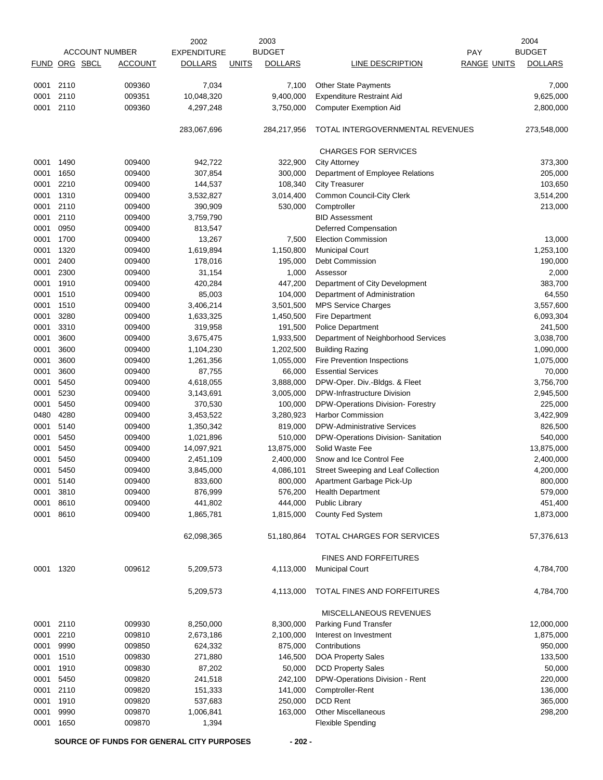|           |          |                       | 2002               |              | 2003           |                                     |                    | 2004           |
|-----------|----------|-----------------------|--------------------|--------------|----------------|-------------------------------------|--------------------|----------------|
|           |          | <b>ACCOUNT NUMBER</b> | <b>EXPENDITURE</b> |              | <b>BUDGET</b>  |                                     | PAY                | <b>BUDGET</b>  |
| FUND      | ORG SBCL | <b>ACCOUNT</b>        | <b>DOLLARS</b>     | <b>UNITS</b> | <b>DOLLARS</b> | LINE DESCRIPTION                    | <b>RANGE UNITS</b> | <b>DOLLARS</b> |
| 0001      | 2110     | 009360                | 7,034              |              | 7,100          | <b>Other State Payments</b>         |                    | 7,000          |
| 0001      | 2110     | 009351                |                    |              | 9,400,000      |                                     |                    |                |
|           | 2110     |                       | 10,048,320         |              |                | <b>Expenditure Restraint Aid</b>    |                    | 9,625,000      |
| 0001      |          | 009360                | 4,297,248          |              | 3,750,000      | <b>Computer Exemption Aid</b>       |                    | 2,800,000      |
|           |          |                       | 283,067,696        |              | 284,217,956    | TOTAL INTERGOVERNMENTAL REVENUES    |                    | 273,548,000    |
|           |          |                       |                    |              |                | <b>CHARGES FOR SERVICES</b>         |                    |                |
| 0001      | 1490     | 009400                | 942,722            |              | 322,900        | <b>City Attorney</b>                |                    | 373,300        |
| 0001      | 1650     | 009400                | 307,854            |              | 300,000        | Department of Employee Relations    |                    | 205,000        |
| 0001      | 2210     | 009400                | 144,537            |              | 108,340        | <b>City Treasurer</b>               |                    | 103,650        |
| 0001      | 1310     | 009400                | 3,532,827          |              | 3,014,400      | Common Council-City Clerk           |                    | 3,514,200      |
| 0001      | 2110     | 009400                | 390,909            |              | 530,000        | Comptroller                         |                    | 213,000        |
| 0001      | 2110     | 009400                | 3,759,790          |              |                | <b>BID Assessment</b>               |                    |                |
| 0001      | 0950     | 009400                | 813,547            |              |                | Deferred Compensation               |                    |                |
| 0001      | 1700     | 009400                | 13,267             |              | 7,500          | <b>Election Commission</b>          |                    | 13,000         |
| 0001      | 1320     | 009400                | 1,619,894          |              | 1,150,800      | <b>Municipal Court</b>              |                    | 1,253,100      |
| 0001      | 2400     | 009400                | 178,016            |              | 195,000        | Debt Commission                     |                    | 190,000        |
| 0001      | 2300     | 009400                | 31,154             |              | 1,000          | Assessor                            |                    | 2,000          |
| 0001      | 1910     | 009400                | 420,284            |              | 447,200        | Department of City Development      |                    | 383,700        |
| 0001      | 1510     | 009400                | 85,003             |              | 104,000        | Department of Administration        |                    | 64,550         |
| 0001      | 1510     | 009400                | 3,406,214          |              | 3,501,500      | MPS Service Charges                 |                    | 3,557,600      |
| 0001      | 3280     | 009400                | 1,633,325          |              | 1,450,500      | <b>Fire Department</b>              |                    | 6,093,304      |
| 0001      | 3310     | 009400                | 319,958            |              | 191,500        | <b>Police Department</b>            |                    | 241,500        |
| 0001      | 3600     | 009400                | 3,675,475          |              | 1,933,500      | Department of Neighborhood Services |                    | 3,038,700      |
| 0001      | 3600     | 009400                | 1,104,230          |              | 1,202,500      | <b>Building Razing</b>              |                    | 1,090,000      |
| 0001      | 3600     | 009400                | 1,261,356          |              | 1,055,000      | Fire Prevention Inspections         |                    | 1,075,000      |
| 0001      | 3600     | 009400                | 87,755             |              | 66,000         | <b>Essential Services</b>           |                    | 70,000         |
| 0001      | 5450     | 009400                | 4,618,055          |              | 3,888,000      | DPW-Oper. Div.-Bldgs. & Fleet       |                    | 3,756,700      |
| 0001      | 5230     | 009400                | 3,143,691          |              | 3,005,000      | DPW-Infrastructure Division         |                    | 2,945,500      |
| 0001      | 5450     | 009400                | 370,530            |              | 100,000        | DPW-Operations Division- Forestry   |                    | 225,000        |
| 0480      | 4280     | 009400                | 3,453,522          |              | 3,280,923      | <b>Harbor Commission</b>            |                    | 3,422,909      |
| 0001      | 5140     | 009400                | 1,350,342          |              | 819,000        | <b>DPW-Administrative Services</b>  |                    | 826,500        |
| 0001      | 5450     | 009400                | 1,021,896          |              | 510,000        | DPW-Operations Division- Sanitation |                    | 540,000        |
| 0001      | 5450     | 009400                | 14,097,921         |              | 13,875,000     | Solid Waste Fee                     |                    | 13,875,000     |
| 0001      | 5450     | 009400                | 2,451,109          |              | 2,400,000      | Snow and Ice Control Fee            |                    | 2,400,000      |
| 0001      | 5450     | 009400                | 3,845,000          |              | 4,086,101      | Street Sweeping and Leaf Collection |                    | 4,200,000      |
| 0001      | 5140     | 009400                | 833,600            |              | 800,000        | Apartment Garbage Pick-Up           |                    | 800,000        |
| 0001      | 3810     | 009400                | 876,999            |              | 576,200        | <b>Health Department</b>            |                    | 579,000        |
| 0001      | 8610     | 009400                | 441,802            |              | 444,000        | <b>Public Library</b>               |                    | 451,400        |
| 0001      | 8610     | 009400                | 1,865,781          |              | 1,815,000      | County Fed System                   |                    | 1,873,000      |
|           |          |                       | 62,098,365         |              | 51,180,864     | TOTAL CHARGES FOR SERVICES          |                    | 57,376,613     |
|           |          |                       |                    |              |                | <b>FINES AND FORFEITURES</b>        |                    |                |
| 0001 1320 |          | 009612                | 5,209,573          |              | 4,113,000      | <b>Municipal Court</b>              |                    | 4,784,700      |
|           |          |                       | 5,209,573          |              | 4,113,000      | TOTAL FINES AND FORFEITURES         |                    | 4,784,700      |
|           |          |                       |                    |              |                | MISCELLANEOUS REVENUES              |                    |                |
| 0001      | 2110     | 009930                | 8,250,000          |              | 8,300,000      | Parking Fund Transfer               |                    | 12,000,000     |
| 0001      | 2210     | 009810                | 2,673,186          |              | 2,100,000      | Interest on Investment              |                    | 1,875,000      |
| 0001      | 9990     | 009850                | 624,332            |              | 875,000        | Contributions                       |                    | 950,000        |
| 0001      | 1510     | 009830                | 271,880            |              | 146,500        | DOA Property Sales                  |                    | 133,500        |
| 0001      | 1910     | 009830                | 87,202             |              | 50,000         | <b>DCD Property Sales</b>           |                    | 50,000         |
| 0001      | 5450     | 009820                | 241,518            |              | 242,100        | DPW-Operations Division - Rent      |                    | 220,000        |
| 0001      | 2110     | 009820                | 151,333            |              | 141,000        | Comptroller-Rent                    |                    | 136,000        |
| 0001      | 1910     | 009820                | 537,683            |              | 250,000        | <b>DCD Rent</b>                     |                    | 365,000        |
| 0001      | 9990     | 009870                | 1,006,841          |              | 163,000        | Other Miscellaneous                 |                    | 298,200        |
| 0001      | 1650     | 009870                | 1,394              |              |                | <b>Flexible Spending</b>            |                    |                |
|           |          |                       |                    |              |                |                                     |                    |                |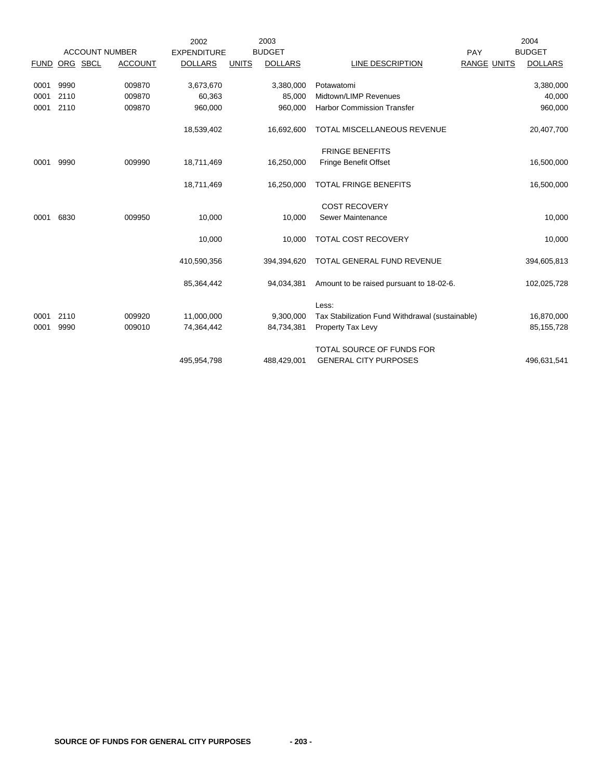|             |          |                       | 2002               |              | 2003           |                                                 |                    | 2004           |
|-------------|----------|-----------------------|--------------------|--------------|----------------|-------------------------------------------------|--------------------|----------------|
|             |          | <b>ACCOUNT NUMBER</b> | <b>EXPENDITURE</b> |              | <b>BUDGET</b>  |                                                 | PAY                | <b>BUDGET</b>  |
| <b>FUND</b> | ORG SBCL | <b>ACCOUNT</b>        | <b>DOLLARS</b>     | <b>UNITS</b> | <b>DOLLARS</b> | LINE DESCRIPTION                                | <b>RANGE UNITS</b> | <b>DOLLARS</b> |
|             |          |                       |                    |              |                |                                                 |                    |                |
| 0001        | 9990     | 009870                | 3,673,670          |              | 3,380,000      | Potawatomi                                      |                    | 3,380,000      |
| 0001        | 2110     | 009870                | 60,363             |              | 85,000         | Midtown/LIMP Revenues                           |                    | 40,000         |
| 0001        | 2110     | 009870                | 960,000            |              | 960.000        | <b>Harbor Commission Transfer</b>               |                    | 960,000        |
|             |          |                       | 18,539,402         |              | 16,692,600     | TOTAL MISCELLANEOUS REVENUE                     |                    | 20,407,700     |
|             |          |                       |                    |              |                |                                                 |                    |                |
|             |          |                       |                    |              |                | <b>FRINGE BENEFITS</b>                          |                    |                |
| 0001        | 9990     | 009990                | 18,711,469         |              | 16,250,000     | <b>Fringe Benefit Offset</b>                    |                    | 16,500,000     |
|             |          |                       |                    |              |                |                                                 |                    |                |
|             |          |                       | 18,711,469         |              | 16,250,000     | TOTAL FRINGE BENEFITS                           |                    | 16,500,000     |
|             |          |                       |                    |              |                |                                                 |                    |                |
|             |          |                       |                    |              |                | <b>COST RECOVERY</b>                            |                    |                |
| 0001        | 6830     | 009950                | 10,000             |              | 10,000         | Sewer Maintenance                               |                    | 10,000         |
|             |          |                       | 10,000             |              | 10,000         | <b>TOTAL COST RECOVERY</b>                      |                    | 10,000         |
|             |          |                       |                    |              |                |                                                 |                    |                |
|             |          |                       | 410,590,356        |              | 394,394,620    | TOTAL GENERAL FUND REVENUE                      |                    | 394,605,813    |
|             |          |                       | 85,364,442         |              | 94,034,381     | Amount to be raised pursuant to 18-02-6.        |                    | 102,025,728    |
|             |          |                       |                    |              |                |                                                 |                    |                |
|             |          |                       |                    |              |                | Less:                                           |                    |                |
| 0001        | 2110     | 009920                | 11,000,000         |              | 9,300,000      | Tax Stabilization Fund Withdrawal (sustainable) |                    | 16,870,000     |
| 0001        | 9990     | 009010                | 74,364,442         |              | 84,734,381     | Property Tax Levy                               |                    | 85,155,728     |
|             |          |                       |                    |              |                |                                                 |                    |                |
|             |          |                       |                    |              |                | TOTAL SOURCE OF FUNDS FOR                       |                    |                |
|             |          |                       | 495,954,798        |              | 488,429,001    | <b>GENERAL CITY PURPOSES</b>                    |                    | 496,631,541    |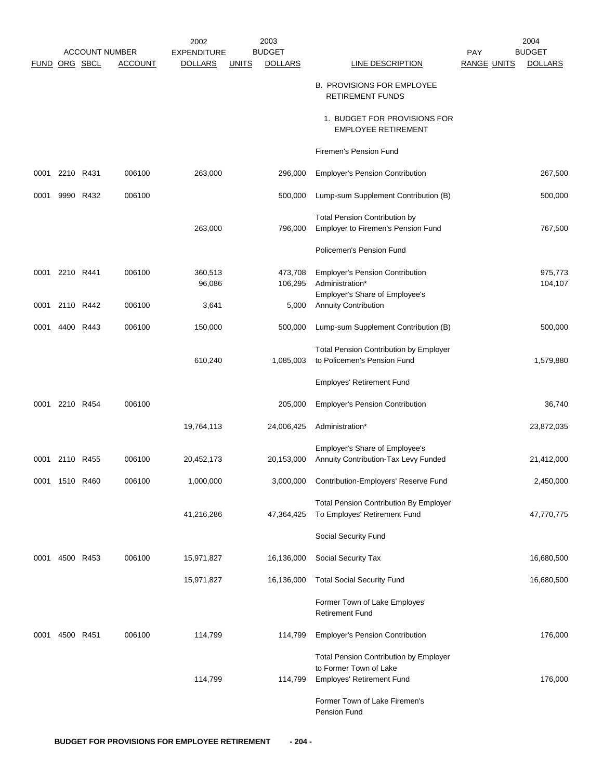|             |                |           |                       | 2002               | 2003                           |                                                                                                      |                    | 2004               |
|-------------|----------------|-----------|-----------------------|--------------------|--------------------------------|------------------------------------------------------------------------------------------------------|--------------------|--------------------|
|             |                |           | <b>ACCOUNT NUMBER</b> | <b>EXPENDITURE</b> | <b>BUDGET</b>                  |                                                                                                      | <b>PAY</b>         | <b>BUDGET</b>      |
| <b>FUND</b> |                | ORG SBCL  | <b>ACCOUNT</b>        | <b>DOLLARS</b>     | <b>DOLLARS</b><br><b>UNITS</b> | <b>LINE DESCRIPTION</b>                                                                              | <b>RANGE UNITS</b> | <b>DOLLARS</b>     |
|             |                |           |                       |                    |                                | <b>B. PROVISIONS FOR EMPLOYEE</b><br><b>RETIREMENT FUNDS</b>                                         |                    |                    |
|             |                |           |                       |                    |                                | 1. BUDGET FOR PROVISIONS FOR<br><b>EMPLOYEE RETIREMENT</b>                                           |                    |                    |
|             |                |           |                       |                    |                                | Firemen's Pension Fund                                                                               |                    |                    |
| 0001        | 2210           | R431      | 006100                | 263,000            | 296,000                        | <b>Employer's Pension Contribution</b>                                                               |                    | 267,500            |
| 0001        | 9990           | R432      | 006100                |                    | 500,000                        | Lump-sum Supplement Contribution (B)                                                                 |                    | 500,000            |
|             |                |           |                       | 263,000            | 796,000                        | <b>Total Pension Contribution by</b><br>Employer to Firemen's Pension Fund                           |                    | 767,500            |
|             |                |           |                       |                    |                                | Policemen's Pension Fund                                                                             |                    |                    |
| 0001        | 2210 R441      |           | 006100                | 360,513<br>96,086  | 473,708<br>106,295             | <b>Employer's Pension Contribution</b><br>Administration*                                            |                    | 975,773<br>104,107 |
| 0001        |                | 2110 R442 | 006100                | 3,641              | 5,000                          | Employer's Share of Employee's<br><b>Annuity Contribution</b>                                        |                    |                    |
| 0001        |                | 4400 R443 | 006100                | 150,000            | 500,000                        | Lump-sum Supplement Contribution (B)                                                                 |                    | 500,000            |
|             |                |           |                       | 610,240            | 1,085,003                      | <b>Total Pension Contribution by Employer</b><br>to Policemen's Pension Fund                         |                    | 1,579,880          |
|             |                |           |                       |                    |                                | Employes' Retirement Fund                                                                            |                    |                    |
| 0001        |                | 2210 R454 | 006100                |                    | 205,000                        | <b>Employer's Pension Contribution</b>                                                               |                    | 36,740             |
|             |                |           |                       | 19,764,113         | 24,006,425                     | Administration*                                                                                      |                    | 23,872,035         |
|             | 0001 2110 R455 |           | 006100                | 20,452,173         | 20,153,000                     | Employer's Share of Employee's<br>Annuity Contribution-Tax Levy Funded                               |                    | 21,412,000         |
|             | 0001 1510 R460 |           | 006100                | 1,000,000          |                                | 3,000,000 Contribution-Employers' Reserve Fund                                                       |                    | 2,450,000          |
|             |                |           |                       | 41,216,286         | 47,364,425                     | <b>Total Pension Contribution By Employer</b><br>To Employes' Retirement Fund                        |                    | 47,770,775         |
|             |                |           |                       |                    |                                | Social Security Fund                                                                                 |                    |                    |
| 0001        |                | 4500 R453 | 006100                | 15,971,827         | 16,136,000                     | Social Security Tax                                                                                  |                    | 16,680,500         |
|             |                |           |                       | 15,971,827         | 16,136,000                     | <b>Total Social Security Fund</b>                                                                    |                    | 16,680,500         |
|             |                |           |                       |                    |                                | Former Town of Lake Employes'<br><b>Retirement Fund</b>                                              |                    |                    |
| 0001        |                | 4500 R451 | 006100                | 114,799            | 114,799                        | <b>Employer's Pension Contribution</b>                                                               |                    | 176,000            |
|             |                |           |                       | 114,799            | 114,799                        | <b>Total Pension Contribution by Employer</b><br>to Former Town of Lake<br>Employes' Retirement Fund |                    | 176,000            |
|             |                |           |                       |                    |                                | Former Town of Lake Firemen's<br>Pension Fund                                                        |                    |                    |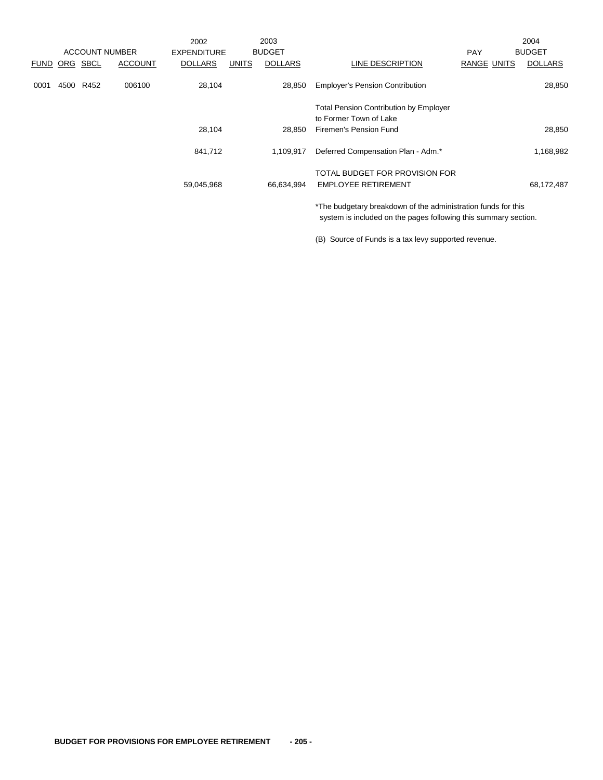|      |      |               |                       | 2002               |              | 2003           |                                                                                                                                  |                    | 2004           |
|------|------|---------------|-----------------------|--------------------|--------------|----------------|----------------------------------------------------------------------------------------------------------------------------------|--------------------|----------------|
|      |      |               | <b>ACCOUNT NUMBER</b> | <b>EXPENDITURE</b> |              | <b>BUDGET</b>  |                                                                                                                                  | <b>PAY</b>         | <b>BUDGET</b>  |
|      |      | FUND ORG SBCL | <b>ACCOUNT</b>        | <b>DOLLARS</b>     | <b>UNITS</b> | <b>DOLLARS</b> | LINE DESCRIPTION                                                                                                                 | <b>RANGE UNITS</b> | <b>DOLLARS</b> |
| 0001 | 4500 | R452          | 006100                | 28,104             |              | 28,850         | <b>Employer's Pension Contribution</b>                                                                                           |                    | 28,850         |
|      |      |               |                       |                    |              |                | <b>Total Pension Contribution by Employer</b><br>to Former Town of Lake                                                          |                    |                |
|      |      |               |                       | 28,104             |              | 28,850         | Firemen's Pension Fund                                                                                                           |                    | 28,850         |
|      |      |               |                       | 841,712            |              | 1.109.917      | Deferred Compensation Plan - Adm.*                                                                                               |                    | 1,168,982      |
|      |      |               |                       |                    |              |                | TOTAL BUDGET FOR PROVISION FOR                                                                                                   |                    |                |
|      |      |               |                       | 59,045,968         |              | 66,634,994     | <b>EMPLOYEE RETIREMENT</b>                                                                                                       |                    | 68,172,487     |
|      |      |               |                       |                    |              |                | *The budgetary breakdown of the administration funds for this<br>system is included on the pages following this summary section. |                    |                |

(B) Source of Funds is a tax levy supported revenue.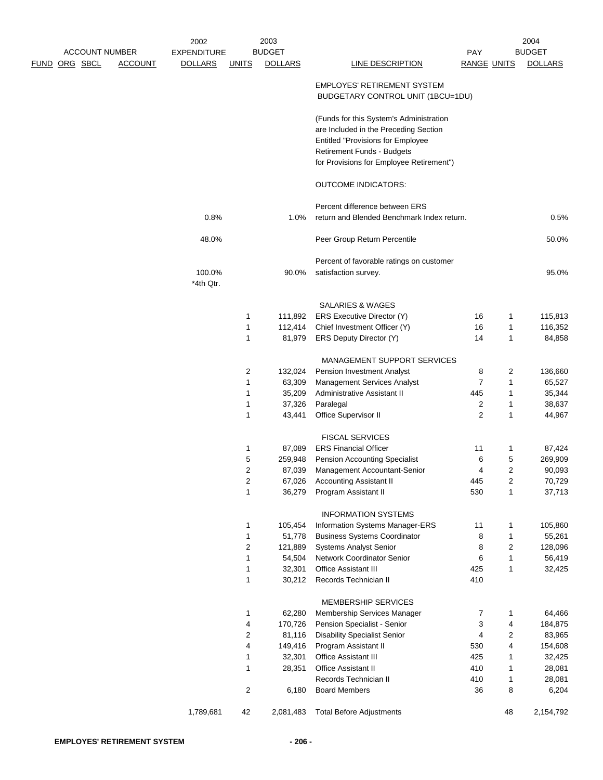|               | <b>ACCOUNT NUMBER</b> |                | <b>EXPENDITURE</b>  |                         |                  |                                                                                  |                    |                                |                  |
|---------------|-----------------------|----------------|---------------------|-------------------------|------------------|----------------------------------------------------------------------------------|--------------------|--------------------------------|------------------|
|               |                       |                |                     |                         | <b>BUDGET</b>    |                                                                                  | PAY                |                                | <b>BUDGET</b>    |
| FUND ORG SBCL |                       | <b>ACCOUNT</b> | <b>DOLLARS</b>      | <b>UNITS</b>            | <b>DOLLARS</b>   | <b>LINE DESCRIPTION</b>                                                          | <b>RANGE UNITS</b> |                                | <b>DOLLARS</b>   |
|               |                       |                |                     |                         |                  | <b>EMPLOYES' RETIREMENT SYSTEM</b><br>BUDGETARY CONTROL UNIT (1BCU=1DU)          |                    |                                |                  |
|               |                       |                |                     |                         |                  | (Funds for this System's Administration<br>are Included in the Preceding Section |                    |                                |                  |
|               |                       |                |                     |                         |                  | <b>Entitled "Provisions for Employee</b>                                         |                    |                                |                  |
|               |                       |                |                     |                         |                  | Retirement Funds - Budgets<br>for Provisions for Employee Retirement")           |                    |                                |                  |
|               |                       |                |                     |                         |                  | <b>OUTCOME INDICATORS:</b>                                                       |                    |                                |                  |
|               |                       |                |                     |                         |                  | Percent difference between ERS                                                   |                    |                                |                  |
|               |                       |                | 0.8%                |                         | 1.0%             | return and Blended Benchmark Index return.                                       |                    |                                | 0.5%             |
|               |                       |                | 48.0%               |                         |                  | Peer Group Return Percentile                                                     |                    |                                | 50.0%            |
|               |                       |                |                     |                         |                  | Percent of favorable ratings on customer                                         |                    |                                |                  |
|               |                       |                | 100.0%<br>*4th Qtr. |                         | 90.0%            | satisfaction survey.                                                             |                    |                                | 95.0%            |
|               |                       |                |                     |                         |                  | <b>SALARIES &amp; WAGES</b>                                                      |                    |                                |                  |
|               |                       |                |                     | 1                       | 111,892          | ERS Executive Director (Y)                                                       | 16                 | 1                              | 115,813          |
|               |                       |                |                     | 1                       | 112,414          | Chief Investment Officer (Y)                                                     | 16                 | 1                              | 116,352          |
|               |                       |                |                     | 1                       | 81,979           | ERS Deputy Director (Y)                                                          | 14                 | $\mathbf{1}$                   | 84,858           |
|               |                       |                |                     |                         |                  | MANAGEMENT SUPPORT SERVICES                                                      |                    |                                |                  |
|               |                       |                |                     | 2                       | 132,024          | Pension Investment Analyst                                                       | 8                  | 2                              | 136,660          |
|               |                       |                |                     | 1                       | 63,309           | Management Services Analyst                                                      | $\overline{7}$     | 1                              | 65,527           |
|               |                       |                |                     | 1                       | 35,209           | Administrative Assistant II                                                      | 445                | 1                              | 35,344           |
|               |                       |                |                     | 1                       | 37,326           | Paralegal                                                                        | 2                  | 1                              | 38,637           |
|               |                       |                |                     | 1                       | 43,441           | Office Supervisor II                                                             | $\overline{2}$     | 1                              | 44,967           |
|               |                       |                |                     |                         |                  | <b>FISCAL SERVICES</b>                                                           |                    |                                |                  |
|               |                       |                |                     | 1                       | 87,089           | <b>ERS Financial Officer</b>                                                     | 11                 | 1                              | 87,424           |
|               |                       |                |                     | 5                       | 259,948          | Pension Accounting Specialist                                                    | 6                  | 5                              | 269,909          |
|               |                       |                |                     | $\overline{2}$          | 87,039           | Management Accountant-Senior                                                     | 4                  | $\overline{2}$                 | 90,093           |
|               |                       |                |                     | $\overline{z}$<br>1     | 67,026<br>36,279 | Accounting Assistant II<br>Program Assistant II                                  | 445<br>530         | $\overline{z}$<br>$\mathbf{1}$ | 70,729<br>37,713 |
|               |                       |                |                     |                         |                  | <b>INFORMATION SYSTEMS</b>                                                       |                    |                                |                  |
|               |                       |                |                     | $\mathbf{1}$            | 105,454          | Information Systems Manager-ERS                                                  | 11                 | 1                              | 105,860          |
|               |                       |                |                     | 1                       | 51,778           | <b>Business Systems Coordinator</b>                                              | 8                  | $\mathbf{1}$                   | 55,261           |
|               |                       |                |                     | 2                       | 121,889          | Systems Analyst Senior                                                           | 8                  | 2                              | 128,096          |
|               |                       |                |                     | $\mathbf{1}$            | 54,504           | Network Coordinator Senior                                                       | 6                  | $\mathbf{1}$                   | 56,419           |
|               |                       |                |                     | $\mathbf{1}$            | 32,301           | <b>Office Assistant III</b>                                                      | 425                | $\mathbf{1}$                   | 32,425           |
|               |                       |                |                     | $\mathbf{1}$            | 30,212           | Records Technician II                                                            | 410                |                                |                  |
|               |                       |                |                     |                         |                  | MEMBERSHIP SERVICES                                                              |                    |                                |                  |
|               |                       |                |                     | 1                       | 62,280           | Membership Services Manager                                                      | $\overline{7}$     | 1                              | 64,466           |
|               |                       |                |                     | 4                       | 170,726          | Pension Specialist - Senior                                                      | 3                  | 4                              | 184,875          |
|               |                       |                |                     | $\overline{\mathbf{c}}$ | 81,116           | <b>Disability Specialist Senior</b>                                              | 4                  | 2                              | 83,965           |
|               |                       |                |                     | 4                       | 149,416          | Program Assistant II                                                             | 530                | 4                              | 154,608          |
|               |                       |                |                     | 1                       | 32,301           | Office Assistant III                                                             | 425                | 1                              | 32,425           |
|               |                       |                |                     | $\mathbf{1}$            | 28,351           | Office Assistant II<br>Records Technician II                                     | 410<br>410         | 1                              | 28,081           |
|               |                       |                |                     | 2                       | 6,180            | <b>Board Members</b>                                                             | 36                 | 1<br>8                         | 28,081<br>6,204  |
|               |                       |                | 1,789,681           | 42                      | 2,081,483        | <b>Total Before Adjustments</b>                                                  |                    | 48                             | 2,154,792        |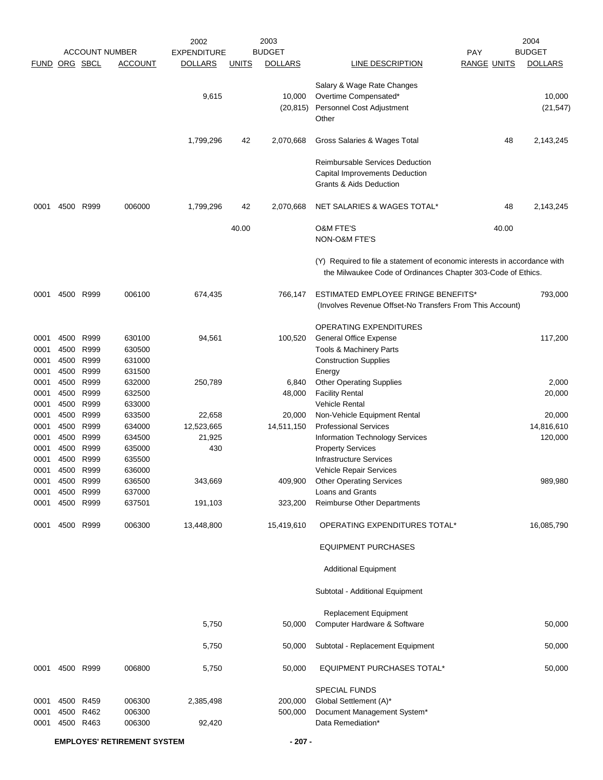|              |                                    |              |                                         | 2002                                 |              | 2003<br><b>BUDGET</b> |                                                                                                                                           |                                  | 2004<br><b>BUDGET</b> |
|--------------|------------------------------------|--------------|-----------------------------------------|--------------------------------------|--------------|-----------------------|-------------------------------------------------------------------------------------------------------------------------------------------|----------------------------------|-----------------------|
| <b>FUND</b>  | ORG SBCL                           |              | <b>ACCOUNT NUMBER</b><br><b>ACCOUNT</b> | <b>EXPENDITURE</b><br><b>DOLLARS</b> | <b>UNITS</b> | <b>DOLLARS</b>        | LINE DESCRIPTION                                                                                                                          | <b>PAY</b><br><b>RANGE UNITS</b> | <b>DOLLARS</b>        |
|              |                                    |              |                                         |                                      |              |                       |                                                                                                                                           |                                  |                       |
|              |                                    |              |                                         | 9,615                                |              | 10,000<br>(20, 815)   | Salary & Wage Rate Changes<br>Overtime Compensated*<br>Personnel Cost Adjustment<br>Other                                                 |                                  | 10,000<br>(21, 547)   |
|              |                                    |              |                                         | 1,799,296                            | 42           | 2,070,668             | Gross Salaries & Wages Total                                                                                                              | 48                               | 2,143,245             |
|              |                                    |              |                                         |                                      |              |                       | <b>Reimbursable Services Deduction</b><br>Capital Improvements Deduction<br>Grants & Aids Deduction                                       |                                  |                       |
| 0001         |                                    | 4500 R999    | 006000                                  | 1,799,296                            | 42           | 2,070,668             | NET SALARIES & WAGES TOTAL*                                                                                                               | 48                               | 2,143,245             |
|              |                                    |              |                                         |                                      | 40.00        |                       | <b>O&amp;M FTE'S</b><br><b>NON-O&amp;M FTE'S</b>                                                                                          | 40.00                            |                       |
|              |                                    |              |                                         |                                      |              |                       | (Y) Required to file a statement of economic interests in accordance with<br>the Milwaukee Code of Ordinances Chapter 303-Code of Ethics. |                                  |                       |
| 0001         | 4500                               | R999         | 006100                                  | 674,435                              |              | 766,147               | ESTIMATED EMPLOYEE FRINGE BENEFITS*<br>(Involves Revenue Offset-No Transfers From This Account)                                           |                                  | 793,000               |
|              |                                    |              |                                         |                                      |              |                       | <b>OPERATING EXPENDITURES</b>                                                                                                             |                                  |                       |
| 0001         |                                    | 4500 R999    | 630100                                  | 94,561                               |              | 100,520               | General Office Expense                                                                                                                    |                                  | 117,200               |
| 0001         | 4500                               | R999         | 630500                                  |                                      |              |                       | Tools & Machinery Parts                                                                                                                   |                                  |                       |
| 0001         | 4500                               | R999         | 631000                                  |                                      |              |                       | <b>Construction Supplies</b>                                                                                                              |                                  |                       |
| 0001         | 4500                               | R999         | 631500                                  |                                      |              |                       | Energy                                                                                                                                    |                                  |                       |
| 0001         | 4500<br>4500                       | R999<br>R999 | 632000<br>632500                        | 250,789                              |              | 6,840                 | <b>Other Operating Supplies</b>                                                                                                           |                                  | 2,000                 |
| 0001<br>0001 | 4500 R999                          |              | 633000                                  |                                      |              | 48,000                | <b>Facility Rental</b><br><b>Vehicle Rental</b>                                                                                           |                                  | 20,000                |
| 0001         | 4500                               | R999         | 633500                                  | 22,658                               |              | 20,000                | Non-Vehicle Equipment Rental                                                                                                              |                                  | 20,000                |
| 0001         | 4500                               | R999         | 634000                                  | 12,523,665                           |              | 14,511,150            | <b>Professional Services</b>                                                                                                              |                                  | 14,816,610            |
| 0001         | 4500                               | R999         | 634500                                  | 21,925                               |              |                       | Information Technology Services                                                                                                           |                                  | 120,000               |
| 0001         | 4500                               | R999         | 635000                                  | 430                                  |              |                       | <b>Property Services</b>                                                                                                                  |                                  |                       |
| 0001         | 4500                               | R999         | 635500                                  |                                      |              |                       | <b>Infrastructure Services</b>                                                                                                            |                                  |                       |
| 0001         | 4500                               | R999         | 636000                                  |                                      |              |                       | <b>Vehicle Repair Services</b>                                                                                                            |                                  |                       |
| 0001<br>0001 | 4500 R999<br>4500                  | R999         | 636500<br>637000                        | 343,669                              |              | 409,900               | <b>Other Operating Services</b><br>Loans and Grants                                                                                       |                                  | 989,980               |
| 0001         |                                    | 4500 R999    | 637501                                  | 191,103                              |              | 323,200               | Reimburse Other Departments                                                                                                               |                                  |                       |
| 0001         | 4500 R999                          |              | 006300                                  | 13,448,800                           |              | 15,419,610            | OPERATING EXPENDITURES TOTAL*                                                                                                             |                                  | 16,085,790            |
|              |                                    |              |                                         |                                      |              |                       | <b>EQUIPMENT PURCHASES</b>                                                                                                                |                                  |                       |
|              |                                    |              |                                         |                                      |              |                       | <b>Additional Equipment</b>                                                                                                               |                                  |                       |
|              |                                    |              |                                         |                                      |              |                       | Subtotal - Additional Equipment                                                                                                           |                                  |                       |
|              |                                    |              |                                         |                                      |              |                       | Replacement Equipment                                                                                                                     |                                  |                       |
|              |                                    |              |                                         | 5,750                                |              | 50,000                | Computer Hardware & Software                                                                                                              |                                  | 50,000                |
|              |                                    |              |                                         |                                      |              |                       |                                                                                                                                           |                                  |                       |
|              |                                    |              |                                         | 5,750                                |              | 50,000                | Subtotal - Replacement Equipment                                                                                                          |                                  | 50,000                |
| 0001         | 4500 R999                          |              | 006800                                  | 5,750                                |              | 50,000                | <b>EQUIPMENT PURCHASES TOTAL*</b>                                                                                                         |                                  | 50,000                |
|              |                                    |              |                                         |                                      |              |                       | <b>SPECIAL FUNDS</b>                                                                                                                      |                                  |                       |
| 0001         |                                    | 4500 R459    | 006300                                  | 2,385,498                            |              | 200,000               | Global Settlement (A)*                                                                                                                    |                                  |                       |
| 0001<br>0001 | 4500 R462                          | 4500 R463    | 006300<br>006300                        | 92,420                               |              | 500,000               | Document Management System*<br>Data Remediation*                                                                                          |                                  |                       |
|              |                                    |              |                                         |                                      |              |                       |                                                                                                                                           |                                  |                       |
|              | <b>EMPLOYES' RETIREMENT SYSTEM</b> |              |                                         |                                      |              | $-207 -$              |                                                                                                                                           |                                  |                       |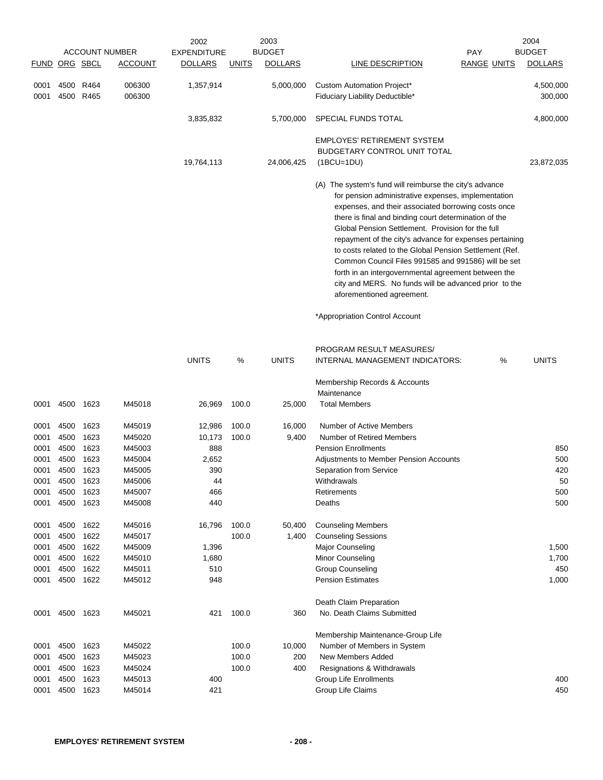|               |              |                        | <b>ACCOUNT NUMBER</b> | 2002<br><b>EXPENDITURE</b> |                | 2003<br><b>BUDGET</b> | <b>PAY</b>                                                                                                                                                                                                                                                                                                                                                                                                                                                                                                                                                                                                    | 2004<br><b>BUDGET</b> |
|---------------|--------------|------------------------|-----------------------|----------------------------|----------------|-----------------------|---------------------------------------------------------------------------------------------------------------------------------------------------------------------------------------------------------------------------------------------------------------------------------------------------------------------------------------------------------------------------------------------------------------------------------------------------------------------------------------------------------------------------------------------------------------------------------------------------------------|-----------------------|
| FUND ORG SBCL |              |                        | <b>ACCOUNT</b>        | <b>DOLLARS</b>             | <u>UNITS</u>   | <b>DOLLARS</b>        | LINE DESCRIPTION<br><b>RANGE UNITS</b>                                                                                                                                                                                                                                                                                                                                                                                                                                                                                                                                                                        | <b>DOLLARS</b>        |
| 0001<br>0001  |              | 4500 R464<br>4500 R465 | 006300<br>006300      | 1,357,914                  |                | 5,000,000             | Custom Automation Project*<br>Fiduciary Liability Deductible*                                                                                                                                                                                                                                                                                                                                                                                                                                                                                                                                                 | 4,500,000<br>300,000  |
|               |              |                        |                       | 3,835,832                  |                | 5,700,000             | SPECIAL FUNDS TOTAL                                                                                                                                                                                                                                                                                                                                                                                                                                                                                                                                                                                           | 4,800,000             |
|               |              |                        |                       | 19,764,113                 |                | 24,006,425            | <b>EMPLOYES' RETIREMENT SYSTEM</b><br><b>BUDGETARY CONTROL UNIT TOTAL</b><br>$(1BCU=1DU)$                                                                                                                                                                                                                                                                                                                                                                                                                                                                                                                     | 23,872,035            |
|               |              |                        |                       |                            |                |                       | (A) The system's fund will reimburse the city's advance<br>for pension administrative expenses, implementation<br>expenses, and their associated borrowing costs once<br>there is final and binding court determination of the<br>Global Pension Settlement. Provision for the full<br>repayment of the city's advance for expenses pertaining<br>to costs related to the Global Pension Settlement (Ref.<br>Common Council Files 991585 and 991586) will be set<br>forth in an intergovernmental agreement between the<br>city and MERS. No funds will be advanced prior to the<br>aforementioned agreement. |                       |
|               |              |                        |                       |                            |                |                       | *Appropriation Control Account                                                                                                                                                                                                                                                                                                                                                                                                                                                                                                                                                                                |                       |
|               |              |                        |                       | <b>UNITS</b>               | %              | <b>UNITS</b>          | PROGRAM RESULT MEASURES/<br>INTERNAL MANAGEMENT INDICATORS:<br>%                                                                                                                                                                                                                                                                                                                                                                                                                                                                                                                                              | <b>UNITS</b>          |
|               |              |                        |                       |                            |                |                       | Membership Records & Accounts<br>Maintenance                                                                                                                                                                                                                                                                                                                                                                                                                                                                                                                                                                  |                       |
| 0001          | 4500         | 1623                   | M45018                | 26,969                     | 100.0          | 25,000                | <b>Total Members</b>                                                                                                                                                                                                                                                                                                                                                                                                                                                                                                                                                                                          |                       |
| 0001<br>0001  | 4500<br>4500 | 1623<br>1623<br>1623   | M45019<br>M45020      | 12,986<br>10,173           | 100.0<br>100.0 | 16,000<br>9,400       | Number of Active Members<br>Number of Retired Members<br><b>Pension Enrollments</b>                                                                                                                                                                                                                                                                                                                                                                                                                                                                                                                           | 850                   |
| 0001<br>0001  | 4500<br>4500 | 1623                   | M45003<br>M45004      | 888<br>2,652               |                |                       | <b>Adjustments to Member Pension Accounts</b>                                                                                                                                                                                                                                                                                                                                                                                                                                                                                                                                                                 | 500                   |
| 0001          | 4500         | 1623                   | M45005                | 390                        |                |                       | Separation from Service                                                                                                                                                                                                                                                                                                                                                                                                                                                                                                                                                                                       | 420                   |
| 0001          | 4500         | 1623                   | M45006                | 44                         |                |                       | Withdrawals                                                                                                                                                                                                                                                                                                                                                                                                                                                                                                                                                                                                   | 50                    |
| 0001          | 4500         | 1623                   | M45007                | 466                        |                |                       | Retirements                                                                                                                                                                                                                                                                                                                                                                                                                                                                                                                                                                                                   | 500                   |
| 0001          | 4500         | 1623                   | M45008                | 440                        |                |                       | Deaths                                                                                                                                                                                                                                                                                                                                                                                                                                                                                                                                                                                                        | 500                   |
| 0001          | 4500         | 1622                   | M45016                | 16,796                     | 100.0          | 50,400                | <b>Counseling Members</b>                                                                                                                                                                                                                                                                                                                                                                                                                                                                                                                                                                                     |                       |
| 0001          | 4500         | 1622                   | M45017                |                            | 100.0          | 1,400                 | <b>Counseling Sessions</b>                                                                                                                                                                                                                                                                                                                                                                                                                                                                                                                                                                                    |                       |
| 0001          | 4500         | 1622                   | M45009                | 1,396                      |                |                       | <b>Major Counseling</b>                                                                                                                                                                                                                                                                                                                                                                                                                                                                                                                                                                                       | 1,500                 |
| 0001          | 4500         | 1622                   | M45010                | 1,680                      |                |                       | Minor Counseling                                                                                                                                                                                                                                                                                                                                                                                                                                                                                                                                                                                              | 1,700                 |
| 0001<br>0001  | 4500         | 1622<br>4500 1622      | M45011<br>M45012      | 510<br>948                 |                |                       | <b>Group Counseling</b><br><b>Pension Estimates</b>                                                                                                                                                                                                                                                                                                                                                                                                                                                                                                                                                           | 450<br>1,000          |
|               |              |                        |                       |                            |                |                       |                                                                                                                                                                                                                                                                                                                                                                                                                                                                                                                                                                                                               |                       |
| 0001          |              | 4500 1623              | M45021                | 421                        | 100.0          | 360                   | Death Claim Preparation<br>No. Death Claims Submitted                                                                                                                                                                                                                                                                                                                                                                                                                                                                                                                                                         |                       |
|               |              |                        |                       |                            |                |                       | Membership Maintenance-Group Life                                                                                                                                                                                                                                                                                                                                                                                                                                                                                                                                                                             |                       |
| 0001          | 4500         | 1623                   | M45022                |                            | 100.0          | 10,000                | Number of Members in System                                                                                                                                                                                                                                                                                                                                                                                                                                                                                                                                                                                   |                       |
| 0001          | 4500         | 1623                   | M45023                |                            | 100.0          | 200                   | <b>New Members Added</b>                                                                                                                                                                                                                                                                                                                                                                                                                                                                                                                                                                                      |                       |
| 0001          | 4500         | 1623                   | M45024                |                            | 100.0          | 400                   | Resignations & Withdrawals                                                                                                                                                                                                                                                                                                                                                                                                                                                                                                                                                                                    |                       |
| 0001          | 4500         | 1623                   | M45013                | 400                        |                |                       | <b>Group Life Enrollments</b>                                                                                                                                                                                                                                                                                                                                                                                                                                                                                                                                                                                 | 400                   |
| 0001          |              | 4500 1623              | M45014                | 421                        |                |                       | Group Life Claims                                                                                                                                                                                                                                                                                                                                                                                                                                                                                                                                                                                             | 450                   |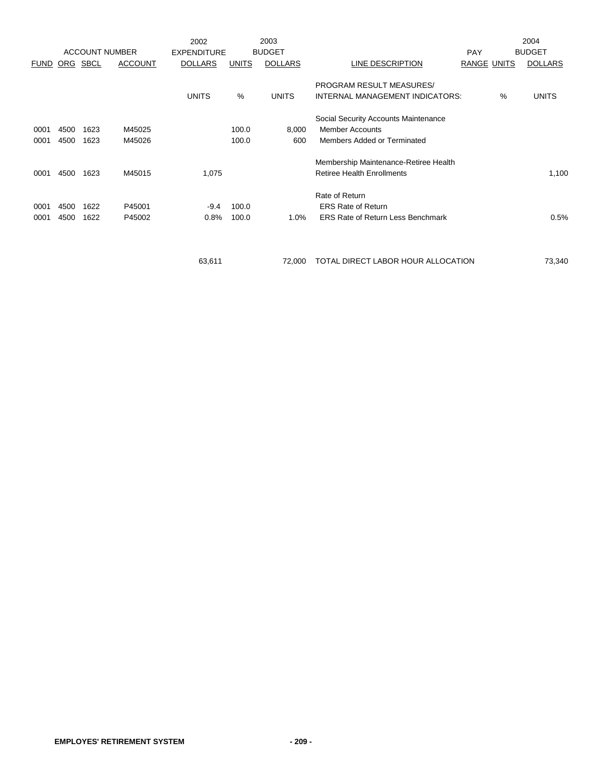|             |      |                       |                | 2002               |              | 2003           |                                          |                    |   | 2004           |
|-------------|------|-----------------------|----------------|--------------------|--------------|----------------|------------------------------------------|--------------------|---|----------------|
|             |      | <b>ACCOUNT NUMBER</b> |                | <b>EXPENDITURE</b> |              | <b>BUDGET</b>  |                                          | PAY                |   | <b>BUDGET</b>  |
| <b>FUND</b> | ORG  | SBCL                  | <b>ACCOUNT</b> | <b>DOLLARS</b>     | <b>UNITS</b> | <b>DOLLARS</b> | LINE DESCRIPTION                         | <b>RANGE UNITS</b> |   | <b>DOLLARS</b> |
|             |      |                       |                |                    |              |                |                                          |                    |   |                |
|             |      |                       |                |                    |              |                | PROGRAM RESULT MEASURES/                 |                    |   |                |
|             |      |                       |                | <b>UNITS</b>       | %            | <b>UNITS</b>   | INTERNAL MANAGEMENT INDICATORS:          |                    | % | <b>UNITS</b>   |
|             |      |                       |                |                    |              |                | Social Security Accounts Maintenance     |                    |   |                |
| 0001        | 4500 | 1623                  | M45025         |                    | 100.0        | 8,000          | <b>Member Accounts</b>                   |                    |   |                |
| 0001        | 4500 | 1623                  | M45026         |                    | 100.0        | 600            | Members Added or Terminated              |                    |   |                |
|             |      |                       |                |                    |              |                |                                          |                    |   |                |
|             |      |                       |                |                    |              |                | Membership Maintenance-Retiree Health    |                    |   |                |
| 0001        | 4500 | 1623                  | M45015         | 1,075              |              |                | <b>Retiree Health Enrollments</b>        |                    |   | 1,100          |
|             |      |                       |                |                    |              |                | Rate of Return                           |                    |   |                |
| 0001        | 4500 | 1622                  | P45001         | $-9.4$             | 100.0        |                | <b>ERS Rate of Return</b>                |                    |   |                |
| 0001        | 4500 | 1622                  | P45002         | 0.8%               | 100.0        | 1.0%           | <b>ERS Rate of Return Less Benchmark</b> |                    |   | 0.5%           |
|             |      |                       |                |                    |              |                |                                          |                    |   |                |
|             |      |                       |                |                    |              |                |                                          |                    |   |                |
|             |      |                       |                | 63,611             |              | 72,000         | TOTAL DIRECT LABOR HOUR ALLOCATION       |                    |   | 73,340         |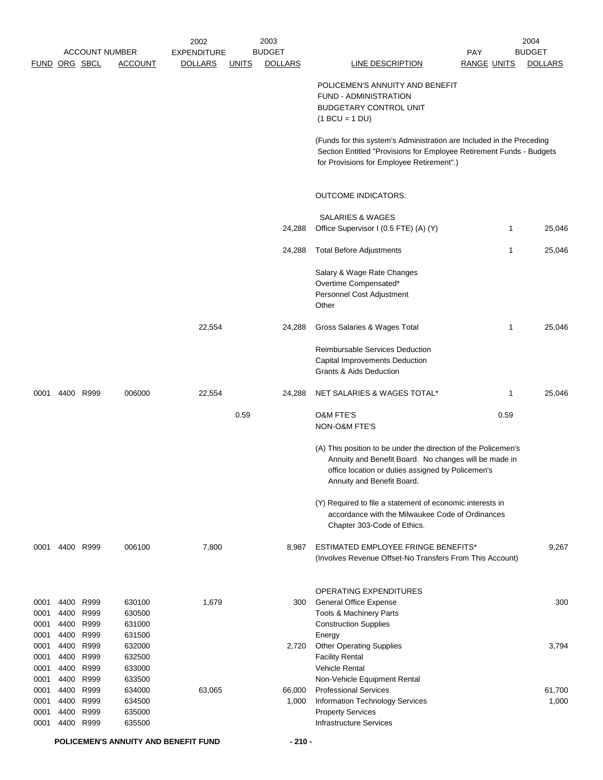|               |      |           |                       | 2002               |              | 2003           |                                                                                                                                                                                                            |                    |      | 2004           |
|---------------|------|-----------|-----------------------|--------------------|--------------|----------------|------------------------------------------------------------------------------------------------------------------------------------------------------------------------------------------------------------|--------------------|------|----------------|
|               |      |           | <b>ACCOUNT NUMBER</b> | <b>EXPENDITURE</b> |              | <b>BUDGET</b>  |                                                                                                                                                                                                            | PAY                |      | <b>BUDGET</b>  |
| FUND ORG SBCL |      |           | <b>ACCOUNT</b>        | <b>DOLLARS</b>     | <u>UNITS</u> | <b>DOLLARS</b> | <b>LINE DESCRIPTION</b>                                                                                                                                                                                    | <b>RANGE UNITS</b> |      | <b>DOLLARS</b> |
|               |      |           |                       |                    |              |                | POLICEMEN'S ANNUITY AND BENEFIT                                                                                                                                                                            |                    |      |                |
|               |      |           |                       |                    |              |                | FUND - ADMINISTRATION                                                                                                                                                                                      |                    |      |                |
|               |      |           |                       |                    |              |                | <b>BUDGETARY CONTROL UNIT</b>                                                                                                                                                                              |                    |      |                |
|               |      |           |                       |                    |              |                | $(1 BCU = 1 DU)$                                                                                                                                                                                           |                    |      |                |
|               |      |           |                       |                    |              |                | (Funds for this system's Administration are Included in the Preceding<br>Section Entitled "Provisions for Employee Retirement Funds - Budgets<br>for Provisions for Employee Retirement".)                 |                    |      |                |
|               |      |           |                       |                    |              |                | <b>OUTCOME INDICATORS:</b>                                                                                                                                                                                 |                    |      |                |
|               |      |           |                       |                    |              |                |                                                                                                                                                                                                            |                    |      |                |
|               |      |           |                       |                    |              |                | <b>SALARIES &amp; WAGES</b>                                                                                                                                                                                |                    |      |                |
|               |      |           |                       |                    |              | 24,288         | Office Supervisor I (0.5 FTE) (A) (Y)                                                                                                                                                                      |                    | 1    | 25,046         |
|               |      |           |                       |                    |              | 24,288         | <b>Total Before Adjustments</b>                                                                                                                                                                            |                    | 1    | 25,046         |
|               |      |           |                       |                    |              |                | Salary & Wage Rate Changes                                                                                                                                                                                 |                    |      |                |
|               |      |           |                       |                    |              |                | Overtime Compensated*                                                                                                                                                                                      |                    |      |                |
|               |      |           |                       |                    |              |                | Personnel Cost Adjustment                                                                                                                                                                                  |                    |      |                |
|               |      |           |                       |                    |              |                | Other                                                                                                                                                                                                      |                    |      |                |
|               |      |           |                       | 22,554             |              | 24,288         | Gross Salaries & Wages Total                                                                                                                                                                               |                    | 1    | 25,046         |
|               |      |           |                       |                    |              |                | Reimbursable Services Deduction                                                                                                                                                                            |                    |      |                |
|               |      |           |                       |                    |              |                | Capital Improvements Deduction                                                                                                                                                                             |                    |      |                |
|               |      |           |                       |                    |              |                | <b>Grants &amp; Aids Deduction</b>                                                                                                                                                                         |                    |      |                |
|               |      |           |                       |                    |              |                |                                                                                                                                                                                                            |                    |      |                |
| 0001          |      | 4400 R999 | 006000                | 22,554             |              | 24,288         | NET SALARIES & WAGES TOTAL*                                                                                                                                                                                |                    | 1    | 25,046         |
|               |      |           |                       |                    | 0.59         |                | <b>O&amp;M FTE'S</b>                                                                                                                                                                                       |                    | 0.59 |                |
|               |      |           |                       |                    |              |                | NON-O&M FTE'S                                                                                                                                                                                              |                    |      |                |
|               |      |           |                       |                    |              |                | (A) This position to be under the direction of the Policemen's<br>Annuity and Benefit Board. No changes will be made in<br>office location or duties assigned by Policemen's<br>Annuity and Benefit Board. |                    |      |                |
|               |      |           |                       |                    |              |                | (Y) Required to file a statement of economic interests in                                                                                                                                                  |                    |      |                |
|               |      |           |                       |                    |              |                | accordance with the Milwaukee Code of Ordinances<br>Chapter 303-Code of Ethics.                                                                                                                            |                    |      |                |
| 0001          |      | 4400 R999 | 006100                | 7,800              |              | 8,987          | ESTIMATED EMPLOYEE FRINGE BENEFITS*                                                                                                                                                                        |                    |      | 9,267          |
|               |      |           |                       |                    |              |                | (Involves Revenue Offset-No Transfers From This Account)                                                                                                                                                   |                    |      |                |
|               |      |           |                       |                    |              |                | <b>OPERATING EXPENDITURES</b>                                                                                                                                                                              |                    |      |                |
| 0001          | 4400 | R999      | 630100                | 1,679              |              | 300            | General Office Expense                                                                                                                                                                                     |                    |      | 300            |
| 0001          | 4400 | R999      | 630500                |                    |              |                | Tools & Machinery Parts                                                                                                                                                                                    |                    |      |                |
| 0001          | 4400 | R999      | 631000                |                    |              |                | <b>Construction Supplies</b>                                                                                                                                                                               |                    |      |                |
| 0001          | 4400 | R999      | 631500                |                    |              |                | Energy                                                                                                                                                                                                     |                    |      |                |
| 0001          | 4400 | R999      | 632000                |                    |              | 2,720          | <b>Other Operating Supplies</b>                                                                                                                                                                            |                    |      | 3,794          |
| 0001          | 4400 | R999      | 632500                |                    |              |                | <b>Facility Rental</b>                                                                                                                                                                                     |                    |      |                |
| 0001          | 4400 | R999      | 633000                |                    |              |                | <b>Vehicle Rental</b>                                                                                                                                                                                      |                    |      |                |
| 0001          | 4400 | R999      | 633500                |                    |              |                | Non-Vehicle Equipment Rental                                                                                                                                                                               |                    |      |                |
| 0001          | 4400 | R999      | 634000                | 63,065             |              | 66,000         | <b>Professional Services</b>                                                                                                                                                                               |                    |      | 61,700         |
| 0001          | 4400 | R999      | 634500                |                    |              | 1,000          | Information Technology Services                                                                                                                                                                            |                    |      | 1,000          |
| 0001          | 4400 | R999      | 635000                |                    |              |                | <b>Property Services</b>                                                                                                                                                                                   |                    |      |                |
| 0001          | 4400 | R999      | 635500                |                    |              |                | <b>Infrastructure Services</b>                                                                                                                                                                             |                    |      |                |
|               |      |           |                       |                    |              |                |                                                                                                                                                                                                            |                    |      |                |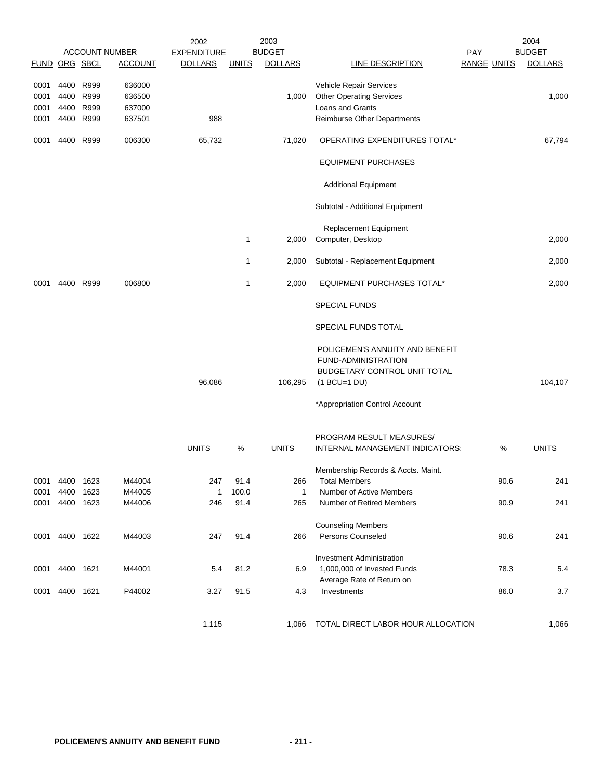|               |           |      |                       | 2002               |              | 2003           |                                                                                                          |                    | 2004           |
|---------------|-----------|------|-----------------------|--------------------|--------------|----------------|----------------------------------------------------------------------------------------------------------|--------------------|----------------|
|               |           |      | <b>ACCOUNT NUMBER</b> | <b>EXPENDITURE</b> |              | <b>BUDGET</b>  |                                                                                                          | <b>PAY</b>         | <b>BUDGET</b>  |
| FUND ORG SBCL |           |      | <b>ACCOUNT</b>        | <b>DOLLARS</b>     | <b>UNITS</b> | <b>DOLLARS</b> | <b>LINE DESCRIPTION</b>                                                                                  | <b>RANGE UNITS</b> | <b>DOLLARS</b> |
| 0001          | 4400      | R999 | 636000                |                    |              |                | Vehicle Repair Services                                                                                  |                    |                |
| 0001          | 4400      | R999 | 636500                |                    |              | 1,000          | <b>Other Operating Services</b>                                                                          |                    | 1,000          |
| 0001          | 4400      | R999 | 637000                |                    |              |                | Loans and Grants                                                                                         |                    |                |
| 0001          | 4400 R999 |      | 637501                | 988                |              |                | Reimburse Other Departments                                                                              |                    |                |
|               |           |      |                       |                    |              |                |                                                                                                          |                    |                |
| 0001          | 4400 R999 |      | 006300                | 65,732             |              | 71,020         | OPERATING EXPENDITURES TOTAL*                                                                            |                    | 67,794         |
|               |           |      |                       |                    |              |                | <b>EQUIPMENT PURCHASES</b>                                                                               |                    |                |
|               |           |      |                       |                    |              |                | <b>Additional Equipment</b>                                                                              |                    |                |
|               |           |      |                       |                    |              |                | Subtotal - Additional Equipment                                                                          |                    |                |
|               |           |      |                       |                    |              |                | <b>Replacement Equipment</b>                                                                             |                    |                |
|               |           |      |                       |                    | 1            | 2,000          | Computer, Desktop                                                                                        |                    | 2,000          |
|               |           |      |                       |                    |              |                |                                                                                                          |                    |                |
|               |           |      |                       |                    | $\mathbf{1}$ | 2,000          | Subtotal - Replacement Equipment                                                                         |                    | 2,000          |
| 0001          | 4400      | R999 | 006800                |                    | $\mathbf{1}$ | 2,000          | <b>EQUIPMENT PURCHASES TOTAL*</b>                                                                        |                    | 2,000          |
|               |           |      |                       |                    |              |                | <b>SPECIAL FUNDS</b>                                                                                     |                    |                |
|               |           |      |                       |                    |              |                | SPECIAL FUNDS TOTAL                                                                                      |                    |                |
|               |           |      |                       | 96,086             |              | 106,295        | POLICEMEN'S ANNUITY AND BENEFIT<br>FUND-ADMINISTRATION<br>BUDGETARY CONTROL UNIT TOTAL<br>$(1 BCU=1 DU)$ |                    | 104,107        |
|               |           |      |                       |                    |              |                |                                                                                                          |                    |                |
|               |           |      |                       |                    |              |                | *Appropriation Control Account                                                                           |                    |                |
|               |           |      |                       |                    |              |                | PROGRAM RESULT MEASURES/                                                                                 |                    |                |
|               |           |      |                       | <b>UNITS</b>       | %            | <b>UNITS</b>   | INTERNAL MANAGEMENT INDICATORS:                                                                          | %                  | <b>UNITS</b>   |
|               |           |      |                       |                    |              |                |                                                                                                          |                    |                |
|               |           |      |                       |                    |              |                | Membership Records & Accts. Maint.                                                                       |                    |                |
| 0001          | 4400      | 1623 | M44004                | 247                | 91.4         | 266            | <b>Total Members</b>                                                                                     | 90.6               | 241            |
| 0001          | 4400      | 1623 | M44005                | 1                  | 100.0        | $\mathbf{1}$   | Number of Active Members                                                                                 |                    |                |
| 0001          | 4400      | 1623 | M44006                | 246                | 91.4         | 265            | Number of Retired Members                                                                                | 90.9               | 241            |
|               |           |      |                       |                    |              |                |                                                                                                          |                    |                |
|               |           |      |                       |                    |              |                | <b>Counseling Members</b><br>Persons Counseled                                                           |                    |                |
| 0001 4400     |           | 1622 | M44003                | 247                | 91.4         | 266            |                                                                                                          | 90.6               | 241            |
|               |           |      |                       |                    |              |                | <b>Investment Administration</b>                                                                         |                    |                |
|               |           |      |                       |                    |              |                | 1,000,000 of Invested Funds                                                                              |                    |                |
| 0001          | 4400      | 1621 | M44001                | 5.4                | 81.2         | 6.9            |                                                                                                          | 78.3               | 5.4            |
|               | 4400 1621 |      | P44002                | 3.27               | 91.5         | 4.3            | Average Rate of Return on<br>Investments                                                                 | 86.0               | 3.7            |
| 0001          |           |      |                       |                    |              |                |                                                                                                          |                    |                |
|               |           |      |                       |                    |              |                |                                                                                                          |                    |                |
|               |           |      |                       | 1,115              |              | 1,066          | TOTAL DIRECT LABOR HOUR ALLOCATION                                                                       |                    | 1,066          |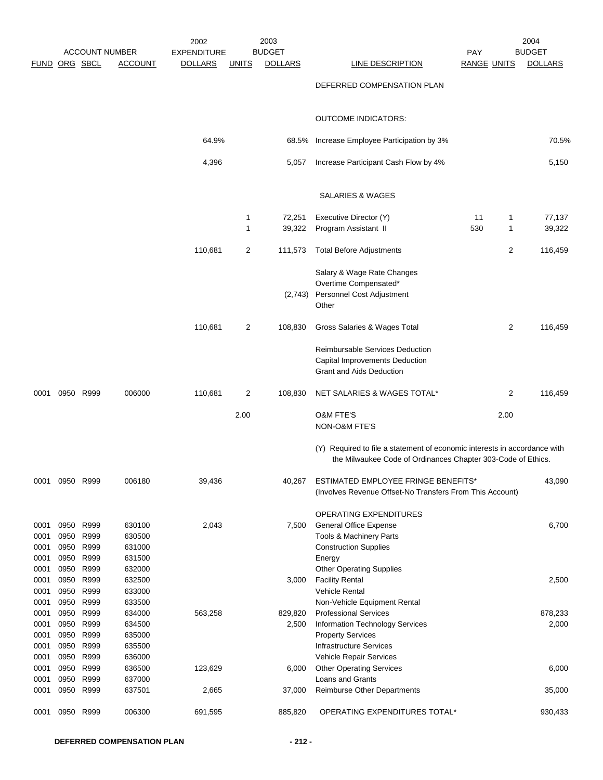|               |      | <b>ACCOUNT NUMBER</b>  |                  | 2002<br><b>EXPENDITURE</b> |                | 2003<br><b>BUDGET</b> |                                                                                                                                           | <b>PAY</b>         |                | 2004<br><b>BUDGET</b> |
|---------------|------|------------------------|------------------|----------------------------|----------------|-----------------------|-------------------------------------------------------------------------------------------------------------------------------------------|--------------------|----------------|-----------------------|
| FUND ORG SBCL |      |                        | <b>ACCOUNT</b>   | <b>DOLLARS</b>             | <u>UNITS</u>   | <b>DOLLARS</b>        | LINE DESCRIPTION                                                                                                                          | <b>RANGE UNITS</b> |                | <b>DOLLARS</b>        |
|               |      |                        |                  |                            |                |                       | DEFERRED COMPENSATION PLAN                                                                                                                |                    |                |                       |
|               |      |                        |                  |                            |                |                       | <b>OUTCOME INDICATORS:</b>                                                                                                                |                    |                |                       |
|               |      |                        |                  | 64.9%                      |                |                       | 68.5% Increase Employee Participation by 3%                                                                                               |                    |                | 70.5%                 |
|               |      |                        |                  | 4,396                      |                | 5,057                 | Increase Participant Cash Flow by 4%                                                                                                      |                    |                | 5,150                 |
|               |      |                        |                  |                            |                |                       | SALARIES & WAGES                                                                                                                          |                    |                |                       |
|               |      |                        |                  |                            | $\mathbf{1}$   | 72,251                | Executive Director (Y)                                                                                                                    | 11                 | 1              | 77,137                |
|               |      |                        |                  |                            | $\mathbf{1}$   | 39,322                | Program Assistant II                                                                                                                      | 530                | 1              | 39,322                |
|               |      |                        |                  | 110,681                    | $\overline{2}$ | 111,573               | <b>Total Before Adjustments</b>                                                                                                           |                    | $\overline{2}$ | 116,459               |
|               |      |                        |                  |                            |                |                       | Salary & Wage Rate Changes<br>Overtime Compensated*                                                                                       |                    |                |                       |
|               |      |                        |                  |                            |                |                       | (2,743) Personnel Cost Adjustment<br>Other                                                                                                |                    |                |                       |
|               |      |                        |                  | 110,681                    | $\overline{2}$ | 108,830               | Gross Salaries & Wages Total                                                                                                              |                    | $\overline{2}$ | 116,459               |
|               |      |                        |                  |                            |                |                       | <b>Reimbursable Services Deduction</b><br>Capital Improvements Deduction<br><b>Grant and Aids Deduction</b>                               |                    |                |                       |
| 0001          |      | 0950 R999              | 006000           | 110,681                    | $\overline{2}$ | 108,830               | NET SALARIES & WAGES TOTAL*                                                                                                               |                    | $\overline{2}$ | 116,459               |
|               |      |                        |                  |                            | 2.00           |                       | <b>O&amp;M FTE'S</b><br>NON-O&M FTE'S                                                                                                     |                    | 2.00           |                       |
|               |      |                        |                  |                            |                |                       | (Y) Required to file a statement of economic interests in accordance with<br>the Milwaukee Code of Ordinances Chapter 303-Code of Ethics. |                    |                |                       |
| 0001          |      | 0950 R999              | 006180           | 39,436                     |                | 40,267                | ESTIMATED EMPLOYEE FRINGE BENEFITS*<br>(Involves Revenue Offset-No Transfers From This Account)                                           |                    |                | 43,090                |
|               |      |                        |                  |                            |                |                       |                                                                                                                                           |                    |                |                       |
| 0001          |      | 0950 R999              | 630100           | 2,043                      |                | 7,500                 | <b>OPERATING EXPENDITURES</b><br><b>General Office Expense</b>                                                                            |                    |                | 6,700                 |
| 0001          | 0950 | R999                   | 630500           |                            |                |                       | Tools & Machinery Parts                                                                                                                   |                    |                |                       |
| 0001          | 0950 | R999                   | 631000           |                            |                |                       | <b>Construction Supplies</b>                                                                                                              |                    |                |                       |
| 0001          | 0950 | R999                   | 631500           |                            |                |                       | Energy                                                                                                                                    |                    |                |                       |
| 0001          |      | 0950 R999              | 632000           |                            |                |                       | <b>Other Operating Supplies</b>                                                                                                           |                    |                |                       |
| 0001<br>0001  |      | 0950 R999<br>0950 R999 | 632500<br>633000 |                            |                | 3,000                 | <b>Facility Rental</b><br><b>Vehicle Rental</b>                                                                                           |                    |                | 2,500                 |
| 0001          |      | 0950 R999              | 633500           |                            |                |                       | Non-Vehicle Equipment Rental                                                                                                              |                    |                |                       |
| 0001          |      | 0950 R999              | 634000           | 563,258                    |                | 829,820               | <b>Professional Services</b>                                                                                                              |                    |                | 878,233               |
| 0001          | 0950 | R999                   | 634500           |                            |                | 2,500                 | Information Technology Services                                                                                                           |                    |                | 2,000                 |
| 0001          | 0950 | R999                   | 635000           |                            |                |                       | <b>Property Services</b>                                                                                                                  |                    |                |                       |
| 0001          |      | 0950 R999              | 635500           |                            |                |                       | <b>Infrastructure Services</b>                                                                                                            |                    |                |                       |
| 0001          | 0950 | 0950 R999<br>R999      | 636000           |                            |                |                       | Vehicle Repair Services                                                                                                                   |                    |                |                       |
| 0001<br>0001  | 0950 | R999                   | 636500<br>637000 | 123,629                    |                | 6,000                 | <b>Other Operating Services</b><br>Loans and Grants                                                                                       |                    |                | 6,000                 |
| 0001          | 0950 | R999                   | 637501           | 2,665                      |                | 37,000                | <b>Reimburse Other Departments</b>                                                                                                        |                    |                | 35,000                |
| 0001          | 0950 | R999                   | 006300           | 691,595                    |                | 885,820               | OPERATING EXPENDITURES TOTAL*                                                                                                             |                    |                | 930,433               |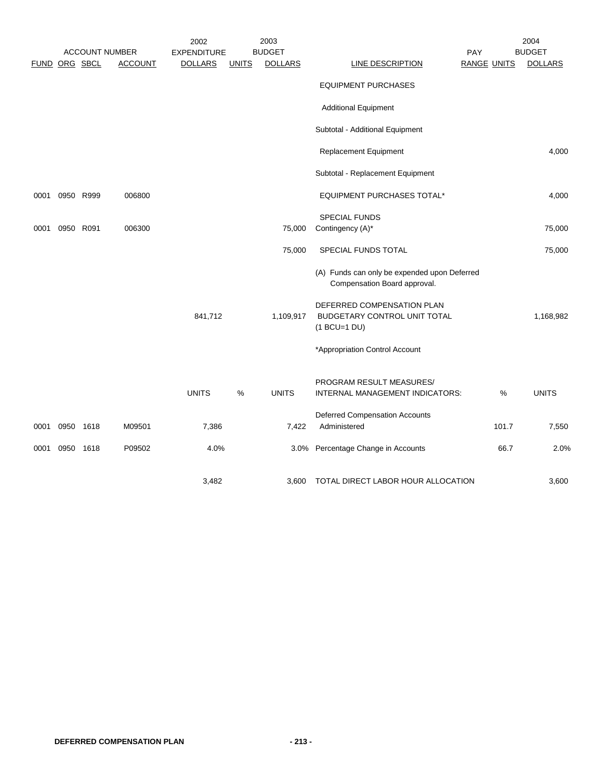|               |           |           | <b>ACCOUNT NUMBER</b> | 2002<br><b>EXPENDITURE</b> |              | 2003<br><b>BUDGET</b> |                                                                              | PAY                | 2004<br><b>BUDGET</b> |
|---------------|-----------|-----------|-----------------------|----------------------------|--------------|-----------------------|------------------------------------------------------------------------------|--------------------|-----------------------|
| FUND ORG SBCL |           |           | <b>ACCOUNT</b>        | <b>DOLLARS</b>             | <b>UNITS</b> | <b>DOLLARS</b>        | LINE DESCRIPTION                                                             | <b>RANGE UNITS</b> | <b>DOLLARS</b>        |
|               |           |           |                       |                            |              |                       | <b>EQUIPMENT PURCHASES</b>                                                   |                    |                       |
|               |           |           |                       |                            |              |                       | <b>Additional Equipment</b>                                                  |                    |                       |
|               |           |           |                       |                            |              |                       | Subtotal - Additional Equipment                                              |                    |                       |
|               |           |           |                       |                            |              |                       | Replacement Equipment                                                        |                    | 4,000                 |
|               |           |           |                       |                            |              |                       | Subtotal - Replacement Equipment                                             |                    |                       |
| 0001          |           | 0950 R999 | 006800                |                            |              |                       | EQUIPMENT PURCHASES TOTAL*                                                   |                    | 4,000                 |
| 0001          | 0950 R091 |           | 006300                |                            |              | 75,000                | <b>SPECIAL FUNDS</b><br>Contingency (A)*                                     |                    | 75,000                |
|               |           |           |                       |                            |              | 75,000                | SPECIAL FUNDS TOTAL                                                          |                    | 75,000                |
|               |           |           |                       |                            |              |                       | (A) Funds can only be expended upon Deferred<br>Compensation Board approval. |                    |                       |
|               |           |           |                       | 841,712                    |              | 1,109,917             | DEFERRED COMPENSATION PLAN<br>BUDGETARY CONTROL UNIT TOTAL<br>$(1 BCU=1 DU)$ |                    | 1,168,982             |
|               |           |           |                       |                            |              |                       | *Appropriation Control Account                                               |                    |                       |
|               |           |           |                       | <b>UNITS</b>               | %            | <b>UNITS</b>          | PROGRAM RESULT MEASURES/<br>INTERNAL MANAGEMENT INDICATORS:                  | %                  | <b>UNITS</b>          |
| 0001          | 0950 1618 |           | M09501                | 7,386                      |              | 7,422                 | <b>Deferred Compensation Accounts</b><br>Administered                        | 101.7              | 7,550                 |
| 0001          |           | 0950 1618 | P09502                | 4.0%                       |              | 3.0%                  | Percentage Change in Accounts                                                | 66.7               | 2.0%                  |
|               |           |           |                       | 3.482                      |              | 3.600                 | TOTAL DIRECT LABOR HOUR ALLOCATION                                           |                    | 3,600                 |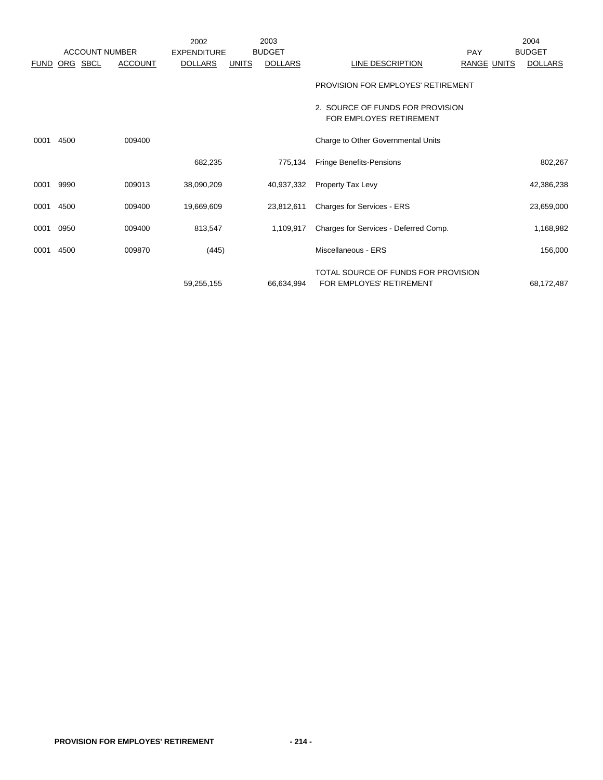|             |          |                       |                | 2002               |              | 2003           |                                                                 |                    | 2004           |
|-------------|----------|-----------------------|----------------|--------------------|--------------|----------------|-----------------------------------------------------------------|--------------------|----------------|
|             |          | <b>ACCOUNT NUMBER</b> |                | <b>EXPENDITURE</b> |              | <b>BUDGET</b>  |                                                                 | PAY                | <b>BUDGET</b>  |
| <b>FUND</b> | ORG SBCL |                       | <b>ACCOUNT</b> | <b>DOLLARS</b>     | <b>UNITS</b> | <b>DOLLARS</b> | LINE DESCRIPTION                                                | <b>RANGE UNITS</b> | <b>DOLLARS</b> |
|             |          |                       |                |                    |              |                | PROVISION FOR EMPLOYES' RETIREMENT                              |                    |                |
|             |          |                       |                |                    |              |                | 2. SOURCE OF FUNDS FOR PROVISION<br>FOR EMPLOYES' RETIREMENT    |                    |                |
| 0001        | 4500     |                       | 009400         |                    |              |                | Charge to Other Governmental Units                              |                    |                |
|             |          |                       |                | 682,235            |              | 775.134        | <b>Fringe Benefits-Pensions</b>                                 |                    | 802,267        |
| 0001        | 9990     |                       | 009013         | 38,090,209         |              | 40,937,332     | Property Tax Levy                                               |                    | 42,386,238     |
| 0001        | 4500     |                       | 009400         | 19,669,609         |              | 23,812,611     | Charges for Services - ERS                                      |                    | 23,659,000     |
| 0001        | 0950     |                       | 009400         | 813,547            |              | 1,109,917      | Charges for Services - Deferred Comp.                           |                    | 1,168,982      |
| 0001        | 4500     |                       | 009870         | (445)              |              |                | Miscellaneous - ERS                                             |                    | 156,000        |
|             |          |                       |                | 59,255,155         |              | 66,634,994     | TOTAL SOURCE OF FUNDS FOR PROVISION<br>FOR EMPLOYES' RETIREMENT |                    | 68,172,487     |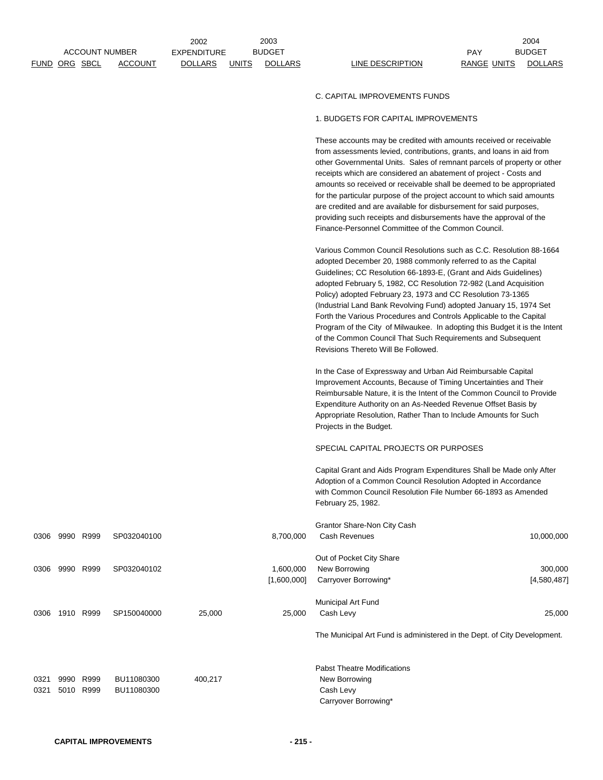|      |                      |           |                                         | 2002                                 |              | 2003                            |                                                                                                                                                                                                                                                                                                                                                                                                                                                                                                                                                                                                                                                                             |                                  | 2004                            |
|------|----------------------|-----------|-----------------------------------------|--------------------------------------|--------------|---------------------------------|-----------------------------------------------------------------------------------------------------------------------------------------------------------------------------------------------------------------------------------------------------------------------------------------------------------------------------------------------------------------------------------------------------------------------------------------------------------------------------------------------------------------------------------------------------------------------------------------------------------------------------------------------------------------------------|----------------------------------|---------------------------------|
|      | <b>FUND ORG SBCL</b> |           | <b>ACCOUNT NUMBER</b><br><b>ACCOUNT</b> | <b>EXPENDITURE</b><br><b>DOLLARS</b> | <b>UNITS</b> | <b>BUDGET</b><br><b>DOLLARS</b> | LINE DESCRIPTION                                                                                                                                                                                                                                                                                                                                                                                                                                                                                                                                                                                                                                                            | <b>PAY</b><br><b>RANGE UNITS</b> | <b>BUDGET</b><br><b>DOLLARS</b> |
|      |                      |           |                                         |                                      |              |                                 |                                                                                                                                                                                                                                                                                                                                                                                                                                                                                                                                                                                                                                                                             |                                  |                                 |
|      |                      |           |                                         |                                      |              |                                 | C. CAPITAL IMPROVEMENTS FUNDS                                                                                                                                                                                                                                                                                                                                                                                                                                                                                                                                                                                                                                               |                                  |                                 |
|      |                      |           |                                         |                                      |              |                                 | 1. BUDGETS FOR CAPITAL IMPROVEMENTS                                                                                                                                                                                                                                                                                                                                                                                                                                                                                                                                                                                                                                         |                                  |                                 |
|      |                      |           |                                         |                                      |              |                                 | These accounts may be credited with amounts received or receivable<br>from assessments levied, contributions, grants, and loans in aid from<br>other Governmental Units. Sales of remnant parcels of property or other<br>receipts which are considered an abatement of project - Costs and<br>amounts so received or receivable shall be deemed to be appropriated<br>for the particular purpose of the project account to which said amounts<br>are credited and are available for disbursement for said purposes,<br>providing such receipts and disbursements have the approval of the<br>Finance-Personnel Committee of the Common Council.                            |                                  |                                 |
|      |                      |           |                                         |                                      |              |                                 | Various Common Council Resolutions such as C.C. Resolution 88-1664<br>adopted December 20, 1988 commonly referred to as the Capital<br>Guidelines; CC Resolution 66-1893-E, (Grant and Aids Guidelines)<br>adopted February 5, 1982, CC Resolution 72-982 (Land Acquisition<br>Policy) adopted February 23, 1973 and CC Resolution 73-1365<br>(Industrial Land Bank Revolving Fund) adopted January 15, 1974 Set<br>Forth the Various Procedures and Controls Applicable to the Capital<br>Program of the City of Milwaukee. In adopting this Budget it is the Intent<br>of the Common Council That Such Requirements and Subsequent<br>Revisions Thereto Will Be Followed. |                                  |                                 |
|      |                      |           |                                         |                                      |              |                                 | In the Case of Expressway and Urban Aid Reimbursable Capital<br>Improvement Accounts, Because of Timing Uncertainties and Their<br>Reimbursable Nature, it is the Intent of the Common Council to Provide<br>Expenditure Authority on an As-Needed Revenue Offset Basis by<br>Appropriate Resolution, Rather Than to Include Amounts for Such<br>Projects in the Budget.                                                                                                                                                                                                                                                                                                    |                                  |                                 |
|      |                      |           |                                         |                                      |              |                                 | SPECIAL CAPITAL PROJECTS OR PURPOSES                                                                                                                                                                                                                                                                                                                                                                                                                                                                                                                                                                                                                                        |                                  |                                 |
|      |                      |           |                                         |                                      |              |                                 | Capital Grant and Aids Program Expenditures Shall be Made only After<br>Adoption of a Common Council Resolution Adopted in Accordance<br>with Common Council Resolution File Number 66-1893 as Amended<br>February 25, 1982.                                                                                                                                                                                                                                                                                                                                                                                                                                                |                                  |                                 |
|      |                      |           |                                         |                                      |              |                                 | Grantor Share-Non City Cash                                                                                                                                                                                                                                                                                                                                                                                                                                                                                                                                                                                                                                                 |                                  |                                 |
| 0306 | 9990 R999            |           | SP032040100                             |                                      |              | 8,700,000                       | Cash Revenues                                                                                                                                                                                                                                                                                                                                                                                                                                                                                                                                                                                                                                                               |                                  | 10,000,000                      |
| 0306 |                      | 9990 R999 | SP032040102                             |                                      |              | 1,600,000<br>[1,600,000]        | Out of Pocket City Share<br>New Borrowing<br>Carryover Borrowing*                                                                                                                                                                                                                                                                                                                                                                                                                                                                                                                                                                                                           |                                  | 300,000<br>[4,580,487]          |

Municipal Art Fund 0306 1910 R999 SP150040000 25,000 25,000 25,000 Cash Levy 25,000 25,000

The Municipal Art Fund is administered in the Dept. of City Development.

|      |           |            |         | <b>Pabst Theatre Modifications</b> |
|------|-----------|------------|---------|------------------------------------|
| 0321 | 9990 R999 | BU11080300 | 400.217 | New Borrowing                      |
| 0321 | 5010 R999 | BU11080300 |         | Cash Levy                          |
|      |           |            |         | Carryover Borrowing*               |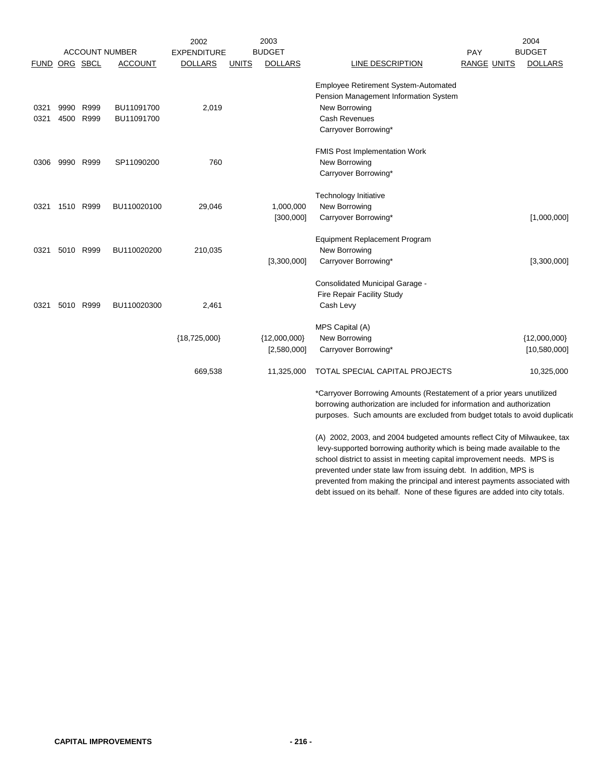|               |      |           |                       | 2002               |              | 2003           |                                                                            |                    | 2004           |
|---------------|------|-----------|-----------------------|--------------------|--------------|----------------|----------------------------------------------------------------------------|--------------------|----------------|
|               |      |           | <b>ACCOUNT NUMBER</b> | <b>EXPENDITURE</b> |              | <b>BUDGET</b>  |                                                                            | PAY                | <b>BUDGET</b>  |
| FUND ORG SBCL |      |           | <b>ACCOUNT</b>        | <b>DOLLARS</b>     | <b>UNITS</b> | <b>DOLLARS</b> | <b>LINE DESCRIPTION</b>                                                    | <b>RANGE UNITS</b> | <b>DOLLARS</b> |
|               |      |           |                       |                    |              |                | <b>Employee Retirement System-Automated</b>                                |                    |                |
|               |      |           |                       |                    |              |                | Pension Management Information System                                      |                    |                |
| 0321          | 9990 | R999      | BU11091700            | 2,019              |              |                | New Borrowing                                                              |                    |                |
| 0321          | 4500 | R999      | BU11091700            |                    |              |                | <b>Cash Revenues</b>                                                       |                    |                |
|               |      |           |                       |                    |              |                | Carryover Borrowing*                                                       |                    |                |
|               |      |           |                       |                    |              |                | FMIS Post Implementation Work                                              |                    |                |
| 0306          |      | 9990 R999 | SP11090200            | 760                |              |                | New Borrowing                                                              |                    |                |
|               |      |           |                       |                    |              |                | Carryover Borrowing*                                                       |                    |                |
|               |      |           |                       |                    |              |                |                                                                            |                    |                |
|               |      |           |                       |                    |              |                | Technology Initiative                                                      |                    |                |
| 0321          |      | 1510 R999 | BU110020100           | 29,046             |              | 1,000,000      | New Borrowing                                                              |                    |                |
|               |      |           |                       |                    |              | [300,000]      | Carryover Borrowing*                                                       |                    | [1,000,000]    |
|               |      |           |                       |                    |              |                | <b>Equipment Replacement Program</b>                                       |                    |                |
| 0321          |      | 5010 R999 | BU110020200           | 210,035            |              |                | New Borrowing                                                              |                    |                |
|               |      |           |                       |                    |              | [3,300,000]    | Carryover Borrowing*                                                       |                    | [3,300,000]    |
|               |      |           |                       |                    |              |                | Consolidated Municipal Garage -                                            |                    |                |
|               |      |           |                       |                    |              |                | Fire Repair Facility Study                                                 |                    |                |
| 0321          |      | 5010 R999 | BU110020300           | 2,461              |              |                | Cash Levy                                                                  |                    |                |
|               |      |           |                       |                    |              |                | MPS Capital (A)                                                            |                    |                |
|               |      |           |                       | ${18,725,000}$     |              | ${12,000,000}$ | New Borrowing                                                              |                    | ${12,000,000}$ |
|               |      |           |                       |                    |              | [2,580,000]    | Carryover Borrowing*                                                       |                    | [10,580,000]   |
|               |      |           |                       |                    |              |                |                                                                            |                    |                |
|               |      |           |                       | 669,538            |              | 11,325,000     | TOTAL SPECIAL CAPITAL PROJECTS                                             |                    | 10,325,000     |
|               |      |           |                       |                    |              |                | *Carryover Borrowing Amounts (Restatement of a prior years unutilized      |                    |                |
|               |      |           |                       |                    |              |                | borrowing authorization are included for information and authorization     |                    |                |
|               |      |           |                       |                    |              |                | purposes. Such amounts are excluded from budget totals to avoid duplicatio |                    |                |
|               |      |           |                       |                    |              |                | (A) 2002, 2003, and 2004 budgeted amounts reflect City of Milwaukee, tax   |                    |                |
|               |      |           |                       |                    |              |                | levy-supported borrowing authority which is being made available to the    |                    |                |
|               |      |           |                       |                    |              |                | school district to assist in meeting capital improvement needs. MPS is     |                    |                |

prevented under state law from issuing debt. In addition, MPS is prevented from making the principal and interest payments associated with debt issued on its behalf. None of these figures are added into city totals.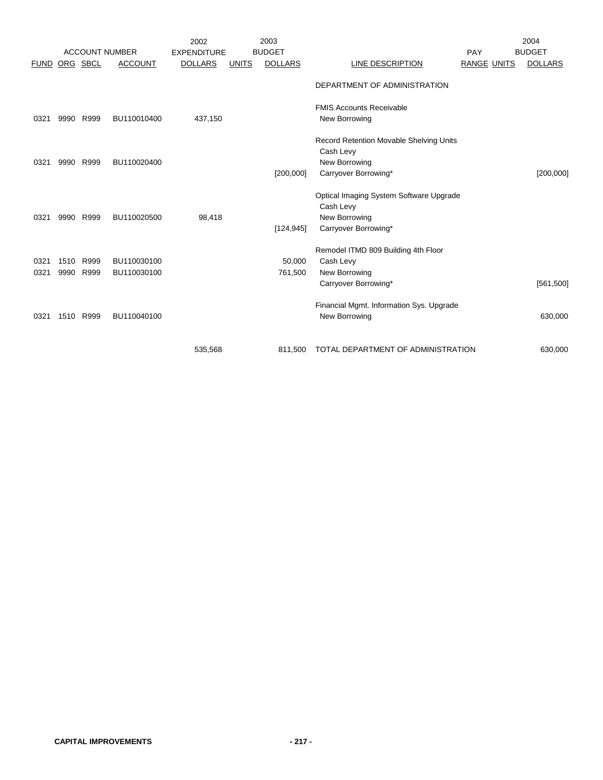|             |      |          | <b>ACCOUNT NUMBER</b> | 2002                                 |              | 2003<br><b>BUDGET</b> |                                          |                    | 2004<br><b>BUDGET</b> |
|-------------|------|----------|-----------------------|--------------------------------------|--------------|-----------------------|------------------------------------------|--------------------|-----------------------|
| <b>FUND</b> |      | ORG SBCL | <b>ACCOUNT</b>        | <b>EXPENDITURE</b><br><b>DOLLARS</b> | <b>UNITS</b> | <b>DOLLARS</b>        | LINE DESCRIPTION                         | PAY<br>RANGE UNITS | <b>DOLLARS</b>        |
|             |      |          |                       |                                      |              |                       |                                          |                    |                       |
|             |      |          |                       |                                      |              |                       | DEPARTMENT OF ADMINISTRATION             |                    |                       |
|             |      |          |                       |                                      |              |                       | <b>FMIS Accounts Receivable</b>          |                    |                       |
| 0321        | 9990 | R999     | BU110010400           | 437,150                              |              |                       | New Borrowing                            |                    |                       |
|             |      |          |                       |                                      |              |                       | Record Retention Movable Shelving Units  |                    |                       |
|             |      |          |                       |                                      |              |                       | Cash Levy                                |                    |                       |
| 0321        | 9990 | R999     | BU110020400           |                                      |              |                       | New Borrowing                            |                    |                       |
|             |      |          |                       |                                      |              | [200,000]             | Carryover Borrowing*                     |                    | [200,000]             |
|             |      |          |                       |                                      |              |                       | Optical Imaging System Software Upgrade  |                    |                       |
|             |      |          |                       |                                      |              |                       | Cash Levy                                |                    |                       |
| 0321        | 9990 | R999     | BU110020500           | 98,418                               |              |                       | New Borrowing                            |                    |                       |
|             |      |          |                       |                                      |              | [124, 945]            | Carryover Borrowing*                     |                    |                       |
|             |      |          |                       |                                      |              |                       | Remodel ITMD 809 Building 4th Floor      |                    |                       |
| 0321        | 1510 | R999     | BU110030100           |                                      |              | 50,000                | Cash Levy                                |                    |                       |
| 0321        | 9990 | R999     | BU110030100           |                                      |              | 761,500               | New Borrowing                            |                    |                       |
|             |      |          |                       |                                      |              |                       | Carryover Borrowing*                     |                    | [561, 500]            |
|             |      |          |                       |                                      |              |                       | Financial Mgmt. Information Sys. Upgrade |                    |                       |
| 0321        | 1510 | R999     | BU110040100           |                                      |              |                       | New Borrowing                            |                    | 630,000               |
|             |      |          |                       |                                      |              |                       |                                          |                    |                       |
|             |      |          |                       | 535,568                              |              | 811,500               | TOTAL DEPARTMENT OF ADMINISTRATION       |                    | 630,000               |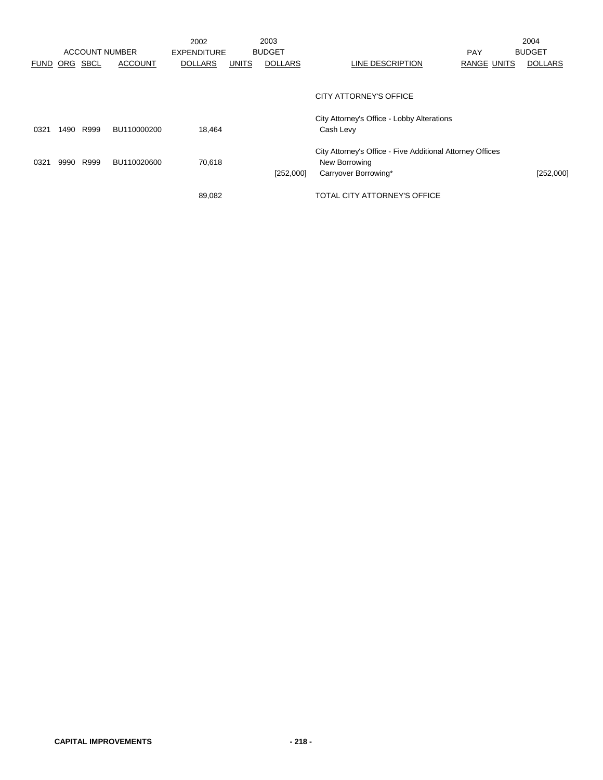|             |      | <b>ACCOUNT NUMBER</b> |                | 2002<br><b>EXPENDITURE</b> |              | 2003<br><b>BUDGET</b> |                                                                                                    | <b>PAY</b>  | 2004<br><b>BUDGET</b> |
|-------------|------|-----------------------|----------------|----------------------------|--------------|-----------------------|----------------------------------------------------------------------------------------------------|-------------|-----------------------|
| <b>FUND</b> | ORG  | SBCL                  | <b>ACCOUNT</b> | <b>DOLLARS</b>             | <b>UNITS</b> | <b>DOLLARS</b>        | LINE DESCRIPTION                                                                                   | RANGE UNITS | <b>DOLLARS</b>        |
|             |      |                       |                |                            |              |                       | CITY ATTORNEY'S OFFICE                                                                             |             |                       |
| 0321        | 1490 | R999                  | BU110000200    | 18,464                     |              |                       | City Attorney's Office - Lobby Alterations<br>Cash Levy                                            |             |                       |
| 0321        | 9990 | R999                  | BU110020600    | 70,618                     |              | [252,000]             | City Attorney's Office - Five Additional Attorney Offices<br>New Borrowing<br>Carryover Borrowing* |             | [252,000]             |
|             |      |                       |                | 89,082                     |              |                       | TOTAL CITY ATTORNEY'S OFFICE                                                                       |             |                       |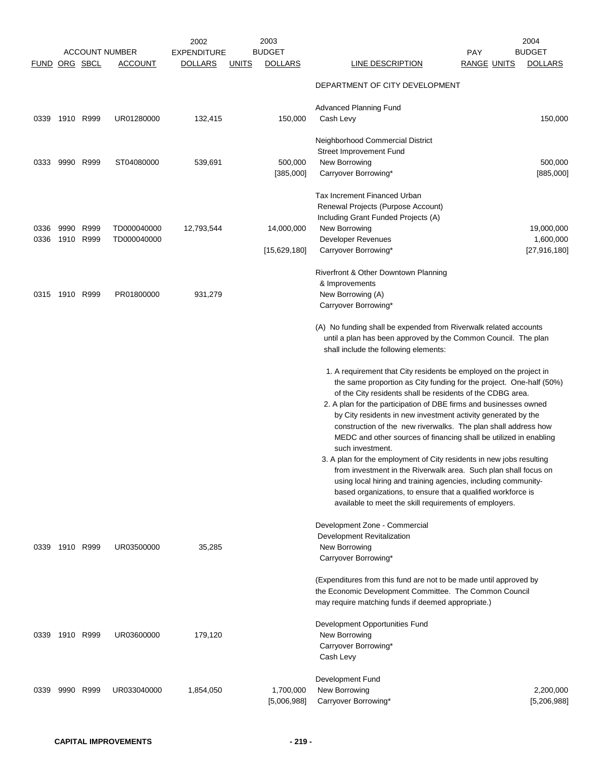| FUND ORG SBCL |                   |      | <b>ACCOUNT NUMBER</b><br><b>ACCOUNT</b> | 2002<br><b>EXPENDITURE</b><br><b>DOLLARS</b> | <u>UNITS</u> | 2003<br><b>BUDGET</b><br><b>DOLLARS</b> | LINE DESCRIPTION                                                                                                                                                                                                                                                                                                                                                                                                                                                                                                                                                                                                                                                                                                                                                                                                                                | <b>PAY</b><br><b>RANGE UNITS</b> | 2004<br><b>BUDGET</b><br><b>DOLLARS</b> |
|---------------|-------------------|------|-----------------------------------------|----------------------------------------------|--------------|-----------------------------------------|-------------------------------------------------------------------------------------------------------------------------------------------------------------------------------------------------------------------------------------------------------------------------------------------------------------------------------------------------------------------------------------------------------------------------------------------------------------------------------------------------------------------------------------------------------------------------------------------------------------------------------------------------------------------------------------------------------------------------------------------------------------------------------------------------------------------------------------------------|----------------------------------|-----------------------------------------|
|               |                   |      |                                         |                                              |              |                                         | DEPARTMENT OF CITY DEVELOPMENT                                                                                                                                                                                                                                                                                                                                                                                                                                                                                                                                                                                                                                                                                                                                                                                                                  |                                  |                                         |
| 0339          | 1910 R999         |      | UR01280000                              | 132,415                                      |              | 150,000                                 | <b>Advanced Planning Fund</b><br>Cash Levy                                                                                                                                                                                                                                                                                                                                                                                                                                                                                                                                                                                                                                                                                                                                                                                                      |                                  | 150,000                                 |
| 0333          | 9990 R999         |      | ST04080000                              | 539,691                                      |              | 500,000                                 | Neighborhood Commercial District<br>Street Improvement Fund<br>New Borrowing                                                                                                                                                                                                                                                                                                                                                                                                                                                                                                                                                                                                                                                                                                                                                                    |                                  | 500,000                                 |
|               |                   |      |                                         |                                              |              | [385,000]                               | Carryover Borrowing*                                                                                                                                                                                                                                                                                                                                                                                                                                                                                                                                                                                                                                                                                                                                                                                                                            |                                  | [885,000]                               |
|               |                   |      |                                         |                                              |              |                                         | Tax Increment Financed Urban<br>Renewal Projects (Purpose Account)<br>Including Grant Funded Projects (A)                                                                                                                                                                                                                                                                                                                                                                                                                                                                                                                                                                                                                                                                                                                                       |                                  |                                         |
| 0336<br>0336  | 9990<br>1910 R999 | R999 | TD000040000<br>TD000040000              | 12,793,544                                   |              | 14,000,000                              | New Borrowing<br>Developer Revenues                                                                                                                                                                                                                                                                                                                                                                                                                                                                                                                                                                                                                                                                                                                                                                                                             |                                  | 19,000,000<br>1,600,000                 |
|               |                   |      |                                         |                                              |              | [15,629,180]                            | Carryover Borrowing*                                                                                                                                                                                                                                                                                                                                                                                                                                                                                                                                                                                                                                                                                                                                                                                                                            |                                  | [27, 916, 180]                          |
|               |                   |      |                                         |                                              |              |                                         | Riverfront & Other Downtown Planning                                                                                                                                                                                                                                                                                                                                                                                                                                                                                                                                                                                                                                                                                                                                                                                                            |                                  |                                         |
| 0315          | 1910 R999         |      | PR01800000                              | 931,279                                      |              |                                         | & Improvements<br>New Borrowing (A)                                                                                                                                                                                                                                                                                                                                                                                                                                                                                                                                                                                                                                                                                                                                                                                                             |                                  |                                         |
|               |                   |      |                                         |                                              |              |                                         | Carryover Borrowing*                                                                                                                                                                                                                                                                                                                                                                                                                                                                                                                                                                                                                                                                                                                                                                                                                            |                                  |                                         |
|               |                   |      |                                         |                                              |              |                                         | (A) No funding shall be expended from Riverwalk related accounts<br>until a plan has been approved by the Common Council. The plan<br>shall include the following elements:                                                                                                                                                                                                                                                                                                                                                                                                                                                                                                                                                                                                                                                                     |                                  |                                         |
|               |                   |      |                                         |                                              |              |                                         | 1. A requirement that City residents be employed on the project in<br>the same proportion as City funding for the project. One-half (50%)<br>of the City residents shall be residents of the CDBG area.<br>2. A plan for the participation of DBE firms and businesses owned<br>by City residents in new investment activity generated by the<br>construction of the new riverwalks. The plan shall address how<br>MEDC and other sources of financing shall be utilized in enabling<br>such investment.<br>3. A plan for the employment of City residents in new jobs resulting<br>from investment in the Riverwalk area. Such plan shall focus on<br>using local hiring and training agencies, including community-<br>based organizations, to ensure that a qualified workforce is<br>available to meet the skill requirements of employers. |                                  |                                         |
| 0339          | 1910 R999         |      | UR03500000                              | 35,285                                       |              |                                         | Development Zone - Commercial<br>Development Revitalization<br>New Borrowing<br>Carryover Borrowing*                                                                                                                                                                                                                                                                                                                                                                                                                                                                                                                                                                                                                                                                                                                                            |                                  |                                         |
|               |                   |      |                                         |                                              |              |                                         | (Expenditures from this fund are not to be made until approved by<br>the Economic Development Committee. The Common Council<br>may require matching funds if deemed appropriate.)                                                                                                                                                                                                                                                                                                                                                                                                                                                                                                                                                                                                                                                               |                                  |                                         |
| 0339          | 1910 R999         |      | UR03600000                              | 179,120                                      |              |                                         | Development Opportunities Fund<br>New Borrowing<br>Carryover Borrowing*<br>Cash Levy                                                                                                                                                                                                                                                                                                                                                                                                                                                                                                                                                                                                                                                                                                                                                            |                                  |                                         |
| 0339          | 9990              | R999 | UR033040000                             | 1,854,050                                    |              | 1,700,000<br>[5,006,988]                | Development Fund<br>New Borrowing<br>Carryover Borrowing*                                                                                                                                                                                                                                                                                                                                                                                                                                                                                                                                                                                                                                                                                                                                                                                       |                                  | 2,200,000<br>[5, 206, 988]              |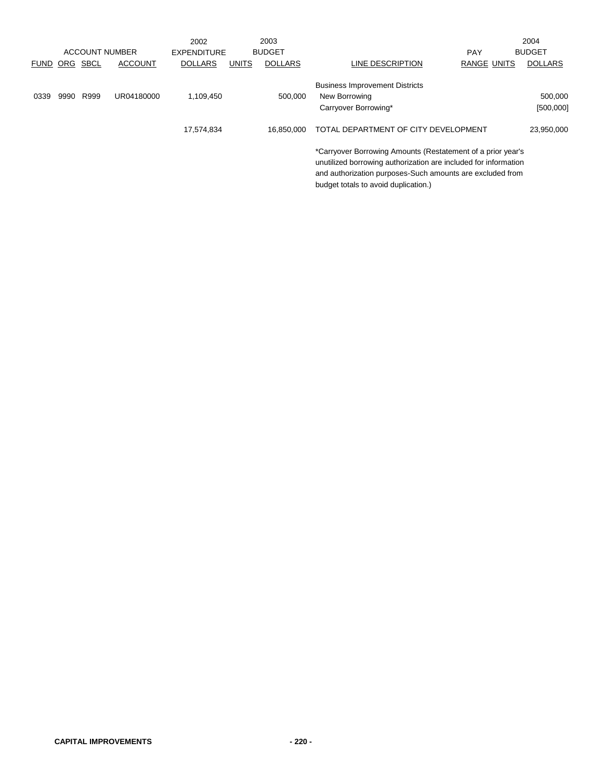|             |            |                       |                | 2002               |              | 2003           |                                                                                                                                | 2004                 |
|-------------|------------|-----------------------|----------------|--------------------|--------------|----------------|--------------------------------------------------------------------------------------------------------------------------------|----------------------|
|             |            | <b>ACCOUNT NUMBER</b> |                | <b>EXPENDITURE</b> |              | <b>BUDGET</b>  | <b>PAY</b>                                                                                                                     | <b>BUDGET</b>        |
| <b>FUND</b> | <b>ORG</b> | <b>SBCL</b>           | <b>ACCOUNT</b> | <b>DOLLARS</b>     | <b>UNITS</b> | <b>DOLLARS</b> | <b>RANGE UNITS</b><br>LINE DESCRIPTION                                                                                         | <b>DOLLARS</b>       |
| 0339        | 9990       | R999                  | UR04180000     | 1,109,450          |              | 500.000        | <b>Business Improvement Districts</b><br>New Borrowing<br>Carryover Borrowing*                                                 | 500,000<br>[500,000] |
|             |            |                       |                | 17,574,834         |              | 16.850.000     | TOTAL DEPARTMENT OF CITY DEVELOPMENT                                                                                           | 23,950,000           |
|             |            |                       |                |                    |              |                | *Carryover Borrowing Amounts (Restatement of a prior year's<br>unutilized borrowing authorization are included for information |                      |

and authorization purposes-Such amounts are excluded from

budget totals to avoid duplication.)

**CAPITAL IMPROVEMENTS - 220 -**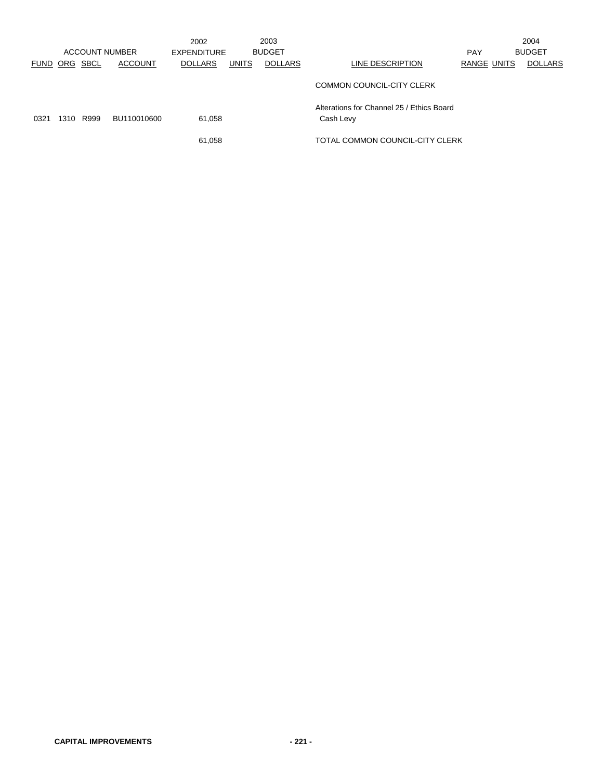|      |          | ACCOUNT NUMBER |                | 2002<br>EXPENDITURE |              | 2003<br><b>BUDGET</b> |                                                        | <b>PAY</b>         | 2004<br><b>BUDGET</b> |
|------|----------|----------------|----------------|---------------------|--------------|-----------------------|--------------------------------------------------------|--------------------|-----------------------|
| FUND | ORG SBCL |                | <b>ACCOUNT</b> | <b>DOLLARS</b>      | <b>UNITS</b> | <b>DOLLARS</b>        | LINE DESCRIPTION                                       | <b>RANGE UNITS</b> | <b>DOLLARS</b>        |
|      |          |                |                |                     |              |                       | COMMON COUNCIL-CITY CLERK                              |                    |                       |
| 0321 | 1310     | R999           | BU110010600    | 61.058              |              |                       | Alterations for Channel 25 / Ethics Board<br>Cash Levy |                    |                       |
|      |          |                |                | 61,058              |              |                       | TOTAL COMMON COUNCIL-CITY CLERK                        |                    |                       |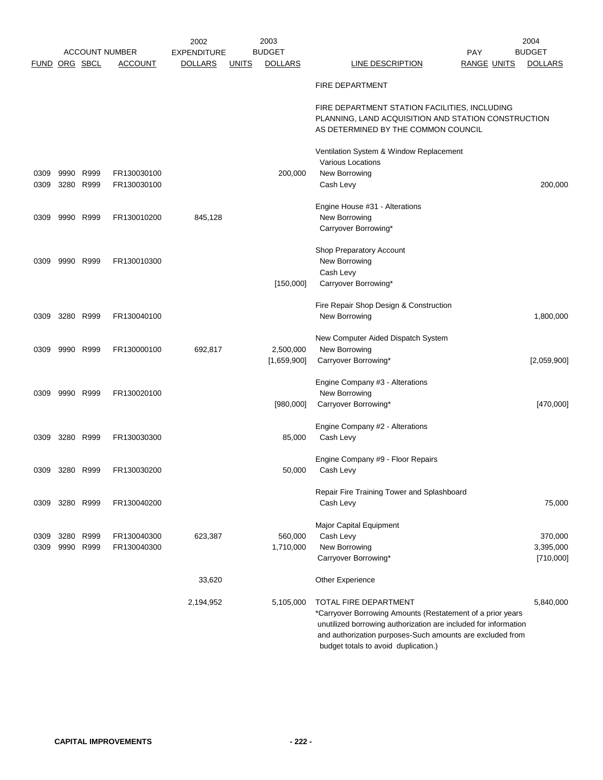|                      |      |                        |                            | 2002               |              | 2003                 |                                                                                                                                                                                                                                    | 2004                 |
|----------------------|------|------------------------|----------------------------|--------------------|--------------|----------------------|------------------------------------------------------------------------------------------------------------------------------------------------------------------------------------------------------------------------------------|----------------------|
|                      |      |                        | <b>ACCOUNT NUMBER</b>      | <b>EXPENDITURE</b> |              | <b>BUDGET</b>        | <b>PAY</b>                                                                                                                                                                                                                         | <b>BUDGET</b>        |
| <b>FUND ORG SBCL</b> |      |                        | <b>ACCOUNT</b>             | <b>DOLLARS</b>     | <b>UNITS</b> | <b>DOLLARS</b>       | LINE DESCRIPTION<br><b>RANGE UNITS</b>                                                                                                                                                                                             | <b>DOLLARS</b>       |
|                      |      |                        |                            |                    |              |                      | <b>FIRE DEPARTMENT</b>                                                                                                                                                                                                             |                      |
|                      |      |                        |                            |                    |              |                      | FIRE DEPARTMENT STATION FACILITIES, INCLUDING<br>PLANNING, LAND ACQUISITION AND STATION CONSTRUCTION<br>AS DETERMINED BY THE COMMON COUNCIL                                                                                        |                      |
|                      |      |                        |                            |                    |              |                      |                                                                                                                                                                                                                                    |                      |
|                      |      |                        |                            |                    |              |                      | Ventilation System & Window Replacement                                                                                                                                                                                            |                      |
|                      |      |                        |                            |                    |              |                      | <b>Various Locations</b>                                                                                                                                                                                                           |                      |
| 0309                 | 9990 | R999                   | FR130030100                |                    |              | 200,000              | New Borrowing                                                                                                                                                                                                                      |                      |
| 0309                 |      | 3280 R999              | FR130030100                |                    |              |                      | Cash Levy                                                                                                                                                                                                                          | 200,000              |
|                      |      |                        |                            |                    |              |                      | Engine House #31 - Alterations                                                                                                                                                                                                     |                      |
| 0309                 |      | 9990 R999              | FR130010200                | 845,128            |              |                      | New Borrowing                                                                                                                                                                                                                      |                      |
|                      |      |                        |                            |                    |              |                      | Carryover Borrowing*                                                                                                                                                                                                               |                      |
|                      |      |                        |                            |                    |              |                      |                                                                                                                                                                                                                                    |                      |
|                      |      |                        |                            |                    |              |                      | Shop Preparatory Account                                                                                                                                                                                                           |                      |
| 0309                 |      | 9990 R999              | FR130010300                |                    |              |                      | New Borrowing                                                                                                                                                                                                                      |                      |
|                      |      |                        |                            |                    |              |                      | Cash Levy                                                                                                                                                                                                                          |                      |
|                      |      |                        |                            |                    |              | [150,000]            | Carryover Borrowing*                                                                                                                                                                                                               |                      |
|                      |      |                        |                            |                    |              |                      |                                                                                                                                                                                                                                    |                      |
| 0309                 |      | 3280 R999              | FR130040100                |                    |              |                      | Fire Repair Shop Design & Construction<br>New Borrowing                                                                                                                                                                            | 1,800,000            |
|                      |      |                        |                            |                    |              |                      |                                                                                                                                                                                                                                    |                      |
|                      |      |                        |                            |                    |              |                      | New Computer Aided Dispatch System                                                                                                                                                                                                 |                      |
| 0309                 |      | 9990 R999              | FR130000100                | 692,817            |              | 2,500,000            | New Borrowing                                                                                                                                                                                                                      |                      |
|                      |      |                        |                            |                    |              | [1,659,900]          | Carryover Borrowing*                                                                                                                                                                                                               | [2,059,900]          |
|                      |      |                        |                            |                    |              |                      |                                                                                                                                                                                                                                    |                      |
|                      |      |                        |                            |                    |              |                      | Engine Company #3 - Alterations                                                                                                                                                                                                    |                      |
| 0309                 |      | 9990 R999              | FR130020100                |                    |              |                      | New Borrowing                                                                                                                                                                                                                      |                      |
|                      |      |                        |                            |                    |              | [980,000]            | Carryover Borrowing*                                                                                                                                                                                                               | [470,000]            |
|                      |      |                        |                            |                    |              |                      |                                                                                                                                                                                                                                    |                      |
| 0309                 |      | 3280 R999              | FR130030300                |                    |              | 85,000               | Engine Company #2 - Alterations<br>Cash Levy                                                                                                                                                                                       |                      |
|                      |      |                        |                            |                    |              |                      |                                                                                                                                                                                                                                    |                      |
|                      |      |                        |                            |                    |              |                      | Engine Company #9 - Floor Repairs                                                                                                                                                                                                  |                      |
| 0309                 |      | 3280 R999              | FR130030200                |                    |              | 50,000               | Cash Levy                                                                                                                                                                                                                          |                      |
|                      |      |                        |                            |                    |              |                      |                                                                                                                                                                                                                                    |                      |
|                      |      |                        |                            |                    |              |                      | Repair Fire Training Tower and Splashboard                                                                                                                                                                                         |                      |
| 0309                 |      | 3280 R999              | FR130040200                |                    |              |                      | Cash Levy                                                                                                                                                                                                                          | 75,000               |
|                      |      |                        |                            |                    |              |                      |                                                                                                                                                                                                                                    |                      |
|                      |      |                        |                            |                    |              |                      | Major Capital Equipment                                                                                                                                                                                                            |                      |
| 0309                 |      | 3280 R999<br>9990 R999 | FR130040300<br>FR130040300 | 623,387            |              | 560,000<br>1,710,000 | Cash Levy<br>New Borrowing                                                                                                                                                                                                         | 370,000<br>3,395,000 |
| 0309                 |      |                        |                            |                    |              |                      | Carryover Borrowing*                                                                                                                                                                                                               | [710,000]            |
|                      |      |                        |                            |                    |              |                      |                                                                                                                                                                                                                                    |                      |
|                      |      |                        |                            | 33,620             |              |                      | Other Experience                                                                                                                                                                                                                   |                      |
|                      |      |                        |                            |                    |              |                      |                                                                                                                                                                                                                                    |                      |
|                      |      |                        |                            | 2,194,952          |              | 5,105,000            | TOTAL FIRE DEPARTMENT                                                                                                                                                                                                              | 5,840,000            |
|                      |      |                        |                            |                    |              |                      | *Carryover Borrowing Amounts (Restatement of a prior years<br>unutilized borrowing authorization are included for information<br>and authorization purposes-Such amounts are excluded from<br>budget totals to avoid duplication.) |                      |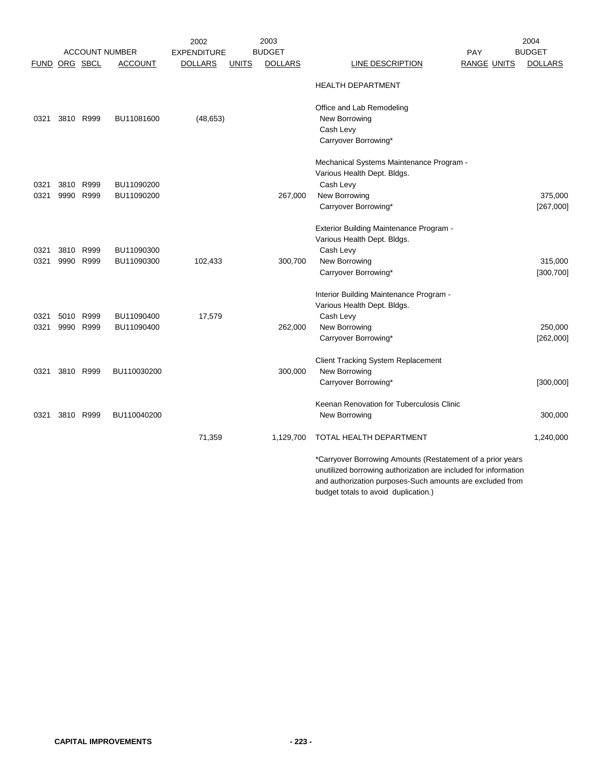|               |           |           |                       | 2002               |              | 2003           |                                                                                                                                                                                                                                    | 2004           |
|---------------|-----------|-----------|-----------------------|--------------------|--------------|----------------|------------------------------------------------------------------------------------------------------------------------------------------------------------------------------------------------------------------------------------|----------------|
|               |           |           | <b>ACCOUNT NUMBER</b> | <b>EXPENDITURE</b> |              | <b>BUDGET</b>  | PAY                                                                                                                                                                                                                                | <b>BUDGET</b>  |
| FUND ORG SBCL |           |           | <b>ACCOUNT</b>        | <b>DOLLARS</b>     | <b>UNITS</b> | <b>DOLLARS</b> | LINE DESCRIPTION<br>RANGE UNITS                                                                                                                                                                                                    | <b>DOLLARS</b> |
|               |           |           |                       |                    |              |                | <b>HEALTH DEPARTMENT</b>                                                                                                                                                                                                           |                |
|               |           |           |                       |                    |              |                | Office and Lab Remodeling                                                                                                                                                                                                          |                |
| 0321          |           | 3810 R999 | BU11081600            | (48, 653)          |              |                | New Borrowing                                                                                                                                                                                                                      |                |
|               |           |           |                       |                    |              |                | Cash Levy                                                                                                                                                                                                                          |                |
|               |           |           |                       |                    |              |                | Carryover Borrowing*                                                                                                                                                                                                               |                |
|               |           |           |                       |                    |              |                | Mechanical Systems Maintenance Program -                                                                                                                                                                                           |                |
|               |           |           |                       |                    |              |                | Various Health Dept. Bldgs.                                                                                                                                                                                                        |                |
| 0321          |           | 3810 R999 | BU11090200            |                    |              |                | Cash Levy                                                                                                                                                                                                                          |                |
| 0321          | 9990      | R999      | BU11090200            |                    |              | 267,000        | New Borrowing                                                                                                                                                                                                                      | 375,000        |
|               |           |           |                       |                    |              |                | Carryover Borrowing*                                                                                                                                                                                                               | [267,000]      |
|               |           |           |                       |                    |              |                | Exterior Building Maintenance Program -                                                                                                                                                                                            |                |
|               |           |           |                       |                    |              |                | Various Health Dept. Bldgs.                                                                                                                                                                                                        |                |
| 0321          |           | 3810 R999 | BU11090300            |                    |              |                | Cash Levy                                                                                                                                                                                                                          |                |
| 0321          |           | 9990 R999 | BU11090300            | 102,433            |              | 300,700        | New Borrowing                                                                                                                                                                                                                      | 315,000        |
|               |           |           |                       |                    |              |                | Carryover Borrowing*                                                                                                                                                                                                               | [300, 700]     |
|               |           |           |                       |                    |              |                | Interior Building Maintenance Program -                                                                                                                                                                                            |                |
|               |           |           |                       |                    |              |                | Various Health Dept. Bldgs.                                                                                                                                                                                                        |                |
| 0321          |           | 5010 R999 | BU11090400            | 17,579             |              |                | Cash Levy                                                                                                                                                                                                                          |                |
| 0321          |           | 9990 R999 | BU11090400            |                    |              | 262,000        | New Borrowing                                                                                                                                                                                                                      | 250,000        |
|               |           |           |                       |                    |              |                | Carryover Borrowing*                                                                                                                                                                                                               | [262,000]      |
|               |           |           |                       |                    |              |                | <b>Client Tracking System Replacement</b>                                                                                                                                                                                          |                |
| 0321          | 3810 R999 |           | BU110030200           |                    |              | 300,000        | New Borrowing                                                                                                                                                                                                                      |                |
|               |           |           |                       |                    |              |                | Carryover Borrowing*                                                                                                                                                                                                               | [300,000]      |
|               |           |           |                       |                    |              |                | Keenan Renovation for Tuberculosis Clinic                                                                                                                                                                                          |                |
| 0321          |           | 3810 R999 | BU110040200           |                    |              |                | New Borrowing                                                                                                                                                                                                                      | 300,000        |
|               |           |           |                       | 71,359             |              | 1,129,700      | TOTAL HEALTH DEPARTMENT                                                                                                                                                                                                            | 1,240,000      |
|               |           |           |                       |                    |              |                | *Carryover Borrowing Amounts (Restatement of a prior years<br>unutilized borrowing authorization are included for information<br>and authorization purposes-Such amounts are excluded from<br>budget totals to avoid duplication.) |                |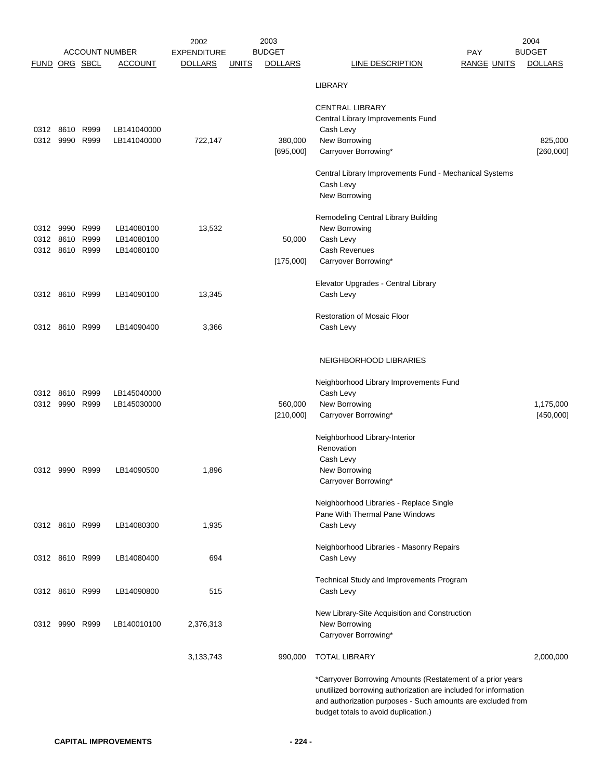|                      |                |      |                                         | 2002                                 |              | 2003                            |                                                                                                                                | 2004                            |
|----------------------|----------------|------|-----------------------------------------|--------------------------------------|--------------|---------------------------------|--------------------------------------------------------------------------------------------------------------------------------|---------------------------------|
| <b>FUND ORG SBCL</b> |                |      | <b>ACCOUNT NUMBER</b><br><b>ACCOUNT</b> | <b>EXPENDITURE</b><br><b>DOLLARS</b> | <b>UNITS</b> | <b>BUDGET</b><br><b>DOLLARS</b> | <b>PAY</b><br><b>LINE DESCRIPTION</b><br><b>RANGE UNITS</b>                                                                    | <b>BUDGET</b><br><b>DOLLARS</b> |
|                      |                |      |                                         |                                      |              |                                 |                                                                                                                                |                                 |
|                      |                |      |                                         |                                      |              |                                 | <b>LIBRARY</b>                                                                                                                 |                                 |
|                      |                |      |                                         |                                      |              |                                 | <b>CENTRAL LIBRARY</b>                                                                                                         |                                 |
|                      |                |      |                                         |                                      |              |                                 | Central Library Improvements Fund                                                                                              |                                 |
|                      | 0312 8610 R999 |      | LB141040000                             |                                      |              |                                 | Cash Levy                                                                                                                      |                                 |
|                      | 0312 9990 R999 |      | LB141040000                             | 722,147                              |              | 380,000                         | New Borrowing                                                                                                                  | 825,000                         |
|                      |                |      |                                         |                                      |              | [695,000]                       | Carryover Borrowing*                                                                                                           | [260,000]                       |
|                      |                |      |                                         |                                      |              |                                 | Central Library Improvements Fund - Mechanical Systems                                                                         |                                 |
|                      |                |      |                                         |                                      |              |                                 | Cash Levy                                                                                                                      |                                 |
|                      |                |      |                                         |                                      |              |                                 | New Borrowing                                                                                                                  |                                 |
|                      |                |      |                                         |                                      |              |                                 |                                                                                                                                |                                 |
| 0312 9990            |                | R999 | LB14080100                              | 13,532                               |              |                                 | Remodeling Central Library Building<br>New Borrowing                                                                           |                                 |
|                      | 0312 8610      | R999 | LB14080100                              |                                      |              | 50,000                          | Cash Levy                                                                                                                      |                                 |
|                      | 0312 8610 R999 |      | LB14080100                              |                                      |              |                                 | Cash Revenues                                                                                                                  |                                 |
|                      |                |      |                                         |                                      |              | [175,000]                       | Carryover Borrowing*                                                                                                           |                                 |
|                      |                |      |                                         |                                      |              |                                 | Elevator Upgrades - Central Library                                                                                            |                                 |
|                      | 0312 8610 R999 |      | LB14090100                              | 13,345                               |              |                                 | Cash Levy                                                                                                                      |                                 |
|                      |                |      |                                         |                                      |              |                                 |                                                                                                                                |                                 |
|                      |                |      |                                         |                                      |              |                                 | <b>Restoration of Mosaic Floor</b>                                                                                             |                                 |
|                      | 0312 8610 R999 |      | LB14090400                              | 3,366                                |              |                                 | Cash Levy                                                                                                                      |                                 |
|                      |                |      |                                         |                                      |              |                                 |                                                                                                                                |                                 |
|                      |                |      |                                         |                                      |              |                                 | NEIGHBORHOOD LIBRARIES                                                                                                         |                                 |
|                      |                |      |                                         |                                      |              |                                 |                                                                                                                                |                                 |
|                      | 0312 8610      | R999 | LB145040000                             |                                      |              |                                 | Neighborhood Library Improvements Fund<br>Cash Levy                                                                            |                                 |
| 0312 9990            |                | R999 | LB145030000                             |                                      |              | 560,000                         | New Borrowing                                                                                                                  | 1,175,000                       |
|                      |                |      |                                         |                                      |              | [210,000]                       | Carryover Borrowing*                                                                                                           | [450,000]                       |
|                      |                |      |                                         |                                      |              |                                 |                                                                                                                                |                                 |
|                      |                |      |                                         |                                      |              |                                 | Neighborhood Library-Interior                                                                                                  |                                 |
|                      |                |      |                                         |                                      |              |                                 | Renovation<br>Cash Levy                                                                                                        |                                 |
|                      | 0312 9990 R999 |      | LB14090500                              | 1,896                                |              |                                 | New Borrowing                                                                                                                  |                                 |
|                      |                |      |                                         |                                      |              |                                 | Carryover Borrowing*                                                                                                           |                                 |
|                      |                |      |                                         |                                      |              |                                 |                                                                                                                                |                                 |
|                      |                |      |                                         |                                      |              |                                 | Neighborhood Libraries - Replace Single<br>Pane With Thermal Pane Windows                                                      |                                 |
|                      | 0312 8610 R999 |      | LB14080300                              | 1,935                                |              |                                 | Cash Levy                                                                                                                      |                                 |
|                      |                |      |                                         |                                      |              |                                 |                                                                                                                                |                                 |
|                      |                |      |                                         |                                      |              |                                 | Neighborhood Libraries - Masonry Repairs                                                                                       |                                 |
|                      | 0312 8610 R999 |      | LB14080400                              | 694                                  |              |                                 | Cash Levy                                                                                                                      |                                 |
|                      |                |      |                                         |                                      |              |                                 | Technical Study and Improvements Program                                                                                       |                                 |
|                      | 0312 8610 R999 |      | LB14090800                              | 515                                  |              |                                 | Cash Levy                                                                                                                      |                                 |
|                      |                |      |                                         |                                      |              |                                 |                                                                                                                                |                                 |
|                      | 0312 9990 R999 |      | LB140010100                             | 2,376,313                            |              |                                 | New Library-Site Acquisition and Construction<br>New Borrowing                                                                 |                                 |
|                      |                |      |                                         |                                      |              |                                 | Carryover Borrowing*                                                                                                           |                                 |
|                      |                |      |                                         |                                      |              |                                 |                                                                                                                                |                                 |
|                      |                |      |                                         | 3,133,743                            |              | 990,000                         | <b>TOTAL LIBRARY</b>                                                                                                           | 2,000,000                       |
|                      |                |      |                                         |                                      |              |                                 | *Carryover Borrowing Amounts (Restatement of a prior years                                                                     |                                 |
|                      |                |      |                                         |                                      |              |                                 | unutilized borrowing authorization are included for information<br>and authorization purposes - Such amounts are excluded from |                                 |
|                      |                |      |                                         |                                      |              |                                 | budget totals to avoid duplication.)                                                                                           |                                 |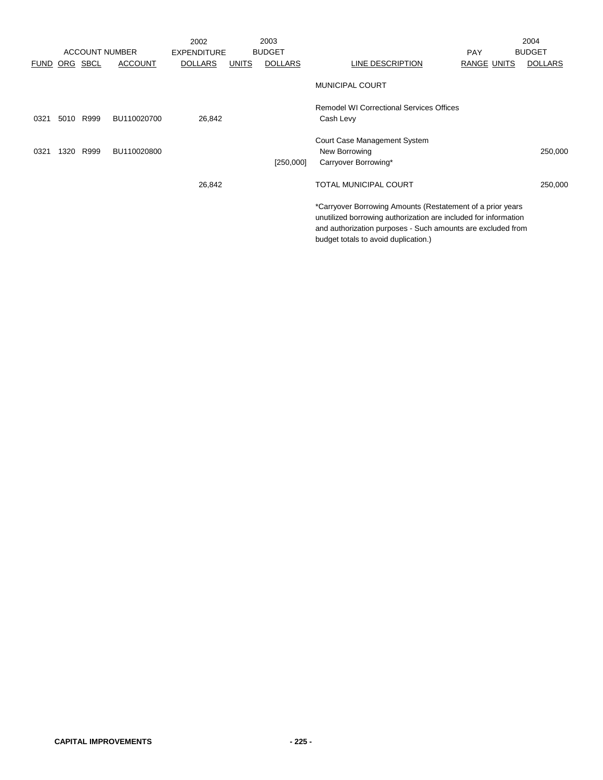|             |      |          |                       | 2002               |              | 2003           |                                                                                                                                                                                                                                      |             | 2004           |
|-------------|------|----------|-----------------------|--------------------|--------------|----------------|--------------------------------------------------------------------------------------------------------------------------------------------------------------------------------------------------------------------------------------|-------------|----------------|
|             |      |          | <b>ACCOUNT NUMBER</b> | <b>EXPENDITURE</b> |              | <b>BUDGET</b>  |                                                                                                                                                                                                                                      | <b>PAY</b>  | <b>BUDGET</b>  |
| <b>FUND</b> |      | ORG SBCL | <b>ACCOUNT</b>        | <b>DOLLARS</b>     | <b>UNITS</b> | <b>DOLLARS</b> | LINE DESCRIPTION                                                                                                                                                                                                                     | RANGE UNITS | <b>DOLLARS</b> |
|             |      |          |                       |                    |              |                | <b>MUNICIPAL COURT</b>                                                                                                                                                                                                               |             |                |
| 0321        | 5010 | R999     | BU110020700           | 26,842             |              |                | Remodel WI Correctional Services Offices<br>Cash Levy                                                                                                                                                                                |             |                |
| 0321        | 1320 | R999     | BU110020800           |                    |              | [250,000]      | Court Case Management System<br>New Borrowing<br>Carryover Borrowing*                                                                                                                                                                |             | 250,000        |
|             |      |          |                       | 26,842             |              |                | <b>TOTAL MUNICIPAL COURT</b>                                                                                                                                                                                                         |             | 250,000        |
|             |      |          |                       |                    |              |                | *Carryover Borrowing Amounts (Restatement of a prior years<br>unutilized borrowing authorization are included for information<br>and authorization purposes - Such amounts are excluded from<br>budget totals to avoid duplication.) |             |                |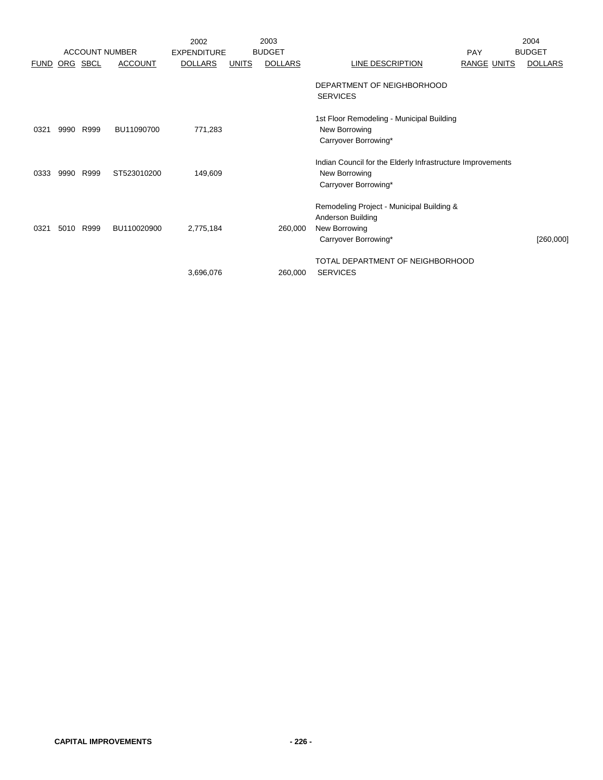|             |      | <b>ACCOUNT NUMBER</b> |                | 2002<br><b>EXPENDITURE</b> |              | 2003<br><b>BUDGET</b> |                                                                                                         | <b>PAY</b>  | 2004<br><b>BUDGET</b> |
|-------------|------|-----------------------|----------------|----------------------------|--------------|-----------------------|---------------------------------------------------------------------------------------------------------|-------------|-----------------------|
| <b>FUND</b> |      | ORG SBCL              | <b>ACCOUNT</b> | <b>DOLLARS</b>             | <b>UNITS</b> | <b>DOLLARS</b>        | LINE DESCRIPTION                                                                                        | RANGE UNITS | <b>DOLLARS</b>        |
|             |      |                       |                |                            |              |                       | DEPARTMENT OF NEIGHBORHOOD<br><b>SERVICES</b>                                                           |             |                       |
| 0321        | 9990 | R999                  | BU11090700     | 771,283                    |              |                       | 1st Floor Remodeling - Municipal Building<br>New Borrowing<br>Carryover Borrowing*                      |             |                       |
| 0333        | 9990 | R999                  | ST523010200    | 149,609                    |              |                       | Indian Council for the Elderly Infrastructure Improvements<br>New Borrowing<br>Carryover Borrowing*     |             |                       |
| 0321        | 5010 | R999                  | BU110020900    | 2,775,184                  |              | 260,000               | Remodeling Project - Municipal Building &<br>Anderson Building<br>New Borrowing<br>Carryover Borrowing* |             | [260,000]             |
|             |      |                       |                | 3,696,076                  |              | 260,000               | TOTAL DEPARTMENT OF NEIGHBORHOOD<br><b>SERVICES</b>                                                     |             |                       |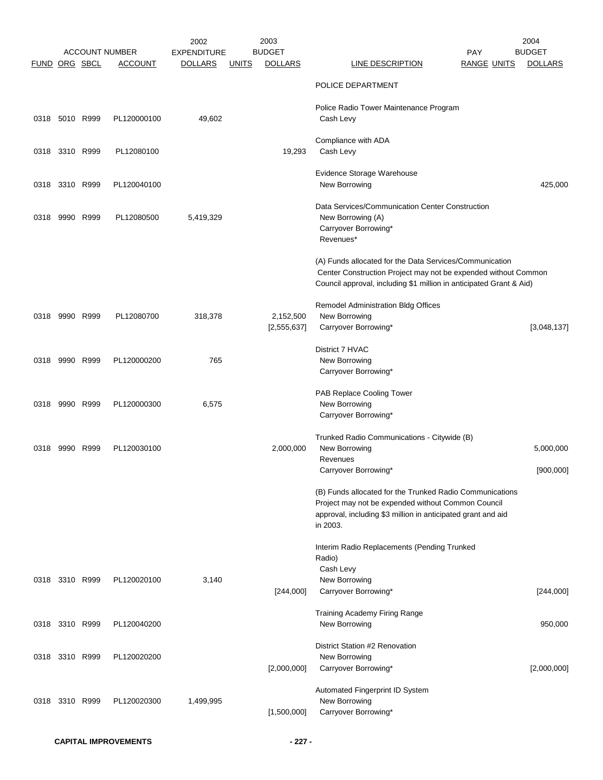|               |                |      | <b>ACCOUNT NUMBER</b> | 2002<br><b>EXPENDITURE</b> |              | 2003<br><b>BUDGET</b>      | <b>PAY</b>                                                                                                                                                                                       | 2004<br><b>BUDGET</b>  |
|---------------|----------------|------|-----------------------|----------------------------|--------------|----------------------------|--------------------------------------------------------------------------------------------------------------------------------------------------------------------------------------------------|------------------------|
| FUND ORG SBCL |                |      | <b>ACCOUNT</b>        | <b>DOLLARS</b>             | <u>UNITS</u> | <b>DOLLARS</b>             | <b>LINE DESCRIPTION</b><br><b>RANGE UNITS</b>                                                                                                                                                    | <b>DOLLARS</b>         |
|               |                |      |                       |                            |              |                            | POLICE DEPARTMENT                                                                                                                                                                                |                        |
|               | 0318 5010 R999 |      | PL120000100           | 49,602                     |              |                            | Police Radio Tower Maintenance Program<br>Cash Levy                                                                                                                                              |                        |
|               | 0318 3310 R999 |      | PL12080100            |                            |              | 19,293                     | Compliance with ADA<br>Cash Levy                                                                                                                                                                 |                        |
|               | 0318 3310 R999 |      | PL120040100           |                            |              |                            | Evidence Storage Warehouse<br>New Borrowing                                                                                                                                                      | 425,000                |
| 0318          | 9990 R999      |      | PL12080500            | 5,419,329                  |              |                            | Data Services/Communication Center Construction<br>New Borrowing (A)<br>Carryover Borrowing*<br>Revenues*                                                                                        |                        |
|               |                |      |                       |                            |              |                            | (A) Funds allocated for the Data Services/Communication<br>Center Construction Project may not be expended without Common<br>Council approval, including \$1 million in anticipated Grant & Aid) |                        |
| 0318          | 9990 R999      |      | PL12080700            | 318,378                    |              | 2,152,500<br>[2, 555, 637] | Remodel Administration Bldg Offices<br>New Borrowing<br>Carryover Borrowing*                                                                                                                     | [3,048,137]            |
| 0318          | 9990 R999      |      | PL120000200           | 765                        |              |                            | District 7 HVAC<br>New Borrowing<br>Carryover Borrowing*                                                                                                                                         |                        |
| 0318          | 9990 R999      |      | PL120000300           | 6,575                      |              |                            | PAB Replace Cooling Tower<br>New Borrowing<br>Carryover Borrowing*                                                                                                                               |                        |
| 0318          | 9990           | R999 | PL120030100           |                            |              | 2,000,000                  | Trunked Radio Communications - Citywide (B)<br>New Borrowing<br>Revenues<br>Carryover Borrowing*                                                                                                 | 5,000,000<br>[900,000] |
|               |                |      |                       |                            |              |                            | (B) Funds allocated for the Trunked Radio Communications<br>Project may not be expended without Common Council<br>approval, including \$3 million in anticipated grant and aid<br>in 2003.       |                        |
|               | 0318 3310 R999 |      | PL120020100           | 3,140                      |              | [244,000]                  | Interim Radio Replacements (Pending Trunked<br>Radio)<br>Cash Levy<br>New Borrowing<br>Carryover Borrowing*                                                                                      | [244,000]              |
|               | 0318 3310 R999 |      | PL120040200           |                            |              |                            | Training Academy Firing Range<br>New Borrowing                                                                                                                                                   | 950,000                |
|               | 0318 3310 R999 |      | PL120020200           |                            |              | [2,000,000]                | District Station #2 Renovation<br>New Borrowing<br>Carryover Borrowing*                                                                                                                          | [2,000,000]            |
|               | 0318 3310 R999 |      | PL120020300           | 1,499,995                  |              | [1,500,000]                | Automated Fingerprint ID System<br>New Borrowing<br>Carryover Borrowing*                                                                                                                         |                        |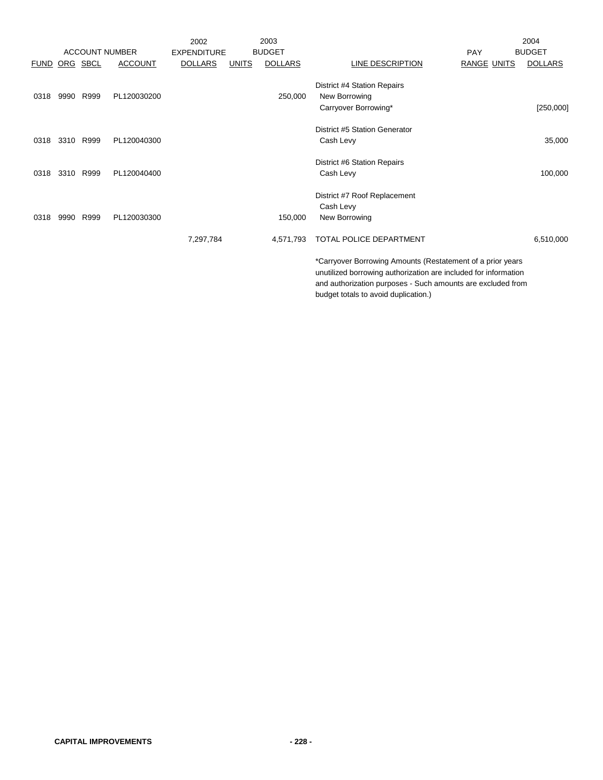|             |          |                       |                | 2002               |              | 2003           |                                                                                                                                                                                                                                      | 2004           |
|-------------|----------|-----------------------|----------------|--------------------|--------------|----------------|--------------------------------------------------------------------------------------------------------------------------------------------------------------------------------------------------------------------------------------|----------------|
|             |          | <b>ACCOUNT NUMBER</b> |                | <b>EXPENDITURE</b> |              | <b>BUDGET</b>  | PAY                                                                                                                                                                                                                                  | <b>BUDGET</b>  |
| <b>FUND</b> | ORG SBCL |                       | <b>ACCOUNT</b> | <b>DOLLARS</b>     | <b>UNITS</b> | <b>DOLLARS</b> | <b>LINE DESCRIPTION</b><br><b>RANGE UNITS</b>                                                                                                                                                                                        | <b>DOLLARS</b> |
|             |          |                       |                |                    |              |                | District #4 Station Repairs                                                                                                                                                                                                          |                |
| 0318        | 9990     | R999                  | PL120030200    |                    |              | 250,000        | New Borrowing                                                                                                                                                                                                                        |                |
|             |          |                       |                |                    |              |                | Carryover Borrowing*                                                                                                                                                                                                                 | [250,000]      |
|             |          |                       |                |                    |              |                | District #5 Station Generator                                                                                                                                                                                                        |                |
| 0318        | 3310     | R999                  | PL120040300    |                    |              |                | Cash Levy                                                                                                                                                                                                                            | 35,000         |
|             |          |                       |                |                    |              |                | District #6 Station Repairs                                                                                                                                                                                                          |                |
| 0318        |          | 3310 R999             | PL120040400    |                    |              |                | Cash Levy                                                                                                                                                                                                                            | 100,000        |
|             |          |                       |                |                    |              |                | District #7 Roof Replacement                                                                                                                                                                                                         |                |
|             |          |                       |                |                    |              |                | Cash Levy                                                                                                                                                                                                                            |                |
| 0318        | 9990     | R999                  | PL120030300    |                    |              | 150,000        | New Borrowing                                                                                                                                                                                                                        |                |
|             |          |                       |                | 7,297,784          |              | 4,571,793      | TOTAL POLICE DEPARTMENT                                                                                                                                                                                                              | 6,510,000      |
|             |          |                       |                |                    |              |                | *Carryover Borrowing Amounts (Restatement of a prior years<br>unutilized borrowing authorization are included for information<br>and authorization purposes - Such amounts are excluded from<br>budget totals to avoid duplication.) |                |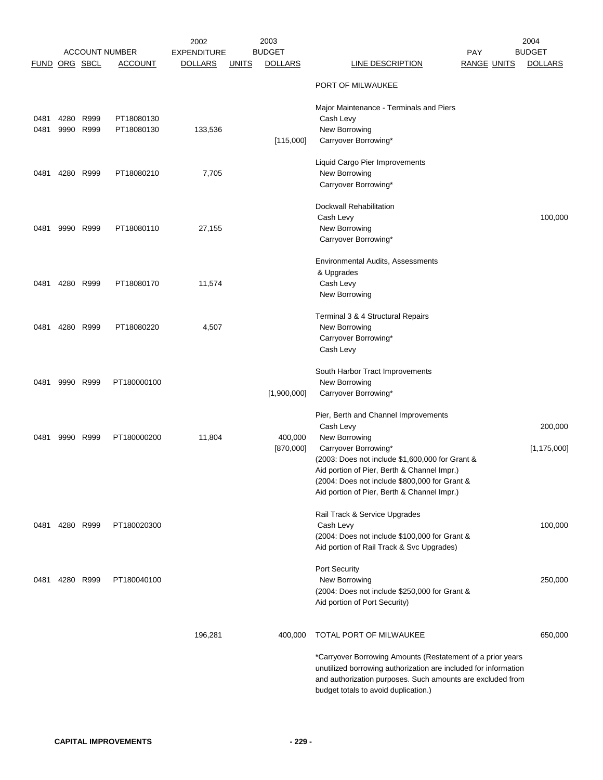|                      |              |                |                                         | 2002                                 |              | 2003<br><b>BUDGET</b> |                                                                                                                                                                                                                                     | 2004<br><b>BUDGET</b>    |
|----------------------|--------------|----------------|-----------------------------------------|--------------------------------------|--------------|-----------------------|-------------------------------------------------------------------------------------------------------------------------------------------------------------------------------------------------------------------------------------|--------------------------|
| <b>FUND ORG SBCL</b> |              |                | <b>ACCOUNT NUMBER</b><br><b>ACCOUNT</b> | <b>EXPENDITURE</b><br><b>DOLLARS</b> | <b>UNITS</b> | <b>DOLLARS</b>        | <b>PAY</b><br><b>LINE DESCRIPTION</b><br><b>RANGE UNITS</b>                                                                                                                                                                         | <b>DOLLARS</b>           |
|                      |              |                |                                         |                                      |              |                       | PORT OF MILWAUKEE                                                                                                                                                                                                                   |                          |
| 0481<br>0481         | 4280<br>9990 | R999<br>R999   | PT18080130<br>PT18080130                | 133,536                              |              | [115,000]             | Major Maintenance - Terminals and Piers<br>Cash Levy<br>New Borrowing<br>Carryover Borrowing*                                                                                                                                       |                          |
| 0481                 |              | 4280 R999      | PT18080210                              | 7,705                                |              |                       | Liquid Cargo Pier Improvements<br>New Borrowing<br>Carryover Borrowing*                                                                                                                                                             |                          |
| 0481                 | 9990         | R999           | PT18080110                              | 27,155                               |              |                       | Dockwall Rehabilitation<br>Cash Levy<br>New Borrowing<br>Carryover Borrowing*                                                                                                                                                       | 100,000                  |
| 0481                 | 4280         | R999           | PT18080170                              | 11,574                               |              |                       | Environmental Audits, Assessments<br>& Upgrades<br>Cash Levy<br>New Borrowing                                                                                                                                                       |                          |
| 0481                 |              | 4280 R999      | PT18080220                              | 4,507                                |              |                       | Terminal 3 & 4 Structural Repairs<br>New Borrowing<br>Carryover Borrowing*<br>Cash Levy                                                                                                                                             |                          |
| 0481                 | 9990         | R999           | PT180000100                             |                                      |              | [1,900,000]           | South Harbor Tract Improvements<br>New Borrowing<br>Carryover Borrowing*                                                                                                                                                            |                          |
| 0481                 | 9990         | R999           | PT180000200                             | 11,804                               |              | 400,000<br>[870,000]  | Pier, Berth and Channel Improvements<br>Cash Levy<br>New Borrowing<br>Carryover Borrowing*                                                                                                                                          | 200,000<br>[1, 175, 000] |
|                      |              |                |                                         |                                      |              |                       | (2003: Does not include \$1,600,000 for Grant &<br>Aid portion of Pier, Berth & Channel Impr.)<br>(2004: Does not include \$800,000 for Grant &<br>Aid portion of Pier, Berth & Channel Impr.)                                      |                          |
|                      |              | 0481 4280 R999 | PT180020300                             |                                      |              |                       | Rail Track & Service Upgrades<br>Cash Levy<br>(2004: Does not include \$100,000 for Grant &<br>Aid portion of Rail Track & Svc Upgrades)                                                                                            | 100,000                  |
| 0481                 |              | 4280 R999      | PT180040100                             |                                      |              |                       | Port Security<br>New Borrowing<br>(2004: Does not include \$250,000 for Grant &<br>Aid portion of Port Security)                                                                                                                    | 250,000                  |
|                      |              |                |                                         | 196,281                              |              | 400,000               | TOTAL PORT OF MILWAUKEE                                                                                                                                                                                                             | 650,000                  |
|                      |              |                |                                         |                                      |              |                       | *Carryover Borrowing Amounts (Restatement of a prior years<br>unutilized borrowing authorization are included for information<br>and authorization purposes. Such amounts are excluded from<br>budget totals to avoid duplication.) |                          |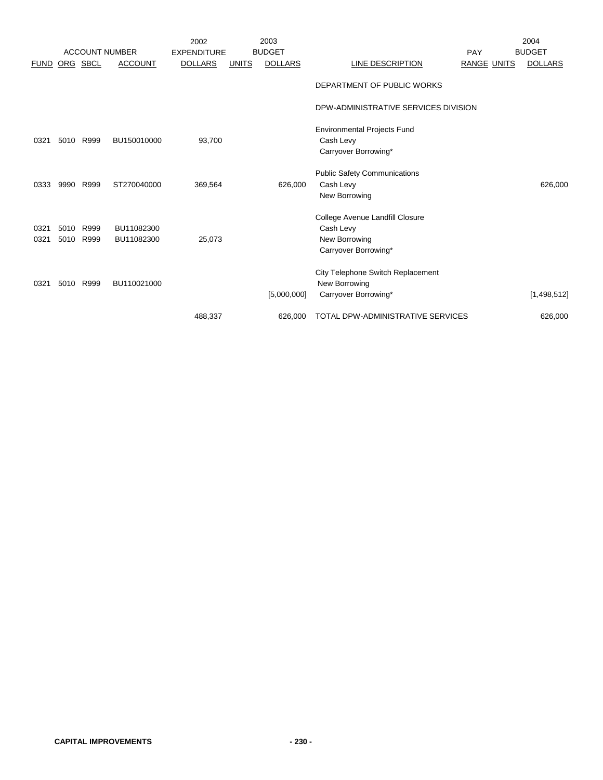|               |              | <b>ACCOUNT NUMBER</b> |                          | 2002<br><b>EXPENDITURE</b> |              | 2003<br><b>BUDGET</b> |                                                                                       | PAY                | 2004<br><b>BUDGET</b> |
|---------------|--------------|-----------------------|--------------------------|----------------------------|--------------|-----------------------|---------------------------------------------------------------------------------------|--------------------|-----------------------|
| FUND ORG SBCL |              |                       | <b>ACCOUNT</b>           | <b>DOLLARS</b>             | <b>UNITS</b> | <b>DOLLARS</b>        | LINE DESCRIPTION                                                                      | <b>RANGE UNITS</b> | <b>DOLLARS</b>        |
|               |              |                       |                          |                            |              |                       | DEPARTMENT OF PUBLIC WORKS                                                            |                    |                       |
|               |              |                       |                          |                            |              |                       | DPW-ADMINISTRATIVE SERVICES DIVISION                                                  |                    |                       |
| 0321          | 5010         | R999                  | BU150010000              | 93,700                     |              |                       | <b>Environmental Projects Fund</b><br>Cash Levy<br>Carryover Borrowing*               |                    |                       |
| 0333          | 9990         | R999                  | ST270040000              | 369,564                    |              | 626,000               | <b>Public Safety Communications</b><br>Cash Levy<br>New Borrowing                     |                    | 626,000               |
| 0321<br>0321  | 5010<br>5010 | R999<br>R999          | BU11082300<br>BU11082300 | 25,073                     |              |                       | College Avenue Landfill Closure<br>Cash Levy<br>New Borrowing<br>Carryover Borrowing* |                    |                       |
| 0321          | 5010         | R999                  | BU110021000              |                            |              | [5,000,000]           | City Telephone Switch Replacement<br>New Borrowing<br>Carryover Borrowing*            |                    | [1,498,512]           |
|               |              |                       |                          | 488,337                    |              | 626,000               | <b>TOTAL DPW-ADMINISTRATIVE SERVICES</b>                                              |                    | 626,000               |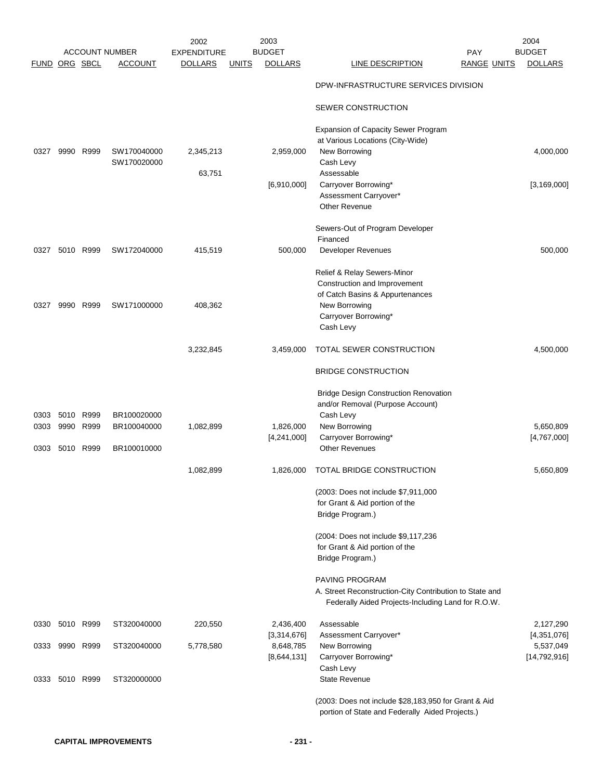|               |                |      |                                         | 2002                                 |              | 2003                            |                                                                                                               |                                  | 2004                            |
|---------------|----------------|------|-----------------------------------------|--------------------------------------|--------------|---------------------------------|---------------------------------------------------------------------------------------------------------------|----------------------------------|---------------------------------|
| FUND ORG SBCL |                |      | <b>ACCOUNT NUMBER</b><br><b>ACCOUNT</b> | <b>EXPENDITURE</b><br><b>DOLLARS</b> | <b>UNITS</b> | <b>BUDGET</b><br><b>DOLLARS</b> | LINE DESCRIPTION                                                                                              | <b>PAY</b><br><b>RANGE UNITS</b> | <b>BUDGET</b><br><b>DOLLARS</b> |
|               |                |      |                                         |                                      |              |                                 | DPW-INFRASTRUCTURE SERVICES DIVISION                                                                          |                                  |                                 |
|               |                |      |                                         |                                      |              |                                 | SEWER CONSTRUCTION                                                                                            |                                  |                                 |
|               |                |      |                                         |                                      |              |                                 |                                                                                                               |                                  |                                 |
|               |                |      |                                         |                                      |              |                                 | <b>Expansion of Capacity Sewer Program</b><br>at Various Locations (City-Wide)                                |                                  |                                 |
| 0327          | 9990           | R999 | SW170040000<br>SW170020000              | 2,345,213                            |              | 2,959,000                       | New Borrowing<br>Cash Levy                                                                                    |                                  | 4,000,000                       |
|               |                |      |                                         | 63,751                               |              |                                 | Assessable                                                                                                    |                                  |                                 |
|               |                |      |                                         |                                      |              | [6,910,000]                     | Carryover Borrowing*                                                                                          |                                  | [3, 169, 000]                   |
|               |                |      |                                         |                                      |              |                                 | Assessment Carryover*<br><b>Other Revenue</b>                                                                 |                                  |                                 |
|               |                |      |                                         |                                      |              |                                 | Sewers-Out of Program Developer                                                                               |                                  |                                 |
| 0327          | 5010           | R999 |                                         |                                      |              |                                 | Financed                                                                                                      |                                  | 500,000                         |
|               |                |      | SW172040000                             | 415,519                              |              | 500,000                         | <b>Developer Revenues</b>                                                                                     |                                  |                                 |
|               |                |      |                                         |                                      |              |                                 | Relief & Relay Sewers-Minor<br>Construction and Improvement                                                   |                                  |                                 |
|               |                |      |                                         |                                      |              |                                 | of Catch Basins & Appurtenances                                                                               |                                  |                                 |
| 0327          | 9990           | R999 | SW171000000                             | 408,362                              |              |                                 | New Borrowing                                                                                                 |                                  |                                 |
|               |                |      |                                         |                                      |              |                                 | Carryover Borrowing*                                                                                          |                                  |                                 |
|               |                |      |                                         |                                      |              |                                 | Cash Levy                                                                                                     |                                  |                                 |
|               |                |      |                                         | 3,232,845                            |              | 3,459,000                       | TOTAL SEWER CONSTRUCTION                                                                                      |                                  | 4,500,000                       |
|               |                |      |                                         |                                      |              |                                 | <b>BRIDGE CONSTRUCTION</b>                                                                                    |                                  |                                 |
|               |                |      |                                         |                                      |              |                                 | <b>Bridge Design Construction Renovation</b>                                                                  |                                  |                                 |
|               |                |      |                                         |                                      |              |                                 | and/or Removal (Purpose Account)                                                                              |                                  |                                 |
| 0303          | 5010           | R999 | BR100020000                             |                                      |              |                                 | Cash Levy                                                                                                     |                                  |                                 |
| 0303          | 9990           | R999 | BR100040000                             | 1,082,899                            |              | 1,826,000<br>[4,241,000]        | New Borrowing<br>Carryover Borrowing*                                                                         |                                  | 5,650,809<br>[4,767,000]        |
| 0303          | 5010           | R999 | BR100010000                             |                                      |              |                                 | <b>Other Revenues</b>                                                                                         |                                  |                                 |
|               |                |      |                                         | 1,082,899                            |              | 1,826,000                       | TOTAL BRIDGE CONSTRUCTION                                                                                     |                                  | 5,650,809                       |
|               |                |      |                                         |                                      |              |                                 | (2003: Does not include \$7,911,000                                                                           |                                  |                                 |
|               |                |      |                                         |                                      |              |                                 | for Grant & Aid portion of the                                                                                |                                  |                                 |
|               |                |      |                                         |                                      |              |                                 | Bridge Program.)                                                                                              |                                  |                                 |
|               |                |      |                                         |                                      |              |                                 | (2004: Does not include \$9,117,236)                                                                          |                                  |                                 |
|               |                |      |                                         |                                      |              |                                 | for Grant & Aid portion of the                                                                                |                                  |                                 |
|               |                |      |                                         |                                      |              |                                 | Bridge Program.)                                                                                              |                                  |                                 |
|               |                |      |                                         |                                      |              |                                 | PAVING PROGRAM                                                                                                |                                  |                                 |
|               |                |      |                                         |                                      |              |                                 | A. Street Reconstruction-City Contribution to State and<br>Federally Aided Projects-Including Land for R.O.W. |                                  |                                 |
|               |                |      |                                         |                                      |              |                                 |                                                                                                               |                                  |                                 |
| 0330          | 5010 R999      |      | ST320040000                             | 220,550                              |              | 2,436,400<br>[3,314,676]        | Assessable<br>Assessment Carryover*                                                                           |                                  | 2,127,290<br>[4,351,076]        |
|               | 0333 9990 R999 |      | ST320040000                             | 5,778,580                            |              | 8,648,785                       | New Borrowing                                                                                                 |                                  | 5,537,049                       |
|               |                |      |                                         |                                      |              | [8,644,131]                     | Carryover Borrowing*                                                                                          |                                  | [14, 792, 916]                  |
|               |                |      |                                         |                                      |              |                                 | Cash Levy                                                                                                     |                                  |                                 |
| 0333          | 5010 R999      |      | ST320000000                             |                                      |              |                                 | <b>State Revenue</b>                                                                                          |                                  |                                 |
|               |                |      |                                         |                                      |              |                                 | (2003: Does not include \$28,183,950 for Grant & Aid<br>portion of State and Federally Aided Projects.)       |                                  |                                 |
|               |                |      |                                         |                                      |              |                                 |                                                                                                               |                                  |                                 |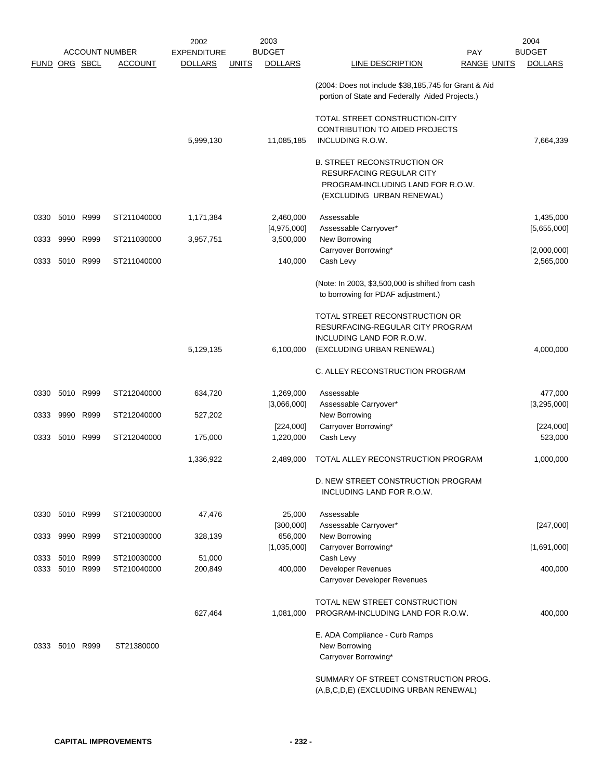|               |                |           |                            | 2002               |              | 2003                   |                                                                                                                                         | 2004                     |
|---------------|----------------|-----------|----------------------------|--------------------|--------------|------------------------|-----------------------------------------------------------------------------------------------------------------------------------------|--------------------------|
|               |                |           | <b>ACCOUNT NUMBER</b>      | <b>EXPENDITURE</b> |              | <b>BUDGET</b>          | <b>PAY</b>                                                                                                                              | <b>BUDGET</b>            |
| FUND ORG SBCL |                |           | <b>ACCOUNT</b>             | <b>DOLLARS</b>     | <b>UNITS</b> | <b>DOLLARS</b>         | LINE DESCRIPTION<br><b>RANGE UNITS</b>                                                                                                  | <b>DOLLARS</b>           |
|               |                |           |                            |                    |              |                        | (2004: Does not include \$38,185,745 for Grant & Aid<br>portion of State and Federally Aided Projects.)                                 |                          |
|               |                |           |                            |                    |              |                        | TOTAL STREET CONSTRUCTION-CITY<br>CONTRIBUTION TO AIDED PROJECTS                                                                        |                          |
|               |                |           |                            | 5,999,130          |              | 11,085,185             | INCLUDING R.O.W.                                                                                                                        | 7,664,339                |
|               |                |           |                            |                    |              |                        | <b>B. STREET RECONSTRUCTION OR</b><br><b>RESURFACING REGULAR CITY</b><br>PROGRAM-INCLUDING LAND FOR R.O.W.<br>(EXCLUDING URBAN RENEWAL) |                          |
| 0330          |                | 5010 R999 | ST211040000                | 1,171,384          |              | 2,460,000              | Assessable                                                                                                                              | 1,435,000                |
|               |                |           |                            |                    |              | [4,975,000]            | Assessable Carryover*                                                                                                                   | [5,655,000]              |
| 0333          | 9990           | R999      | ST211030000                | 3,957,751          |              | 3,500,000              | New Borrowing                                                                                                                           |                          |
| 0333          |                | 5010 R999 | ST211040000                |                    |              | 140,000                | Carryover Borrowing*<br>Cash Levy                                                                                                       | [2,000,000]<br>2,565,000 |
|               |                |           |                            |                    |              |                        |                                                                                                                                         |                          |
|               |                |           |                            |                    |              |                        | (Note: In 2003, \$3,500,000 is shifted from cash<br>to borrowing for PDAF adjustment.)                                                  |                          |
|               |                |           |                            |                    |              |                        | TOTAL STREET RECONSTRUCTION OR<br>RESURFACING-REGULAR CITY PROGRAM                                                                      |                          |
|               |                |           |                            |                    |              |                        | INCLUDING LAND FOR R.O.W.                                                                                                               |                          |
|               |                |           |                            | 5,129,135          |              | 6,100,000              | (EXCLUDING URBAN RENEWAL)                                                                                                               | 4,000,000                |
|               |                |           |                            |                    |              |                        | C. ALLEY RECONSTRUCTION PROGRAM                                                                                                         |                          |
| 0330          | 5010 R999      |           | ST212040000                | 634,720            |              | 1,269,000              | Assessable                                                                                                                              | 477,000                  |
|               |                |           |                            |                    |              | [3,066,000]            | Assessable Carryover*                                                                                                                   | [3,295,000]              |
| 0333          | 9990           | R999      | ST212040000                | 527,202            |              |                        | New Borrowing                                                                                                                           |                          |
| 0333          |                | 5010 R999 | ST212040000                | 175,000            |              | [224,000]<br>1,220,000 | Carryover Borrowing*<br>Cash Levy                                                                                                       | [224,000]<br>523,000     |
|               |                |           |                            |                    |              |                        |                                                                                                                                         |                          |
|               |                |           |                            | 1,336,922          |              | 2,489,000              | TOTAL ALLEY RECONSTRUCTION PROGRAM                                                                                                      | 1,000,000                |
|               |                |           |                            |                    |              |                        | D. NEW STREET CONSTRUCTION PROGRAM<br>INCLUDING LAND FOR R.O.W.                                                                         |                          |
|               | 0330 5010 R999 |           | ST210030000                | 47,476             |              | 25,000                 | Assessable                                                                                                                              |                          |
|               |                |           |                            |                    |              | [300,000]              | Assessable Carryover*                                                                                                                   | [247,000]                |
| 0333          | 9990 R999      |           | ST210030000                | 328,139            |              | 656,000                | New Borrowing                                                                                                                           |                          |
|               | 0333 5010 R999 |           |                            | 51,000             |              | [1,035,000]            | Carryover Borrowing*<br>Cash Levy                                                                                                       | [1,691,000]              |
| 0333          | 5010 R999      |           | ST210030000<br>ST210040000 | 200,849            |              | 400,000                | Developer Revenues                                                                                                                      | 400,000                  |
|               |                |           |                            |                    |              |                        | Carryover Developer Revenues                                                                                                            |                          |
|               |                |           |                            |                    |              |                        | TOTAL NEW STREET CONSTRUCTION                                                                                                           |                          |
|               |                |           |                            | 627,464            |              | 1,081,000              | PROGRAM-INCLUDING LAND FOR R.O.W.                                                                                                       | 400,000                  |
|               |                |           |                            |                    |              |                        | E. ADA Compliance - Curb Ramps                                                                                                          |                          |
| 0333          | 5010 R999      |           | ST21380000                 |                    |              |                        | New Borrowing                                                                                                                           |                          |
|               |                |           |                            |                    |              |                        | Carryover Borrowing*                                                                                                                    |                          |
|               |                |           |                            |                    |              |                        | SUMMARY OF STREET CONSTRUCTION PROG.<br>(A,B,C,D,E) (EXCLUDING URBAN RENEWAL)                                                           |                          |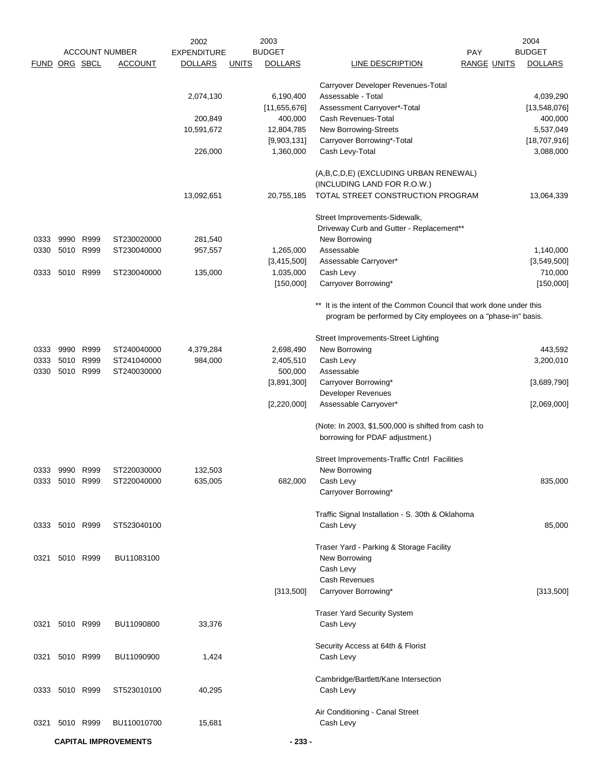|                      |                |           |                             | 2002               | 2003                           |                                                                                                                                      |                    | 2004           |
|----------------------|----------------|-----------|-----------------------------|--------------------|--------------------------------|--------------------------------------------------------------------------------------------------------------------------------------|--------------------|----------------|
|                      |                |           | <b>ACCOUNT NUMBER</b>       | <b>EXPENDITURE</b> | <b>BUDGET</b>                  |                                                                                                                                      | <b>PAY</b>         | <b>BUDGET</b>  |
| <b>FUND ORG SBCL</b> |                |           | <b>ACCOUNT</b>              | <b>DOLLARS</b>     | <b>UNITS</b><br><b>DOLLARS</b> | LINE DESCRIPTION                                                                                                                     | <b>RANGE UNITS</b> | <b>DOLLARS</b> |
|                      |                |           |                             |                    |                                | Carryover Developer Revenues-Total                                                                                                   |                    |                |
|                      |                |           |                             | 2,074,130          | 6,190,400                      | Assessable - Total                                                                                                                   |                    | 4,039,290      |
|                      |                |           |                             |                    | [11,655,676]                   | Assessment Carryover*-Total                                                                                                          |                    | [13,548,076]   |
|                      |                |           |                             | 200,849            | 400,000                        | Cash Revenues-Total                                                                                                                  |                    | 400,000        |
|                      |                |           |                             | 10,591,672         | 12,804,785                     | New Borrowing-Streets                                                                                                                |                    | 5,537,049      |
|                      |                |           |                             |                    | [9,903,131]                    | Carryover Borrowing*-Total                                                                                                           |                    | [18,707,916]   |
|                      |                |           |                             | 226,000            | 1,360,000                      | Cash Levy-Total                                                                                                                      |                    | 3,088,000      |
|                      |                |           |                             |                    |                                |                                                                                                                                      |                    |                |
|                      |                |           |                             |                    |                                | (A,B,C,D,E) (EXCLUDING URBAN RENEWAL)<br>(INCLUDING LAND FOR R.O.W.)                                                                 |                    |                |
|                      |                |           |                             | 13,092,651         | 20,755,185                     | TOTAL STREET CONSTRUCTION PROGRAM                                                                                                    |                    | 13,064,339     |
|                      |                |           |                             |                    |                                |                                                                                                                                      |                    |                |
|                      |                |           |                             |                    |                                | Street Improvements-Sidewalk,                                                                                                        |                    |                |
|                      |                |           |                             |                    |                                | Driveway Curb and Gutter - Replacement**                                                                                             |                    |                |
| 0333                 | 9990           | R999      | ST230020000                 | 281,540            |                                | New Borrowing                                                                                                                        |                    |                |
| 0330                 |                | 5010 R999 | ST230040000                 | 957,557            | 1,265,000                      | Assessable                                                                                                                           |                    | 1,140,000      |
|                      |                |           |                             |                    | [3,415,500]                    | Assessable Carryover*                                                                                                                |                    | [3,549,500]    |
| 0333                 | 5010           | R999      | ST230040000                 | 135,000            | 1,035,000                      | Cash Levy                                                                                                                            |                    | 710,000        |
|                      |                |           |                             |                    | [150,000]                      | Carryover Borrowing*                                                                                                                 |                    | [150,000]      |
|                      |                |           |                             |                    |                                | ** It is the intent of the Common Council that work done under this<br>program be performed by City employees on a "phase-in" basis. |                    |                |
|                      |                |           |                             |                    |                                | Street Improvements-Street Lighting                                                                                                  |                    |                |
| 0333                 | 9990           | R999      | ST240040000                 | 4,379,284          | 2,698,490                      | New Borrowing                                                                                                                        |                    | 443,592        |
| 0333                 |                | 5010 R999 | ST241040000                 | 984,000            | 2,405,510                      | Cash Levy                                                                                                                            |                    | 3,200,010      |
| 0330                 |                | 5010 R999 | ST240030000                 |                    | 500,000                        | Assessable                                                                                                                           |                    |                |
|                      |                |           |                             |                    | [3,891,300]                    | Carryover Borrowing*                                                                                                                 |                    | [3,689,790]    |
|                      |                |           |                             |                    |                                | Developer Revenues                                                                                                                   |                    |                |
|                      |                |           |                             |                    | [2,220,000]                    | Assessable Carryover*                                                                                                                |                    | [2,069,000]    |
|                      |                |           |                             |                    |                                |                                                                                                                                      |                    |                |
|                      |                |           |                             |                    |                                | (Note: In 2003, \$1,500,000 is shifted from cash to<br>borrowing for PDAF adjustment.)                                               |                    |                |
|                      |                |           |                             |                    |                                | Street Improvements-Traffic Cntrl Facilities                                                                                         |                    |                |
| 0333                 | 9990           | R999      | ST220030000                 | 132,503            |                                | New Borrowing                                                                                                                        |                    |                |
|                      | 0333 5010 R999 |           | ST220040000                 | 635,005            | 682,000                        | Cash Levy                                                                                                                            |                    | 835,000        |
|                      |                |           |                             |                    |                                | Carryover Borrowing*                                                                                                                 |                    |                |
|                      |                |           |                             |                    |                                |                                                                                                                                      |                    |                |
|                      | 0333 5010 R999 |           | ST523040100                 |                    |                                | Traffic Signal Installation - S. 30th & Oklahoma<br>Cash Levy                                                                        |                    | 85,000         |
|                      |                |           |                             |                    |                                |                                                                                                                                      |                    |                |
|                      |                |           |                             |                    |                                | Traser Yard - Parking & Storage Facility                                                                                             |                    |                |
| 0321                 |                | 5010 R999 | BU11083100                  |                    |                                | New Borrowing                                                                                                                        |                    |                |
|                      |                |           |                             |                    |                                | Cash Levy                                                                                                                            |                    |                |
|                      |                |           |                             |                    |                                | Cash Revenues                                                                                                                        |                    |                |
|                      |                |           |                             |                    | [313,500]                      | Carryover Borrowing*                                                                                                                 |                    | [313,500]      |
|                      |                |           |                             |                    |                                |                                                                                                                                      |                    |                |
|                      |                |           |                             |                    |                                | <b>Traser Yard Security System</b>                                                                                                   |                    |                |
| 0321                 |                | 5010 R999 | BU11090800                  | 33,376             |                                | Cash Levy                                                                                                                            |                    |                |
|                      |                |           |                             |                    |                                | Security Access at 64th & Florist                                                                                                    |                    |                |
|                      | 0321 5010 R999 |           | BU11090900                  | 1,424              |                                | Cash Levy                                                                                                                            |                    |                |
|                      |                |           |                             |                    |                                | Cambridge/Bartlett/Kane Intersection                                                                                                 |                    |                |
|                      | 0333 5010 R999 |           | ST523010100                 | 40,295             |                                | Cash Levy                                                                                                                            |                    |                |
|                      |                |           |                             |                    |                                | Air Conditioning - Canal Street                                                                                                      |                    |                |
| 0321                 | 5010 R999      |           | BU110010700                 | 15,681             |                                | Cash Levy                                                                                                                            |                    |                |
|                      |                |           | <b>CAPITAL IMPROVEMENTS</b> |                    | $-233-$                        |                                                                                                                                      |                    |                |
|                      |                |           |                             |                    |                                |                                                                                                                                      |                    |                |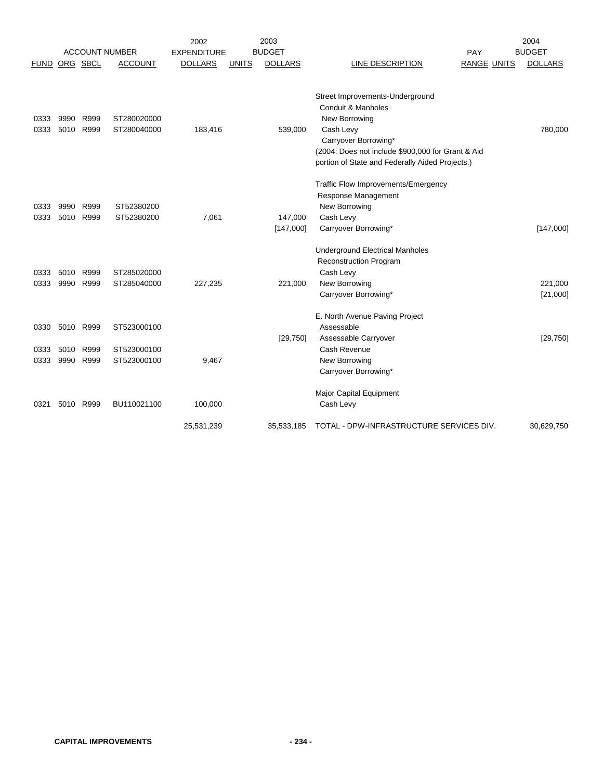|                      |                      |                      |                                           | 2002               |              | 2003                 |                                                                                                                                                                                                                     |                    | 2004                |
|----------------------|----------------------|----------------------|-------------------------------------------|--------------------|--------------|----------------------|---------------------------------------------------------------------------------------------------------------------------------------------------------------------------------------------------------------------|--------------------|---------------------|
|                      |                      |                      | <b>ACCOUNT NUMBER</b>                     | <b>EXPENDITURE</b> |              | <b>BUDGET</b>        |                                                                                                                                                                                                                     | PAY                | <b>BUDGET</b>       |
| <b>FUND</b>          |                      | ORG SBCL             | <b>ACCOUNT</b>                            | <b>DOLLARS</b>     | <b>UNITS</b> | <b>DOLLARS</b>       | LINE DESCRIPTION                                                                                                                                                                                                    | <b>RANGE UNITS</b> | <b>DOLLARS</b>      |
| 0333<br>0333         | 9990<br>5010         | R999<br>R999         | ST280020000<br>ST280040000                | 183,416            |              | 539,000              | Street Improvements-Underground<br>Conduit & Manholes<br>New Borrowing<br>Cash Levy<br>Carryover Borrowing*<br>(2004: Does not include \$900,000 for Grant & Aid<br>portion of State and Federally Aided Projects.) |                    | 780,000             |
| 0333<br>0333         | 9990<br>5010         | R999<br>R999         | ST52380200<br>ST52380200                  | 7,061              |              | 147,000<br>[147,000] | Traffic Flow Improvements/Emergency<br>Response Management<br>New Borrowing<br>Cash Levy<br>Carryover Borrowing*<br><b>Underground Electrical Manholes</b><br><b>Reconstruction Program</b>                         |                    | [147,000]           |
| 0333                 | 5010                 | R999                 | ST285020000                               |                    |              |                      | Cash Levy                                                                                                                                                                                                           |                    |                     |
| 0333                 | 9990                 | R999                 | ST285040000                               | 227,235            |              | 221,000              | New Borrowing<br>Carryover Borrowing*                                                                                                                                                                               |                    | 221,000<br>[21,000] |
| 0330<br>0333<br>0333 | 5010<br>5010<br>9990 | R999<br>R999<br>R999 | ST523000100<br>ST523000100<br>ST523000100 | 9,467              |              | [29, 750]            | E. North Avenue Paving Project<br>Assessable<br>Assessable Carryover<br>Cash Revenue<br>New Borrowing<br>Carryover Borrowing*                                                                                       |                    | [29, 750]           |
| 0321                 |                      | 5010 R999            | BU110021100                               | 100,000            |              |                      | Major Capital Equipment<br>Cash Levy                                                                                                                                                                                |                    |                     |
|                      |                      |                      |                                           | 25,531,239         |              | 35,533,185           | TOTAL - DPW-INFRASTRUCTURE SERVICES DIV.                                                                                                                                                                            |                    | 30,629,750          |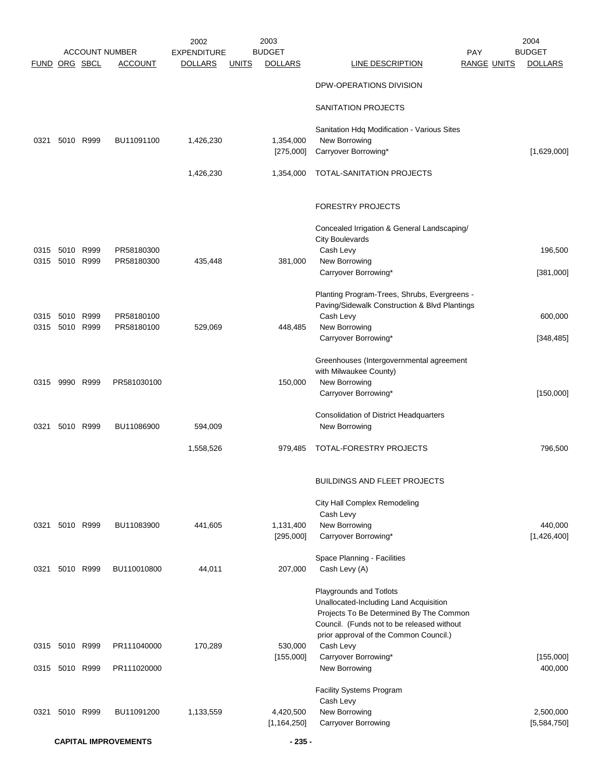|               |                   |           |                                         | 2002               |              | 2003                            |                                                                                      |                                  | 2004           |
|---------------|-------------------|-----------|-----------------------------------------|--------------------|--------------|---------------------------------|--------------------------------------------------------------------------------------|----------------------------------|----------------|
|               |                   |           | <b>ACCOUNT NUMBER</b><br><b>ACCOUNT</b> | <b>EXPENDITURE</b> |              | <b>BUDGET</b><br><b>DOLLARS</b> | LINE DESCRIPTION                                                                     | <b>PAY</b><br><b>RANGE UNITS</b> | <b>BUDGET</b>  |
| FUND ORG SBCL |                   |           |                                         | <b>DOLLARS</b>     | <b>UNITS</b> |                                 |                                                                                      |                                  | <b>DOLLARS</b> |
|               |                   |           |                                         |                    |              |                                 | DPW-OPERATIONS DIVISION                                                              |                                  |                |
|               |                   |           |                                         |                    |              |                                 | SANITATION PROJECTS                                                                  |                                  |                |
| 0321          |                   | 5010 R999 | BU11091100                              | 1,426,230          |              | 1,354,000                       | Sanitation Hdq Modification - Various Sites<br>New Borrowing                         |                                  |                |
|               |                   |           |                                         |                    |              | [275,000]                       | Carryover Borrowing*                                                                 |                                  | [1,629,000]    |
|               |                   |           |                                         |                    |              |                                 |                                                                                      |                                  |                |
|               |                   |           |                                         | 1,426,230          |              | 1,354,000                       | TOTAL-SANITATION PROJECTS                                                            |                                  |                |
|               |                   |           |                                         |                    |              |                                 | <b>FORESTRY PROJECTS</b>                                                             |                                  |                |
|               |                   |           |                                         |                    |              |                                 | Concealed Irrigation & General Landscaping/                                          |                                  |                |
|               |                   |           |                                         |                    |              |                                 | <b>City Boulevards</b>                                                               |                                  |                |
| 0315<br>0315  | 5010<br>5010 R999 | R999      | PR58180300<br>PR58180300                | 435,448            |              | 381,000                         | Cash Levy<br>New Borrowing                                                           |                                  | 196,500        |
|               |                   |           |                                         |                    |              |                                 | Carryover Borrowing*                                                                 |                                  | [381,000]      |
|               |                   |           |                                         |                    |              |                                 |                                                                                      |                                  |                |
|               |                   |           |                                         |                    |              |                                 | Planting Program-Trees, Shrubs, Evergreens -                                         |                                  |                |
|               |                   |           |                                         |                    |              |                                 | Paving/Sidewalk Construction & Blvd Plantings                                        |                                  |                |
| 0315          | 5010 R999         |           | PR58180100                              |                    |              |                                 | Cash Levy                                                                            |                                  | 600,000        |
| 0315          |                   | 5010 R999 | PR58180100                              | 529,069            |              | 448,485                         | New Borrowing                                                                        |                                  |                |
|               |                   |           |                                         |                    |              |                                 | Carryover Borrowing*                                                                 |                                  | [348, 485]     |
|               |                   |           |                                         |                    |              |                                 | Greenhouses (Intergovernmental agreement                                             |                                  |                |
|               |                   |           |                                         |                    |              |                                 | with Milwaukee County)                                                               |                                  |                |
| 0315          | 9990 R999         |           | PR581030100                             |                    |              | 150,000                         | New Borrowing                                                                        |                                  |                |
|               |                   |           |                                         |                    |              |                                 | Carryover Borrowing*                                                                 |                                  | [150,000]      |
|               |                   |           |                                         |                    |              |                                 | <b>Consolidation of District Headquarters</b>                                        |                                  |                |
| 0321          |                   | 5010 R999 | BU11086900                              | 594,009            |              |                                 | New Borrowing                                                                        |                                  |                |
|               |                   |           |                                         |                    |              |                                 |                                                                                      |                                  |                |
|               |                   |           |                                         | 1,558,526          |              | 979,485                         | TOTAL-FORESTRY PROJECTS                                                              |                                  | 796,500        |
|               |                   |           |                                         |                    |              |                                 | <b>BUILDINGS AND FLEET PROJECTS</b>                                                  |                                  |                |
|               |                   |           |                                         |                    |              |                                 | City Hall Complex Remodeling                                                         |                                  |                |
|               |                   |           |                                         |                    |              |                                 | Cash Levy                                                                            |                                  |                |
| 0321          |                   | 5010 R999 | BU11083900                              | 441,605            |              | 1,131,400                       | New Borrowing                                                                        |                                  | 440,000        |
|               |                   |           |                                         |                    |              | [295,000]                       | Carryover Borrowing*                                                                 |                                  | [1,426,400]    |
|               |                   |           |                                         |                    |              |                                 | Space Planning - Facilities                                                          |                                  |                |
| 0321          | 5010 R999         |           | BU110010800                             | 44,011             |              | 207,000                         | Cash Levy (A)                                                                        |                                  |                |
|               |                   |           |                                         |                    |              |                                 |                                                                                      |                                  |                |
|               |                   |           |                                         |                    |              |                                 | Playgrounds and Totlots                                                              |                                  |                |
|               |                   |           |                                         |                    |              |                                 | Unallocated-Including Land Acquisition                                               |                                  |                |
|               |                   |           |                                         |                    |              |                                 | Projects To Be Determined By The Common                                              |                                  |                |
|               |                   |           |                                         |                    |              |                                 | Council. (Funds not to be released without<br>prior approval of the Common Council.) |                                  |                |
|               | 0315 5010 R999    |           | PR111040000                             | 170,289            |              | 530,000                         | Cash Levy                                                                            |                                  |                |
|               |                   |           |                                         |                    |              | [155,000]                       | Carryover Borrowing*                                                                 |                                  | [155,000]      |
|               | 0315 5010 R999    |           | PR111020000                             |                    |              |                                 | New Borrowing                                                                        |                                  | 400,000        |
|               |                   |           |                                         |                    |              |                                 | <b>Facility Systems Program</b>                                                      |                                  |                |
|               |                   |           |                                         |                    |              |                                 | Cash Levy                                                                            |                                  |                |
| 0321          |                   | 5010 R999 | BU11091200                              | 1,133,559          |              | 4,420,500                       | New Borrowing                                                                        |                                  | 2,500,000      |
|               |                   |           |                                         |                    |              | [1, 164, 250]                   | Carryover Borrowing                                                                  |                                  | [5,584,750]    |
|               |                   |           | <b>CAPITAL IMPROVEMENTS</b>             |                    |              | $-235-$                         |                                                                                      |                                  |                |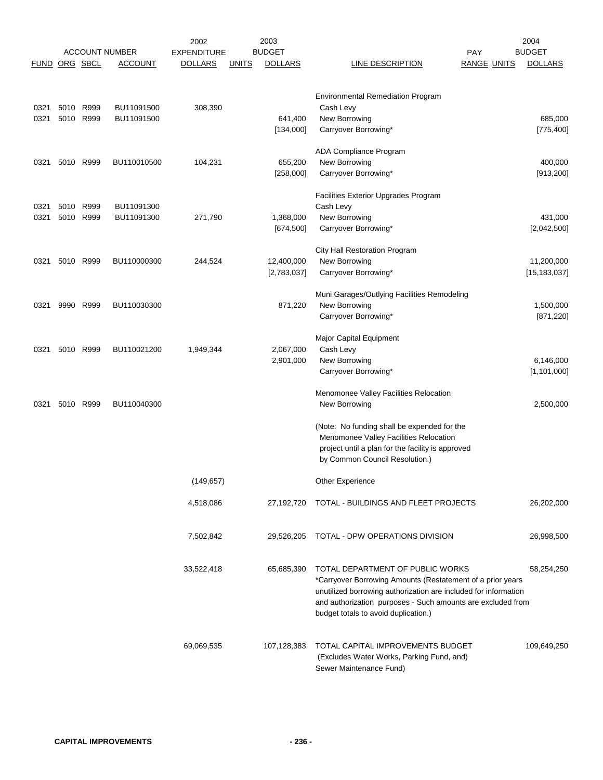|               |      |           |                       | 2002               |              | 2003                    |                                                                                                     |                    | 2004                   |
|---------------|------|-----------|-----------------------|--------------------|--------------|-------------------------|-----------------------------------------------------------------------------------------------------|--------------------|------------------------|
|               |      |           | <b>ACCOUNT NUMBER</b> | <b>EXPENDITURE</b> |              | <b>BUDGET</b>           |                                                                                                     | <b>PAY</b>         | <b>BUDGET</b>          |
| FUND ORG SBCL |      |           | <b>ACCOUNT</b>        | <b>DOLLARS</b>     | <b>UNITS</b> | <b>DOLLARS</b>          | LINE DESCRIPTION                                                                                    | <b>RANGE UNITS</b> | <b>DOLLARS</b>         |
|               |      |           |                       |                    |              |                         | <b>Environmental Remediation Program</b>                                                            |                    |                        |
| 0321          |      | 5010 R999 | BU11091500            | 308,390            |              |                         | Cash Levy                                                                                           |                    |                        |
| 0321          |      | 5010 R999 | BU11091500            |                    |              | 641,400                 | New Borrowing                                                                                       |                    | 685,000                |
|               |      |           |                       |                    |              | [134,000]               | Carryover Borrowing*                                                                                |                    | [775, 400]             |
|               |      |           |                       |                    |              |                         | ADA Compliance Program                                                                              |                    |                        |
| 0321          |      | 5010 R999 | BU110010500           | 104,231            |              | 655,200                 | New Borrowing                                                                                       |                    | 400,000                |
|               |      |           |                       |                    |              | [258,000]               | Carryover Borrowing*                                                                                |                    | [913, 200]             |
|               |      |           |                       |                    |              |                         | Facilities Exterior Upgrades Program                                                                |                    |                        |
| 0321          | 5010 | R999      | BU11091300            |                    |              |                         | Cash Levy                                                                                           |                    |                        |
| 0321          | 5010 | R999      | BU11091300            | 271,790            |              | 1,368,000<br>[674, 500] | New Borrowing<br>Carryover Borrowing*                                                               |                    | 431,000<br>[2,042,500] |
|               |      |           |                       |                    |              |                         |                                                                                                     |                    |                        |
|               |      |           |                       |                    |              |                         | City Hall Restoration Program                                                                       |                    |                        |
| 0321          |      | 5010 R999 | BU110000300           | 244,524            |              | 12,400,000              | New Borrowing                                                                                       |                    | 11,200,000             |
|               |      |           |                       |                    |              | [2,783,037]             | Carryover Borrowing*                                                                                |                    | [15, 183, 037]         |
|               |      |           |                       |                    |              |                         | Muni Garages/Outlying Facilities Remodeling                                                         |                    |                        |
| 0321          | 9990 | R999      | BU110030300           |                    |              | 871,220                 | New Borrowing                                                                                       |                    | 1,500,000              |
|               |      |           |                       |                    |              |                         | Carryover Borrowing*                                                                                |                    | [871, 220]             |
|               |      |           |                       |                    |              |                         | Major Capital Equipment                                                                             |                    |                        |
| 0321          |      | 5010 R999 | BU110021200           | 1,949,344          |              | 2,067,000               | Cash Levy                                                                                           |                    |                        |
|               |      |           |                       |                    |              | 2,901,000               | New Borrowing                                                                                       |                    | 6,146,000              |
|               |      |           |                       |                    |              |                         | Carryover Borrowing*                                                                                |                    | [1, 101, 000]          |
|               |      |           |                       |                    |              |                         | Menomonee Valley Facilities Relocation                                                              |                    |                        |
| 0321          | 5010 | R999      | BU110040300           |                    |              |                         | New Borrowing                                                                                       |                    | 2,500,000              |
|               |      |           |                       |                    |              |                         | (Note: No funding shall be expended for the                                                         |                    |                        |
|               |      |           |                       |                    |              |                         | Menomonee Valley Facilities Relocation                                                              |                    |                        |
|               |      |           |                       |                    |              |                         | project until a plan for the facility is approved                                                   |                    |                        |
|               |      |           |                       |                    |              |                         | by Common Council Resolution.)                                                                      |                    |                        |
|               |      |           |                       | (149, 657)         |              |                         | Other Experience                                                                                    |                    |                        |
|               |      |           |                       | 4,518,086          |              | 27,192,720              | TOTAL - BUILDINGS AND FLEET PROJECTS                                                                |                    | 26,202,000             |
|               |      |           |                       |                    |              |                         |                                                                                                     |                    |                        |
|               |      |           |                       | 7,502,842          |              | 29,526,205              | TOTAL - DPW OPERATIONS DIVISION                                                                     |                    | 26,998,500             |
|               |      |           |                       |                    |              |                         |                                                                                                     |                    |                        |
|               |      |           |                       | 33,522,418         |              | 65,685,390              | TOTAL DEPARTMENT OF PUBLIC WORKS                                                                    |                    | 58,254,250             |
|               |      |           |                       |                    |              |                         | *Carryover Borrowing Amounts (Restatement of a prior years                                          |                    |                        |
|               |      |           |                       |                    |              |                         | unutilized borrowing authorization are included for information                                     |                    |                        |
|               |      |           |                       |                    |              |                         | and authorization purposes - Such amounts are excluded from<br>budget totals to avoid duplication.) |                    |                        |
|               |      |           |                       |                    |              |                         |                                                                                                     |                    |                        |
|               |      |           |                       | 69,069,535         |              | 107,128,383             | TOTAL CAPITAL IMPROVEMENTS BUDGET                                                                   |                    | 109,649,250            |
|               |      |           |                       |                    |              |                         | (Excludes Water Works, Parking Fund, and)                                                           |                    |                        |
|               |      |           |                       |                    |              |                         | Sewer Maintenance Fund)                                                                             |                    |                        |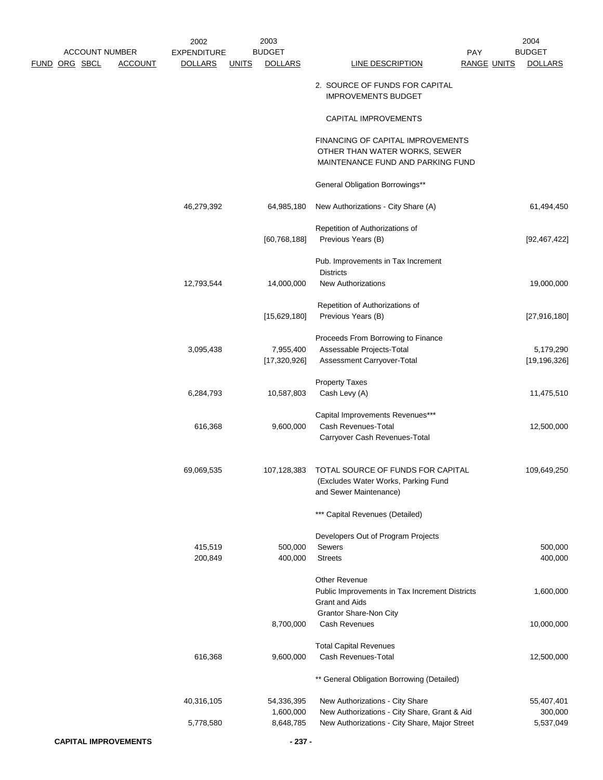|                      | <b>ACCOUNT NUMBER</b> |                             | 2002<br><b>EXPENDITURE</b> |              | 2003<br><b>BUDGET</b> |                                                                        | PAY                | 2004<br><b>BUDGET</b> |
|----------------------|-----------------------|-----------------------------|----------------------------|--------------|-----------------------|------------------------------------------------------------------------|--------------------|-----------------------|
| <u>FUND ORG SBCL</u> |                       | <b>ACCOUNT</b>              | <b>DOLLARS</b>             | <b>UNITS</b> | <b>DOLLARS</b>        | <b>LINE DESCRIPTION</b>                                                | <b>RANGE UNITS</b> | <b>DOLLARS</b>        |
|                      |                       |                             |                            |              |                       | 2. SOURCE OF FUNDS FOR CAPITAL<br><b>IMPROVEMENTS BUDGET</b>           |                    |                       |
|                      |                       |                             |                            |              |                       | CAPITAL IMPROVEMENTS                                                   |                    |                       |
|                      |                       |                             |                            |              |                       | FINANCING OF CAPITAL IMPROVEMENTS                                      |                    |                       |
|                      |                       |                             |                            |              |                       | OTHER THAN WATER WORKS, SEWER<br>MAINTENANCE FUND AND PARKING FUND     |                    |                       |
|                      |                       |                             |                            |              |                       | General Obligation Borrowings**                                        |                    |                       |
|                      |                       |                             | 46,279,392                 |              | 64,985,180            | New Authorizations - City Share (A)                                    |                    | 61,494,450            |
|                      |                       |                             |                            |              |                       | Repetition of Authorizations of                                        |                    |                       |
|                      |                       |                             |                            |              | [60, 768, 188]        | Previous Years (B)                                                     |                    | [92, 467, 422]        |
|                      |                       |                             |                            |              |                       | Pub. Improvements in Tax Increment<br><b>Districts</b>                 |                    |                       |
|                      |                       |                             | 12,793,544                 |              | 14,000,000            | <b>New Authorizations</b>                                              |                    | 19,000,000            |
|                      |                       |                             |                            |              |                       | Repetition of Authorizations of                                        |                    |                       |
|                      |                       |                             |                            |              | [15,629,180]          | Previous Years (B)                                                     |                    | [27,916,180]          |
|                      |                       |                             |                            |              |                       | Proceeds From Borrowing to Finance                                     |                    |                       |
|                      |                       |                             | 3,095,438                  |              | 7,955,400             | Assessable Projects-Total                                              |                    | 5,179,290             |
|                      |                       |                             |                            |              | [17,320,926]          | Assessment Carryover-Total                                             |                    | [19, 196, 326]        |
|                      |                       |                             |                            |              |                       | <b>Property Taxes</b>                                                  |                    |                       |
|                      |                       |                             | 6,284,793                  |              | 10,587,803            | Cash Levy (A)                                                          |                    | 11,475,510            |
|                      |                       |                             |                            |              |                       | Capital Improvements Revenues***                                       |                    |                       |
|                      |                       |                             | 616,368                    |              | 9,600,000             | Cash Revenues-Total                                                    |                    | 12,500,000            |
|                      |                       |                             |                            |              |                       | Carryover Cash Revenues-Total                                          |                    |                       |
|                      |                       |                             | 69,069,535                 |              | 107,128,383           | TOTAL SOURCE OF FUNDS FOR CAPITAL                                      |                    | 109,649,250           |
|                      |                       |                             |                            |              |                       | (Excludes Water Works, Parking Fund                                    |                    |                       |
|                      |                       |                             |                            |              |                       | and Sewer Maintenance)                                                 |                    |                       |
|                      |                       |                             |                            |              |                       | *** Capital Revenues (Detailed)                                        |                    |                       |
|                      |                       |                             |                            |              |                       | Developers Out of Program Projects                                     |                    |                       |
|                      |                       |                             | 415,519<br>200,849         |              | 500,000<br>400,000    | Sewers<br><b>Streets</b>                                               |                    | 500,000<br>400,000    |
|                      |                       |                             |                            |              |                       |                                                                        |                    |                       |
|                      |                       |                             |                            |              |                       | <b>Other Revenue</b><br>Public Improvements in Tax Increment Districts |                    | 1,600,000             |
|                      |                       |                             |                            |              |                       | <b>Grant and Aids</b>                                                  |                    |                       |
|                      |                       |                             |                            |              |                       | Grantor Share-Non City                                                 |                    |                       |
|                      |                       |                             |                            |              | 8,700,000             | Cash Revenues                                                          |                    | 10,000,000            |
|                      |                       |                             |                            |              |                       | <b>Total Capital Revenues</b>                                          |                    |                       |
|                      |                       |                             | 616,368                    |              | 9,600,000             | Cash Revenues-Total                                                    |                    | 12,500,000            |
|                      |                       |                             |                            |              |                       | ** General Obligation Borrowing (Detailed)                             |                    |                       |
|                      |                       |                             | 40,316,105                 |              | 54,336,395            | New Authorizations - City Share                                        |                    | 55,407,401            |
|                      |                       |                             |                            |              | 1,600,000             | New Authorizations - City Share, Grant & Aid                           |                    | 300,000               |
|                      |                       |                             | 5,778,580                  |              | 8,648,785             | New Authorizations - City Share, Major Street                          |                    | 5,537,049             |
|                      |                       | <b>CAPITAL IMPROVEMENTS</b> |                            |              | $-237-$               |                                                                        |                    |                       |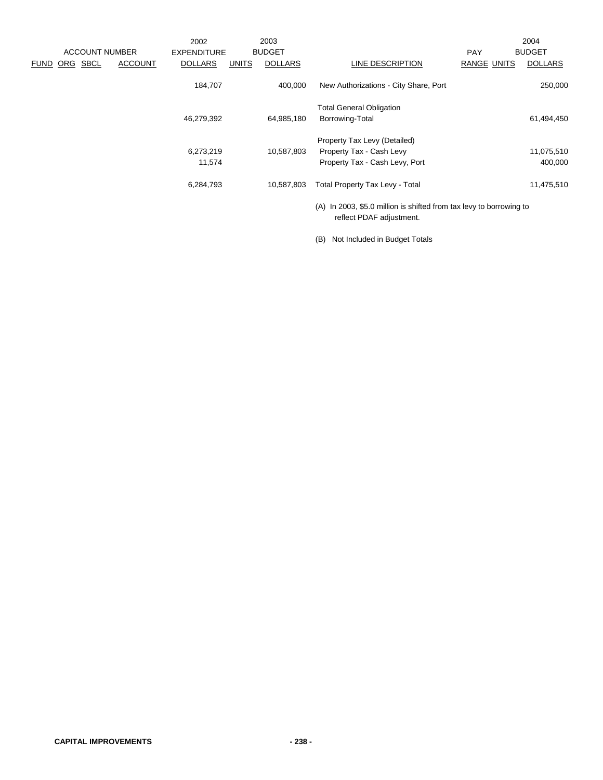|                         |                | 2002               |              | 2003           |                                                                                                 |             | 2004           |
|-------------------------|----------------|--------------------|--------------|----------------|-------------------------------------------------------------------------------------------------|-------------|----------------|
| <b>ACCOUNT NUMBER</b>   |                | <b>EXPENDITURE</b> |              | <b>BUDGET</b>  |                                                                                                 | <b>PAY</b>  | <b>BUDGET</b>  |
| ORG SBCL<br><b>FUND</b> | <b>ACCOUNT</b> | <b>DOLLARS</b>     | <b>UNITS</b> | <b>DOLLARS</b> | LINE DESCRIPTION                                                                                | RANGE UNITS | <b>DOLLARS</b> |
|                         |                | 184,707            |              | 400,000        | New Authorizations - City Share, Port                                                           |             | 250,000        |
|                         |                |                    |              |                | <b>Total General Obligation</b>                                                                 |             |                |
|                         |                | 46,279,392         |              | 64,985,180     | Borrowing-Total                                                                                 |             | 61,494,450     |
|                         |                |                    |              |                | Property Tax Levy (Detailed)                                                                    |             |                |
|                         |                | 6,273,219          |              | 10,587,803     | Property Tax - Cash Levy                                                                        |             | 11,075,510     |
|                         |                | 11,574             |              |                | Property Tax - Cash Levy, Port                                                                  |             | 400,000        |
|                         |                | 6,284,793          |              | 10,587,803     | <b>Total Property Tax Levy - Total</b>                                                          |             | 11,475,510     |
|                         |                |                    |              |                | (A) In 2003, \$5.0 million is shifted from tax levy to borrowing to<br>reflect PDAF adjustment. |             |                |

(B) Not Included in Budget Totals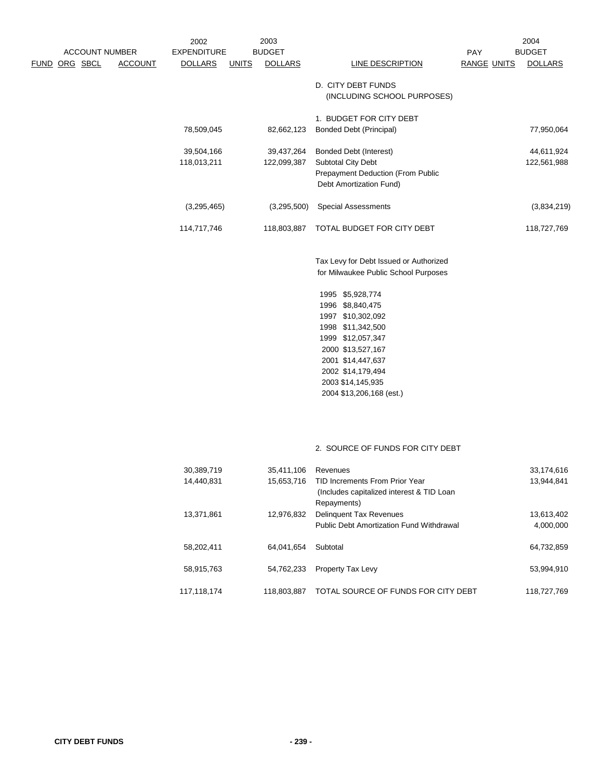| <b>ACCOUNT NUMBER</b> |                | 2002<br><b>EXPENDITURE</b> |              | 2003<br><b>BUDGET</b> |                                        |                           | 2004<br><b>BUDGET</b> |
|-----------------------|----------------|----------------------------|--------------|-----------------------|----------------------------------------|---------------------------|-----------------------|
| ORG SBCL<br>FUND      | <b>ACCOUNT</b> | <b>DOLLARS</b>             | <b>UNITS</b> | <b>DOLLARS</b>        | LINE DESCRIPTION                       | PAY<br><b>RANGE UNITS</b> | <b>DOLLARS</b>        |
|                       |                |                            |              |                       |                                        |                           |                       |
|                       |                |                            |              |                       | D. CITY DEBT FUNDS                     |                           |                       |
|                       |                |                            |              |                       | (INCLUDING SCHOOL PURPOSES)            |                           |                       |
|                       |                |                            |              |                       | 1. BUDGET FOR CITY DEBT                |                           |                       |
|                       |                | 78,509,045                 |              | 82,662,123            | <b>Bonded Debt (Principal)</b>         |                           | 77,950,064            |
|                       |                |                            |              |                       |                                        |                           |                       |
|                       |                | 39,504,166                 |              | 39,437,264            | <b>Bonded Debt (Interest)</b>          |                           | 44,611,924            |
|                       |                | 118,013,211                |              | 122,099,387           | Subtotal City Debt                     |                           | 122,561,988           |
|                       |                |                            |              |                       | Prepayment Deduction (From Public      |                           |                       |
|                       |                |                            |              |                       | Debt Amortization Fund)                |                           |                       |
|                       |                | (3,295,465)                |              | (3,295,500)           | <b>Special Assessments</b>             |                           | (3,834,219)           |
|                       |                | 114,717,746                |              | 118,803,887           | TOTAL BUDGET FOR CITY DEBT             |                           | 118,727,769           |
|                       |                |                            |              |                       | Tax Levy for Debt Issued or Authorized |                           |                       |
|                       |                |                            |              |                       | for Milwaukee Public School Purposes   |                           |                       |
|                       |                |                            |              |                       | 1995 \$5,928,774                       |                           |                       |
|                       |                |                            |              |                       | 1996 \$8,840,475                       |                           |                       |
|                       |                |                            |              |                       | 1997 \$10,302,092                      |                           |                       |
|                       |                |                            |              |                       | 1998 \$11,342,500                      |                           |                       |
|                       |                |                            |              |                       | 1999 \$12,057,347                      |                           |                       |
|                       |                |                            |              |                       | 2000 \$13,527,167                      |                           |                       |
|                       |                |                            |              |                       | 2001 \$14,447,637                      |                           |                       |
|                       |                |                            |              |                       | 2002 \$14,179,494                      |                           |                       |
|                       |                |                            |              |                       | 2003 \$14,145,935                      |                           |                       |
|                       |                |                            |              |                       | 2004 \$13,206,168 (est.)               |                           |                       |

## 2. SOURCE OF FUNDS FOR CITY DEBT

| 30,389,719  | 35,411,106  | Revenues                                  | 33,174,616  |
|-------------|-------------|-------------------------------------------|-------------|
| 14.440.831  | 15,653,716  | TID Increments From Prior Year            | 13.944.841  |
|             |             | (Includes capitalized interest & TID Loan |             |
|             |             | Repayments)                               |             |
| 13,371,861  | 12,976,832  | <b>Delinguent Tax Revenues</b>            | 13,613,402  |
|             |             | Public Debt Amortization Fund Withdrawal  | 4,000,000   |
|             |             |                                           |             |
| 58.202.411  | 64.041.654  | Subtotal                                  | 64.732.859  |
|             |             |                                           |             |
| 58,915,763  | 54.762.233  | <b>Property Tax Levy</b>                  | 53.994.910  |
| 117.118.174 | 118.803.887 | TOTAL SOURCE OF FUNDS FOR CITY DEBT       | 118.727.769 |
|             |             |                                           |             |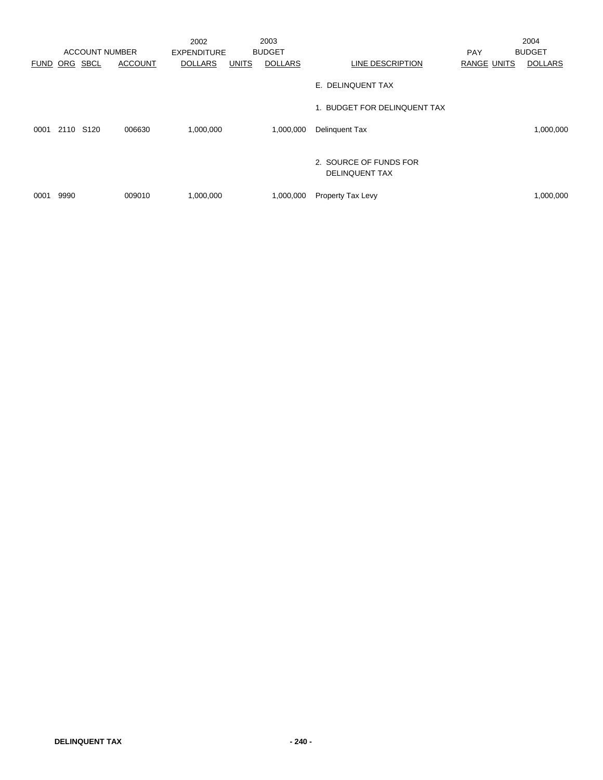|             |           | <b>ACCOUNT NUMBER</b> |                | 2002<br><b>EXPENDITURE</b> |              | 2003<br><b>BUDGET</b> |                                                 | <b>PAY</b>         | 2004<br><b>BUDGET</b> |
|-------------|-----------|-----------------------|----------------|----------------------------|--------------|-----------------------|-------------------------------------------------|--------------------|-----------------------|
| <b>FUND</b> | ORG       | SBCL                  | <b>ACCOUNT</b> | <b>DOLLARS</b>             | <b>UNITS</b> | <b>DOLLARS</b>        | LINE DESCRIPTION                                | <b>RANGE UNITS</b> | <b>DOLLARS</b>        |
|             |           |                       |                |                            |              |                       | E. DELINQUENT TAX                               |                    |                       |
|             |           |                       |                |                            |              |                       | 1. BUDGET FOR DELINQUENT TAX                    |                    |                       |
| 0001        | 2110 S120 |                       | 006630         | 1,000,000                  |              | 1,000,000             | Delinquent Tax                                  |                    | 1,000,000             |
|             |           |                       |                |                            |              |                       | 2. SOURCE OF FUNDS FOR<br><b>DELINQUENT TAX</b> |                    |                       |
| 0001        | 9990      |                       | 009010         | 1,000,000                  |              | 1,000,000             | Property Tax Levy                               |                    | 1,000,000             |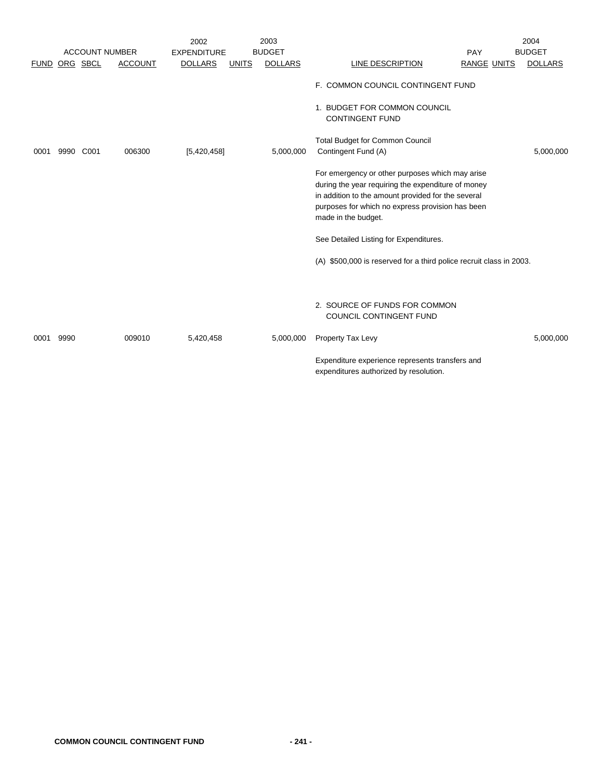|             |          |                       |                | 2002               |              | 2003           |                                                                                                                                                                                                                                                                                                                                                                                                        |                    | 2004           |
|-------------|----------|-----------------------|----------------|--------------------|--------------|----------------|--------------------------------------------------------------------------------------------------------------------------------------------------------------------------------------------------------------------------------------------------------------------------------------------------------------------------------------------------------------------------------------------------------|--------------------|----------------|
|             |          | <b>ACCOUNT NUMBER</b> |                | <b>EXPENDITURE</b> |              | <b>BUDGET</b>  |                                                                                                                                                                                                                                                                                                                                                                                                        | PAY                | <b>BUDGET</b>  |
| <b>FUND</b> | ORG SBCL |                       | <b>ACCOUNT</b> | <b>DOLLARS</b>     | <b>UNITS</b> | <b>DOLLARS</b> | LINE DESCRIPTION                                                                                                                                                                                                                                                                                                                                                                                       | <b>RANGE UNITS</b> | <b>DOLLARS</b> |
| 0001        | 9990     | C001                  | 006300         | [5,420,458]        |              | 5,000,000      | F. COMMON COUNCIL CONTINGENT FUND<br>1. BUDGET FOR COMMON COUNCIL<br><b>CONTINGENT FUND</b><br><b>Total Budget for Common Council</b><br>Contingent Fund (A)<br>For emergency or other purposes which may arise<br>during the year requiring the expenditure of money<br>in addition to the amount provided for the several<br>purposes for which no express provision has been<br>made in the budget. |                    | 5,000,000      |
|             |          |                       |                |                    |              |                | See Detailed Listing for Expenditures.                                                                                                                                                                                                                                                                                                                                                                 |                    |                |
|             |          |                       |                |                    |              |                | (A) \$500,000 is reserved for a third police recruit class in 2003.                                                                                                                                                                                                                                                                                                                                    |                    |                |
|             |          |                       |                |                    |              |                | 2. SOURCE OF FUNDS FOR COMMON<br>COUNCIL CONTINGENT FUND                                                                                                                                                                                                                                                                                                                                               |                    |                |
| 0001        | 9990     |                       | 009010         | 5,420,458          |              | 5,000,000      | Property Tax Levy                                                                                                                                                                                                                                                                                                                                                                                      |                    | 5,000,000      |
|             |          |                       |                |                    |              |                | Expenditure experience represents transfers and<br>expenditures authorized by resolution.                                                                                                                                                                                                                                                                                                              |                    |                |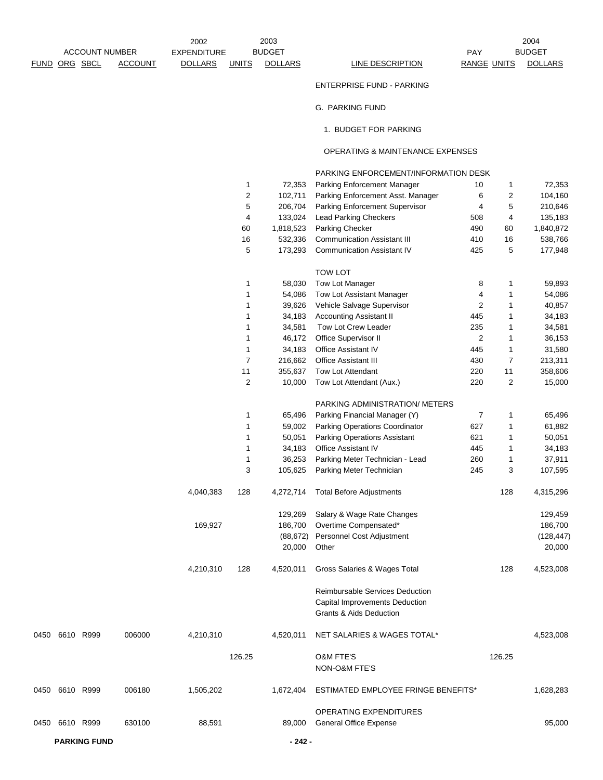|                       |  |                                     |                | 2002           |              | 2003           |                  |                    | 2004           |
|-----------------------|--|-------------------------------------|----------------|----------------|--------------|----------------|------------------|--------------------|----------------|
| <b>ACCOUNT NUMBER</b> |  | <b>BUDGET</b><br><b>EXPENDITURE</b> |                |                |              | PAY            | <b>BUDGET</b>    |                    |                |
|                       |  | FUND ORG SBCL                       | <b>ACCOUNT</b> | <b>DOLLARS</b> | <b>UNITS</b> | <b>DOLLARS</b> | LINE DESCRIPTION | <b>RANGE UNITS</b> | <b>DOLLARS</b> |

ENTERPRISE FUND - PARKING

G. PARKING FUND

1. BUDGET FOR PARKING

## OPERATING & MAINTENANCE EXPENSES

|      |                |        |           |                         |           | PARKING ENFORCEMENT/INFORMATION DESK |                |        |            |  |
|------|----------------|--------|-----------|-------------------------|-----------|--------------------------------------|----------------|--------|------------|--|
|      |                |        |           | 1                       | 72,353    | Parking Enforcement Manager          | 10             | 1      | 72,353     |  |
|      |                |        |           | $\boldsymbol{2}$        | 102,711   | Parking Enforcement Asst. Manager    | 6              | 2      | 104,160    |  |
|      |                |        |           | 5                       | 206,704   | Parking Enforcement Supervisor       | 4              | 5      | 210,646    |  |
|      |                |        |           | 4                       | 133,024   | <b>Lead Parking Checkers</b>         | 508            | 4      | 135,183    |  |
|      |                |        |           | 60                      | 1,818,523 | Parking Checker                      | 490            | 60     | 1,840,872  |  |
|      |                |        |           | 16                      | 532,336   | <b>Communication Assistant III</b>   | 410            | 16     | 538,766    |  |
|      |                |        |           | 5                       | 173,293   | <b>Communication Assistant IV</b>    | 425            | 5      | 177,948    |  |
|      |                |        |           |                         |           | <b>TOW LOT</b>                       |                |        |            |  |
|      |                |        |           | 1                       | 58,030    | Tow Lot Manager                      | 8              | 1      | 59,893     |  |
|      |                |        |           | 1                       | 54,086    | Tow Lot Assistant Manager            | 4              | 1      | 54,086     |  |
|      |                |        |           | 1                       | 39,626    | Vehicle Salvage Supervisor           | 2              | 1      | 40,857     |  |
|      |                |        |           | 1                       | 34,183    | <b>Accounting Assistant II</b>       | 445            | 1      | 34,183     |  |
|      |                |        |           | 1                       | 34,581    | Tow Lot Crew Leader                  | 235            | 1      | 34,581     |  |
|      |                |        |           | 1                       | 46,172    | Office Supervisor II                 | $\overline{2}$ | 1      | 36,153     |  |
|      |                |        |           | 1                       | 34,183    | Office Assistant IV                  | 445            | 1      | 31,580     |  |
|      |                |        |           | $\overline{7}$          | 216,662   | Office Assistant III                 | 430            | 7      |            |  |
|      |                |        |           | 11                      |           |                                      | 220            |        | 213,311    |  |
|      |                |        |           |                         | 355,637   | Tow Lot Attendant                    |                | 11     | 358,606    |  |
|      |                |        |           | $\overline{\mathbf{c}}$ | 10,000    | Tow Lot Attendant (Aux.)             | 220            | 2      | 15,000     |  |
|      |                |        |           |                         |           | PARKING ADMINISTRATION/ METERS       |                |        |            |  |
|      |                |        |           | 1                       | 65,496    | Parking Financial Manager (Y)        | 7              | 1      | 65,496     |  |
|      |                |        |           | 1                       | 59,002    | Parking Operations Coordinator       | 627            | 1      | 61,882     |  |
|      |                |        |           | 1                       | 50,051    | Parking Operations Assistant         | 621            | 1      | 50,051     |  |
|      |                |        |           | 1                       | 34,183    | Office Assistant IV                  | 445            | 1      | 34,183     |  |
|      |                |        |           | 1                       | 36,253    | Parking Meter Technician - Lead      | 260            | 1      | 37,911     |  |
|      |                |        |           | 3                       | 105,625   | Parking Meter Technician             | 245            | 3      | 107,595    |  |
|      |                |        | 4,040,383 | 128                     | 4,272,714 | <b>Total Before Adjustments</b>      |                | 128    | 4,315,296  |  |
|      |                |        |           |                         | 129,269   | Salary & Wage Rate Changes           |                |        | 129,459    |  |
|      |                |        | 169,927   |                         | 186,700   | Overtime Compensated*                |                |        | 186,700    |  |
|      |                |        |           |                         | (88, 672) | Personnel Cost Adjustment            |                |        | (128, 447) |  |
|      |                |        |           |                         | 20,000    | Other                                |                |        | 20,000     |  |
|      |                |        | 4,210,310 | 128                     | 4,520,011 | Gross Salaries & Wages Total         |                | 128    | 4,523,008  |  |
|      |                |        |           |                         |           | Reimbursable Services Deduction      |                |        |            |  |
|      |                |        |           |                         |           | Capital Improvements Deduction       |                |        |            |  |
|      |                |        |           |                         |           | Grants & Aids Deduction              |                |        |            |  |
|      | 0450 6610 R999 | 006000 | 4,210,310 |                         | 4,520,011 | NET SALARIES & WAGES TOTAL*          |                |        | 4,523,008  |  |
|      |                |        |           | 126.25                  |           | <b>O&amp;M FTE'S</b>                 |                | 126.25 |            |  |
|      |                |        |           |                         |           | NON-O&M FTE'S                        |                |        |            |  |
|      | 0450 6610 R999 | 006180 | 1,505,202 |                         | 1,672,404 | ESTIMATED EMPLOYEE FRINGE BENEFITS*  |                |        | 1,628,283  |  |
|      |                |        |           |                         |           | <b>OPERATING EXPENDITURES</b>        |                |        |            |  |
| 0450 | 6610 R999      | 630100 | 88,591    |                         | 89,000    | <b>General Office Expense</b>        |                |        | 95,000     |  |

**PARKING FUND - 242 -**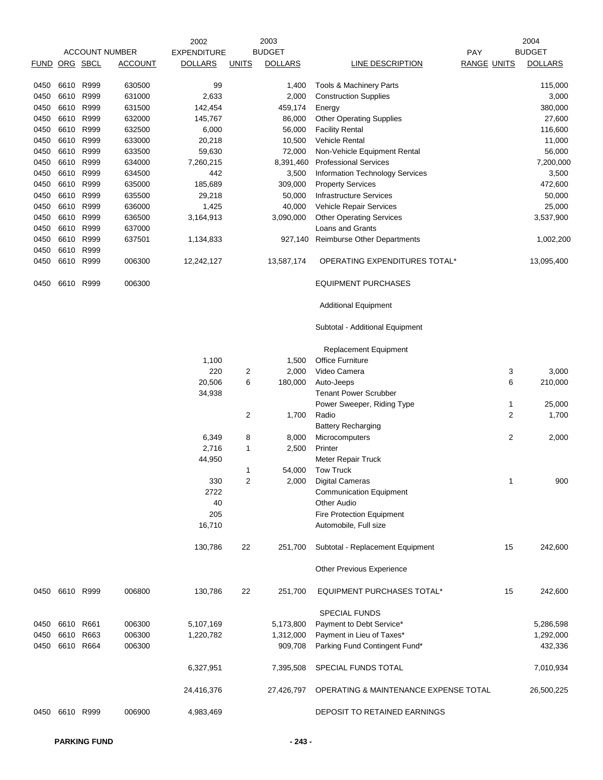|               |                |      |                       | 2002               |                | 2003           |                                                         |                    | 2004           |
|---------------|----------------|------|-----------------------|--------------------|----------------|----------------|---------------------------------------------------------|--------------------|----------------|
|               |                |      | <b>ACCOUNT NUMBER</b> | <b>EXPENDITURE</b> |                | <b>BUDGET</b>  |                                                         | PAY                | <b>BUDGET</b>  |
| FUND ORG SBCL |                |      | <b>ACCOUNT</b>        | <b>DOLLARS</b>     | <b>UNITS</b>   | <b>DOLLARS</b> | LINE DESCRIPTION                                        | <b>RANGE UNITS</b> | <b>DOLLARS</b> |
| 0450          | 6610           | R999 | 630500                | 99                 |                | 1,400          | Tools & Machinery Parts                                 |                    | 115,000        |
| 0450          | 6610           | R999 | 631000                | 2,633              |                | 2,000          | <b>Construction Supplies</b>                            |                    | 3,000          |
| 0450          | 6610           | R999 | 631500                | 142,454            |                | 459,174        | Energy                                                  |                    | 380,000        |
| 0450          | 6610 R999      |      | 632000                | 145,767            |                | 86,000         | <b>Other Operating Supplies</b>                         |                    | 27,600         |
| 0450          | 6610 R999      |      | 632500                | 6,000              |                | 56,000         | <b>Facility Rental</b>                                  |                    | 116,600        |
| 0450          | 6610 R999      |      | 633000                | 20,218             |                | 10,500         | <b>Vehicle Rental</b>                                   |                    | 11,000         |
| 0450          | 6610 R999      |      | 633500                | 59,630             |                | 72,000         | Non-Vehicle Equipment Rental                            |                    | 56,000         |
| 0450          | 6610 R999      |      | 634000                | 7,260,215          |                | 8,391,460      | <b>Professional Services</b>                            |                    | 7,200,000      |
| 0450          | 6610 R999      |      | 634500                | 442                |                | 3,500          | Information Technology Services                         |                    | 3,500          |
| 0450          | 6610 R999      |      | 635000                | 185,689            |                | 309,000        | <b>Property Services</b>                                |                    | 472,600        |
| 0450          | 6610 R999      |      | 635500                | 29,218             |                | 50,000         | <b>Infrastructure Services</b>                          |                    | 50,000         |
| 0450          | 6610           | R999 | 636000                | 1,425              |                | 40,000         | Vehicle Repair Services                                 |                    | 25,000         |
| 0450          | 6610 R999      |      | 636500                | 3,164,913          |                | 3,090,000      | <b>Other Operating Services</b>                         |                    | 3,537,900      |
| 0450          | 6610 R999      |      | 637000                |                    |                |                | Loans and Grants                                        |                    |                |
| 0450          | 6610           | R999 | 637501                | 1,134,833          |                | 927,140        | Reimburse Other Departments                             |                    | 1,002,200      |
| 0450          | 6610 R999      |      |                       |                    |                |                |                                                         |                    |                |
| 0450          | 6610 R999      |      | 006300                | 12,242,127         |                | 13,587,174     | OPERATING EXPENDITURES TOTAL*                           |                    | 13,095,400     |
| 0450          | 6610           | R999 | 006300                |                    |                |                | <b>EQUIPMENT PURCHASES</b>                              |                    |                |
|               |                |      |                       |                    |                |                | <b>Additional Equipment</b>                             |                    |                |
|               |                |      |                       |                    |                |                | Subtotal - Additional Equipment                         |                    |                |
|               |                |      |                       |                    |                |                |                                                         |                    |                |
|               |                |      |                       |                    |                |                | <b>Replacement Equipment</b><br><b>Office Furniture</b> |                    |                |
|               |                |      |                       | 1,100<br>220       |                | 1,500<br>2,000 | Video Camera                                            |                    |                |
|               |                |      |                       | 20,506             | 2<br>6         |                |                                                         | 3<br>6             | 3,000          |
|               |                |      |                       | 34,938             |                | 180,000        | Auto-Jeeps<br><b>Tenant Power Scrubber</b>              |                    | 210,000        |
|               |                |      |                       |                    |                |                | Power Sweeper, Riding Type                              | 1                  | 25,000         |
|               |                |      |                       |                    | 2              | 1,700          | Radio                                                   | $\overline{2}$     | 1,700          |
|               |                |      |                       |                    |                |                | <b>Battery Recharging</b>                               |                    |                |
|               |                |      |                       | 6,349              | 8              | 8,000          | Microcomputers                                          | $\overline{c}$     | 2,000          |
|               |                |      |                       | 2,716              | $\mathbf{1}$   | 2,500          | Printer                                                 |                    |                |
|               |                |      |                       | 44,950             |                |                | Meter Repair Truck                                      |                    |                |
|               |                |      |                       |                    | 1              | 54,000         | <b>Tow Truck</b>                                        |                    |                |
|               |                |      |                       | 330                | $\overline{c}$ | 2,000          | <b>Digital Cameras</b>                                  | $\mathbf{1}$       | 900            |
|               |                |      |                       | 2722               |                |                | <b>Communication Equipment</b>                          |                    |                |
|               |                |      |                       | 40                 |                |                | <b>Other Audio</b>                                      |                    |                |
|               |                |      |                       | 205                |                |                | Fire Protection Equipment                               |                    |                |
|               |                |      |                       | 16,710             |                |                | Automobile, Full size                                   |                    |                |
|               |                |      |                       | 130,786            | 22             | 251,700        | Subtotal - Replacement Equipment                        | 15                 | 242,600        |
|               |                |      |                       |                    |                |                | Other Previous Experience                               |                    |                |
|               |                |      |                       |                    |                |                |                                                         |                    |                |
| 0450          | 6610 R999      |      | 006800                | 130,786            | 22             | 251,700        | EQUIPMENT PURCHASES TOTAL*                              | 15                 | 242,600        |
|               |                |      |                       |                    |                |                | <b>SPECIAL FUNDS</b>                                    |                    |                |
| 0450          | 6610           | R661 | 006300                | 5,107,169          |                | 5,173,800      | Payment to Debt Service*                                |                    | 5,286,598      |
| 0450          | 6610           | R663 | 006300                | 1,220,782          |                | 1,312,000      | Payment in Lieu of Taxes*                               |                    | 1,292,000      |
| 0450          | 6610 R664      |      | 006300                |                    |                | 909,708        | Parking Fund Contingent Fund*                           |                    | 432,336        |
|               |                |      |                       | 6,327,951          |                | 7,395,508      | SPECIAL FUNDS TOTAL                                     |                    | 7,010,934      |
|               |                |      |                       | 24,416,376         |                | 27,426,797     | OPERATING & MAINTENANCE EXPENSE TOTAL                   |                    | 26,500,225     |
|               | 0450 6610 R999 |      | 006900                | 4,983,469          |                |                | DEPOSIT TO RETAINED EARNINGS                            |                    |                |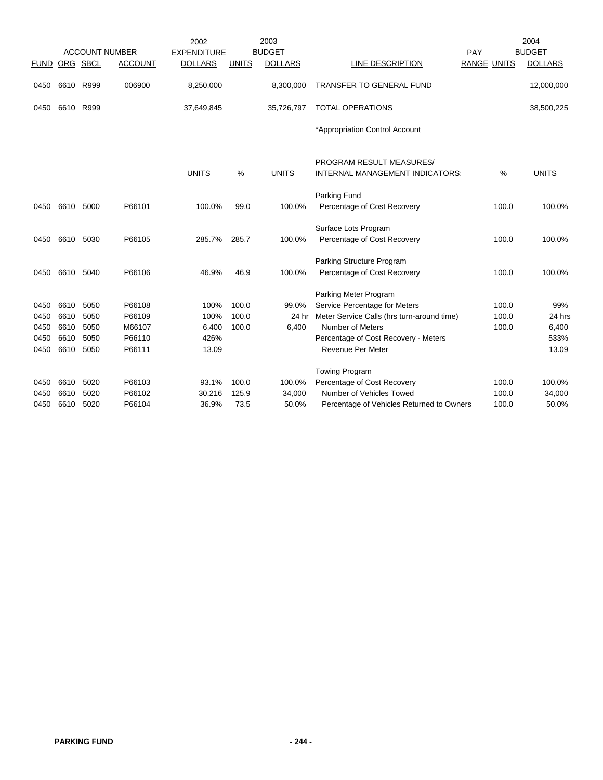|             |           |          | <b>ACCOUNT NUMBER</b> | 2002<br><b>EXPENDITURE</b> |              | 2003<br><b>BUDGET</b> |                                            | PAY         | 2004<br><b>BUDGET</b> |
|-------------|-----------|----------|-----------------------|----------------------------|--------------|-----------------------|--------------------------------------------|-------------|-----------------------|
| <b>FUND</b> |           | ORG SBCL | <b>ACCOUNT</b>        | <b>DOLLARS</b>             | <b>UNITS</b> | <b>DOLLARS</b>        | LINE DESCRIPTION                           | RANGE UNITS | <b>DOLLARS</b>        |
| 0450        | 6610 R999 |          | 006900                | 8,250,000                  |              | 8,300,000             | TRANSFER TO GENERAL FUND                   |             | 12,000,000            |
| 0450        | 6610 R999 |          |                       | 37,649,845                 |              | 35,726,797            | <b>TOTAL OPERATIONS</b>                    |             | 38,500,225            |
|             |           |          |                       |                            |              |                       | *Appropriation Control Account             |             |                       |
|             |           |          |                       |                            |              |                       | PROGRAM RESULT MEASURES/                   |             |                       |
|             |           |          |                       | <b>UNITS</b>               | %            | <b>UNITS</b>          | <b>INTERNAL MANAGEMENT INDICATORS:</b>     | %           | <b>UNITS</b>          |
|             |           |          |                       |                            |              |                       | Parking Fund                               |             |                       |
| 0450        | 6610      | 5000     | P66101                | 100.0%                     | 99.0         | 100.0%                | Percentage of Cost Recovery                | 100.0       | 100.0%                |
|             |           |          |                       |                            |              |                       | Surface Lots Program                       |             |                       |
| 0450        | 6610 5030 |          | P66105                | 285.7%                     | 285.7        | 100.0%                | Percentage of Cost Recovery                | 100.0       | 100.0%                |
|             |           |          |                       |                            |              |                       | Parking Structure Program                  |             |                       |
| 0450        | 6610      | 5040     | P66106                | 46.9%                      | 46.9         | 100.0%                | Percentage of Cost Recovery                | 100.0       | 100.0%                |
|             |           |          |                       |                            |              |                       | Parking Meter Program                      |             |                       |
| 0450        | 6610      | 5050     | P66108                | 100%                       | 100.0        | 99.0%                 | Service Percentage for Meters              | 100.0       | 99%                   |
| 0450        | 6610      | 5050     | P66109                | 100%                       | 100.0        | 24 hr                 | Meter Service Calls (hrs turn-around time) | 100.0       | 24 hrs                |
| 0450        | 6610      | 5050     | M66107                | 6,400                      | 100.0        | 6,400                 | Number of Meters                           | 100.0       | 6,400                 |
| 0450        | 6610      | 5050     | P66110                | 426%                       |              |                       | Percentage of Cost Recovery - Meters       |             | 533%                  |
| 0450        | 6610      | 5050     | P66111                | 13.09                      |              |                       | Revenue Per Meter                          |             | 13.09                 |
|             |           |          |                       |                            |              |                       | <b>Towing Program</b>                      |             |                       |
| 0450        | 6610      | 5020     | P66103                | 93.1%                      | 100.0        | 100.0%                | Percentage of Cost Recovery                | 100.0       | 100.0%                |
| 0450        | 6610      | 5020     | P66102                | 30,216                     | 125.9        | 34,000                | Number of Vehicles Towed                   | 100.0       | 34,000                |
| 0450        | 6610      | 5020     | P66104                | 36.9%                      | 73.5         | 50.0%                 | Percentage of Vehicles Returned to Owners  | 100.0       | 50.0%                 |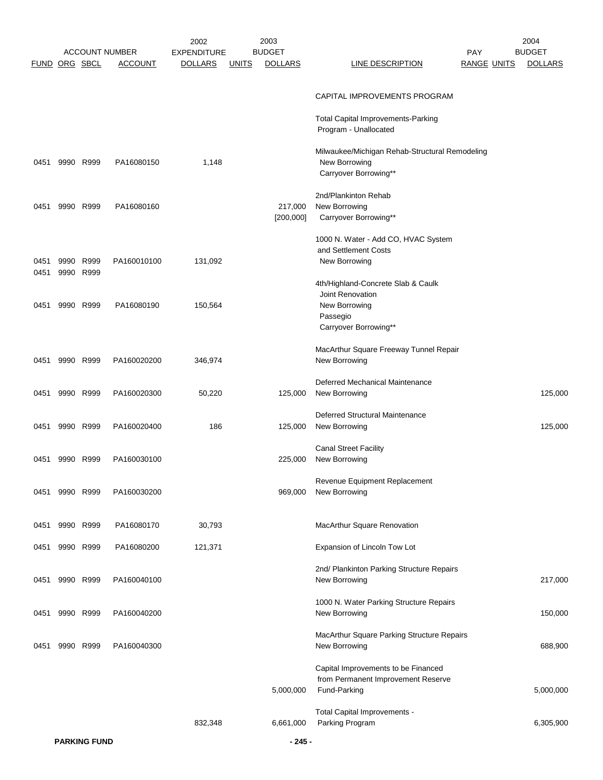|                      |           |           |                       | 2002               |              | 2003           |                                                             |                    | 2004           |
|----------------------|-----------|-----------|-----------------------|--------------------|--------------|----------------|-------------------------------------------------------------|--------------------|----------------|
|                      |           |           | <b>ACCOUNT NUMBER</b> | <b>EXPENDITURE</b> |              | <b>BUDGET</b>  |                                                             | <b>PAY</b>         | <b>BUDGET</b>  |
| <b>FUND ORG SBCL</b> |           |           | <b>ACCOUNT</b>        | <b>DOLLARS</b>     | <u>UNITS</u> | <b>DOLLARS</b> | <b>LINE DESCRIPTION</b>                                     | <b>RANGE UNITS</b> | <b>DOLLARS</b> |
|                      |           |           |                       |                    |              |                | CAPITAL IMPROVEMENTS PROGRAM                                |                    |                |
|                      |           |           |                       |                    |              |                |                                                             |                    |                |
|                      |           |           |                       |                    |              |                | Total Capital Improvements-Parking<br>Program - Unallocated |                    |                |
|                      |           |           |                       |                    |              |                | Milwaukee/Michigan Rehab-Structural Remodeling              |                    |                |
| 0451                 | 9990 R999 |           | PA16080150            | 1,148              |              |                | New Borrowing                                               |                    |                |
|                      |           |           |                       |                    |              |                | Carryover Borrowing**                                       |                    |                |
|                      |           |           |                       |                    |              |                | 2nd/Plankinton Rehab                                        |                    |                |
| 0451                 | 9990 R999 |           | PA16080160            |                    |              | 217,000        | New Borrowing                                               |                    |                |
|                      |           |           |                       |                    |              | [200, 000]     | Carryover Borrowing**                                       |                    |                |
|                      |           |           |                       |                    |              |                | 1000 N. Water - Add CO, HVAC System                         |                    |                |
|                      |           |           |                       |                    |              |                | and Settlement Costs                                        |                    |                |
| 0451                 | 9990 R999 |           | PA160010100           | 131,092            |              |                | New Borrowing                                               |                    |                |
| 0451                 | 9990 R999 |           |                       |                    |              |                | 4th/Highland-Concrete Slab & Caulk                          |                    |                |
|                      |           |           |                       |                    |              |                | Joint Renovation                                            |                    |                |
| 0451                 | 9990 R999 |           | PA16080190            | 150,564            |              |                | New Borrowing                                               |                    |                |
|                      |           |           |                       |                    |              |                | Passegio                                                    |                    |                |
|                      |           |           |                       |                    |              |                | Carryover Borrowing**                                       |                    |                |
|                      |           |           |                       |                    |              |                | MacArthur Square Freeway Tunnel Repair                      |                    |                |
| 0451                 | 9990 R999 |           | PA160020200           | 346,974            |              |                | New Borrowing                                               |                    |                |
|                      |           |           |                       |                    |              |                | Deferred Mechanical Maintenance                             |                    |                |
| 0451                 | 9990 R999 |           | PA160020300           | 50,220             |              | 125,000        | New Borrowing                                               |                    | 125,000        |
|                      |           |           |                       |                    |              |                |                                                             |                    |                |
| 0451                 | 9990 R999 |           | PA160020400           | 186                |              | 125,000        | Deferred Structural Maintenance<br>New Borrowing            |                    | 125,000        |
|                      |           |           |                       |                    |              |                |                                                             |                    |                |
|                      |           |           |                       |                    |              |                | <b>Canal Street Facility</b>                                |                    |                |
| 0451                 | 9990 R999 |           | PA160030100           |                    |              | 225,000        | New Borrowing                                               |                    |                |
|                      |           |           |                       |                    |              |                | Revenue Equipment Replacement                               |                    |                |
| 0451                 | 9990 R999 |           | PA160030200           |                    |              | 969,000        | New Borrowing                                               |                    |                |
|                      |           |           |                       |                    |              |                |                                                             |                    |                |
| 0451                 | 9990      | R999      | PA16080170            | 30,793             |              |                | MacArthur Square Renovation                                 |                    |                |
|                      |           |           |                       |                    |              |                |                                                             |                    |                |
| 0451                 |           | 9990 R999 | PA16080200            | 121,371            |              |                | Expansion of Lincoln Tow Lot                                |                    |                |
|                      |           |           |                       |                    |              |                | 2nd/ Plankinton Parking Structure Repairs                   |                    |                |
| 0451                 | 9990 R999 |           | PA160040100           |                    |              |                | New Borrowing                                               |                    | 217,000        |
|                      |           |           |                       |                    |              |                | 1000 N. Water Parking Structure Repairs                     |                    |                |
| 0451                 | 9990 R999 |           | PA160040200           |                    |              |                | New Borrowing                                               |                    | 150,000        |
|                      |           |           |                       |                    |              |                |                                                             |                    |                |
|                      |           |           |                       |                    |              |                | MacArthur Square Parking Structure Repairs                  |                    |                |
| 0451                 | 9990      | R999      | PA160040300           |                    |              |                | New Borrowing                                               |                    | 688,900        |
|                      |           |           |                       |                    |              |                | Capital Improvements to be Financed                         |                    |                |
|                      |           |           |                       |                    |              |                | from Permanent Improvement Reserve                          |                    |                |
|                      |           |           |                       |                    |              | 5,000,000      | Fund-Parking                                                |                    | 5,000,000      |
|                      |           |           |                       |                    |              |                | Total Capital Improvements -                                |                    |                |
|                      |           |           |                       | 832,348            |              | 6,661,000      | Parking Program                                             |                    | 6,305,900      |
|                      |           |           |                       |                    |              |                |                                                             |                    |                |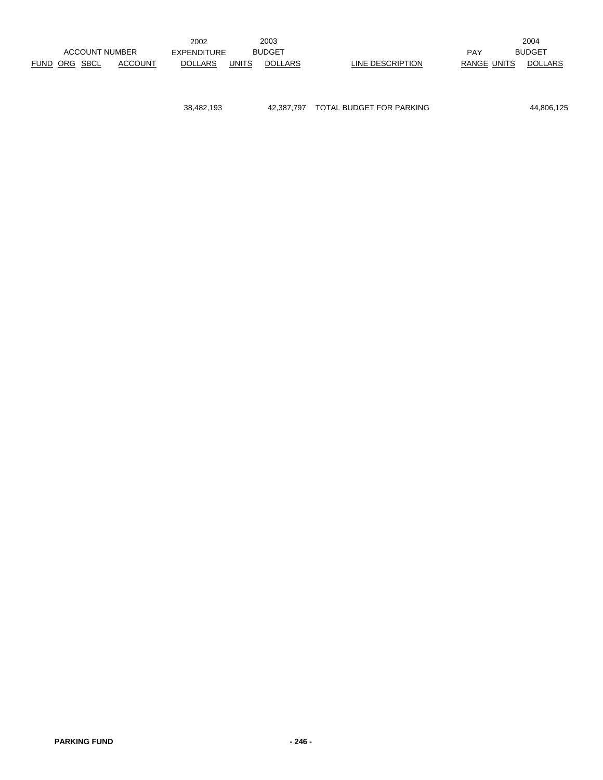|                      |                       | 2002           |              | 2003           |                  |                    | 2004           |
|----------------------|-----------------------|----------------|--------------|----------------|------------------|--------------------|----------------|
|                      | <b>ACCOUNT NUMBER</b> | EXPENDITURE    |              | <b>BUDGET</b>  |                  | PAY                | <b>BUDGET</b>  |
| <b>FUND ORG SBCL</b> | ACCOUNT               | <b>DOLLARS</b> | <b>UNITS</b> | <b>DOLLARS</b> | LINE DESCRIPTION | <b>RANGE UNITS</b> | <b>DOLLARS</b> |

38,482,193 42,387,797 TOTAL BUDGET FOR PARKING 44,806,125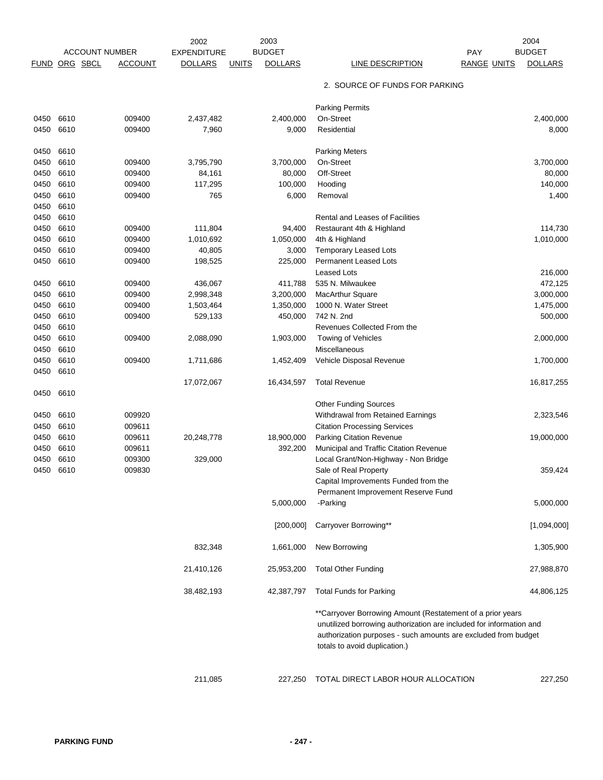|             |                       |                | 2002               |              | 2003           |                                                                                                                                                                                                                                       |                    | 2004           |
|-------------|-----------------------|----------------|--------------------|--------------|----------------|---------------------------------------------------------------------------------------------------------------------------------------------------------------------------------------------------------------------------------------|--------------------|----------------|
|             | <b>ACCOUNT NUMBER</b> |                | <b>EXPENDITURE</b> |              | <b>BUDGET</b>  |                                                                                                                                                                                                                                       | <b>PAY</b>         | <b>BUDGET</b>  |
| <b>FUND</b> | ORG SBCL              | <b>ACCOUNT</b> | <b>DOLLARS</b>     | <b>UNITS</b> | <b>DOLLARS</b> | LINE DESCRIPTION                                                                                                                                                                                                                      | <b>RANGE UNITS</b> | <b>DOLLARS</b> |
|             |                       |                |                    |              |                | 2. SOURCE OF FUNDS FOR PARKING                                                                                                                                                                                                        |                    |                |
|             |                       |                |                    |              |                | <b>Parking Permits</b>                                                                                                                                                                                                                |                    |                |
| 0450        | 6610                  | 009400         | 2,437,482          |              | 2,400,000      | On-Street                                                                                                                                                                                                                             |                    | 2,400,000      |
| 0450        | 6610                  | 009400         | 7,960              |              | 9,000          | Residential                                                                                                                                                                                                                           |                    | 8,000          |
| 0450        | 6610                  |                |                    |              |                | <b>Parking Meters</b>                                                                                                                                                                                                                 |                    |                |
| 0450        | 6610                  | 009400         | 3,795,790          |              | 3,700,000      | On-Street                                                                                                                                                                                                                             |                    | 3,700,000      |
| 0450        | 6610                  | 009400         | 84,161             |              | 80,000         | Off-Street                                                                                                                                                                                                                            |                    | 80,000         |
| 0450        | 6610                  | 009400         | 117,295            |              | 100,000        | Hooding                                                                                                                                                                                                                               |                    | 140,000        |
| 0450        | 6610                  | 009400         | 765                |              | 6,000          | Removal                                                                                                                                                                                                                               |                    | 1,400          |
|             |                       |                |                    |              |                |                                                                                                                                                                                                                                       |                    |                |
| 0450        | 6610                  |                |                    |              |                |                                                                                                                                                                                                                                       |                    |                |
| 0450        | 6610                  |                |                    |              |                | <b>Rental and Leases of Facilities</b>                                                                                                                                                                                                |                    |                |
| 0450        | 6610                  | 009400         | 111,804            |              | 94,400         | Restaurant 4th & Highland                                                                                                                                                                                                             |                    | 114,730        |
| 0450        | 6610                  | 009400         | 1,010,692          |              | 1,050,000      | 4th & Highland                                                                                                                                                                                                                        |                    | 1,010,000      |
| 0450        | 6610                  | 009400         | 40,805             |              | 3,000          | <b>Temporary Leased Lots</b>                                                                                                                                                                                                          |                    |                |
| 0450        | 6610                  | 009400         | 198,525            |              | 225,000        | Permanent Leased Lots                                                                                                                                                                                                                 |                    |                |
|             |                       |                |                    |              |                | <b>Leased Lots</b>                                                                                                                                                                                                                    |                    | 216,000        |
| 0450        | 6610                  | 009400         | 436,067            |              | 411,788        | 535 N. Milwaukee                                                                                                                                                                                                                      |                    | 472,125        |
| 0450        | 6610                  | 009400         | 2,998,348          |              | 3,200,000      | <b>MacArthur Square</b>                                                                                                                                                                                                               |                    | 3,000,000      |
| 0450        | 6610                  | 009400         | 1,503,464          |              | 1,350,000      | 1000 N. Water Street                                                                                                                                                                                                                  |                    | 1,475,000      |
| 0450        | 6610                  | 009400         | 529,133            |              | 450,000        | 742 N. 2nd                                                                                                                                                                                                                            |                    | 500,000        |
| 0450        | 6610                  |                |                    |              |                | Revenues Collected From the                                                                                                                                                                                                           |                    |                |
| 0450        |                       |                |                    |              |                |                                                                                                                                                                                                                                       |                    |                |
|             | 6610                  | 009400         | 2,088,090          |              | 1,903,000      | Towing of Vehicles                                                                                                                                                                                                                    |                    | 2,000,000      |
| 0450        | 6610                  |                |                    |              |                | Miscellaneous                                                                                                                                                                                                                         |                    |                |
| 0450        | 6610                  | 009400         | 1,711,686          |              | 1,452,409      | Vehicle Disposal Revenue                                                                                                                                                                                                              |                    | 1,700,000      |
| 0450        | 6610                  |                |                    |              |                |                                                                                                                                                                                                                                       |                    |                |
|             |                       |                | 17,072,067         |              | 16,434,597     | <b>Total Revenue</b>                                                                                                                                                                                                                  |                    | 16,817,255     |
| 0450        | 6610                  |                |                    |              |                |                                                                                                                                                                                                                                       |                    |                |
|             |                       |                |                    |              |                | <b>Other Funding Sources</b>                                                                                                                                                                                                          |                    |                |
| 0450        | 6610                  | 009920         |                    |              |                | Withdrawal from Retained Earnings                                                                                                                                                                                                     |                    | 2,323,546      |
| 0450        | 6610                  | 009611         |                    |              |                | <b>Citation Processing Services</b>                                                                                                                                                                                                   |                    |                |
| 0450        | 6610                  | 009611         | 20,248,778         |              | 18,900,000     | Parking Citation Revenue                                                                                                                                                                                                              |                    | 19,000,000     |
| 0450        | 6610                  | 009611         |                    |              | 392,200        | Municipal and Traffic Citation Revenue                                                                                                                                                                                                |                    |                |
| 0450        | 6610                  | 009300         | 329,000            |              |                | Local Grant/Non-Highway - Non Bridge                                                                                                                                                                                                  |                    |                |
| 0450        | 6610                  | 009830         |                    |              |                | Sale of Real Property                                                                                                                                                                                                                 |                    | 359,424        |
|             |                       |                |                    |              |                | Capital Improvements Funded from the                                                                                                                                                                                                  |                    |                |
|             |                       |                |                    |              |                |                                                                                                                                                                                                                                       |                    |                |
|             |                       |                |                    |              |                | Permanent Improvement Reserve Fund                                                                                                                                                                                                    |                    |                |
|             |                       |                |                    |              | 5,000,000      | -Parking                                                                                                                                                                                                                              |                    | 5,000,000      |
|             |                       |                |                    |              | [200,000]      | Carryover Borrowing**                                                                                                                                                                                                                 |                    | [1,094,000]    |
|             |                       |                | 832,348            |              | 1,661,000      | New Borrowing                                                                                                                                                                                                                         |                    | 1,305,900      |
|             |                       |                | 21,410,126         |              | 25,953,200     | <b>Total Other Funding</b>                                                                                                                                                                                                            |                    | 27,988,870     |
|             |                       |                | 38,482,193         |              | 42,387,797     | <b>Total Funds for Parking</b>                                                                                                                                                                                                        |                    | 44,806,125     |
|             |                       |                |                    |              |                |                                                                                                                                                                                                                                       |                    |                |
|             |                       |                |                    |              |                | ** Carryover Borrowing Amount (Restatement of a prior years<br>unutilized borrowing authorization are included for information and<br>authorization purposes - such amounts are excluded from budget<br>totals to avoid duplication.) |                    |                |
|             |                       |                | 211,085            |              | 227,250        | TOTAL DIRECT LABOR HOUR ALLOCATION                                                                                                                                                                                                    |                    | 227,250        |
|             |                       |                |                    |              |                |                                                                                                                                                                                                                                       |                    |                |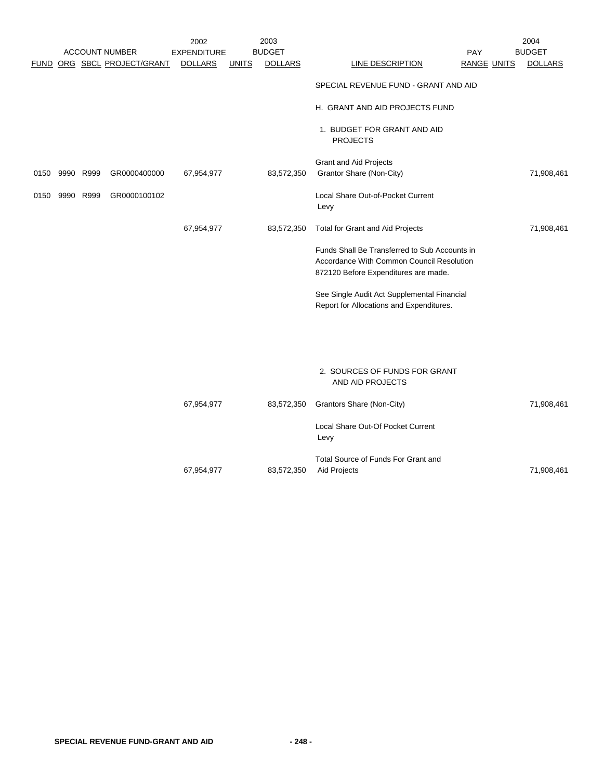|      |           |      |                             | 2002               |              | 2003           |                                                                                                                                    |                    | 2004           |
|------|-----------|------|-----------------------------|--------------------|--------------|----------------|------------------------------------------------------------------------------------------------------------------------------------|--------------------|----------------|
|      |           |      | <b>ACCOUNT NUMBER</b>       | <b>EXPENDITURE</b> |              | <b>BUDGET</b>  |                                                                                                                                    | PAY                | <b>BUDGET</b>  |
|      |           |      | FUND ORG SBCL PROJECT/GRANT | <b>DOLLARS</b>     | <b>UNITS</b> | <b>DOLLARS</b> | LINE DESCRIPTION                                                                                                                   | <b>RANGE UNITS</b> | <b>DOLLARS</b> |
|      |           |      |                             |                    |              |                | SPECIAL REVENUE FUND - GRANT AND AID                                                                                               |                    |                |
|      |           |      |                             |                    |              |                | H. GRANT AND AID PROJECTS FUND                                                                                                     |                    |                |
|      |           |      |                             |                    |              |                | 1. BUDGET FOR GRANT AND AID<br><b>PROJECTS</b>                                                                                     |                    |                |
|      |           |      |                             |                    |              |                | <b>Grant and Aid Projects</b>                                                                                                      |                    |                |
| 0150 | 9990 R999 |      | GR0000400000                | 67,954,977         |              | 83,572,350     | Grantor Share (Non-City)                                                                                                           |                    | 71,908,461     |
| 0150 | 9990      | R999 | GR0000100102                |                    |              |                | Local Share Out-of-Pocket Current<br>Levy                                                                                          |                    |                |
|      |           |      |                             | 67,954,977         |              | 83,572,350     | Total for Grant and Aid Projects                                                                                                   |                    | 71,908,461     |
|      |           |      |                             |                    |              |                | Funds Shall Be Transferred to Sub Accounts in<br>Accordance With Common Council Resolution<br>872120 Before Expenditures are made. |                    |                |
|      |           |      |                             |                    |              |                | See Single Audit Act Supplemental Financial<br>Report for Allocations and Expenditures.                                            |                    |                |
|      |           |      |                             |                    |              |                |                                                                                                                                    |                    |                |
|      |           |      |                             |                    |              |                | 2. SOURCES OF FUNDS FOR GRANT<br>AND AID PROJECTS                                                                                  |                    |                |
|      |           |      |                             | 67,954,977         |              | 83,572,350     | Grantors Share (Non-City)                                                                                                          |                    | 71,908,461     |
|      |           |      |                             |                    |              |                | Local Share Out-Of Pocket Current<br>Levy                                                                                          |                    |                |
|      |           |      |                             |                    |              |                | Total Source of Funds For Grant and                                                                                                |                    |                |

67,954,977 83,572,350 Aid Projects 71,908,461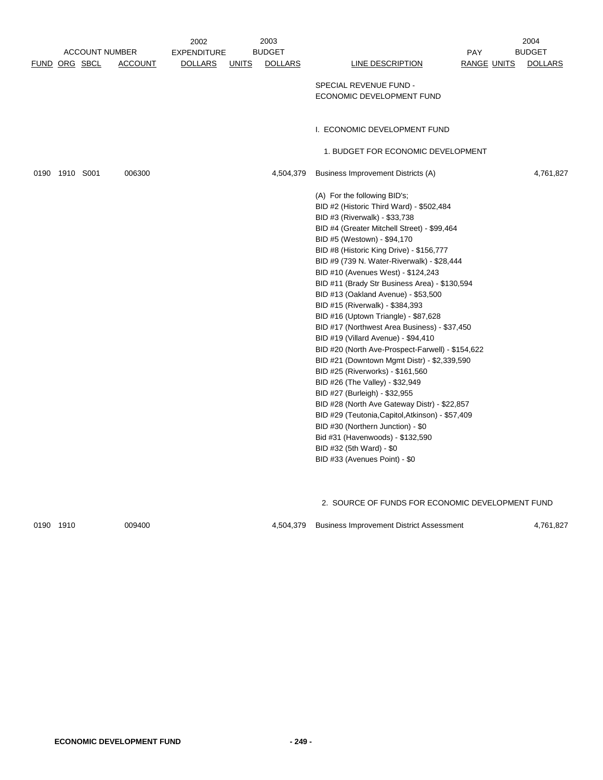|                |                       |                | 2002               |              | 2003           |                                                                               |                    | 2004           |
|----------------|-----------------------|----------------|--------------------|--------------|----------------|-------------------------------------------------------------------------------|--------------------|----------------|
|                | <b>ACCOUNT NUMBER</b> |                | <b>EXPENDITURE</b> |              | <b>BUDGET</b>  |                                                                               | PAY                | <b>BUDGET</b>  |
|                | <b>FUND ORG SBCL</b>  | <b>ACCOUNT</b> | <b>DOLLARS</b>     | <b>UNITS</b> | <b>DOLLARS</b> | <b>LINE DESCRIPTION</b>                                                       | <b>RANGE UNITS</b> | <b>DOLLARS</b> |
|                |                       |                |                    |              |                |                                                                               |                    |                |
|                |                       |                |                    |              |                | SPECIAL REVENUE FUND -                                                        |                    |                |
|                |                       |                |                    |              |                | ECONOMIC DEVELOPMENT FUND                                                     |                    |                |
|                |                       |                |                    |              |                |                                                                               |                    |                |
|                |                       |                |                    |              |                | I. ECONOMIC DEVELOPMENT FUND                                                  |                    |                |
|                |                       |                |                    |              |                |                                                                               |                    |                |
|                |                       |                |                    |              |                | 1. BUDGET FOR ECONOMIC DEVELOPMENT                                            |                    |                |
|                |                       |                |                    |              |                |                                                                               |                    |                |
| 0190 1910 S001 |                       | 006300         |                    |              | 4,504,379      | Business Improvement Districts (A)                                            |                    | 4,761,827      |
|                |                       |                |                    |              |                |                                                                               |                    |                |
|                |                       |                |                    |              |                | (A) For the following BID's;                                                  |                    |                |
|                |                       |                |                    |              |                | BID #2 (Historic Third Ward) - \$502,484                                      |                    |                |
|                |                       |                |                    |              |                | BID #3 (Riverwalk) - \$33,738                                                 |                    |                |
|                |                       |                |                    |              |                | BID #4 (Greater Mitchell Street) - \$99,464                                   |                    |                |
|                |                       |                |                    |              |                | BID #5 (Westown) - \$94,170                                                   |                    |                |
|                |                       |                |                    |              |                | BID #8 (Historic King Drive) - \$156,777                                      |                    |                |
|                |                       |                |                    |              |                | BID #9 (739 N. Water-Riverwalk) - \$28,444                                    |                    |                |
|                |                       |                |                    |              |                | BID #10 (Avenues West) - \$124,243                                            |                    |                |
|                |                       |                |                    |              |                | BID #11 (Brady Str Business Area) - \$130,594                                 |                    |                |
|                |                       |                |                    |              |                | BID #13 (Oakland Avenue) - \$53,500                                           |                    |                |
|                |                       |                |                    |              |                | BID #15 (Riverwalk) - \$384,393                                               |                    |                |
|                |                       |                |                    |              |                | BID #16 (Uptown Triangle) - \$87,628                                          |                    |                |
|                |                       |                |                    |              |                | BID #17 (Northwest Area Business) - \$37,450                                  |                    |                |
|                |                       |                |                    |              |                | BID #19 (Villard Avenue) - \$94,410                                           |                    |                |
|                |                       |                |                    |              |                | BID #20 (North Ave-Prospect-Farwell) - \$154,622                              |                    |                |
|                |                       |                |                    |              |                | BID #21 (Downtown Mgmt Distr) - \$2,339,590                                   |                    |                |
|                |                       |                |                    |              |                | BID #25 (Riverworks) - \$161,560                                              |                    |                |
|                |                       |                |                    |              |                | BID #26 (The Valley) - \$32,949                                               |                    |                |
|                |                       |                |                    |              |                | BID #27 (Burleigh) - \$32,955<br>BID #28 (North Ave Gateway Distr) - \$22,857 |                    |                |
|                |                       |                |                    |              |                | BID #29 (Teutonia, Capitol, Atkinson) - \$57,409                              |                    |                |
|                |                       |                |                    |              |                | BID #30 (Northern Junction) - \$0                                             |                    |                |
|                |                       |                |                    |              |                | Bid #31 (Havenwoods) - \$132,590                                              |                    |                |
|                |                       |                |                    |              |                | BID #32 (5th Ward) - \$0                                                      |                    |                |
|                |                       |                |                    |              |                | BID #33 (Avenues Point) - \$0                                                 |                    |                |
|                |                       |                |                    |              |                |                                                                               |                    |                |
|                |                       |                |                    |              |                |                                                                               |                    |                |
|                |                       |                |                    |              |                |                                                                               |                    |                |
|                |                       |                |                    |              |                | 2. SOURCE OF FUNDS FOR ECONOMIC DEVELOPMENT FUND                              |                    |                |
|                |                       |                |                    |              |                |                                                                               |                    |                |

0190 1910 009400 4,504,379 Business Improvement District Assessment 4,761,827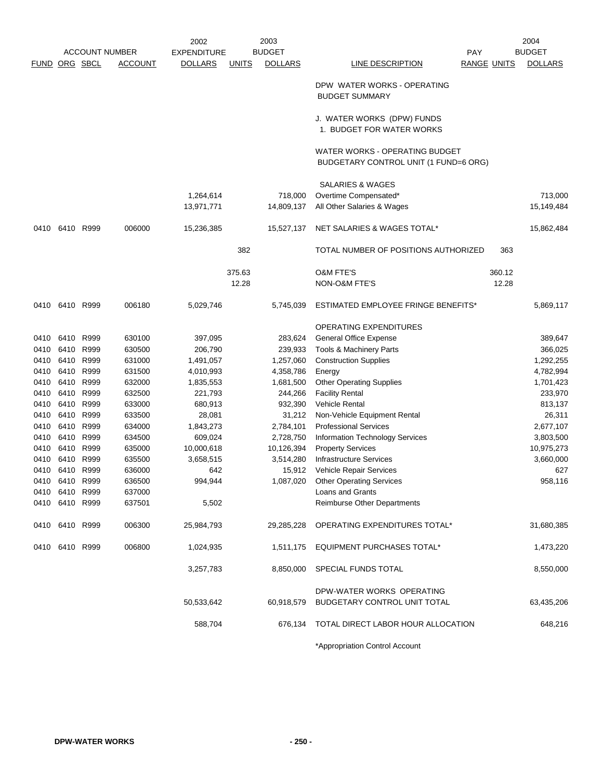|                      | <b>ACCOUNT NUMBER</b>            |           |                  | 2003<br>2002<br><b>BUDGET</b><br><b>EXPENDITURE</b> |              |                | PAY                                                                     |                    | 2004<br><b>BUDGET</b> |  |
|----------------------|----------------------------------|-----------|------------------|-----------------------------------------------------|--------------|----------------|-------------------------------------------------------------------------|--------------------|-----------------------|--|
| <b>FUND ORG SBCL</b> |                                  |           | <b>ACCOUNT</b>   | <b>DOLLARS</b>                                      | <b>UNITS</b> | <b>DOLLARS</b> | LINE DESCRIPTION                                                        | <b>RANGE UNITS</b> | <b>DOLLARS</b>        |  |
|                      |                                  |           |                  |                                                     |              |                | DPW WATER WORKS - OPERATING<br><b>BUDGET SUMMARY</b>                    |                    |                       |  |
|                      |                                  |           |                  |                                                     |              |                | J. WATER WORKS (DPW) FUNDS<br>1. BUDGET FOR WATER WORKS                 |                    |                       |  |
|                      |                                  |           |                  |                                                     |              |                | WATER WORKS - OPERATING BUDGET<br>BUDGETARY CONTROL UNIT (1 FUND=6 ORG) |                    |                       |  |
|                      |                                  |           |                  |                                                     |              |                | SALARIES & WAGES                                                        |                    |                       |  |
|                      |                                  |           |                  | 1,264,614                                           |              | 718,000        | Overtime Compensated*                                                   |                    | 713,000               |  |
|                      |                                  |           |                  | 13,971,771                                          |              | 14,809,137     | All Other Salaries & Wages                                              |                    | 15,149,484            |  |
| 0410                 |                                  | 6410 R999 | 006000           | 15,236,385                                          |              | 15,527,137     | NET SALARIES & WAGES TOTAL*                                             |                    | 15,862,484            |  |
|                      |                                  |           |                  |                                                     | 382          |                | TOTAL NUMBER OF POSITIONS AUTHORIZED                                    | 363                |                       |  |
|                      |                                  |           |                  |                                                     | 375.63       |                | <b>O&amp;M FTE'S</b>                                                    | 360.12             |                       |  |
|                      |                                  |           |                  |                                                     | 12.28        |                | NON-O&M FTE'S                                                           | 12.28              |                       |  |
|                      | 0410 6410 R999                   |           | 006180           | 5,029,746                                           |              | 5,745,039      | ESTIMATED EMPLOYEE FRINGE BENEFITS*                                     |                    | 5,869,117             |  |
|                      |                                  |           |                  |                                                     |              |                | OPERATING EXPENDITURES                                                  |                    |                       |  |
|                      | 0410 6410 R999                   |           | 630100           | 397,095                                             |              | 283,624        | General Office Expense                                                  |                    | 389,647               |  |
| 0410                 | 6410 R999                        |           | 630500           | 206,790                                             |              | 239,933        | Tools & Machinery Parts                                                 |                    | 366,025               |  |
| 0410                 |                                  | 6410 R999 | 631000           | 1,491,057                                           |              | 1,257,060      | <b>Construction Supplies</b>                                            |                    | 1,292,255             |  |
| 0410                 |                                  | 6410 R999 | 631500           | 4,010,993                                           |              | 4,358,786      | Energy                                                                  |                    | 4,782,994             |  |
| 0410                 | 6410 R999                        |           | 632000           | 1,835,553                                           |              | 1,681,500      | <b>Other Operating Supplies</b>                                         |                    | 1,701,423             |  |
| 0410                 |                                  | 6410 R999 | 632500           | 221,793                                             |              | 244,266        | <b>Facility Rental</b>                                                  |                    | 233,970               |  |
| 0410                 |                                  | 6410 R999 | 633000           | 680,913                                             |              | 932,390        | Vehicle Rental                                                          |                    | 813,137               |  |
| 0410                 |                                  | 6410 R999 | 633500           | 28,081                                              |              | 31,212         | Non-Vehicle Equipment Rental                                            |                    | 26,311                |  |
| 0410                 | 6410 R999                        |           | 634000           | 1,843,273                                           |              | 2,784,101      | <b>Professional Services</b>                                            |                    | 2,677,107             |  |
| 0410                 |                                  | 6410 R999 | 634500           | 609,024                                             |              | 2,728,750      | Information Technology Services                                         |                    | 3,803,500             |  |
| 0410                 |                                  | 6410 R999 | 635000           | 10,000,618                                          |              | 10,126,394     | <b>Property Services</b>                                                |                    | 10,975,273            |  |
| 0410                 |                                  | 6410 R999 | 635500           | 3,658,515                                           |              | 3,514,280      | <b>Infrastructure Services</b>                                          |                    | 3,660,000             |  |
| 0410                 |                                  | 6410 R999 | 636000           | 642                                                 |              | 15,912         | Vehicle Repair Services                                                 |                    | 627                   |  |
|                      | 0410 6410 R999                   |           | 636500           | 994,944                                             |              | 1,087,020      | <b>Other Operating Services</b>                                         |                    | 958,116               |  |
|                      | 0410 6410 R999<br>0410 6410 R999 |           | 637000<br>637501 | 5,502                                               |              |                | Loans and Grants<br>Reimburse Other Departments                         |                    |                       |  |
|                      |                                  |           |                  |                                                     |              |                |                                                                         |                    |                       |  |
|                      | 0410 6410 R999                   |           | 006300           | 25,984,793                                          |              | 29,285,228     | OPERATING EXPENDITURES TOTAL*                                           |                    | 31,680,385            |  |
|                      | 0410 6410 R999                   |           | 006800           | 1,024,935                                           |              | 1,511,175      | EQUIPMENT PURCHASES TOTAL*                                              |                    | 1,473,220             |  |
|                      |                                  |           |                  | 3,257,783                                           |              | 8,850,000      | SPECIAL FUNDS TOTAL                                                     |                    | 8,550,000             |  |
|                      |                                  |           |                  |                                                     |              |                | DPW-WATER WORKS OPERATING                                               |                    |                       |  |
|                      |                                  |           |                  | 50,533,642                                          |              | 60,918,579     | BUDGETARY CONTROL UNIT TOTAL                                            |                    | 63,435,206            |  |
|                      |                                  |           |                  | 588,704                                             |              | 676,134        | TOTAL DIRECT LABOR HOUR ALLOCATION                                      |                    | 648,216               |  |
|                      |                                  |           |                  |                                                     |              |                | *Appropriation Control Account                                          |                    |                       |  |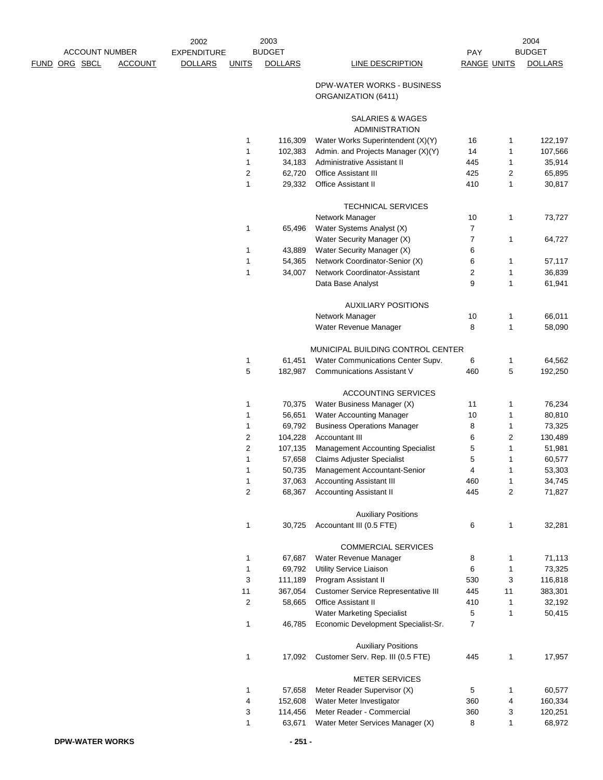|                       |                | 2002               |              | 2003           |                                                      |                    |                | 2004           |
|-----------------------|----------------|--------------------|--------------|----------------|------------------------------------------------------|--------------------|----------------|----------------|
| <b>ACCOUNT NUMBER</b> |                | <b>EXPENDITURE</b> |              | <b>BUDGET</b>  |                                                      | PAY                |                | <b>BUDGET</b>  |
| <u>FUND ORG SBCL</u>  | <b>ACCOUNT</b> | <b>DOLLARS</b>     | <b>UNITS</b> | <b>DOLLARS</b> | LINE DESCRIPTION                                     | <b>RANGE UNITS</b> |                | <b>DOLLARS</b> |
|                       |                |                    |              |                | DPW-WATER WORKS - BUSINESS<br>ORGANIZATION (6411)    |                    |                |                |
|                       |                |                    |              |                | SALARIES & WAGES<br><b>ADMINISTRATION</b>            |                    |                |                |
|                       |                |                    | 1            | 116,309        | Water Works Superintendent (X)(Y)                    | 16                 | 1              | 122,197        |
|                       |                |                    | 1            | 102,383        | Admin. and Projects Manager (X)(Y)                   | 14                 | 1              | 107,566        |
|                       |                |                    | 1            | 34,183         | Administrative Assistant II                          | 445                | 1              | 35,914         |
|                       |                |                    | 2            | 62,720         | <b>Office Assistant III</b>                          | 425                | $\overline{c}$ | 65,895         |
|                       |                |                    | $\mathbf{1}$ | 29,332         | Office Assistant II                                  | 410                | 1              | 30,817         |
|                       |                |                    |              |                |                                                      |                    |                |                |
|                       |                |                    |              |                | <b>TECHNICAL SERVICES</b>                            |                    |                |                |
|                       |                |                    |              |                | Network Manager                                      | 10                 | 1              | 73,727         |
|                       |                |                    | 1            | 65,496         | Water Systems Analyst (X)                            | $\boldsymbol{7}$   |                |                |
|                       |                |                    |              |                | Water Security Manager (X)                           | $\overline{7}$     | 1              | 64,727         |
|                       |                |                    | 1            | 43,889         | Water Security Manager (X)                           | 6                  |                |                |
|                       |                |                    | 1            | 54,365         | Network Coordinator-Senior (X)                       | 6                  | 1              | 57,117         |
|                       |                |                    | $\mathbf{1}$ | 34,007         | <b>Network Coordinator-Assistant</b>                 | 2                  | 1              | 36,839         |
|                       |                |                    |              |                | Data Base Analyst                                    | 9                  | 1              | 61,941         |
|                       |                |                    |              |                | <b>AUXILIARY POSITIONS</b>                           |                    |                |                |
|                       |                |                    |              |                | Network Manager                                      | 10                 | 1              | 66,011         |
|                       |                |                    |              |                | Water Revenue Manager                                | 8                  | 1              | 58,090         |
|                       |                |                    |              |                | MUNICIPAL BUILDING CONTROL CENTER                    |                    |                |                |
|                       |                |                    | 1            | 61,451         | Water Communications Center Supv.                    | 6                  | 1              | 64,562         |
|                       |                |                    | 5            | 182,987        | <b>Communications Assistant V</b>                    | 460                | 5              | 192,250        |
|                       |                |                    |              |                | ACCOUNTING SERVICES                                  |                    |                |                |
|                       |                |                    | 1            | 70,375         | Water Business Manager (X)                           | 11                 | 1              | 76,234         |
|                       |                |                    | 1            | 56,651         | <b>Water Accounting Manager</b>                      | 10                 | 1              | 80,810         |
|                       |                |                    | 1            | 69,792         | <b>Business Operations Manager</b>                   | 8                  | 1              | 73,325         |
|                       |                |                    | 2            | 104,228        | Accountant III                                       | 6                  | 2              | 130,489        |
|                       |                |                    | 2            | 107,135        | <b>Management Accounting Specialist</b>              | 5                  | 1              | 51,981         |
|                       |                |                    | 1            | 57,658         | <b>Claims Adjuster Specialist</b>                    | 5                  | 1              | 60,577         |
|                       |                |                    | 1            | 50,735         | Management Accountant-Senior                         | 4                  | 1              | 53,303         |
|                       |                |                    | 1            | 37,063         | <b>Accounting Assistant III</b>                      | 460                | $\mathbf{1}$   | 34,745         |
|                       |                |                    | 2            | 68,367         | <b>Accounting Assistant II</b>                       | 445                | $\overline{c}$ | 71,827         |
|                       |                |                    |              |                | <b>Auxiliary Positions</b>                           |                    |                |                |
|                       |                |                    | 1            | 30,725         | Accountant III (0.5 FTE)                             | 6                  | 1              | 32,281         |
|                       |                |                    |              |                | <b>COMMERCIAL SERVICES</b>                           |                    |                |                |
|                       |                |                    | 1            | 67,687         | Water Revenue Manager                                | 8                  | 1              | 71,113         |
|                       |                |                    | 1            | 69,792         | Utility Service Liaison                              | 6                  | 1              | 73,325         |
|                       |                |                    | 3            | 111,189        | Program Assistant II                                 | 530                | 3              | 116,818        |
|                       |                |                    | 11           | 367,054        | <b>Customer Service Representative III</b>           | 445                | 11             | 383,301        |
|                       |                |                    | 2            | 58,665         | Office Assistant II                                  | 410                | 1              | 32,192         |
|                       |                |                    |              |                | <b>Water Marketing Specialist</b>                    | 5                  | 1              | 50,415         |
|                       |                |                    | 1            | 46,785         | Economic Development Specialist-Sr.                  | $\overline{7}$     |                |                |
|                       |                |                    |              |                | <b>Auxiliary Positions</b>                           |                    |                |                |
|                       |                |                    | 1            | 17,092         | Customer Serv. Rep. III (0.5 FTE)                    | 445                | 1              | 17,957         |
|                       |                |                    |              |                |                                                      |                    |                |                |
|                       |                |                    | 1            | 57,658         | <b>METER SERVICES</b><br>Meter Reader Supervisor (X) |                    |                | 60,577         |
|                       |                |                    | 4            | 152,608        | Water Meter Investigator                             | 5<br>360           | 1<br>4         | 160,334        |
|                       |                |                    | 3            | 114,456        | Meter Reader - Commercial                            | 360                | 3              | 120,251        |
|                       |                |                    | 1            | 63,671         | Water Meter Services Manager (X)                     | 8                  | 1              | 68,972         |
|                       |                |                    |              |                |                                                      |                    |                |                |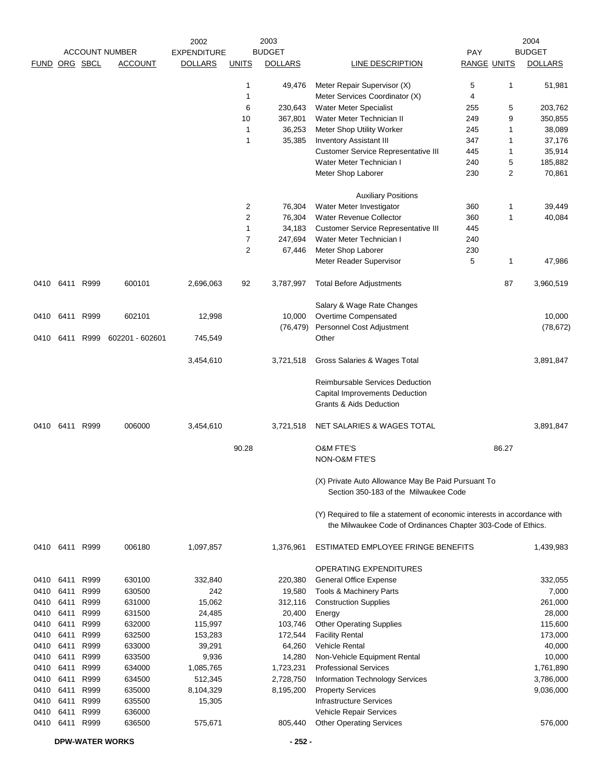|               |           |           |                        | 2002               |                         | 2003           |                                                                                                                                           |                    |                | 2004           |
|---------------|-----------|-----------|------------------------|--------------------|-------------------------|----------------|-------------------------------------------------------------------------------------------------------------------------------------------|--------------------|----------------|----------------|
|               |           |           | <b>ACCOUNT NUMBER</b>  | <b>EXPENDITURE</b> |                         | <b>BUDGET</b>  |                                                                                                                                           | PAY                |                | <b>BUDGET</b>  |
| FUND ORG SBCL |           |           | <b>ACCOUNT</b>         | <b>DOLLARS</b>     | <b>UNITS</b>            | <b>DOLLARS</b> | LINE DESCRIPTION                                                                                                                          | <b>RANGE UNITS</b> |                | <b>DOLLARS</b> |
|               |           |           |                        |                    | 1                       | 49,476         | Meter Repair Supervisor (X)                                                                                                               | 5                  | 1              | 51,981         |
|               |           |           |                        |                    | $\mathbf{1}$            |                | Meter Services Coordinator (X)                                                                                                            | 4                  |                |                |
|               |           |           |                        |                    | 6                       | 230,643        | <b>Water Meter Specialist</b>                                                                                                             | 255                | 5              | 203,762        |
|               |           |           |                        |                    | 10                      | 367,801        | Water Meter Technician II                                                                                                                 | 249                | 9              | 350,855        |
|               |           |           |                        |                    | $\mathbf{1}$            | 36,253         | Meter Shop Utility Worker                                                                                                                 | 245                | 1              | 38,089         |
|               |           |           |                        |                    | $\mathbf{1}$            | 35,385         | <b>Inventory Assistant III</b>                                                                                                            | 347                | 1              | 37,176         |
|               |           |           |                        |                    |                         |                | <b>Customer Service Representative III</b>                                                                                                | 445                | 1              | 35,914         |
|               |           |           |                        |                    |                         |                | Water Meter Technician I                                                                                                                  | 240                | 5              | 185,882        |
|               |           |           |                        |                    |                         |                | Meter Shop Laborer                                                                                                                        | 230                | $\overline{2}$ | 70,861         |
|               |           |           |                        |                    |                         |                | <b>Auxiliary Positions</b>                                                                                                                |                    |                |                |
|               |           |           |                        |                    | $\overline{\mathbf{c}}$ | 76,304         | Water Meter Investigator                                                                                                                  | 360                | 1              | 39,449         |
|               |           |           |                        |                    | 2                       | 76,304         | <b>Water Revenue Collector</b>                                                                                                            | 360                | 1              | 40,084         |
|               |           |           |                        |                    | $\mathbf{1}$            | 34,183         | <b>Customer Service Representative III</b>                                                                                                | 445                |                |                |
|               |           |           |                        |                    | $\overline{7}$          | 247,694        | Water Meter Technician I                                                                                                                  | 240                |                |                |
|               |           |           |                        |                    | $\overline{2}$          | 67,446         | Meter Shop Laborer                                                                                                                        | 230                |                |                |
|               |           |           |                        |                    |                         |                | Meter Reader Supervisor                                                                                                                   | 5                  | 1              | 47,986         |
|               | 0410 6411 | R999      | 600101                 | 2,696,063          | 92                      | 3,787,997      | <b>Total Before Adjustments</b>                                                                                                           |                    | 87             | 3,960,519      |
|               |           |           |                        |                    |                         |                | Salary & Wage Rate Changes                                                                                                                |                    |                |                |
| 0410          | 6411      | R999      | 602101                 | 12,998             |                         | 10,000         | Overtime Compensated                                                                                                                      |                    |                | 10,000         |
|               |           |           |                        |                    |                         | (76, 479)      | Personnel Cost Adjustment                                                                                                                 |                    |                | (78, 672)      |
| 0410          |           | 6411 R999 | 602201 - 602601        | 745,549            |                         |                | Other                                                                                                                                     |                    |                |                |
|               |           |           |                        | 3,454,610          |                         | 3,721,518      | Gross Salaries & Wages Total                                                                                                              |                    |                | 3,891,847      |
|               |           |           |                        |                    |                         |                | Reimbursable Services Deduction                                                                                                           |                    |                |                |
|               |           |           |                        |                    |                         |                | Capital Improvements Deduction<br><b>Grants &amp; Aids Deduction</b>                                                                      |                    |                |                |
| 0410          | 6411      | R999      | 006000                 | 3,454,610          |                         | 3,721,518      | NET SALARIES & WAGES TOTAL                                                                                                                |                    |                | 3,891,847      |
|               |           |           |                        |                    | 90.28                   |                | <b>O&amp;M FTE'S</b><br>NON-O&M FTE'S                                                                                                     |                    | 86.27          |                |
|               |           |           |                        |                    |                         |                | (X) Private Auto Allowance May Be Paid Pursuant To                                                                                        |                    |                |                |
|               |           |           |                        |                    |                         |                | Section 350-183 of the Milwaukee Code                                                                                                     |                    |                |                |
|               |           |           |                        |                    |                         |                | (Y) Required to file a statement of economic interests in accordance with<br>the Milwaukee Code of Ordinances Chapter 303-Code of Ethics. |                    |                |                |
|               | 0410 6411 | R999      | 006180                 | 1,097,857          |                         | 1,376,961      | ESTIMATED EMPLOYEE FRINGE BENEFITS                                                                                                        |                    |                | 1,439,983      |
|               |           |           |                        |                    |                         |                | OPERATING EXPENDITURES                                                                                                                    |                    |                |                |
| 0410          | 6411      | R999      | 630100                 | 332,840            |                         | 220,380        | General Office Expense                                                                                                                    |                    |                | 332,055        |
| 0410          | 6411      | R999      | 630500                 | 242                |                         | 19,580         | Tools & Machinery Parts                                                                                                                   |                    |                | 7,000          |
| 0410          | 6411      | R999      | 631000                 | 15,062             |                         | 312,116        | <b>Construction Supplies</b>                                                                                                              |                    |                | 261,000        |
| 0410          | 6411      | R999      | 631500                 | 24,485             |                         | 20,400         | Energy                                                                                                                                    |                    |                | 28,000         |
| 0410          | 6411      | R999      | 632000                 | 115,997            |                         | 103,746        | <b>Other Operating Supplies</b>                                                                                                           |                    |                | 115,600        |
| 0410          | 6411      | R999      | 632500                 | 153,283            |                         | 172,544        | <b>Facility Rental</b>                                                                                                                    |                    |                | 173,000        |
| 0410          | 6411      | R999      | 633000                 | 39,291             |                         | 64,260         | <b>Vehicle Rental</b>                                                                                                                     |                    |                | 40,000         |
| 0410          | 6411      | R999      | 633500                 | 9,936              |                         | 14,280         | Non-Vehicle Equipment Rental                                                                                                              |                    |                | 10,000         |
| 0410          | 6411      | R999      | 634000                 | 1,085,765          |                         | 1,723,231      | <b>Professional Services</b>                                                                                                              |                    |                | 1,761,890      |
| 0410          | 6411      | R999      | 634500                 | 512,345            |                         | 2,728,750      | Information Technology Services                                                                                                           |                    |                | 3,786,000      |
| 0410          | 6411      | R999      | 635000                 | 8,104,329          |                         | 8,195,200      | <b>Property Services</b>                                                                                                                  |                    |                | 9,036,000      |
| 0410          | 6411      | R999      | 635500                 | 15,305             |                         |                | <b>Infrastructure Services</b>                                                                                                            |                    |                |                |
| 0410          | 6411      | R999      | 636000                 |                    |                         |                | Vehicle Repair Services                                                                                                                   |                    |                |                |
| 0410          | 6411 R999 |           | 636500                 | 575,671            |                         | 805,440        | <b>Other Operating Services</b>                                                                                                           |                    |                | 576,000        |
|               |           |           | <b>DPW-WATER WORKS</b> |                    |                         | $-252-$        |                                                                                                                                           |                    |                |                |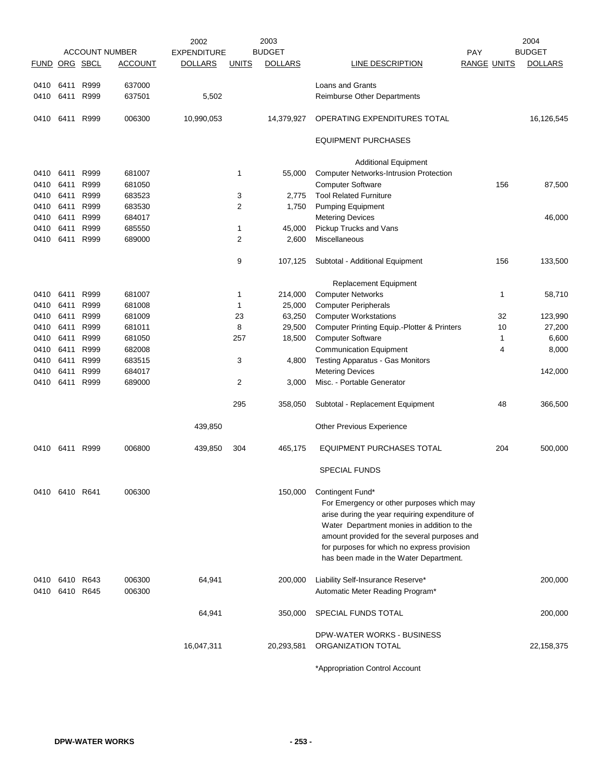|               |           |      |                       | 2002               |              | 2003           |                                                                                             |                    |     | 2004           |
|---------------|-----------|------|-----------------------|--------------------|--------------|----------------|---------------------------------------------------------------------------------------------|--------------------|-----|----------------|
|               |           |      | <b>ACCOUNT NUMBER</b> | <b>EXPENDITURE</b> |              | <b>BUDGET</b>  |                                                                                             | <b>PAY</b>         |     | <b>BUDGET</b>  |
| FUND ORG SBCL |           |      | <b>ACCOUNT</b>        | <b>DOLLARS</b>     | <b>UNITS</b> | <b>DOLLARS</b> | <b>LINE DESCRIPTION</b>                                                                     | <b>RANGE UNITS</b> |     | <b>DOLLARS</b> |
| 0410          | 6411      | R999 | 637000                |                    |              |                | Loans and Grants                                                                            |                    |     |                |
| 0410          | 6411      | R999 | 637501                | 5,502              |              |                | Reimburse Other Departments                                                                 |                    |     |                |
| 0410          | 6411      | R999 | 006300                | 10,990,053         |              | 14,379,927     | OPERATING EXPENDITURES TOTAL                                                                |                    |     | 16,126,545     |
|               |           |      |                       |                    |              |                | <b>EQUIPMENT PURCHASES</b>                                                                  |                    |     |                |
|               |           |      |                       |                    |              |                | <b>Additional Equipment</b>                                                                 |                    |     |                |
|               | 0410 6411 | R999 | 681007                |                    | 1            | 55,000         | <b>Computer Networks-Intrusion Protection</b>                                               |                    |     |                |
| 0410          | 6411      | R999 | 681050                |                    |              |                | <b>Computer Software</b>                                                                    |                    | 156 | 87,500         |
| 0410          | 6411      | R999 | 683523                |                    | 3            | 2,775          | <b>Tool Related Furniture</b>                                                               |                    |     |                |
| 0410          | 6411      | R999 | 683530                |                    | 2            | 1,750          | <b>Pumping Equipment</b>                                                                    |                    |     |                |
| 0410          | 6411      | R999 | 684017                |                    |              |                | <b>Metering Devices</b>                                                                     |                    |     | 46,000         |
| 0410          | 6411      | R999 | 685550                |                    | 1            | 45,000         | Pickup Trucks and Vans                                                                      |                    |     |                |
| 0410          | 6411      | R999 | 689000                |                    | 2            | 2,600          | Miscellaneous                                                                               |                    |     |                |
|               |           |      |                       |                    | 9            | 107,125        | Subtotal - Additional Equipment                                                             |                    | 156 | 133,500        |
|               |           |      |                       |                    |              |                | <b>Replacement Equipment</b>                                                                |                    |     |                |
| 0410          | 6411      | R999 | 681007                |                    | 1            | 214,000        | <b>Computer Networks</b>                                                                    |                    | 1   | 58,710         |
| 0410          | 6411      | R999 | 681008                |                    | 1            | 25,000         | <b>Computer Peripherals</b>                                                                 |                    |     |                |
| 0410          | 6411      | R999 | 681009                |                    | 23           | 63,250         | <b>Computer Workstations</b>                                                                |                    | 32  | 123,990        |
| 0410          | 6411      | R999 | 681011                |                    | 8            | 29,500         | Computer Printing Equip.-Plotter & Printers                                                 |                    | 10  | 27,200         |
| 0410          | 6411      | R999 | 681050                |                    | 257          | 18,500         | <b>Computer Software</b>                                                                    |                    | 1   | 6,600          |
| 0410          | 6411      | R999 | 682008                |                    |              |                | <b>Communication Equipment</b>                                                              |                    | 4   | 8,000          |
| 0410          | 6411      | R999 | 683515                |                    | 3            | 4,800          | <b>Testing Apparatus - Gas Monitors</b>                                                     |                    |     |                |
| 0410          | 6411      | R999 | 684017                |                    |              |                | <b>Metering Devices</b>                                                                     |                    |     | 142,000        |
| 0410          | 6411 R999 |      | 689000                |                    | 2            | 3,000          | Misc. - Portable Generator                                                                  |                    |     |                |
|               |           |      |                       |                    |              |                |                                                                                             |                    |     |                |
|               |           |      |                       |                    | 295          | 358,050        | Subtotal - Replacement Equipment                                                            |                    | 48  | 366,500        |
|               |           |      |                       | 439,850            |              |                | Other Previous Experience                                                                   |                    |     |                |
| 0410          | 6411      | R999 | 006800                | 439,850            | 304          | 465,175        | EQUIPMENT PURCHASES TOTAL                                                                   |                    | 204 | 500,000        |
|               |           |      |                       |                    |              |                | <b>SPECIAL FUNDS</b>                                                                        |                    |     |                |
| 0410          | 6410 R641 |      | 006300                |                    |              | 150,000        | Contingent Fund*                                                                            |                    |     |                |
|               |           |      |                       |                    |              |                | For Emergency or other purposes which may<br>arise during the year requiring expenditure of |                    |     |                |
|               |           |      |                       |                    |              |                | Water Department monies in addition to the                                                  |                    |     |                |
|               |           |      |                       |                    |              |                | amount provided for the several purposes and                                                |                    |     |                |
|               |           |      |                       |                    |              |                | for purposes for which no express provision                                                 |                    |     |                |
|               |           |      |                       |                    |              |                | has been made in the Water Department.                                                      |                    |     |                |
|               |           |      |                       |                    |              |                |                                                                                             |                    |     |                |
| 0410          | 6410 R643 |      | 006300                | 64,941             |              | 200,000        | Liability Self-Insurance Reserve*                                                           |                    |     | 200,000        |
| 0410          | 6410 R645 |      | 006300                |                    |              |                | Automatic Meter Reading Program*                                                            |                    |     |                |
|               |           |      |                       |                    |              |                |                                                                                             |                    |     |                |
|               |           |      |                       | 64,941             |              | 350,000        | SPECIAL FUNDS TOTAL                                                                         |                    |     | 200,000        |
|               |           |      |                       |                    |              |                |                                                                                             |                    |     |                |
|               |           |      |                       |                    |              |                | DPW-WATER WORKS - BUSINESS                                                                  |                    |     |                |
|               |           |      |                       | 16,047,311         |              | 20,293,581     | ORGANIZATION TOTAL                                                                          |                    |     | 22,158,375     |
|               |           |      |                       |                    |              |                | *Appropriation Control Account                                                              |                    |     |                |

**DPW-WATER WORKS - 253 -**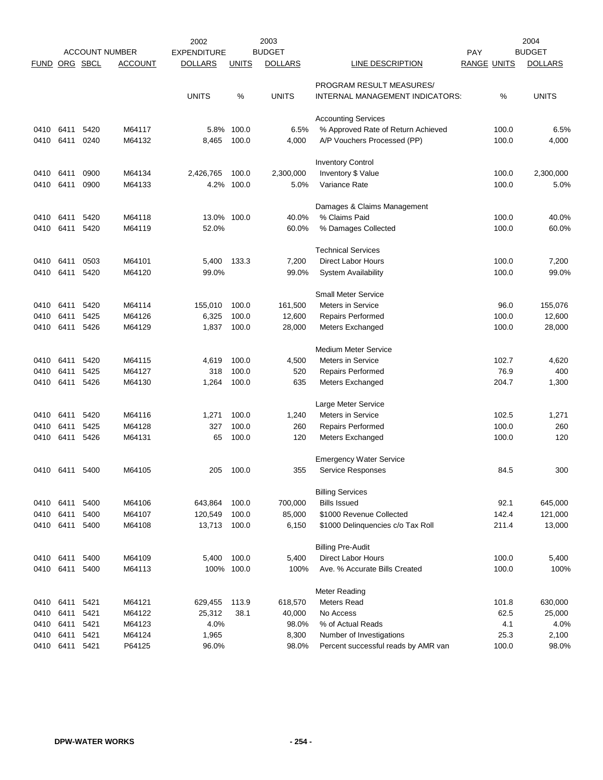|             |           |      |                       | 2002               |              | 2003           |                                     |                    | 2004           |
|-------------|-----------|------|-----------------------|--------------------|--------------|----------------|-------------------------------------|--------------------|----------------|
|             |           |      | <b>ACCOUNT NUMBER</b> | <b>EXPENDITURE</b> |              | <b>BUDGET</b>  |                                     | <b>PAY</b>         | <b>BUDGET</b>  |
| <b>FUND</b> | ORG SBCL  |      | <b>ACCOUNT</b>        | <b>DOLLARS</b>     | <b>UNITS</b> | <b>DOLLARS</b> | LINE DESCRIPTION                    | <b>RANGE UNITS</b> | <b>DOLLARS</b> |
|             |           |      |                       |                    |              |                | PROGRAM RESULT MEASURES/            |                    |                |
|             |           |      |                       | <b>UNITS</b>       | %            | <b>UNITS</b>   | INTERNAL MANAGEMENT INDICATORS:     | %                  | <b>UNITS</b>   |
|             |           |      |                       |                    |              |                | <b>Accounting Services</b>          |                    |                |
| 0410        | 6411      | 5420 | M64117                | 5.8%               | 100.0        | 6.5%           | % Approved Rate of Return Achieved  | 100.0              | 6.5%           |
| 0410        | 6411      | 0240 | M64132                | 8,465              | 100.0        | 4,000          | A/P Vouchers Processed (PP)         | 100.0              | 4,000          |
|             |           |      |                       |                    |              |                | <b>Inventory Control</b>            |                    |                |
| 0410        | 6411      | 0900 | M64134                | 2,426,765          | 100.0        | 2,300,000      | Inventory \$ Value                  | 100.0              | 2,300,000      |
| 0410        | 6411      | 0900 | M64133                | 4.2%               | 100.0        | 5.0%           | Variance Rate                       | 100.0              | 5.0%           |
|             |           |      |                       |                    |              |                | Damages & Claims Management         |                    |                |
| 0410        | 6411      | 5420 | M64118                | 13.0%              | 100.0        | 40.0%          | % Claims Paid                       | 100.0              | 40.0%          |
| 0410        | 6411      | 5420 | M64119                | 52.0%              |              | 60.0%          | % Damages Collected                 | 100.0              | 60.0%          |
|             |           |      |                       |                    |              |                | <b>Technical Services</b>           |                    |                |
| 0410        | 6411      | 0503 | M64101                | 5,400              | 133.3        | 7,200          | <b>Direct Labor Hours</b>           | 100.0              | 7,200          |
| 0410        | 6411      | 5420 | M64120                | 99.0%              |              | 99.0%          | <b>System Availability</b>          | 100.0              | 99.0%          |
|             |           |      |                       |                    |              |                | <b>Small Meter Service</b>          |                    |                |
| 0410        | 6411      | 5420 | M64114                | 155,010            | 100.0        | 161,500        | <b>Meters in Service</b>            | 96.0               | 155,076        |
| 0410        | 6411      | 5425 | M64126                | 6,325              | 100.0        | 12,600         | <b>Repairs Performed</b>            | 100.0              | 12,600         |
| 0410        | 6411      | 5426 | M64129                | 1,837              | 100.0        | 28,000         | Meters Exchanged                    | 100.0              | 28,000         |
|             |           |      |                       |                    |              |                | <b>Medium Meter Service</b>         |                    |                |
| 0410        | 6411      | 5420 | M64115                | 4,619              | 100.0        | 4,500          | <b>Meters in Service</b>            | 102.7              | 4,620          |
| 0410        | 6411      | 5425 | M64127                | 318                | 100.0        | 520            | <b>Repairs Performed</b>            | 76.9               | 400            |
| 0410        | 6411      | 5426 | M64130                | 1,264              | 100.0        | 635            | Meters Exchanged                    | 204.7              | 1,300          |
|             |           |      |                       |                    |              |                | Large Meter Service                 |                    |                |
| 0410        | 6411      | 5420 | M64116                | 1,271              | 100.0        | 1,240          | <b>Meters in Service</b>            | 102.5              | 1,271          |
| 0410        | 6411      | 5425 | M64128                | 327                | 100.0        | 260            | <b>Repairs Performed</b>            | 100.0              | 260            |
| 0410        | 6411      | 5426 | M64131                | 65                 | 100.0        | 120            | Meters Exchanged                    | 100.0              | 120            |
|             |           |      |                       |                    |              |                | <b>Emergency Water Service</b>      |                    |                |
|             | 0410 6411 | 5400 | M64105                | 205                | 100.0        | 355            | <b>Service Responses</b>            | 84.5               | 300            |
|             |           |      |                       |                    |              |                | <b>Billing Services</b>             |                    |                |
| 0410        | 6411      | 5400 | M64106                | 643,864            | 100.0        | 700,000        | <b>Bills Issued</b>                 | 92.1               | 645,000        |
| 0410        | 6411      | 5400 | M64107                | 120,549            | 100.0        | 85,000         | \$1000 Revenue Collected            | 142.4              | 121,000        |
| 0410        | 6411      | 5400 | M64108                | 13,713             | 100.0        | 6,150          | \$1000 Delinquencies c/o Tax Roll   | 211.4              | 13,000         |
|             |           |      |                       |                    |              |                | <b>Billing Pre-Audit</b>            |                    |                |
| 0410 6411   |           | 5400 | M64109                | 5,400              | 100.0        | 5,400          | <b>Direct Labor Hours</b>           | 100.0              | 5,400          |
| 0410        | 6411      | 5400 | M64113                |                    | 100% 100.0   | 100%           | Ave. % Accurate Bills Created       | 100.0              | 100%           |
|             |           |      |                       |                    |              |                | Meter Reading                       |                    |                |
| 0410        | 6411      | 5421 | M64121                | 629,455            | 113.9        | 618,570        | Meters Read                         | 101.8              | 630,000        |
| 0410        | 6411      | 5421 | M64122                | 25,312             | 38.1         | 40,000         | No Access                           | 62.5               | 25,000         |
| 0410        | 6411      | 5421 | M64123                | 4.0%               |              | 98.0%          | % of Actual Reads                   | 4.1                | 4.0%           |
| 0410        | 6411      | 5421 | M64124                | 1,965              |              | 8,300          | Number of Investigations            | 25.3               | 2,100          |
| 0410        | 6411      | 5421 | P64125                | 96.0%              |              | 98.0%          | Percent successful reads by AMR van | 100.0              | 98.0%          |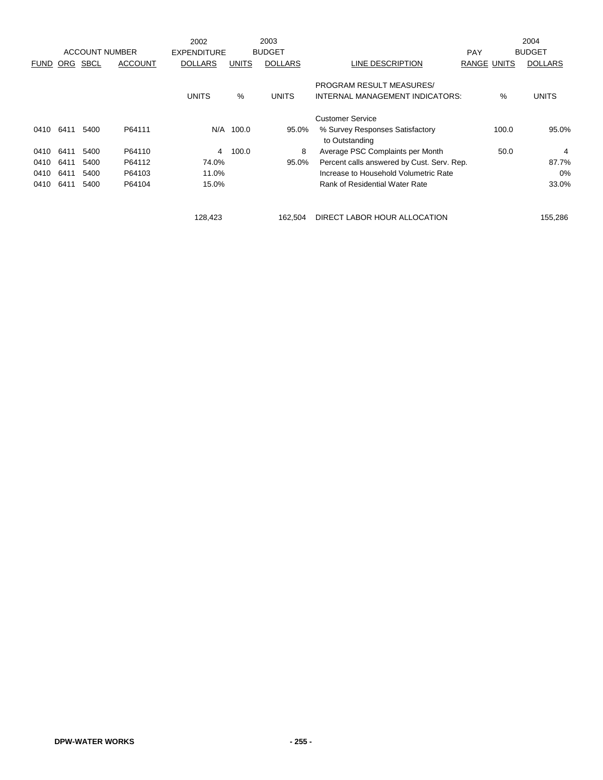|             |      |             |                       | 2002               |              | 2003           |                                                   |                    | 2004           |
|-------------|------|-------------|-----------------------|--------------------|--------------|----------------|---------------------------------------------------|--------------------|----------------|
|             |      |             | <b>ACCOUNT NUMBER</b> | <b>EXPENDITURE</b> |              | <b>BUDGET</b>  |                                                   | <b>PAY</b>         | <b>BUDGET</b>  |
| <b>FUND</b> | ORG  | <b>SBCL</b> | <b>ACCOUNT</b>        | <b>DOLLARS</b>     | <b>UNITS</b> | <b>DOLLARS</b> | LINE DESCRIPTION                                  | <b>RANGE UNITS</b> | <b>DOLLARS</b> |
|             |      |             |                       |                    |              |                | PROGRAM RESULT MEASURES/                          |                    |                |
|             |      |             |                       | <b>UNITS</b>       | %            | <b>UNITS</b>   | INTERNAL MANAGEMENT INDICATORS:                   | $\%$               | <b>UNITS</b>   |
|             |      |             |                       |                    |              |                | <b>Customer Service</b>                           |                    |                |
| 0410        | 6411 | 5400        | P64111                |                    | N/A 100.0    | 95.0%          | % Survey Responses Satisfactory<br>to Outstanding | 100.0              | 95.0%          |
| 0410        | 6411 | 5400        | P64110                | 4                  | 100.0        | 8              | Average PSC Complaints per Month                  | 50.0               | 4              |
| 0410        | 6411 | 5400        | P64112                | 74.0%              |              | 95.0%          | Percent calls answered by Cust. Serv. Rep.        |                    | 87.7%          |
| 0410        | 6411 | 5400        | P64103                | 11.0%              |              |                | Increase to Household Volumetric Rate             |                    | 0%             |
| 0410        | 6411 | 5400        | P64104                | 15.0%              |              |                | Rank of Residential Water Rate                    |                    | 33.0%          |
|             |      |             |                       | 128.423            |              | 162.504        | DIRECT LABOR HOUR ALLOCATION                      |                    | 155,286        |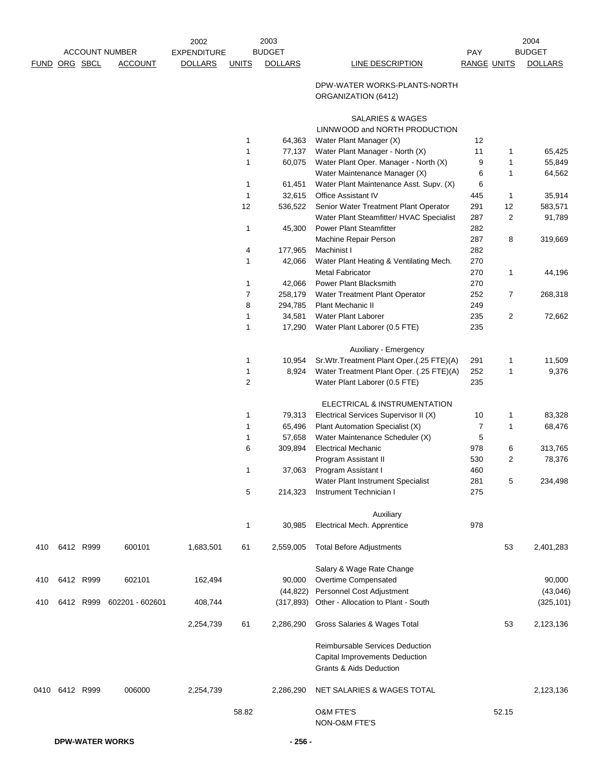|               |           |           |                       | 2002               |                | 2003           |                                                                                                         |                    |                | 2004           |
|---------------|-----------|-----------|-----------------------|--------------------|----------------|----------------|---------------------------------------------------------------------------------------------------------|--------------------|----------------|----------------|
|               |           |           | <b>ACCOUNT NUMBER</b> | <b>EXPENDITURE</b> |                | <b>BUDGET</b>  |                                                                                                         | PAY                |                | <b>BUDGET</b>  |
| FUND ORG SBCL |           |           | <b>ACCOUNT</b>        | <b>DOLLARS</b>     | <b>UNITS</b>   | <b>DOLLARS</b> | <b>LINE DESCRIPTION</b>                                                                                 | <b>RANGE UNITS</b> |                | <b>DOLLARS</b> |
|               |           |           |                       |                    |                |                | DPW-WATER WORKS-PLANTS-NORTH<br>ORGANIZATION (6412)                                                     |                    |                |                |
|               |           |           |                       |                    |                |                | SALARIES & WAGES<br>LINNWOOD and NORTH PRODUCTION                                                       |                    |                |                |
|               |           |           |                       |                    | 1              | 64,363         | Water Plant Manager (X)                                                                                 | 12                 |                |                |
|               |           |           |                       |                    | $\mathbf{1}$   | 77,137         | Water Plant Manager - North (X)                                                                         | 11                 | 1              | 65,425         |
|               |           |           |                       |                    | 1              | 60,075         | Water Plant Oper. Manager - North (X)                                                                   | 9                  | $\mathbf{1}$   | 55,849         |
|               |           |           |                       |                    |                |                | Water Maintenance Manager (X)                                                                           | 6                  | 1              | 64,562         |
|               |           |           |                       |                    | $\mathbf{1}$   | 61,451         | Water Plant Maintenance Asst. Supv. (X)                                                                 | 6                  |                |                |
|               |           |           |                       |                    | 1              | 32,615         | Office Assistant IV                                                                                     | 445                | 1              | 35,914         |
|               |           |           |                       |                    | 12             | 536,522        | Senior Water Treatment Plant Operator                                                                   | 291                | 12             | 583,571        |
|               |           |           |                       |                    |                |                | Water Plant Steamfitter/ HVAC Specialist                                                                | 287                | $\overline{2}$ | 91,789         |
|               |           |           |                       |                    | $\mathbf{1}$   | 45,300         | <b>Power Plant Steamfitter</b>                                                                          | 282                |                |                |
|               |           |           |                       |                    |                |                | Machine Repair Person                                                                                   | 287                | 8              | 319,669        |
|               |           |           |                       |                    | 4              | 177,965        | Machinist I                                                                                             | 282                |                |                |
|               |           |           |                       |                    | 1              | 42,066         | Water Plant Heating & Ventilating Mech.                                                                 | 270                |                |                |
|               |           |           |                       |                    |                |                | <b>Metal Fabricator</b>                                                                                 | 270                | 1              | 44,196         |
|               |           |           |                       |                    | $\mathbf{1}$   | 42,066         | <b>Power Plant Blacksmith</b>                                                                           | 270                |                |                |
|               |           |           |                       |                    | $\overline{7}$ | 258,179        | Water Treatment Plant Operator                                                                          | 252                | $\overline{7}$ | 268,318        |
|               |           |           |                       |                    | 8              | 294,785        | Plant Mechanic II                                                                                       | 249                |                |                |
|               |           |           |                       |                    | 1              | 34,581         | <b>Water Plant Laborer</b>                                                                              | 235                | $\overline{2}$ | 72,662         |
|               |           |           |                       |                    | 1              | 17,290         | Water Plant Laborer (0.5 FTE)                                                                           | 235                |                |                |
|               |           |           |                       |                    |                |                | Auxiliary - Emergency                                                                                   |                    |                |                |
|               |           |           |                       |                    | 1              | 10,954         | Sr. Wtr. Treatment Plant Oper. (.25 FTE) (A)                                                            | 291                | 1              | 11,509         |
|               |           |           |                       |                    | 1              | 8,924          | Water Treatment Plant Oper. (.25 FTE)(A)                                                                | 252                | 1              | 9,376          |
|               |           |           |                       |                    | $\overline{2}$ |                | Water Plant Laborer (0.5 FTE)                                                                           | 235                |                |                |
|               |           |           |                       |                    |                |                | ELECTRICAL & INSTRUMENTATION                                                                            |                    |                |                |
|               |           |           |                       |                    | 1              | 79,313         | Electrical Services Supervisor II (X)                                                                   | 10                 | 1              | 83,328         |
|               |           |           |                       |                    | 1              | 65,496         | Plant Automation Specialist (X)                                                                         | $\overline{7}$     | 1              | 68,476         |
|               |           |           |                       |                    | 1              | 57,658         | Water Maintenance Scheduler (X)                                                                         | 5                  |                |                |
|               |           |           |                       |                    | 6              | 309,894        | <b>Electrical Mechanic</b>                                                                              | 978                | 6              | 313,765        |
|               |           |           |                       |                    |                |                | Program Assistant II                                                                                    | 530                | $\overline{c}$ | 78,376         |
|               |           |           |                       |                    | 1              | 37,063         | Program Assistant I                                                                                     | 460                |                |                |
|               |           |           |                       |                    |                |                | Water Plant Instrument Specialist                                                                       | 281                | 5              | 234,498        |
|               |           |           |                       |                    | 5              | 214,323        | Instrument Technician I                                                                                 | 275                |                |                |
|               |           |           |                       |                    |                |                | Auxiliary                                                                                               |                    |                |                |
|               |           |           |                       |                    | 1              | 30,985         | Electrical Mech. Apprentice                                                                             | 978                |                |                |
| 410           |           | 6412 R999 | 600101                | 1,683,501          | 61             | 2,559,005      | <b>Total Before Adjustments</b>                                                                         |                    | 53             | 2,401,283      |
|               |           |           |                       |                    |                |                | Salary & Wage Rate Change                                                                               |                    |                |                |
| 410           |           | 6412 R999 | 602101                | 162,494            |                | 90,000         | Overtime Compensated                                                                                    |                    |                | 90,000         |
|               |           |           |                       |                    |                | (44, 822)      | Personnel Cost Adjustment                                                                               |                    |                | (43,046)       |
| 410           |           | 6412 R999 | 602201 - 602601       | 408,744            |                | (317,893)      | Other - Allocation to Plant - South                                                                     |                    |                | (325, 101)     |
|               |           |           |                       | 2,254,739          | 61             | 2,286,290      | Gross Salaries & Wages Total                                                                            |                    | 53             | 2,123,136      |
|               |           |           |                       |                    |                |                | Reimbursable Services Deduction<br>Capital Improvements Deduction<br><b>Grants &amp; Aids Deduction</b> |                    |                |                |
| 0410          | 6412 R999 |           | 006000                | 2,254,739          |                | 2,286,290      | NET SALARIES & WAGES TOTAL                                                                              |                    |                | 2,123,136      |
|               |           |           |                       |                    | 58.82          |                | <b>O&amp;M FTE'S</b><br>NON-O&M FTE'S                                                                   |                    | 52.15          |                |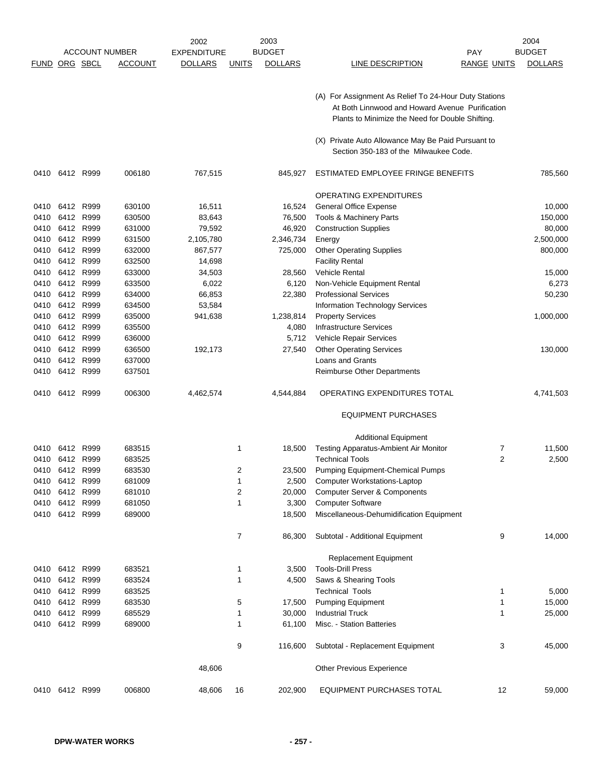|                      |                |           |                       | 2002               |              | 2003           |                                                                                                     |                    | 2004           |
|----------------------|----------------|-----------|-----------------------|--------------------|--------------|----------------|-----------------------------------------------------------------------------------------------------|--------------------|----------------|
|                      |                |           | <b>ACCOUNT NUMBER</b> | <b>EXPENDITURE</b> |              | <b>BUDGET</b>  |                                                                                                     | <b>PAY</b>         | <b>BUDGET</b>  |
| <b>FUND ORG SBCL</b> |                |           | <b>ACCOUNT</b>        | <b>DOLLARS</b>     | <b>UNITS</b> | <b>DOLLARS</b> | <b>LINE DESCRIPTION</b>                                                                             | <b>RANGE UNITS</b> | <b>DOLLARS</b> |
|                      |                |           |                       |                    |              |                |                                                                                                     |                    |                |
|                      |                |           |                       |                    |              |                | (A) For Assignment As Relief To 24-Hour Duty Stations                                               |                    |                |
|                      |                |           |                       |                    |              |                | At Both Linnwood and Howard Avenue Purification<br>Plants to Minimize the Need for Double Shifting. |                    |                |
|                      |                |           |                       |                    |              |                | (X) Private Auto Allowance May Be Paid Pursuant to                                                  |                    |                |
|                      |                |           |                       |                    |              |                | Section 350-183 of the Milwaukee Code.                                                              |                    |                |
| 0410                 | 6412 R999      |           | 006180                | 767,515            |              | 845,927        | ESTIMATED EMPLOYEE FRINGE BENEFITS                                                                  |                    | 785,560        |
|                      |                |           |                       |                    |              |                | <b>OPERATING EXPENDITURES</b>                                                                       |                    |                |
| 0410                 | 6412           | R999      | 630100                | 16,511             |              | 16,524         | <b>General Office Expense</b>                                                                       |                    | 10,000         |
| 0410                 | 6412 R999      |           | 630500                | 83,643             |              | 76,500         | Tools & Machinery Parts                                                                             |                    | 150,000        |
| 0410                 | 6412           | R999      | 631000                | 79,592             |              | 46,920         | <b>Construction Supplies</b>                                                                        |                    | 80,000         |
| 0410                 | 6412           | R999      | 631500                | 2,105,780          |              | 2,346,734      | Energy                                                                                              |                    | 2,500,000      |
| 0410                 | 6412           | R999      | 632000                | 867,577            |              | 725,000        | <b>Other Operating Supplies</b>                                                                     |                    | 800,000        |
| 0410                 |                | 6412 R999 | 632500                | 14,698             |              |                | <b>Facility Rental</b>                                                                              |                    |                |
| 0410                 | 6412           | R999      | 633000                | 34,503             |              | 28,560         | Vehicle Rental                                                                                      |                    | 15,000         |
| 0410                 | 6412           | R999      | 633500                | 6,022              |              | 6,120          | Non-Vehicle Equipment Rental                                                                        |                    | 6,273          |
| 0410                 | 6412 R999      |           | 634000                | 66,853             |              | 22,380         | <b>Professional Services</b>                                                                        |                    | 50,230         |
| 0410                 | 6412           | R999      | 634500                | 53,584             |              |                | Information Technology Services                                                                     |                    |                |
| 0410                 | 6412           | R999      | 635000                | 941,638            |              | 1,238,814      | <b>Property Services</b>                                                                            |                    | 1,000,000      |
| 0410                 | 6412           | R999      | 635500                |                    |              | 4,080          | <b>Infrastructure Services</b>                                                                      |                    |                |
| 0410                 | 6412 R999      |           | 636000                |                    |              | 5,712          | Vehicle Repair Services                                                                             |                    |                |
| 0410                 | 6412           | R999      | 636500                | 192,173            |              | 27,540         | <b>Other Operating Services</b>                                                                     |                    | 130,000        |
| 0410                 | 6412           | R999      | 637000                |                    |              |                | Loans and Grants                                                                                    |                    |                |
| 0410                 |                | 6412 R999 | 637501                |                    |              |                | Reimburse Other Departments                                                                         |                    |                |
| 0410                 | 6412 R999      |           | 006300                | 4,462,574          |              | 4,544,884      | OPERATING EXPENDITURES TOTAL                                                                        |                    | 4,741,503      |
|                      |                |           |                       |                    |              |                | <b>EQUIPMENT PURCHASES</b>                                                                          |                    |                |
|                      |                |           |                       |                    |              |                | <b>Additional Equipment</b>                                                                         |                    |                |
| 0410                 | 6412 R999      |           | 683515                |                    | 1            | 18,500         | Testing Apparatus-Ambient Air Monitor                                                               | 7                  | 11,500         |
| 0410                 |                | 6412 R999 | 683525                |                    |              |                | <b>Technical Tools</b>                                                                              | $\overline{2}$     | 2,500          |
| 0410                 |                | 6412 R999 | 683530                |                    | 2            | 23,500         | Pumping Equipment-Chemical Pumps                                                                    |                    |                |
| 0410                 |                | 6412 R999 | 681009                |                    | 1            | 2,500          | <b>Computer Workstations-Laptop</b>                                                                 |                    |                |
|                      | 0410 6412 R999 |           | 681010                |                    | 2            | 20,000         | <b>Computer Server &amp; Components</b>                                                             |                    |                |
| 0410                 | 6412 R999      |           | 681050                |                    | 1            | 3,300          | <b>Computer Software</b>                                                                            |                    |                |
|                      | 0410 6412 R999 |           | 689000                |                    |              | 18,500         | Miscellaneous-Dehumidification Equipment                                                            |                    |                |
|                      |                |           |                       |                    | 7            | 86,300         | Subtotal - Additional Equipment                                                                     | 9                  | 14,000         |
|                      |                |           |                       |                    |              |                | Replacement Equipment                                                                               |                    |                |
|                      | 0410 6412 R999 |           | 683521                |                    | 1            | 3,500          | <b>Tools-Drill Press</b>                                                                            |                    |                |
|                      | 0410 6412 R999 |           | 683524                |                    | 1            | 4,500          | Saws & Shearing Tools                                                                               |                    |                |
|                      | 0410 6412 R999 |           | 683525                |                    |              |                | <b>Technical Tools</b>                                                                              | 1                  | 5,000          |
|                      | 0410 6412 R999 |           | 683530                |                    | 5            | 17,500         | <b>Pumping Equipment</b>                                                                            | 1                  | 15,000         |
|                      | 0410 6412 R999 |           | 685529                |                    | 1            | 30,000         | <b>Industrial Truck</b>                                                                             | 1                  | 25,000         |
|                      | 0410 6412 R999 |           | 689000                |                    | 1            | 61,100         | Misc. - Station Batteries                                                                           |                    |                |
|                      |                |           |                       |                    | 9            | 116,600        | Subtotal - Replacement Equipment                                                                    | 3                  | 45,000         |
|                      |                |           |                       | 48,606             |              |                | <b>Other Previous Experience</b>                                                                    |                    |                |
|                      | 0410 6412 R999 |           | 006800                | 48,606             | 16           | 202,900        | EQUIPMENT PURCHASES TOTAL                                                                           | 12                 | 59,000         |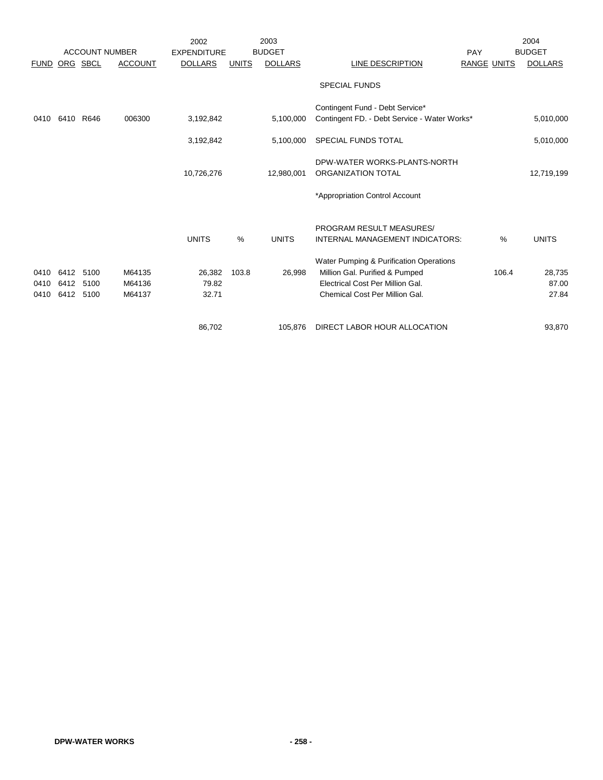|               |           |      | <b>ACCOUNT NUMBER</b> | 2002<br><b>EXPENDITURE</b> |              | 2003<br><b>BUDGET</b> |                                                    | PAY                | 2004<br><b>BUDGET</b> |
|---------------|-----------|------|-----------------------|----------------------------|--------------|-----------------------|----------------------------------------------------|--------------------|-----------------------|
| FUND ORG SBCL |           |      | <b>ACCOUNT</b>        | <b>DOLLARS</b>             | <b>UNITS</b> | <b>DOLLARS</b>        | LINE DESCRIPTION                                   | <b>RANGE UNITS</b> | <b>DOLLARS</b>        |
|               |           |      |                       |                            |              |                       | <b>SPECIAL FUNDS</b>                               |                    |                       |
|               |           |      |                       |                            |              |                       | Contingent Fund - Debt Service*                    |                    |                       |
| 0410          | 6410      | R646 | 006300                | 3,192,842                  |              | 5,100,000             | Contingent FD. - Debt Service - Water Works*       |                    | 5,010,000             |
|               |           |      |                       | 3,192,842                  |              | 5,100,000             | SPECIAL FUNDS TOTAL                                |                    | 5,010,000             |
|               |           |      |                       | 10,726,276                 |              |                       | DPW-WATER WORKS-PLANTS-NORTH<br>ORGANIZATION TOTAL |                    |                       |
|               |           |      |                       |                            |              | 12,980,001            |                                                    |                    | 12,719,199            |
|               |           |      |                       |                            |              |                       | *Appropriation Control Account                     |                    |                       |
|               |           |      |                       |                            |              |                       | PROGRAM RESULT MEASURES/                           |                    |                       |
|               |           |      |                       | <b>UNITS</b>               | %            | <b>UNITS</b>          | INTERNAL MANAGEMENT INDICATORS:                    | %                  | <b>UNITS</b>          |
|               |           |      |                       |                            |              |                       | Water Pumping & Purification Operations            |                    |                       |
| 0410          | 6412 5100 |      | M64135                | 26,382                     | 103.8        | 26,998                | Million Gal. Purified & Pumped                     | 106.4              | 28,735                |
| 0410          | 6412      | 5100 | M64136                | 79.82                      |              |                       | Electrical Cost Per Million Gal.                   |                    | 87.00                 |
| 0410          | 6412 5100 |      | M64137                | 32.71                      |              |                       | Chemical Cost Per Million Gal.                     |                    | 27.84                 |
|               |           |      |                       | 86,702                     |              | 105,876               | DIRECT LABOR HOUR ALLOCATION                       |                    | 93,870                |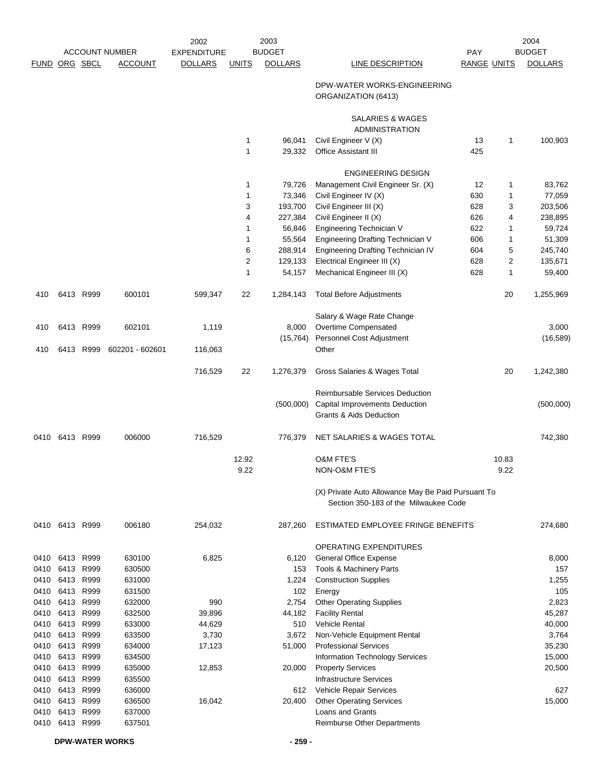|              |                |              | <b>ACCOUNT NUMBER</b> | 2002<br><b>EXPENDITURE</b> |                | 2003<br><b>BUDGET</b> |                                                                                             | PAY                |                | 2004<br><b>BUDGET</b> |
|--------------|----------------|--------------|-----------------------|----------------------------|----------------|-----------------------|---------------------------------------------------------------------------------------------|--------------------|----------------|-----------------------|
| <b>FUND</b>  | ORG SBCL       |              | <b>ACCOUNT</b>        | <b>DOLLARS</b>             | <b>UNITS</b>   | <b>DOLLARS</b>        | LINE DESCRIPTION                                                                            | <b>RANGE UNITS</b> |                | <b>DOLLARS</b>        |
|              |                |              |                       |                            |                |                       | DPW-WATER WORKS-ENGINEERING<br>ORGANIZATION (6413)                                          |                    |                |                       |
|              |                |              |                       |                            |                |                       | SALARIES & WAGES<br><b>ADMINISTRATION</b>                                                   |                    |                |                       |
|              |                |              |                       |                            | $\mathbf{1}$   | 96,041                | Civil Engineer V (X)                                                                        | 13                 | 1              | 100,903               |
|              |                |              |                       |                            | $\mathbf{1}$   | 29,332                | <b>Office Assistant III</b>                                                                 | 425                |                |                       |
|              |                |              |                       |                            |                |                       | <b>ENGINEERING DESIGN</b>                                                                   |                    |                |                       |
|              |                |              |                       |                            | $\mathbf{1}$   | 79,726                | Management Civil Engineer Sr. (X)                                                           | 12                 | 1              | 83,762                |
|              |                |              |                       |                            | $\mathbf{1}$   | 73,346                | Civil Engineer IV (X)                                                                       | 630                | 1              | 77,059                |
|              |                |              |                       |                            | 3              | 193,700               | Civil Engineer III (X)                                                                      | 628                | 3              | 203,506               |
|              |                |              |                       |                            | 4              | 227,384               | Civil Engineer II (X)                                                                       | 626                | 4              | 238,895               |
|              |                |              |                       |                            | $\mathbf{1}$   | 56,846                | Engineering Technician V                                                                    | 622                | 1              | 59,724                |
|              |                |              |                       |                            | $\mathbf{1}$   | 55,564                | Engineering Drafting Technician V                                                           | 606                | 1              | 51,309                |
|              |                |              |                       |                            | 6              | 288,914               | Engineering Drafting Technician IV                                                          | 604                | 5              | 245,740               |
|              |                |              |                       |                            | $\overline{2}$ | 129,133               | Electrical Engineer III (X)                                                                 | 628                | $\overline{2}$ | 135,671               |
|              |                |              |                       |                            | $\mathbf{1}$   | 54,157                | Mechanical Engineer III (X)                                                                 | 628                | 1              | 59,400                |
| 410          |                | 6413 R999    | 600101                | 599,347                    | 22             | 1,284,143             | <b>Total Before Adjustments</b>                                                             |                    | 20             | 1,255,969             |
|              |                |              |                       |                            |                |                       | Salary & Wage Rate Change                                                                   |                    |                |                       |
| 410          | 6413           | R999         | 602101                | 1,119                      |                | 8,000                 | Overtime Compensated                                                                        |                    |                | 3,000                 |
|              |                |              |                       |                            |                | (15, 764)             | Personnel Cost Adjustment                                                                   |                    |                | (16, 589)             |
| 410          |                | 6413 R999    | 602201 - 602601       | 116,063                    |                |                       | Other                                                                                       |                    |                |                       |
|              |                |              |                       | 716,529                    | 22             | 1,276,379             | Gross Salaries & Wages Total                                                                |                    | 20             | 1,242,380             |
|              |                |              |                       |                            |                |                       | Reimbursable Services Deduction                                                             |                    |                |                       |
|              |                |              |                       |                            |                | (500,000)             | <b>Capital Improvements Deduction</b>                                                       |                    |                | (500,000)             |
|              |                |              |                       |                            |                |                       | <b>Grants &amp; Aids Deduction</b>                                                          |                    |                |                       |
| 0410         | 6413 R999      |              | 006000                | 716,529                    |                | 776,379               | NET SALARIES & WAGES TOTAL                                                                  |                    |                | 742,380               |
|              |                |              |                       |                            | 12.92          |                       | <b>O&amp;M FTE'S</b>                                                                        |                    | 10.83          |                       |
|              |                |              |                       |                            | 9.22           |                       | NON-O&M FTE'S                                                                               |                    | 9.22           |                       |
|              |                |              |                       |                            |                |                       | (X) Private Auto Allowance May Be Paid Pursuant To<br>Section 350-183 of the Milwaukee Code |                    |                |                       |
|              | 0410 6413 R999 |              | 006180                | 254,032                    |                | 287,260               | ESTIMATED EMPLOYEE FRINGE BENEFITS                                                          |                    |                | 274,680               |
|              |                |              |                       |                            |                |                       | OPERATING EXPENDITURES                                                                      |                    |                |                       |
| 0410         | 6413           | R999         | 630100                | 6,825                      |                | 6,120                 | <b>General Office Expense</b>                                                               |                    |                | 8,000                 |
| 0410         | 6413           | R999         | 630500                |                            |                | 153                   | Tools & Machinery Parts                                                                     |                    |                | 157                   |
| 0410         |                | 6413 R999    | 631000                |                            |                | 1,224                 | <b>Construction Supplies</b>                                                                |                    |                | 1,255                 |
| 0410         | 6413           | R999         | 631500                |                            |                | 102                   | Energy                                                                                      |                    |                | 105                   |
| 0410         | 6413           | R999         | 632000                | 990                        |                | 2,754                 | <b>Other Operating Supplies</b>                                                             |                    |                | 2,823                 |
| 0410         | 6413           | R999         | 632500                | 39,896                     |                | 44,182                | <b>Facility Rental</b>                                                                      |                    |                | 45,287                |
| 0410         | 6413           | R999         | 633000                | 44,629                     |                | 510                   | Vehicle Rental                                                                              |                    |                | 40,000                |
| 0410         | 6413<br>6413   | R999<br>R999 | 633500<br>634000      | 3,730                      |                | 3,672                 | Non-Vehicle Equipment Rental                                                                |                    |                | 3,764<br>35,230       |
| 0410<br>0410 | 6413           | R999         | 634500                | 17,123                     |                | 51,000                | <b>Professional Services</b><br><b>Information Technology Services</b>                      |                    |                | 15,000                |
| 0410         | 6413 R999      |              | 635000                | 12,853                     |                | 20,000                | <b>Property Services</b>                                                                    |                    |                | 20,500                |
| 0410         | 6413           | R999         | 635500                |                            |                |                       | <b>Infrastructure Services</b>                                                              |                    |                |                       |
| 0410         | 6413           | R999         | 636000                |                            |                | 612                   | Vehicle Repair Services                                                                     |                    |                | 627                   |
| 0410         | 6413           | R999         | 636500                | 16,042                     |                | 20,400                | <b>Other Operating Services</b>                                                             |                    |                | 15,000                |
| 0410         | 6413           | R999         | 637000                |                            |                |                       | Loans and Grants                                                                            |                    |                |                       |
| 0410         |                | 6413 R999    | 637501                |                            |                |                       | Reimburse Other Departments                                                                 |                    |                |                       |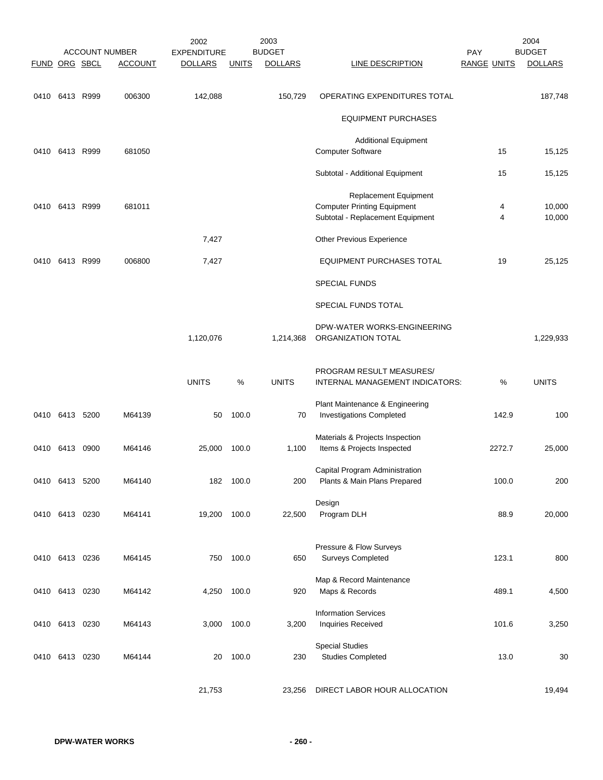| FUND ORG SBCL |                |      | <b>ACCOUNT NUMBER</b><br><b>ACCOUNT</b> | 2002<br><b>EXPENDITURE</b><br><b>DOLLARS</b> | <b>UNITS</b> | 2003<br><b>BUDGET</b><br><b>DOLLARS</b> | <b>LINE DESCRIPTION</b>                                                | PAY<br><b>RANGE UNITS</b> |                     | 2004<br><b>BUDGET</b><br><b>DOLLARS</b> |
|---------------|----------------|------|-----------------------------------------|----------------------------------------------|--------------|-----------------------------------------|------------------------------------------------------------------------|---------------------------|---------------------|-----------------------------------------|
| 0410          | 6413 R999      |      | 006300                                  | 142,088                                      |              | 150,729                                 | OPERATING EXPENDITURES TOTAL                                           |                           |                     | 187,748                                 |
|               |                |      |                                         |                                              |              |                                         | <b>EQUIPMENT PURCHASES</b>                                             |                           |                     |                                         |
|               |                |      |                                         |                                              |              |                                         | <b>Additional Equipment</b>                                            |                           |                     |                                         |
|               | 0410 6413 R999 |      | 681050                                  |                                              |              |                                         | <b>Computer Software</b>                                               |                           | 15                  | 15,125                                  |
|               |                |      |                                         |                                              |              |                                         | Subtotal - Additional Equipment                                        |                           | 15                  | 15,125                                  |
|               |                |      |                                         |                                              |              |                                         | Replacement Equipment                                                  |                           |                     |                                         |
| 0410          | 6413 R999      |      | 681011                                  |                                              |              |                                         | <b>Computer Printing Equipment</b><br>Subtotal - Replacement Equipment |                           | 4<br>$\overline{4}$ | 10,000<br>10,000                        |
|               |                |      |                                         | 7,427                                        |              |                                         | Other Previous Experience                                              |                           |                     |                                         |
|               |                |      |                                         |                                              |              |                                         |                                                                        |                           |                     |                                         |
| 0410          | 6413 R999      |      | 006800                                  | 7,427                                        |              |                                         | <b>EQUIPMENT PURCHASES TOTAL</b>                                       |                           | 19                  | 25,125                                  |
|               |                |      |                                         |                                              |              |                                         | <b>SPECIAL FUNDS</b>                                                   |                           |                     |                                         |
|               |                |      |                                         |                                              |              |                                         | SPECIAL FUNDS TOTAL                                                    |                           |                     |                                         |
|               |                |      |                                         | 1,120,076                                    |              | 1,214,368                               | DPW-WATER WORKS-ENGINEERING<br>ORGANIZATION TOTAL                      |                           |                     | 1,229,933                               |
|               |                |      |                                         | <b>UNITS</b>                                 | %            | <b>UNITS</b>                            | PROGRAM RESULT MEASURES/<br>INTERNAL MANAGEMENT INDICATORS:            |                           | $\%$                | <b>UNITS</b>                            |
|               | 0410 6413 5200 |      | M64139                                  | 50                                           | 100.0        | 70                                      | Plant Maintenance & Engineering<br><b>Investigations Completed</b>     |                           | 142.9               | 100                                     |
| 0410          | 6413           | 0900 | M64146                                  | 25,000                                       | 100.0        | 1,100                                   | Materials & Projects Inspection<br>Items & Projects Inspected          |                           | 2272.7              | 25,000                                  |
|               |                |      |                                         |                                              |              |                                         |                                                                        |                           |                     |                                         |
|               | 0410 6413 5200 |      | M64140                                  |                                              | 182 100.0    | 200                                     | Capital Program Administration<br>Plants & Main Plans Prepared         |                           | 100.0               | 200                                     |
|               |                |      |                                         |                                              |              |                                         | Design                                                                 |                           |                     |                                         |
|               | 0410 6413 0230 |      | M64141                                  | 19,200                                       | 100.0        | 22,500                                  | Program DLH                                                            |                           | 88.9                | 20,000                                  |
|               |                |      |                                         |                                              |              |                                         | Pressure & Flow Surveys                                                |                           |                     |                                         |
|               | 0410 6413 0236 |      | M64145                                  | 750                                          | 100.0        | 650                                     | <b>Surveys Completed</b>                                               |                           | 123.1               | 800                                     |
|               |                |      | M64142                                  |                                              | 100.0        |                                         | Map & Record Maintenance                                               |                           | 489.1               |                                         |
|               | 0410 6413 0230 |      |                                         | 4,250                                        |              | 920                                     | Maps & Records                                                         |                           |                     | 4,500                                   |
|               | 0410 6413 0230 |      | M64143                                  | 3,000                                        | 100.0        | 3,200                                   | <b>Information Services</b><br>Inquiries Received                      |                           | 101.6               | 3,250                                   |
|               |                |      |                                         |                                              |              |                                         | <b>Special Studies</b>                                                 |                           |                     |                                         |
|               | 0410 6413 0230 |      | M64144                                  | 20                                           | 100.0        | 230                                     | <b>Studies Completed</b>                                               |                           | 13.0                | 30                                      |
|               |                |      |                                         | 21,753                                       |              | 23,256                                  | DIRECT LABOR HOUR ALLOCATION                                           |                           |                     | 19,494                                  |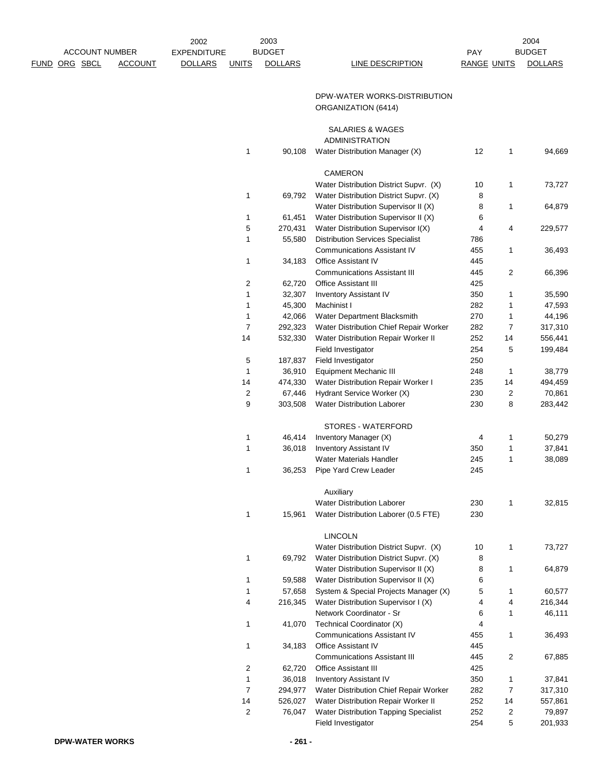|      |          |                       |                | 2002               |                | 2003           |                                                                         |                    |                | 2004               |
|------|----------|-----------------------|----------------|--------------------|----------------|----------------|-------------------------------------------------------------------------|--------------------|----------------|--------------------|
|      |          | <b>ACCOUNT NUMBER</b> |                | <b>EXPENDITURE</b> |                | <b>BUDGET</b>  |                                                                         | PAY                |                | <b>BUDGET</b>      |
| FUND | ORG SBCL |                       | <b>ACCOUNT</b> | <b>DOLLARS</b>     | <b>UNITS</b>   | <b>DOLLARS</b> | LINE DESCRIPTION                                                        | <b>RANGE UNITS</b> |                | <b>DOLLARS</b>     |
|      |          |                       |                |                    |                |                |                                                                         |                    |                |                    |
|      |          |                       |                |                    |                |                | DPW-WATER WORKS-DISTRIBUTION                                            |                    |                |                    |
|      |          |                       |                |                    |                |                | ORGANIZATION (6414)                                                     |                    |                |                    |
|      |          |                       |                |                    |                |                |                                                                         |                    |                |                    |
|      |          |                       |                |                    |                |                | SALARIES & WAGES                                                        |                    |                |                    |
|      |          |                       |                |                    |                |                | <b>ADMINISTRATION</b>                                                   |                    |                |                    |
|      |          |                       |                |                    | 1              | 90,108         | Water Distribution Manager (X)                                          | 12                 | 1              | 94,669             |
|      |          |                       |                |                    |                |                |                                                                         |                    |                |                    |
|      |          |                       |                |                    |                |                | <b>CAMERON</b>                                                          |                    |                |                    |
|      |          |                       |                |                    |                |                | Water Distribution District Supvr. (X)                                  | 10                 | 1              | 73,727             |
|      |          |                       |                |                    | 1              | 69,792         | Water Distribution District Supvr. (X)                                  | 8                  |                |                    |
|      |          |                       |                |                    |                |                | Water Distribution Supervisor II (X)                                    | 8                  | 1              | 64,879             |
|      |          |                       |                |                    | 1              | 61,451         | Water Distribution Supervisor II (X)                                    | 6                  |                |                    |
|      |          |                       |                |                    | 5              | 270,431        | Water Distribution Supervisor I(X)                                      | 4                  | 4              | 229,577            |
|      |          |                       |                |                    | 1              | 55,580         | <b>Distribution Services Specialist</b>                                 | 786                |                |                    |
|      |          |                       |                |                    |                |                | <b>Communications Assistant IV</b>                                      | 455                | 1              | 36,493             |
|      |          |                       |                |                    | 1              | 34,183         | <b>Office Assistant IV</b>                                              | 445                |                |                    |
|      |          |                       |                |                    |                |                | <b>Communications Assistant III</b>                                     | 445                | $\overline{2}$ | 66,396             |
|      |          |                       |                |                    | 2              | 62,720         | <b>Office Assistant III</b>                                             | 425                |                |                    |
|      |          |                       |                |                    | 1              | 32,307         | <b>Inventory Assistant IV</b>                                           | 350                | 1              | 35,590             |
|      |          |                       |                |                    | 1              | 45,300         | Machinist I                                                             | 282                | 1              | 47,593             |
|      |          |                       |                |                    | 1              | 42,066         | Water Department Blacksmith                                             | 270                | 1              | 44,196             |
|      |          |                       |                |                    | 7              | 292,323        | Water Distribution Chief Repair Worker                                  | 282                | 7              | 317,310            |
|      |          |                       |                |                    | 14             | 532,330        | Water Distribution Repair Worker II                                     | 252                | 14             | 556,441            |
|      |          |                       |                |                    |                |                | Field Investigator                                                      | 254                | 5              | 199,484            |
|      |          |                       |                |                    | 5              | 187,837        | Field Investigator                                                      | 250                |                |                    |
|      |          |                       |                |                    | 1              | 36,910         | <b>Equipment Mechanic III</b>                                           | 248                | 1              | 38,779             |
|      |          |                       |                |                    | 14             | 474,330        | Water Distribution Repair Worker I                                      | 235                | 14             | 494,459            |
|      |          |                       |                |                    | 2              | 67,446         | Hydrant Service Worker (X)                                              | 230                | $\overline{2}$ | 70,861             |
|      |          |                       |                |                    | 9              | 303,508        | <b>Water Distribution Laborer</b>                                       | 230                | 8              | 283,442            |
|      |          |                       |                |                    |                |                |                                                                         |                    |                |                    |
|      |          |                       |                |                    |                |                | STORES - WATERFORD                                                      |                    |                |                    |
|      |          |                       |                |                    | 1              | 46,414         | Inventory Manager (X)                                                   | 4                  | 1              | 50,279             |
|      |          |                       |                |                    | 1              | 36,018         | <b>Inventory Assistant IV</b>                                           | 350                | 1              | 37,841             |
|      |          |                       |                |                    |                |                | <b>Water Materials Handler</b>                                          | 245                | 1              | 38,089             |
|      |          |                       |                |                    | 1              | 36,253         | Pipe Yard Crew Leader                                                   | 245                |                |                    |
|      |          |                       |                |                    |                |                |                                                                         |                    |                |                    |
|      |          |                       |                |                    |                |                | Auxiliary                                                               |                    |                |                    |
|      |          |                       |                |                    |                |                | <b>Water Distribution Laborer</b>                                       | 230                | 1              | 32,815             |
|      |          |                       |                |                    | $\mathbf{1}$   | 15,961         | Water Distribution Laborer (0.5 FTE)                                    | 230                |                |                    |
|      |          |                       |                |                    |                |                |                                                                         |                    |                |                    |
|      |          |                       |                |                    |                |                | <b>LINCOLN</b>                                                          |                    |                |                    |
|      |          |                       |                |                    |                |                | Water Distribution District Supvr. (X)                                  | 10                 | 1              | 73,727             |
|      |          |                       |                |                    | 1              | 69,792         | Water Distribution District Supvr. (X)                                  | 8                  |                |                    |
|      |          |                       |                |                    |                |                | Water Distribution Supervisor II (X)                                    | 8                  | 1              | 64,879             |
|      |          |                       |                |                    | 1              | 59,588         | Water Distribution Supervisor II (X)                                    | 6                  |                |                    |
|      |          |                       |                |                    | 1              | 57,658         | System & Special Projects Manager (X)                                   | 5                  | 1              | 60,577             |
|      |          |                       |                |                    | 4              | 216,345        | Water Distribution Supervisor I (X)                                     | 4                  | 4              | 216,344            |
|      |          |                       |                |                    |                |                | Network Coordinator - Sr                                                | 6                  | 1              | 46,111             |
|      |          |                       |                |                    | 1              | 41,070         | Technical Coordinator (X)<br><b>Communications Assistant IV</b>         | 4                  | 1              |                    |
|      |          |                       |                |                    |                | 34,183         | Office Assistant IV                                                     | 455<br>445         |                | 36,493             |
|      |          |                       |                |                    | 1              |                |                                                                         |                    |                |                    |
|      |          |                       |                |                    | 2              | 62,720         | <b>Communications Assistant III</b><br><b>Office Assistant III</b>      | 445<br>425         | 2              | 67,885             |
|      |          |                       |                |                    | 1              | 36,018         |                                                                         | 350                | 1              | 37,841             |
|      |          |                       |                |                    | $\overline{7}$ | 294,977        | <b>Inventory Assistant IV</b><br>Water Distribution Chief Repair Worker | 282                | 7              |                    |
|      |          |                       |                |                    | 14             | 526,027        | Water Distribution Repair Worker II                                     | 252                | 14             | 317,310<br>557,861 |
|      |          |                       |                |                    | 2              | 76,047         | Water Distribution Tapping Specialist                                   | 252                | 2              | 79,897             |
|      |          |                       |                |                    |                |                | Field Investigator                                                      | 254                | 5              | 201,933            |
|      |          |                       |                |                    |                |                |                                                                         |                    |                |                    |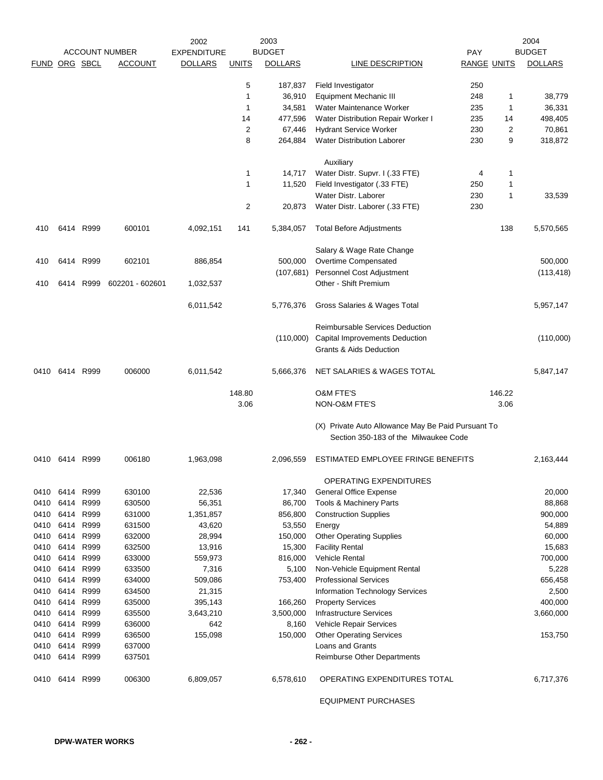|               |           |           |                       | 2002               |                         | 2003           |                                                    |                    |                | 2004           |
|---------------|-----------|-----------|-----------------------|--------------------|-------------------------|----------------|----------------------------------------------------|--------------------|----------------|----------------|
|               |           |           | <b>ACCOUNT NUMBER</b> | <b>EXPENDITURE</b> |                         | <b>BUDGET</b>  |                                                    | <b>PAY</b>         |                | <b>BUDGET</b>  |
| FUND ORG SBCL |           |           | <b>ACCOUNT</b>        | <b>DOLLARS</b>     | <b>UNITS</b>            | <b>DOLLARS</b> | LINE DESCRIPTION                                   | <b>RANGE UNITS</b> |                | <b>DOLLARS</b> |
|               |           |           |                       |                    | 5                       | 187,837        | Field Investigator                                 | 250                |                |                |
|               |           |           |                       |                    | 1                       | 36,910         | <b>Equipment Mechanic III</b>                      | 248                | 1              | 38,779         |
|               |           |           |                       |                    | $\mathbf{1}$            | 34,581         | Water Maintenance Worker                           | 235                | 1              | 36,331         |
|               |           |           |                       |                    | 14                      | 477,596        | Water Distribution Repair Worker I                 | 235                | 14             | 498,405        |
|               |           |           |                       |                    | $\overline{2}$          | 67,446         | <b>Hydrant Service Worker</b>                      | 230                | $\overline{2}$ | 70,861         |
|               |           |           |                       |                    | 8                       | 264,884        | <b>Water Distribution Laborer</b>                  | 230                | 9              | 318,872        |
|               |           |           |                       |                    |                         |                | Auxiliary                                          |                    |                |                |
|               |           |           |                       |                    | $\mathbf{1}$            | 14,717         | Water Distr. Supvr. I (.33 FTE)                    | 4                  | 1              |                |
|               |           |           |                       |                    | 1                       | 11,520         | Field Investigator (.33 FTE)                       | 250                | 1              |                |
|               |           |           |                       |                    |                         |                | Water Distr. Laborer                               | 230                | 1              | 33,539         |
|               |           |           |                       |                    | $\overline{\mathbf{c}}$ | 20,873         | Water Distr. Laborer (.33 FTE)                     | 230                |                |                |
| 410           |           | 6414 R999 | 600101                | 4,092,151          | 141                     | 5,384,057      | <b>Total Before Adjustments</b>                    |                    | 138            | 5,570,565      |
|               |           |           |                       |                    |                         |                | Salary & Wage Rate Change                          |                    |                |                |
| 410           |           | 6414 R999 | 602101                | 886,854            |                         | 500,000        | Overtime Compensated                               |                    |                | 500,000        |
|               |           |           |                       |                    |                         | (107,681)      | Personnel Cost Adjustment                          |                    |                | (113, 418)     |
| 410           | 6414      | R999      | 602201 - 602601       | 1,032,537          |                         |                | Other - Shift Premium                              |                    |                |                |
|               |           |           |                       | 6,011,542          |                         | 5,776,376      | Gross Salaries & Wages Total                       |                    |                | 5,957,147      |
|               |           |           |                       |                    |                         |                | Reimbursable Services Deduction                    |                    |                |                |
|               |           |           |                       |                    |                         | (110,000)      | <b>Capital Improvements Deduction</b>              |                    |                | (110,000)      |
|               |           |           |                       |                    |                         |                | Grants & Aids Deduction                            |                    |                |                |
| 0410          |           | 6414 R999 | 006000                | 6,011,542          |                         | 5,666,376      | NET SALARIES & WAGES TOTAL                         |                    |                | 5,847,147      |
|               |           |           |                       |                    | 148.80                  |                | O&M FTE'S                                          |                    | 146.22         |                |
|               |           |           |                       |                    | 3.06                    |                | NON-O&M FTE'S                                      |                    | 3.06           |                |
|               |           |           |                       |                    |                         |                | (X) Private Auto Allowance May Be Paid Pursuant To |                    |                |                |
|               |           |           |                       |                    |                         |                | Section 350-183 of the Milwaukee Code              |                    |                |                |
| 0410          | 6414      | R999      | 006180                | 1,963,098          |                         | 2,096,559      | ESTIMATED EMPLOYEE FRINGE BENEFITS                 |                    |                | 2,163,444      |
|               |           |           |                       |                    |                         |                | OPERATING EXPENDITURES                             |                    |                |                |
|               | 0410 6414 | R999      | 630100                | 22,536             |                         | 17,340         | <b>General Office Expense</b>                      |                    |                | 20,000         |
| 0410          | 6414      | R999      | 630500                | 56,351             |                         | 86,700         | Tools & Machinery Parts                            |                    |                | 88,868         |
| 0410          | 6414      | R999      | 631000                | 1,351,857          |                         | 856,800        | <b>Construction Supplies</b>                       |                    |                | 900,000        |
| 0410          |           | 6414 R999 | 631500                | 43,620             |                         | 53,550         | Energy                                             |                    |                | 54,889         |
| 0410          | 6414      | R999      | 632000                | 28,994             |                         | 150,000        | <b>Other Operating Supplies</b>                    |                    |                | 60,000         |
| 0410          | 6414      | R999      | 632500                | 13,916             |                         | 15,300         | <b>Facility Rental</b>                             |                    |                | 15,683         |
| 0410          | 6414      | R999      | 633000                | 559,973            |                         | 816,000        | <b>Vehicle Rental</b>                              |                    |                | 700,000        |
| 0410          |           | 6414 R999 | 633500                | 7,316              |                         | 5,100          | Non-Vehicle Equipment Rental                       |                    |                | 5,228          |
| 0410          |           | 6414 R999 | 634000                | 509,086            |                         | 753,400        | <b>Professional Services</b>                       |                    |                | 656,458        |
| 0410          | 6414      | R999      | 634500                | 21,315             |                         |                | <b>Information Technology Services</b>             |                    |                | 2,500          |
| 0410          |           | 6414 R999 | 635000                | 395,143            |                         | 166,260        | <b>Property Services</b>                           |                    |                | 400,000        |
| 0410          | 6414      | R999      | 635500                | 3,643,210          |                         | 3,500,000      | <b>Infrastructure Services</b>                     |                    |                | 3,660,000      |
| 0410          | 6414      | R999      | 636000                | 642                |                         | 8,160          | Vehicle Repair Services                            |                    |                |                |
| 0410          | 6414      | R999      | 636500                | 155,098            |                         | 150,000        | <b>Other Operating Services</b>                    |                    |                | 153,750        |
| 0410          |           | 6414 R999 | 637000                |                    |                         |                | Loans and Grants                                   |                    |                |                |
| 0410          | 6414 R999 |           | 637501                |                    |                         |                | Reimburse Other Departments                        |                    |                |                |
| 0410          |           | 6414 R999 | 006300                | 6,809,057          |                         | 6,578,610      | OPERATING EXPENDITURES TOTAL                       |                    |                | 6,717,376      |
|               |           |           |                       |                    |                         |                |                                                    |                    |                |                |

EQUIPMENT PURCHASES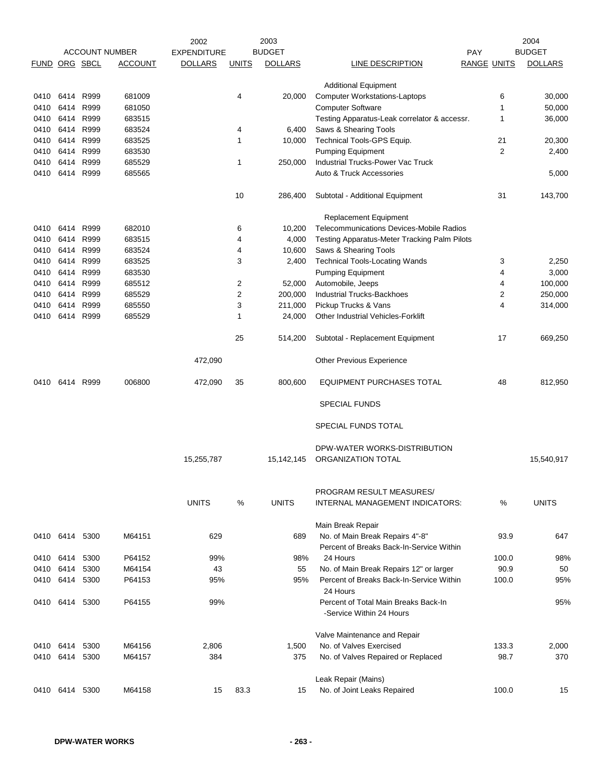|               |           |      |                       | 2002               |              | 2003           |                                              |                    | 2004           |
|---------------|-----------|------|-----------------------|--------------------|--------------|----------------|----------------------------------------------|--------------------|----------------|
|               |           |      | <b>ACCOUNT NUMBER</b> | <b>EXPENDITURE</b> |              | <b>BUDGET</b>  |                                              | PAY                | <b>BUDGET</b>  |
| FUND ORG SBCL |           |      | <b>ACCOUNT</b>        | <b>DOLLARS</b>     | <b>UNITS</b> | <b>DOLLARS</b> | LINE DESCRIPTION                             | <b>RANGE UNITS</b> | <b>DOLLARS</b> |
|               |           |      |                       |                    |              |                |                                              |                    |                |
|               |           |      |                       |                    |              |                | <b>Additional Equipment</b>                  |                    |                |
| 0410          | 6414      | R999 | 681009                |                    | 4            | 20,000         | <b>Computer Workstations-Laptops</b>         | 6                  | 30,000         |
| 0410          | 6414      | R999 | 681050                |                    |              |                | <b>Computer Software</b>                     | 1                  | 50,000         |
| 0410          | 6414      | R999 | 683515                |                    |              |                | Testing Apparatus-Leak correlator & accessr. | 1                  | 36,000         |
| 0410          | 6414 R999 |      | 683524                |                    | 4            | 6,400          | Saws & Shearing Tools                        |                    |                |
| 0410          | 6414      | R999 | 683525                |                    | 1            | 10,000         | Technical Tools-GPS Equip.                   | 21                 | 20,300         |
| 0410          | 6414 R999 |      | 683530                |                    |              |                | Pumping Equipment                            | 2                  | 2,400          |
| 0410          | 6414 R999 |      | 685529                |                    | 1            | 250,000        | <b>Industrial Trucks-Power Vac Truck</b>     |                    |                |
| 0410          | 6414 R999 |      | 685565                |                    |              |                | Auto & Truck Accessories                     |                    | 5,000          |
|               |           |      |                       |                    | 10           | 286,400        | Subtotal - Additional Equipment              | 31                 | 143,700        |
|               |           |      |                       |                    |              |                | Replacement Equipment                        |                    |                |
| 0410          | 6414      | R999 | 682010                |                    | 6            | 10,200         | Telecommunications Devices-Mobile Radios     |                    |                |
| 0410          | 6414      | R999 | 683515                |                    | 4            | 4,000          | Testing Apparatus-Meter Tracking Palm Pilots |                    |                |
| 0410          | 6414 R999 |      | 683524                |                    | 4            | 10,600         | Saws & Shearing Tools                        |                    |                |
| 0410          | 6414      | R999 | 683525                |                    | 3            | 2,400          | <b>Technical Tools-Locating Wands</b>        | 3                  | 2,250          |
|               |           |      |                       |                    |              |                |                                              |                    |                |
| 0410          | 6414 R999 |      | 683530                |                    |              |                | Pumping Equipment                            | 4                  | 3,000          |
| 0410          | 6414 R999 |      | 685512                |                    | 2            | 52,000         | Automobile, Jeeps                            | 4                  | 100,000        |
| 0410          | 6414 R999 |      | 685529                |                    | 2            | 200,000        | <b>Industrial Trucks-Backhoes</b>            | 2                  | 250,000        |
| 0410          | 6414 R999 |      | 685550                |                    | 3            | 211,000        | Pickup Trucks & Vans                         | 4                  | 314,000        |
| 0410          | 6414 R999 |      | 685529                |                    | 1            | 24,000         | Other Industrial Vehicles-Forklift           |                    |                |
|               |           |      |                       |                    | 25           | 514,200        | Subtotal - Replacement Equipment             | 17                 | 669,250        |
|               |           |      |                       | 472,090            |              |                | <b>Other Previous Experience</b>             |                    |                |
| 0410          | 6414 R999 |      | 006800                | 472,090            | 35           | 800,600        | EQUIPMENT PURCHASES TOTAL                    | 48                 | 812,950        |
|               |           |      |                       |                    |              |                | <b>SPECIAL FUNDS</b>                         |                    |                |
|               |           |      |                       |                    |              |                | SPECIAL FUNDS TOTAL                          |                    |                |
|               |           |      |                       |                    |              |                | DPW-WATER WORKS-DISTRIBUTION                 |                    |                |
|               |           |      |                       | 15,255,787         |              | 15,142,145     | ORGANIZATION TOTAL                           |                    | 15,540,917     |
|               |           |      |                       |                    |              |                |                                              |                    |                |
|               |           |      |                       |                    |              |                | PROGRAM RESULT MEASURES/                     |                    |                |
|               |           |      |                       | <b>UNITS</b>       | %            | <b>UNITS</b>   | INTERNAL MANAGEMENT INDICATORS:              | %                  | <b>UNITS</b>   |
|               |           |      |                       |                    |              |                | Main Break Repair                            |                    |                |
| 0410          | 6414      | 5300 | M64151                | 629                |              | 689            | No. of Main Break Repairs 4"-8"              | 93.9               | 647            |
|               |           |      |                       |                    |              |                | Percent of Breaks Back-In-Service Within     |                    |                |
| 0410          | 6414      | 5300 | P64152                | 99%                |              | 98%            | 24 Hours                                     | 100.0              | 98%            |
| 0410          | 6414      | 5300 | M64154                | 43                 |              | 55             | No. of Main Break Repairs 12" or larger      | 90.9               | 50             |
| 0410          | 6414      | 5300 | P64153                | 95%                |              | 95%            | Percent of Breaks Back-In-Service Within     | 100.0              | 95%            |
|               |           |      |                       |                    |              |                | 24 Hours                                     |                    |                |
| 0410          | 6414 5300 |      | P64155                | 99%                |              |                | Percent of Total Main Breaks Back-In         |                    | 95%            |
|               |           |      |                       |                    |              |                | -Service Within 24 Hours                     |                    |                |
|               |           |      |                       |                    |              |                | Valve Maintenance and Repair                 |                    |                |
| 0410 6414     |           | 5300 | M64156                | 2,806              |              | 1,500          | No. of Valves Exercised                      | 133.3              | 2,000          |
|               | 6414      | 5300 | M64157                | 384                |              | 375            |                                              | 98.7               | 370            |
| 0410          |           |      |                       |                    |              |                | No. of Valves Repaired or Replaced           |                    |                |
|               |           |      |                       |                    |              |                | Leak Repair (Mains)                          |                    |                |
| 0410          | 6414      | 5300 | M64158                | 15                 | 83.3         | 15             | No. of Joint Leaks Repaired                  | 100.0              | 15             |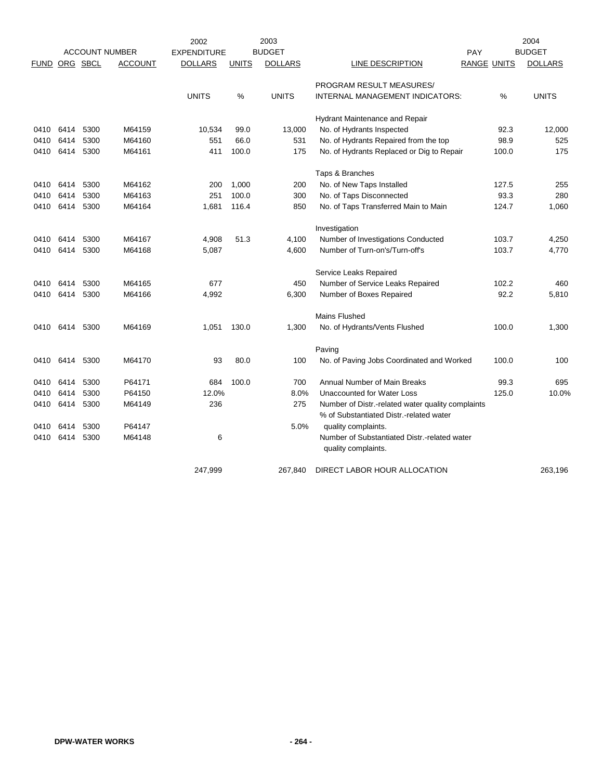|             |           |           | <b>ACCOUNT NUMBER</b> | 2002<br><b>EXPENDITURE</b> |              | 2003<br><b>BUDGET</b> |                                                                                              | PAY                |       | 2004<br><b>BUDGET</b> |
|-------------|-----------|-----------|-----------------------|----------------------------|--------------|-----------------------|----------------------------------------------------------------------------------------------|--------------------|-------|-----------------------|
| <b>FUND</b> | ORG SBCL  |           | <b>ACCOUNT</b>        | <b>DOLLARS</b>             | <b>UNITS</b> | <b>DOLLARS</b>        | LINE DESCRIPTION                                                                             | <b>RANGE UNITS</b> |       | <b>DOLLARS</b>        |
|             |           |           |                       |                            |              |                       | PROGRAM RESULT MEASURES/                                                                     |                    |       |                       |
|             |           |           |                       | <b>UNITS</b>               | $\%$         | <b>UNITS</b>          | INTERNAL MANAGEMENT INDICATORS:                                                              |                    | %     | <b>UNITS</b>          |
|             |           |           |                       |                            |              |                       | Hydrant Maintenance and Repair                                                               |                    |       |                       |
| 0410        | 6414      | 5300      | M64159                | 10,534                     | 99.0         | 13,000                | No. of Hydrants Inspected                                                                    |                    | 92.3  | 12,000                |
| 0410        | 6414      | 5300      | M64160                | 551                        | 66.0         | 531                   | No. of Hydrants Repaired from the top                                                        |                    | 98.9  | 525                   |
| 0410        | 6414 5300 |           | M64161                | 411                        | 100.0        | 175                   | No. of Hydrants Replaced or Dig to Repair                                                    |                    | 100.0 | 175                   |
|             |           |           |                       |                            |              |                       | Taps & Branches                                                                              |                    |       |                       |
| 0410        | 6414      | 5300      | M64162                | 200                        | 1,000        | 200                   | No. of New Taps Installed                                                                    |                    | 127.5 | 255                   |
| 0410        | 6414      | 5300      | M64163                | 251                        | 100.0        | 300                   | No. of Taps Disconnected                                                                     |                    | 93.3  | 280                   |
| 0410        | 6414      | 5300      | M64164                | 1,681                      | 116.4        | 850                   | No. of Taps Transferred Main to Main                                                         |                    | 124.7 | 1,060                 |
|             |           |           |                       |                            |              |                       | Investigation                                                                                |                    |       |                       |
| 0410        | 6414      | 5300      | M64167                | 4,908                      | 51.3         | 4,100                 | Number of Investigations Conducted                                                           |                    | 103.7 | 4,250                 |
| 0410        | 6414      | 5300      | M64168                | 5,087                      |              | 4,600                 | Number of Turn-on's/Turn-off's                                                               |                    | 103.7 | 4,770                 |
|             |           |           |                       |                            |              |                       | Service Leaks Repaired                                                                       |                    |       |                       |
| 0410        | 6414      | 5300      | M64165                | 677                        |              | 450                   | Number of Service Leaks Repaired                                                             |                    | 102.2 | 460                   |
| 0410        | 6414      | 5300      | M64166                | 4,992                      |              | 6,300                 | Number of Boxes Repaired                                                                     |                    | 92.2  | 5,810                 |
|             |           |           |                       |                            |              |                       | Mains Flushed                                                                                |                    |       |                       |
| 0410        | 6414      | 5300      | M64169                | 1,051                      | 130.0        | 1,300                 | No. of Hydrants/Vents Flushed                                                                |                    | 100.0 | 1,300                 |
|             |           |           |                       |                            |              |                       | Paving                                                                                       |                    |       |                       |
| 0410        |           | 6414 5300 | M64170                | 93                         | 80.0         | 100                   | No. of Paving Jobs Coordinated and Worked                                                    |                    | 100.0 | 100                   |
| 0410        | 6414      | 5300      | P64171                | 684                        | 100.0        | 700                   | Annual Number of Main Breaks                                                                 |                    | 99.3  | 695                   |
| 0410        | 6414      | 5300      | P64150                | 12.0%                      |              | 8.0%                  | Unaccounted for Water Loss                                                                   |                    | 125.0 | 10.0%                 |
| 0410        |           | 6414 5300 | M64149                | 236                        |              | 275                   | Number of Distr.-related water quality complaints<br>% of Substantiated Distr.-related water |                    |       |                       |
| 0410        | 6414      | 5300      | P64147                |                            |              | 5.0%                  | quality complaints.                                                                          |                    |       |                       |
| 0410        | 6414      | 5300      | M64148                | 6                          |              |                       | Number of Substantiated Distr.-related water<br>quality complaints.                          |                    |       |                       |
|             |           |           |                       | 247,999                    |              | 267,840               | DIRECT LABOR HOUR ALLOCATION                                                                 |                    |       | 263,196               |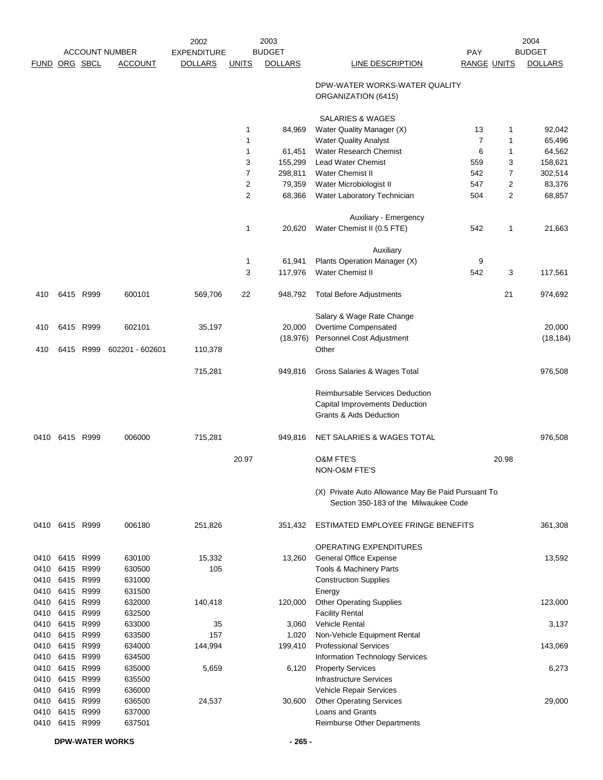|                      |                |              |                       | 2002               |                | 2003           |                                                                                                         |                    |                | 2004           |
|----------------------|----------------|--------------|-----------------------|--------------------|----------------|----------------|---------------------------------------------------------------------------------------------------------|--------------------|----------------|----------------|
|                      |                |              | <b>ACCOUNT NUMBER</b> | <b>EXPENDITURE</b> |                | <b>BUDGET</b>  |                                                                                                         | PAY                |                | <b>BUDGET</b>  |
| <b>FUND ORG SBCL</b> |                |              | <b>ACCOUNT</b>        | <b>DOLLARS</b>     | <b>UNITS</b>   | <b>DOLLARS</b> | LINE DESCRIPTION                                                                                        | <b>RANGE UNITS</b> |                | <b>DOLLARS</b> |
|                      |                |              |                       |                    |                |                | DPW-WATER WORKS-WATER QUALITY<br>ORGANIZATION (6415)                                                    |                    |                |                |
|                      |                |              |                       |                    |                |                | <b>SALARIES &amp; WAGES</b>                                                                             |                    |                |                |
|                      |                |              |                       |                    | $\mathbf 1$    | 84,969         | Water Quality Manager (X)                                                                               | 13                 | 1              | 92,042         |
|                      |                |              |                       |                    | $\mathbf{1}$   |                | <b>Water Quality Analyst</b>                                                                            | $\overline{7}$     | 1              | 65,496         |
|                      |                |              |                       |                    | $\mathbf{1}$   | 61,451         | <b>Water Research Chemist</b>                                                                           | 6                  | 1              | 64,562         |
|                      |                |              |                       |                    | 3              | 155,299        | <b>Lead Water Chemist</b>                                                                               | 559                | 3              | 158,621        |
|                      |                |              |                       |                    | $\overline{7}$ | 298,811        | <b>Water Chemist II</b>                                                                                 | 542                | 7              | 302,514        |
|                      |                |              |                       |                    | $\overline{2}$ | 79,359         | Water Microbiologist II                                                                                 | 547                | $\overline{c}$ | 83,376         |
|                      |                |              |                       |                    | $\overline{2}$ | 68,366         | Water Laboratory Technician                                                                             | 504                | $\overline{2}$ | 68,857         |
|                      |                |              |                       |                    |                |                | Auxiliary - Emergency                                                                                   |                    |                |                |
|                      |                |              |                       |                    | $\mathbf{1}$   | 20,620         | Water Chemist II (0.5 FTE)                                                                              | 542                | 1              | 21,663         |
|                      |                |              |                       |                    |                |                | Auxiliary                                                                                               |                    |                |                |
|                      |                |              |                       |                    | $\mathbf{1}$   | 61,941         | Plants Operation Manager (X)                                                                            | 9                  |                |                |
|                      |                |              |                       |                    | 3              | 117,976        | Water Chemist II                                                                                        | 542                | 3              | 117,561        |
|                      |                |              |                       |                    |                |                |                                                                                                         |                    |                |                |
| 410                  |                | 6415 R999    | 600101                | 569,706            | 22             | 948,792        | <b>Total Before Adjustments</b>                                                                         |                    | 21             | 974,692        |
|                      |                |              |                       |                    |                |                | Salary & Wage Rate Change                                                                               |                    |                |                |
| 410                  |                | 6415 R999    | 602101                | 35,197             |                | 20,000         | Overtime Compensated                                                                                    |                    |                | 20,000         |
|                      |                |              |                       |                    |                | (18, 976)      | Personnel Cost Adjustment                                                                               |                    |                | (18, 184)      |
| 410                  |                | 6415 R999    | 602201 - 602601       | 110,378            |                |                | Other                                                                                                   |                    |                |                |
|                      |                |              |                       | 715,281            |                | 949,816        | Gross Salaries & Wages Total                                                                            |                    |                | 976,508        |
|                      |                |              |                       |                    |                |                | Reimbursable Services Deduction<br>Capital Improvements Deduction<br><b>Grants &amp; Aids Deduction</b> |                    |                |                |
| 0410                 | 6415 R999      |              | 006000                | 715,281            |                | 949,816        | NET SALARIES & WAGES TOTAL                                                                              |                    |                | 976,508        |
|                      |                |              |                       |                    | 20.97          |                | <b>O&amp;M FTE'S</b><br><b>NON-O&amp;M FTE'S</b>                                                        |                    | 20.98          |                |
|                      |                |              |                       |                    |                |                | (X) Private Auto Allowance May Be Paid Pursuant To<br>Section 350-183 of the Milwaukee Code             |                    |                |                |
|                      | 0410 6415 R999 |              | 006180                | 251,826            |                | 351,432        | ESTIMATED EMPLOYEE FRINGE BENEFITS                                                                      |                    |                | 361,308        |
|                      |                |              |                       |                    |                |                | <b>OPERATING EXPENDITURES</b>                                                                           |                    |                |                |
|                      | 0410 6415 R999 |              | 630100                | 15,332             |                | 13,260         | <b>General Office Expense</b>                                                                           |                    |                | 13,592         |
| 0410                 | 6415           | R999         | 630500                | 105                |                |                | <b>Tools &amp; Machinery Parts</b>                                                                      |                    |                |                |
| 0410                 | 6415           | R999         | 631000                |                    |                |                | <b>Construction Supplies</b>                                                                            |                    |                |                |
| 0410                 | 6415           | R999         | 631500                |                    |                |                | Energy                                                                                                  |                    |                |                |
| 0410                 | 6415           | R999         | 632000                | 140,418            |                | 120,000        | <b>Other Operating Supplies</b>                                                                         |                    |                | 123,000        |
| 0410                 | 6415           | R999         | 632500                |                    |                |                | <b>Facility Rental</b>                                                                                  |                    |                |                |
| 0410                 | 6415           | R999         | 633000                | 35                 |                | 3,060          | Vehicle Rental                                                                                          |                    |                | 3,137          |
| 0410                 | 6415           | R999         | 633500                | 157                |                | 1,020          | Non-Vehicle Equipment Rental                                                                            |                    |                |                |
| 0410                 | 6415 R999      |              | 634000                | 144,994            |                | 199,410        | <b>Professional Services</b>                                                                            |                    |                | 143,069        |
| 0410                 | 6415           | R999         | 634500                |                    |                |                | Information Technology Services                                                                         |                    |                |                |
| 0410                 | 6415           | R999         | 635000                | 5,659              |                | 6,120          | <b>Property Services</b>                                                                                |                    |                | 6,273          |
| 0410                 | 6415           | R999         | 635500                |                    |                |                | <b>Infrastructure Services</b>                                                                          |                    |                |                |
| 0410<br>0410         | 6415<br>6415   | R999<br>R999 | 636000<br>636500      | 24,537             |                | 30,600         | Vehicle Repair Services<br><b>Other Operating Services</b>                                              |                    |                | 29,000         |
| 0410                 | 6415 R999      |              | 637000                |                    |                |                | Loans and Grants                                                                                        |                    |                |                |
| 0410                 | 6415 R999      |              | 637501                |                    |                |                | Reimburse Other Departments                                                                             |                    |                |                |
|                      |                |              |                       |                    |                |                |                                                                                                         |                    |                |                |

**DPW-WATER WORKS - 265 -**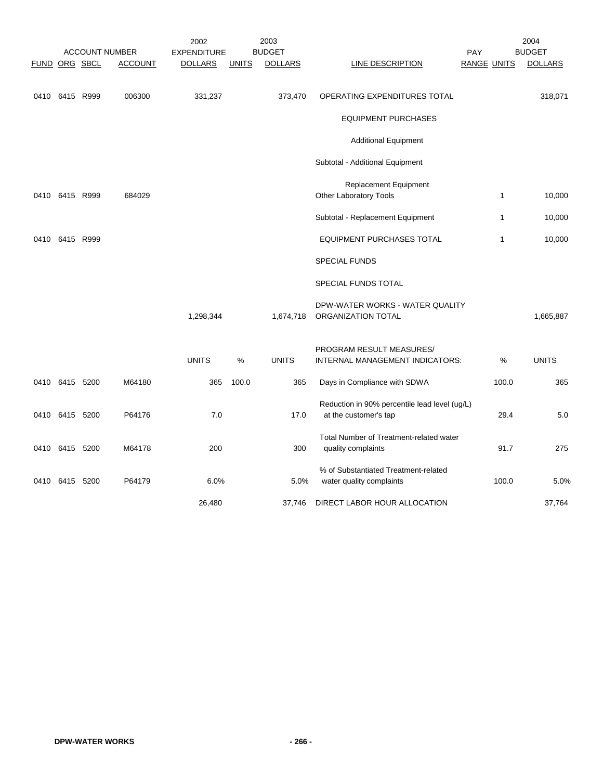|      |                |                      | <b>ACCOUNT NUMBER</b> | 2002<br><b>EXPENDITURE</b> |              | 2003<br><b>BUDGET</b> |                                                                  | PAY                |              | 2004<br><b>BUDGET</b> |
|------|----------------|----------------------|-----------------------|----------------------------|--------------|-----------------------|------------------------------------------------------------------|--------------------|--------------|-----------------------|
|      |                | <b>FUND ORG SBCL</b> | <b>ACCOUNT</b>        | <b>DOLLARS</b>             | <b>UNITS</b> | <b>DOLLARS</b>        | <b>LINE DESCRIPTION</b>                                          | <b>RANGE UNITS</b> |              | <b>DOLLARS</b>        |
|      |                |                      |                       |                            |              |                       |                                                                  |                    |              |                       |
|      | 0410 6415 R999 |                      | 006300                | 331,237                    |              | 373,470               | OPERATING EXPENDITURES TOTAL                                     |                    |              | 318,071               |
|      |                |                      |                       |                            |              |                       | <b>EQUIPMENT PURCHASES</b>                                       |                    |              |                       |
|      |                |                      |                       |                            |              |                       | <b>Additional Equipment</b>                                      |                    |              |                       |
|      |                |                      |                       |                            |              |                       | Subtotal - Additional Equipment                                  |                    |              |                       |
|      |                |                      |                       |                            |              |                       | <b>Replacement Equipment</b>                                     |                    |              |                       |
|      | 0410 6415 R999 |                      | 684029                |                            |              |                       | Other Laboratory Tools                                           |                    | $\mathbf{1}$ | 10,000                |
|      |                |                      |                       |                            |              |                       | Subtotal - Replacement Equipment                                 |                    | $\mathbf{1}$ | 10,000                |
| 0410 | 6415 R999      |                      |                       |                            |              |                       | <b>EQUIPMENT PURCHASES TOTAL</b>                                 |                    | $\mathbf{1}$ | 10,000                |
|      |                |                      |                       |                            |              |                       | <b>SPECIAL FUNDS</b>                                             |                    |              |                       |
|      |                |                      |                       |                            |              |                       | SPECIAL FUNDS TOTAL                                              |                    |              |                       |
|      |                |                      |                       |                            |              |                       | DPW-WATER WORKS - WATER QUALITY                                  |                    |              |                       |
|      |                |                      |                       | 1,298,344                  |              | 1,674,718             | ORGANIZATION TOTAL                                               |                    |              | 1,665,887             |
|      |                |                      |                       |                            |              |                       | PROGRAM RESULT MEASURES/                                         |                    |              |                       |
|      |                |                      |                       | <b>UNITS</b>               | %            | <b>UNITS</b>          | INTERNAL MANAGEMENT INDICATORS:                                  |                    | %            | <b>UNITS</b>          |
|      | 0410 6415 5200 |                      | M64180                | 365                        | 100.0        | 365                   | Days in Compliance with SDWA                                     |                    | 100.0        | 365                   |
|      |                |                      |                       |                            |              |                       | Reduction in 90% percentile lead level (ug/L)                    |                    |              |                       |
|      | 0410 6415 5200 |                      | P64176                | 7.0                        |              | 17.0                  | at the customer's tap                                            |                    | 29.4         | 5.0                   |
| 0410 | 6415 5200      |                      | M64178                | 200                        |              | 300                   | Total Number of Treatment-related water<br>quality complaints    |                    | 91.7         | 275                   |
|      |                |                      |                       |                            |              |                       |                                                                  |                    |              |                       |
|      | 0410 6415 5200 |                      | P64179                | 6.0%                       |              | 5.0%                  | % of Substantiated Treatment-related<br>water quality complaints |                    | 100.0        | 5.0%                  |
|      |                |                      |                       | 26,480                     |              | 37,746                | DIRECT LABOR HOUR ALLOCATION                                     |                    |              | 37,764                |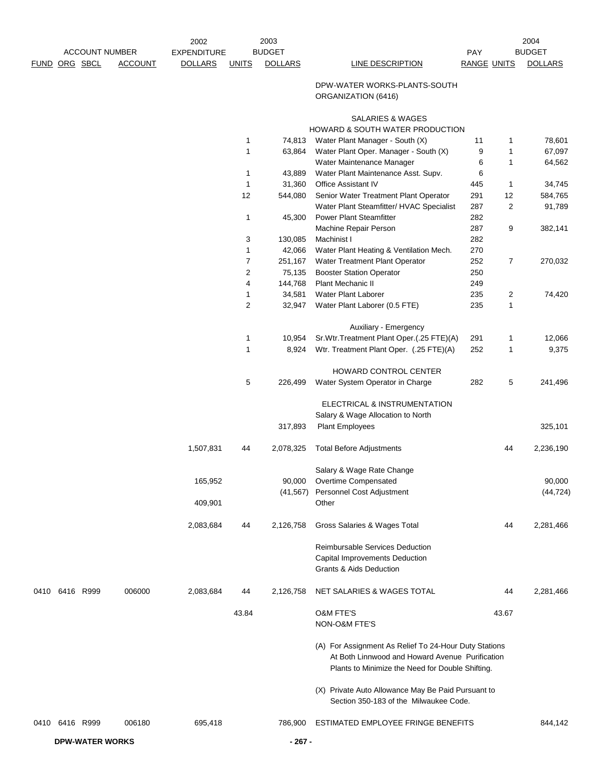|                |           |                        | 2002               |                | 2003           |                                                                                                                                                              |                    |                | 2004           |
|----------------|-----------|------------------------|--------------------|----------------|----------------|--------------------------------------------------------------------------------------------------------------------------------------------------------------|--------------------|----------------|----------------|
|                |           | <b>ACCOUNT NUMBER</b>  | <b>EXPENDITURE</b> |                | <b>BUDGET</b>  |                                                                                                                                                              | <b>PAY</b>         |                | <b>BUDGET</b>  |
| FUND ORG SBCL  |           | <b>ACCOUNT</b>         | <b>DOLLARS</b>     | <b>UNITS</b>   | <b>DOLLARS</b> | LINE DESCRIPTION                                                                                                                                             | <b>RANGE UNITS</b> |                | <b>DOLLARS</b> |
|                |           |                        |                    |                |                | DPW-WATER WORKS-PLANTS-SOUTH<br>ORGANIZATION (6416)                                                                                                          |                    |                |                |
|                |           |                        |                    |                |                | SALARIES & WAGES                                                                                                                                             |                    |                |                |
|                |           |                        |                    |                |                | <b>HOWARD &amp; SOUTH WATER PRODUCTION</b>                                                                                                                   |                    |                |                |
|                |           |                        |                    | $\mathbf{1}$   | 74,813         | Water Plant Manager - South (X)                                                                                                                              | 11                 | 1              | 78,601         |
|                |           |                        |                    | 1              | 63,864         | Water Plant Oper. Manager - South (X)                                                                                                                        | 9                  | 1              | 67,097         |
|                |           |                        |                    |                |                | Water Maintenance Manager                                                                                                                                    | 6                  | 1              | 64,562         |
|                |           |                        |                    | $\mathbf{1}$   | 43,889         | Water Plant Maintenance Asst. Supv.                                                                                                                          | 6                  |                |                |
|                |           |                        |                    | 1              | 31,360         | Office Assistant IV                                                                                                                                          | 445                | $\mathbf{1}$   | 34,745         |
|                |           |                        |                    | 12             | 544,080        | Senior Water Treatment Plant Operator                                                                                                                        | 291                | 12             | 584,765        |
|                |           |                        |                    |                |                | Water Plant Steamfitter/ HVAC Specialist                                                                                                                     | 287                | $\overline{2}$ | 91,789         |
|                |           |                        |                    | $\mathbf{1}$   | 45,300         | <b>Power Plant Steamfitter</b>                                                                                                                               | 282<br>287         |                |                |
|                |           |                        |                    | 3              | 130,085        | Machine Repair Person<br>Machinist I                                                                                                                         | 282                | 9              | 382,141        |
|                |           |                        |                    | $\mathbf{1}$   | 42,066         | Water Plant Heating & Ventilation Mech.                                                                                                                      | 270                |                |                |
|                |           |                        |                    | $\overline{7}$ | 251,167        | Water Treatment Plant Operator                                                                                                                               | 252                | $\overline{7}$ | 270,032        |
|                |           |                        |                    | $\overline{2}$ | 75,135         | <b>Booster Station Operator</b>                                                                                                                              | 250                |                |                |
|                |           |                        |                    | 4              | 144,768        | <b>Plant Mechanic II</b>                                                                                                                                     | 249                |                |                |
|                |           |                        |                    | 1              | 34,581         | Water Plant Laborer                                                                                                                                          | 235                | $\overline{c}$ | 74,420         |
|                |           |                        |                    | $\overline{2}$ | 32,947         | Water Plant Laborer (0.5 FTE)                                                                                                                                | 235                | 1              |                |
|                |           |                        |                    |                |                |                                                                                                                                                              |                    |                |                |
|                |           |                        |                    | 1              | 10,954         | Auxiliary - Emergency<br>Sr.Wtr.Treatment Plant Oper.(.25 FTE)(A)                                                                                            | 291                | $\mathbf{1}$   | 12,066         |
|                |           |                        |                    | $\mathbf{1}$   | 8,924          | Wtr. Treatment Plant Oper. (.25 FTE)(A)                                                                                                                      | 252                | $\mathbf{1}$   | 9,375          |
|                |           |                        |                    |                |                |                                                                                                                                                              |                    |                |                |
|                |           |                        |                    | 5              | 226,499        | <b>HOWARD CONTROL CENTER</b><br>Water System Operator in Charge                                                                                              | 282                | 5              | 241,496        |
|                |           |                        |                    |                |                |                                                                                                                                                              |                    |                |                |
|                |           |                        |                    |                |                | ELECTRICAL & INSTRUMENTATION                                                                                                                                 |                    |                |                |
|                |           |                        |                    |                | 317,893        | Salary & Wage Allocation to North<br><b>Plant Employees</b>                                                                                                  |                    |                | 325,101        |
|                |           |                        |                    |                |                |                                                                                                                                                              |                    |                |                |
|                |           |                        | 1,507,831          | 44             | 2,078,325      | <b>Total Before Adjustments</b>                                                                                                                              |                    | 44             | 2,236,190      |
|                |           |                        |                    |                |                | Salary & Wage Rate Change                                                                                                                                    |                    |                |                |
|                |           |                        | 165,952            |                | 90,000         | Overtime Compensated                                                                                                                                         |                    |                | 90,000         |
|                |           |                        |                    |                | (41,567)       | Personnel Cost Adjustment                                                                                                                                    |                    |                | (44, 724)      |
|                |           |                        | 409,901            |                |                | Other                                                                                                                                                        |                    |                |                |
|                |           |                        | 2,083,684          | 44             | 2,126,758      | Gross Salaries & Wages Total                                                                                                                                 |                    | 44             | 2,281,466      |
|                |           |                        |                    |                |                | Reimbursable Services Deduction                                                                                                                              |                    |                |                |
|                |           |                        |                    |                |                | <b>Capital Improvements Deduction</b>                                                                                                                        |                    |                |                |
|                |           |                        |                    |                |                | <b>Grants &amp; Aids Deduction</b>                                                                                                                           |                    |                |                |
| 0410           | 6416 R999 | 006000                 | 2,083,684          | 44             | 2,126,758      | NET SALARIES & WAGES TOTAL                                                                                                                                   |                    | 44             | 2,281,466      |
|                |           |                        |                    | 43.84          |                | <b>O&amp;M FTE'S</b>                                                                                                                                         |                    | 43.67          |                |
|                |           |                        |                    |                |                | NON-O&M FTE'S                                                                                                                                                |                    |                |                |
|                |           |                        |                    |                |                | (A) For Assignment As Relief To 24-Hour Duty Stations<br>At Both Linnwood and Howard Avenue Purification<br>Plants to Minimize the Need for Double Shifting. |                    |                |                |
|                |           |                        |                    |                |                | (X) Private Auto Allowance May Be Paid Pursuant to<br>Section 350-183 of the Milwaukee Code.                                                                 |                    |                |                |
| 0410 6416 R999 |           | 006180                 | 695,418            |                | 786,900        | ESTIMATED EMPLOYEE FRINGE BENEFITS                                                                                                                           |                    |                | 844,142        |
|                |           | <b>DPW-WATER WORKS</b> |                    |                | $-267-$        |                                                                                                                                                              |                    |                |                |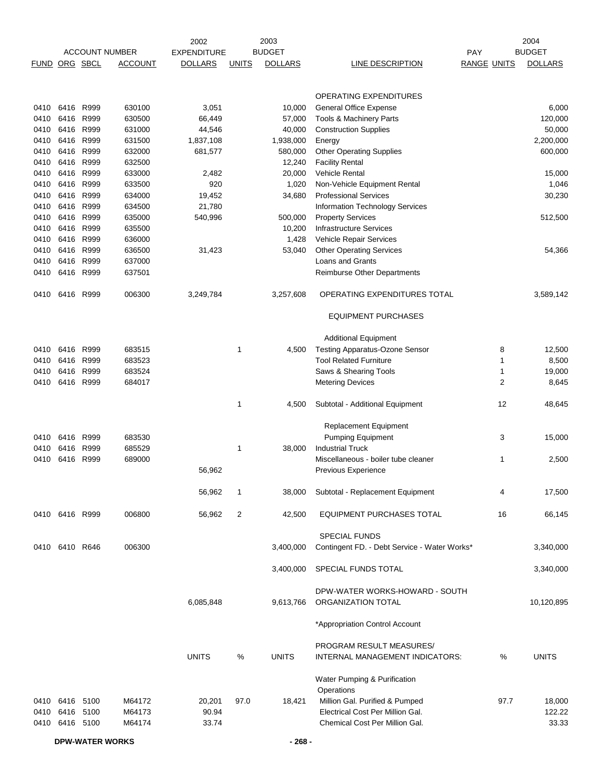|                      |                |      |                       | 2002               |              | 2003           |                                                             |                    |                | 2004           |
|----------------------|----------------|------|-----------------------|--------------------|--------------|----------------|-------------------------------------------------------------|--------------------|----------------|----------------|
|                      |                |      | <b>ACCOUNT NUMBER</b> | <b>EXPENDITURE</b> |              | <b>BUDGET</b>  |                                                             | <b>PAY</b>         |                | <b>BUDGET</b>  |
| <b>FUND ORG SBCL</b> |                |      | <b>ACCOUNT</b>        | <b>DOLLARS</b>     | <b>UNITS</b> | <b>DOLLARS</b> | <b>LINE DESCRIPTION</b>                                     | <b>RANGE UNITS</b> |                | <b>DOLLARS</b> |
|                      |                |      |                       |                    |              |                |                                                             |                    |                |                |
|                      |                |      |                       |                    |              |                | <b>OPERATING EXPENDITURES</b>                               |                    |                |                |
| 0410                 | 6416 R999      |      | 630100                | 3,051              |              | 10,000         | <b>General Office Expense</b>                               |                    |                | 6,000          |
| 0410                 | 6416           | R999 | 630500                | 66,449             |              | 57,000         | Tools & Machinery Parts                                     |                    |                | 120,000        |
| 0410                 | 6416           | R999 | 631000                | 44,546             |              | 40,000         | <b>Construction Supplies</b>                                |                    |                | 50,000         |
| 0410                 | 6416 R999      |      | 631500                | 1,837,108          |              | 1,938,000      | Energy                                                      |                    |                | 2,200,000      |
| 0410                 | 6416 R999      |      | 632000                | 681,577            |              | 580,000        | <b>Other Operating Supplies</b>                             |                    |                | 600,000        |
| 0410                 | 6416           | R999 | 632500                |                    |              | 12,240         | <b>Facility Rental</b>                                      |                    |                |                |
| 0410                 | 6416 R999      |      | 633000                | 2,482              |              | 20,000         | Vehicle Rental                                              |                    |                | 15,000         |
| 0410                 | 6416 R999      |      | 633500                | 920                |              | 1,020          | Non-Vehicle Equipment Rental                                |                    |                | 1,046          |
| 0410                 | 6416           | R999 | 634000                | 19,452             |              | 34,680         | <b>Professional Services</b>                                |                    |                | 30,230         |
| 0410                 | 6416           | R999 | 634500                | 21,780             |              |                | Information Technology Services                             |                    |                |                |
| 0410                 | 6416 R999      |      | 635000                | 540,996            |              | 500,000        | <b>Property Services</b>                                    |                    |                | 512,500        |
| 0410                 | 6416           | R999 | 635500                |                    |              | 10,200         | <b>Infrastructure Services</b>                              |                    |                |                |
| 0410                 | 6416           | R999 | 636000                |                    |              | 1,428          | Vehicle Repair Services                                     |                    |                |                |
| 0410                 | 6416           | R999 | 636500                | 31,423             |              | 53,040         | <b>Other Operating Services</b>                             |                    |                | 54,366         |
| 0410                 | 6416           | R999 | 637000                |                    |              |                | Loans and Grants                                            |                    |                |                |
| 0410                 | 6416           | R999 | 637501                |                    |              |                | <b>Reimburse Other Departments</b>                          |                    |                |                |
| 0410                 | 6416 R999      |      | 006300                | 3,249,784          |              | 3,257,608      | OPERATING EXPENDITURES TOTAL                                |                    |                | 3,589,142      |
|                      |                |      |                       |                    |              |                | <b>EQUIPMENT PURCHASES</b>                                  |                    |                |                |
|                      |                |      |                       |                    |              |                | <b>Additional Equipment</b>                                 |                    |                |                |
| 0410                 | 6416           | R999 | 683515                |                    | 1            | 4,500          | <b>Testing Apparatus-Ozone Sensor</b>                       |                    | 8              | 12,500         |
| 0410                 | 6416           | R999 | 683523                |                    |              |                | <b>Tool Related Furniture</b>                               |                    | 1              | 8,500          |
| 0410                 | 6416           | R999 | 683524                |                    |              |                | Saws & Shearing Tools                                       |                    | 1              | 19,000         |
| 0410                 | 6416 R999      |      | 684017                |                    |              |                | <b>Metering Devices</b>                                     |                    | $\overline{c}$ | 8,645          |
|                      |                |      |                       |                    |              |                |                                                             |                    |                |                |
|                      |                |      |                       |                    | 1            | 4,500          | Subtotal - Additional Equipment                             |                    | 12             | 48,645         |
|                      |                |      |                       |                    |              |                | Replacement Equipment                                       |                    |                |                |
| 0410                 | 6416 R999      |      | 683530                |                    |              |                | <b>Pumping Equipment</b>                                    |                    | 3              | 15,000         |
| 0410                 | 6416 R999      |      | 685529                |                    | 1            | 38,000         | <b>Industrial Truck</b>                                     |                    |                |                |
| 0410                 | 6416           | R999 | 689000                |                    |              |                | Miscellaneous - boiler tube cleaner                         |                    | 1              | 2,500          |
|                      |                |      |                       | 56,962             |              |                | Previous Experience                                         |                    |                |                |
|                      |                |      |                       |                    |              |                |                                                             |                    |                |                |
|                      |                |      |                       | 56,962             | 1            | 38,000         | Subtotal - Replacement Equipment                            |                    | 4              | 17,500         |
|                      | 0410 6416 R999 |      | 006800                | 56,962             | 2            | 42,500         | EQUIPMENT PURCHASES TOTAL                                   |                    | 16             | 66,145         |
|                      |                |      |                       |                    |              |                | <b>SPECIAL FUNDS</b>                                        |                    |                |                |
|                      | 0410 6410 R646 |      | 006300                |                    |              | 3,400,000      | Contingent FD. - Debt Service - Water Works*                |                    |                | 3,340,000      |
|                      |                |      |                       |                    |              | 3,400,000      | SPECIAL FUNDS TOTAL                                         |                    |                | 3,340,000      |
|                      |                |      |                       |                    |              |                |                                                             |                    |                |                |
|                      |                |      |                       | 6,085,848          |              | 9,613,766      | DPW-WATER WORKS-HOWARD - SOUTH<br>ORGANIZATION TOTAL        |                    |                | 10,120,895     |
|                      |                |      |                       |                    |              |                | *Appropriation Control Account                              |                    |                |                |
|                      |                |      |                       |                    |              |                |                                                             |                    |                |                |
|                      |                |      |                       | <b>UNITS</b>       | $\%$         | <b>UNITS</b>   | PROGRAM RESULT MEASURES/<br>INTERNAL MANAGEMENT INDICATORS: |                    | %              | <b>UNITS</b>   |
|                      |                |      |                       |                    |              |                | Water Pumping & Purification                                |                    |                |                |
|                      |                |      |                       |                    |              |                | Operations                                                  |                    |                |                |
|                      | 0410 6416 5100 |      | M64172                | 20,201             | 97.0         | 18,421         | Million Gal. Purified & Pumped                              |                    | 97.7           | 18,000         |
| 0410                 | 6416 5100      |      | M64173                | 90.94              |              |                | Electrical Cost Per Million Gal.                            |                    |                | 122.22         |
| 0410                 | 6416 5100      |      | M64174                | 33.74              |              |                | Chemical Cost Per Million Gal.                              |                    |                | 33.33          |
|                      |                |      |                       |                    |              |                |                                                             |                    |                |                |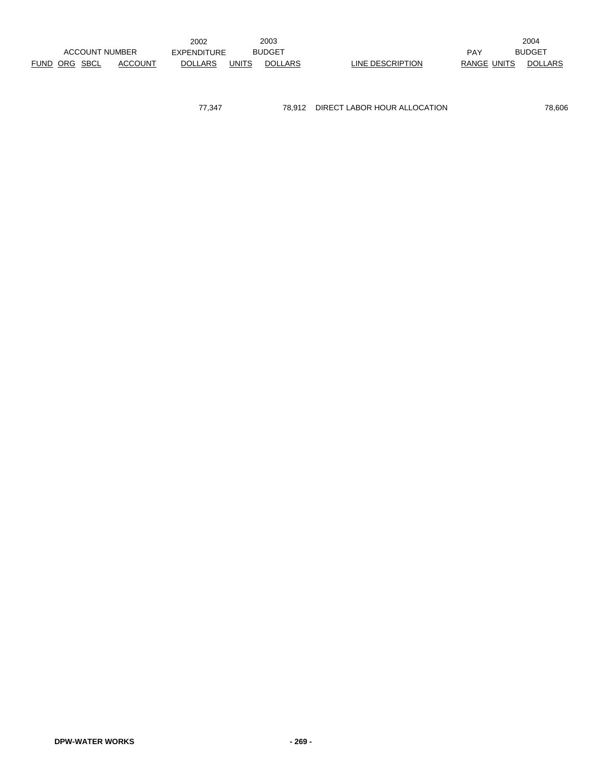|               |                       |                | 2002               |              | 2003           |                  |             | 2004          |
|---------------|-----------------------|----------------|--------------------|--------------|----------------|------------------|-------------|---------------|
|               | <b>ACCOUNT NUMBER</b> |                | <b>EXPENDITURE</b> |              | <b>BUDGET</b>  |                  | PAY         | <b>BUDGET</b> |
| FUND ORG SBCL |                       | <b>ACCOUNT</b> | <b>DOLLARS</b>     | <b>UNITS</b> | <b>DOLLARS</b> | LINE DESCRIPTION | RANGE UNITS | DOLLARS       |

77,347 78,912 DIRECT LABOR HOUR ALLOCATION 78,606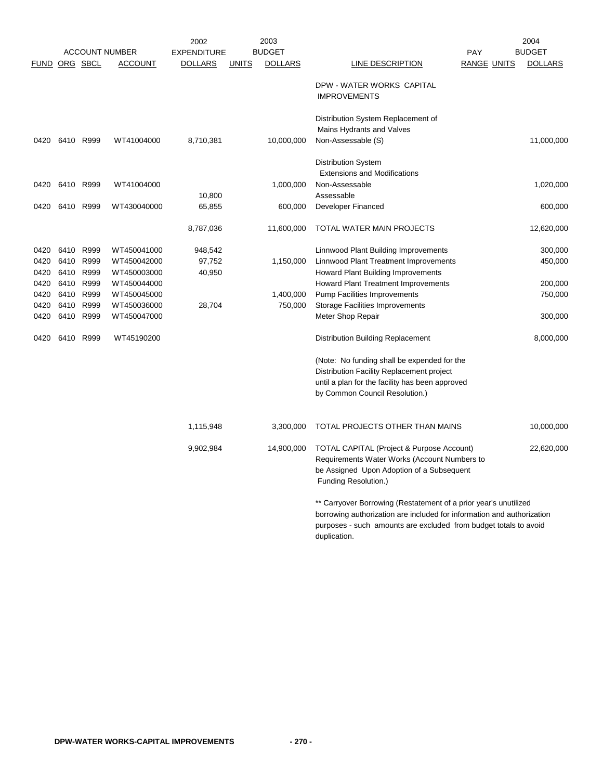|      |      |                      |                       | 2002               |              | 2003           | 2004                                                                                                                                                                                                                           |                    |                |  |
|------|------|----------------------|-----------------------|--------------------|--------------|----------------|--------------------------------------------------------------------------------------------------------------------------------------------------------------------------------------------------------------------------------|--------------------|----------------|--|
|      |      |                      | <b>ACCOUNT NUMBER</b> | <b>EXPENDITURE</b> |              | <b>BUDGET</b>  |                                                                                                                                                                                                                                | <b>PAY</b>         | <b>BUDGET</b>  |  |
|      |      | <b>FUND ORG SBCL</b> | <b>ACCOUNT</b>        | <b>DOLLARS</b>     | <b>UNITS</b> | <b>DOLLARS</b> | <b>LINE DESCRIPTION</b>                                                                                                                                                                                                        | <b>RANGE UNITS</b> | <b>DOLLARS</b> |  |
|      |      |                      |                       |                    |              |                | DPW - WATER WORKS CAPITAL<br><b>IMPROVEMENTS</b>                                                                                                                                                                               |                    |                |  |
|      |      |                      |                       |                    |              |                | Distribution System Replacement of<br>Mains Hydrants and Valves                                                                                                                                                                |                    |                |  |
| 0420 |      | 6410 R999            | WT41004000            | 8,710,381          |              | 10,000,000     | Non-Assessable (S)                                                                                                                                                                                                             |                    | 11,000,000     |  |
|      |      |                      |                       |                    |              |                | Distribution System<br><b>Extensions and Modifications</b>                                                                                                                                                                     |                    |                |  |
| 0420 | 6410 | R999                 | WT41004000            | 10,800             |              | 1,000,000      | Non-Assessable<br>Assessable                                                                                                                                                                                                   |                    | 1,020,000      |  |
| 0420 |      | 6410 R999            | WT430040000           | 65,855             |              | 600,000        | Developer Financed                                                                                                                                                                                                             |                    | 600,000        |  |
|      |      |                      |                       | 8,787,036          |              | 11,600,000     | TOTAL WATER MAIN PROJECTS                                                                                                                                                                                                      |                    | 12,620,000     |  |
| 0420 |      | 6410 R999            | WT450041000           | 948,542            |              |                | Linnwood Plant Building Improvements                                                                                                                                                                                           |                    | 300,000        |  |
| 0420 |      | 6410 R999            | WT450042000           | 97,752             |              | 1,150,000      | Linnwood Plant Treatment Improvements                                                                                                                                                                                          |                    | 450,000        |  |
| 0420 |      | 6410 R999            | WT450003000           | 40,950             |              |                | <b>Howard Plant Building Improvements</b>                                                                                                                                                                                      |                    |                |  |
| 0420 |      | 6410 R999            | WT450044000           |                    |              |                | <b>Howard Plant Treatment Improvements</b>                                                                                                                                                                                     |                    | 200,000        |  |
| 0420 |      | 6410 R999            | WT450045000           |                    |              | 1,400,000      | <b>Pump Facilities Improvements</b>                                                                                                                                                                                            |                    | 750,000        |  |
| 0420 |      | 6410 R999            | WT450036000           | 28,704             |              | 750,000        | <b>Storage Facilities Improvements</b>                                                                                                                                                                                         |                    |                |  |
| 0420 |      | 6410 R999            | WT450047000           |                    |              |                | Meter Shop Repair                                                                                                                                                                                                              |                    | 300,000        |  |
| 0420 |      | 6410 R999            | WT45190200            |                    |              |                | <b>Distribution Building Replacement</b>                                                                                                                                                                                       |                    | 8,000,000      |  |
|      |      |                      |                       |                    |              |                | (Note: No funding shall be expended for the                                                                                                                                                                                    |                    |                |  |
|      |      |                      |                       |                    |              |                | Distribution Facility Replacement project                                                                                                                                                                                      |                    |                |  |
|      |      |                      |                       |                    |              |                | until a plan for the facility has been approved                                                                                                                                                                                |                    |                |  |
|      |      |                      |                       |                    |              |                | by Common Council Resolution.)                                                                                                                                                                                                 |                    |                |  |
|      |      |                      |                       | 1,115,948          |              | 3,300,000      | TOTAL PROJECTS OTHER THAN MAINS                                                                                                                                                                                                |                    | 10,000,000     |  |
|      |      |                      |                       | 9,902,984          |              | 14,900,000     | <b>TOTAL CAPITAL (Project &amp; Purpose Account)</b><br>Requirements Water Works (Account Numbers to<br>be Assigned Upon Adoption of a Subsequent<br>Funding Resolution.)                                                      |                    | 22,620,000     |  |
|      |      |                      |                       |                    |              |                | ** Carryover Borrowing (Restatement of a prior year's unutilized<br>borrowing authorization are included for information and authorization<br>purposes - such amounts are excluded from budget totals to avoid<br>duplication. |                    |                |  |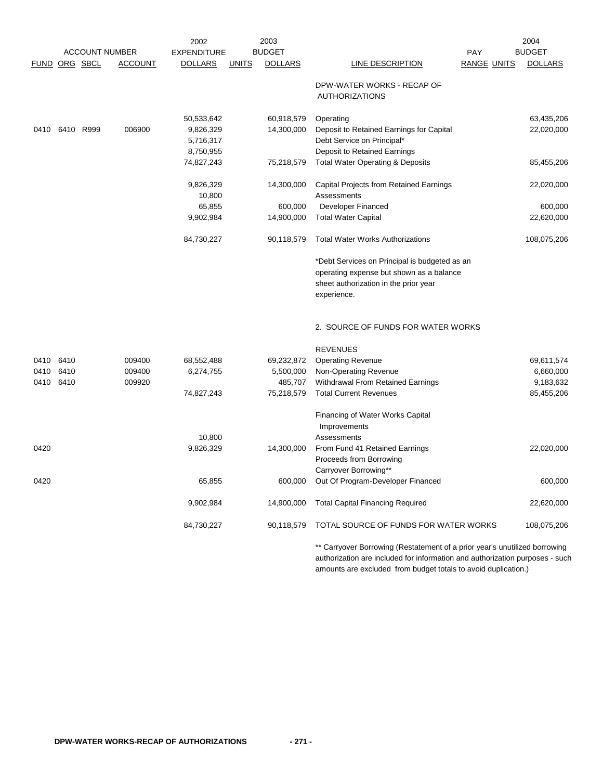|               |      |                       |                | 2002               |              | 2003           |                                                                            |                    | 2004           |
|---------------|------|-----------------------|----------------|--------------------|--------------|----------------|----------------------------------------------------------------------------|--------------------|----------------|
|               |      | <b>ACCOUNT NUMBER</b> |                | <b>EXPENDITURE</b> |              | <b>BUDGET</b>  |                                                                            | <b>PAY</b>         | <b>BUDGET</b>  |
| FUND ORG SBCL |      |                       | <b>ACCOUNT</b> | <b>DOLLARS</b>     | <b>UNITS</b> | <b>DOLLARS</b> | LINE DESCRIPTION                                                           | <b>RANGE UNITS</b> | <b>DOLLARS</b> |
|               |      |                       |                |                    |              |                | DPW-WATER WORKS - RECAP OF<br><b>AUTHORIZATIONS</b>                        |                    |                |
|               |      |                       |                |                    |              |                |                                                                            |                    |                |
|               |      |                       |                | 50,533,642         |              | 60,918,579     | Operating                                                                  |                    | 63,435,206     |
| 0410          |      | 6410 R999             | 006900         | 9,826,329          |              | 14,300,000     | Deposit to Retained Earnings for Capital                                   |                    | 22,020,000     |
|               |      |                       |                | 5,716,317          |              |                | Debt Service on Principal*                                                 |                    |                |
|               |      |                       |                | 8,750,955          |              |                | Deposit to Retained Earnings                                               |                    |                |
|               |      |                       |                | 74,827,243         |              | 75,218,579     | <b>Total Water Operating &amp; Deposits</b>                                |                    | 85,455,206     |
|               |      |                       |                | 9,826,329          |              | 14,300,000     | Capital Projects from Retained Earnings                                    |                    | 22,020,000     |
|               |      |                       |                | 10,800             |              |                | Assessments                                                                |                    |                |
|               |      |                       |                | 65,855             |              | 600,000        | <b>Developer Financed</b>                                                  |                    | 600,000        |
|               |      |                       |                | 9,902,984          |              | 14,900,000     | <b>Total Water Capital</b>                                                 |                    | 22,620,000     |
|               |      |                       |                | 84,730,227         |              | 90,118,579     | <b>Total Water Works Authorizations</b>                                    |                    | 108,075,206    |
|               |      |                       |                |                    |              |                | *Debt Services on Principal is budgeted as an                              |                    |                |
|               |      |                       |                |                    |              |                | operating expense but shown as a balance                                   |                    |                |
|               |      |                       |                |                    |              |                | sheet authorization in the prior year                                      |                    |                |
|               |      |                       |                |                    |              |                | experience.                                                                |                    |                |
|               |      |                       |                |                    |              |                | 2. SOURCE OF FUNDS FOR WATER WORKS                                         |                    |                |
|               |      |                       |                |                    |              |                | <b>REVENUES</b>                                                            |                    |                |
| 0410          | 6410 |                       | 009400         | 68,552,488         |              | 69,232,872     | <b>Operating Revenue</b>                                                   |                    | 69,611,574     |
| 0410          | 6410 |                       | 009400         | 6,274,755          |              | 5,500,000      | Non-Operating Revenue                                                      |                    | 6,660,000      |
| 0410          | 6410 |                       | 009920         |                    |              | 485,707        | Withdrawal From Retained Earnings                                          |                    | 9,183,632      |
|               |      |                       |                | 74,827,243         |              | 75,218,579     | <b>Total Current Revenues</b>                                              |                    | 85,455,206     |
|               |      |                       |                |                    |              |                | Financing of Water Works Capital                                           |                    |                |
|               |      |                       |                |                    |              |                | Improvements                                                               |                    |                |
|               |      |                       |                | 10,800             |              |                | Assessments                                                                |                    |                |
| 0420          |      |                       |                | 9,826,329          |              | 14,300,000     | From Fund 41 Retained Earnings                                             |                    | 22,020,000     |
|               |      |                       |                |                    |              |                | Proceeds from Borrowing                                                    |                    |                |
|               |      |                       |                |                    |              |                | Carryover Borrowing**                                                      |                    |                |
| 0420          |      |                       |                | 65,855             |              | 600,000        | Out Of Program-Developer Financed                                          |                    | 600,000        |
|               |      |                       |                | 9,902,984          |              | 14,900,000     | <b>Total Capital Financing Required</b>                                    |                    | 22,620,000     |
|               |      |                       |                | 84,730,227         |              | 90,118,579     | TOTAL SOURCE OF FUNDS FOR WATER WORKS                                      |                    | 108,075,206    |
|               |      |                       |                |                    |              |                | ** Carryover Borrowing (Restatement of a prior year's unutilized borrowing |                    |                |

authorization are included for information and authorization purposes - such amounts are excluded from budget totals to avoid duplication.)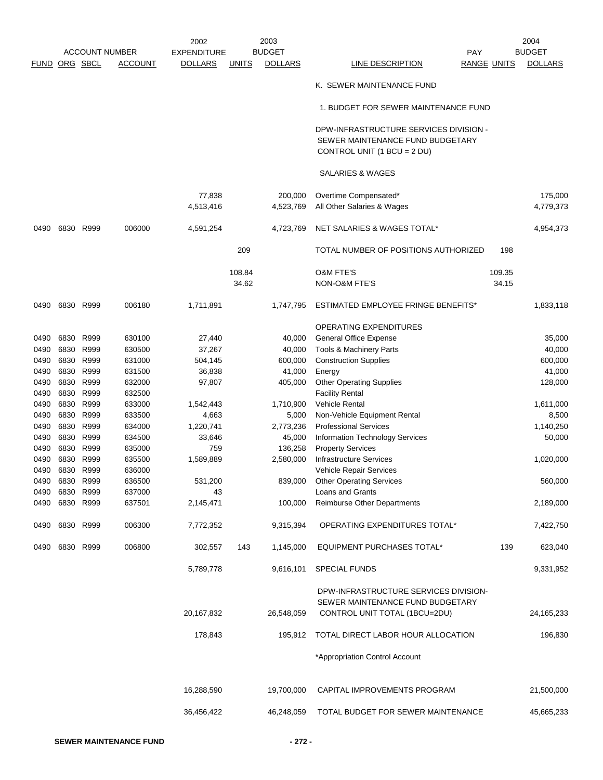|               |      |                |                       | 2002               |              | 2003           |                                               |        | 2004           |
|---------------|------|----------------|-----------------------|--------------------|--------------|----------------|-----------------------------------------------|--------|----------------|
|               |      |                | <b>ACCOUNT NUMBER</b> | <b>EXPENDITURE</b> |              | <b>BUDGET</b>  | <b>PAY</b>                                    |        | <b>BUDGET</b>  |
| FUND ORG SBCL |      |                | <b>ACCOUNT</b>        | <b>DOLLARS</b>     | <b>UNITS</b> | <b>DOLLARS</b> | <b>LINE DESCRIPTION</b><br><b>RANGE UNITS</b> |        | <b>DOLLARS</b> |
|               |      |                |                       |                    |              |                | K. SEWER MAINTENANCE FUND                     |        |                |
|               |      |                |                       |                    |              |                | 1. BUDGET FOR SEWER MAINTENANCE FUND          |        |                |
|               |      |                |                       |                    |              |                |                                               |        |                |
|               |      |                |                       |                    |              |                | DPW-INFRASTRUCTURE SERVICES DIVISION -        |        |                |
|               |      |                |                       |                    |              |                | SEWER MAINTENANCE FUND BUDGETARY              |        |                |
|               |      |                |                       |                    |              |                | CONTROL UNIT (1 BCU = 2 DU)                   |        |                |
|               |      |                |                       |                    |              |                | <b>SALARIES &amp; WAGES</b>                   |        |                |
|               |      |                |                       | 77,838             |              | 200,000        | Overtime Compensated*                         |        | 175,000        |
|               |      |                |                       | 4,513,416          |              | 4,523,769      | All Other Salaries & Wages                    |        | 4,779,373      |
| 0490          |      | 6830 R999      | 006000                | 4,591,254          |              | 4,723,769      | NET SALARIES & WAGES TOTAL*                   |        | 4,954,373      |
|               |      |                |                       |                    | 209          |                | TOTAL NUMBER OF POSITIONS AUTHORIZED          | 198    |                |
|               |      |                |                       |                    | 108.84       |                | <b>O&amp;M FTE'S</b>                          | 109.35 |                |
|               |      |                |                       |                    | 34.62        |                | NON-O&M FTE'S                                 | 34.15  |                |
|               |      |                |                       |                    |              |                |                                               |        |                |
| 0490          |      | 6830 R999      | 006180                | 1,711,891          |              | 1,747,795      | ESTIMATED EMPLOYEE FRINGE BENEFITS*           |        | 1,833,118      |
|               |      |                |                       |                    |              |                | <b>OPERATING EXPENDITURES</b>                 |        |                |
| 0490          |      | 6830 R999      | 630100                | 27,440             |              | 40,000         | <b>General Office Expense</b>                 |        | 35,000         |
| 0490          |      | 6830 R999      | 630500                | 37,267             |              | 40,000         | Tools & Machinery Parts                       |        | 40,000         |
| 0490          |      | 6830 R999      | 631000                | 504,145            |              | 600,000        | <b>Construction Supplies</b>                  |        | 600,000        |
| 0490          |      | 6830 R999      | 631500                | 36,838             |              | 41,000         | Energy                                        |        | 41,000         |
| 0490          |      | 6830 R999      | 632000                | 97,807             |              | 405,000        | <b>Other Operating Supplies</b>               |        | 128,000        |
| 0490          |      | 6830 R999      | 632500                |                    |              |                | <b>Facility Rental</b>                        |        |                |
| 0490          | 6830 | R999           | 633000                | 1,542,443          |              | 1,710,900      | Vehicle Rental                                |        | 1,611,000      |
| 0490          |      | 6830 R999      | 633500                | 4,663              |              | 5,000          | Non-Vehicle Equipment Rental                  |        | 8,500          |
| 0490          |      | 6830 R999      | 634000                | 1,220,741          |              | 2,773,236      | <b>Professional Services</b>                  |        | 1,140,250      |
| 0490          |      | 6830 R999      | 634500                | 33,646             |              | 45,000         | Information Technology Services               |        | 50,000         |
| 0490          |      | 6830 R999      | 635000                | 759                |              | 136,258        | <b>Property Services</b>                      |        |                |
| 0490          |      | 6830 R999      | 635500                | 1,589,889          |              | 2,580,000      | <b>Infrastructure Services</b>                |        | 1,020,000      |
| 0490          |      | 6830 R999      | 636000                |                    |              |                | Vehicle Repair Services                       |        |                |
| 0490          |      | 6830 R999      | 636500                | 531,200            |              | 839,000        | <b>Other Operating Services</b>               |        | 560,000        |
| 0490          |      | 6830 R999      | 637000                | 43                 |              |                | Loans and Grants                              |        |                |
| 0490          |      | 6830 R999      | 637501                | 2,145,471          |              | 100,000        | Reimburse Other Departments                   |        | 2,189,000      |
| 0490          |      | 6830 R999      | 006300                | 7,772,352          |              | 9,315,394      | OPERATING EXPENDITURES TOTAL*                 |        | 7,422,750      |
|               |      | 0490 6830 R999 | 006800                | 302,557            | 143          | 1,145,000      | <b>EQUIPMENT PURCHASES TOTAL*</b>             | 139    | 623,040        |
|               |      |                |                       | 5,789,778          |              | 9,616,101      | <b>SPECIAL FUNDS</b>                          |        | 9,331,952      |
|               |      |                |                       |                    |              |                | DPW-INFRASTRUCTURE SERVICES DIVISION-         |        |                |
|               |      |                |                       |                    |              |                | SEWER MAINTENANCE FUND BUDGETARY              |        |                |
|               |      |                |                       | 20,167,832         |              | 26,548,059     | CONTROL UNIT TOTAL (1BCU=2DU)                 |        | 24, 165, 233   |
|               |      |                |                       | 178,843            |              | 195,912        | TOTAL DIRECT LABOR HOUR ALLOCATION            |        | 196,830        |
|               |      |                |                       |                    |              |                | *Appropriation Control Account                |        |                |
|               |      |                |                       |                    |              |                |                                               |        |                |
|               |      |                |                       | 16,288,590         |              | 19,700,000     | CAPITAL IMPROVEMENTS PROGRAM                  |        | 21,500,000     |
|               |      |                |                       | 36,456,422         |              | 46,248,059     | TOTAL BUDGET FOR SEWER MAINTENANCE            |        | 45,665,233     |
|               |      |                |                       |                    |              |                |                                               |        |                |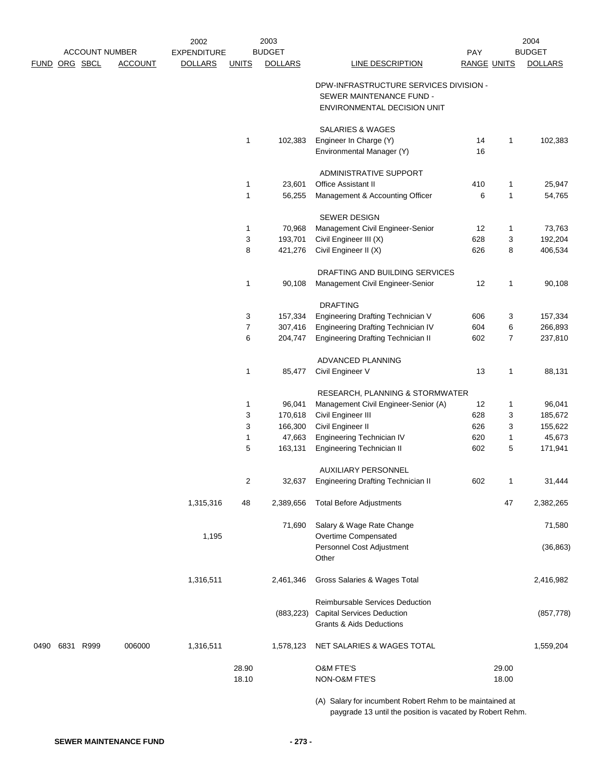|      |               | <b>ACCOUNT NUMBER</b> |                | 2002<br><b>EXPENDITURE</b> |                | 2003<br><b>BUDGET</b> |                                                          | PAY                |                | 2004<br><b>BUDGET</b> |
|------|---------------|-----------------------|----------------|----------------------------|----------------|-----------------------|----------------------------------------------------------|--------------------|----------------|-----------------------|
|      | FUND ORG SBCL |                       | <b>ACCOUNT</b> | <b>DOLLARS</b>             | <b>UNITS</b>   | <b>DOLLARS</b>        | <b>LINE DESCRIPTION</b>                                  | <b>RANGE UNITS</b> |                | <b>DOLLARS</b>        |
|      |               |                       |                |                            |                |                       | DPW-INFRASTRUCTURE SERVICES DIVISION -                   |                    |                |                       |
|      |               |                       |                |                            |                |                       | SEWER MAINTENANCE FUND -<br>ENVIRONMENTAL DECISION UNIT  |                    |                |                       |
|      |               |                       |                |                            |                |                       | <b>SALARIES &amp; WAGES</b>                              |                    |                |                       |
|      |               |                       |                |                            | $\mathbf{1}$   | 102,383               | Engineer In Charge (Y)                                   | 14                 | 1              | 102,383               |
|      |               |                       |                |                            |                |                       | Environmental Manager (Y)                                | 16                 |                |                       |
|      |               |                       |                |                            |                |                       | ADMINISTRATIVE SUPPORT                                   |                    |                |                       |
|      |               |                       |                |                            | $\mathbf 1$    | 23,601                | Office Assistant II                                      | 410                | $\mathbf{1}$   | 25,947                |
|      |               |                       |                |                            | $\mathbf{1}$   | 56,255                | Management & Accounting Officer                          | 6                  | $\mathbf{1}$   | 54,765                |
|      |               |                       |                |                            |                |                       | <b>SEWER DESIGN</b>                                      |                    |                |                       |
|      |               |                       |                |                            | $\mathbf{1}$   | 70,968                | Management Civil Engineer-Senior                         | 12                 | $\mathbf{1}$   | 73,763                |
|      |               |                       |                |                            | 3              | 193,701               | Civil Engineer III (X)                                   | 628                | 3              | 192,204               |
|      |               |                       |                |                            | 8              | 421,276               | Civil Engineer II (X)                                    | 626                | 8              | 406,534               |
|      |               |                       |                |                            |                |                       | DRAFTING AND BUILDING SERVICES                           |                    |                |                       |
|      |               |                       |                |                            | $\mathbf{1}$   | 90,108                | Management Civil Engineer-Senior                         | 12                 | $\mathbf{1}$   | 90,108                |
|      |               |                       |                |                            |                |                       | <b>DRAFTING</b>                                          |                    |                |                       |
|      |               |                       |                |                            | 3              | 157,334               | Engineering Drafting Technician V                        | 606                | 3              | 157,334               |
|      |               |                       |                |                            | $\overline{7}$ | 307,416               | Engineering Drafting Technician IV                       | 604                | 6              | 266,893               |
|      |               |                       |                |                            | 6              | 204,747               | <b>Engineering Drafting Technician II</b>                | 602                | $\overline{7}$ | 237,810               |
|      |               |                       |                |                            |                |                       | ADVANCED PLANNING                                        |                    |                |                       |
|      |               |                       |                |                            | $\mathbf 1$    | 85,477                | Civil Engineer V                                         | 13                 | $\mathbf{1}$   | 88,131                |
|      |               |                       |                |                            |                |                       | RESEARCH, PLANNING & STORMWATER                          |                    |                |                       |
|      |               |                       |                |                            | $\mathbf{1}$   | 96,041                | Management Civil Engineer-Senior (A)                     | 12                 | $\mathbf{1}$   | 96,041                |
|      |               |                       |                |                            | 3              | 170,618               | Civil Engineer III                                       | 628                | 3              | 185,672               |
|      |               |                       |                |                            | 3              | 166,300               | Civil Engineer II                                        | 626                | 3              | 155,622               |
|      |               |                       |                |                            | $\mathbf{1}$   | 47,663                | Engineering Technician IV                                | 620                | $\mathbf{1}$   | 45,673                |
|      |               |                       |                |                            | 5              | 163,131               | <b>Engineering Technician II</b>                         | 602                | 5              | 171,941               |
|      |               |                       |                |                            |                |                       | <b>AUXILIARY PERSONNEL</b>                               |                    |                |                       |
|      |               |                       |                |                            | 2              | 32,637                | <b>Engineering Drafting Technician II</b>                | 602                | 1              | 31,444                |
|      |               |                       |                | 1,315,316                  | 48             | 2,389,656             | <b>Total Before Adjustments</b>                          |                    | 47             | 2,382,265             |
|      |               |                       |                |                            |                | 71,690                | Salary & Wage Rate Change                                |                    |                | 71,580                |
|      |               |                       |                | 1,195                      |                |                       | Overtime Compensated                                     |                    |                |                       |
|      |               |                       |                |                            |                |                       | Personnel Cost Adjustment<br>Other                       |                    |                | (36, 863)             |
|      |               |                       |                | 1,316,511                  |                | 2,461,346             | Gross Salaries & Wages Total                             |                    |                | 2,416,982             |
|      |               |                       |                |                            |                |                       | Reimbursable Services Deduction                          |                    |                |                       |
|      |               |                       |                |                            |                | (883, 223)            | <b>Capital Services Deduction</b>                        |                    |                | (857, 778)            |
|      |               |                       |                |                            |                |                       | <b>Grants &amp; Aids Deductions</b>                      |                    |                |                       |
| 0490 | 6831 R999     |                       | 006000         | 1,316,511                  |                | 1,578,123             | NET SALARIES & WAGES TOTAL                               |                    |                | 1,559,204             |
|      |               |                       |                |                            | 28.90          |                       | <b>O&amp;M FTE'S</b>                                     |                    | 29.00          |                       |
|      |               |                       |                |                            | 18.10          |                       | NON-O&M FTE'S                                            |                    | 18.00          |                       |
|      |               |                       |                |                            |                |                       |                                                          |                    |                |                       |
|      |               |                       |                |                            |                |                       | (A) Salary for incumbent Robert Rehm to be maintained at |                    |                |                       |

paygrade 13 until the position is vacated by Robert Rehm.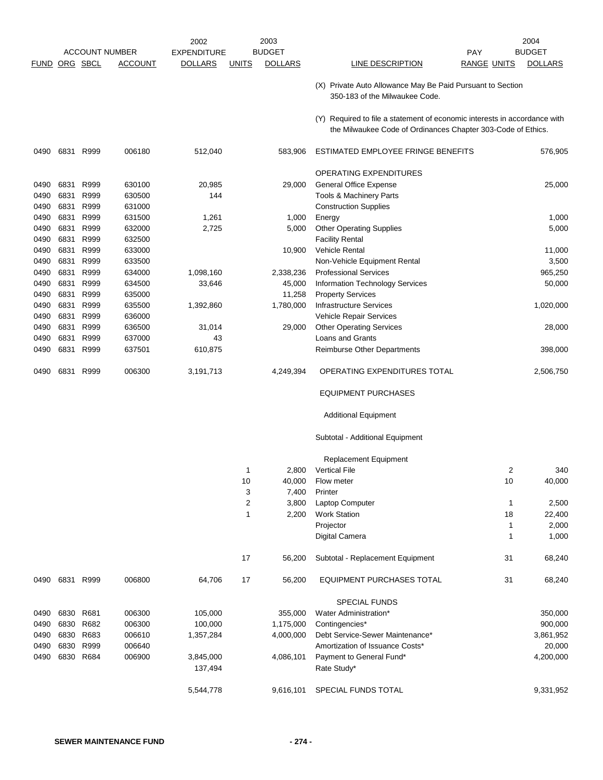|                      |                |           |                       | 2002               |              | 2003           |                                                                                                                                           |                    | 2004           |
|----------------------|----------------|-----------|-----------------------|--------------------|--------------|----------------|-------------------------------------------------------------------------------------------------------------------------------------------|--------------------|----------------|
|                      |                |           | <b>ACCOUNT NUMBER</b> | <b>EXPENDITURE</b> |              | <b>BUDGET</b>  |                                                                                                                                           | <b>PAY</b>         | <b>BUDGET</b>  |
| <b>FUND ORG SBCL</b> |                |           | <b>ACCOUNT</b>        | <b>DOLLARS</b>     | <u>UNITS</u> | <b>DOLLARS</b> | <b>LINE DESCRIPTION</b>                                                                                                                   | <b>RANGE UNITS</b> | <b>DOLLARS</b> |
|                      |                |           |                       |                    |              |                | (X) Private Auto Allowance May Be Paid Pursuant to Section<br>350-183 of the Milwaukee Code.                                              |                    |                |
|                      |                |           |                       |                    |              |                | (Y) Required to file a statement of economic interests in accordance with<br>the Milwaukee Code of Ordinances Chapter 303-Code of Ethics. |                    |                |
| 0490                 | 6831           | R999      | 006180                | 512,040            |              | 583,906        | ESTIMATED EMPLOYEE FRINGE BENEFITS                                                                                                        |                    | 576,905        |
|                      |                |           |                       |                    |              |                | <b>OPERATING EXPENDITURES</b>                                                                                                             |                    |                |
| 0490                 | 6831           | R999      | 630100                | 20,985             |              | 29,000         | <b>General Office Expense</b>                                                                                                             |                    | 25,000         |
| 0490                 | 6831           | R999      | 630500                | 144                |              |                | Tools & Machinery Parts                                                                                                                   |                    |                |
| 0490                 | 6831           | R999      | 631000                |                    |              |                | <b>Construction Supplies</b>                                                                                                              |                    |                |
| 0490                 | 6831           | R999      | 631500                | 1,261              |              | 1,000          | Energy                                                                                                                                    |                    | 1,000          |
| 0490                 | 6831           | R999      | 632000                | 2,725              |              | 5,000          | <b>Other Operating Supplies</b>                                                                                                           |                    | 5,000          |
| 0490                 | 6831           | R999      | 632500                |                    |              |                | <b>Facility Rental</b>                                                                                                                    |                    |                |
| 0490                 | 6831           | R999      | 633000                |                    |              | 10,900         | Vehicle Rental                                                                                                                            |                    | 11,000         |
| 0490                 | 6831           | R999      | 633500                |                    |              |                | Non-Vehicle Equipment Rental                                                                                                              |                    | 3,500          |
| 0490                 | 6831           | R999      | 634000                | 1,098,160          |              | 2,338,236      | <b>Professional Services</b>                                                                                                              |                    | 965,250        |
| 0490                 | 6831           | R999      | 634500                | 33,646             |              | 45,000         | Information Technology Services                                                                                                           |                    | 50,000         |
| 0490                 | 6831           | R999      | 635000                |                    |              | 11,258         | <b>Property Services</b>                                                                                                                  |                    |                |
| 0490                 | 6831           | R999      | 635500                | 1,392,860          |              | 1,780,000      | <b>Infrastructure Services</b>                                                                                                            |                    | 1,020,000      |
| 0490                 | 6831           | R999      | 636000                |                    |              |                | Vehicle Repair Services                                                                                                                   |                    |                |
| 0490                 | 6831           | R999      | 636500                | 31,014             |              | 29,000         | <b>Other Operating Services</b>                                                                                                           |                    | 28,000         |
|                      | 6831           | R999      |                       | 43                 |              |                | Loans and Grants                                                                                                                          |                    |                |
| 0490                 | 6831           | R999      | 637000                |                    |              |                |                                                                                                                                           |                    |                |
| 0490                 |                |           | 637501                | 610,875            |              |                | Reimburse Other Departments                                                                                                               |                    | 398,000        |
| 0490                 | 6831           | R999      | 006300                | 3,191,713          |              | 4,249,394      | OPERATING EXPENDITURES TOTAL                                                                                                              |                    | 2,506,750      |
|                      |                |           |                       |                    |              |                | <b>EQUIPMENT PURCHASES</b>                                                                                                                |                    |                |
|                      |                |           |                       |                    |              |                | <b>Additional Equipment</b>                                                                                                               |                    |                |
|                      |                |           |                       |                    |              |                | Subtotal - Additional Equipment                                                                                                           |                    |                |
|                      |                |           |                       |                    |              |                | <b>Replacement Equipment</b>                                                                                                              |                    |                |
|                      |                |           |                       |                    | 1            | 2,800          | <b>Vertical File</b>                                                                                                                      | 2                  | 340            |
|                      |                |           |                       |                    | 10           | 40,000         | Flow meter                                                                                                                                | 10                 | 40,000         |
|                      |                |           |                       |                    | 3            | 7,400          | Printer                                                                                                                                   |                    |                |
|                      |                |           |                       |                    | 2            | 3,800          | Laptop Computer                                                                                                                           | $\mathbf{1}$       | 2,500          |
|                      |                |           |                       |                    | 1            | 2,200          | <b>Work Station</b>                                                                                                                       | 18                 | 22,400         |
|                      |                |           |                       |                    |              |                | Projector                                                                                                                                 | 1                  | 2,000          |
|                      |                |           |                       |                    |              |                | Digital Camera                                                                                                                            | 1                  | 1,000          |
|                      |                |           |                       |                    | 17           | 56,200         | Subtotal - Replacement Equipment                                                                                                          | 31                 | 68,240         |
|                      | 0490 6831 R999 |           | 006800                | 64,706             | 17           | 56,200         | <b>EQUIPMENT PURCHASES TOTAL</b>                                                                                                          | 31                 | 68,240         |
|                      |                |           |                       |                    |              |                | <b>SPECIAL FUNDS</b>                                                                                                                      |                    |                |
| 0490                 | 6830           | R681      | 006300                | 105,000            |              | 355,000        | Water Administration*                                                                                                                     |                    | 350,000        |
| 0490                 |                | 6830 R682 | 006300                | 100,000            |              | 1,175,000      | Contingencies*                                                                                                                            |                    | 900,000        |
| 0490                 |                | 6830 R683 | 006610                | 1,357,284          |              | 4,000,000      | Debt Service-Sewer Maintenance*                                                                                                           |                    | 3,861,952      |
| 0490                 | 6830           | R999      | 006640                |                    |              |                | Amortization of Issuance Costs*                                                                                                           |                    | 20,000         |
| 0490                 | 6830 R684      |           | 006900                | 3,845,000          |              | 4,086,101      | Payment to General Fund*                                                                                                                  |                    | 4,200,000      |
|                      |                |           |                       | 137,494            |              |                | Rate Study*                                                                                                                               |                    |                |
|                      |                |           |                       | 5,544,778          |              | 9,616,101      | SPECIAL FUNDS TOTAL                                                                                                                       |                    | 9,331,952      |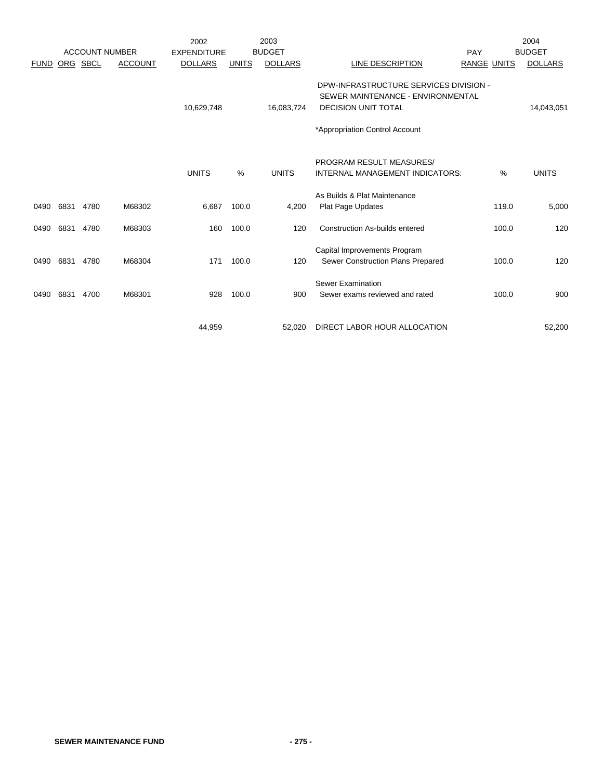|              |              | <b>ACCOUNT NUMBER</b> |                  | 2002<br><b>EXPENDITURE</b> |                | 2003<br><b>BUDGET</b> |                                                                                                                                             | PAY                | 2004<br><b>BUDGET</b> |
|--------------|--------------|-----------------------|------------------|----------------------------|----------------|-----------------------|---------------------------------------------------------------------------------------------------------------------------------------------|--------------------|-----------------------|
| <b>FUND</b>  |              | ORG SBCL              | <b>ACCOUNT</b>   | <b>DOLLARS</b>             | <b>UNITS</b>   | <b>DOLLARS</b>        | LINE DESCRIPTION                                                                                                                            | <b>RANGE UNITS</b> | <b>DOLLARS</b>        |
|              |              |                       |                  | 10,629,748                 |                | 16,083,724            | DPW-INFRASTRUCTURE SERVICES DIVISION -<br>SEWER MAINTENANCE - ENVIRONMENTAL<br><b>DECISION UNIT TOTAL</b><br>*Appropriation Control Account |                    | 14,043,051            |
|              |              |                       |                  | <b>UNITS</b>               | %              | <b>UNITS</b>          | PROGRAM RESULT MEASURES/<br><b>INTERNAL MANAGEMENT INDICATORS:</b>                                                                          | $\%$               | <b>UNITS</b>          |
| 0490         | 6831         | 4780                  | M68302           | 6,687                      | 100.0          | 4,200                 | As Builds & Plat Maintenance<br><b>Plat Page Updates</b>                                                                                    | 119.0              | 5,000                 |
| 0490         | 6831         | 4780                  | M68303           | 160                        | 100.0          | 120                   | Construction As-builds entered                                                                                                              | 100.0              | 120                   |
| 0490<br>0490 | 6831<br>6831 | 4780<br>4700          | M68304<br>M68301 | 171<br>928                 | 100.0<br>100.0 | 120<br>900            | Capital Improvements Program<br>Sewer Construction Plans Prepared<br><b>Sewer Examination</b><br>Sewer exams reviewed and rated             | 100.0<br>100.0     | 120<br>900            |
|              |              |                       |                  |                            |                |                       |                                                                                                                                             |                    |                       |
|              |              |                       |                  | 44.959                     |                | 52.020                | DIRECT LABOR HOUR ALLOCATION                                                                                                                |                    | 52.200                |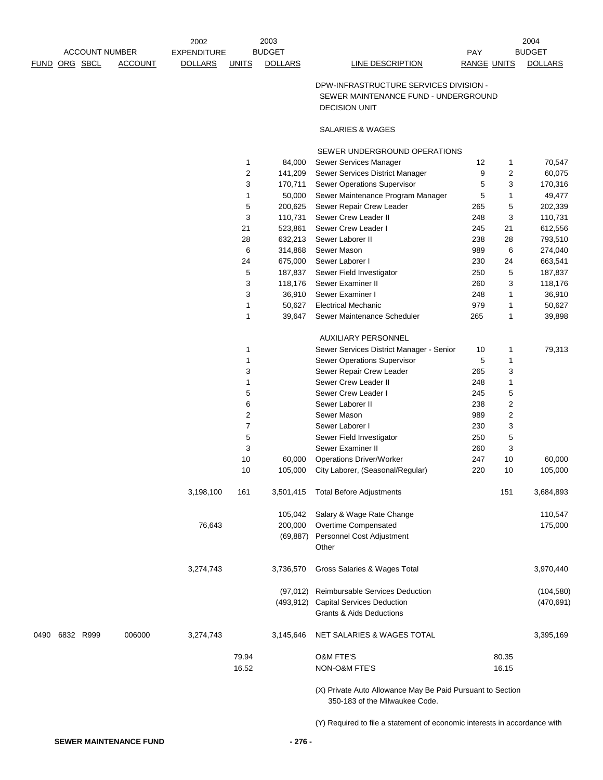|               | <b>ACCOUNT NUMBER</b> |                | 2002<br><b>EXPENDITURE</b> |              | 2003<br><b>BUDGET</b> |                                                                                                        | <b>PAY</b>  | 2004<br><b>BUDGET</b> |
|---------------|-----------------------|----------------|----------------------------|--------------|-----------------------|--------------------------------------------------------------------------------------------------------|-------------|-----------------------|
| FUND ORG SBCL |                       | <b>ACCOUNT</b> | <b>DOLLARS</b>             | <b>UNITS</b> | <b>DOLLARS</b>        | LINE DESCRIPTION                                                                                       | RANGE UNITS | <b>DOLLARS</b>        |
|               |                       |                |                            |              |                       | DPW-INFRASTRUCTURE SERVICES DIVISION -<br>SEWER MAINTENANCE FUND - UNDERGROUND<br><b>DECISION UNIT</b> |             |                       |
|               |                       |                |                            |              |                       | SALARIES & WAGES                                                                                       |             |                       |

#### SEWER UNDERGROUND OPERATIONS

|           | $\mathbf{1}$   | 84,000    | Sewer Services Manager                   | 12  | 1                       | 70,547     |
|-----------|----------------|-----------|------------------------------------------|-----|-------------------------|------------|
|           | $\sqrt{2}$     | 141,209   | Sewer Services District Manager          | 9   | $\overline{c}$          | 60,075     |
|           | 3              | 170,711   | Sewer Operations Supervisor              | 5   | 3                       | 170,316    |
|           | 1              | 50,000    | Sewer Maintenance Program Manager        | 5   | 1                       | 49,477     |
|           | 5              | 200,625   | Sewer Repair Crew Leader                 | 265 | 5                       | 202,339    |
|           | 3              | 110,731   | Sewer Crew Leader II                     | 248 | 3                       | 110,731    |
|           | 21<br>523,861  |           | Sewer Crew Leader I                      | 245 | 21                      | 612,556    |
|           | 28             | 632,213   | Sewer Laborer II                         | 238 | 28                      | 793,510    |
|           | 6              | 314,868   | Sewer Mason                              | 989 | 6                       | 274,040    |
|           | 24             | 675,000   | Sewer Laborer I                          | 230 | 24                      | 663,541    |
|           | 5              | 187,837   | Sewer Field Investigator                 | 250 | 5                       | 187,837    |
|           | 3              | 118,176   | Sewer Examiner II                        | 260 | 3                       | 118,176    |
|           | 3              | 36,910    | Sewer Examiner I                         | 248 | 1                       | 36,910     |
|           | $\mathbf{1}$   | 50,627    | <b>Electrical Mechanic</b>               | 979 | 1                       | 50,627     |
|           | 1              | 39,647    | Sewer Maintenance Scheduler              | 265 | 1                       | 39,898     |
|           |                |           |                                          |     |                         |            |
|           |                |           | <b>AUXILIARY PERSONNEL</b>               |     |                         |            |
|           | 1              |           | Sewer Services District Manager - Senior | 10  | 1                       | 79,313     |
|           | 1              |           | Sewer Operations Supervisor              | 5   | 1                       |            |
|           | 3              |           | Sewer Repair Crew Leader                 | 265 | 3                       |            |
|           | 1              |           | Sewer Crew Leader II                     | 248 | 1                       |            |
|           | 5              |           | Sewer Crew Leader I                      | 245 | 5                       |            |
|           | 6              |           | Sewer Laborer II                         | 238 | $\overline{\mathbf{c}}$ |            |
|           | $\overline{2}$ |           | Sewer Mason                              | 989 | $\overline{\mathbf{c}}$ |            |
|           | $\overline{7}$ |           | Sewer Laborer I                          |     | 3                       |            |
|           | 5              |           |                                          | 230 | 5                       |            |
|           | 3              |           | Sewer Field Investigator                 | 250 |                         |            |
|           |                |           | Sewer Examiner II                        | 260 | 3                       |            |
|           | 10             | 60,000    | <b>Operations Driver/Worker</b>          | 247 | 10                      | 60,000     |
|           | 10             | 105,000   | City Laborer, (Seasonal/Regular)         | 220 | 10                      | 105,000    |
| 3,198,100 | 161            | 3,501,415 | <b>Total Before Adjustments</b>          |     | 151                     | 3,684,893  |
|           |                | 105,042   | Salary & Wage Rate Change                |     |                         | 110,547    |
| 76,643    |                | 200,000   | Overtime Compensated                     |     |                         | 175,000    |
|           |                | (69, 887) | Personnel Cost Adjustment                |     |                         |            |
|           |                |           | Other                                    |     |                         |            |
| 3,274,743 |                | 3,736,570 | Gross Salaries & Wages Total             |     |                         | 3,970,440  |
|           |                |           | (97,012) Reimbursable Services Deduction |     |                         | (104, 580) |
|           |                |           | (493,912) Capital Services Deduction     |     |                         | (470, 691) |
|           |                |           | <b>Grants &amp; Aids Deductions</b>      |     |                         |            |
| 3,274,743 |                | 3,145,646 | NET SALARIES & WAGES TOTAL               |     |                         | 3,395,169  |
|           | 79.94          |           | O&M FTE'S                                |     | 80.35                   |            |
|           | 16.52          |           | NON-O&M FTE'S                            |     | 16.15                   |            |
|           |                |           |                                          |     |                         |            |

(X) Private Auto Allowance May Be Paid Pursuant to Section 350-183 of the Milwaukee Code.

(Y) Required to file a statement of economic interests in accordance with

0490 6832 R999 006000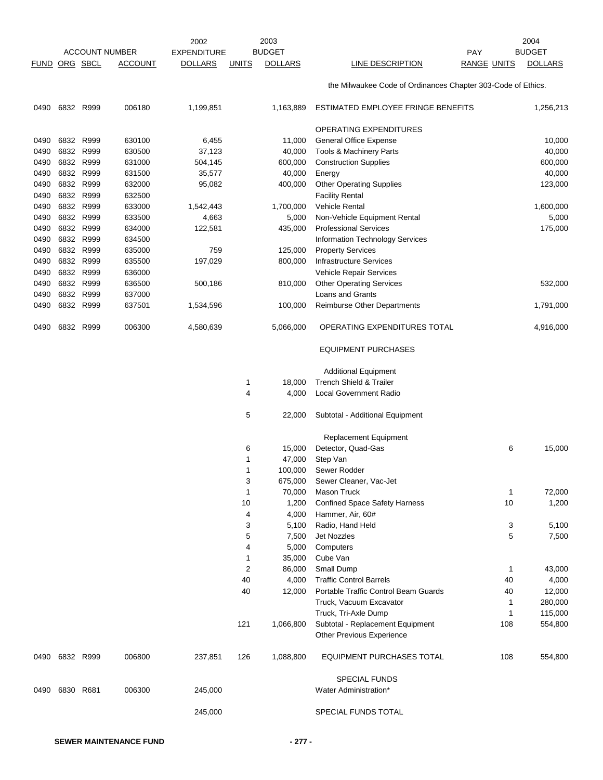|               |                        |                       | 2002               |                | 2003           |                                                              |                    | 2004           |
|---------------|------------------------|-----------------------|--------------------|----------------|----------------|--------------------------------------------------------------|--------------------|----------------|
|               |                        | <b>ACCOUNT NUMBER</b> | <b>EXPENDITURE</b> |                | <b>BUDGET</b>  |                                                              | PAY                | <b>BUDGET</b>  |
| FUND ORG SBCL |                        | <b>ACCOUNT</b>        | <b>DOLLARS</b>     | <b>UNITS</b>   | <b>DOLLARS</b> | LINE DESCRIPTION                                             | <b>RANGE UNITS</b> | <b>DOLLARS</b> |
|               |                        |                       |                    |                |                | the Milwaukee Code of Ordinances Chapter 303-Code of Ethics. |                    |                |
| 0490          | 6832 R999              | 006180                | 1,199,851          |                | 1,163,889      | ESTIMATED EMPLOYEE FRINGE BENEFITS                           |                    | 1,256,213      |
|               |                        |                       |                    |                |                | OPERATING EXPENDITURES                                       |                    |                |
| 0490          | 6832 R999              | 630100                | 6,455              |                | 11,000         | <b>General Office Expense</b>                                |                    | 10,000         |
| 0490          | 6832 R999              | 630500                | 37,123             |                | 40,000         | <b>Tools &amp; Machinery Parts</b>                           |                    | 40,000         |
| 0490          | 6832 R999              | 631000                | 504,145            |                | 600,000        | <b>Construction Supplies</b>                                 |                    | 600,000        |
| 0490          | 6832 R999              | 631500                | 35,577             |                | 40,000         | Energy                                                       |                    | 40,000         |
| 0490          | 6832 R999              | 632000                | 95,082             |                | 400,000        | <b>Other Operating Supplies</b>                              |                    | 123,000        |
| 0490          | 6832 R999              | 632500                |                    |                |                | <b>Facility Rental</b>                                       |                    |                |
| 0490          | 6832 R999              | 633000                | 1,542,443          |                | 1,700,000      | Vehicle Rental                                               |                    | 1,600,000      |
| 0490          | 6832 R999              | 633500                | 4,663              |                | 5,000          | Non-Vehicle Equipment Rental                                 |                    | 5,000          |
| 0490          | 6832 R999              | 634000                | 122,581            |                | 435,000        | <b>Professional Services</b>                                 |                    | 175,000        |
| 0490          | 6832 R999              | 634500                |                    |                |                | <b>Information Technology Services</b>                       |                    |                |
| 0490          | 6832 R999<br>6832 R999 | 635000<br>635500      | 759                |                | 125,000        | <b>Property Services</b><br><b>Infrastructure Services</b>   |                    |                |
| 0490<br>0490  | 6832 R999              | 636000                | 197,029            |                | 800,000        |                                                              |                    |                |
| 0490          | 6832 R999              | 636500                | 500,186            |                | 810,000        | Vehicle Repair Services<br><b>Other Operating Services</b>   |                    | 532,000        |
| 0490          | 6832 R999              | 637000                |                    |                |                | Loans and Grants                                             |                    |                |
| 0490          | 6832 R999              | 637501                | 1,534,596          |                | 100,000        | <b>Reimburse Other Departments</b>                           |                    | 1,791,000      |
| 0490          | 6832 R999              | 006300                | 4,580,639          |                | 5,066,000      | OPERATING EXPENDITURES TOTAL                                 |                    | 4,916,000      |
|               |                        |                       |                    |                |                |                                                              |                    |                |
|               |                        |                       |                    |                |                | <b>EQUIPMENT PURCHASES</b>                                   |                    |                |
|               |                        |                       |                    |                |                | <b>Additional Equipment</b>                                  |                    |                |
|               |                        |                       |                    | 1              | 18,000         | <b>Trench Shield &amp; Trailer</b>                           |                    |                |
|               |                        |                       |                    | 4              | 4,000          | <b>Local Government Radio</b>                                |                    |                |
|               |                        |                       |                    | 5              | 22,000         | Subtotal - Additional Equipment                              |                    |                |
|               |                        |                       |                    |                |                | <b>Replacement Equipment</b>                                 |                    |                |
|               |                        |                       |                    | 6              | 15,000         | Detector, Quad-Gas                                           | 6                  | 15,000         |
|               |                        |                       |                    | 1              | 47,000         | Step Van                                                     |                    |                |
|               |                        |                       |                    | $\mathbf{1}$   | 100,000        | Sewer Rodder                                                 |                    |                |
|               |                        |                       |                    | 3              | 675,000        | Sewer Cleaner, Vac-Jet                                       |                    |                |
|               |                        |                       |                    | $\mathbf{1}$   | 70,000         | Mason Truck                                                  | 1                  | 72,000         |
|               |                        |                       |                    | 10             | 1,200          | <b>Confined Space Safety Harness</b>                         | 10                 | 1,200          |
|               |                        |                       |                    | 4              | 4,000          | Hammer, Air, 60#                                             |                    |                |
|               |                        |                       |                    | 3<br>5         | 5,100<br>7,500 | Radio, Hand Held<br><b>Jet Nozzles</b>                       | 3<br>5             | 5,100<br>7,500 |
|               |                        |                       |                    | 4              | 5,000          | Computers                                                    |                    |                |
|               |                        |                       |                    | $\mathbf{1}$   | 35,000         | Cube Van                                                     |                    |                |
|               |                        |                       |                    | $\overline{c}$ | 86,000         | Small Dump                                                   | 1                  | 43,000         |
|               |                        |                       |                    | 40             | 4,000          | <b>Traffic Control Barrels</b>                               | 40                 | 4,000          |
|               |                        |                       |                    | 40             | 12,000         | Portable Traffic Control Beam Guards                         | 40                 | 12,000         |
|               |                        |                       |                    |                |                | Truck, Vacuum Excavator                                      | 1                  | 280,000        |
|               |                        |                       |                    |                |                | Truck, Tri-Axle Dump                                         | 1                  | 115,000        |
|               |                        |                       |                    | 121            | 1,066,800      | Subtotal - Replacement Equipment                             | 108                | 554,800        |
|               |                        |                       |                    |                |                | Other Previous Experience                                    |                    |                |
|               | 0490 6832 R999         | 006800                | 237,851            | 126            | 1,088,800      | EQUIPMENT PURCHASES TOTAL                                    | 108                | 554,800        |
|               |                        |                       |                    |                |                | <b>SPECIAL FUNDS</b>                                         |                    |                |
| 0490          | 6830 R681              | 006300                | 245,000            |                |                | Water Administration*                                        |                    |                |
|               |                        |                       | 245,000            |                |                | SPECIAL FUNDS TOTAL                                          |                    |                |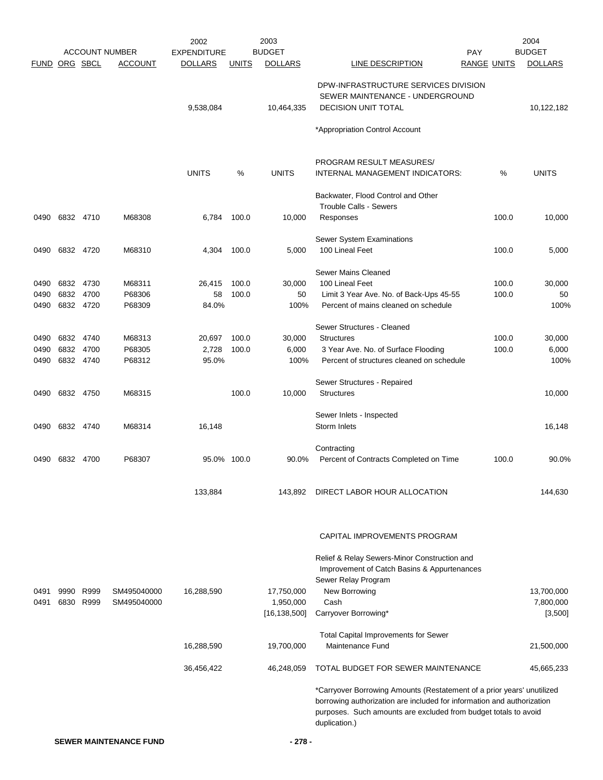|                      |           |           |                       | 2002               |              | 2003           |                                                                                                                                                                                                                                      |                    | 2004           |
|----------------------|-----------|-----------|-----------------------|--------------------|--------------|----------------|--------------------------------------------------------------------------------------------------------------------------------------------------------------------------------------------------------------------------------------|--------------------|----------------|
|                      |           |           | <b>ACCOUNT NUMBER</b> | <b>EXPENDITURE</b> |              | <b>BUDGET</b>  | <b>PAY</b>                                                                                                                                                                                                                           |                    | <b>BUDGET</b>  |
| <b>FUND ORG SBCL</b> |           |           | <b>ACCOUNT</b>        | <b>DOLLARS</b>     | <b>UNITS</b> | <b>DOLLARS</b> | LINE DESCRIPTION                                                                                                                                                                                                                     | <b>RANGE UNITS</b> | <b>DOLLARS</b> |
|                      |           |           |                       | 9,538,084          |              | 10,464,335     | DPW-INFRASTRUCTURE SERVICES DIVISION<br>SEWER MAINTENANCE - UNDERGROUND<br><b>DECISION UNIT TOTAL</b>                                                                                                                                |                    | 10,122,182     |
|                      |           |           |                       |                    |              |                | *Appropriation Control Account                                                                                                                                                                                                       |                    |                |
|                      |           |           |                       | <b>UNITS</b>       | %            | <b>UNITS</b>   | PROGRAM RESULT MEASURES/<br>INTERNAL MANAGEMENT INDICATORS:                                                                                                                                                                          | %                  | <b>UNITS</b>   |
|                      |           |           |                       |                    |              |                | Backwater, Flood Control and Other<br><b>Trouble Calls - Sewers</b>                                                                                                                                                                  |                    |                |
| 0490                 |           | 6832 4710 | M68308                | 6,784              | 100.0        | 10,000         | Responses                                                                                                                                                                                                                            | 100.0              | 10,000         |
| 0490                 |           | 6832 4720 | M68310                | 4,304              | 100.0        | 5,000          | Sewer System Examinations<br>100 Lineal Feet                                                                                                                                                                                         | 100.0              | 5,000          |
|                      |           |           |                       |                    |              |                | Sewer Mains Cleaned                                                                                                                                                                                                                  |                    |                |
| 0490                 | 6832 4730 |           | M68311                | 26,415             | 100.0        | 30,000         | 100 Lineal Feet                                                                                                                                                                                                                      | 100.0              | 30,000         |
| 0490                 | 6832 4700 |           | P68306                | 58                 | 100.0        | 50             | Limit 3 Year Ave. No. of Back-Ups 45-55                                                                                                                                                                                              | 100.0              | 50             |
| 0490                 |           | 6832 4720 | P68309                | 84.0%              |              | 100%           | Percent of mains cleaned on schedule                                                                                                                                                                                                 |                    | 100%           |
|                      |           |           |                       |                    |              |                | Sewer Structures - Cleaned                                                                                                                                                                                                           |                    |                |
| 0490                 |           | 6832 4740 | M68313                | 20,697             | 100.0        | 30,000         | <b>Structures</b>                                                                                                                                                                                                                    | 100.0              | 30,000         |
| 0490                 | 6832      | 4700      | P68305                | 2,728              | 100.0        | 6,000          | 3 Year Ave. No. of Surface Flooding                                                                                                                                                                                                  | 100.0              | 6,000          |
| 0490                 |           | 6832 4740 | P68312                | 95.0%              |              | 100%           | Percent of structures cleaned on schedule                                                                                                                                                                                            |                    | 100%           |
|                      |           |           |                       |                    |              |                | Sewer Structures - Repaired                                                                                                                                                                                                          |                    |                |
| 0490                 | 6832 4750 |           | M68315                |                    | 100.0        | 10,000         | <b>Structures</b>                                                                                                                                                                                                                    |                    | 10,000         |
| 0490                 | 6832 4740 |           | M68314                | 16,148             |              |                | Sewer Inlets - Inspected<br>Storm Inlets                                                                                                                                                                                             |                    | 16,148         |
|                      |           |           |                       |                    |              |                | Contracting                                                                                                                                                                                                                          |                    |                |
| 0490                 | 6832 4700 |           | P68307                | 95.0% 100.0        |              | 90.0%          | Percent of Contracts Completed on Time                                                                                                                                                                                               | 100.0              | 90.0%          |
|                      |           |           |                       | 133,884            |              | 143,892        | DIRECT LABOR HOUR ALLOCATION                                                                                                                                                                                                         |                    | 144,630        |
|                      |           |           |                       |                    |              |                | CAPITAL IMPROVEMENTS PROGRAM                                                                                                                                                                                                         |                    |                |
|                      |           |           |                       |                    |              |                | Relief & Relay Sewers-Minor Construction and<br>Improvement of Catch Basins & Appurtenances<br>Sewer Relay Program                                                                                                                   |                    |                |
| 0491                 | 9990      | R999      | SM495040000           | 16,288,590         |              | 17,750,000     | New Borrowing                                                                                                                                                                                                                        |                    | 13,700,000     |
| 0491                 |           | 6830 R999 | SM495040000           |                    |              | 1,950,000      | Cash                                                                                                                                                                                                                                 |                    | 7,800,000      |
|                      |           |           |                       |                    |              | [16, 138, 500] | Carryover Borrowing*                                                                                                                                                                                                                 |                    | [3,500]        |
|                      |           |           |                       | 16,288,590         |              | 19,700,000     | <b>Total Capital Improvements for Sewer</b><br>Maintenance Fund                                                                                                                                                                      |                    | 21,500,000     |
|                      |           |           |                       | 36,456,422         |              | 46,248,059     | TOTAL BUDGET FOR SEWER MAINTENANCE                                                                                                                                                                                                   |                    | 45,665,233     |
|                      |           |           |                       |                    |              |                | *Carryover Borrowing Amounts (Restatement of a prior years' unutilized<br>borrowing authorization are included for information and authorization<br>purposes. Such amounts are excluded from budget totals to avoid<br>duplication.) |                    |                |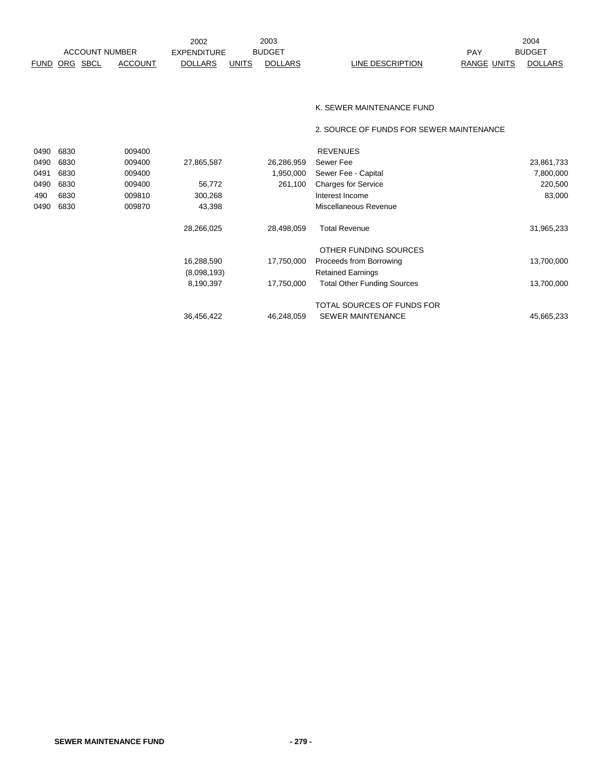|                       |                | 2002               |       | 2003           |                  |             | 2004           |
|-----------------------|----------------|--------------------|-------|----------------|------------------|-------------|----------------|
| <b>ACCOUNT NUMBER</b> |                | <b>EXPENDITURE</b> |       | <b>BUDGET</b>  |                  | PAY         | <b>BUDGET</b>  |
| FUND ORG SBCL         | <b>ACCOUNT</b> | <b>DOLLARS</b>     | UNITS | <b>DOLLARS</b> | LINE DESCRIPTION | RANGE UNITS | <b>DOLLARS</b> |

#### K. SEWER MAINTENANCE FUND

2. SOURCE OF FUNDS FOR SEWER MAINTENANCE

| 0490 | 6830 | 009400 |             |            | <b>REVENUES</b>                    |            |
|------|------|--------|-------------|------------|------------------------------------|------------|
| 0490 | 6830 | 009400 | 27,865,587  | 26,286,959 | Sewer Fee                          | 23,861,733 |
| 0491 | 6830 | 009400 |             | 1,950,000  | Sewer Fee - Capital                | 7,800,000  |
| 0490 | 6830 | 009400 | 56,772      | 261,100    | <b>Charges for Service</b>         | 220,500    |
| 490  | 6830 | 009810 | 300,268     |            | Interest Income                    | 83,000     |
| 0490 | 6830 | 009870 | 43,398      |            | Miscellaneous Revenue              |            |
|      |      |        | 28,266,025  | 28,498,059 | <b>Total Revenue</b>               | 31,965,233 |
|      |      |        |             |            | OTHER FUNDING SOURCES              |            |
|      |      |        | 16,288,590  | 17,750,000 | Proceeds from Borrowing            | 13,700,000 |
|      |      |        | (8,098,193) |            | <b>Retained Earnings</b>           |            |
|      |      |        | 8,190,397   | 17,750,000 | <b>Total Other Funding Sources</b> | 13,700,000 |
|      |      |        |             |            | TOTAL SOURCES OF FUNDS FOR         |            |
|      |      |        | 36,456,422  | 46.248.059 | <b>SEWER MAINTENANCE</b>           | 45,665,233 |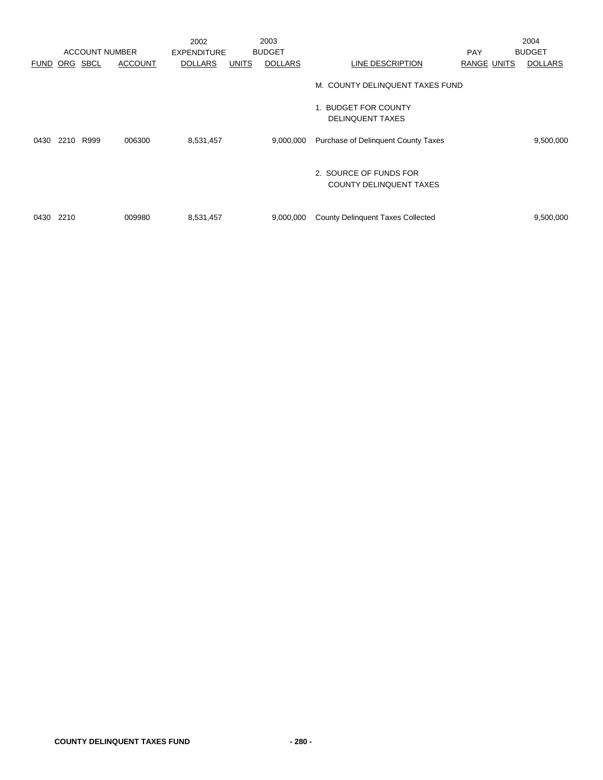|      |          |                       |                | 2002               |              | 2003           |                                                          |             | 2004           |
|------|----------|-----------------------|----------------|--------------------|--------------|----------------|----------------------------------------------------------|-------------|----------------|
|      |          | <b>ACCOUNT NUMBER</b> |                | <b>EXPENDITURE</b> |              | <b>BUDGET</b>  |                                                          | <b>PAY</b>  | <b>BUDGET</b>  |
| FUND | ORG SBCL |                       | <b>ACCOUNT</b> | <b>DOLLARS</b>     | <b>UNITS</b> | <b>DOLLARS</b> | <b>LINE DESCRIPTION</b>                                  | RANGE UNITS | <b>DOLLARS</b> |
|      |          |                       |                |                    |              |                | M. COUNTY DELINQUENT TAXES FUND                          |             |                |
|      |          |                       |                |                    |              |                | 1. BUDGET FOR COUNTY<br><b>DELINQUENT TAXES</b>          |             |                |
| 0430 | 2210     | R999                  | 006300         | 8,531,457          |              | 9,000,000      | Purchase of Delinquent County Taxes                      |             | 9,500,000      |
|      |          |                       |                |                    |              |                | 2. SOURCE OF FUNDS FOR<br><b>COUNTY DELINQUENT TAXES</b> |             |                |
| 0430 | 2210     |                       | 009980         | 8,531,457          |              | 9,000,000      | <b>County Delinquent Taxes Collected</b>                 |             | 9,500,000      |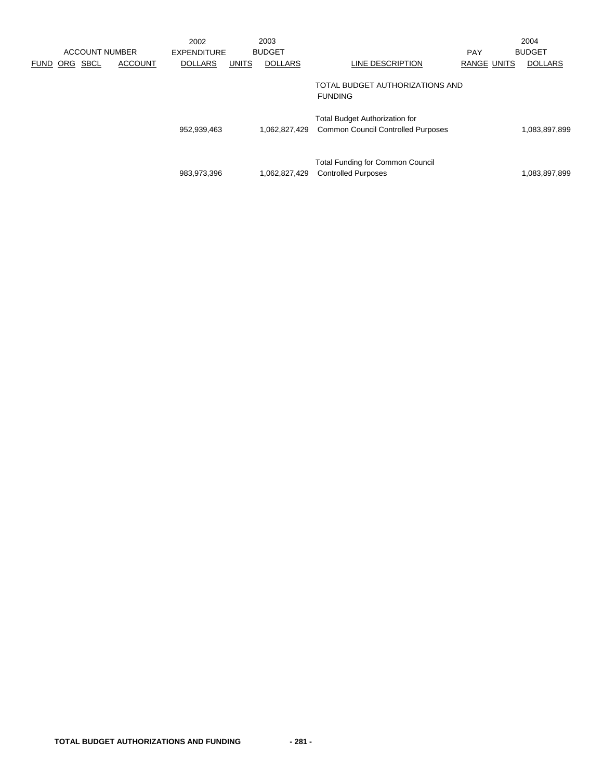|             |     | <b>ACCOUNT NUMBER</b> |                | 2002<br><b>EXPENDITURE</b> |              | 2003<br><b>BUDGET</b> |                                                                                    | <b>PAY</b>         | 2004<br><b>BUDGET</b> |
|-------------|-----|-----------------------|----------------|----------------------------|--------------|-----------------------|------------------------------------------------------------------------------------|--------------------|-----------------------|
| <b>FUND</b> | ORG | <b>SBCL</b>           | <b>ACCOUNT</b> | <b>DOLLARS</b>             | <b>UNITS</b> | <b>DOLLARS</b>        | LINE DESCRIPTION                                                                   | <b>RANGE UNITS</b> | <b>DOLLARS</b>        |
|             |     |                       |                |                            |              |                       | TOTAL BUDGET AUTHORIZATIONS AND<br><b>FUNDING</b>                                  |                    |                       |
|             |     |                       |                | 952,939,463                |              | 1,062,827,429         | <b>Total Budget Authorization for</b><br><b>Common Council Controlled Purposes</b> |                    | 1,083,897,899         |
|             |     |                       |                | 983,973,396                |              | 1,062,827,429         | <b>Total Funding for Common Council</b><br><b>Controlled Purposes</b>              |                    | 1,083,897,899         |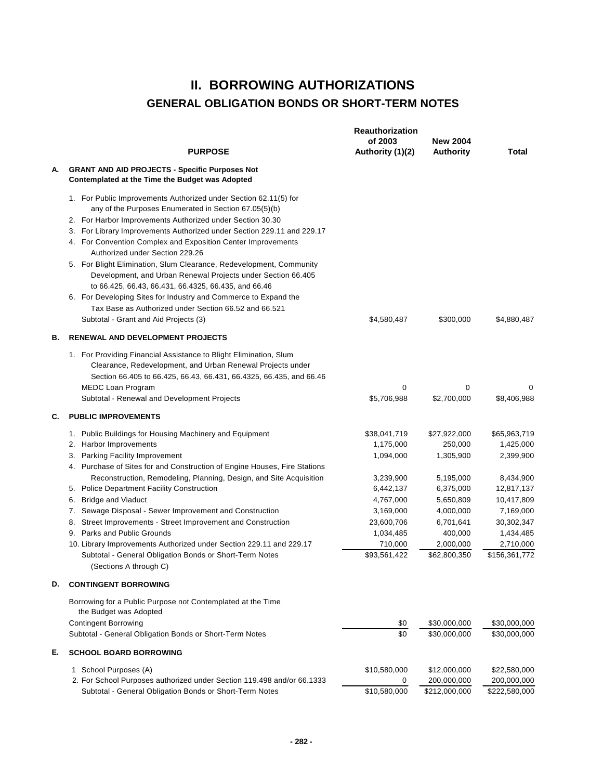## **II. BORROWING AUTHORIZATIONS GENERAL OBLIGATION BONDS OR SHORT-TERM NOTES**

|    | <b>PURPOSE</b>                                                                                                                                                                                                                                                                                                                                                                                                                                                                                                                                                                                                                                                                                                                          | <b>Reauthorization</b><br>of 2003<br>Authority (1)(2)                                                                                            | <b>New 2004</b><br><b>Authority</b>                                                                                                           | Total                                                                                                                                                 |
|----|-----------------------------------------------------------------------------------------------------------------------------------------------------------------------------------------------------------------------------------------------------------------------------------------------------------------------------------------------------------------------------------------------------------------------------------------------------------------------------------------------------------------------------------------------------------------------------------------------------------------------------------------------------------------------------------------------------------------------------------------|--------------------------------------------------------------------------------------------------------------------------------------------------|-----------------------------------------------------------------------------------------------------------------------------------------------|-------------------------------------------------------------------------------------------------------------------------------------------------------|
| А. | <b>GRANT AND AID PROJECTS - Specific Purposes Not</b><br>Contemplated at the Time the Budget was Adopted                                                                                                                                                                                                                                                                                                                                                                                                                                                                                                                                                                                                                                |                                                                                                                                                  |                                                                                                                                               |                                                                                                                                                       |
|    | 1. For Public Improvements Authorized under Section 62.11(5) for<br>any of the Purposes Enumerated in Section 67.05(5)(b)<br>2. For Harbor Improvements Authorized under Section 30.30<br>3. For Library Improvements Authorized under Section 229.11 and 229.17<br>4. For Convention Complex and Exposition Center Improvements<br>Authorized under Section 229.26<br>5. For Blight Elimination, Slum Clearance, Redevelopment, Community<br>Development, and Urban Renewal Projects under Section 66.405<br>to 66.425, 66.43, 66.431, 66.4325, 66.435, and 66.46<br>6. For Developing Sites for Industry and Commerce to Expand the<br>Tax Base as Authorized under Section 66.52 and 66.521<br>Subtotal - Grant and Aid Projects (3) | \$4,580,487                                                                                                                                      | \$300,000                                                                                                                                     | \$4,880,487                                                                                                                                           |
| В. | <b>RENEWAL AND DEVELOPMENT PROJECTS</b>                                                                                                                                                                                                                                                                                                                                                                                                                                                                                                                                                                                                                                                                                                 |                                                                                                                                                  |                                                                                                                                               |                                                                                                                                                       |
|    | 1. For Providing Financial Assistance to Blight Elimination, Slum<br>Clearance, Redevelopment, and Urban Renewal Projects under<br>Section 66.405 to 66.425, 66.43, 66.431, 66.4325, 66.435, and 66.46<br><b>MEDC Loan Program</b><br>Subtotal - Renewal and Development Projects                                                                                                                                                                                                                                                                                                                                                                                                                                                       | 0<br>\$5,706,988                                                                                                                                 | 0<br>\$2,700,000                                                                                                                              | 0<br>\$8,406,988                                                                                                                                      |
| C. | <b>PUBLIC IMPROVEMENTS</b>                                                                                                                                                                                                                                                                                                                                                                                                                                                                                                                                                                                                                                                                                                              |                                                                                                                                                  |                                                                                                                                               |                                                                                                                                                       |
|    | 1. Public Buildings for Housing Machinery and Equipment<br>2. Harbor Improvements<br>3. Parking Facility Improvement<br>4. Purchase of Sites for and Construction of Engine Houses, Fire Stations<br>Reconstruction, Remodeling, Planning, Design, and Site Acquisition<br>5. Police Department Facility Construction<br><b>Bridge and Viaduct</b><br>6.<br>Sewage Disposal - Sewer Improvement and Construction<br>7.<br>8. Street Improvements - Street Improvement and Construction<br>9. Parks and Public Grounds<br>10. Library Improvements Authorized under Section 229.11 and 229.17<br>Subtotal - General Obligation Bonds or Short-Term Notes<br>(Sections A through C)                                                       | \$38,041,719<br>1,175,000<br>1,094,000<br>3,239,900<br>6,442,137<br>4,767,000<br>3,169,000<br>23,600,706<br>1,034,485<br>710,000<br>\$93,561,422 | \$27,922,000<br>250,000<br>1,305,900<br>5,195,000<br>6,375,000<br>5,650,809<br>4,000,000<br>6,701,641<br>400,000<br>2,000,000<br>\$62,800,350 | \$65,963,719<br>1,425,000<br>2,399,900<br>8,434,900<br>12,817,137<br>10,417,809<br>7,169,000<br>30,302,347<br>1,434,485<br>2,710,000<br>\$156,361,772 |
| D. | <b>CONTINGENT BORROWING</b>                                                                                                                                                                                                                                                                                                                                                                                                                                                                                                                                                                                                                                                                                                             |                                                                                                                                                  |                                                                                                                                               |                                                                                                                                                       |
|    | Borrowing for a Public Purpose not Contemplated at the Time<br>the Budget was Adopted<br><b>Contingent Borrowing</b><br>Subtotal - General Obligation Bonds or Short-Term Notes                                                                                                                                                                                                                                                                                                                                                                                                                                                                                                                                                         | \$0<br>\$0                                                                                                                                       | \$30,000,000<br>\$30,000,000                                                                                                                  | \$30,000,000<br>\$30,000,000                                                                                                                          |
| Е. | <b>SCHOOL BOARD BORROWING</b>                                                                                                                                                                                                                                                                                                                                                                                                                                                                                                                                                                                                                                                                                                           |                                                                                                                                                  |                                                                                                                                               |                                                                                                                                                       |
|    | 1 School Purposes (A)<br>2. For School Purposes authorized under Section 119.498 and/or 66.1333<br>Subtotal - General Obligation Bonds or Short-Term Notes                                                                                                                                                                                                                                                                                                                                                                                                                                                                                                                                                                              | \$10,580,000<br>0<br>\$10,580,000                                                                                                                | \$12,000,000<br>200,000,000<br>\$212,000,000                                                                                                  | \$22,580,000<br>200,000,000<br>\$222,580,000                                                                                                          |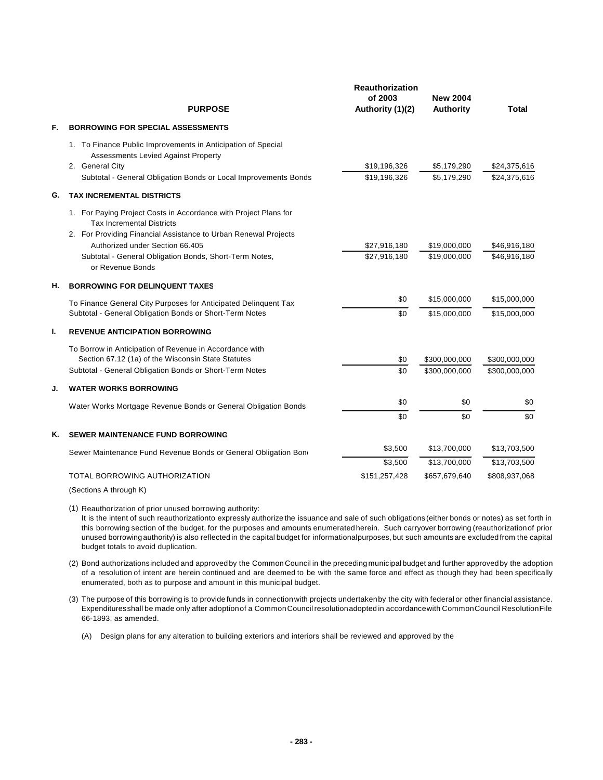|    | <b>PURPOSE</b>                                                                                                                                                                                                                                                                           | <b>Reauthorization</b><br>of 2003<br>Authority (1)(2) | <b>New 2004</b><br>Authority   | <b>Total</b>                   |
|----|------------------------------------------------------------------------------------------------------------------------------------------------------------------------------------------------------------------------------------------------------------------------------------------|-------------------------------------------------------|--------------------------------|--------------------------------|
| F. | <b>BORROWING FOR SPECIAL ASSESSMENTS</b>                                                                                                                                                                                                                                                 |                                                       |                                |                                |
|    | 1. To Finance Public Improvements in Anticipation of Special<br>Assessments Levied Against Property<br>2. General City<br>Subtotal - General Obligation Bonds or Local Improvements Bonds                                                                                                | \$19,196,326<br>\$19.196.326                          | \$5,179,290<br>\$5.179.290     | \$24,375,616<br>\$24.375.616   |
| G. | <b>TAX INCREMENTAL DISTRICTS</b>                                                                                                                                                                                                                                                         |                                                       |                                |                                |
|    | 1. For Paying Project Costs in Accordance with Project Plans for<br><b>Tax Incremental Districts</b><br>2. For Providing Financial Assistance to Urban Renewal Projects<br>Authorized under Section 66.405<br>Subtotal - General Obligation Bonds, Short-Term Notes,<br>or Revenue Bonds | \$27,916,180<br>\$27,916,180                          | \$19,000,000<br>\$19,000,000   | \$46,916,180<br>\$46,916,180   |
| Н. | <b>BORROWING FOR DELINQUENT TAXES</b>                                                                                                                                                                                                                                                    |                                                       |                                |                                |
|    | To Finance General City Purposes for Anticipated Delinquent Tax<br>Subtotal - General Obligation Bonds or Short-Term Notes                                                                                                                                                               | \$0<br>\$0                                            | \$15,000,000<br>\$15,000,000   | \$15,000,000<br>\$15,000,000   |
| ı. | <b>REVENUE ANTICIPATION BORROWING</b>                                                                                                                                                                                                                                                    |                                                       |                                |                                |
|    | To Borrow in Anticipation of Revenue in Accordance with<br>Section 67.12 (1a) of the Wisconsin State Statutes<br>Subtotal - General Obligation Bonds or Short-Term Notes                                                                                                                 | \$0<br>\$0                                            | \$300,000,000<br>\$300,000,000 | \$300,000,000<br>\$300,000,000 |
| J. | <b>WATER WORKS BORROWING</b>                                                                                                                                                                                                                                                             |                                                       |                                |                                |
|    | Water Works Mortgage Revenue Bonds or General Obligation Bonds                                                                                                                                                                                                                           | \$0                                                   | \$0                            | \$0                            |
|    |                                                                                                                                                                                                                                                                                          | \$0                                                   | \$0                            | \$0                            |
| Κ. | <b>SEWER MAINTENANCE FUND BORROWING</b>                                                                                                                                                                                                                                                  |                                                       |                                |                                |
|    | Sewer Maintenance Fund Revenue Bonds or General Obligation Bone                                                                                                                                                                                                                          | \$3,500                                               | \$13,700,000                   | \$13,703,500                   |
|    | TOTAL BORROWING AUTHORIZATION                                                                                                                                                                                                                                                            | \$3,500<br>\$151,257,428                              | \$13,700,000<br>\$657,679,640  | \$13,703,500<br>\$808,937,068  |
|    |                                                                                                                                                                                                                                                                                          |                                                       |                                |                                |

(Sections A through K)

(1) Reauthorization of prior unused borrowing authority:

It is the intent of such reauthorizationto expressly authorize the issuance and sale of such obligations (either bonds or notes) as set forth in this borrowing section of the budget, for the purposes and amounts enumerated herein. Such carryover borrowing (reauthorizationof prior unused borrowing authority) is also reflected in the capital budget for informationalpurposes, but such amounts are excludedfrom the capital budget totals to avoid duplication.

(2) Bond authorizationsincluded and approved by the Common Council in the preceding municipal budget and further approvedby the adoption of a resolution of intent are herein continued and are deemed to be with the same force and effect as though they had been specifically enumerated, both as to purpose and amount in this municipal budget.

(3) The purpose of this borrowing is to provide funds in connectionwith projects undertakenby the city with federal or other financial assistance. Expendituresshall be made only after adoptionof a CommonCouncilresolutionadopted in accordancewith CommonCouncil ResolutionFile 66-1893, as amended.

(A) Design plans for any alteration to building exteriors and interiors shall be reviewed and approved by the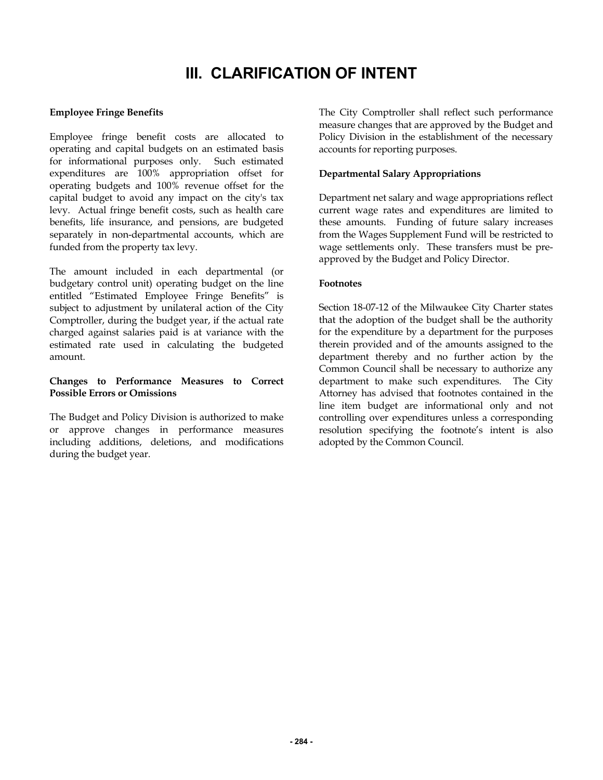# **III. CLARIFICATION OF INTENT**

### **Employee Fringe Benefits**

Employee fringe benefit costs are allocated to operating and capital budgets on an estimated basis for informational purposes only. Such estimated expenditures are 100% appropriation offset for operating budgets and 100% revenue offset for the capital budget to avoid any impact on the city's tax levy. Actual fringe benefit costs, such as health care benefits, life insurance, and pensions, are budgeted separately in non-departmental accounts, which are funded from the property tax levy.

The amount included in each departmental (or budgetary control unit) operating budget on the line entitled "Estimated Employee Fringe Benefits" is subject to adjustment by unilateral action of the City Comptroller, during the budget year, if the actual rate charged against salaries paid is at variance with the estimated rate used in calculating the budgeted amount.

### **Changes to Performance Measures to Correct Possible Errors or Omissions**

The Budget and Policy Division is authorized to make or approve changes in performance measures including additions, deletions, and modifications during the budget year.

The City Comptroller shall reflect such performance measure changes that are approved by the Budget and Policy Division in the establishment of the necessary accounts for reporting purposes.

### **Departmental Salary Appropriations**

Department net salary and wage appropriations reflect current wage rates and expenditures are limited to these amounts. Funding of future salary increases from the Wages Supplement Fund will be restricted to wage settlements only. These transfers must be preapproved by the Budget and Policy Director.

#### **Footnotes**

Section 18-07-12 of the Milwaukee City Charter states that the adoption of the budget shall be the authority for the expenditure by a department for the purposes therein provided and of the amounts assigned to the department thereby and no further action by the Common Council shall be necessary to authorize any department to make such expenditures. The City Attorney has advised that footnotes contained in the line item budget are informational only and not controlling over expenditures unless a corresponding resolution specifying the footnote's intent is also adopted by the Common Council.